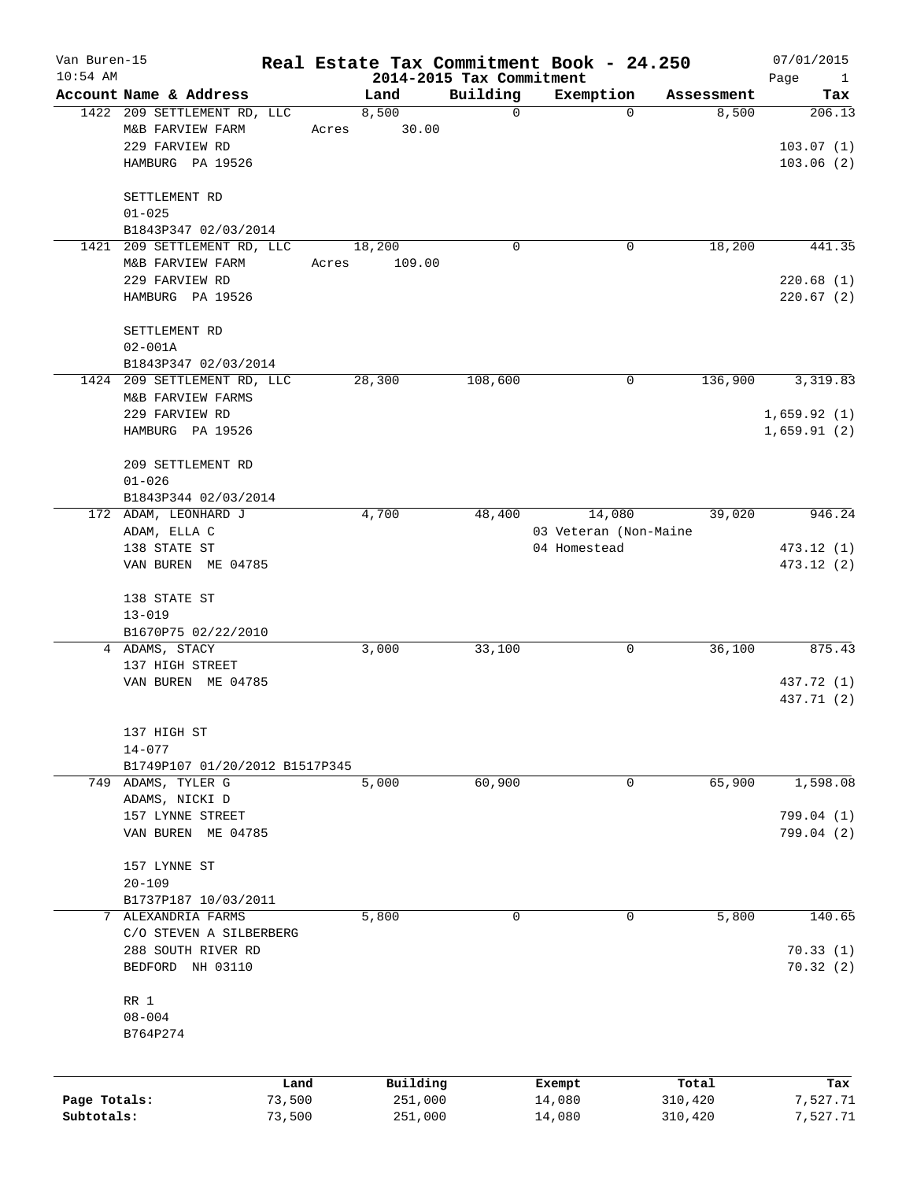| Van Buren-15<br>$10:54$ AM |                                |        |       |          | 2014-2015 Tax Commitment | Real Estate Tax Commitment Book - 24.250 |            | 07/01/2015<br>Page    |
|----------------------------|--------------------------------|--------|-------|----------|--------------------------|------------------------------------------|------------|-----------------------|
|                            | Account Name & Address         |        |       | Land     | Building                 | Exemption                                | Assessment | $\overline{1}$<br>Tax |
|                            | 1422 209 SETTLEMENT RD, LLC    |        |       | 8,500    | $\mathbf 0$              | $\Omega$                                 | 8,500      | 206.13                |
|                            | M&B FARVIEW FARM               |        | Acres | 30.00    |                          |                                          |            |                       |
|                            | 229 FARVIEW RD                 |        |       |          |                          |                                          |            | 103.07(1)             |
|                            | HAMBURG PA 19526               |        |       |          |                          |                                          |            | 103.06(2)             |
|                            |                                |        |       |          |                          |                                          |            |                       |
|                            | SETTLEMENT RD                  |        |       |          |                          |                                          |            |                       |
|                            | $01 - 025$                     |        |       |          |                          |                                          |            |                       |
|                            | B1843P347 02/03/2014           |        |       |          |                          |                                          |            |                       |
|                            | 1421 209 SETTLEMENT RD, LLC    |        |       | 18,200   | 0                        | 0                                        | 18,200     | 441.35                |
|                            | M&B FARVIEW FARM               |        | Acres | 109.00   |                          |                                          |            |                       |
|                            | 229 FARVIEW RD                 |        |       |          |                          |                                          |            | 220.68(1)             |
|                            | HAMBURG PA 19526               |        |       |          |                          |                                          |            | 220.67(2)             |
|                            | SETTLEMENT RD                  |        |       |          |                          |                                          |            |                       |
|                            | $02 - 001A$                    |        |       |          |                          |                                          |            |                       |
|                            | B1843P347 02/03/2014           |        |       |          |                          |                                          |            |                       |
|                            | 1424 209 SETTLEMENT RD, LLC    |        |       | 28,300   | 108,600                  | 0                                        | 136,900    | 3,319.83              |
|                            | M&B FARVIEW FARMS              |        |       |          |                          |                                          |            |                       |
|                            | 229 FARVIEW RD                 |        |       |          |                          |                                          |            | 1,659.92(1)           |
|                            | HAMBURG PA 19526               |        |       |          |                          |                                          |            | 1,659.91(2)           |
|                            | 209 SETTLEMENT RD              |        |       |          |                          |                                          |            |                       |
|                            | $01 - 026$                     |        |       |          |                          |                                          |            |                       |
|                            | B1843P344 02/03/2014           |        |       |          |                          |                                          |            |                       |
|                            | 172 ADAM, LEONHARD J           |        |       | 4,700    | 48,400                   | 14,080                                   | 39,020     | 946.24                |
|                            | ADAM, ELLA C                   |        |       |          |                          | 03 Veteran (Non-Maine                    |            |                       |
|                            | 138 STATE ST                   |        |       |          |                          | 04 Homestead                             |            | 473.12 (1)            |
|                            | VAN BUREN ME 04785             |        |       |          |                          |                                          |            | 473.12 (2)            |
|                            | 138 STATE ST                   |        |       |          |                          |                                          |            |                       |
|                            | $13 - 019$                     |        |       |          |                          |                                          |            |                       |
|                            | B1670P75 02/22/2010            |        |       |          |                          |                                          |            |                       |
|                            | 4 ADAMS, STACY                 |        |       | 3,000    | 33,100                   | 0                                        | 36,100     | 875.43                |
|                            | 137 HIGH STREET                |        |       |          |                          |                                          |            |                       |
|                            | VAN BUREN ME 04785             |        |       |          |                          |                                          |            | 437.72 (1)            |
|                            |                                |        |       |          |                          |                                          |            | 437.71 (2)            |
|                            | 137 HIGH ST                    |        |       |          |                          |                                          |            |                       |
|                            | $14 - 077$                     |        |       |          |                          |                                          |            |                       |
|                            | B1749P107 01/20/2012 B1517P345 |        |       |          |                          |                                          |            |                       |
| 749                        | ADAMS, TYLER G                 |        |       | 5,000    | 60,900                   | 0                                        | 65,900     | 1,598.08              |
|                            | ADAMS, NICKI D                 |        |       |          |                          |                                          |            |                       |
|                            | 157 LYNNE STREET               |        |       |          |                          |                                          |            | 799.04 (1)            |
|                            | VAN BUREN ME 04785             |        |       |          |                          |                                          |            | 799.04 (2)            |
|                            | 157 LYNNE ST                   |        |       |          |                          |                                          |            |                       |
|                            | $20 - 109$                     |        |       |          |                          |                                          |            |                       |
|                            | B1737P187 10/03/2011           |        |       |          |                          |                                          |            |                       |
| 7                          | ALEXANDRIA FARMS               |        |       | 5,800    | 0                        | 0                                        | 5,800      | 140.65                |
|                            | C/O STEVEN A SILBERBERG        |        |       |          |                          |                                          |            |                       |
|                            | 288 SOUTH RIVER RD             |        |       |          |                          |                                          |            | 70.33(1)              |
|                            | BEDFORD NH 03110               |        |       |          |                          |                                          |            | 70.32(2)              |
|                            | RR 1                           |        |       |          |                          |                                          |            |                       |
|                            | $08 - 004$                     |        |       |          |                          |                                          |            |                       |
|                            | B764P274                       |        |       |          |                          |                                          |            |                       |
|                            |                                |        |       |          |                          |                                          |            |                       |
|                            |                                | Land   |       | Building |                          | Exempt                                   | Total      | Tax                   |
| Page Totals:               |                                | 73,500 |       | 251,000  |                          | 14,080                                   | 310,420    | 7,527.71              |
| Subtotals:                 |                                | 73,500 |       | 251,000  |                          | 14,080                                   | 310,420    | 7,527.71              |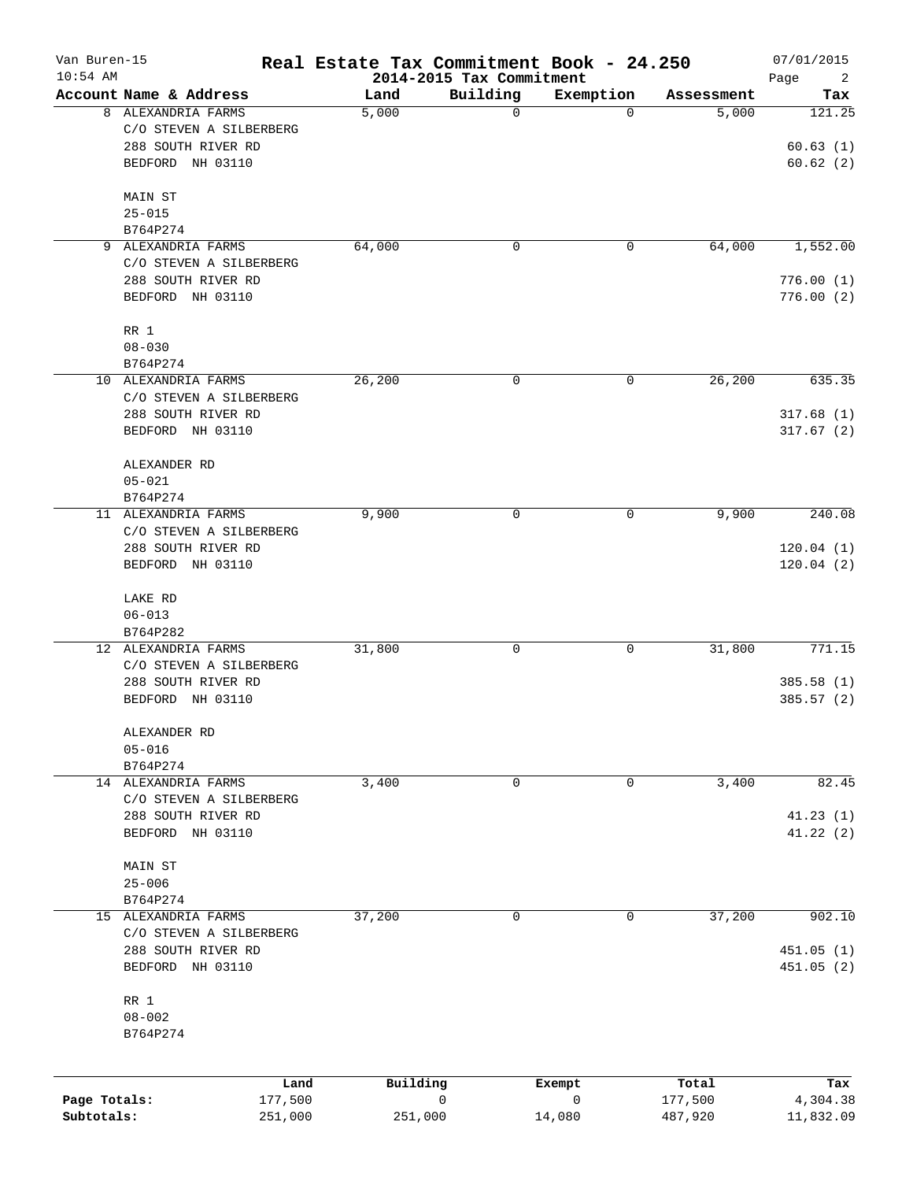| Van Buren-15<br>$10:54$ AM |                         | Real Estate Tax Commitment Book - 24.250 | 2014-2015 Tax Commitment |              |            | 07/01/2015<br>Page<br>2 |
|----------------------------|-------------------------|------------------------------------------|--------------------------|--------------|------------|-------------------------|
|                            | Account Name & Address  | Land                                     | Building                 | Exemption    | Assessment | Tax                     |
|                            | 8 ALEXANDRIA FARMS      | 5,000                                    | $\mathbf 0$              | $\Omega$     | 5,000      | 121.25                  |
|                            | C/O STEVEN A SILBERBERG |                                          |                          |              |            |                         |
|                            | 288 SOUTH RIVER RD      |                                          |                          |              |            | 60.63(1)                |
|                            | BEDFORD NH 03110        |                                          |                          |              |            | 60.62(2)                |
|                            | MAIN ST                 |                                          |                          |              |            |                         |
|                            | $25 - 015$              |                                          |                          |              |            |                         |
|                            | B764P274                |                                          |                          |              |            |                         |
| 9                          | ALEXANDRIA FARMS        | 64,000                                   | 0                        | 0            | 64,000     | 1,552.00                |
|                            | C/O STEVEN A SILBERBERG |                                          |                          |              |            |                         |
|                            | 288 SOUTH RIVER RD      |                                          |                          |              |            | 776.00(1)               |
|                            | BEDFORD NH 03110        |                                          |                          |              |            | 776.00(2)               |
|                            | RR 1                    |                                          |                          |              |            |                         |
|                            | $08 - 030$              |                                          |                          |              |            |                         |
|                            | B764P274                |                                          |                          |              |            |                         |
|                            | 10 ALEXANDRIA FARMS     | 26,200                                   | 0                        | 0            | 26,200     | 635.35                  |
|                            | C/O STEVEN A SILBERBERG |                                          |                          |              |            |                         |
|                            | 288 SOUTH RIVER RD      |                                          |                          |              |            | 317.68(1)               |
|                            | BEDFORD NH 03110        |                                          |                          |              |            | 317.67(2)               |
|                            | ALEXANDER RD            |                                          |                          |              |            |                         |
|                            | $05 - 021$              |                                          |                          |              |            |                         |
|                            | B764P274                |                                          |                          |              |            |                         |
|                            | 11 ALEXANDRIA FARMS     | 9,900                                    | 0                        | 0            | 9,900      | 240.08                  |
|                            | C/O STEVEN A SILBERBERG |                                          |                          |              |            |                         |
|                            | 288 SOUTH RIVER RD      |                                          |                          |              |            | 120.04(1)               |
|                            | BEDFORD NH 03110        |                                          |                          |              |            | 120.04(2)               |
|                            | LAKE RD                 |                                          |                          |              |            |                         |
|                            | $06 - 013$              |                                          |                          |              |            |                         |
|                            | B764P282                |                                          |                          |              |            |                         |
| 12                         | ALEXANDRIA FARMS        | 31,800                                   | $\mathbf 0$              | 0            | 31,800     | 771.15                  |
|                            | C/O STEVEN A SILBERBERG |                                          |                          |              |            |                         |
|                            | 288 SOUTH RIVER RD      |                                          |                          |              |            | 385.58(1)               |
|                            | BEDFORD NH 03110        |                                          |                          |              |            | 385.57(2)               |
|                            | ALEXANDER RD            |                                          |                          |              |            |                         |
|                            | $05 - 016$              |                                          |                          |              |            |                         |
|                            | B764P274                |                                          |                          |              |            |                         |
|                            | 14 ALEXANDRIA FARMS     | 3,400                                    | 0                        | 0            | 3,400      | 82.45                   |
|                            | C/O STEVEN A SILBERBERG |                                          |                          |              |            |                         |
|                            | 288 SOUTH RIVER RD      |                                          |                          |              |            | 41.23(1)                |
|                            | BEDFORD NH 03110        |                                          |                          |              |            | 41.22(2)                |
|                            | MAIN ST                 |                                          |                          |              |            |                         |
|                            | $25 - 006$              |                                          |                          |              |            |                         |
|                            | B764P274                |                                          |                          |              |            |                         |
|                            | 15 ALEXANDRIA FARMS     | 37,200                                   | 0                        | 0            | 37,200     | 902.10                  |
|                            | C/O STEVEN A SILBERBERG |                                          |                          |              |            |                         |
|                            | 288 SOUTH RIVER RD      |                                          |                          |              |            | 451.05 (1)              |
|                            | BEDFORD NH 03110        |                                          |                          |              |            | 451.05 (2)              |
|                            | RR 1                    |                                          |                          |              |            |                         |
|                            | $08 - 002$              |                                          |                          |              |            |                         |
|                            | B764P274                |                                          |                          |              |            |                         |
|                            |                         | Building<br>Land                         |                          | Exempt       | Total      | Tax                     |
| Page Totals:               | 177,500                 |                                          | 0                        | $\mathsf{O}$ | 177,500    | 4,304.38                |
| Subtotals:                 | 251,000                 | 251,000                                  |                          | 14,080       | 487,920    | 11,832.09               |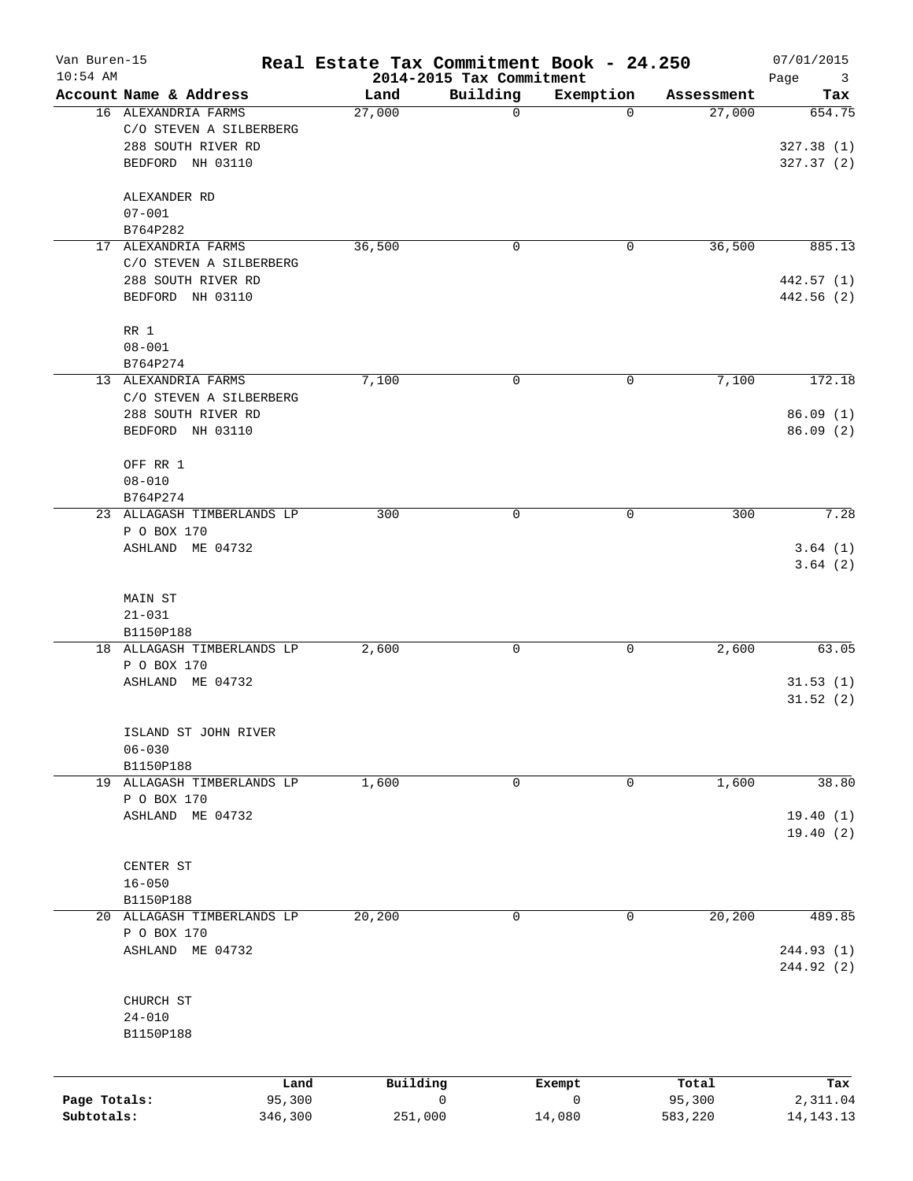| Van Buren-15<br>$10:54$ AM |                            | Real Estate Tax Commitment Book - 24.250 | 2014-2015 Tax Commitment |           |            | 07/01/2015<br>Page<br>3 |
|----------------------------|----------------------------|------------------------------------------|--------------------------|-----------|------------|-------------------------|
|                            | Account Name & Address     | Land                                     | Building                 | Exemption | Assessment | Tax                     |
|                            | 16 ALEXANDRIA FARMS        | 27,000                                   | 0                        | $\Omega$  | 27,000     | 654.75                  |
|                            | C/O STEVEN A SILBERBERG    |                                          |                          |           |            |                         |
|                            | 288 SOUTH RIVER RD         |                                          |                          |           |            | 327.38(1)               |
|                            | BEDFORD NH 03110           |                                          |                          |           |            | 327.37 (2)              |
|                            | ALEXANDER RD               |                                          |                          |           |            |                         |
|                            | $07 - 001$                 |                                          |                          |           |            |                         |
|                            | B764P282                   |                                          |                          |           |            |                         |
|                            | 17 ALEXANDRIA FARMS        | 36,500                                   | $\mathbf 0$              | 0         | 36,500     | 885.13                  |
|                            | C/O STEVEN A SILBERBERG    |                                          |                          |           |            |                         |
|                            | 288 SOUTH RIVER RD         |                                          |                          |           |            | 442.57 (1)              |
|                            | BEDFORD NH 03110           |                                          |                          |           |            | 442.56 (2)              |
|                            | RR 1                       |                                          |                          |           |            |                         |
|                            | $08 - 001$                 |                                          |                          |           |            |                         |
|                            | B764P274                   |                                          |                          |           |            |                         |
|                            | 13 ALEXANDRIA FARMS        | 7,100                                    | 0                        | 0         | 7,100      | 172.18                  |
|                            | C/O STEVEN A SILBERBERG    |                                          |                          |           |            |                         |
|                            | 288 SOUTH RIVER RD         |                                          |                          |           |            | 86.09(1)                |
|                            | BEDFORD NH 03110           |                                          |                          |           |            | 86.09(2)                |
|                            | OFF RR 1                   |                                          |                          |           |            |                         |
|                            | $08 - 010$                 |                                          |                          |           |            |                         |
|                            | B764P274                   |                                          |                          |           |            |                         |
| 23                         | ALLAGASH TIMBERLANDS LP    | 300                                      | 0                        | 0         | 300        | 7.28                    |
|                            | P O BOX 170                |                                          |                          |           |            |                         |
|                            | ASHLAND ME 04732           |                                          |                          |           |            | 3.64(1)                 |
|                            |                            |                                          |                          |           |            | 3.64(2)                 |
|                            | MAIN ST                    |                                          |                          |           |            |                         |
|                            | $21 - 031$                 |                                          |                          |           |            |                         |
|                            | B1150P188                  |                                          |                          |           |            |                         |
|                            | 18 ALLAGASH TIMBERLANDS LP | 2,600                                    | 0                        | 0         | 2,600      | 63.05                   |
|                            | P O BOX 170                |                                          |                          |           |            |                         |
|                            | ASHLAND ME 04732           |                                          |                          |           |            | 31.53(1)                |
|                            |                            |                                          |                          |           |            | 31.52(2)                |
|                            | ISLAND ST JOHN RIVER       |                                          |                          |           |            |                         |
|                            | $06 - 030$                 |                                          |                          |           |            |                         |
|                            | B1150P188                  |                                          |                          |           |            |                         |
|                            | 19 ALLAGASH TIMBERLANDS LP | 1,600                                    | 0                        | 0         | 1,600      | 38.80                   |
|                            | P O BOX 170                |                                          |                          |           |            |                         |
|                            | ASHLAND ME 04732           |                                          |                          |           |            | 19.40(1)                |
|                            |                            |                                          |                          |           |            | 19.40(2)                |
|                            | CENTER ST                  |                                          |                          |           |            |                         |
|                            | $16 - 050$                 |                                          |                          |           |            |                         |
|                            | B1150P188                  |                                          |                          |           |            |                         |
|                            | 20 ALLAGASH TIMBERLANDS LP | 20,200                                   | 0                        | 0         | 20,200     | 489.85                  |
|                            | P O BOX 170                |                                          |                          |           |            |                         |
|                            | ASHLAND ME 04732           |                                          |                          |           |            | 244.93 (1)              |
|                            |                            |                                          |                          |           |            | 244.92 (2)              |
|                            |                            |                                          |                          |           |            |                         |
|                            | CHURCH ST<br>$24 - 010$    |                                          |                          |           |            |                         |
|                            |                            |                                          |                          |           |            |                         |
|                            | B1150P188                  |                                          |                          |           |            |                         |
|                            | Land                       | Building                                 |                          | Exempt    | Total      | Tax                     |
| Page Totals:               | 95,300                     |                                          | 0                        | 0         | 95,300     | 2,311.04                |
| Subtotals:                 | 346,300                    | 251,000                                  |                          | 14,080    | 583,220    | 14, 143. 13             |
|                            |                            |                                          |                          |           |            |                         |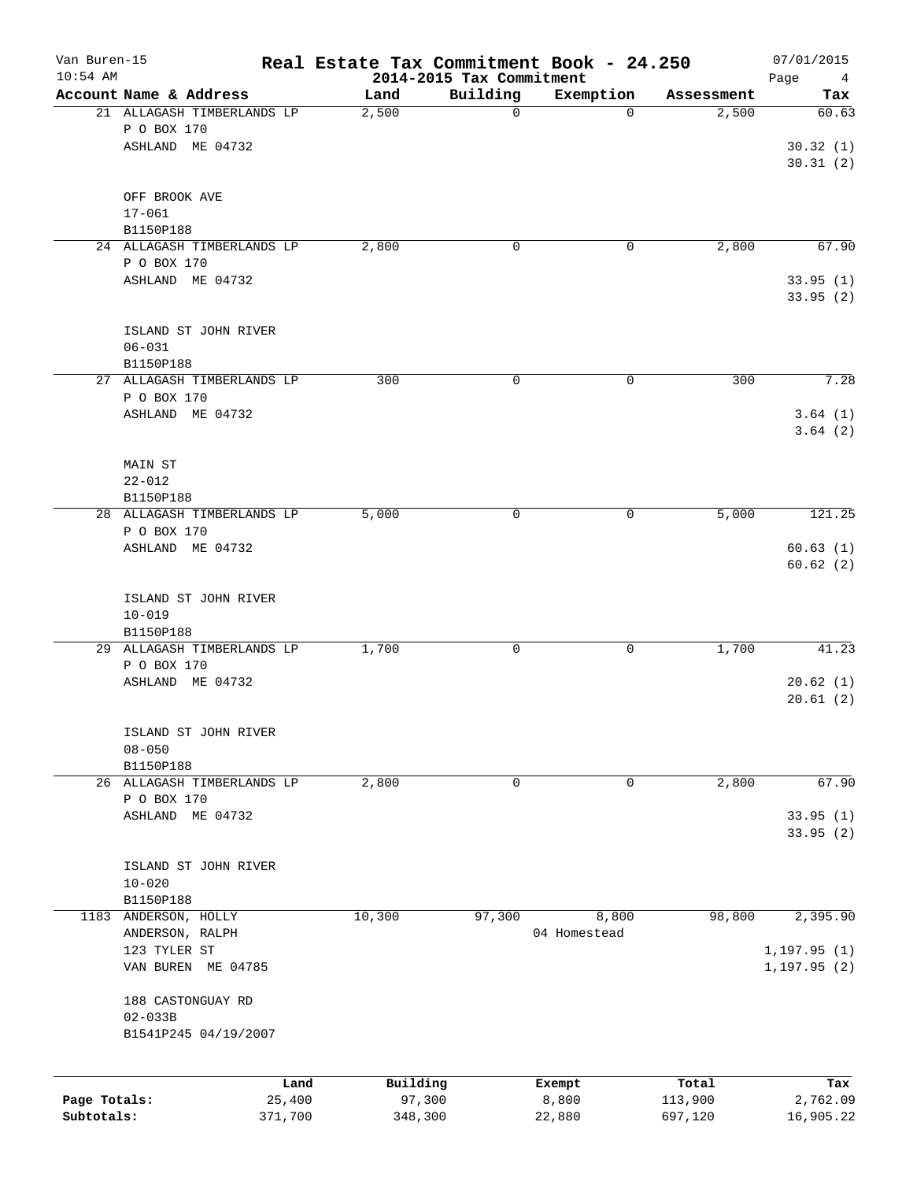| Van Buren-15<br>$10:54$ AM |                                 |                            | Real Estate Tax Commitment Book - 24.250 | 2014-2015 Tax Commitment |              |            | 07/01/2015<br>Page<br>$\overline{4}$ |
|----------------------------|---------------------------------|----------------------------|------------------------------------------|--------------------------|--------------|------------|--------------------------------------|
|                            | Account Name & Address          |                            | Land                                     | Building                 | Exemption    | Assessment | Tax                                  |
|                            | P O BOX 170                     | 21 ALLAGASH TIMBERLANDS LP | 2,500                                    | $\mathbf 0$              | $\Omega$     | 2,500      | 60.63                                |
|                            | ASHLAND ME 04732                |                            |                                          |                          |              |            | 30.32(1)<br>30.31(2)                 |
|                            | OFF BROOK AVE<br>$17 - 061$     |                            |                                          |                          |              |            |                                      |
|                            | B1150P188                       |                            |                                          |                          |              |            |                                      |
|                            |                                 | 24 ALLAGASH TIMBERLANDS LP | 2,800                                    | 0                        | 0            | 2,800      | 67.90                                |
|                            | P O BOX 170                     |                            |                                          |                          |              |            |                                      |
|                            | ASHLAND ME 04732                |                            |                                          |                          |              |            | 33.95(1)<br>33.95(2)                 |
|                            |                                 | ISLAND ST JOHN RIVER       |                                          |                          |              |            |                                      |
|                            | $06 - 031$                      |                            |                                          |                          |              |            |                                      |
|                            | B1150P188                       | 27 ALLAGASH TIMBERLANDS LP | 300                                      | $\mathbf 0$              | 0            | 300        | 7.28                                 |
|                            | P O BOX 170                     |                            |                                          |                          |              |            |                                      |
|                            | ASHLAND ME 04732                |                            |                                          |                          |              |            | 3.64(1)                              |
|                            |                                 |                            |                                          |                          |              |            | 3.64(2)                              |
|                            | MAIN ST                         |                            |                                          |                          |              |            |                                      |
|                            | $22 - 012$                      |                            |                                          |                          |              |            |                                      |
|                            | B1150P188                       |                            |                                          |                          |              |            |                                      |
|                            |                                 | 28 ALLAGASH TIMBERLANDS LP | 5,000                                    | 0                        | 0            | 5,000      | 121.25                               |
|                            | P O BOX 170                     |                            |                                          |                          |              |            |                                      |
|                            | ASHLAND ME 04732                |                            |                                          |                          |              |            | 60.63(1)<br>60.62(2)                 |
|                            |                                 | ISLAND ST JOHN RIVER       |                                          |                          |              |            |                                      |
|                            | $10 - 019$                      |                            |                                          |                          |              |            |                                      |
|                            | B1150P188                       |                            |                                          |                          |              |            |                                      |
|                            |                                 | 29 ALLAGASH TIMBERLANDS LP | 1,700                                    | $\mathbf 0$              | 0            | 1,700      | 41.23                                |
|                            | P O BOX 170<br>ASHLAND ME 04732 |                            |                                          |                          |              |            | 20.62(1)                             |
|                            |                                 |                            |                                          |                          |              |            | 20.61(2)                             |
|                            |                                 | ISLAND ST JOHN RIVER       |                                          |                          |              |            |                                      |
|                            | $08 - 050$                      |                            |                                          |                          |              |            |                                      |
|                            | B1150P188                       |                            |                                          |                          |              |            |                                      |
|                            | P O BOX 170                     | 26 ALLAGASH TIMBERLANDS LP | 2,800                                    | 0                        | 0            | 2,800      | 67.90                                |
|                            | ASHLAND ME 04732                |                            |                                          |                          |              |            | 33.95(1)                             |
|                            |                                 |                            |                                          |                          |              |            | 33.95(2)                             |
|                            |                                 | ISLAND ST JOHN RIVER       |                                          |                          |              |            |                                      |
|                            | $10 - 020$                      |                            |                                          |                          |              |            |                                      |
| 1183                       | B1150P188<br>ANDERSON, HOLLY    |                            | 10,300                                   | 97,300                   | 8,800        | 98,800     | 2,395.90                             |
|                            | ANDERSON, RALPH                 |                            |                                          |                          | 04 Homestead |            |                                      |
|                            | 123 TYLER ST                    |                            |                                          |                          |              |            | 1, 197.95(1)                         |
|                            |                                 | VAN BUREN ME 04785         |                                          |                          |              |            | 1,197.95 (2)                         |
|                            | 188 CASTONGUAY RD               |                            |                                          |                          |              |            |                                      |
|                            | $02 - 033B$                     | B1541P245 04/19/2007       |                                          |                          |              |            |                                      |
|                            |                                 |                            |                                          |                          |              |            |                                      |
|                            |                                 | Land                       | Building                                 |                          | Exempt       | Total      | Tax                                  |
| Page Totals:               |                                 | 25,400                     | 97,300                                   |                          | 8,800        | 113,900    | 2,762.09                             |
| Subtotals:                 |                                 | 371,700                    | 348,300                                  |                          | 22,880       | 697,120    | 16,905.22                            |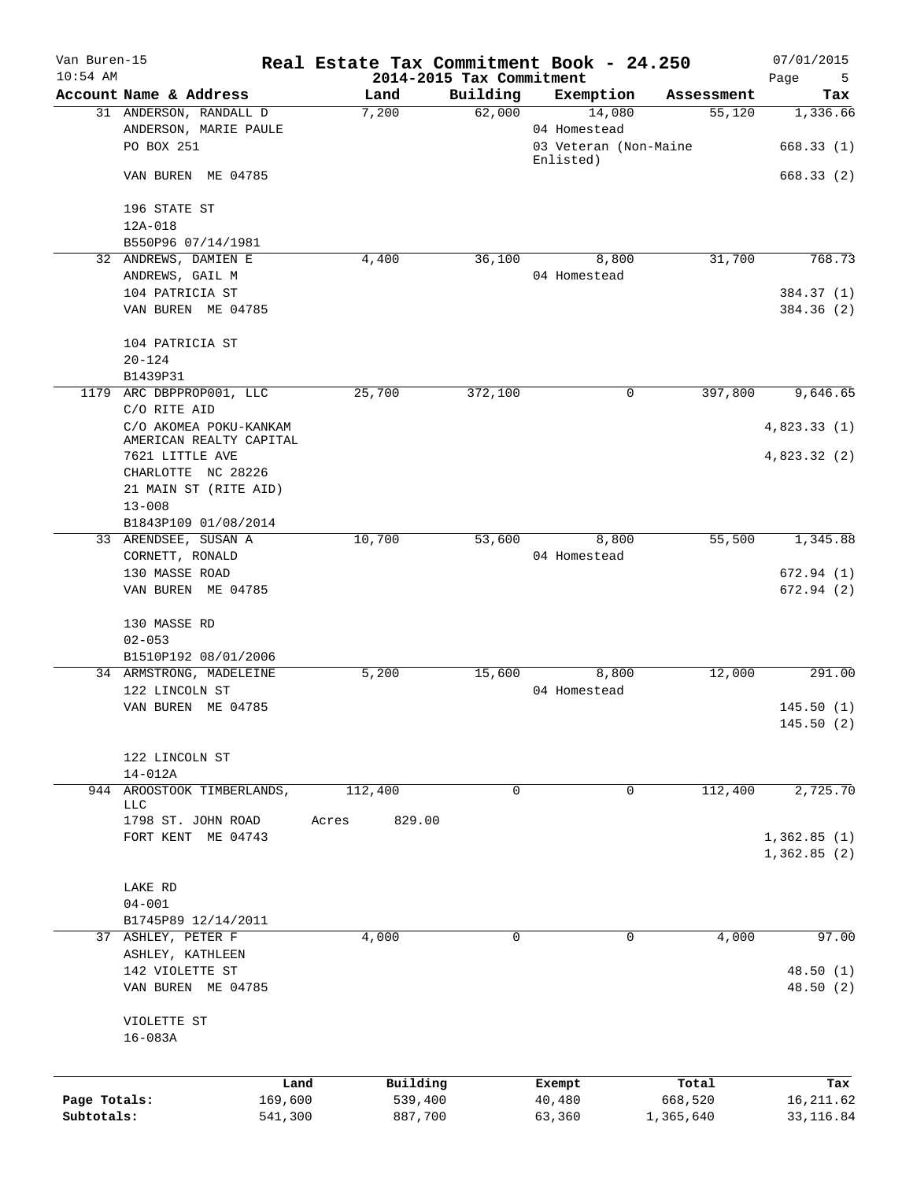| Van Buren-15<br>$10:54$ AM |                                                               |       |                     | 2014-2015 Tax Commitment | Real Estate Tax Commitment Book - 24.250        |                  | 07/01/2015<br>Page<br>5  |
|----------------------------|---------------------------------------------------------------|-------|---------------------|--------------------------|-------------------------------------------------|------------------|--------------------------|
|                            | Account Name & Address                                        |       | Land                | Building                 | Exemption                                       | Assessment       | Tax                      |
|                            | 31 ANDERSON, RANDALL D<br>ANDERSON, MARIE PAULE<br>PO BOX 251 |       | 7,200               | 62,000                   | 14,080<br>04 Homestead<br>03 Veteran (Non-Maine | 55,120           | 1,336.66<br>668.33(1)    |
|                            | VAN BUREN ME 04785                                            |       |                     |                          | Enlisted)                                       |                  | 668.33(2)                |
|                            |                                                               |       |                     |                          |                                                 |                  |                          |
|                            | 196 STATE ST<br>12A-018                                       |       |                     |                          |                                                 |                  |                          |
|                            | B550P96 07/14/1981                                            |       |                     |                          |                                                 |                  |                          |
|                            | 32 ANDREWS, DAMIEN E                                          |       | 4,400               | 36,100                   | 8,800                                           | 31,700           | 768.73                   |
|                            | ANDREWS, GAIL M                                               |       |                     |                          | 04 Homestead                                    |                  |                          |
|                            | 104 PATRICIA ST<br>VAN BUREN ME 04785                         |       |                     |                          |                                                 |                  | 384.37 (1)<br>384.36 (2) |
|                            | 104 PATRICIA ST                                               |       |                     |                          |                                                 |                  |                          |
|                            | $20 - 124$<br>B1439P31                                        |       |                     |                          |                                                 |                  |                          |
|                            | 1179 ARC DBPPROP001, LLC<br>C/O RITE AID                      |       | 25,700              | 372,100                  | $\mathbf 0$                                     | 397,800          | 9,646.65                 |
|                            | C/O AKOMEA POKU-KANKAM<br>AMERICAN REALTY CAPITAL             |       |                     |                          |                                                 |                  | 4,823.33(1)              |
|                            | 7621 LITTLE AVE<br>CHARLOTTE NC 28226                         |       |                     |                          |                                                 |                  | 4,823.32 (2)             |
|                            | 21 MAIN ST (RITE AID)                                         |       |                     |                          |                                                 |                  |                          |
|                            | $13 - 008$                                                    |       |                     |                          |                                                 |                  |                          |
|                            | B1843P109 01/08/2014                                          |       |                     |                          |                                                 |                  |                          |
|                            | 33 ARENDSEE, SUSAN A                                          |       | 10,700              | 53,600                   | 8,800                                           | 55,500           | 1,345.88                 |
|                            | CORNETT, RONALD                                               |       |                     |                          | 04 Homestead                                    |                  |                          |
|                            | 130 MASSE ROAD<br>VAN BUREN ME 04785                          |       |                     |                          |                                                 |                  | 672.94(1)<br>672.94 (2)  |
|                            | 130 MASSE RD                                                  |       |                     |                          |                                                 |                  |                          |
|                            | $02 - 053$                                                    |       |                     |                          |                                                 |                  |                          |
|                            | B1510P192 08/01/2006                                          |       |                     |                          |                                                 |                  |                          |
|                            | 34 ARMSTRONG, MADELEINE                                       |       | 5,200               | 15,600                   | 8,800                                           | 12,000           | 291.00                   |
|                            | 122 LINCOLN ST                                                |       |                     |                          | 04 Homestead                                    |                  |                          |
|                            | VAN BUREN ME 04785                                            |       |                     |                          |                                                 |                  | 145.50(1)<br>145.50(2)   |
|                            | 122 LINCOLN ST                                                |       |                     |                          |                                                 |                  |                          |
|                            | $14 - 012A$                                                   |       |                     |                          |                                                 |                  |                          |
| 944                        | AROOSTOOK TIMBERLANDS,<br><b>LLC</b>                          |       | 112,400             | $\mathbf 0$              | $\mathbf 0$                                     | 112,400          | 2,725.70                 |
|                            | 1798 ST. JOHN ROAD                                            | Acres | 829.00              |                          |                                                 |                  |                          |
|                            | FORT KENT ME 04743                                            |       |                     |                          |                                                 |                  | 1,362.85(1)              |
|                            |                                                               |       |                     |                          |                                                 |                  | 1,362.85(2)              |
|                            | LAKE RD                                                       |       |                     |                          |                                                 |                  |                          |
|                            | $04 - 001$                                                    |       |                     |                          |                                                 |                  |                          |
|                            | B1745P89 12/14/2011                                           |       |                     |                          |                                                 |                  |                          |
|                            | 37 ASHLEY, PETER F                                            |       | 4,000               | 0                        | 0                                               | 4,000            | 97.00                    |
|                            | ASHLEY, KATHLEEN                                              |       |                     |                          |                                                 |                  |                          |
|                            | 142 VIOLETTE ST                                               |       |                     |                          |                                                 |                  | 48.50(1)                 |
|                            | VAN BUREN ME 04785                                            |       |                     |                          |                                                 |                  | 48.50(2)                 |
|                            | VIOLETTE ST<br>$16 - 083A$                                    |       |                     |                          |                                                 |                  |                          |
|                            |                                                               |       |                     |                          |                                                 |                  |                          |
| Page Totals:               | 169,600                                                       | Land  | Building<br>539,400 |                          | Exempt<br>40,480                                | Total<br>668,520 | Tax<br>16, 211.62        |
| Subtotals:                 | 541,300                                                       |       | 887,700             |                          | 63,360                                          | 1,365,640        | 33, 116.84               |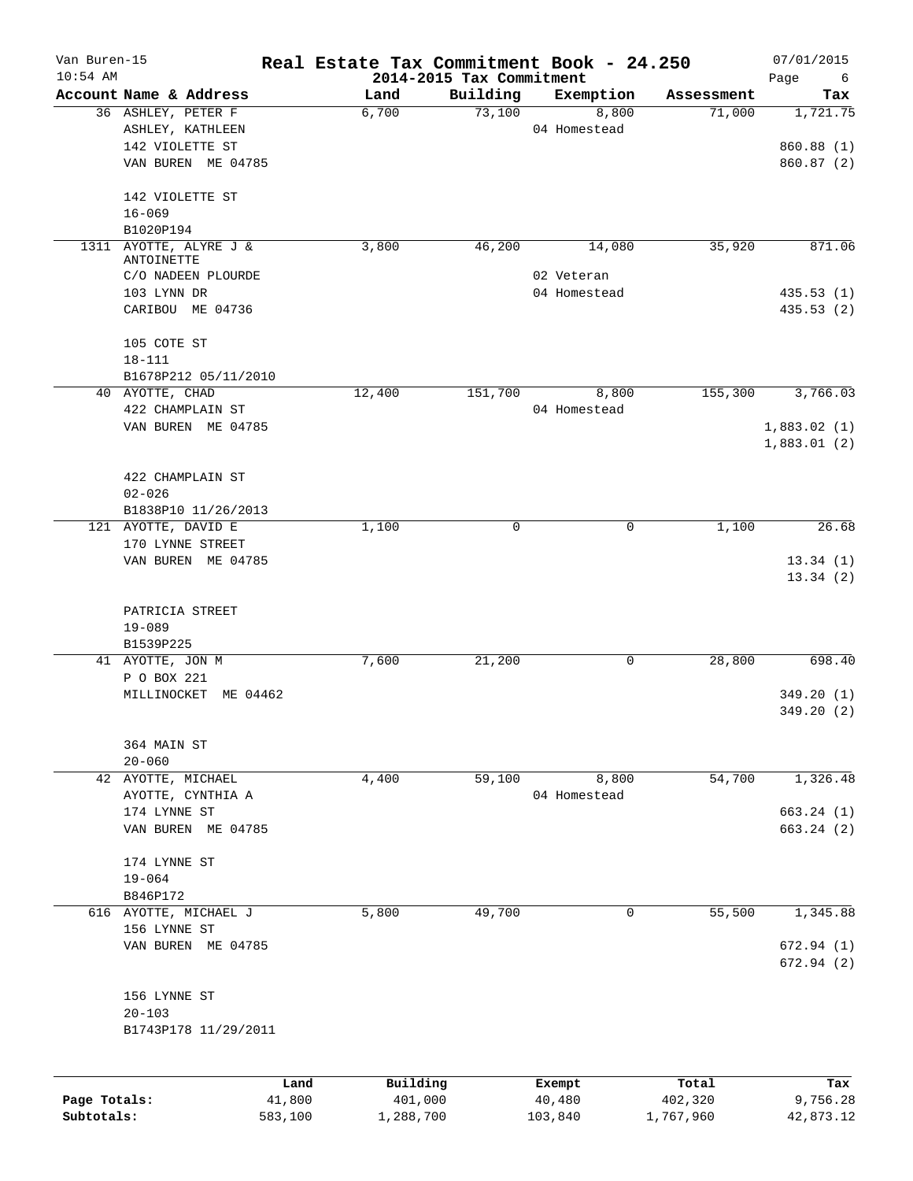| Van Buren-15<br>$10:54$ AM |                                         | Real Estate Tax Commitment Book - 24.250 | 2014-2015 Tax Commitment |                       |            | 07/01/2015<br>Page<br>6    |
|----------------------------|-----------------------------------------|------------------------------------------|--------------------------|-----------------------|------------|----------------------------|
|                            | Account Name & Address                  | Land                                     | Building                 | Exemption             | Assessment | Tax                        |
|                            | 36 ASHLEY, PETER F<br>ASHLEY, KATHLEEN  | 6,700                                    | 73,100                   | 8,800<br>04 Homestead | 71,000     | 1,721.75                   |
|                            | 142 VIOLETTE ST                         |                                          |                          |                       |            | 860.88 (1)                 |
|                            | VAN BUREN ME 04785                      |                                          |                          |                       |            | 860.87 (2)                 |
|                            | 142 VIOLETTE ST                         |                                          |                          |                       |            |                            |
|                            | $16 - 069$<br>B1020P194                 |                                          |                          |                       |            |                            |
| 1311                       | AYOTTE, ALYRE J &                       | 3,800                                    | 46,200                   | 14,080                | 35,920     | 871.06                     |
|                            | ANTOINETTE                              |                                          |                          |                       |            |                            |
|                            | C/O NADEEN PLOURDE                      |                                          |                          | 02 Veteran            |            |                            |
|                            | 103 LYNN DR<br>CARIBOU ME 04736         |                                          |                          | 04 Homestead          |            | 435.53(1)<br>435.53 (2)    |
|                            | 105 COTE ST                             |                                          |                          |                       |            |                            |
|                            | $18 - 111$                              |                                          |                          |                       |            |                            |
|                            | B1678P212 05/11/2010                    |                                          |                          |                       |            |                            |
|                            | 40 AYOTTE, CHAD                         | 12,400                                   | 151,700                  | 8,800                 | 155,300    | 3,766.03                   |
|                            | 422 CHAMPLAIN ST                        |                                          |                          | 04 Homestead          |            |                            |
|                            | VAN BUREN ME 04785                      |                                          |                          |                       |            | 1,883.02(1)<br>1,883.01(2) |
|                            | 422 CHAMPLAIN ST                        |                                          |                          |                       |            |                            |
|                            | $02 - 026$                              |                                          |                          |                       |            |                            |
|                            | B1838P10 11/26/2013                     |                                          |                          |                       |            |                            |
|                            | 121 AYOTTE, DAVID E                     | 1,100                                    | 0                        | $\mathbf 0$           | 1,100      | 26.68                      |
|                            | 170 LYNNE STREET<br>VAN BUREN ME 04785  |                                          |                          |                       |            | 13.34(1)                   |
|                            |                                         |                                          |                          |                       |            | 13.34(2)                   |
|                            | PATRICIA STREET                         |                                          |                          |                       |            |                            |
|                            | $19 - 089$                              |                                          |                          |                       |            |                            |
|                            | B1539P225                               |                                          |                          |                       |            |                            |
|                            | 41 AYOTTE, JON M<br>P O BOX 221         | 7,600                                    | 21,200                   | 0                     | 28,800     | 698.40                     |
|                            | MILLINOCKET ME 04462                    |                                          |                          |                       |            | 349.20(1)                  |
|                            |                                         |                                          |                          |                       |            | 349.20(2)                  |
|                            | 364 MAIN ST                             |                                          |                          |                       |            |                            |
|                            | $20 - 060$                              |                                          |                          |                       | 54,700     |                            |
|                            | 42 AYOTTE, MICHAEL<br>AYOTTE, CYNTHIA A | 4,400                                    | 59,100                   | 8,800<br>04 Homestead |            | 1,326.48                   |
|                            | 174 LYNNE ST                            |                                          |                          |                       |            | 663.24(1)                  |
|                            | VAN BUREN ME 04785                      |                                          |                          |                       |            | 663.24(2)                  |
|                            | 174 LYNNE ST                            |                                          |                          |                       |            |                            |
|                            | $19 - 064$                              |                                          |                          |                       |            |                            |
|                            | B846P172                                |                                          |                          |                       |            |                            |
|                            | 616 AYOTTE, MICHAEL J                   | 5,800                                    | 49,700                   | 0                     | 55,500     | 1,345.88                   |
|                            | 156 LYNNE ST                            |                                          |                          |                       |            |                            |
|                            | VAN BUREN ME 04785                      |                                          |                          |                       |            | 672.94 (1)<br>672.94(2)    |
|                            | 156 LYNNE ST                            |                                          |                          |                       |            |                            |
|                            | $20 - 103$                              |                                          |                          |                       |            |                            |
|                            | B1743P178 11/29/2011                    |                                          |                          |                       |            |                            |
|                            | Land                                    | Building                                 |                          | Exempt                | Total      | Tax                        |
| Page Totals:               | 41,800                                  | 401,000                                  |                          | 40,480                | 402,320    | 9,756.28                   |

**Subtotals:** 583,100 1,288,700 103,840 1,767,960 42,873.12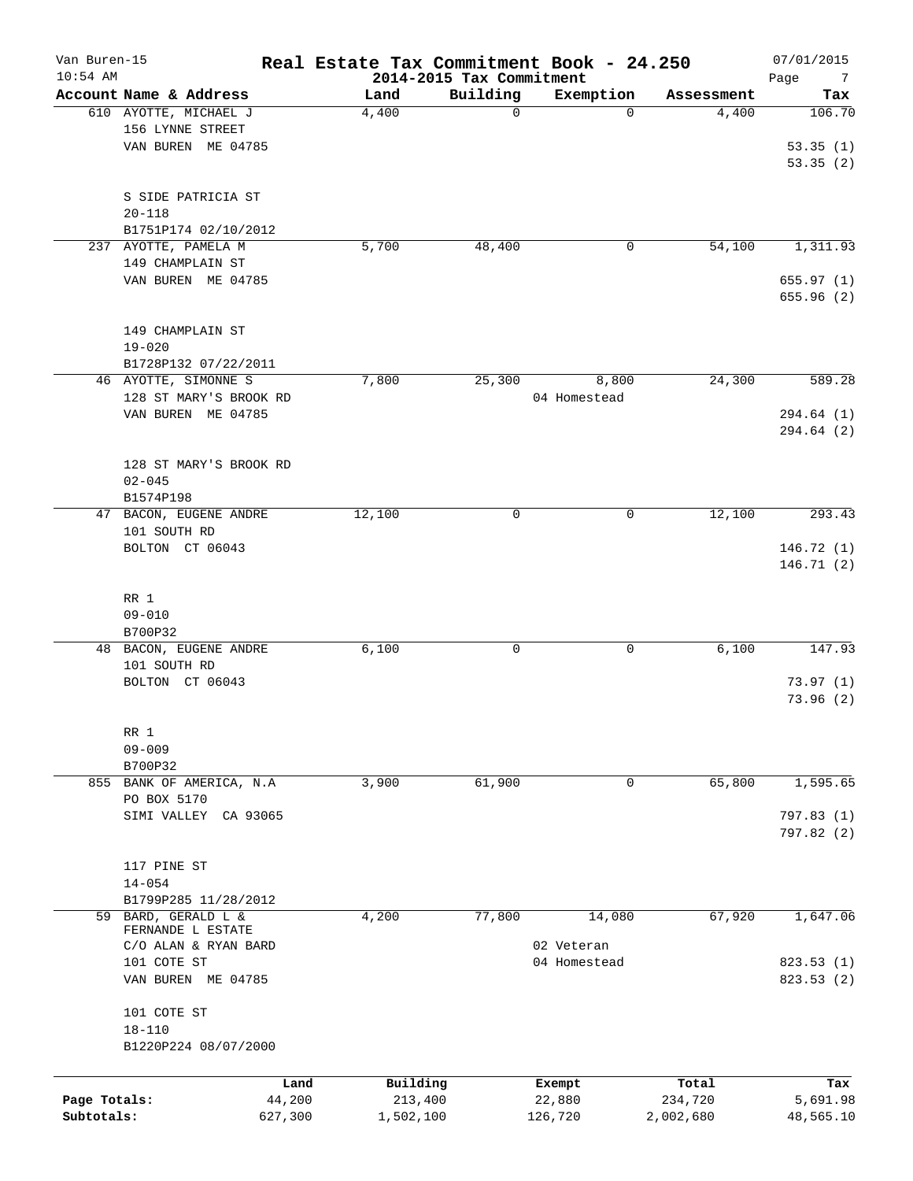| Van Buren-15<br>$10:54$ AM |                        | Real Estate Tax Commitment Book - 24.250 | 2014-2015 Tax Commitment |                  |                  | 07/01/2015<br>Page<br>- 7 |
|----------------------------|------------------------|------------------------------------------|--------------------------|------------------|------------------|---------------------------|
|                            | Account Name & Address | Land                                     | Building                 | Exemption        | Assessment       | Tax                       |
|                            | 610 AYOTTE, MICHAEL J  | 4,400                                    | $\mathbf 0$              | $\Omega$         | 4,400            | 106.70                    |
|                            | 156 LYNNE STREET       |                                          |                          |                  |                  |                           |
|                            | VAN BUREN ME 04785     |                                          |                          |                  |                  | 53.35(1)                  |
|                            |                        |                                          |                          |                  |                  | 53.35(2)                  |
|                            | S SIDE PATRICIA ST     |                                          |                          |                  |                  |                           |
|                            | $20 - 118$             |                                          |                          |                  |                  |                           |
|                            | B1751P174 02/10/2012   |                                          |                          |                  |                  |                           |
|                            | 237 AYOTTE, PAMELA M   | 5,700                                    | 48,400                   | 0                | 54,100           | 1,311.93                  |
|                            | 149 CHAMPLAIN ST       |                                          |                          |                  |                  |                           |
|                            | VAN BUREN ME 04785     |                                          |                          |                  |                  | 655.97(1)                 |
|                            |                        |                                          |                          |                  |                  | 655.96 (2)                |
|                            |                        |                                          |                          |                  |                  |                           |
|                            | 149 CHAMPLAIN ST       |                                          |                          |                  |                  |                           |
|                            | $19 - 020$             |                                          |                          |                  |                  |                           |
|                            | B1728P132 07/22/2011   |                                          |                          |                  |                  |                           |
|                            | 46 AYOTTE, SIMONNE S   | 7,800                                    | 25,300                   | 8,800            | 24,300           | 589.28                    |
|                            | 128 ST MARY'S BROOK RD |                                          |                          | 04 Homestead     |                  |                           |
|                            | VAN BUREN ME 04785     |                                          |                          |                  |                  | 294.64 (1)                |
|                            |                        |                                          |                          |                  |                  | 294.64 (2)                |
|                            |                        |                                          |                          |                  |                  |                           |
|                            | 128 ST MARY'S BROOK RD |                                          |                          |                  |                  |                           |
|                            | $02 - 045$             |                                          |                          |                  |                  |                           |
|                            | B1574P198              |                                          |                          |                  |                  |                           |
|                            | 47 BACON, EUGENE ANDRE | 12,100                                   | 0                        | 0                | 12,100           | 293.43                    |
|                            | 101 SOUTH RD           |                                          |                          |                  |                  |                           |
|                            | BOLTON CT 06043        |                                          |                          |                  |                  | 146.72(1)                 |
|                            |                        |                                          |                          |                  |                  | 146.71 (2)                |
|                            |                        |                                          |                          |                  |                  |                           |
|                            | RR 1                   |                                          |                          |                  |                  |                           |
|                            | $09 - 010$             |                                          |                          |                  |                  |                           |
|                            | B700P32                |                                          |                          |                  |                  |                           |
|                            | 48 BACON, EUGENE ANDRE | 6,100                                    | $\mathbf 0$              | 0                | 6,100            | 147.93                    |
|                            | 101 SOUTH RD           |                                          |                          |                  |                  |                           |
|                            | BOLTON CT 06043        |                                          |                          |                  |                  | 73.97(1)                  |
|                            |                        |                                          |                          |                  |                  | 73.96(2)                  |
|                            |                        |                                          |                          |                  |                  |                           |
|                            | RR 1                   |                                          |                          |                  |                  |                           |
|                            | $09 - 009$             |                                          |                          |                  |                  |                           |
|                            | B700P32                |                                          |                          |                  |                  |                           |
| 855                        | BANK OF AMERICA, N.A   | 3,900                                    | 61,900                   | 0                | 65,800           | 1,595.65                  |
|                            | PO BOX 5170            |                                          |                          |                  |                  |                           |
|                            | SIMI VALLEY CA 93065   |                                          |                          |                  |                  | 797.83(1)                 |
|                            |                        |                                          |                          |                  |                  | 797.82 (2)                |
|                            |                        |                                          |                          |                  |                  |                           |
|                            | 117 PINE ST            |                                          |                          |                  |                  |                           |
|                            | $14 - 054$             |                                          |                          |                  |                  |                           |
|                            | B1799P285 11/28/2012   |                                          |                          |                  |                  |                           |
|                            | 59 BARD, GERALD L &    | 4,200                                    | 77,800                   | 14,080           | 67,920           | 1,647.06                  |
|                            | FERNANDE L ESTATE      |                                          |                          |                  |                  |                           |
|                            | C/O ALAN & RYAN BARD   |                                          |                          | 02 Veteran       |                  |                           |
|                            | 101 COTE ST            |                                          |                          | 04 Homestead     |                  | 823.53 (1)                |
|                            | VAN BUREN ME 04785     |                                          |                          |                  |                  | 823.53 (2)                |
|                            |                        |                                          |                          |                  |                  |                           |
|                            | 101 COTE ST            |                                          |                          |                  |                  |                           |
|                            | $18 - 110$             |                                          |                          |                  |                  |                           |
|                            | B1220P224 08/07/2000   |                                          |                          |                  |                  |                           |
|                            |                        |                                          |                          |                  |                  |                           |
| Page Totals:               | 44,200                 | Building<br>Land<br>213,400              |                          | Exempt<br>22,880 | Total<br>234,720 | Tax<br>5,691.98           |
| Subtotals:                 | 627,300                | 1,502,100                                |                          |                  | 2,002,680        | 48,565.10                 |
|                            |                        |                                          |                          | 126,720          |                  |                           |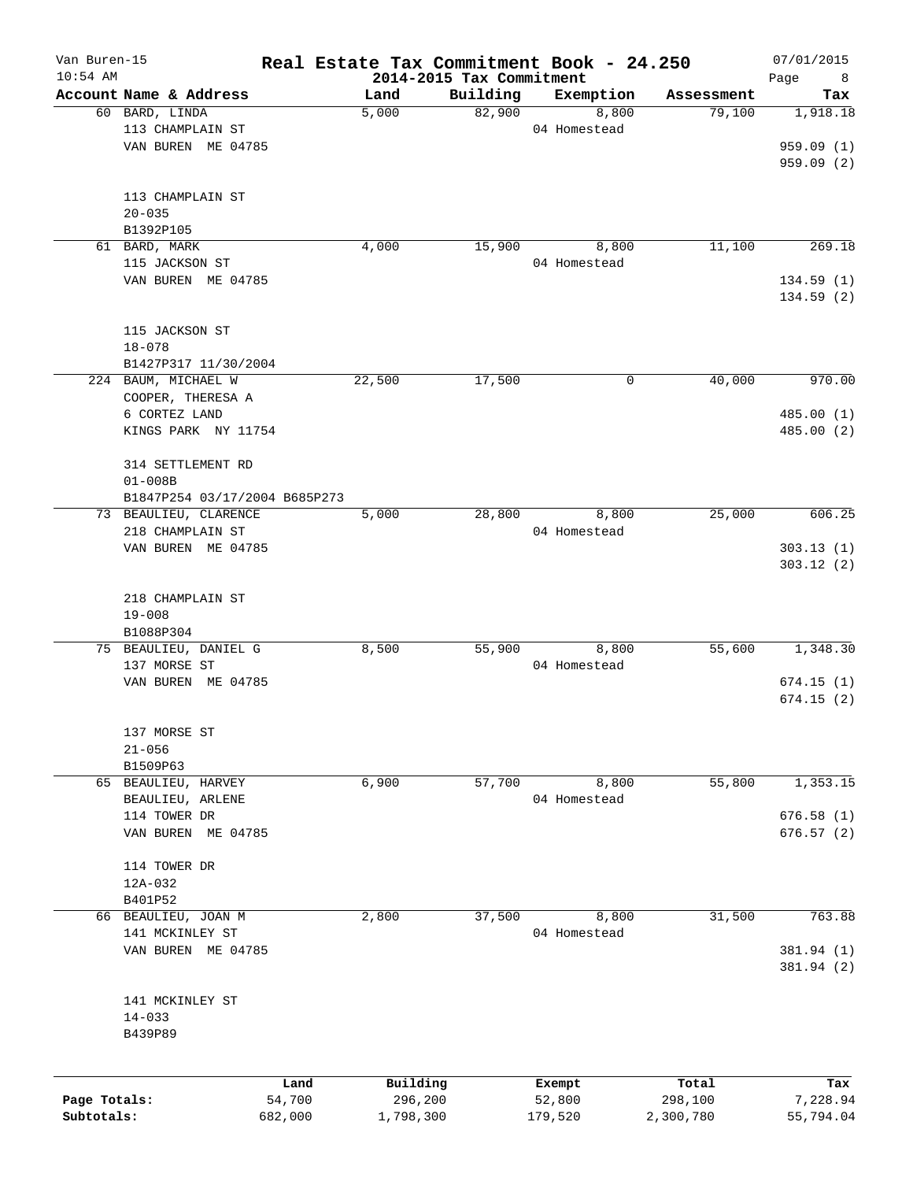| Van Buren-15 |                               | Real Estate Tax Commitment Book - 24.250 |                                      |              |            | 07/01/2015       |
|--------------|-------------------------------|------------------------------------------|--------------------------------------|--------------|------------|------------------|
| $10:54$ AM   | Account Name & Address        | Land                                     | 2014-2015 Tax Commitment<br>Building | Exemption    | Assessment | Page<br>8<br>Tax |
|              | 60 BARD, LINDA                | 5,000                                    | 82,900                               | 8,800        | 79,100     | 1,918.18         |
|              | 113 CHAMPLAIN ST              |                                          |                                      |              |            |                  |
|              |                               |                                          |                                      | 04 Homestead |            |                  |
|              | VAN BUREN ME 04785            |                                          |                                      |              |            | 959.09(1)        |
|              |                               |                                          |                                      |              |            | 959.09(2)        |
|              |                               |                                          |                                      |              |            |                  |
|              | 113 CHAMPLAIN ST              |                                          |                                      |              |            |                  |
|              | $20 - 035$                    |                                          |                                      |              |            |                  |
|              | B1392P105                     |                                          |                                      |              |            |                  |
|              | 61 BARD, MARK                 | 4,000                                    | 15,900                               | 8,800        | 11,100     | 269.18           |
|              | 115 JACKSON ST                |                                          |                                      | 04 Homestead |            |                  |
|              | VAN BUREN ME 04785            |                                          |                                      |              |            | 134.59(1)        |
|              |                               |                                          |                                      |              |            | 134.59(2)        |
|              |                               |                                          |                                      |              |            |                  |
|              | 115 JACKSON ST                |                                          |                                      |              |            |                  |
|              | $18 - 078$                    |                                          |                                      |              |            |                  |
|              | B1427P317 11/30/2004          |                                          |                                      |              |            |                  |
|              | 224 BAUM, MICHAEL W           | 22,500                                   | 17,500                               | 0            | 40,000     | 970.00           |
|              | COOPER, THERESA A             |                                          |                                      |              |            |                  |
|              | 6 CORTEZ LAND                 |                                          |                                      |              |            | 485.00(1)        |
|              | KINGS PARK NY 11754           |                                          |                                      |              |            | 485.00 (2)       |
|              |                               |                                          |                                      |              |            |                  |
|              | 314 SETTLEMENT RD             |                                          |                                      |              |            |                  |
|              | $01 - 008B$                   |                                          |                                      |              |            |                  |
|              | B1847P254 03/17/2004 B685P273 |                                          |                                      |              |            |                  |
|              | 73 BEAULIEU, CLARENCE         | 5,000                                    | 28,800                               | 8,800        | 25,000     | 606.25           |
|              | 218 CHAMPLAIN ST              |                                          |                                      | 04 Homestead |            |                  |
|              | VAN BUREN ME 04785            |                                          |                                      |              |            | 303.13(1)        |
|              |                               |                                          |                                      |              |            |                  |
|              |                               |                                          |                                      |              |            | 303.12(2)        |
|              |                               |                                          |                                      |              |            |                  |
|              | 218 CHAMPLAIN ST              |                                          |                                      |              |            |                  |
|              | $19 - 008$                    |                                          |                                      |              |            |                  |
|              | B1088P304                     |                                          |                                      |              |            |                  |
|              | 75 BEAULIEU, DANIEL G         | 8,500                                    | 55,900                               | 8,800        | 55,600     | 1,348.30         |
|              | 137 MORSE ST                  |                                          |                                      | 04 Homestead |            |                  |
|              | VAN BUREN ME 04785            |                                          |                                      |              |            | 674.15(1)        |
|              |                               |                                          |                                      |              |            | 674.15(2)        |
|              |                               |                                          |                                      |              |            |                  |
|              | 137 MORSE ST                  |                                          |                                      |              |            |                  |
|              | $21 - 056$                    |                                          |                                      |              |            |                  |
|              | B1509P63                      |                                          |                                      |              |            |                  |
|              | 65 BEAULIEU, HARVEY           | 6,900                                    | 57,700                               | 8,800        | 55,800     | 1,353.15         |
|              | BEAULIEU, ARLENE              |                                          |                                      | 04 Homestead |            |                  |
|              | 114 TOWER DR                  |                                          |                                      |              |            | 676.58(1)        |
|              | VAN BUREN ME 04785            |                                          |                                      |              |            | 676.57(2)        |
|              |                               |                                          |                                      |              |            |                  |
|              | 114 TOWER DR                  |                                          |                                      |              |            |                  |
|              | 12A-032                       |                                          |                                      |              |            |                  |
|              | B401P52                       |                                          |                                      |              |            |                  |
|              | 66 BEAULIEU, JOAN M           | 2,800                                    | 37,500                               | 8,800        | 31,500     | 763.88           |
|              | 141 MCKINLEY ST               |                                          |                                      | 04 Homestead |            |                  |
|              | VAN BUREN ME 04785            |                                          |                                      |              |            | 381.94 (1)       |
|              |                               |                                          |                                      |              |            |                  |
|              |                               |                                          |                                      |              |            | 381.94 (2)       |
|              |                               |                                          |                                      |              |            |                  |
|              | 141 MCKINLEY ST               |                                          |                                      |              |            |                  |
|              | $14 - 033$                    |                                          |                                      |              |            |                  |
|              | B439P89                       |                                          |                                      |              |            |                  |
|              |                               |                                          |                                      |              |            |                  |
|              |                               | Building<br>Land                         |                                      | Exempt       | Total      | Tax              |
| Page Totals: |                               | 54,700<br>296,200                        |                                      | 52,800       | 298,100    | 7,228.94         |
| Subtotals:   | 682,000                       | 1,798,300                                |                                      | 179,520      | 2,300,780  | 55,794.04        |
|              |                               |                                          |                                      |              |            |                  |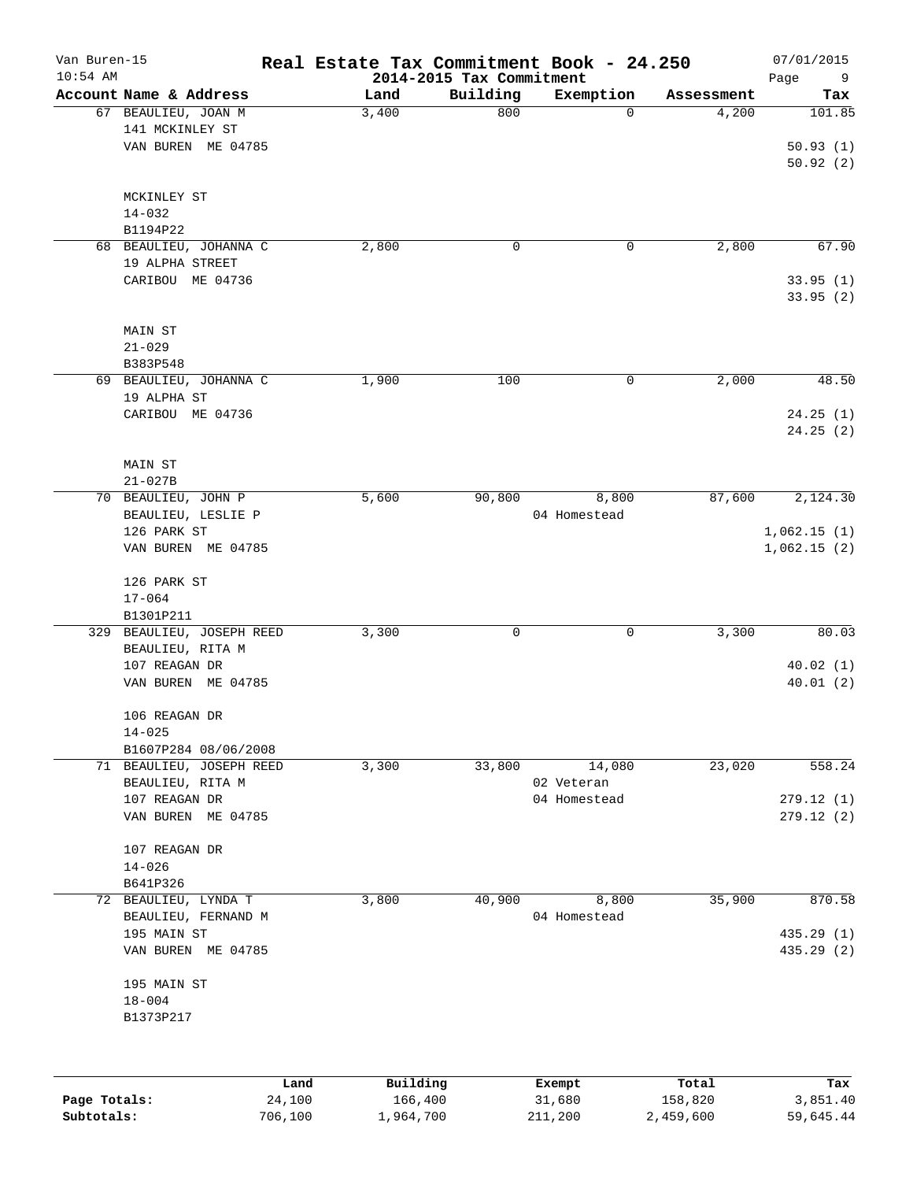| Van Buren-15<br>$10:54$ AM |                                    |        | Real Estate Tax Commitment Book - 24.250 | 2014-2015 Tax Commitment |              |            | 07/01/2015<br>Page<br>9 |
|----------------------------|------------------------------------|--------|------------------------------------------|--------------------------|--------------|------------|-------------------------|
|                            | Account Name & Address             |        | Land                                     | Building                 | Exemption    | Assessment | Tax                     |
|                            | 67 BEAULIEU, JOAN M                |        | 3,400                                    | 800                      | $\Omega$     | 4,200      | 101.85                  |
|                            | 141 MCKINLEY ST                    |        |                                          |                          |              |            |                         |
|                            | VAN BUREN ME 04785                 |        |                                          |                          |              |            | 50.93(1)                |
|                            |                                    |        |                                          |                          |              |            | 50.92(2)                |
|                            | MCKINLEY ST                        |        |                                          |                          |              |            |                         |
|                            | $14 - 032$                         |        |                                          |                          |              |            |                         |
|                            | B1194P22                           |        |                                          |                          |              |            |                         |
|                            | 68 BEAULIEU, JOHANNA C             |        | 2,800                                    | 0                        | 0            | 2,800      | 67.90                   |
|                            | 19 ALPHA STREET                    |        |                                          |                          |              |            |                         |
|                            | CARIBOU ME 04736                   |        |                                          |                          |              |            | 33.95(1)                |
|                            |                                    |        |                                          |                          |              |            | 33.95(2)                |
|                            |                                    |        |                                          |                          |              |            |                         |
|                            | MAIN ST                            |        |                                          |                          |              |            |                         |
|                            | $21 - 029$                         |        |                                          |                          |              |            |                         |
|                            | B383P548<br>69 BEAULIEU, JOHANNA C |        | 1,900                                    | 100                      | 0            | 2,000      | 48.50                   |
|                            | 19 ALPHA ST                        |        |                                          |                          |              |            |                         |
|                            | CARIBOU ME 04736                   |        |                                          |                          |              |            | 24.25(1)                |
|                            |                                    |        |                                          |                          |              |            | 24.25(2)                |
|                            |                                    |        |                                          |                          |              |            |                         |
|                            | MAIN ST                            |        |                                          |                          |              |            |                         |
|                            | $21 - 027B$                        |        |                                          |                          |              |            |                         |
|                            | 70 BEAULIEU, JOHN P                |        | 5,600                                    | 90,800                   | 8,800        | 87,600     | 2,124.30                |
|                            | BEAULIEU, LESLIE P                 |        |                                          |                          | 04 Homestead |            |                         |
|                            | 126 PARK ST                        |        |                                          |                          |              |            | 1,062.15(1)             |
|                            | VAN BUREN ME 04785                 |        |                                          |                          |              |            | 1,062.15(2)             |
|                            |                                    |        |                                          |                          |              |            |                         |
|                            | 126 PARK ST                        |        |                                          |                          |              |            |                         |
|                            | $17 - 064$                         |        |                                          |                          |              |            |                         |
|                            | B1301P211                          |        |                                          |                          |              |            |                         |
|                            | 329 BEAULIEU, JOSEPH REED          |        | 3,300                                    | 0                        | 0            | 3,300      | 80.03                   |
|                            | BEAULIEU, RITA M                   |        |                                          |                          |              |            |                         |
|                            | 107 REAGAN DR                      |        |                                          |                          |              |            | 40.02(1)<br>40.01(2)    |
|                            | VAN BUREN ME 04785                 |        |                                          |                          |              |            |                         |
|                            | 106 REAGAN DR                      |        |                                          |                          |              |            |                         |
|                            | $14 - 025$                         |        |                                          |                          |              |            |                         |
|                            | B1607P284 08/06/2008               |        |                                          |                          |              |            |                         |
|                            | 71 BEAULIEU, JOSEPH REED           |        | 3,300                                    | 33,800                   | 14,080       | 23,020     | 558.24                  |
|                            | BEAULIEU, RITA M                   |        |                                          |                          | 02 Veteran   |            |                         |
|                            | 107 REAGAN DR                      |        |                                          |                          | 04 Homestead |            | 279.12 (1)              |
|                            | VAN BUREN ME 04785                 |        |                                          |                          |              |            | 279.12(2)               |
|                            | 107 REAGAN DR                      |        |                                          |                          |              |            |                         |
|                            | $14 - 026$                         |        |                                          |                          |              |            |                         |
|                            | B641P326                           |        |                                          |                          |              |            |                         |
| 72                         | BEAULIEU, LYNDA T                  |        | 3,800                                    | 40,900                   | 8,800        | 35,900     | 870.58                  |
|                            | BEAULIEU, FERNAND M                |        |                                          |                          | 04 Homestead |            |                         |
|                            | 195 MAIN ST                        |        |                                          |                          |              |            | 435.29(1)               |
|                            | VAN BUREN ME 04785                 |        |                                          |                          |              |            | 435.29 (2)              |
|                            | 195 MAIN ST                        |        |                                          |                          |              |            |                         |
|                            | $18 - 004$                         |        |                                          |                          |              |            |                         |
|                            | B1373P217                          |        |                                          |                          |              |            |                         |
|                            |                                    |        |                                          |                          |              |            |                         |
|                            |                                    |        |                                          |                          |              |            |                         |
|                            |                                    | Land   | Building                                 |                          | Exempt       | Total      | Tax                     |
| Page Totals:               |                                    | 24,100 | 166,400                                  |                          | 31,680       | 158,820    | 3,851.40                |

**Subtotals:** 706,100 1,964,700 211,200 2,459,600 59,645.44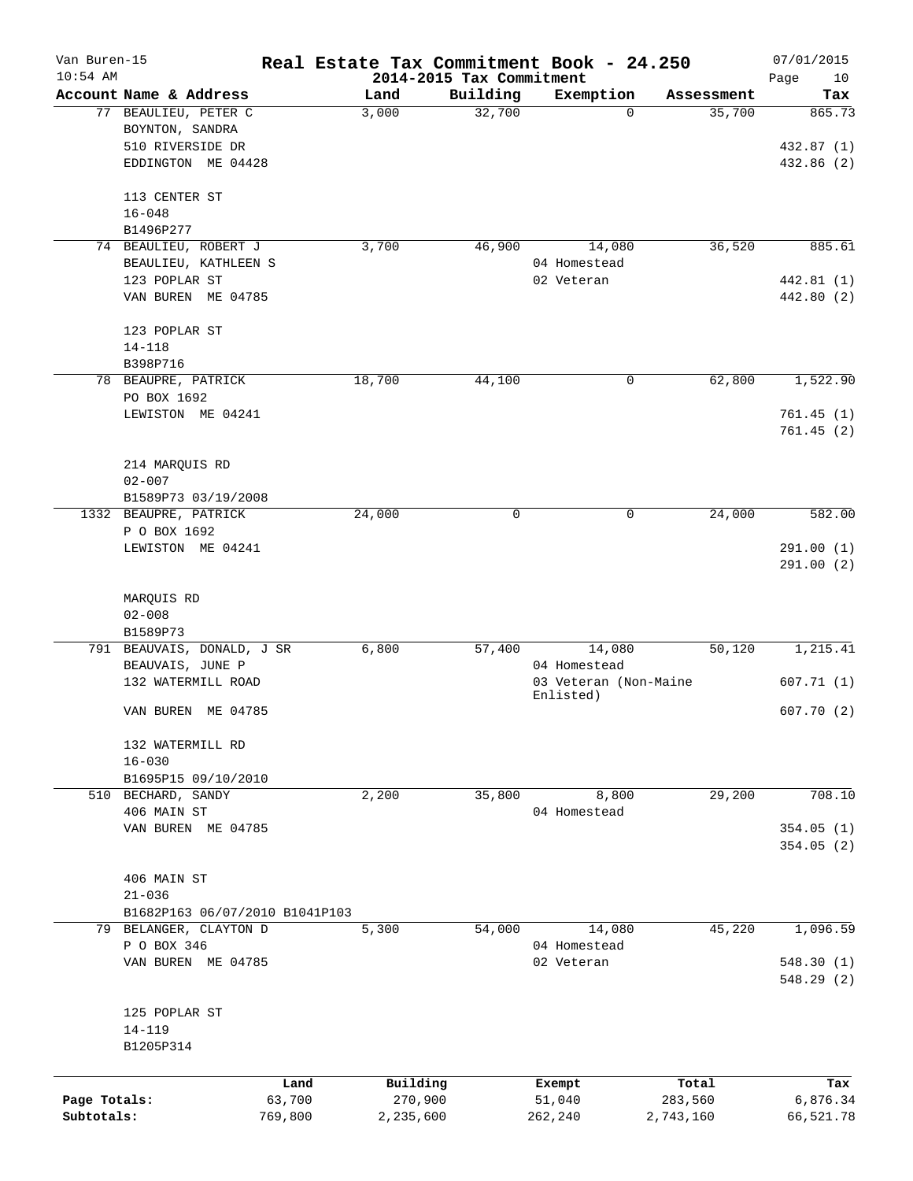| Van Buren-15<br>$10:54$ AM |                                |         | Real Estate Tax Commitment Book - 24.250<br>2014-2015 Tax Commitment |              |                       |            | 07/01/2015<br>Page<br>10 |
|----------------------------|--------------------------------|---------|----------------------------------------------------------------------|--------------|-----------------------|------------|--------------------------|
|                            | Account Name & Address         |         | Land                                                                 | Building     | Exemption             | Assessment | Tax                      |
|                            | 77 BEAULIEU, PETER C           |         | 3,000                                                                | 32,700       | 0                     | 35,700     | 865.73                   |
|                            | BOYNTON, SANDRA                |         |                                                                      |              |                       |            |                          |
|                            | 510 RIVERSIDE DR               |         |                                                                      |              |                       |            | 432.87 (1)               |
|                            | EDDINGTON ME 04428             |         |                                                                      |              |                       |            | 432.86 (2)               |
|                            |                                |         |                                                                      |              |                       |            |                          |
|                            | 113 CENTER ST                  |         |                                                                      |              |                       |            |                          |
|                            | $16 - 048$                     |         |                                                                      |              |                       |            |                          |
|                            | B1496P277                      |         |                                                                      |              |                       |            |                          |
|                            | 74 BEAULIEU, ROBERT J          |         | 3,700                                                                | 46,900       | 14,080                | 36,520     | 885.61                   |
|                            | BEAULIEU, KATHLEEN S           |         |                                                                      |              | 04 Homestead          |            |                          |
|                            | 123 POPLAR ST                  |         |                                                                      |              | 02 Veteran            |            | 442.81 (1)               |
|                            | VAN BUREN ME 04785             |         |                                                                      |              |                       |            | 442.80 (2)               |
|                            |                                |         |                                                                      |              |                       |            |                          |
|                            | 123 POPLAR ST                  |         |                                                                      |              |                       |            |                          |
|                            |                                |         |                                                                      |              |                       |            |                          |
|                            | $14 - 118$                     |         |                                                                      |              |                       |            |                          |
|                            | B398P716                       |         |                                                                      |              |                       |            |                          |
|                            | 78 BEAUPRE, PATRICK            |         | 18,700                                                               | 44,100       | 0                     | 62,800     | 1,522.90                 |
|                            | PO BOX 1692                    |         |                                                                      |              |                       |            |                          |
|                            | LEWISTON ME 04241              |         |                                                                      |              |                       |            | 761.45(1)                |
|                            |                                |         |                                                                      |              |                       |            | 761.45(2)                |
|                            |                                |         |                                                                      |              |                       |            |                          |
|                            | 214 MARQUIS RD                 |         |                                                                      |              |                       |            |                          |
|                            | $02 - 007$                     |         |                                                                      |              |                       |            |                          |
|                            | B1589P73 03/19/2008            |         |                                                                      |              |                       |            |                          |
|                            | 1332 BEAUPRE, PATRICK          |         | 24,000                                                               | $\mathsf{O}$ | 0                     | 24,000     | 582.00                   |
|                            | P O BOX 1692                   |         |                                                                      |              |                       |            |                          |
|                            | LEWISTON ME 04241              |         |                                                                      |              |                       |            | 291.00(1)                |
|                            |                                |         |                                                                      |              |                       |            | 291.00(2)                |
|                            |                                |         |                                                                      |              |                       |            |                          |
|                            | MARQUIS RD                     |         |                                                                      |              |                       |            |                          |
|                            | $02 - 008$                     |         |                                                                      |              |                       |            |                          |
|                            | B1589P73                       |         |                                                                      |              |                       |            |                          |
|                            | 791 BEAUVAIS, DONALD, J SR     |         | 6,800                                                                | 57,400       | 14,080                | 50,120     | 1,215.41                 |
|                            | BEAUVAIS, JUNE P               |         |                                                                      |              | 04 Homestead          |            |                          |
|                            | 132 WATERMILL ROAD             |         |                                                                      |              | 03 Veteran (Non-Maine |            | 607.71(1)                |
|                            |                                |         |                                                                      |              | Enlisted)             |            |                          |
|                            | VAN BUREN ME 04785             |         |                                                                      |              |                       |            | 607.70(2)                |
|                            |                                |         |                                                                      |              |                       |            |                          |
|                            | 132 WATERMILL RD               |         |                                                                      |              |                       |            |                          |
|                            | $16 - 030$                     |         |                                                                      |              |                       |            |                          |
|                            | B1695P15 09/10/2010            |         |                                                                      |              |                       |            |                          |
|                            | 510 BECHARD, SANDY             |         | 2,200                                                                | 35,800       | 8,800                 | 29,200     | 708.10                   |
|                            | 406 MAIN ST                    |         |                                                                      |              | 04 Homestead          |            |                          |
|                            | VAN BUREN ME 04785             |         |                                                                      |              |                       |            | 354.05(1)                |
|                            |                                |         |                                                                      |              |                       |            | 354.05(2)                |
|                            |                                |         |                                                                      |              |                       |            |                          |
|                            | 406 MAIN ST                    |         |                                                                      |              |                       |            |                          |
|                            | $21 - 036$                     |         |                                                                      |              |                       |            |                          |
|                            | B1682P163 06/07/2010 B1041P103 |         |                                                                      |              |                       |            |                          |
|                            | 79 BELANGER, CLAYTON D         |         | 5,300                                                                | 54,000       | 14,080                | 45,220     | 1,096.59                 |
|                            | P O BOX 346                    |         |                                                                      |              | 04 Homestead          |            |                          |
|                            | VAN BUREN ME 04785             |         |                                                                      |              | 02 Veteran            |            | 548.30(1)                |
|                            |                                |         |                                                                      |              |                       |            | 548.29(2)                |
|                            |                                |         |                                                                      |              |                       |            |                          |
|                            | 125 POPLAR ST                  |         |                                                                      |              |                       |            |                          |
|                            | $14 - 119$                     |         |                                                                      |              |                       |            |                          |
|                            | B1205P314                      |         |                                                                      |              |                       |            |                          |
|                            |                                |         |                                                                      |              |                       |            |                          |
|                            |                                | Land    | Building                                                             |              | Exempt                | Total      | Tax                      |
| Page Totals:               |                                | 63,700  | 270,900                                                              |              | 51,040                | 283,560    | 6,876.34                 |
| Subtotals:                 |                                | 769,800 | 2,235,600                                                            |              | 262,240               | 2,743,160  | 66,521.78                |
|                            |                                |         |                                                                      |              |                       |            |                          |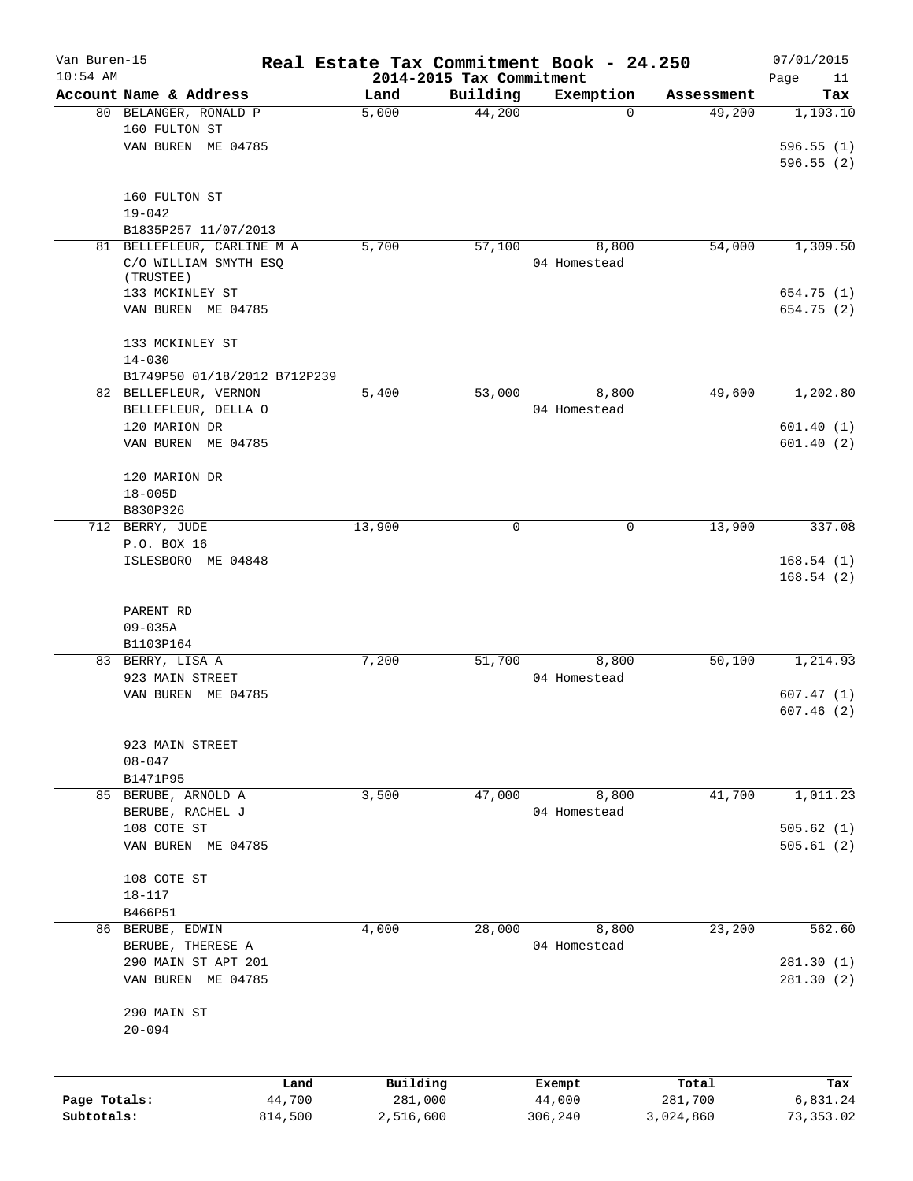| Van Buren-15<br>$10:54$ AM |                                     | Real Estate Tax Commitment Book - 24.250<br>2014-2015 Tax Commitment |          |                       |                  | 07/01/2015<br>11 |
|----------------------------|-------------------------------------|----------------------------------------------------------------------|----------|-----------------------|------------------|------------------|
|                            | Account Name & Address              | Land                                                                 | Building | Exemption             | Assessment       | Page<br>Tax      |
|                            | 80 BELANGER, RONALD P               | 5,000                                                                | 44,200   | $\Omega$              | 49,200           | 1,193.10         |
|                            | 160 FULTON ST                       |                                                                      |          |                       |                  |                  |
|                            | VAN BUREN ME 04785                  |                                                                      |          |                       |                  | 596.55(1)        |
|                            |                                     |                                                                      |          |                       |                  | 596.55(2)        |
|                            |                                     |                                                                      |          |                       |                  |                  |
|                            | 160 FULTON ST                       |                                                                      |          |                       |                  |                  |
|                            | $19 - 042$                          |                                                                      |          |                       |                  |                  |
|                            | B1835P257 11/07/2013                |                                                                      |          |                       |                  |                  |
|                            | 81 BELLEFLEUR, CARLINE M A          | 5,700                                                                | 57,100   | 8,800<br>04 Homestead | 54,000           | 1,309.50         |
|                            | C/O WILLIAM SMYTH ESQ<br>(TRUSTEE)  |                                                                      |          |                       |                  |                  |
|                            | 133 MCKINLEY ST                     |                                                                      |          |                       |                  | 654.75 (1)       |
|                            | VAN BUREN ME 04785                  |                                                                      |          |                       |                  | 654.75 (2)       |
|                            | 133 MCKINLEY ST                     |                                                                      |          |                       |                  |                  |
|                            | $14 - 030$                          |                                                                      |          |                       |                  |                  |
|                            | B1749P50 01/18/2012 B712P239        |                                                                      |          |                       |                  |                  |
|                            | 82 BELLEFLEUR, VERNON               | 5,400                                                                | 53,000   | 8,800                 | 49,600           | 1,202.80         |
|                            | BELLEFLEUR, DELLA O                 |                                                                      |          | 04 Homestead          |                  |                  |
|                            | 120 MARION DR                       |                                                                      |          |                       |                  | 601.40(1)        |
|                            | VAN BUREN ME 04785                  |                                                                      |          |                       |                  | 601.40(2)        |
|                            |                                     |                                                                      |          |                       |                  |                  |
|                            | 120 MARION DR<br>$18 - 005D$        |                                                                      |          |                       |                  |                  |
|                            | B830P326                            |                                                                      |          |                       |                  |                  |
|                            | 712 BERRY, JUDE                     | 13,900                                                               | $\Omega$ | $\mathbf 0$           | 13,900           | 337.08           |
|                            | P.O. BOX 16                         |                                                                      |          |                       |                  |                  |
|                            | ISLESBORO ME 04848                  |                                                                      |          |                       |                  | 168.54(1)        |
|                            |                                     |                                                                      |          |                       |                  | 168.54(2)        |
|                            |                                     |                                                                      |          |                       |                  |                  |
|                            | PARENT RD                           |                                                                      |          |                       |                  |                  |
|                            | $09 - 035A$                         |                                                                      |          |                       |                  |                  |
|                            | B1103P164                           |                                                                      | 51,700   | 8,800                 | 50,100           |                  |
|                            | 83 BERRY, LISA A<br>923 MAIN STREET | 7,200                                                                |          | 04 Homestead          |                  | 1,214.93         |
|                            | VAN BUREN ME 04785                  |                                                                      |          |                       |                  | 607.47(1)        |
|                            |                                     |                                                                      |          |                       |                  | 607.46(2)        |
|                            |                                     |                                                                      |          |                       |                  |                  |
|                            | 923 MAIN STREET                     |                                                                      |          |                       |                  |                  |
|                            | $08 - 047$                          |                                                                      |          |                       |                  |                  |
|                            | B1471P95                            |                                                                      |          |                       |                  |                  |
|                            | 85 BERUBE, ARNOLD A                 | 3,500                                                                | 47,000   | 8,800                 | 41,700           | 1,011.23         |
|                            | BERUBE, RACHEL J                    |                                                                      |          | 04 Homestead          |                  |                  |
|                            | 108 COTE ST                         |                                                                      |          |                       |                  | 505.62(1)        |
|                            | VAN BUREN ME 04785                  |                                                                      |          |                       |                  | 505.61(2)        |
|                            | 108 COTE ST                         |                                                                      |          |                       |                  |                  |
|                            | $18 - 117$                          |                                                                      |          |                       |                  |                  |
|                            | B466P51                             |                                                                      |          |                       |                  |                  |
|                            | 86 BERUBE, EDWIN                    | 4,000                                                                | 28,000   | 8,800                 | 23,200           | 562.60           |
|                            | BERUBE, THERESE A                   |                                                                      |          | 04 Homestead          |                  |                  |
|                            | 290 MAIN ST APT 201                 |                                                                      |          |                       |                  | 281.30 (1)       |
|                            | VAN BUREN ME 04785                  |                                                                      |          |                       |                  | 281.30(2)        |
|                            |                                     |                                                                      |          |                       |                  |                  |
|                            | 290 MAIN ST<br>$20 - 094$           |                                                                      |          |                       |                  |                  |
|                            |                                     |                                                                      |          |                       |                  |                  |
|                            |                                     |                                                                      |          |                       |                  |                  |
| Page Totals:               |                                     | Building<br>Land<br>44,700<br>281,000                                |          | Exempt<br>44,000      | Total<br>281,700 | Tax<br>6,831.24  |
| Subtotals:                 | 814,500                             | 2,516,600                                                            |          | 306,240               | 3,024,860        | 73, 353.02       |
|                            |                                     |                                                                      |          |                       |                  |                  |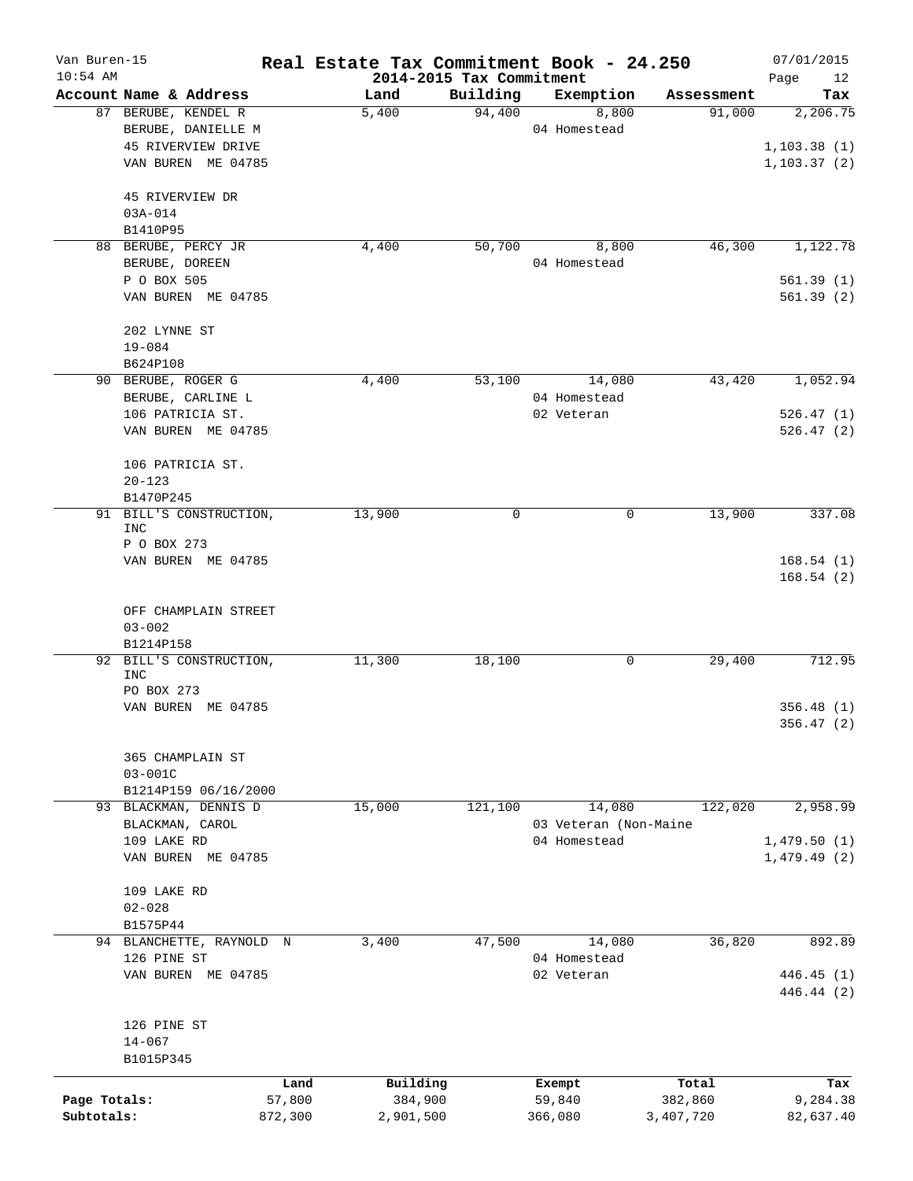| Van Buren-15 |                                    | Real Estate Tax Commitment Book - 24.250 |                          |                       |            | 07/01/2015             |
|--------------|------------------------------------|------------------------------------------|--------------------------|-----------------------|------------|------------------------|
| $10:54$ AM   |                                    |                                          | 2014-2015 Tax Commitment |                       |            | Page<br>12             |
|              | Account Name & Address             | Land                                     | Building                 | Exemption             | Assessment | Tax                    |
|              | 87 BERUBE, KENDEL R                | 5,400                                    | 94,400                   | 8,800                 | 91,000     | 2,206.75               |
|              | BERUBE, DANIELLE M                 |                                          |                          | 04 Homestead          |            |                        |
|              | 45 RIVERVIEW DRIVE                 |                                          |                          |                       |            | 1,103.38(1)            |
|              | VAN BUREN ME 04785                 |                                          |                          |                       |            | 1,103.37(2)            |
|              | 45 RIVERVIEW DR                    |                                          |                          |                       |            |                        |
|              | $03A - 014$                        |                                          |                          |                       |            |                        |
|              | B1410P95                           |                                          |                          |                       |            |                        |
|              | 88 BERUBE, PERCY JR                | 4,400                                    | 50,700                   | 8,800                 | 46,300     | 1,122.78               |
|              | BERUBE, DOREEN                     |                                          |                          | 04 Homestead          |            |                        |
|              | P O BOX 505                        |                                          |                          |                       |            | 561.39(1)              |
|              | VAN BUREN ME 04785                 |                                          |                          |                       |            | 561.39(2)              |
|              | 202 LYNNE ST                       |                                          |                          |                       |            |                        |
|              | $19 - 084$                         |                                          |                          |                       |            |                        |
|              | B624P108                           |                                          |                          |                       |            |                        |
|              | 90 BERUBE, ROGER G                 | 4,400                                    | 53,100                   | 14,080                | 43,420     | 1,052.94               |
|              | BERUBE, CARLINE L                  |                                          |                          | 04 Homestead          |            |                        |
|              | 106 PATRICIA ST.                   |                                          |                          | 02 Veteran            |            | 526.47(1)              |
|              | VAN BUREN ME 04785                 |                                          |                          |                       |            | 526.47(2)              |
|              | 106 PATRICIA ST.                   |                                          |                          |                       |            |                        |
|              | $20 - 123$                         |                                          |                          |                       |            |                        |
|              | B1470P245                          |                                          |                          |                       |            |                        |
|              | 91 BILL'S CONSTRUCTION,            | 13,900                                   | 0                        | 0                     | 13,900     | 337.08                 |
|              | INC                                |                                          |                          |                       |            |                        |
|              | P O BOX 273                        |                                          |                          |                       |            |                        |
|              | VAN BUREN ME 04785                 |                                          |                          |                       |            | 168.54(1)<br>168.54(2) |
|              | OFF CHAMPLAIN STREET<br>$03 - 002$ |                                          |                          |                       |            |                        |
|              | B1214P158                          |                                          |                          |                       |            |                        |
|              | 92 BILL'S CONSTRUCTION,            | 11,300                                   | 18,100                   | 0                     | 29,400     | 712.95                 |
|              | INC                                |                                          |                          |                       |            |                        |
|              | PO BOX 273                         |                                          |                          |                       |            |                        |
|              | VAN BUREN ME 04785                 |                                          |                          |                       |            | 356.48(1)              |
|              |                                    |                                          |                          |                       |            | 356.47 (2)             |
|              |                                    |                                          |                          |                       |            |                        |
|              | 365 CHAMPLAIN ST                   |                                          |                          |                       |            |                        |
|              | $03 - 001C$                        |                                          |                          |                       |            |                        |
|              | B1214P159 06/16/2000               |                                          |                          |                       |            |                        |
|              | 93 BLACKMAN, DENNIS D              | 15,000                                   | 121,100                  | 14,080                | 122,020    | 2,958.99               |
|              | BLACKMAN, CAROL                    |                                          |                          | 03 Veteran (Non-Maine |            |                        |
|              | 109 LAKE RD                        |                                          |                          | 04 Homestead          |            | 1,479.50(1)            |
|              | VAN BUREN ME 04785                 |                                          |                          |                       |            | 1,479.49(2)            |
|              | 109 LAKE RD                        |                                          |                          |                       |            |                        |
|              | $02 - 028$                         |                                          |                          |                       |            |                        |
|              | B1575P44                           |                                          |                          |                       |            |                        |
|              | 94 BLANCHETTE, RAYNOLD N           | 3,400                                    | 47,500                   | 14,080                | 36,820     | 892.89                 |
|              | 126 PINE ST                        |                                          |                          | 04 Homestead          |            |                        |
|              | VAN BUREN ME 04785                 |                                          |                          | 02 Veteran            |            | 446.45 (1)             |
|              |                                    |                                          |                          |                       |            | 446.44 (2)             |
|              | 126 PINE ST                        |                                          |                          |                       |            |                        |
|              | $14 - 067$                         |                                          |                          |                       |            |                        |
|              | B1015P345                          |                                          |                          |                       |            |                        |
|              |                                    |                                          |                          |                       |            |                        |
|              |                                    | Building<br>Land                         |                          | Exempt                | Total      | Tax                    |
| Page Totals: | 57,800                             | 384,900                                  |                          | 59,840                | 382,860    | 9,284.38               |
| Subtotals:   | 872,300                            | 2,901,500                                |                          | 366,080               | 3,407,720  | 82,637.40              |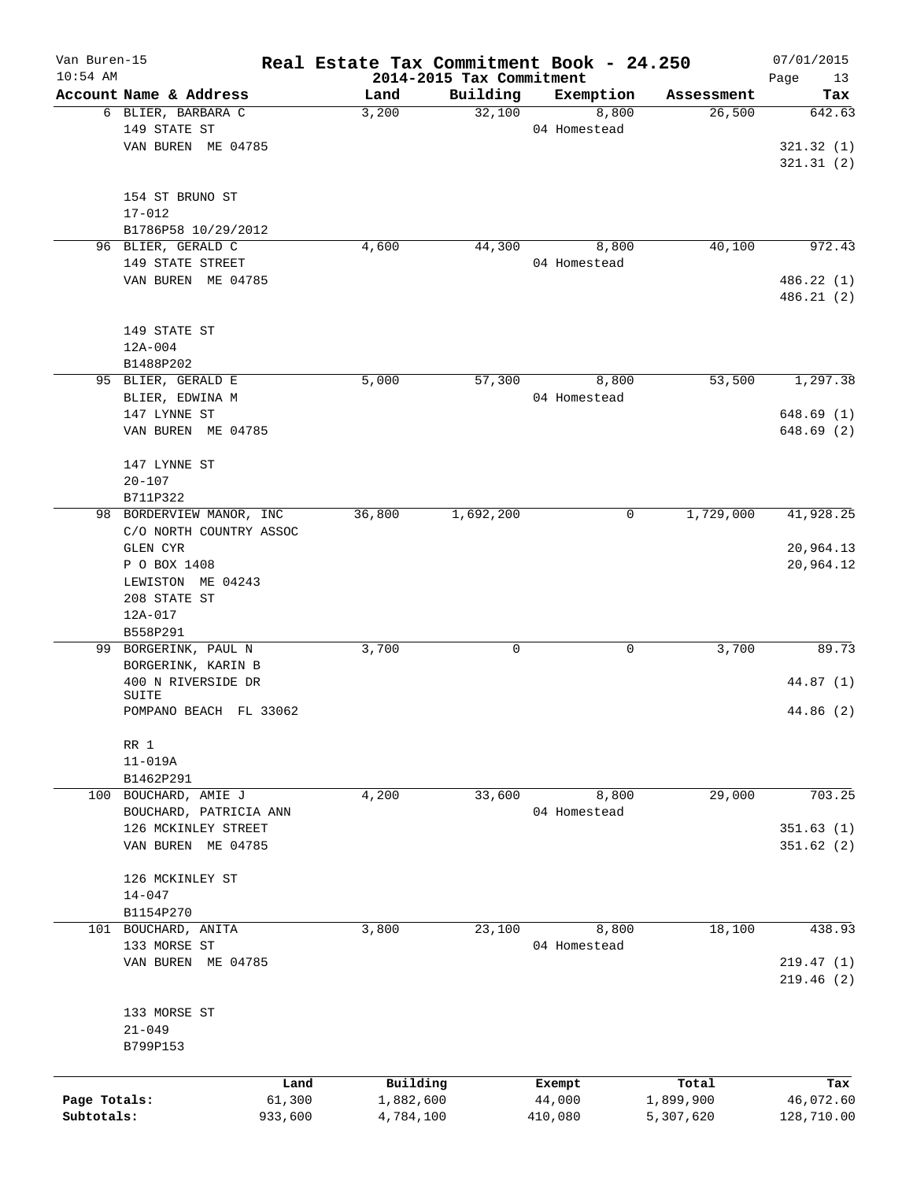| Van Buren-15<br>$10:54$ AM |                                    | Real Estate Tax Commitment Book - 24.250 | 2014-2015 Tax Commitment |                  |                    | 07/01/2015<br>13<br>Page |
|----------------------------|------------------------------------|------------------------------------------|--------------------------|------------------|--------------------|--------------------------|
|                            | Account Name & Address             | Land                                     | Building                 | Exemption        | Assessment         | Tax                      |
|                            | 6 BLIER, BARBARA C                 | 3,200                                    | 32,100                   | 8,800            | 26,500             | 642.63                   |
|                            | 149 STATE ST                       |                                          |                          | 04 Homestead     |                    |                          |
|                            | VAN BUREN ME 04785                 |                                          |                          |                  |                    | 321.32(1)                |
|                            |                                    |                                          |                          |                  |                    | 321.31(2)                |
|                            | 154 ST BRUNO ST                    |                                          |                          |                  |                    |                          |
|                            | $17 - 012$                         |                                          |                          |                  |                    |                          |
|                            | B1786P58 10/29/2012                |                                          |                          |                  |                    |                          |
|                            | 96 BLIER, GERALD C                 | 4,600                                    | 44,300                   | 8,800            | 40,100             | 972.43                   |
|                            | 149 STATE STREET                   |                                          |                          | 04 Homestead     |                    |                          |
|                            | VAN BUREN ME 04785                 |                                          |                          |                  |                    | 486.22 (1)               |
|                            |                                    |                                          |                          |                  |                    | 486.21 (2)               |
|                            |                                    |                                          |                          |                  |                    |                          |
|                            | 149 STATE ST                       |                                          |                          |                  |                    |                          |
|                            | $12A-004$                          |                                          |                          |                  |                    |                          |
|                            | B1488P202                          |                                          |                          |                  |                    |                          |
|                            | 95 BLIER, GERALD E                 | 5,000                                    | 57,300                   | 8,800            | 53,500             | 1,297.38                 |
|                            | BLIER, EDWINA M                    |                                          |                          | 04 Homestead     |                    |                          |
|                            | 147 LYNNE ST<br>VAN BUREN ME 04785 |                                          |                          |                  |                    | 648.69(1)<br>648.69 (2)  |
|                            |                                    |                                          |                          |                  |                    |                          |
|                            | 147 LYNNE ST                       |                                          |                          |                  |                    |                          |
|                            | $20 - 107$                         |                                          |                          |                  |                    |                          |
|                            | B711P322                           |                                          |                          |                  |                    |                          |
|                            | 98 BORDERVIEW MANOR, INC           | 36,800                                   | 1,692,200                | 0                | 1,729,000          | 41,928.25                |
|                            | C/O NORTH COUNTRY ASSOC            |                                          |                          |                  |                    |                          |
|                            | <b>GLEN CYR</b>                    |                                          |                          |                  |                    | 20,964.13                |
|                            | P O BOX 1408                       |                                          |                          |                  |                    | 20,964.12                |
|                            | LEWISTON ME 04243                  |                                          |                          |                  |                    |                          |
|                            | 208 STATE ST                       |                                          |                          |                  |                    |                          |
|                            | 12A-017                            |                                          |                          |                  |                    |                          |
|                            | B558P291                           |                                          |                          |                  |                    |                          |
| 99                         | BORGERINK, PAUL N                  | 3,700                                    | 0                        | 0                | 3,700              | 89.73                    |
|                            | BORGERINK, KARIN B                 |                                          |                          |                  |                    |                          |
|                            | 400 N RIVERSIDE DR                 |                                          |                          |                  |                    | 44.87 (1)                |
|                            | SUITE<br>POMPANO BEACH FL 33062    |                                          |                          |                  |                    | 44.86 (2)                |
|                            |                                    |                                          |                          |                  |                    |                          |
|                            | RR 1                               |                                          |                          |                  |                    |                          |
|                            | $11 - 019A$                        |                                          |                          |                  |                    |                          |
|                            | B1462P291                          |                                          |                          |                  |                    |                          |
|                            | 100 BOUCHARD, AMIE J               | 4,200                                    | 33,600                   | 8,800            | 29,000             | 703.25                   |
|                            | BOUCHARD, PATRICIA ANN             |                                          |                          | 04 Homestead     |                    |                          |
|                            | 126 MCKINLEY STREET                |                                          |                          |                  |                    | 351.63(1)                |
|                            | VAN BUREN ME 04785                 |                                          |                          |                  |                    | 351.62(2)                |
|                            | 126 MCKINLEY ST                    |                                          |                          |                  |                    |                          |
|                            | $14 - 047$                         |                                          |                          |                  |                    |                          |
|                            | B1154P270                          |                                          |                          |                  |                    |                          |
|                            | 101 BOUCHARD, ANITA                | 3,800                                    | 23,100                   | 8,800            | 18,100             | 438.93                   |
|                            | 133 MORSE ST                       |                                          |                          | 04 Homestead     |                    |                          |
|                            | VAN BUREN ME 04785                 |                                          |                          |                  |                    | 219.47(1)                |
|                            |                                    |                                          |                          |                  |                    | 219.46(2)                |
|                            |                                    |                                          |                          |                  |                    |                          |
|                            | 133 MORSE ST                       |                                          |                          |                  |                    |                          |
|                            | $21 - 049$                         |                                          |                          |                  |                    |                          |
|                            | B799P153                           |                                          |                          |                  |                    |                          |
|                            |                                    |                                          |                          |                  |                    |                          |
| Page Totals:               | Land<br>61,300                     | Building<br>1,882,600                    |                          | Exempt<br>44,000 | Total<br>1,899,900 | Tax<br>46,072.60         |
| Subtotals:                 | 933,600                            | 4,784,100                                |                          | 410,080          | 5,307,620          | 128,710.00               |
|                            |                                    |                                          |                          |                  |                    |                          |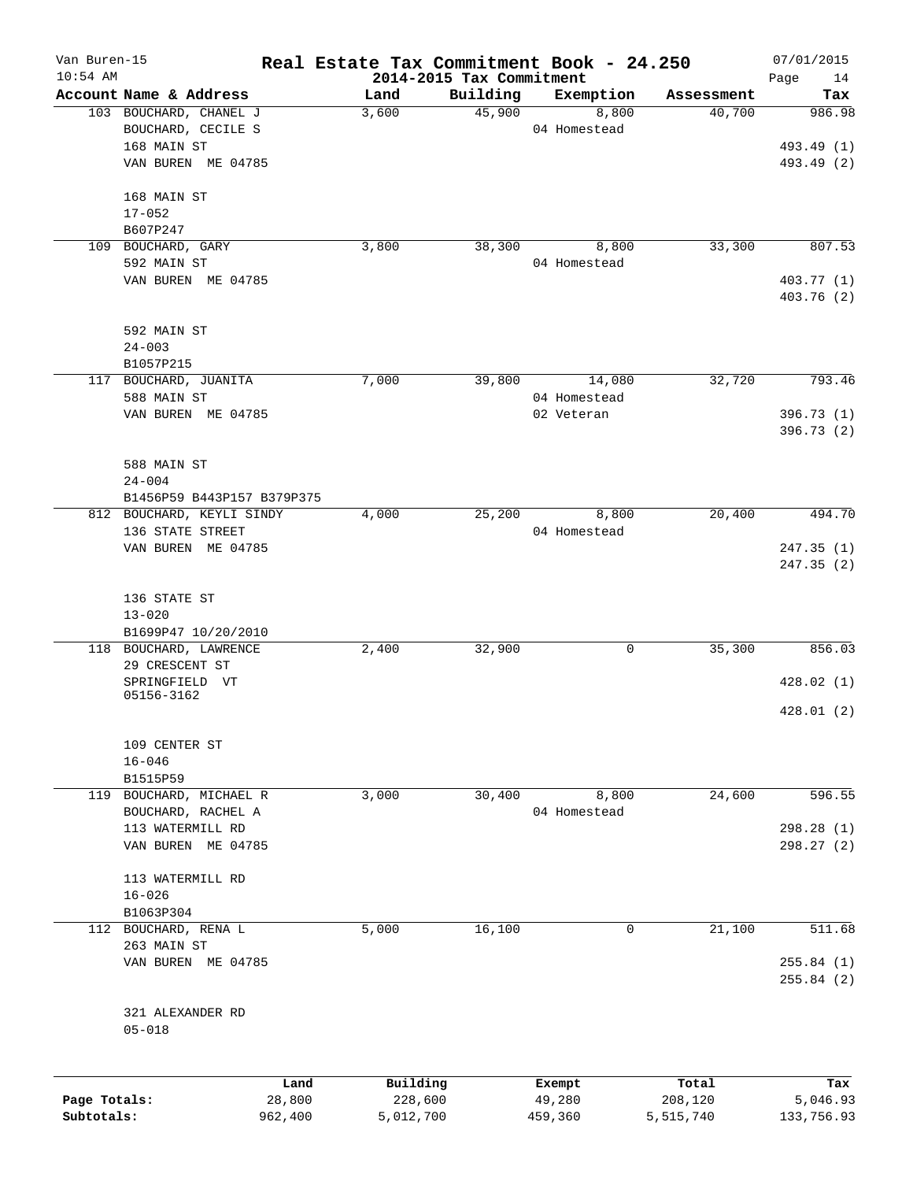| Van Buren-15 |                                        | Real Estate Tax Commitment Book - 24.250 |          |              |            | 07/01/2015        |
|--------------|----------------------------------------|------------------------------------------|----------|--------------|------------|-------------------|
| $10:54$ AM   | Account Name & Address                 | 2014-2015 Tax Commitment<br>Land         | Building | Exemption    | Assessment | Page<br>14<br>Tax |
|              | 103 BOUCHARD, CHANEL J                 | 3,600                                    | 45,900   | 8,800        | 40,700     | 986.98            |
|              | BOUCHARD, CECILE S                     |                                          |          | 04 Homestead |            |                   |
|              | 168 MAIN ST                            |                                          |          |              |            | 493.49 (1)        |
|              | VAN BUREN ME 04785                     |                                          |          |              |            | 493.49 (2)        |
|              |                                        |                                          |          |              |            |                   |
|              | 168 MAIN ST                            |                                          |          |              |            |                   |
|              | $17 - 052$                             |                                          |          |              |            |                   |
|              | B607P247                               |                                          |          |              |            |                   |
|              | 109 BOUCHARD, GARY                     | 3,800                                    | 38,300   | 8,800        | 33,300     | 807.53            |
|              | 592 MAIN ST                            |                                          |          | 04 Homestead |            |                   |
|              | VAN BUREN ME 04785                     |                                          |          |              |            | 403.77 (1)        |
|              |                                        |                                          |          |              |            | 403.76 (2)        |
|              |                                        |                                          |          |              |            |                   |
|              | 592 MAIN ST                            |                                          |          |              |            |                   |
|              | $24 - 003$                             |                                          |          |              |            |                   |
|              | B1057P215                              |                                          |          |              |            |                   |
|              | 117 BOUCHARD, JUANITA                  | 7,000                                    | 39,800   | 14,080       | 32,720     | 793.46            |
|              | 588 MAIN ST                            |                                          |          | 04 Homestead |            |                   |
|              | VAN BUREN ME 04785                     |                                          |          | 02 Veteran   |            | 396.73 (1)        |
|              |                                        |                                          |          |              |            | 396.73(2)         |
|              |                                        |                                          |          |              |            |                   |
|              | 588 MAIN ST                            |                                          |          |              |            |                   |
|              | $24 - 004$                             |                                          |          |              |            |                   |
|              | B1456P59 B443P157 B379P375             |                                          |          |              |            |                   |
|              | 812 BOUCHARD, KEYLI SINDY              | 4,000                                    | 25,200   | 8,800        | 20,400     | 494.70            |
|              | 136 STATE STREET                       |                                          |          | 04 Homestead |            |                   |
|              | VAN BUREN ME 04785                     |                                          |          |              |            | 247.35(1)         |
|              |                                        |                                          |          |              |            | 247.35 (2)        |
|              |                                        |                                          |          |              |            |                   |
|              | 136 STATE ST                           |                                          |          |              |            |                   |
|              | $13 - 020$                             |                                          |          |              |            |                   |
|              | B1699P47 10/20/2010                    |                                          |          |              |            |                   |
|              | 118 BOUCHARD, LAWRENCE                 | 2,400                                    | 32,900   | 0            | 35,300     | 856.03            |
|              | 29 CRESCENT ST                         |                                          |          |              |            |                   |
|              | SPRINGFIELD VT                         |                                          |          |              |            | 428.02(1)         |
|              | 05156-3162                             |                                          |          |              |            |                   |
|              |                                        |                                          |          |              |            | 428.01(2)         |
|              | 109 CENTER ST                          |                                          |          |              |            |                   |
|              |                                        |                                          |          |              |            |                   |
|              | $16 - 046$                             |                                          |          |              |            |                   |
|              | B1515P59<br>119 BOUCHARD, MICHAEL R    |                                          |          | 8,800        |            | 596.55            |
|              |                                        | 3,000                                    | 30,400   |              | 24,600     |                   |
|              | BOUCHARD, RACHEL A<br>113 WATERMILL RD |                                          |          | 04 Homestead |            |                   |
|              |                                        |                                          |          |              |            | 298.28(1)         |
|              | VAN BUREN ME 04785                     |                                          |          |              |            | 298.27 (2)        |
|              |                                        |                                          |          |              |            |                   |
|              | 113 WATERMILL RD                       |                                          |          |              |            |                   |
|              | $16 - 026$                             |                                          |          |              |            |                   |
|              | B1063P304                              |                                          |          |              |            |                   |
|              | 112 BOUCHARD, RENA L                   | 5,000                                    | 16,100   | 0            | 21,100     | 511.68            |
|              | 263 MAIN ST                            |                                          |          |              |            |                   |
|              | VAN BUREN ME 04785                     |                                          |          |              |            | 255.84(1)         |
|              |                                        |                                          |          |              |            | 255.84(2)         |
|              |                                        |                                          |          |              |            |                   |
|              | 321 ALEXANDER RD                       |                                          |          |              |            |                   |
|              | $05 - 018$                             |                                          |          |              |            |                   |
|              |                                        |                                          |          |              |            |                   |
|              | Land                                   | Building                                 |          | Exempt       | Total      | Tax               |
| Page Totals: | 28,800                                 | 228,600                                  |          | 49,280       | 208,120    | 5,046.93          |
| Subtotals:   | 962,400                                | 5,012,700                                |          | 459,360      | 5,515,740  | 133,756.93        |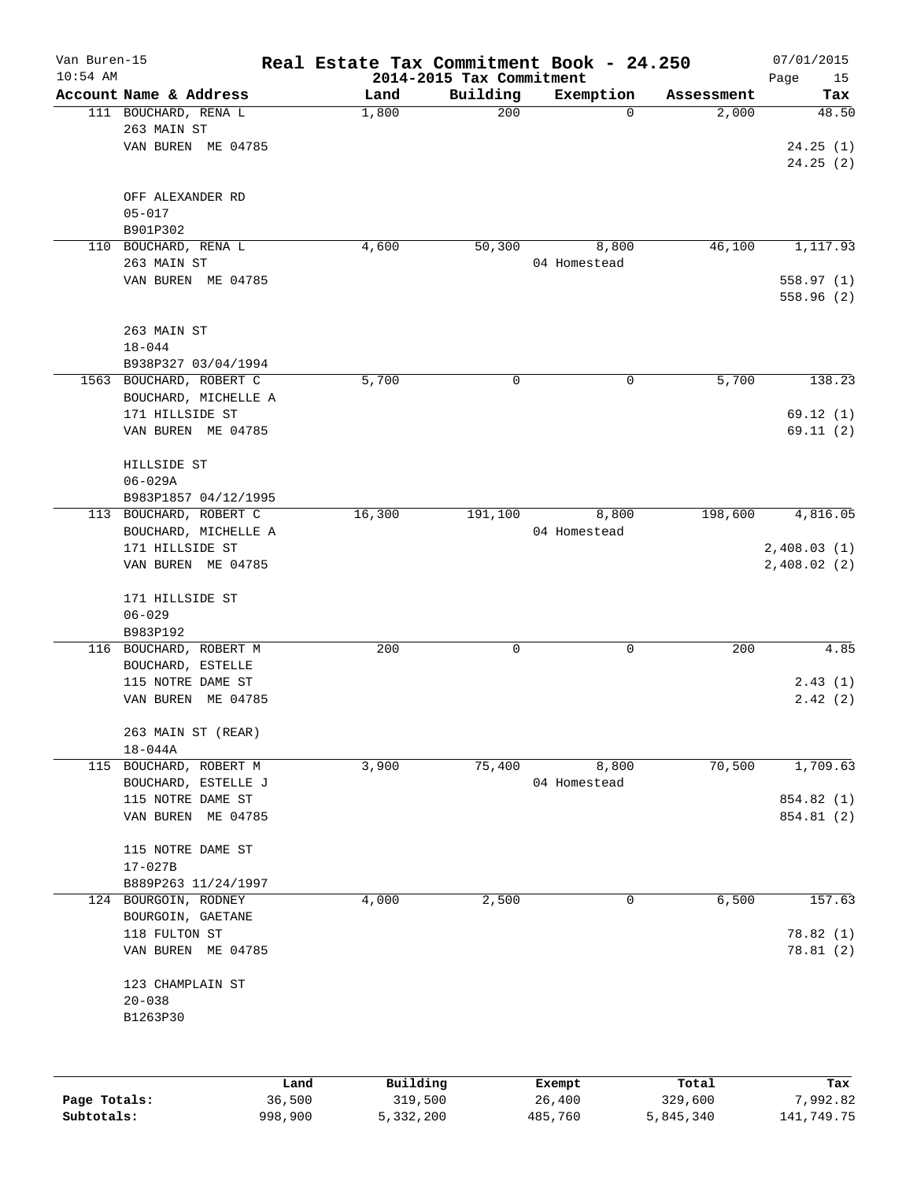| Van Buren-15<br>$10:54$ AM |                         | Real Estate Tax Commitment Book - 24.250 | 2014-2015 Tax Commitment |                   |                      | 07/01/2015<br>Page<br>15 |
|----------------------------|-------------------------|------------------------------------------|--------------------------|-------------------|----------------------|--------------------------|
|                            | Account Name & Address  | Land                                     | Building                 | Exemption         | Assessment           | Tax                      |
|                            | 111 BOUCHARD, RENA L    | 1,800                                    | 200                      | $\Omega$          | 2,000                | 48.50                    |
|                            | 263 MAIN ST             |                                          |                          |                   |                      |                          |
|                            | VAN BUREN ME 04785      |                                          |                          |                   |                      | 24.25(1)                 |
|                            |                         |                                          |                          |                   |                      | 24.25(2)                 |
|                            |                         |                                          |                          |                   |                      |                          |
|                            | OFF ALEXANDER RD        |                                          |                          |                   |                      |                          |
|                            | $05 - 017$              |                                          |                          |                   |                      |                          |
|                            | B901P302                |                                          |                          |                   |                      |                          |
|                            | 110 BOUCHARD, RENA L    | 4,600                                    | 50,300                   | 8,800             | 46,100               | 1,117.93                 |
|                            | 263 MAIN ST             |                                          |                          | 04 Homestead      |                      |                          |
|                            | VAN BUREN ME 04785      |                                          |                          |                   |                      |                          |
|                            |                         |                                          |                          |                   |                      | 558.97(1)                |
|                            |                         |                                          |                          |                   |                      | 558.96(2)                |
|                            |                         |                                          |                          |                   |                      |                          |
|                            | 263 MAIN ST             |                                          |                          |                   |                      |                          |
|                            | $18 - 044$              |                                          |                          |                   |                      |                          |
|                            | B938P327 03/04/1994     |                                          |                          |                   |                      |                          |
|                            | 1563 BOUCHARD, ROBERT C | 5,700                                    | 0                        | $\mathbf 0$       | 5,700                | 138.23                   |
|                            | BOUCHARD, MICHELLE A    |                                          |                          |                   |                      |                          |
|                            | 171 HILLSIDE ST         |                                          |                          |                   |                      | 69.12(1)                 |
|                            | VAN BUREN ME 04785      |                                          |                          |                   |                      | 69.11(2)                 |
|                            |                         |                                          |                          |                   |                      |                          |
|                            | HILLSIDE ST             |                                          |                          |                   |                      |                          |
|                            | $06 - 029A$             |                                          |                          |                   |                      |                          |
|                            | B983P1857 04/12/1995    |                                          |                          |                   |                      |                          |
|                            | 113 BOUCHARD, ROBERT C  | 16,300                                   | 191,100                  | 8,800             | 198,600              | 4,816.05                 |
|                            | BOUCHARD, MICHELLE A    |                                          |                          | 04 Homestead      |                      |                          |
|                            | 171 HILLSIDE ST         |                                          |                          |                   |                      | 2,408.03(1)              |
|                            | VAN BUREN ME 04785      |                                          |                          |                   |                      | 2,408.02(2)              |
|                            |                         |                                          |                          |                   |                      |                          |
|                            | 171 HILLSIDE ST         |                                          |                          |                   |                      |                          |
|                            | $06 - 029$              |                                          |                          |                   |                      |                          |
|                            | B983P192                |                                          |                          |                   |                      |                          |
|                            | 116 BOUCHARD, ROBERT M  | 200                                      | 0                        | $\mathsf{O}$      | 200                  | 4.85                     |
|                            | BOUCHARD, ESTELLE       |                                          |                          |                   |                      |                          |
|                            |                         |                                          |                          |                   |                      |                          |
|                            | 115 NOTRE DAME ST       |                                          |                          |                   |                      | 2.43(1)                  |
|                            | ME 04785<br>VAN BUREN   |                                          |                          |                   |                      | 2.42(2)                  |
|                            |                         |                                          |                          |                   |                      |                          |
|                            | 263 MAIN ST (REAR)      |                                          |                          |                   |                      |                          |
|                            | $18 - 044A$             |                                          |                          |                   |                      |                          |
|                            | 115 BOUCHARD, ROBERT M  | 3,900                                    | 75,400                   | 8,800             | 70,500               | 1,709.63                 |
|                            | BOUCHARD, ESTELLE J     |                                          |                          | 04 Homestead      |                      |                          |
|                            | 115 NOTRE DAME ST       |                                          |                          |                   |                      | 854.82 (1)               |
|                            | VAN BUREN ME 04785      |                                          |                          |                   |                      | 854.81 (2)               |
|                            |                         |                                          |                          |                   |                      |                          |
|                            | 115 NOTRE DAME ST       |                                          |                          |                   |                      |                          |
|                            | $17 - 027B$             |                                          |                          |                   |                      |                          |
|                            | B889P263 11/24/1997     |                                          |                          |                   |                      |                          |
|                            | 124 BOURGOIN, RODNEY    | 4,000                                    | 2,500                    | $\mathsf{O}$      | 6,500                | 157.63                   |
|                            | BOURGOIN, GAETANE       |                                          |                          |                   |                      |                          |
|                            | 118 FULTON ST           |                                          |                          |                   |                      | 78.82 (1)                |
|                            | VAN BUREN ME 04785      |                                          |                          |                   |                      | 78.81(2)                 |
|                            |                         |                                          |                          |                   |                      |                          |
|                            | 123 CHAMPLAIN ST        |                                          |                          |                   |                      |                          |
|                            | $20 - 038$              |                                          |                          |                   |                      |                          |
|                            | B1263P30                |                                          |                          |                   |                      |                          |
|                            |                         |                                          |                          |                   |                      |                          |
|                            |                         |                                          |                          |                   |                      |                          |
|                            |                         |                                          |                          |                   |                      |                          |
|                            |                         | Building<br>Land                         |                          | Exempt            | Total                | Tax                      |
| Page Totals:<br>Subtotals: | 36,500<br>998,900       | 319,500<br>5,332,200                     |                          | 26,400<br>485,760 | 329,600<br>5,845,340 | 7,992.82<br>141,749.75   |
|                            |                         |                                          |                          |                   |                      |                          |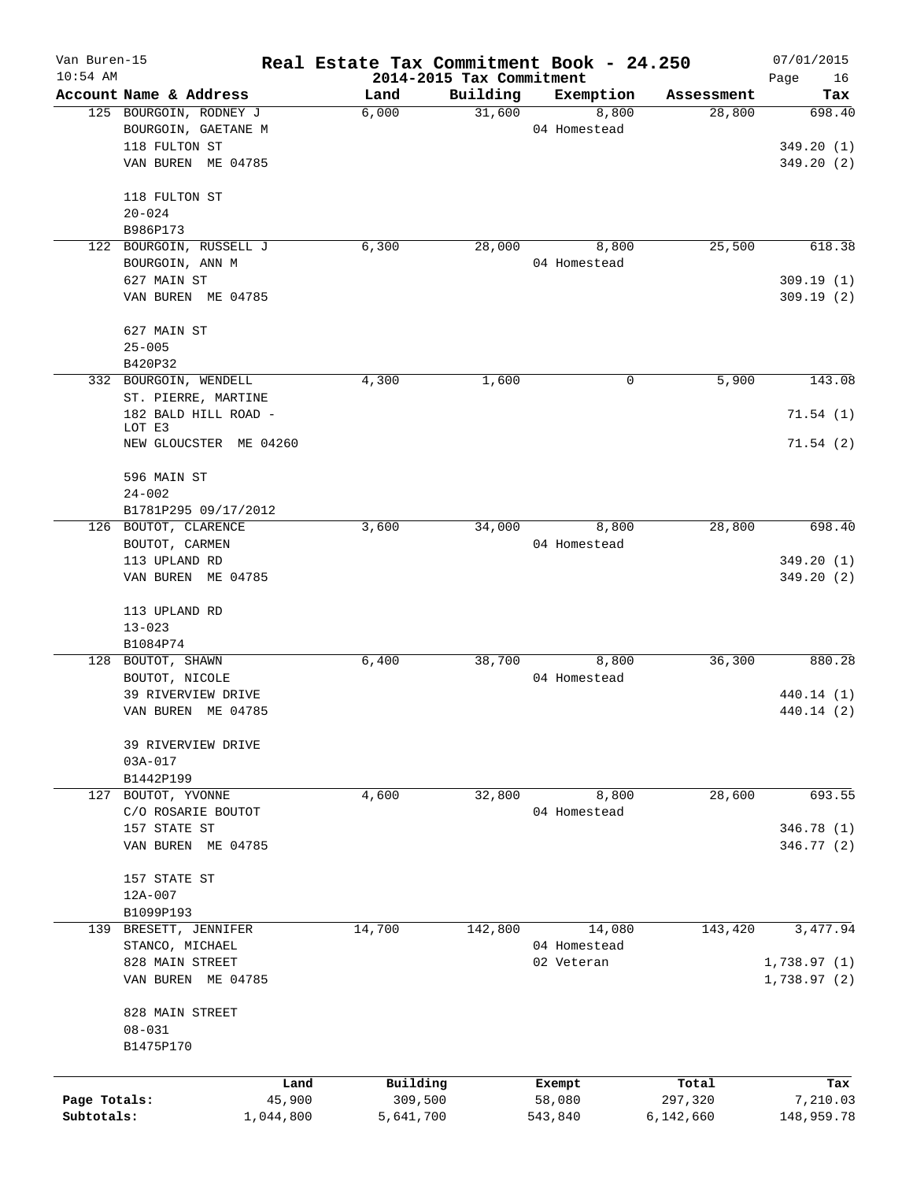| Van Buren-15<br>$10:54$ AM |                         |           | Real Estate Tax Commitment Book - 24.250 | 2014-2015 Tax Commitment |              |            | 07/01/2015<br>Page<br>16 |
|----------------------------|-------------------------|-----------|------------------------------------------|--------------------------|--------------|------------|--------------------------|
|                            | Account Name & Address  |           | Land                                     | Building                 | Exemption    | Assessment | Tax                      |
|                            | 125 BOURGOIN, RODNEY J  |           | 6,000                                    | 31,600                   | 8,800        | 28,800     | 698.40                   |
|                            | BOURGOIN, GAETANE M     |           |                                          |                          | 04 Homestead |            |                          |
|                            | 118 FULTON ST           |           |                                          |                          |              |            | 349.20(1)                |
|                            | VAN BUREN ME 04785      |           |                                          |                          |              |            | 349.20(2)                |
|                            | 118 FULTON ST           |           |                                          |                          |              |            |                          |
|                            | $20 - 024$              |           |                                          |                          |              |            |                          |
|                            | B986P173                |           |                                          |                          |              |            |                          |
|                            | 122 BOURGOIN, RUSSELL J |           | 6,300                                    | 28,000                   | 8,800        | 25,500     | 618.38                   |
|                            | BOURGOIN, ANN M         |           |                                          |                          | 04 Homestead |            |                          |
|                            | 627 MAIN ST             |           |                                          |                          |              |            | 309.19(1)                |
|                            | VAN BUREN ME 04785      |           |                                          |                          |              |            | 309.19(2)                |
|                            | 627 MAIN ST             |           |                                          |                          |              |            |                          |
|                            | $25 - 005$              |           |                                          |                          |              |            |                          |
|                            | B420P32                 |           |                                          |                          |              |            |                          |
|                            | 332 BOURGOIN, WENDELL   |           | 4,300                                    | 1,600                    | 0            | 5,900      | 143.08                   |
|                            | ST. PIERRE, MARTINE     |           |                                          |                          |              |            |                          |
|                            | 182 BALD HILL ROAD -    |           |                                          |                          |              |            | 71.54(1)                 |
|                            | LOT E3                  |           |                                          |                          |              |            |                          |
|                            | NEW GLOUCSTER ME 04260  |           |                                          |                          |              |            | 71.54(2)                 |
|                            | 596 MAIN ST             |           |                                          |                          |              |            |                          |
|                            | $24 - 002$              |           |                                          |                          |              |            |                          |
|                            | B1781P295 09/17/2012    |           |                                          |                          |              |            |                          |
|                            | 126 BOUTOT, CLARENCE    |           | 3,600                                    | 34,000                   | 8,800        | 28,800     | 698.40                   |
|                            | BOUTOT, CARMEN          |           |                                          |                          | 04 Homestead |            |                          |
|                            | 113 UPLAND RD           |           |                                          |                          |              |            | 349.20(1)                |
|                            | VAN BUREN ME 04785      |           |                                          |                          |              |            | 349.20 (2)               |
|                            | 113 UPLAND RD           |           |                                          |                          |              |            |                          |
|                            | $13 - 023$              |           |                                          |                          |              |            |                          |
|                            | B1084P74                |           |                                          |                          |              |            |                          |
|                            | 128 BOUTOT, SHAWN       |           | 6,400                                    | 38,700                   | 8,800        | 36,300     | 880.28                   |
|                            | BOUTOT, NICOLE          |           |                                          |                          | 04 Homestead |            |                          |
|                            | 39 RIVERVIEW DRIVE      |           |                                          |                          |              |            | 440.14 (1)               |
|                            | VAN BUREN ME 04785      |           |                                          |                          |              |            | 440.14 (2)               |
|                            | 39 RIVERVIEW DRIVE      |           |                                          |                          |              |            |                          |
|                            | 03A-017                 |           |                                          |                          |              |            |                          |
|                            | B1442P199               |           |                                          |                          |              |            |                          |
|                            | 127 BOUTOT, YVONNE      |           | 4,600                                    | 32,800                   | 8,800        | 28,600     | 693.55                   |
|                            | C/O ROSARIE BOUTOT      |           |                                          |                          | 04 Homestead |            |                          |
|                            | 157 STATE ST            |           |                                          |                          |              |            | 346.78 (1)               |
|                            | VAN BUREN ME 04785      |           |                                          |                          |              |            | 346.77 (2)               |
|                            | 157 STATE ST            |           |                                          |                          |              |            |                          |
|                            | 12A-007                 |           |                                          |                          |              |            |                          |
|                            | B1099P193               |           |                                          |                          |              |            |                          |
|                            | 139 BRESETT, JENNIFER   |           | 14,700                                   | 142,800                  | 14,080       | 143,420    | 3,477.94                 |
|                            | STANCO, MICHAEL         |           |                                          |                          | 04 Homestead |            |                          |
|                            | 828 MAIN STREET         |           |                                          |                          | 02 Veteran   |            | 1,738.97(1)              |
|                            | VAN BUREN ME 04785      |           |                                          |                          |              |            | 1,738.97 (2)             |
|                            | 828 MAIN STREET         |           |                                          |                          |              |            |                          |
|                            | $08 - 031$              |           |                                          |                          |              |            |                          |
|                            | B1475P170               |           |                                          |                          |              |            |                          |
|                            |                         | Land      | Building                                 |                          | Exempt       | Total      | Tax                      |
| Page Totals:               |                         | 45,900    | 309,500                                  |                          | 58,080       | 297,320    | 7,210.03                 |
| Subtotals:                 |                         | 1,044,800 | 5,641,700                                |                          | 543,840      | 6,142,660  | 148,959.78               |
|                            |                         |           |                                          |                          |              |            |                          |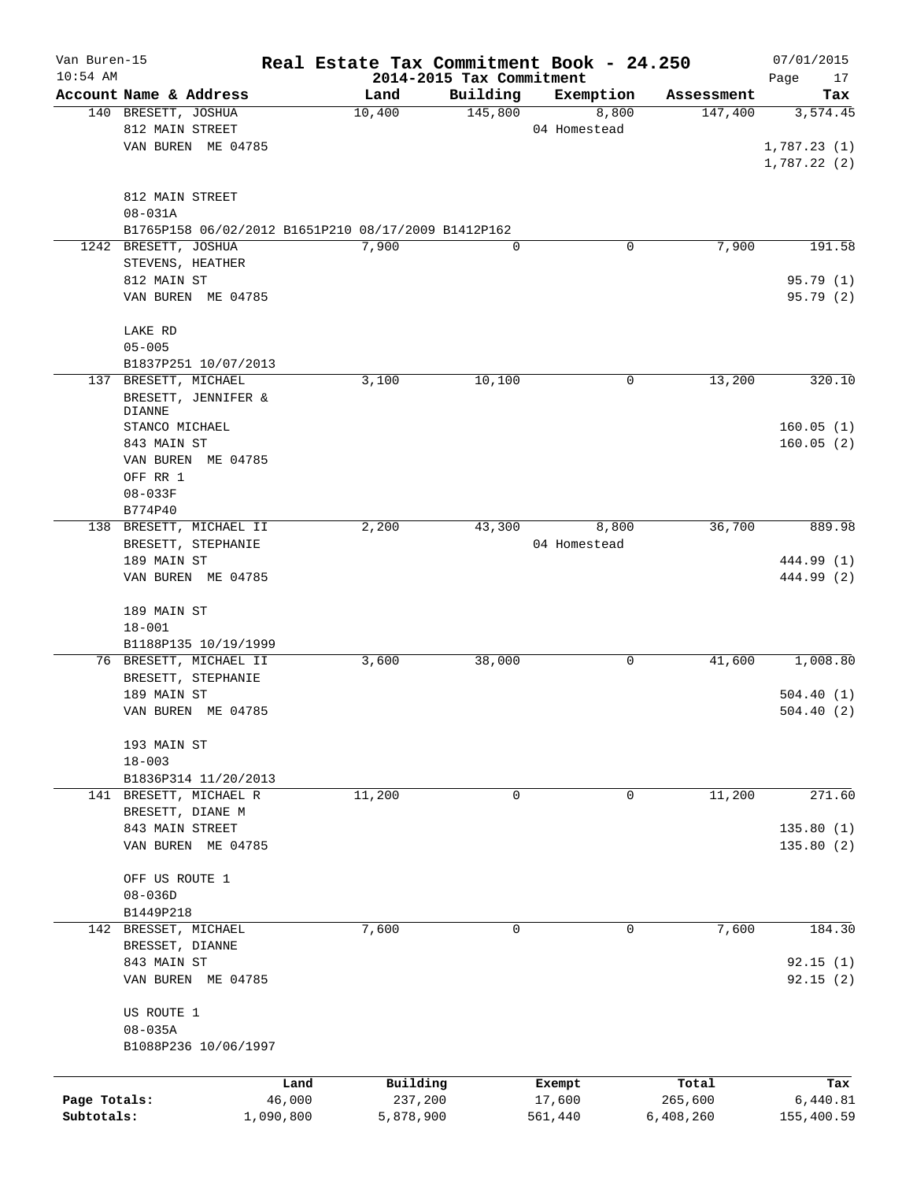| Van Buren-15<br>$10:54$ AM |                                                     |           | 2014-2015 Tax Commitment |             | Real Estate Tax Commitment Book - 24.250 |            | 07/01/2015<br>17<br>Page |
|----------------------------|-----------------------------------------------------|-----------|--------------------------|-------------|------------------------------------------|------------|--------------------------|
|                            | Account Name & Address                              |           | Land                     | Building    | Exemption                                | Assessment | Tax                      |
|                            | 140 BRESETT, JOSHUA                                 |           | 10,400                   | 145,800     | 8,800                                    | 147,400    | 3,574.45                 |
|                            | 812 MAIN STREET                                     |           |                          |             | 04 Homestead                             |            |                          |
|                            | VAN BUREN ME 04785                                  |           |                          |             |                                          |            | 1,787.23(1)              |
|                            |                                                     |           |                          |             |                                          |            | 1,787.22 (2)             |
|                            | 812 MAIN STREET                                     |           |                          |             |                                          |            |                          |
|                            | $08 - 031A$                                         |           |                          |             |                                          |            |                          |
|                            | B1765P158 06/02/2012 B1651P210 08/17/2009 B1412P162 |           |                          |             |                                          |            |                          |
|                            | 1242 BRESETT, JOSHUA                                |           | 7,900                    | $\mathbf 0$ | 0                                        | 7,900      | 191.58                   |
|                            | STEVENS, HEATHER                                    |           |                          |             |                                          |            |                          |
|                            | 812 MAIN ST                                         |           |                          |             |                                          |            | 95.79(1)                 |
|                            | VAN BUREN ME 04785                                  |           |                          |             |                                          |            | 95.79(2)                 |
|                            | LAKE RD                                             |           |                          |             |                                          |            |                          |
|                            | $05 - 005$                                          |           |                          |             |                                          |            |                          |
|                            | B1837P251 10/07/2013                                |           |                          |             |                                          |            |                          |
|                            | 137 BRESETT, MICHAEL                                |           | 3,100                    | 10,100      | 0                                        | 13,200     | 320.10                   |
|                            | BRESETT, JENNIFER &                                 |           |                          |             |                                          |            |                          |
|                            | DIANNE                                              |           |                          |             |                                          |            |                          |
|                            | STANCO MICHAEL                                      |           |                          |             |                                          |            | 160.05(1)                |
|                            | 843 MAIN ST                                         |           |                          |             |                                          |            | 160.05(2)                |
|                            | VAN BUREN ME 04785                                  |           |                          |             |                                          |            |                          |
|                            | OFF RR 1                                            |           |                          |             |                                          |            |                          |
|                            | $08 - 033F$                                         |           |                          |             |                                          |            |                          |
|                            | B774P40                                             |           |                          |             |                                          |            |                          |
|                            | 138 BRESETT, MICHAEL II                             |           | 2,200                    | 43,300      | 8,800                                    | 36,700     | 889.98                   |
|                            | BRESETT, STEPHANIE                                  |           |                          |             | 04 Homestead                             |            |                          |
|                            | 189 MAIN ST                                         |           |                          |             |                                          |            | 444.99 (1)               |
|                            | VAN BUREN ME 04785                                  |           |                          |             |                                          |            | 444.99 (2)               |
|                            | 189 MAIN ST                                         |           |                          |             |                                          |            |                          |
|                            | $18 - 001$                                          |           |                          |             |                                          |            |                          |
|                            | B1188P135 10/19/1999                                |           |                          |             |                                          |            |                          |
|                            | 76 BRESETT, MICHAEL II                              |           | 3,600                    | 38,000      | 0                                        | 41,600     | 1,008.80                 |
|                            | BRESETT, STEPHANIE                                  |           |                          |             |                                          |            |                          |
|                            | 189 MAIN ST                                         |           |                          |             |                                          |            | 504.40(1)                |
|                            | VAN BUREN ME 04785                                  |           |                          |             |                                          |            | 504.40(2)                |
|                            |                                                     |           |                          |             |                                          |            |                          |
|                            | 193 MAIN ST                                         |           |                          |             |                                          |            |                          |
|                            | $18 - 003$                                          |           |                          |             |                                          |            |                          |
|                            | B1836P314 11/20/2013                                |           |                          |             |                                          |            |                          |
|                            | 141 BRESETT, MICHAEL R                              |           | 11,200                   | 0           | 0                                        | 11,200     | 271.60                   |
|                            | BRESETT, DIANE M                                    |           |                          |             |                                          |            |                          |
|                            | 843 MAIN STREET                                     |           |                          |             |                                          |            | 135.80 (1)               |
|                            | VAN BUREN ME 04785                                  |           |                          |             |                                          |            | 135.80(2)                |
|                            |                                                     |           |                          |             |                                          |            |                          |
|                            | OFF US ROUTE 1                                      |           |                          |             |                                          |            |                          |
|                            | $08 - 036D$                                         |           |                          |             |                                          |            |                          |
|                            | B1449P218                                           |           |                          |             |                                          |            |                          |
|                            | 142 BRESSET, MICHAEL                                |           | 7,600                    | $\mathbf 0$ | $\mathbf 0$                              | 7,600      | 184.30                   |
|                            | BRESSET, DIANNE                                     |           |                          |             |                                          |            |                          |
|                            | 843 MAIN ST                                         |           |                          |             |                                          |            | 92.15(1)                 |
|                            | VAN BUREN ME 04785                                  |           |                          |             |                                          |            | 92.15(2)                 |
|                            | US ROUTE 1                                          |           |                          |             |                                          |            |                          |
|                            | $08 - 035A$                                         |           |                          |             |                                          |            |                          |
|                            | B1088P236 10/06/1997                                |           |                          |             |                                          |            |                          |
|                            |                                                     |           |                          |             |                                          |            |                          |
|                            |                                                     | Land      | Building                 |             | Exempt                                   | Total      | Tax                      |
| Page Totals:               |                                                     | 46,000    | 237,200                  |             | 17,600                                   | 265,600    | 6,440.81                 |
| Subtotals:                 |                                                     | 1,090,800 | 5,878,900                |             | 561,440                                  | 6,408,260  | 155,400.59               |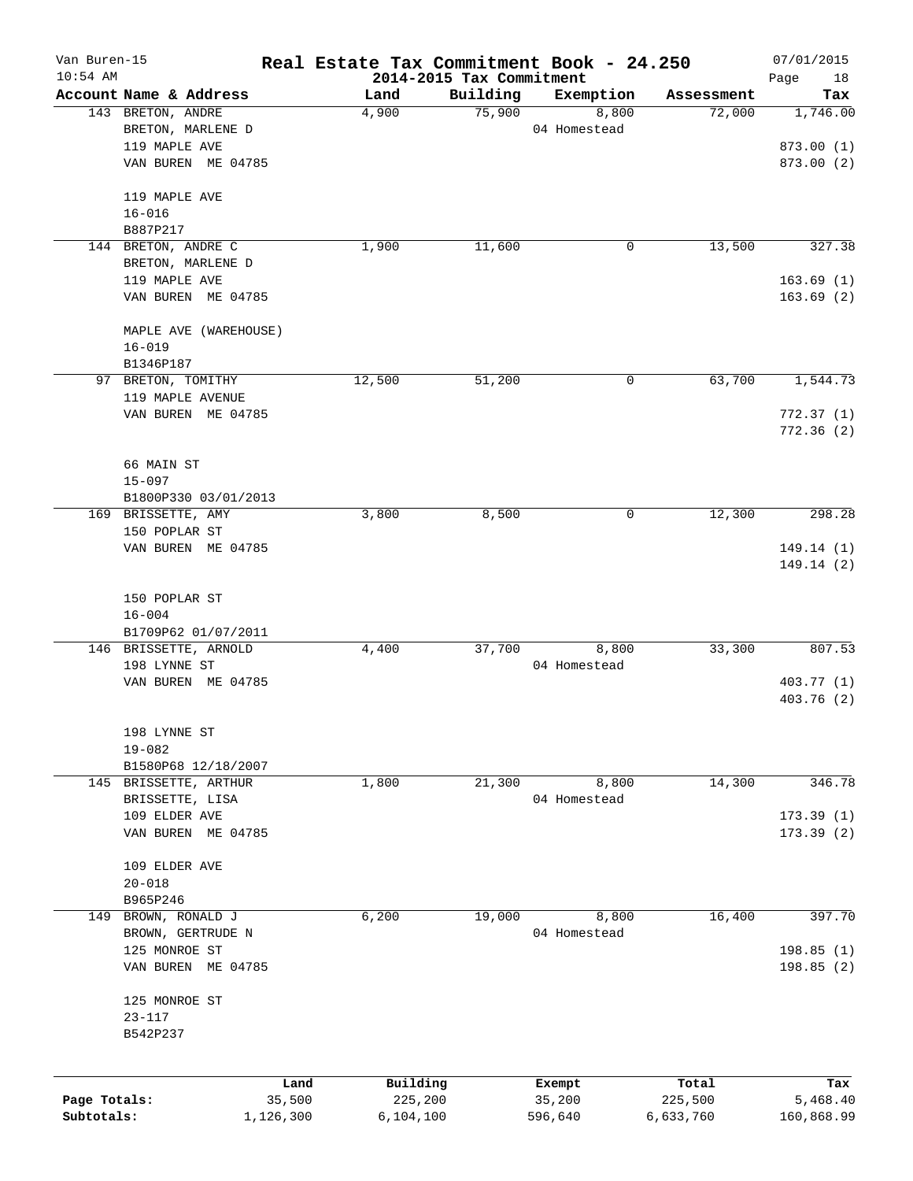| Van Buren-15<br>$10:54$ AM |                             | Real Estate Tax Commitment Book - 24.250 | 2014-2015 Tax Commitment |              |            | 07/01/2015        |
|----------------------------|-----------------------------|------------------------------------------|--------------------------|--------------|------------|-------------------|
|                            | Account Name & Address      | Land                                     | Building                 | Exemption    | Assessment | Page<br>18<br>Tax |
|                            | 143 BRETON, ANDRE           | 4,900                                    | 75,900                   | 8,800        | 72,000     | 1,746.00          |
|                            | BRETON, MARLENE D           |                                          |                          | 04 Homestead |            |                   |
|                            | 119 MAPLE AVE               |                                          |                          |              |            | 873.00 (1)        |
|                            | VAN BUREN ME 04785          |                                          |                          |              |            | 873.00 (2)        |
|                            |                             |                                          |                          |              |            |                   |
|                            | 119 MAPLE AVE               |                                          |                          |              |            |                   |
|                            | $16 - 016$                  |                                          |                          |              |            |                   |
|                            | B887P217                    |                                          |                          |              |            |                   |
|                            | 144 BRETON, ANDRE C         | 1,900                                    | 11,600                   | 0            | 13,500     | 327.38            |
|                            | BRETON, MARLENE D           |                                          |                          |              |            |                   |
|                            | 119 MAPLE AVE               |                                          |                          |              |            | 163.69(1)         |
|                            | VAN BUREN ME 04785          |                                          |                          |              |            | 163.69(2)         |
|                            | MAPLE AVE (WAREHOUSE)       |                                          |                          |              |            |                   |
|                            | $16 - 019$                  |                                          |                          |              |            |                   |
|                            | B1346P187                   |                                          |                          |              |            |                   |
|                            | 97 BRETON, TOMITHY          | 12,500                                   | 51,200                   | 0            | 63,700     | 1,544.73          |
|                            | 119 MAPLE AVENUE            |                                          |                          |              |            |                   |
|                            | VAN BUREN ME 04785          |                                          |                          |              |            | 772.37(1)         |
|                            |                             |                                          |                          |              |            | 772.36(2)         |
|                            |                             |                                          |                          |              |            |                   |
|                            | 66 MAIN ST                  |                                          |                          |              |            |                   |
|                            | $15 - 097$                  |                                          |                          |              |            |                   |
|                            | B1800P330 03/01/2013        |                                          |                          |              |            |                   |
|                            | 169 BRISSETTE, AMY          | 3,800                                    | 8,500                    | 0            | 12,300     | 298.28            |
|                            | 150 POPLAR ST               |                                          |                          |              |            |                   |
|                            | VAN BUREN ME 04785          |                                          |                          |              |            | 149.14 (1)        |
|                            |                             |                                          |                          |              |            | 149.14 (2)        |
|                            |                             |                                          |                          |              |            |                   |
|                            | 150 POPLAR ST<br>$16 - 004$ |                                          |                          |              |            |                   |
|                            | B1709P62 01/07/2011         |                                          |                          |              |            |                   |
|                            | 146 BRISSETTE, ARNOLD       | 4,400                                    | 37,700                   | 8,800        | 33,300     | 807.53            |
|                            | 198 LYNNE ST                |                                          |                          | 04 Homestead |            |                   |
|                            | VAN BUREN ME 04785          |                                          |                          |              |            | 403.77 (1)        |
|                            |                             |                                          |                          |              |            | 403.76 (2)        |
|                            |                             |                                          |                          |              |            |                   |
|                            | 198 LYNNE ST                |                                          |                          |              |            |                   |
|                            | $19 - 082$                  |                                          |                          |              |            |                   |
|                            | B1580P68 12/18/2007         |                                          |                          |              |            |                   |
|                            | 145 BRISSETTE, ARTHUR       | 1,800                                    | 21,300                   | 8,800        | 14,300     | 346.78            |
|                            | BRISSETTE, LISA             |                                          |                          | 04 Homestead |            |                   |
|                            | 109 ELDER AVE               |                                          |                          |              |            | 173.39(1)         |
|                            | VAN BUREN ME 04785          |                                          |                          |              |            | 173.39(2)         |
|                            | 109 ELDER AVE               |                                          |                          |              |            |                   |
|                            | $20 - 018$                  |                                          |                          |              |            |                   |
|                            | B965P246                    |                                          |                          |              |            |                   |
| 149                        | BROWN, RONALD J             | 6,200                                    | 19,000                   | 8,800        | 16,400     | 397.70            |
|                            | BROWN, GERTRUDE N           |                                          |                          | 04 Homestead |            |                   |
|                            | 125 MONROE ST               |                                          |                          |              |            | 198.85(1)         |
|                            | VAN BUREN ME 04785          |                                          |                          |              |            | 198.85 (2)        |
|                            |                             |                                          |                          |              |            |                   |
|                            | 125 MONROE ST               |                                          |                          |              |            |                   |
|                            | $23 - 117$                  |                                          |                          |              |            |                   |
|                            | B542P237                    |                                          |                          |              |            |                   |
|                            |                             |                                          |                          |              |            |                   |
|                            |                             | Building<br>Land                         |                          | Exempt       | Total      | Tax               |
| Page Totals:               | 35,500                      | 225,200                                  |                          | 35,200       | 225,500    | 5,468.40          |
| Subtotals:                 | 1,126,300                   | 6,104,100                                |                          | 596,640      | 6,633,760  | 160,868.99        |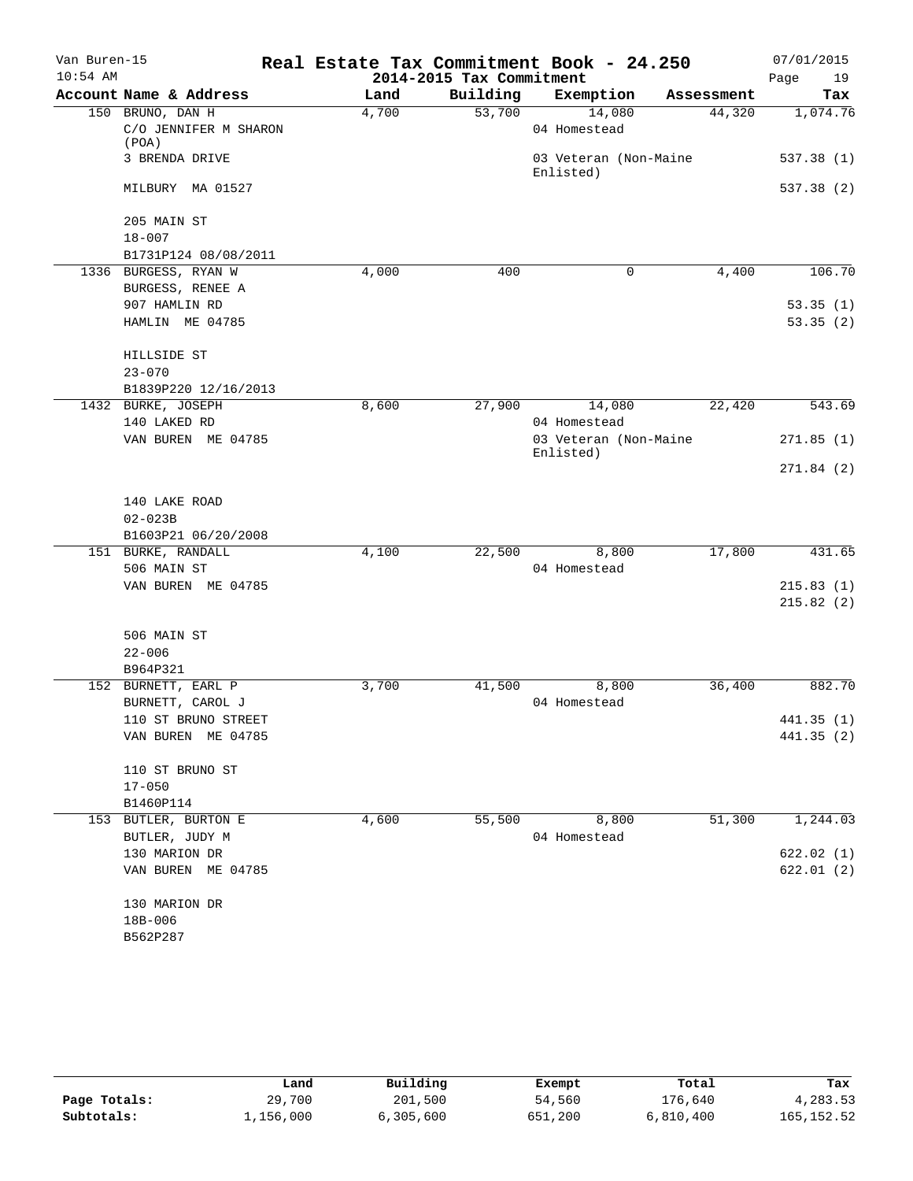| Van Buren-15<br>$10:54$ AM |                                              |       | 2014-2015 Tax Commitment | Real Estate Tax Commitment Book - 24.250 |            | 07/01/2015<br>Page<br>19 |
|----------------------------|----------------------------------------------|-------|--------------------------|------------------------------------------|------------|--------------------------|
|                            | Account Name & Address                       | Land  | Building                 | Exemption                                | Assessment | Tax                      |
|                            | 150 BRUNO, DAN H                             | 4,700 | 53,700                   | 14,080                                   | 44,320     | 1,074.76                 |
|                            | C/O JENNIFER M SHARON<br>(POA)               |       |                          | 04 Homestead                             |            |                          |
|                            | 3 BRENDA DRIVE                               |       |                          | 03 Veteran (Non-Maine<br>Enlisted)       |            | 537.38 (1)               |
|                            | MILBURY MA 01527                             |       |                          |                                          |            | 537.38 (2)               |
|                            | 205 MAIN ST                                  |       |                          |                                          |            |                          |
|                            | $18 - 007$                                   |       |                          |                                          |            |                          |
|                            | B1731P124 08/08/2011<br>1336 BURGESS, RYAN W | 4,000 | 400                      | $\mathbf 0$                              | 4,400      | 106.70                   |
|                            | BURGESS, RENEE A                             |       |                          |                                          |            |                          |
|                            | 907 HAMLIN RD                                |       |                          |                                          |            | 53.35(1)                 |
|                            | HAMLIN ME 04785                              |       |                          |                                          |            | 53.35(2)                 |
|                            |                                              |       |                          |                                          |            |                          |
|                            | HILLSIDE ST                                  |       |                          |                                          |            |                          |
|                            | $23 - 070$                                   |       |                          |                                          |            |                          |
|                            | B1839P220 12/16/2013                         |       |                          |                                          |            |                          |
|                            | 1432 BURKE, JOSEPH                           | 8,600 | 27,900                   | 14,080                                   | 22,420     | 543.69                   |
|                            | 140 LAKED RD                                 |       |                          | 04 Homestead                             |            |                          |
|                            | VAN BUREN ME 04785                           |       |                          | 03 Veteran (Non-Maine                    |            | 271.85(1)                |
|                            |                                              |       |                          | Enlisted)                                |            |                          |
|                            |                                              |       |                          |                                          |            | 271.84(2)                |
|                            |                                              |       |                          |                                          |            |                          |
|                            | 140 LAKE ROAD                                |       |                          |                                          |            |                          |
|                            | $02 - 023B$                                  |       |                          |                                          |            |                          |
|                            | B1603P21 06/20/2008                          |       |                          |                                          |            |                          |
|                            | 151 BURKE, RANDALL                           | 4,100 | 22,500                   | 8,800                                    | 17,800     | 431.65                   |
|                            | 506 MAIN ST                                  |       |                          | 04 Homestead                             |            |                          |
|                            | VAN BUREN ME 04785                           |       |                          |                                          |            | 215.83(1)                |
|                            |                                              |       |                          |                                          |            | 215.82(2)                |
|                            | 506 MAIN ST                                  |       |                          |                                          |            |                          |
|                            | $22 - 006$                                   |       |                          |                                          |            |                          |
|                            | B964P321                                     |       |                          |                                          |            |                          |
|                            | 152 BURNETT, EARL P                          | 3,700 | 41,500                   | 8,800                                    | 36,400     | 882.70                   |
|                            | BURNETT, CAROL J                             |       |                          | 04 Homestead                             |            |                          |
|                            | 110 ST BRUNO STREET                          |       |                          |                                          |            | 441.35 (1)               |
|                            | VAN BUREN ME 04785                           |       |                          |                                          |            | 441.35(2)                |
|                            |                                              |       |                          |                                          |            |                          |
|                            | 110 ST BRUNO ST                              |       |                          |                                          |            |                          |
|                            | $17 - 050$                                   |       |                          |                                          |            |                          |
|                            | B1460P114                                    |       |                          |                                          |            |                          |
|                            | 153 BUTLER, BURTON E                         | 4,600 | 55,500                   | 8,800                                    | 51,300     | 1,244.03                 |
|                            | BUTLER, JUDY M                               |       |                          | 04 Homestead                             |            |                          |
|                            | 130 MARION DR                                |       |                          |                                          |            | 622.02(1)                |
|                            | VAN BUREN ME 04785                           |       |                          |                                          |            | 622.01(2)                |
|                            |                                              |       |                          |                                          |            |                          |
|                            | 130 MARION DR                                |       |                          |                                          |            |                          |
|                            | 18B-006                                      |       |                          |                                          |            |                          |
|                            | B562P287                                     |       |                          |                                          |            |                          |

|              | Land      | Building  | Exempt  | Total     | Tax         |
|--------------|-----------|-----------|---------|-----------|-------------|
| Page Totals: | 29,700    | 201,500   | 54,560  | 176,640   | 4,283.53    |
| Subtotals:   | 1,156,000 | 6,305,600 | 651,200 | 6,810,400 | 165, 152.52 |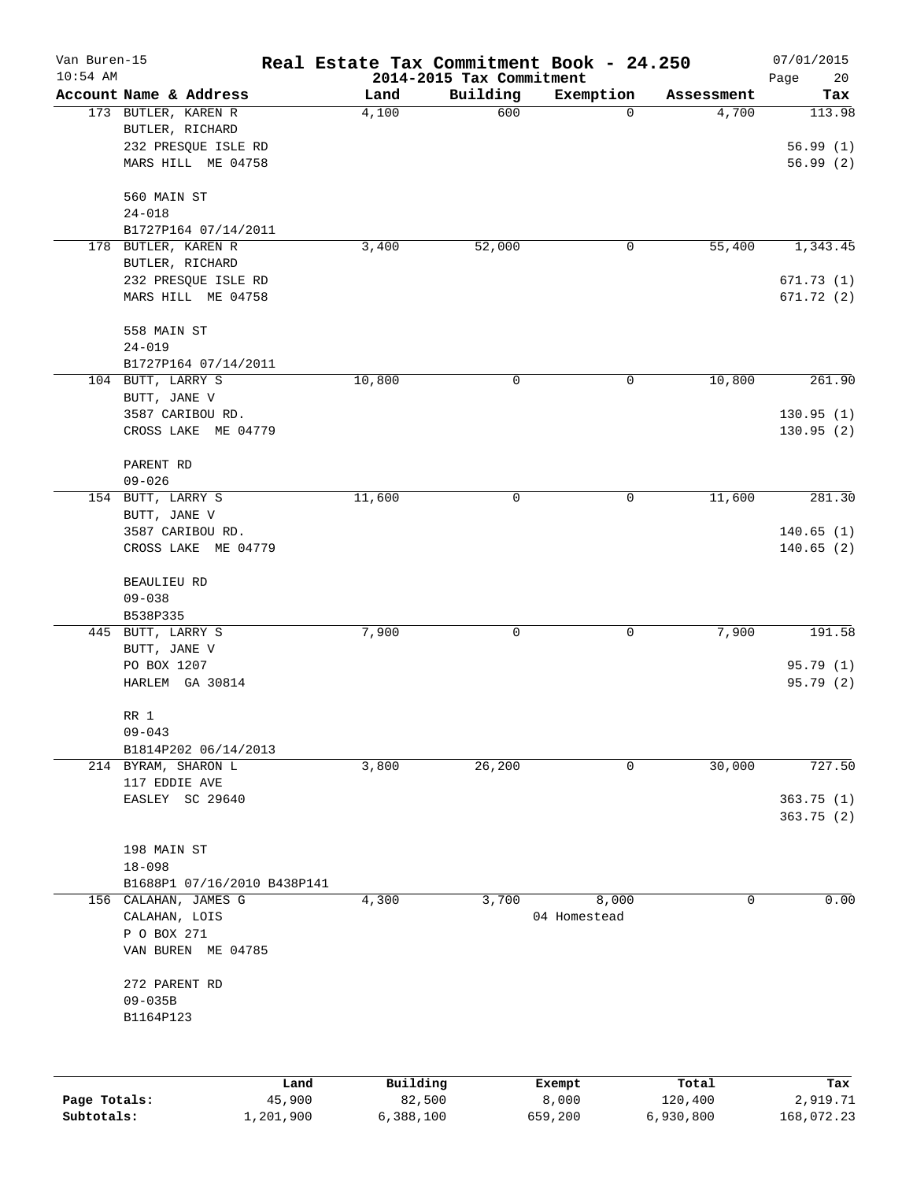| Van Buren-15<br>$10:54$ AM |                             | Real Estate Tax Commitment Book - 24.250 | 2014-2015 Tax Commitment |                 |            | 07/01/2015<br>Page<br>20 |
|----------------------------|-----------------------------|------------------------------------------|--------------------------|-----------------|------------|--------------------------|
|                            | Account Name & Address      | Land                                     | Building                 | Exemption       | Assessment | Tax                      |
|                            | 173 BUTLER, KAREN R         | 4,100                                    | 600                      | 0               | 4,700      | 113.98                   |
|                            | BUTLER, RICHARD             |                                          |                          |                 |            |                          |
|                            | 232 PRESQUE ISLE RD         |                                          |                          |                 |            | 56.99(1)                 |
|                            | MARS HILL ME 04758          |                                          |                          |                 |            | 56.99(2)                 |
|                            | 560 MAIN ST                 |                                          |                          |                 |            |                          |
|                            | $24 - 018$                  |                                          |                          |                 |            |                          |
|                            | B1727P164 07/14/2011        |                                          |                          |                 |            |                          |
|                            | 178 BUTLER, KAREN R         | 3,400                                    | 52,000                   | 0               | 55,400     | 1,343.45                 |
|                            | BUTLER, RICHARD             |                                          |                          |                 |            |                          |
|                            | 232 PRESQUE ISLE RD         |                                          |                          |                 |            | 671.73(1)                |
|                            | MARS HILL ME 04758          |                                          |                          |                 |            | 671.72 (2)               |
|                            | 558 MAIN ST                 |                                          |                          |                 |            |                          |
|                            | $24 - 019$                  |                                          |                          |                 |            |                          |
|                            | B1727P164 07/14/2011        |                                          |                          |                 |            |                          |
|                            | 104 BUTT, LARRY S           | 10,800                                   | $\mathbf 0$              | 0               | 10,800     | 261.90                   |
|                            | BUTT, JANE V                |                                          |                          |                 |            |                          |
|                            | 3587 CARIBOU RD.            |                                          |                          |                 |            | 130.95(1)                |
|                            | CROSS LAKE ME 04779         |                                          |                          |                 |            | 130.95(2)                |
|                            | PARENT RD                   |                                          |                          |                 |            |                          |
|                            | $09 - 026$                  |                                          |                          |                 |            |                          |
|                            | 154 BUTT, LARRY S           | 11,600                                   | $\mathsf{O}$             | 0               | 11,600     | 281.30                   |
|                            | BUTT, JANE V                |                                          |                          |                 |            |                          |
|                            | 3587 CARIBOU RD.            |                                          |                          |                 |            | 140.65(1)                |
|                            | CROSS LAKE ME 04779         |                                          |                          |                 |            | 140.65(2)                |
|                            | <b>BEAULIEU RD</b>          |                                          |                          |                 |            |                          |
|                            | $09 - 038$                  |                                          |                          |                 |            |                          |
|                            | B538P335                    |                                          |                          |                 |            |                          |
|                            | 445 BUTT, LARRY S           | 7,900                                    | 0                        | 0               | 7,900      | 191.58                   |
|                            | BUTT, JANE V                |                                          |                          |                 |            |                          |
|                            | PO BOX 1207                 |                                          |                          |                 |            | 95.79(1)                 |
|                            | HARLEM GA 30814             |                                          |                          |                 |            | 95.79(2)                 |
|                            | RR 1                        |                                          |                          |                 |            |                          |
|                            | $09 - 043$                  |                                          |                          |                 |            |                          |
|                            | B1814P202 06/14/2013        |                                          |                          |                 |            |                          |
|                            | 214 BYRAM, SHARON L         | 3,800                                    | 26,200                   | 0               | 30,000     | 727.50                   |
|                            | 117 EDDIE AVE               |                                          |                          |                 |            |                          |
|                            | EASLEY SC 29640             |                                          |                          |                 |            | 363.75(1)                |
|                            |                             |                                          |                          |                 |            | 363.75(2)                |
|                            |                             |                                          |                          |                 |            |                          |
|                            | 198 MAIN ST                 |                                          |                          |                 |            |                          |
|                            | $18 - 098$                  |                                          |                          |                 |            |                          |
|                            | B1688P1 07/16/2010 B438P141 |                                          |                          |                 |            |                          |
|                            | 156 CALAHAN, JAMES G        | 4,300                                    | 3,700                    | 8,000           | 0          | 0.00                     |
|                            | CALAHAN, LOIS               |                                          |                          | 04 Homestead    |            |                          |
|                            | P O BOX 271                 |                                          |                          |                 |            |                          |
|                            | VAN BUREN ME 04785          |                                          |                          |                 |            |                          |
|                            | 272 PARENT RD               |                                          |                          |                 |            |                          |
|                            | $09 - 035B$                 |                                          |                          |                 |            |                          |
|                            | B1164P123                   |                                          |                          |                 |            |                          |
|                            |                             |                                          |                          |                 |            |                          |
|                            | Land                        | Building                                 |                          |                 | Total      |                          |
| Page Totals:               | 45,900                      | 82,500                                   |                          | Exempt<br>8,000 | 120,400    | Tax<br>2,919.71          |

**Subtotals:** 1,201,900 6,388,100 659,200 6,930,800 168,072.23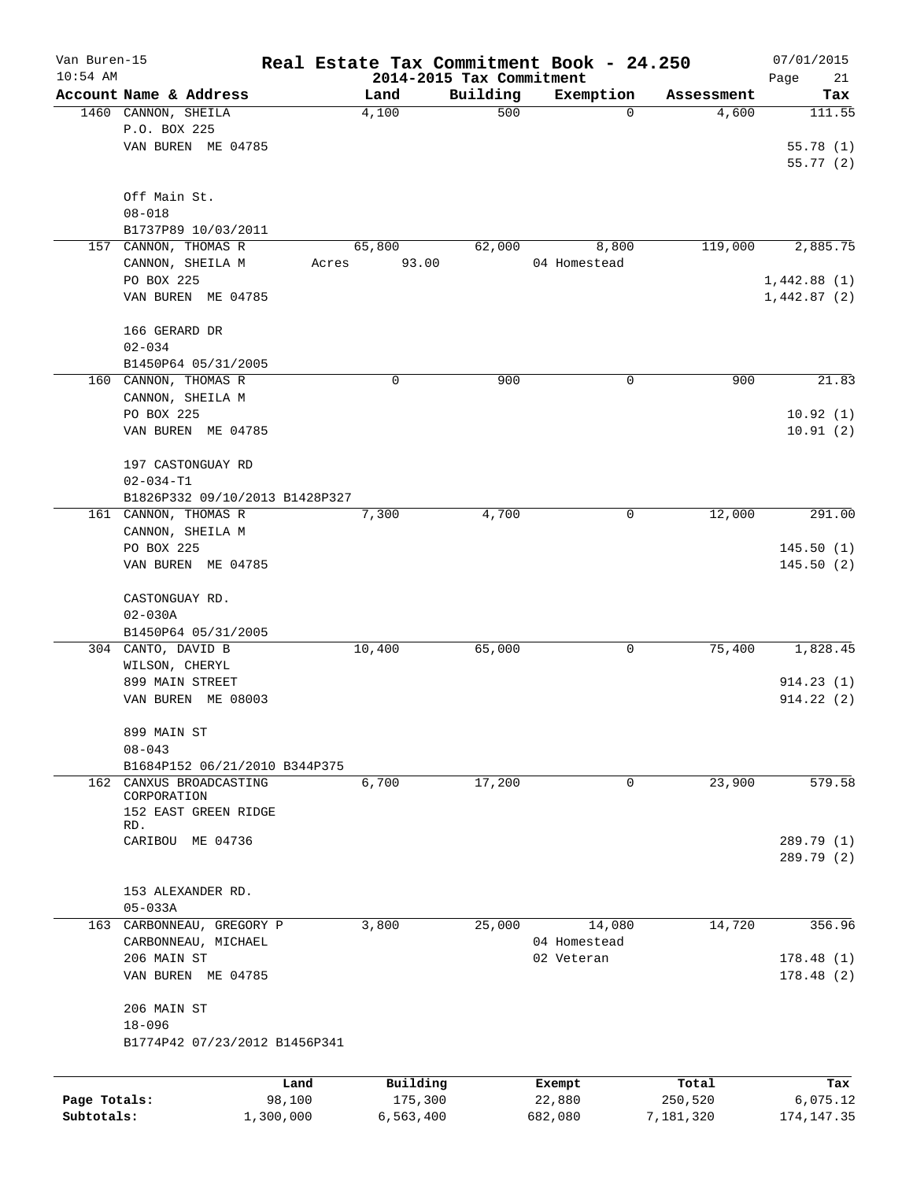| Van Buren-15<br>$10:54$ AM |                                |           |             |                                      | Real Estate Tax Commitment Book - 24.250 |            | 07/01/2015        |
|----------------------------|--------------------------------|-----------|-------------|--------------------------------------|------------------------------------------|------------|-------------------|
|                            | Account Name & Address         |           | Land        | 2014-2015 Tax Commitment<br>Building | Exemption                                | Assessment | Page<br>21<br>Tax |
|                            | 1460 CANNON, SHEILA            |           | 4,100       | 500                                  | 0                                        | 4,600      | 111.55            |
|                            | P.O. BOX 225                   |           |             |                                      |                                          |            |                   |
|                            | VAN BUREN ME 04785             |           |             |                                      |                                          |            | 55.78(1)          |
|                            |                                |           |             |                                      |                                          |            | 55.77(2)          |
|                            |                                |           |             |                                      |                                          |            |                   |
|                            | Off Main St.                   |           |             |                                      |                                          |            |                   |
|                            | $08 - 018$                     |           |             |                                      |                                          |            |                   |
|                            | B1737P89 10/03/2011            |           |             |                                      |                                          |            |                   |
| 157                        | CANNON, THOMAS R               |           | 65,800      | 62,000                               | 8,800                                    | 119,000    | 2,885.75          |
|                            | CANNON, SHEILA M               | Acres     | 93.00       |                                      | 04 Homestead                             |            |                   |
|                            | PO BOX 225                     |           |             |                                      |                                          |            | 1,442.88(1)       |
|                            | VAN BUREN ME 04785             |           |             |                                      |                                          |            | 1,442.87(2)       |
|                            |                                |           |             |                                      |                                          |            |                   |
|                            | 166 GERARD DR                  |           |             |                                      |                                          |            |                   |
|                            | $02 - 034$                     |           |             |                                      |                                          |            |                   |
|                            | B1450P64 05/31/2005            |           |             |                                      |                                          |            |                   |
|                            | 160 CANNON, THOMAS R           |           | $\mathbf 0$ | 900                                  | 0                                        | 900        | 21.83             |
|                            | CANNON, SHEILA M               |           |             |                                      |                                          |            |                   |
|                            | PO BOX 225                     |           |             |                                      |                                          |            | 10.92(1)          |
|                            | VAN BUREN ME 04785             |           |             |                                      |                                          |            | 10.91(2)          |
|                            |                                |           |             |                                      |                                          |            |                   |
|                            | 197 CASTONGUAY RD              |           |             |                                      |                                          |            |                   |
|                            | $02 - 034 - T1$                |           |             |                                      |                                          |            |                   |
|                            | B1826P332 09/10/2013 B1428P327 |           |             |                                      |                                          |            |                   |
|                            | 161 CANNON, THOMAS R           |           | 7,300       | 4,700                                | 0                                        | 12,000     | 291.00            |
|                            | CANNON, SHEILA M               |           |             |                                      |                                          |            |                   |
|                            | PO BOX 225                     |           |             |                                      |                                          |            | 145.50(1)         |
|                            | VAN BUREN ME 04785             |           |             |                                      |                                          |            | 145.50(2)         |
|                            |                                |           |             |                                      |                                          |            |                   |
|                            | CASTONGUAY RD.                 |           |             |                                      |                                          |            |                   |
|                            | $02 - 030A$                    |           |             |                                      |                                          |            |                   |
|                            | B1450P64 05/31/2005            |           |             |                                      |                                          |            |                   |
|                            | 304 CANTO, DAVID B             |           | 10,400      | 65,000                               | 0                                        | 75,400     | 1,828.45          |
|                            | WILSON, CHERYL                 |           |             |                                      |                                          |            |                   |
|                            | 899 MAIN STREET                |           |             |                                      |                                          |            | 914.23(1)         |
|                            | VAN BUREN ME 08003             |           |             |                                      |                                          |            | 914.22(2)         |
|                            |                                |           |             |                                      |                                          |            |                   |
|                            | 899 MAIN ST                    |           |             |                                      |                                          |            |                   |
|                            | $08 - 043$                     |           |             |                                      |                                          |            |                   |
|                            | B1684P152 06/21/2010 B344P375  |           |             |                                      |                                          |            |                   |
|                            | 162 CANXUS BROADCASTING        |           | 6,700       | 17,200                               | 0                                        | 23,900     | 579.58            |
|                            | CORPORATION                    |           |             |                                      |                                          |            |                   |
|                            | 152 EAST GREEN RIDGE<br>RD.    |           |             |                                      |                                          |            |                   |
|                            | CARIBOU ME 04736               |           |             |                                      |                                          |            | 289.79 (1)        |
|                            |                                |           |             |                                      |                                          |            | 289.79 (2)        |
|                            |                                |           |             |                                      |                                          |            |                   |
|                            | 153 ALEXANDER RD.              |           |             |                                      |                                          |            |                   |
|                            | $05 - 033A$                    |           |             |                                      |                                          |            |                   |
| 163                        | CARBONNEAU, GREGORY P          |           | 3,800       | 25,000                               | 14,080                                   | 14,720     | 356.96            |
|                            | CARBONNEAU, MICHAEL            |           |             |                                      | 04 Homestead                             |            |                   |
|                            | 206 MAIN ST                    |           |             |                                      | 02 Veteran                               |            | 178.48(1)         |
|                            | VAN BUREN ME 04785             |           |             |                                      |                                          |            | 178.48(2)         |
|                            |                                |           |             |                                      |                                          |            |                   |
|                            | 206 MAIN ST                    |           |             |                                      |                                          |            |                   |
|                            | $18 - 096$                     |           |             |                                      |                                          |            |                   |
|                            | B1774P42 07/23/2012 B1456P341  |           |             |                                      |                                          |            |                   |
|                            |                                |           |             |                                      |                                          |            |                   |
|                            |                                |           |             |                                      |                                          |            |                   |
|                            |                                | Land      | Building    |                                      | Exempt                                   | Total      | Tax               |
| Page Totals:               |                                | 98,100    | 175,300     |                                      | 22,880                                   | 250,520    | 6,075.12          |
| Subtotals:                 |                                | 1,300,000 | 6,563,400   |                                      | 682,080                                  | 7,181,320  | 174, 147.35       |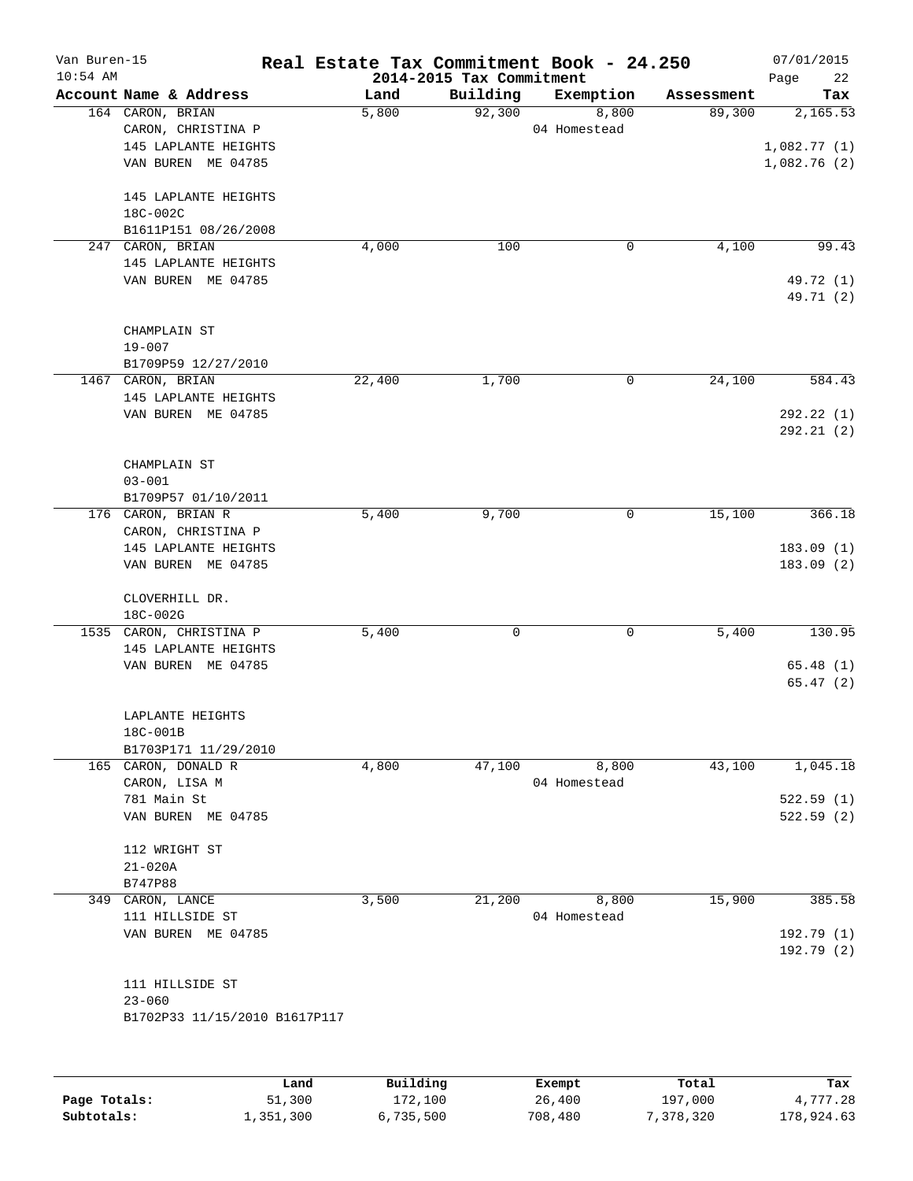| Van Buren-15 |                                             |        |                                      | Real Estate Tax Commitment Book - 24.250 |                      | 07/01/2015      |
|--------------|---------------------------------------------|--------|--------------------------------------|------------------------------------------|----------------------|-----------------|
| $10:54$ AM   | Account Name & Address                      | Land   | 2014-2015 Tax Commitment<br>Building | Exemption                                |                      | Page<br>22      |
|              | 164 CARON, BRIAN                            | 5,800  | 92,300                               | 8,800                                    | Assessment<br>89,300 | Tax<br>2,165.53 |
|              | CARON, CHRISTINA P                          |        |                                      | 04 Homestead                             |                      |                 |
|              | 145 LAPLANTE HEIGHTS                        |        |                                      |                                          |                      | 1,082.77(1)     |
|              | VAN BUREN ME 04785                          |        |                                      |                                          |                      | 1,082.76(2)     |
|              |                                             |        |                                      |                                          |                      |                 |
|              | 145 LAPLANTE HEIGHTS                        |        |                                      |                                          |                      |                 |
|              | 18C-002C                                    |        |                                      |                                          |                      |                 |
|              | B1611P151 08/26/2008                        |        |                                      |                                          |                      |                 |
| 247          | CARON, BRIAN                                | 4,000  | 100                                  | 0                                        | 4,100                | 99.43           |
|              | 145 LAPLANTE HEIGHTS                        |        |                                      |                                          |                      |                 |
|              | VAN BUREN ME 04785                          |        |                                      |                                          |                      | 49.72 (1)       |
|              |                                             |        |                                      |                                          |                      | 49.71 (2)       |
|              |                                             |        |                                      |                                          |                      |                 |
|              | CHAMPLAIN ST                                |        |                                      |                                          |                      |                 |
|              | $19 - 007$                                  |        |                                      |                                          |                      |                 |
|              | B1709P59 12/27/2010                         |        |                                      |                                          |                      |                 |
|              | 1467 CARON, BRIAN                           | 22,400 | 1,700                                | 0                                        | 24,100               | 584.43          |
|              | 145 LAPLANTE HEIGHTS                        |        |                                      |                                          |                      |                 |
|              | VAN BUREN ME 04785                          |        |                                      |                                          |                      | 292.22(1)       |
|              |                                             |        |                                      |                                          |                      | 292.21(2)       |
|              | CHAMPLAIN ST                                |        |                                      |                                          |                      |                 |
|              | $03 - 001$                                  |        |                                      |                                          |                      |                 |
|              | B1709P57 01/10/2011                         |        |                                      |                                          |                      |                 |
|              | 176 CARON, BRIAN R                          | 5,400  | 9,700                                | 0                                        | 15,100               | 366.18          |
|              | CARON, CHRISTINA P                          |        |                                      |                                          |                      |                 |
|              | 145 LAPLANTE HEIGHTS                        |        |                                      |                                          |                      | 183.09(1)       |
|              | VAN BUREN ME 04785                          |        |                                      |                                          |                      | 183.09(2)       |
|              |                                             |        |                                      |                                          |                      |                 |
|              | CLOVERHILL DR.                              |        |                                      |                                          |                      |                 |
|              | 18C-002G                                    |        |                                      |                                          |                      |                 |
|              | 1535 CARON, CHRISTINA P                     | 5,400  | 0                                    | 0                                        | 5,400                | 130.95          |
|              | 145 LAPLANTE HEIGHTS                        |        |                                      |                                          |                      |                 |
|              | VAN BUREN ME 04785                          |        |                                      |                                          |                      | 65.48(1)        |
|              |                                             |        |                                      |                                          |                      | 65.47 (2)       |
|              |                                             |        |                                      |                                          |                      |                 |
|              | LAPLANTE HEIGHTS                            |        |                                      |                                          |                      |                 |
|              | 18C-001B                                    |        |                                      |                                          |                      |                 |
|              | B1703P171 11/29/2010<br>165 CARON, DONALD R | 4,800  | 47,100                               | 8,800                                    | 43,100               | 1,045.18        |
|              | CARON, LISA M                               |        |                                      | 04 Homestead                             |                      |                 |
|              | 781 Main St                                 |        |                                      |                                          |                      | 522.59(1)       |
|              | VAN BUREN ME 04785                          |        |                                      |                                          |                      | 522.59(2)       |
|              |                                             |        |                                      |                                          |                      |                 |
|              | 112 WRIGHT ST                               |        |                                      |                                          |                      |                 |
|              | $21 - 020A$                                 |        |                                      |                                          |                      |                 |
|              | B747P88                                     |        |                                      |                                          |                      |                 |
| 349          | CARON, LANCE                                | 3,500  | 21,200                               | 8,800                                    | 15,900               | 385.58          |
|              | 111 HILLSIDE ST                             |        |                                      | 04 Homestead                             |                      |                 |
|              | VAN BUREN ME 04785                          |        |                                      |                                          |                      | 192.79(1)       |
|              |                                             |        |                                      |                                          |                      | 192.79 (2)      |
|              |                                             |        |                                      |                                          |                      |                 |
|              | 111 HILLSIDE ST                             |        |                                      |                                          |                      |                 |
|              | $23 - 060$                                  |        |                                      |                                          |                      |                 |
|              | B1702P33 11/15/2010 B1617P117               |        |                                      |                                          |                      |                 |
|              |                                             |        |                                      |                                          |                      |                 |
|              |                                             |        |                                      |                                          |                      |                 |
|              |                                             |        |                                      |                                          |                      |                 |

|              | Land      | Building  | Exempt  | Total     | Tax        |
|--------------|-----------|-----------|---------|-----------|------------|
| Page Totals: | 51,300    | 172,100   | 26,400  | 197,000   | 4,777.28   |
| Subtotals:   | 1,351,300 | 6,735,500 | 708,480 | 7,378,320 | 178,924.63 |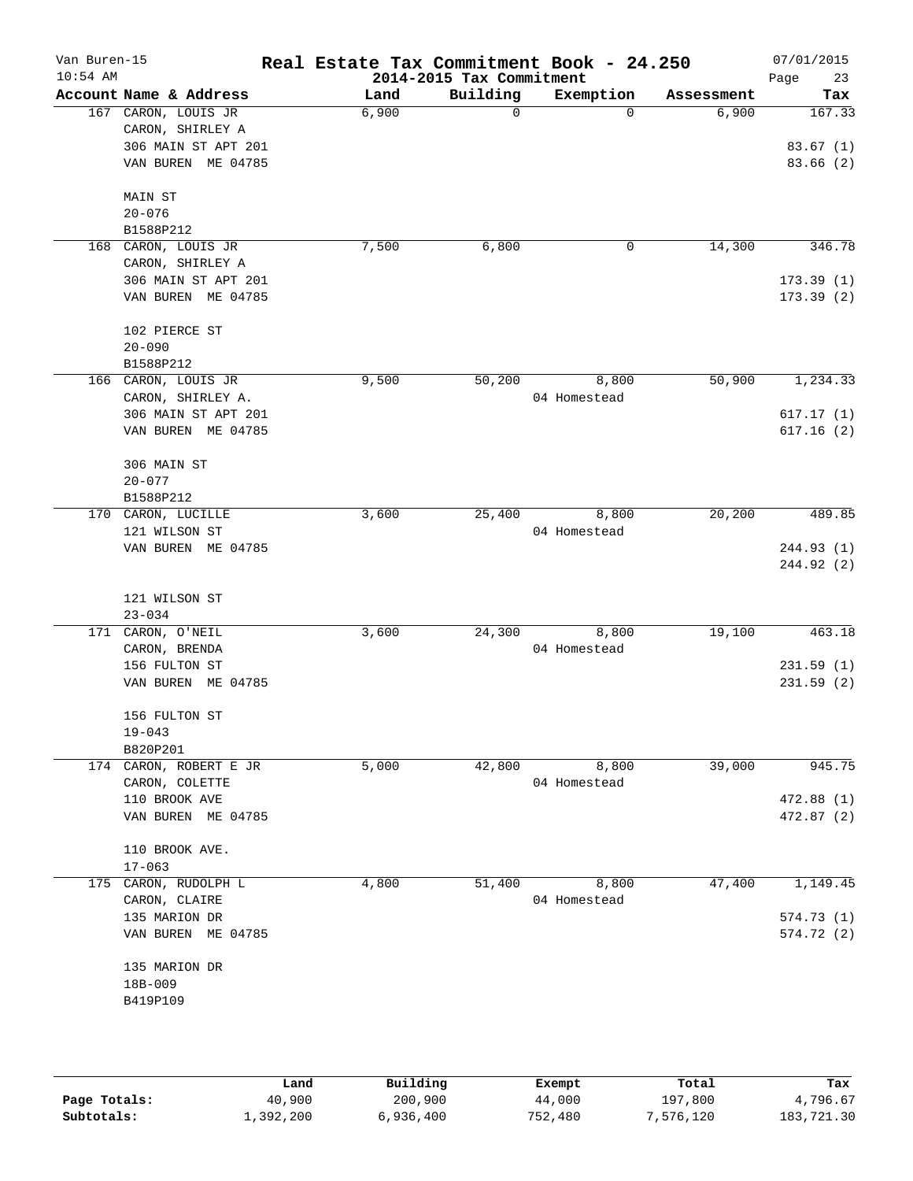| Van Buren-15<br>$10:54$ AM |                                | Real Estate Tax Commitment Book - 24.250 | 2014-2015 Tax Commitment |              |            | 07/01/2015<br>23<br>Page |
|----------------------------|--------------------------------|------------------------------------------|--------------------------|--------------|------------|--------------------------|
|                            | Account Name & Address         | Land                                     | Building                 | Exemption    | Assessment | Tax                      |
|                            | 167 CARON, LOUIS JR            | 6,900                                    | 0                        | $\Omega$     | 6,900      | 167.33                   |
|                            | CARON, SHIRLEY A               |                                          |                          |              |            |                          |
|                            | 306 MAIN ST APT 201            |                                          |                          |              |            | 83.67(1)                 |
|                            | VAN BUREN ME 04785             |                                          |                          |              |            | 83.66 (2)                |
|                            | MAIN ST                        |                                          |                          |              |            |                          |
|                            | $20 - 076$                     |                                          |                          |              |            |                          |
|                            | B1588P212                      |                                          |                          |              |            |                          |
|                            | 168 CARON, LOUIS JR            | 7,500                                    | 6,800                    | 0            | 14,300     | 346.78                   |
|                            | CARON, SHIRLEY A               |                                          |                          |              |            |                          |
|                            | 306 MAIN ST APT 201            |                                          |                          |              |            | 173.39(1)                |
|                            | VAN BUREN ME 04785             |                                          |                          |              |            | 173.39(2)                |
|                            | 102 PIERCE ST                  |                                          |                          |              |            |                          |
|                            | $20 - 090$                     |                                          |                          |              |            |                          |
|                            | B1588P212                      |                                          |                          |              |            |                          |
|                            | 166 CARON, LOUIS JR            | 9,500                                    | 50,200                   | 8,800        | 50,900     | 1,234.33                 |
|                            | CARON, SHIRLEY A.              |                                          |                          | 04 Homestead |            |                          |
|                            | 306 MAIN ST APT 201            |                                          |                          |              |            | 617.17(1)                |
|                            | VAN BUREN ME 04785             |                                          |                          |              |            | 617.16(2)                |
|                            | 306 MAIN ST                    |                                          |                          |              |            |                          |
|                            | $20 - 077$                     |                                          |                          |              |            |                          |
|                            | B1588P212                      |                                          |                          |              |            |                          |
| 170                        | CARON, LUCILLE                 | 3,600                                    | 25,400                   | 8,800        | 20,200     | 489.85                   |
|                            | 121 WILSON ST                  |                                          |                          | 04 Homestead |            |                          |
|                            | VAN BUREN ME 04785             |                                          |                          |              |            | 244.93 (1)               |
|                            |                                |                                          |                          |              |            | 244.92 (2)               |
|                            |                                |                                          |                          |              |            |                          |
|                            | 121 WILSON ST                  |                                          |                          |              |            |                          |
|                            | $23 - 034$                     |                                          |                          |              |            | 463.18                   |
|                            | 171 CARON, O'NEIL              | 3,600                                    | 24,300                   | 8,800        | 19,100     |                          |
|                            | CARON, BRENDA<br>156 FULTON ST |                                          |                          | 04 Homestead |            | 231.59(1)                |
|                            | VAN BUREN ME 04785             |                                          |                          |              |            | 231.59(2)                |
|                            |                                |                                          |                          |              |            |                          |
|                            | 156 FULTON ST                  |                                          |                          |              |            |                          |
|                            | $19 - 043$                     |                                          |                          |              |            |                          |
|                            | B820P201                       |                                          |                          |              |            |                          |
|                            | 174 CARON, ROBERT E JR         | 5,000                                    | 42,800                   | 8,800        | 39,000     | 945.75                   |
|                            | CARON, COLETTE                 |                                          |                          | 04 Homestead |            |                          |
|                            | 110 BROOK AVE                  |                                          |                          |              |            | 472.88(1)                |
|                            | VAN BUREN ME 04785             |                                          |                          |              |            | 472.87(2)                |
|                            | 110 BROOK AVE.                 |                                          |                          |              |            |                          |
|                            | $17 - 063$                     |                                          |                          |              |            |                          |
|                            | 175 CARON, RUDOLPH L           | 4,800                                    | 51,400                   | 8,800        | 47,400     | 1,149.45                 |
|                            | CARON, CLAIRE                  |                                          |                          | 04 Homestead |            |                          |
|                            | 135 MARION DR                  |                                          |                          |              |            | 574.73(1)                |
|                            | VAN BUREN ME 04785             |                                          |                          |              |            | 574.72(2)                |
|                            | 135 MARION DR                  |                                          |                          |              |            |                          |
|                            | 18B-009                        |                                          |                          |              |            |                          |
|                            | B419P109                       |                                          |                          |              |            |                          |
|                            |                                |                                          |                          |              |            |                          |
|                            |                                |                                          |                          |              |            |                          |
|                            |                                |                                          |                          |              |            |                          |

|              | Land      | Building  | Exempt  | Total     | Tax        |
|--------------|-----------|-----------|---------|-----------|------------|
| Page Totals: | 40,900    | 200,900   | 44,000  | 197,800   | 4,796.67   |
| Subtotals:   | 1,392,200 | 6,936,400 | 752,480 | 7,576,120 | 183,721.30 |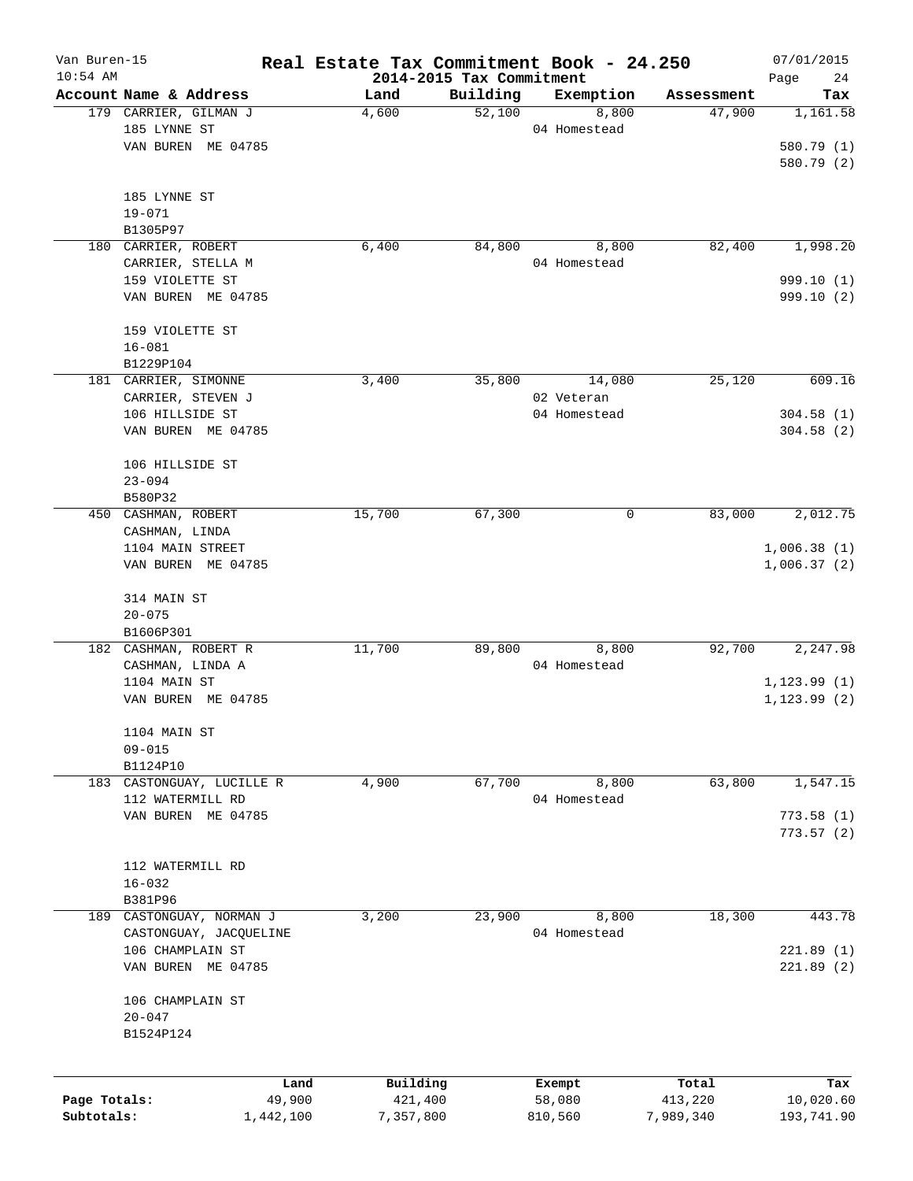| Van Buren-15 |                                  |                | Real Estate Tax Commitment Book - 24.250 |                                      |                       |                      | 07/01/2015       |
|--------------|----------------------------------|----------------|------------------------------------------|--------------------------------------|-----------------------|----------------------|------------------|
| $10:54$ AM   | Account Name & Address           |                |                                          | 2014-2015 Tax Commitment<br>Building |                       |                      | Page<br>24       |
|              | 179 CARRIER, GILMAN J            |                | Land<br>4,600                            | 52,100                               | Exemption<br>8,800    | Assessment<br>47,900 | Tax<br>1,161.58  |
|              | 185 LYNNE ST                     |                |                                          |                                      | 04 Homestead          |                      |                  |
|              | VAN BUREN ME 04785               |                |                                          |                                      |                       |                      | 580.79 (1)       |
|              |                                  |                |                                          |                                      |                       |                      | 580.79 (2)       |
|              |                                  |                |                                          |                                      |                       |                      |                  |
|              | 185 LYNNE ST                     |                |                                          |                                      |                       |                      |                  |
|              | $19 - 071$                       |                |                                          |                                      |                       |                      |                  |
|              | B1305P97                         |                |                                          |                                      |                       |                      |                  |
|              | 180 CARRIER, ROBERT              |                | 6,400                                    | 84,800                               | 8,800                 | 82,400               | 1,998.20         |
|              | CARRIER, STELLA M                |                |                                          |                                      | 04 Homestead          |                      |                  |
|              | 159 VIOLETTE ST                  |                |                                          |                                      |                       |                      | 999.10 (1)       |
|              | VAN BUREN ME 04785               |                |                                          |                                      |                       |                      | 999.10 (2)       |
|              |                                  |                |                                          |                                      |                       |                      |                  |
|              | 159 VIOLETTE ST                  |                |                                          |                                      |                       |                      |                  |
|              | $16 - 081$                       |                |                                          |                                      |                       |                      |                  |
|              | B1229P104                        |                |                                          |                                      |                       |                      |                  |
|              | 181 CARRIER, SIMONNE             |                | 3,400                                    | 35,800                               | 14,080                | 25,120               | 609.16           |
|              | CARRIER, STEVEN J                |                |                                          |                                      | 02 Veteran            |                      |                  |
|              | 106 HILLSIDE ST                  |                |                                          |                                      | 04 Homestead          |                      | 304.58(1)        |
|              | VAN BUREN ME 04785               |                |                                          |                                      |                       |                      | 304.58(2)        |
|              |                                  |                |                                          |                                      |                       |                      |                  |
|              | 106 HILLSIDE ST                  |                |                                          |                                      |                       |                      |                  |
|              | $23 - 094$                       |                |                                          |                                      |                       |                      |                  |
|              | B580P32                          |                |                                          |                                      |                       |                      |                  |
|              | 450 CASHMAN, ROBERT              |                | 15,700                                   | 67,300                               | 0                     | 83,000               | 2,012.75         |
|              | CASHMAN, LINDA                   |                |                                          |                                      |                       |                      |                  |
|              | 1104 MAIN STREET                 |                |                                          |                                      |                       |                      | 1,006.38(1)      |
|              | VAN BUREN ME 04785               |                |                                          |                                      |                       |                      | 1,006.37(2)      |
|              |                                  |                |                                          |                                      |                       |                      |                  |
|              | 314 MAIN ST                      |                |                                          |                                      |                       |                      |                  |
|              | $20 - 075$                       |                |                                          |                                      |                       |                      |                  |
|              | B1606P301                        |                |                                          |                                      |                       | 92,700               | 2,247.98         |
|              | 182 CASHMAN, ROBERT R            |                | 11,700                                   | 89,800                               | 8,800<br>04 Homestead |                      |                  |
|              | CASHMAN, LINDA A<br>1104 MAIN ST |                |                                          |                                      |                       |                      | 1, 123.99(1)     |
|              | VAN BUREN ME 04785               |                |                                          |                                      |                       |                      | 1, 123.99(2)     |
|              |                                  |                |                                          |                                      |                       |                      |                  |
|              | 1104 MAIN ST                     |                |                                          |                                      |                       |                      |                  |
|              | $09 - 015$                       |                |                                          |                                      |                       |                      |                  |
|              | B1124P10                         |                |                                          |                                      |                       |                      |                  |
| 183          | CASTONGUAY, LUCILLE R            |                | 4,900                                    | 67,700                               | 8,800                 | 63,800               | 1,547.15         |
|              | 112 WATERMILL RD                 |                |                                          |                                      | 04 Homestead          |                      |                  |
|              | VAN BUREN ME 04785               |                |                                          |                                      |                       |                      | 773.58(1)        |
|              |                                  |                |                                          |                                      |                       |                      | 773.57(2)        |
|              |                                  |                |                                          |                                      |                       |                      |                  |
|              | 112 WATERMILL RD                 |                |                                          |                                      |                       |                      |                  |
|              | $16 - 032$                       |                |                                          |                                      |                       |                      |                  |
|              | B381P96                          |                |                                          |                                      |                       |                      |                  |
|              | 189 CASTONGUAY, NORMAN J         |                | 3,200                                    | 23,900                               | 8,800                 | 18,300               | 443.78           |
|              | CASTONGUAY, JACQUELINE           |                |                                          |                                      | 04 Homestead          |                      |                  |
|              | 106 CHAMPLAIN ST                 |                |                                          |                                      |                       |                      | 221.89(1)        |
|              | VAN BUREN ME 04785               |                |                                          |                                      |                       |                      | 221.89(2)        |
|              |                                  |                |                                          |                                      |                       |                      |                  |
|              | 106 CHAMPLAIN ST                 |                |                                          |                                      |                       |                      |                  |
|              | $20 - 047$                       |                |                                          |                                      |                       |                      |                  |
|              | B1524P124                        |                |                                          |                                      |                       |                      |                  |
|              |                                  |                |                                          |                                      |                       |                      |                  |
| Page Totals: |                                  | Land<br>49,900 | Building<br>421,400                      |                                      | Exempt<br>58,080      | Total<br>413,220     | Tax<br>10,020.60 |
| Subtotals:   |                                  | 1,442,100      | 7,357,800                                |                                      | 810,560               | 7,989,340            | 193,741.90       |
|              |                                  |                |                                          |                                      |                       |                      |                  |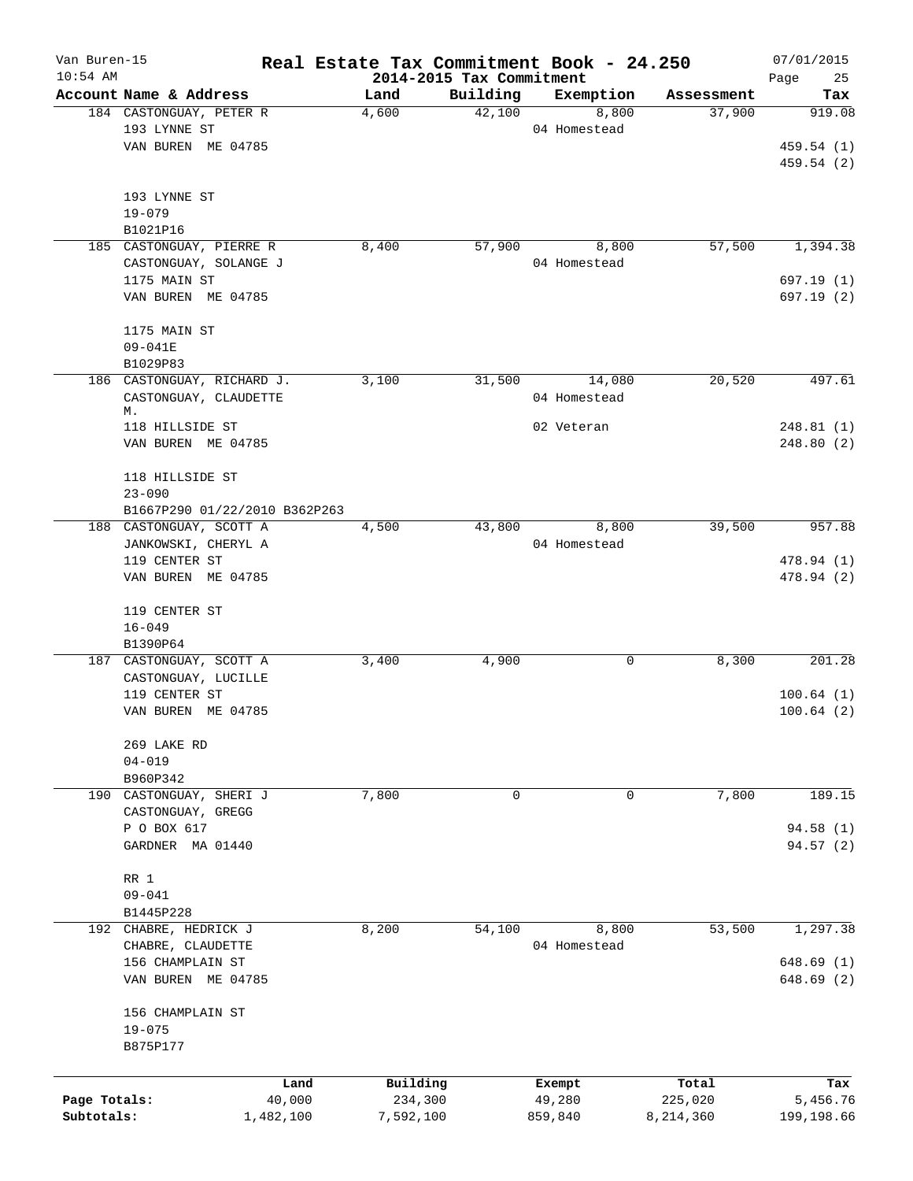| Van Buren-15<br>$10:54$ AM |                               |        | 2014-2015 Tax Commitment |          | Real Estate Tax Commitment Book - 24.250 |            | 07/01/2015<br>Page<br>25 |
|----------------------------|-------------------------------|--------|--------------------------|----------|------------------------------------------|------------|--------------------------|
|                            | Account Name & Address        |        | Land                     | Building | Exemption                                | Assessment | Tax                      |
|                            | 184 CASTONGUAY, PETER R       |        | 4,600                    | 42,100   | 8,800                                    | 37,900     | 919.08                   |
|                            | 193 LYNNE ST                  |        |                          |          | 04 Homestead                             |            |                          |
|                            | VAN BUREN ME 04785            |        |                          |          |                                          |            | 459.54 (1)               |
|                            |                               |        |                          |          |                                          |            | 459.54 (2)               |
|                            |                               |        |                          |          |                                          |            |                          |
|                            | 193 LYNNE ST                  |        |                          |          |                                          |            |                          |
|                            | $19 - 079$                    |        |                          |          |                                          |            |                          |
|                            | B1021P16                      |        |                          |          |                                          |            |                          |
|                            | 185 CASTONGUAY, PIERRE R      |        | 8,400                    | 57,900   | 8,800                                    | 57,500     | 1,394.38                 |
|                            | CASTONGUAY, SOLANGE J         |        |                          |          | 04 Homestead                             |            |                          |
|                            | 1175 MAIN ST                  |        |                          |          |                                          |            | 697.19 (1)               |
|                            | VAN BUREN ME 04785            |        |                          |          |                                          |            | 697.19 (2)               |
|                            |                               |        |                          |          |                                          |            |                          |
|                            | 1175 MAIN ST                  |        |                          |          |                                          |            |                          |
|                            | 09-041E                       |        |                          |          |                                          |            |                          |
|                            | B1029P83                      |        |                          |          |                                          |            |                          |
|                            | 186 CASTONGUAY, RICHARD J.    |        | 3,100                    | 31,500   | 14,080                                   | 20,520     | 497.61                   |
|                            | CASTONGUAY, CLAUDETTE         |        |                          |          | 04 Homestead                             |            |                          |
|                            | М.                            |        |                          |          |                                          |            |                          |
|                            | 118 HILLSIDE ST               |        |                          |          | 02 Veteran                               |            | 248.81(1)                |
|                            | VAN BUREN ME 04785            |        |                          |          |                                          |            | 248.80(2)                |
|                            |                               |        |                          |          |                                          |            |                          |
|                            | 118 HILLSIDE ST               |        |                          |          |                                          |            |                          |
|                            |                               |        |                          |          |                                          |            |                          |
|                            | $23 - 090$                    |        |                          |          |                                          |            |                          |
|                            | B1667P290 01/22/2010 B362P263 |        |                          |          |                                          | 39,500     | 957.88                   |
|                            | 188 CASTONGUAY, SCOTT A       |        | 4,500                    | 43,800   | 8,800                                    |            |                          |
|                            | JANKOWSKI, CHERYL A           |        |                          |          | 04 Homestead                             |            |                          |
|                            | 119 CENTER ST                 |        |                          |          |                                          |            | 478.94 (1)               |
|                            | VAN BUREN ME 04785            |        |                          |          |                                          |            | 478.94 (2)               |
|                            |                               |        |                          |          |                                          |            |                          |
|                            | 119 CENTER ST                 |        |                          |          |                                          |            |                          |
|                            | $16 - 049$                    |        |                          |          |                                          |            |                          |
|                            | B1390P64                      |        |                          |          |                                          |            |                          |
|                            | 187 CASTONGUAY, SCOTT A       |        | 3,400                    | 4,900    | 0                                        | 8,300      | 201.28                   |
|                            | CASTONGUAY, LUCILLE           |        |                          |          |                                          |            |                          |
|                            | 119 CENTER ST                 |        |                          |          |                                          |            | 100.64(1)                |
|                            | VAN BUREN ME 04785            |        |                          |          |                                          |            | 100.64(2)                |
|                            |                               |        |                          |          |                                          |            |                          |
|                            | 269 LAKE RD                   |        |                          |          |                                          |            |                          |
|                            | $04 - 019$                    |        |                          |          |                                          |            |                          |
|                            | B960P342                      |        |                          |          |                                          |            |                          |
|                            | 190 CASTONGUAY, SHERI J       |        | 7,800                    | 0        | 0                                        | 7,800      | 189.15                   |
|                            | CASTONGUAY, GREGG             |        |                          |          |                                          |            |                          |
|                            | P O BOX 617                   |        |                          |          |                                          |            | 94.58 (1)                |
|                            | GARDNER MA 01440              |        |                          |          |                                          |            | 94.57 (2)                |
|                            |                               |        |                          |          |                                          |            |                          |
|                            | RR 1                          |        |                          |          |                                          |            |                          |
|                            | $09 - 041$                    |        |                          |          |                                          |            |                          |
|                            | B1445P228                     |        |                          |          |                                          |            |                          |
|                            | 192 CHABRE, HEDRICK J         |        | 8,200                    | 54,100   | 8,800                                    | 53,500     | 1,297.38                 |
|                            | CHABRE, CLAUDETTE             |        |                          |          | 04 Homestead                             |            |                          |
|                            | 156 CHAMPLAIN ST              |        |                          |          |                                          |            | 648.69(1)                |
|                            | VAN BUREN ME 04785            |        |                          |          |                                          |            | 648.69 (2)               |
|                            |                               |        |                          |          |                                          |            |                          |
|                            | 156 CHAMPLAIN ST              |        |                          |          |                                          |            |                          |
|                            | $19 - 075$                    |        |                          |          |                                          |            |                          |
|                            | B875P177                      |        |                          |          |                                          |            |                          |
|                            |                               |        |                          |          |                                          |            |                          |
|                            |                               | Land   | Building                 |          | Exempt                                   | Total      | Tax                      |
| Page Totals:               |                               | 40,000 | 234,300                  |          | 49,280                                   | 225,020    | 5,456.76                 |
| Subtotals:                 | 1,482,100                     |        | 7,592,100                |          | 859,840                                  | 8,214,360  | 199,198.66               |
|                            |                               |        |                          |          |                                          |            |                          |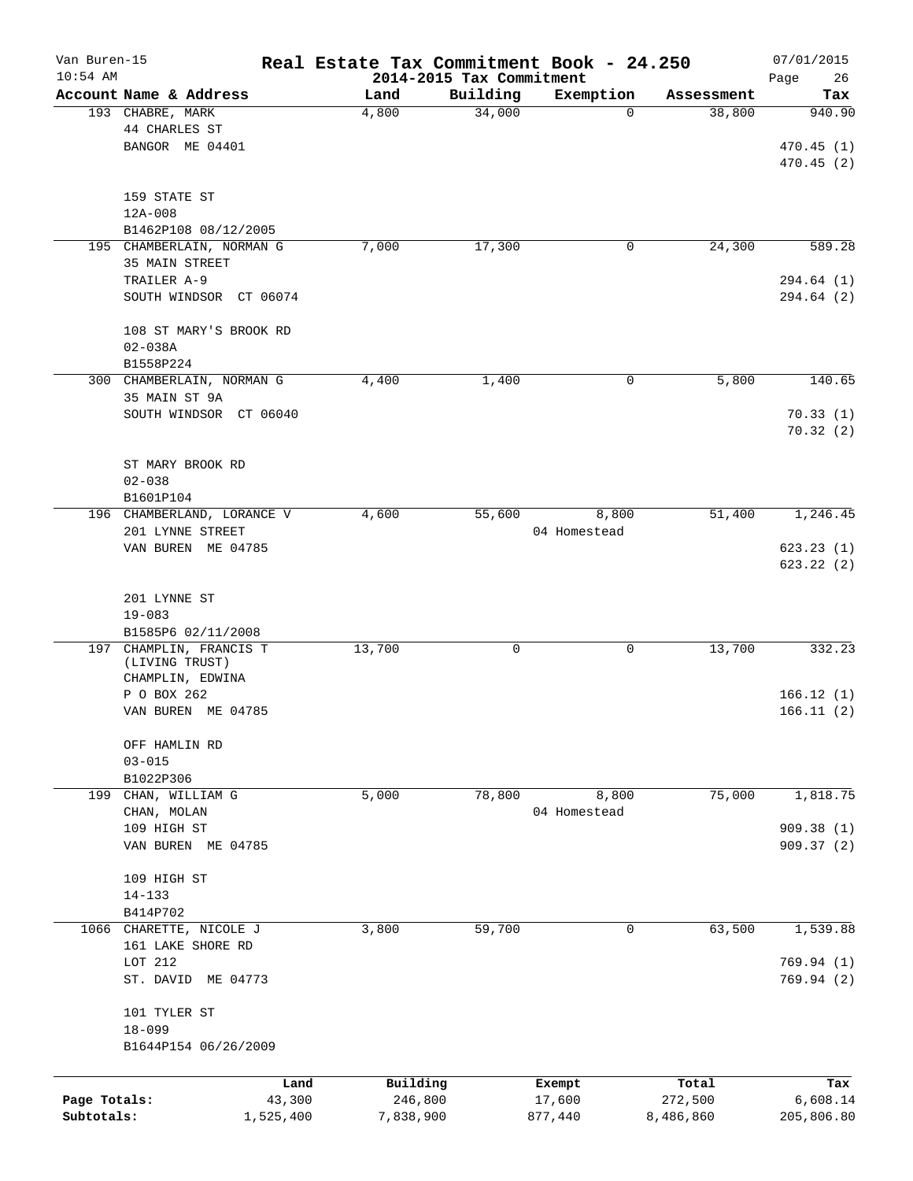| Van Buren-15 |                                           |                |               |                                      | Real Estate Tax Commitment Book - 24.250 |                      | 07/01/2015      |
|--------------|-------------------------------------------|----------------|---------------|--------------------------------------|------------------------------------------|----------------------|-----------------|
| $10:54$ AM   | Account Name & Address                    |                |               | 2014-2015 Tax Commitment<br>Building |                                          |                      | Page<br>26      |
|              | 193 CHABRE, MARK                          |                | Land<br>4,800 | 34,000                               | Exemption<br>$\mathbf 0$                 | Assessment<br>38,800 | Tax<br>940.90   |
|              | 44 CHARLES ST                             |                |               |                                      |                                          |                      |                 |
|              | BANGOR ME 04401                           |                |               |                                      |                                          |                      | 470.45(1)       |
|              |                                           |                |               |                                      |                                          |                      |                 |
|              |                                           |                |               |                                      |                                          |                      | 470.45(2)       |
|              |                                           |                |               |                                      |                                          |                      |                 |
|              | 159 STATE ST                              |                |               |                                      |                                          |                      |                 |
|              | $12A - 008$                               |                |               |                                      |                                          |                      |                 |
|              | B1462P108 08/12/2005                      |                |               |                                      |                                          |                      |                 |
|              | 195 CHAMBERLAIN, NORMAN G                 |                | 7,000         | 17,300                               | 0                                        | 24,300               | 589.28          |
|              | 35 MAIN STREET                            |                |               |                                      |                                          |                      |                 |
|              | TRAILER A-9                               |                |               |                                      |                                          |                      | 294.64 (1)      |
|              | SOUTH WINDSOR CT 06074                    |                |               |                                      |                                          |                      | 294.64 (2)      |
|              | 108 ST MARY'S BROOK RD                    |                |               |                                      |                                          |                      |                 |
|              | $02 - 038A$                               |                |               |                                      |                                          |                      |                 |
|              | B1558P224                                 |                |               |                                      |                                          |                      |                 |
|              | 300 CHAMBERLAIN, NORMAN G                 |                | 4,400         | 1,400                                | 0                                        | 5,800                | 140.65          |
|              |                                           |                |               |                                      |                                          |                      |                 |
|              | 35 MAIN ST 9A<br>SOUTH WINDSOR CT 06040   |                |               |                                      |                                          |                      |                 |
|              |                                           |                |               |                                      |                                          |                      | 70.33(1)        |
|              |                                           |                |               |                                      |                                          |                      | 70.32(2)        |
|              | ST MARY BROOK RD                          |                |               |                                      |                                          |                      |                 |
|              |                                           |                |               |                                      |                                          |                      |                 |
|              | $02 - 038$                                |                |               |                                      |                                          |                      |                 |
|              | B1601P104                                 |                |               |                                      |                                          |                      |                 |
| 196          | CHAMBERLAND, LORANCE V                    |                | 4,600         | 55,600                               | 8,800                                    | 51,400               | 1,246.45        |
|              | 201 LYNNE STREET                          |                |               |                                      | 04 Homestead                             |                      |                 |
|              | VAN BUREN ME 04785                        |                |               |                                      |                                          |                      | 623.23(1)       |
|              |                                           |                |               |                                      |                                          |                      | 623.22(2)       |
|              |                                           |                |               |                                      |                                          |                      |                 |
|              | 201 LYNNE ST                              |                |               |                                      |                                          |                      |                 |
|              | $19 - 083$                                |                |               |                                      |                                          |                      |                 |
|              | B1585P6 02/11/2008                        |                |               |                                      |                                          |                      |                 |
|              | 197 CHAMPLIN, FRANCIS T<br>(LIVING TRUST) |                | 13,700        | 0                                    | 0                                        | 13,700               | 332.23          |
|              | CHAMPLIN, EDWINA                          |                |               |                                      |                                          |                      |                 |
|              | P O BOX 262                               |                |               |                                      |                                          |                      | 166.12(1)       |
|              | VAN BUREN ME 04785                        |                |               |                                      |                                          |                      | 166.11(2)       |
|              |                                           |                |               |                                      |                                          |                      |                 |
|              | OFF HAMLIN RD                             |                |               |                                      |                                          |                      |                 |
|              | $03 - 015$                                |                |               |                                      |                                          |                      |                 |
|              | B1022P306                                 |                |               |                                      |                                          |                      |                 |
| 199          | CHAN, WILLIAM G                           |                | 5,000         | 78,800                               | 8,800                                    | 75,000               | 1,818.75        |
|              | CHAN, MOLAN                               |                |               |                                      | 04 Homestead                             |                      |                 |
|              | 109 HIGH ST                               |                |               |                                      |                                          |                      | 909.38(1)       |
|              | VAN BUREN ME 04785                        |                |               |                                      |                                          |                      | 909.37(2)       |
|              |                                           |                |               |                                      |                                          |                      |                 |
|              | 109 HIGH ST                               |                |               |                                      |                                          |                      |                 |
|              | $14 - 133$                                |                |               |                                      |                                          |                      |                 |
|              | B414P702                                  |                |               |                                      |                                          |                      |                 |
|              | 1066 CHARETTE, NICOLE J                   |                | 3,800         | 59,700                               | $\mathbf 0$                              | 63,500               | 1,539.88        |
|              | 161 LAKE SHORE RD                         |                |               |                                      |                                          |                      |                 |
|              | LOT 212                                   |                |               |                                      |                                          |                      | 769.94(1)       |
|              | ST. DAVID ME 04773                        |                |               |                                      |                                          |                      | 769.94(2)       |
|              |                                           |                |               |                                      |                                          |                      |                 |
|              | 101 TYLER ST                              |                |               |                                      |                                          |                      |                 |
|              | $18 - 099$                                |                |               |                                      |                                          |                      |                 |
|              | B1644P154 06/26/2009                      |                |               |                                      |                                          |                      |                 |
|              |                                           |                |               |                                      |                                          |                      |                 |
|              |                                           |                | Building      |                                      |                                          | Total                |                 |
| Page Totals: |                                           | Land<br>43,300 | 246,800       |                                      | Exempt<br>17,600                         | 272,500              | Tax<br>6,608.14 |
| Subtotals:   | 1,525,400                                 |                | 7,838,900     |                                      | 877,440                                  | 8,486,860            | 205,806.80      |
|              |                                           |                |               |                                      |                                          |                      |                 |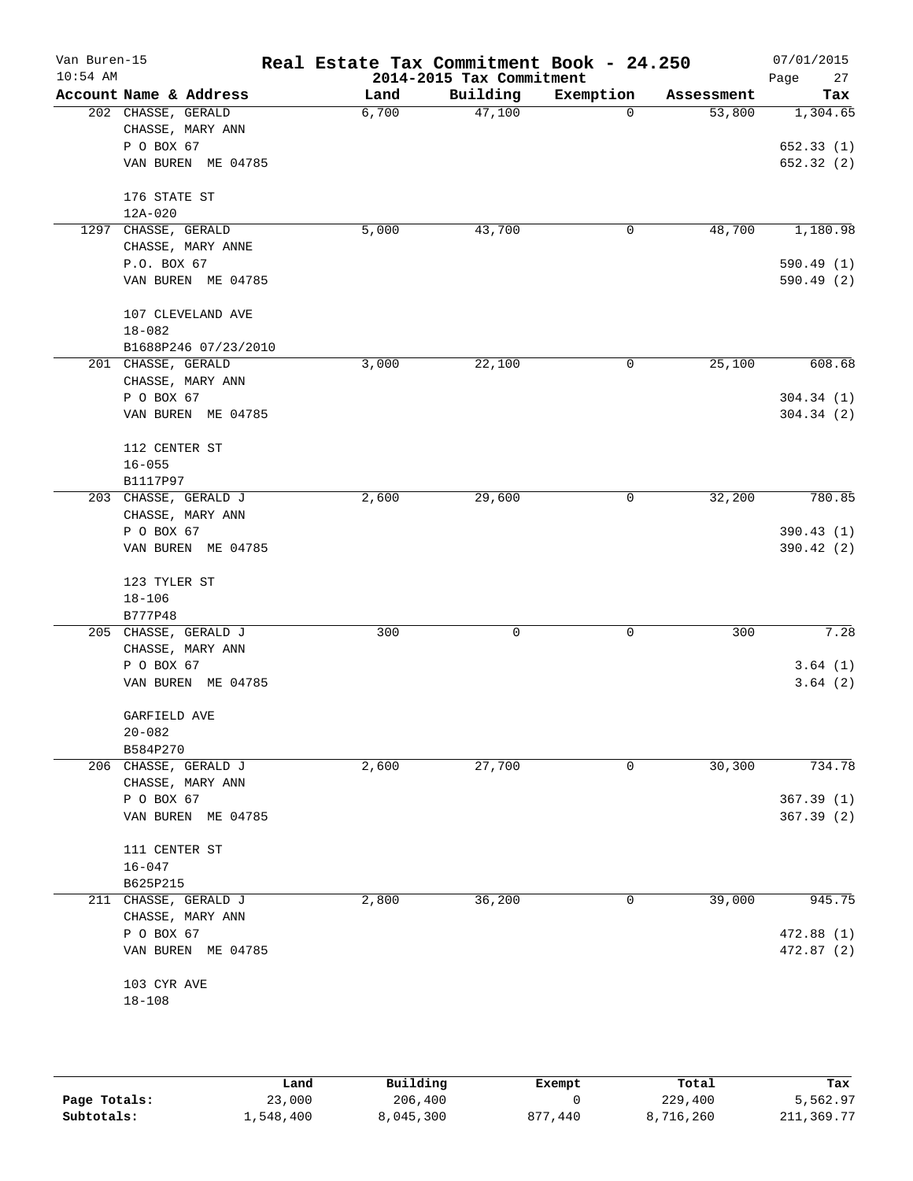| Account Name & Address<br>Building<br>Exemption<br>Land<br>Assessment<br>47,100<br>202 CHASSE, GERALD<br>6,700<br>53,800<br>$\Omega$<br>CHASSE, MARY ANN<br>P O BOX 67<br>VAN BUREN ME 04785<br>176 STATE ST<br>12A-020<br>1297 CHASSE, GERALD<br>5,000<br>43,700<br>48,700<br>0<br>CHASSE, MARY ANNE<br>P.O. BOX 67<br>VAN BUREN ME 04785<br>107 CLEVELAND AVE<br>$18 - 082$<br>B1688P246 07/23/2010<br>201 CHASSE, GERALD<br>3,000<br>22,100<br>0<br>25,100<br>CHASSE, MARY ANN<br>P O BOX 67<br>VAN BUREN ME 04785<br>112 CENTER ST<br>$16 - 055$<br>B1117P97<br>2,600<br>29,600<br>32,200<br>203 CHASSE, GERALD J<br>0<br>CHASSE, MARY ANN<br>P O BOX 67<br>VAN BUREN ME 04785<br>123 TYLER ST<br>$18 - 106$<br>B777P48<br>300<br>300<br>205 CHASSE, GERALD J<br>0<br>0<br>CHASSE, MARY ANN<br>P O BOX 67<br>VAN BUREN ME 04785<br>GARFIELD AVE<br>$20 - 082$<br>B584P270<br>27,700<br>30,300<br>206 CHASSE, GERALD J<br>2,600<br>0<br>CHASSE, MARY ANN<br>P O BOX 67<br>VAN BUREN ME 04785<br>111 CENTER ST<br>$16 - 047$<br>B625P215<br>2,800<br>39,000<br>211 CHASSE, GERALD J<br>36,200<br>0<br>CHASSE, MARY ANN<br>P O BOX 67<br>VAN BUREN ME 04785<br>103 CYR AVE | Van Buren-15<br>$10:54$ AM | Real Estate Tax Commitment Book - 24.250 | 2014-2015 Tax Commitment |  | 07/01/2015<br>27<br>Page |
|-----------------------------------------------------------------------------------------------------------------------------------------------------------------------------------------------------------------------------------------------------------------------------------------------------------------------------------------------------------------------------------------------------------------------------------------------------------------------------------------------------------------------------------------------------------------------------------------------------------------------------------------------------------------------------------------------------------------------------------------------------------------------------------------------------------------------------------------------------------------------------------------------------------------------------------------------------------------------------------------------------------------------------------------------------------------------------------------------------------------------------------------------------------------------------|----------------------------|------------------------------------------|--------------------------|--|--------------------------|
|                                                                                                                                                                                                                                                                                                                                                                                                                                                                                                                                                                                                                                                                                                                                                                                                                                                                                                                                                                                                                                                                                                                                                                             |                            |                                          |                          |  | Tax                      |
|                                                                                                                                                                                                                                                                                                                                                                                                                                                                                                                                                                                                                                                                                                                                                                                                                                                                                                                                                                                                                                                                                                                                                                             |                            |                                          |                          |  | 1,304.65                 |
|                                                                                                                                                                                                                                                                                                                                                                                                                                                                                                                                                                                                                                                                                                                                                                                                                                                                                                                                                                                                                                                                                                                                                                             |                            |                                          |                          |  |                          |
|                                                                                                                                                                                                                                                                                                                                                                                                                                                                                                                                                                                                                                                                                                                                                                                                                                                                                                                                                                                                                                                                                                                                                                             |                            |                                          |                          |  | 652.33(1)                |
|                                                                                                                                                                                                                                                                                                                                                                                                                                                                                                                                                                                                                                                                                                                                                                                                                                                                                                                                                                                                                                                                                                                                                                             |                            |                                          |                          |  | 652.32 (2)               |
|                                                                                                                                                                                                                                                                                                                                                                                                                                                                                                                                                                                                                                                                                                                                                                                                                                                                                                                                                                                                                                                                                                                                                                             |                            |                                          |                          |  |                          |
|                                                                                                                                                                                                                                                                                                                                                                                                                                                                                                                                                                                                                                                                                                                                                                                                                                                                                                                                                                                                                                                                                                                                                                             |                            |                                          |                          |  |                          |
|                                                                                                                                                                                                                                                                                                                                                                                                                                                                                                                                                                                                                                                                                                                                                                                                                                                                                                                                                                                                                                                                                                                                                                             |                            |                                          |                          |  | 1,180.98                 |
|                                                                                                                                                                                                                                                                                                                                                                                                                                                                                                                                                                                                                                                                                                                                                                                                                                                                                                                                                                                                                                                                                                                                                                             |                            |                                          |                          |  |                          |
|                                                                                                                                                                                                                                                                                                                                                                                                                                                                                                                                                                                                                                                                                                                                                                                                                                                                                                                                                                                                                                                                                                                                                                             |                            |                                          |                          |  | 590.49 (1)               |
|                                                                                                                                                                                                                                                                                                                                                                                                                                                                                                                                                                                                                                                                                                                                                                                                                                                                                                                                                                                                                                                                                                                                                                             |                            |                                          |                          |  | 590.49 (2)               |
|                                                                                                                                                                                                                                                                                                                                                                                                                                                                                                                                                                                                                                                                                                                                                                                                                                                                                                                                                                                                                                                                                                                                                                             |                            |                                          |                          |  |                          |
|                                                                                                                                                                                                                                                                                                                                                                                                                                                                                                                                                                                                                                                                                                                                                                                                                                                                                                                                                                                                                                                                                                                                                                             |                            |                                          |                          |  |                          |
|                                                                                                                                                                                                                                                                                                                                                                                                                                                                                                                                                                                                                                                                                                                                                                                                                                                                                                                                                                                                                                                                                                                                                                             |                            |                                          |                          |  |                          |
|                                                                                                                                                                                                                                                                                                                                                                                                                                                                                                                                                                                                                                                                                                                                                                                                                                                                                                                                                                                                                                                                                                                                                                             |                            |                                          |                          |  | 608.68                   |
|                                                                                                                                                                                                                                                                                                                                                                                                                                                                                                                                                                                                                                                                                                                                                                                                                                                                                                                                                                                                                                                                                                                                                                             |                            |                                          |                          |  |                          |
|                                                                                                                                                                                                                                                                                                                                                                                                                                                                                                                                                                                                                                                                                                                                                                                                                                                                                                                                                                                                                                                                                                                                                                             |                            |                                          |                          |  | 304.34(1)                |
|                                                                                                                                                                                                                                                                                                                                                                                                                                                                                                                                                                                                                                                                                                                                                                                                                                                                                                                                                                                                                                                                                                                                                                             |                            |                                          |                          |  | 304.34(2)                |
|                                                                                                                                                                                                                                                                                                                                                                                                                                                                                                                                                                                                                                                                                                                                                                                                                                                                                                                                                                                                                                                                                                                                                                             |                            |                                          |                          |  |                          |
|                                                                                                                                                                                                                                                                                                                                                                                                                                                                                                                                                                                                                                                                                                                                                                                                                                                                                                                                                                                                                                                                                                                                                                             |                            |                                          |                          |  |                          |
|                                                                                                                                                                                                                                                                                                                                                                                                                                                                                                                                                                                                                                                                                                                                                                                                                                                                                                                                                                                                                                                                                                                                                                             |                            |                                          |                          |  |                          |
|                                                                                                                                                                                                                                                                                                                                                                                                                                                                                                                                                                                                                                                                                                                                                                                                                                                                                                                                                                                                                                                                                                                                                                             |                            |                                          |                          |  | 780.85                   |
|                                                                                                                                                                                                                                                                                                                                                                                                                                                                                                                                                                                                                                                                                                                                                                                                                                                                                                                                                                                                                                                                                                                                                                             |                            |                                          |                          |  |                          |
|                                                                                                                                                                                                                                                                                                                                                                                                                                                                                                                                                                                                                                                                                                                                                                                                                                                                                                                                                                                                                                                                                                                                                                             |                            |                                          |                          |  | 390.43 (1)               |
|                                                                                                                                                                                                                                                                                                                                                                                                                                                                                                                                                                                                                                                                                                                                                                                                                                                                                                                                                                                                                                                                                                                                                                             |                            |                                          |                          |  | 390.42 (2)               |
|                                                                                                                                                                                                                                                                                                                                                                                                                                                                                                                                                                                                                                                                                                                                                                                                                                                                                                                                                                                                                                                                                                                                                                             |                            |                                          |                          |  |                          |
|                                                                                                                                                                                                                                                                                                                                                                                                                                                                                                                                                                                                                                                                                                                                                                                                                                                                                                                                                                                                                                                                                                                                                                             |                            |                                          |                          |  |                          |
|                                                                                                                                                                                                                                                                                                                                                                                                                                                                                                                                                                                                                                                                                                                                                                                                                                                                                                                                                                                                                                                                                                                                                                             |                            |                                          |                          |  |                          |
|                                                                                                                                                                                                                                                                                                                                                                                                                                                                                                                                                                                                                                                                                                                                                                                                                                                                                                                                                                                                                                                                                                                                                                             |                            |                                          |                          |  | 7.28                     |
|                                                                                                                                                                                                                                                                                                                                                                                                                                                                                                                                                                                                                                                                                                                                                                                                                                                                                                                                                                                                                                                                                                                                                                             |                            |                                          |                          |  |                          |
|                                                                                                                                                                                                                                                                                                                                                                                                                                                                                                                                                                                                                                                                                                                                                                                                                                                                                                                                                                                                                                                                                                                                                                             |                            |                                          |                          |  | 3.64(1)                  |
|                                                                                                                                                                                                                                                                                                                                                                                                                                                                                                                                                                                                                                                                                                                                                                                                                                                                                                                                                                                                                                                                                                                                                                             |                            |                                          |                          |  | 3.64(2)                  |
|                                                                                                                                                                                                                                                                                                                                                                                                                                                                                                                                                                                                                                                                                                                                                                                                                                                                                                                                                                                                                                                                                                                                                                             |                            |                                          |                          |  |                          |
|                                                                                                                                                                                                                                                                                                                                                                                                                                                                                                                                                                                                                                                                                                                                                                                                                                                                                                                                                                                                                                                                                                                                                                             |                            |                                          |                          |  |                          |
|                                                                                                                                                                                                                                                                                                                                                                                                                                                                                                                                                                                                                                                                                                                                                                                                                                                                                                                                                                                                                                                                                                                                                                             |                            |                                          |                          |  |                          |
|                                                                                                                                                                                                                                                                                                                                                                                                                                                                                                                                                                                                                                                                                                                                                                                                                                                                                                                                                                                                                                                                                                                                                                             |                            |                                          |                          |  | 734.78                   |
|                                                                                                                                                                                                                                                                                                                                                                                                                                                                                                                                                                                                                                                                                                                                                                                                                                                                                                                                                                                                                                                                                                                                                                             |                            |                                          |                          |  |                          |
|                                                                                                                                                                                                                                                                                                                                                                                                                                                                                                                                                                                                                                                                                                                                                                                                                                                                                                                                                                                                                                                                                                                                                                             |                            |                                          |                          |  | 367.39(1)                |
|                                                                                                                                                                                                                                                                                                                                                                                                                                                                                                                                                                                                                                                                                                                                                                                                                                                                                                                                                                                                                                                                                                                                                                             |                            |                                          |                          |  | 367.39(2)                |
|                                                                                                                                                                                                                                                                                                                                                                                                                                                                                                                                                                                                                                                                                                                                                                                                                                                                                                                                                                                                                                                                                                                                                                             |                            |                                          |                          |  |                          |
|                                                                                                                                                                                                                                                                                                                                                                                                                                                                                                                                                                                                                                                                                                                                                                                                                                                                                                                                                                                                                                                                                                                                                                             |                            |                                          |                          |  |                          |
|                                                                                                                                                                                                                                                                                                                                                                                                                                                                                                                                                                                                                                                                                                                                                                                                                                                                                                                                                                                                                                                                                                                                                                             |                            |                                          |                          |  |                          |
|                                                                                                                                                                                                                                                                                                                                                                                                                                                                                                                                                                                                                                                                                                                                                                                                                                                                                                                                                                                                                                                                                                                                                                             |                            |                                          |                          |  | 945.75                   |
|                                                                                                                                                                                                                                                                                                                                                                                                                                                                                                                                                                                                                                                                                                                                                                                                                                                                                                                                                                                                                                                                                                                                                                             |                            |                                          |                          |  |                          |
|                                                                                                                                                                                                                                                                                                                                                                                                                                                                                                                                                                                                                                                                                                                                                                                                                                                                                                                                                                                                                                                                                                                                                                             |                            |                                          |                          |  | 472.88 (1)               |
|                                                                                                                                                                                                                                                                                                                                                                                                                                                                                                                                                                                                                                                                                                                                                                                                                                                                                                                                                                                                                                                                                                                                                                             |                            |                                          |                          |  | 472.87 (2)               |
|                                                                                                                                                                                                                                                                                                                                                                                                                                                                                                                                                                                                                                                                                                                                                                                                                                                                                                                                                                                                                                                                                                                                                                             |                            |                                          |                          |  |                          |
| $18 - 108$                                                                                                                                                                                                                                                                                                                                                                                                                                                                                                                                                                                                                                                                                                                                                                                                                                                                                                                                                                                                                                                                                                                                                                  |                            |                                          |                          |  |                          |
|                                                                                                                                                                                                                                                                                                                                                                                                                                                                                                                                                                                                                                                                                                                                                                                                                                                                                                                                                                                                                                                                                                                                                                             |                            |                                          |                          |  |                          |

|              | Land      | Building  | Exempt       | Total     | Tax        |
|--------------|-----------|-----------|--------------|-----------|------------|
| Page Totals: | 23,000    | 206,400   |              | 229,400   | 5,562.97   |
| Subtotals:   | 1,548,400 | 8,045,300 | 440 '<br>877 | 8,716,260 | 211,369.77 |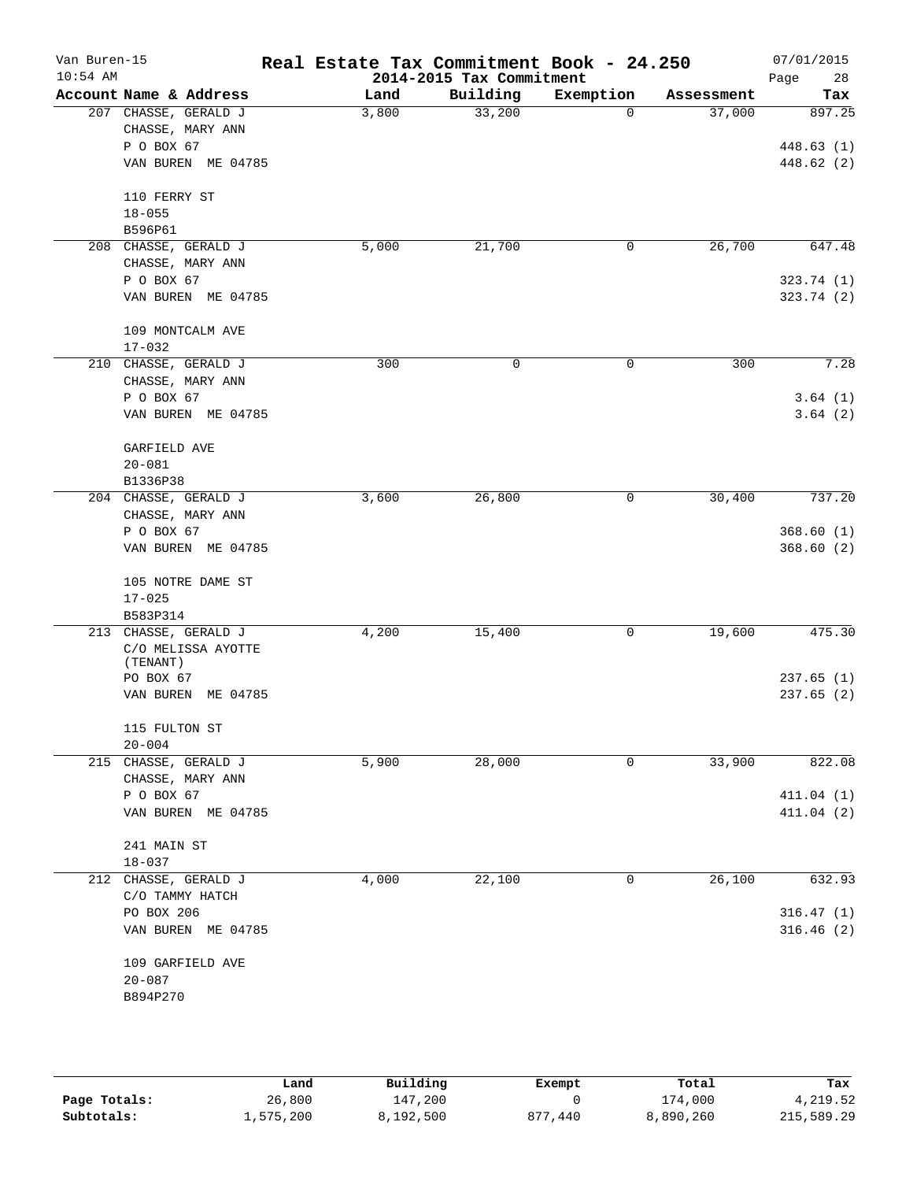| Account Name & Address<br>Building<br>Exemption<br>Land<br>207 CHASSE, GERALD J<br>33,200<br>3,800<br>CHASSE, MARY ANN<br>P O BOX 67<br>VAN BUREN ME 04785<br>110 FERRY ST<br>$18 - 055$ | $\Omega$<br>0 | Assessment<br>37,000<br>26,700 | Tax<br>897.25      |
|------------------------------------------------------------------------------------------------------------------------------------------------------------------------------------------|---------------|--------------------------------|--------------------|
|                                                                                                                                                                                          |               |                                |                    |
|                                                                                                                                                                                          |               |                                | 448.63(1)          |
|                                                                                                                                                                                          |               |                                | 448.62 (2)         |
|                                                                                                                                                                                          |               |                                |                    |
|                                                                                                                                                                                          |               |                                |                    |
|                                                                                                                                                                                          |               |                                |                    |
|                                                                                                                                                                                          |               |                                |                    |
| B596P61                                                                                                                                                                                  |               |                                |                    |
| 5,000<br>21,700<br>208 CHASSE, GERALD J                                                                                                                                                  |               |                                | 647.48             |
| CHASSE, MARY ANN                                                                                                                                                                         |               |                                |                    |
| P O BOX 67                                                                                                                                                                               |               |                                | 323.74(1)          |
| VAN BUREN ME 04785                                                                                                                                                                       |               |                                | 323.74 (2)         |
| 109 MONTCALM AVE                                                                                                                                                                         |               |                                |                    |
| $17 - 032$                                                                                                                                                                               |               |                                |                    |
| 210 CHASSE, GERALD J<br>300<br>0                                                                                                                                                         | 0             | 300                            | 7.28               |
| CHASSE, MARY ANN<br>P O BOX 67                                                                                                                                                           |               |                                |                    |
| VAN BUREN ME 04785                                                                                                                                                                       |               |                                | 3.64(1)<br>3.64(2) |
|                                                                                                                                                                                          |               |                                |                    |
| GARFIELD AVE                                                                                                                                                                             |               |                                |                    |
| $20 - 081$                                                                                                                                                                               |               |                                |                    |
| B1336P38                                                                                                                                                                                 |               |                                |                    |
| 3,600<br>26,800<br>204 CHASSE, GERALD J                                                                                                                                                  | 0             | 30,400                         | 737.20             |
| CHASSE, MARY ANN                                                                                                                                                                         |               |                                |                    |
| P O BOX 67                                                                                                                                                                               |               |                                | 368.60(1)          |
| VAN BUREN ME 04785                                                                                                                                                                       |               |                                | 368.60(2)          |
| 105 NOTRE DAME ST                                                                                                                                                                        |               |                                |                    |
| $17 - 025$                                                                                                                                                                               |               |                                |                    |
| B583P314                                                                                                                                                                                 |               |                                |                    |
| 213 CHASSE, GERALD J<br>4,200<br>15,400                                                                                                                                                  | 0             | 19,600                         | 475.30             |
| C/O MELISSA AYOTTE                                                                                                                                                                       |               |                                |                    |
| (TENANT)                                                                                                                                                                                 |               |                                |                    |
| PO BOX 67                                                                                                                                                                                |               |                                | 237.65(1)          |
| VAN BUREN<br>ME 04785                                                                                                                                                                    |               |                                | 237.65(2)          |
| 115 FULTON ST                                                                                                                                                                            |               |                                |                    |
| $20 - 004$                                                                                                                                                                               |               |                                |                    |
| 215 CHASSE, GERALD J<br>5,900<br>28,000                                                                                                                                                  | 0             | 33,900                         | 822.08             |
| CHASSE, MARY ANN                                                                                                                                                                         |               |                                |                    |
| P O BOX 67                                                                                                                                                                               |               |                                | 411.04(1)          |
| VAN BUREN ME 04785                                                                                                                                                                       |               |                                | 411.04(2)          |
| 241 MAIN ST                                                                                                                                                                              |               |                                |                    |
| $18 - 037$                                                                                                                                                                               |               |                                |                    |
| 4,000<br>22,100<br>212 CHASSE, GERALD J                                                                                                                                                  | 0             | 26,100                         | 632.93             |
| C/O TAMMY HATCH                                                                                                                                                                          |               |                                |                    |
| PO BOX 206                                                                                                                                                                               |               |                                | 316.47(1)          |
| VAN BUREN ME 04785                                                                                                                                                                       |               |                                | 316.46(2)          |
| 109 GARFIELD AVE                                                                                                                                                                         |               |                                |                    |
| $20 - 087$                                                                                                                                                                               |               |                                |                    |
| B894P270                                                                                                                                                                                 |               |                                |                    |
|                                                                                                                                                                                          |               |                                |                    |

|              | Land      | Building  | Exempt      | Total     | Tax        |
|--------------|-----------|-----------|-------------|-----------|------------|
| Page Totals: | 26,800    | 147,200   |             | 174,000   | 4,219.52   |
| Subtotals:   | 1,575,200 | 8,192,500 | .440<br>877 | 8,890,260 | 215,589.29 |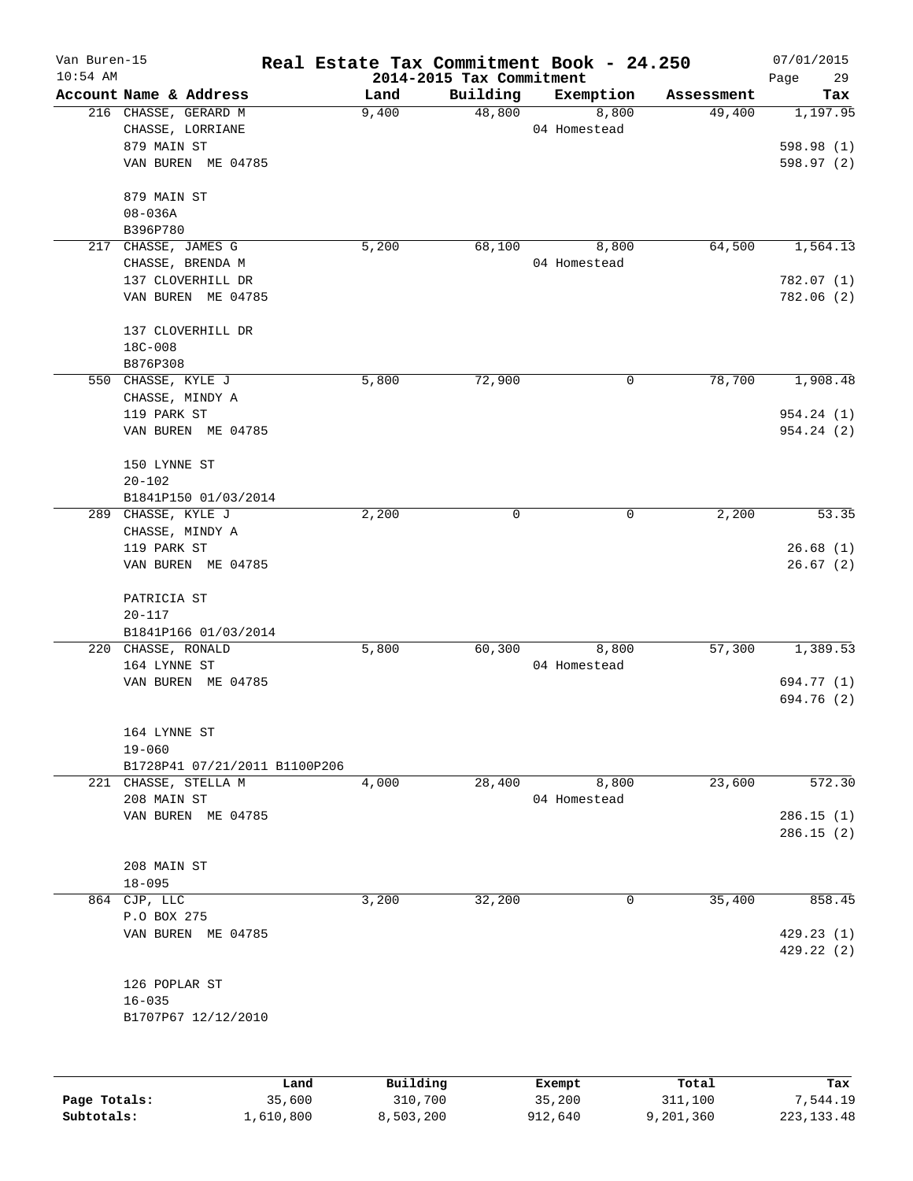| Van Buren-15 |                               | Real Estate Tax Commitment Book - 24.250 |                                      |              |            | 07/01/2015              |
|--------------|-------------------------------|------------------------------------------|--------------------------------------|--------------|------------|-------------------------|
| $10:54$ AM   | Account Name & Address        | Land                                     | 2014-2015 Tax Commitment<br>Building | Exemption    | Assessment | Page<br>29<br>Tax       |
|              | 216 CHASSE, GERARD M          | 9,400                                    | 48,800                               | 8,800        | 49,400     | 1,197.95                |
|              | CHASSE, LORRIANE              |                                          |                                      | 04 Homestead |            |                         |
|              | 879 MAIN ST                   |                                          |                                      |              |            | 598.98 (1)              |
|              | VAN BUREN ME 04785            |                                          |                                      |              |            | 598.97 (2)              |
|              | 879 MAIN ST                   |                                          |                                      |              |            |                         |
|              | $08 - 036A$                   |                                          |                                      |              |            |                         |
|              | B396P780                      |                                          |                                      |              |            |                         |
| 217          | CHASSE, JAMES G               | 5,200                                    | 68,100                               | 8,800        | 64,500     | 1,564.13                |
|              | CHASSE, BRENDA M              |                                          |                                      | 04 Homestead |            |                         |
|              | 137 CLOVERHILL DR             |                                          |                                      |              |            | 782.07(1)               |
|              | VAN BUREN ME 04785            |                                          |                                      |              |            | 782.06 (2)              |
|              | 137 CLOVERHILL DR             |                                          |                                      |              |            |                         |
|              | 18C-008                       |                                          |                                      |              |            |                         |
|              | B876P308                      |                                          |                                      |              |            |                         |
|              | 550 CHASSE, KYLE J            | 5,800                                    | 72,900                               | 0            | 78,700     | 1,908.48                |
|              | CHASSE, MINDY A               |                                          |                                      |              |            |                         |
|              | 119 PARK ST                   |                                          |                                      |              |            | 954.24 (1)              |
|              | VAN BUREN ME 04785            |                                          |                                      |              |            | 954.24(2)               |
|              | 150 LYNNE ST                  |                                          |                                      |              |            |                         |
|              | $20 - 102$                    |                                          |                                      |              |            |                         |
|              | B1841P150 01/03/2014          |                                          |                                      |              |            |                         |
|              | 289 CHASSE, KYLE J            | 2,200                                    | 0                                    | 0            | 2,200      | 53.35                   |
|              | CHASSE, MINDY A               |                                          |                                      |              |            |                         |
|              | 119 PARK ST                   |                                          |                                      |              |            | 26.68(1)                |
|              | VAN BUREN ME 04785            |                                          |                                      |              |            | 26.67(2)                |
|              | PATRICIA ST                   |                                          |                                      |              |            |                         |
|              | $20 - 117$                    |                                          |                                      |              |            |                         |
|              | B1841P166 01/03/2014          |                                          |                                      |              |            |                         |
|              | 220 CHASSE, RONALD            | 5,800                                    | 60,300                               | 8,800        | 57,300     | 1,389.53                |
|              | 164 LYNNE ST                  |                                          |                                      | 04 Homestead |            |                         |
|              | VAN BUREN ME 04785            |                                          |                                      |              |            | 694.77 (1)              |
|              |                               |                                          |                                      |              |            | 694.76 (2)              |
|              | 164 LYNNE ST                  |                                          |                                      |              |            |                         |
|              | $19 - 060$                    |                                          |                                      |              |            |                         |
|              | B1728P41 07/21/2011 B1100P206 |                                          |                                      |              |            |                         |
|              | 221 CHASSE, STELLA M          | 4,000                                    | 28,400                               | 8,800        | 23,600     | 572.30                  |
|              | 208 MAIN ST                   |                                          |                                      | 04 Homestead |            |                         |
|              | VAN BUREN ME 04785            |                                          |                                      |              |            | 286.15(1)<br>286.15(2)  |
|              | 208 MAIN ST                   |                                          |                                      |              |            |                         |
|              | $18 - 095$                    |                                          |                                      |              |            |                         |
| 864          | CJP, LLC                      | 3,200                                    | 32,200                               | 0            | 35,400     | 858.45                  |
|              | P.O BOX 275                   |                                          |                                      |              |            |                         |
|              |                               |                                          |                                      |              |            |                         |
|              | VAN BUREN ME 04785            |                                          |                                      |              |            | 429.23(1)<br>429.22 (2) |
|              | 126 POPLAR ST                 |                                          |                                      |              |            |                         |
|              | $16 - 035$                    |                                          |                                      |              |            |                         |
|              | B1707P67 12/12/2010           |                                          |                                      |              |            |                         |
|              |                               |                                          |                                      |              |            |                         |
|              |                               | Building<br>Land                         |                                      | Exempt       | Total      | Tax                     |
| Page Totals: | 35,600                        | 310,700                                  |                                      | 35,200       | 311,100    | 7,544.19                |

**Subtotals:** 1,610,800 8,503,200 912,640 9,201,360 223,133.48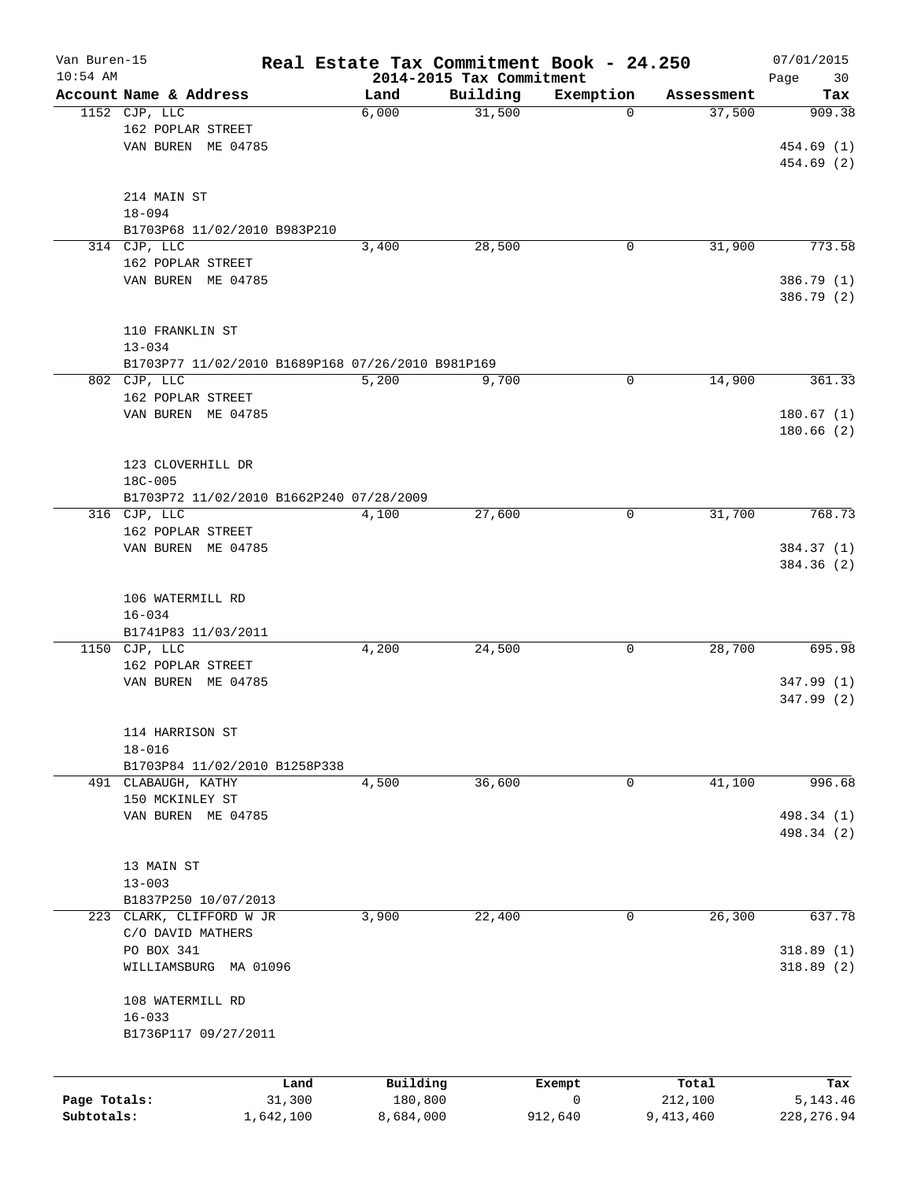| Van Buren-15 |                                                   | Real Estate Tax Commitment Book - 24.250 |                                      |              |            | 07/01/2015    |
|--------------|---------------------------------------------------|------------------------------------------|--------------------------------------|--------------|------------|---------------|
| $10:54$ AM   | Account Name & Address                            | Land                                     | 2014-2015 Tax Commitment<br>Building | Exemption    | Assessment | Page<br>30    |
|              | 1152 CJP, LLC                                     | 6,000                                    | 31,500                               | $\mathbf 0$  | 37,500     | Tax<br>909.38 |
|              | 162 POPLAR STREET                                 |                                          |                                      |              |            |               |
|              | VAN BUREN ME 04785                                |                                          |                                      |              |            | 454.69 (1)    |
|              |                                                   |                                          |                                      |              |            | 454.69 (2)    |
|              |                                                   |                                          |                                      |              |            |               |
|              | 214 MAIN ST                                       |                                          |                                      |              |            |               |
|              | $18 - 094$                                        |                                          |                                      |              |            |               |
|              | B1703P68 11/02/2010 B983P210                      |                                          |                                      |              |            |               |
|              | 314 CJP, LLC                                      | 3,400                                    | 28,500                               | 0            | 31,900     | 773.58        |
|              | 162 POPLAR STREET                                 |                                          |                                      |              |            |               |
|              | VAN BUREN ME 04785                                |                                          |                                      |              |            | 386.79 (1)    |
|              |                                                   |                                          |                                      |              |            | 386.79 (2)    |
|              |                                                   |                                          |                                      |              |            |               |
|              | 110 FRANKLIN ST                                   |                                          |                                      |              |            |               |
|              | $13 - 034$                                        |                                          |                                      |              |            |               |
|              | B1703P77 11/02/2010 B1689P168 07/26/2010 B981P169 |                                          |                                      |              |            |               |
|              | 802 CJP, LLC                                      | 5,200                                    | 9,700                                | 0            | 14,900     | 361.33        |
|              | 162 POPLAR STREET                                 |                                          |                                      |              |            |               |
|              | VAN BUREN ME 04785                                |                                          |                                      |              |            | 180.67(1)     |
|              |                                                   |                                          |                                      |              |            | 180.66(2)     |
|              |                                                   |                                          |                                      |              |            |               |
|              | 123 CLOVERHILL DR                                 |                                          |                                      |              |            |               |
|              | 18C-005                                           |                                          |                                      |              |            |               |
|              | B1703P72 11/02/2010 B1662P240 07/28/2009          |                                          |                                      |              |            |               |
|              | 316 CJP, LLC                                      | 4,100                                    | 27,600                               | 0            | 31,700     | 768.73        |
|              | 162 POPLAR STREET                                 |                                          |                                      |              |            |               |
|              | VAN BUREN ME 04785                                |                                          |                                      |              |            | 384.37 (1)    |
|              |                                                   |                                          |                                      |              |            | 384.36 (2)    |
|              |                                                   |                                          |                                      |              |            |               |
|              | 106 WATERMILL RD                                  |                                          |                                      |              |            |               |
|              | $16 - 034$<br>B1741P83 11/03/2011                 |                                          |                                      |              |            |               |
|              | 1150 CJP, LLC                                     | 4,200                                    | 24,500                               | 0            | 28,700     | 695.98        |
|              | 162 POPLAR STREET                                 |                                          |                                      |              |            |               |
|              | VAN BUREN ME 04785                                |                                          |                                      |              |            | 347.99 (1)    |
|              |                                                   |                                          |                                      |              |            | 347.99 (2)    |
|              |                                                   |                                          |                                      |              |            |               |
|              | 114 HARRISON ST                                   |                                          |                                      |              |            |               |
|              | $18 - 016$                                        |                                          |                                      |              |            |               |
|              | B1703P84 11/02/2010 B1258P338                     |                                          |                                      |              |            |               |
|              | 491 CLABAUGH, KATHY                               | 4,500                                    | 36,600                               | 0            | 41,100     | 996.68        |
|              | 150 MCKINLEY ST                                   |                                          |                                      |              |            |               |
|              | VAN BUREN ME 04785                                |                                          |                                      |              |            | 498.34 (1)    |
|              |                                                   |                                          |                                      |              |            | 498.34 (2)    |
|              |                                                   |                                          |                                      |              |            |               |
|              | 13 MAIN ST                                        |                                          |                                      |              |            |               |
|              | $13 - 003$                                        |                                          |                                      |              |            |               |
|              | B1837P250 10/07/2013                              |                                          |                                      |              |            |               |
|              | 223 CLARK, CLIFFORD W JR                          | 3,900                                    | 22,400                               | 0            | 26,300     | 637.78        |
|              | C/O DAVID MATHERS                                 |                                          |                                      |              |            |               |
|              | PO BOX 341                                        |                                          |                                      |              |            | 318.89(1)     |
|              | WILLIAMSBURG MA 01096                             |                                          |                                      |              |            | 318.89 (2)    |
|              |                                                   |                                          |                                      |              |            |               |
|              | 108 WATERMILL RD                                  |                                          |                                      |              |            |               |
|              | $16 - 033$                                        |                                          |                                      |              |            |               |
|              | B1736P117 09/27/2011                              |                                          |                                      |              |            |               |
|              |                                                   |                                          |                                      |              |            |               |
|              | Land                                              | Building                                 |                                      | Exempt       | Total      | Tax           |
| Page Totals: | 31,300                                            | 180,800                                  |                                      | $\mathsf{O}$ | 212,100    | 5, 143. 46    |
| Subtotals:   | 1,642,100                                         | 8,684,000                                | 912,640                              |              | 9,413,460  | 228, 276.94   |
|              |                                                   |                                          |                                      |              |            |               |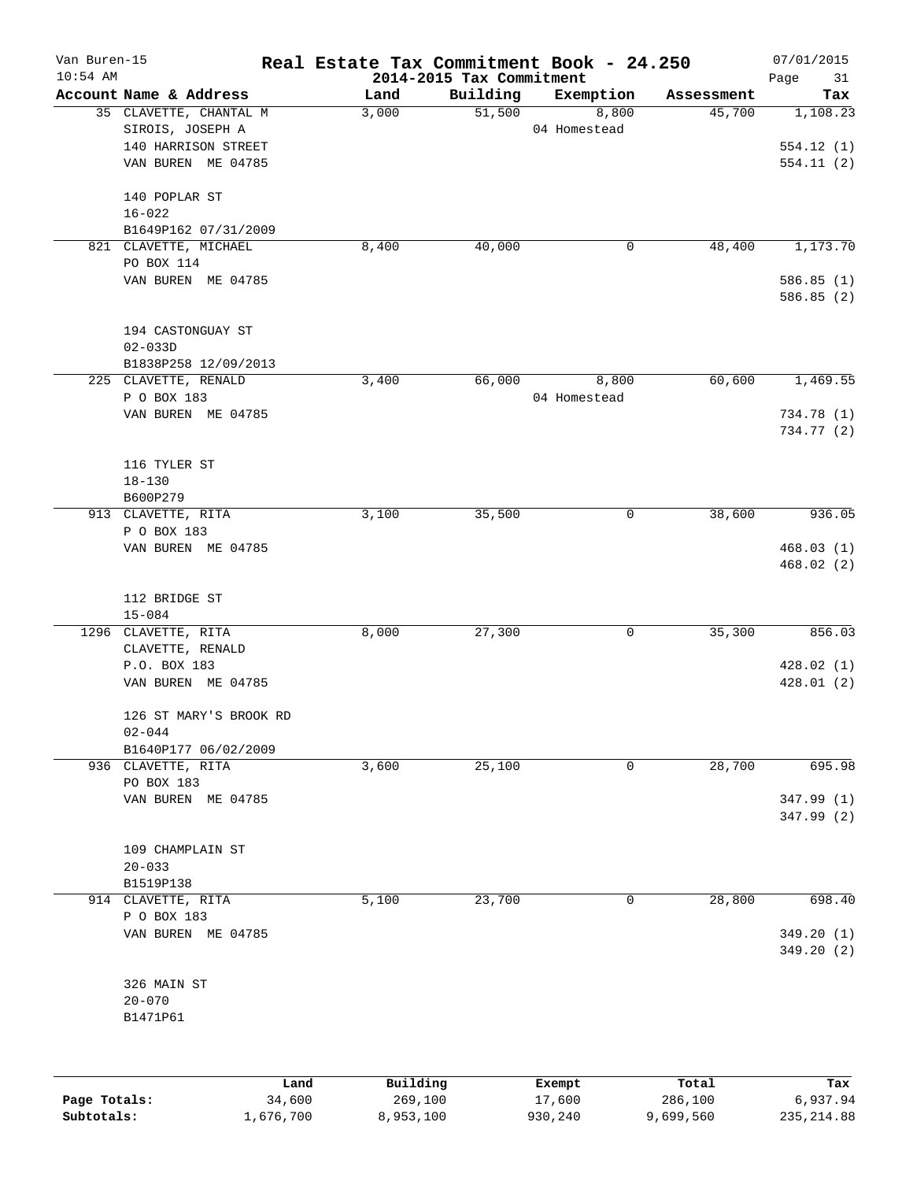| Van Buren-15 |                         | Real Estate Tax Commitment Book - 24.250 |                                      |                  |                  | 07/01/2015             |
|--------------|-------------------------|------------------------------------------|--------------------------------------|------------------|------------------|------------------------|
| $10:54$ AM   | Account Name & Address  | Land                                     | 2014-2015 Tax Commitment<br>Building | Exemption        | Assessment       | Page<br>31<br>Tax      |
|              | 35 CLAVETTE, CHANTAL M  | 3,000                                    | 51,500                               | 8,800            | 45,700           | 1,108.23               |
|              | SIROIS, JOSEPH A        |                                          |                                      | 04 Homestead     |                  |                        |
|              | 140 HARRISON STREET     |                                          |                                      |                  |                  | 554.12(1)              |
|              | VAN BUREN ME 04785      |                                          |                                      |                  |                  | 554.11(2)              |
|              |                         |                                          |                                      |                  |                  |                        |
|              | 140 POPLAR ST           |                                          |                                      |                  |                  |                        |
|              | $16 - 022$              |                                          |                                      |                  |                  |                        |
|              | B1649P162 07/31/2009    |                                          |                                      |                  |                  |                        |
|              | 821 CLAVETTE, MICHAEL   | 8,400                                    | 40,000                               | 0                | 48,400           | 1,173.70               |
|              | PO BOX 114              |                                          |                                      |                  |                  |                        |
|              | VAN BUREN ME 04785      |                                          |                                      |                  |                  | 586.85(1)<br>586.85(2) |
|              |                         |                                          |                                      |                  |                  |                        |
|              | 194 CASTONGUAY ST       |                                          |                                      |                  |                  |                        |
|              | $02 - 033D$             |                                          |                                      |                  |                  |                        |
|              | B1838P258 12/09/2013    |                                          |                                      |                  |                  |                        |
|              | 225 CLAVETTE, RENALD    | 3,400                                    | 66,000                               | 8,800            | 60,600           | 1,469.55               |
|              | P O BOX 183             |                                          |                                      | 04 Homestead     |                  |                        |
|              | VAN BUREN ME 04785      |                                          |                                      |                  |                  | 734.78 (1)             |
|              |                         |                                          |                                      |                  |                  | 734.77 (2)             |
|              |                         |                                          |                                      |                  |                  |                        |
|              | 116 TYLER ST            |                                          |                                      |                  |                  |                        |
|              | $18 - 130$              |                                          |                                      |                  |                  |                        |
|              | B600P279                |                                          |                                      |                  |                  |                        |
|              | 913 CLAVETTE, RITA      | 3,100                                    | 35,500                               | 0                | 38,600           | 936.05                 |
|              | P O BOX 183             |                                          |                                      |                  |                  |                        |
|              | VAN BUREN ME 04785      |                                          |                                      |                  |                  | 468.03(1)              |
|              |                         |                                          |                                      |                  |                  | 468.02(2)              |
|              | 112 BRIDGE ST           |                                          |                                      |                  |                  |                        |
|              | $15 - 084$              |                                          |                                      |                  |                  |                        |
|              | 1296 CLAVETTE, RITA     | 8,000                                    | 27,300                               | 0                | 35,300           | 856.03                 |
|              | CLAVETTE, RENALD        |                                          |                                      |                  |                  |                        |
|              | P.O. BOX 183            |                                          |                                      |                  |                  | 428.02(1)              |
|              | VAN BUREN ME 04785      |                                          |                                      |                  |                  | 428.01 (2)             |
|              |                         |                                          |                                      |                  |                  |                        |
|              | 126 ST MARY'S BROOK RD  |                                          |                                      |                  |                  |                        |
|              | $02 - 044$              |                                          |                                      |                  |                  |                        |
|              | B1640P177 06/02/2009    |                                          |                                      |                  |                  |                        |
|              | 936 CLAVETTE, RITA      | 3,600                                    | 25,100                               | 0                | 28,700           | 695.98                 |
|              | PO BOX 183              |                                          |                                      |                  |                  |                        |
|              | VAN BUREN ME 04785      |                                          |                                      |                  |                  | 347.99 (1)             |
|              |                         |                                          |                                      |                  |                  | 347.99 (2)             |
|              |                         |                                          |                                      |                  |                  |                        |
|              | 109 CHAMPLAIN ST        |                                          |                                      |                  |                  |                        |
|              | $20 - 033$<br>B1519P138 |                                          |                                      |                  |                  |                        |
|              | 914 CLAVETTE, RITA      | 5,100                                    | 23,700                               | 0                | 28,800           | 698.40                 |
|              | P O BOX 183             |                                          |                                      |                  |                  |                        |
|              | VAN BUREN ME 04785      |                                          |                                      |                  |                  | 349.20(1)              |
|              |                         |                                          |                                      |                  |                  | 349.20 (2)             |
|              |                         |                                          |                                      |                  |                  |                        |
|              | 326 MAIN ST             |                                          |                                      |                  |                  |                        |
|              | $20 - 070$              |                                          |                                      |                  |                  |                        |
|              | B1471P61                |                                          |                                      |                  |                  |                        |
|              |                         |                                          |                                      |                  |                  |                        |
|              |                         |                                          |                                      |                  |                  |                        |
|              |                         |                                          |                                      |                  |                  |                        |
|              | Land<br>34,600          | Building<br>269,100                      |                                      | Exempt<br>17,600 | Total<br>286,100 | Tax<br>6,937.94        |
| Page Totals: |                         |                                          |                                      |                  |                  |                        |

**Subtotals:** 1,676,700 8,953,100 930,240 9,699,560 235,214.88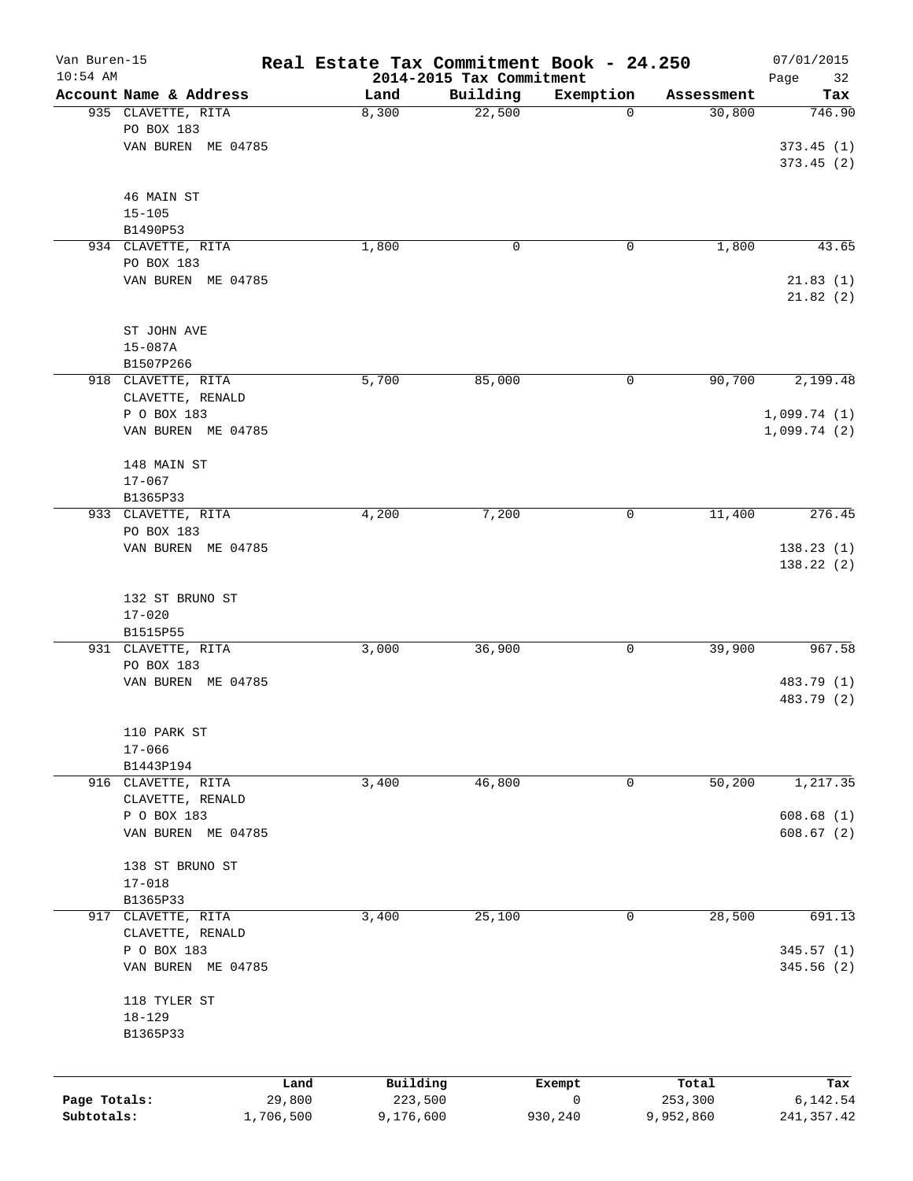| Van Buren-15<br>$10:54$ AM |                                   | Real Estate Tax Commitment Book - 24.250 | 2014-2015 Tax Commitment |           |            | 07/01/2015<br>Page<br>32 |
|----------------------------|-----------------------------------|------------------------------------------|--------------------------|-----------|------------|--------------------------|
|                            | Account Name & Address            | Land                                     | Building                 | Exemption | Assessment | Tax                      |
|                            | 935 CLAVETTE, RITA                | 8,300                                    | 22,500                   | 0         | 30,800     | 746.90                   |
|                            | PO BOX 183                        |                                          |                          |           |            |                          |
|                            | VAN BUREN ME 04785                |                                          |                          |           |            | 373.45(1)                |
|                            |                                   |                                          |                          |           |            | 373.45 (2)               |
|                            |                                   |                                          |                          |           |            |                          |
|                            | 46 MAIN ST                        |                                          |                          |           |            |                          |
|                            | $15 - 105$                        |                                          |                          |           |            |                          |
|                            | B1490P53<br>934 CLAVETTE, RITA    |                                          | 0                        | 0         |            | 43.65                    |
|                            | PO BOX 183                        | 1,800                                    |                          |           | 1,800      |                          |
|                            | VAN BUREN ME 04785                |                                          |                          |           |            | 21.83(1)                 |
|                            |                                   |                                          |                          |           |            | 21.82(2)                 |
|                            |                                   |                                          |                          |           |            |                          |
|                            | ST JOHN AVE                       |                                          |                          |           |            |                          |
|                            | $15 - 087A$                       |                                          |                          |           |            |                          |
|                            | B1507P266                         |                                          |                          |           |            |                          |
|                            | 918 CLAVETTE, RITA                | 5,700                                    | 85,000                   | 0         | 90,700     | 2,199.48                 |
|                            | CLAVETTE, RENALD                  |                                          |                          |           |            |                          |
|                            | P O BOX 183                       |                                          |                          |           |            | 1,099.74(1)              |
|                            | VAN BUREN ME 04785                |                                          |                          |           |            | 1,099.74(2)              |
|                            | 148 MAIN ST                       |                                          |                          |           |            |                          |
|                            | $17 - 067$                        |                                          |                          |           |            |                          |
|                            | B1365P33                          |                                          |                          |           |            |                          |
|                            | 933 CLAVETTE, RITA                | 4,200                                    | 7,200                    | 0         | 11,400     | 276.45                   |
|                            | PO BOX 183                        |                                          |                          |           |            |                          |
|                            | VAN BUREN ME 04785                |                                          |                          |           |            | 138.23(1)                |
|                            |                                   |                                          |                          |           |            | 138.22 (2)               |
|                            |                                   |                                          |                          |           |            |                          |
|                            | 132 ST BRUNO ST                   |                                          |                          |           |            |                          |
|                            | $17 - 020$<br>B1515P55            |                                          |                          |           |            |                          |
|                            | 931 CLAVETTE, RITA                | 3,000                                    | 36,900                   | 0         | 39,900     | 967.58                   |
|                            | PO BOX 183                        |                                          |                          |           |            |                          |
|                            | VAN BUREN ME 04785                |                                          |                          |           |            | 483.79 (1)               |
|                            |                                   |                                          |                          |           |            | 483.79 (2)               |
|                            |                                   |                                          |                          |           |            |                          |
|                            | 110 PARK ST                       |                                          |                          |           |            |                          |
|                            | $17 - 066$                        |                                          |                          |           |            |                          |
|                            | B1443P194                         |                                          |                          |           |            |                          |
|                            | 916 CLAVETTE, RITA                | 3,400                                    | 46,800                   | 0         | 50,200     | 1,217.35                 |
|                            | CLAVETTE, RENALD                  |                                          |                          |           |            |                          |
|                            | P O BOX 183<br>VAN BUREN ME 04785 |                                          |                          |           |            | 608.68(1)<br>608.67(2)   |
|                            |                                   |                                          |                          |           |            |                          |
|                            | 138 ST BRUNO ST                   |                                          |                          |           |            |                          |
|                            | $17 - 018$                        |                                          |                          |           |            |                          |
|                            | B1365P33                          |                                          |                          |           |            |                          |
| 917                        | CLAVETTE, RITA                    | 3,400                                    | 25,100                   | 0         | 28,500     | 691.13                   |
|                            | CLAVETTE, RENALD                  |                                          |                          |           |            |                          |
|                            | P O BOX 183                       |                                          |                          |           |            | 345.57 (1)               |
|                            | VAN BUREN ME 04785                |                                          |                          |           |            | 345.56 (2)               |
|                            |                                   |                                          |                          |           |            |                          |
|                            | 118 TYLER ST<br>$18 - 129$        |                                          |                          |           |            |                          |
|                            | B1365P33                          |                                          |                          |           |            |                          |
|                            |                                   |                                          |                          |           |            |                          |
|                            |                                   |                                          |                          |           |            |                          |
|                            |                                   | Building<br>Land                         | Exempt                   |           | Total      | Tax                      |
| Page Totals:               | 29,800                            | 223,500                                  |                          | 0         | 253,300    | 6,142.54                 |
| Subtotals:                 | 1,706,500                         | 9,176,600                                | 930,240                  |           | 9,952,860  | 241, 357.42              |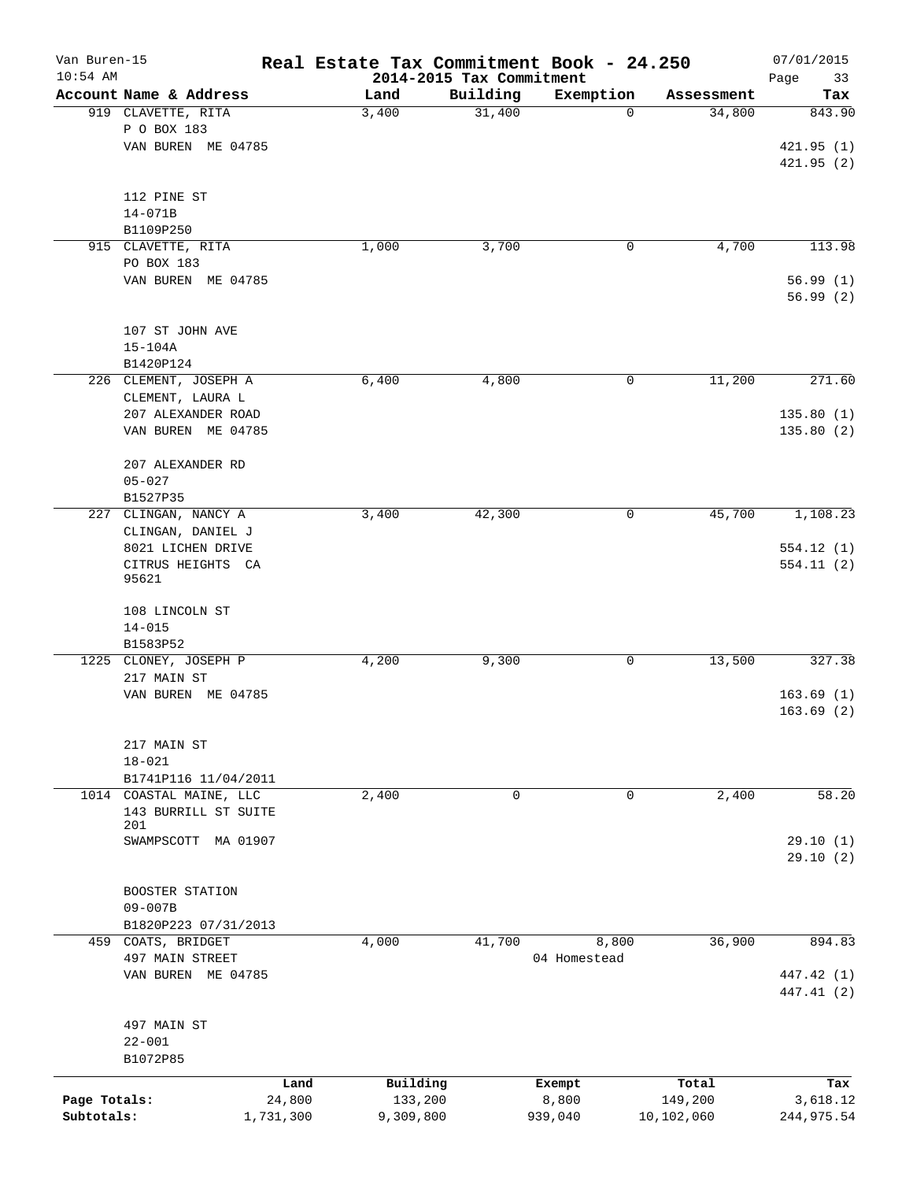| Van Buren-15<br>$10:54$ AM |                                     | Real Estate Tax Commitment Book - 24.250 | 2014-2015 Tax Commitment |              |            | 07/01/2015<br>Page<br>33 |
|----------------------------|-------------------------------------|------------------------------------------|--------------------------|--------------|------------|--------------------------|
|                            | Account Name & Address              | Land                                     | Building                 | Exemption    | Assessment | Tax                      |
|                            | 919 CLAVETTE, RITA                  | 3,400                                    | 31,400                   | 0            | 34,800     | 843.90                   |
|                            | P O BOX 183                         |                                          |                          |              |            |                          |
|                            | VAN BUREN ME 04785                  |                                          |                          |              |            | 421.95(1)                |
|                            |                                     |                                          |                          |              |            | 421.95(2)                |
|                            |                                     |                                          |                          |              |            |                          |
|                            | 112 PINE ST                         |                                          |                          |              |            |                          |
|                            | $14 - 071B$                         |                                          |                          |              |            |                          |
|                            | B1109P250                           |                                          |                          |              |            |                          |
|                            | 915 CLAVETTE, RITA                  | 1,000                                    | 3,700                    | 0            | 4,700      | 113.98                   |
|                            | PO BOX 183                          |                                          |                          |              |            |                          |
|                            | VAN BUREN ME 04785                  |                                          |                          |              |            | 56.99(1)<br>56.99(2)     |
|                            |                                     |                                          |                          |              |            |                          |
|                            | 107 ST JOHN AVE                     |                                          |                          |              |            |                          |
|                            | $15 - 104A$                         |                                          |                          |              |            |                          |
|                            | B1420P124                           |                                          |                          |              |            |                          |
|                            | 226 CLEMENT, JOSEPH A               | 6,400                                    | 4,800                    | 0            | 11,200     | 271.60                   |
|                            | CLEMENT, LAURA L                    |                                          |                          |              |            |                          |
|                            | 207 ALEXANDER ROAD                  |                                          |                          |              |            | 135.80(1)                |
|                            | VAN BUREN ME 04785                  |                                          |                          |              |            | 135.80(2)                |
|                            |                                     |                                          |                          |              |            |                          |
|                            | 207 ALEXANDER RD                    |                                          |                          |              |            |                          |
|                            | $05 - 027$                          |                                          |                          |              |            |                          |
|                            | B1527P35                            |                                          |                          |              |            |                          |
| 227                        | CLINGAN, NANCY A                    | 3,400                                    | 42,300                   | 0            | 45,700     | 1,108.23                 |
|                            | CLINGAN, DANIEL J                   |                                          |                          |              |            |                          |
|                            | 8021 LICHEN DRIVE                   |                                          |                          |              |            | 554.12(1)                |
|                            | CITRUS HEIGHTS CA<br>95621          |                                          |                          |              |            | 554.11 (2)               |
|                            | 108 LINCOLN ST                      |                                          |                          |              |            |                          |
|                            | $14 - 015$                          |                                          |                          |              |            |                          |
|                            | B1583P52                            |                                          |                          |              |            |                          |
|                            | 1225 CLONEY, JOSEPH P               | 4,200                                    | 9,300                    | 0            | 13,500     | 327.38                   |
|                            | 217 MAIN ST                         |                                          |                          |              |            |                          |
|                            | VAN BUREN ME 04785                  |                                          |                          |              |            | 163.69(1)                |
|                            |                                     |                                          |                          |              |            | 163.69(2)                |
|                            | 217 MAIN ST                         |                                          |                          |              |            |                          |
|                            | $18 - 021$                          |                                          |                          |              |            |                          |
|                            | B1741P116 11/04/2011                |                                          |                          |              |            |                          |
|                            | 1014 COASTAL MAINE, LLC             | 2,400                                    | $\mathbf 0$              | 0            | 2,400      | 58.20                    |
|                            | 143 BURRILL ST SUITE                |                                          |                          |              |            |                          |
|                            | 201                                 |                                          |                          |              |            |                          |
|                            | SWAMPSCOTT MA 01907                 |                                          |                          |              |            | 29.10(1)                 |
|                            |                                     |                                          |                          |              |            | 29.10(2)                 |
|                            |                                     |                                          |                          |              |            |                          |
|                            | BOOSTER STATION                     |                                          |                          |              |            |                          |
|                            | $09 - 007B$<br>B1820P223 07/31/2013 |                                          |                          |              |            |                          |
|                            | 459 COATS, BRIDGET                  | 4,000                                    | 41,700                   | 8,800        | 36,900     | 894.83                   |
|                            | 497 MAIN STREET                     |                                          |                          | 04 Homestead |            |                          |
|                            | VAN BUREN ME 04785                  |                                          |                          |              |            | 447.42 (1)               |
|                            |                                     |                                          |                          |              |            | 447.41 (2)               |
|                            | 497 MAIN ST                         |                                          |                          |              |            |                          |
|                            | $22 - 001$                          |                                          |                          |              |            |                          |
|                            | B1072P85                            |                                          |                          |              |            |                          |
|                            |                                     | Building<br>Land                         |                          | Exempt       | Total      | Tax                      |
| Page Totals:               | 24,800                              | 133,200                                  |                          | 8,800        | 149,200    | 3,618.12                 |
| Subtotals:                 | 1,731,300                           | 9,309,800                                |                          | 939,040      | 10,102,060 | 244, 975.54              |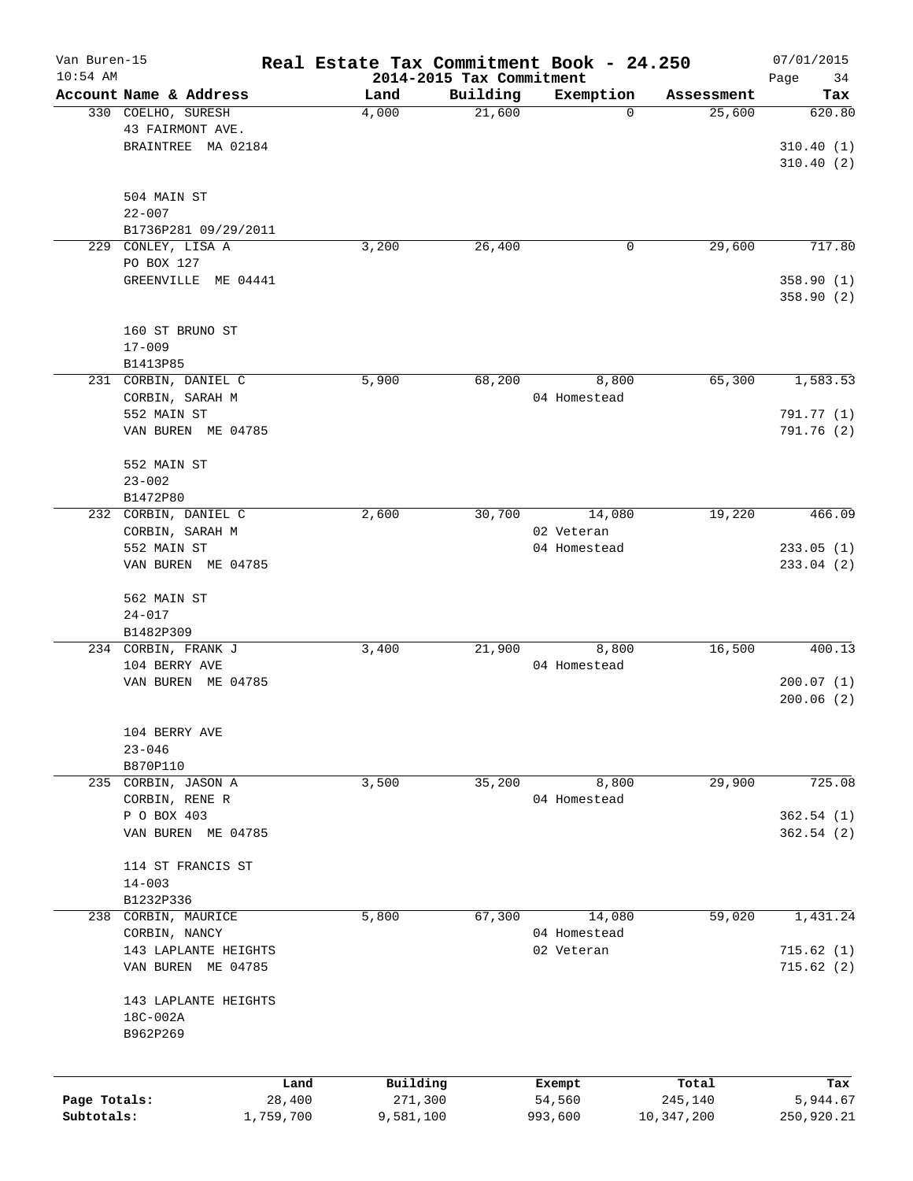| Van Buren-15 |                                  |                | Real Estate Tax Commitment Book - 24.250 |                                      |                  |                  | 07/01/2015        |
|--------------|----------------------------------|----------------|------------------------------------------|--------------------------------------|------------------|------------------|-------------------|
| $10:54$ AM   | Account Name & Address           |                | Land                                     | 2014-2015 Tax Commitment<br>Building | Exemption        | Assessment       | Page<br>34<br>Tax |
|              | 330 COELHO, SURESH               |                | 4,000                                    | 21,600                               | $\mathbf 0$      | 25,600           | 620.80            |
|              | 43 FAIRMONT AVE.                 |                |                                          |                                      |                  |                  |                   |
|              | BRAINTREE MA 02184               |                |                                          |                                      |                  |                  | 310.40(1)         |
|              |                                  |                |                                          |                                      |                  |                  | 310.40(2)         |
|              |                                  |                |                                          |                                      |                  |                  |                   |
|              | 504 MAIN ST                      |                |                                          |                                      |                  |                  |                   |
|              | $22 - 007$                       |                |                                          |                                      |                  |                  |                   |
|              | B1736P281 09/29/2011             |                |                                          |                                      |                  |                  |                   |
| 229          | CONLEY, LISA A                   |                | 3,200                                    | 26,400                               | 0                | 29,600           | 717.80            |
|              | PO BOX 127                       |                |                                          |                                      |                  |                  |                   |
|              | GREENVILLE ME 04441              |                |                                          |                                      |                  |                  | 358.90(1)         |
|              |                                  |                |                                          |                                      |                  |                  | 358.90 (2)        |
|              |                                  |                |                                          |                                      |                  |                  |                   |
|              | 160 ST BRUNO ST                  |                |                                          |                                      |                  |                  |                   |
|              | $17 - 009$                       |                |                                          |                                      |                  |                  |                   |
|              | B1413P85                         |                |                                          |                                      |                  |                  |                   |
|              | 231 CORBIN, DANIEL C             |                | 5,900                                    | 68,200                               | 8,800            | 65,300           | 1,583.53          |
|              | CORBIN, SARAH M                  |                |                                          |                                      | 04 Homestead     |                  |                   |
|              | 552 MAIN ST                      |                |                                          |                                      |                  |                  | 791.77 (1)        |
|              | VAN BUREN ME 04785               |                |                                          |                                      |                  |                  | 791.76 (2)        |
|              |                                  |                |                                          |                                      |                  |                  |                   |
|              | 552 MAIN ST                      |                |                                          |                                      |                  |                  |                   |
|              | $23 - 002$                       |                |                                          |                                      |                  |                  |                   |
|              | B1472P80                         |                |                                          |                                      |                  |                  |                   |
| 232          | CORBIN, DANIEL C                 |                | 2,600                                    | 30,700                               | 14,080           | 19,220           | 466.09            |
|              | CORBIN, SARAH M                  |                |                                          |                                      | 02 Veteran       |                  |                   |
|              | 552 MAIN ST                      |                |                                          |                                      | 04 Homestead     |                  | 233.05(1)         |
|              | VAN BUREN ME 04785               |                |                                          |                                      |                  |                  | 233.04 (2)        |
|              |                                  |                |                                          |                                      |                  |                  |                   |
|              | 562 MAIN ST                      |                |                                          |                                      |                  |                  |                   |
|              | $24 - 017$                       |                |                                          |                                      |                  |                  |                   |
|              | B1482P309<br>234 CORBIN, FRANK J |                | 3,400                                    | 21,900                               | 8,800            | 16,500           | 400.13            |
|              | 104 BERRY AVE                    |                |                                          |                                      | 04 Homestead     |                  |                   |
|              | VAN BUREN ME 04785               |                |                                          |                                      |                  |                  | 200.07(1)         |
|              |                                  |                |                                          |                                      |                  |                  | 200.06(2)         |
|              |                                  |                |                                          |                                      |                  |                  |                   |
|              | 104 BERRY AVE                    |                |                                          |                                      |                  |                  |                   |
|              | $23 - 046$                       |                |                                          |                                      |                  |                  |                   |
|              | B870P110                         |                |                                          |                                      |                  |                  |                   |
|              | 235 CORBIN, JASON A              |                | 3,500                                    | 35,200                               | 8,800            | 29,900           | 725.08            |
|              | CORBIN, RENE R                   |                |                                          |                                      | 04 Homestead     |                  |                   |
|              | P O BOX 403                      |                |                                          |                                      |                  |                  | 362.54(1)         |
|              | VAN BUREN ME 04785               |                |                                          |                                      |                  |                  | 362.54(2)         |
|              |                                  |                |                                          |                                      |                  |                  |                   |
|              | 114 ST FRANCIS ST                |                |                                          |                                      |                  |                  |                   |
|              | $14 - 003$                       |                |                                          |                                      |                  |                  |                   |
|              | B1232P336                        |                |                                          |                                      |                  |                  |                   |
| 238          | CORBIN, MAURICE                  |                | 5,800                                    | 67,300                               | 14,080           | 59,020           | 1,431.24          |
|              | CORBIN, NANCY                    |                |                                          |                                      | 04 Homestead     |                  |                   |
|              | 143 LAPLANTE HEIGHTS             |                |                                          |                                      | 02 Veteran       |                  | 715.62(1)         |
|              | VAN BUREN ME 04785               |                |                                          |                                      |                  |                  | 715.62(2)         |
|              |                                  |                |                                          |                                      |                  |                  |                   |
|              | 143 LAPLANTE HEIGHTS             |                |                                          |                                      |                  |                  |                   |
|              | 18C-002A                         |                |                                          |                                      |                  |                  |                   |
|              | B962P269                         |                |                                          |                                      |                  |                  |                   |
|              |                                  |                |                                          |                                      |                  |                  |                   |
| Page Totals: |                                  | Land<br>28,400 | Building<br>271,300                      |                                      | Exempt<br>54,560 | Total<br>245,140 | Tax<br>5,944.67   |
| Subtotals:   |                                  | 1,759,700      | 9,581,100                                |                                      | 993,600          | 10,347,200       | 250,920.21        |
|              |                                  |                |                                          |                                      |                  |                  |                   |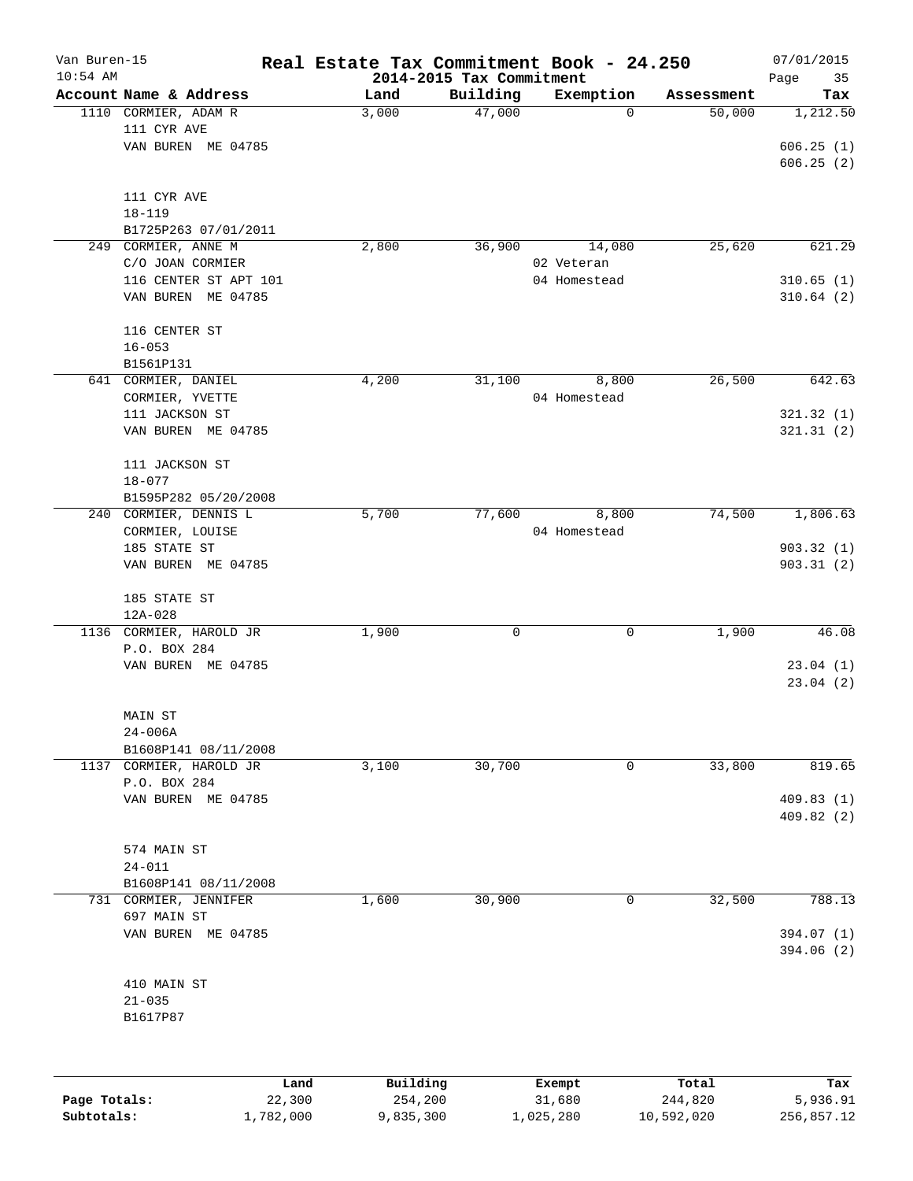| Van Buren-15<br>$10:54$ AM |                         | Real Estate Tax Commitment Book - 24.250 |                                      |              |            | 07/01/2015        |
|----------------------------|-------------------------|------------------------------------------|--------------------------------------|--------------|------------|-------------------|
|                            | Account Name & Address  | Land                                     | 2014-2015 Tax Commitment<br>Building | Exemption    | Assessment | Page<br>35<br>Tax |
|                            | 1110 CORMIER, ADAM R    | 3,000                                    | 47,000                               | 0            | 50,000     | 1,212.50          |
|                            | 111 CYR AVE             |                                          |                                      |              |            |                   |
|                            | VAN BUREN ME 04785      |                                          |                                      |              |            | 606.25(1)         |
|                            |                         |                                          |                                      |              |            | 606.25(2)         |
|                            |                         |                                          |                                      |              |            |                   |
|                            | 111 CYR AVE             |                                          |                                      |              |            |                   |
|                            | $18 - 119$              |                                          |                                      |              |            |                   |
|                            | B1725P263 07/01/2011    |                                          |                                      |              |            |                   |
|                            | 249 CORMIER, ANNE M     | 2,800                                    | 36,900                               | 14,080       | 25,620     | 621.29            |
|                            | C/O JOAN CORMIER        |                                          |                                      | 02 Veteran   |            |                   |
|                            | 116 CENTER ST APT 101   |                                          |                                      | 04 Homestead |            | 310.65(1)         |
|                            | VAN BUREN ME 04785      |                                          |                                      |              |            | 310.64(2)         |
|                            |                         |                                          |                                      |              |            |                   |
|                            |                         |                                          |                                      |              |            |                   |
|                            | 116 CENTER ST           |                                          |                                      |              |            |                   |
|                            | $16 - 053$              |                                          |                                      |              |            |                   |
|                            | B1561P131               |                                          |                                      |              |            |                   |
|                            | 641 CORMIER, DANIEL     | 4,200                                    | 31,100                               | 8,800        | 26,500     | 642.63            |
|                            | CORMIER, YVETTE         |                                          |                                      | 04 Homestead |            |                   |
|                            | 111 JACKSON ST          |                                          |                                      |              |            | 321.32(1)         |
|                            | VAN BUREN ME 04785      |                                          |                                      |              |            | 321.31(2)         |
|                            |                         |                                          |                                      |              |            |                   |
|                            | 111 JACKSON ST          |                                          |                                      |              |            |                   |
|                            | $18 - 077$              |                                          |                                      |              |            |                   |
|                            | B1595P282 05/20/2008    |                                          |                                      |              |            |                   |
|                            | 240 CORMIER, DENNIS L   | 5,700                                    | 77,600                               | 8,800        | 74,500     | 1,806.63          |
|                            | CORMIER, LOUISE         |                                          |                                      | 04 Homestead |            |                   |
|                            | 185 STATE ST            |                                          |                                      |              |            | 903.32(1)         |
|                            | VAN BUREN ME 04785      |                                          |                                      |              |            | 903.31(2)         |
|                            |                         |                                          |                                      |              |            |                   |
|                            | 185 STATE ST            |                                          |                                      |              |            |                   |
|                            | $12A - 028$             |                                          |                                      |              |            |                   |
|                            | 1136 CORMIER, HAROLD JR | 1,900                                    | 0                                    | 0            | 1,900      | 46.08             |
|                            | P.O. BOX 284            |                                          |                                      |              |            |                   |
|                            | VAN BUREN ME 04785      |                                          |                                      |              |            | 23.04(1)          |
|                            |                         |                                          |                                      |              |            | 23.04(2)          |
|                            |                         |                                          |                                      |              |            |                   |
|                            | MAIN ST                 |                                          |                                      |              |            |                   |
|                            | $24 - 006A$             |                                          |                                      |              |            |                   |
|                            | B1608P141 08/11/2008    |                                          |                                      |              |            |                   |
| 1137                       | CORMIER, HAROLD JR      | 3,100                                    | 30,700                               | 0            | 33,800     | 819.65            |
|                            | P.O. BOX 284            |                                          |                                      |              |            |                   |
|                            | VAN BUREN ME 04785      |                                          |                                      |              |            | 409.83 (1)        |
|                            |                         |                                          |                                      |              |            | 409.82 (2)        |
|                            |                         |                                          |                                      |              |            |                   |
|                            | 574 MAIN ST             |                                          |                                      |              |            |                   |
|                            | $24 - 011$              |                                          |                                      |              |            |                   |
|                            | B1608P141 08/11/2008    |                                          |                                      |              |            |                   |
|                            | 731 CORMIER, JENNIFER   | 1,600                                    | 30,900                               | 0            | 32,500     | 788.13            |
|                            | 697 MAIN ST             |                                          |                                      |              |            |                   |
|                            | VAN BUREN ME 04785      |                                          |                                      |              |            | 394.07 (1)        |
|                            |                         |                                          |                                      |              |            | 394.06 (2)        |
|                            |                         |                                          |                                      |              |            |                   |
|                            | 410 MAIN ST             |                                          |                                      |              |            |                   |
|                            | $21 - 035$              |                                          |                                      |              |            |                   |
|                            | B1617P87                |                                          |                                      |              |            |                   |
|                            |                         |                                          |                                      |              |            |                   |
|                            |                         |                                          |                                      |              |            |                   |
|                            |                         |                                          |                                      |              |            |                   |
|                            | Land                    | Building                                 |                                      | Exempt       | Total      | Tax               |
| Page Totals:               | 22,300                  | 254,200                                  |                                      | 31,680       | 244,820    | 5,936.91          |

**Subtotals:** 1,782,000 9,835,300 1,025,280 10,592,020 256,857.12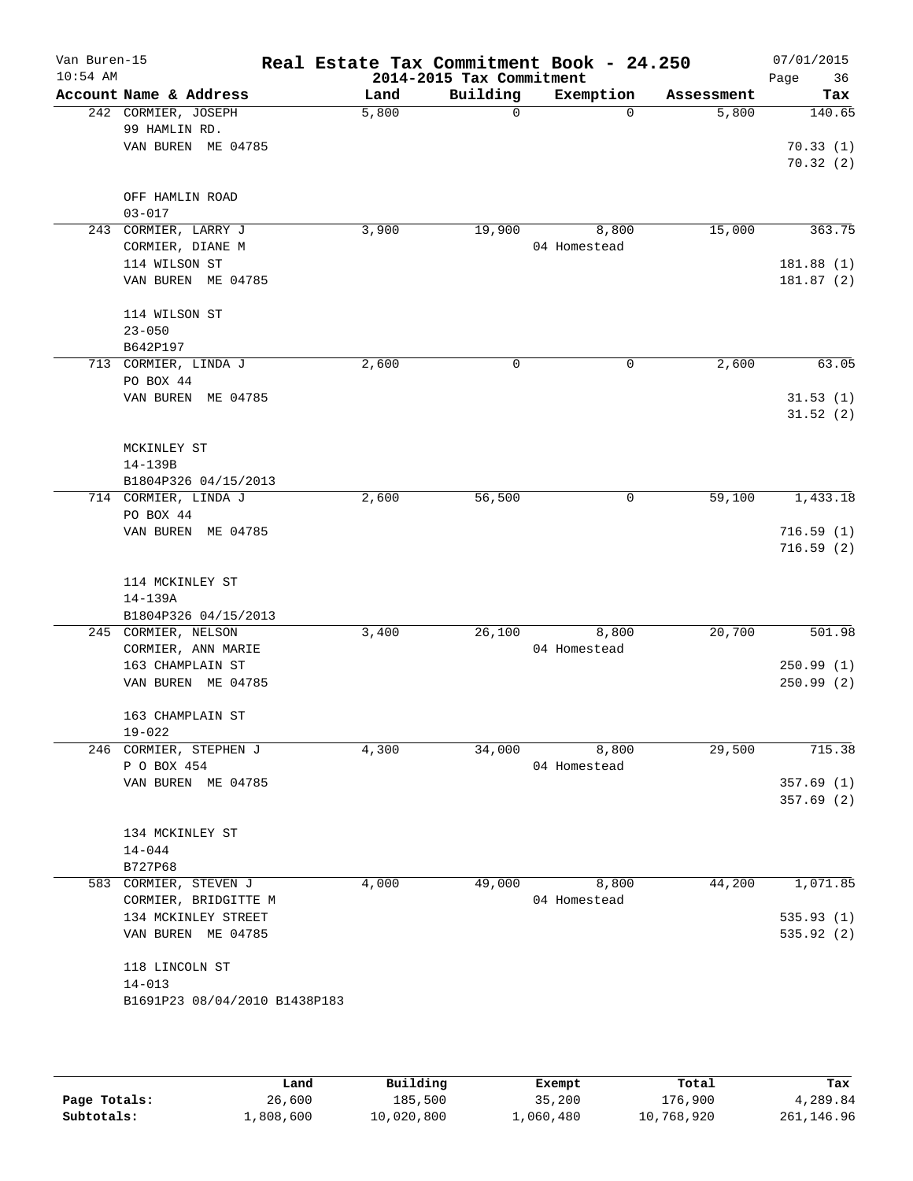| Van Buren-15<br>$10:54$ AM |                                | Real Estate Tax Commitment Book - 24.250<br>2014-2015 Tax Commitment |             |              |            | 07/01/2015<br>Page<br>36 |  |
|----------------------------|--------------------------------|----------------------------------------------------------------------|-------------|--------------|------------|--------------------------|--|
|                            | Account Name & Address         | Land                                                                 | Building    | Exemption    | Assessment | Tax                      |  |
|                            | 242 CORMIER, JOSEPH            | 5,800                                                                | $\mathbf 0$ | $\Omega$     | 5,800      | 140.65                   |  |
|                            | 99 HAMLIN RD.                  |                                                                      |             |              |            |                          |  |
|                            | VAN BUREN ME 04785             |                                                                      |             |              |            | 70.33(1)                 |  |
|                            |                                |                                                                      |             |              |            | 70.32(2)                 |  |
|                            | OFF HAMLIN ROAD                |                                                                      |             |              |            |                          |  |
|                            | $03 - 017$                     |                                                                      |             |              |            |                          |  |
|                            | 243 CORMIER, LARRY J           | 3,900                                                                | 19,900      | 8,800        | 15,000     | 363.75                   |  |
|                            | CORMIER, DIANE M               |                                                                      |             | 04 Homestead |            |                          |  |
|                            | 114 WILSON ST                  |                                                                      |             |              |            | 181.88 (1)               |  |
|                            | VAN BUREN ME 04785             |                                                                      |             |              |            | 181.87(2)                |  |
|                            |                                |                                                                      |             |              |            |                          |  |
|                            | 114 WILSON ST                  |                                                                      |             |              |            |                          |  |
|                            | $23 - 050$                     |                                                                      |             |              |            |                          |  |
|                            | B642P197                       |                                                                      |             |              |            |                          |  |
|                            | 713 CORMIER, LINDA J           | 2,600                                                                | 0           | $\mathbf 0$  | 2,600      | 63.05                    |  |
|                            | PO BOX 44                      |                                                                      |             |              |            |                          |  |
|                            | VAN BUREN ME 04785             |                                                                      |             |              |            | 31.53(1)                 |  |
|                            |                                |                                                                      |             |              |            | 31.52(2)                 |  |
|                            |                                |                                                                      |             |              |            |                          |  |
|                            | MCKINLEY ST                    |                                                                      |             |              |            |                          |  |
|                            | 14-139B                        |                                                                      |             |              |            |                          |  |
|                            | B1804P326 04/15/2013           |                                                                      |             |              |            |                          |  |
|                            | 714 CORMIER, LINDA J           | 2,600                                                                | 56,500      | $\mathsf{O}$ | 59,100     | 1,433.18                 |  |
|                            | PO BOX 44                      |                                                                      |             |              |            |                          |  |
|                            | VAN BUREN ME 04785             |                                                                      |             |              |            | 716.59(1)                |  |
|                            |                                |                                                                      |             |              |            | 716.59(2)                |  |
|                            |                                |                                                                      |             |              |            |                          |  |
|                            | 114 MCKINLEY ST                |                                                                      |             |              |            |                          |  |
|                            | 14-139A                        |                                                                      |             |              |            |                          |  |
|                            | B1804P326 04/15/2013           |                                                                      |             |              |            |                          |  |
|                            | 245 CORMIER, NELSON            | 3,400                                                                | 26,100      | 8,800        | 20,700     | 501.98                   |  |
|                            | CORMIER, ANN MARIE             |                                                                      |             | 04 Homestead |            |                          |  |
|                            | 163 CHAMPLAIN ST               |                                                                      |             |              |            | 250.99(1)                |  |
|                            | VAN BUREN ME 04785             |                                                                      |             |              |            | 250.99(2)                |  |
|                            |                                |                                                                      |             |              |            |                          |  |
|                            | 163 CHAMPLAIN ST<br>$19 - 022$ |                                                                      |             |              |            |                          |  |
|                            | 246 CORMIER, STEPHEN J         | 4,300                                                                | 34,000      | 8,800        | 29,500     | 715.38                   |  |
|                            | P O BOX 454                    |                                                                      |             | 04 Homestead |            |                          |  |
|                            | VAN BUREN ME 04785             |                                                                      |             |              |            | 357.69(1)                |  |
|                            |                                |                                                                      |             |              |            | 357.69(2)                |  |
|                            |                                |                                                                      |             |              |            |                          |  |
|                            | 134 MCKINLEY ST                |                                                                      |             |              |            |                          |  |
|                            | $14 - 044$                     |                                                                      |             |              |            |                          |  |
|                            | B727P68                        |                                                                      |             |              |            |                          |  |
|                            | 583 CORMIER, STEVEN J          | 4,000                                                                | 49,000      | 8,800        | 44,200     | 1,071.85                 |  |
|                            | CORMIER, BRIDGITTE M           |                                                                      |             | 04 Homestead |            |                          |  |
|                            | 134 MCKINLEY STREET            |                                                                      |             |              |            | 535.93(1)                |  |
|                            | VAN BUREN ME 04785             |                                                                      |             |              |            | 535.92(2)                |  |
|                            |                                |                                                                      |             |              |            |                          |  |
|                            | 118 LINCOLN ST                 |                                                                      |             |              |            |                          |  |
|                            | $14 - 013$                     |                                                                      |             |              |            |                          |  |
|                            | B1691P23 08/04/2010 B1438P183  |                                                                      |             |              |            |                          |  |
|                            |                                |                                                                      |             |              |            |                          |  |
|                            |                                |                                                                      |             |              |            |                          |  |
|                            |                                |                                                                      |             |              |            |                          |  |

|              | Land      | Building   | Exempt    | Total      | Tax        |
|--------------|-----------|------------|-----------|------------|------------|
| Page Totals: | 26,600    | 185,500    | 35,200    | 176,900    | 4,289.84   |
| Subtotals:   | 1,808,600 | 10,020,800 | 1,060,480 | 10,768,920 | 261,146.96 |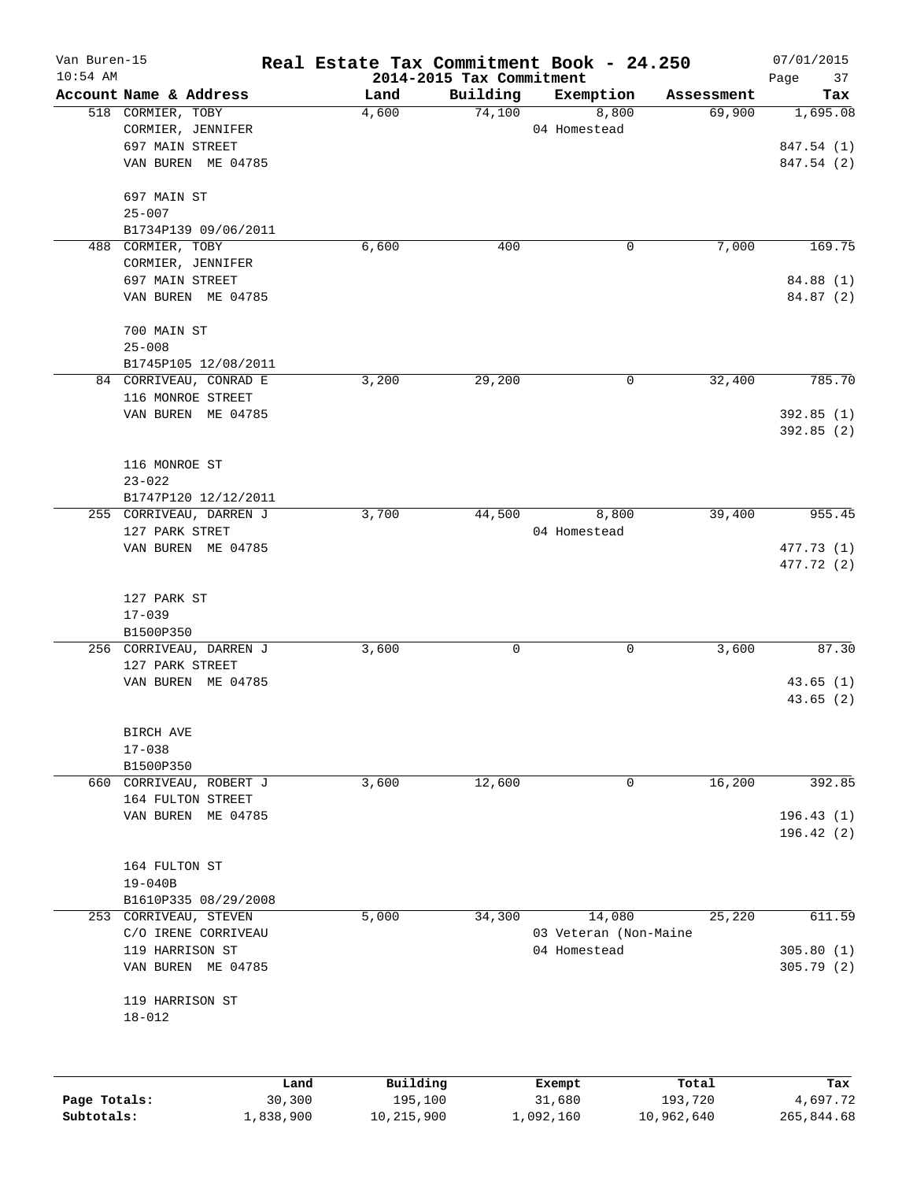| Van Buren-15 |                                                |      |          |                                      | Real Estate Tax Commitment Book - 24.250 |            | 07/01/2015               |
|--------------|------------------------------------------------|------|----------|--------------------------------------|------------------------------------------|------------|--------------------------|
| $10:54$ AM   | Account Name & Address                         |      | Land     | 2014-2015 Tax Commitment<br>Building | Exemption                                | Assessment | Page<br>37<br>Tax        |
|              | 518 CORMIER, TOBY                              |      | 4,600    | 74,100                               | 8,800                                    | 69,900     | 1,695.08                 |
|              | CORMIER, JENNIFER                              |      |          |                                      | 04 Homestead                             |            |                          |
|              | 697 MAIN STREET                                |      |          |                                      |                                          |            | 847.54 (1)               |
|              | VAN BUREN ME 04785                             |      |          |                                      |                                          |            | 847.54 (2)               |
|              | 697 MAIN ST                                    |      |          |                                      |                                          |            |                          |
|              | $25 - 007$                                     |      |          |                                      |                                          |            |                          |
|              | B1734P139 09/06/2011                           |      |          |                                      |                                          |            |                          |
|              | 488 CORMIER, TOBY                              |      | 6,600    | 400                                  | 0                                        | 7,000      | 169.75                   |
|              | CORMIER, JENNIFER                              |      |          |                                      |                                          |            |                          |
|              | 697 MAIN STREET                                |      |          |                                      |                                          |            | 84.88 (1)                |
|              | VAN BUREN ME 04785                             |      |          |                                      |                                          |            | 84.87 (2)                |
|              | 700 MAIN ST                                    |      |          |                                      |                                          |            |                          |
|              | $25 - 008$                                     |      |          |                                      |                                          |            |                          |
|              | B1745P105 12/08/2011<br>84 CORRIVEAU, CONRAD E |      | 3,200    | 29,200                               | 0                                        | 32,400     | 785.70                   |
|              | 116 MONROE STREET                              |      |          |                                      |                                          |            |                          |
|              | VAN BUREN ME 04785                             |      |          |                                      |                                          |            | 392.85(1)                |
|              |                                                |      |          |                                      |                                          |            | 392.85(2)                |
|              | 116 MONROE ST                                  |      |          |                                      |                                          |            |                          |
|              | $23 - 022$                                     |      |          |                                      |                                          |            |                          |
|              | B1747P120 12/12/2011                           |      |          |                                      |                                          |            |                          |
|              | 255 CORRIVEAU, DARREN J                        |      | 3,700    | 44,500                               | 8,800                                    | 39,400     | 955.45                   |
|              | 127 PARK STRET                                 |      |          |                                      | 04 Homestead                             |            |                          |
|              | VAN BUREN ME 04785                             |      |          |                                      |                                          |            | 477.73 (1)<br>477.72 (2) |
|              | 127 PARK ST                                    |      |          |                                      |                                          |            |                          |
|              | $17 - 039$                                     |      |          |                                      |                                          |            |                          |
|              | B1500P350                                      |      |          |                                      |                                          |            |                          |
|              | 256 CORRIVEAU, DARREN J                        |      | 3,600    | 0                                    | 0                                        | 3,600      | 87.30                    |
|              | 127 PARK STREET                                |      |          |                                      |                                          |            |                          |
|              | VAN BUREN ME 04785                             |      |          |                                      |                                          |            | 43.65(1)                 |
|              |                                                |      |          |                                      |                                          |            | 43.65(2)                 |
|              | BIRCH AVE                                      |      |          |                                      |                                          |            |                          |
|              | $17 - 038$                                     |      |          |                                      |                                          |            |                          |
|              | B1500P350                                      |      |          |                                      |                                          |            |                          |
|              | 660 CORRIVEAU, ROBERT J                        |      | 3,600    | 12,600                               | 0                                        | 16,200     | 392.85                   |
|              | 164 FULTON STREET                              |      |          |                                      |                                          |            |                          |
|              | VAN BUREN ME 04785                             |      |          |                                      |                                          |            | 196.43(1)<br>196.42(2)   |
|              | 164 FULTON ST                                  |      |          |                                      |                                          |            |                          |
|              | $19 - 040B$                                    |      |          |                                      |                                          |            |                          |
|              | B1610P335 08/29/2008                           |      |          |                                      |                                          |            |                          |
|              | 253 CORRIVEAU, STEVEN                          |      | 5,000    | 34,300                               | 14,080                                   | 25,220     | 611.59                   |
|              | C/O IRENE CORRIVEAU                            |      |          |                                      | 03 Veteran (Non-Maine                    |            |                          |
|              | 119 HARRISON ST                                |      |          |                                      | 04 Homestead                             |            | 305.80(1)                |
|              | VAN BUREN ME 04785                             |      |          |                                      |                                          |            | 305.79(2)                |
|              | 119 HARRISON ST                                |      |          |                                      |                                          |            |                          |
|              | $18 - 012$                                     |      |          |                                      |                                          |            |                          |
|              |                                                |      |          |                                      |                                          |            |                          |
|              |                                                | Land | Building |                                      | Exempt                                   | Total      | Tax                      |

|              | -----     | --------   | -------   | -----      | .          |
|--------------|-----------|------------|-----------|------------|------------|
| Page Totals: | 30,300    | 195,100    | 31,680    | 193,720    | 4,697.72   |
| Subtotals:   | 1,838,900 | 10,215,900 | 1,092,160 | 10,962,640 | 265,844.68 |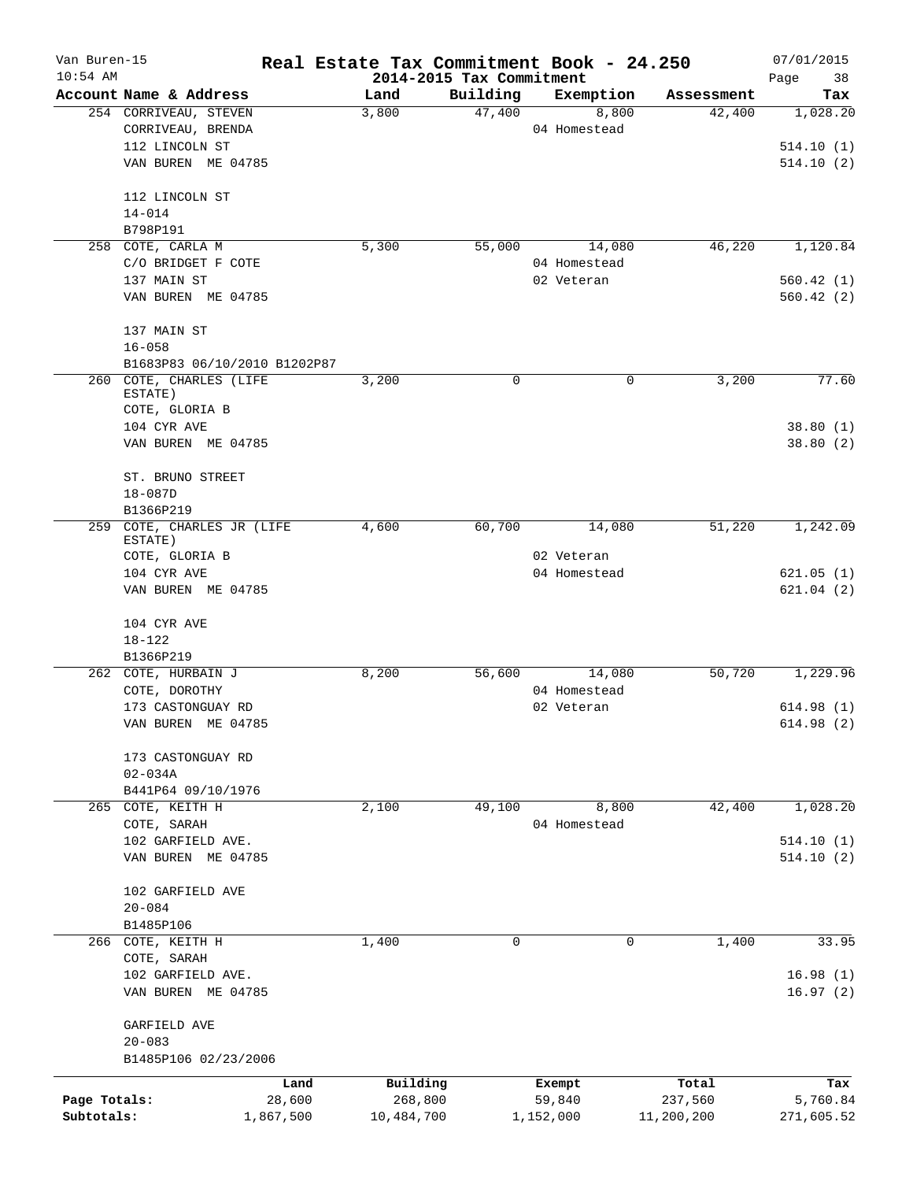| Van Buren-15 |                                       | Real Estate Tax Commitment Book - 24.250 |                          |              |            | 07/01/2015 |
|--------------|---------------------------------------|------------------------------------------|--------------------------|--------------|------------|------------|
| $10:54$ AM   |                                       |                                          | 2014-2015 Tax Commitment |              |            | 38<br>Page |
|              | Account Name & Address                | Land                                     | Building                 | Exemption    | Assessment | Tax        |
|              | 254 CORRIVEAU, STEVEN                 | 3,800                                    | 47,400                   | 8,800        | 42,400     | 1,028.20   |
|              | CORRIVEAU, BRENDA                     |                                          |                          | 04 Homestead |            |            |
|              | 112 LINCOLN ST                        |                                          |                          |              |            | 514.10(1)  |
|              | VAN BUREN ME 04785                    |                                          |                          |              |            | 514.10(2)  |
|              | 112 LINCOLN ST                        |                                          |                          |              |            |            |
|              | $14 - 014$                            |                                          |                          |              |            |            |
|              | B798P191                              |                                          |                          |              |            |            |
|              | 258 COTE, CARLA M                     | 5,300                                    | 55,000                   | 14,080       | 46,220     | 1,120.84   |
|              | C/O BRIDGET F COTE                    |                                          |                          | 04 Homestead |            |            |
|              | 137 MAIN ST                           |                                          |                          | 02 Veteran   |            | 560.42 (1) |
|              | VAN BUREN ME 04785                    |                                          |                          |              |            | 560.42(2)  |
|              | 137 MAIN ST                           |                                          |                          |              |            |            |
|              | $16 - 058$                            |                                          |                          |              |            |            |
|              | B1683P83 06/10/2010 B1202P87          |                                          |                          |              |            |            |
| 260          | COTE, CHARLES (LIFE<br>ESTATE)        | 3,200                                    | $\Omega$                 | 0            | 3,200      | 77.60      |
|              | COTE, GLORIA B                        |                                          |                          |              |            |            |
|              | 104 CYR AVE                           |                                          |                          |              |            | 38.80(1)   |
|              | VAN BUREN ME 04785                    |                                          |                          |              |            | 38.80(2)   |
|              | ST. BRUNO STREET                      |                                          |                          |              |            |            |
|              | $18 - 087D$                           |                                          |                          |              |            |            |
|              | B1366P219                             |                                          |                          |              |            |            |
|              | 259 COTE, CHARLES JR (LIFE<br>ESTATE) | 4,600                                    | 60,700                   | 14,080       | 51,220     | 1,242.09   |
|              | COTE, GLORIA B                        |                                          |                          | 02 Veteran   |            |            |
|              | 104 CYR AVE                           |                                          |                          | 04 Homestead |            | 621.05(1)  |
|              | VAN BUREN ME 04785                    |                                          |                          |              |            | 621.04(2)  |
|              | 104 CYR AVE                           |                                          |                          |              |            |            |
|              | 18-122                                |                                          |                          |              |            |            |
|              | B1366P219                             |                                          |                          |              |            |            |
|              | 262 COTE, HURBAIN J                   | 8,200                                    | 56,600                   | 14,080       | 50,720     | 1,229.96   |
|              | COTE, DOROTHY                         |                                          |                          | 04 Homestead |            |            |
|              | 173 CASTONGUAY RD                     |                                          |                          | 02 Veteran   |            | 614.98(1)  |
|              | VAN BUREN ME 04785                    |                                          |                          |              |            | 614.98(2)  |
|              |                                       |                                          |                          |              |            |            |
|              | 173 CASTONGUAY RD                     |                                          |                          |              |            |            |
|              | $02 - 034A$                           |                                          |                          |              |            |            |
|              | B441P64 09/10/1976                    |                                          |                          |              |            |            |
| 265          | COTE, KEITH H                         | 2,100                                    | 49,100                   | 8,800        | 42,400     | 1,028.20   |
|              | COTE, SARAH                           |                                          |                          | 04 Homestead |            |            |
|              | 102 GARFIELD AVE.                     |                                          |                          |              |            | 514.10(1)  |
|              | VAN BUREN ME 04785                    |                                          |                          |              |            | 514.10(2)  |
|              | 102 GARFIELD AVE                      |                                          |                          |              |            |            |
|              | $20 - 084$                            |                                          |                          |              |            |            |
|              | B1485P106                             |                                          |                          |              |            |            |
|              | 266 COTE, KEITH H                     | 1,400                                    | 0                        | 0            | 1,400      | 33.95      |
|              | COTE, SARAH                           |                                          |                          |              |            |            |
|              | 102 GARFIELD AVE.                     |                                          |                          |              |            | 16.98(1)   |
|              | VAN BUREN ME 04785                    |                                          |                          |              |            | 16.97(2)   |
|              | GARFIELD AVE                          |                                          |                          |              |            |            |
|              | $20 - 083$                            |                                          |                          |              |            |            |
|              | B1485P106 02/23/2006                  |                                          |                          |              |            |            |
|              | Land                                  | Building                                 |                          | Exempt       | Total      | Tax        |
| Page Totals: | 28,600                                | 268,800                                  |                          | 59,840       | 237,560    | 5,760.84   |
| Subtotals:   | 1,867,500                             | 10,484,700                               |                          | 1,152,000    | 11,200,200 | 271,605.52 |
|              |                                       |                                          |                          |              |            |            |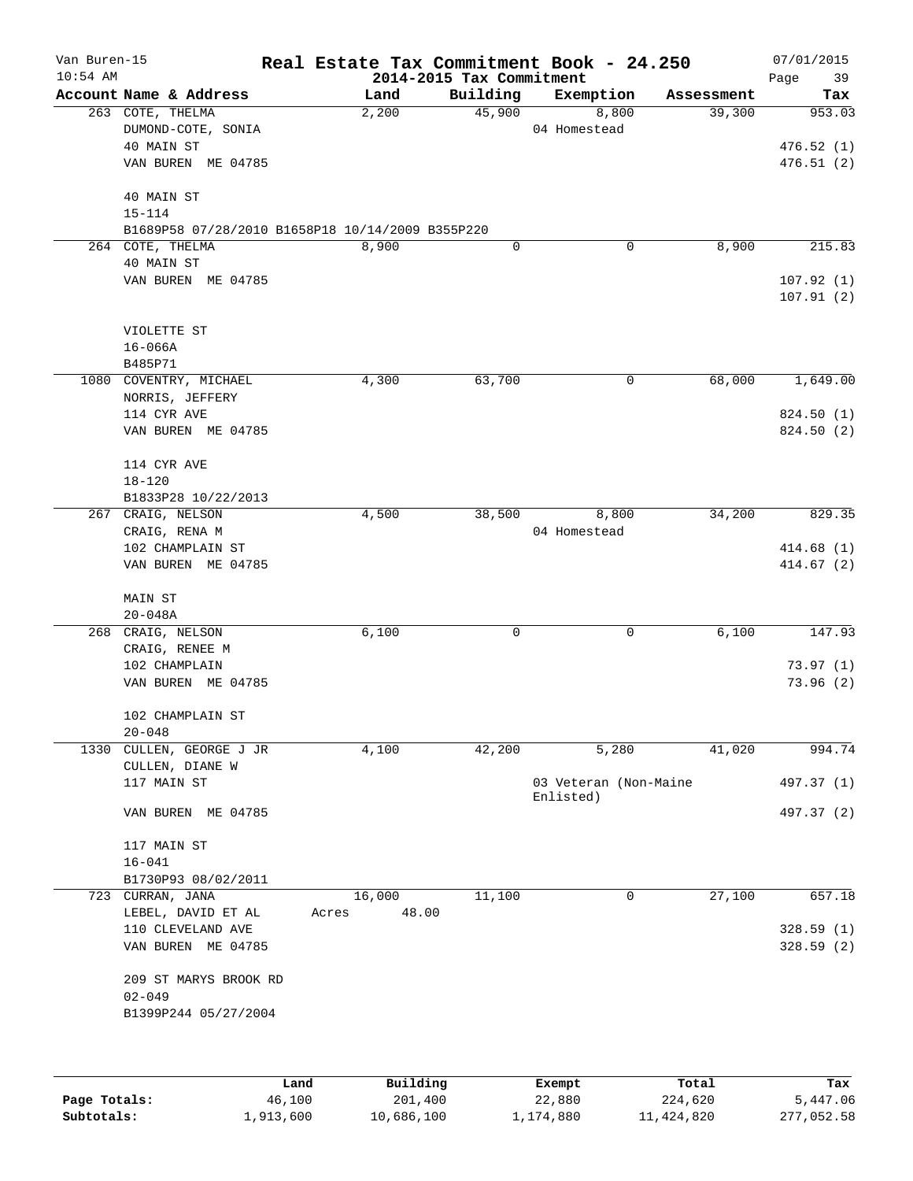| Van Buren-15<br>$10:54$ AM |                                                                      |      | Real Estate Tax Commitment Book - 24.250 | 2014-2015 Tax Commitment |                                    |            | 07/01/2015<br>39<br>Page |
|----------------------------|----------------------------------------------------------------------|------|------------------------------------------|--------------------------|------------------------------------|------------|--------------------------|
|                            | Account Name & Address                                               |      | Land                                     | Building                 | Exemption                          | Assessment | Tax                      |
|                            | 263 COTE, THELMA<br>DUMOND-COTE, SONIA                               |      | 2,200                                    | 45,900                   | 8,800<br>04 Homestead              | 39,300     | 953.03                   |
|                            | 40 MAIN ST                                                           |      |                                          |                          |                                    |            | 476.52(1)                |
|                            | VAN BUREN ME 04785                                                   |      |                                          |                          |                                    |            | 476.51(2)                |
|                            | 40 MAIN ST                                                           |      |                                          |                          |                                    |            |                          |
|                            | $15 - 114$                                                           |      |                                          |                          |                                    |            |                          |
|                            | B1689P58 07/28/2010 B1658P18 10/14/2009 B355P220<br>264 COTE, THELMA |      | 8,900                                    | 0                        | 0                                  | 8,900      | 215.83                   |
|                            | 40 MAIN ST                                                           |      |                                          |                          |                                    |            |                          |
|                            | VAN BUREN ME 04785                                                   |      |                                          |                          |                                    |            | 107.92(1)                |
|                            |                                                                      |      |                                          |                          |                                    |            | 107.91(2)                |
|                            | VIOLETTE ST                                                          |      |                                          |                          |                                    |            |                          |
|                            | $16 - 066A$                                                          |      |                                          |                          |                                    |            |                          |
|                            | B485P71                                                              |      |                                          |                          |                                    |            |                          |
|                            | 1080 COVENTRY, MICHAEL                                               |      | 4,300                                    | 63,700                   | 0                                  | 68,000     | 1,649.00                 |
|                            | NORRIS, JEFFERY                                                      |      |                                          |                          |                                    |            |                          |
|                            | 114 CYR AVE<br>VAN BUREN ME 04785                                    |      |                                          |                          |                                    |            | 824.50 (1)<br>824.50 (2) |
|                            |                                                                      |      |                                          |                          |                                    |            |                          |
|                            | 114 CYR AVE                                                          |      |                                          |                          |                                    |            |                          |
|                            | $18 - 120$                                                           |      |                                          |                          |                                    |            |                          |
|                            | B1833P28 10/22/2013                                                  |      |                                          |                          |                                    |            |                          |
|                            | 267 CRAIG, NELSON                                                    |      | 4,500                                    | 38,500                   | 8,800                              | 34,200     | 829.35                   |
|                            | CRAIG, RENA M                                                        |      |                                          |                          | 04 Homestead                       |            |                          |
|                            | 102 CHAMPLAIN ST                                                     |      |                                          |                          |                                    |            | 414.68(1)                |
|                            | VAN BUREN ME 04785                                                   |      |                                          |                          |                                    |            | 414.67(2)                |
|                            | MAIN ST                                                              |      |                                          |                          |                                    |            |                          |
|                            | $20 - 048A$                                                          |      |                                          |                          |                                    |            |                          |
|                            | 268 CRAIG, NELSON                                                    |      | 6,100                                    | 0                        | $\mathbf 0$                        | 6,100      | 147.93                   |
|                            | CRAIG, RENEE M                                                       |      |                                          |                          |                                    |            |                          |
|                            | 102 CHAMPLAIN                                                        |      |                                          |                          |                                    |            | 73.97(1)                 |
|                            | VAN BUREN ME 04785                                                   |      |                                          |                          |                                    |            | 73.96(2)                 |
|                            | 102 CHAMPLAIN ST                                                     |      |                                          |                          |                                    |            |                          |
|                            | $20 - 048$                                                           |      |                                          |                          |                                    |            |                          |
|                            | 1330 CULLEN, GEORGE J JR                                             |      | 4,100                                    | 42,200                   | 5,280                              | 41,020     | 994.74                   |
|                            | CULLEN, DIANE W                                                      |      |                                          |                          |                                    |            |                          |
|                            | 117 MAIN ST                                                          |      |                                          |                          | 03 Veteran (Non-Maine<br>Enlisted) |            | 497.37 (1)               |
|                            | VAN BUREN ME 04785                                                   |      |                                          |                          |                                    |            | 497.37 (2)               |
|                            |                                                                      |      |                                          |                          |                                    |            |                          |
|                            | 117 MAIN ST                                                          |      |                                          |                          |                                    |            |                          |
|                            | $16 - 041$                                                           |      |                                          |                          |                                    |            |                          |
|                            | B1730P93 08/02/2011<br>723 CURRAN, JANA                              |      | 16,000                                   | 11,100                   | 0                                  | 27,100     | 657.18                   |
|                            | LEBEL, DAVID ET AL                                                   |      | 48.00<br>Acres                           |                          |                                    |            |                          |
|                            | 110 CLEVELAND AVE                                                    |      |                                          |                          |                                    |            | 328.59(1)                |
|                            | VAN BUREN ME 04785                                                   |      |                                          |                          |                                    |            | 328.59(2)                |
|                            | 209 ST MARYS BROOK RD                                                |      |                                          |                          |                                    |            |                          |
|                            | $02 - 049$                                                           |      |                                          |                          |                                    |            |                          |
|                            | B1399P244 05/27/2004                                                 |      |                                          |                          |                                    |            |                          |
|                            |                                                                      |      |                                          |                          |                                    |            |                          |
|                            |                                                                      |      |                                          |                          |                                    |            |                          |
|                            |                                                                      | Land | Building                                 |                          | Exempt                             | Total      | Tax                      |

**Page Totals:** 46,100 201,400 22,880 224,620 5,447.06 **Subtotals:** 1,913,600 10,686,100 1,174,880 11,424,820 277,052.58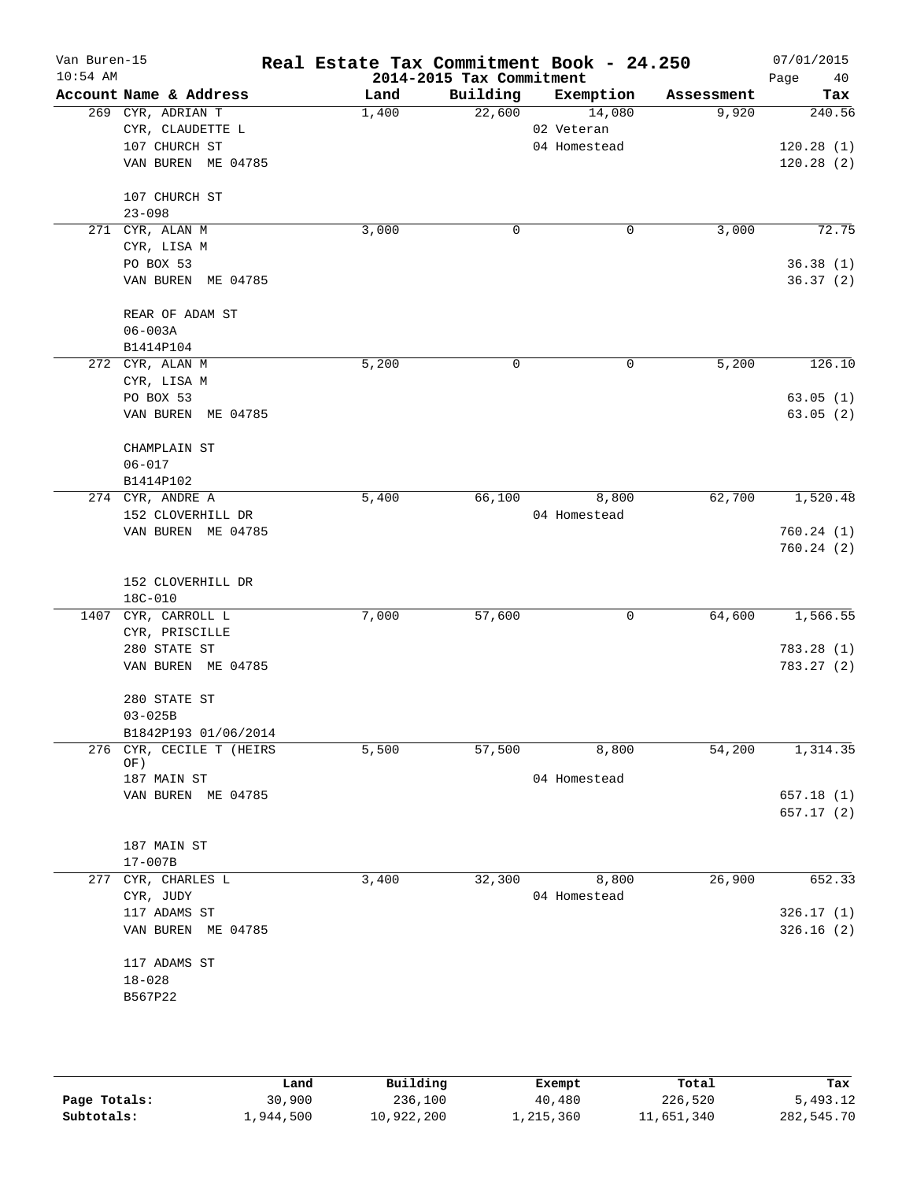| Van Buren-15<br>$10:54$ AM |                                 | Real Estate Tax Commitment Book - 24.250 | 2014-2015 Tax Commitment |              |            | 07/01/2015<br>Page<br>40 |
|----------------------------|---------------------------------|------------------------------------------|--------------------------|--------------|------------|--------------------------|
|                            | Account Name & Address          | Land                                     | Building                 | Exemption    | Assessment | Tax                      |
|                            | 269 CYR, ADRIAN T               | 1,400                                    | 22,600                   | 14,080       | 9,920      | 240.56                   |
|                            | CYR, CLAUDETTE L                |                                          |                          | 02 Veteran   |            |                          |
|                            | 107 CHURCH ST                   |                                          |                          | 04 Homestead |            | 120.28(1)                |
|                            | VAN BUREN ME 04785              |                                          |                          |              |            | 120.28(2)                |
|                            | 107 CHURCH ST                   |                                          |                          |              |            |                          |
|                            | $23 - 098$                      |                                          |                          |              |            |                          |
|                            | 271 CYR, ALAN M                 | 3,000                                    | 0                        | 0            | 3,000      | 72.75                    |
|                            | CYR, LISA M                     |                                          |                          |              |            |                          |
|                            | PO BOX 53                       |                                          |                          |              |            | 36.38(1)                 |
|                            | VAN BUREN ME 04785              |                                          |                          |              |            | 36.37(2)                 |
|                            | REAR OF ADAM ST                 |                                          |                          |              |            |                          |
|                            | $06 - 003A$                     |                                          |                          |              |            |                          |
|                            | B1414P104                       |                                          |                          |              |            |                          |
|                            | 272 CYR, ALAN M                 | 5,200                                    | 0                        | 0            | 5,200      | 126.10                   |
|                            | CYR, LISA M                     |                                          |                          |              |            |                          |
|                            | PO BOX 53                       |                                          |                          |              |            | 63.05(1)                 |
|                            | VAN BUREN ME 04785              |                                          |                          |              |            | 63.05(2)                 |
|                            | CHAMPLAIN ST                    |                                          |                          |              |            |                          |
|                            | $06 - 017$                      |                                          |                          |              |            |                          |
|                            | B1414P102                       |                                          |                          |              |            |                          |
|                            | 274 CYR, ANDRE A                | 5,400                                    | 66,100                   | 8,800        | 62,700     | 1,520.48                 |
|                            | 152 CLOVERHILL DR               |                                          |                          | 04 Homestead |            |                          |
|                            | VAN BUREN ME 04785              |                                          |                          |              |            | 760.24(1)<br>760.24(2)   |
|                            | 152 CLOVERHILL DR               |                                          |                          |              |            |                          |
|                            | 18C-010                         |                                          |                          |              |            |                          |
|                            | 1407 CYR, CARROLL L             | 7,000                                    | 57,600                   | 0            | 64,600     | 1,566.55                 |
|                            | CYR, PRISCILLE                  |                                          |                          |              |            |                          |
|                            | 280 STATE ST                    |                                          |                          |              |            | 783.28(1)                |
|                            | VAN BUREN ME 04785              |                                          |                          |              |            | 783.27 (2)               |
|                            | 280 STATE ST                    |                                          |                          |              |            |                          |
|                            | $03 - 025B$                     |                                          |                          |              |            |                          |
|                            | B1842P193 01/06/2014            |                                          |                          |              |            |                          |
|                            | 276 CYR, CECILE T (HEIRS<br>OF) | 5,500                                    | 57,500                   | 8,800        | 54,200     | 1,314.35                 |
|                            | 187 MAIN ST                     |                                          |                          | 04 Homestead |            |                          |
|                            | VAN BUREN ME 04785              |                                          |                          |              |            | 657.18(1)                |
|                            |                                 |                                          |                          |              |            | 657.17(2)                |
|                            | 187 MAIN ST                     |                                          |                          |              |            |                          |
|                            | $17 - 007B$                     |                                          |                          |              |            |                          |
| 277                        | CYR, CHARLES L                  | 3,400                                    | 32,300                   | 8,800        | 26,900     | 652.33                   |
|                            | CYR, JUDY                       |                                          |                          | 04 Homestead |            |                          |
|                            | 117 ADAMS ST                    |                                          |                          |              |            | 326.17(1)                |
|                            | VAN BUREN ME 04785              |                                          |                          |              |            | 326.16(2)                |
|                            | 117 ADAMS ST                    |                                          |                          |              |            |                          |
|                            | $18 - 028$                      |                                          |                          |              |            |                          |
|                            | B567P22                         |                                          |                          |              |            |                          |
|                            |                                 |                                          |                          |              |            |                          |
|                            |                                 |                                          |                          |              |            |                          |
|                            |                                 |                                          |                          |              |            |                          |

|              | Land      | Building   | Exempt    | Total      | Tax        |
|--------------|-----------|------------|-----------|------------|------------|
| Page Totals: | 30,900    | 236,100    | 40,480    | 226,520    | 5,493.12   |
| Subtotals:   | 1,944,500 | 10,922,200 | 1,215,360 | 11,651,340 | 282,545.70 |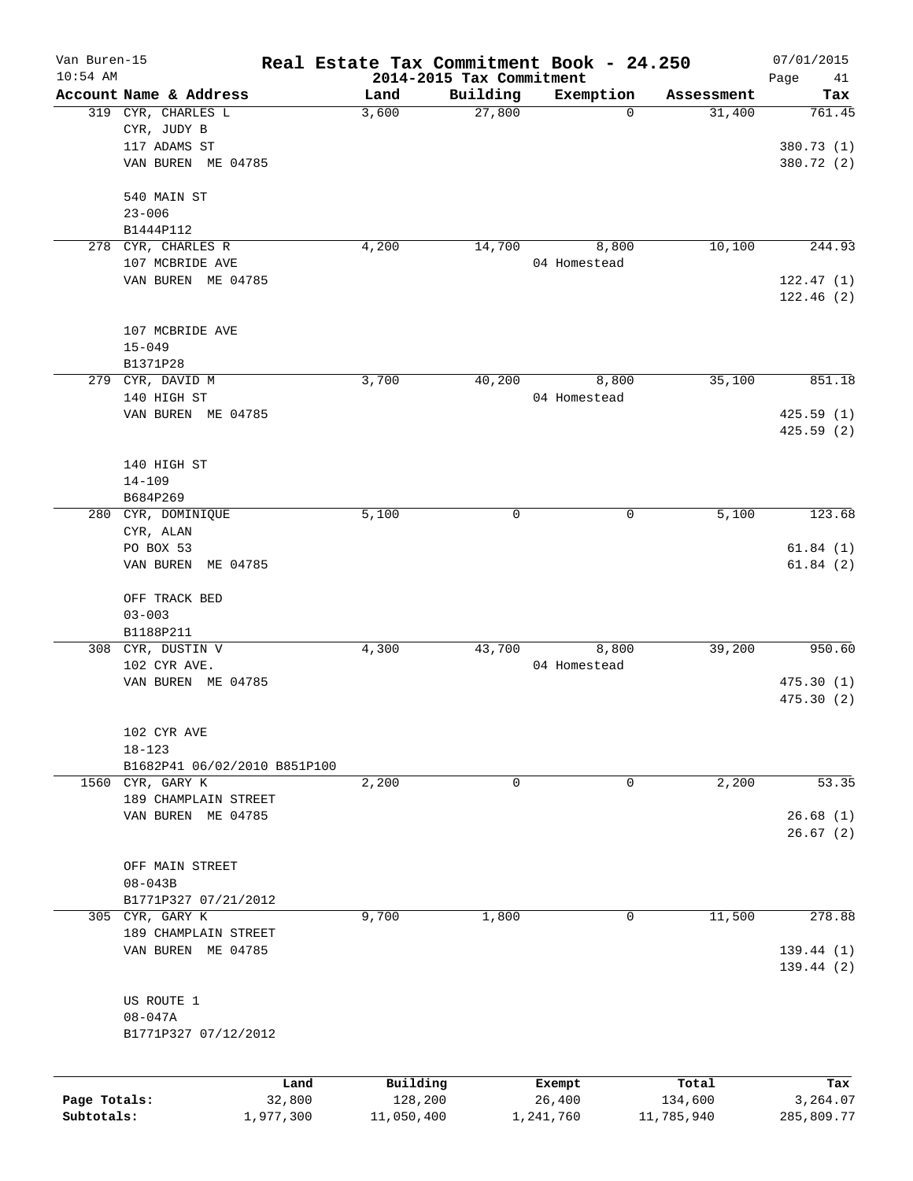| Van Buren-15<br>$10:54$ AM |                              | Real Estate Tax Commitment Book - 24.250 |                                      |              |            | 07/01/2015           |
|----------------------------|------------------------------|------------------------------------------|--------------------------------------|--------------|------------|----------------------|
|                            | Account Name & Address       | Land                                     | 2014-2015 Tax Commitment<br>Building | Exemption    | Assessment | Page<br>41<br>Tax    |
|                            | 319 CYR, CHARLES L           | 3,600                                    | 27,800                               | $\mathbf 0$  | 31,400     | 761.45               |
|                            | CYR, JUDY B                  |                                          |                                      |              |            |                      |
|                            | 117 ADAMS ST                 |                                          |                                      |              |            | 380.73 (1)           |
|                            | VAN BUREN ME 04785           |                                          |                                      |              |            | 380.72 (2)           |
|                            |                              |                                          |                                      |              |            |                      |
|                            | 540 MAIN ST                  |                                          |                                      |              |            |                      |
|                            | $23 - 006$                   |                                          |                                      |              |            |                      |
|                            | B1444P112                    |                                          |                                      |              |            |                      |
|                            | 278 CYR, CHARLES R           | 4,200                                    | 14,700                               | 8,800        | 10,100     | 244.93               |
|                            | 107 MCBRIDE AVE              |                                          |                                      | 04 Homestead |            |                      |
|                            | VAN BUREN ME 04785           |                                          |                                      |              |            | 122.47(1)            |
|                            |                              |                                          |                                      |              |            | 122.46(2)            |
|                            | 107 MCBRIDE AVE              |                                          |                                      |              |            |                      |
|                            | $15 - 049$                   |                                          |                                      |              |            |                      |
|                            | B1371P28                     |                                          |                                      |              |            |                      |
|                            | 279 CYR, DAVID M             | 3,700                                    | 40,200                               | 8,800        | 35,100     | 851.18               |
|                            | 140 HIGH ST                  |                                          |                                      | 04 Homestead |            |                      |
|                            | VAN BUREN ME 04785           |                                          |                                      |              |            | 425.59(1)            |
|                            |                              |                                          |                                      |              |            | 425.59(2)            |
|                            |                              |                                          |                                      |              |            |                      |
|                            | 140 HIGH ST                  |                                          |                                      |              |            |                      |
|                            | $14 - 109$                   |                                          |                                      |              |            |                      |
|                            | B684P269                     |                                          |                                      |              |            |                      |
|                            | 280 CYR, DOMINIQUE           | 5,100                                    | 0                                    | 0            | 5,100      | 123.68               |
|                            | CYR, ALAN                    |                                          |                                      |              |            |                      |
|                            | PO BOX 53                    |                                          |                                      |              |            | 61.84(1)             |
|                            | ME 04785<br>VAN BUREN        |                                          |                                      |              |            | 61.84(2)             |
|                            |                              |                                          |                                      |              |            |                      |
|                            | OFF TRACK BED                |                                          |                                      |              |            |                      |
|                            | $03 - 003$                   |                                          |                                      |              |            |                      |
|                            | B1188P211                    |                                          |                                      |              |            |                      |
|                            | 308 CYR, DUSTIN V            | 4,300                                    | 43,700                               | 8,800        | 39,200     | 950.60               |
|                            | 102 CYR AVE.                 |                                          |                                      | 04 Homestead |            |                      |
|                            | VAN BUREN ME 04785           |                                          |                                      |              |            | 475.30(1)            |
|                            |                              |                                          |                                      |              |            | 475.30(2)            |
|                            |                              |                                          |                                      |              |            |                      |
|                            | 102 CYR AVE                  |                                          |                                      |              |            |                      |
|                            | $18 - 123$                   |                                          |                                      |              |            |                      |
|                            | B1682P41 06/02/2010 B851P100 |                                          |                                      |              |            |                      |
|                            | 1560 CYR, GARY K             | 2,200                                    | 0                                    | 0            | 2,200      | 53.35                |
|                            | 189 CHAMPLAIN STREET         |                                          |                                      |              |            |                      |
|                            | VAN BUREN ME 04785           |                                          |                                      |              |            | 26.68(1)<br>26.67(2) |
|                            |                              |                                          |                                      |              |            |                      |
|                            | OFF MAIN STREET              |                                          |                                      |              |            |                      |
|                            | $08 - 043B$                  |                                          |                                      |              |            |                      |
|                            | B1771P327 07/21/2012         |                                          |                                      |              |            |                      |
|                            | 305 CYR, GARY K              | 9,700                                    | 1,800                                | 0            | 11,500     | 278.88               |
|                            | 189 CHAMPLAIN STREET         |                                          |                                      |              |            |                      |
|                            | VAN BUREN ME 04785           |                                          |                                      |              |            | 139.44(1)            |
|                            |                              |                                          |                                      |              |            | 139.44(2)            |
|                            |                              |                                          |                                      |              |            |                      |
|                            | US ROUTE 1                   |                                          |                                      |              |            |                      |
|                            | $08 - 047A$                  |                                          |                                      |              |            |                      |
|                            | B1771P327 07/12/2012         |                                          |                                      |              |            |                      |
|                            |                              |                                          |                                      |              |            |                      |
|                            |                              | Land                                     | Building                             | Exempt       | Total      | Tax                  |
| Page Totals:               |                              | 32,800                                   | 128,200                              | 26,400       | 134,600    | 3,264.07             |

**Subtotals:** 1,977,300 11,050,400 1,241,760 11,785,940 285,809.77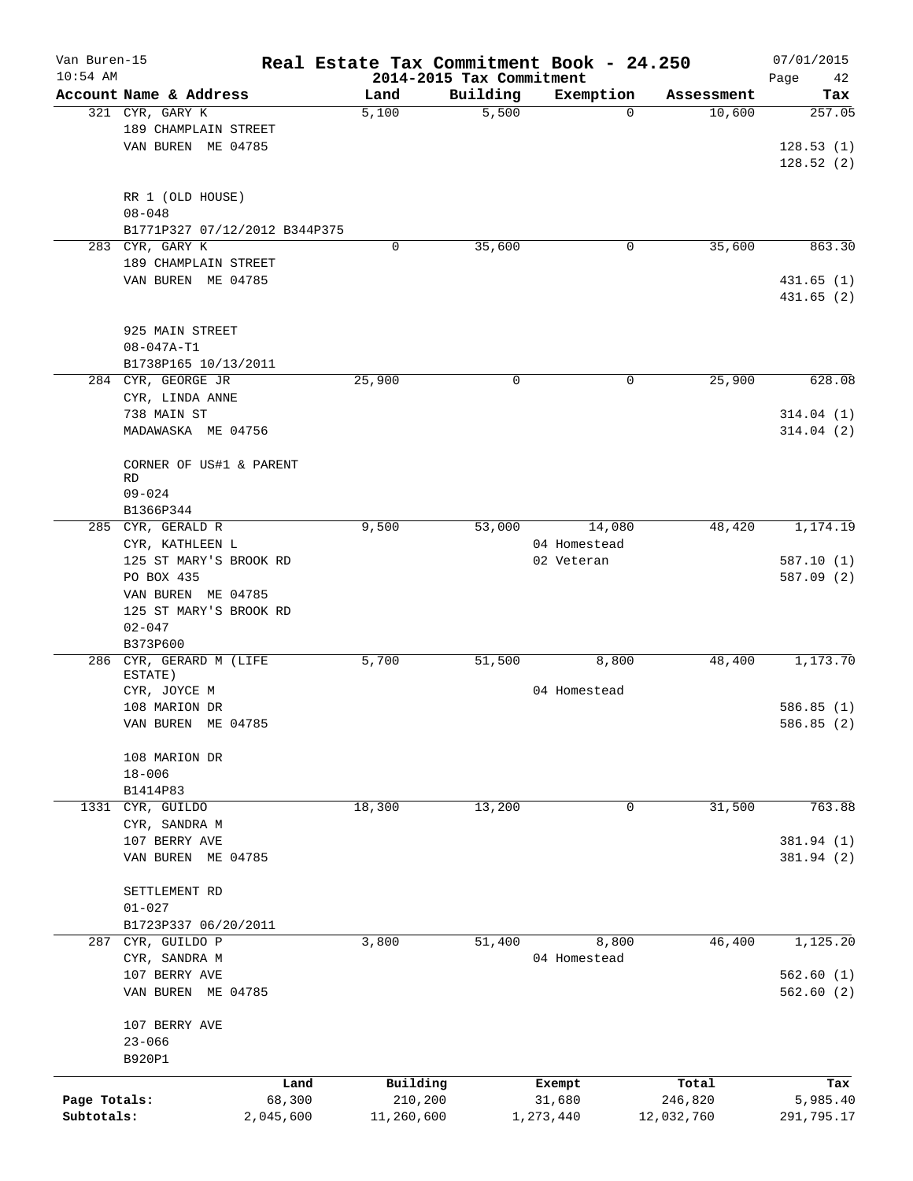| Van Buren-15 |                                                  |           | Real Estate Tax Commitment Book - 24.250 |          |              |            | 07/01/2015        |
|--------------|--------------------------------------------------|-----------|------------------------------------------|----------|--------------|------------|-------------------|
| $10:54$ AM   | Account Name & Address                           |           | 2014-2015 Tax Commitment<br>Land         | Building | Exemption    | Assessment | Page<br>42<br>Tax |
|              | 321 CYR, GARY K                                  |           | 5,100                                    | 5,500    | $\Omega$     | 10,600     | 257.05            |
|              | 189 CHAMPLAIN STREET                             |           |                                          |          |              |            |                   |
|              | VAN BUREN ME 04785                               |           |                                          |          |              |            | 128.53(1)         |
|              |                                                  |           |                                          |          |              |            | 128.52(2)         |
|              |                                                  |           |                                          |          |              |            |                   |
|              |                                                  |           |                                          |          |              |            |                   |
|              | RR 1 (OLD HOUSE)<br>$08 - 048$                   |           |                                          |          |              |            |                   |
|              |                                                  |           |                                          |          |              |            |                   |
|              | B1771P327 07/12/2012 B344P375<br>283 CYR, GARY K |           | 0                                        | 35,600   | 0            | 35,600     | 863.30            |
|              |                                                  |           |                                          |          |              |            |                   |
|              | 189 CHAMPLAIN STREET                             |           |                                          |          |              |            |                   |
|              | VAN BUREN ME 04785                               |           |                                          |          |              |            | 431.65(1)         |
|              |                                                  |           |                                          |          |              |            | 431.65(2)         |
|              |                                                  |           |                                          |          |              |            |                   |
|              | 925 MAIN STREET                                  |           |                                          |          |              |            |                   |
|              | $08 - 047A - T1$                                 |           |                                          |          |              |            |                   |
|              | B1738P165 10/13/2011                             |           |                                          |          |              |            |                   |
|              | 284 CYR, GEORGE JR                               |           | 25,900                                   | 0        | 0            | 25,900     | 628.08            |
|              | CYR, LINDA ANNE                                  |           |                                          |          |              |            |                   |
|              | 738 MAIN ST                                      |           |                                          |          |              |            | 314.04(1)         |
|              | MADAWASKA ME 04756                               |           |                                          |          |              |            | 314.04(2)         |
|              |                                                  |           |                                          |          |              |            |                   |
|              | CORNER OF US#1 & PARENT                          |           |                                          |          |              |            |                   |
|              | RD.                                              |           |                                          |          |              |            |                   |
|              | $09 - 024$                                       |           |                                          |          |              |            |                   |
|              | B1366P344                                        |           |                                          |          |              |            |                   |
|              | 285 CYR, GERALD R                                |           | 9,500                                    | 53,000   | 14,080       | 48,420     | 1,174.19          |
|              | CYR, KATHLEEN L                                  |           |                                          |          | 04 Homestead |            |                   |
|              | 125 ST MARY'S BROOK RD                           |           |                                          |          | 02 Veteran   |            | 587.10 (1)        |
|              | PO BOX 435                                       |           |                                          |          |              |            | 587.09 (2)        |
|              | VAN BUREN ME 04785                               |           |                                          |          |              |            |                   |
|              | 125 ST MARY'S BROOK RD                           |           |                                          |          |              |            |                   |
|              | $02 - 047$                                       |           |                                          |          |              |            |                   |
|              | B373P600                                         |           |                                          |          |              |            |                   |
|              | 286 CYR, GERARD M (LIFE                          |           | 5,700                                    | 51,500   | 8,800        | 48,400     | 1,173.70          |
|              | ESTATE)                                          |           |                                          |          |              |            |                   |
|              | CYR, JOYCE M                                     |           |                                          |          | 04 Homestead |            |                   |
|              | 108 MARION DR                                    |           |                                          |          |              |            | 586.85(1)         |
|              | VAN BUREN ME 04785                               |           |                                          |          |              |            | 586.85 (2)        |
|              |                                                  |           |                                          |          |              |            |                   |
|              | 108 MARION DR                                    |           |                                          |          |              |            |                   |
|              | $18 - 006$                                       |           |                                          |          |              |            |                   |
|              | B1414P83                                         |           |                                          |          |              |            |                   |
| 1331         | CYR, GUILDO                                      |           | 18,300                                   | 13,200   | 0            | 31,500     | 763.88            |
|              | CYR, SANDRA M                                    |           |                                          |          |              |            |                   |
|              | 107 BERRY AVE                                    |           |                                          |          |              |            | 381.94 (1)        |
|              | VAN BUREN ME 04785                               |           |                                          |          |              |            | 381.94 (2)        |
|              |                                                  |           |                                          |          |              |            |                   |
|              | SETTLEMENT RD                                    |           |                                          |          |              |            |                   |
|              | $01 - 027$                                       |           |                                          |          |              |            |                   |
|              | B1723P337 06/20/2011                             |           |                                          |          |              |            |                   |
| 287          | CYR, GUILDO P                                    |           | 3,800                                    | 51,400   | 8,800        | 46,400     | 1,125.20          |
|              | CYR, SANDRA M                                    |           |                                          |          | 04 Homestead |            |                   |
|              | 107 BERRY AVE                                    |           |                                          |          |              |            | 562.60(1)         |
|              | VAN BUREN ME 04785                               |           |                                          |          |              |            | 562.60(2)         |
|              |                                                  |           |                                          |          |              |            |                   |
|              | 107 BERRY AVE                                    |           |                                          |          |              |            |                   |
|              | $23 - 066$                                       |           |                                          |          |              |            |                   |
|              | B920P1                                           |           |                                          |          |              |            |                   |
|              |                                                  |           |                                          |          |              |            |                   |
|              |                                                  | Land      | Building                                 |          | Exempt       | Total      | Tax               |
| Page Totals: |                                                  | 68,300    | 210,200                                  |          | 31,680       | 246,820    | 5,985.40          |
| Subtotals:   |                                                  | 2,045,600 | 11,260,600                               |          | 1,273,440    | 12,032,760 | 291,795.17        |
|              |                                                  |           |                                          |          |              |            |                   |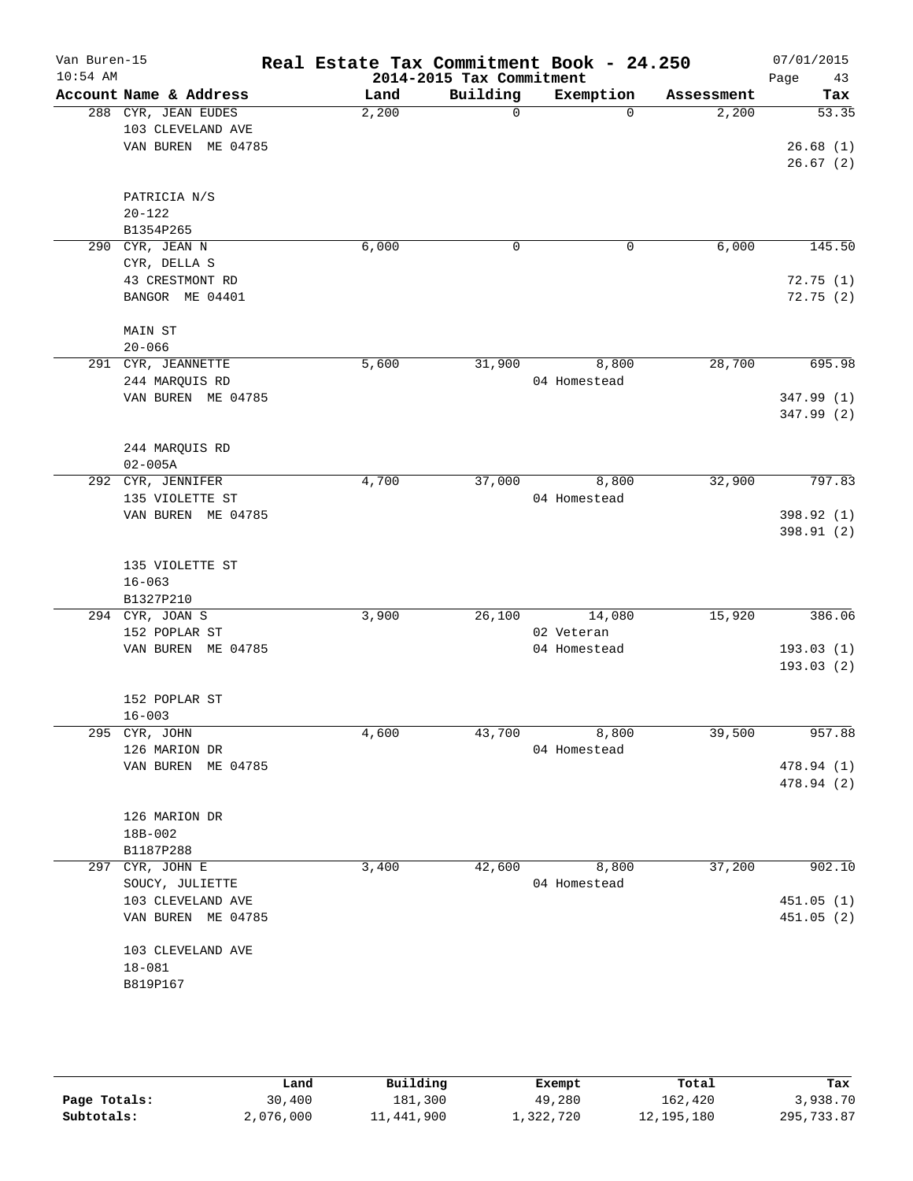| Van Buren-15<br>$10:54$ AM |                        |       | 2014-2015 Tax Commitment | Real Estate Tax Commitment Book - 24.250 |            | 07/01/2015<br>Page<br>43 |
|----------------------------|------------------------|-------|--------------------------|------------------------------------------|------------|--------------------------|
|                            | Account Name & Address | Land  | Building                 | Exemption                                | Assessment | Tax                      |
|                            | 288 CYR, JEAN EUDES    | 2,200 | $\Omega$                 | $\Omega$                                 | 2,200      | 53.35                    |
|                            | 103 CLEVELAND AVE      |       |                          |                                          |            |                          |
|                            | VAN BUREN ME 04785     |       |                          |                                          |            | 26.68(1)                 |
|                            |                        |       |                          |                                          |            | 26.67(2)                 |
|                            |                        |       |                          |                                          |            |                          |
|                            | PATRICIA N/S           |       |                          |                                          |            |                          |
|                            | $20 - 122$             |       |                          |                                          |            |                          |
|                            | B1354P265              |       |                          |                                          |            |                          |
|                            | 290 CYR, JEAN N        | 6,000 | 0                        | 0                                        | 6,000      | 145.50                   |
|                            | CYR, DELLA S           |       |                          |                                          |            |                          |
|                            | 43 CRESTMONT RD        |       |                          |                                          |            | 72.75(1)                 |
|                            | BANGOR ME 04401        |       |                          |                                          |            | 72.75(2)                 |
|                            |                        |       |                          |                                          |            |                          |
|                            | MAIN ST                |       |                          |                                          |            |                          |
|                            | $20 - 066$             |       |                          |                                          |            |                          |
|                            | 291 CYR, JEANNETTE     | 5,600 | 31,900                   | 8,800                                    | 28,700     | 695.98                   |
|                            | 244 MARQUIS RD         |       |                          | 04 Homestead                             |            |                          |
|                            | VAN BUREN ME 04785     |       |                          |                                          |            | 347.99 (1)               |
|                            |                        |       |                          |                                          |            | 347.99 (2)               |
|                            |                        |       |                          |                                          |            |                          |
|                            | 244 MARQUIS RD         |       |                          |                                          |            |                          |
|                            | $02 - 005A$            |       |                          |                                          |            |                          |
|                            | 292 CYR, JENNIFER      | 4,700 | 37,000                   | 8,800                                    | 32,900     | 797.83                   |
|                            | 135 VIOLETTE ST        |       |                          | 04 Homestead                             |            |                          |
|                            | VAN BUREN ME 04785     |       |                          |                                          |            | 398.92 (1)               |
|                            |                        |       |                          |                                          |            | 398.91 (2)               |
|                            |                        |       |                          |                                          |            |                          |
|                            | 135 VIOLETTE ST        |       |                          |                                          |            |                          |
|                            | $16 - 063$             |       |                          |                                          |            |                          |
|                            | B1327P210              |       |                          |                                          |            |                          |
|                            | 294 CYR, JOAN S        | 3,900 | 26,100                   | 14,080                                   | 15,920     | 386.06                   |
|                            | 152 POPLAR ST          |       |                          | 02 Veteran                               |            |                          |
|                            | VAN BUREN ME 04785     |       |                          | 04 Homestead                             |            | 193.03(1)                |
|                            |                        |       |                          |                                          |            | 193.03 (2)               |
|                            |                        |       |                          |                                          |            |                          |
|                            | 152 POPLAR ST          |       |                          |                                          |            |                          |
|                            | $16 - 003$             |       |                          |                                          |            |                          |
|                            | 295 CYR, JOHN          | 4,600 | 43,700                   | 8,800                                    | 39,500     | 957.88                   |
|                            | 126 MARION DR          |       |                          | 04 Homestead                             |            |                          |
|                            | VAN BUREN ME 04785     |       |                          |                                          |            | 478.94 (1)               |
|                            |                        |       |                          |                                          |            | 478.94 (2)               |
|                            |                        |       |                          |                                          |            |                          |
|                            | 126 MARION DR          |       |                          |                                          |            |                          |
|                            | 18B-002                |       |                          |                                          |            |                          |
|                            | B1187P288              |       |                          |                                          |            |                          |
|                            | 297 CYR, JOHN E        | 3,400 | 42,600                   | 8,800                                    | 37,200     | 902.10                   |
|                            | SOUCY, JULIETTE        |       |                          | 04 Homestead                             |            |                          |
|                            | 103 CLEVELAND AVE      |       |                          |                                          |            | 451.05 (1)               |
|                            | VAN BUREN ME 04785     |       |                          |                                          |            | 451.05(2)                |
|                            |                        |       |                          |                                          |            |                          |
|                            | 103 CLEVELAND AVE      |       |                          |                                          |            |                          |
|                            | $18 - 081$             |       |                          |                                          |            |                          |
|                            | B819P167               |       |                          |                                          |            |                          |
|                            |                        |       |                          |                                          |            |                          |
|                            |                        |       |                          |                                          |            |                          |
|                            |                        |       |                          |                                          |            |                          |
|                            |                        |       |                          |                                          |            |                          |

|              | Land      | Building   | Exempt    | Total      | Tax        |
|--------------|-----------|------------|-----------|------------|------------|
| Page Totals: | 30,400    | 181,300    | 49,280    | 162,420    | 3,938.70   |
| Subtotals:   | 2,076,000 | 11,441,900 | 1,322,720 | 12,195,180 | 295,733.87 |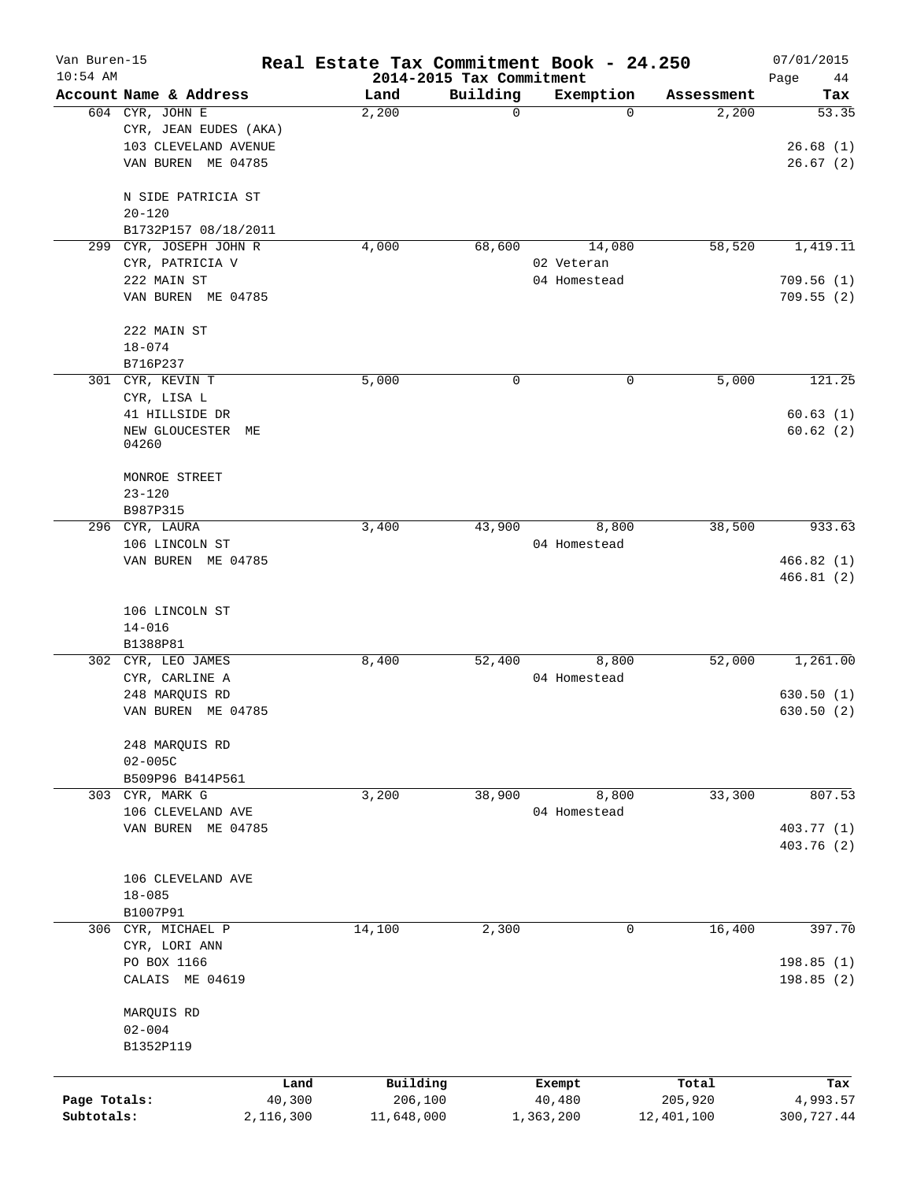| 2014-2015 Tax Commitment<br>Account Name & Address<br>Building<br>Exemption<br>Land<br>Tax<br>Assessment<br>604 CYR, JOHN E<br>2,200<br>2,200<br>53.35<br>0<br>$\Omega$<br>CYR, JEAN EUDES (AKA)<br>103 CLEVELAND AVENUE<br>26.68(1)<br>VAN BUREN ME 04785<br>26.67(2)<br>N SIDE PATRICIA ST<br>$20 - 120$<br>B1732P157 08/18/2011<br>CYR, JOSEPH JOHN R<br>4,000<br>68,600<br>14,080<br>58,520<br>1,419.11<br>299<br>CYR, PATRICIA V<br>02 Veteran<br>222 MAIN ST<br>04 Homestead<br>709.56(1)<br>VAN BUREN ME 04785<br>709.55(2)<br>222 MAIN ST<br>$18 - 074$<br>B716P237<br>5,000<br>121.25<br>301 CYR, KEVIN T<br>5,000<br>0<br>0<br>CYR, LISA L<br>41 HILLSIDE DR<br>60.63(1)<br>60.62(2)<br>NEW GLOUCESTER<br>MЕ<br>04260<br>MONROE STREET<br>$23 - 120$<br>B987P315<br>38,500<br>933.63<br>296 CYR, LAURA<br>3,400<br>43,900<br>8,800<br>106 LINCOLN ST<br>04 Homestead<br>466.82(1)<br>VAN BUREN ME 04785<br>466.81(2)<br>106 LINCOLN ST<br>$14 - 016$<br>B1388P81<br>8,800<br>52,000<br>302 CYR, LEO JAMES<br>8,400<br>52,400<br>1,261.00<br>CYR, CARLINE A<br>04 Homestead<br>248 MARQUIS RD<br>630.50(1)<br>VAN BUREN ME 04785<br>630.50(2)<br>248 MARQUIS RD<br>$02 - 005C$<br>B509P96 B414P561<br>303 CYR, MARK G<br>3,200<br>38,900<br>8,800<br>33,300<br>807.53<br>04 Homestead<br>106 CLEVELAND AVE<br>VAN BUREN ME 04785<br>403.77 (1)<br>403.76 (2)<br>106 CLEVELAND AVE<br>$18 - 085$<br>B1007P91<br>306 CYR, MICHAEL P<br>14,100<br>2,300<br>16,400<br>397.70<br>0<br>CYR, LORI ANN<br>PO BOX 1166<br>198.85 (1)<br>CALAIS ME 04619<br>198.85(2)<br>MARQUIS RD<br>$02 - 004$<br>B1352P119<br>Building<br>Land<br>Total<br>Exempt<br>Tax<br>Page Totals:<br>40,300<br>206,100<br>40,480<br>205,920<br>4,993.57<br>Subtotals:<br>2,116,300<br>11,648,000<br>1,363,200<br>12,401,100<br>300,727.44 | Van Buren-15 |  | Real Estate Tax Commitment Book - 24.250 |  | 07/01/2015 |
|---------------------------------------------------------------------------------------------------------------------------------------------------------------------------------------------------------------------------------------------------------------------------------------------------------------------------------------------------------------------------------------------------------------------------------------------------------------------------------------------------------------------------------------------------------------------------------------------------------------------------------------------------------------------------------------------------------------------------------------------------------------------------------------------------------------------------------------------------------------------------------------------------------------------------------------------------------------------------------------------------------------------------------------------------------------------------------------------------------------------------------------------------------------------------------------------------------------------------------------------------------------------------------------------------------------------------------------------------------------------------------------------------------------------------------------------------------------------------------------------------------------------------------------------------------------------------------------------------------------------------------------------------------------------------------------------------------------------------------------------------------------------------------------------------------------------|--------------|--|------------------------------------------|--|------------|
|                                                                                                                                                                                                                                                                                                                                                                                                                                                                                                                                                                                                                                                                                                                                                                                                                                                                                                                                                                                                                                                                                                                                                                                                                                                                                                                                                                                                                                                                                                                                                                                                                                                                                                                                                                                                                     | $10:54$ AM   |  |                                          |  | Page<br>44 |
|                                                                                                                                                                                                                                                                                                                                                                                                                                                                                                                                                                                                                                                                                                                                                                                                                                                                                                                                                                                                                                                                                                                                                                                                                                                                                                                                                                                                                                                                                                                                                                                                                                                                                                                                                                                                                     |              |  |                                          |  |            |
|                                                                                                                                                                                                                                                                                                                                                                                                                                                                                                                                                                                                                                                                                                                                                                                                                                                                                                                                                                                                                                                                                                                                                                                                                                                                                                                                                                                                                                                                                                                                                                                                                                                                                                                                                                                                                     |              |  |                                          |  |            |
|                                                                                                                                                                                                                                                                                                                                                                                                                                                                                                                                                                                                                                                                                                                                                                                                                                                                                                                                                                                                                                                                                                                                                                                                                                                                                                                                                                                                                                                                                                                                                                                                                                                                                                                                                                                                                     |              |  |                                          |  |            |
|                                                                                                                                                                                                                                                                                                                                                                                                                                                                                                                                                                                                                                                                                                                                                                                                                                                                                                                                                                                                                                                                                                                                                                                                                                                                                                                                                                                                                                                                                                                                                                                                                                                                                                                                                                                                                     |              |  |                                          |  |            |
|                                                                                                                                                                                                                                                                                                                                                                                                                                                                                                                                                                                                                                                                                                                                                                                                                                                                                                                                                                                                                                                                                                                                                                                                                                                                                                                                                                                                                                                                                                                                                                                                                                                                                                                                                                                                                     |              |  |                                          |  |            |
|                                                                                                                                                                                                                                                                                                                                                                                                                                                                                                                                                                                                                                                                                                                                                                                                                                                                                                                                                                                                                                                                                                                                                                                                                                                                                                                                                                                                                                                                                                                                                                                                                                                                                                                                                                                                                     |              |  |                                          |  |            |
|                                                                                                                                                                                                                                                                                                                                                                                                                                                                                                                                                                                                                                                                                                                                                                                                                                                                                                                                                                                                                                                                                                                                                                                                                                                                                                                                                                                                                                                                                                                                                                                                                                                                                                                                                                                                                     |              |  |                                          |  |            |
|                                                                                                                                                                                                                                                                                                                                                                                                                                                                                                                                                                                                                                                                                                                                                                                                                                                                                                                                                                                                                                                                                                                                                                                                                                                                                                                                                                                                                                                                                                                                                                                                                                                                                                                                                                                                                     |              |  |                                          |  |            |
|                                                                                                                                                                                                                                                                                                                                                                                                                                                                                                                                                                                                                                                                                                                                                                                                                                                                                                                                                                                                                                                                                                                                                                                                                                                                                                                                                                                                                                                                                                                                                                                                                                                                                                                                                                                                                     |              |  |                                          |  |            |
|                                                                                                                                                                                                                                                                                                                                                                                                                                                                                                                                                                                                                                                                                                                                                                                                                                                                                                                                                                                                                                                                                                                                                                                                                                                                                                                                                                                                                                                                                                                                                                                                                                                                                                                                                                                                                     |              |  |                                          |  |            |
|                                                                                                                                                                                                                                                                                                                                                                                                                                                                                                                                                                                                                                                                                                                                                                                                                                                                                                                                                                                                                                                                                                                                                                                                                                                                                                                                                                                                                                                                                                                                                                                                                                                                                                                                                                                                                     |              |  |                                          |  |            |
|                                                                                                                                                                                                                                                                                                                                                                                                                                                                                                                                                                                                                                                                                                                                                                                                                                                                                                                                                                                                                                                                                                                                                                                                                                                                                                                                                                                                                                                                                                                                                                                                                                                                                                                                                                                                                     |              |  |                                          |  |            |
|                                                                                                                                                                                                                                                                                                                                                                                                                                                                                                                                                                                                                                                                                                                                                                                                                                                                                                                                                                                                                                                                                                                                                                                                                                                                                                                                                                                                                                                                                                                                                                                                                                                                                                                                                                                                                     |              |  |                                          |  |            |
|                                                                                                                                                                                                                                                                                                                                                                                                                                                                                                                                                                                                                                                                                                                                                                                                                                                                                                                                                                                                                                                                                                                                                                                                                                                                                                                                                                                                                                                                                                                                                                                                                                                                                                                                                                                                                     |              |  |                                          |  |            |
|                                                                                                                                                                                                                                                                                                                                                                                                                                                                                                                                                                                                                                                                                                                                                                                                                                                                                                                                                                                                                                                                                                                                                                                                                                                                                                                                                                                                                                                                                                                                                                                                                                                                                                                                                                                                                     |              |  |                                          |  |            |
|                                                                                                                                                                                                                                                                                                                                                                                                                                                                                                                                                                                                                                                                                                                                                                                                                                                                                                                                                                                                                                                                                                                                                                                                                                                                                                                                                                                                                                                                                                                                                                                                                                                                                                                                                                                                                     |              |  |                                          |  |            |
|                                                                                                                                                                                                                                                                                                                                                                                                                                                                                                                                                                                                                                                                                                                                                                                                                                                                                                                                                                                                                                                                                                                                                                                                                                                                                                                                                                                                                                                                                                                                                                                                                                                                                                                                                                                                                     |              |  |                                          |  |            |
|                                                                                                                                                                                                                                                                                                                                                                                                                                                                                                                                                                                                                                                                                                                                                                                                                                                                                                                                                                                                                                                                                                                                                                                                                                                                                                                                                                                                                                                                                                                                                                                                                                                                                                                                                                                                                     |              |  |                                          |  |            |
|                                                                                                                                                                                                                                                                                                                                                                                                                                                                                                                                                                                                                                                                                                                                                                                                                                                                                                                                                                                                                                                                                                                                                                                                                                                                                                                                                                                                                                                                                                                                                                                                                                                                                                                                                                                                                     |              |  |                                          |  |            |
|                                                                                                                                                                                                                                                                                                                                                                                                                                                                                                                                                                                                                                                                                                                                                                                                                                                                                                                                                                                                                                                                                                                                                                                                                                                                                                                                                                                                                                                                                                                                                                                                                                                                                                                                                                                                                     |              |  |                                          |  |            |
|                                                                                                                                                                                                                                                                                                                                                                                                                                                                                                                                                                                                                                                                                                                                                                                                                                                                                                                                                                                                                                                                                                                                                                                                                                                                                                                                                                                                                                                                                                                                                                                                                                                                                                                                                                                                                     |              |  |                                          |  |            |
|                                                                                                                                                                                                                                                                                                                                                                                                                                                                                                                                                                                                                                                                                                                                                                                                                                                                                                                                                                                                                                                                                                                                                                                                                                                                                                                                                                                                                                                                                                                                                                                                                                                                                                                                                                                                                     |              |  |                                          |  |            |
|                                                                                                                                                                                                                                                                                                                                                                                                                                                                                                                                                                                                                                                                                                                                                                                                                                                                                                                                                                                                                                                                                                                                                                                                                                                                                                                                                                                                                                                                                                                                                                                                                                                                                                                                                                                                                     |              |  |                                          |  |            |
|                                                                                                                                                                                                                                                                                                                                                                                                                                                                                                                                                                                                                                                                                                                                                                                                                                                                                                                                                                                                                                                                                                                                                                                                                                                                                                                                                                                                                                                                                                                                                                                                                                                                                                                                                                                                                     |              |  |                                          |  |            |
|                                                                                                                                                                                                                                                                                                                                                                                                                                                                                                                                                                                                                                                                                                                                                                                                                                                                                                                                                                                                                                                                                                                                                                                                                                                                                                                                                                                                                                                                                                                                                                                                                                                                                                                                                                                                                     |              |  |                                          |  |            |
|                                                                                                                                                                                                                                                                                                                                                                                                                                                                                                                                                                                                                                                                                                                                                                                                                                                                                                                                                                                                                                                                                                                                                                                                                                                                                                                                                                                                                                                                                                                                                                                                                                                                                                                                                                                                                     |              |  |                                          |  |            |
|                                                                                                                                                                                                                                                                                                                                                                                                                                                                                                                                                                                                                                                                                                                                                                                                                                                                                                                                                                                                                                                                                                                                                                                                                                                                                                                                                                                                                                                                                                                                                                                                                                                                                                                                                                                                                     |              |  |                                          |  |            |
|                                                                                                                                                                                                                                                                                                                                                                                                                                                                                                                                                                                                                                                                                                                                                                                                                                                                                                                                                                                                                                                                                                                                                                                                                                                                                                                                                                                                                                                                                                                                                                                                                                                                                                                                                                                                                     |              |  |                                          |  |            |
|                                                                                                                                                                                                                                                                                                                                                                                                                                                                                                                                                                                                                                                                                                                                                                                                                                                                                                                                                                                                                                                                                                                                                                                                                                                                                                                                                                                                                                                                                                                                                                                                                                                                                                                                                                                                                     |              |  |                                          |  |            |
|                                                                                                                                                                                                                                                                                                                                                                                                                                                                                                                                                                                                                                                                                                                                                                                                                                                                                                                                                                                                                                                                                                                                                                                                                                                                                                                                                                                                                                                                                                                                                                                                                                                                                                                                                                                                                     |              |  |                                          |  |            |
|                                                                                                                                                                                                                                                                                                                                                                                                                                                                                                                                                                                                                                                                                                                                                                                                                                                                                                                                                                                                                                                                                                                                                                                                                                                                                                                                                                                                                                                                                                                                                                                                                                                                                                                                                                                                                     |              |  |                                          |  |            |
|                                                                                                                                                                                                                                                                                                                                                                                                                                                                                                                                                                                                                                                                                                                                                                                                                                                                                                                                                                                                                                                                                                                                                                                                                                                                                                                                                                                                                                                                                                                                                                                                                                                                                                                                                                                                                     |              |  |                                          |  |            |
|                                                                                                                                                                                                                                                                                                                                                                                                                                                                                                                                                                                                                                                                                                                                                                                                                                                                                                                                                                                                                                                                                                                                                                                                                                                                                                                                                                                                                                                                                                                                                                                                                                                                                                                                                                                                                     |              |  |                                          |  |            |
|                                                                                                                                                                                                                                                                                                                                                                                                                                                                                                                                                                                                                                                                                                                                                                                                                                                                                                                                                                                                                                                                                                                                                                                                                                                                                                                                                                                                                                                                                                                                                                                                                                                                                                                                                                                                                     |              |  |                                          |  |            |
|                                                                                                                                                                                                                                                                                                                                                                                                                                                                                                                                                                                                                                                                                                                                                                                                                                                                                                                                                                                                                                                                                                                                                                                                                                                                                                                                                                                                                                                                                                                                                                                                                                                                                                                                                                                                                     |              |  |                                          |  |            |
|                                                                                                                                                                                                                                                                                                                                                                                                                                                                                                                                                                                                                                                                                                                                                                                                                                                                                                                                                                                                                                                                                                                                                                                                                                                                                                                                                                                                                                                                                                                                                                                                                                                                                                                                                                                                                     |              |  |                                          |  |            |
|                                                                                                                                                                                                                                                                                                                                                                                                                                                                                                                                                                                                                                                                                                                                                                                                                                                                                                                                                                                                                                                                                                                                                                                                                                                                                                                                                                                                                                                                                                                                                                                                                                                                                                                                                                                                                     |              |  |                                          |  |            |
|                                                                                                                                                                                                                                                                                                                                                                                                                                                                                                                                                                                                                                                                                                                                                                                                                                                                                                                                                                                                                                                                                                                                                                                                                                                                                                                                                                                                                                                                                                                                                                                                                                                                                                                                                                                                                     |              |  |                                          |  |            |
|                                                                                                                                                                                                                                                                                                                                                                                                                                                                                                                                                                                                                                                                                                                                                                                                                                                                                                                                                                                                                                                                                                                                                                                                                                                                                                                                                                                                                                                                                                                                                                                                                                                                                                                                                                                                                     |              |  |                                          |  |            |
|                                                                                                                                                                                                                                                                                                                                                                                                                                                                                                                                                                                                                                                                                                                                                                                                                                                                                                                                                                                                                                                                                                                                                                                                                                                                                                                                                                                                                                                                                                                                                                                                                                                                                                                                                                                                                     |              |  |                                          |  |            |
|                                                                                                                                                                                                                                                                                                                                                                                                                                                                                                                                                                                                                                                                                                                                                                                                                                                                                                                                                                                                                                                                                                                                                                                                                                                                                                                                                                                                                                                                                                                                                                                                                                                                                                                                                                                                                     |              |  |                                          |  |            |
|                                                                                                                                                                                                                                                                                                                                                                                                                                                                                                                                                                                                                                                                                                                                                                                                                                                                                                                                                                                                                                                                                                                                                                                                                                                                                                                                                                                                                                                                                                                                                                                                                                                                                                                                                                                                                     |              |  |                                          |  |            |
|                                                                                                                                                                                                                                                                                                                                                                                                                                                                                                                                                                                                                                                                                                                                                                                                                                                                                                                                                                                                                                                                                                                                                                                                                                                                                                                                                                                                                                                                                                                                                                                                                                                                                                                                                                                                                     |              |  |                                          |  |            |
|                                                                                                                                                                                                                                                                                                                                                                                                                                                                                                                                                                                                                                                                                                                                                                                                                                                                                                                                                                                                                                                                                                                                                                                                                                                                                                                                                                                                                                                                                                                                                                                                                                                                                                                                                                                                                     |              |  |                                          |  |            |
|                                                                                                                                                                                                                                                                                                                                                                                                                                                                                                                                                                                                                                                                                                                                                                                                                                                                                                                                                                                                                                                                                                                                                                                                                                                                                                                                                                                                                                                                                                                                                                                                                                                                                                                                                                                                                     |              |  |                                          |  |            |
|                                                                                                                                                                                                                                                                                                                                                                                                                                                                                                                                                                                                                                                                                                                                                                                                                                                                                                                                                                                                                                                                                                                                                                                                                                                                                                                                                                                                                                                                                                                                                                                                                                                                                                                                                                                                                     |              |  |                                          |  |            |
|                                                                                                                                                                                                                                                                                                                                                                                                                                                                                                                                                                                                                                                                                                                                                                                                                                                                                                                                                                                                                                                                                                                                                                                                                                                                                                                                                                                                                                                                                                                                                                                                                                                                                                                                                                                                                     |              |  |                                          |  |            |
|                                                                                                                                                                                                                                                                                                                                                                                                                                                                                                                                                                                                                                                                                                                                                                                                                                                                                                                                                                                                                                                                                                                                                                                                                                                                                                                                                                                                                                                                                                                                                                                                                                                                                                                                                                                                                     |              |  |                                          |  |            |
|                                                                                                                                                                                                                                                                                                                                                                                                                                                                                                                                                                                                                                                                                                                                                                                                                                                                                                                                                                                                                                                                                                                                                                                                                                                                                                                                                                                                                                                                                                                                                                                                                                                                                                                                                                                                                     |              |  |                                          |  |            |
|                                                                                                                                                                                                                                                                                                                                                                                                                                                                                                                                                                                                                                                                                                                                                                                                                                                                                                                                                                                                                                                                                                                                                                                                                                                                                                                                                                                                                                                                                                                                                                                                                                                                                                                                                                                                                     |              |  |                                          |  |            |
|                                                                                                                                                                                                                                                                                                                                                                                                                                                                                                                                                                                                                                                                                                                                                                                                                                                                                                                                                                                                                                                                                                                                                                                                                                                                                                                                                                                                                                                                                                                                                                                                                                                                                                                                                                                                                     |              |  |                                          |  |            |
|                                                                                                                                                                                                                                                                                                                                                                                                                                                                                                                                                                                                                                                                                                                                                                                                                                                                                                                                                                                                                                                                                                                                                                                                                                                                                                                                                                                                                                                                                                                                                                                                                                                                                                                                                                                                                     |              |  |                                          |  |            |
|                                                                                                                                                                                                                                                                                                                                                                                                                                                                                                                                                                                                                                                                                                                                                                                                                                                                                                                                                                                                                                                                                                                                                                                                                                                                                                                                                                                                                                                                                                                                                                                                                                                                                                                                                                                                                     |              |  |                                          |  |            |
|                                                                                                                                                                                                                                                                                                                                                                                                                                                                                                                                                                                                                                                                                                                                                                                                                                                                                                                                                                                                                                                                                                                                                                                                                                                                                                                                                                                                                                                                                                                                                                                                                                                                                                                                                                                                                     |              |  |                                          |  |            |
|                                                                                                                                                                                                                                                                                                                                                                                                                                                                                                                                                                                                                                                                                                                                                                                                                                                                                                                                                                                                                                                                                                                                                                                                                                                                                                                                                                                                                                                                                                                                                                                                                                                                                                                                                                                                                     |              |  |                                          |  |            |
|                                                                                                                                                                                                                                                                                                                                                                                                                                                                                                                                                                                                                                                                                                                                                                                                                                                                                                                                                                                                                                                                                                                                                                                                                                                                                                                                                                                                                                                                                                                                                                                                                                                                                                                                                                                                                     |              |  |                                          |  |            |
|                                                                                                                                                                                                                                                                                                                                                                                                                                                                                                                                                                                                                                                                                                                                                                                                                                                                                                                                                                                                                                                                                                                                                                                                                                                                                                                                                                                                                                                                                                                                                                                                                                                                                                                                                                                                                     |              |  |                                          |  |            |
|                                                                                                                                                                                                                                                                                                                                                                                                                                                                                                                                                                                                                                                                                                                                                                                                                                                                                                                                                                                                                                                                                                                                                                                                                                                                                                                                                                                                                                                                                                                                                                                                                                                                                                                                                                                                                     |              |  |                                          |  |            |
|                                                                                                                                                                                                                                                                                                                                                                                                                                                                                                                                                                                                                                                                                                                                                                                                                                                                                                                                                                                                                                                                                                                                                                                                                                                                                                                                                                                                                                                                                                                                                                                                                                                                                                                                                                                                                     |              |  |                                          |  |            |
|                                                                                                                                                                                                                                                                                                                                                                                                                                                                                                                                                                                                                                                                                                                                                                                                                                                                                                                                                                                                                                                                                                                                                                                                                                                                                                                                                                                                                                                                                                                                                                                                                                                                                                                                                                                                                     |              |  |                                          |  |            |
|                                                                                                                                                                                                                                                                                                                                                                                                                                                                                                                                                                                                                                                                                                                                                                                                                                                                                                                                                                                                                                                                                                                                                                                                                                                                                                                                                                                                                                                                                                                                                                                                                                                                                                                                                                                                                     |              |  |                                          |  |            |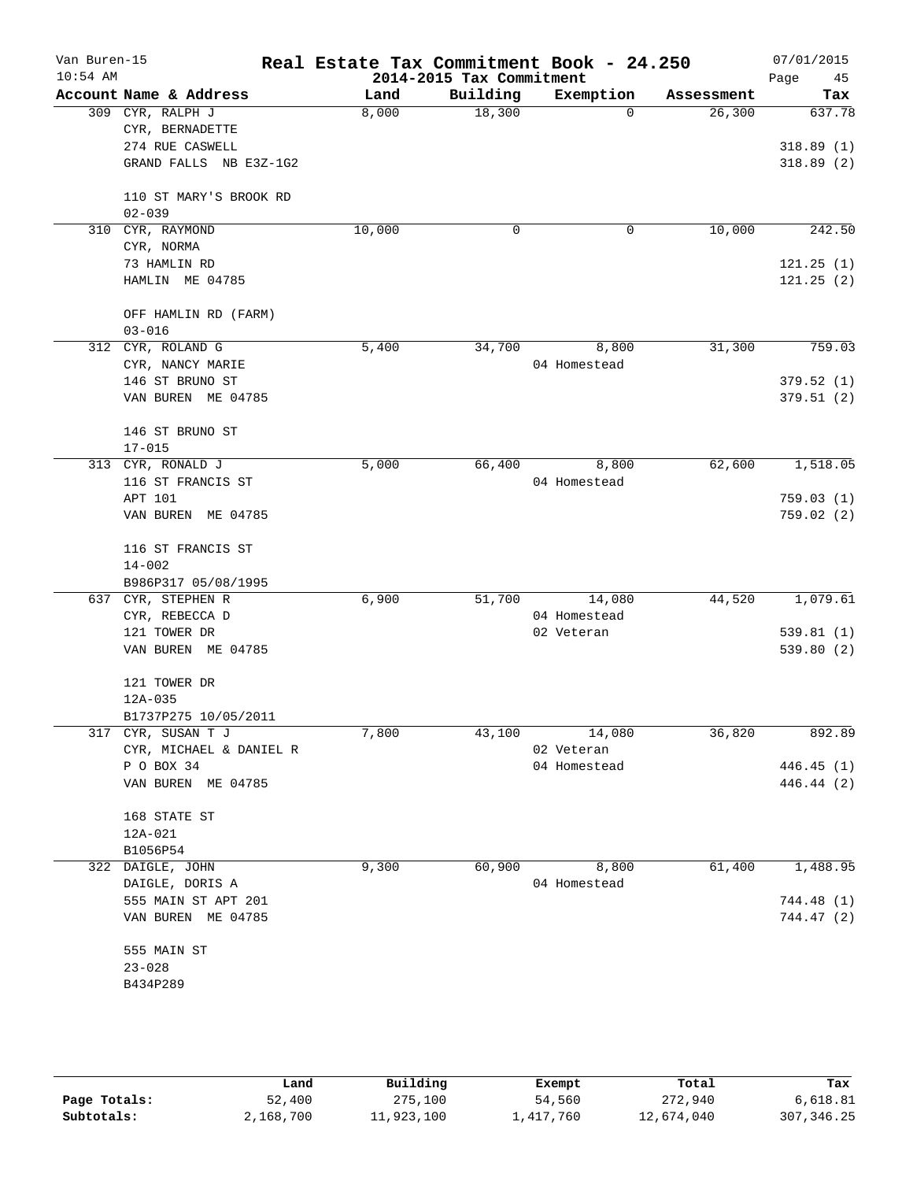| Van Buren-15<br>$10:54$ AM |                                |        | 2014-2015 Tax Commitment | Real Estate Tax Commitment Book - 24.250 |            | 07/01/2015<br>45<br>Page |
|----------------------------|--------------------------------|--------|--------------------------|------------------------------------------|------------|--------------------------|
|                            | Account Name & Address         | Land   | Building                 | Exemption                                | Assessment | Tax                      |
|                            | 309 CYR, RALPH J               | 8,000  | 18,300                   | $\Omega$                                 | 26, 300    | 637.78                   |
|                            | CYR, BERNADETTE                |        |                          |                                          |            |                          |
|                            | 274 RUE CASWELL                |        |                          |                                          |            | 318.89(1)                |
|                            | GRAND FALLS NB E3Z-1G2         |        |                          |                                          |            | 318.89(2)                |
|                            | 110 ST MARY'S BROOK RD         |        |                          |                                          |            |                          |
|                            | $02 - 039$                     |        |                          |                                          |            |                          |
|                            | 310 CYR, RAYMOND               | 10,000 | 0                        | $\mathbf 0$                              | 10,000     | 242.50                   |
|                            | CYR, NORMA                     |        |                          |                                          |            |                          |
|                            | 73 HAMLIN RD                   |        |                          |                                          |            | 121.25(1)                |
|                            | HAMLIN ME 04785                |        |                          |                                          |            | 121.25(2)                |
|                            | OFF HAMLIN RD (FARM)           |        |                          |                                          |            |                          |
|                            | $03 - 016$                     |        |                          |                                          |            |                          |
|                            | 312 CYR, ROLAND G              | 5,400  | 34,700                   | 8,800                                    | 31,300     | 759.03                   |
|                            | CYR, NANCY MARIE               |        |                          | 04 Homestead                             |            |                          |
|                            | 146 ST BRUNO ST                |        |                          |                                          |            | 379.52(1)                |
|                            | VAN BUREN ME 04785             |        |                          |                                          |            | 379.51(2)                |
|                            | 146 ST BRUNO ST                |        |                          |                                          |            |                          |
|                            | $17 - 015$                     |        |                          |                                          |            |                          |
|                            | 313 CYR, RONALD J              | 5,000  | 66,400                   | 8,800                                    | 62,600     | 1,518.05                 |
|                            | 116 ST FRANCIS ST              |        |                          | 04 Homestead                             |            |                          |
|                            | APT 101                        |        |                          |                                          |            | 759.03(1)                |
|                            | VAN BUREN ME 04785             |        |                          |                                          |            | 759.02(2)                |
|                            |                                |        |                          |                                          |            |                          |
|                            | 116 ST FRANCIS ST              |        |                          |                                          |            |                          |
|                            | $14 - 002$                     |        |                          |                                          |            |                          |
|                            | B986P317 05/08/1995            | 6,900  |                          |                                          | 44,520     |                          |
|                            | 637 CYR, STEPHEN R             |        | 51,700                   | 14,080                                   |            | 1,079.61                 |
|                            | CYR, REBECCA D<br>121 TOWER DR |        |                          | 04 Homestead<br>02 Veteran               |            | 539.81(1)                |
|                            | VAN BUREN ME 04785             |        |                          |                                          |            | 539.80(2)                |
|                            |                                |        |                          |                                          |            |                          |
|                            | 121 TOWER DR                   |        |                          |                                          |            |                          |
|                            | 12A-035                        |        |                          |                                          |            |                          |
|                            | B1737P275 10/05/2011           |        |                          |                                          |            |                          |
|                            | 317 CYR, SUSAN T J             | 7,800  |                          | 43,100 14,080                            | 36,820     | 892.89                   |
|                            | CYR, MICHAEL & DANIEL R        |        |                          | 02 Veteran                               |            |                          |
|                            | P O BOX 34                     |        |                          | 04 Homestead                             |            | 446.45 (1)               |
|                            | VAN BUREN ME 04785             |        |                          |                                          |            | 446.44 (2)               |
|                            | 168 STATE ST                   |        |                          |                                          |            |                          |
|                            | 12A-021                        |        |                          |                                          |            |                          |
|                            | B1056P54                       |        |                          |                                          |            |                          |
|                            | 322 DAIGLE, JOHN               | 9,300  | 60,900                   | 8,800                                    | 61,400     | 1,488.95                 |
|                            | DAIGLE, DORIS A                |        |                          | 04 Homestead                             |            |                          |
|                            | 555 MAIN ST APT 201            |        |                          |                                          |            | 744.48 (1)               |
|                            | VAN BUREN ME 04785             |        |                          |                                          |            | 744.47 (2)               |
|                            | 555 MAIN ST                    |        |                          |                                          |            |                          |
|                            | $23 - 028$                     |        |                          |                                          |            |                          |
|                            | B434P289                       |        |                          |                                          |            |                          |
|                            |                                |        |                          |                                          |            |                          |
|                            |                                |        |                          |                                          |            |                          |
|                            |                                |        |                          |                                          |            |                          |

|              | Land      | Building   | Exempt    | Total      | Tax         |
|--------------|-----------|------------|-----------|------------|-------------|
| Page Totals: | 52,400    | 275,100    | 54,560    | 272,940    | 6,618.81    |
| Subtotals:   | 2,168,700 | 11,923,100 | ⊥,417,760 | 12,674,040 | 307, 346.25 |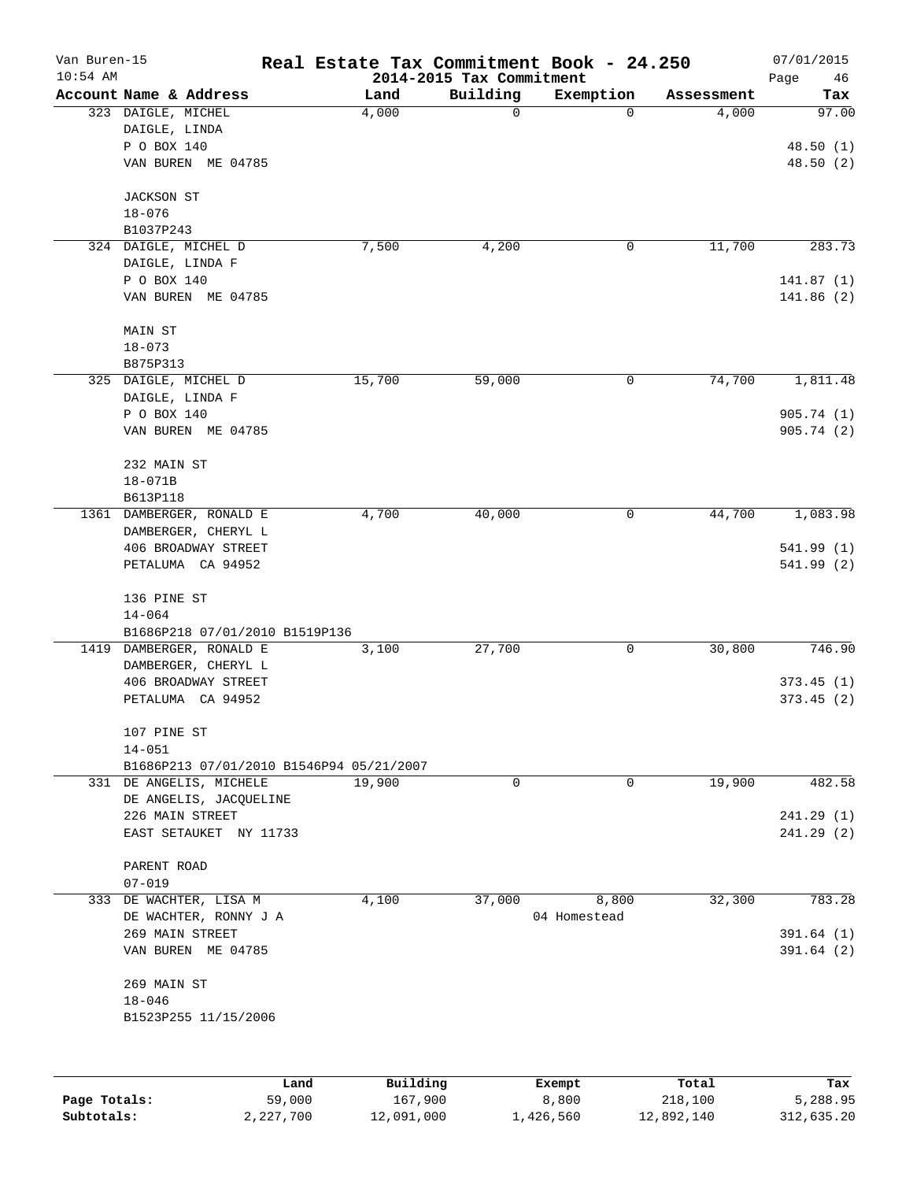| Van Buren-15 |                                                       | Real Estate Tax Commitment Book - 24.250 |                                      |                     |            | 07/01/2015        |
|--------------|-------------------------------------------------------|------------------------------------------|--------------------------------------|---------------------|------------|-------------------|
| $10:54$ AM   | Account Name & Address                                | Land                                     | 2014-2015 Tax Commitment<br>Building | Exemption           | Assessment | Page<br>46<br>Tax |
|              | 323 DAIGLE, MICHEL                                    | 4,000                                    | 0                                    | 0                   | 4,000      | 97.00             |
|              | DAIGLE, LINDA                                         |                                          |                                      |                     |            |                   |
|              | P O BOX 140                                           |                                          |                                      |                     |            | 48.50(1)          |
|              | VAN BUREN ME 04785                                    |                                          |                                      |                     |            | 48.50(2)          |
|              |                                                       |                                          |                                      |                     |            |                   |
|              | <b>JACKSON ST</b>                                     |                                          |                                      |                     |            |                   |
|              | $18 - 076$                                            |                                          |                                      |                     |            |                   |
|              | B1037P243                                             |                                          |                                      |                     |            |                   |
|              | 324 DAIGLE, MICHEL D                                  | 7,500                                    | 4,200                                | 0                   | 11,700     | 283.73            |
|              | DAIGLE, LINDA F                                       |                                          |                                      |                     |            |                   |
|              | P O BOX 140                                           |                                          |                                      |                     |            | 141.87(1)         |
|              | VAN BUREN ME 04785                                    |                                          |                                      |                     |            | 141.86(2)         |
|              | MAIN ST                                               |                                          |                                      |                     |            |                   |
|              | $18 - 073$                                            |                                          |                                      |                     |            |                   |
|              | B875P313                                              |                                          |                                      |                     |            |                   |
|              | 325 DAIGLE, MICHEL D                                  | 15,700                                   | 59,000                               | 0                   | 74,700     | 1,811.48          |
|              | DAIGLE, LINDA F                                       |                                          |                                      |                     |            |                   |
|              | P O BOX 140                                           |                                          |                                      |                     |            | 905.74(1)         |
|              | VAN BUREN ME 04785                                    |                                          |                                      |                     |            | 905.74(2)         |
|              |                                                       |                                          |                                      |                     |            |                   |
|              | 232 MAIN ST                                           |                                          |                                      |                     |            |                   |
|              | $18 - 071B$                                           |                                          |                                      |                     |            |                   |
|              | B613P118                                              |                                          |                                      |                     |            |                   |
|              | 1361 DAMBERGER, RONALD E                              | 4,700                                    | 40,000                               | $\mathsf{O}\xspace$ | 44,700     | 1,083.98          |
|              | DAMBERGER, CHERYL L                                   |                                          |                                      |                     |            |                   |
|              | 406 BROADWAY STREET                                   |                                          |                                      |                     |            | 541.99(1)         |
|              |                                                       |                                          |                                      |                     |            |                   |
|              | PETALUMA CA 94952                                     |                                          |                                      |                     |            | 541.99 (2)        |
|              | 136 PINE ST                                           |                                          |                                      |                     |            |                   |
|              | $14 - 064$                                            |                                          |                                      |                     |            |                   |
|              |                                                       |                                          |                                      |                     |            |                   |
| 1419         | B1686P218 07/01/2010 B1519P136<br>DAMBERGER, RONALD E | 3,100                                    | 27,700                               | 0                   | 30,800     | 746.90            |
|              | DAMBERGER, CHERYL L                                   |                                          |                                      |                     |            |                   |
|              |                                                       |                                          |                                      |                     |            |                   |
|              | 406 BROADWAY STREET                                   |                                          |                                      |                     |            | 373.45(1)         |
|              | PETALUMA CA 94952                                     |                                          |                                      |                     |            | 373.45(2)         |
|              | 107 PINE ST                                           |                                          |                                      |                     |            |                   |
|              | $14 - 051$                                            |                                          |                                      |                     |            |                   |
|              | B1686P213 07/01/2010 B1546P94 05/21/2007              |                                          |                                      |                     |            |                   |
|              | 331 DE ANGELIS, MICHELE                               | 19,900                                   | 0                                    | 0                   | 19,900     | 482.58            |
|              | DE ANGELIS, JACQUELINE                                |                                          |                                      |                     |            |                   |
|              | 226 MAIN STREET                                       |                                          |                                      |                     |            | 241.29 (1)        |
|              | EAST SETAUKET NY 11733                                |                                          |                                      |                     |            | 241.29(2)         |
|              | PARENT ROAD                                           |                                          |                                      |                     |            |                   |
|              | $07 - 019$                                            |                                          |                                      |                     |            |                   |
| 333          | DE WACHTER, LISA M                                    | 4,100                                    | 37,000                               | 8,800               | 32,300     | 783.28            |
|              | DE WACHTER, RONNY J A                                 |                                          |                                      | 04 Homestead        |            |                   |
|              | 269 MAIN STREET                                       |                                          |                                      |                     |            | 391.64(1)         |
|              | VAN BUREN ME 04785                                    |                                          |                                      |                     |            | 391.64 (2)        |
|              | 269 MAIN ST                                           |                                          |                                      |                     |            |                   |
|              | $18 - 046$                                            |                                          |                                      |                     |            |                   |
|              | B1523P255 11/15/2006                                  |                                          |                                      |                     |            |                   |
|              |                                                       |                                          |                                      |                     |            |                   |
|              |                                                       |                                          |                                      |                     |            |                   |
|              |                                                       | Building<br>Land                         |                                      | Exempt              | Total      | Tax               |
| Page Totals: | 59,000                                                | 167,900                                  |                                      | 8,800               | 218,100    | 5,288.95          |

**Subtotals:** 2,227,700 12,091,000 1,426,560 12,892,140 312,635.20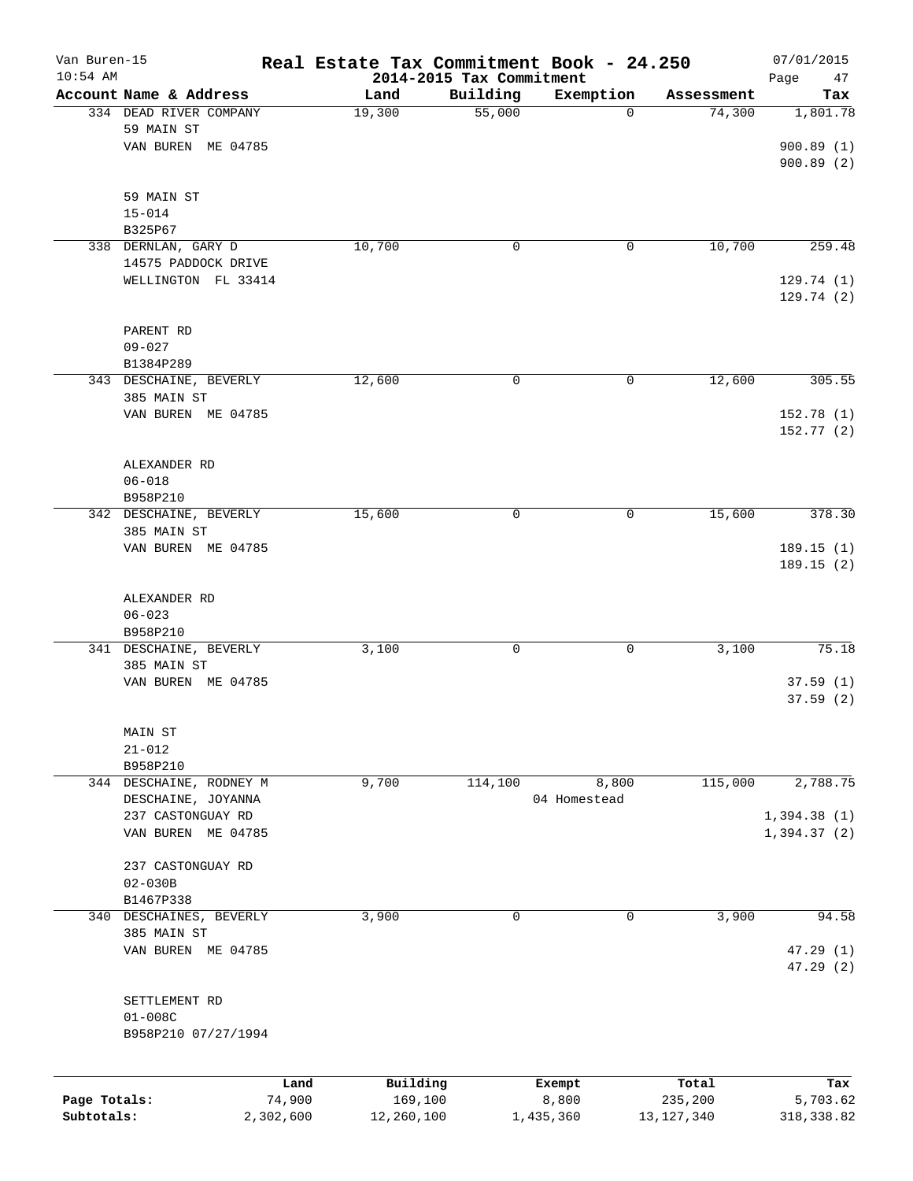| Van Buren-15<br>$10:54$ AM |                         | Real Estate Tax Commitment Book - 24.250 | 2014-2015 Tax Commitment |              |                  | 07/01/2015<br>Page<br>47 |
|----------------------------|-------------------------|------------------------------------------|--------------------------|--------------|------------------|--------------------------|
|                            | Account Name & Address  | Land                                     | Building                 | Exemption    | Assessment       | Tax                      |
|                            | 334 DEAD RIVER COMPANY  | 19,300                                   | $\overline{55,000}$      | $\mathbf 0$  | 74,300           | 1,801.78                 |
|                            | 59 MAIN ST              |                                          |                          |              |                  |                          |
|                            | VAN BUREN ME 04785      |                                          |                          |              |                  | 900.89(1)                |
|                            |                         |                                          |                          |              |                  | 900.89 (2)               |
|                            | 59 MAIN ST              |                                          |                          |              |                  |                          |
|                            | $15 - 014$              |                                          |                          |              |                  |                          |
|                            | B325P67                 |                                          |                          |              |                  |                          |
|                            | 338 DERNLAN, GARY D     | 10,700                                   | 0                        | 0            | 10,700           | 259.48                   |
|                            | 14575 PADDOCK DRIVE     |                                          |                          |              |                  |                          |
|                            | WELLINGTON FL 33414     |                                          |                          |              |                  | 129.74(1)                |
|                            |                         |                                          |                          |              |                  | 129.74 (2)               |
|                            | PARENT RD               |                                          |                          |              |                  |                          |
|                            | $09 - 027$              |                                          |                          |              |                  |                          |
|                            | B1384P289               |                                          |                          |              |                  |                          |
|                            | 343 DESCHAINE, BEVERLY  | 12,600                                   | 0                        | 0            | 12,600           | 305.55                   |
|                            | 385 MAIN ST             |                                          |                          |              |                  |                          |
|                            | VAN BUREN ME 04785      |                                          |                          |              |                  | 152.78 (1)               |
|                            |                         |                                          |                          |              |                  | 152.77(2)                |
|                            | ALEXANDER RD            |                                          |                          |              |                  |                          |
|                            | $06 - 018$              |                                          |                          |              |                  |                          |
|                            | B958P210                |                                          |                          |              |                  |                          |
|                            | 342 DESCHAINE, BEVERLY  | 15,600                                   | $\mathbf 0$              | 0            | 15,600           | 378.30                   |
|                            | 385 MAIN ST             |                                          |                          |              |                  |                          |
|                            | VAN BUREN ME 04785      |                                          |                          |              |                  | 189.15(1)                |
|                            |                         |                                          |                          |              |                  | 189.15 (2)               |
|                            | ALEXANDER RD            |                                          |                          |              |                  |                          |
|                            | $06 - 023$              |                                          |                          |              |                  |                          |
|                            | B958P210                |                                          |                          |              |                  |                          |
|                            | 341 DESCHAINE, BEVERLY  | 3,100                                    | $\mathbf 0$              | 0            | 3,100            | 75.18                    |
|                            | 385 MAIN ST             |                                          |                          |              |                  |                          |
|                            | VAN BUREN ME 04785      |                                          |                          |              |                  | 37.59(1)                 |
|                            |                         |                                          |                          |              |                  | 37.59(2)                 |
|                            | MAIN ST                 |                                          |                          |              |                  |                          |
|                            | $21 - 012$              |                                          |                          |              |                  |                          |
|                            | B958P210                |                                          |                          |              |                  |                          |
|                            | 344 DESCHAINE, RODNEY M | 9,700                                    | 114,100                  | 8,800        | 115,000          | 2,788.75                 |
|                            | DESCHAINE, JOYANNA      |                                          |                          | 04 Homestead |                  |                          |
|                            | 237 CASTONGUAY RD       |                                          |                          |              |                  | 1,394.38(1)              |
|                            | VAN BUREN ME 04785      |                                          |                          |              |                  | 1,394.37(2)              |
|                            | 237 CASTONGUAY RD       |                                          |                          |              |                  |                          |
|                            | $02 - 030B$             |                                          |                          |              |                  |                          |
|                            | B1467P338               |                                          |                          |              |                  |                          |
|                            | 340 DESCHAINES, BEVERLY | 3,900                                    | 0                        | 0            | 3,900            | 94.58                    |
|                            | 385 MAIN ST             |                                          |                          |              |                  |                          |
|                            | VAN BUREN ME 04785      |                                          |                          |              |                  | 47.29(1)                 |
|                            |                         |                                          |                          |              |                  | 47.29 (2)                |
|                            | SETTLEMENT RD           |                                          |                          |              |                  |                          |
|                            | $01 - 008C$             |                                          |                          |              |                  |                          |
|                            | B958P210 07/27/1994     |                                          |                          |              |                  |                          |
|                            |                         |                                          |                          |              |                  |                          |
| Page Totals:               | Land<br>74,900          | Building<br>169,100                      | Exempt<br>8,800          |              | Total<br>235,200 | Tax<br>5,703.62          |
| Subtotals:                 | 2,302,600               | 12,260,100                               | 1,435,360                |              | 13, 127, 340     | 318, 338.82              |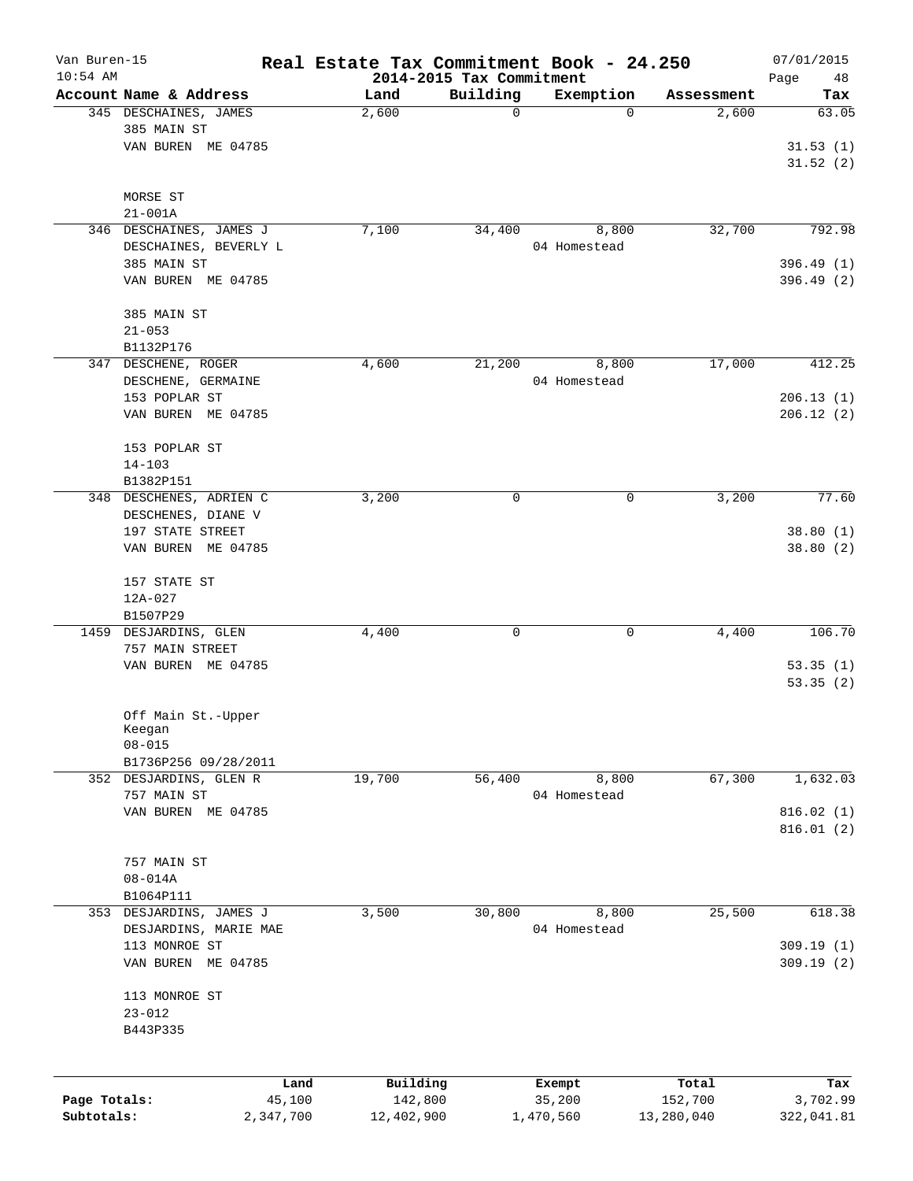| Van Buren-15 |                                        | Real Estate Tax Commitment Book - 24.250 |                                      |              |            | 07/01/2015        |
|--------------|----------------------------------------|------------------------------------------|--------------------------------------|--------------|------------|-------------------|
| $10:54$ AM   | Account Name & Address                 | Land                                     | 2014-2015 Tax Commitment<br>Building | Exemption    | Assessment | Page<br>48<br>Tax |
|              | 345 DESCHAINES, JAMES                  | 2,600                                    | 0                                    | $\Omega$     | 2,600      | 63.05             |
|              | 385 MAIN ST                            |                                          |                                      |              |            |                   |
|              | VAN BUREN ME 04785                     |                                          |                                      |              |            | 31.53(1)          |
|              |                                        |                                          |                                      |              |            | 31.52(2)          |
|              |                                        |                                          |                                      |              |            |                   |
|              | MORSE ST                               |                                          |                                      |              |            |                   |
|              | $21 - 001A$<br>346 DESCHAINES, JAMES J | 7,100                                    | 34,400                               | 8,800        | 32,700     | 792.98            |
|              | DESCHAINES, BEVERLY L                  |                                          |                                      | 04 Homestead |            |                   |
|              | 385 MAIN ST                            |                                          |                                      |              |            | 396.49(1)         |
|              | VAN BUREN ME 04785                     |                                          |                                      |              |            | 396.49(2)         |
|              |                                        |                                          |                                      |              |            |                   |
|              | 385 MAIN ST                            |                                          |                                      |              |            |                   |
|              | $21 - 053$                             |                                          |                                      |              |            |                   |
|              | B1132P176<br>347 DESCHENE, ROGER       | 4,600                                    | 21,200                               | 8,800        | 17,000     | 412.25            |
|              | DESCHENE, GERMAINE                     |                                          |                                      | 04 Homestead |            |                   |
|              | 153 POPLAR ST                          |                                          |                                      |              |            | 206.13(1)         |
|              | VAN BUREN ME 04785                     |                                          |                                      |              |            | 206.12(2)         |
|              |                                        |                                          |                                      |              |            |                   |
|              | 153 POPLAR ST                          |                                          |                                      |              |            |                   |
|              | $14 - 103$                             |                                          |                                      |              |            |                   |
|              | B1382P151                              |                                          |                                      |              |            |                   |
|              | 348 DESCHENES, ADRIEN C                | 3,200                                    | 0                                    | 0            | 3,200      | 77.60             |
|              | DESCHENES, DIANE V                     |                                          |                                      |              |            |                   |
|              | 197 STATE STREET                       |                                          |                                      |              |            | 38.80(1)          |
|              | VAN BUREN ME 04785                     |                                          |                                      |              |            | 38.80(2)          |
|              | 157 STATE ST                           |                                          |                                      |              |            |                   |
|              | $12A-027$                              |                                          |                                      |              |            |                   |
|              | B1507P29                               |                                          |                                      |              |            |                   |
|              | 1459 DESJARDINS, GLEN                  | 4,400                                    | $\mathbf 0$                          | 0            | 4,400      | 106.70            |
|              | 757 MAIN STREET                        |                                          |                                      |              |            |                   |
|              | VAN BUREN ME 04785                     |                                          |                                      |              |            | 53.35(1)          |
|              |                                        |                                          |                                      |              |            | 53.35(2)          |
|              |                                        |                                          |                                      |              |            |                   |
|              | Off Main St.-Upper<br>Keegan           |                                          |                                      |              |            |                   |
|              | $08 - 015$                             |                                          |                                      |              |            |                   |
|              | B1736P256 09/28/2011                   |                                          |                                      |              |            |                   |
|              | 352 DESJARDINS, GLEN R                 | 19,700                                   | 56,400                               | 8,800        | 67,300     | 1,632.03          |
|              | 757 MAIN ST                            |                                          |                                      | 04 Homestead |            |                   |
|              | VAN BUREN ME 04785                     |                                          |                                      |              |            | 816.02(1)         |
|              |                                        |                                          |                                      |              |            | 816.01(2)         |
|              |                                        |                                          |                                      |              |            |                   |
|              | 757 MAIN ST<br>$08 - 014A$             |                                          |                                      |              |            |                   |
|              | B1064P111                              |                                          |                                      |              |            |                   |
|              | 353 DESJARDINS, JAMES J                | 3,500                                    | 30,800                               | 8,800        | 25,500     | 618.38            |
|              | DESJARDINS, MARIE MAE                  |                                          |                                      | 04 Homestead |            |                   |
|              | 113 MONROE ST                          |                                          |                                      |              |            | 309.19(1)         |
|              | VAN BUREN ME 04785                     |                                          |                                      |              |            | 309.19(2)         |
|              |                                        |                                          |                                      |              |            |                   |
|              | 113 MONROE ST                          |                                          |                                      |              |            |                   |
|              | $23 - 012$                             |                                          |                                      |              |            |                   |
|              | B443P335                               |                                          |                                      |              |            |                   |
|              |                                        |                                          |                                      |              |            |                   |
|              | Land                                   | Building                                 |                                      | Exempt       | Total      | Tax               |
| Page Totals: | 45,100                                 | 142,800                                  |                                      | 35,200       | 152,700    | 3,702.99          |
| Subtotals:   | 2,347,700                              | 12,402,900                               |                                      | 1,470,560    | 13,280,040 | 322,041.81        |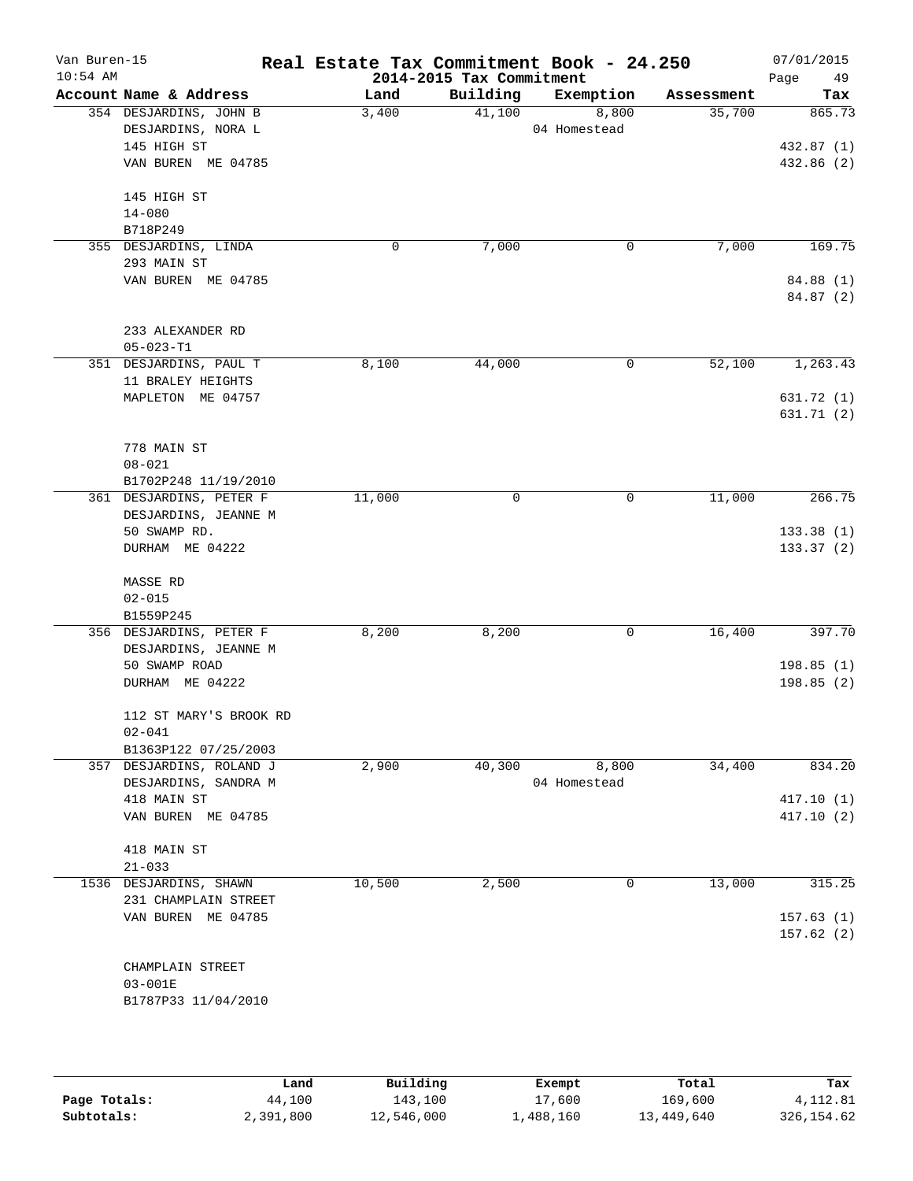| Van Buren-15<br>$10:54$ AM |                                                                  | Real Estate Tax Commitment Book - 24.250 | 2014-2015 Tax Commitment |                       |            | 07/01/2015<br>Page<br>49 |
|----------------------------|------------------------------------------------------------------|------------------------------------------|--------------------------|-----------------------|------------|--------------------------|
|                            | Account Name & Address                                           | Land                                     | Building                 | Exemption             | Assessment | Tax                      |
|                            | 354 DESJARDINS, JOHN B<br>DESJARDINS, NORA L<br>145 HIGH ST      | 3,400                                    | 41,100                   | 8,800<br>04 Homestead | 35,700     | 865.73<br>432.87 (1)     |
|                            | VAN BUREN ME 04785                                               |                                          |                          |                       |            | 432.86 (2)               |
|                            | 145 HIGH ST<br>$14 - 080$<br>B718P249                            |                                          |                          |                       |            |                          |
|                            | 355 DESJARDINS, LINDA<br>293 MAIN ST                             | 0                                        | 7,000                    | 0                     | 7,000      | 169.75                   |
|                            | VAN BUREN ME 04785                                               |                                          |                          |                       |            | 84.88 (1)<br>84.87 (2)   |
|                            | 233 ALEXANDER RD<br>$05 - 023 - T1$                              |                                          |                          |                       |            |                          |
|                            | 351 DESJARDINS, PAUL T<br>11 BRALEY HEIGHTS                      | 8,100                                    | 44,000                   | 0                     | 52,100     | 1, 263.43                |
|                            | MAPLETON ME 04757                                                |                                          |                          |                       |            | 631.72 (1)<br>631.71 (2) |
|                            | 778 MAIN ST<br>$08 - 021$                                        |                                          |                          |                       |            |                          |
|                            | B1702P248 11/19/2010<br>361 DESJARDINS, PETER F                  | 11,000                                   | 0                        | 0                     | 11,000     | 266.75                   |
|                            | DESJARDINS, JEANNE M<br>50 SWAMP RD.                             |                                          |                          |                       |            | 133.38(1)                |
|                            | DURHAM ME 04222                                                  |                                          |                          |                       |            | 133.37(2)                |
|                            | MASSE RD<br>$02 - 015$                                           |                                          |                          |                       |            |                          |
|                            | B1559P245                                                        |                                          |                          |                       |            |                          |
|                            | 356 DESJARDINS, PETER F<br>DESJARDINS, JEANNE M<br>50 SWAMP ROAD | 8,200                                    | 8,200                    | 0                     | 16,400     | 397.70<br>198.85(1)      |
|                            | DURHAM ME 04222                                                  |                                          |                          |                       |            | 198.85(2)                |
|                            | 112 ST MARY'S BROOK RD<br>$02 - 041$                             |                                          |                          |                       |            |                          |
|                            | B1363P122 07/25/2003                                             |                                          |                          |                       | 34,400     |                          |
|                            | 357 DESJARDINS, ROLAND J<br>DESJARDINS, SANDRA M                 | 2,900                                    | 40,300                   | 8,800<br>04 Homestead |            | 834.20                   |
|                            | 418 MAIN ST<br>VAN BUREN ME 04785                                |                                          |                          |                       |            | 417.10(1)<br>417.10(2)   |
|                            | 418 MAIN ST                                                      |                                          |                          |                       |            |                          |
|                            | $21 - 033$                                                       |                                          |                          |                       |            |                          |
|                            | 1536 DESJARDINS, SHAWN<br>231 CHAMPLAIN STREET                   | 10,500                                   | 2,500                    | 0                     | 13,000     | 315.25                   |
|                            | VAN BUREN ME 04785                                               |                                          |                          |                       |            | 157.63(1)<br>157.62(2)   |
|                            | CHAMPLAIN STREET<br>$03 - 001E$                                  |                                          |                          |                       |            |                          |
|                            | B1787P33 11/04/2010                                              |                                          |                          |                       |            |                          |
|                            |                                                                  |                                          |                          |                       |            |                          |

|              | Land      | Building   | Exempt    | Total      | Tax         |
|--------------|-----------|------------|-----------|------------|-------------|
| Page Totals: | 44,100    | 143,100    | 17,600    | 169,600    | 4,112.81    |
| Subtotals:   | 2,391,800 | 12,546,000 | ⊥,488,160 | 13,449,640 | 326, 154.62 |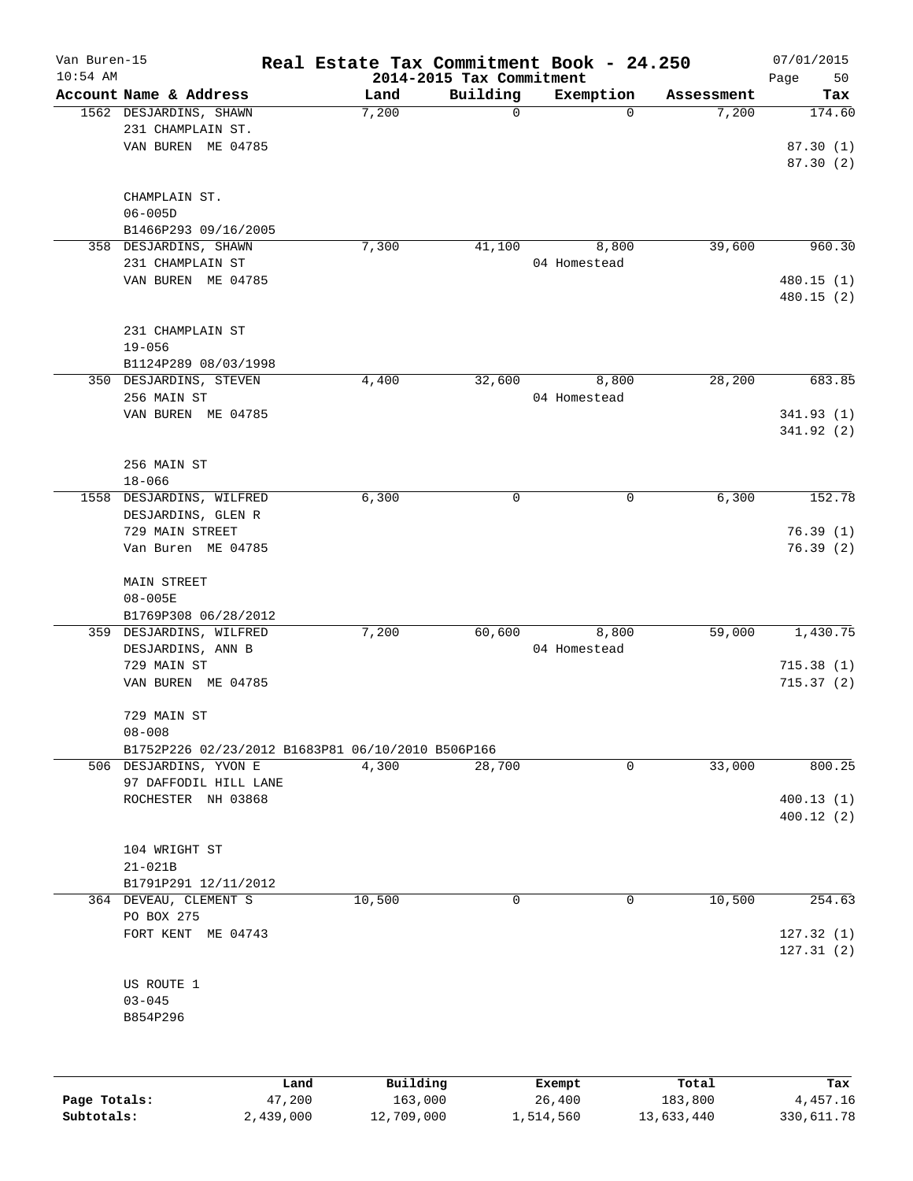| Van Buren-15 |                                                   |        |            |                                      | Real Estate Tax Commitment Book - 24.250 |                     | 07/01/2015    |
|--------------|---------------------------------------------------|--------|------------|--------------------------------------|------------------------------------------|---------------------|---------------|
| $10:54$ AM   | Account Name & Address                            |        | Land       | 2014-2015 Tax Commitment<br>Building | Exemption                                |                     | Page<br>50    |
|              | 1562 DESJARDINS, SHAWN                            |        | 7,200      | $\mathbf 0$                          | $\mathbf 0$                              | Assessment<br>7,200 | Tax<br>174.60 |
|              | 231 CHAMPLAIN ST.                                 |        |            |                                      |                                          |                     |               |
|              | VAN BUREN ME 04785                                |        |            |                                      |                                          |                     | 87.30(1)      |
|              |                                                   |        |            |                                      |                                          |                     | 87.30 (2)     |
|              |                                                   |        |            |                                      |                                          |                     |               |
|              | CHAMPLAIN ST.                                     |        |            |                                      |                                          |                     |               |
|              | $06 - 005D$                                       |        |            |                                      |                                          |                     |               |
|              | B1466P293 09/16/2005                              |        |            |                                      |                                          |                     |               |
|              | 358 DESJARDINS, SHAWN                             |        | 7,300      | 41,100                               | 8,800                                    | 39,600              | 960.30        |
|              | 231 CHAMPLAIN ST                                  |        |            |                                      | 04 Homestead                             |                     |               |
|              | VAN BUREN ME 04785                                |        |            |                                      |                                          |                     | 480.15 (1)    |
|              |                                                   |        |            |                                      |                                          |                     | 480.15 (2)    |
|              |                                                   |        |            |                                      |                                          |                     |               |
|              | 231 CHAMPLAIN ST                                  |        |            |                                      |                                          |                     |               |
|              | $19 - 056$                                        |        |            |                                      |                                          |                     |               |
|              | B1124P289 08/03/1998                              |        |            |                                      |                                          |                     |               |
|              | 350 DESJARDINS, STEVEN                            |        | 4,400      | 32,600                               | 8,800                                    | 28,200              | 683.85        |
|              | 256 MAIN ST                                       |        |            |                                      | 04 Homestead                             |                     |               |
|              | VAN BUREN ME 04785                                |        |            |                                      |                                          |                     | 341.93(1)     |
|              |                                                   |        |            |                                      |                                          |                     | 341.92 (2)    |
|              |                                                   |        |            |                                      |                                          |                     |               |
|              | 256 MAIN ST                                       |        |            |                                      |                                          |                     |               |
|              | $18 - 066$                                        |        |            |                                      |                                          |                     |               |
|              | 1558 DESJARDINS, WILFRED                          |        | 6,300      | 0                                    | 0                                        | 6,300               | 152.78        |
|              | DESJARDINS, GLEN R                                |        |            |                                      |                                          |                     |               |
|              | 729 MAIN STREET                                   |        |            |                                      |                                          |                     | 76.39(1)      |
|              | Van Buren ME 04785                                |        |            |                                      |                                          |                     | 76.39(2)      |
|              |                                                   |        |            |                                      |                                          |                     |               |
|              | <b>MAIN STREET</b>                                |        |            |                                      |                                          |                     |               |
|              | $08 - 005E$                                       |        |            |                                      |                                          |                     |               |
|              | B1769P308 06/28/2012                              |        |            |                                      |                                          |                     |               |
|              | 359 DESJARDINS, WILFRED                           |        | 7,200      | 60,600                               | 8,800                                    | 59,000              | 1,430.75      |
|              | DESJARDINS, ANN B                                 |        |            |                                      | 04 Homestead                             |                     |               |
|              | 729 MAIN ST                                       |        |            |                                      |                                          |                     | 715.38(1)     |
|              | VAN BUREN ME 04785                                |        |            |                                      |                                          |                     | 715.37(2)     |
|              |                                                   |        |            |                                      |                                          |                     |               |
|              | 729 MAIN ST                                       |        |            |                                      |                                          |                     |               |
|              | $08 - 008$                                        |        |            |                                      |                                          |                     |               |
|              | B1752P226 02/23/2012 B1683P81 06/10/2010 B506P166 |        |            |                                      |                                          |                     |               |
|              | 506 DESJARDINS, YVON E                            |        | 4,300      | 28,700                               | 0                                        | 33,000              | 800.25        |
|              | 97 DAFFODIL HILL LANE                             |        |            |                                      |                                          |                     |               |
|              | ROCHESTER NH 03868                                |        |            |                                      |                                          |                     | 400.13 (1)    |
|              |                                                   |        |            |                                      |                                          |                     | 400.12 (2)    |
|              |                                                   |        |            |                                      |                                          |                     |               |
|              | 104 WRIGHT ST                                     |        |            |                                      |                                          |                     |               |
|              | $21 - 021B$                                       |        |            |                                      |                                          |                     |               |
|              | B1791P291 12/11/2012                              |        |            |                                      |                                          |                     |               |
|              | 364 DEVEAU, CLEMENT S                             |        | 10,500     | 0                                    | 0                                        | 10,500              | 254.63        |
|              | PO BOX 275                                        |        |            |                                      |                                          |                     |               |
|              | FORT KENT ME 04743                                |        |            |                                      |                                          |                     | 127.32(1)     |
|              |                                                   |        |            |                                      |                                          |                     | 127.31(2)     |
|              |                                                   |        |            |                                      |                                          |                     |               |
|              | US ROUTE 1                                        |        |            |                                      |                                          |                     |               |
|              | $03 - 045$                                        |        |            |                                      |                                          |                     |               |
|              | B854P296                                          |        |            |                                      |                                          |                     |               |
|              |                                                   |        |            |                                      |                                          |                     |               |
|              |                                                   |        |            |                                      |                                          |                     |               |
|              |                                                   | Land   | Building   |                                      | Exempt                                   | Total               | Tax           |
| Page Totals: |                                                   | 47,200 | 163,000    |                                      | 26,400                                   | 183,800             | 4,457.16      |
| Subtotals:   | 2,439,000                                         |        | 12,709,000 |                                      | 1,514,560                                | 13,633,440          | 330,611.78    |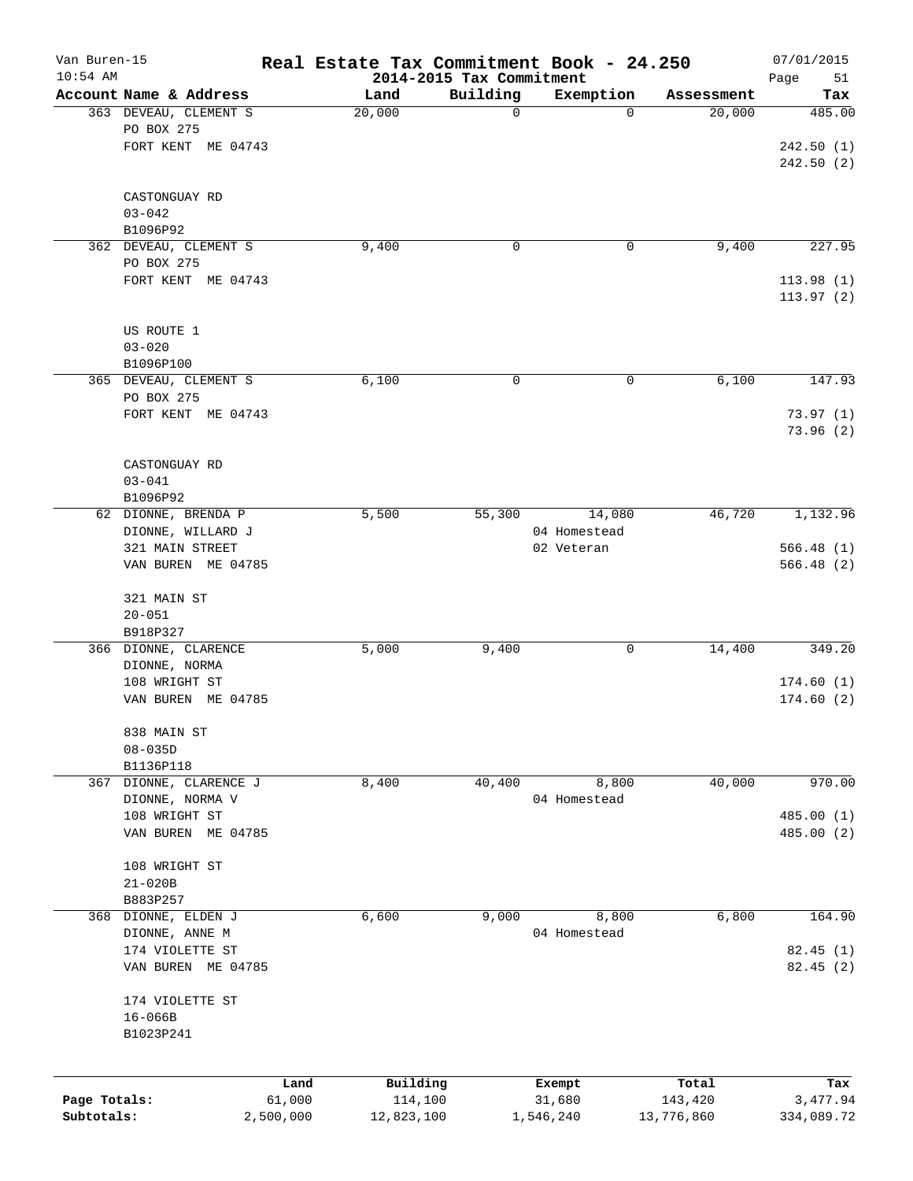| Van Buren-15<br>$10:54$ AM |                                     |           | Real Estate Tax Commitment Book - 24.250 | 2014-2015 Tax Commitment |              |            | 07/01/2015<br>Page<br>51 |
|----------------------------|-------------------------------------|-----------|------------------------------------------|--------------------------|--------------|------------|--------------------------|
|                            | Account Name & Address              |           | Land                                     | Building                 | Exemption    | Assessment | Tax                      |
|                            | 363 DEVEAU, CLEMENT S               |           | 20,000                                   | 0                        | $\Omega$     | 20,000     | 485.00                   |
|                            | PO BOX 275                          |           |                                          |                          |              |            |                          |
|                            | FORT KENT ME 04743                  |           |                                          |                          |              |            | 242.50(1)                |
|                            |                                     |           |                                          |                          |              |            | 242.50(2)                |
|                            |                                     |           |                                          |                          |              |            |                          |
|                            | CASTONGUAY RD                       |           |                                          |                          |              |            |                          |
|                            | $03 - 042$                          |           |                                          |                          |              |            |                          |
|                            | B1096P92                            |           | 9,400                                    | $\mathbf 0$              | 0            | 9,400      | 227.95                   |
|                            | 362 DEVEAU, CLEMENT S<br>PO BOX 275 |           |                                          |                          |              |            |                          |
|                            | FORT KENT ME 04743                  |           |                                          |                          |              |            | 113.98(1)                |
|                            |                                     |           |                                          |                          |              |            | 113.97(2)                |
|                            |                                     |           |                                          |                          |              |            |                          |
|                            | US ROUTE 1                          |           |                                          |                          |              |            |                          |
|                            | $03 - 020$                          |           |                                          |                          |              |            |                          |
|                            | B1096P100                           |           |                                          |                          |              |            |                          |
|                            | 365 DEVEAU, CLEMENT S               |           | 6,100                                    | 0                        | 0            | 6,100      | 147.93                   |
|                            | PO BOX 275                          |           |                                          |                          |              |            |                          |
|                            | FORT KENT ME 04743                  |           |                                          |                          |              |            | 73.97(1)                 |
|                            |                                     |           |                                          |                          |              |            | 73.96(2)                 |
|                            | CASTONGUAY RD                       |           |                                          |                          |              |            |                          |
|                            | $03 - 041$                          |           |                                          |                          |              |            |                          |
|                            | B1096P92                            |           |                                          |                          |              |            |                          |
|                            | 62 DIONNE, BRENDA P                 |           | 5,500                                    | 55,300                   | 14,080       | 46,720     | 1,132.96                 |
|                            | DIONNE, WILLARD J                   |           |                                          |                          | 04 Homestead |            |                          |
|                            | 321 MAIN STREET                     |           |                                          |                          | 02 Veteran   |            | 566.48(1)                |
|                            | VAN BUREN ME 04785                  |           |                                          |                          |              |            | 566.48 (2)               |
|                            |                                     |           |                                          |                          |              |            |                          |
|                            | 321 MAIN ST                         |           |                                          |                          |              |            |                          |
|                            | $20 - 051$                          |           |                                          |                          |              |            |                          |
|                            | B918P327                            |           |                                          |                          |              |            |                          |
|                            | 366 DIONNE, CLARENCE                |           | 5,000                                    | 9,400                    | 0            | 14,400     | 349.20                   |
|                            | DIONNE, NORMA<br>108 WRIGHT ST      |           |                                          |                          |              |            | 174.60(1)                |
|                            | VAN BUREN ME 04785                  |           |                                          |                          |              |            | 174.60(2)                |
|                            |                                     |           |                                          |                          |              |            |                          |
|                            | 838 MAIN ST                         |           |                                          |                          |              |            |                          |
|                            | $08 - 035D$                         |           |                                          |                          |              |            |                          |
|                            | B1136P118                           |           |                                          |                          |              |            |                          |
| 367                        | DIONNE, CLARENCE J                  |           | 8,400                                    | 40,400                   | 8,800        | 40,000     | 970.00                   |
|                            | DIONNE, NORMA V                     |           |                                          |                          | 04 Homestead |            |                          |
|                            | 108 WRIGHT ST                       |           |                                          |                          |              |            | 485.00(1)                |
|                            | VAN BUREN ME 04785                  |           |                                          |                          |              |            | 485.00 (2)               |
|                            |                                     |           |                                          |                          |              |            |                          |
|                            | 108 WRIGHT ST                       |           |                                          |                          |              |            |                          |
|                            | $21 - 020B$<br>B883P257             |           |                                          |                          |              |            |                          |
| 368                        | DIONNE, ELDEN J                     |           | 6,600                                    | 9,000                    | 8,800        | 6,800      | 164.90                   |
|                            | DIONNE, ANNE M                      |           |                                          |                          | 04 Homestead |            |                          |
|                            | 174 VIOLETTE ST                     |           |                                          |                          |              |            | 82.45(1)                 |
|                            | VAN BUREN ME 04785                  |           |                                          |                          |              |            | 82.45 (2)                |
|                            |                                     |           |                                          |                          |              |            |                          |
|                            | 174 VIOLETTE ST                     |           |                                          |                          |              |            |                          |
|                            | $16 - 066B$                         |           |                                          |                          |              |            |                          |
|                            | B1023P241                           |           |                                          |                          |              |            |                          |
|                            |                                     |           |                                          |                          |              |            |                          |
|                            |                                     | Land      | Building                                 |                          | Exempt       | Total      | Tax                      |
| Page Totals:               |                                     | 61,000    | 114,100                                  |                          | 31,680       | 143,420    | 3,477.94                 |
| Subtotals:                 |                                     | 2,500,000 | 12,823,100                               |                          | 1,546,240    | 13,776,860 | 334,089.72               |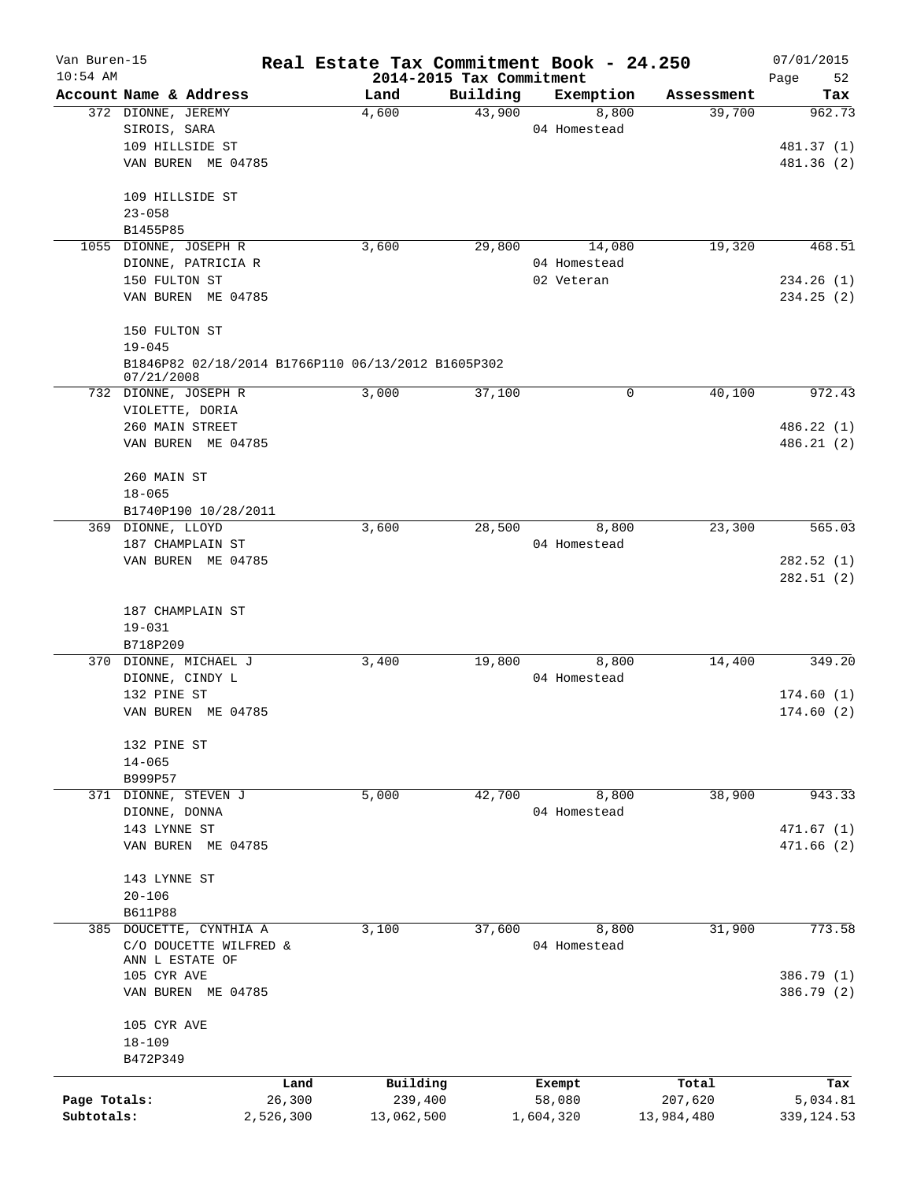| Van Buren-15 |                         |           | Real Estate Tax Commitment Book - 24.250           |          |              |            | 07/01/2015        |
|--------------|-------------------------|-----------|----------------------------------------------------|----------|--------------|------------|-------------------|
| $10:54$ AM   | Account Name & Address  |           | 2014-2015 Tax Commitment<br>Land                   | Building | Exemption    | Assessment | Page<br>52<br>Tax |
|              | 372 DIONNE, JEREMY      |           | 4,600                                              | 43,900   | 8,800        | 39,700     | 962.73            |
|              | SIROIS, SARA            |           |                                                    |          | 04 Homestead |            |                   |
|              | 109 HILLSIDE ST         |           |                                                    |          |              |            | 481.37 (1)        |
|              | VAN BUREN ME 04785      |           |                                                    |          |              |            | 481.36 (2)        |
|              |                         |           |                                                    |          |              |            |                   |
|              | 109 HILLSIDE ST         |           |                                                    |          |              |            |                   |
|              | $23 - 058$              |           |                                                    |          |              |            |                   |
|              | B1455P85                |           |                                                    |          |              |            |                   |
|              | 1055 DIONNE, JOSEPH R   |           | 3,600                                              | 29,800   | 14,080       | 19,320     | 468.51            |
|              | DIONNE, PATRICIA R      |           |                                                    |          | 04 Homestead |            |                   |
|              | 150 FULTON ST           |           |                                                    |          | 02 Veteran   |            | 234.26(1)         |
|              | VAN BUREN ME 04785      |           |                                                    |          |              |            | 234.25(2)         |
|              | 150 FULTON ST           |           |                                                    |          |              |            |                   |
|              | $19 - 045$              |           |                                                    |          |              |            |                   |
|              | 07/21/2008              |           | B1846P82 02/18/2014 B1766P110 06/13/2012 B1605P302 |          |              |            |                   |
|              | 732 DIONNE, JOSEPH R    |           | 3,000                                              | 37,100   | 0            | 40,100     | 972.43            |
|              | VIOLETTE, DORIA         |           |                                                    |          |              |            |                   |
|              | 260 MAIN STREET         |           |                                                    |          |              |            | 486.22 (1)        |
|              | VAN BUREN ME 04785      |           |                                                    |          |              |            | 486.21(2)         |
|              | 260 MAIN ST             |           |                                                    |          |              |            |                   |
|              | $18 - 065$              |           |                                                    |          |              |            |                   |
|              | B1740P190 10/28/2011    |           |                                                    |          |              |            |                   |
|              | 369 DIONNE, LLOYD       |           | 3,600                                              | 28,500   | 8,800        | 23,300     | 565.03            |
|              | 187 CHAMPLAIN ST        |           |                                                    |          | 04 Homestead |            |                   |
|              | VAN BUREN ME 04785      |           |                                                    |          |              |            | 282.52(1)         |
|              |                         |           |                                                    |          |              |            | 282.51(2)         |
|              | 187 CHAMPLAIN ST        |           |                                                    |          |              |            |                   |
|              | $19 - 031$              |           |                                                    |          |              |            |                   |
|              | B718P209                |           |                                                    |          |              |            |                   |
|              | 370 DIONNE, MICHAEL J   |           | 3,400                                              | 19,800   | 8,800        | 14,400     | 349.20            |
|              | DIONNE, CINDY L         |           |                                                    |          | 04 Homestead |            |                   |
|              | 132 PINE ST             |           |                                                    |          |              |            | 174.60(1)         |
|              | VAN BUREN ME 04785      |           |                                                    |          |              |            | 174.60(2)         |
|              | 132 PINE ST             |           |                                                    |          |              |            |                   |
|              | $14 - 065$              |           |                                                    |          |              |            |                   |
|              | B999P57                 |           |                                                    |          |              |            |                   |
|              | 371 DIONNE, STEVEN J    |           | 5,000                                              | 42,700   | 8,800        | 38,900     | 943.33            |
|              | DIONNE, DONNA           |           |                                                    |          | 04 Homestead |            |                   |
|              | 143 LYNNE ST            |           |                                                    |          |              |            | 471.67(1)         |
|              | VAN BUREN ME 04785      |           |                                                    |          |              |            | 471.66(2)         |
|              | 143 LYNNE ST            |           |                                                    |          |              |            |                   |
|              | $20 - 106$              |           |                                                    |          |              |            |                   |
|              | <b>B611P88</b>          |           |                                                    |          |              |            |                   |
|              | 385 DOUCETTE, CYNTHIA A |           | 3,100                                              | 37,600   | 8,800        | 31,900     | 773.58            |
|              | C/O DOUCETTE WILFRED &  |           |                                                    |          | 04 Homestead |            |                   |
|              | ANN L ESTATE OF         |           |                                                    |          |              |            |                   |
|              | 105 CYR AVE             |           |                                                    |          |              |            | 386.79 (1)        |
|              | VAN BUREN ME 04785      |           |                                                    |          |              |            | 386.79 (2)        |
|              | 105 CYR AVE             |           |                                                    |          |              |            |                   |
|              | $18 - 109$              |           |                                                    |          |              |            |                   |
|              | B472P349                |           |                                                    |          |              |            |                   |
|              |                         | Land      | Building                                           |          | Exempt       | Total      | Tax               |
| Page Totals: |                         | 26,300    | 239,400                                            |          | 58,080       | 207,620    | 5,034.81          |
| Subtotals:   |                         | 2,526,300 | 13,062,500                                         |          | 1,604,320    | 13,984,480 | 339, 124.53       |
|              |                         |           |                                                    |          |              |            |                   |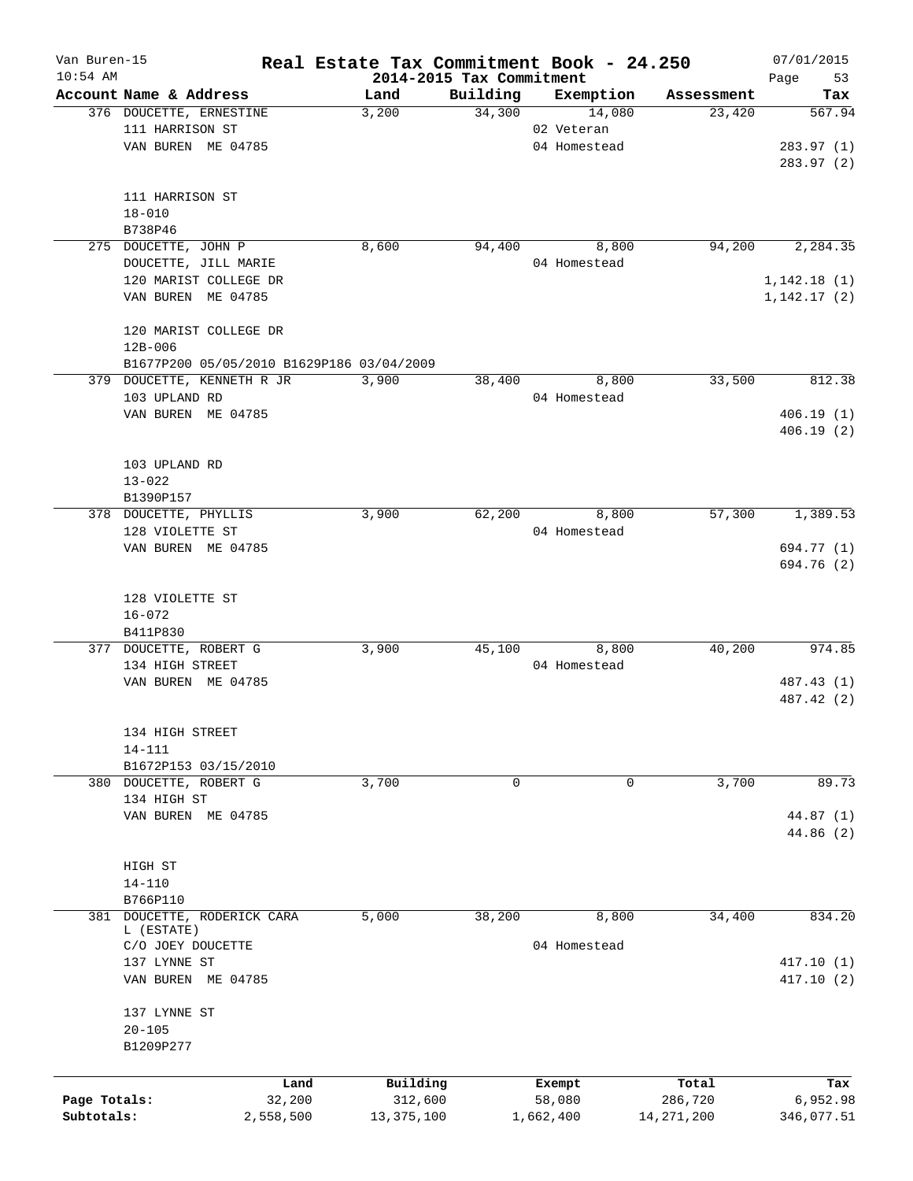| $10:54$ AM<br>2014-2015 Tax Commitment<br>Page<br>Account Name & Address<br>Building<br>Exemption<br>Land<br>Assessment<br>376 DOUCETTE, ERNESTINE<br>34,300<br>3,200<br>14,080<br>23,420<br>567.94<br>111 HARRISON ST<br>02 Veteran<br>VAN BUREN ME 04785<br>04 Homestead<br>283.97(1)<br>283.97 (2)<br>111 HARRISON ST<br>$18 - 010$<br>B738P46<br>275 DOUCETTE, JOHN P<br>94,200<br>2,284.35<br>8,600<br>94,400<br>8,800<br>DOUCETTE, JILL MARIE<br>04 Homestead<br>120 MARIST COLLEGE DR<br>1,142.18(1)<br>VAN BUREN ME 04785<br>1, 142.17(2)<br>120 MARIST COLLEGE DR<br>$12B - 006$<br>B1677P200 05/05/2010 B1629P186 03/04/2009<br>379 DOUCETTE, KENNETH R JR<br>33,500<br>812.38<br>3,900<br>38,400<br>8,800<br>103 UPLAND RD<br>04 Homestead<br>VAN BUREN ME 04785<br>406.19(1)<br>406.19(2)<br>103 UPLAND RD<br>$13 - 022$<br>B1390P157<br>378 DOUCETTE, PHYLLIS<br>3,900<br>62,200<br>8,800<br>57,300<br>1,389.53<br>128 VIOLETTE ST<br>04 Homestead<br>VAN BUREN ME 04785<br>694.77 (1)<br>694.76 (2)<br>128 VIOLETTE ST<br>$16 - 072$<br>B411P830 |
|----------------------------------------------------------------------------------------------------------------------------------------------------------------------------------------------------------------------------------------------------------------------------------------------------------------------------------------------------------------------------------------------------------------------------------------------------------------------------------------------------------------------------------------------------------------------------------------------------------------------------------------------------------------------------------------------------------------------------------------------------------------------------------------------------------------------------------------------------------------------------------------------------------------------------------------------------------------------------------------------------------------------------------------------------------------|
|                                                                                                                                                                                                                                                                                                                                                                                                                                                                                                                                                                                                                                                                                                                                                                                                                                                                                                                                                                                                                                                                |
|                                                                                                                                                                                                                                                                                                                                                                                                                                                                                                                                                                                                                                                                                                                                                                                                                                                                                                                                                                                                                                                                |
|                                                                                                                                                                                                                                                                                                                                                                                                                                                                                                                                                                                                                                                                                                                                                                                                                                                                                                                                                                                                                                                                |
|                                                                                                                                                                                                                                                                                                                                                                                                                                                                                                                                                                                                                                                                                                                                                                                                                                                                                                                                                                                                                                                                |
|                                                                                                                                                                                                                                                                                                                                                                                                                                                                                                                                                                                                                                                                                                                                                                                                                                                                                                                                                                                                                                                                |
|                                                                                                                                                                                                                                                                                                                                                                                                                                                                                                                                                                                                                                                                                                                                                                                                                                                                                                                                                                                                                                                                |
|                                                                                                                                                                                                                                                                                                                                                                                                                                                                                                                                                                                                                                                                                                                                                                                                                                                                                                                                                                                                                                                                |
|                                                                                                                                                                                                                                                                                                                                                                                                                                                                                                                                                                                                                                                                                                                                                                                                                                                                                                                                                                                                                                                                |
|                                                                                                                                                                                                                                                                                                                                                                                                                                                                                                                                                                                                                                                                                                                                                                                                                                                                                                                                                                                                                                                                |
|                                                                                                                                                                                                                                                                                                                                                                                                                                                                                                                                                                                                                                                                                                                                                                                                                                                                                                                                                                                                                                                                |
|                                                                                                                                                                                                                                                                                                                                                                                                                                                                                                                                                                                                                                                                                                                                                                                                                                                                                                                                                                                                                                                                |
|                                                                                                                                                                                                                                                                                                                                                                                                                                                                                                                                                                                                                                                                                                                                                                                                                                                                                                                                                                                                                                                                |
|                                                                                                                                                                                                                                                                                                                                                                                                                                                                                                                                                                                                                                                                                                                                                                                                                                                                                                                                                                                                                                                                |
|                                                                                                                                                                                                                                                                                                                                                                                                                                                                                                                                                                                                                                                                                                                                                                                                                                                                                                                                                                                                                                                                |
|                                                                                                                                                                                                                                                                                                                                                                                                                                                                                                                                                                                                                                                                                                                                                                                                                                                                                                                                                                                                                                                                |
|                                                                                                                                                                                                                                                                                                                                                                                                                                                                                                                                                                                                                                                                                                                                                                                                                                                                                                                                                                                                                                                                |
|                                                                                                                                                                                                                                                                                                                                                                                                                                                                                                                                                                                                                                                                                                                                                                                                                                                                                                                                                                                                                                                                |
|                                                                                                                                                                                                                                                                                                                                                                                                                                                                                                                                                                                                                                                                                                                                                                                                                                                                                                                                                                                                                                                                |
|                                                                                                                                                                                                                                                                                                                                                                                                                                                                                                                                                                                                                                                                                                                                                                                                                                                                                                                                                                                                                                                                |
|                                                                                                                                                                                                                                                                                                                                                                                                                                                                                                                                                                                                                                                                                                                                                                                                                                                                                                                                                                                                                                                                |
|                                                                                                                                                                                                                                                                                                                                                                                                                                                                                                                                                                                                                                                                                                                                                                                                                                                                                                                                                                                                                                                                |
|                                                                                                                                                                                                                                                                                                                                                                                                                                                                                                                                                                                                                                                                                                                                                                                                                                                                                                                                                                                                                                                                |
|                                                                                                                                                                                                                                                                                                                                                                                                                                                                                                                                                                                                                                                                                                                                                                                                                                                                                                                                                                                                                                                                |
|                                                                                                                                                                                                                                                                                                                                                                                                                                                                                                                                                                                                                                                                                                                                                                                                                                                                                                                                                                                                                                                                |
|                                                                                                                                                                                                                                                                                                                                                                                                                                                                                                                                                                                                                                                                                                                                                                                                                                                                                                                                                                                                                                                                |
|                                                                                                                                                                                                                                                                                                                                                                                                                                                                                                                                                                                                                                                                                                                                                                                                                                                                                                                                                                                                                                                                |
|                                                                                                                                                                                                                                                                                                                                                                                                                                                                                                                                                                                                                                                                                                                                                                                                                                                                                                                                                                                                                                                                |
|                                                                                                                                                                                                                                                                                                                                                                                                                                                                                                                                                                                                                                                                                                                                                                                                                                                                                                                                                                                                                                                                |
|                                                                                                                                                                                                                                                                                                                                                                                                                                                                                                                                                                                                                                                                                                                                                                                                                                                                                                                                                                                                                                                                |
|                                                                                                                                                                                                                                                                                                                                                                                                                                                                                                                                                                                                                                                                                                                                                                                                                                                                                                                                                                                                                                                                |
|                                                                                                                                                                                                                                                                                                                                                                                                                                                                                                                                                                                                                                                                                                                                                                                                                                                                                                                                                                                                                                                                |
|                                                                                                                                                                                                                                                                                                                                                                                                                                                                                                                                                                                                                                                                                                                                                                                                                                                                                                                                                                                                                                                                |
| 377 DOUCETTE, ROBERT G<br>40,200<br>974.85<br>3,900<br>45,100<br>8,800                                                                                                                                                                                                                                                                                                                                                                                                                                                                                                                                                                                                                                                                                                                                                                                                                                                                                                                                                                                         |
| 04 Homestead<br>134 HIGH STREET                                                                                                                                                                                                                                                                                                                                                                                                                                                                                                                                                                                                                                                                                                                                                                                                                                                                                                                                                                                                                                |
| VAN BUREN ME 04785<br>487.43 (1)                                                                                                                                                                                                                                                                                                                                                                                                                                                                                                                                                                                                                                                                                                                                                                                                                                                                                                                                                                                                                               |
| 487.42 (2)                                                                                                                                                                                                                                                                                                                                                                                                                                                                                                                                                                                                                                                                                                                                                                                                                                                                                                                                                                                                                                                     |
|                                                                                                                                                                                                                                                                                                                                                                                                                                                                                                                                                                                                                                                                                                                                                                                                                                                                                                                                                                                                                                                                |
| 134 HIGH STREET                                                                                                                                                                                                                                                                                                                                                                                                                                                                                                                                                                                                                                                                                                                                                                                                                                                                                                                                                                                                                                                |
| 14-111                                                                                                                                                                                                                                                                                                                                                                                                                                                                                                                                                                                                                                                                                                                                                                                                                                                                                                                                                                                                                                                         |
| B1672P153 03/15/2010                                                                                                                                                                                                                                                                                                                                                                                                                                                                                                                                                                                                                                                                                                                                                                                                                                                                                                                                                                                                                                           |
| 3,700<br>3,700<br>380 DOUCETTE, ROBERT G<br>0<br>0                                                                                                                                                                                                                                                                                                                                                                                                                                                                                                                                                                                                                                                                                                                                                                                                                                                                                                                                                                                                             |
| 134 HIGH ST                                                                                                                                                                                                                                                                                                                                                                                                                                                                                                                                                                                                                                                                                                                                                                                                                                                                                                                                                                                                                                                    |
| VAN BUREN ME 04785<br>44.87 (1)                                                                                                                                                                                                                                                                                                                                                                                                                                                                                                                                                                                                                                                                                                                                                                                                                                                                                                                                                                                                                                |
| 44.86 (2)                                                                                                                                                                                                                                                                                                                                                                                                                                                                                                                                                                                                                                                                                                                                                                                                                                                                                                                                                                                                                                                      |
| HIGH ST                                                                                                                                                                                                                                                                                                                                                                                                                                                                                                                                                                                                                                                                                                                                                                                                                                                                                                                                                                                                                                                        |
| $14 - 110$                                                                                                                                                                                                                                                                                                                                                                                                                                                                                                                                                                                                                                                                                                                                                                                                                                                                                                                                                                                                                                                     |
| B766P110                                                                                                                                                                                                                                                                                                                                                                                                                                                                                                                                                                                                                                                                                                                                                                                                                                                                                                                                                                                                                                                       |
| 38,200<br>34,400<br>381 DOUCETTE, RODERICK CARA<br>5,000<br>8,800<br>834.20                                                                                                                                                                                                                                                                                                                                                                                                                                                                                                                                                                                                                                                                                                                                                                                                                                                                                                                                                                                    |
| L (ESTATE)<br>C/O JOEY DOUCETTE<br>04 Homestead                                                                                                                                                                                                                                                                                                                                                                                                                                                                                                                                                                                                                                                                                                                                                                                                                                                                                                                                                                                                                |
| 137 LYNNE ST<br>417.10(1)                                                                                                                                                                                                                                                                                                                                                                                                                                                                                                                                                                                                                                                                                                                                                                                                                                                                                                                                                                                                                                      |
| VAN BUREN ME 04785<br>417.10(2)                                                                                                                                                                                                                                                                                                                                                                                                                                                                                                                                                                                                                                                                                                                                                                                                                                                                                                                                                                                                                                |
|                                                                                                                                                                                                                                                                                                                                                                                                                                                                                                                                                                                                                                                                                                                                                                                                                                                                                                                                                                                                                                                                |
| 137 LYNNE ST                                                                                                                                                                                                                                                                                                                                                                                                                                                                                                                                                                                                                                                                                                                                                                                                                                                                                                                                                                                                                                                   |
| $20 - 105$                                                                                                                                                                                                                                                                                                                                                                                                                                                                                                                                                                                                                                                                                                                                                                                                                                                                                                                                                                                                                                                     |
| B1209P277                                                                                                                                                                                                                                                                                                                                                                                                                                                                                                                                                                                                                                                                                                                                                                                                                                                                                                                                                                                                                                                      |
|                                                                                                                                                                                                                                                                                                                                                                                                                                                                                                                                                                                                                                                                                                                                                                                                                                                                                                                                                                                                                                                                |
| Building<br>Total<br>Land<br>Exempt                                                                                                                                                                                                                                                                                                                                                                                                                                                                                                                                                                                                                                                                                                                                                                                                                                                                                                                                                                                                                            |
| Page Totals:<br>32,200<br>312,600<br>58,080<br>286,720<br>6,952.98                                                                                                                                                                                                                                                                                                                                                                                                                                                                                                                                                                                                                                                                                                                                                                                                                                                                                                                                                                                             |
| Subtotals:<br>2,558,500<br>13, 375, 100<br>1,662,400<br>14, 271, 200<br>346,077.51                                                                                                                                                                                                                                                                                                                                                                                                                                                                                                                                                                                                                                                                                                                                                                                                                                                                                                                                                                             |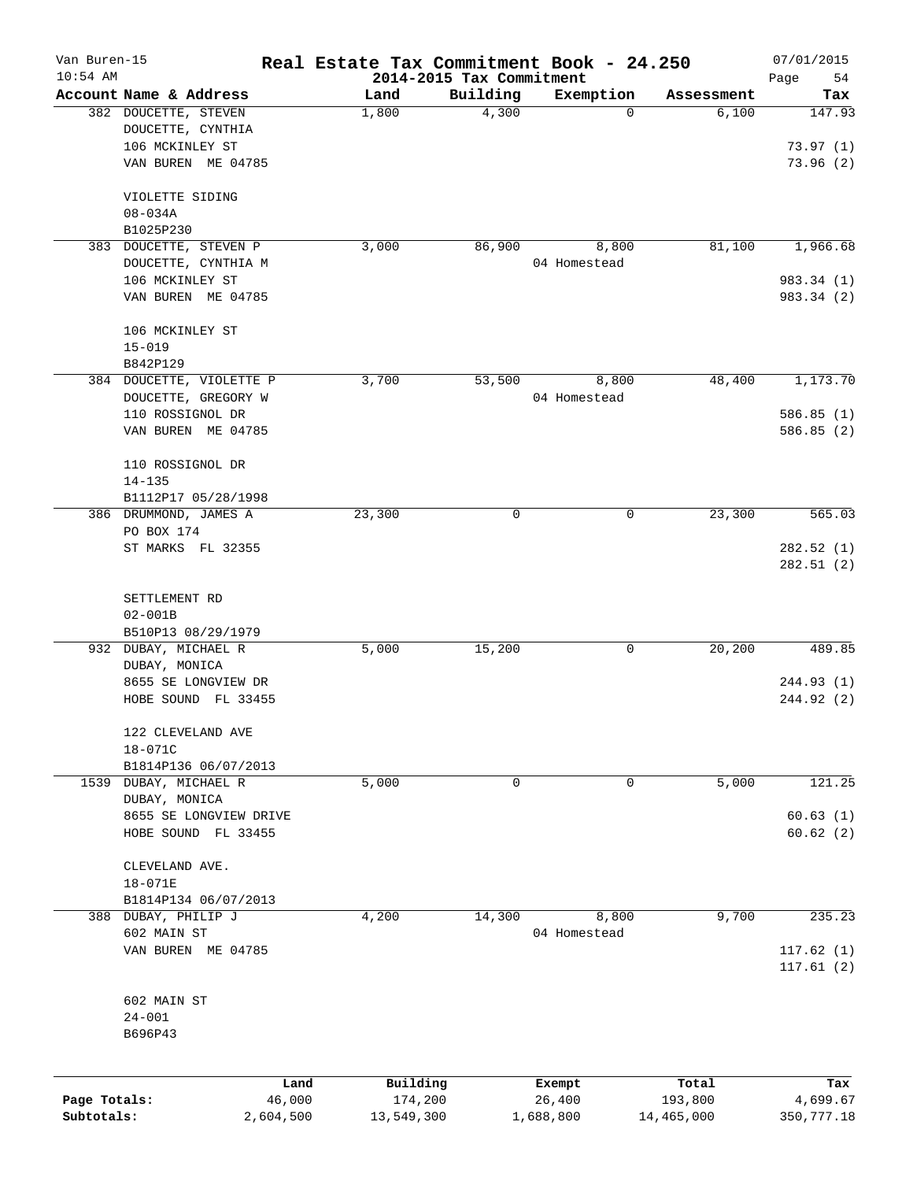| Van Buren-15<br>$10:54$ AM |                                       |        |            |                                      | Real Estate Tax Commitment Book - 24.250 |            | 07/01/2015               |
|----------------------------|---------------------------------------|--------|------------|--------------------------------------|------------------------------------------|------------|--------------------------|
|                            | Account Name & Address                |        | Land       | 2014-2015 Tax Commitment<br>Building | Exemption                                | Assessment | Page<br>54<br>Tax        |
|                            | 382 DOUCETTE, STEVEN                  |        | 1,800      | 4,300                                | $\Omega$                                 | 6,100      | 147.93                   |
|                            | DOUCETTE, CYNTHIA                     |        |            |                                      |                                          |            |                          |
|                            | 106 MCKINLEY ST                       |        |            |                                      |                                          |            | 73.97(1)                 |
|                            | VAN BUREN ME 04785                    |        |            |                                      |                                          |            | 73.96(2)                 |
|                            |                                       |        |            |                                      |                                          |            |                          |
|                            | VIOLETTE SIDING                       |        |            |                                      |                                          |            |                          |
|                            | $08 - 034A$                           |        |            |                                      |                                          |            |                          |
|                            | B1025P230                             |        |            |                                      |                                          |            |                          |
|                            | 383 DOUCETTE, STEVEN P                |        | 3,000      | 86,900                               | 8,800                                    | 81,100     | 1,966.68                 |
|                            | DOUCETTE, CYNTHIA M                   |        |            |                                      | 04 Homestead                             |            |                          |
|                            | 106 MCKINLEY ST<br>VAN BUREN ME 04785 |        |            |                                      |                                          |            | 983.34 (1)<br>983.34 (2) |
|                            |                                       |        |            |                                      |                                          |            |                          |
|                            | 106 MCKINLEY ST                       |        |            |                                      |                                          |            |                          |
|                            | $15 - 019$                            |        |            |                                      |                                          |            |                          |
|                            | B842P129                              |        |            |                                      |                                          |            |                          |
|                            | 384 DOUCETTE, VIOLETTE P              |        | 3,700      | 53,500                               | 8,800                                    | 48,400     | 1,173.70                 |
|                            | DOUCETTE, GREGORY W                   |        |            |                                      | 04 Homestead                             |            |                          |
|                            | 110 ROSSIGNOL DR                      |        |            |                                      |                                          |            | 586.85(1)                |
|                            | VAN BUREN ME 04785                    |        |            |                                      |                                          |            | 586.85(2)                |
|                            | 110 ROSSIGNOL DR                      |        |            |                                      |                                          |            |                          |
|                            | $14 - 135$                            |        |            |                                      |                                          |            |                          |
|                            | B1112P17 05/28/1998                   |        |            |                                      |                                          |            |                          |
|                            | 386 DRUMMOND, JAMES A                 |        | 23,300     | 0                                    | 0                                        | 23,300     | 565.03                   |
|                            | PO BOX 174                            |        |            |                                      |                                          |            |                          |
|                            | ST MARKS FL 32355                     |        |            |                                      |                                          |            | 282.52(1)                |
|                            |                                       |        |            |                                      |                                          |            | 282.51(2)                |
|                            | SETTLEMENT RD                         |        |            |                                      |                                          |            |                          |
|                            | $02 - 001B$                           |        |            |                                      |                                          |            |                          |
|                            | B510P13 08/29/1979                    |        |            |                                      |                                          |            |                          |
|                            | 932 DUBAY, MICHAEL R                  |        | 5,000      | 15,200                               | 0                                        | 20,200     | 489.85                   |
|                            | DUBAY, MONICA                         |        |            |                                      |                                          |            |                          |
|                            | 8655 SE LONGVIEW DR                   |        |            |                                      |                                          |            | 244.93(1)                |
|                            | HOBE SOUND FL 33455                   |        |            |                                      |                                          |            | 244.92 (2)               |
|                            | 122 CLEVELAND AVE                     |        |            |                                      |                                          |            |                          |
|                            | $18 - 071C$                           |        |            |                                      |                                          |            |                          |
|                            | B1814P136 06/07/2013                  |        |            |                                      |                                          |            |                          |
|                            | 1539 DUBAY, MICHAEL R                 |        | 5,000      | 0                                    | 0                                        | 5,000      | 121.25                   |
|                            | DUBAY, MONICA                         |        |            |                                      |                                          |            |                          |
|                            | 8655 SE LONGVIEW DRIVE                |        |            |                                      |                                          |            | 60.63(1)                 |
|                            | HOBE SOUND FL 33455                   |        |            |                                      |                                          |            | 60.62(2)                 |
|                            | CLEVELAND AVE.                        |        |            |                                      |                                          |            |                          |
|                            | $18 - 071E$                           |        |            |                                      |                                          |            |                          |
|                            | B1814P134 06/07/2013                  |        |            |                                      |                                          |            |                          |
|                            | 388 DUBAY, PHILIP J                   |        | 4,200      | 14,300                               | 8,800                                    | 9,700      | 235.23                   |
|                            | 602 MAIN ST                           |        |            |                                      | 04 Homestead                             |            |                          |
|                            | VAN BUREN ME 04785                    |        |            |                                      |                                          |            | 117.62(1)                |
|                            |                                       |        |            |                                      |                                          |            | 117.61(2)                |
|                            |                                       |        |            |                                      |                                          |            |                          |
|                            | 602 MAIN ST<br>$24 - 001$             |        |            |                                      |                                          |            |                          |
|                            | B696P43                               |        |            |                                      |                                          |            |                          |
|                            |                                       |        |            |                                      |                                          |            |                          |
|                            |                                       | Land   | Building   |                                      | Exempt                                   | Total      | Tax                      |
| Page Totals:               |                                       | 46,000 | 174,200    |                                      | 26,400                                   | 193,800    | 4,699.67                 |
| Subtotals:                 | 2,604,500                             |        | 13,549,300 |                                      | 1,688,800                                | 14,465,000 | 350, 777.18              |
|                            |                                       |        |            |                                      |                                          |            |                          |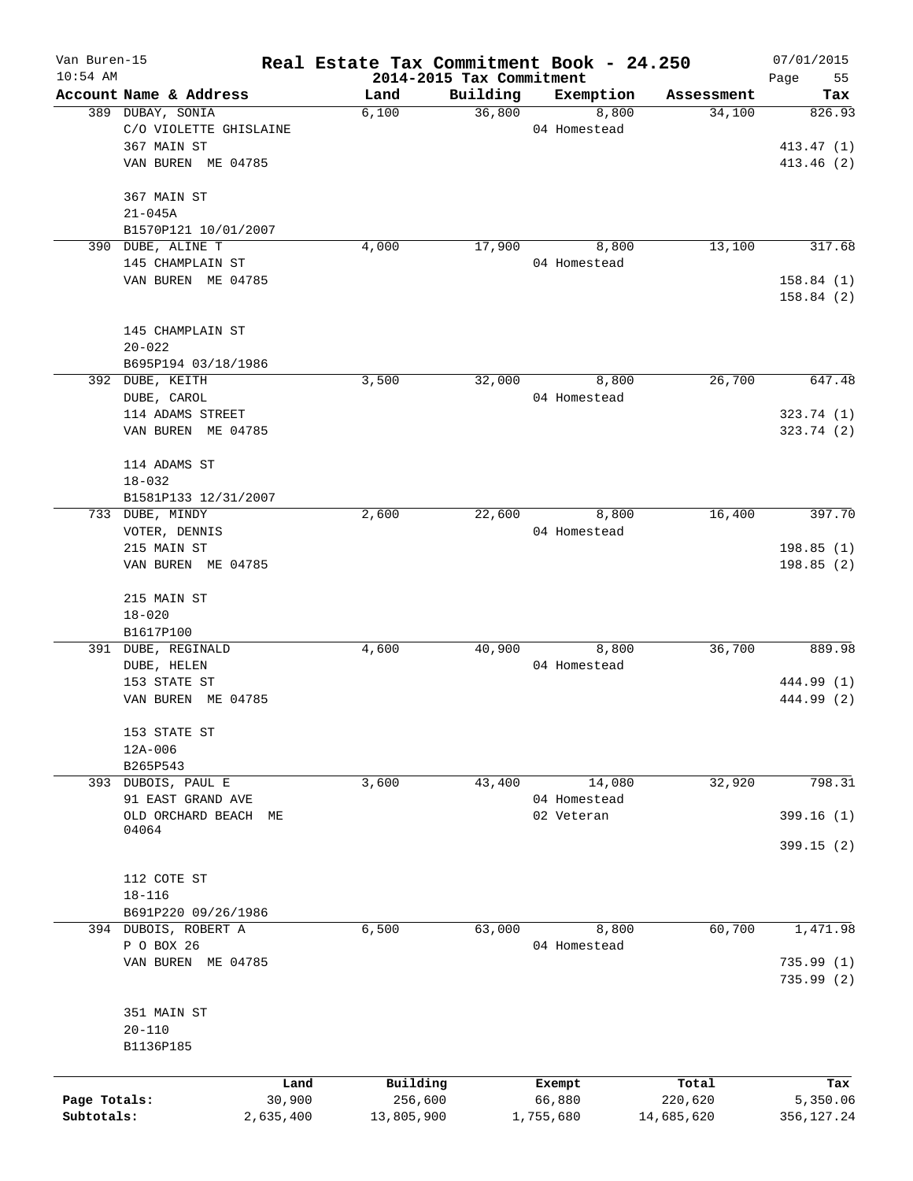| Van Buren-15<br>$10:54$ AM |                                         | Real Estate Tax Commitment Book - 24.250 | 2014-2015 Tax Commitment |              |            | 07/01/2015<br>Page<br>55 |
|----------------------------|-----------------------------------------|------------------------------------------|--------------------------|--------------|------------|--------------------------|
|                            | Account Name & Address                  | Land                                     | Building                 | Exemption    | Assessment | Tax                      |
|                            | 389 DUBAY, SONIA                        | 6,100                                    | 36,800                   | 8,800        | 34,100     | 826.93                   |
|                            | C/O VIOLETTE GHISLAINE                  |                                          |                          | 04 Homestead |            |                          |
|                            | 367 MAIN ST                             |                                          |                          |              |            | 413.47 (1)               |
|                            | VAN BUREN ME 04785                      |                                          |                          |              |            | 413.46(2)                |
|                            | 367 MAIN ST                             |                                          |                          |              |            |                          |
|                            | $21 - 045A$                             |                                          |                          |              |            |                          |
|                            | B1570P121 10/01/2007                    |                                          |                          |              |            |                          |
|                            | 390 DUBE, ALINE T                       | 4,000                                    | 17,900                   | 8,800        | 13,100     | 317.68                   |
|                            | 145 CHAMPLAIN ST                        |                                          |                          | 04 Homestead |            |                          |
|                            | VAN BUREN ME 04785                      |                                          |                          |              |            | 158.84(1)<br>158.84(2)   |
|                            |                                         |                                          |                          |              |            |                          |
|                            | 145 CHAMPLAIN ST                        |                                          |                          |              |            |                          |
|                            | $20 - 022$                              |                                          |                          |              |            |                          |
|                            | B695P194 03/18/1986                     |                                          |                          |              |            |                          |
|                            | 392 DUBE, KEITH                         | 3,500                                    | 32,000                   | 8,800        | 26,700     | 647.48                   |
|                            | DUBE, CAROL                             |                                          |                          | 04 Homestead |            |                          |
|                            | 114 ADAMS STREET                        |                                          |                          |              |            | 323.74 (1)               |
|                            | VAN BUREN ME 04785                      |                                          |                          |              |            | 323.74(2)                |
|                            | 114 ADAMS ST                            |                                          |                          |              |            |                          |
|                            | $18 - 032$                              |                                          |                          |              |            |                          |
|                            | B1581P133 12/31/2007<br>733 DUBE, MINDY | 2,600                                    |                          |              | 16,400     | 397.70                   |
|                            |                                         |                                          | 22,600                   | 8,800        |            |                          |
|                            | VOTER, DENNIS                           |                                          |                          | 04 Homestead |            |                          |
|                            | 215 MAIN ST                             |                                          |                          |              |            | 198.85(1)                |
|                            | VAN BUREN ME 04785                      |                                          |                          |              |            | 198.85(2)                |
|                            | 215 MAIN ST                             |                                          |                          |              |            |                          |
|                            | $18 - 020$                              |                                          |                          |              |            |                          |
|                            | B1617P100                               |                                          |                          |              |            |                          |
|                            | 391 DUBE, REGINALD                      | 4,600                                    | 40,900                   | 8,800        | 36,700     | 889.98                   |
|                            | DUBE, HELEN                             |                                          |                          | 04 Homestead |            |                          |
|                            | 153 STATE ST                            |                                          |                          |              |            | 444.99 (1)               |
|                            | VAN BUREN ME 04785                      |                                          |                          |              |            | 444.99 (2)               |
|                            | 153 STATE ST                            |                                          |                          |              |            |                          |
|                            | 12A-006                                 |                                          |                          |              |            |                          |
|                            | B265P543                                |                                          |                          |              |            |                          |
|                            | 393 DUBOIS, PAUL E                      | 3,600                                    | 43,400                   | 14,080       | 32,920     | 798.31                   |
|                            | 91 EAST GRAND AVE                       |                                          |                          | 04 Homestead |            |                          |
|                            | OLD ORCHARD BEACH ME<br>04064           |                                          |                          | 02 Veteran   |            | 399.16(1)                |
|                            |                                         |                                          |                          |              |            | 399.15(2)                |
|                            | 112 COTE ST                             |                                          |                          |              |            |                          |
|                            | $18 - 116$                              |                                          |                          |              |            |                          |
|                            | B691P220 09/26/1986                     |                                          |                          |              |            |                          |
|                            | 394 DUBOIS, ROBERT A                    | 6,500                                    | 63,000                   | 8,800        | 60,700     | 1,471.98                 |
|                            | P O BOX 26                              |                                          |                          | 04 Homestead |            |                          |
|                            | VAN BUREN ME 04785                      |                                          |                          |              |            | 735.99(1)                |
|                            |                                         |                                          |                          |              |            | 735.99(2)                |
|                            | 351 MAIN ST                             |                                          |                          |              |            |                          |
|                            | $20 - 110$                              |                                          |                          |              |            |                          |
|                            | B1136P185                               |                                          |                          |              |            |                          |
|                            | Land                                    | Building                                 |                          | Exempt       | Total      | Tax                      |
| Page Totals:               | 30,900                                  | 256,600                                  |                          | 66,880       | 220,620    | 5,350.06                 |
| Subtotals:                 | 2,635,400                               | 13,805,900                               |                          | 1,755,680    | 14,685,620 | 356,127.24               |
|                            |                                         |                                          |                          |              |            |                          |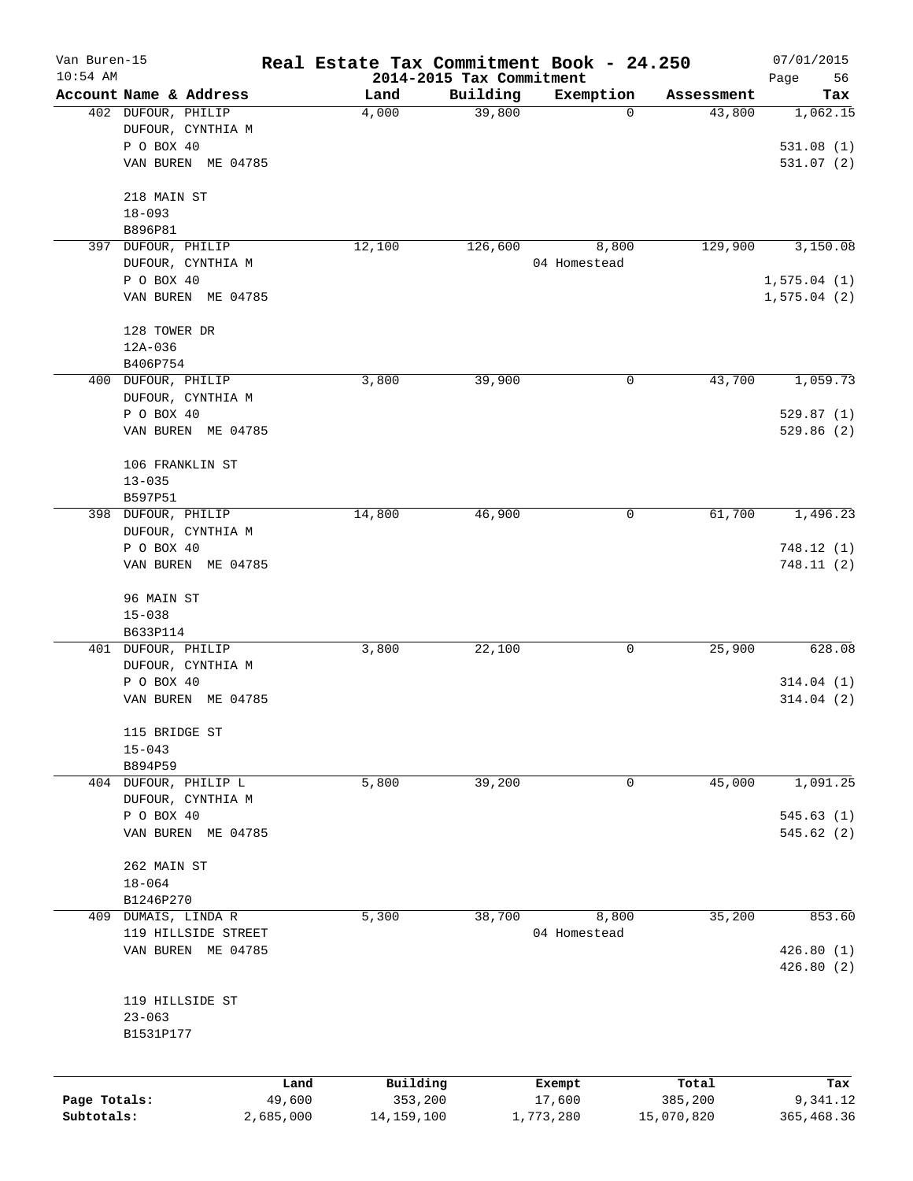| Van Buren-15<br>$10:54$ AM |                               |        |              |                                      | Real Estate Tax Commitment Book - 24.250 |            | 07/01/2015        |
|----------------------------|-------------------------------|--------|--------------|--------------------------------------|------------------------------------------|------------|-------------------|
|                            | Account Name & Address        |        | Land         | 2014-2015 Tax Commitment<br>Building | Exemption                                | Assessment | 56<br>Page<br>Tax |
|                            | 402 DUFOUR, PHILIP            |        | 4,000        | 39,800                               | $\mathbf 0$                              | 43,800     | 1,062.15          |
|                            | DUFOUR, CYNTHIA M             |        |              |                                      |                                          |            |                   |
|                            | P O BOX 40                    |        |              |                                      |                                          |            | 531.08(1)         |
|                            | VAN BUREN ME 04785            |        |              |                                      |                                          |            | 531.07(2)         |
|                            |                               |        |              |                                      |                                          |            |                   |
|                            | 218 MAIN ST                   |        |              |                                      |                                          |            |                   |
|                            | $18 - 093$                    |        |              |                                      |                                          |            |                   |
|                            | B896P81<br>397 DUFOUR, PHILIP |        | 12,100       | 126,600                              | 8,800                                    | 129,900    | 3,150.08          |
|                            | DUFOUR, CYNTHIA M             |        |              |                                      | 04 Homestead                             |            |                   |
|                            | P O BOX 40                    |        |              |                                      |                                          |            | 1,575.04(1)       |
|                            | VAN BUREN ME 04785            |        |              |                                      |                                          |            | 1,575.04(2)       |
|                            |                               |        |              |                                      |                                          |            |                   |
|                            | 128 TOWER DR<br>$12A - 036$   |        |              |                                      |                                          |            |                   |
|                            | B406P754                      |        |              |                                      |                                          |            |                   |
|                            | 400 DUFOUR, PHILIP            |        | 3,800        | 39,900                               | 0                                        | 43,700     | 1,059.73          |
|                            | DUFOUR, CYNTHIA M             |        |              |                                      |                                          |            |                   |
|                            | P O BOX 40                    |        |              |                                      |                                          |            | 529.87(1)         |
|                            | VAN BUREN ME 04785            |        |              |                                      |                                          |            | 529.86(2)         |
|                            |                               |        |              |                                      |                                          |            |                   |
|                            | 106 FRANKLIN ST               |        |              |                                      |                                          |            |                   |
|                            | $13 - 035$<br>B597P51         |        |              |                                      |                                          |            |                   |
|                            | 398 DUFOUR, PHILIP            |        | 14,800       | 46,900                               | 0                                        | 61,700     | 1,496.23          |
|                            | DUFOUR, CYNTHIA M             |        |              |                                      |                                          |            |                   |
|                            | P O BOX 40                    |        |              |                                      |                                          |            | 748.12(1)         |
|                            | VAN BUREN ME 04785            |        |              |                                      |                                          |            | 748.11(2)         |
|                            |                               |        |              |                                      |                                          |            |                   |
|                            | 96 MAIN ST                    |        |              |                                      |                                          |            |                   |
|                            | $15 - 038$                    |        |              |                                      |                                          |            |                   |
|                            | B633P114                      |        |              |                                      |                                          |            |                   |
|                            | 401 DUFOUR, PHILIP            |        | 3,800        | 22,100                               | 0                                        | 25,900     | 628.08            |
|                            | DUFOUR, CYNTHIA M             |        |              |                                      |                                          |            |                   |
|                            | P O BOX 40                    |        |              |                                      |                                          |            | 314.04(1)         |
|                            | VAN BUREN ME 04785            |        |              |                                      |                                          |            | 314.04(2)         |
|                            | 115 BRIDGE ST                 |        |              |                                      |                                          |            |                   |
|                            | $15 - 043$                    |        |              |                                      |                                          |            |                   |
|                            | B894P59                       |        |              |                                      |                                          |            |                   |
|                            | 404 DUFOUR, PHILIP L          |        | 5,800        | 39,200                               | 0                                        | 45,000     | 1,091.25          |
|                            | DUFOUR, CYNTHIA M             |        |              |                                      |                                          |            |                   |
|                            | P O BOX 40                    |        |              |                                      |                                          |            | 545.63(1)         |
|                            | VAN BUREN ME 04785            |        |              |                                      |                                          |            | 545.62(2)         |
|                            | 262 MAIN ST                   |        |              |                                      |                                          |            |                   |
|                            | $18 - 064$                    |        |              |                                      |                                          |            |                   |
|                            | B1246P270                     |        |              |                                      |                                          |            |                   |
| 409                        | DUMAIS, LINDA R               |        | 5,300        | 38,700                               | 8,800                                    | 35,200     | 853.60            |
|                            | 119 HILLSIDE STREET           |        |              |                                      | 04 Homestead                             |            |                   |
|                            | VAN BUREN ME 04785            |        |              |                                      |                                          |            | 426.80(1)         |
|                            |                               |        |              |                                      |                                          |            | 426.80(2)         |
|                            | 119 HILLSIDE ST               |        |              |                                      |                                          |            |                   |
|                            | $23 - 063$                    |        |              |                                      |                                          |            |                   |
|                            | B1531P177                     |        |              |                                      |                                          |            |                   |
|                            |                               |        |              |                                      |                                          |            |                   |
|                            |                               | Land   | Building     |                                      | Exempt                                   | Total      | Tax               |
| Page Totals:               |                               | 49,600 | 353,200      |                                      | 17,600                                   | 385,200    | 9,341.12          |
| Subtotals:                 | 2,685,000                     |        | 14, 159, 100 |                                      | 1,773,280                                | 15,070,820 | 365,468.36        |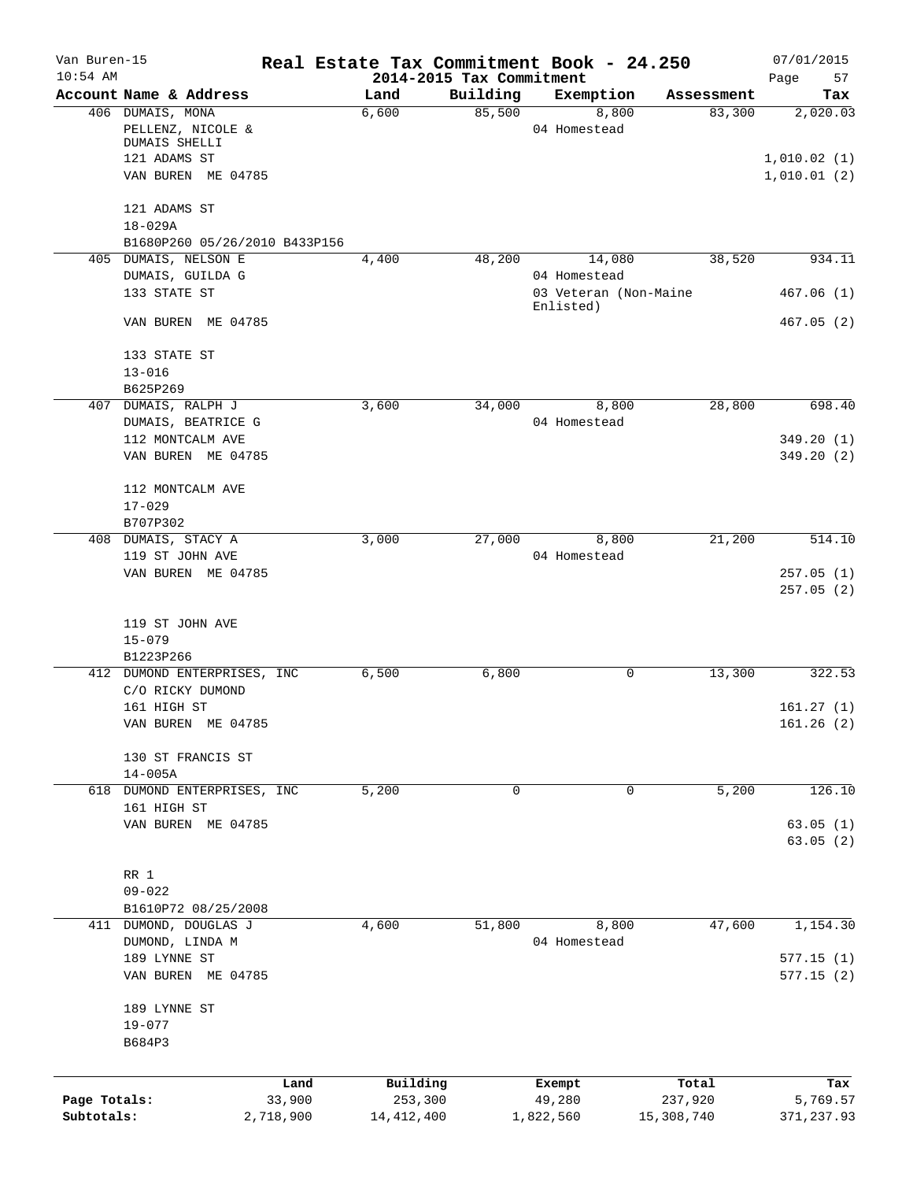| Van Buren-15<br>$10:54$ AM |                               | Real Estate Tax Commitment Book - 24.250 | 2014-2015 Tax Commitment |                                    |            | 07/01/2015<br>Page<br>57 |
|----------------------------|-------------------------------|------------------------------------------|--------------------------|------------------------------------|------------|--------------------------|
|                            | Account Name & Address        | Land                                     | Building                 | Exemption                          | Assessment | Tax                      |
|                            | 406 DUMAIS, MONA              | 6,600                                    | 85,500                   | 8,800                              | 83,300     | 2,020.03                 |
|                            | PELLENZ, NICOLE &             |                                          |                          | 04 Homestead                       |            |                          |
|                            | DUMAIS SHELLI                 |                                          |                          |                                    |            |                          |
|                            | 121 ADAMS ST                  |                                          |                          |                                    |            | 1,010.02(1)              |
|                            | VAN BUREN ME 04785            |                                          |                          |                                    |            | 1,010.01(2)              |
|                            | 121 ADAMS ST                  |                                          |                          |                                    |            |                          |
|                            | $18 - 029A$                   |                                          |                          |                                    |            |                          |
|                            | B1680P260 05/26/2010 B433P156 |                                          |                          |                                    |            |                          |
|                            | 405 DUMAIS, NELSON E          | 4,400                                    | 48,200                   | 14,080                             | 38,520     | 934.11                   |
|                            | DUMAIS, GUILDA G              |                                          |                          | 04 Homestead                       |            |                          |
|                            | 133 STATE ST                  |                                          |                          | 03 Veteran (Non-Maine<br>Enlisted) |            | 467.06(1)                |
|                            | VAN BUREN ME 04785            |                                          |                          |                                    |            | 467.05(2)                |
|                            | 133 STATE ST                  |                                          |                          |                                    |            |                          |
|                            | $13 - 016$                    |                                          |                          |                                    |            |                          |
|                            | B625P269                      |                                          |                          |                                    |            |                          |
|                            | 407 DUMAIS, RALPH J           | 3,600                                    | 34,000                   | 8,800                              | 28,800     | 698.40                   |
|                            | DUMAIS, BEATRICE G            |                                          |                          | 04 Homestead                       |            |                          |
|                            | 112 MONTCALM AVE              |                                          |                          |                                    |            | 349.20(1)                |
|                            | VAN BUREN ME 04785            |                                          |                          |                                    |            | 349.20(2)                |
|                            |                               |                                          |                          |                                    |            |                          |
|                            | 112 MONTCALM AVE              |                                          |                          |                                    |            |                          |
|                            | $17 - 029$                    |                                          |                          |                                    |            |                          |
|                            | B707P302                      |                                          |                          |                                    |            |                          |
|                            | 408 DUMAIS, STACY A           | 3,000                                    | 27,000                   | 8,800                              | 21,200     | 514.10                   |
|                            | 119 ST JOHN AVE               |                                          |                          | 04 Homestead                       |            |                          |
|                            | VAN BUREN ME 04785            |                                          |                          |                                    |            | 257.05(1)<br>257.05(2)   |
|                            | 119 ST JOHN AVE<br>$15 - 079$ |                                          |                          |                                    |            |                          |
|                            | B1223P266                     |                                          |                          |                                    |            |                          |
|                            | 412 DUMOND ENTERPRISES, INC   | 6,500                                    | 6,800                    | $\mathbf 0$                        | 13,300     | 322.53                   |
|                            | C/O RICKY DUMOND              |                                          |                          |                                    |            |                          |
|                            | 161 HIGH ST                   |                                          |                          |                                    |            | 161.27(1)                |
|                            | VAN BUREN ME 04785            |                                          |                          |                                    |            | 161.26(2)                |
|                            | 130 ST FRANCIS ST             |                                          |                          |                                    |            |                          |
|                            | $14 - 005A$                   |                                          |                          |                                    |            |                          |
| 618                        | DUMOND ENTERPRISES, INC       | 5,200                                    | 0                        | $\mathbf 0$                        | 5,200      | 126.10                   |
|                            | 161 HIGH ST                   |                                          |                          |                                    |            |                          |
|                            | VAN BUREN ME 04785            |                                          |                          |                                    |            | 63.05(1)                 |
|                            |                               |                                          |                          |                                    |            | 63.05(2)                 |
|                            | RR 1                          |                                          |                          |                                    |            |                          |
|                            | $09 - 022$                    |                                          |                          |                                    |            |                          |
|                            | B1610P72 08/25/2008           |                                          |                          |                                    |            |                          |
|                            | 411 DUMOND, DOUGLAS J         | 4,600                                    | 51,800                   | 8,800                              | 47,600     | 1,154.30                 |
|                            | DUMOND, LINDA M               |                                          |                          | 04 Homestead                       |            |                          |
|                            | 189 LYNNE ST                  |                                          |                          |                                    |            | 577.15(1)                |
|                            |                               |                                          |                          |                                    |            |                          |
|                            | VAN BUREN ME 04785            |                                          |                          |                                    |            | 577.15(2)                |
|                            | 189 LYNNE ST                  |                                          |                          |                                    |            |                          |
|                            | $19 - 077$                    |                                          |                          |                                    |            |                          |
|                            | B684P3                        |                                          |                          |                                    |            |                          |
|                            |                               |                                          |                          |                                    |            |                          |
|                            |                               | Building<br>Land                         |                          | Exempt                             | Total      | Tax                      |
| Page Totals:               | 33,900                        | 253,300                                  |                          | 49,280                             | 237,920    | 5,769.57                 |
| Subtotals:                 | 2,718,900                     | 14, 412, 400                             |                          | 1,822,560                          | 15,308,740 | 371, 237.93              |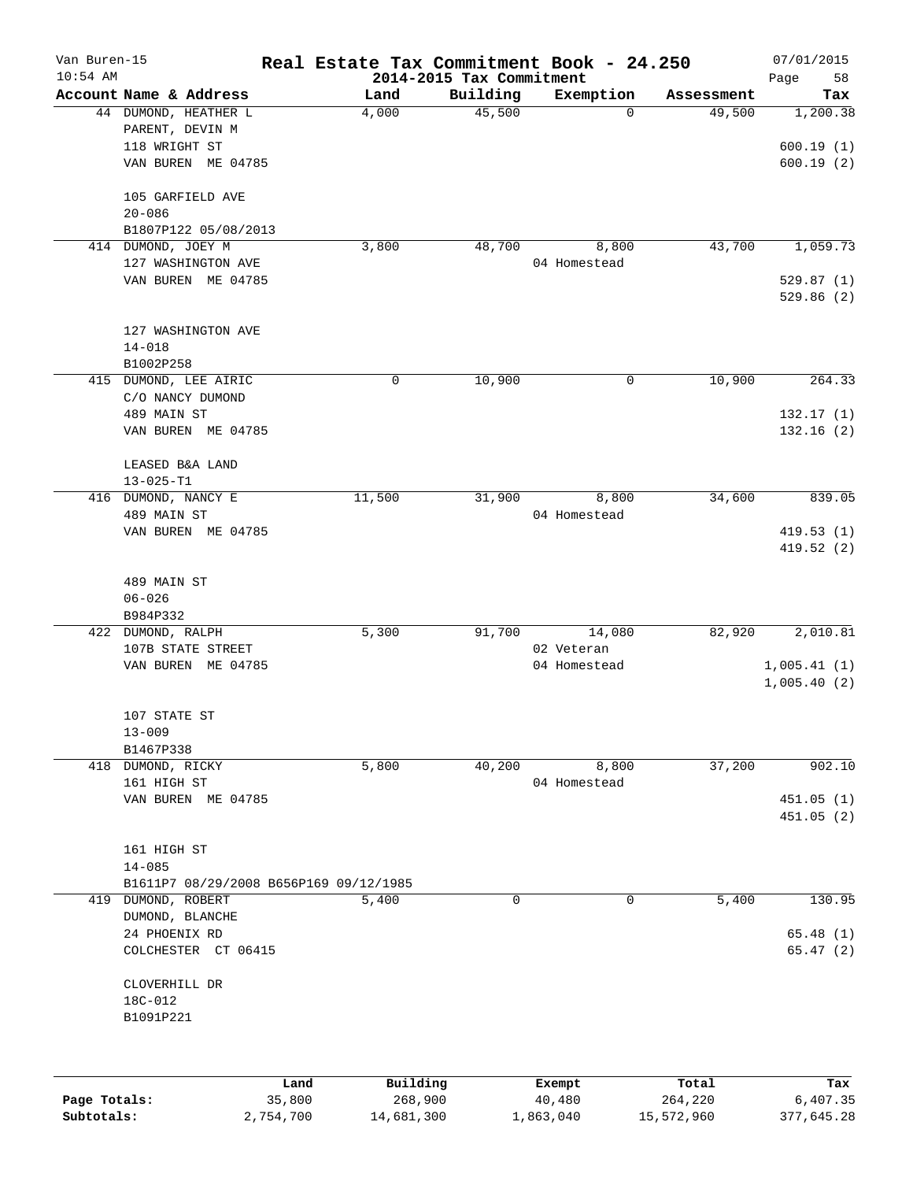| Van Buren-15<br>$10:54$ AM |                                        |        |             | 2014-2015 Tax Commitment | Real Estate Tax Commitment Book - 24.250 |                      | 07/01/2015<br>58<br>Page |
|----------------------------|----------------------------------------|--------|-------------|--------------------------|------------------------------------------|----------------------|--------------------------|
|                            | Account Name & Address                 |        | Land        | Building                 | Exemption                                | Assessment           | Tax                      |
|                            | 44 DUMOND, HEATHER L                   |        | 4,000       | 45,500                   |                                          | 49,500<br>$\Omega$   | 1,200.38                 |
|                            | PARENT, DEVIN M                        |        |             |                          |                                          |                      |                          |
|                            | 118 WRIGHT ST                          |        |             |                          |                                          |                      | 600.19(1)                |
|                            | VAN BUREN ME 04785                     |        |             |                          |                                          |                      | 600.19(2)                |
|                            | 105 GARFIELD AVE                       |        |             |                          |                                          |                      |                          |
|                            | $20 - 086$                             |        |             |                          |                                          |                      |                          |
|                            | B1807P122 05/08/2013                   |        |             |                          |                                          |                      |                          |
|                            | 414 DUMOND, JOEY M                     |        | 3,800       | 48,700                   | 8,800                                    | 43,700               | 1,059.73                 |
|                            | 127 WASHINGTON AVE                     |        |             |                          | 04 Homestead                             |                      |                          |
|                            | VAN BUREN ME 04785                     |        |             |                          |                                          |                      | 529.87(1)                |
|                            |                                        |        |             |                          |                                          |                      | 529.86(2)                |
|                            | 127 WASHINGTON AVE                     |        |             |                          |                                          |                      |                          |
|                            | $14 - 018$                             |        |             |                          |                                          |                      |                          |
|                            | B1002P258                              |        |             |                          |                                          |                      |                          |
|                            | 415 DUMOND, LEE AIRIC                  |        | $\mathbf 0$ | 10,900                   |                                          | 0<br>10,900          | 264.33                   |
|                            | C/O NANCY DUMOND                       |        |             |                          |                                          |                      |                          |
|                            | 489 MAIN ST                            |        |             |                          |                                          |                      | 132.17(1)                |
|                            | VAN BUREN ME 04785                     |        |             |                          |                                          |                      | 132.16(2)                |
|                            | LEASED B&A LAND                        |        |             |                          |                                          |                      |                          |
|                            | $13 - 025 - T1$                        |        |             |                          |                                          |                      |                          |
|                            | 416 DUMOND, NANCY E                    |        | 11,500      | 31,900                   | 8,800                                    | 34,600               | 839.05                   |
|                            | 489 MAIN ST                            |        |             |                          | 04 Homestead                             |                      |                          |
|                            | VAN BUREN ME 04785                     |        |             |                          |                                          |                      | 419.53(1)                |
|                            |                                        |        |             |                          |                                          |                      | 419.52 (2)               |
|                            | 489 MAIN ST                            |        |             |                          |                                          |                      |                          |
|                            | $06 - 026$                             |        |             |                          |                                          |                      |                          |
|                            | B984P332                               |        |             |                          |                                          |                      |                          |
|                            | 422 DUMOND, RALPH                      |        | 5,300       | 91,700                   | 14,080                                   | 82,920               | 2,010.81                 |
|                            | 107B STATE STREET                      |        |             |                          | 02 Veteran                               |                      |                          |
|                            | VAN BUREN ME 04785                     |        |             |                          | 04 Homestead                             |                      | 1,005.41(1)              |
|                            |                                        |        |             |                          |                                          |                      | 1,005.40(2)              |
|                            | 107 STATE ST                           |        |             |                          |                                          |                      |                          |
|                            | $13 - 009$                             |        |             |                          |                                          |                      |                          |
|                            | B1467P338                              |        |             |                          |                                          |                      |                          |
|                            | 418 DUMOND, RICKY                      |        | 5,800       | 40,200                   | 8,800                                    | 37,200               | 902.10                   |
|                            | 161 HIGH ST                            |        |             |                          | 04 Homestead                             |                      |                          |
|                            | VAN BUREN ME 04785                     |        |             |                          |                                          |                      | 451.05(1)                |
|                            |                                        |        |             |                          |                                          |                      | 451.05(2)                |
|                            | 161 HIGH ST                            |        |             |                          |                                          |                      |                          |
|                            | $14 - 085$                             |        |             |                          |                                          |                      |                          |
|                            | B1611P7 08/29/2008 B656P169 09/12/1985 |        |             |                          |                                          |                      |                          |
|                            | 419 DUMOND, ROBERT                     |        | 5,400       | $\mathbf 0$              |                                          | $\mathbf 0$<br>5,400 | 130.95                   |
|                            | DUMOND, BLANCHE                        |        |             |                          |                                          |                      |                          |
|                            | 24 PHOENIX RD                          |        |             |                          |                                          |                      | 65.48(1)                 |
|                            | COLCHESTER CT 06415                    |        |             |                          |                                          |                      | 65.47(2)                 |
|                            | CLOVERHILL DR                          |        |             |                          |                                          |                      |                          |
|                            | 18C-012                                |        |             |                          |                                          |                      |                          |
|                            | B1091P221                              |        |             |                          |                                          |                      |                          |
|                            |                                        |        |             |                          |                                          |                      |                          |
|                            |                                        | Land   | Building    |                          | Exempt                                   | Total                | Tax                      |
| Page Totals:               |                                        | 35,800 | 268,900     |                          | $40\,, 480$                              | 264,220              | 6,407.35                 |

**Subtotals:** 2,754,700 14,681,300 1,863,040 15,572,960 377,645.28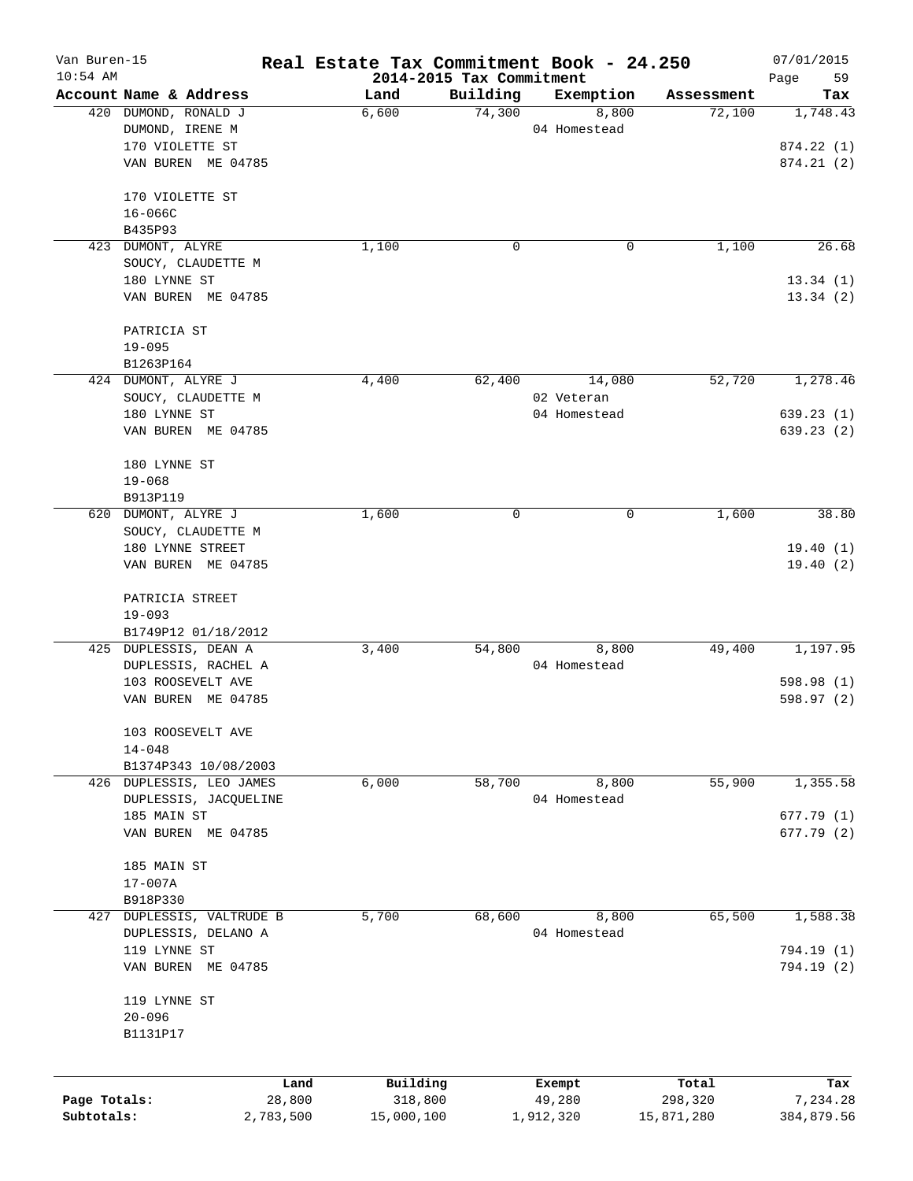| Van Buren-15 |                           | Real Estate Tax Commitment Book - 24.250 |                                      |              |            | 07/01/2015        |
|--------------|---------------------------|------------------------------------------|--------------------------------------|--------------|------------|-------------------|
| $10:54$ AM   | Account Name & Address    | Land                                     | 2014-2015 Tax Commitment<br>Building | Exemption    | Assessment | Page<br>59<br>Tax |
|              | 420 DUMOND, RONALD J      | 6,600                                    | 74,300                               | 8,800        | 72,100     | 1,748.43          |
|              | DUMOND, IRENE M           |                                          |                                      | 04 Homestead |            |                   |
|              | 170 VIOLETTE ST           |                                          |                                      |              |            | 874.22 (1)        |
|              | VAN BUREN ME 04785        |                                          |                                      |              |            | 874.21(2)         |
|              |                           |                                          |                                      |              |            |                   |
|              | 170 VIOLETTE ST           |                                          |                                      |              |            |                   |
|              | $16 - 066C$               |                                          |                                      |              |            |                   |
|              | B435P93                   |                                          |                                      |              |            |                   |
|              | 423 DUMONT, ALYRE         | 1,100                                    | 0                                    | 0            | 1,100      | 26.68             |
|              | SOUCY, CLAUDETTE M        |                                          |                                      |              |            |                   |
|              | 180 LYNNE ST              |                                          |                                      |              |            | 13.34(1)          |
|              | VAN BUREN ME 04785        |                                          |                                      |              |            | 13.34(2)          |
|              | PATRICIA ST               |                                          |                                      |              |            |                   |
|              | $19 - 095$                |                                          |                                      |              |            |                   |
|              | B1263P164                 |                                          |                                      |              |            |                   |
|              | 424 DUMONT, ALYRE J       | 4,400                                    | 62,400                               | 14,080       | 52,720     | 1,278.46          |
|              | SOUCY, CLAUDETTE M        |                                          |                                      | 02 Veteran   |            |                   |
|              | 180 LYNNE ST              |                                          |                                      | 04 Homestead |            | 639.23(1)         |
|              | VAN BUREN ME 04785        |                                          |                                      |              |            | 639.23(2)         |
|              | 180 LYNNE ST              |                                          |                                      |              |            |                   |
|              | $19 - 068$                |                                          |                                      |              |            |                   |
|              | B913P119                  |                                          |                                      |              |            |                   |
|              | 620 DUMONT, ALYRE J       | 1,600                                    | 0                                    | 0            | 1,600      | 38.80             |
|              | SOUCY, CLAUDETTE M        |                                          |                                      |              |            |                   |
|              | 180 LYNNE STREET          |                                          |                                      |              |            | 19.40(1)          |
|              | VAN BUREN ME 04785        |                                          |                                      |              |            | 19.40(2)          |
|              | PATRICIA STREET           |                                          |                                      |              |            |                   |
|              | $19 - 093$                |                                          |                                      |              |            |                   |
|              | B1749P12 01/18/2012       |                                          |                                      |              |            |                   |
|              | 425 DUPLESSIS, DEAN A     | 3,400                                    | 54,800                               | 8,800        | 49,400     | 1,197.95          |
|              | DUPLESSIS, RACHEL A       |                                          |                                      | 04 Homestead |            |                   |
|              | 103 ROOSEVELT AVE         |                                          |                                      |              |            | 598.98 (1)        |
|              | VAN BUREN ME 04785        |                                          |                                      |              |            | 598.97 (2)        |
|              |                           |                                          |                                      |              |            |                   |
|              | 103 ROOSEVELT AVE         |                                          |                                      |              |            |                   |
|              | $14 - 048$                |                                          |                                      |              |            |                   |
|              | B1374P343 10/08/2003      |                                          |                                      |              |            |                   |
|              | 426 DUPLESSIS, LEO JAMES  | 6,000                                    | 58,700                               | 8,800        | 55,900     | 1,355.58          |
|              | DUPLESSIS, JACQUELINE     |                                          |                                      | 04 Homestead |            |                   |
|              | 185 MAIN ST               |                                          |                                      |              |            | 677.79(1)         |
|              | VAN BUREN ME 04785        |                                          |                                      |              |            | 677.79 (2)        |
|              | 185 MAIN ST               |                                          |                                      |              |            |                   |
|              | $17 - 007A$               |                                          |                                      |              |            |                   |
|              | B918P330                  |                                          |                                      |              |            |                   |
|              | 427 DUPLESSIS, VALTRUDE B | 5,700                                    | 68,600                               | 8,800        | 65,500     | 1,588.38          |
|              | DUPLESSIS, DELANO A       |                                          |                                      | 04 Homestead |            |                   |
|              | 119 LYNNE ST              |                                          |                                      |              |            | 794.19 (1)        |
|              | VAN BUREN ME 04785        |                                          |                                      |              |            | 794.19 (2)        |
|              | 119 LYNNE ST              |                                          |                                      |              |            |                   |
|              | $20 - 096$                |                                          |                                      |              |            |                   |
|              | B1131P17                  |                                          |                                      |              |            |                   |
|              |                           |                                          |                                      |              |            |                   |
|              |                           | Building<br>Land                         |                                      | Exempt       | Total      | Tax               |
| Page Totals: | 28,800                    | 318,800                                  |                                      | 49,280       | 298,320    | 7,234.28          |
| Subtotals:   | 2,783,500                 | 15,000,100                               |                                      | 1,912,320    | 15,871,280 | 384,879.56        |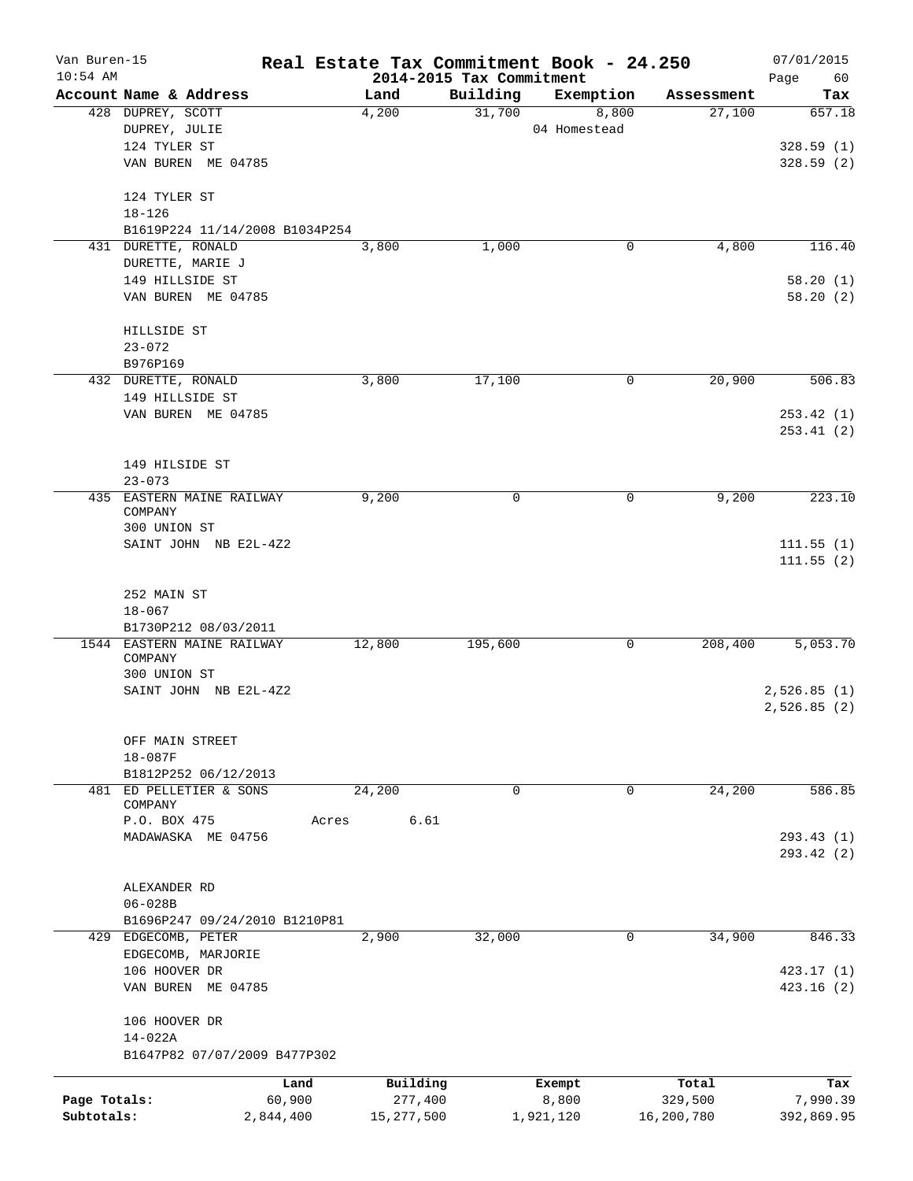| Van Buren-15 |                                                 |        |                                  |             | Real Estate Tax Commitment Book - 24.250 |                      | 07/01/2015             |
|--------------|-------------------------------------------------|--------|----------------------------------|-------------|------------------------------------------|----------------------|------------------------|
| $10:54$ AM   | Account Name & Address                          |        | 2014-2015 Tax Commitment<br>Land | Building    | Exemption                                |                      | Page<br>60             |
|              | 428 DUPREY, SCOTT                               |        | 4,200                            | 31,700      | 8,800                                    | Assessment<br>27,100 | Tax<br>657.18          |
|              | DUPREY, JULIE                                   |        |                                  |             | 04 Homestead                             |                      |                        |
|              | 124 TYLER ST                                    |        |                                  |             |                                          |                      | 328.59(1)              |
|              | VAN BUREN ME 04785                              |        |                                  |             |                                          |                      | 328.59(2)              |
|              | 124 TYLER ST                                    |        |                                  |             |                                          |                      |                        |
|              | $18 - 126$                                      |        |                                  |             |                                          |                      |                        |
|              | B1619P224 11/14/2008 B1034P254                  |        |                                  |             |                                          |                      |                        |
|              | 431 DURETTE, RONALD                             |        | 3,800                            | 1,000       | 0                                        | 4,800                | 116.40                 |
|              | DURETTE, MARIE J                                |        |                                  |             |                                          |                      |                        |
|              | 149 HILLSIDE ST                                 |        |                                  |             |                                          |                      | 58.20(1)               |
|              | VAN BUREN ME 04785                              |        |                                  |             |                                          |                      | 58.20(2)               |
|              | HILLSIDE ST                                     |        |                                  |             |                                          |                      |                        |
|              | $23 - 072$                                      |        |                                  |             |                                          |                      |                        |
|              | B976P169                                        |        |                                  |             |                                          |                      |                        |
|              | 432 DURETTE, RONALD                             |        | 3,800                            | 17,100      | 0                                        | 20,900               | 506.83                 |
|              | 149 HILLSIDE ST                                 |        |                                  |             |                                          |                      |                        |
|              | VAN BUREN ME 04785                              |        |                                  |             |                                          |                      | 253.42(1)<br>253.41(2) |
|              |                                                 |        |                                  |             |                                          |                      |                        |
|              | 149 HILSIDE ST                                  |        |                                  |             |                                          |                      |                        |
|              | $23 - 073$                                      |        |                                  |             |                                          |                      |                        |
|              | 435 EASTERN MAINE RAILWAY                       |        | 9,200                            | 0           | 0                                        | 9,200                | 223.10                 |
|              | COMPANY                                         |        |                                  |             |                                          |                      |                        |
|              | 300 UNION ST                                    |        |                                  |             |                                          |                      |                        |
|              | SAINT JOHN NB E2L-4Z2                           |        |                                  |             |                                          |                      | 111.55(1)<br>111.55(2) |
|              |                                                 |        |                                  |             |                                          |                      |                        |
|              | 252 MAIN ST                                     |        |                                  |             |                                          |                      |                        |
|              | $18 - 067$                                      |        |                                  |             |                                          |                      |                        |
|              | B1730P212 08/03/2011                            |        |                                  |             |                                          |                      |                        |
|              | 1544 EASTERN MAINE RAILWAY                      |        | 12,800                           | 195,600     | 0                                        | 208,400              | 5,053.70               |
|              | COMPANY<br>300 UNION ST                         |        |                                  |             |                                          |                      |                        |
|              | SAINT JOHN NB E2L-4Z2                           |        |                                  |             |                                          |                      | 2,526.85(1)            |
|              |                                                 |        |                                  |             |                                          |                      | 2,526.85(2)            |
|              |                                                 |        |                                  |             |                                          |                      |                        |
|              | OFF MAIN STREET                                 |        |                                  |             |                                          |                      |                        |
|              | 18-087F                                         |        |                                  |             |                                          |                      |                        |
|              | B1812P252 06/12/2013<br>481 ED PELLETIER & SONS |        | 24,200                           | $\mathbf 0$ | 0                                        | 24,200               | 586.85                 |
|              | COMPANY                                         |        |                                  |             |                                          |                      |                        |
|              | P.O. BOX 475                                    | Acres  | 6.61                             |             |                                          |                      |                        |
|              | MADAWASKA ME 04756                              |        |                                  |             |                                          |                      | 293.43 (1)             |
|              |                                                 |        |                                  |             |                                          |                      | 293.42 (2)             |
|              | ALEXANDER RD                                    |        |                                  |             |                                          |                      |                        |
|              | $06 - 028B$                                     |        |                                  |             |                                          |                      |                        |
|              | B1696P247 09/24/2010 B1210P81                   |        |                                  |             |                                          |                      |                        |
|              | 429 EDGECOMB, PETER                             |        | 2,900                            | 32,000      | 0                                        | 34,900               | 846.33                 |
|              | EDGECOMB, MARJORIE                              |        |                                  |             |                                          |                      |                        |
|              | 106 HOOVER DR                                   |        |                                  |             |                                          |                      | 423.17 (1)             |
|              | VAN BUREN ME 04785                              |        |                                  |             |                                          |                      | 423.16(2)              |
|              | 106 HOOVER DR                                   |        |                                  |             |                                          |                      |                        |
|              | 14-022A                                         |        |                                  |             |                                          |                      |                        |
|              | B1647P82 07/07/2009 B477P302                    |        |                                  |             |                                          |                      |                        |
|              |                                                 | Land   | Building                         |             | Exempt                                   | Total                | Tax                    |
| Page Totals: |                                                 | 60,900 | 277,400                          |             | 8,800                                    | 329,500              | 7,990.39               |
| Subtotals:   | 2,844,400                                       |        | 15, 277, 500                     |             | 1,921,120                                | 16,200,780           | 392,869.95             |
|              |                                                 |        |                                  |             |                                          |                      |                        |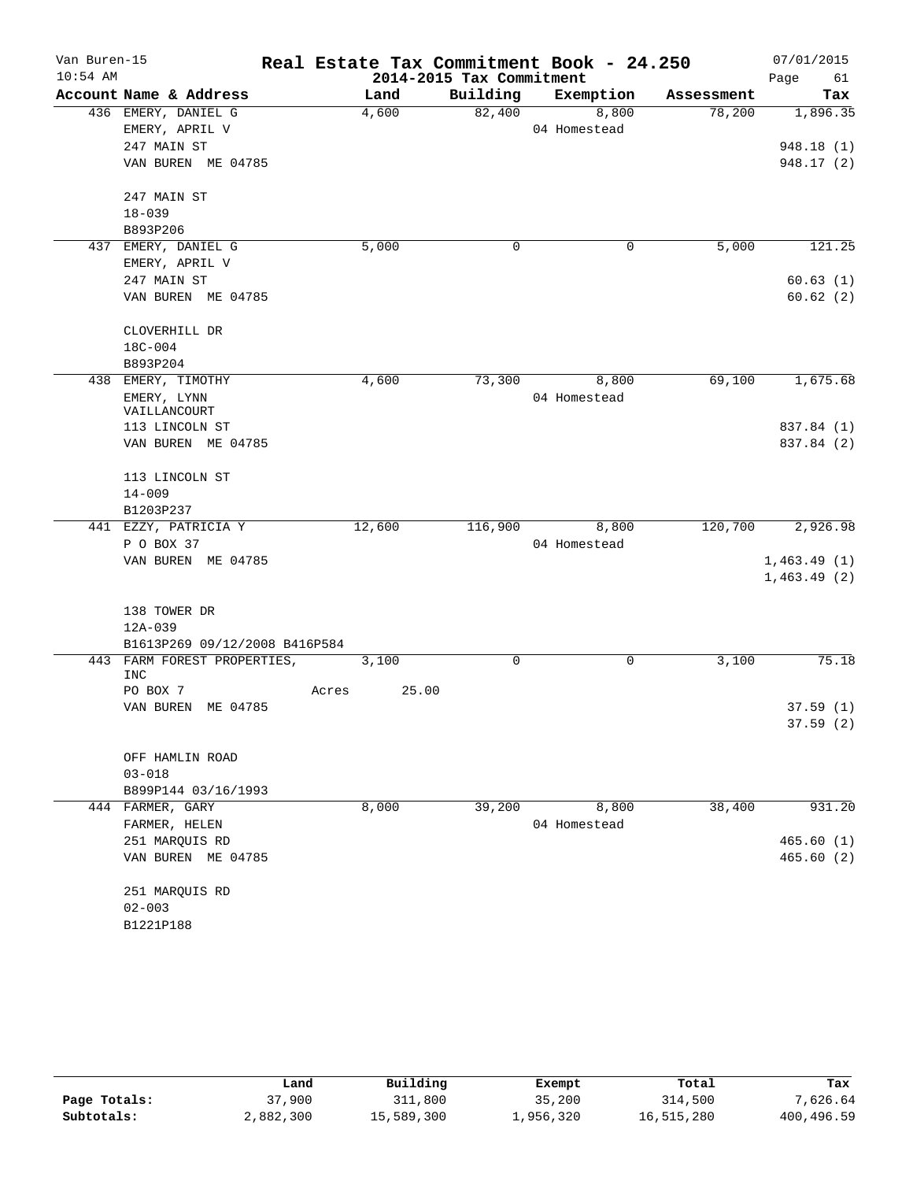| Van Buren-15 |                                    |       |        |                          | Real Estate Tax Commitment Book - 24.250 |            | 07/01/2015  |
|--------------|------------------------------------|-------|--------|--------------------------|------------------------------------------|------------|-------------|
| $10:54$ AM   |                                    |       |        | 2014-2015 Tax Commitment |                                          |            | Page<br>61  |
|              | Account Name & Address             |       | Land   | Building                 | Exemption                                | Assessment | Tax         |
|              | 436 EMERY, DANIEL G                |       | 4,600  | 82,400                   | 8,800                                    | 78,200     | 1,896.35    |
|              | EMERY, APRIL V                     |       |        |                          | 04 Homestead                             |            |             |
|              | 247 MAIN ST                        |       |        |                          |                                          |            | 948.18 (1)  |
|              | VAN BUREN ME 04785                 |       |        |                          |                                          |            | 948.17 (2)  |
|              | 247 MAIN ST                        |       |        |                          |                                          |            |             |
|              | $18 - 039$                         |       |        |                          |                                          |            |             |
|              | B893P206                           |       |        |                          |                                          |            |             |
|              | 437 EMERY, DANIEL G                |       | 5,000  | 0                        | $\mathbf 0$                              | 5,000      | 121.25      |
|              | EMERY, APRIL V                     |       |        |                          |                                          |            |             |
|              | 247 MAIN ST                        |       |        |                          |                                          |            | 60.63(1)    |
|              | VAN BUREN ME 04785                 |       |        |                          |                                          |            | 60.62(2)    |
|              | CLOVERHILL DR                      |       |        |                          |                                          |            |             |
|              | $18C - 004$                        |       |        |                          |                                          |            |             |
|              | B893P204                           |       |        |                          |                                          |            |             |
|              | 438 EMERY, TIMOTHY                 |       | 4,600  | 73,300                   | 8,800                                    | 69,100     | 1,675.68    |
|              | EMERY, LYNN                        |       |        |                          | 04 Homestead                             |            |             |
|              | VAILLANCOURT                       |       |        |                          |                                          |            |             |
|              | 113 LINCOLN ST                     |       |        |                          |                                          |            | 837.84 (1)  |
|              | VAN BUREN ME 04785                 |       |        |                          |                                          |            | 837.84 (2)  |
|              | 113 LINCOLN ST                     |       |        |                          |                                          |            |             |
|              | $14 - 009$                         |       |        |                          |                                          |            |             |
|              | B1203P237                          |       |        |                          |                                          |            |             |
|              | 441 EZZY, PATRICIA Y               |       | 12,600 | 116,900                  | 8,800                                    | 120,700    | 2,926.98    |
|              | P O BOX 37                         |       |        |                          | 04 Homestead                             |            |             |
|              | VAN BUREN ME 04785                 |       |        |                          |                                          |            | 1,463.49(1) |
|              |                                    |       |        |                          |                                          |            | 1,463.49(2) |
|              | 138 TOWER DR                       |       |        |                          |                                          |            |             |
|              | 12A-039                            |       |        |                          |                                          |            |             |
|              | B1613P269 09/12/2008 B416P584      |       |        |                          |                                          |            |             |
|              | 443 FARM FOREST PROPERTIES,<br>INC |       | 3,100  | 0                        | 0                                        | 3,100      | 75.18       |
|              | PO BOX 7                           | Acres | 25.00  |                          |                                          |            |             |
|              | VAN BUREN ME 04785                 |       |        |                          |                                          |            | 37.59(1)    |
|              |                                    |       |        |                          |                                          |            | 37.59(2)    |
|              | OFF HAMLIN ROAD                    |       |        |                          |                                          |            |             |
|              | $03 - 018$                         |       |        |                          |                                          |            |             |
|              | B899P144 03/16/1993                |       |        |                          |                                          |            |             |
|              | 444 FARMER, GARY                   |       | 8,000  | 39,200                   | 8,800                                    | 38,400     | 931.20      |
|              | FARMER, HELEN                      |       |        |                          | 04 Homestead                             |            |             |
|              | 251 MARQUIS RD                     |       |        |                          |                                          |            | 465.60(1)   |
|              | VAN BUREN ME 04785                 |       |        |                          |                                          |            | 465.60(2)   |
|              |                                    |       |        |                          |                                          |            |             |
|              | 251 MARQUIS RD<br>$02 - 003$       |       |        |                          |                                          |            |             |
|              |                                    |       |        |                          |                                          |            |             |
|              | B1221P188                          |       |        |                          |                                          |            |             |

|              | Land      | Building   | Exempt    | Total      | Tax        |
|--------------|-----------|------------|-----------|------------|------------|
| Page Totals: | 37,900    | 311,800    | 35,200    | 314,500    | 7,626.64   |
| Subtotals:   | 2,882,300 | 15,589,300 | 1,956,320 | 16,515,280 | 400,496.59 |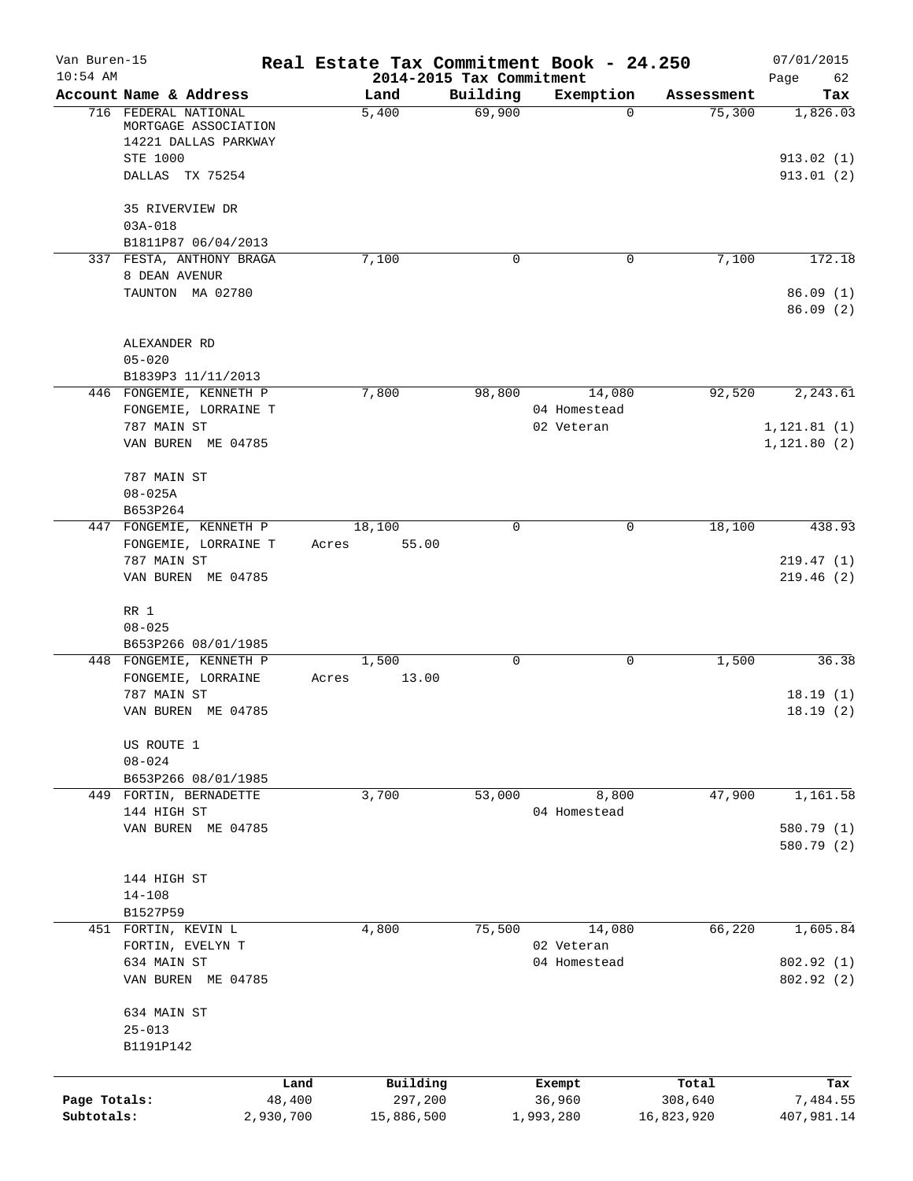| Van Buren-15<br>$10:54$ AM |                                                                      |        |            | 2014-2015 Tax Commitment | Real Estate Tax Commitment Book - 24.250 |            | 07/01/2015             |
|----------------------------|----------------------------------------------------------------------|--------|------------|--------------------------|------------------------------------------|------------|------------------------|
|                            | Account Name & Address                                               |        | Land       | Building                 | Exemption                                | Assessment | Page<br>62<br>Tax      |
|                            | 716 FEDERAL NATIONAL<br>MORTGAGE ASSOCIATION<br>14221 DALLAS PARKWAY |        | 5,400      | 69,900                   | $\Omega$                                 | 75,300     | 1,826.03               |
|                            | STE 1000<br>DALLAS TX 75254                                          |        |            |                          |                                          |            | 913.02(1)<br>913.01(2) |
|                            | 35 RIVERVIEW DR<br>$03A - 018$                                       |        |            |                          |                                          |            |                        |
|                            | B1811P87 06/04/2013                                                  |        |            |                          |                                          |            |                        |
|                            | 337 FESTA, ANTHONY BRAGA<br>8 DEAN AVENUR                            |        | 7,100      | 0                        | 0                                        | 7,100      | 172.18                 |
|                            | TAUNTON MA 02780                                                     |        |            |                          |                                          |            | 86.09(1)<br>86.09(2)   |
|                            | ALEXANDER RD                                                         |        |            |                          |                                          |            |                        |
|                            | $05 - 020$                                                           |        |            |                          |                                          |            |                        |
|                            | B1839P3 11/11/2013<br>446 FONGEMIE, KENNETH P                        |        | 7,800      | 98,800                   | 14,080                                   | 92,520     | 2,243.61               |
|                            | FONGEMIE, LORRAINE T                                                 |        |            |                          | 04 Homestead                             |            |                        |
|                            | 787 MAIN ST                                                          |        |            |                          | 02 Veteran                               |            | 1, 121.81(1)           |
|                            | VAN BUREN ME 04785                                                   |        |            |                          |                                          |            | 1, 121.80(2)           |
|                            | 787 MAIN ST                                                          |        |            |                          |                                          |            |                        |
|                            | $08 - 025A$                                                          |        |            |                          |                                          |            |                        |
|                            | B653P264<br>447 FONGEMIE, KENNETH P                                  |        | 18,100     | $\mathbf 0$              | $\mathbf 0$                              | 18,100     | 438.93                 |
|                            | FONGEMIE, LORRAINE T                                                 | Acres  | 55.00      |                          |                                          |            |                        |
|                            | 787 MAIN ST                                                          |        |            |                          |                                          |            | 219.47(1)              |
|                            | VAN BUREN ME 04785                                                   |        |            |                          |                                          |            | 219.46(2)              |
|                            | RR 1                                                                 |        |            |                          |                                          |            |                        |
|                            | $08 - 025$                                                           |        |            |                          |                                          |            |                        |
|                            | B653P266 08/01/1985<br>448 FONGEMIE, KENNETH P                       |        | 1,500      | $\mathbf 0$              | 0                                        | 1,500      | 36.38                  |
|                            | FONGEMIE, LORRAINE                                                   | Acres  | 13.00      |                          |                                          |            |                        |
|                            | 787 MAIN ST                                                          |        |            |                          |                                          |            | 18.19(1)               |
|                            | VAN BUREN ME 04785                                                   |        |            |                          |                                          |            | 18.19(2)               |
|                            | US ROUTE 1                                                           |        |            |                          |                                          |            |                        |
|                            | $08 - 024$                                                           |        |            |                          |                                          |            |                        |
|                            | B653P266 08/01/1985<br>449 FORTIN, BERNADETTE                        |        | 3,700      | 53,000                   | 8,800                                    | 47,900     | 1,161.58               |
|                            | 144 HIGH ST                                                          |        |            |                          | 04 Homestead                             |            |                        |
|                            | VAN BUREN ME 04785                                                   |        |            |                          |                                          |            | 580.79 (1)             |
|                            |                                                                      |        |            |                          |                                          |            | 580.79 (2)             |
|                            | 144 HIGH ST                                                          |        |            |                          |                                          |            |                        |
|                            | $14 - 108$                                                           |        |            |                          |                                          |            |                        |
|                            | B1527P59                                                             |        |            |                          |                                          |            |                        |
|                            | 451 FORTIN, KEVIN L                                                  |        | 4,800      | 75,500                   | 14,080                                   | 66,220     | 1,605.84               |
|                            | FORTIN, EVELYN T                                                     |        |            |                          | 02 Veteran                               |            |                        |
|                            | 634 MAIN ST                                                          |        |            |                          | 04 Homestead                             |            | 802.92(1)              |
|                            | VAN BUREN ME 04785                                                   |        |            |                          |                                          |            | 802.92(2)              |
|                            | 634 MAIN ST                                                          |        |            |                          |                                          |            |                        |
|                            | $25 - 013$                                                           |        |            |                          |                                          |            |                        |
|                            | B1191P142                                                            |        |            |                          |                                          |            |                        |
|                            |                                                                      | Land   | Building   |                          | Exempt                                   | Total      | Tax                    |
| Page Totals:               |                                                                      | 48,400 | 297,200    |                          | 36,960                                   | 308,640    | 7,484.55               |
| Subtotals:                 | 2,930,700                                                            |        | 15,886,500 |                          | 1,993,280                                | 16,823,920 | 407,981.14             |
|                            |                                                                      |        |            |                          |                                          |            |                        |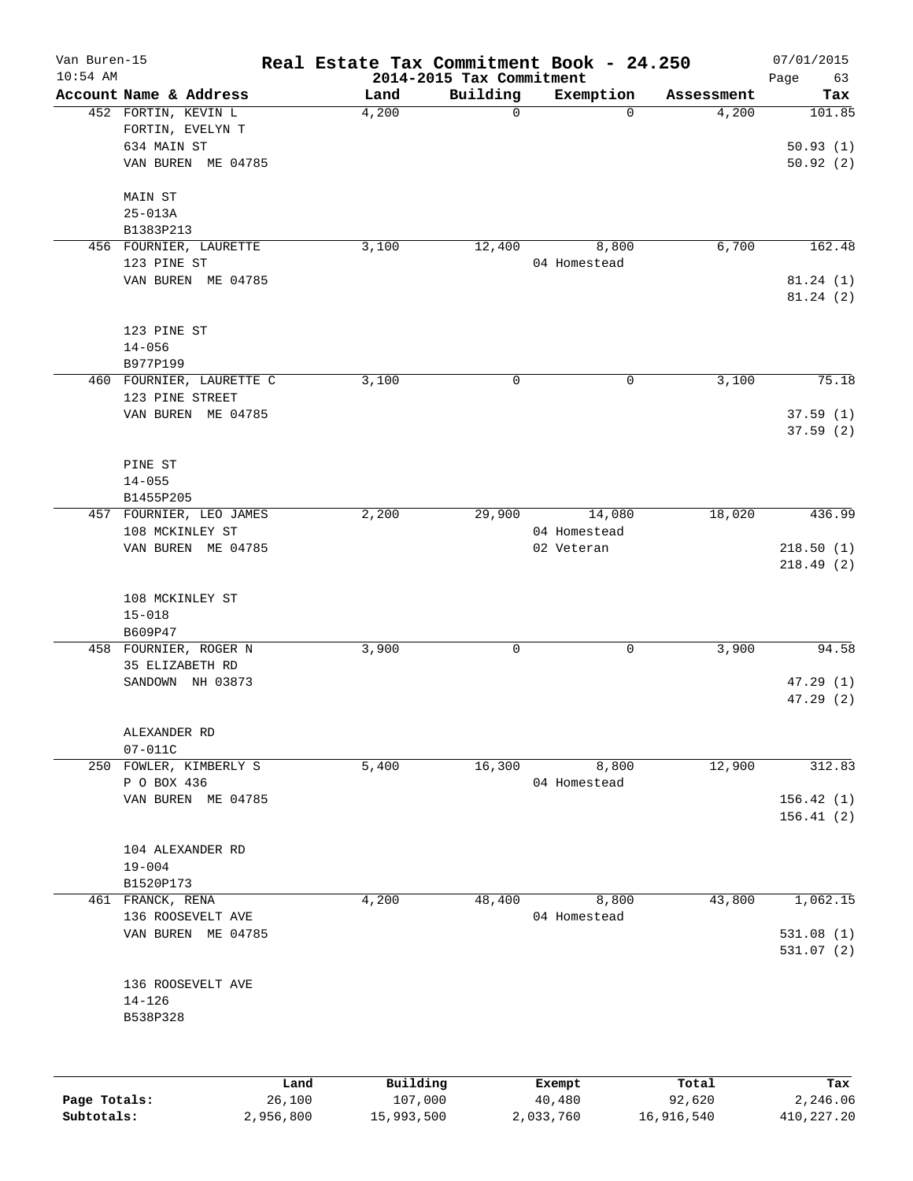| Van Buren-15<br>$10:54$ AM |                                                        |        |          | 2014-2015 Tax Commitment | Real Estate Tax Commitment Book - 24.250 |            | 07/01/2015<br>Page<br>63 |
|----------------------------|--------------------------------------------------------|--------|----------|--------------------------|------------------------------------------|------------|--------------------------|
|                            | Account Name & Address                                 |        | Land     | Building                 | Exemption                                | Assessment | Tax                      |
|                            | 452 FORTIN, KEVIN L<br>FORTIN, EVELYN T<br>634 MAIN ST |        | 4,200    | 0                        | $\Omega$                                 | 4,200      | 101.85<br>50.93(1)       |
|                            | VAN BUREN ME 04785                                     |        |          |                          |                                          |            | 50.92(2)                 |
|                            | MAIN ST<br>$25 - 013A$                                 |        |          |                          |                                          |            |                          |
|                            | B1383P213                                              |        |          |                          |                                          |            |                          |
|                            | 456 FOURNIER, LAURETTE                                 |        | 3,100    | 12,400                   | 8,800                                    | 6,700      | 162.48                   |
|                            | 123 PINE ST                                            |        |          |                          | 04 Homestead                             |            |                          |
|                            | VAN BUREN ME 04785                                     |        |          |                          |                                          |            | 81.24(1)<br>81.24(2)     |
|                            | 123 PINE ST                                            |        |          |                          |                                          |            |                          |
|                            | $14 - 056$<br>B977P199                                 |        |          |                          |                                          |            |                          |
|                            | 460 FOURNIER, LAURETTE C                               |        | 3,100    | 0                        | $\mathbf 0$                              | 3,100      | 75.18                    |
|                            | 123 PINE STREET                                        |        |          |                          |                                          |            |                          |
|                            | VAN BUREN ME 04785                                     |        |          |                          |                                          |            | 37.59(1)<br>37.59(2)     |
|                            | PINE ST                                                |        |          |                          |                                          |            |                          |
|                            | $14 - 055$                                             |        |          |                          |                                          |            |                          |
|                            | B1455P205                                              |        |          |                          |                                          |            |                          |
|                            | 457 FOURNIER, LEO JAMES                                |        | 2,200    | 29,900                   | 14,080                                   | 18,020     | 436.99                   |
|                            | 108 MCKINLEY ST<br>VAN BUREN ME 04785                  |        |          |                          | 04 Homestead<br>02 Veteran               |            | 218.50(1)                |
|                            |                                                        |        |          |                          |                                          |            | 218.49(2)                |
|                            | 108 MCKINLEY ST                                        |        |          |                          |                                          |            |                          |
|                            | $15 - 018$                                             |        |          |                          |                                          |            |                          |
|                            | B609P47                                                |        |          |                          |                                          | 3,900      | 94.58                    |
|                            | 458 FOURNIER, ROGER N<br>35 ELIZABETH RD               |        | 3,900    | 0                        | 0                                        |            |                          |
|                            | SANDOWN NH 03873                                       |        |          |                          |                                          |            | 47.29(1)                 |
|                            |                                                        |        |          |                          |                                          |            | 47.29(2)                 |
|                            | ALEXANDER RD                                           |        |          |                          |                                          |            |                          |
|                            | $07 - 011C$                                            |        |          |                          |                                          |            |                          |
|                            | 250 FOWLER, KIMBERLY S<br>P O BOX 436                  |        | 5,400    | 16,300                   | 8,800<br>04 Homestead                    | 12,900     | 312.83                   |
|                            | VAN BUREN ME 04785                                     |        |          |                          |                                          |            | 156.42(1)                |
|                            |                                                        |        |          |                          |                                          |            | 156.41(2)                |
|                            | 104 ALEXANDER RD                                       |        |          |                          |                                          |            |                          |
|                            | $19 - 004$                                             |        |          |                          |                                          |            |                          |
|                            | B1520P173                                              |        |          |                          |                                          |            |                          |
|                            | 461 FRANCK, RENA                                       |        | 4,200    | 48,400                   | 8,800                                    | 43,800     | 1,062.15                 |
|                            | 136 ROOSEVELT AVE<br>VAN BUREN ME 04785                |        |          |                          | 04 Homestead                             |            | 531.08(1)                |
|                            |                                                        |        |          |                          |                                          |            | 531.07(2)                |
|                            | 136 ROOSEVELT AVE                                      |        |          |                          |                                          |            |                          |
|                            | $14 - 126$                                             |        |          |                          |                                          |            |                          |
|                            | B538P328                                               |        |          |                          |                                          |            |                          |
|                            |                                                        |        |          |                          |                                          |            |                          |
|                            |                                                        | Land   | Building |                          | Exempt                                   | Total      | Tax                      |
| Page Totals:               |                                                        | 26,100 | 107,000  |                          | 40,480                                   | 92,620     | 2,246.06                 |

**Subtotals:** 2,956,800 15,993,500 2,033,760 16,916,540 410,227.20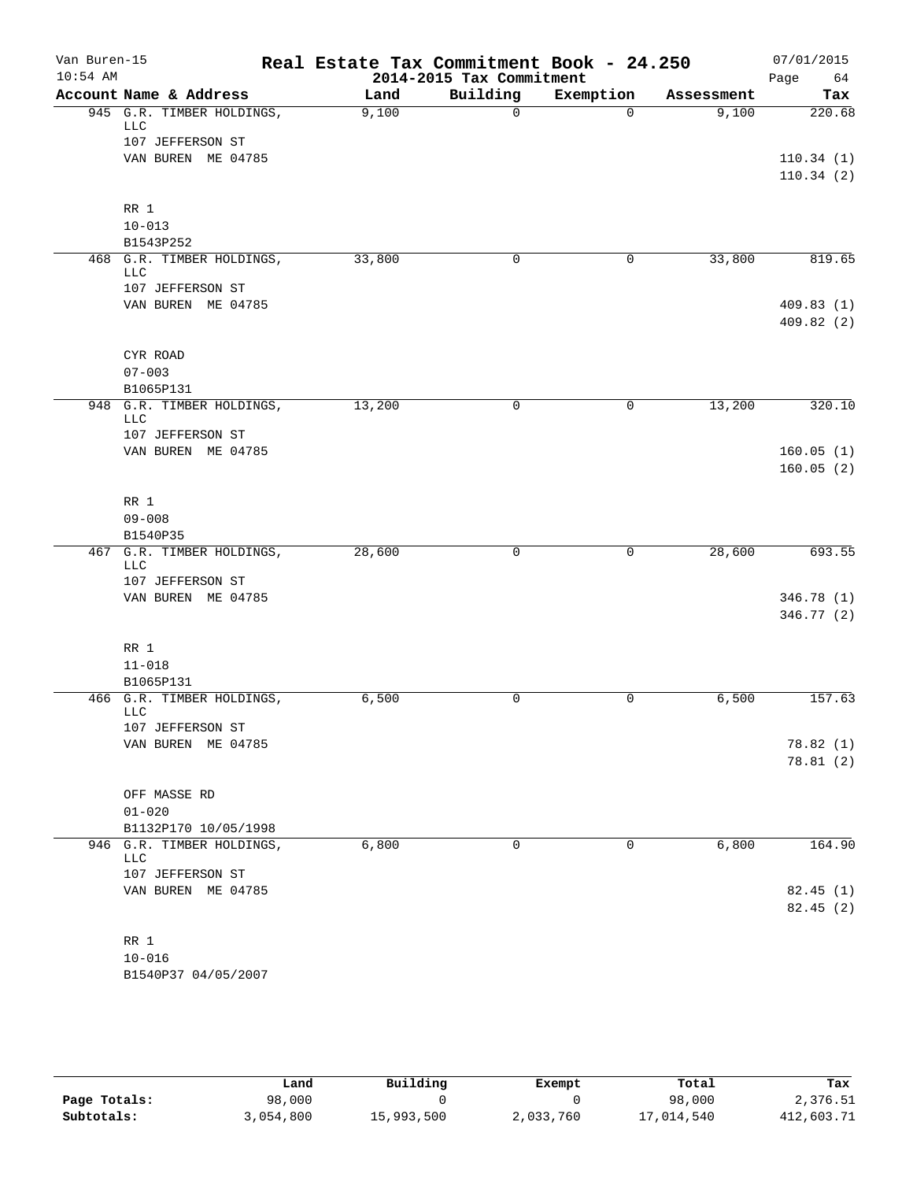| Van Buren-15<br>$10:54$ AM |                                         | Real Estate Tax Commitment Book - 24.250<br>2014-2015 Tax Commitment |             |             |            | 07/01/2015<br>Page<br>64 |  |
|----------------------------|-----------------------------------------|----------------------------------------------------------------------|-------------|-------------|------------|--------------------------|--|
|                            | Account Name & Address                  | Land                                                                 | Building    | Exemption   | Assessment | Tax                      |  |
|                            | 945 G.R. TIMBER HOLDINGS,<br><b>LLC</b> | 9,100                                                                | $\Omega$    | $\mathbf 0$ | 9,100      | 220.68                   |  |
|                            | 107 JEFFERSON ST<br>VAN BUREN ME 04785  |                                                                      |             |             |            | 110.34(1)                |  |
|                            |                                         |                                                                      |             |             |            | 110.34(2)                |  |
|                            | RR 1<br>$10 - 013$                      |                                                                      |             |             |            |                          |  |
|                            | B1543P252                               |                                                                      |             |             |            |                          |  |
|                            | 468 G.R. TIMBER HOLDINGS,<br>LLC        | 33,800                                                               | 0           | 0           | 33,800     | 819.65                   |  |
|                            | 107 JEFFERSON ST                        |                                                                      |             |             |            |                          |  |
|                            | VAN BUREN ME 04785                      |                                                                      |             |             |            | 409.83(1)<br>409.82(2)   |  |
|                            | CYR ROAD                                |                                                                      |             |             |            |                          |  |
|                            | $07 - 003$                              |                                                                      |             |             |            |                          |  |
|                            | B1065P131<br>948 G.R. TIMBER HOLDINGS,  | 13,200                                                               | $\mathbf 0$ | 0           | 13,200     | 320.10                   |  |
|                            | <b>LLC</b><br>107 JEFFERSON ST          |                                                                      |             |             |            |                          |  |
|                            | VAN BUREN ME 04785                      |                                                                      |             |             |            | 160.05(1)                |  |
|                            |                                         |                                                                      |             |             |            | 160.05(2)                |  |
|                            | RR 1                                    |                                                                      |             |             |            |                          |  |
|                            | $09 - 008$                              |                                                                      |             |             |            |                          |  |
|                            | B1540P35                                |                                                                      |             |             |            |                          |  |
|                            | 467 G.R. TIMBER HOLDINGS,<br><b>LLC</b> | 28,600                                                               | 0           | 0           | 28,600     | 693.55                   |  |
|                            | 107 JEFFERSON ST                        |                                                                      |             |             |            |                          |  |
|                            | VAN BUREN ME 04785                      |                                                                      |             |             |            | 346.78 (1)<br>346.77 (2) |  |
|                            | RR 1<br>$11 - 018$                      |                                                                      |             |             |            |                          |  |
|                            | B1065P131                               |                                                                      |             |             |            |                          |  |
|                            | 466 G.R. TIMBER HOLDINGS,<br><b>LLC</b> | 6,500                                                                | 0           | 0           | 6,500      | 157.63                   |  |
|                            | 107 JEFFERSON ST                        |                                                                      |             |             |            |                          |  |
|                            | VAN BUREN ME 04785                      |                                                                      |             |             |            | 78.82(1)                 |  |
|                            |                                         |                                                                      |             |             |            | 78.81(2)                 |  |
|                            | OFF MASSE RD                            |                                                                      |             |             |            |                          |  |
|                            | $01 - 020$<br>B1132P170 10/05/1998      |                                                                      |             |             |            |                          |  |
|                            | 946 G.R. TIMBER HOLDINGS,               | 6,800                                                                | $\mathbf 0$ | 0           | 6,800      | 164.90                   |  |
|                            | LLC<br>107 JEFFERSON ST                 |                                                                      |             |             |            |                          |  |
|                            | VAN BUREN ME 04785                      |                                                                      |             |             |            | 82.45(1)                 |  |
|                            |                                         |                                                                      |             |             |            | 82.45(2)                 |  |
|                            | RR 1                                    |                                                                      |             |             |            |                          |  |
|                            | $10 - 016$                              |                                                                      |             |             |            |                          |  |
|                            | B1540P37 04/05/2007                     |                                                                      |             |             |            |                          |  |

|              | Land      | Building   | Exempt    | Total      | Tax        |
|--------------|-----------|------------|-----------|------------|------------|
| Page Totals: | 98,000    |            |           | 98,000     | 2,376.51   |
| Subtotals:   | 3,054,800 | 15,993,500 | 2,033,760 | 17,014,540 | 412,603.71 |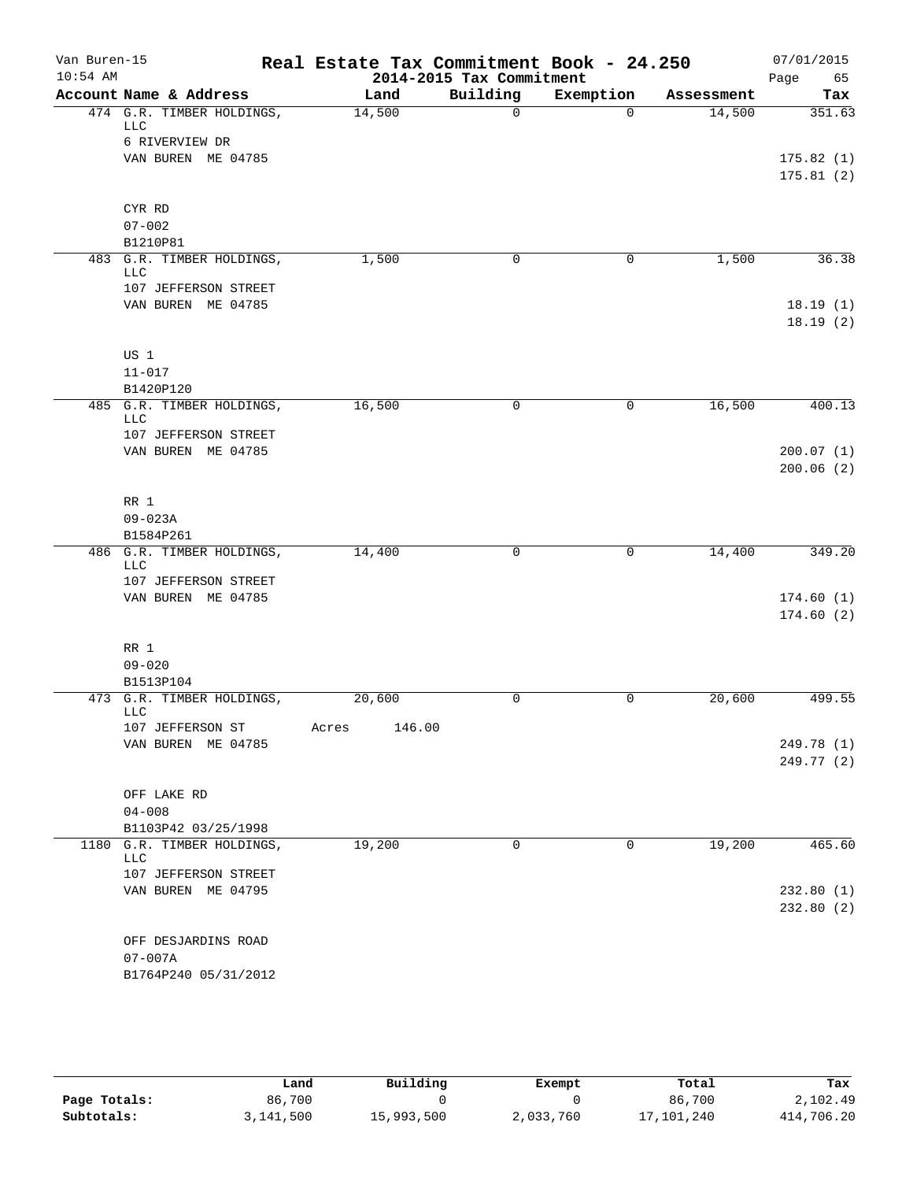| Van Buren-15<br>$10:54$ AM |                                                      | Real Estate Tax Commitment Book - 24.250<br>2014-2015 Tax Commitment |             |           | 07/01/2015<br>Page<br>65 |                        |
|----------------------------|------------------------------------------------------|----------------------------------------------------------------------|-------------|-----------|--------------------------|------------------------|
|                            | Account Name & Address                               | Land                                                                 | Building    | Exemption | Assessment               | Tax                    |
|                            | 474 G.R. TIMBER HOLDINGS,<br><b>LLC</b>              | 14,500                                                               | $\Omega$    | $\Omega$  | 14,500                   | 351.63                 |
|                            | 6 RIVERVIEW DR                                       |                                                                      |             |           |                          |                        |
|                            | VAN BUREN ME 04785                                   |                                                                      |             |           |                          | 175.82(1)<br>175.81(2) |
|                            | CYR RD                                               |                                                                      |             |           |                          |                        |
|                            | $07 - 002$                                           |                                                                      |             |           |                          |                        |
|                            | B1210P81                                             |                                                                      |             |           |                          |                        |
|                            | 483 G.R. TIMBER HOLDINGS,<br>LLC                     | 1,500                                                                | 0           | 0         | 1,500                    | 36.38                  |
|                            | 107 JEFFERSON STREET                                 |                                                                      |             |           |                          |                        |
|                            | VAN BUREN ME 04785                                   |                                                                      |             |           |                          | 18.19(1)<br>18.19(2)   |
|                            | US 1                                                 |                                                                      |             |           |                          |                        |
|                            | $11 - 017$                                           |                                                                      |             |           |                          |                        |
|                            | B1420P120                                            |                                                                      |             |           |                          |                        |
| 485                        | G.R. TIMBER HOLDINGS,<br>LLC<br>107 JEFFERSON STREET | 16,500                                                               | $\mathbf 0$ | 0         | 16,500                   | 400.13                 |
|                            | VAN BUREN ME 04785                                   |                                                                      |             |           |                          | 200.07(1)              |
|                            |                                                      |                                                                      |             |           |                          | 200.06(2)              |
|                            | RR 1                                                 |                                                                      |             |           |                          |                        |
|                            | $09 - 023A$                                          |                                                                      |             |           |                          |                        |
|                            | B1584P261                                            |                                                                      |             |           |                          |                        |
|                            | 486 G.R. TIMBER HOLDINGS,<br>LLC                     | 14,400                                                               | 0           | 0         | 14,400                   | 349.20                 |
|                            | 107 JEFFERSON STREET                                 |                                                                      |             |           |                          |                        |
|                            | VAN BUREN ME 04785                                   |                                                                      |             |           |                          | 174.60(1)<br>174.60(2) |
|                            | RR 1                                                 |                                                                      |             |           |                          |                        |
|                            | $09 - 020$                                           |                                                                      |             |           |                          |                        |
|                            | B1513P104<br>473 G.R. TIMBER HOLDINGS,               | 20,600                                                               | 0           | 0         | 20,600                   | 499.55                 |
|                            | <b>LLC</b>                                           |                                                                      |             |           |                          |                        |
|                            | 107 JEFFERSON ST<br>VAN BUREN ME 04785               | 146.00<br>Acres                                                      |             |           |                          | 249.78 (1)             |
|                            |                                                      |                                                                      |             |           |                          | 249.77 (2)             |
|                            | OFF LAKE RD                                          |                                                                      |             |           |                          |                        |
|                            | $04 - 008$                                           |                                                                      |             |           |                          |                        |
|                            | B1103P42 03/25/1998                                  |                                                                      |             |           |                          |                        |
| 1180                       | G.R. TIMBER HOLDINGS,<br>LLC                         | 19,200                                                               | $\mathbf 0$ | 0         | 19,200                   | 465.60                 |
|                            | 107 JEFFERSON STREET                                 |                                                                      |             |           |                          |                        |
|                            | VAN BUREN ME 04795                                   |                                                                      |             |           |                          | 232.80(1)<br>232.80(2) |
|                            | OFF DESJARDINS ROAD                                  |                                                                      |             |           |                          |                        |
|                            | $07 - 007A$                                          |                                                                      |             |           |                          |                        |
|                            | B1764P240 05/31/2012                                 |                                                                      |             |           |                          |                        |

|              | Land      | Building   | Exempt    | Total      | Tax        |  |
|--------------|-----------|------------|-----------|------------|------------|--|
| Page Totals: | 86,700    |            |           | 86,700     | 2,102.49   |  |
| Subtotals:   | 3,141,500 | 15,993,500 | 2,033,760 | 17,101,240 | 414,706.20 |  |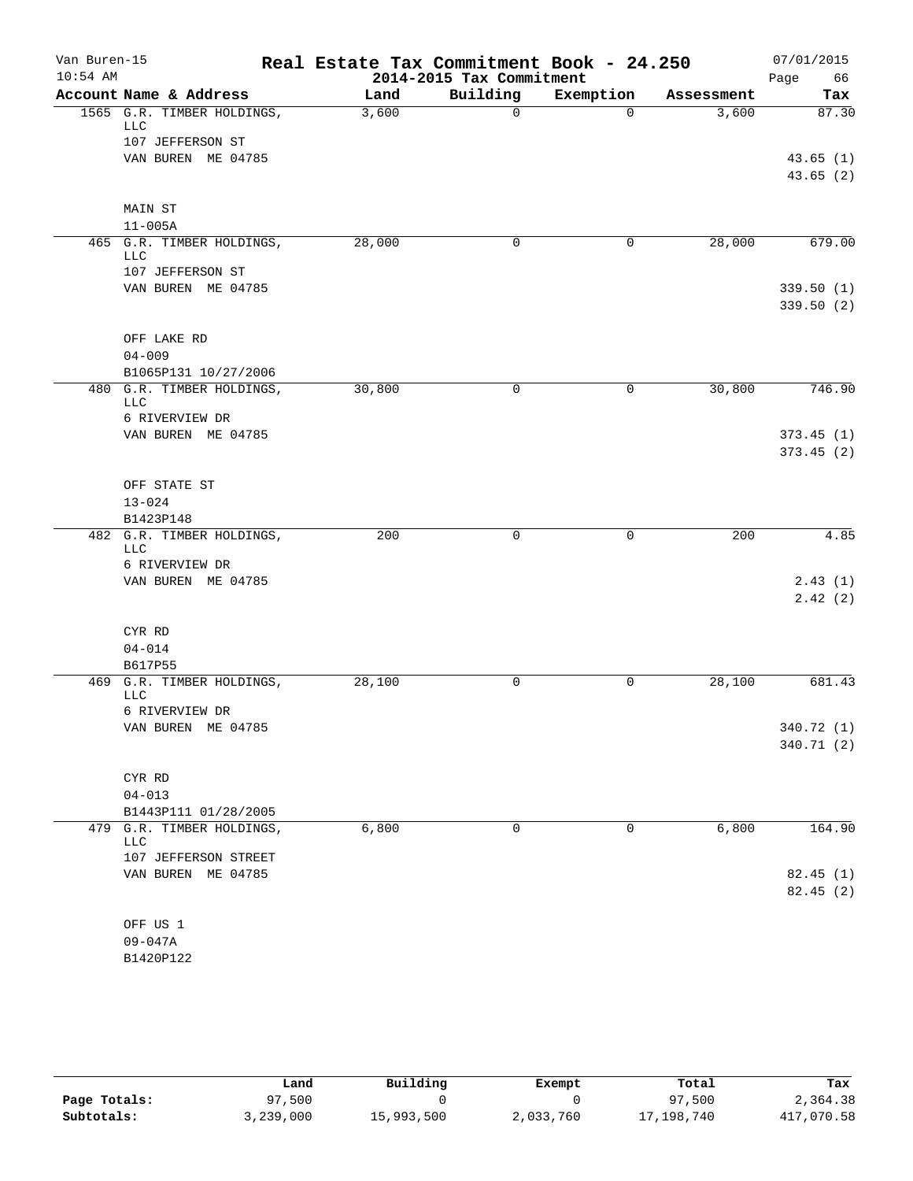| Van Buren-15<br>$10:54$ AM |                                         | Real Estate Tax Commitment Book - 24.250<br>2014-2015 Tax Commitment | 07/01/2015<br>Page<br>66 |           |            |                          |
|----------------------------|-----------------------------------------|----------------------------------------------------------------------|--------------------------|-----------|------------|--------------------------|
|                            | Account Name & Address                  | Land                                                                 | Building                 | Exemption | Assessment | Tax                      |
|                            | 1565 G.R. TIMBER HOLDINGS,<br>LLC       | 3,600                                                                | $\mathbf 0$              | $\Omega$  | 3,600      | 87.30                    |
|                            | 107 JEFFERSON ST                        |                                                                      |                          |           |            |                          |
|                            | VAN BUREN ME 04785                      |                                                                      |                          |           |            | 43.65(1)<br>43.65(2)     |
|                            |                                         |                                                                      |                          |           |            |                          |
|                            | MAIN ST<br>$11 - 005A$                  |                                                                      |                          |           |            |                          |
|                            | 465 G.R. TIMBER HOLDINGS,               | 28,000                                                               | 0                        | 0         | 28,000     | 679.00                   |
|                            | <b>LLC</b>                              |                                                                      |                          |           |            |                          |
|                            | 107 JEFFERSON ST                        |                                                                      |                          |           |            |                          |
|                            | VAN BUREN ME 04785                      |                                                                      |                          |           |            | 339.50(1)<br>339.50 (2)  |
|                            | OFF LAKE RD                             |                                                                      |                          |           |            |                          |
|                            | $04 - 009$                              |                                                                      |                          |           |            |                          |
|                            | B1065P131 10/27/2006                    |                                                                      |                          |           |            |                          |
| 480                        | G.R. TIMBER HOLDINGS,<br><b>LLC</b>     | 30,800                                                               | 0                        | 0         | 30,800     | 746.90                   |
|                            | 6 RIVERVIEW DR                          |                                                                      |                          |           |            |                          |
|                            | VAN BUREN ME 04785                      |                                                                      |                          |           |            | 373.45(1)                |
|                            |                                         |                                                                      |                          |           |            | 373.45(2)                |
|                            | OFF STATE ST                            |                                                                      |                          |           |            |                          |
|                            | $13 - 024$                              |                                                                      |                          |           |            |                          |
|                            | B1423P148                               |                                                                      |                          |           |            |                          |
|                            | 482 G.R. TIMBER HOLDINGS,<br><b>LLC</b> | 200                                                                  | 0                        | 0         | 200        | 4.85                     |
|                            | 6 RIVERVIEW DR                          |                                                                      |                          |           |            |                          |
|                            | VAN BUREN ME 04785                      |                                                                      |                          |           |            | 2.43(1)<br>2.42(2)       |
|                            | CYR RD                                  |                                                                      |                          |           |            |                          |
|                            | $04 - 014$                              |                                                                      |                          |           |            |                          |
|                            | B617P55                                 |                                                                      |                          |           |            |                          |
|                            | 469 G.R. TIMBER HOLDINGS,<br><b>LLC</b> | 28,100                                                               | 0                        | 0         | 28,100     | 681.43                   |
|                            | 6 RIVERVIEW DR                          |                                                                      |                          |           |            |                          |
|                            | VAN BUREN ME 04785                      |                                                                      |                          |           |            | 340.72 (1)<br>340.71 (2) |
|                            | CYR RD                                  |                                                                      |                          |           |            |                          |
|                            | $04 - 013$                              |                                                                      |                          |           |            |                          |
|                            | B1443P111 01/28/2005                    |                                                                      |                          |           |            |                          |
|                            | 479 G.R. TIMBER HOLDINGS,<br>LLC        | 6,800                                                                | 0                        | 0         | 6,800      | 164.90                   |
|                            | 107 JEFFERSON STREET                    |                                                                      |                          |           |            |                          |
|                            | VAN BUREN ME 04785                      |                                                                      |                          |           |            | 82.45(1)<br>82.45(2)     |
|                            | OFF US 1                                |                                                                      |                          |           |            |                          |
|                            | $09 - 047A$                             |                                                                      |                          |           |            |                          |
|                            | B1420P122                               |                                                                      |                          |           |            |                          |

|              | Land      | Building   | Exempt    | Total      | Tax        |
|--------------|-----------|------------|-----------|------------|------------|
| Page Totals: | 97,500    |            |           | 97,500     | 2,364.38   |
| Subtotals:   | 3,239,000 | 15,993,500 | 2,033,760 | 17,198,740 | 417,070.58 |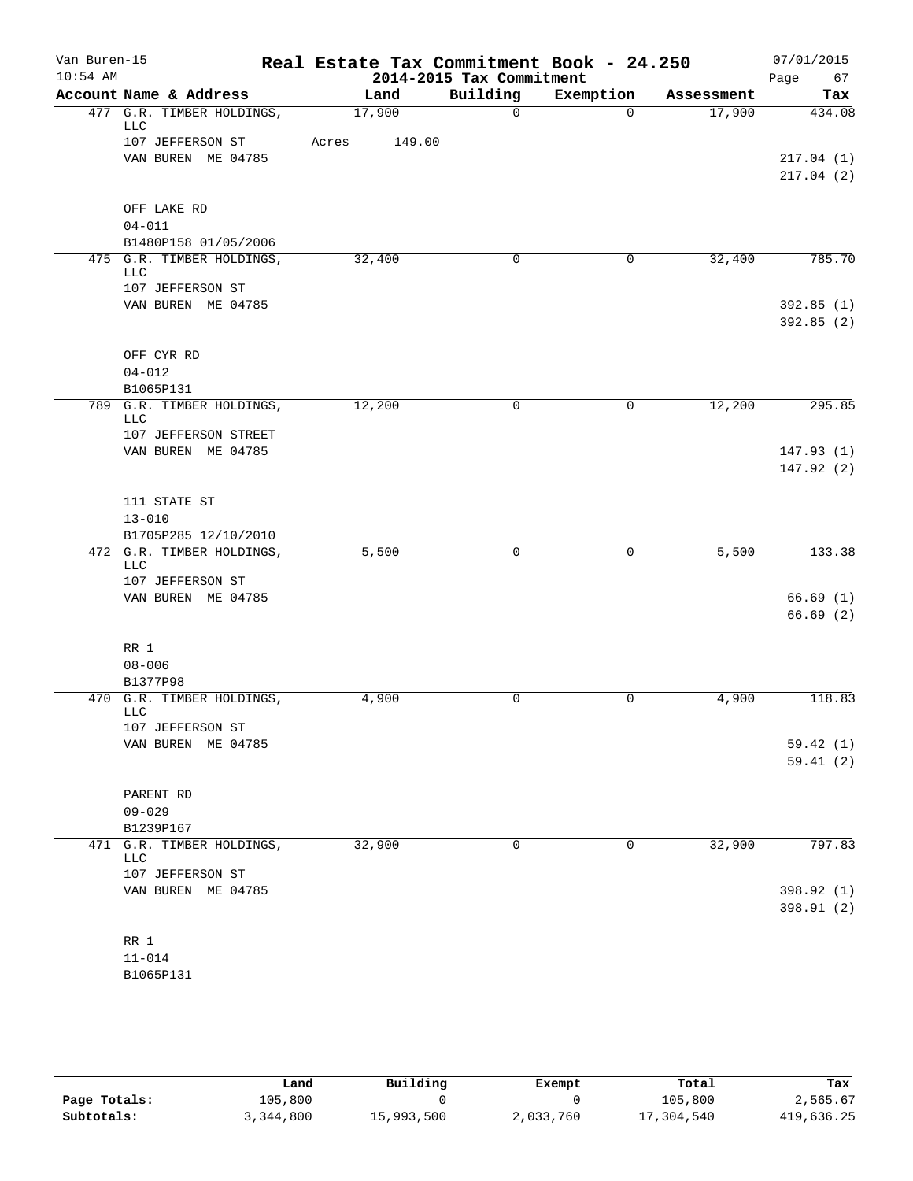| Van Buren-15<br>$10:54$ AM |                                                      |       |        | 2014-2015 Tax Commitment | Real Estate Tax Commitment Book - 24.250 |            | 07/01/2015<br>Page<br>67 |
|----------------------------|------------------------------------------------------|-------|--------|--------------------------|------------------------------------------|------------|--------------------------|
|                            | Account Name & Address                               |       | Land   | Building                 | Exemption                                | Assessment | Tax                      |
|                            | 477 G.R. TIMBER HOLDINGS,<br>LLC                     |       | 17,900 | $\mathbf 0$              | $\Omega$                                 | 17,900     | 434.08                   |
|                            | 107 JEFFERSON ST                                     | Acres | 149.00 |                          |                                          |            |                          |
|                            | VAN BUREN ME 04785                                   |       |        |                          |                                          |            | 217.04(1)<br>217.04(2)   |
|                            | OFF LAKE RD                                          |       |        |                          |                                          |            |                          |
|                            | $04 - 011$                                           |       |        |                          |                                          |            |                          |
|                            | B1480P158 01/05/2006                                 |       |        |                          |                                          |            | 785.70                   |
|                            | 475 G.R. TIMBER HOLDINGS,<br>LLC<br>107 JEFFERSON ST |       | 32,400 | 0                        | $\mathbf 0$                              | 32,400     |                          |
|                            | VAN BUREN ME 04785                                   |       |        |                          |                                          |            | 392.85(1)<br>392.85(2)   |
|                            | OFF CYR RD                                           |       |        |                          |                                          |            |                          |
|                            | $04 - 012$<br>B1065P131                              |       |        |                          |                                          |            |                          |
|                            | 789 G.R. TIMBER HOLDINGS,<br><b>LLC</b>              |       | 12,200 | 0                        | $\mathbf 0$                              | 12,200     | 295.85                   |
|                            | 107 JEFFERSON STREET                                 |       |        |                          |                                          |            |                          |
|                            | VAN BUREN ME 04785                                   |       |        |                          |                                          |            | 147.93(1)<br>147.92(2)   |
|                            | 111 STATE ST                                         |       |        |                          |                                          |            |                          |
|                            | $13 - 010$<br>B1705P285 12/10/2010                   |       |        |                          |                                          |            |                          |
|                            | 472 G.R. TIMBER HOLDINGS,<br>LLC                     |       | 5,500  | $\mathbf 0$              | 0                                        | 5,500      | 133.38                   |
|                            | 107 JEFFERSON ST                                     |       |        |                          |                                          |            |                          |
|                            | VAN BUREN ME 04785                                   |       |        |                          |                                          |            | 66.69(1)                 |
|                            |                                                      |       |        |                          |                                          |            | 66.69(2)                 |
|                            | RR 1<br>$08 - 006$                                   |       |        |                          |                                          |            |                          |
|                            | B1377P98                                             |       |        |                          |                                          |            |                          |
|                            | 470 G.R. TIMBER HOLDINGS,<br>LLC                     |       | 4,900  | $\mathbf 0$              | 0                                        | 4,900      | 118.83                   |
|                            | 107 JEFFERSON ST                                     |       |        |                          |                                          |            |                          |
|                            | VAN BUREN ME 04785                                   |       |        |                          |                                          |            | 59.42 (1)<br>59.41(2)    |
|                            | PARENT RD                                            |       |        |                          |                                          |            |                          |
|                            | $09 - 029$                                           |       |        |                          |                                          |            |                          |
|                            | B1239P167                                            |       |        |                          |                                          |            |                          |
|                            | 471 G.R. TIMBER HOLDINGS,<br>LLC<br>107 JEFFERSON ST |       | 32,900 | $\mathbf 0$              | 0                                        | 32,900     | 797.83                   |
|                            | VAN BUREN ME 04785                                   |       |        |                          |                                          |            | 398.92 (1)               |
|                            |                                                      |       |        |                          |                                          |            | 398.91 (2)               |
|                            | RR 1                                                 |       |        |                          |                                          |            |                          |
|                            | $11 - 014$                                           |       |        |                          |                                          |            |                          |
|                            | B1065P131                                            |       |        |                          |                                          |            |                          |

|              | Land      | Building   | Exempt    | Total      | Tax        |  |
|--------------|-----------|------------|-----------|------------|------------|--|
| Page Totals: | 105,800   |            |           | 105,800    | 2,565.67   |  |
| Subtotals:   | 3,344,800 | 15,993,500 | 2,033,760 | 17,304,540 | 419,636.25 |  |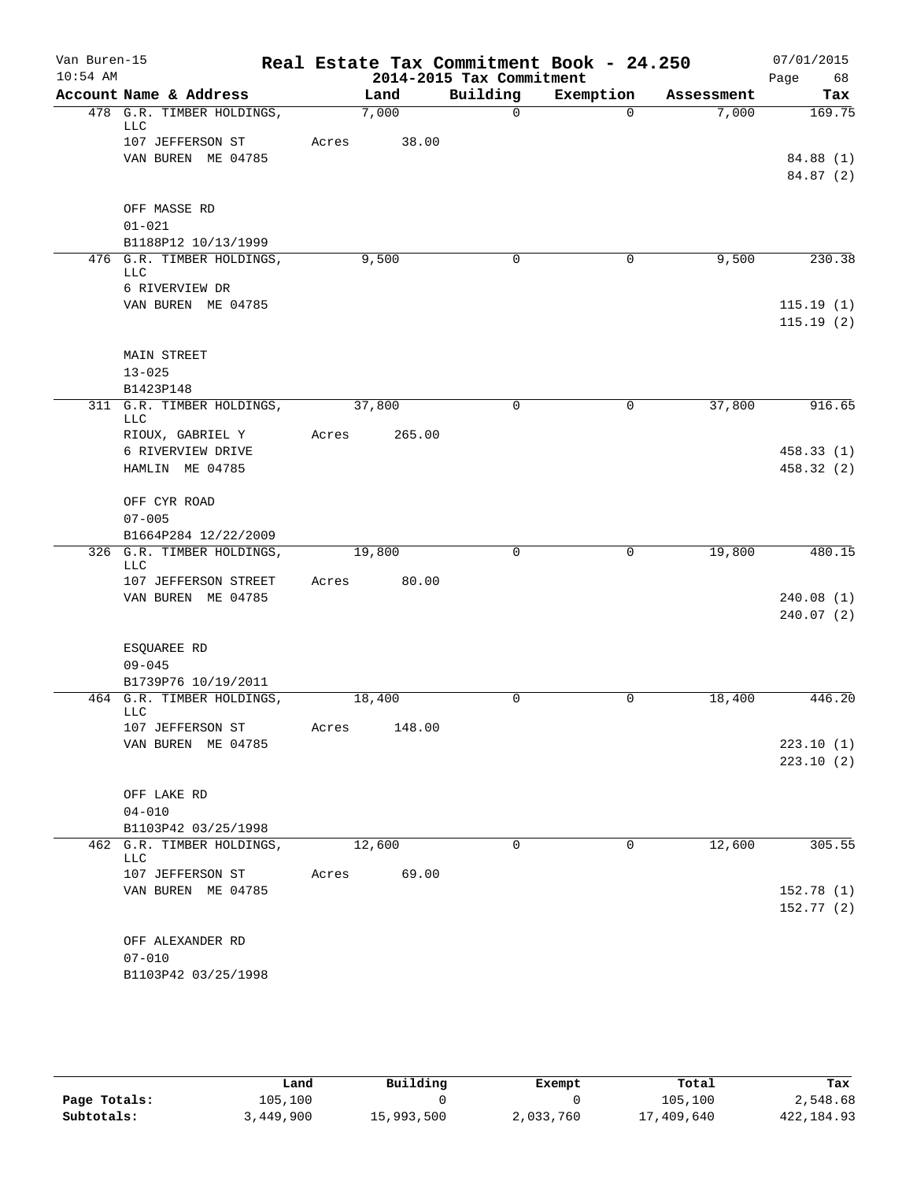| Van Buren-15 |                                                  |       |        |                          | Real Estate Tax Commitment Book - 24.250 |            | 07/01/2015 |
|--------------|--------------------------------------------------|-------|--------|--------------------------|------------------------------------------|------------|------------|
| $10:54$ AM   |                                                  |       |        | 2014-2015 Tax Commitment |                                          |            | Page<br>68 |
|              | Account Name & Address                           |       | Land   | Building                 | Exemption                                | Assessment | Tax        |
|              | 478 G.R. TIMBER HOLDINGS,<br>LLC                 |       | 7,000  | $\mathbf 0$              | $\Omega$                                 | 7,000      | 169.75     |
|              | 107 JEFFERSON ST                                 | Acres | 38.00  |                          |                                          |            |            |
|              | VAN BUREN ME 04785                               |       |        |                          |                                          |            | 84.88 (1)  |
|              |                                                  |       |        |                          |                                          |            | 84.87 (2)  |
|              | OFF MASSE RD                                     |       |        |                          |                                          |            |            |
|              | $01 - 021$                                       |       |        |                          |                                          |            |            |
|              | B1188P12 10/13/1999                              |       |        |                          |                                          |            |            |
|              | 476 G.R. TIMBER HOLDINGS,<br>LLC                 |       | 9,500  | 0                        | 0                                        | 9,500      | 230.38     |
|              | 6 RIVERVIEW DR                                   |       |        |                          |                                          |            |            |
|              | VAN BUREN ME 04785                               |       |        |                          |                                          |            | 115.19(1)  |
|              |                                                  |       |        |                          |                                          |            | 115.19(2)  |
|              |                                                  |       |        |                          |                                          |            |            |
|              | <b>MAIN STREET</b><br>$13 - 025$                 |       |        |                          |                                          |            |            |
|              | B1423P148                                        |       |        |                          |                                          |            |            |
|              | 311 G.R. TIMBER HOLDINGS,                        |       | 37,800 | $\mathbf 0$              | 0                                        | 37,800     | 916.65     |
|              | LLC<br>RIOUX, GABRIEL Y                          | Acres | 265.00 |                          |                                          |            |            |
|              | 6 RIVERVIEW DRIVE                                |       |        |                          |                                          |            | 458.33(1)  |
|              | HAMLIN ME 04785                                  |       |        |                          |                                          |            | 458.32 (2) |
|              |                                                  |       |        |                          |                                          |            |            |
|              | OFF CYR ROAD<br>$07 - 005$                       |       |        |                          |                                          |            |            |
|              | B1664P284 12/22/2009                             |       |        |                          |                                          |            |            |
|              | 326 G.R. TIMBER HOLDINGS,                        |       | 19,800 | $\mathbf 0$              | 0                                        | 19,800     | 480.15     |
|              | LLC                                              |       |        |                          |                                          |            |            |
|              | 107 JEFFERSON STREET<br>VAN BUREN ME 04785       | Acres | 80.00  |                          |                                          |            | 240.08(1)  |
|              |                                                  |       |        |                          |                                          |            | 240.07(2)  |
|              |                                                  |       |        |                          |                                          |            |            |
|              | ESQUAREE RD                                      |       |        |                          |                                          |            |            |
|              | $09 - 045$<br>B1739P76 10/19/2011                |       |        |                          |                                          |            |            |
|              | 464 G.R. TIMBER HOLDINGS,                        |       | 18,400 | 0                        | $\mathbf 0$                              | 18,400     | 446.20     |
|              | <b>LLC</b>                                       |       |        |                          |                                          |            |            |
|              | 107 JEFFERSON ST<br>VAN BUREN ME 04785           | Acres | 148.00 |                          |                                          |            | 223.10(1)  |
|              |                                                  |       |        |                          |                                          |            | 223.10(2)  |
|              |                                                  |       |        |                          |                                          |            |            |
|              | OFF LAKE RD                                      |       |        |                          |                                          |            |            |
|              | $04 - 010$                                       |       |        |                          |                                          |            |            |
|              | B1103P42 03/25/1998<br>462 G.R. TIMBER HOLDINGS, |       | 12,600 | 0                        | 0                                        | 12,600     | 305.55     |
|              | LLC                                              |       |        |                          |                                          |            |            |
|              | 107 JEFFERSON ST                                 | Acres | 69.00  |                          |                                          |            |            |
|              | VAN BUREN ME 04785                               |       |        |                          |                                          |            | 152.78(1)  |
|              |                                                  |       |        |                          |                                          |            | 152.77(2)  |
|              | OFF ALEXANDER RD                                 |       |        |                          |                                          |            |            |
|              | $07 - 010$                                       |       |        |                          |                                          |            |            |
|              | B1103P42 03/25/1998                              |       |        |                          |                                          |            |            |

|              | Land      | Building   | Exempt    | Total      | Tax        |
|--------------|-----------|------------|-----------|------------|------------|
| Page Totals: | 105,100   |            |           | 105,100    | 2,548.68   |
| Subtotals:   | 3,449,900 | 15,993,500 | 2,033,760 | 17,409,640 | 422,184.93 |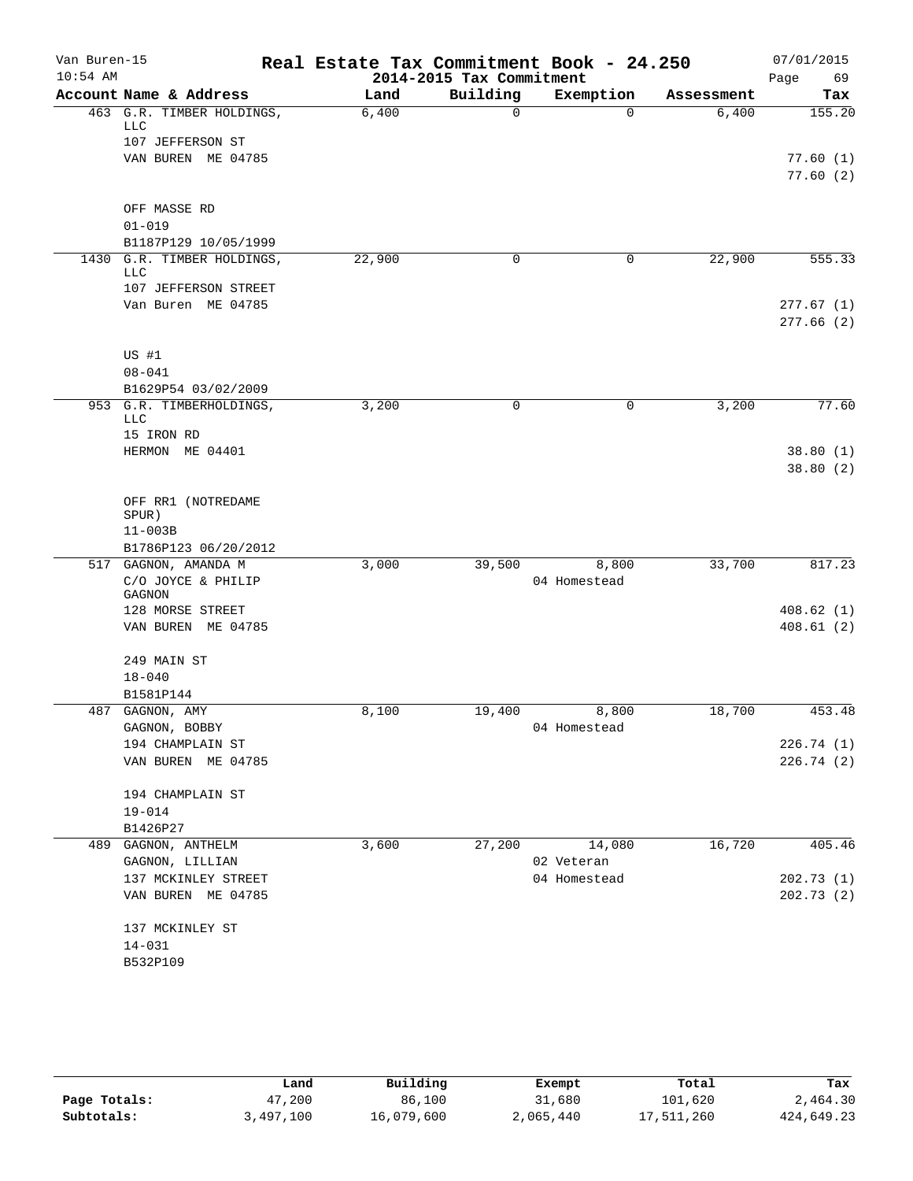| Van Buren-15<br>$10:54$ AM |                                                             | Real Estate Tax Commitment Book - 24.250 | 2014-2015 Tax Commitment |                       |            | 07/01/2015<br>Page<br>69 |
|----------------------------|-------------------------------------------------------------|------------------------------------------|--------------------------|-----------------------|------------|--------------------------|
|                            | Account Name & Address                                      | Land                                     | Building                 | Exemption             | Assessment | Tax                      |
|                            | 463 G.R. TIMBER HOLDINGS,<br><b>LLC</b><br>107 JEFFERSON ST | 6,400                                    | $\mathbf 0$              | $\Omega$              | 6,400      | 155.20                   |
|                            | VAN BUREN ME 04785                                          |                                          |                          |                       |            | 77.60(1)<br>77.60(2)     |
|                            | OFF MASSE RD<br>$01 - 019$                                  |                                          |                          |                       |            |                          |
|                            | B1187P129 10/05/1999                                        |                                          |                          |                       |            |                          |
| 1430                       | G.R. TIMBER HOLDINGS,<br><b>LLC</b><br>107 JEFFERSON STREET | 22,900                                   | 0                        | 0                     | 22,900     | 555.33                   |
|                            | Van Buren ME 04785                                          |                                          |                          |                       |            | 277.67(1)<br>277.66(2)   |
|                            | US #1<br>$08 - 041$<br>B1629P54 03/02/2009                  |                                          |                          |                       |            |                          |
|                            | 953 G.R. TIMBERHOLDINGS,                                    | 3,200                                    | 0                        | 0                     | 3,200      | 77.60                    |
|                            | <b>LLC</b><br>15 IRON RD                                    |                                          |                          |                       |            |                          |
|                            | HERMON ME 04401                                             |                                          |                          |                       |            | 38.80(1)<br>38.80(2)     |
|                            | OFF RR1 (NOTREDAME<br>SPUR)                                 |                                          |                          |                       |            |                          |
|                            | $11 - 003B$                                                 |                                          |                          |                       |            |                          |
|                            | B1786P123 06/20/2012<br>517 GAGNON, AMANDA M                | 3,000                                    | 39,500                   | 8,800                 | 33,700     | 817.23                   |
|                            | C/O JOYCE & PHILIP<br>GAGNON                                |                                          |                          | 04 Homestead          |            |                          |
|                            | 128 MORSE STREET<br>VAN BUREN ME 04785                      |                                          |                          |                       |            | 408.62(1)<br>408.61(2)   |
|                            | 249 MAIN ST<br>$18 - 040$                                   |                                          |                          |                       |            |                          |
|                            | B1581P144                                                   |                                          |                          |                       |            |                          |
|                            | 487 GAGNON, AMY<br>GAGNON, BOBBY                            | 8,100                                    | 19,400                   | 8,800<br>04 Homestead | 18,700     | 453.48                   |
|                            | 194 CHAMPLAIN ST                                            |                                          |                          |                       |            | 226.74(1)                |
|                            | VAN BUREN ME 04785                                          |                                          |                          |                       |            | 226.74(2)                |
|                            | 194 CHAMPLAIN ST<br>$19 - 014$                              |                                          |                          |                       |            |                          |
|                            | B1426P27                                                    |                                          |                          |                       |            |                          |
| 489                        | GAGNON, ANTHELM<br>GAGNON, LILLIAN                          | 3,600                                    | 27,200                   | 14,080<br>02 Veteran  | 16,720     | 405.46                   |
|                            | 137 MCKINLEY STREET                                         |                                          |                          | 04 Homestead          |            | 202.73(1)                |
|                            | VAN BUREN ME 04785                                          |                                          |                          |                       |            | 202.73(2)                |
|                            | 137 MCKINLEY ST                                             |                                          |                          |                       |            |                          |
|                            | $14 - 031$                                                  |                                          |                          |                       |            |                          |
|                            | B532P109                                                    |                                          |                          |                       |            |                          |

|              | Land      | Building   | Exempt    | Total      | Tax        |
|--------------|-----------|------------|-----------|------------|------------|
| Page Totals: | 47,200    | 86,100     | 31,680    | 101,620    | 2,464.30   |
| Subtotals:   | 3,497,100 | 16,079,600 | 2,065,440 | 17,511,260 | 424,649.23 |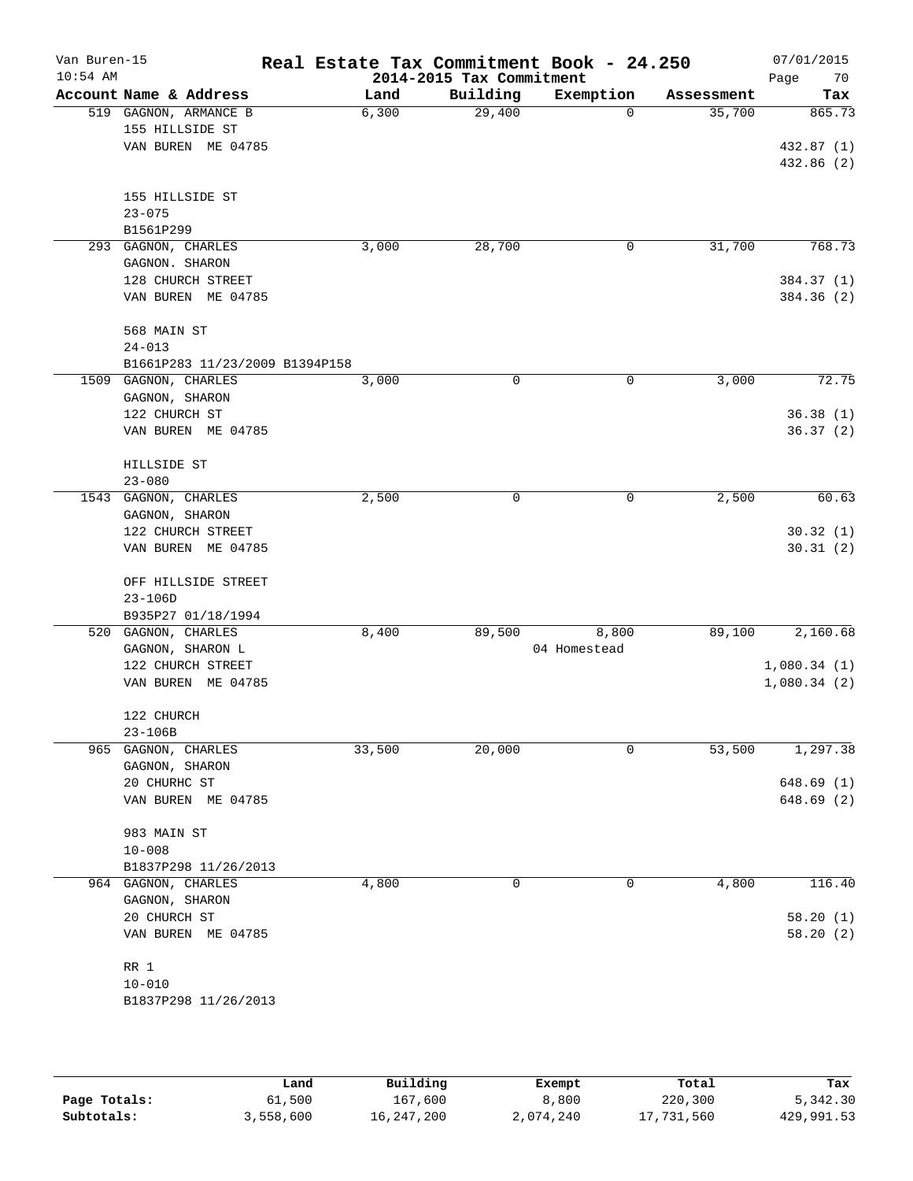| Van Buren-15<br>$10:54$ AM |                                         | Real Estate Tax Commitment Book - 24.250 | 2014-2015 Tax Commitment |                       |            | 07/01/2015<br>70<br>Page |
|----------------------------|-----------------------------------------|------------------------------------------|--------------------------|-----------------------|------------|--------------------------|
|                            | Account Name & Address                  | Land                                     | Building                 | Exemption             | Assessment | Tax                      |
|                            | 519 GAGNON, ARMANCE B                   | 6,300                                    | 29,400                   | $\Omega$              | 35,700     | 865.73                   |
|                            | 155 HILLSIDE ST                         |                                          |                          |                       |            |                          |
|                            | VAN BUREN ME 04785                      |                                          |                          |                       |            | 432.87 (1)               |
|                            |                                         |                                          |                          |                       |            | 432.86 (2)               |
|                            | 155 HILLSIDE ST                         |                                          |                          |                       |            |                          |
|                            | $23 - 075$                              |                                          |                          |                       |            |                          |
|                            | B1561P299                               |                                          |                          |                       |            |                          |
|                            | 293 GAGNON, CHARLES                     | 3,000                                    | 28,700                   | 0                     | 31,700     | 768.73                   |
|                            | GAGNON. SHARON                          |                                          |                          |                       |            |                          |
|                            | 128 CHURCH STREET                       |                                          |                          |                       |            | 384.37 (1)               |
|                            | VAN BUREN ME 04785                      |                                          |                          |                       |            | 384.36 (2)               |
|                            |                                         |                                          |                          |                       |            |                          |
|                            | 568 MAIN ST<br>$24 - 013$               |                                          |                          |                       |            |                          |
|                            | B1661P283 11/23/2009 B1394P158          |                                          |                          |                       |            |                          |
|                            | 1509 GAGNON, CHARLES                    | 3,000                                    | $\mathbf 0$              | 0                     | 3,000      | 72.75                    |
|                            | GAGNON, SHARON                          |                                          |                          |                       |            |                          |
|                            | 122 CHURCH ST                           |                                          |                          |                       |            | 36.38(1)                 |
|                            | VAN BUREN ME 04785                      |                                          |                          |                       |            | 36.37(2)                 |
|                            |                                         |                                          |                          |                       |            |                          |
|                            | HILLSIDE ST                             |                                          |                          |                       |            |                          |
|                            | $23 - 080$<br>1543 GAGNON, CHARLES      | 2,500                                    | 0                        | 0                     | 2,500      | 60.63                    |
|                            | GAGNON, SHARON                          |                                          |                          |                       |            |                          |
|                            | 122 CHURCH STREET                       |                                          |                          |                       |            | 30.32(1)                 |
|                            | VAN BUREN ME 04785                      |                                          |                          |                       |            | 30.31(2)                 |
|                            |                                         |                                          |                          |                       |            |                          |
|                            | OFF HILLSIDE STREET                     |                                          |                          |                       |            |                          |
|                            | $23 - 106D$                             |                                          |                          |                       |            |                          |
|                            | B935P27 01/18/1994                      |                                          |                          |                       |            |                          |
|                            | 520 GAGNON, CHARLES<br>GAGNON, SHARON L | 8,400                                    | 89,500                   | 8,800<br>04 Homestead | 89,100     | 2,160.68                 |
|                            | 122 CHURCH STREET                       |                                          |                          |                       |            | 1,080.34(1)              |
|                            | VAN BUREN ME 04785                      |                                          |                          |                       |            | 1,080.34(2)              |
|                            |                                         |                                          |                          |                       |            |                          |
|                            | 122 CHURCH                              |                                          |                          |                       |            |                          |
|                            | 23-106B                                 |                                          |                          |                       |            |                          |
|                            | 965 GAGNON, CHARLES                     | 33,500                                   | 20,000                   | 0                     | 53,500     | 1,297.38                 |
|                            | GAGNON, SHARON                          |                                          |                          |                       |            |                          |
|                            | 20 CHURHC ST                            |                                          |                          |                       |            | 648.69(1)                |
|                            | VAN BUREN ME 04785                      |                                          |                          |                       |            | 648.69(2)                |
|                            | 983 MAIN ST                             |                                          |                          |                       |            |                          |
|                            | $10 - 008$                              |                                          |                          |                       |            |                          |
|                            | B1837P298 11/26/2013                    |                                          |                          |                       |            |                          |
|                            | 964 GAGNON, CHARLES                     | 4,800                                    | 0                        | 0                     | 4,800      | 116.40                   |
|                            | GAGNON, SHARON                          |                                          |                          |                       |            |                          |
|                            | 20 CHURCH ST                            |                                          |                          |                       |            | 58.20(1)                 |
|                            | VAN BUREN ME 04785                      |                                          |                          |                       |            | 58.20(2)                 |
|                            | RR 1                                    |                                          |                          |                       |            |                          |
|                            | $10 - 010$                              |                                          |                          |                       |            |                          |
|                            | B1837P298 11/26/2013                    |                                          |                          |                       |            |                          |
|                            |                                         |                                          |                          |                       |            |                          |
|                            |                                         |                                          |                          |                       |            |                          |

|              | Land      | Building     | Exempt    | Total      | Tax        |
|--------------|-----------|--------------|-----------|------------|------------|
| Page Totals: | 61,500    | 167,600      | 8,800     | 220,300    | 5,342.30   |
| Subtotals:   | 3,558,600 | 16, 247, 200 | 2,074,240 | 17,731,560 | 429,991.53 |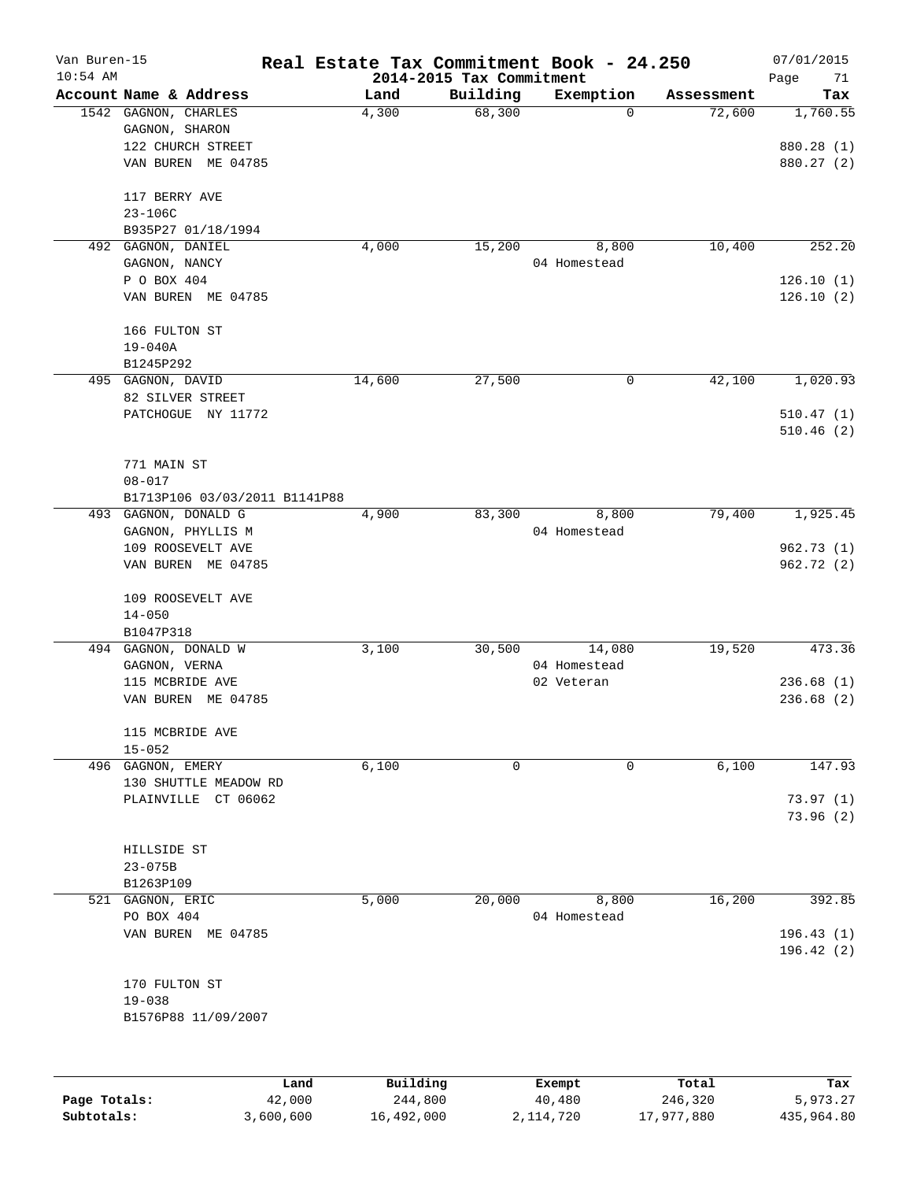| Van Buren-15<br>$10:54$ AM |                               | Real Estate Tax Commitment Book - 24.250 |          |              |            | 07/01/2015        |
|----------------------------|-------------------------------|------------------------------------------|----------|--------------|------------|-------------------|
|                            | Account Name & Address        | 2014-2015 Tax Commitment<br>Land         | Building | Exemption    | Assessment | Page<br>71<br>Tax |
|                            | 1542 GAGNON, CHARLES          | 4,300                                    | 68,300   | 0            | 72,600     | 1,760.55          |
|                            | GAGNON, SHARON                |                                          |          |              |            |                   |
|                            | 122 CHURCH STREET             |                                          |          |              |            | 880.28 (1)        |
|                            | VAN BUREN ME 04785            |                                          |          |              |            | 880.27 (2)        |
|                            |                               |                                          |          |              |            |                   |
|                            | 117 BERRY AVE                 |                                          |          |              |            |                   |
|                            | $23 - 106C$                   |                                          |          |              |            |                   |
|                            | B935P27 01/18/1994            |                                          |          |              |            |                   |
|                            | 492 GAGNON, DANIEL            | 4,000                                    | 15,200   | 8,800        | 10,400     | 252.20            |
|                            | GAGNON, NANCY                 |                                          |          | 04 Homestead |            |                   |
|                            | P O BOX 404                   |                                          |          |              |            | 126.10(1)         |
|                            | VAN BUREN ME 04785            |                                          |          |              |            | 126.10(2)         |
|                            | 166 FULTON ST                 |                                          |          |              |            |                   |
|                            | $19 - 040A$                   |                                          |          |              |            |                   |
|                            | B1245P292                     |                                          |          |              |            |                   |
|                            | 495 GAGNON, DAVID             | 14,600                                   | 27,500   | 0            | 42,100     | 1,020.93          |
|                            | 82 SILVER STREET              |                                          |          |              |            |                   |
|                            | PATCHOGUE NY 11772            |                                          |          |              |            | 510.47(1)         |
|                            |                               |                                          |          |              |            | 510.46(2)         |
|                            | 771 MAIN ST                   |                                          |          |              |            |                   |
|                            | $08 - 017$                    |                                          |          |              |            |                   |
|                            | B1713P106 03/03/2011 B1141P88 |                                          |          |              |            |                   |
|                            | 493 GAGNON, DONALD G          | 4,900                                    | 83,300   | 8,800        | 79,400     | 1,925.45          |
|                            | GAGNON, PHYLLIS M             |                                          |          | 04 Homestead |            |                   |
|                            | 109 ROOSEVELT AVE             |                                          |          |              |            | 962.73(1)         |
|                            | VAN BUREN ME 04785            |                                          |          |              |            | 962.72 (2)        |
|                            |                               |                                          |          |              |            |                   |
|                            | 109 ROOSEVELT AVE             |                                          |          |              |            |                   |
|                            | $14 - 050$                    |                                          |          |              |            |                   |
|                            | B1047P318                     |                                          |          |              |            |                   |
|                            | 494 GAGNON, DONALD W          | 3,100                                    | 30,500   | 14,080       | 19,520     | 473.36            |
|                            | GAGNON, VERNA                 |                                          |          | 04 Homestead |            |                   |
|                            | 115 MCBRIDE AVE               |                                          |          | 02 Veteran   |            | 236.68(1)         |
|                            | VAN BUREN ME 04785            |                                          |          |              |            | 236.68(2)         |
|                            |                               |                                          |          |              |            |                   |
|                            | 115 MCBRIDE AVE<br>$15 - 052$ |                                          |          |              |            |                   |
|                            | 496 GAGNON, EMERY             | 6,100                                    | 0        | 0            | 6,100      | 147.93            |
|                            | 130 SHUTTLE MEADOW RD         |                                          |          |              |            |                   |
|                            | PLAINVILLE CT 06062           |                                          |          |              |            | 73.97(1)          |
|                            |                               |                                          |          |              |            | 73.96(2)          |
|                            |                               |                                          |          |              |            |                   |
|                            | HILLSIDE ST                   |                                          |          |              |            |                   |
|                            | $23 - 075B$                   |                                          |          |              |            |                   |
|                            | B1263P109                     |                                          |          |              |            |                   |
| 521                        | GAGNON, ERIC                  | 5,000                                    | 20,000   | 8,800        | 16,200     | 392.85            |
|                            | PO BOX 404                    |                                          |          | 04 Homestead |            |                   |
|                            | VAN BUREN ME 04785            |                                          |          |              |            | 196.43(1)         |
|                            |                               |                                          |          |              |            | 196.42 (2)        |
|                            | 170 FULTON ST                 |                                          |          |              |            |                   |
|                            | $19 - 038$                    |                                          |          |              |            |                   |
|                            | B1576P88 11/09/2007           |                                          |          |              |            |                   |
|                            |                               |                                          |          |              |            |                   |
|                            |                               |                                          |          |              |            |                   |
|                            | Land                          | Building                                 |          | Exempt       | Total      | Tax               |
| Page Totals:               | 42,000                        | 244,800                                  |          | 40,480       | 246,320    | 5,973.27          |

**Subtotals:** 3,600,600 16,492,000 2,114,720 17,977,880 435,964.80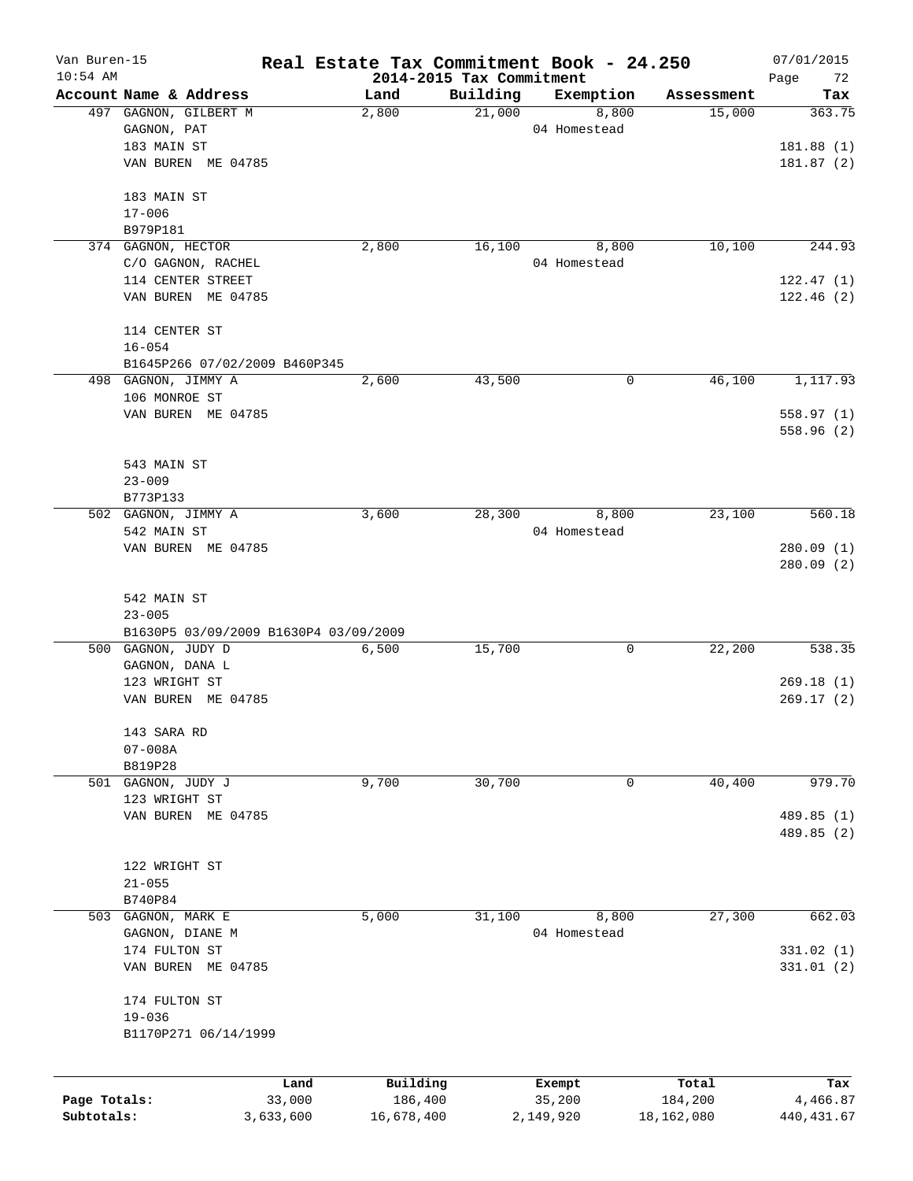| Van Buren-15<br>$10:54$ AM |                                       |      |                                  |          | Real Estate Tax Commitment Book - 24.250 |            | 07/01/2015        |
|----------------------------|---------------------------------------|------|----------------------------------|----------|------------------------------------------|------------|-------------------|
|                            | Account Name & Address                |      | 2014-2015 Tax Commitment<br>Land | Building | Exemption                                | Assessment | Page<br>72<br>Tax |
|                            | 497 GAGNON, GILBERT M                 |      | 2,800                            | 21,000   | 8,800                                    | 15,000     | 363.75            |
|                            | GAGNON, PAT                           |      |                                  |          | 04 Homestead                             |            |                   |
|                            | 183 MAIN ST                           |      |                                  |          |                                          |            | 181.88(1)         |
|                            | VAN BUREN ME 04785                    |      |                                  |          |                                          |            | 181.87(2)         |
|                            | 183 MAIN ST                           |      |                                  |          |                                          |            |                   |
|                            | $17 - 006$                            |      |                                  |          |                                          |            |                   |
|                            | B979P181                              |      |                                  |          |                                          |            |                   |
|                            | 374 GAGNON, HECTOR                    |      | 2,800                            | 16,100   | 8,800                                    | 10,100     | 244.93            |
|                            | C/O GAGNON, RACHEL                    |      |                                  |          | 04 Homestead                             |            |                   |
|                            | 114 CENTER STREET                     |      |                                  |          |                                          |            | 122.47(1)         |
|                            | VAN BUREN ME 04785                    |      |                                  |          |                                          |            | 122.46(2)         |
|                            | 114 CENTER ST                         |      |                                  |          |                                          |            |                   |
|                            | $16 - 054$                            |      |                                  |          |                                          |            |                   |
|                            | B1645P266 07/02/2009 B460P345         |      |                                  |          |                                          |            |                   |
|                            | 498 GAGNON, JIMMY A                   |      | 2,600                            | 43,500   | 0                                        | 46,100     | 1,117.93          |
|                            | 106 MONROE ST                         |      |                                  |          |                                          |            |                   |
|                            | VAN BUREN ME 04785                    |      |                                  |          |                                          |            | 558.97(1)         |
|                            |                                       |      |                                  |          |                                          |            | 558.96(2)         |
|                            | 543 MAIN ST                           |      |                                  |          |                                          |            |                   |
|                            | $23 - 009$                            |      |                                  |          |                                          |            |                   |
|                            | B773P133                              |      |                                  |          |                                          |            |                   |
|                            | 502 GAGNON, JIMMY A                   |      | 3,600                            | 28,300   | 8,800                                    | 23,100     | 560.18            |
|                            | 542 MAIN ST                           |      |                                  |          | 04 Homestead                             |            |                   |
|                            | VAN BUREN ME 04785                    |      |                                  |          |                                          |            | 280.09(1)         |
|                            |                                       |      |                                  |          |                                          |            | 280.09(2)         |
|                            | 542 MAIN ST                           |      |                                  |          |                                          |            |                   |
|                            | $23 - 005$                            |      |                                  |          |                                          |            |                   |
|                            | B1630P5 03/09/2009 B1630P4 03/09/2009 |      |                                  |          |                                          |            |                   |
|                            | 500 GAGNON, JUDY D                    |      | 6,500                            | 15,700   | 0                                        | 22,200     | 538.35            |
|                            | GAGNON, DANA L                        |      |                                  |          |                                          |            |                   |
|                            | 123 WRIGHT ST                         |      |                                  |          |                                          |            | 269.18(1)         |
|                            | VAN BUREN ME 04785                    |      |                                  |          |                                          |            | 269.17(2)         |
|                            | 143 SARA RD                           |      |                                  |          |                                          |            |                   |
|                            | $07 - 008A$                           |      |                                  |          |                                          |            |                   |
|                            | B819P28                               |      |                                  |          |                                          |            |                   |
|                            | 501 GAGNON, JUDY J                    |      | 9,700                            | 30,700   | 0                                        | 40,400     | 979.70            |
|                            | 123 WRIGHT ST                         |      |                                  |          |                                          |            |                   |
|                            | VAN BUREN ME 04785                    |      |                                  |          |                                          |            | 489.85 (1)        |
|                            |                                       |      |                                  |          |                                          |            | 489.85 (2)        |
|                            | 122 WRIGHT ST                         |      |                                  |          |                                          |            |                   |
|                            | $21 - 055$                            |      |                                  |          |                                          |            |                   |
|                            | B740P84                               |      |                                  |          |                                          |            |                   |
|                            | 503 GAGNON, MARK E                    |      | 5,000                            | 31,100   | 8,800                                    | 27,300     | 662.03            |
|                            | GAGNON, DIANE M                       |      |                                  |          | 04 Homestead                             |            |                   |
|                            | 174 FULTON ST                         |      |                                  |          |                                          |            | 331.02 (1)        |
|                            | VAN BUREN ME 04785                    |      |                                  |          |                                          |            | 331.01 (2)        |
|                            | 174 FULTON ST                         |      |                                  |          |                                          |            |                   |
|                            | $19 - 036$                            |      |                                  |          |                                          |            |                   |
|                            | B1170P271 06/14/1999                  |      |                                  |          |                                          |            |                   |
|                            |                                       |      |                                  |          |                                          |            |                   |
| Page Totals:<br>33,000     |                                       | Land | Building                         |          | Exempt                                   | Total      | Tax               |
|                            |                                       |      | 186,400                          |          | 35,200                                   | 184,200    | 4,466.87          |
| Subtotals:                 | 3,633,600                             |      | 16,678,400                       |          | 2,149,920                                | 18,162,080 | 440, 431.67       |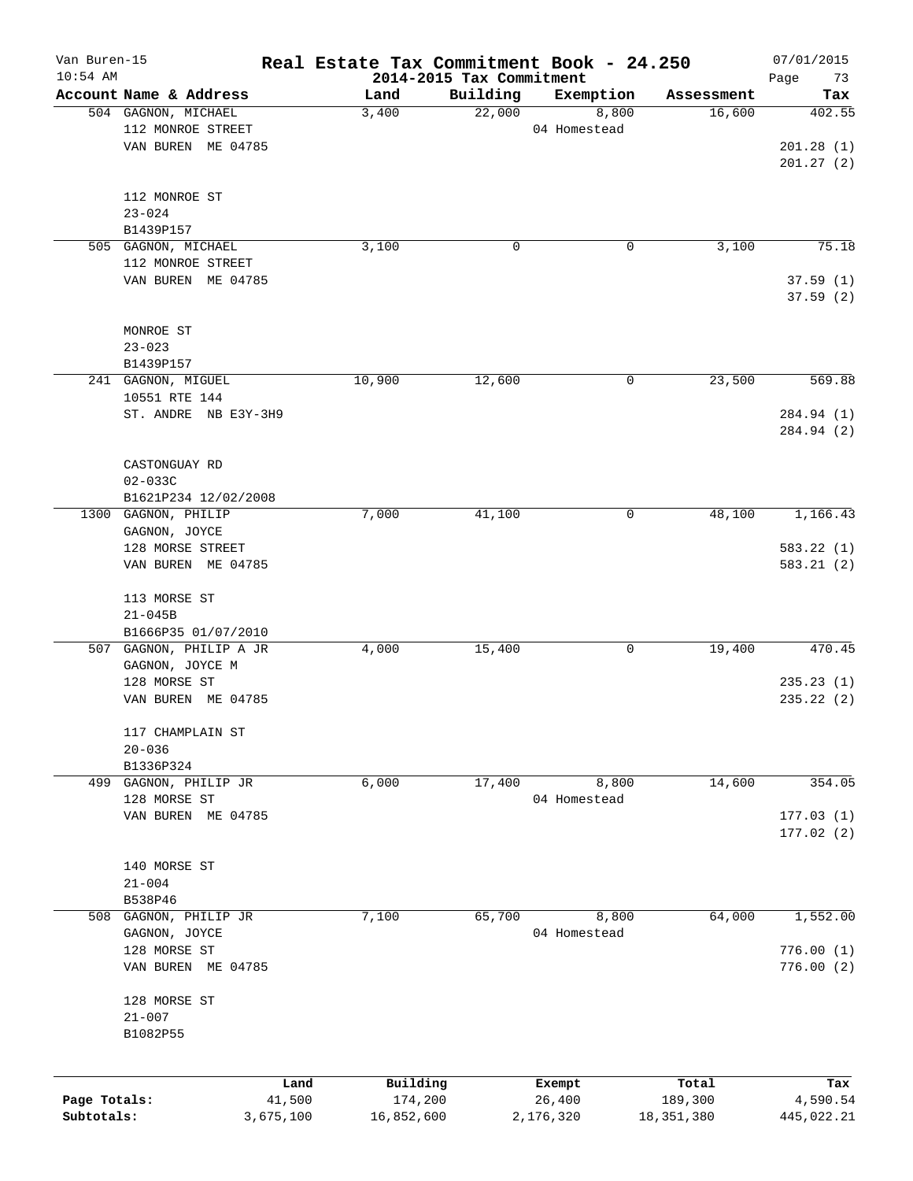| Van Buren-15<br>$10:54$ AM |                                | Real Estate Tax Commitment Book - 24.250 | 2014-2015 Tax Commitment |              |              | 07/01/2015        |
|----------------------------|--------------------------------|------------------------------------------|--------------------------|--------------|--------------|-------------------|
|                            | Account Name & Address         | Land                                     | Building                 | Exemption    | Assessment   | Page<br>73<br>Tax |
|                            | 504 GAGNON, MICHAEL            | 3,400                                    | 22,000                   | 8,800        | 16,600       | 402.55            |
|                            | 112 MONROE STREET              |                                          |                          | 04 Homestead |              |                   |
|                            | VAN BUREN ME 04785             |                                          |                          |              |              | 201.28(1)         |
|                            |                                |                                          |                          |              |              | 201.27(2)         |
|                            |                                |                                          |                          |              |              |                   |
|                            | 112 MONROE ST                  |                                          |                          |              |              |                   |
|                            | $23 - 024$                     |                                          |                          |              |              |                   |
|                            | B1439P157                      |                                          |                          |              |              |                   |
|                            | 505 GAGNON, MICHAEL            | 3,100                                    | 0                        | 0            | 3,100        | 75.18             |
|                            | 112 MONROE STREET              |                                          |                          |              |              |                   |
|                            | VAN BUREN ME 04785             |                                          |                          |              |              | 37.59(1)          |
|                            |                                |                                          |                          |              |              | 37.59(2)          |
|                            | MONROE ST                      |                                          |                          |              |              |                   |
|                            | $23 - 023$                     |                                          |                          |              |              |                   |
|                            | B1439P157                      |                                          |                          |              |              |                   |
|                            | 241 GAGNON, MIGUEL             | 10,900                                   | 12,600                   | 0            | 23,500       | 569.88            |
|                            | 10551 RTE 144                  |                                          |                          |              |              |                   |
|                            | ST. ANDRE NB E3Y-3H9           |                                          |                          |              |              | 284.94 (1)        |
|                            |                                |                                          |                          |              |              | 284.94 (2)        |
|                            |                                |                                          |                          |              |              |                   |
|                            | CASTONGUAY RD                  |                                          |                          |              |              |                   |
|                            | $02 - 033C$                    |                                          |                          |              |              |                   |
|                            | B1621P234 12/02/2008           |                                          |                          |              |              |                   |
|                            | 1300 GAGNON, PHILIP            | 7,000                                    | 41,100                   | 0            | 48,100       | 1,166.43          |
|                            | GAGNON, JOYCE                  |                                          |                          |              |              |                   |
|                            | 128 MORSE STREET               |                                          |                          |              |              | 583.22(1)         |
|                            | VAN BUREN ME 04785             |                                          |                          |              |              | 583.21(2)         |
|                            | 113 MORSE ST                   |                                          |                          |              |              |                   |
|                            | $21 - 045B$                    |                                          |                          |              |              |                   |
|                            | B1666P35 01/07/2010            |                                          |                          |              |              |                   |
|                            | 507 GAGNON, PHILIP A JR        | 4,000                                    | 15,400                   | 0            | 19,400       | 470.45            |
|                            | GAGNON, JOYCE M                |                                          |                          |              |              |                   |
|                            | 128 MORSE ST                   |                                          |                          |              |              | 235.23(1)         |
|                            | VAN BUREN ME 04785             |                                          |                          |              |              | 235.22(2)         |
|                            |                                |                                          |                          |              |              |                   |
|                            | 117 CHAMPLAIN ST               |                                          |                          |              |              |                   |
|                            | $20 - 036$                     |                                          |                          |              |              |                   |
| 499                        | B1336P324<br>GAGNON, PHILIP JR | 6,000                                    | 17,400                   | 8,800        | 14,600       | 354.05            |
|                            | 128 MORSE ST                   |                                          |                          | 04 Homestead |              |                   |
|                            | VAN BUREN ME 04785             |                                          |                          |              |              | 177.03(1)         |
|                            |                                |                                          |                          |              |              | 177.02(2)         |
|                            |                                |                                          |                          |              |              |                   |
|                            | 140 MORSE ST                   |                                          |                          |              |              |                   |
|                            | $21 - 004$                     |                                          |                          |              |              |                   |
|                            | B538P46                        |                                          |                          |              |              |                   |
| 508                        | GAGNON, PHILIP JR              | 7,100                                    | 65,700                   | 8,800        | 64,000       | 1,552.00          |
|                            | GAGNON, JOYCE                  |                                          |                          | 04 Homestead |              |                   |
|                            | 128 MORSE ST                   |                                          |                          |              |              | 776.00(1)         |
|                            | VAN BUREN ME 04785             |                                          |                          |              |              | 776.00(2)         |
|                            |                                |                                          |                          |              |              |                   |
|                            | 128 MORSE ST                   |                                          |                          |              |              |                   |
|                            | $21 - 007$                     |                                          |                          |              |              |                   |
|                            | B1082P55                       |                                          |                          |              |              |                   |
|                            |                                |                                          |                          |              |              |                   |
|                            |                                | Building<br>Land                         |                          | Exempt       | Total        | Tax               |
| Page Totals:               | 41,500                         | 174,200                                  |                          | 26,400       | 189,300      | 4,590.54          |
| Subtotals:                 | 3,675,100                      | 16,852,600                               |                          | 2,176,320    | 18, 351, 380 | 445,022.21        |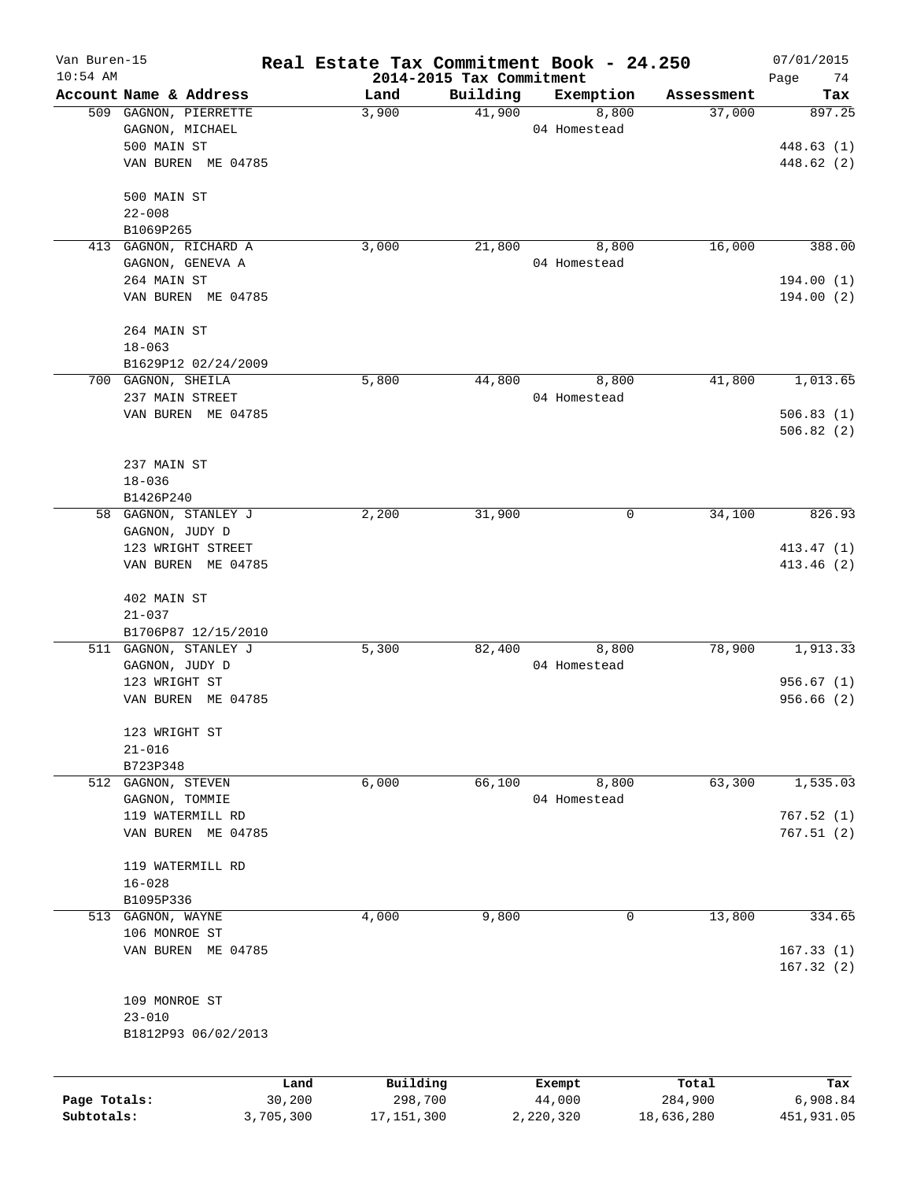| Van Buren-15 |                                     |                | Real Estate Tax Commitment Book - 24.250 |                          |                       |                      | 07/01/2015              |
|--------------|-------------------------------------|----------------|------------------------------------------|--------------------------|-----------------------|----------------------|-------------------------|
| $10:54$ AM   |                                     |                |                                          | 2014-2015 Tax Commitment |                       |                      | Page<br>74              |
|              | Account Name & Address              |                | Land                                     | Building                 | Exemption             | Assessment<br>37,000 | Tax                     |
|              | 509 GAGNON, PIERRETTE               |                | 3,900                                    | 41,900                   | 8,800<br>04 Homestead |                      | 897.25                  |
|              | GAGNON, MICHAEL<br>500 MAIN ST      |                |                                          |                          |                       |                      |                         |
|              |                                     |                |                                          |                          |                       |                      | 448.63 (1)              |
|              | VAN BUREN ME 04785                  |                |                                          |                          |                       |                      | 448.62 (2)              |
|              | 500 MAIN ST                         |                |                                          |                          |                       |                      |                         |
|              | $22 - 008$                          |                |                                          |                          |                       |                      |                         |
|              | B1069P265                           |                |                                          |                          |                       |                      |                         |
| 413          | GAGNON, RICHARD A                   |                | 3,000                                    | 21,800                   | 8,800                 | 16,000               | 388.00                  |
|              | GAGNON, GENEVA A                    |                |                                          |                          | 04 Homestead          |                      |                         |
|              | 264 MAIN ST                         |                |                                          |                          |                       |                      | 194.00 (1)              |
|              | VAN BUREN ME 04785                  |                |                                          |                          |                       |                      | 194.00(2)               |
|              | 264 MAIN ST                         |                |                                          |                          |                       |                      |                         |
|              | $18 - 063$                          |                |                                          |                          |                       |                      |                         |
|              | B1629P12 02/24/2009                 |                |                                          |                          |                       |                      |                         |
|              | 700 GAGNON, SHEILA                  |                | 5,800                                    | 44,800                   | 8,800                 | 41,800               | 1,013.65                |
|              | 237 MAIN STREET                     |                |                                          |                          | 04 Homestead          |                      |                         |
|              | VAN BUREN ME 04785                  |                |                                          |                          |                       |                      | 506.83(1)               |
|              |                                     |                |                                          |                          |                       |                      | 506.82(2)               |
|              |                                     |                |                                          |                          |                       |                      |                         |
|              | 237 MAIN ST                         |                |                                          |                          |                       |                      |                         |
|              | $18 - 036$                          |                |                                          |                          |                       |                      |                         |
|              | B1426P240<br>58 GAGNON, STANLEY J   |                | 2,200                                    | 31,900                   | 0                     | 34,100               | 826.93                  |
|              |                                     |                |                                          |                          |                       |                      |                         |
|              | GAGNON, JUDY D<br>123 WRIGHT STREET |                |                                          |                          |                       |                      |                         |
|              | VAN BUREN ME 04785                  |                |                                          |                          |                       |                      | 413.47(1)<br>413.46 (2) |
|              |                                     |                |                                          |                          |                       |                      |                         |
|              | 402 MAIN ST                         |                |                                          |                          |                       |                      |                         |
|              | $21 - 037$                          |                |                                          |                          |                       |                      |                         |
|              | B1706P87 12/15/2010                 |                |                                          |                          |                       |                      |                         |
|              | 511 GAGNON, STANLEY J               |                | 5,300                                    | 82,400                   | 8,800                 | 78,900               | 1,913.33                |
|              | GAGNON, JUDY D                      |                |                                          |                          | 04 Homestead          |                      |                         |
|              | 123 WRIGHT ST                       |                |                                          |                          |                       |                      | 956.67(1)               |
|              | VAN BUREN ME 04785                  |                |                                          |                          |                       |                      | 956.66(2)               |
|              | 123 WRIGHT ST                       |                |                                          |                          |                       |                      |                         |
|              | $21 - 016$                          |                |                                          |                          |                       |                      |                         |
|              | B723P348                            |                |                                          |                          |                       |                      |                         |
| 512          | GAGNON, STEVEN                      |                | 6,000                                    | 66,100                   | 8,800                 | 63,300               | 1,535.03                |
|              | GAGNON, TOMMIE                      |                |                                          |                          | 04 Homestead          |                      |                         |
|              | 119 WATERMILL RD                    |                |                                          |                          |                       |                      | 767.52(1)               |
|              | VAN BUREN ME 04785                  |                |                                          |                          |                       |                      | 767.51(2)               |
|              | 119 WATERMILL RD                    |                |                                          |                          |                       |                      |                         |
|              | $16 - 028$                          |                |                                          |                          |                       |                      |                         |
|              | B1095P336                           |                |                                          |                          |                       |                      |                         |
|              | 513 GAGNON, WAYNE                   |                | 4,000                                    | 9,800                    | 0                     | 13,800               | 334.65                  |
|              | 106 MONROE ST                       |                |                                          |                          |                       |                      |                         |
|              | VAN BUREN ME 04785                  |                |                                          |                          |                       |                      | 167.33(1)               |
|              |                                     |                |                                          |                          |                       |                      | 167.32(2)               |
|              |                                     |                |                                          |                          |                       |                      |                         |
|              | 109 MONROE ST                       |                |                                          |                          |                       |                      |                         |
|              | $23 - 010$                          |                |                                          |                          |                       |                      |                         |
|              | B1812P93 06/02/2013                 |                |                                          |                          |                       |                      |                         |
|              |                                     |                |                                          |                          |                       |                      |                         |
| Page Totals: |                                     | Land<br>30,200 | Building<br>298,700                      |                          | Exempt<br>44,000      | Total<br>284,900     | Tax<br>6,908.84         |
| Subtotals:   |                                     | 3,705,300      | 17, 151, 300                             |                          | 2,220,320             | 18,636,280           | 451,931.05              |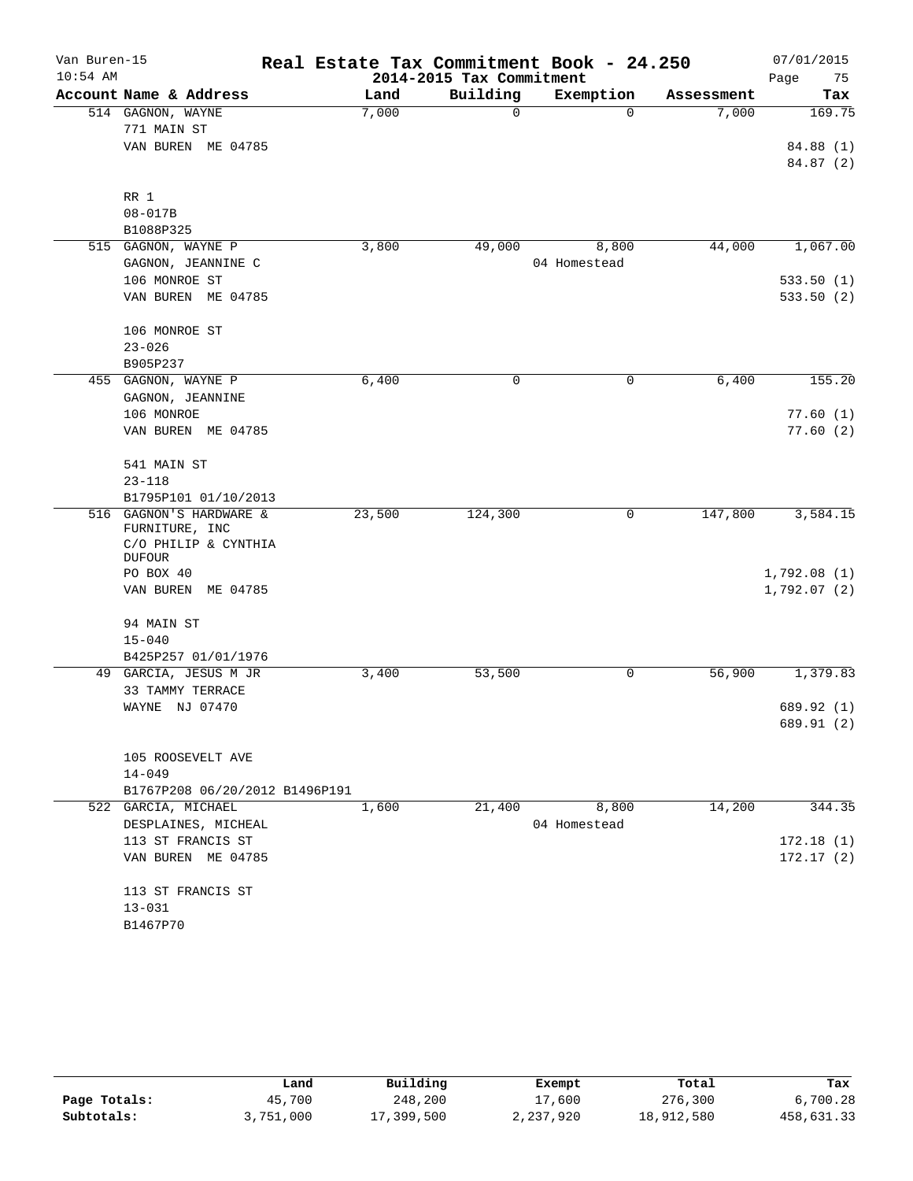| Van Buren-15 |                                           | Real Estate Tax Commitment Book - 24.250 |                          |              |            | 07/01/2015  |
|--------------|-------------------------------------------|------------------------------------------|--------------------------|--------------|------------|-------------|
| $10:54$ AM   |                                           |                                          | 2014-2015 Tax Commitment |              |            | 75<br>Page  |
|              | Account Name & Address                    | Land                                     | Building                 | Exemption    | Assessment | Tax         |
|              | 514 GAGNON, WAYNE                         | 7,000                                    | $\mathbf 0$              | $\Omega$     | 7,000      | 169.75      |
|              | 771 MAIN ST                               |                                          |                          |              |            |             |
|              | VAN BUREN ME 04785                        |                                          |                          |              |            | 84.88 (1)   |
|              |                                           |                                          |                          |              |            | 84.87 (2)   |
|              | RR 1                                      |                                          |                          |              |            |             |
|              | $08 - 017B$                               |                                          |                          |              |            |             |
|              | B1088P325                                 |                                          |                          |              |            |             |
|              | 515 GAGNON, WAYNE P                       | 3,800                                    | 49,000                   | 8,800        | 44,000     | 1,067.00    |
|              | GAGNON, JEANNINE C                        |                                          |                          | 04 Homestead |            |             |
|              | 106 MONROE ST                             |                                          |                          |              |            | 533.50(1)   |
|              | VAN BUREN ME 04785                        |                                          |                          |              |            | 533.50(2)   |
|              | 106 MONROE ST                             |                                          |                          |              |            |             |
|              | $23 - 026$                                |                                          |                          |              |            |             |
|              | B905P237                                  |                                          |                          |              |            |             |
|              | 455 GAGNON, WAYNE P                       | 6,400                                    | 0                        | 0            | 6,400      | 155.20      |
|              | GAGNON, JEANNINE                          |                                          |                          |              |            |             |
|              | 106 MONROE                                |                                          |                          |              |            | 77.60(1)    |
|              | VAN BUREN ME 04785                        |                                          |                          |              |            | 77.60(2)    |
|              | 541 MAIN ST                               |                                          |                          |              |            |             |
|              | $23 - 118$                                |                                          |                          |              |            |             |
|              | B1795P101 01/10/2013                      |                                          |                          |              |            |             |
|              | 516 GAGNON'S HARDWARE &<br>FURNITURE, INC | 23,500                                   | 124,300                  | 0            | 147,800    | 3,584.15    |
|              | C/O PHILIP & CYNTHIA                      |                                          |                          |              |            |             |
|              | <b>DUFOUR</b>                             |                                          |                          |              |            |             |
|              | PO BOX 40                                 |                                          |                          |              |            | 1,792.08(1) |
|              | VAN BUREN ME 04785                        |                                          |                          |              |            | 1,792.07(2) |
|              | 94 MAIN ST                                |                                          |                          |              |            |             |
|              | $15 - 040$                                |                                          |                          |              |            |             |
|              | B425P257 01/01/1976                       |                                          |                          |              |            |             |
|              | 49 GARCIA, JESUS M JR<br>33 TAMMY TERRACE | 3,400                                    | 53,500                   | 0            | 56,900     | 1,379.83    |
|              | WAYNE NJ 07470                            |                                          |                          |              |            | 689.92 (1)  |
|              |                                           |                                          |                          |              |            | 689.91 (2)  |
|              | 105 ROOSEVELT AVE                         |                                          |                          |              |            |             |
|              | $14 - 049$                                |                                          |                          |              |            |             |
|              | B1767P208 06/20/2012 B1496P191            |                                          |                          |              |            |             |
|              | 522 GARCIA, MICHAEL                       | 1,600                                    | 21,400                   | 8,800        | 14,200     | 344.35      |
|              | DESPLAINES, MICHEAL                       |                                          |                          | 04 Homestead |            |             |
|              | 113 ST FRANCIS ST                         |                                          |                          |              |            | 172.18(1)   |
|              | VAN BUREN ME 04785                        |                                          |                          |              |            | 172.17(2)   |
|              | 113 ST FRANCIS ST                         |                                          |                          |              |            |             |
|              | $13 - 031$                                |                                          |                          |              |            |             |
|              | B1467P70                                  |                                          |                          |              |            |             |
|              |                                           |                                          |                          |              |            |             |

|              | Land      | Building   | Exempt    | Total      | Tax        |  |
|--------------|-----------|------------|-----------|------------|------------|--|
| Page Totals: | 45,700    | 248,200    | 17,600    | 276,300    | 6,700.28   |  |
| Subtotals:   | 3,751,000 | 17,399,500 | 2,237,920 | 18,912,580 | 458,631.33 |  |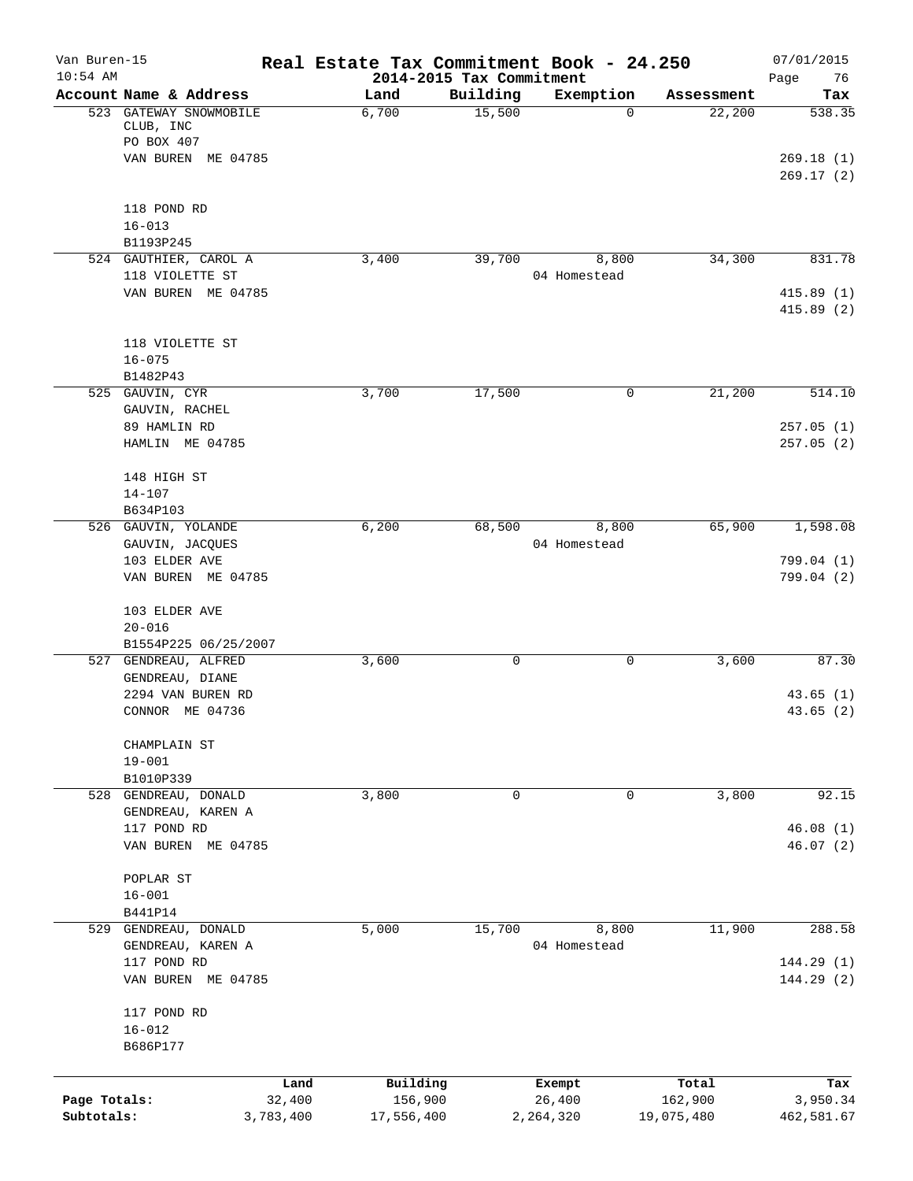| Van Buren-15<br>$10:54$ AM |                                                   |           | Real Estate Tax Commitment Book - 24.250 |          |                       |            | 07/01/2015             |
|----------------------------|---------------------------------------------------|-----------|------------------------------------------|----------|-----------------------|------------|------------------------|
|                            | Account Name & Address                            |           | 2014-2015 Tax Commitment<br>Land         | Building | Exemption             | Assessment | Page<br>76<br>Tax      |
|                            | 523 GATEWAY SNOWMOBILE<br>CLUB, INC<br>PO BOX 407 |           | 6,700                                    | 15,500   | 0                     | 22,200     | 538.35                 |
|                            | VAN BUREN ME 04785                                |           |                                          |          |                       |            | 269.18(1)<br>269.17(2) |
|                            | 118 POND RD                                       |           |                                          |          |                       |            |                        |
|                            | $16 - 013$<br>B1193P245                           |           |                                          |          |                       |            |                        |
|                            | 524 GAUTHIER, CAROL A                             |           | 3,400                                    | 39,700   | 8,800                 | 34,300     | 831.78                 |
|                            | 118 VIOLETTE ST<br>VAN BUREN ME 04785             |           |                                          |          | 04 Homestead          |            | 415.89(1)              |
|                            |                                                   |           |                                          |          |                       |            | 415.89(2)              |
|                            | 118 VIOLETTE ST                                   |           |                                          |          |                       |            |                        |
|                            | $16 - 075$                                        |           |                                          |          |                       |            |                        |
|                            | B1482P43<br>525 GAUVIN, CYR                       |           | 3,700                                    | 17,500   | $\mathsf{O}$          | 21,200     | 514.10                 |
|                            | GAUVIN, RACHEL                                    |           |                                          |          |                       |            |                        |
|                            | 89 HAMLIN RD                                      |           |                                          |          |                       |            | 257.05(1)              |
|                            | HAMLIN ME 04785                                   |           |                                          |          |                       |            | 257.05(2)              |
|                            | 148 HIGH ST                                       |           |                                          |          |                       |            |                        |
|                            | $14 - 107$                                        |           |                                          |          |                       |            |                        |
|                            | B634P103<br>526 GAUVIN, YOLANDE                   |           | 6,200                                    | 68,500   | 8,800                 | 65,900     | 1,598.08               |
|                            | GAUVIN, JACQUES                                   |           |                                          |          | 04 Homestead          |            |                        |
|                            | 103 ELDER AVE                                     |           |                                          |          |                       |            | 799.04 (1)             |
|                            | VAN BUREN ME 04785                                |           |                                          |          |                       |            | 799.04(2)              |
|                            | 103 ELDER AVE                                     |           |                                          |          |                       |            |                        |
|                            | $20 - 016$                                        |           |                                          |          |                       |            |                        |
|                            | B1554P225 06/25/2007<br>527 GENDREAU, ALFRED      |           | 3,600                                    | 0        | 0                     | 3,600      | 87.30                  |
|                            | GENDREAU, DIANE                                   |           |                                          |          |                       |            |                        |
|                            | 2294 VAN BUREN RD                                 |           |                                          |          |                       |            | 43.65(1)               |
|                            | CONNOR ME 04736                                   |           |                                          |          |                       |            | 43.65(2)               |
|                            | CHAMPLAIN ST                                      |           |                                          |          |                       |            |                        |
|                            | $19 - 001$                                        |           |                                          |          |                       |            |                        |
|                            | B1010P339                                         |           |                                          | 0        | 0                     |            | 92.15                  |
|                            | 528 GENDREAU, DONALD<br>GENDREAU, KAREN A         |           | 3,800                                    |          |                       | 3,800      |                        |
|                            | 117 POND RD                                       |           |                                          |          |                       |            | 46.08(1)               |
|                            | VAN BUREN ME 04785                                |           |                                          |          |                       |            | 46.07 (2)              |
|                            | POPLAR ST                                         |           |                                          |          |                       |            |                        |
|                            | $16 - 001$                                        |           |                                          |          |                       |            |                        |
|                            | B441P14                                           |           |                                          |          |                       |            |                        |
|                            | 529 GENDREAU, DONALD<br>GENDREAU, KAREN A         |           | 5,000                                    | 15,700   | 8,800<br>04 Homestead | 11,900     | 288.58                 |
|                            | 117 POND RD                                       |           |                                          |          |                       |            | 144.29(1)              |
|                            | VAN BUREN ME 04785                                |           |                                          |          |                       |            | 144.29(2)              |
|                            | 117 POND RD                                       |           |                                          |          |                       |            |                        |
|                            | $16 - 012$                                        |           |                                          |          |                       |            |                        |
|                            | B686P177                                          |           |                                          |          |                       |            |                        |
|                            |                                                   | Land      | Building                                 |          | Exempt                | Total      | Tax                    |
| Page Totals:               |                                                   | 32,400    | 156,900                                  |          | 26,400                | 162,900    | 3,950.34               |
| Subtotals:                 |                                                   | 3,783,400 | 17,556,400                               |          | 2,264,320             | 19,075,480 | 462,581.67             |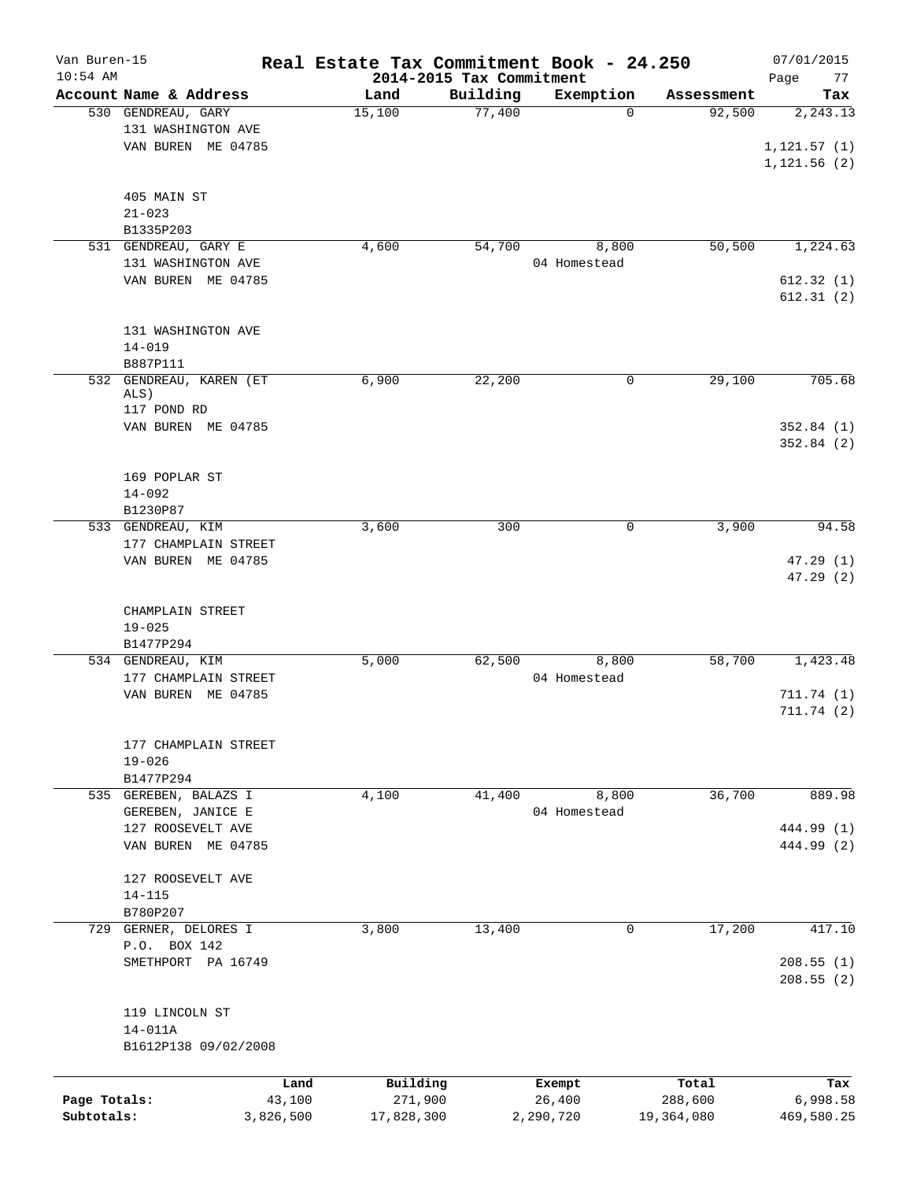| Van Buren-15<br>$10:54$ AM |                        | Real Estate Tax Commitment Book - 24.250 | 2014-2015 Tax Commitment |              |            | 07/01/2015<br>Page<br>77 |
|----------------------------|------------------------|------------------------------------------|--------------------------|--------------|------------|--------------------------|
|                            | Account Name & Address | Land                                     | Building                 | Exemption    | Assessment | Tax                      |
|                            | 530 GENDREAU, GARY     | 15,100                                   | 77,400                   | $\mathbf 0$  | 92,500     | 2, 243.13                |
|                            | 131 WASHINGTON AVE     |                                          |                          |              |            |                          |
|                            | VAN BUREN ME 04785     |                                          |                          |              |            | 1, 121.57(1)             |
|                            |                        |                                          |                          |              |            | 1, 121.56(2)             |
|                            |                        |                                          |                          |              |            |                          |
|                            | 405 MAIN ST            |                                          |                          |              |            |                          |
|                            |                        |                                          |                          |              |            |                          |
|                            | $21 - 023$             |                                          |                          |              |            |                          |
|                            | B1335P203              |                                          |                          |              |            |                          |
|                            | 531 GENDREAU, GARY E   | 4,600                                    | 54,700                   | 8,800        | 50, 500    | 1,224.63                 |
|                            | 131 WASHINGTON AVE     |                                          |                          | 04 Homestead |            |                          |
|                            | VAN BUREN ME 04785     |                                          |                          |              |            | 612.32(1)                |
|                            |                        |                                          |                          |              |            | 612.31(2)                |
|                            |                        |                                          |                          |              |            |                          |
|                            | 131 WASHINGTON AVE     |                                          |                          |              |            |                          |
|                            | $14 - 019$             |                                          |                          |              |            |                          |
|                            | B887P111               |                                          |                          |              |            |                          |
| 532                        | GENDREAU, KAREN (ET    | 6,900                                    | 22,200                   | 0            | 29,100     | 705.68                   |
|                            | ALS)                   |                                          |                          |              |            |                          |
|                            | 117 POND RD            |                                          |                          |              |            |                          |
|                            | VAN BUREN ME 04785     |                                          |                          |              |            | 352.84(1)                |
|                            |                        |                                          |                          |              |            | 352.84(2)                |
|                            |                        |                                          |                          |              |            |                          |
|                            | 169 POPLAR ST          |                                          |                          |              |            |                          |
|                            | $14 - 092$             |                                          |                          |              |            |                          |
|                            |                        |                                          |                          |              |            |                          |
|                            | B1230P87               |                                          |                          |              |            |                          |
|                            | 533 GENDREAU, KIM      | 3,600                                    | 300                      | 0            | 3,900      | 94.58                    |
|                            | 177 CHAMPLAIN STREET   |                                          |                          |              |            |                          |
|                            | VAN BUREN ME 04785     |                                          |                          |              |            | 47.29(1)                 |
|                            |                        |                                          |                          |              |            | 47.29(2)                 |
|                            |                        |                                          |                          |              |            |                          |
|                            | CHAMPLAIN STREET       |                                          |                          |              |            |                          |
|                            | $19 - 025$             |                                          |                          |              |            |                          |
|                            | B1477P294              |                                          |                          |              |            |                          |
|                            | 534 GENDREAU, KIM      | 5,000                                    | 62,500                   | 8,800        | 58,700     | 1,423.48                 |
|                            | 177 CHAMPLAIN STREET   |                                          |                          | 04 Homestead |            |                          |
|                            | VAN BUREN ME 04785     |                                          |                          |              |            | 711.74 (1)               |
|                            |                        |                                          |                          |              |            | 711.74(2)                |
|                            |                        |                                          |                          |              |            |                          |
|                            | 177 CHAMPLAIN STREET   |                                          |                          |              |            |                          |
|                            | $19 - 026$             |                                          |                          |              |            |                          |
|                            |                        |                                          |                          |              |            |                          |
|                            | B1477P294              |                                          |                          |              |            |                          |
|                            | 535 GEREBEN, BALAZS I  | 4,100                                    | 41,400                   | 8,800        | 36,700     | 889.98                   |
|                            | GEREBEN, JANICE E      |                                          |                          | 04 Homestead |            |                          |
|                            | 127 ROOSEVELT AVE      |                                          |                          |              |            | 444.99 (1)               |
|                            | VAN BUREN ME 04785     |                                          |                          |              |            | 444.99 (2)               |
|                            |                        |                                          |                          |              |            |                          |
|                            | 127 ROOSEVELT AVE      |                                          |                          |              |            |                          |
|                            | $14 - 115$             |                                          |                          |              |            |                          |
|                            | B780P207               |                                          |                          |              |            |                          |
|                            | 729 GERNER, DELORES I  | 3,800                                    | 13,400                   | 0            | 17,200     | 417.10                   |
|                            | P.O. BOX 142           |                                          |                          |              |            |                          |
|                            | SMETHPORT PA 16749     |                                          |                          |              |            | 208.55(1)                |
|                            |                        |                                          |                          |              |            |                          |
|                            |                        |                                          |                          |              |            | 208.55(2)                |
|                            |                        |                                          |                          |              |            |                          |
|                            | 119 LINCOLN ST         |                                          |                          |              |            |                          |
|                            | $14 - 011A$            |                                          |                          |              |            |                          |
|                            | B1612P138 09/02/2008   |                                          |                          |              |            |                          |
|                            |                        |                                          |                          |              |            |                          |
|                            |                        | Building<br>Land                         |                          | Exempt       | Total      | Tax                      |
| Page Totals:               | 43,100                 | 271,900                                  |                          | 26,400       | 288,600    | 6,998.58                 |
| Subtotals:                 | 3,826,500              | 17,828,300                               |                          | 2,290,720    | 19,364,080 | 469,580.25               |
|                            |                        |                                          |                          |              |            |                          |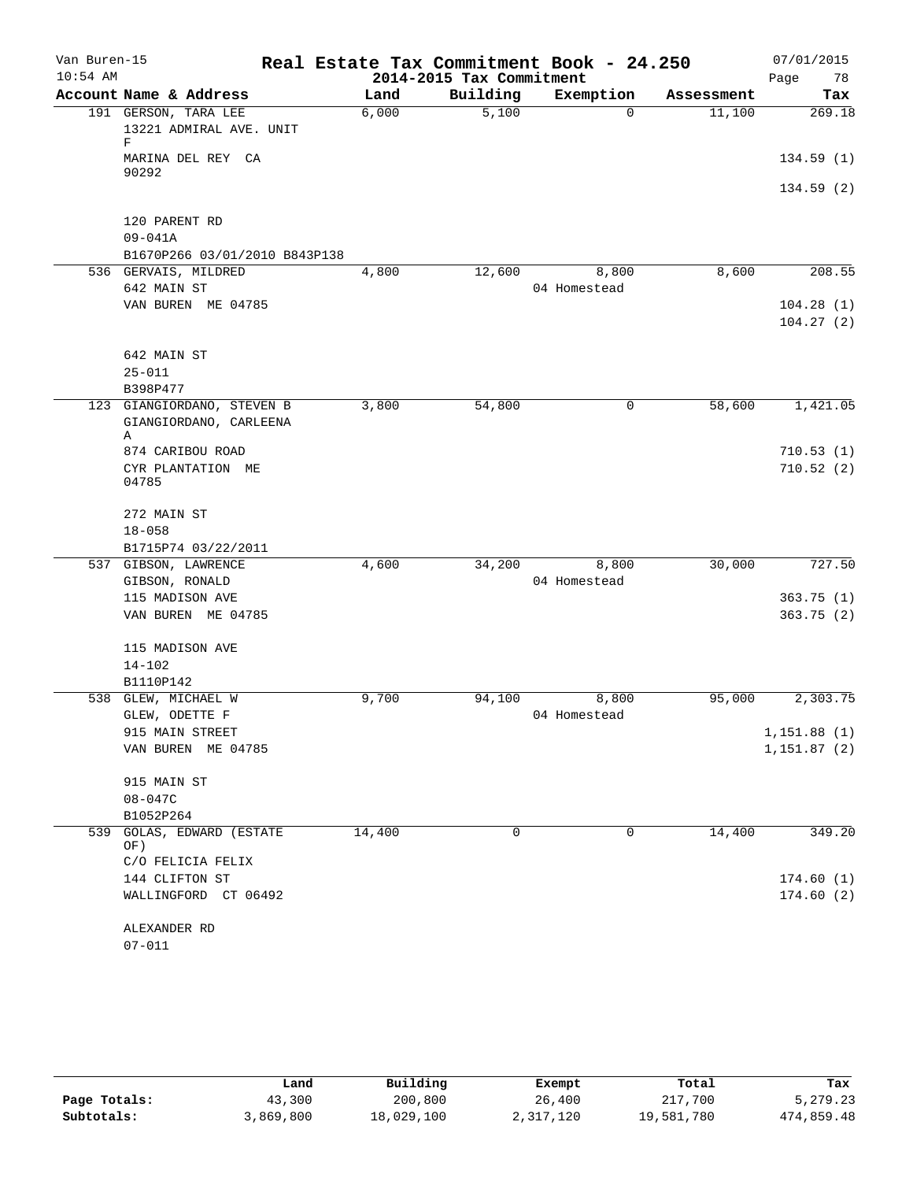| Van Buren-15<br>$10:54$ AM |                               | Real Estate Tax Commitment Book - 24.250 | 2014-2015 Tax Commitment |              |            | 07/01/2015<br>Page<br>78 |
|----------------------------|-------------------------------|------------------------------------------|--------------------------|--------------|------------|--------------------------|
|                            | Account Name & Address        | Land                                     | Building                 | Exemption    | Assessment | Tax                      |
|                            | 191 GERSON, TARA LEE          | 6,000                                    | 5,100                    | $\Omega$     | 11,100     | 269.18                   |
|                            | 13221 ADMIRAL AVE. UNIT<br>F  |                                          |                          |              |            |                          |
|                            | MARINA DEL REY CA<br>90292    |                                          |                          |              |            | 134.59(1)                |
|                            |                               |                                          |                          |              |            | 134.59(2)                |
|                            | 120 PARENT RD                 |                                          |                          |              |            |                          |
|                            | $09 - 041A$                   |                                          |                          |              |            |                          |
|                            | B1670P266 03/01/2010 B843P138 |                                          |                          |              |            |                          |
|                            | 536 GERVAIS, MILDRED          | 4,800                                    | 12,600                   | 8,800        | 8,600      | 208.55                   |
|                            | 642 MAIN ST                   |                                          |                          | 04 Homestead |            |                          |
|                            | VAN BUREN ME 04785            |                                          |                          |              |            | 104.28(1)                |
|                            |                               |                                          |                          |              |            | 104.27(2)                |
|                            | 642 MAIN ST                   |                                          |                          |              |            |                          |
|                            | $25 - 011$                    |                                          |                          |              |            |                          |
|                            | B398P477                      |                                          |                          |              |            |                          |
| 123                        | GIANGIORDANO, STEVEN B        | 3,800                                    | 54,800                   | $\mathsf{O}$ | 58,600     | 1,421.05                 |
|                            | GIANGIORDANO, CARLEENA        |                                          |                          |              |            |                          |
|                            | Α                             |                                          |                          |              |            |                          |
|                            | 874 CARIBOU ROAD              |                                          |                          |              |            | 710.53(1)                |
|                            | CYR PLANTATION ME<br>04785    |                                          |                          |              |            | 710.52(2)                |
|                            | 272 MAIN ST                   |                                          |                          |              |            |                          |
|                            | $18 - 058$                    |                                          |                          |              |            |                          |
|                            | B1715P74 03/22/2011           |                                          |                          |              |            |                          |
|                            | 537 GIBSON, LAWRENCE          | 4,600                                    | 34,200                   | 8,800        | 30,000     | 727.50                   |
|                            | GIBSON, RONALD                |                                          |                          | 04 Homestead |            |                          |
|                            | 115 MADISON AVE               |                                          |                          |              |            | 363.75(1)                |
|                            | VAN BUREN ME 04785            |                                          |                          |              |            | 363.75(2)                |
|                            | 115 MADISON AVE               |                                          |                          |              |            |                          |
|                            | $14 - 102$                    |                                          |                          |              |            |                          |
|                            | B1110P142                     |                                          |                          |              |            |                          |
| 538                        | GLEW, MICHAEL W               | 9,700                                    | 94,100                   | 8,800        | 95,000     | 2,303.75                 |
|                            | GLEW, ODETTE F                |                                          |                          | 04 Homestead |            |                          |
|                            | 915 MAIN STREET               |                                          |                          |              |            | 1,151.88(1)              |
|                            | VAN BUREN ME 04785            |                                          |                          |              |            | 1,151.87(2)              |
|                            | 915 MAIN ST                   |                                          |                          |              |            |                          |
|                            | $08 - 047C$                   |                                          |                          |              |            |                          |
|                            | B1052P264                     |                                          |                          |              |            |                          |
| 539                        | GOLAS, EDWARD (ESTATE<br>OF)  | 14,400                                   | 0                        | 0            | 14,400     | 349.20                   |
|                            | C/O FELICIA FELIX             |                                          |                          |              |            |                          |
|                            | 144 CLIFTON ST                |                                          |                          |              |            | 174.60(1)                |
|                            | WALLINGFORD CT 06492          |                                          |                          |              |            | 174.60(2)                |
|                            | ALEXANDER RD                  |                                          |                          |              |            |                          |
|                            | $07 - 011$                    |                                          |                          |              |            |                          |

|              | Land      | Building   | Exempt    | Total      | Tax        |
|--------------|-----------|------------|-----------|------------|------------|
| Page Totals: | 43,300    | 200,800    | 26,400    | 217,700    | 5,279.23   |
| Subtotals:   | 3,869,800 | 18,029,100 | 2,317,120 | 19,581,780 | 474,859.48 |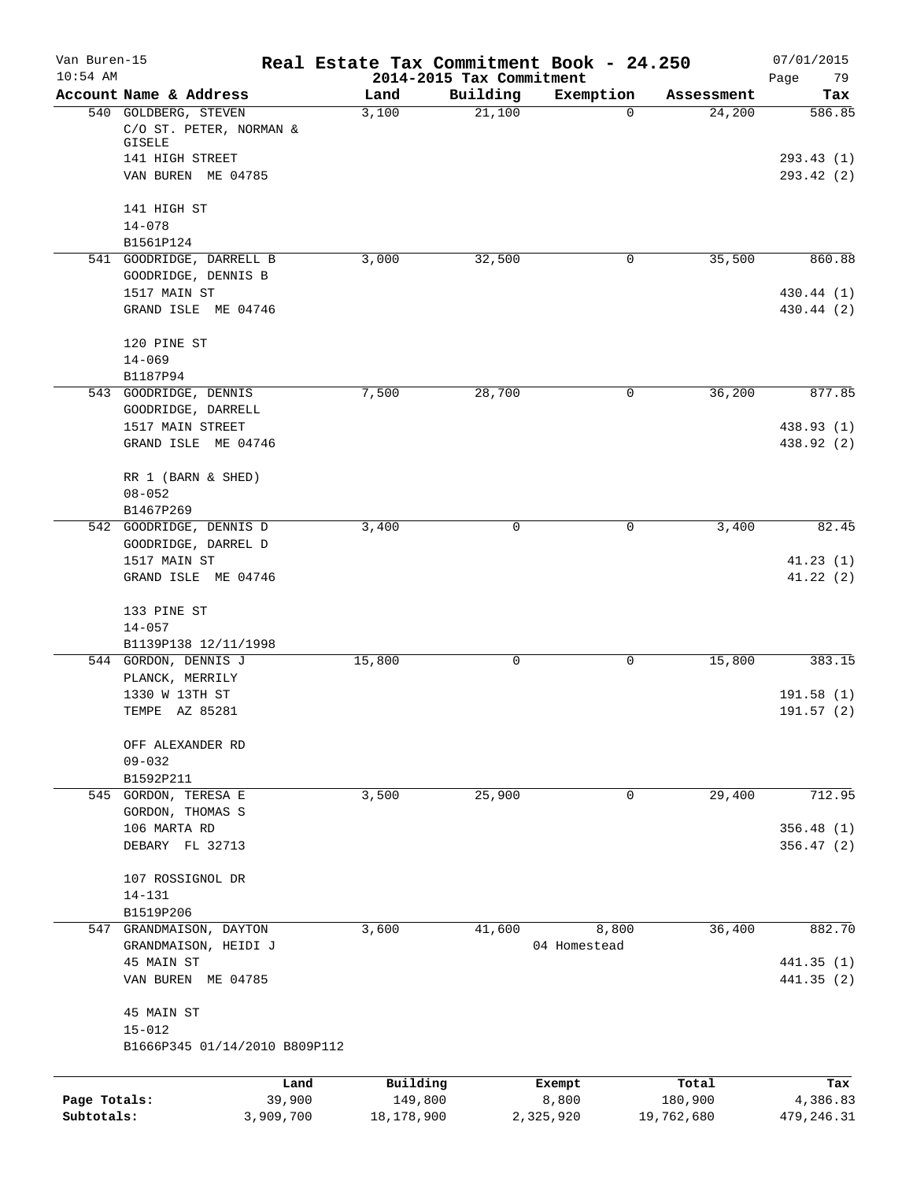| Van Buren-15<br>$10:54$ AM |                                                                  | Real Estate Tax Commitment Book - 24.250 | 2014-2015 Tax Commitment |                       |            | 07/01/2015<br>Page<br>79 |
|----------------------------|------------------------------------------------------------------|------------------------------------------|--------------------------|-----------------------|------------|--------------------------|
|                            | Account Name & Address                                           | Land                                     | Building                 | Exemption             | Assessment | Tax                      |
|                            | 540 GOLDBERG, STEVEN<br>C/O ST. PETER, NORMAN &<br><b>GISELE</b> | 3,100                                    | 21,100                   | 0                     | 24,200     | 586.85                   |
|                            | 141 HIGH STREET<br>VAN BUREN ME 04785                            |                                          |                          |                       |            | 293.43(1)<br>293.42 (2)  |
|                            | 141 HIGH ST                                                      |                                          |                          |                       |            |                          |
|                            | $14 - 078$<br>B1561P124                                          |                                          |                          |                       |            |                          |
|                            | 541 GOODRIDGE, DARRELL B<br>GOODRIDGE, DENNIS B                  | 3,000                                    | 32,500                   | 0                     | 35,500     | 860.88                   |
|                            | 1517 MAIN ST<br>GRAND ISLE ME 04746                              |                                          |                          |                       |            | 430.44 (1)<br>430.44 (2) |
|                            | 120 PINE ST                                                      |                                          |                          |                       |            |                          |
|                            | $14 - 069$<br>B1187P94                                           |                                          |                          |                       |            |                          |
|                            | 543 GOODRIDGE, DENNIS                                            | 7,500                                    | 28,700                   | 0                     | 36,200     | 877.85                   |
|                            | GOODRIDGE, DARRELL                                               |                                          |                          |                       |            |                          |
|                            | 1517 MAIN STREET                                                 |                                          |                          |                       |            | 438.93 (1)               |
|                            | GRAND ISLE ME 04746                                              |                                          |                          |                       |            | 438.92 (2)               |
|                            | RR 1 (BARN & SHED)                                               |                                          |                          |                       |            |                          |
|                            | $08 - 052$                                                       |                                          |                          |                       |            |                          |
|                            | B1467P269                                                        |                                          |                          |                       |            |                          |
|                            | 542 GOODRIDGE, DENNIS D<br>GOODRIDGE, DARREL D                   | 3,400                                    | 0                        | 0                     | 3,400      | 82.45                    |
|                            | 1517 MAIN ST                                                     |                                          |                          |                       |            | 41.23(1)                 |
|                            | GRAND ISLE ME 04746                                              |                                          |                          |                       |            | 41.22(2)                 |
|                            | 133 PINE ST                                                      |                                          |                          |                       |            |                          |
|                            | $14 - 057$                                                       |                                          |                          |                       |            |                          |
|                            | B1139P138 12/11/1998                                             |                                          |                          |                       |            |                          |
|                            | 544 GORDON, DENNIS J                                             | 15,800                                   | 0                        | 0                     | 15,800     | 383.15                   |
|                            | PLANCK, MERRILY<br>1330 W 13TH ST                                |                                          |                          |                       |            | 191.58(1)                |
|                            | TEMPE AZ 85281                                                   |                                          |                          |                       |            | 191.57(2)                |
|                            | OFF ALEXANDER RD                                                 |                                          |                          |                       |            |                          |
|                            | $09 - 032$                                                       |                                          |                          |                       |            |                          |
|                            | B1592P211                                                        |                                          |                          |                       |            |                          |
|                            | 545 GORDON, TERESA E<br>GORDON, THOMAS S                         | 3,500                                    | 25,900                   | 0                     | 29,400     | 712.95                   |
|                            | 106 MARTA RD                                                     |                                          |                          |                       |            | 356.48(1)                |
|                            | DEBARY FL 32713                                                  |                                          |                          |                       |            | 356.47(2)                |
|                            | 107 ROSSIGNOL DR                                                 |                                          |                          |                       |            |                          |
|                            | $14 - 131$                                                       |                                          |                          |                       |            |                          |
|                            | B1519P206                                                        |                                          |                          |                       |            |                          |
|                            | 547 GRANDMAISON, DAYTON<br>GRANDMAISON, HEIDI J                  | 3,600                                    | 41,600                   | 8,800<br>04 Homestead | 36,400     | 882.70                   |
|                            | 45 MAIN ST                                                       |                                          |                          |                       |            | 441.35(1)                |
|                            | VAN BUREN ME 04785                                               |                                          |                          |                       |            | 441.35(2)                |
|                            | 45 MAIN ST                                                       |                                          |                          |                       |            |                          |
|                            | $15 - 012$                                                       |                                          |                          |                       |            |                          |
|                            | B1666P345 01/14/2010 B809P112                                    |                                          |                          |                       |            |                          |
|                            | Land                                                             | Building                                 |                          | Exempt                | Total      | Tax                      |
| Page Totals:               | 39,900                                                           | 149,800                                  |                          | 8,800                 | 180,900    | 4,386.83                 |
| Subtotals:                 | 3,909,700                                                        | 18,178,900                               |                          | 2,325,920             | 19,762,680 | 479, 246.31              |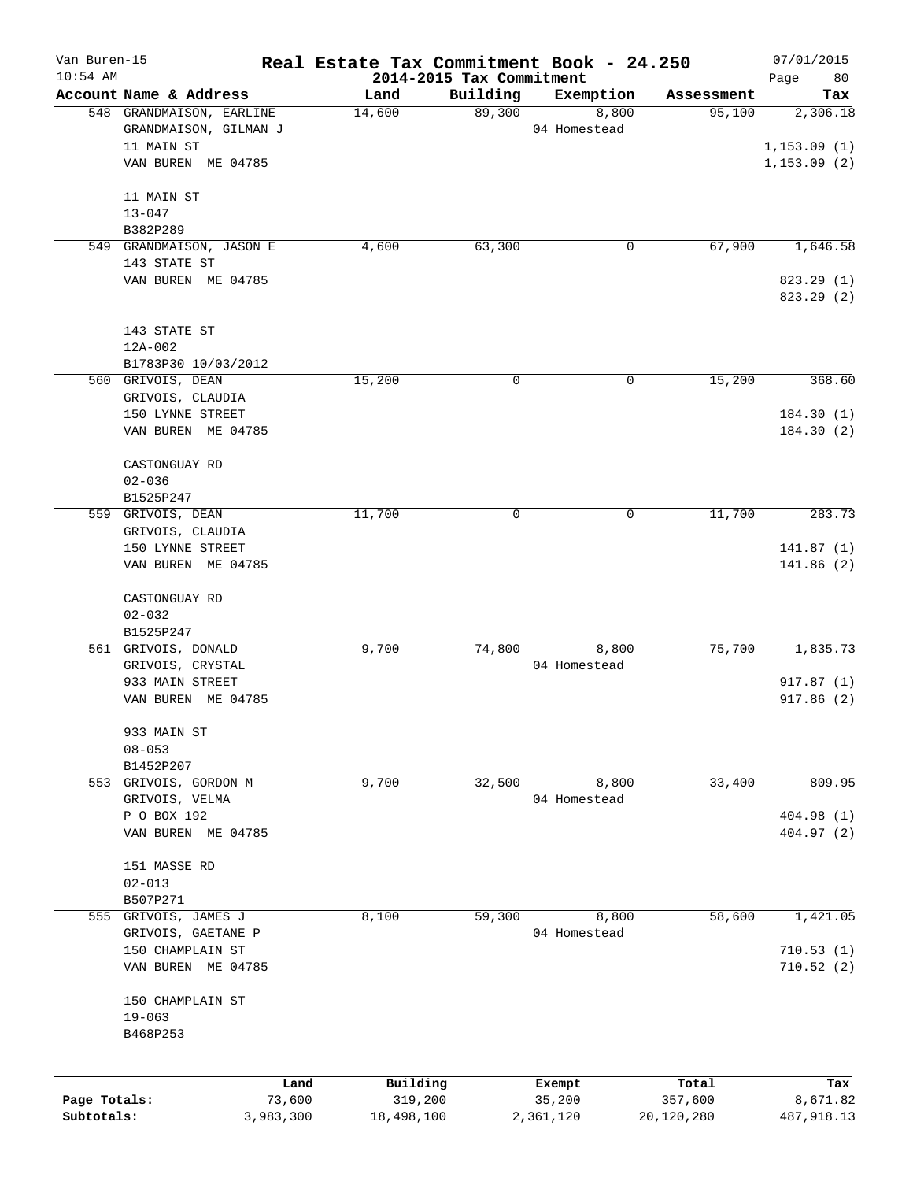| Van Buren-15 |                                                    | Real Estate Tax Commitment Book - 24.250 |                    |                    |                      | 07/01/2015               |
|--------------|----------------------------------------------------|------------------------------------------|--------------------|--------------------|----------------------|--------------------------|
| $10:54$ AM   |                                                    | 2014-2015 Tax Commitment                 |                    |                    |                      | 80<br>Page               |
|              | Account Name & Address<br>548 GRANDMAISON, EARLINE | Land<br>14,600                           | Building<br>89,300 | Exemption<br>8,800 | Assessment<br>95,100 | Tax<br>2,306.18          |
|              | GRANDMAISON, GILMAN J                              |                                          |                    | 04 Homestead       |                      |                          |
|              | 11 MAIN ST                                         |                                          |                    |                    |                      | 1,153.09(1)              |
|              | VAN BUREN ME 04785                                 |                                          |                    |                    |                      | 1,153.09(2)              |
|              |                                                    |                                          |                    |                    |                      |                          |
|              | 11 MAIN ST                                         |                                          |                    |                    |                      |                          |
|              | $13 - 047$                                         |                                          |                    |                    |                      |                          |
|              | B382P289                                           |                                          |                    |                    |                      |                          |
|              | 549 GRANDMAISON, JASON E                           | 4,600                                    | 63,300             | 0                  | 67,900               | 1,646.58                 |
|              | 143 STATE ST                                       |                                          |                    |                    |                      |                          |
|              | VAN BUREN ME 04785                                 |                                          |                    |                    |                      | 823.29 (1)<br>823.29 (2) |
|              |                                                    |                                          |                    |                    |                      |                          |
|              | 143 STATE ST                                       |                                          |                    |                    |                      |                          |
|              | 12A-002                                            |                                          |                    |                    |                      |                          |
|              | B1783P30 10/03/2012                                |                                          |                    |                    |                      |                          |
|              | 560 GRIVOIS, DEAN                                  | 15,200                                   | $\mathsf{O}$       | 0                  | 15,200               | 368.60                   |
|              | GRIVOIS, CLAUDIA                                   |                                          |                    |                    |                      |                          |
|              | 150 LYNNE STREET                                   |                                          |                    |                    |                      | 184.30(1)                |
|              | VAN BUREN ME 04785                                 |                                          |                    |                    |                      | 184.30(2)                |
|              | CASTONGUAY RD                                      |                                          |                    |                    |                      |                          |
|              | $02 - 036$                                         |                                          |                    |                    |                      |                          |
|              | B1525P247                                          |                                          |                    |                    |                      |                          |
|              | 559 GRIVOIS, DEAN                                  | 11,700                                   | 0                  | 0                  | 11,700               | 283.73                   |
|              | GRIVOIS, CLAUDIA                                   |                                          |                    |                    |                      |                          |
|              | 150 LYNNE STREET                                   |                                          |                    |                    |                      | 141.87(1)                |
|              | VAN BUREN ME 04785                                 |                                          |                    |                    |                      | 141.86(2)                |
|              |                                                    |                                          |                    |                    |                      |                          |
|              | CASTONGUAY RD                                      |                                          |                    |                    |                      |                          |
|              | $02 - 032$                                         |                                          |                    |                    |                      |                          |
|              | B1525P247                                          |                                          |                    |                    |                      |                          |
|              | 561 GRIVOIS, DONALD                                | 9,700                                    | 74,800             | 8,800              | 75,700               | 1,835.73                 |
|              | GRIVOIS, CRYSTAL                                   |                                          |                    | 04 Homestead       |                      |                          |
|              | 933 MAIN STREET                                    |                                          |                    |                    |                      | 917.87(1)                |
|              | VAN BUREN ME 04785                                 |                                          |                    |                    |                      | 917.86 (2)               |
|              | 933 MAIN ST                                        |                                          |                    |                    |                      |                          |
|              | $08 - 053$                                         |                                          |                    |                    |                      |                          |
|              | B1452P207                                          |                                          |                    |                    |                      |                          |
| 553          | GRIVOIS, GORDON M                                  | 9,700                                    | 32,500             | 8,800              | 33,400               | 809.95                   |
|              | GRIVOIS, VELMA                                     |                                          |                    | 04 Homestead       |                      |                          |
|              | P O BOX 192                                        |                                          |                    |                    |                      | 404.98 (1)               |
|              | VAN BUREN ME 04785                                 |                                          |                    |                    |                      | 404.97 (2)               |
|              | 151 MASSE RD                                       |                                          |                    |                    |                      |                          |
|              | $02 - 013$                                         |                                          |                    |                    |                      |                          |
|              | B507P271                                           |                                          |                    |                    |                      |                          |
| 555          | GRIVOIS, JAMES J                                   | 8,100                                    | 59,300             | 8,800              | 58,600               | 1,421.05                 |
|              | GRIVOIS, GAETANE P                                 |                                          |                    | 04 Homestead       |                      |                          |
|              | 150 CHAMPLAIN ST                                   |                                          |                    |                    |                      | 710.53(1)                |
|              | VAN BUREN ME 04785                                 |                                          |                    |                    |                      | 710.52(2)                |
|              |                                                    |                                          |                    |                    |                      |                          |
|              | 150 CHAMPLAIN ST                                   |                                          |                    |                    |                      |                          |
|              | $19 - 063$                                         |                                          |                    |                    |                      |                          |
|              | B468P253                                           |                                          |                    |                    |                      |                          |
|              |                                                    |                                          |                    |                    |                      |                          |
|              | Land                                               | Building                                 |                    | Exempt             | Total                | Tax                      |
| Page Totals: | 73,600                                             | 319,200                                  |                    | 35,200             | 357,600              | 8,671.82                 |
| Subtotals:   | 3,983,300                                          | 18,498,100                               |                    | 2,361,120          | 20,120,280           | 487,918.13               |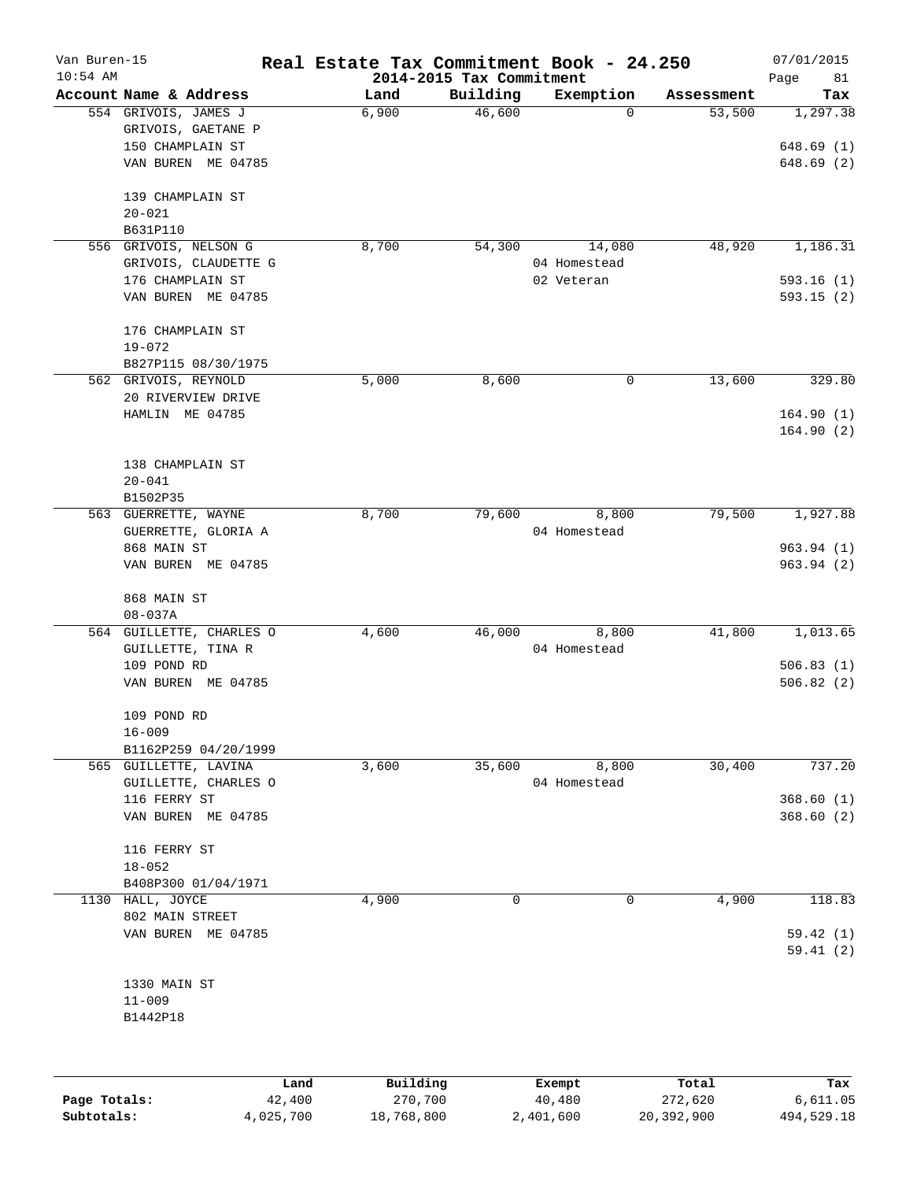| Van Buren-15 |                                            | Real Estate Tax Commitment Book - 24.250 |                          |                  |                  | 07/01/2015      |
|--------------|--------------------------------------------|------------------------------------------|--------------------------|------------------|------------------|-----------------|
| $10:54$ AM   |                                            |                                          | 2014-2015 Tax Commitment |                  |                  | Page<br>81      |
|              | Account Name & Address                     | Land                                     | Building                 | Exemption        | Assessment       | Tax             |
|              | 554 GRIVOIS, JAMES J<br>GRIVOIS, GAETANE P | 6,900                                    | 46,600                   | 0                | 53,500           | 1,297.38        |
|              | 150 CHAMPLAIN ST                           |                                          |                          |                  |                  | 648.69(1)       |
|              | VAN BUREN ME 04785                         |                                          |                          |                  |                  | 648.69(2)       |
|              |                                            |                                          |                          |                  |                  |                 |
|              | 139 CHAMPLAIN ST                           |                                          |                          |                  |                  |                 |
|              | $20 - 021$                                 |                                          |                          |                  |                  |                 |
|              | B631P110                                   |                                          |                          |                  |                  |                 |
| 556          | GRIVOIS, NELSON G                          | 8,700                                    | 54,300                   | 14,080           | 48,920           | 1,186.31        |
|              | GRIVOIS, CLAUDETTE G                       |                                          |                          | 04 Homestead     |                  |                 |
|              | 176 CHAMPLAIN ST                           |                                          |                          | 02 Veteran       |                  | 593.16(1)       |
|              | VAN BUREN ME 04785                         |                                          |                          |                  |                  | 593.15(2)       |
|              | 176 CHAMPLAIN ST                           |                                          |                          |                  |                  |                 |
|              | $19 - 072$                                 |                                          |                          |                  |                  |                 |
|              | B827P115 08/30/1975                        |                                          |                          |                  |                  |                 |
|              | 562 GRIVOIS, REYNOLD                       | 5,000                                    | 8,600                    | 0                | 13,600           | 329.80          |
|              | 20 RIVERVIEW DRIVE                         |                                          |                          |                  |                  |                 |
|              | HAMLIN ME 04785                            |                                          |                          |                  |                  | 164.90(1)       |
|              |                                            |                                          |                          |                  |                  | 164.90(2)       |
|              | 138 CHAMPLAIN ST                           |                                          |                          |                  |                  |                 |
|              | $20 - 041$                                 |                                          |                          |                  |                  |                 |
|              | B1502P35                                   |                                          |                          |                  |                  |                 |
|              | 563 GUERRETTE, WAYNE                       | 8,700                                    | 79,600                   | 8,800            | 79,500           | 1,927.88        |
|              | GUERRETTE, GLORIA A                        |                                          |                          | 04 Homestead     |                  |                 |
|              | 868 MAIN ST                                |                                          |                          |                  |                  | 963.94(1)       |
|              | VAN BUREN ME 04785                         |                                          |                          |                  |                  | 963.94(2)       |
|              |                                            |                                          |                          |                  |                  |                 |
|              | 868 MAIN ST                                |                                          |                          |                  |                  |                 |
|              | $08 - 037A$                                |                                          |                          |                  |                  |                 |
|              | 564 GUILLETTE, CHARLES O                   | 4,600                                    | 46,000                   | 8,800            | 41,800           | 1,013.65        |
|              | GUILLETTE, TINA R                          |                                          |                          | 04 Homestead     |                  |                 |
|              | 109 POND RD                                |                                          |                          |                  |                  | 506.83(1)       |
|              | VAN BUREN ME 04785                         |                                          |                          |                  |                  | 506.82(2)       |
|              | 109 POND RD                                |                                          |                          |                  |                  |                 |
|              | $16 - 009$                                 |                                          |                          |                  |                  |                 |
|              | B1162P259 04/20/1999                       |                                          |                          |                  |                  |                 |
|              | 565 GUILLETTE, LAVINA                      | 3,600                                    | 35,600                   | 8,800            | 30,400           | 737.20          |
|              | GUILLETTE, CHARLES O                       |                                          |                          | 04 Homestead     |                  |                 |
|              | 116 FERRY ST                               |                                          |                          |                  |                  | 368.60(1)       |
|              | VAN BUREN ME 04785                         |                                          |                          |                  |                  | 368.60(2)       |
|              |                                            |                                          |                          |                  |                  |                 |
|              | 116 FERRY ST                               |                                          |                          |                  |                  |                 |
|              | $18 - 052$                                 |                                          |                          |                  |                  |                 |
|              | B408P300 01/04/1971                        |                                          |                          |                  |                  |                 |
| 1130         | HALL, JOYCE<br>802 MAIN STREET             | 4,900                                    | 0                        | 0                | 4,900            | 118.83          |
|              | VAN BUREN ME 04785                         |                                          |                          |                  |                  | 59.42(1)        |
|              |                                            |                                          |                          |                  |                  | 59.41(2)        |
|              |                                            |                                          |                          |                  |                  |                 |
|              | 1330 MAIN ST                               |                                          |                          |                  |                  |                 |
|              | $11 - 009$                                 |                                          |                          |                  |                  |                 |
|              | B1442P18                                   |                                          |                          |                  |                  |                 |
|              |                                            |                                          |                          |                  |                  |                 |
|              |                                            |                                          |                          |                  |                  |                 |
| Page Totals: | 42,400                                     | Building<br>Land<br>270,700              |                          | Exempt<br>40,480 | Total<br>272,620 | Tax<br>6,611.05 |

**Subtotals:** 4,025,700 18,768,800 2,401,600 20,392,900 494,529.18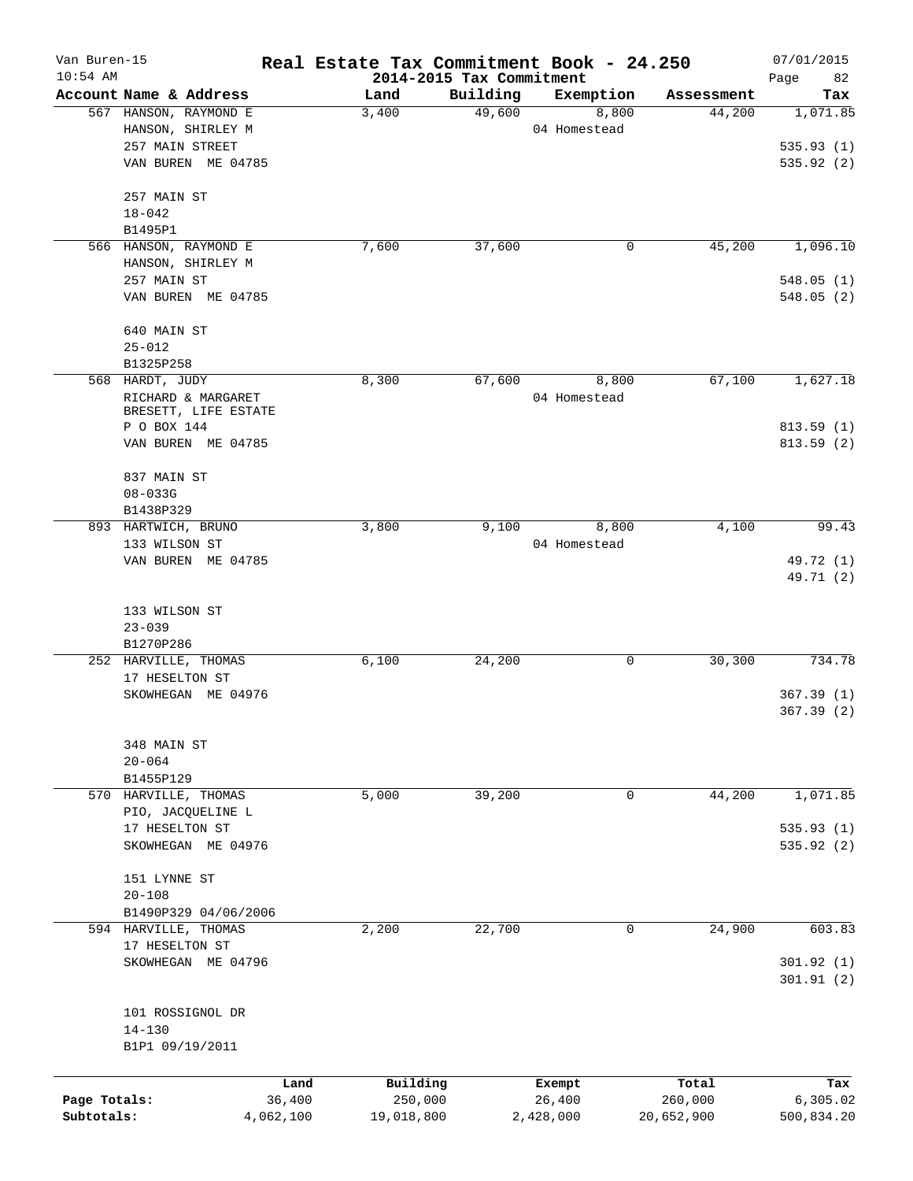| Van Buren-15 |                                   | Real Estate Tax Commitment Book - 24.250 |                                      |              |            | 07/01/2015        |
|--------------|-----------------------------------|------------------------------------------|--------------------------------------|--------------|------------|-------------------|
| $10:54$ AM   | Account Name & Address            | Land                                     | 2014-2015 Tax Commitment<br>Building | Exemption    | Assessment | 82<br>Page<br>Tax |
|              | 567 HANSON, RAYMOND E             | 3,400                                    | 49,600                               | 8,800        | 44,200     | 1,071.85          |
|              | HANSON, SHIRLEY M                 |                                          |                                      | 04 Homestead |            |                   |
|              | 257 MAIN STREET                   |                                          |                                      |              |            | 535.93(1)         |
|              | VAN BUREN ME 04785                |                                          |                                      |              |            | 535.92(2)         |
|              |                                   |                                          |                                      |              |            |                   |
|              | 257 MAIN ST                       |                                          |                                      |              |            |                   |
|              | $18 - 042$                        |                                          |                                      |              |            |                   |
|              | B1495P1                           |                                          |                                      |              |            |                   |
|              | 566 HANSON, RAYMOND E             | 7,600                                    | 37,600                               | 0            | 45,200     | 1,096.10          |
|              | HANSON, SHIRLEY M                 |                                          |                                      |              |            |                   |
|              | 257 MAIN ST                       |                                          |                                      |              |            | 548.05(1)         |
|              | VAN BUREN ME 04785                |                                          |                                      |              |            | 548.05(2)         |
|              | 640 MAIN ST                       |                                          |                                      |              |            |                   |
|              | $25 - 012$                        |                                          |                                      |              |            |                   |
|              | B1325P258                         |                                          |                                      |              |            |                   |
|              | 568 HARDT, JUDY                   | 8,300                                    | 67,600                               | 8,800        | 67,100     | 1,627.18          |
|              | RICHARD & MARGARET                |                                          |                                      | 04 Homestead |            |                   |
|              | BRESETT, LIFE ESTATE              |                                          |                                      |              |            |                   |
|              | P O BOX 144                       |                                          |                                      |              |            | 813.59(1)         |
|              | VAN BUREN ME 04785                |                                          |                                      |              |            | 813.59(2)         |
|              | 837 MAIN ST                       |                                          |                                      |              |            |                   |
|              | $08 - 033G$                       |                                          |                                      |              |            |                   |
|              | B1438P329                         |                                          |                                      |              |            |                   |
|              | 893 HARTWICH, BRUNO               | 3,800                                    | 9,100                                | 8,800        | 4,100      | 99.43             |
|              | 133 WILSON ST                     |                                          |                                      | 04 Homestead |            |                   |
|              | VAN BUREN ME 04785                |                                          |                                      |              |            | 49.72 (1)         |
|              |                                   |                                          |                                      |              |            | 49.71 (2)         |
|              | 133 WILSON ST                     |                                          |                                      |              |            |                   |
|              | $23 - 039$                        |                                          |                                      |              |            |                   |
|              | B1270P286                         |                                          |                                      |              |            |                   |
|              | 252 HARVILLE, THOMAS              | 6,100                                    | 24,200                               | 0            | 30,300     | 734.78            |
|              | 17 HESELTON ST                    |                                          |                                      |              |            |                   |
|              | SKOWHEGAN ME 04976                |                                          |                                      |              |            | 367.39(1)         |
|              |                                   |                                          |                                      |              |            | 367.39(2)         |
|              |                                   |                                          |                                      |              |            |                   |
|              | 348 MAIN ST                       |                                          |                                      |              |            |                   |
|              | $20 - 064$                        |                                          |                                      |              |            |                   |
|              | B1455P129<br>570 HARVILLE, THOMAS | 5,000                                    | 39,200                               | 0            | 44,200     | 1,071.85          |
|              | PIO, JACQUELINE L                 |                                          |                                      |              |            |                   |
|              | 17 HESELTON ST                    |                                          |                                      |              |            | 535.93(1)         |
|              | SKOWHEGAN ME 04976                |                                          |                                      |              |            | 535.92 (2)        |
|              |                                   |                                          |                                      |              |            |                   |
|              | 151 LYNNE ST                      |                                          |                                      |              |            |                   |
|              | $20 - 108$                        |                                          |                                      |              |            |                   |
|              | B1490P329 04/06/2006              |                                          |                                      |              |            |                   |
|              | 594 HARVILLE, THOMAS              | 2,200                                    | 22,700                               | $\mathbf 0$  | 24,900     | 603.83            |
|              | 17 HESELTON ST                    |                                          |                                      |              |            |                   |
|              | SKOWHEGAN ME 04796                |                                          |                                      |              |            | 301.92(1)         |
|              |                                   |                                          |                                      |              |            | 301.91(2)         |
|              |                                   |                                          |                                      |              |            |                   |
|              | 101 ROSSIGNOL DR<br>$14 - 130$    |                                          |                                      |              |            |                   |
|              | B1P1 09/19/2011                   |                                          |                                      |              |            |                   |
|              |                                   |                                          |                                      |              |            |                   |
|              |                                   | Building<br>Land                         |                                      | Exempt       | Total      | Tax               |
| Page Totals: | 36,400                            | 250,000                                  |                                      | 26,400       | 260,000    | 6, 305.02         |
| Subtotals:   | 4,062,100                         | 19,018,800                               |                                      | 2,428,000    | 20,652,900 | 500,834.20        |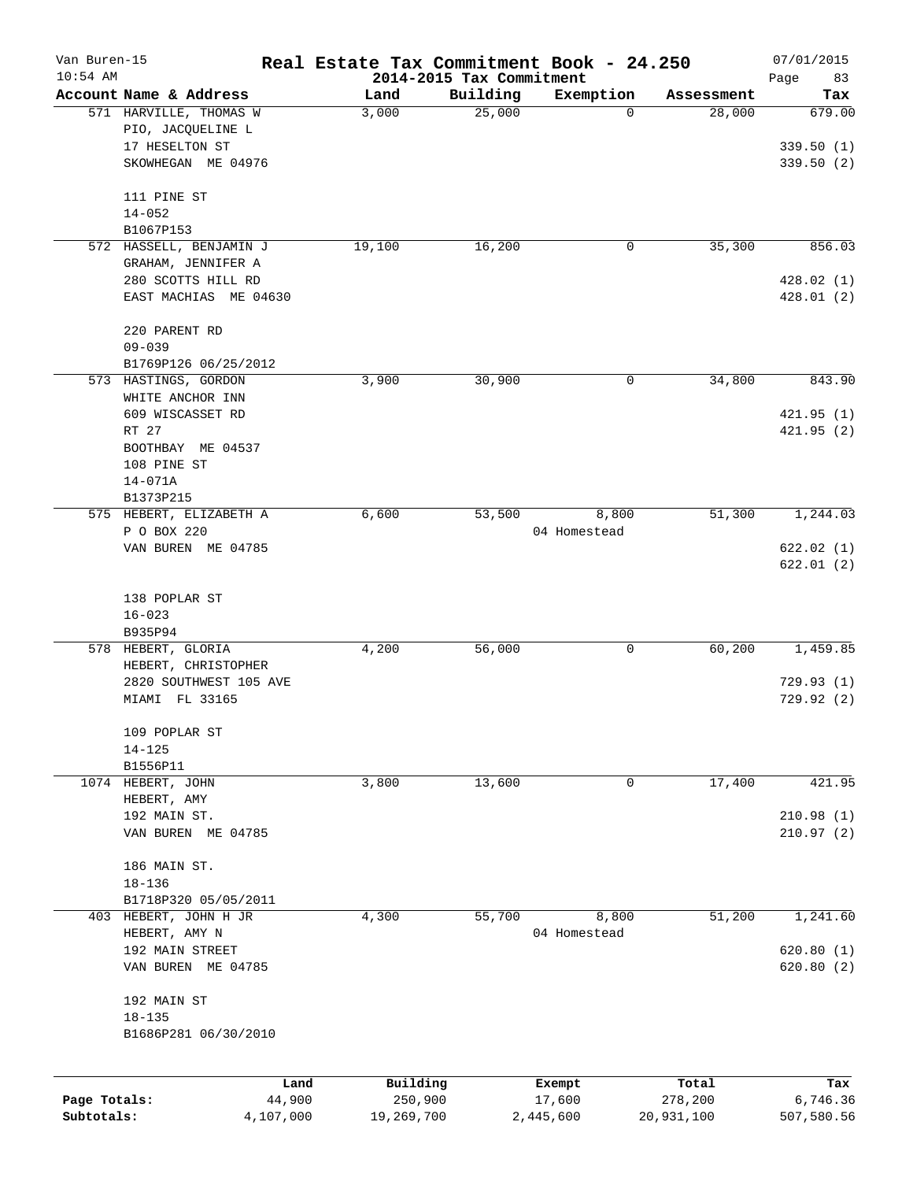| Van Buren-15<br>$10:54$ AM |                                                               | Real Estate Tax Commitment Book - 24.250 |                                      |                       |            | 07/01/2015              |
|----------------------------|---------------------------------------------------------------|------------------------------------------|--------------------------------------|-----------------------|------------|-------------------------|
|                            | Account Name & Address                                        | Land                                     | 2014-2015 Tax Commitment<br>Building | Exemption             | Assessment | Page<br>83<br>Tax       |
|                            | 571 HARVILLE, THOMAS W<br>PIO, JACQUELINE L<br>17 HESELTON ST | 3,000                                    | 25,000                               | 0                     | 28,000     | 679.00                  |
|                            | SKOWHEGAN ME 04976                                            |                                          |                                      |                       |            | 339.50(1)<br>339.50 (2) |
|                            | 111 PINE ST                                                   |                                          |                                      |                       |            |                         |
|                            | $14 - 052$                                                    |                                          |                                      |                       |            |                         |
|                            | B1067P153<br>572 HASSELL, BENJAMIN J                          | 19,100                                   | 16,200                               | 0                     | 35,300     | 856.03                  |
|                            | GRAHAM, JENNIFER A                                            |                                          |                                      |                       |            |                         |
|                            | 280 SCOTTS HILL RD                                            |                                          |                                      |                       |            | 428.02(1)               |
|                            | EAST MACHIAS ME 04630                                         |                                          |                                      |                       |            | 428.01(2)               |
|                            | 220 PARENT RD                                                 |                                          |                                      |                       |            |                         |
|                            | $09 - 039$<br>B1769P126 06/25/2012                            |                                          |                                      |                       |            |                         |
|                            | 573 HASTINGS, GORDON                                          | 3,900                                    | 30,900                               | 0                     | 34,800     | 843.90                  |
|                            | WHITE ANCHOR INN                                              |                                          |                                      |                       |            |                         |
|                            | 609 WISCASSET RD                                              |                                          |                                      |                       |            | 421.95(1)               |
|                            | RT 27                                                         |                                          |                                      |                       |            | 421.95(2)               |
|                            | BOOTHBAY ME 04537                                             |                                          |                                      |                       |            |                         |
|                            | 108 PINE ST                                                   |                                          |                                      |                       |            |                         |
|                            | $14 - 071A$<br>B1373P215                                      |                                          |                                      |                       |            |                         |
|                            | 575 HEBERT, ELIZABETH A                                       | 6,600                                    | 53,500                               | 8,800                 | 51,300     | 1,244.03                |
|                            | P O BOX 220                                                   |                                          |                                      | 04 Homestead          |            |                         |
|                            | VAN BUREN ME 04785                                            |                                          |                                      |                       |            | 622.02(1)               |
|                            |                                                               |                                          |                                      |                       |            | 622.01(2)               |
|                            | 138 POPLAR ST                                                 |                                          |                                      |                       |            |                         |
|                            | $16 - 023$                                                    |                                          |                                      |                       |            |                         |
|                            | B935P94                                                       |                                          |                                      |                       |            |                         |
|                            | 578 HEBERT, GLORIA<br>HEBERT, CHRISTOPHER                     | 4,200                                    | 56,000                               | 0                     | 60,200     | 1,459.85                |
|                            | 2820 SOUTHWEST 105 AVE                                        |                                          |                                      |                       |            | 729.93(1)               |
|                            | MIAMI FL 33165                                                |                                          |                                      |                       |            | 729.92(2)               |
|                            | 109 POPLAR ST                                                 |                                          |                                      |                       |            |                         |
|                            | $14 - 125$                                                    |                                          |                                      |                       |            |                         |
|                            | B1556P11                                                      |                                          |                                      |                       |            |                         |
|                            | 1074 HEBERT, JOHN<br>HEBERT, AMY                              | 3,800                                    | 13,600                               | 0                     | 17,400     | 421.95                  |
|                            | 192 MAIN ST.                                                  |                                          |                                      |                       |            | 210.98(1)               |
|                            | VAN BUREN ME 04785                                            |                                          |                                      |                       |            | 210.97(2)               |
|                            | 186 MAIN ST.                                                  |                                          |                                      |                       |            |                         |
|                            | $18 - 136$                                                    |                                          |                                      |                       |            |                         |
|                            | B1718P320 05/05/2011                                          |                                          |                                      |                       |            |                         |
|                            | 403 HEBERT, JOHN H JR<br>HEBERT, AMY N                        | 4,300                                    | 55,700                               | 8,800<br>04 Homestead | 51,200     | 1,241.60                |
|                            | 192 MAIN STREET                                               |                                          |                                      |                       |            | 620.80(1)               |
|                            | VAN BUREN ME 04785                                            |                                          |                                      |                       |            | 620.80(2)               |
|                            | 192 MAIN ST                                                   |                                          |                                      |                       |            |                         |
|                            | $18 - 135$                                                    |                                          |                                      |                       |            |                         |
|                            | B1686P281 06/30/2010                                          |                                          |                                      |                       |            |                         |
|                            |                                                               | Building<br>Land                         | Exempt                               |                       | Total      | Tax                     |
| Page Totals:               | 44,900                                                        | 250,900                                  | 17,600                               |                       | 278,200    | 6,746.36                |
| Subtotals:                 | 4,107,000                                                     | 19,269,700                               | 2,445,600                            |                       | 20,931,100 | 507,580.56              |
|                            |                                                               |                                          |                                      |                       |            |                         |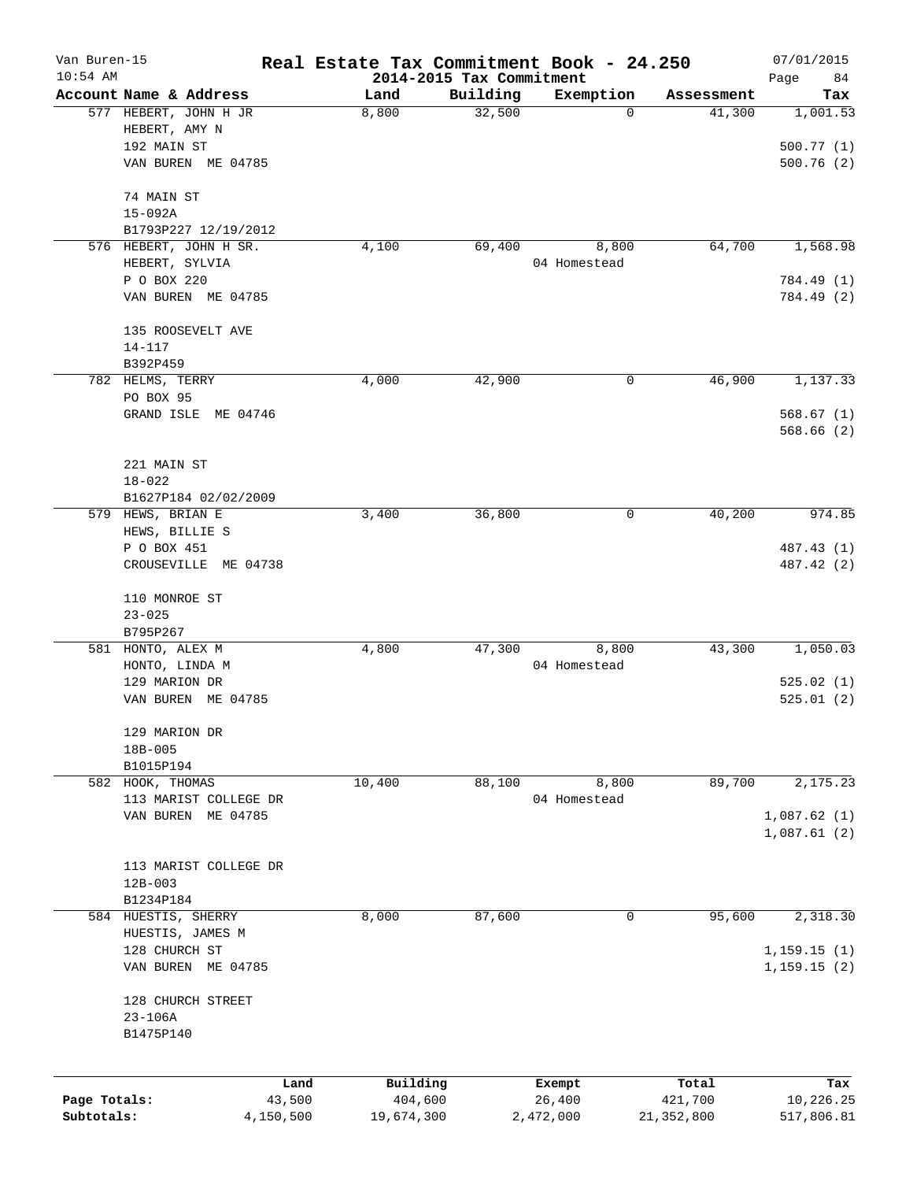| Van Buren-15 |                                          | Real Estate Tax Commitment Book - 24.250 |                          |                       |                      | 07/01/2015                 |
|--------------|------------------------------------------|------------------------------------------|--------------------------|-----------------------|----------------------|----------------------------|
| $10:54$ AM   | Account Name & Address                   |                                          | 2014-2015 Tax Commitment |                       |                      | Page<br>84                 |
|              | 577 HEBERT, JOHN H JR                    | Land<br>8,800                            | Building<br>32,500       | Exemption<br>0        | Assessment<br>41,300 | Tax<br>1,001.53            |
|              | HEBERT, AMY N                            |                                          |                          |                       |                      |                            |
|              | 192 MAIN ST<br>VAN BUREN ME 04785        |                                          |                          |                       |                      | 500.77(1)<br>500.76(2)     |
|              |                                          |                                          |                          |                       |                      |                            |
|              | 74 MAIN ST                               |                                          |                          |                       |                      |                            |
|              | $15 - 092A$                              |                                          |                          |                       |                      |                            |
|              | B1793P227 12/19/2012                     |                                          |                          |                       |                      |                            |
|              | 576 HEBERT, JOHN H SR.<br>HEBERT, SYLVIA | 4,100                                    | 69,400                   | 8,800<br>04 Homestead | 64,700               | 1,568.98                   |
|              | P O BOX 220                              |                                          |                          |                       |                      | 784.49 (1)                 |
|              | VAN BUREN ME 04785                       |                                          |                          |                       |                      | 784.49 (2)                 |
|              |                                          |                                          |                          |                       |                      |                            |
|              | 135 ROOSEVELT AVE<br>$14 - 117$          |                                          |                          |                       |                      |                            |
|              | B392P459                                 |                                          |                          |                       |                      |                            |
|              | 782 HELMS, TERRY                         | 4,000                                    | 42,900                   | 0                     | 46,900               | 1,137.33                   |
|              | PO BOX 95                                |                                          |                          |                       |                      |                            |
|              | GRAND ISLE ME 04746                      |                                          |                          |                       |                      | 568.67(1)                  |
|              |                                          |                                          |                          |                       |                      | 568.66(2)                  |
|              | 221 MAIN ST                              |                                          |                          |                       |                      |                            |
|              | $18 - 022$                               |                                          |                          |                       |                      |                            |
|              | B1627P184 02/02/2009                     |                                          |                          |                       |                      |                            |
|              | 579 HEWS, BRIAN E                        | 3,400                                    | 36,800                   | 0                     | 40,200               | 974.85                     |
|              | HEWS, BILLIE S                           |                                          |                          |                       |                      |                            |
|              | P O BOX 451                              |                                          |                          |                       |                      | 487.43 (1)                 |
|              | CROUSEVILLE ME 04738                     |                                          |                          |                       |                      | 487.42 (2)                 |
|              | 110 MONROE ST                            |                                          |                          |                       |                      |                            |
|              | $23 - 025$                               |                                          |                          |                       |                      |                            |
|              | B795P267                                 |                                          |                          |                       |                      |                            |
|              | 581 HONTO, ALEX M                        | 4,800                                    | 47,300                   | 8,800                 | 43,300               | 1,050.03                   |
|              | HONTO, LINDA M                           |                                          |                          | 04 Homestead          |                      |                            |
|              | 129 MARION DR                            |                                          |                          |                       |                      | 525.02(1)                  |
|              | VAN BUREN<br>ME 04785                    |                                          |                          |                       |                      | 525.01(2)                  |
|              | 129 MARION DR                            |                                          |                          |                       |                      |                            |
|              | 18B-005                                  |                                          |                          |                       |                      |                            |
|              | B1015P194                                |                                          |                          |                       |                      |                            |
|              | 582 HOOK, THOMAS                         | 10,400                                   | 88,100                   | 8,800                 | 89,700               | 2,175.23                   |
|              | 113 MARIST COLLEGE DR                    |                                          |                          | 04 Homestead          |                      |                            |
|              | VAN BUREN ME 04785                       |                                          |                          |                       |                      | 1,087.62(1)<br>1,087.61(2) |
|              |                                          |                                          |                          |                       |                      |                            |
|              | 113 MARIST COLLEGE DR                    |                                          |                          |                       |                      |                            |
|              | $12B - 003$                              |                                          |                          |                       |                      |                            |
|              | B1234P184                                |                                          |                          |                       |                      |                            |
|              | 584 HUESTIS, SHERRY                      | 8,000                                    | 87,600                   | 0                     | 95,600               | 2,318.30                   |
|              | HUESTIS, JAMES M                         |                                          |                          |                       |                      |                            |
|              | 128 CHURCH ST                            |                                          |                          |                       |                      | 1,159.15(1)                |
|              | VAN BUREN ME 04785                       |                                          |                          |                       |                      | 1, 159.15(2)               |
|              | 128 CHURCH STREET                        |                                          |                          |                       |                      |                            |
|              | $23 - 106A$                              |                                          |                          |                       |                      |                            |
|              | B1475P140                                |                                          |                          |                       |                      |                            |
|              |                                          |                                          |                          |                       |                      |                            |
| Page Totals: | Land<br>43,500                           | Building<br>404,600                      |                          | Exempt<br>26,400      | Total<br>421,700     | Tax<br>10,226.25           |
| Subtotals:   | 4,150,500                                | 19,674,300                               | 2,472,000                |                       | 21, 352, 800         | 517,806.81                 |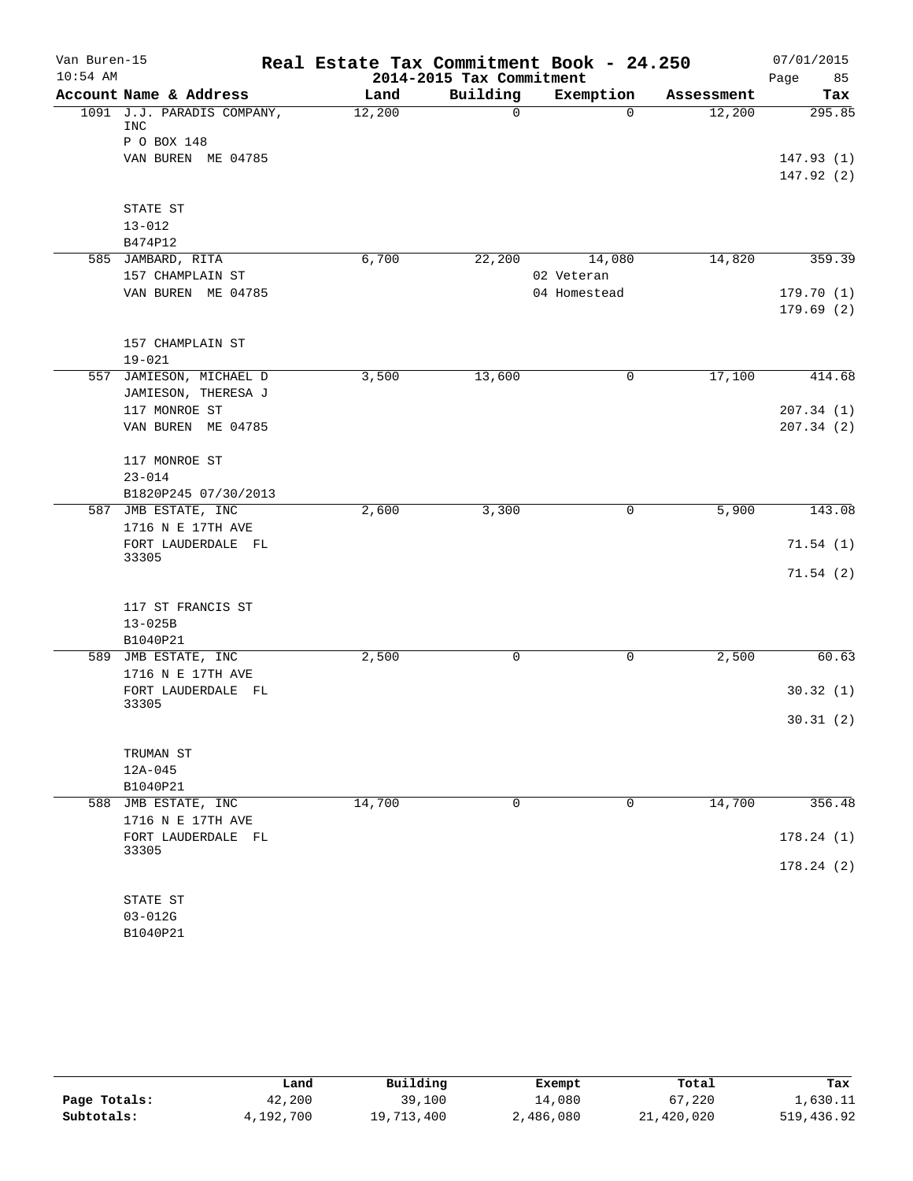| Van Buren-15 |                                                | Real Estate Tax Commitment Book - 24.250 |              |              |            | 07/01/2015             |
|--------------|------------------------------------------------|------------------------------------------|--------------|--------------|------------|------------------------|
| $10:54$ AM   |                                                | 2014-2015 Tax Commitment                 |              |              | Page<br>85 |                        |
|              | Account Name & Address                         | Land                                     | Building     | Exemption    | Assessment | Tax                    |
|              | 1091 J.J. PARADIS COMPANY,<br>INC              | 12,200                                   | 0            | $\Omega$     | 12,200     | 295.85                 |
|              | P O BOX 148                                    |                                          |              |              |            |                        |
|              | VAN BUREN ME 04785                             |                                          |              |              |            | 147.93(1)<br>147.92(2) |
|              | STATE ST                                       |                                          |              |              |            |                        |
|              | $13 - 012$                                     |                                          |              |              |            |                        |
|              | B474P12                                        |                                          |              |              |            |                        |
|              | 585 JAMBARD, RITA                              | 6,700                                    | 22,200       | 14,080       | 14,820     | 359.39                 |
|              | 157 CHAMPLAIN ST                               |                                          |              | 02 Veteran   |            |                        |
|              | VAN BUREN ME 04785                             |                                          |              | 04 Homestead |            | 179.70(1)<br>179.69(2) |
|              | 157 CHAMPLAIN ST                               |                                          |              |              |            |                        |
|              | $19 - 021$                                     |                                          |              |              |            |                        |
|              | 557 JAMIESON, MICHAEL D<br>JAMIESON, THERESA J | 3,500                                    | 13,600       | 0            | 17,100     | 414.68                 |
|              | 117 MONROE ST                                  |                                          |              |              |            | 207.34(1)              |
|              | VAN BUREN ME 04785                             |                                          |              |              |            | 207.34 (2)             |
|              | 117 MONROE ST                                  |                                          |              |              |            |                        |
|              | $23 - 014$                                     |                                          |              |              |            |                        |
|              | B1820P245 07/30/2013                           |                                          |              |              |            |                        |
|              | 587 JMB ESTATE, INC<br>1716 N E 17TH AVE       | 2,600                                    | 3,300        | 0            | 5,900      | 143.08                 |
|              | FORT LAUDERDALE FL<br>33305                    |                                          |              |              |            | 71.54(1)               |
|              |                                                |                                          |              |              |            | 71.54(2)               |
|              | 117 ST FRANCIS ST                              |                                          |              |              |            |                        |
|              | $13 - 025B$                                    |                                          |              |              |            |                        |
|              | B1040P21                                       |                                          |              |              |            |                        |
| 589          | JMB ESTATE, INC<br>1716 N E 17TH AVE           | 2,500                                    | $\mathsf{O}$ | $\mathsf{O}$ | 2,500      | 60.63                  |
|              | FORT LAUDERDALE FL<br>33305                    |                                          |              |              |            | 30.32(1)               |
|              |                                                |                                          |              |              |            | 30.31(2)               |
|              | TRUMAN ST                                      |                                          |              |              |            |                        |
|              | $12A-045$                                      |                                          |              |              |            |                        |
|              | B1040P21                                       |                                          |              |              |            |                        |
| 588          | JMB ESTATE, INC<br>1716 N E 17TH AVE           | 14,700                                   | $\mathbf 0$  | 0            | 14,700     | 356.48                 |
|              | FORT LAUDERDALE FL<br>33305                    |                                          |              |              |            | 178.24(1)              |
|              |                                                |                                          |              |              |            | 178.24(2)              |
|              | STATE ST                                       |                                          |              |              |            |                        |
|              | $03 - 012G$                                    |                                          |              |              |            |                        |
|              | B1040P21                                       |                                          |              |              |            |                        |

|              | Land      | Building   | Exempt    | Total      | Tax        |
|--------------|-----------|------------|-----------|------------|------------|
| Page Totals: | 42,200    | 39,100     | 14,080    | 67,220     | 1,630.11   |
| Subtotals:   | 4,192,700 | 19,713,400 | 2,486,080 | 21,420,020 | 519,436.92 |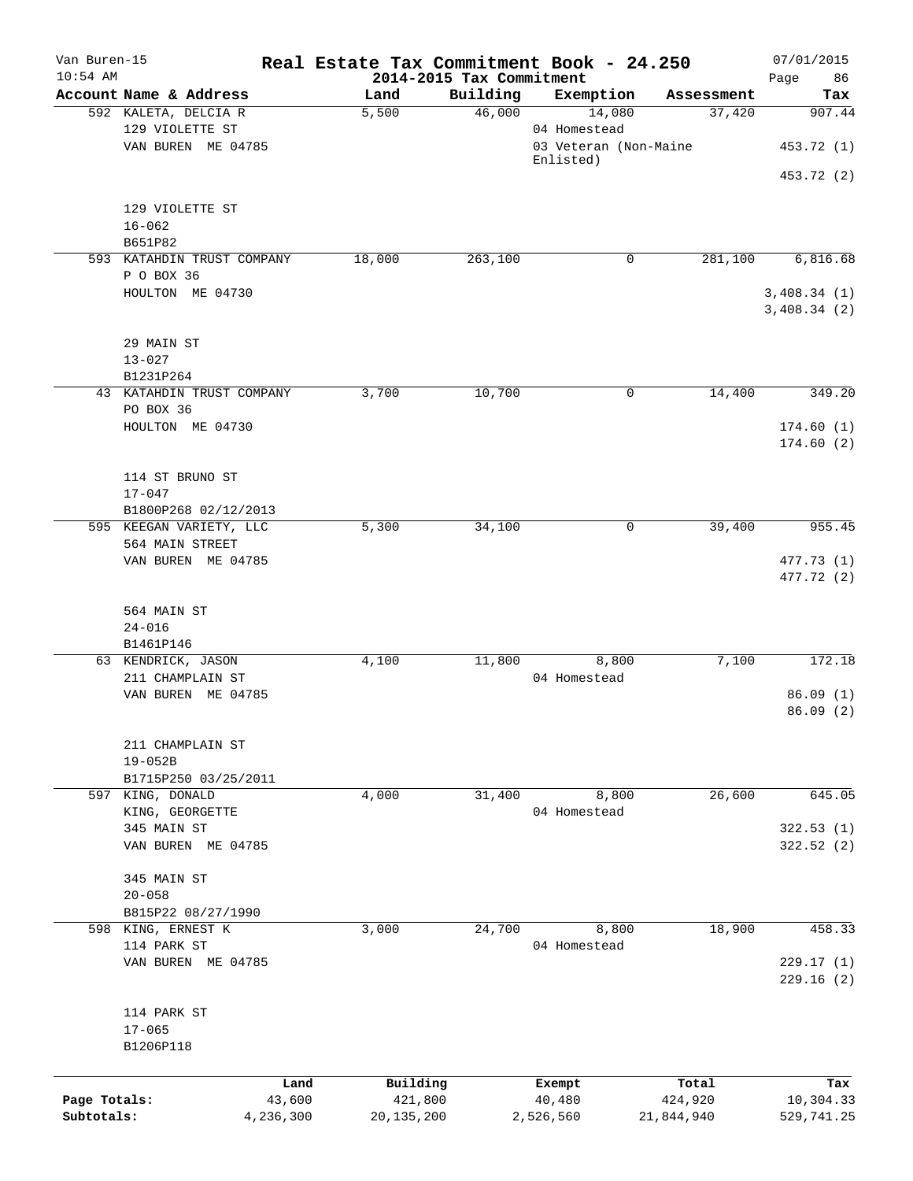| Van Buren-15<br>$10:54$ AM |                                        | Real Estate Tax Commitment Book - 24.250<br>2014-2015 Tax Commitment |          |                       |                  | 07/01/2015        |
|----------------------------|----------------------------------------|----------------------------------------------------------------------|----------|-----------------------|------------------|-------------------|
|                            | Account Name & Address                 | Land                                                                 | Building | Exemption             | Assessment       | Page<br>86<br>Tax |
|                            | 592 KALETA, DELCIA R                   | 5,500                                                                | 46,000   | 14,080                | 37,420           | 907.44            |
|                            | 129 VIOLETTE ST                        |                                                                      |          | 04 Homestead          |                  |                   |
|                            | VAN BUREN ME 04785                     |                                                                      |          | 03 Veteran (Non-Maine |                  | 453.72 (1)        |
|                            |                                        |                                                                      |          | Enlisted)             |                  |                   |
|                            |                                        |                                                                      |          |                       |                  | 453.72 (2)        |
|                            | 129 VIOLETTE ST                        |                                                                      |          |                       |                  |                   |
|                            | $16 - 062$                             |                                                                      |          |                       |                  |                   |
|                            | B651P82                                |                                                                      |          |                       |                  |                   |
|                            | 593 KATAHDIN TRUST COMPANY             | 18,000                                                               | 263,100  | $\mathbf 0$           | 281,100          | 6,816.68          |
|                            | P O BOX 36                             |                                                                      |          |                       |                  |                   |
|                            | HOULTON ME 04730                       |                                                                      |          |                       |                  | 3,408.34(1)       |
|                            |                                        |                                                                      |          |                       |                  | 3,408.34(2)       |
|                            |                                        |                                                                      |          |                       |                  |                   |
|                            | 29 MAIN ST                             |                                                                      |          |                       |                  |                   |
|                            | $13 - 027$                             |                                                                      |          |                       |                  |                   |
|                            | B1231P264<br>43 KATAHDIN TRUST COMPANY | 3,700                                                                | 10,700   | 0                     | 14,400           | 349.20            |
|                            | PO BOX 36                              |                                                                      |          |                       |                  |                   |
|                            | HOULTON ME 04730                       |                                                                      |          |                       |                  | 174.60(1)         |
|                            |                                        |                                                                      |          |                       |                  | 174.60(2)         |
|                            |                                        |                                                                      |          |                       |                  |                   |
|                            | 114 ST BRUNO ST                        |                                                                      |          |                       |                  |                   |
|                            | $17 - 047$                             |                                                                      |          |                       |                  |                   |
|                            | B1800P268 02/12/2013                   |                                                                      |          |                       |                  |                   |
|                            | 595 KEEGAN VARIETY, LLC                | 5,300                                                                | 34,100   | $\mathbf 0$           | 39,400           | 955.45            |
|                            | 564 MAIN STREET                        |                                                                      |          |                       |                  |                   |
|                            | VAN BUREN ME 04785                     |                                                                      |          |                       |                  | 477.73 (1)        |
|                            |                                        |                                                                      |          |                       |                  | 477.72 (2)        |
|                            | 564 MAIN ST                            |                                                                      |          |                       |                  |                   |
|                            | $24 - 016$                             |                                                                      |          |                       |                  |                   |
|                            | B1461P146                              |                                                                      |          |                       |                  |                   |
|                            | 63 KENDRICK, JASON                     | 4,100                                                                | 11,800   | 8,800                 | 7,100            | 172.18            |
|                            | 211 CHAMPLAIN ST                       |                                                                      |          | 04 Homestead          |                  |                   |
|                            | VAN BUREN ME 04785                     |                                                                      |          |                       |                  | 86.09(1)          |
|                            |                                        |                                                                      |          |                       |                  | 86.09(2)          |
|                            |                                        |                                                                      |          |                       |                  |                   |
|                            | 211 CHAMPLAIN ST                       |                                                                      |          |                       |                  |                   |
|                            | $19 - 052B$                            |                                                                      |          |                       |                  |                   |
|                            | B1715P250 03/25/2011                   |                                                                      |          |                       |                  |                   |
|                            | 597 KING, DONALD                       | 4,000                                                                | 31,400   | 8,800<br>04 Homestead | 26,600           | 645.05            |
|                            | KING, GEORGETTE<br>345 MAIN ST         |                                                                      |          |                       |                  | 322.53 (1)        |
|                            | VAN BUREN ME 04785                     |                                                                      |          |                       |                  | 322.52 (2)        |
|                            |                                        |                                                                      |          |                       |                  |                   |
|                            | 345 MAIN ST                            |                                                                      |          |                       |                  |                   |
|                            | $20 - 058$                             |                                                                      |          |                       |                  |                   |
|                            | B815P22 08/27/1990                     |                                                                      |          |                       |                  |                   |
|                            | 598 KING, ERNEST K                     | 3,000                                                                | 24,700   | 8,800                 | 18,900           | 458.33            |
|                            | 114 PARK ST                            |                                                                      |          | 04 Homestead          |                  |                   |
|                            | VAN BUREN ME 04785                     |                                                                      |          |                       |                  | 229.17(1)         |
|                            |                                        |                                                                      |          |                       |                  | 229.16(2)         |
|                            |                                        |                                                                      |          |                       |                  |                   |
|                            | 114 PARK ST                            |                                                                      |          |                       |                  |                   |
|                            | $17 - 065$                             |                                                                      |          |                       |                  |                   |
|                            | B1206P118                              |                                                                      |          |                       |                  |                   |
|                            |                                        |                                                                      |          |                       |                  |                   |
| Page Totals:               | Land<br>43,600                         | Building<br>421,800                                                  |          | Exempt<br>40,480      | Total<br>424,920 | Tax<br>10,304.33  |
| Subtotals:                 | 4,236,300                              | 20, 135, 200                                                         |          | 2,526,560             | 21,844,940       | 529,741.25        |
|                            |                                        |                                                                      |          |                       |                  |                   |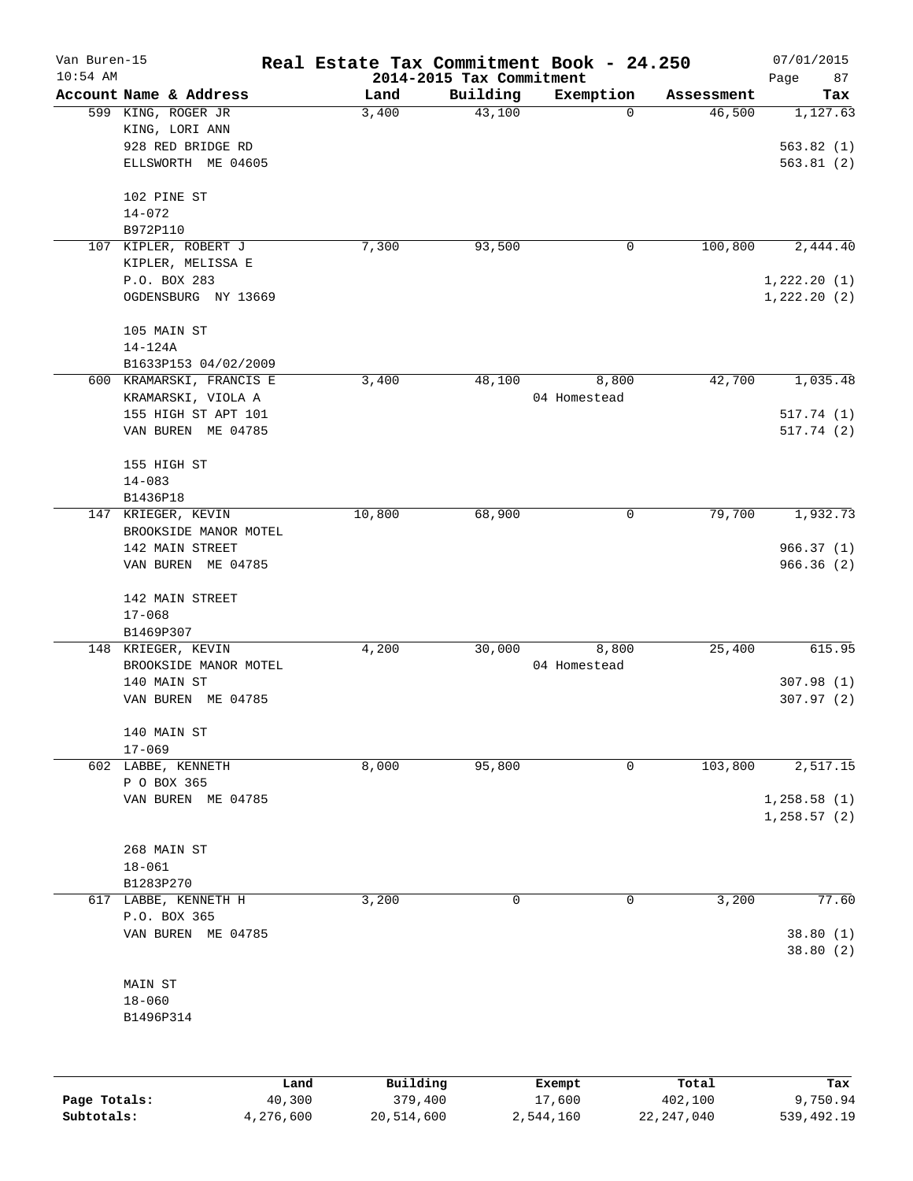| Van Buren-15<br>$10:54$ AM |                          | Real Estate Tax Commitment Book - 24.250 | 2014-2015 Tax Commitment |                  |                  | 07/01/2015        |
|----------------------------|--------------------------|------------------------------------------|--------------------------|------------------|------------------|-------------------|
|                            | Account Name & Address   | Land                                     | Building                 | Exemption        | Assessment       | Page<br>87<br>Tax |
|                            | 599 KING, ROGER JR       | 3,400                                    | 43,100                   | $\mathbf 0$      | 46,500           | 1,127.63          |
|                            | KING, LORI ANN           |                                          |                          |                  |                  |                   |
|                            | 928 RED BRIDGE RD        |                                          |                          |                  |                  | 563.82(1)         |
|                            | ELLSWORTH ME 04605       |                                          |                          |                  |                  | 563.81(2)         |
|                            | 102 PINE ST              |                                          |                          |                  |                  |                   |
|                            | $14 - 072$               |                                          |                          |                  |                  |                   |
|                            | B972P110                 |                                          |                          |                  |                  |                   |
|                            | 107 KIPLER, ROBERT J     | 7,300                                    | 93,500                   | 0                | 100,800          | 2,444.40          |
|                            | KIPLER, MELISSA E        |                                          |                          |                  |                  |                   |
|                            | P.O. BOX 283             |                                          |                          |                  |                  | 1,222.20(1)       |
|                            | OGDENSBURG NY 13669      |                                          |                          |                  |                  | 1,222.20(2)       |
|                            | 105 MAIN ST              |                                          |                          |                  |                  |                   |
|                            | $14 - 124A$              |                                          |                          |                  |                  |                   |
|                            | B1633P153 04/02/2009     |                                          |                          |                  |                  |                   |
|                            | 600 KRAMARSKI, FRANCIS E | 3,400                                    | 48,100                   | 8,800            | 42,700           | 1,035.48          |
|                            | KRAMARSKI, VIOLA A       |                                          |                          | 04 Homestead     |                  |                   |
|                            | 155 HIGH ST APT 101      |                                          |                          |                  |                  | 517.74(1)         |
|                            | VAN BUREN ME 04785       |                                          |                          |                  |                  | 517.74(2)         |
|                            | 155 HIGH ST              |                                          |                          |                  |                  |                   |
|                            | $14 - 083$               |                                          |                          |                  |                  |                   |
|                            | B1436P18                 |                                          |                          |                  |                  |                   |
| 147                        | KRIEGER, KEVIN           | 10,800                                   | 68,900                   | 0                | 79,700           | 1,932.73          |
|                            | BROOKSIDE MANOR MOTEL    |                                          |                          |                  |                  |                   |
|                            | 142 MAIN STREET          |                                          |                          |                  |                  | 966.37(1)         |
|                            | VAN BUREN ME 04785       |                                          |                          |                  |                  | 966.36(2)         |
|                            | 142 MAIN STREET          |                                          |                          |                  |                  |                   |
|                            | $17 - 068$               |                                          |                          |                  |                  |                   |
|                            | B1469P307                |                                          |                          |                  |                  |                   |
|                            | 148 KRIEGER, KEVIN       | 4,200                                    | 30,000                   | 8,800            | 25,400           | 615.95            |
|                            | BROOKSIDE MANOR MOTEL    |                                          |                          | 04 Homestead     |                  |                   |
|                            | 140 MAIN ST              |                                          |                          |                  |                  | 307.98(1)         |
|                            | VAN BUREN ME 04785       |                                          |                          |                  |                  | 307.97(2)         |
|                            | 140 MAIN ST              |                                          |                          |                  |                  |                   |
|                            | $17 - 069$               |                                          |                          |                  |                  |                   |
|                            | 602 LABBE, KENNETH       | 8,000                                    | 95,800                   | 0                | 103,800          | 2,517.15          |
|                            | P O BOX 365              |                                          |                          |                  |                  |                   |
|                            | VAN BUREN ME 04785       |                                          |                          |                  |                  | 1, 258.58(1)      |
|                            |                          |                                          |                          |                  |                  | 1,258.57(2)       |
|                            | 268 MAIN ST              |                                          |                          |                  |                  |                   |
|                            | $18 - 061$               |                                          |                          |                  |                  |                   |
|                            | B1283P270                |                                          |                          |                  |                  |                   |
|                            | 617 LABBE, KENNETH H     | 3,200                                    | 0                        | 0                | 3,200            | 77.60             |
|                            | P.O. BOX 365             |                                          |                          |                  |                  |                   |
|                            | VAN BUREN ME 04785       |                                          |                          |                  |                  | 38.80(1)          |
|                            |                          |                                          |                          |                  |                  | 38.80 (2)         |
|                            | MAIN ST                  |                                          |                          |                  |                  |                   |
|                            | $18 - 060$               |                                          |                          |                  |                  |                   |
|                            | B1496P314                |                                          |                          |                  |                  |                   |
|                            |                          |                                          |                          |                  |                  |                   |
|                            |                          |                                          |                          |                  |                  |                   |
| Page Totals:               | Land<br>40,300           | Building<br>379,400                      |                          | Exempt<br>17,600 | Total<br>402,100 | Tax<br>9,750.94   |

**Subtotals:** 4,276,600 20,514,600 2,544,160 22,247,040 539,492.19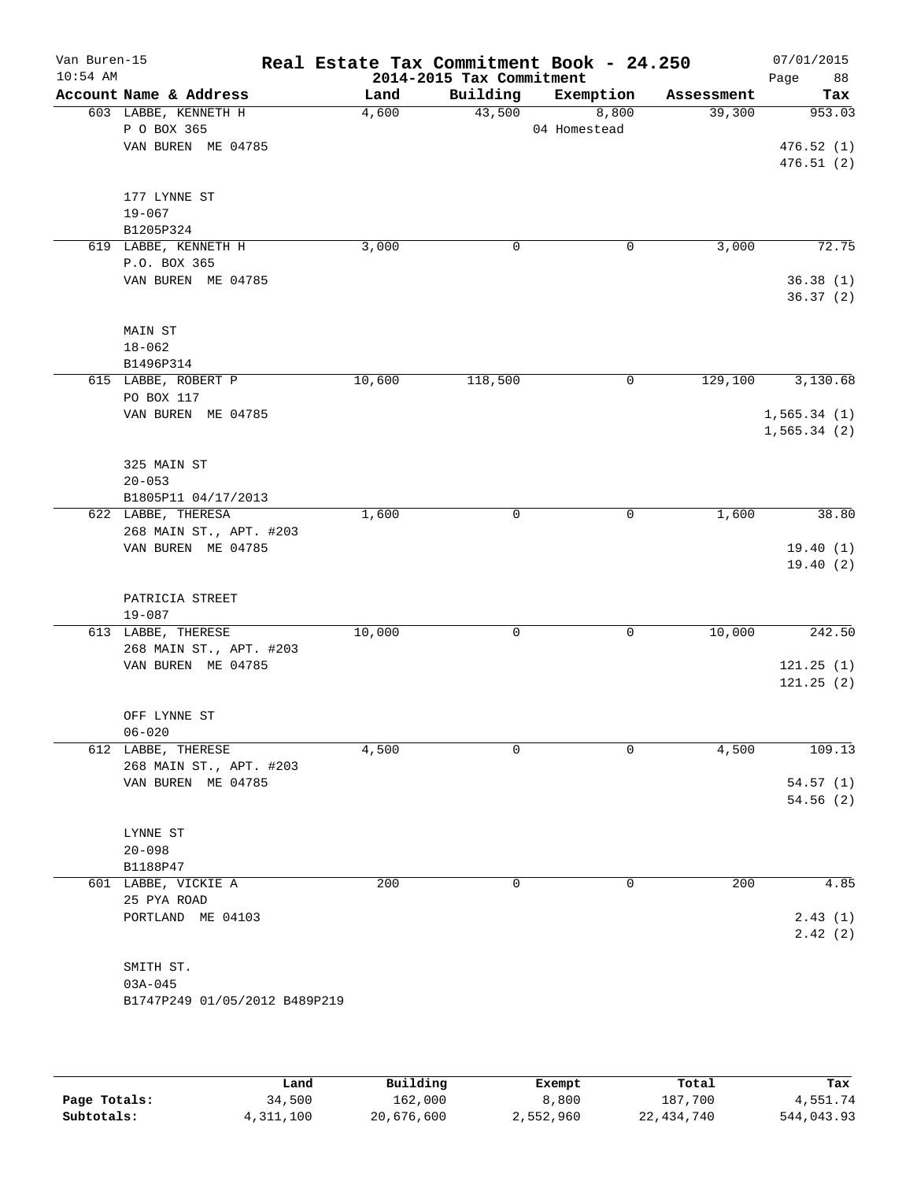| Van Buren-15<br>$10:54$ AM |                                               |        | 2014-2015 Tax Commitment | Real Estate Tax Commitment Book - 24.250 |            | 07/01/2015<br>88<br>Page |
|----------------------------|-----------------------------------------------|--------|--------------------------|------------------------------------------|------------|--------------------------|
|                            | Account Name & Address                        | Land   | Building                 | Exemption                                | Assessment | Tax                      |
|                            | 603 LABBE, KENNETH H                          | 4,600  | 43,500                   | 8,800                                    | 39,300     | 953.03                   |
|                            | P O BOX 365                                   |        |                          | 04 Homestead                             |            |                          |
|                            | VAN BUREN ME 04785                            |        |                          |                                          |            | 476.52(1)                |
|                            |                                               |        |                          |                                          |            | 476.51(2)                |
|                            | 177 LYNNE ST                                  |        |                          |                                          |            |                          |
|                            | $19 - 067$                                    |        |                          |                                          |            |                          |
|                            | B1205P324                                     |        |                          |                                          |            |                          |
|                            | 619 LABBE, KENNETH H                          | 3,000  | 0                        | 0                                        | 3,000      | 72.75                    |
|                            | P.O. BOX 365                                  |        |                          |                                          |            |                          |
|                            | VAN BUREN ME 04785                            |        |                          |                                          |            | 36.38(1)                 |
|                            |                                               |        |                          |                                          |            | 36.37(2)                 |
|                            | MAIN ST                                       |        |                          |                                          |            |                          |
|                            | $18 - 062$                                    |        |                          |                                          |            |                          |
|                            | B1496P314                                     |        |                          |                                          |            |                          |
|                            | 615 LABBE, ROBERT P                           | 10,600 | 118,500                  | 0                                        | 129,100    | 3,130.68                 |
|                            | PO BOX 117                                    |        |                          |                                          |            |                          |
|                            | VAN BUREN ME 04785                            |        |                          |                                          |            | 1,565.34(1)              |
|                            |                                               |        |                          |                                          |            | 1,565.34(2)              |
|                            |                                               |        |                          |                                          |            |                          |
|                            | 325 MAIN ST                                   |        |                          |                                          |            |                          |
|                            | $20 - 053$                                    |        |                          |                                          |            |                          |
|                            | B1805P11 04/17/2013                           | 1,600  | $\mathsf{O}$             | 0                                        | 1,600      | 38.80                    |
|                            | 622 LABBE, THERESA<br>268 MAIN ST., APT. #203 |        |                          |                                          |            |                          |
|                            | VAN BUREN ME 04785                            |        |                          |                                          |            | 19.40(1)                 |
|                            |                                               |        |                          |                                          |            | 19.40(2)                 |
|                            |                                               |        |                          |                                          |            |                          |
|                            | PATRICIA STREET                               |        |                          |                                          |            |                          |
|                            | $19 - 087$                                    |        |                          |                                          |            |                          |
|                            | 613 LABBE, THERESE                            | 10,000 | 0                        | 0                                        | 10,000     | 242.50                   |
|                            | 268 MAIN ST., APT. #203                       |        |                          |                                          |            |                          |
|                            | VAN BUREN ME 04785                            |        |                          |                                          |            | 121.25(1)                |
|                            |                                               |        |                          |                                          |            | 121.25(2)                |
|                            | OFF LYNNE ST                                  |        |                          |                                          |            |                          |
|                            | $06 - 020$                                    |        |                          |                                          |            |                          |
|                            | 612 LABBE, THERESE                            | 4,500  | $\Omega$                 | 0                                        | 4,500      | 109.13                   |
|                            | 268 MAIN ST., APT. #203                       |        |                          |                                          |            |                          |
|                            | VAN BUREN ME 04785                            |        |                          |                                          |            | 54.57(1)                 |
|                            |                                               |        |                          |                                          |            | 54.56(2)                 |
|                            |                                               |        |                          |                                          |            |                          |
|                            | LYNNE ST<br>$20 - 098$                        |        |                          |                                          |            |                          |
|                            | B1188P47                                      |        |                          |                                          |            |                          |
|                            | 601 LABBE, VICKIE A                           | 200    | $\mathbf 0$              | 0                                        | 200        | 4.85                     |
|                            | 25 PYA ROAD                                   |        |                          |                                          |            |                          |
|                            | PORTLAND ME 04103                             |        |                          |                                          |            | 2.43(1)                  |
|                            |                                               |        |                          |                                          |            | 2.42(2)                  |
|                            |                                               |        |                          |                                          |            |                          |
|                            | SMITH ST.                                     |        |                          |                                          |            |                          |
|                            | $03A - 045$                                   |        |                          |                                          |            |                          |
|                            | B1747P249 01/05/2012 B489P219                 |        |                          |                                          |            |                          |
|                            |                                               |        |                          |                                          |            |                          |
|                            |                                               |        |                          |                                          |            |                          |

|              | Land      | Building   | Exempt    | Total      | Tax        |
|--------------|-----------|------------|-----------|------------|------------|
| Page Totals: | 34,500    | 162,000    | 8,800     | 187,700    | 4,551.74   |
| Subtotals:   | 4,311,100 | 20,676,600 | 2,552,960 | 22,434,740 | 544,043.93 |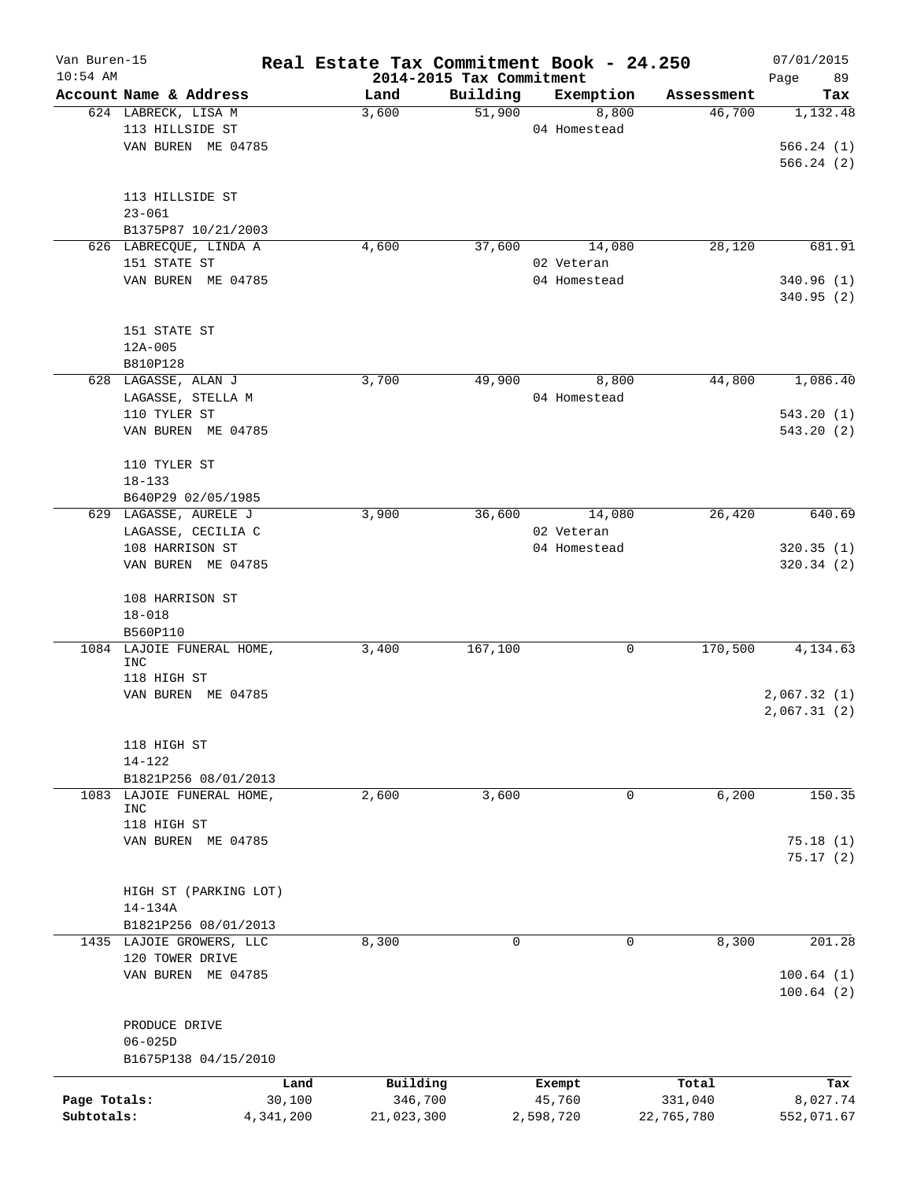| Van Buren-15<br>$10:54$ AM |                                              | Real Estate Tax Commitment Book - 24.250 | 2014-2015 Tax Commitment |              |            | 07/01/2015<br>89<br>Page |
|----------------------------|----------------------------------------------|------------------------------------------|--------------------------|--------------|------------|--------------------------|
|                            | Account Name & Address                       | Land                                     | Building                 | Exemption    | Assessment | Tax                      |
|                            | 624 LABRECK, LISA M                          | 3,600                                    | 51,900                   | 8,800        | 46,700     | 1,132.48                 |
|                            | 113 HILLSIDE ST                              |                                          |                          | 04 Homestead |            |                          |
|                            | VAN BUREN ME 04785                           |                                          |                          |              |            | 566.24(1)                |
|                            |                                              |                                          |                          |              |            | 566.24(2)                |
|                            | 113 HILLSIDE ST                              |                                          |                          |              |            |                          |
|                            | $23 - 061$                                   |                                          |                          |              |            |                          |
|                            | B1375P87 10/21/2003                          |                                          |                          |              |            |                          |
|                            | 626 LABRECQUE, LINDA A                       | 4,600                                    | 37,600                   | 14,080       | 28,120     | 681.91                   |
|                            | 151 STATE ST                                 |                                          |                          | 02 Veteran   |            |                          |
|                            | VAN BUREN ME 04785                           |                                          |                          | 04 Homestead |            | 340.96(1)                |
|                            |                                              |                                          |                          |              |            | 340.95 (2)               |
|                            | 151 STATE ST                                 |                                          |                          |              |            |                          |
|                            | $12A - 005$                                  |                                          |                          |              |            |                          |
|                            | B810P128                                     |                                          |                          |              |            |                          |
|                            | 628 LAGASSE, ALAN J                          | 3,700                                    | 49,900                   | 8,800        | 44,800     | 1,086.40                 |
|                            | LAGASSE, STELLA M                            |                                          |                          | 04 Homestead |            |                          |
|                            | 110 TYLER ST                                 |                                          |                          |              |            | 543.20(1)                |
|                            | VAN BUREN ME 04785                           |                                          |                          |              |            | 543.20(2)                |
|                            | 110 TYLER ST                                 |                                          |                          |              |            |                          |
|                            | $18 - 133$                                   |                                          |                          |              |            |                          |
|                            | B640P29 02/05/1985                           |                                          |                          |              |            |                          |
|                            | 629 LAGASSE, AURELE J                        | 3,900                                    | 36,600                   | 14,080       | 26,420     | 640.69                   |
|                            | LAGASSE, CECILIA C                           |                                          |                          | 02 Veteran   |            |                          |
|                            | 108 HARRISON ST                              |                                          |                          | 04 Homestead |            | 320.35(1)                |
|                            | VAN BUREN ME 04785                           |                                          |                          |              |            | 320.34(2)                |
|                            |                                              |                                          |                          |              |            |                          |
|                            | 108 HARRISON ST                              |                                          |                          |              |            |                          |
|                            | $18 - 018$                                   |                                          |                          |              |            |                          |
|                            | B560P110                                     |                                          |                          |              |            |                          |
| 1084                       | LAJOIE FUNERAL HOME,                         | 3,400                                    | 167,100                  | 0            | 170,500    | 4,134.63                 |
|                            | <b>INC</b>                                   |                                          |                          |              |            |                          |
|                            | 118 HIGH ST<br>VAN BUREN ME 04785            |                                          |                          |              |            | 2,067.32(1)              |
|                            |                                              |                                          |                          |              |            | 2,067.31(2)              |
|                            |                                              |                                          |                          |              |            |                          |
|                            | 118 HIGH ST                                  |                                          |                          |              |            |                          |
|                            | 14-122                                       |                                          |                          |              |            |                          |
|                            | B1821P256 08/01/2013<br>LAJOIE FUNERAL HOME, |                                          |                          |              |            | 150.35                   |
| 1083                       | <b>INC</b>                                   | 2,600                                    | 3,600                    | 0            | 6,200      |                          |
|                            | 118 HIGH ST                                  |                                          |                          |              |            |                          |
|                            | VAN BUREN ME 04785                           |                                          |                          |              |            | 75.18(1)                 |
|                            |                                              |                                          |                          |              |            | 75.17(2)                 |
|                            | HIGH ST (PARKING LOT)                        |                                          |                          |              |            |                          |
|                            | 14-134A                                      |                                          |                          |              |            |                          |
|                            | B1821P256 08/01/2013                         |                                          |                          |              |            |                          |
|                            | 1435 LAJOIE GROWERS, LLC                     | 8,300                                    | 0                        | 0            | 8,300      | 201.28                   |
|                            | 120 TOWER DRIVE                              |                                          |                          |              |            |                          |
|                            | VAN BUREN ME 04785                           |                                          |                          |              |            | 100.64(1)                |
|                            |                                              |                                          |                          |              |            | 100.64(2)                |
|                            | PRODUCE DRIVE                                |                                          |                          |              |            |                          |
|                            | $06 - 025D$                                  |                                          |                          |              |            |                          |
|                            | B1675P138 04/15/2010                         |                                          |                          |              |            |                          |
|                            | Land                                         | Building                                 |                          | Exempt       | Total      | Tax                      |
| Page Totals:               | 30,100                                       | 346,700                                  |                          | 45,760       | 331,040    | 8,027.74                 |
| Subtotals:                 | 4,341,200                                    | 21,023,300                               |                          | 2,598,720    | 22,765,780 | 552,071.67               |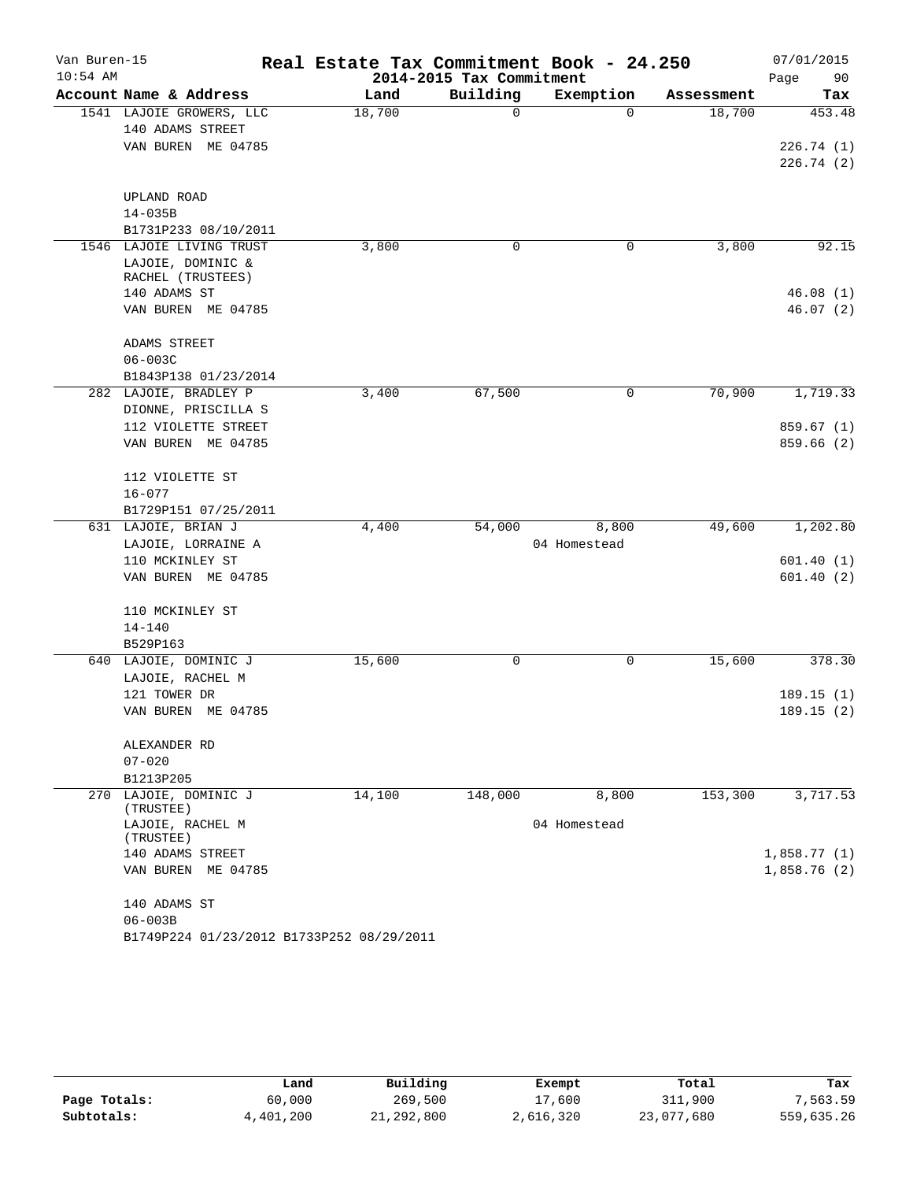| Van Buren-15 |                                                    | Real Estate Tax Commitment Book - 24.250 |                          |                       |                      | 07/01/2015    |
|--------------|----------------------------------------------------|------------------------------------------|--------------------------|-----------------------|----------------------|---------------|
| $10:54$ AM   |                                                    |                                          | 2014-2015 Tax Commitment |                       |                      | Page<br>90    |
|              | Account Name & Address<br>1541 LAJOIE GROWERS, LLC | Land<br>18,700                           | Building<br>0            | Exemption<br>$\Omega$ | Assessment<br>18,700 | Tax<br>453.48 |
|              | 140 ADAMS STREET                                   |                                          |                          |                       |                      |               |
|              | VAN BUREN ME 04785                                 |                                          |                          |                       |                      | 226.74(1)     |
|              |                                                    |                                          |                          |                       |                      | 226.74(2)     |
|              |                                                    |                                          |                          |                       |                      |               |
|              | UPLAND ROAD                                        |                                          |                          |                       |                      |               |
|              | $14 - 035B$                                        |                                          |                          |                       |                      |               |
|              | B1731P233 08/10/2011                               |                                          |                          |                       |                      |               |
|              | 1546 LAJOIE LIVING TRUST                           | 3,800                                    | 0                        | 0                     | 3,800                | 92.15         |
|              | LAJOIE, DOMINIC &                                  |                                          |                          |                       |                      |               |
|              | RACHEL (TRUSTEES)<br>140 ADAMS ST                  |                                          |                          |                       |                      | 46.08(1)      |
|              | VAN BUREN ME 04785                                 |                                          |                          |                       |                      | 46.07(2)      |
|              |                                                    |                                          |                          |                       |                      |               |
|              | ADAMS STREET                                       |                                          |                          |                       |                      |               |
|              | $06 - 003C$                                        |                                          |                          |                       |                      |               |
|              | B1843P138 01/23/2014                               |                                          |                          |                       |                      |               |
|              | 282 LAJOIE, BRADLEY P                              | 3,400                                    | 67,500                   | 0                     | 70,900               | 1,719.33      |
|              | DIONNE, PRISCILLA S                                |                                          |                          |                       |                      |               |
|              | 112 VIOLETTE STREET                                |                                          |                          |                       |                      | 859.67(1)     |
|              | VAN BUREN ME 04785                                 |                                          |                          |                       |                      | 859.66 (2)    |
|              | 112 VIOLETTE ST                                    |                                          |                          |                       |                      |               |
|              | $16 - 077$                                         |                                          |                          |                       |                      |               |
|              | B1729P151 07/25/2011                               |                                          |                          |                       |                      |               |
|              | 631 LAJOIE, BRIAN J                                | 4,400                                    | 54,000                   | 8,800                 | 49,600               | 1,202.80      |
|              | LAJOIE, LORRAINE A<br>110 MCKINLEY ST              |                                          |                          | 04 Homestead          |                      | 601.40(1)     |
|              | VAN BUREN ME 04785                                 |                                          |                          |                       |                      | 601.40(2)     |
|              |                                                    |                                          |                          |                       |                      |               |
|              | 110 MCKINLEY ST                                    |                                          |                          |                       |                      |               |
|              | $14 - 140$                                         |                                          |                          |                       |                      |               |
|              | B529P163                                           |                                          |                          |                       |                      |               |
|              | 640 LAJOIE, DOMINIC J                              | 15,600                                   | 0                        | 0                     | 15,600               | 378.30        |
|              | LAJOIE, RACHEL M                                   |                                          |                          |                       |                      |               |
|              | 121 TOWER DR                                       |                                          |                          |                       |                      | 189.15(1)     |
|              | VAN BUREN ME 04785                                 |                                          |                          |                       |                      | 189.15(2)     |
|              | ALEXANDER RD                                       |                                          |                          |                       |                      |               |
|              | $07 - 020$                                         |                                          |                          |                       |                      |               |
|              | B1213P205                                          |                                          |                          |                       |                      |               |
|              | 270 LAJOIE, DOMINIC J<br>(TRUSTEE)                 | 14,100                                   | 148,000                  | 8,800                 | 153,300              | 3,717.53      |
|              | LAJOIE, RACHEL M                                   |                                          |                          | 04 Homestead          |                      |               |
|              | (TRUSTEE)                                          |                                          |                          |                       |                      |               |
|              | 140 ADAMS STREET                                   |                                          |                          |                       |                      | 1,858.77(1)   |
|              | VAN BUREN ME 04785                                 |                                          |                          |                       |                      | 1,858.76(2)   |
|              | 140 ADAMS ST                                       |                                          |                          |                       |                      |               |
|              | $06 - 003B$                                        |                                          |                          |                       |                      |               |
|              | B1749P224 01/23/2012 B1733P252 08/29/2011          |                                          |                          |                       |                      |               |

|              | Land      | Building   | Exempt    | Total      | Tax        |  |
|--------------|-----------|------------|-----------|------------|------------|--|
| Page Totals: | 60,000    | 269,500    | 17,600    | 311,900    | 7.563.59   |  |
| Subtotals:   | 4,401,200 | 21,292,800 | 2,616,320 | 23,077,680 | 559,635.26 |  |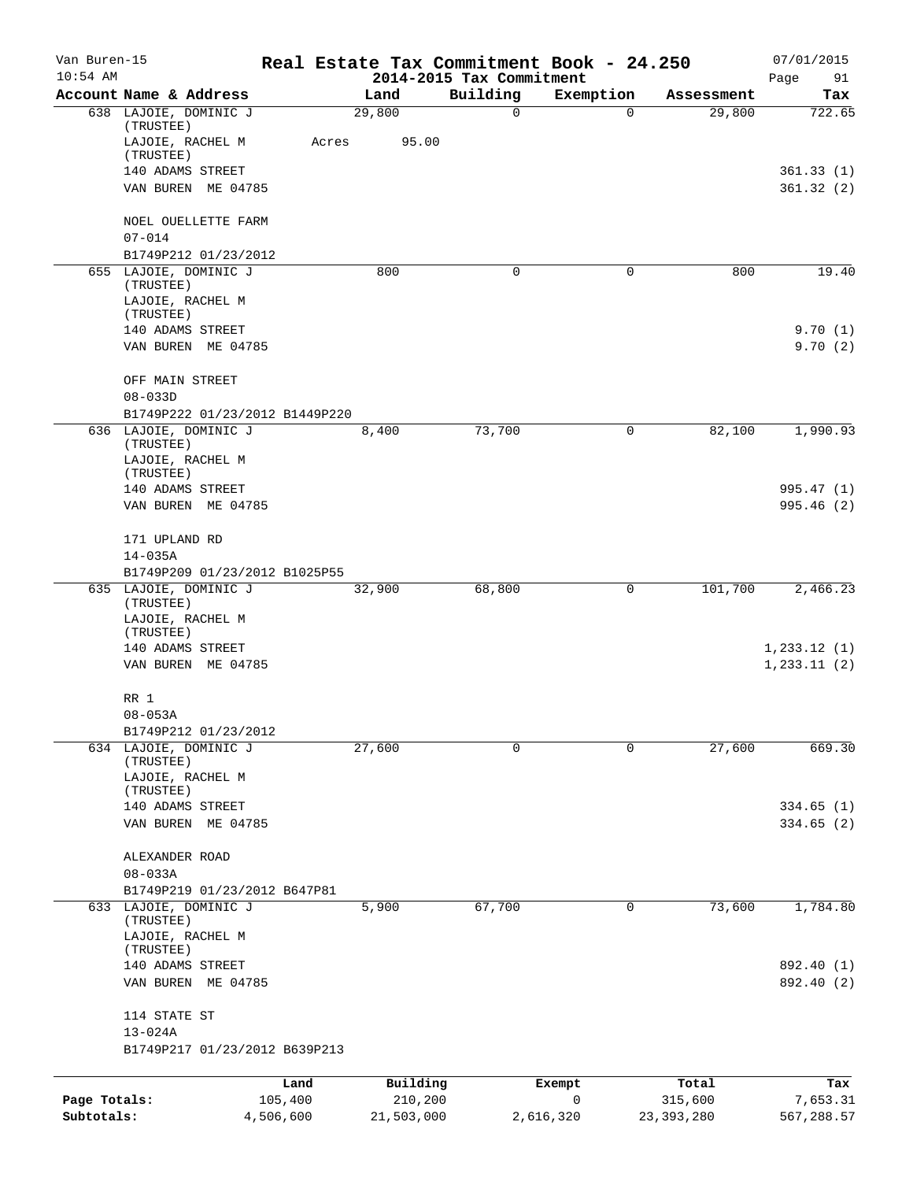| Van Buren-15<br>$10:54$ AM |                                                        |                 |                     | Real Estate Tax Commitment Book - 24.250<br>2014-2015 Tax Commitment |             |                  | 07/01/2015               |
|----------------------------|--------------------------------------------------------|-----------------|---------------------|----------------------------------------------------------------------|-------------|------------------|--------------------------|
|                            | Account Name & Address                                 |                 | Land                | Building                                                             | Exemption   | Assessment       | Page<br>91<br>Tax        |
|                            | 638 LAJOIE, DOMINIC J                                  |                 | 29,800              | 0                                                                    | $\mathbf 0$ | 29,800           | 722.65                   |
|                            | (TRUSTEE)<br>LAJOIE, RACHEL M<br>(TRUSTEE)             | Acres           | 95.00               |                                                                      |             |                  |                          |
|                            | 140 ADAMS STREET                                       |                 |                     |                                                                      |             |                  | 361.33(1)                |
|                            | VAN BUREN ME 04785                                     |                 |                     |                                                                      |             |                  | 361.32(2)                |
|                            | NOEL OUELLETTE FARM<br>$07 - 014$                      |                 |                     |                                                                      |             |                  |                          |
|                            | B1749P212 01/23/2012                                   |                 |                     |                                                                      |             |                  |                          |
|                            | 655 LAJOIE, DOMINIC J<br>(TRUSTEE)<br>LAJOIE, RACHEL M |                 | 800                 | 0                                                                    | 0           | 800              | 19.40                    |
|                            | (TRUSTEE)                                              |                 |                     |                                                                      |             |                  |                          |
|                            | 140 ADAMS STREET<br>VAN BUREN ME 04785                 |                 |                     |                                                                      |             |                  | 9.70(1)<br>9.70(2)       |
|                            | OFF MAIN STREET<br>$08 - 033D$                         |                 |                     |                                                                      |             |                  |                          |
|                            | B1749P222 01/23/2012 B1449P220                         |                 |                     |                                                                      |             |                  |                          |
|                            | 636 LAJOIE, DOMINIC J<br>(TRUSTEE)                     |                 | 8,400               | 73,700                                                               | 0           | 82,100           | 1,990.93                 |
|                            | LAJOIE, RACHEL M<br>(TRUSTEE)                          |                 |                     |                                                                      |             |                  |                          |
|                            | 140 ADAMS STREET                                       |                 |                     |                                                                      |             |                  | 995.47 (1)               |
|                            | VAN BUREN ME 04785                                     |                 |                     |                                                                      |             |                  | 995.46(2)                |
|                            | 171 UPLAND RD                                          |                 |                     |                                                                      |             |                  |                          |
|                            | $14 - 035A$<br>B1749P209 01/23/2012 B1025P55           |                 |                     |                                                                      |             |                  |                          |
|                            | 635 LAJOIE, DOMINIC J                                  |                 | 32,900              | 68,800                                                               | 0           | 101,700          | 2,466.23                 |
|                            | (TRUSTEE)<br>LAJOIE, RACHEL M<br>(TRUSTEE)             |                 |                     |                                                                      |             |                  |                          |
|                            | 140 ADAMS STREET                                       |                 |                     |                                                                      |             |                  | 1,233.12(1)              |
|                            | VAN BUREN ME 04785                                     |                 |                     |                                                                      |             |                  | 1, 233.11(2)             |
|                            | RR 1                                                   |                 |                     |                                                                      |             |                  |                          |
|                            | $08 - 053A$                                            |                 |                     |                                                                      |             |                  |                          |
|                            | B1749P212 01/23/2012<br>634 LAJOIE, DOMINIC J          |                 | 27,600              | 0                                                                    | $\mathbf 0$ | 27,600           | 669.30                   |
|                            | (TRUSTEE)<br>LAJOIE, RACHEL M<br>(TRUSTEE)             |                 |                     |                                                                      |             |                  |                          |
|                            | 140 ADAMS STREET                                       |                 |                     |                                                                      |             |                  | 334.65(1)                |
|                            | VAN BUREN ME 04785                                     |                 |                     |                                                                      |             |                  | 334.65(2)                |
|                            | ALEXANDER ROAD                                         |                 |                     |                                                                      |             |                  |                          |
|                            | $08 - 033A$<br>B1749P219 01/23/2012 B647P81            |                 |                     |                                                                      |             |                  |                          |
|                            | 633 LAJOIE, DOMINIC J                                  |                 | 5,900               | 67,700                                                               | 0           | 73,600           | 1,784.80                 |
|                            | (TRUSTEE)<br>LAJOIE, RACHEL M                          |                 |                     |                                                                      |             |                  |                          |
|                            | (TRUSTEE)                                              |                 |                     |                                                                      |             |                  |                          |
|                            | 140 ADAMS STREET<br>VAN BUREN ME 04785                 |                 |                     |                                                                      |             |                  | 892.40 (1)<br>892.40 (2) |
|                            | 114 STATE ST                                           |                 |                     |                                                                      |             |                  |                          |
|                            | $13 - 024A$                                            |                 |                     |                                                                      |             |                  |                          |
|                            | B1749P217 01/23/2012 B639P213                          |                 |                     |                                                                      |             |                  |                          |
| Page Totals:               |                                                        | Land<br>105,400 | Building<br>210,200 |                                                                      | Exempt<br>0 | Total<br>315,600 | Tax<br>7,653.31          |
| Subtotals:                 |                                                        | 4,506,600       | 21,503,000          | 2,616,320                                                            |             | 23, 393, 280     | 567,288.57               |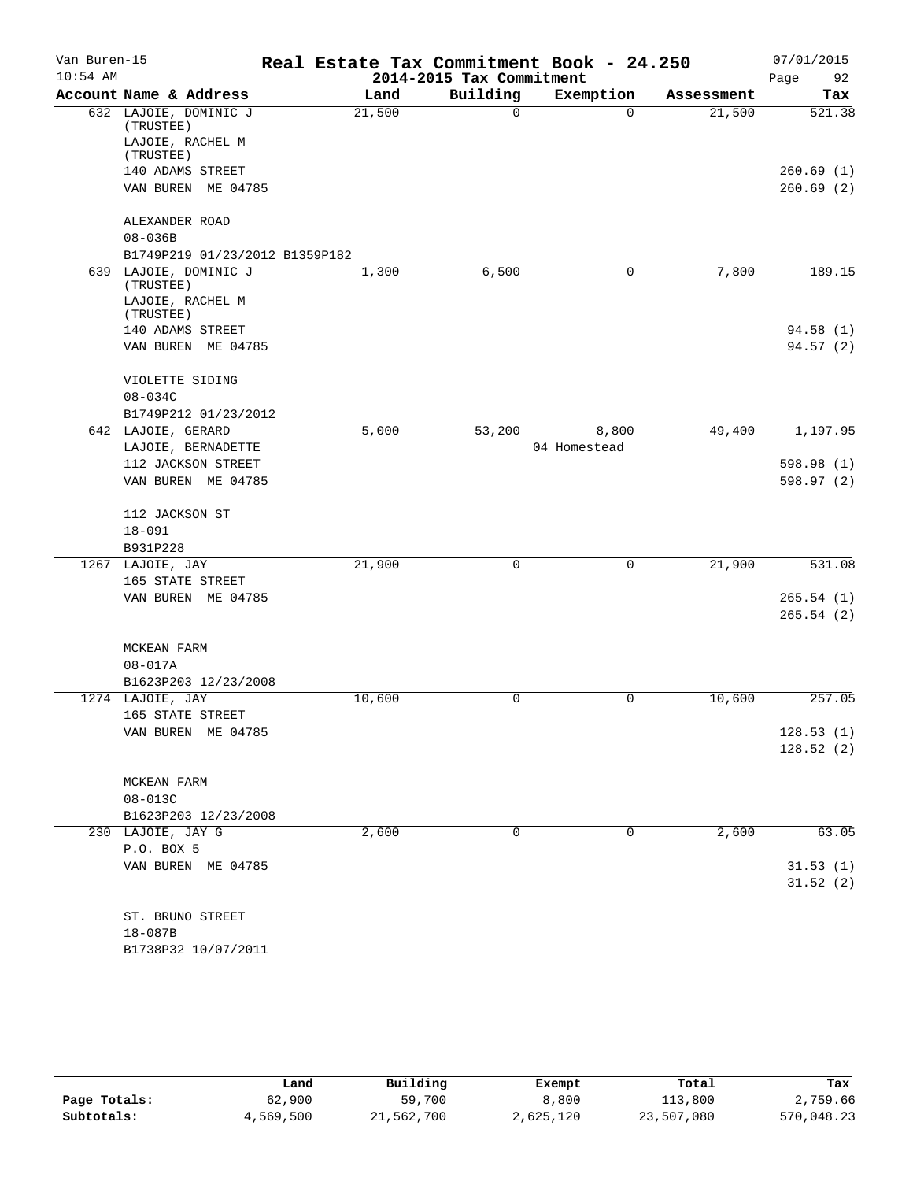| Van Buren-15<br>$10:54$ AM |                                    | Real Estate Tax Commitment Book - 24.250 | 2014-2015 Tax Commitment |              |            | 07/01/2015             |
|----------------------------|------------------------------------|------------------------------------------|--------------------------|--------------|------------|------------------------|
|                            | Account Name & Address             | Land                                     | Building                 | Exemption    | Assessment | Page<br>92<br>Tax      |
|                            | 632 LAJOIE, DOMINIC J              | 21,500                                   | 0                        | $\Omega$     | 21,500     | 521.38                 |
|                            | (TRUSTEE)                          |                                          |                          |              |            |                        |
|                            | LAJOIE, RACHEL M                   |                                          |                          |              |            |                        |
|                            | (TRUSTEE)<br>140 ADAMS STREET      |                                          |                          |              |            | 260.69(1)              |
|                            | VAN BUREN ME 04785                 |                                          |                          |              |            | 260.69(2)              |
|                            |                                    |                                          |                          |              |            |                        |
|                            | ALEXANDER ROAD                     |                                          |                          |              |            |                        |
|                            | $08 - 036B$                        |                                          |                          |              |            |                        |
|                            | B1749P219 01/23/2012 B1359P182     |                                          |                          |              |            |                        |
|                            | 639 LAJOIE, DOMINIC J<br>(TRUSTEE) | 1,300                                    | 6,500                    | 0            | 7,800      | 189.15                 |
|                            | LAJOIE, RACHEL M                   |                                          |                          |              |            |                        |
|                            | (TRUSTEE)                          |                                          |                          |              |            |                        |
|                            | 140 ADAMS STREET                   |                                          |                          |              |            | 94.58(1)               |
|                            | VAN BUREN ME 04785                 |                                          |                          |              |            | 94.57 (2)              |
|                            |                                    |                                          |                          |              |            |                        |
|                            | VIOLETTE SIDING<br>$08 - 034C$     |                                          |                          |              |            |                        |
|                            | B1749P212 01/23/2012               |                                          |                          |              |            |                        |
|                            | 642 LAJOIE, GERARD                 | 5,000                                    | 53,200                   | 8,800        | 49,400     | 1,197.95               |
|                            | LAJOIE, BERNADETTE                 |                                          |                          | 04 Homestead |            |                        |
|                            | 112 JACKSON STREET                 |                                          |                          |              |            | 598.98 (1)             |
|                            | VAN BUREN ME 04785                 |                                          |                          |              |            | 598.97 (2)             |
|                            | 112 JACKSON ST                     |                                          |                          |              |            |                        |
|                            | $18 - 091$                         |                                          |                          |              |            |                        |
|                            | B931P228                           |                                          |                          |              |            |                        |
|                            | 1267 LAJOIE, JAY                   | 21,900                                   | 0                        | $\mathbf 0$  | 21,900     | 531.08                 |
|                            | 165 STATE STREET                   |                                          |                          |              |            |                        |
|                            | VAN BUREN ME 04785                 |                                          |                          |              |            | 265.54(1)<br>265.54(2) |
|                            | MCKEAN FARM                        |                                          |                          |              |            |                        |
|                            | $08 - 017A$                        |                                          |                          |              |            |                        |
|                            | B1623P203 12/23/2008               |                                          |                          |              |            |                        |
|                            | 1274 LAJOIE, JAY                   | 10,600                                   | 0                        | 0            | 10,600     | 257.05                 |
|                            | 165 STATE STREET                   |                                          |                          |              |            |                        |
|                            | VAN BUREN ME 04785                 |                                          |                          |              |            | 128.53(1)              |
|                            |                                    |                                          |                          |              |            | 128.52(2)              |
|                            | MCKEAN FARM                        |                                          |                          |              |            |                        |
|                            | 08-013C                            |                                          |                          |              |            |                        |
|                            | B1623P203 12/23/2008               |                                          |                          |              |            |                        |
|                            | 230 LAJOIE, JAY G                  | 2,600                                    | 0                        | 0            | 2,600      | 63.05                  |
|                            | P.O. BOX 5<br>VAN BUREN ME 04785   |                                          |                          |              |            |                        |
|                            |                                    |                                          |                          |              |            | 31.53(1)<br>31.52(2)   |
|                            | ST. BRUNO STREET                   |                                          |                          |              |            |                        |
|                            | $18 - 087B$                        |                                          |                          |              |            |                        |
|                            | B1738P32 10/07/2011                |                                          |                          |              |            |                        |

|              | Land      | Building   | Exempt    | Total      | Tax        |
|--------------|-----------|------------|-----------|------------|------------|
| Page Totals: | 62,900    | 59,700     | 8,800     | 113,800    | 2,759.66   |
| Subtotals:   | 4,569,500 | 21,562,700 | 2,625,120 | 23,507,080 | 570,048.23 |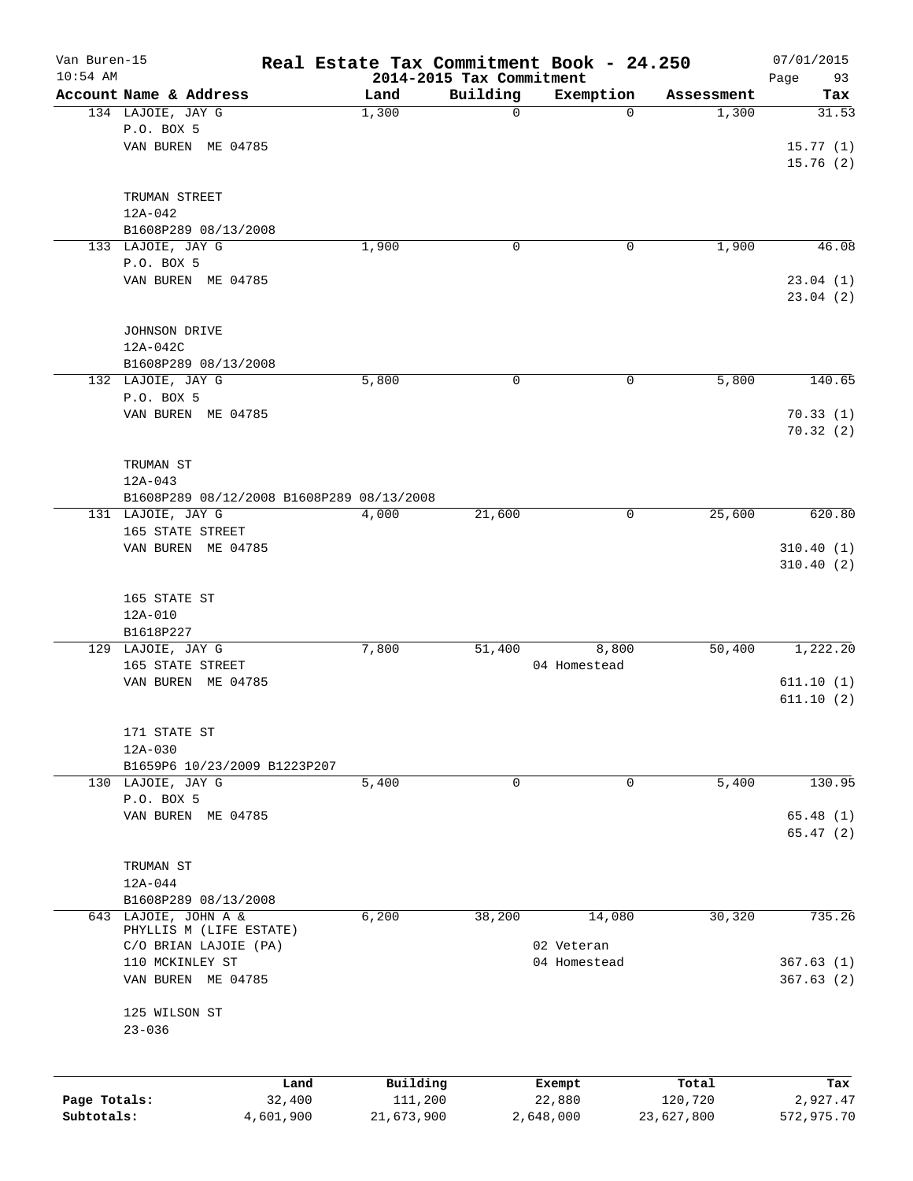| Van Buren-15<br>$10:54$ AM |                                           |           | Real Estate Tax Commitment Book - 24.250 |             |              |            | 07/01/2015        |
|----------------------------|-------------------------------------------|-----------|------------------------------------------|-------------|--------------|------------|-------------------|
|                            | Account Name & Address                    |           | 2014-2015 Tax Commitment<br>Land         | Building    | Exemption    | Assessment | Page<br>93<br>Tax |
|                            | 134 LAJOIE, JAY G                         |           | 1,300                                    | $\mathbf 0$ | $\mathbf 0$  | 1,300      | 31.53             |
|                            | P.O. BOX 5                                |           |                                          |             |              |            |                   |
|                            | VAN BUREN ME 04785                        |           |                                          |             |              |            | 15.77(1)          |
|                            |                                           |           |                                          |             |              |            | 15.76(2)          |
|                            |                                           |           |                                          |             |              |            |                   |
|                            | TRUMAN STREET                             |           |                                          |             |              |            |                   |
|                            | $12A - 042$                               |           |                                          |             |              |            |                   |
|                            | B1608P289 08/13/2008                      |           |                                          |             |              |            |                   |
|                            | 133 LAJOIE, JAY G                         |           | 1,900                                    | $\mathbf 0$ | 0            | 1,900      | 46.08             |
|                            | P.O. BOX 5                                |           |                                          |             |              |            |                   |
|                            | VAN BUREN ME 04785                        |           |                                          |             |              |            | 23.04(1)          |
|                            |                                           |           |                                          |             |              |            | 23.04(2)          |
|                            |                                           |           |                                          |             |              |            |                   |
|                            | JOHNSON DRIVE                             |           |                                          |             |              |            |                   |
|                            | 12A-042C                                  |           |                                          |             |              |            |                   |
|                            | B1608P289 08/13/2008                      |           |                                          |             |              |            |                   |
|                            | 132 LAJOIE, JAY G                         |           | 5,800                                    | 0           | 0            | 5,800      | 140.65            |
|                            | P.O. BOX 5                                |           |                                          |             |              |            |                   |
|                            | VAN BUREN ME 04785                        |           |                                          |             |              |            | 70.33(1)          |
|                            |                                           |           |                                          |             |              |            | 70.32(2)          |
|                            |                                           |           |                                          |             |              |            |                   |
|                            | TRUMAN ST                                 |           |                                          |             |              |            |                   |
|                            | $12A - 043$                               |           |                                          |             |              |            |                   |
|                            | B1608P289 08/12/2008 B1608P289 08/13/2008 |           |                                          |             |              |            |                   |
|                            | 131 LAJOIE, JAY G                         |           | 4,000                                    | 21,600      | 0            | 25,600     | 620.80            |
|                            | 165 STATE STREET<br>VAN BUREN ME 04785    |           |                                          |             |              |            | 310.40(1)         |
|                            |                                           |           |                                          |             |              |            | 310.40(2)         |
|                            |                                           |           |                                          |             |              |            |                   |
|                            | 165 STATE ST                              |           |                                          |             |              |            |                   |
|                            | $12A - 010$                               |           |                                          |             |              |            |                   |
|                            | B1618P227                                 |           |                                          |             |              |            |                   |
|                            | 129 LAJOIE, JAY G                         |           | 7,800                                    | 51,400      | 8,800        | 50,400     | 1,222.20          |
|                            | 165 STATE STREET                          |           |                                          |             | 04 Homestead |            |                   |
|                            | VAN BUREN ME 04785                        |           |                                          |             |              |            | 611.10(1)         |
|                            |                                           |           |                                          |             |              |            | 611.10(2)         |
|                            |                                           |           |                                          |             |              |            |                   |
|                            | 171 STATE ST                              |           |                                          |             |              |            |                   |
|                            | $12A-030$                                 |           |                                          |             |              |            |                   |
|                            | B1659P6 10/23/2009 B1223P207              |           |                                          |             |              |            |                   |
|                            | 130 LAJOIE, JAY G                         |           | 5,400                                    | 0           | 0            | 5,400      | 130.95            |
|                            | P.O. BOX 5                                |           |                                          |             |              |            |                   |
|                            | VAN BUREN ME 04785                        |           |                                          |             |              |            | 65.48(1)          |
|                            |                                           |           |                                          |             |              |            | 65.47(2)          |
|                            |                                           |           |                                          |             |              |            |                   |
|                            | TRUMAN ST<br>12A-044                      |           |                                          |             |              |            |                   |
|                            | B1608P289 08/13/2008                      |           |                                          |             |              |            |                   |
|                            | 643 LAJOIE, JOHN A &                      |           | 6,200                                    | 38,200      | 14,080       | 30,320     | 735.26            |
|                            | PHYLLIS M (LIFE ESTATE)                   |           |                                          |             |              |            |                   |
|                            | C/O BRIAN LAJOIE (PA)                     |           |                                          |             | 02 Veteran   |            |                   |
|                            | 110 MCKINLEY ST                           |           |                                          |             | 04 Homestead |            | 367.63(1)         |
|                            | VAN BUREN ME 04785                        |           |                                          |             |              |            | 367.63(2)         |
|                            |                                           |           |                                          |             |              |            |                   |
|                            | 125 WILSON ST                             |           |                                          |             |              |            |                   |
|                            | $23 - 036$                                |           |                                          |             |              |            |                   |
|                            |                                           |           |                                          |             |              |            |                   |
|                            |                                           | Land      | Building                                 |             | Exempt       | Total      | Tax               |
| Page Totals:               |                                           | 32,400    | 111,200                                  |             | 22,880       | 120,720    | 2,927.47          |
| Subtotals:                 |                                           | 4,601,900 | 21,673,900                               |             | 2,648,000    | 23,627,800 | 572,975.70        |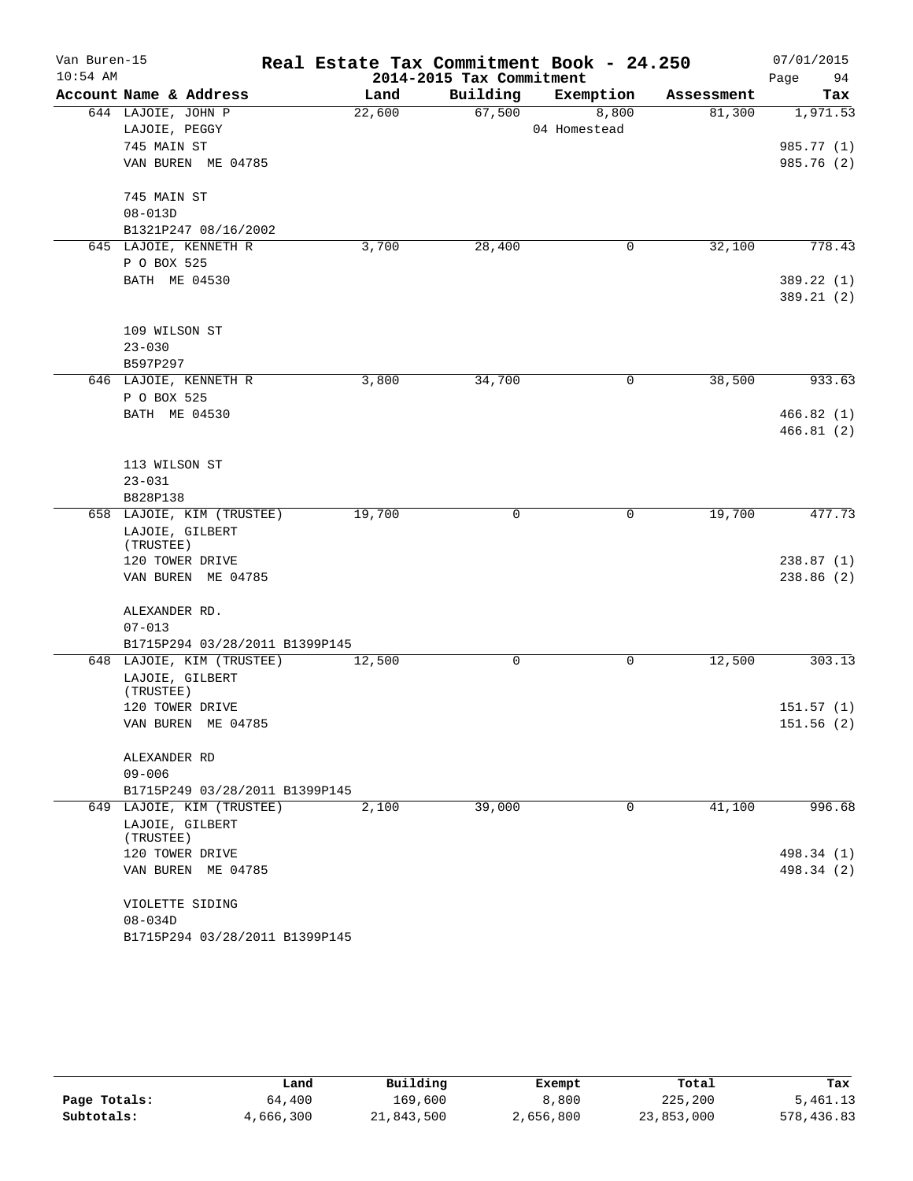| Van Buren-15 |                                |        |                          | Real Estate Tax Commitment Book - 24.250 |            | 07/01/2015 |
|--------------|--------------------------------|--------|--------------------------|------------------------------------------|------------|------------|
| $10:54$ AM   |                                |        | 2014-2015 Tax Commitment |                                          |            | 94<br>Page |
|              | Account Name & Address         | Land   | Building                 | Exemption                                | Assessment | Tax        |
|              | 644 LAJOIE, JOHN P             | 22,600 | 67,500                   | 8,800                                    | 81,300     | 1,971.53   |
|              | LAJOIE, PEGGY                  |        |                          | 04 Homestead                             |            |            |
|              | 745 MAIN ST                    |        |                          |                                          |            | 985.77 (1) |
|              | VAN BUREN ME 04785             |        |                          |                                          |            | 985.76 (2) |
| 745 MAIN ST  |                                |        |                          |                                          |            |            |
|              | $08 - 013D$                    |        |                          |                                          |            |            |
|              | B1321P247 08/16/2002           |        |                          |                                          |            |            |
|              | 645 LAJOIE, KENNETH R          | 3,700  | 28,400                   | 0                                        | 32,100     | 778.43     |
|              | P O BOX 525                    |        |                          |                                          |            |            |
|              | BATH ME 04530                  |        |                          |                                          |            | 389.22 (1) |
|              |                                |        |                          |                                          |            | 389.21 (2) |
|              | 109 WILSON ST                  |        |                          |                                          |            |            |
|              | $23 - 030$                     |        |                          |                                          |            |            |
|              | B597P297                       |        |                          |                                          |            |            |
|              | 646 LAJOIE, KENNETH R          | 3,800  | 34,700                   | 0                                        | 38,500     | 933.63     |
|              | P O BOX 525                    |        |                          |                                          |            |            |
|              | BATH ME 04530                  |        |                          |                                          |            | 466.82(1)  |
|              |                                |        |                          |                                          |            | 466.81(2)  |
|              | 113 WILSON ST                  |        |                          |                                          |            |            |
|              | $23 - 031$                     |        |                          |                                          |            |            |
|              | B828P138                       |        |                          |                                          |            |            |
|              | 658 LAJOIE, KIM (TRUSTEE)      | 19,700 | 0                        | 0                                        | 19,700     | 477.73     |
|              | LAJOIE, GILBERT                |        |                          |                                          |            |            |
|              | (TRUSTEE)                      |        |                          |                                          |            |            |
|              | 120 TOWER DRIVE                |        |                          |                                          |            | 238.87(1)  |
|              | VAN BUREN ME 04785             |        |                          |                                          |            | 238.86(2)  |
|              | ALEXANDER RD.                  |        |                          |                                          |            |            |
|              | $07 - 013$                     |        |                          |                                          |            |            |
|              | B1715P294 03/28/2011 B1399P145 |        |                          |                                          |            |            |
|              | 648 LAJOIE, KIM (TRUSTEE)      | 12,500 | 0                        | 0                                        | 12,500     | 303.13     |
|              | LAJOIE, GILBERT                |        |                          |                                          |            |            |
|              | (TRUSTEE)                      |        |                          |                                          |            |            |
|              | 120 TOWER DRIVE                |        |                          |                                          |            | 151.57(1)  |
|              | VAN BUREN ME 04785             |        |                          |                                          |            | 151.56 (2) |
|              | ALEXANDER RD                   |        |                          |                                          |            |            |
|              | $09 - 006$                     |        |                          |                                          |            |            |
|              | B1715P249 03/28/2011 B1399P145 |        |                          |                                          |            |            |
|              | 649 LAJOIE, KIM (TRUSTEE)      | 2,100  | 39,000                   | $\mathbf 0$                              | 41,100     | 996.68     |
|              | LAJOIE, GILBERT                |        |                          |                                          |            |            |
|              | (TRUSTEE)                      |        |                          |                                          |            |            |
|              | 120 TOWER DRIVE                |        |                          |                                          |            | 498.34 (1) |
|              | VAN BUREN ME 04785             |        |                          |                                          |            | 498.34 (2) |
|              | VIOLETTE SIDING                |        |                          |                                          |            |            |
|              | $08 - 034D$                    |        |                          |                                          |            |            |
|              | B1715P294 03/28/2011 B1399P145 |        |                          |                                          |            |            |

|              | Land      | Building   |                 | Total      | Tax        |
|--------------|-----------|------------|-----------------|------------|------------|
| Page Totals: | 64,400    | 169,600    | Exempt<br>8,800 | 225,200    | 5,461.13   |
| Subtotals:   | 4,666,300 | 21,843,500 | 2,656,800       | 23,853,000 | 578,436.83 |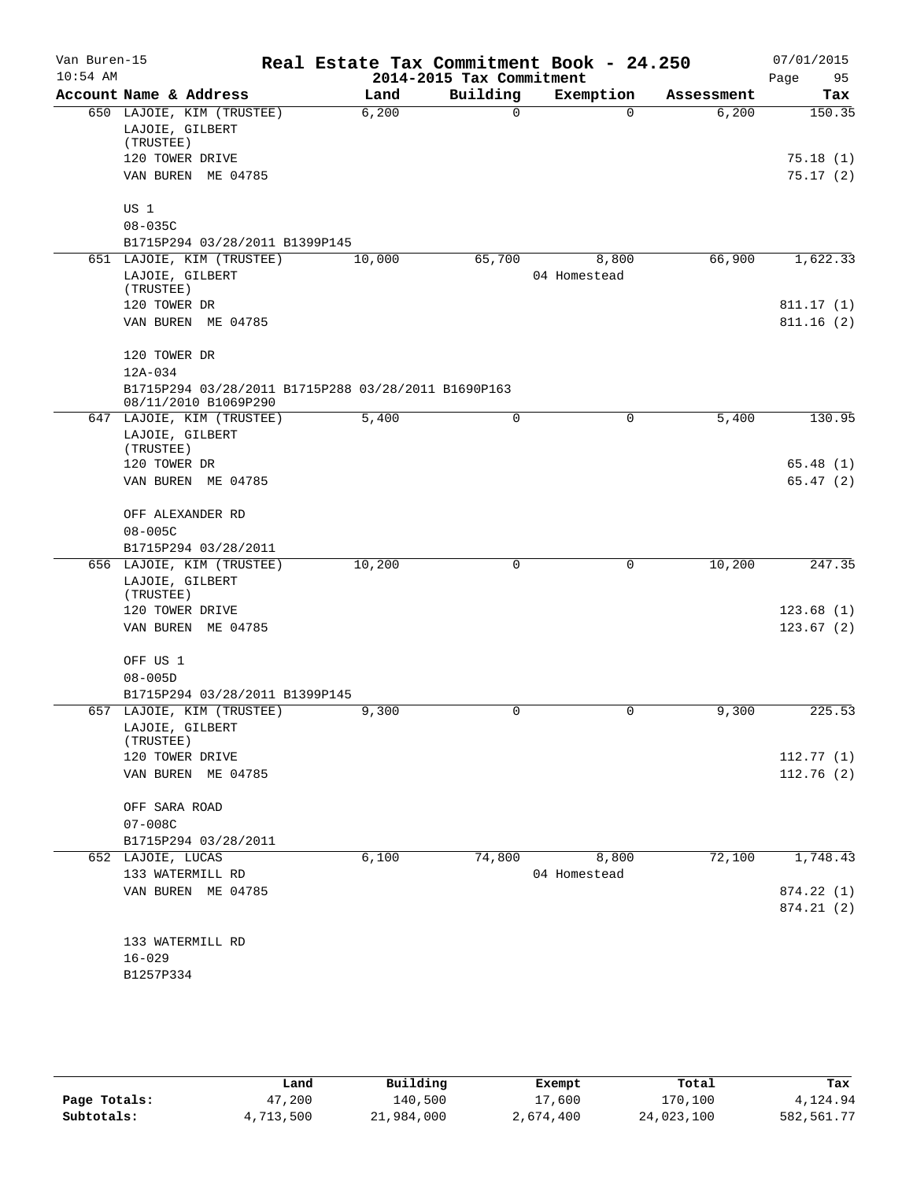| Van Buren-15<br>$10:54$ AM |                                                                             | Real Estate Tax Commitment Book - 24.250 | 2014-2015 Tax Commitment |                       |            | 07/01/2015<br>Page<br>95 |
|----------------------------|-----------------------------------------------------------------------------|------------------------------------------|--------------------------|-----------------------|------------|--------------------------|
|                            | Account Name & Address                                                      | Land                                     | Building                 | Exemption             | Assessment | Tax                      |
|                            | 650 LAJOIE, KIM (TRUSTEE)<br>LAJOIE, GILBERT<br>(TRUSTEE)                   | 6,200                                    | 0                        | $\Omega$              | 6,200      | 150.35                   |
|                            | 120 TOWER DRIVE<br>VAN BUREN ME 04785                                       |                                          |                          |                       |            | 75.18(1)<br>75.17(2)     |
|                            | US 1                                                                        |                                          |                          |                       |            |                          |
|                            | $08 - 035C$<br>B1715P294 03/28/2011 B1399P145                               |                                          |                          |                       |            |                          |
|                            | 651 LAJOIE, KIM (TRUSTEE)                                                   | 10,000                                   | 65,700                   | 8,800                 | 66,900     | 1,622.33                 |
|                            | LAJOIE, GILBERT<br>(TRUSTEE)                                                |                                          |                          | 04 Homestead          |            |                          |
|                            | 120 TOWER DR                                                                |                                          |                          |                       |            | 811.17(1)                |
|                            | VAN BUREN ME 04785                                                          |                                          |                          |                       |            | 811.16(2)                |
|                            | 120 TOWER DR<br>12A-034                                                     |                                          |                          |                       |            |                          |
|                            | B1715P294 03/28/2011 B1715P288 03/28/2011 B1690P163<br>08/11/2010 B1069P290 |                                          |                          |                       |            |                          |
|                            | 647 LAJOIE, KIM (TRUSTEE)                                                   | 5,400                                    | 0                        | 0                     | 5,400      | 130.95                   |
|                            | LAJOIE, GILBERT<br>(TRUSTEE)                                                |                                          |                          |                       |            |                          |
|                            | 120 TOWER DR                                                                |                                          |                          |                       |            | 65.48(1)                 |
|                            | VAN BUREN ME 04785                                                          |                                          |                          |                       |            | 65.47(2)                 |
|                            | OFF ALEXANDER RD                                                            |                                          |                          |                       |            |                          |
|                            | $08 - 005C$                                                                 |                                          |                          |                       |            |                          |
|                            | B1715P294 03/28/2011                                                        |                                          |                          |                       |            |                          |
|                            | 656 LAJOIE, KIM (TRUSTEE)<br>LAJOIE, GILBERT<br>(TRUSTEE)                   | 10,200                                   | 0                        | 0                     | 10,200     | 247.35                   |
|                            | 120 TOWER DRIVE                                                             |                                          |                          |                       |            | 123.68(1)                |
|                            | VAN BUREN ME 04785                                                          |                                          |                          |                       |            | 123.67(2)                |
|                            | OFF US 1                                                                    |                                          |                          |                       |            |                          |
|                            | $08 - 005D$                                                                 |                                          |                          |                       |            |                          |
|                            | B1715P294 03/28/2011 B1399P145                                              |                                          |                          |                       |            |                          |
|                            | 657 LAJOIE, KIM (TRUSTEE)<br>LAJOIE, GILBERT<br>(TRUSTEE)                   | 9,300                                    | 0                        | 0                     | 9,300      | 225.53                   |
|                            | 120 TOWER DRIVE                                                             |                                          |                          |                       |            | 112.77(1)                |
|                            | VAN BUREN ME 04785                                                          |                                          |                          |                       |            | 112.76(2)                |
|                            | OFF SARA ROAD                                                               |                                          |                          |                       |            |                          |
|                            | $07 - 008C$                                                                 |                                          |                          |                       |            |                          |
|                            | B1715P294 03/28/2011                                                        |                                          |                          |                       |            |                          |
|                            | 652 LAJOIE, LUCAS<br>133 WATERMILL RD                                       | 6,100                                    | 74,800                   | 8,800<br>04 Homestead | 72,100     | 1,748.43                 |
|                            | VAN BUREN ME 04785                                                          |                                          |                          |                       |            | 874.22 (1)               |
|                            |                                                                             |                                          |                          |                       |            | 874.21(2)                |
|                            | 133 WATERMILL RD                                                            |                                          |                          |                       |            |                          |
|                            | $16 - 029$                                                                  |                                          |                          |                       |            |                          |
|                            | B1257P334                                                                   |                                          |                          |                       |            |                          |
|                            |                                                                             |                                          |                          |                       |            |                          |
|                            |                                                                             |                                          |                          |                       |            |                          |

|              | Land      | Building   | Exempt    | Total      | Tax         |
|--------------|-----------|------------|-----------|------------|-------------|
| Page Totals: | 47,200    | 140,500    | 17,600    | 170,100    | 4,124.94    |
| Subtotals:   | 4,713,500 | 21,984,000 | 2,674,400 | 24,023,100 | 582, 561.77 |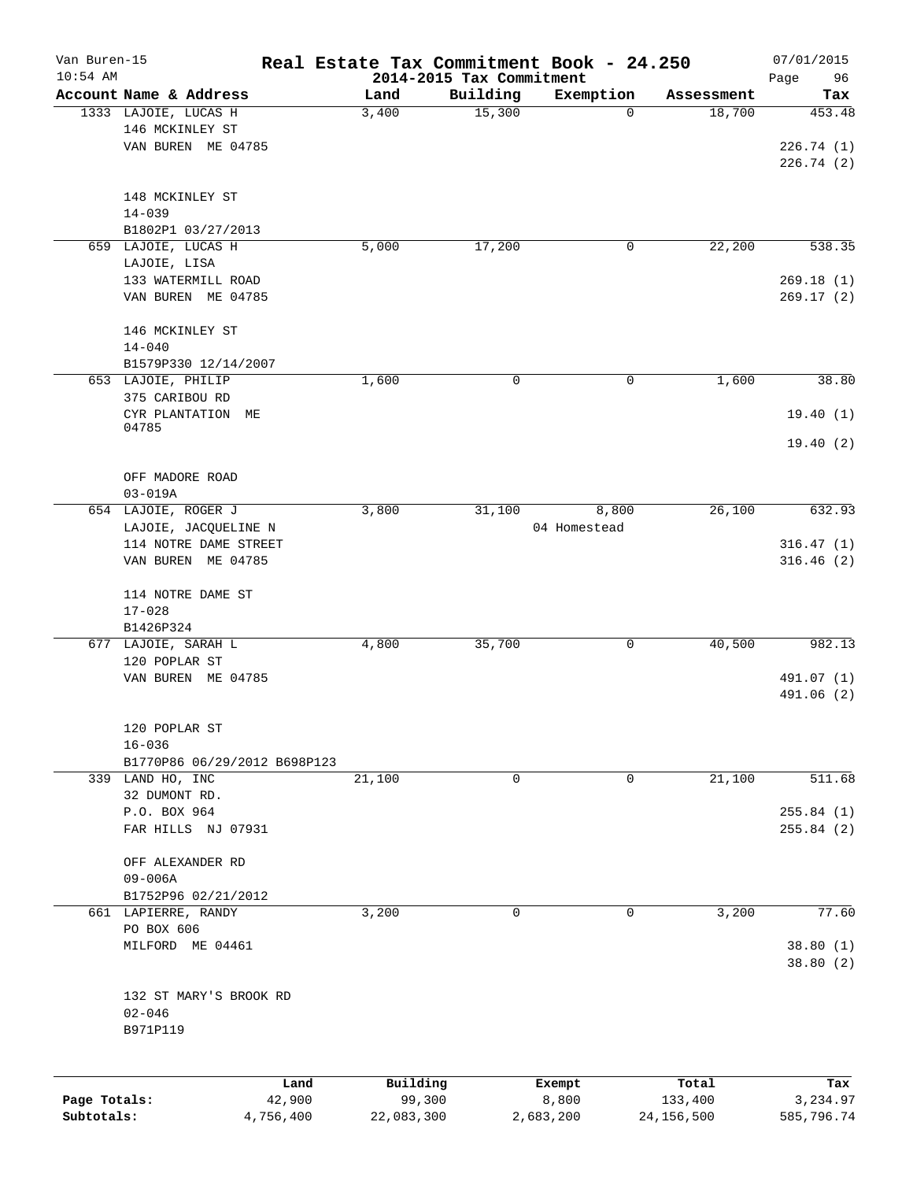| Van Buren-15 |                              | Real Estate Tax Commitment Book - 24.250 |                          |                          |                      | 07/01/2015    |
|--------------|------------------------------|------------------------------------------|--------------------------|--------------------------|----------------------|---------------|
| $10:54$ AM   | Account Name & Address       |                                          | 2014-2015 Tax Commitment |                          |                      | Page<br>96    |
|              | 1333 LAJOIE, LUCAS H         | Land<br>3,400                            | Building<br>15,300       | Exemption<br>$\mathbf 0$ | Assessment<br>18,700 | Tax<br>453.48 |
|              | 146 MCKINLEY ST              |                                          |                          |                          |                      |               |
|              | VAN BUREN ME 04785           |                                          |                          |                          |                      | 226.74(1)     |
|              |                              |                                          |                          |                          |                      | 226.74(2)     |
|              |                              |                                          |                          |                          |                      |               |
|              | 148 MCKINLEY ST              |                                          |                          |                          |                      |               |
|              | $14 - 039$                   |                                          |                          |                          |                      |               |
|              | B1802P1 03/27/2013           |                                          |                          |                          |                      |               |
|              | 659 LAJOIE, LUCAS H          | 5,000                                    | 17,200                   | 0                        | 22,200               | 538.35        |
|              | LAJOIE, LISA                 |                                          |                          |                          |                      |               |
|              | 133 WATERMILL ROAD           |                                          |                          |                          |                      | 269.18(1)     |
|              | VAN BUREN ME 04785           |                                          |                          |                          |                      | 269.17(2)     |
|              |                              |                                          |                          |                          |                      |               |
|              | 146 MCKINLEY ST              |                                          |                          |                          |                      |               |
|              | $14 - 040$                   |                                          |                          |                          |                      |               |
|              | B1579P330 12/14/2007         |                                          |                          |                          |                      |               |
|              | 653 LAJOIE, PHILIP           | 1,600                                    | 0                        | 0                        | 1,600                | 38.80         |
|              | 375 CARIBOU RD               |                                          |                          |                          |                      |               |
|              | CYR PLANTATION<br>ME         |                                          |                          |                          |                      | 19.40(1)      |
|              | 04785                        |                                          |                          |                          |                      |               |
|              |                              |                                          |                          |                          |                      | 19.40(2)      |
|              |                              |                                          |                          |                          |                      |               |
|              | OFF MADORE ROAD              |                                          |                          |                          |                      |               |
|              | $03 - 019A$                  |                                          |                          |                          |                      |               |
|              | 654 LAJOIE, ROGER J          | 3,800                                    | 31,100                   | 8,800                    | 26,100               | 632.93        |
|              | LAJOIE, JACQUELINE N         |                                          |                          | 04 Homestead             |                      |               |
|              | 114 NOTRE DAME STREET        |                                          |                          |                          |                      | 316.47(1)     |
|              | VAN BUREN ME 04785           |                                          |                          |                          |                      | 316.46(2)     |
|              | 114 NOTRE DAME ST            |                                          |                          |                          |                      |               |
|              | $17 - 028$                   |                                          |                          |                          |                      |               |
|              | B1426P324                    |                                          |                          |                          |                      |               |
|              | 677 LAJOIE, SARAH L          | 4,800                                    | 35,700                   | 0                        | 40,500               | 982.13        |
|              | 120 POPLAR ST                |                                          |                          |                          |                      |               |
|              | VAN BUREN ME 04785           |                                          |                          |                          |                      | 491.07 (1)    |
|              |                              |                                          |                          |                          |                      | 491.06 (2)    |
|              |                              |                                          |                          |                          |                      |               |
|              | 120 POPLAR ST                |                                          |                          |                          |                      |               |
|              | $16 - 036$                   |                                          |                          |                          |                      |               |
|              | B1770P86 06/29/2012 B698P123 |                                          |                          |                          |                      |               |
|              | 339 LAND HO, INC             | 21,100                                   | 0                        | 0                        | 21,100               | 511.68        |
|              | 32 DUMONT RD.                |                                          |                          |                          |                      |               |
|              | P.O. BOX 964                 |                                          |                          |                          |                      | 255.84(1)     |
|              | FAR HILLS NJ 07931           |                                          |                          |                          |                      | 255.84(2)     |
|              |                              |                                          |                          |                          |                      |               |
|              | OFF ALEXANDER RD             |                                          |                          |                          |                      |               |
|              | $09 - 006A$                  |                                          |                          |                          |                      |               |
|              | B1752P96 02/21/2012          |                                          |                          |                          |                      |               |
|              | 661 LAPIERRE, RANDY          | 3,200                                    | 0                        | 0                        | 3,200                | 77.60         |
|              | PO BOX 606                   |                                          |                          |                          |                      |               |
|              | MILFORD ME 04461             |                                          |                          |                          |                      | 38.80(1)      |
|              |                              |                                          |                          |                          |                      | 38.80(2)      |
|              | 132 ST MARY'S BROOK RD       |                                          |                          |                          |                      |               |
|              | $02 - 046$                   |                                          |                          |                          |                      |               |
|              | B971P119                     |                                          |                          |                          |                      |               |
|              |                              |                                          |                          |                          |                      |               |
|              |                              |                                          |                          |                          |                      |               |
|              | Land                         | Building                                 | Exempt                   |                          | Total                | Tax           |
| Page Totals: | 42,900                       | 99,300                                   | 8,800                    |                          | 133,400              | 3,234.97      |
| Subtotals:   | 4,756,400                    | 22,083,300                               | 2,683,200                |                          | 24,156,500           | 585,796.74    |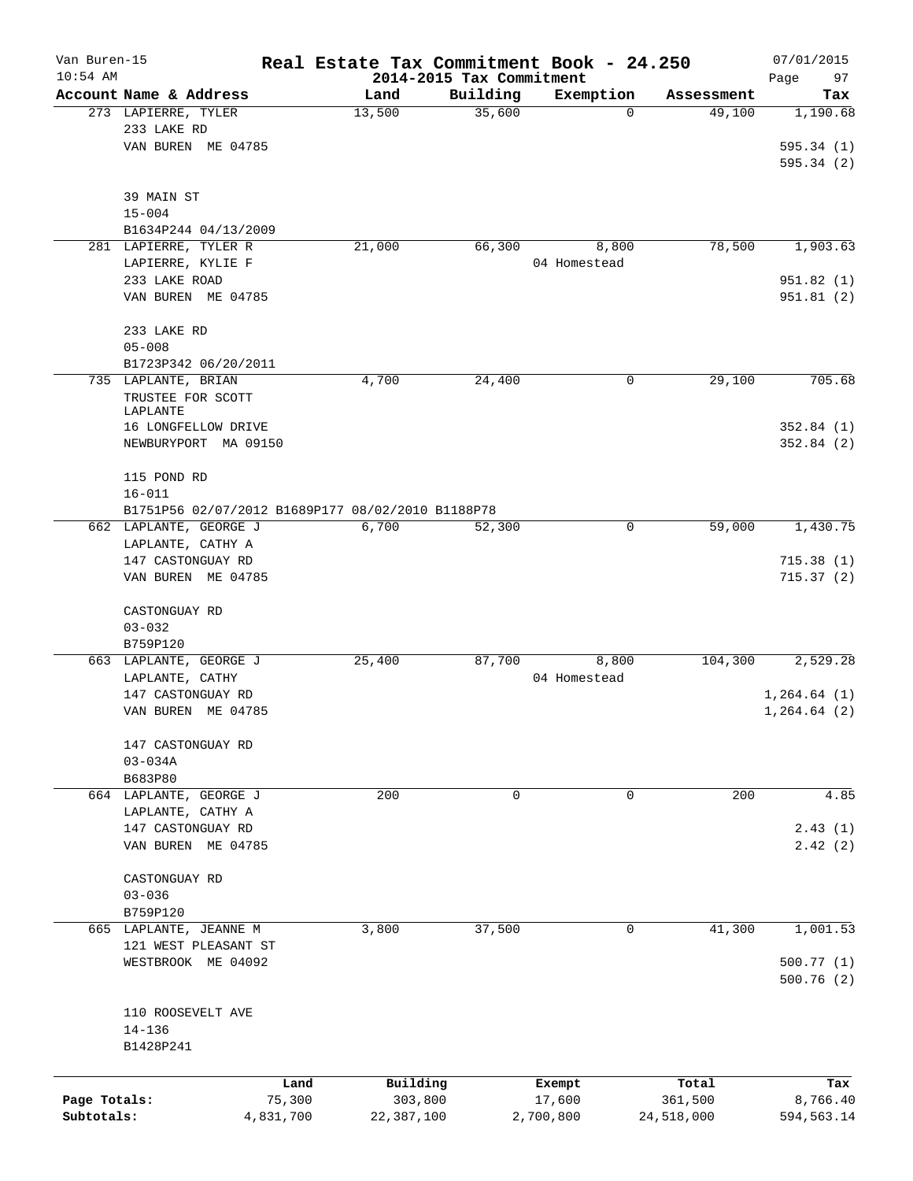| Van Buren-15 |                                                   |           |            |                                      | Real Estate Tax Commitment Book - 24.250 |                      | 07/01/2015      |
|--------------|---------------------------------------------------|-----------|------------|--------------------------------------|------------------------------------------|----------------------|-----------------|
| $10:54$ AM   | Account Name & Address                            |           | Land       | 2014-2015 Tax Commitment<br>Building |                                          |                      | Page<br>97      |
|              | 273 LAPIERRE, TYLER                               |           | 13,500     | 35,600                               | Exemption<br>0                           | Assessment<br>49,100 | Tax<br>1,190.68 |
|              | 233 LAKE RD                                       |           |            |                                      |                                          |                      |                 |
|              | VAN BUREN ME 04785                                |           |            |                                      |                                          |                      | 595.34(1)       |
|              |                                                   |           |            |                                      |                                          |                      | 595.34(2)       |
|              |                                                   |           |            |                                      |                                          |                      |                 |
|              | 39 MAIN ST                                        |           |            |                                      |                                          |                      |                 |
|              | $15 - 004$                                        |           |            |                                      |                                          |                      |                 |
|              | B1634P244 04/13/2009                              |           |            |                                      |                                          |                      |                 |
|              | 281 LAPIERRE, TYLER R                             |           | 21,000     | 66,300                               | 8,800                                    | 78,500               | 1,903.63        |
|              | LAPIERRE, KYLIE F                                 |           |            |                                      | 04 Homestead                             |                      |                 |
|              | 233 LAKE ROAD                                     |           |            |                                      |                                          |                      | 951.82(1)       |
|              | VAN BUREN ME 04785                                |           |            |                                      |                                          |                      | 951.81(2)       |
|              |                                                   |           |            |                                      |                                          |                      |                 |
|              | 233 LAKE RD                                       |           |            |                                      |                                          |                      |                 |
|              | $05 - 008$                                        |           |            |                                      |                                          |                      |                 |
|              | B1723P342 06/20/2011                              |           |            |                                      |                                          |                      |                 |
|              | 735 LAPLANTE, BRIAN                               |           | 4,700      | 24,400                               | 0                                        | 29,100               | 705.68          |
|              | TRUSTEE FOR SCOTT                                 |           |            |                                      |                                          |                      |                 |
|              | LAPLANTE                                          |           |            |                                      |                                          |                      |                 |
|              | 16 LONGFELLOW DRIVE                               |           |            |                                      |                                          |                      | 352.84(1)       |
|              | NEWBURYPORT MA 09150                              |           |            |                                      |                                          |                      | 352.84(2)       |
|              |                                                   |           |            |                                      |                                          |                      |                 |
|              | 115 POND RD                                       |           |            |                                      |                                          |                      |                 |
|              | $16 - 011$                                        |           |            |                                      |                                          |                      |                 |
|              | B1751P56 02/07/2012 B1689P177 08/02/2010 B1188P78 |           |            |                                      |                                          |                      |                 |
|              | 662 LAPLANTE, GEORGE J                            |           | 6,700      | 52,300                               | 0                                        | 59,000               | 1,430.75        |
|              | LAPLANTE, CATHY A                                 |           |            |                                      |                                          |                      |                 |
|              | 147 CASTONGUAY RD                                 |           |            |                                      |                                          |                      | 715.38(1)       |
|              | VAN BUREN ME 04785                                |           |            |                                      |                                          |                      | 715.37(2)       |
|              |                                                   |           |            |                                      |                                          |                      |                 |
|              | CASTONGUAY RD                                     |           |            |                                      |                                          |                      |                 |
|              | $03 - 032$                                        |           |            |                                      |                                          |                      |                 |
|              | B759P120                                          |           |            |                                      |                                          |                      |                 |
|              | 663 LAPLANTE, GEORGE J                            |           | 25,400     | 87,700                               | 8,800                                    | 104,300              | 2,529.28        |
|              | LAPLANTE, CATHY                                   |           |            |                                      | 04 Homestead                             |                      |                 |
|              | 147 CASTONGUAY RD<br>VAN BUREN ME 04785           |           |            |                                      |                                          |                      | 1, 264.64 (1)   |
|              |                                                   |           |            |                                      |                                          |                      | 1, 264.64 (2)   |
|              | 147 CASTONGUAY RD                                 |           |            |                                      |                                          |                      |                 |
|              | $03 - 034A$                                       |           |            |                                      |                                          |                      |                 |
|              | B683P80                                           |           |            |                                      |                                          |                      |                 |
|              | 664 LAPLANTE, GEORGE J                            |           | 200        | 0                                    | $\mathbf 0$                              | 200                  | 4.85            |
|              | LAPLANTE, CATHY A                                 |           |            |                                      |                                          |                      |                 |
|              | 147 CASTONGUAY RD                                 |           |            |                                      |                                          |                      | 2.43(1)         |
|              | VAN BUREN ME 04785                                |           |            |                                      |                                          |                      | 2.42(2)         |
|              |                                                   |           |            |                                      |                                          |                      |                 |
|              | CASTONGUAY RD                                     |           |            |                                      |                                          |                      |                 |
|              | $03 - 036$                                        |           |            |                                      |                                          |                      |                 |
|              | B759P120                                          |           |            |                                      |                                          |                      |                 |
|              | 665 LAPLANTE, JEANNE M                            |           | 3,800      | 37,500                               | $\mathbf 0$                              | 41,300               | 1,001.53        |
|              | 121 WEST PLEASANT ST                              |           |            |                                      |                                          |                      |                 |
|              | WESTBROOK ME 04092                                |           |            |                                      |                                          |                      | 500.77(1)       |
|              |                                                   |           |            |                                      |                                          |                      | 500.76(2)       |
|              |                                                   |           |            |                                      |                                          |                      |                 |
|              | 110 ROOSEVELT AVE                                 |           |            |                                      |                                          |                      |                 |
|              | $14 - 136$                                        |           |            |                                      |                                          |                      |                 |
|              | B1428P241                                         |           |            |                                      |                                          |                      |                 |
|              |                                                   |           |            |                                      |                                          |                      |                 |
|              |                                                   | Land      | Building   |                                      | Exempt                                   | Total                | Tax             |
| Page Totals: |                                                   | 75,300    | 303,800    |                                      | 17,600                                   | 361,500              | 8,766.40        |
| Subtotals:   |                                                   | 4,831,700 | 22,387,100 |                                      | 2,700,800                                | 24,518,000           | 594,563.14      |
|              |                                                   |           |            |                                      |                                          |                      |                 |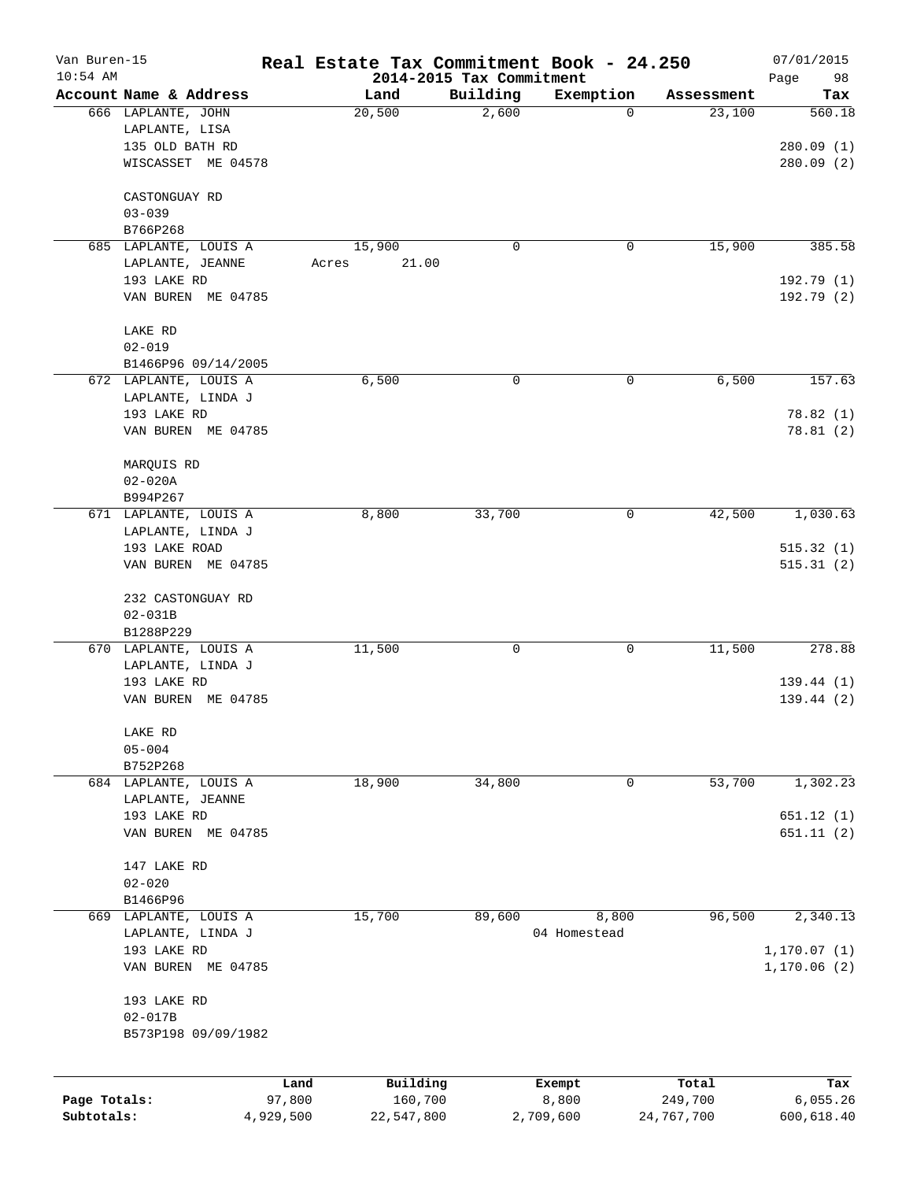| Van Buren-15<br>$10:54$ AM |                                            | Real Estate Tax Commitment Book - 24.250 |                                      |                 |                  | 07/01/2015                   |
|----------------------------|--------------------------------------------|------------------------------------------|--------------------------------------|-----------------|------------------|------------------------------|
|                            | Account Name & Address                     | Land                                     | 2014-2015 Tax Commitment<br>Building | Exemption       | Assessment       | Page<br>98<br>Tax            |
|                            | 666 LAPLANTE, JOHN<br>LAPLANTE, LISA       | 20,500                                   | 2,600                                | $\mathbf 0$     | 23,100           | 560.18                       |
|                            | 135 OLD BATH RD<br>WISCASSET ME 04578      |                                          |                                      |                 |                  | 280.09(1)<br>280.09(2)       |
|                            | CASTONGUAY RD                              |                                          |                                      |                 |                  |                              |
|                            | $03 - 039$                                 |                                          |                                      |                 |                  |                              |
|                            | B766P268<br>685 LAPLANTE, LOUIS A          | 15,900                                   | 0                                    | 0               | 15,900           | 385.58                       |
|                            | LAPLANTE, JEANNE<br>193 LAKE RD            | 21.00<br>Acres                           |                                      |                 |                  | 192.79(1)                    |
|                            | VAN BUREN ME 04785                         |                                          |                                      |                 |                  | 192.79(2)                    |
|                            | LAKE RD                                    |                                          |                                      |                 |                  |                              |
|                            | $02 - 019$                                 |                                          |                                      |                 |                  |                              |
|                            | B1466P96 09/14/2005                        |                                          |                                      |                 |                  |                              |
|                            | 672 LAPLANTE, LOUIS A<br>LAPLANTE, LINDA J | 6,500                                    | 0                                    | 0               | 6,500            | 157.63                       |
|                            | 193 LAKE RD<br>VAN BUREN ME 04785          |                                          |                                      |                 |                  | 78.82 (1)<br>78.81(2)        |
|                            |                                            |                                          |                                      |                 |                  |                              |
|                            | MARQUIS RD<br>$02 - 020A$                  |                                          |                                      |                 |                  |                              |
|                            | B994P267                                   |                                          |                                      |                 |                  |                              |
|                            | 671 LAPLANTE, LOUIS A                      | 8,800                                    | 33,700                               | 0               | 42,500           | 1,030.63                     |
|                            | LAPLANTE, LINDA J                          |                                          |                                      |                 |                  |                              |
|                            | 193 LAKE ROAD                              |                                          |                                      |                 |                  | 515.32(1)                    |
|                            | VAN BUREN ME 04785                         |                                          |                                      |                 |                  | 515.31(2)                    |
|                            | 232 CASTONGUAY RD                          |                                          |                                      |                 |                  |                              |
|                            | $02 - 031B$                                |                                          |                                      |                 |                  |                              |
|                            | B1288P229                                  |                                          |                                      |                 | 11,500           | 278.88                       |
|                            | 670 LAPLANTE, LOUIS A<br>LAPLANTE, LINDA J | 11,500                                   | 0                                    | 0               |                  |                              |
|                            | 193 LAKE RD                                |                                          |                                      |                 |                  | 139.44(1)                    |
|                            | VAN BUREN ME 04785                         |                                          |                                      |                 |                  | 139.44(2)                    |
|                            | LAKE RD                                    |                                          |                                      |                 |                  |                              |
|                            | $05 - 004$                                 |                                          |                                      |                 |                  |                              |
|                            | B752P268                                   |                                          |                                      |                 |                  |                              |
|                            | 684 LAPLANTE, LOUIS A<br>LAPLANTE, JEANNE  | 18,900                                   | 34,800                               | 0               | 53,700           | 1,302.23                     |
|                            | 193 LAKE RD                                |                                          |                                      |                 |                  | 651.12(1)                    |
|                            | VAN BUREN ME 04785                         |                                          |                                      |                 |                  | 651.11(2)                    |
|                            | 147 LAKE RD                                |                                          |                                      |                 |                  |                              |
|                            | $02 - 020$                                 |                                          |                                      |                 |                  |                              |
|                            | B1466P96<br>669 LAPLANTE, LOUIS A          | 15,700                                   | 89,600                               | 8,800           | 96,500           | 2,340.13                     |
|                            | LAPLANTE, LINDA J                          |                                          |                                      | 04 Homestead    |                  |                              |
|                            | 193 LAKE RD<br>VAN BUREN ME 04785          |                                          |                                      |                 |                  | 1, 170.07(1)<br>1, 170.06(2) |
|                            | 193 LAKE RD                                |                                          |                                      |                 |                  |                              |
|                            | $02 - 017B$                                |                                          |                                      |                 |                  |                              |
|                            | B573P198 09/09/1982                        |                                          |                                      |                 |                  |                              |
|                            |                                            |                                          |                                      |                 |                  |                              |
| Page Totals:               | 97,800                                     | Building<br>Land<br>160,700              |                                      | Exempt<br>8,800 | Total<br>249,700 | Tax<br>6,055.26              |
| Subtotals:                 | 4,929,500                                  | 22,547,800                               | 2,709,600                            |                 | 24,767,700       | 600,618.40                   |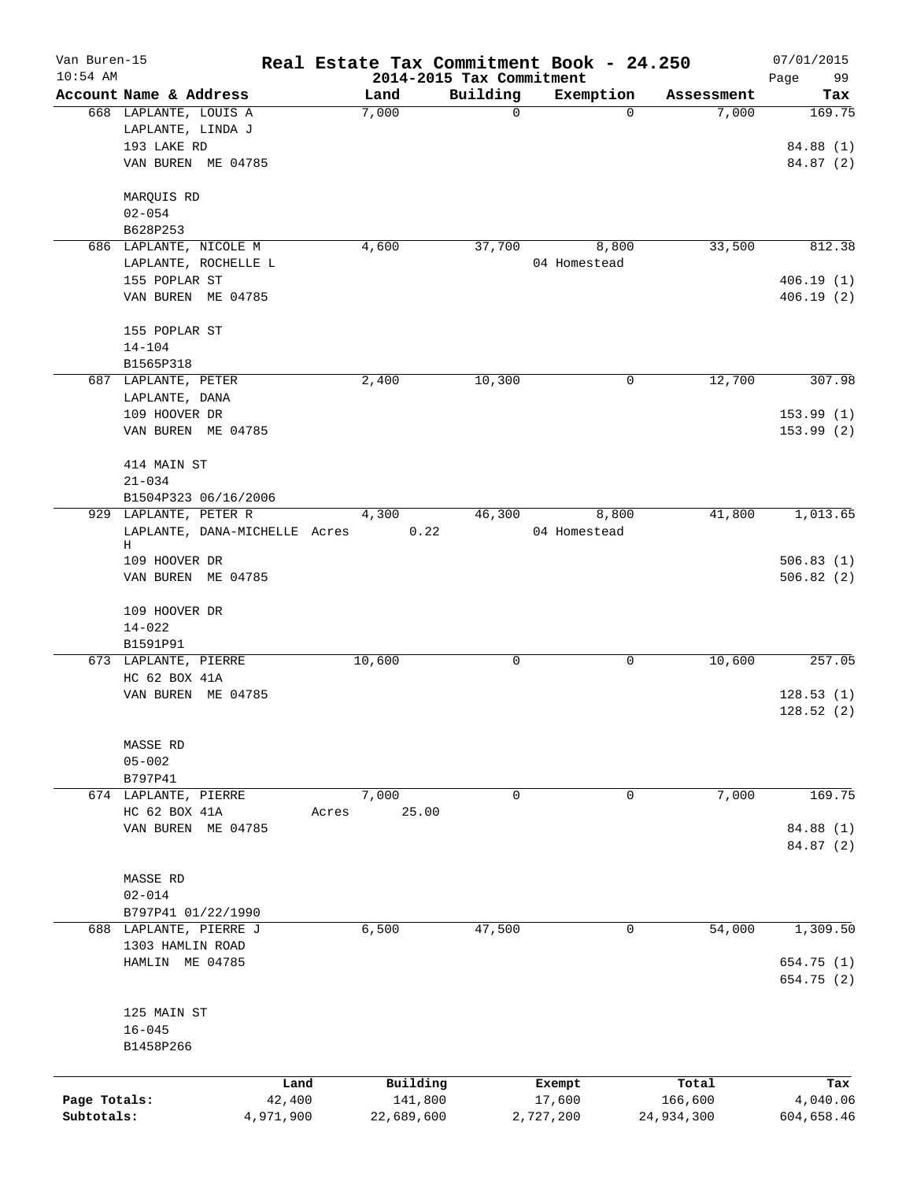| Van Buren-15 |                                  |       |            |                          | Real Estate Tax Commitment Book - 24.250 |            | 07/01/2015 |
|--------------|----------------------------------|-------|------------|--------------------------|------------------------------------------|------------|------------|
| $10:54$ AM   |                                  |       |            | 2014-2015 Tax Commitment |                                          |            | 99<br>Page |
|              | Account Name & Address           |       | Land       | Building                 | Exemption                                | Assessment | Tax        |
|              | 668 LAPLANTE, LOUIS A            |       | 7,000      | $\mathbf 0$              | $\Omega$                                 | 7,000      | 169.75     |
|              | LAPLANTE, LINDA J<br>193 LAKE RD |       |            |                          |                                          |            |            |
|              | VAN BUREN ME 04785               |       |            |                          |                                          |            | 84.88 (1)  |
|              |                                  |       |            |                          |                                          |            | 84.87 (2)  |
|              | MARQUIS RD                       |       |            |                          |                                          |            |            |
|              | $02 - 054$                       |       |            |                          |                                          |            |            |
|              | B628P253                         |       |            |                          |                                          |            |            |
|              | 686 LAPLANTE, NICOLE M           |       | 4,600      | 37,700                   | 8,800                                    | 33,500     | 812.38     |
|              | LAPLANTE, ROCHELLE L             |       |            |                          | 04 Homestead                             |            |            |
|              | 155 POPLAR ST                    |       |            |                          |                                          |            | 406.19(1)  |
|              | VAN BUREN ME 04785               |       |            |                          |                                          |            | 406.19(2)  |
|              |                                  |       |            |                          |                                          |            |            |
|              | 155 POPLAR ST                    |       |            |                          |                                          |            |            |
|              | $14 - 104$                       |       |            |                          |                                          |            |            |
|              | B1565P318                        |       |            |                          |                                          |            |            |
|              | 687 LAPLANTE, PETER              |       | 2,400      | 10,300                   | 0                                        | 12,700     | 307.98     |
|              | LAPLANTE, DANA                   |       |            |                          |                                          |            |            |
|              | 109 HOOVER DR                    |       |            |                          |                                          |            | 153.99(1)  |
|              | VAN BUREN ME 04785               |       |            |                          |                                          |            | 153.99(2)  |
|              | 414 MAIN ST                      |       |            |                          |                                          |            |            |
|              | $21 - 034$                       |       |            |                          |                                          |            |            |
|              | B1504P323 06/16/2006             |       |            |                          |                                          |            |            |
|              | 929 LAPLANTE, PETER R            |       | 4,300      | 46,300                   | 8,800                                    | 41,800     | 1,013.65   |
|              | LAPLANTE, DANA-MICHELLE Acres    |       | 0.22       |                          | 04 Homestead                             |            |            |
|              | Н                                |       |            |                          |                                          |            |            |
|              | 109 HOOVER DR                    |       |            |                          |                                          |            | 506.83(1)  |
|              | VAN BUREN ME 04785               |       |            |                          |                                          |            | 506.82(2)  |
|              |                                  |       |            |                          |                                          |            |            |
|              | 109 HOOVER DR                    |       |            |                          |                                          |            |            |
|              | $14 - 022$                       |       |            |                          |                                          |            |            |
|              | B1591P91                         |       |            |                          |                                          |            |            |
|              | 673 LAPLANTE, PIERRE             |       | 10,600     | 0                        | 0                                        | 10,600     | 257.05     |
|              | HC 62 BOX 41A                    |       |            |                          |                                          |            |            |
|              | VAN BUREN<br>ME 04785            |       |            |                          |                                          |            | 128.53(1)  |
|              |                                  |       |            |                          |                                          |            | 128.52(2)  |
|              |                                  |       |            |                          |                                          |            |            |
|              | MASSE RD                         |       |            |                          |                                          |            |            |
|              | $05 - 002$                       |       |            |                          |                                          |            |            |
|              | B797P41                          |       |            |                          |                                          |            |            |
|              | 674 LAPLANTE, PIERRE             |       | 7,000      | 0                        | 0                                        | 7,000      | 169.75     |
|              | HC 62 BOX 41A                    | Acres | 25.00      |                          |                                          |            |            |
|              | VAN BUREN ME 04785               |       |            |                          |                                          |            | 84.88 (1)  |
|              |                                  |       |            |                          |                                          |            | 84.87 (2)  |
|              |                                  |       |            |                          |                                          |            |            |
|              | MASSE RD                         |       |            |                          |                                          |            |            |
|              | $02 - 014$                       |       |            |                          |                                          |            |            |
|              | B797P41 01/22/1990               |       |            |                          |                                          |            |            |
|              | 688 LAPLANTE, PIERRE J           |       | 6,500      | 47,500                   | 0                                        | 54,000     | 1,309.50   |
|              | 1303 HAMLIN ROAD                 |       |            |                          |                                          |            |            |
|              | HAMLIN ME 04785                  |       |            |                          |                                          |            | 654.75 (1) |
|              |                                  |       |            |                          |                                          |            | 654.75 (2) |
|              |                                  |       |            |                          |                                          |            |            |
|              | 125 MAIN ST                      |       |            |                          |                                          |            |            |
|              | $16 - 045$                       |       |            |                          |                                          |            |            |
|              | B1458P266                        |       |            |                          |                                          |            |            |
|              |                                  | Land  | Building   |                          | Exempt                                   | Total      | Tax        |
| Page Totals: | 42,400                           |       | 141,800    |                          | 17,600                                   | 166,600    | 4,040.06   |
| Subtotals:   | 4,971,900                        |       | 22,689,600 |                          | 2,727,200                                | 24,934,300 | 604,658.46 |
|              |                                  |       |            |                          |                                          |            |            |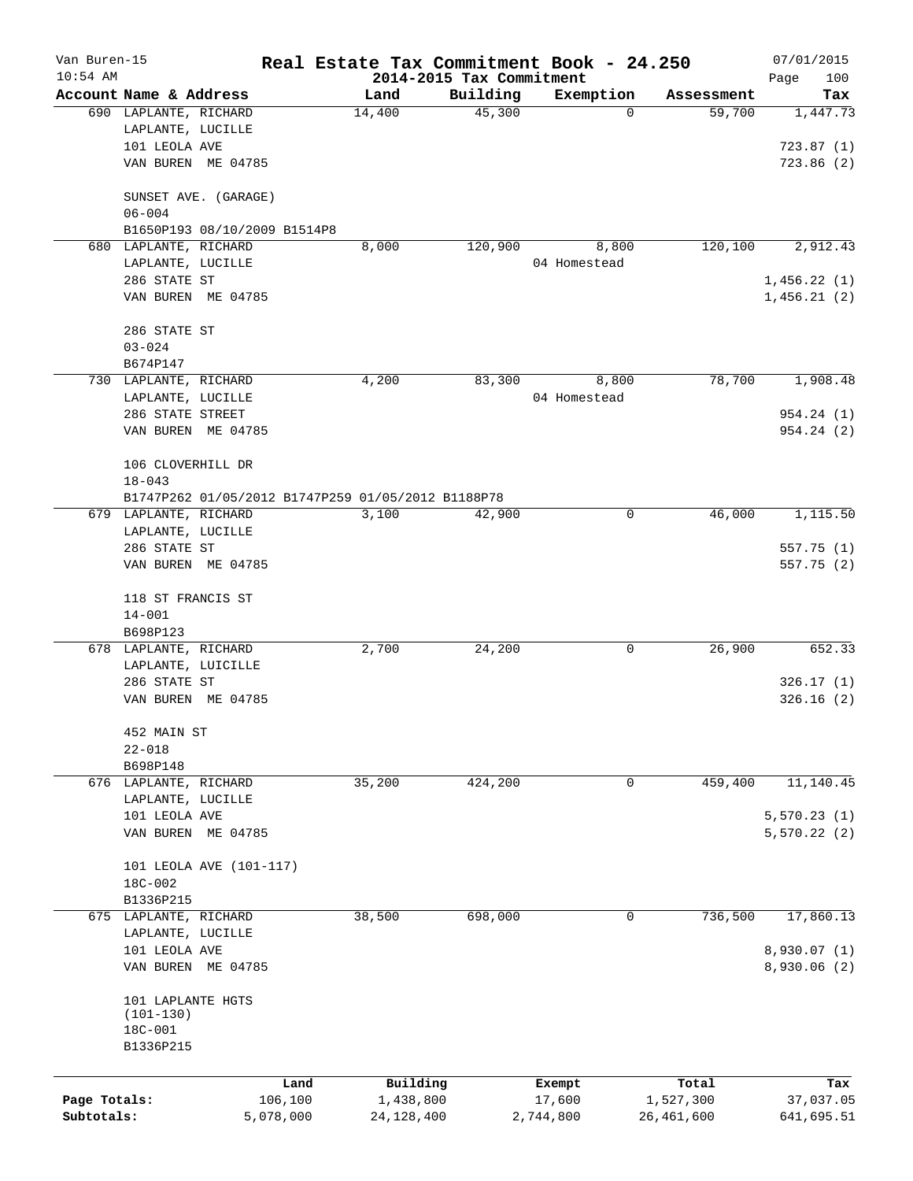| Van Buren-15 |                        |                              | Real Estate Tax Commitment Book - 24.250           |          |              |            | 07/01/2015   |
|--------------|------------------------|------------------------------|----------------------------------------------------|----------|--------------|------------|--------------|
| $10:54$ AM   |                        |                              | 2014-2015 Tax Commitment                           |          |              |            | 100<br>Page  |
|              | Account Name & Address |                              | Land                                               | Building | Exemption    | Assessment | Tax          |
|              | 690 LAPLANTE, RICHARD  |                              | 14,400                                             | 45,300   | 0            | 59,700     | 1,447.73     |
|              | LAPLANTE, LUCILLE      |                              |                                                    |          |              |            |              |
|              | 101 LEOLA AVE          |                              |                                                    |          |              |            | 723.87(1)    |
|              |                        | VAN BUREN ME 04785           |                                                    |          |              |            | 723.86(2)    |
|              |                        | SUNSET AVE. (GARAGE)         |                                                    |          |              |            |              |
|              | $06 - 004$             |                              |                                                    |          |              |            |              |
|              |                        | B1650P193 08/10/2009 B1514P8 |                                                    |          |              |            |              |
|              | 680 LAPLANTE, RICHARD  |                              | 8,000                                              | 120,900  | 8,800        | 120,100    | 2,912.43     |
|              | LAPLANTE, LUCILLE      |                              |                                                    |          | 04 Homestead |            |              |
|              | 286 STATE ST           |                              |                                                    |          |              |            | 1,456.22(1)  |
|              |                        | VAN BUREN ME 04785           |                                                    |          |              |            | 1,456.21(2)  |
|              | 286 STATE ST           |                              |                                                    |          |              |            |              |
|              | $03 - 024$             |                              |                                                    |          |              |            |              |
|              | B674P147               |                              |                                                    |          |              |            |              |
|              | 730 LAPLANTE, RICHARD  |                              | 4,200                                              | 83,300   | 8,800        | 78,700     | 1,908.48     |
|              | LAPLANTE, LUCILLE      |                              |                                                    |          | 04 Homestead |            |              |
|              | 286 STATE STREET       |                              |                                                    |          |              |            | 954.24 (1)   |
|              |                        | VAN BUREN ME 04785           |                                                    |          |              |            | 954.24 (2)   |
|              | 106 CLOVERHILL DR      |                              |                                                    |          |              |            |              |
|              | $18 - 043$             |                              |                                                    |          |              |            |              |
|              |                        |                              | B1747P262 01/05/2012 B1747P259 01/05/2012 B1188P78 |          |              |            |              |
|              | 679 LAPLANTE, RICHARD  |                              | 3,100                                              | 42,900   | 0            | 46,000     | 1,115.50     |
|              | LAPLANTE, LUCILLE      |                              |                                                    |          |              |            |              |
|              | 286 STATE ST           |                              |                                                    |          |              |            | 557.75 (1)   |
|              |                        | VAN BUREN ME 04785           |                                                    |          |              |            | 557.75 (2)   |
|              | 118 ST FRANCIS ST      |                              |                                                    |          |              |            |              |
|              | $14 - 001$             |                              |                                                    |          |              |            |              |
|              | B698P123               |                              |                                                    |          |              |            |              |
|              | 678 LAPLANTE, RICHARD  |                              | 2,700                                              | 24,200   | 0            | 26,900     | 652.33       |
|              |                        | LAPLANTE, LUICILLE           |                                                    |          |              |            |              |
|              | 286 STATE ST           |                              |                                                    |          |              |            | 326.17(1)    |
|              |                        | VAN BUREN ME 04785           |                                                    |          |              |            | 326.16(2)    |
|              | 452 MAIN ST            |                              |                                                    |          |              |            |              |
|              | $22 - 018$             |                              |                                                    |          |              |            |              |
|              | B698P148               |                              |                                                    |          |              |            |              |
|              | 676 LAPLANTE, RICHARD  |                              | 35,200                                             | 424,200  | 0            | 459,400    | 11,140.45    |
|              | LAPLANTE, LUCILLE      |                              |                                                    |          |              |            |              |
|              | 101 LEOLA AVE          |                              |                                                    |          |              |            | 5, 570.23(1) |
|              |                        | VAN BUREN ME 04785           |                                                    |          |              |            | 5,570.22(2)  |
|              |                        | 101 LEOLA AVE (101-117)      |                                                    |          |              |            |              |
|              | 18C-002                |                              |                                                    |          |              |            |              |
|              | B1336P215              |                              |                                                    |          |              |            |              |
|              | 675 LAPLANTE, RICHARD  |                              | 38,500                                             | 698,000  | 0            | 736,500    | 17,860.13    |
|              | LAPLANTE, LUCILLE      |                              |                                                    |          |              |            |              |
|              | 101 LEOLA AVE          |                              |                                                    |          |              |            | 8,930.07 (1) |
|              |                        | VAN BUREN ME 04785           |                                                    |          |              |            | 8,930.06(2)  |
|              | 101 LAPLANTE HGTS      |                              |                                                    |          |              |            |              |
|              | $(101 - 130)$          |                              |                                                    |          |              |            |              |
|              | 18C-001                |                              |                                                    |          |              |            |              |
|              | B1336P215              |                              |                                                    |          |              |            |              |
|              |                        | Land                         | Building                                           |          | Exempt       | Total      | Tax          |
| Page Totals: |                        | 106,100                      | 1,438,800                                          |          | 17,600       | 1,527,300  | 37,037.05    |
| Subtotals:   |                        | 5,078,000                    | 24, 128, 400                                       |          | 2,744,800    | 26,461,600 | 641,695.51   |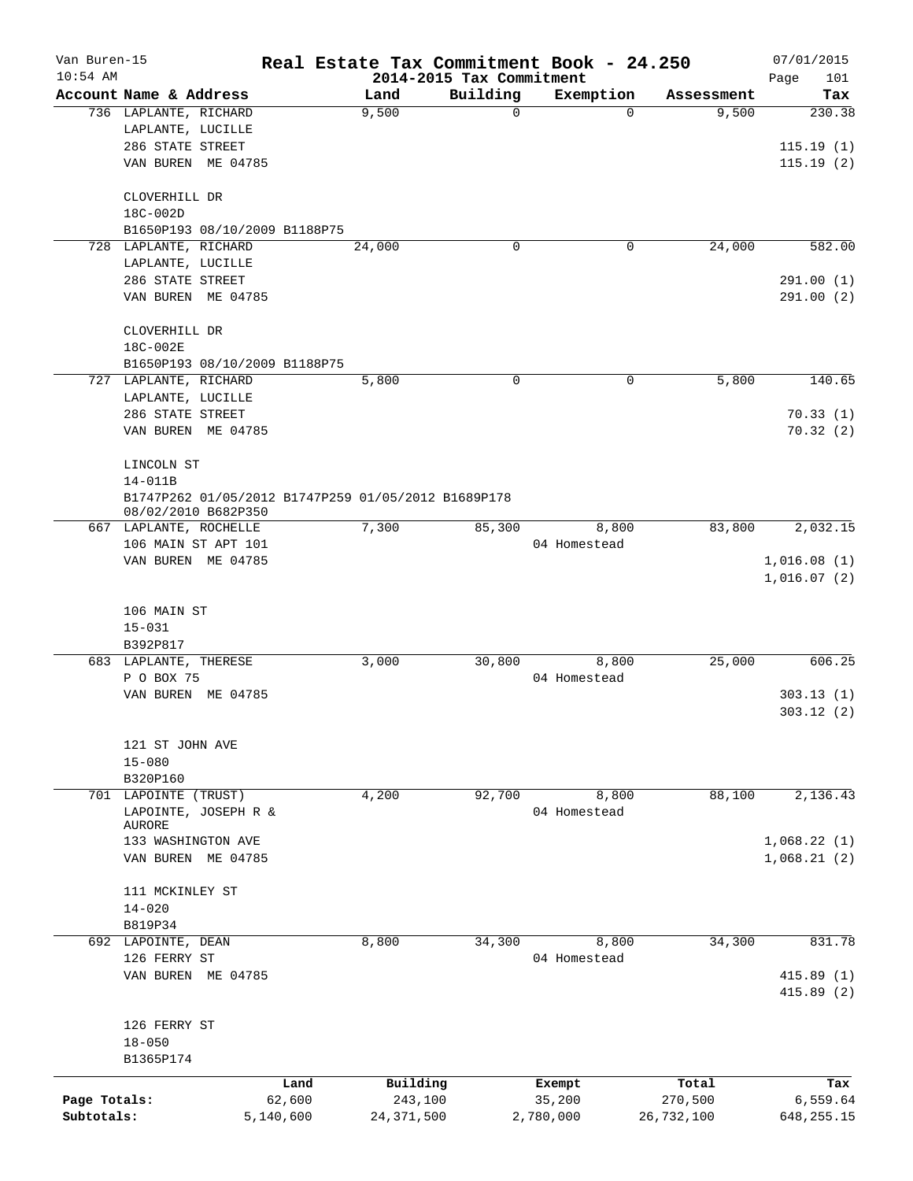| Van Buren-15 |                                                                            |           |              |                          | Real Estate Tax Commitment Book - 24.250 |            | 07/01/2015              |
|--------------|----------------------------------------------------------------------------|-----------|--------------|--------------------------|------------------------------------------|------------|-------------------------|
| $10:54$ AM   |                                                                            |           |              | 2014-2015 Tax Commitment |                                          |            | 101<br>Page             |
|              | Account Name & Address                                                     |           | Land         | Building                 | Exemption                                | Assessment | Tax                     |
|              | 736 LAPLANTE, RICHARD                                                      |           | 9,500        | $\overline{0}$           | $\Omega$                                 | 9,500      | 230.38                  |
|              | LAPLANTE, LUCILLE                                                          |           |              |                          |                                          |            |                         |
|              | 286 STATE STREET                                                           |           |              |                          |                                          |            | 115.19(1)               |
|              | VAN BUREN ME 04785                                                         |           |              |                          |                                          |            | 115.19(2)               |
|              | CLOVERHILL DR                                                              |           |              |                          |                                          |            |                         |
|              | 18C-002D                                                                   |           |              |                          |                                          |            |                         |
|              | B1650P193 08/10/2009 B1188P75                                              |           |              |                          |                                          |            |                         |
|              | 728 LAPLANTE, RICHARD                                                      |           | 24,000       | $\mathbf 0$              | 0                                        | 24,000     | 582.00                  |
|              | LAPLANTE, LUCILLE                                                          |           |              |                          |                                          |            |                         |
|              | 286 STATE STREET                                                           |           |              |                          |                                          |            | 291.00 (1)              |
|              | VAN BUREN ME 04785                                                         |           |              |                          |                                          |            | 291.00 (2)              |
|              | CLOVERHILL DR                                                              |           |              |                          |                                          |            |                         |
|              | 18C-002E                                                                   |           |              |                          |                                          |            |                         |
|              | B1650P193 08/10/2009 B1188P75                                              |           |              |                          |                                          |            |                         |
|              | 727 LAPLANTE, RICHARD                                                      |           | 5,800        | $\mathbf 0$              | 0                                        | 5,800      | 140.65                  |
|              | LAPLANTE, LUCILLE                                                          |           |              |                          |                                          |            |                         |
|              | 286 STATE STREET                                                           |           |              |                          |                                          |            | 70.33(1)                |
|              | VAN BUREN ME 04785                                                         |           |              |                          |                                          |            | 70.32(2)                |
|              | LINCOLN ST                                                                 |           |              |                          |                                          |            |                         |
|              | $14 - 011B$                                                                |           |              |                          |                                          |            |                         |
|              | B1747P262 01/05/2012 B1747P259 01/05/2012 B1689P178<br>08/02/2010 B682P350 |           |              |                          |                                          |            |                         |
|              | 667 LAPLANTE, ROCHELLE                                                     |           | 7,300        | 85,300                   | 8,800                                    | 83,800     | 2,032.15                |
|              | 106 MAIN ST APT 101                                                        |           |              |                          | 04 Homestead                             |            |                         |
|              | VAN BUREN ME 04785                                                         |           |              |                          |                                          |            | 1,016.08(1)             |
|              | 106 MAIN ST                                                                |           |              |                          |                                          |            | 1,016.07(2)             |
|              | $15 - 031$                                                                 |           |              |                          |                                          |            |                         |
|              | B392P817                                                                   |           |              |                          |                                          |            |                         |
|              | 683 LAPLANTE, THERESE                                                      |           | 3,000        | 30,800                   | 8,800                                    | 25,000     | 606.25                  |
|              | P O BOX 75                                                                 |           |              |                          | 04 Homestead                             |            |                         |
|              | VAN BUREN<br>ME 04785                                                      |           |              |                          |                                          |            | 303.13(1)               |
|              |                                                                            |           |              |                          |                                          |            | 303.12(2)               |
|              | 121 ST JOHN AVE                                                            |           |              |                          |                                          |            |                         |
|              | $15 - 080$                                                                 |           |              |                          |                                          |            |                         |
|              | B320P160                                                                   |           |              |                          |                                          |            |                         |
|              | 701 LAPOINTE (TRUST)                                                       |           | 4,200        | 92,700                   | 8,800                                    | 88,100     | 2,136.43                |
|              | LAPOINTE, JOSEPH R &                                                       |           |              |                          | 04 Homestead                             |            |                         |
|              | AURORE                                                                     |           |              |                          |                                          |            |                         |
|              | 133 WASHINGTON AVE                                                         |           |              |                          |                                          |            | 1,068.22(1)             |
|              | VAN BUREN ME 04785                                                         |           |              |                          |                                          |            | 1,068.21(2)             |
|              | 111 MCKINLEY ST                                                            |           |              |                          |                                          |            |                         |
|              | $14 - 020$                                                                 |           |              |                          |                                          |            |                         |
|              | B819P34                                                                    |           |              |                          |                                          |            |                         |
|              | 692 LAPOINTE, DEAN                                                         |           | 8,800        | 34,300                   | 8,800                                    | 34,300     | 831.78                  |
|              | 126 FERRY ST                                                               |           |              |                          | 04 Homestead                             |            |                         |
|              | VAN BUREN ME 04785                                                         |           |              |                          |                                          |            | 415.89(1)<br>415.89 (2) |
|              |                                                                            |           |              |                          |                                          |            |                         |
|              | 126 FERRY ST                                                               |           |              |                          |                                          |            |                         |
|              | $18 - 050$                                                                 |           |              |                          |                                          |            |                         |
|              | B1365P174                                                                  |           |              |                          |                                          |            |                         |
|              |                                                                            | Land      | Building     |                          | Exempt                                   | Total      | Tax                     |
| Page Totals: |                                                                            | 62,600    | 243,100      |                          | 35,200                                   | 270,500    | 6,559.64                |
| Subtotals:   |                                                                            | 5,140,600 | 24, 371, 500 |                          | 2,780,000                                | 26,732,100 | 648, 255. 15            |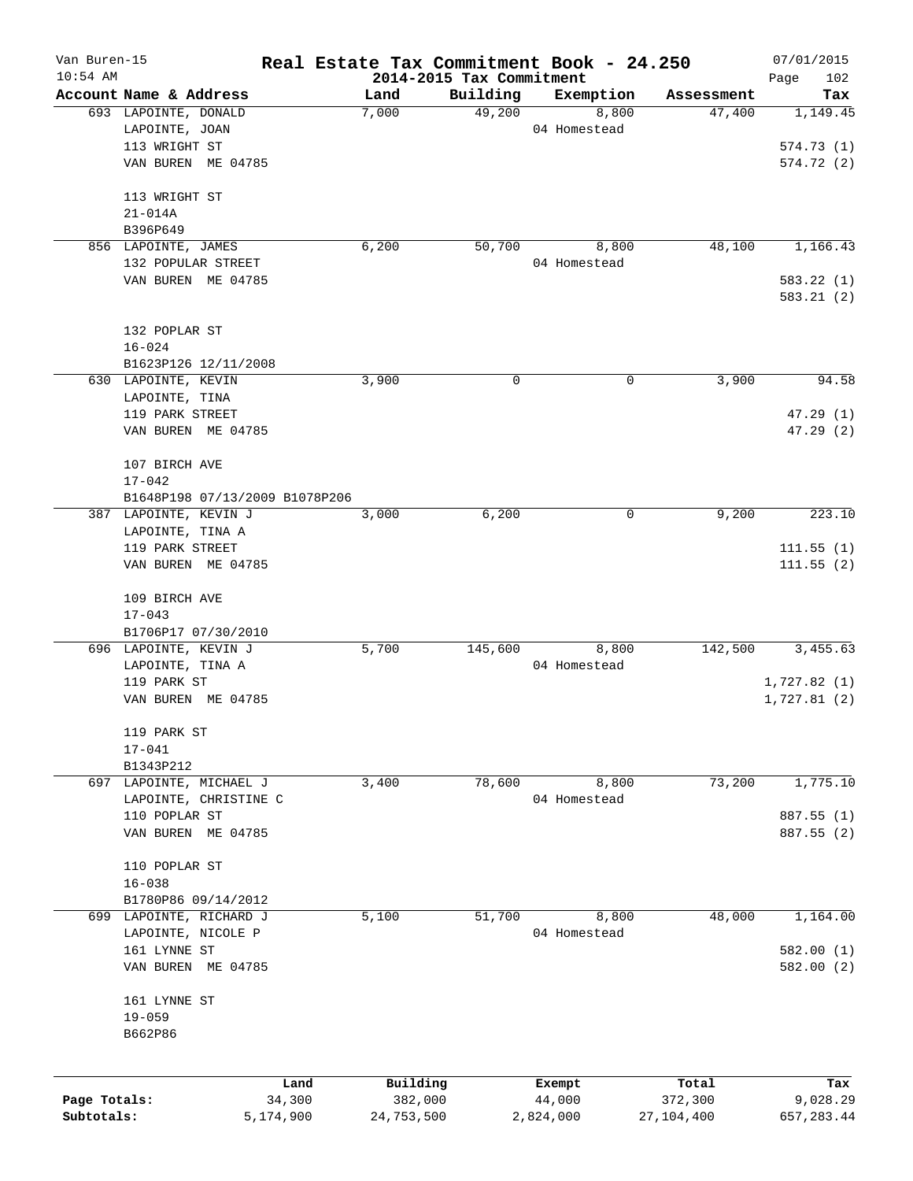| Van Buren-15 |                                | Real Estate Tax Commitment Book - 24.250 |          |              |              | 07/01/2015  |
|--------------|--------------------------------|------------------------------------------|----------|--------------|--------------|-------------|
| $10:54$ AM   |                                | 2014-2015 Tax Commitment                 |          |              |              | Page<br>102 |
|              | Account Name & Address         | Land                                     | Building | Exemption    | Assessment   | Tax         |
|              | 693 LAPOINTE, DONALD           | 7,000                                    | 49,200   | 8,800        | 47,400       | 1,149.45    |
|              | LAPOINTE, JOAN                 |                                          |          | 04 Homestead |              |             |
|              | 113 WRIGHT ST                  |                                          |          |              |              | 574.73(1)   |
|              | VAN BUREN ME 04785             |                                          |          |              |              | 574.72(2)   |
|              | 113 WRIGHT ST                  |                                          |          |              |              |             |
|              | $21 - 014A$                    |                                          |          |              |              |             |
|              | B396P649                       |                                          |          |              |              |             |
|              | 856 LAPOINTE, JAMES            | 6,200                                    | 50,700   | 8,800        | 48,100       | 1,166.43    |
|              | 132 POPULAR STREET             |                                          |          | 04 Homestead |              |             |
|              | VAN BUREN ME 04785             |                                          |          |              |              | 583.22(1)   |
|              |                                |                                          |          |              |              | 583.21(2)   |
|              | 132 POPLAR ST                  |                                          |          |              |              |             |
|              | $16 - 024$                     |                                          |          |              |              |             |
|              | B1623P126 12/11/2008           |                                          |          |              |              |             |
|              | 630 LAPOINTE, KEVIN            | 3,900                                    | 0        | 0            | 3,900        | 94.58       |
|              | LAPOINTE, TINA                 |                                          |          |              |              |             |
|              | 119 PARK STREET                |                                          |          |              |              | 47.29(1)    |
|              | VAN BUREN ME 04785             |                                          |          |              |              | 47.29(2)    |
|              |                                |                                          |          |              |              |             |
|              | 107 BIRCH AVE                  |                                          |          |              |              |             |
|              | $17 - 042$                     |                                          |          |              |              |             |
|              | B1648P198 07/13/2009 B1078P206 |                                          |          |              |              |             |
|              | 387 LAPOINTE, KEVIN J          | 3,000                                    | 6,200    | 0            | 9,200        | 223.10      |
|              | LAPOINTE, TINA A               |                                          |          |              |              |             |
|              | 119 PARK STREET                |                                          |          |              |              | 111.55(1)   |
|              | VAN BUREN ME 04785             |                                          |          |              |              | 111.55(2)   |
|              | 109 BIRCH AVE                  |                                          |          |              |              |             |
|              | $17 - 043$                     |                                          |          |              |              |             |
|              | B1706P17 07/30/2010            |                                          |          |              |              |             |
|              | 696 LAPOINTE, KEVIN J          | 5,700                                    | 145,600  | 8,800        | 142,500      | 3,455.63    |
|              | LAPOINTE, TINA A               |                                          |          | 04 Homestead |              |             |
|              | 119 PARK ST                    |                                          |          |              |              | 1,727.82(1) |
|              | VAN BUREN ME 04785             |                                          |          |              |              | 1,727.81(2) |
|              | 119 PARK ST                    |                                          |          |              |              |             |
|              | $17 - 041$                     |                                          |          |              |              |             |
|              | B1343P212                      |                                          |          |              |              |             |
|              | 697 LAPOINTE, MICHAEL J        | 3,400                                    | 78,600   | 8,800        | 73,200       | 1,775.10    |
|              | LAPOINTE, CHRISTINE C          |                                          |          | 04 Homestead |              |             |
|              | 110 POPLAR ST                  |                                          |          |              |              | 887.55 (1)  |
|              | VAN BUREN ME 04785             |                                          |          |              |              | 887.55 (2)  |
|              |                                |                                          |          |              |              |             |
|              | 110 POPLAR ST                  |                                          |          |              |              |             |
|              | $16 - 038$                     |                                          |          |              |              |             |
|              | B1780P86 09/14/2012            |                                          |          |              |              |             |
| 699          | LAPOINTE, RICHARD J            | 5,100                                    | 51,700   | 8,800        | 48,000       | 1,164.00    |
|              | LAPOINTE, NICOLE P             |                                          |          | 04 Homestead |              |             |
|              | 161 LYNNE ST                   |                                          |          |              |              | 582.00 (1)  |
|              | VAN BUREN ME 04785             |                                          |          |              |              | 582.00(2)   |
|              | 161 LYNNE ST                   |                                          |          |              |              |             |
|              | $19 - 059$                     |                                          |          |              |              |             |
|              | B662P86                        |                                          |          |              |              |             |
|              |                                |                                          |          |              |              |             |
|              | Land                           | Building                                 |          | Exempt       | Total        | Tax         |
| Page Totals: | 34,300                         | 382,000                                  |          | 44,000       | 372,300      | 9,028.29    |
| Subtotals:   | 5,174,900                      | 24,753,500                               |          | 2,824,000    | 27, 104, 400 | 657, 283.44 |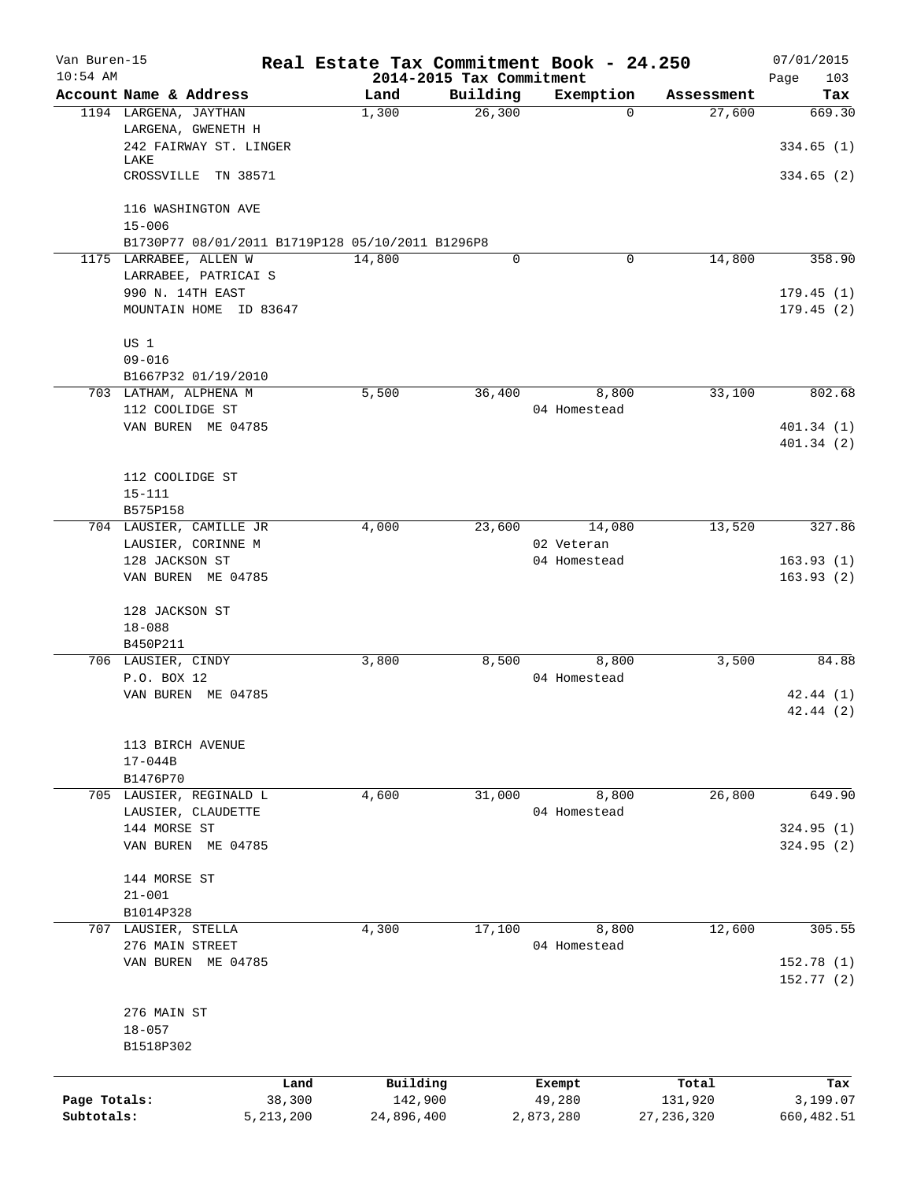| Van Buren-15 |                                                                            | Real Estate Tax Commitment Book - 24.250 |                          |                  |              | 07/01/2015  |
|--------------|----------------------------------------------------------------------------|------------------------------------------|--------------------------|------------------|--------------|-------------|
| $10:54$ AM   |                                                                            |                                          | 2014-2015 Tax Commitment |                  |              | 103<br>Page |
|              | Account Name & Address                                                     | Land                                     | Building                 | Exemption        | Assessment   | Tax         |
|              | 1194 LARGENA, JAYTHAN                                                      | 1,300                                    | 26,300                   | $\Omega$         | 27,600       | 669.30      |
|              | LARGENA, GWENETH H                                                         |                                          |                          |                  |              |             |
|              | 242 FAIRWAY ST. LINGER                                                     |                                          |                          |                  |              | 334.65(1)   |
|              | LAKE<br>CROSSVILLE TN 38571                                                |                                          |                          |                  |              | 334.65(2)   |
|              |                                                                            |                                          |                          |                  |              |             |
|              | 116 WASHINGTON AVE                                                         |                                          |                          |                  |              |             |
|              | $15 - 006$                                                                 |                                          |                          |                  |              |             |
|              |                                                                            |                                          |                          |                  |              |             |
|              | B1730P77 08/01/2011 B1719P128 05/10/2011 B1296P8<br>1175 LARRABEE, ALLEN W |                                          | $\mathbf 0$              | 0                | 14,800       |             |
|              |                                                                            | 14,800                                   |                          |                  |              | 358.90      |
|              | LARRABEE, PATRICAI S<br>990 N. 14TH EAST                                   |                                          |                          |                  |              | 179.45(1)   |
|              | MOUNTAIN HOME ID 83647                                                     |                                          |                          |                  |              |             |
|              |                                                                            |                                          |                          |                  |              | 179.45(2)   |
|              |                                                                            |                                          |                          |                  |              |             |
|              | US 1                                                                       |                                          |                          |                  |              |             |
|              | $09 - 016$                                                                 |                                          |                          |                  |              |             |
|              | B1667P32 01/19/2010                                                        |                                          |                          |                  |              |             |
|              | 703 LATHAM, ALPHENA M                                                      | 5,500                                    | 36,400                   | 8,800            | 33,100       | 802.68      |
|              | 112 COOLIDGE ST                                                            |                                          |                          | 04 Homestead     |              |             |
|              | VAN BUREN ME 04785                                                         |                                          |                          |                  |              | 401.34(1)   |
|              |                                                                            |                                          |                          |                  |              | 401.34(2)   |
|              |                                                                            |                                          |                          |                  |              |             |
|              | 112 COOLIDGE ST                                                            |                                          |                          |                  |              |             |
|              | $15 - 111$                                                                 |                                          |                          |                  |              |             |
|              | B575P158                                                                   |                                          |                          |                  |              |             |
|              | 704 LAUSIER, CAMILLE JR                                                    | 4,000                                    | 23,600                   | 14,080           | 13,520       | 327.86      |
|              | LAUSIER, CORINNE M                                                         |                                          |                          | 02 Veteran       |              |             |
|              | 128 JACKSON ST                                                             |                                          |                          | 04 Homestead     |              | 163.93(1)   |
|              | VAN BUREN ME 04785                                                         |                                          |                          |                  |              | 163.93(2)   |
|              |                                                                            |                                          |                          |                  |              |             |
|              | 128 JACKSON ST                                                             |                                          |                          |                  |              |             |
|              | $18 - 088$                                                                 |                                          |                          |                  |              |             |
|              | B450P211                                                                   |                                          |                          |                  |              |             |
|              | 706 LAUSIER, CINDY                                                         | 3,800                                    | 8,500                    | 8,800            | 3,500        | 84.88       |
|              | P.O. BOX 12                                                                |                                          |                          | 04 Homestead     |              |             |
|              | VAN BUREN ME 04785                                                         |                                          |                          |                  |              | 42.44(1)    |
|              |                                                                            |                                          |                          |                  |              | 42.44(2)    |
|              |                                                                            |                                          |                          |                  |              |             |
|              | 113 BIRCH AVENUE                                                           |                                          |                          |                  |              |             |
|              | $17 - 044B$                                                                |                                          |                          |                  |              |             |
|              | B1476P70                                                                   |                                          |                          |                  |              |             |
|              | 705 LAUSIER, REGINALD L                                                    | 4,600                                    | 31,000                   | 8,800            | 26,800       | 649.90      |
|              | LAUSIER, CLAUDETTE                                                         |                                          |                          | 04 Homestead     |              |             |
|              | 144 MORSE ST                                                               |                                          |                          |                  |              | 324.95 (1)  |
|              | VAN BUREN ME 04785                                                         |                                          |                          |                  |              | 324.95 (2)  |
|              |                                                                            |                                          |                          |                  |              |             |
|              | 144 MORSE ST                                                               |                                          |                          |                  |              |             |
|              | $21 - 001$                                                                 |                                          |                          |                  |              |             |
|              | B1014P328                                                                  |                                          |                          |                  |              |             |
|              | 707 LAUSIER, STELLA                                                        | 4,300                                    | 17,100                   | 8,800            | 12,600       | 305.55      |
|              | 276 MAIN STREET                                                            |                                          |                          | 04 Homestead     |              |             |
|              | VAN BUREN ME 04785                                                         |                                          |                          |                  |              | 152.78(1)   |
|              |                                                                            |                                          |                          |                  |              | 152.77 (2)  |
|              |                                                                            |                                          |                          |                  |              |             |
|              | 276 MAIN ST                                                                |                                          |                          |                  |              |             |
|              | $18 - 057$                                                                 |                                          |                          |                  |              |             |
|              | B1518P302                                                                  |                                          |                          |                  |              |             |
|              |                                                                            |                                          |                          |                  |              |             |
|              |                                                                            | Building<br>Land                         |                          |                  | Total        | Tax         |
| Page Totals: | 38,300                                                                     | 142,900                                  |                          | Exempt<br>49,280 | 131,920      | 3,199.07    |
| Subtotals:   | 5, 213, 200                                                                | 24,896,400                               |                          | 2,873,280        | 27, 236, 320 | 660, 482.51 |
|              |                                                                            |                                          |                          |                  |              |             |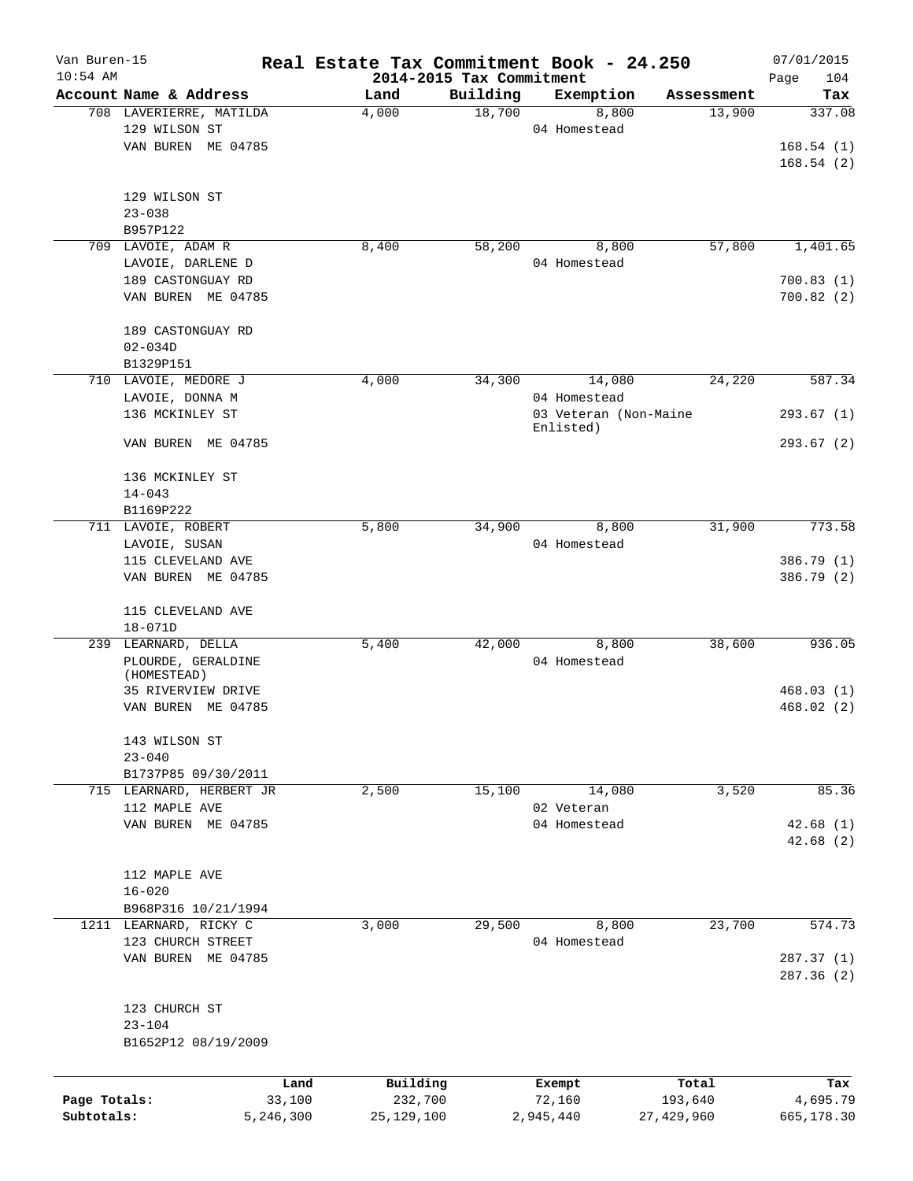| Van Buren-15<br>$10:54$ AM |                          |           | Real Estate Tax Commitment Book - 24.250 |          |                                    |            | 07/01/2015         |
|----------------------------|--------------------------|-----------|------------------------------------------|----------|------------------------------------|------------|--------------------|
|                            | Account Name & Address   |           | 2014-2015 Tax Commitment<br>Land         | Building | Exemption                          | Assessment | 104<br>Page<br>Tax |
|                            | 708 LAVERIERRE, MATILDA  |           | 4,000                                    | 18,700   | 8,800                              | 13,900     | 337.08             |
|                            | 129 WILSON ST            |           |                                          |          | 04 Homestead                       |            |                    |
|                            | VAN BUREN ME 04785       |           |                                          |          |                                    |            | 168.54(1)          |
|                            |                          |           |                                          |          |                                    |            | 168.54(2)          |
|                            |                          |           |                                          |          |                                    |            |                    |
|                            | 129 WILSON ST            |           |                                          |          |                                    |            |                    |
|                            | $23 - 038$               |           |                                          |          |                                    |            |                    |
|                            | B957P122                 |           | 8,400                                    |          |                                    |            |                    |
|                            | 709 LAVOIE, ADAM R       |           |                                          | 58,200   | 8,800                              | 57,800     | 1,401.65           |
|                            | LAVOIE, DARLENE D        |           |                                          |          | 04 Homestead                       |            |                    |
|                            | 189 CASTONGUAY RD        |           |                                          |          |                                    |            | 700.83(1)          |
|                            | VAN BUREN ME 04785       |           |                                          |          |                                    |            | 700.82(2)          |
|                            | 189 CASTONGUAY RD        |           |                                          |          |                                    |            |                    |
|                            | $02 - 034D$              |           |                                          |          |                                    |            |                    |
|                            | B1329P151                |           |                                          |          |                                    |            |                    |
|                            | 710 LAVOIE, MEDORE J     |           | 4,000                                    | 34,300   | 14,080                             | 24,220     | 587.34             |
|                            | LAVOIE, DONNA M          |           |                                          |          | 04 Homestead                       |            |                    |
|                            | 136 MCKINLEY ST          |           |                                          |          | 03 Veteran (Non-Maine<br>Enlisted) |            | 293.67(1)          |
|                            | VAN BUREN ME 04785       |           |                                          |          |                                    |            | 293.67 (2)         |
|                            | 136 MCKINLEY ST          |           |                                          |          |                                    |            |                    |
|                            | $14 - 043$               |           |                                          |          |                                    |            |                    |
|                            | B1169P222                |           |                                          |          |                                    |            |                    |
|                            | 711 LAVOIE, ROBERT       |           | 5,800                                    | 34,900   | 8,800                              | 31,900     | 773.58             |
|                            |                          |           |                                          |          | 04 Homestead                       |            |                    |
|                            | LAVOIE, SUSAN            |           |                                          |          |                                    |            |                    |
|                            | 115 CLEVELAND AVE        |           |                                          |          |                                    |            | 386.79 (1)         |
|                            | VAN BUREN ME 04785       |           |                                          |          |                                    |            | 386.79 (2)         |
|                            | 115 CLEVELAND AVE        |           |                                          |          |                                    |            |                    |
|                            | $18 - 071D$              |           |                                          |          |                                    |            |                    |
|                            | 239 LEARNARD, DELLA      |           | 5,400                                    | 42,000   | 8,800                              | 38,600     | 936.05             |
|                            | PLOURDE, GERALDINE       |           |                                          |          | 04 Homestead                       |            |                    |
|                            | (HOMESTEAD)              |           |                                          |          |                                    |            |                    |
|                            | 35 RIVERVIEW DRIVE       |           |                                          |          |                                    |            | 468.03(1)          |
|                            | VAN BUREN ME 04785       |           |                                          |          |                                    |            | 468.02(2)          |
|                            |                          |           |                                          |          |                                    |            |                    |
|                            | 143 WILSON ST            |           |                                          |          |                                    |            |                    |
|                            | $23 - 040$               |           |                                          |          |                                    |            |                    |
|                            | B1737P85 09/30/2011      |           |                                          |          |                                    |            |                    |
|                            | 715 LEARNARD, HERBERT JR |           | 2,500                                    | 15,100   | 14,080                             | 3,520      | 85.36              |
|                            | 112 MAPLE AVE            |           |                                          |          | 02 Veteran                         |            |                    |
|                            | VAN BUREN ME 04785       |           |                                          |          | 04 Homestead                       |            | 42.68(1)           |
|                            |                          |           |                                          |          |                                    |            | 42.68(2)           |
|                            |                          |           |                                          |          |                                    |            |                    |
|                            | 112 MAPLE AVE            |           |                                          |          |                                    |            |                    |
|                            | $16 - 020$               |           |                                          |          |                                    |            |                    |
|                            | B968P316 10/21/1994      |           |                                          |          |                                    |            |                    |
|                            | 1211 LEARNARD, RICKY C   |           | 3,000                                    | 29,500   | 8,800                              | 23,700     | 574.73             |
|                            | 123 CHURCH STREET        |           |                                          |          | 04 Homestead                       |            |                    |
|                            | VAN BUREN ME 04785       |           |                                          |          |                                    |            | 287.37(1)          |
|                            |                          |           |                                          |          |                                    |            | 287.36 (2)         |
|                            | 123 CHURCH ST            |           |                                          |          |                                    |            |                    |
|                            | $23 - 104$               |           |                                          |          |                                    |            |                    |
|                            | B1652P12 08/19/2009      |           |                                          |          |                                    |            |                    |
|                            |                          |           |                                          |          |                                    |            |                    |
|                            |                          | Land      | Building                                 |          | Exempt                             | Total      | Tax                |
| Page Totals:               |                          | 33,100    | 232,700                                  |          | 72,160                             | 193,640    | 4,695.79           |
| Subtotals:                 |                          | 5,246,300 | 25, 129, 100                             |          | 2,945,440                          | 27,429,960 | 665,178.30         |
|                            |                          |           |                                          |          |                                    |            |                    |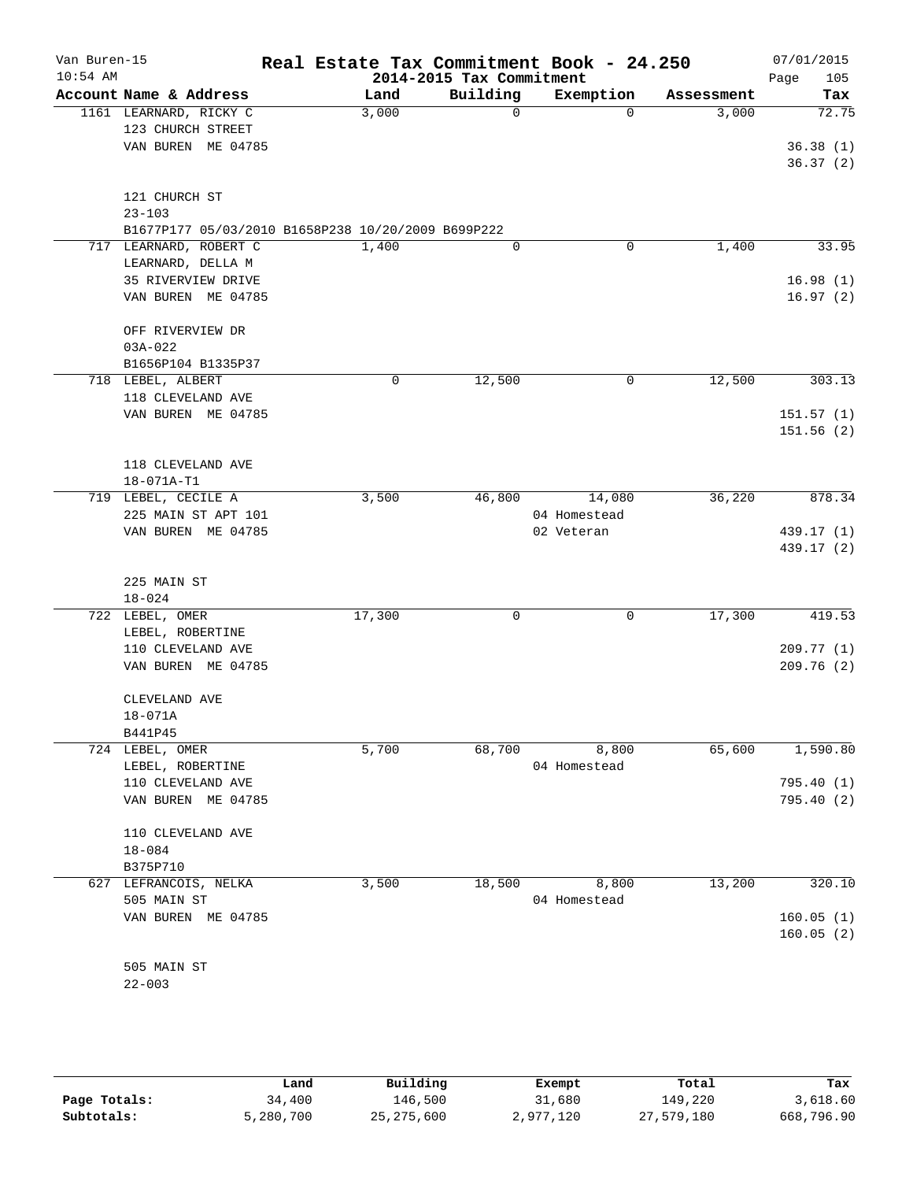| Van Buren-15<br>$10:54$ AM |                                                    | Real Estate Tax Commitment Book - 24.250 | 2014-2015 Tax Commitment |              |            | 07/01/2015<br>105<br>Page |
|----------------------------|----------------------------------------------------|------------------------------------------|--------------------------|--------------|------------|---------------------------|
|                            | Account Name & Address                             | Land                                     | Building                 | Exemption    | Assessment | Tax                       |
|                            | 1161 LEARNARD, RICKY C                             | 3,000                                    | $\mathbf 0$              | $\Omega$     | 3,000      | 72.75                     |
|                            | 123 CHURCH STREET                                  |                                          |                          |              |            |                           |
|                            | VAN BUREN ME 04785                                 |                                          |                          |              |            | 36.38(1)                  |
|                            |                                                    |                                          |                          |              |            | 36.37(2)                  |
|                            | 121 CHURCH ST                                      |                                          |                          |              |            |                           |
|                            | $23 - 103$                                         |                                          |                          |              |            |                           |
|                            | B1677P177 05/03/2010 B1658P238 10/20/2009 B699P222 |                                          |                          |              |            |                           |
|                            | 717 LEARNARD, ROBERT C                             | 1,400                                    | $\mathbf 0$              | 0            | 1,400      | 33.95                     |
|                            | LEARNARD, DELLA M                                  |                                          |                          |              |            |                           |
|                            | 35 RIVERVIEW DRIVE                                 |                                          |                          |              |            | 16.98(1)                  |
|                            | VAN BUREN ME 04785                                 |                                          |                          |              |            | 16.97(2)                  |
|                            |                                                    |                                          |                          |              |            |                           |
|                            | OFF RIVERVIEW DR                                   |                                          |                          |              |            |                           |
|                            | $03A - 022$                                        |                                          |                          |              |            |                           |
|                            | B1656P104 B1335P37                                 | 0                                        | 12,500                   | $\mathbf 0$  | 12,500     | 303.13                    |
|                            | 718 LEBEL, ALBERT<br>118 CLEVELAND AVE             |                                          |                          |              |            |                           |
|                            | VAN BUREN ME 04785                                 |                                          |                          |              |            | 151.57(1)                 |
|                            |                                                    |                                          |                          |              |            | 151.56(2)                 |
|                            |                                                    |                                          |                          |              |            |                           |
|                            | 118 CLEVELAND AVE                                  |                                          |                          |              |            |                           |
|                            | 18-071A-T1                                         |                                          |                          |              |            |                           |
|                            | 719 LEBEL, CECILE A                                | 3,500                                    | 46,800                   | 14,080       | 36,220     | 878.34                    |
|                            | 225 MAIN ST APT 101                                |                                          |                          | 04 Homestead |            |                           |
|                            | VAN BUREN ME 04785                                 |                                          |                          | 02 Veteran   |            | 439.17 (1)                |
|                            |                                                    |                                          |                          |              |            | 439.17 (2)                |
|                            | 225 MAIN ST                                        |                                          |                          |              |            |                           |
|                            | $18 - 024$                                         |                                          |                          |              |            |                           |
|                            | 722 LEBEL, OMER                                    | 17,300                                   | 0                        | $\mathbf 0$  | 17,300     | 419.53                    |
|                            | LEBEL, ROBERTINE                                   |                                          |                          |              |            |                           |
|                            | 110 CLEVELAND AVE                                  |                                          |                          |              |            | 209.77(1)                 |
|                            | VAN BUREN ME 04785                                 |                                          |                          |              |            | 209.76(2)                 |
|                            |                                                    |                                          |                          |              |            |                           |
|                            | CLEVELAND AVE                                      |                                          |                          |              |            |                           |
|                            | $18 - 071A$                                        |                                          |                          |              |            |                           |
|                            | B441P45                                            |                                          |                          |              |            |                           |
|                            | 724 LEBEL, OMER                                    | 5,700                                    | 68,700                   | 8,800        | 65,600     | 1,590.80                  |
|                            | LEBEL, ROBERTINE<br>110 CLEVELAND AVE              |                                          |                          | 04 Homestead |            | 795.40(1)                 |
|                            | VAN BUREN ME 04785                                 |                                          |                          |              |            | 795.40(2)                 |
|                            |                                                    |                                          |                          |              |            |                           |
|                            | 110 CLEVELAND AVE                                  |                                          |                          |              |            |                           |
|                            | $18 - 084$                                         |                                          |                          |              |            |                           |
|                            | B375P710                                           |                                          |                          |              |            |                           |
|                            | 627 LEFRANCOIS, NELKA                              | 3,500                                    | 18,500                   | 8,800        | 13,200     | 320.10                    |
|                            | 505 MAIN ST                                        |                                          |                          | 04 Homestead |            |                           |
|                            | VAN BUREN ME 04785                                 |                                          |                          |              |            | 160.05(1)                 |
|                            |                                                    |                                          |                          |              |            | 160.05(2)                 |
|                            |                                                    |                                          |                          |              |            |                           |
|                            | 505 MAIN ST<br>$22 - 003$                          |                                          |                          |              |            |                           |
|                            |                                                    |                                          |                          |              |            |                           |

|              | Land      | Building     | Exempt    | Total      | Tax        |
|--------------|-----------|--------------|-----------|------------|------------|
| Page Totals: | 34,400    | 146.500      | 31,680    | 149,220    | 3,618.60   |
| Subtotals:   | 5,280,700 | 25, 275, 600 | 2,977,120 | 27,579,180 | 668,796.90 |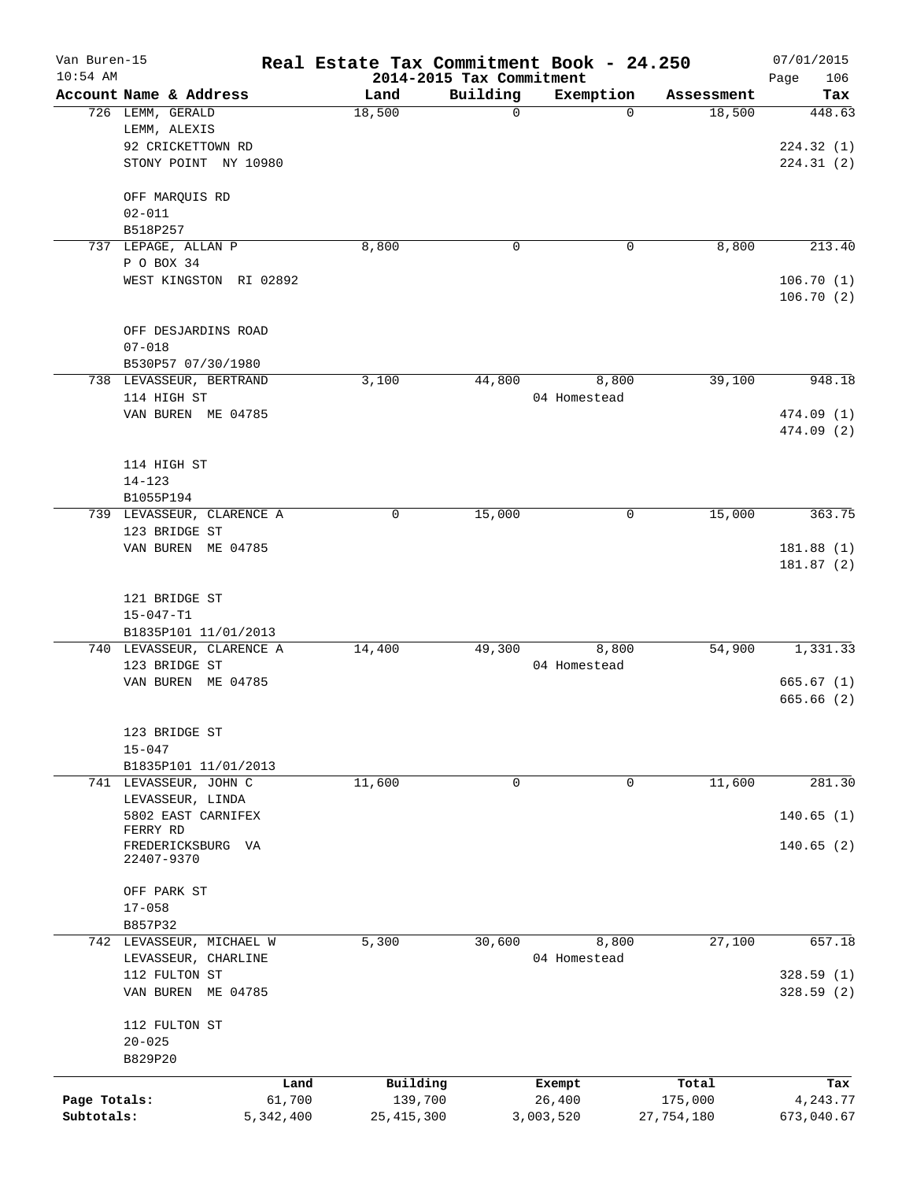| Van Buren-15<br>$10:54$ AM |                                        | Real Estate Tax Commitment Book - 24.250 | 2014-2015 Tax Commitment |              |            | 07/01/2015             |
|----------------------------|----------------------------------------|------------------------------------------|--------------------------|--------------|------------|------------------------|
|                            | Account Name & Address                 | Land                                     | Building                 | Exemption    | Assessment | Page<br>106<br>Tax     |
|                            | 726 LEMM, GERALD                       | 18,500                                   | $\mathbf 0$              | $\Omega$     | 18,500     | 448.63                 |
|                            | LEMM, ALEXIS                           |                                          |                          |              |            |                        |
|                            | 92 CRICKETTOWN RD                      |                                          |                          |              |            | 224.32(1)              |
|                            | STONY POINT NY 10980                   |                                          |                          |              |            | 224.31(2)              |
|                            | OFF MARQUIS RD                         |                                          |                          |              |            |                        |
|                            | $02 - 011$                             |                                          |                          |              |            |                        |
|                            | B518P257                               |                                          |                          |              |            |                        |
| 737                        | LEPAGE, ALLAN P                        | 8,800                                    | $\mathbf 0$              | 0            | 8,800      | 213.40                 |
|                            | P O BOX 34                             |                                          |                          |              |            |                        |
|                            | WEST KINGSTON RI 02892                 |                                          |                          |              |            | 106.70(1)<br>106.70(2) |
|                            | OFF DESJARDINS ROAD                    |                                          |                          |              |            |                        |
|                            | $07 - 018$                             |                                          |                          |              |            |                        |
|                            | B530P57 07/30/1980                     |                                          |                          |              |            |                        |
|                            | 738 LEVASSEUR, BERTRAND                | 3,100                                    | 44,800                   | 8,800        | 39,100     | 948.18                 |
|                            | 114 HIGH ST                            |                                          |                          | 04 Homestead |            |                        |
|                            | VAN BUREN ME 04785                     |                                          |                          |              |            | 474.09 (1)             |
|                            |                                        |                                          |                          |              |            | 474.09 (2)             |
|                            | 114 HIGH ST                            |                                          |                          |              |            |                        |
|                            | $14 - 123$                             |                                          |                          |              |            |                        |
|                            | B1055P194                              |                                          |                          |              |            |                        |
|                            | 739 LEVASSEUR, CLARENCE A              | 0                                        | 15,000                   | 0            | 15,000     | 363.75                 |
|                            | 123 BRIDGE ST                          |                                          |                          |              |            |                        |
|                            | VAN BUREN ME 04785                     |                                          |                          |              |            | 181.88(1)<br>181.87(2) |
|                            |                                        |                                          |                          |              |            |                        |
|                            | 121 BRIDGE ST                          |                                          |                          |              |            |                        |
|                            | $15 - 047 - T1$                        |                                          |                          |              |            |                        |
|                            | B1835P101 11/01/2013                   |                                          |                          |              |            |                        |
|                            | 740 LEVASSEUR, CLARENCE A              | 14,400                                   | 49,300                   | 8,800        | 54,900     | 1,331.33               |
|                            | 123 BRIDGE ST                          |                                          |                          | 04 Homestead |            |                        |
|                            | VAN BUREN ME 04785                     |                                          |                          |              |            | 665.67(1)<br>665.66(2) |
|                            |                                        |                                          |                          |              |            |                        |
|                            | 123 BRIDGE ST                          |                                          |                          |              |            |                        |
|                            | $15 - 047$                             |                                          |                          |              |            |                        |
|                            | B1835P101 11/01/2013                   |                                          |                          |              |            |                        |
|                            | 741 LEVASSEUR, JOHN C                  | 11,600                                   | 0                        | $\mathsf{O}$ | 11,600     | 281.30                 |
|                            | LEVASSEUR, LINDA<br>5802 EAST CARNIFEX |                                          |                          |              |            | 140.65(1)              |
|                            | FERRY RD                               |                                          |                          |              |            |                        |
|                            | FREDERICKSBURG VA<br>22407-9370        |                                          |                          |              |            | 140.65(2)              |
|                            | OFF PARK ST                            |                                          |                          |              |            |                        |
|                            | $17 - 058$                             |                                          |                          |              |            |                        |
|                            | B857P32                                |                                          |                          |              |            |                        |
|                            | 742 LEVASSEUR, MICHAEL W               | 5,300                                    | 30,600                   | 8,800        | 27,100     | 657.18                 |
|                            | LEVASSEUR, CHARLINE                    |                                          |                          | 04 Homestead |            |                        |
|                            | 112 FULTON ST                          |                                          |                          |              |            | 328.59(1)              |
|                            | VAN BUREN ME 04785                     |                                          |                          |              |            | 328.59(2)              |
|                            | 112 FULTON ST                          |                                          |                          |              |            |                        |
|                            | $20 - 025$                             |                                          |                          |              |            |                        |
|                            | B829P20                                |                                          |                          |              |            |                        |
|                            |                                        | Building<br>Land                         |                          | Exempt       | Total      | Tax                    |
| Page Totals:               | 61,700                                 | 139,700                                  |                          | 26,400       | 175,000    | 4,243.77               |
| Subtotals:                 | 5,342,400                              | 25, 415, 300                             | 3,003,520                |              | 27,754,180 | 673,040.67             |
|                            |                                        |                                          |                          |              |            |                        |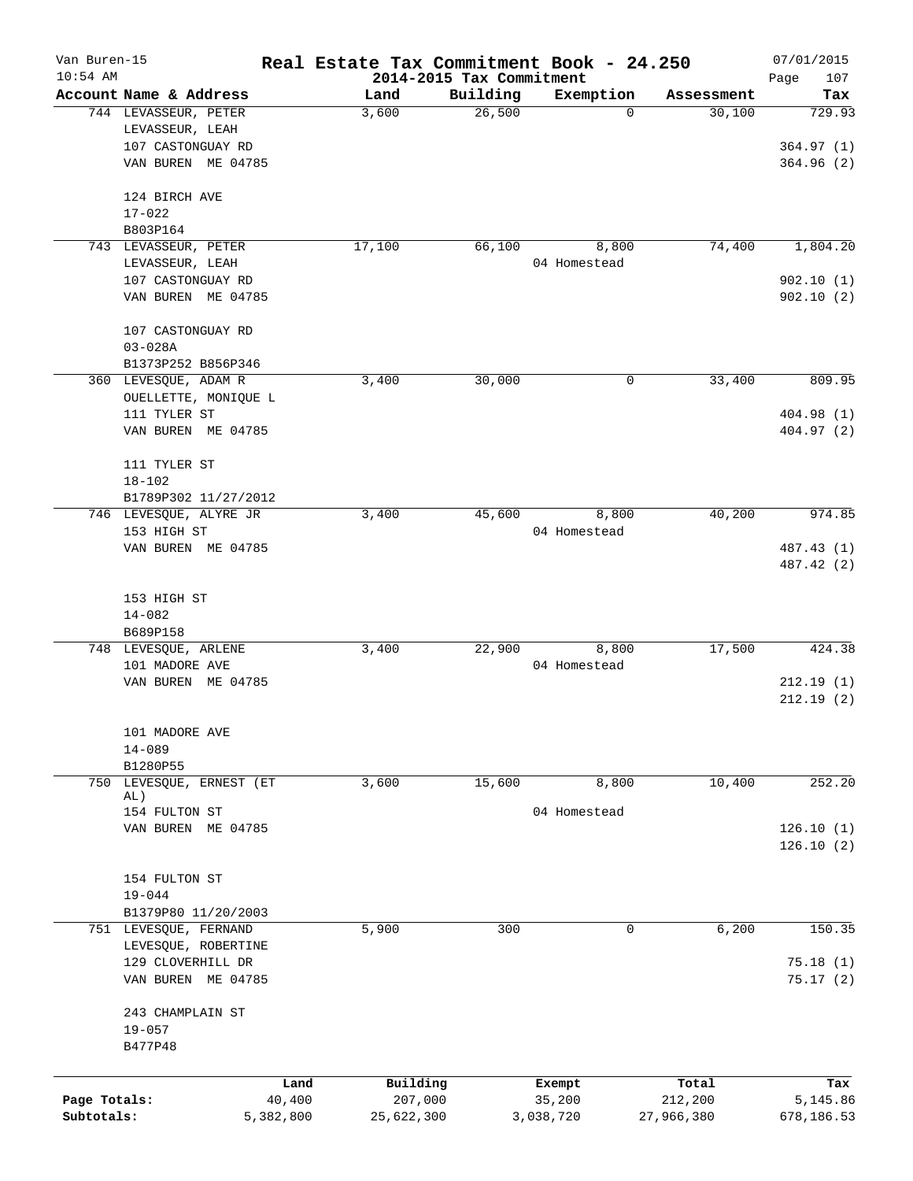| Van Buren-15<br>$10:54$ AM |                             |           | Real Estate Tax Commitment Book - 24.250 | 2014-2015 Tax Commitment |              |            | 07/01/2015<br>107<br>Page |
|----------------------------|-----------------------------|-----------|------------------------------------------|--------------------------|--------------|------------|---------------------------|
|                            | Account Name & Address      |           | Land                                     | Building                 | Exemption    | Assessment | Tax                       |
|                            | 744 LEVASSEUR, PETER        |           | 3,600                                    | 26,500                   | 0            | 30,100     | 729.93                    |
|                            | LEVASSEUR, LEAH             |           |                                          |                          |              |            |                           |
|                            | 107 CASTONGUAY RD           |           |                                          |                          |              |            | 364.97(1)                 |
|                            | VAN BUREN ME 04785          |           |                                          |                          |              |            | 364.96(2)                 |
|                            |                             |           |                                          |                          |              |            |                           |
|                            | 124 BIRCH AVE               |           |                                          |                          |              |            |                           |
|                            | $17 - 022$                  |           |                                          |                          |              |            |                           |
|                            | B803P164                    |           |                                          |                          |              |            |                           |
|                            | 743 LEVASSEUR, PETER        |           | 17,100                                   | 66,100                   | 8,800        | 74,400     | 1,804.20                  |
|                            | LEVASSEUR, LEAH             |           |                                          |                          | 04 Homestead |            |                           |
|                            | 107 CASTONGUAY RD           |           |                                          |                          |              |            | 902.10(1)                 |
|                            | VAN BUREN ME 04785          |           |                                          |                          |              |            | 902.10(2)                 |
|                            | 107 CASTONGUAY RD           |           |                                          |                          |              |            |                           |
|                            | $03 - 028A$                 |           |                                          |                          |              |            |                           |
|                            | B1373P252 B856P346          |           |                                          |                          |              |            |                           |
|                            | 360 LEVESQUE, ADAM R        |           | 3,400                                    | 30,000                   | 0            | 33,400     | 809.95                    |
|                            | OUELLETTE, MONIQUE L        |           |                                          |                          |              |            |                           |
|                            | 111 TYLER ST                |           |                                          |                          |              |            | 404.98 (1)                |
|                            | VAN BUREN ME 04785          |           |                                          |                          |              |            | 404.97 (2)                |
|                            |                             |           |                                          |                          |              |            |                           |
|                            | 111 TYLER ST                |           |                                          |                          |              |            |                           |
|                            | $18 - 102$                  |           |                                          |                          |              |            |                           |
|                            | B1789P302 11/27/2012        |           |                                          |                          |              |            |                           |
|                            | 746 LEVESQUE, ALYRE JR      |           | 3,400                                    | 45,600                   | 8,800        | 40,200     | 974.85                    |
|                            | 153 HIGH ST                 |           |                                          |                          | 04 Homestead |            |                           |
|                            | VAN BUREN ME 04785          |           |                                          |                          |              |            | 487.43 (1)                |
|                            |                             |           |                                          |                          |              |            | 487.42 (2)                |
|                            |                             |           |                                          |                          |              |            |                           |
|                            | 153 HIGH ST                 |           |                                          |                          |              |            |                           |
|                            | $14 - 082$                  |           |                                          |                          |              |            |                           |
|                            | B689P158                    |           |                                          |                          |              |            |                           |
|                            | 748 LEVESQUE, ARLENE        |           | 3,400                                    | 22,900                   | 8,800        | 17,500     | 424.38                    |
|                            | 101 MADORE AVE              |           |                                          |                          | 04 Homestead |            |                           |
|                            | VAN BUREN ME 04785          |           |                                          |                          |              |            | 212.19(1)                 |
|                            |                             |           |                                          |                          |              |            | 212.19(2)                 |
|                            |                             |           |                                          |                          |              |            |                           |
|                            | 101 MADORE AVE              |           |                                          |                          |              |            |                           |
|                            | $14 - 089$                  |           |                                          |                          |              |            |                           |
|                            | B1280P55                    |           |                                          |                          |              |            |                           |
| 750                        | LEVESQUE, ERNEST (ET<br>AL) |           | 3,600                                    | 15,600                   | 8,800        | 10,400     | 252.20                    |
|                            | 154 FULTON ST               |           |                                          |                          | 04 Homestead |            |                           |
|                            | VAN BUREN ME 04785          |           |                                          |                          |              |            | 126.10(1)                 |
|                            |                             |           |                                          |                          |              |            | 126.10(2)                 |
|                            |                             |           |                                          |                          |              |            |                           |
|                            | 154 FULTON ST               |           |                                          |                          |              |            |                           |
|                            | $19 - 044$                  |           |                                          |                          |              |            |                           |
|                            | B1379P80 11/20/2003         |           |                                          |                          |              |            |                           |
|                            | 751 LEVESQUE, FERNAND       |           | 5,900                                    | 300                      | 0            | 6,200      | 150.35                    |
|                            | LEVESQUE, ROBERTINE         |           |                                          |                          |              |            |                           |
|                            | 129 CLOVERHILL DR           |           |                                          |                          |              |            | 75.18(1)                  |
|                            | VAN BUREN ME 04785          |           |                                          |                          |              |            | 75.17(2)                  |
|                            |                             |           |                                          |                          |              |            |                           |
|                            | 243 CHAMPLAIN ST            |           |                                          |                          |              |            |                           |
|                            | $19 - 057$                  |           |                                          |                          |              |            |                           |
|                            | B477P48                     |           |                                          |                          |              |            |                           |
|                            |                             |           |                                          |                          |              |            |                           |
|                            |                             | Land      | Building                                 |                          | Exempt       | Total      | Tax                       |
| Page Totals:               |                             | 40,400    | 207,000                                  |                          | 35,200       | 212,200    | 5,145.86                  |
| Subtotals:                 |                             | 5,382,800 | 25,622,300                               |                          | 3,038,720    | 27,966,380 | 678,186.53                |
|                            |                             |           |                                          |                          |              |            |                           |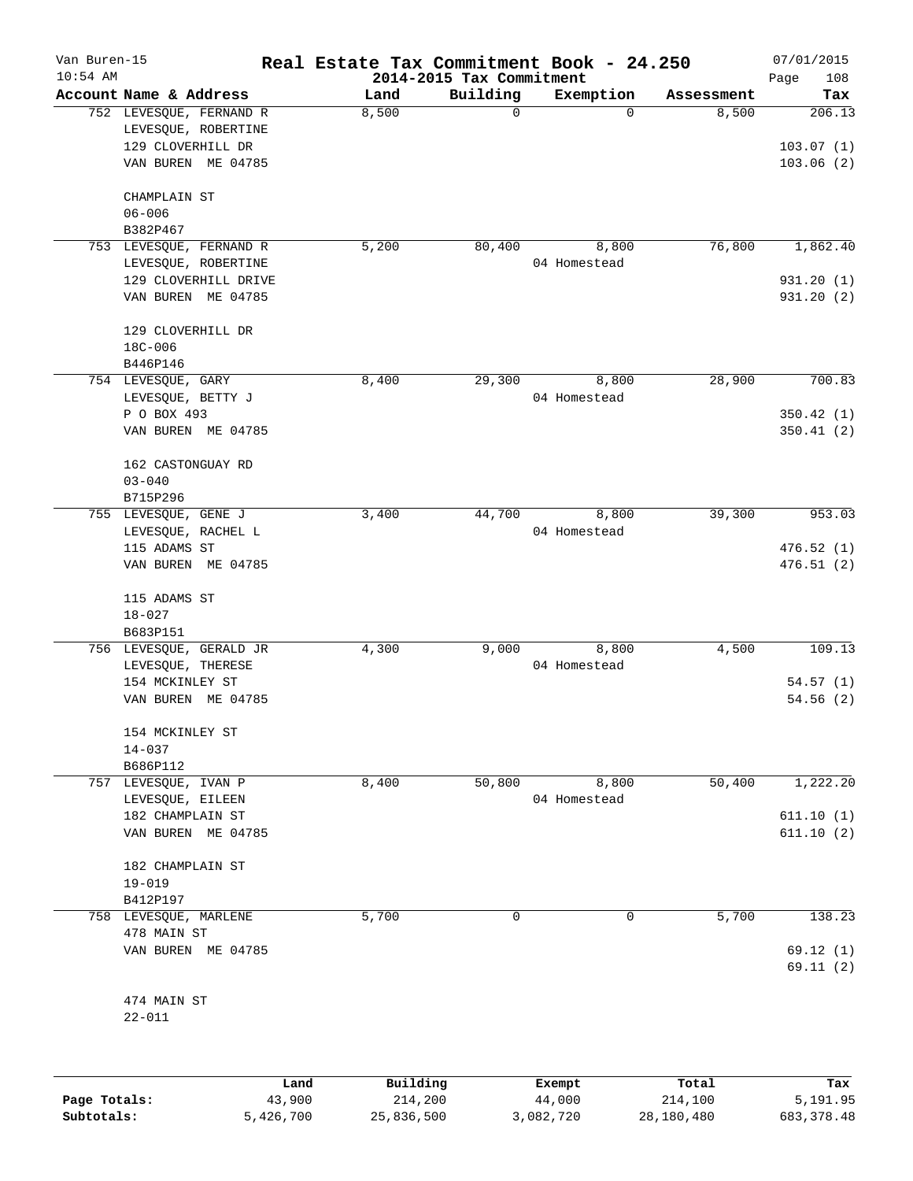| Van Buren-15<br>$10:54$ AM |                                                                                           | Real Estate Tax Commitment Book - 24.250 | 2014-2015 Tax Commitment |                       |                | 07/01/2015<br>Page<br>108        |
|----------------------------|-------------------------------------------------------------------------------------------|------------------------------------------|--------------------------|-----------------------|----------------|----------------------------------|
|                            | Account Name & Address                                                                    | Land                                     | Building                 | Exemption             | Assessment     | Tax                              |
|                            | 752 LEVESQUE, FERNAND R<br>LEVESQUE, ROBERTINE<br>129 CLOVERHILL DR<br>VAN BUREN ME 04785 | 8,500                                    | $\mathbf 0$              | $\Omega$              | 8,500          | 206.13<br>103.07(1)<br>103.06(2) |
|                            | CHAMPLAIN ST<br>$06 - 006$<br>B382P467                                                    |                                          |                          |                       |                |                                  |
|                            | 753 LEVESQUE, FERNAND R<br>LEVESQUE, ROBERTINE                                            | 5,200                                    | 80,400                   | 8,800<br>04 Homestead | 76,800         | 1,862.40                         |
|                            | 129 CLOVERHILL DRIVE<br>VAN BUREN ME 04785                                                |                                          |                          |                       |                | 931.20(1)<br>931.20 (2)          |
|                            | 129 CLOVERHILL DR<br>18C-006                                                              |                                          |                          |                       |                |                                  |
|                            | B446P146<br>754 LEVESQUE, GARY<br>LEVESQUE, BETTY J                                       | 8,400                                    | 29,300                   | 8,800<br>04 Homestead | 28,900         | 700.83                           |
|                            | P O BOX 493<br>VAN BUREN ME 04785                                                         |                                          |                          |                       |                | 350.42(1)<br>350.41(2)           |
|                            | 162 CASTONGUAY RD<br>$03 - 040$                                                           |                                          |                          |                       |                |                                  |
|                            | B715P296                                                                                  |                                          |                          |                       |                |                                  |
|                            | 755 LEVESQUE, GENE J<br>LEVESQUE, RACHEL L                                                | 3,400                                    | 44,700                   | 8,800<br>04 Homestead | 39,300         | 953.03                           |
|                            | 115 ADAMS ST<br>VAN BUREN ME 04785                                                        |                                          |                          |                       |                | 476.52(1)<br>476.51(2)           |
|                            | 115 ADAMS ST<br>$18 - 027$                                                                |                                          |                          |                       |                |                                  |
|                            | B683P151                                                                                  |                                          |                          |                       |                |                                  |
|                            | 756 LEVESQUE, GERALD JR<br>LEVESQUE, THERESE                                              | 4,300                                    | 9,000                    | 8,800<br>04 Homestead | 4,500          | 109.13                           |
|                            | 154 MCKINLEY ST<br>VAN BUREN<br>ME 04785                                                  |                                          |                          |                       |                | 54.57(1)<br>54.56(2)             |
|                            | 154 MCKINLEY ST<br>$14 - 037$<br>B686P112                                                 |                                          |                          |                       |                |                                  |
|                            | 757 LEVESQUE, IVAN P<br>LEVESQUE, EILEEN                                                  | 8,400                                    | 50,800                   | 8,800<br>04 Homestead | 50,400         | 1,222.20                         |
|                            | 182 CHAMPLAIN ST<br>VAN BUREN ME 04785                                                    |                                          |                          |                       |                | 611.10(1)<br>611.10(2)           |
|                            | 182 CHAMPLAIN ST<br>$19 - 019$<br>B412P197                                                |                                          |                          |                       |                |                                  |
|                            | 758 LEVESQUE, MARLENE                                                                     | 5,700                                    | 0                        | 0                     | 5,700          | 138.23                           |
|                            | 478 MAIN ST<br>VAN BUREN ME 04785                                                         |                                          |                          |                       |                | 69.12(1)<br>69.11(2)             |
|                            | 474 MAIN ST<br>$22 - 011$                                                                 |                                          |                          |                       |                |                                  |
|                            |                                                                                           |                                          |                          |                       |                |                                  |
|                            |                                                                                           | <b>Building</b><br>Land.                 |                          | $F$ vemnt             | $T \cap F = I$ |                                  |

|              | Land      | Building   | Exempt    | Total      | Tax          |
|--------------|-----------|------------|-----------|------------|--------------|
| Page Totals: | 43,900    | 214,200    | 44,000    | 214,100    | 5,191.95     |
| Subtotals:   | 5,426,700 | 25,836,500 | 3,082,720 | 28,180,480 | 683, 378, 48 |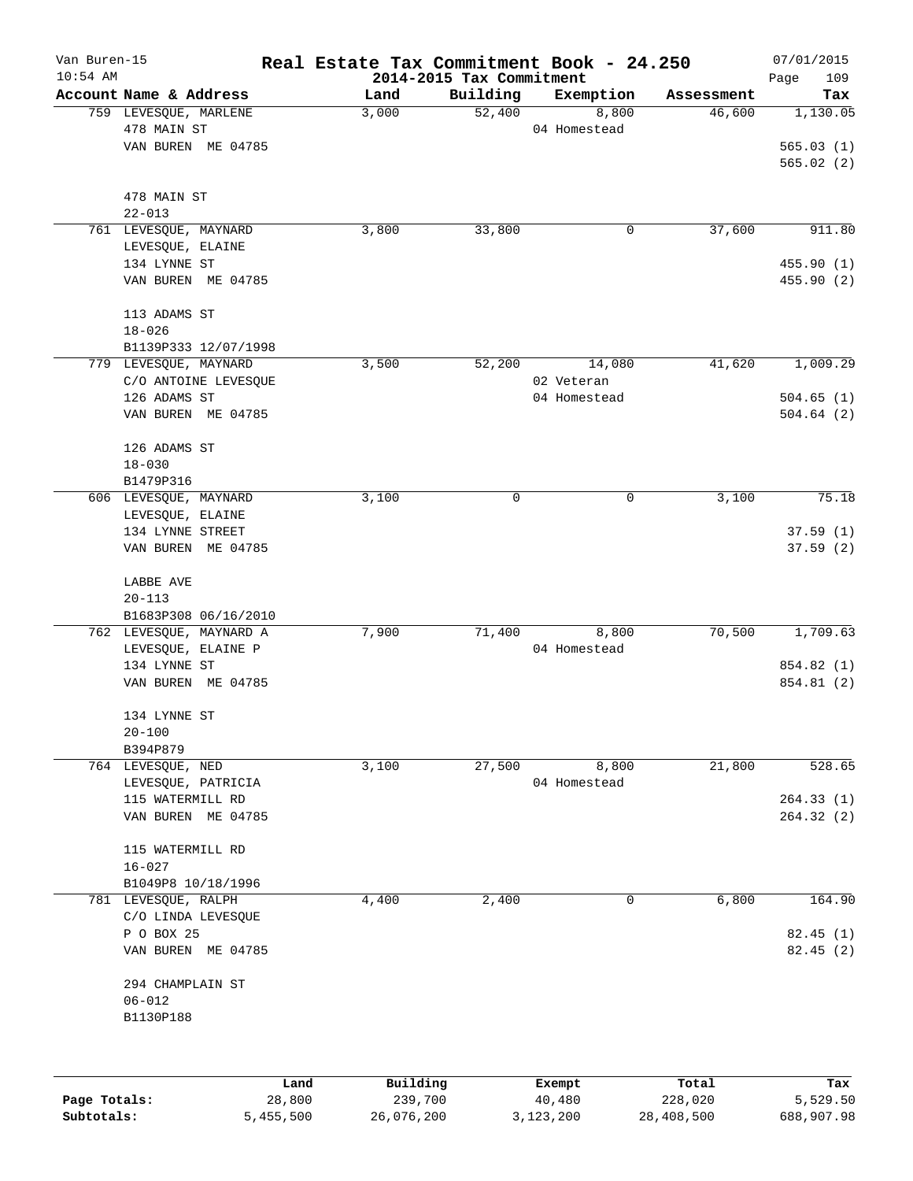| Van Buren-15<br>$10:54$ AM |                         | Real Estate Tax Commitment Book - 24.250 | 2014-2015 Tax Commitment |              |            | 07/01/2015<br>109<br>Page |
|----------------------------|-------------------------|------------------------------------------|--------------------------|--------------|------------|---------------------------|
|                            | Account Name & Address  | Land                                     | Building                 | Exemption    | Assessment | Tax                       |
|                            | 759 LEVESQUE, MARLENE   | 3,000                                    | 52,400                   | 8,800        | 46,600     | 1,130.05                  |
|                            | 478 MAIN ST             |                                          |                          | 04 Homestead |            |                           |
|                            | VAN BUREN ME 04785      |                                          |                          |              |            | 565.03(1)                 |
|                            |                         |                                          |                          |              |            | 565.02(2)                 |
|                            | 478 MAIN ST             |                                          |                          |              |            |                           |
|                            | $22 - 013$              |                                          |                          |              |            |                           |
|                            | 761 LEVESQUE, MAYNARD   | 3,800                                    | 33,800                   | 0            | 37,600     | 911.80                    |
|                            | LEVESQUE, ELAINE        |                                          |                          |              |            |                           |
|                            | 134 LYNNE ST            |                                          |                          |              |            | 455.90 (1)                |
|                            | VAN BUREN ME 04785      |                                          |                          |              |            | 455.90 (2)                |
|                            | 113 ADAMS ST            |                                          |                          |              |            |                           |
|                            | $18 - 026$              |                                          |                          |              |            |                           |
|                            | B1139P333 12/07/1998    |                                          |                          |              |            |                           |
|                            | 779 LEVESQUE, MAYNARD   | 3,500                                    | 52,200                   | 14,080       | 41,620     | 1,009.29                  |
|                            | C/O ANTOINE LEVESQUE    |                                          |                          | 02 Veteran   |            |                           |
|                            | 126 ADAMS ST            |                                          |                          | 04 Homestead |            | 504.65(1)                 |
|                            | VAN BUREN ME 04785      |                                          |                          |              |            | 504.64(2)                 |
|                            | 126 ADAMS ST            |                                          |                          |              |            |                           |
|                            | $18 - 030$              |                                          |                          |              |            |                           |
|                            | B1479P316               |                                          |                          |              |            |                           |
|                            | 606 LEVESQUE, MAYNARD   | 3,100                                    | $\mathbf 0$              | 0            | 3,100      | 75.18                     |
|                            | LEVESQUE, ELAINE        |                                          |                          |              |            |                           |
|                            | 134 LYNNE STREET        |                                          |                          |              |            | 37.59(1)                  |
|                            | VAN BUREN ME 04785      |                                          |                          |              |            | 37.59(2)                  |
|                            | LABBE AVE               |                                          |                          |              |            |                           |
|                            | $20 - 113$              |                                          |                          |              |            |                           |
|                            | B1683P308 06/16/2010    |                                          |                          |              |            |                           |
|                            | 762 LEVESQUE, MAYNARD A | 7,900                                    | 71,400                   | 8,800        | 70,500     | 1,709.63                  |
|                            | LEVESQUE, ELAINE P      |                                          |                          | 04 Homestead |            |                           |
|                            | 134 LYNNE ST            |                                          |                          |              |            | 854.82 (1)                |
|                            | VAN BUREN ME 04785      |                                          |                          |              |            | 854.81 (2)                |
|                            | 134 LYNNE ST            |                                          |                          |              |            |                           |
|                            | $20 - 100$              |                                          |                          |              |            |                           |
|                            | B394P879                |                                          |                          |              |            |                           |
|                            | 764 LEVESQUE, NED       | 3,100                                    | 27,500                   | 8,800        | 21,800     | 528.65                    |
|                            | LEVESQUE, PATRICIA      |                                          |                          | 04 Homestead |            |                           |
|                            | 115 WATERMILL RD        |                                          |                          |              |            | 264.33(1)                 |
|                            | VAN BUREN ME 04785      |                                          |                          |              |            | 264.32(2)                 |
|                            | 115 WATERMILL RD        |                                          |                          |              |            |                           |
|                            | $16 - 027$              |                                          |                          |              |            |                           |
|                            | B1049P8 10/18/1996      |                                          |                          |              |            |                           |
|                            | 781 LEVESQUE, RALPH     | 4,400                                    | 2,400                    | 0            | 6,800      | 164.90                    |
|                            | C/O LINDA LEVESQUE      |                                          |                          |              |            |                           |
|                            | P O BOX 25              |                                          |                          |              |            | 82.45(1)                  |
|                            | VAN BUREN ME 04785      |                                          |                          |              |            | 82.45(2)                  |
|                            | 294 CHAMPLAIN ST        |                                          |                          |              |            |                           |
|                            | $06 - 012$              |                                          |                          |              |            |                           |
|                            | B1130P188               |                                          |                          |              |            |                           |
|                            |                         |                                          |                          |              |            |                           |
|                            |                         | Building<br>Land                         |                          | Exempt       | Total      | Tax                       |
|                            |                         |                                          |                          |              |            |                           |

|              | -------   | $-$        | _______   | ------     | -------    |
|--------------|-----------|------------|-----------|------------|------------|
| Page Totals: | 28,800    | 239,700    | 40,480    | 228,020    | 5,529.50   |
| Subtotals:   | 5,455,500 | 26,076,200 | 3,123,200 | 28,408,500 | 688,907.98 |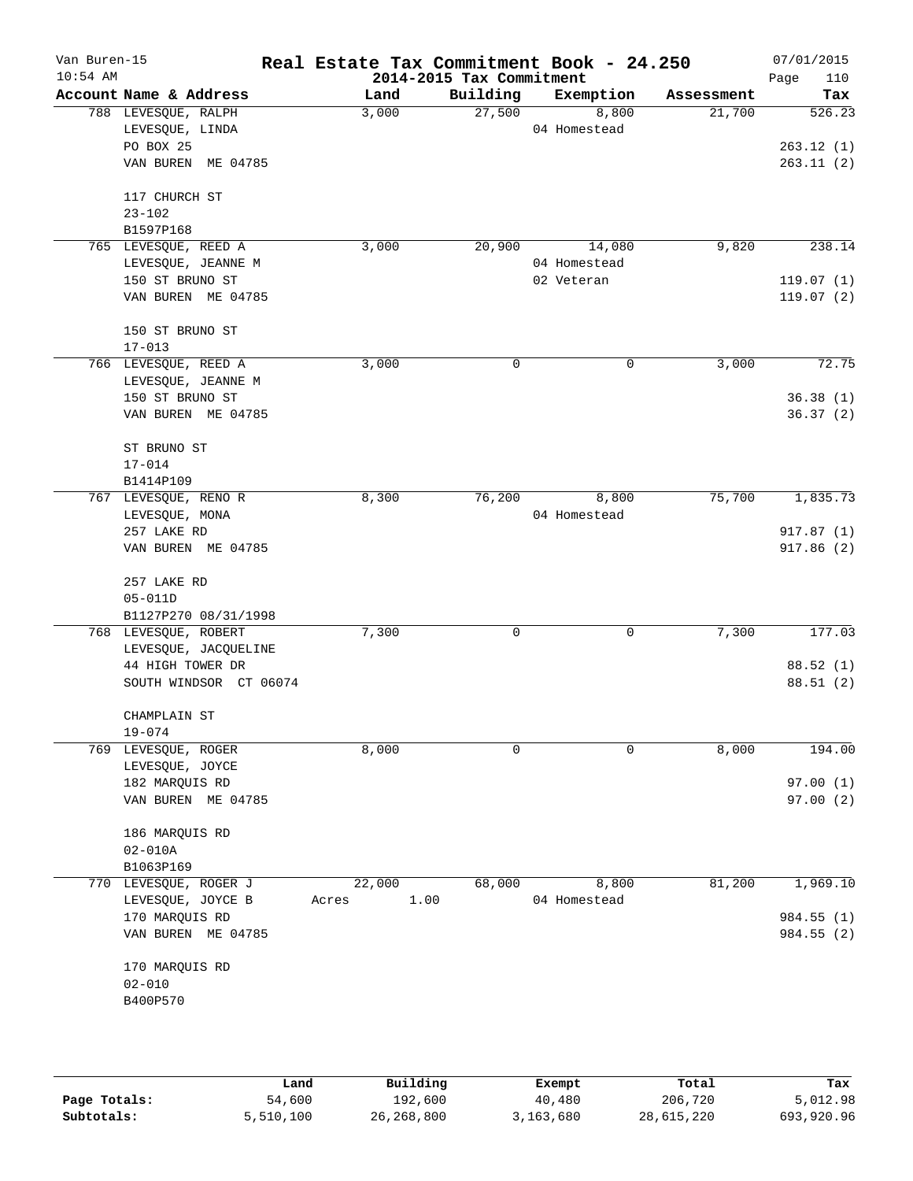| Van Buren-15<br>$10:54$ AM |                        | Real Estate Tax Commitment Book - 24.250 | 2014-2015 Tax Commitment |              |            | 07/01/2015<br>Page<br>110 |
|----------------------------|------------------------|------------------------------------------|--------------------------|--------------|------------|---------------------------|
|                            | Account Name & Address | Land                                     | Building                 | Exemption    | Assessment | Tax                       |
|                            | 788 LEVESQUE, RALPH    | 3,000                                    | 27,500                   | 8,800        | 21,700     | 526.23                    |
|                            | LEVESQUE, LINDA        |                                          |                          | 04 Homestead |            |                           |
|                            | PO BOX 25              |                                          |                          |              |            | 263.12(1)                 |
|                            | VAN BUREN ME 04785     |                                          |                          |              |            | 263.11(2)                 |
|                            | 117 CHURCH ST          |                                          |                          |              |            |                           |
|                            | $23 - 102$             |                                          |                          |              |            |                           |
|                            | B1597P168              |                                          |                          |              |            |                           |
|                            | 765 LEVESQUE, REED A   | 3,000                                    | 20,900                   | 14,080       | 9,820      | 238.14                    |
|                            | LEVESQUE, JEANNE M     |                                          |                          | 04 Homestead |            |                           |
|                            | 150 ST BRUNO ST        |                                          |                          | 02 Veteran   |            | 119.07(1)                 |
|                            | VAN BUREN ME 04785     |                                          |                          |              |            | 119.07(2)                 |
|                            | 150 ST BRUNO ST        |                                          |                          |              |            |                           |
|                            | $17 - 013$             |                                          |                          |              |            |                           |
|                            | 766 LEVESQUE, REED A   | 3,000                                    | 0                        | $\mathbf 0$  | 3,000      | 72.75                     |
|                            | LEVESQUE, JEANNE M     |                                          |                          |              |            |                           |
|                            | 150 ST BRUNO ST        |                                          |                          |              |            | 36.38(1)                  |
|                            | VAN BUREN ME 04785     |                                          |                          |              |            | 36.37(2)                  |
|                            | ST BRUNO ST            |                                          |                          |              |            |                           |
|                            | $17 - 014$             |                                          |                          |              |            |                           |
|                            | B1414P109              |                                          |                          |              |            |                           |
|                            | 767 LEVESQUE, RENO R   | 8,300                                    | 76,200                   | 8,800        | 75,700     | 1,835.73                  |
|                            | LEVESQUE, MONA         |                                          |                          | 04 Homestead |            |                           |
|                            | 257 LAKE RD            |                                          |                          |              |            | 917.87(1)                 |
|                            | VAN BUREN ME 04785     |                                          |                          |              |            | 917.86(2)                 |
|                            | 257 LAKE RD            |                                          |                          |              |            |                           |
|                            | $05 - 011D$            |                                          |                          |              |            |                           |
|                            | B1127P270 08/31/1998   |                                          |                          |              |            |                           |
|                            | 768 LEVESQUE, ROBERT   | 7,300                                    | 0                        | 0            | 7,300      | 177.03                    |
|                            | LEVESQUE, JACQUELINE   |                                          |                          |              |            |                           |
|                            | 44 HIGH TOWER DR       |                                          |                          |              |            | 88.52(1)                  |
|                            | SOUTH WINDSOR CT 06074 |                                          |                          |              |            | 88.51 (2)                 |
|                            | CHAMPLAIN ST           |                                          |                          |              |            |                           |
|                            | $19 - 074$             |                                          |                          |              |            |                           |
|                            | 769 LEVESQUE, ROGER    | 8,000                                    | 0                        | $\mathbf 0$  | 8,000      | 194.00                    |
|                            | LEVESQUE, JOYCE        |                                          |                          |              |            |                           |
|                            | 182 MARQUIS RD         |                                          |                          |              |            | 97.00(1)                  |
|                            | VAN BUREN ME 04785     |                                          |                          |              |            | 97.00(2)                  |
|                            | 186 MARQUIS RD         |                                          |                          |              |            |                           |
|                            | $02 - 010A$            |                                          |                          |              |            |                           |
|                            | B1063P169              |                                          |                          |              |            |                           |
|                            | 770 LEVESQUE, ROGER J  | 22,000                                   | 68,000                   | 8,800        | 81,200     | 1,969.10                  |
|                            | LEVESQUE, JOYCE B      | 1.00<br>Acres                            |                          | 04 Homestead |            |                           |
|                            | 170 MARQUIS RD         |                                          |                          |              |            | 984.55 (1)                |
|                            | VAN BUREN ME 04785     |                                          |                          |              |            | 984.55 (2)                |
|                            | 170 MARQUIS RD         |                                          |                          |              |            |                           |
|                            | $02 - 010$             |                                          |                          |              |            |                           |
|                            | B400P570               |                                          |                          |              |            |                           |
|                            |                        |                                          |                          |              |            |                           |
|                            |                        |                                          |                          |              |            |                           |

|              | Land      | Building     | Exempt    | Total      | Tax        |
|--------------|-----------|--------------|-----------|------------|------------|
| Page Totals: | 54,600    | 192,600      | 40,480    | 206,720    | 5,012.98   |
| Subtotals:   | 5,510,100 | 26, 268, 800 | 3,163,680 | 28,615,220 | 693,920.96 |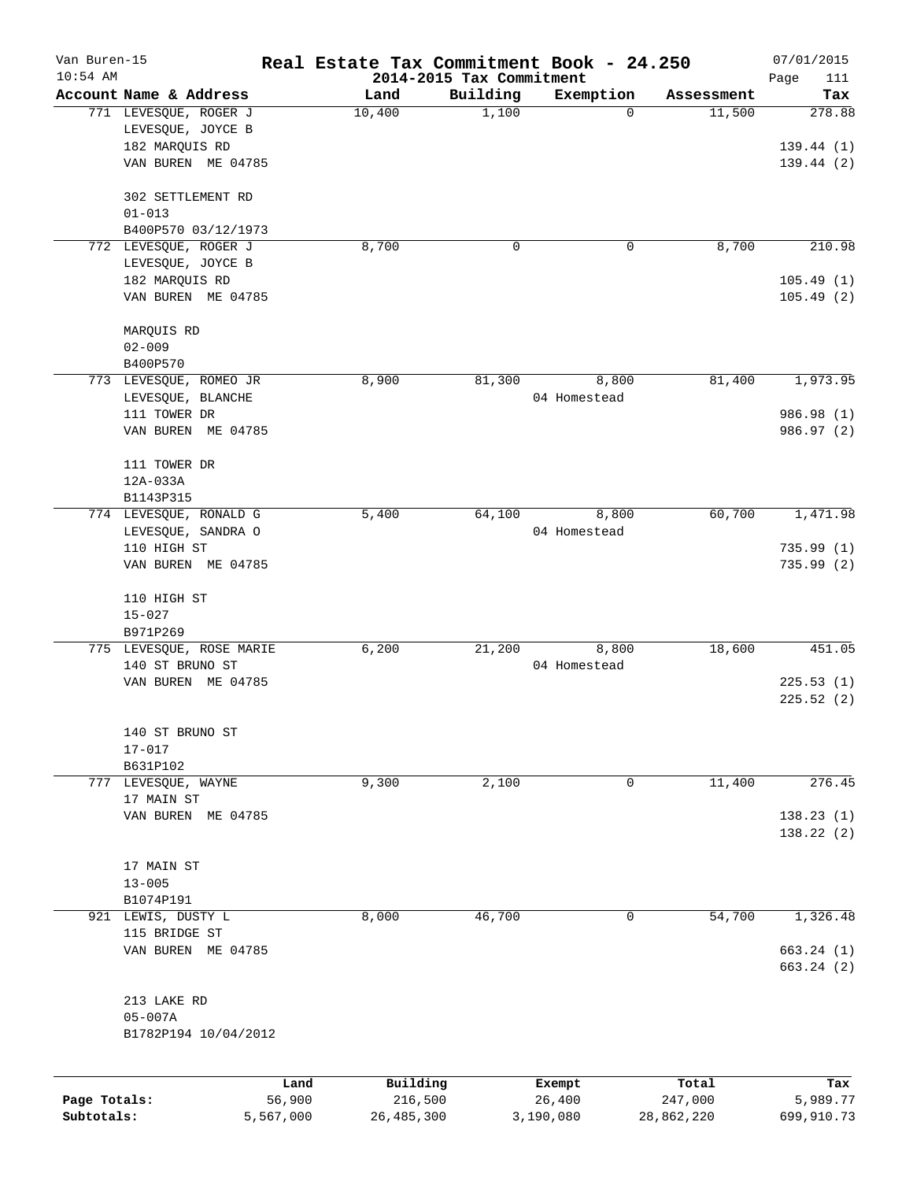| Van Buren-15 |                               |                |                          | Real Estate Tax Commitment Book - 24.250 |                      | 07/01/2015      |
|--------------|-------------------------------|----------------|--------------------------|------------------------------------------|----------------------|-----------------|
| $10:54$ AM   | Account Name & Address        |                | 2014-2015 Tax Commitment | Exemption                                |                      | 111<br>Page     |
|              | 771 LEVESQUE, ROGER J         | Land<br>10,400 | Building<br>1,100        | 0                                        | Assessment<br>11,500 | Tax<br>278.88   |
|              | LEVESQUE, JOYCE B             |                |                          |                                          |                      |                 |
|              | 182 MARQUIS RD                |                |                          |                                          |                      | 139.44(1)       |
|              | VAN BUREN ME 04785            |                |                          |                                          |                      | 139.44(2)       |
|              |                               |                |                          |                                          |                      |                 |
|              | 302 SETTLEMENT RD             |                |                          |                                          |                      |                 |
|              | $01 - 013$                    |                |                          |                                          |                      |                 |
|              | B400P570 03/12/1973           |                |                          |                                          |                      |                 |
|              | 772 LEVESQUE, ROGER J         | 8,700          |                          | 0<br>0                                   | 8,700                | 210.98          |
|              | LEVESQUE, JOYCE B             |                |                          |                                          |                      |                 |
|              | 182 MARQUIS RD                |                |                          |                                          |                      | 105.49(1)       |
|              | VAN BUREN ME 04785            |                |                          |                                          |                      | 105.49(2)       |
|              | MARQUIS RD                    |                |                          |                                          |                      |                 |
|              | $02 - 009$                    |                |                          |                                          |                      |                 |
|              | B400P570                      |                |                          |                                          |                      |                 |
|              | 773 LEVESQUE, ROMEO JR        | 8,900          | 81,300                   | 8,800                                    | 81,400               | 1,973.95        |
|              | LEVESQUE, BLANCHE             |                |                          | 04 Homestead                             |                      |                 |
|              | 111 TOWER DR                  |                |                          |                                          |                      | 986.98 (1)      |
|              | VAN BUREN ME 04785            |                |                          |                                          |                      | 986.97 (2)      |
|              |                               |                |                          |                                          |                      |                 |
|              | 111 TOWER DR                  |                |                          |                                          |                      |                 |
|              | 12A-033A                      |                |                          |                                          |                      |                 |
|              | B1143P315                     |                |                          |                                          |                      |                 |
|              | 774 LEVESQUE, RONALD G        | 5,400          | 64,100                   | 8,800                                    | 60,700               | 1,471.98        |
|              | LEVESQUE, SANDRA O            |                |                          | 04 Homestead                             |                      |                 |
|              | 110 HIGH ST                   |                |                          |                                          |                      | 735.99(1)       |
|              | VAN BUREN ME 04785            |                |                          |                                          |                      | 735.99(2)       |
|              | 110 HIGH ST                   |                |                          |                                          |                      |                 |
|              | $15 - 027$                    |                |                          |                                          |                      |                 |
|              | B971P269                      |                |                          |                                          |                      |                 |
|              | 775 LEVESQUE, ROSE MARIE      | 6,200          | 21,200                   | 8,800                                    | 18,600               | 451.05          |
|              | 140 ST BRUNO ST               |                |                          | 04 Homestead                             |                      |                 |
|              | VAN BUREN ME 04785            |                |                          |                                          |                      | 225.53(1)       |
|              |                               |                |                          |                                          |                      | 225.52(2)       |
|              |                               |                |                          |                                          |                      |                 |
|              | 140 ST BRUNO ST<br>$17 - 017$ |                |                          |                                          |                      |                 |
|              | B631P102                      |                |                          |                                          |                      |                 |
|              | 777 LEVESQUE, WAYNE           | 9,300          | 2,100                    | 0                                        | 11,400               | 276.45          |
|              | 17 MAIN ST                    |                |                          |                                          |                      |                 |
|              | VAN BUREN ME 04785            |                |                          |                                          |                      | 138.23(1)       |
|              |                               |                |                          |                                          |                      | 138.22 (2)      |
|              |                               |                |                          |                                          |                      |                 |
|              | 17 MAIN ST                    |                |                          |                                          |                      |                 |
|              | $13 - 005$                    |                |                          |                                          |                      |                 |
|              | B1074P191                     |                |                          |                                          |                      |                 |
|              | 921 LEWIS, DUSTY L            | 8,000          | 46,700                   | 0                                        | 54,700               | 1,326.48        |
|              | 115 BRIDGE ST                 |                |                          |                                          |                      |                 |
|              | VAN BUREN ME 04785            |                |                          |                                          |                      | 663.24 (1)      |
|              |                               |                |                          |                                          |                      | 663.24 (2)      |
|              | 213 LAKE RD                   |                |                          |                                          |                      |                 |
|              | $05 - 007A$                   |                |                          |                                          |                      |                 |
|              | B1782P194 10/04/2012          |                |                          |                                          |                      |                 |
|              |                               |                |                          |                                          |                      |                 |
|              |                               |                |                          |                                          |                      |                 |
| Page Totals: |                               | Land<br>56,900 | Building<br>216,500      | Exempt<br>26,400                         | Total<br>247,000     | Tax<br>5,989.77 |
| Subtotals:   | 5,567,000                     |                | 26, 485, 300             | 3,190,080                                | 28,862,220           | 699,910.73      |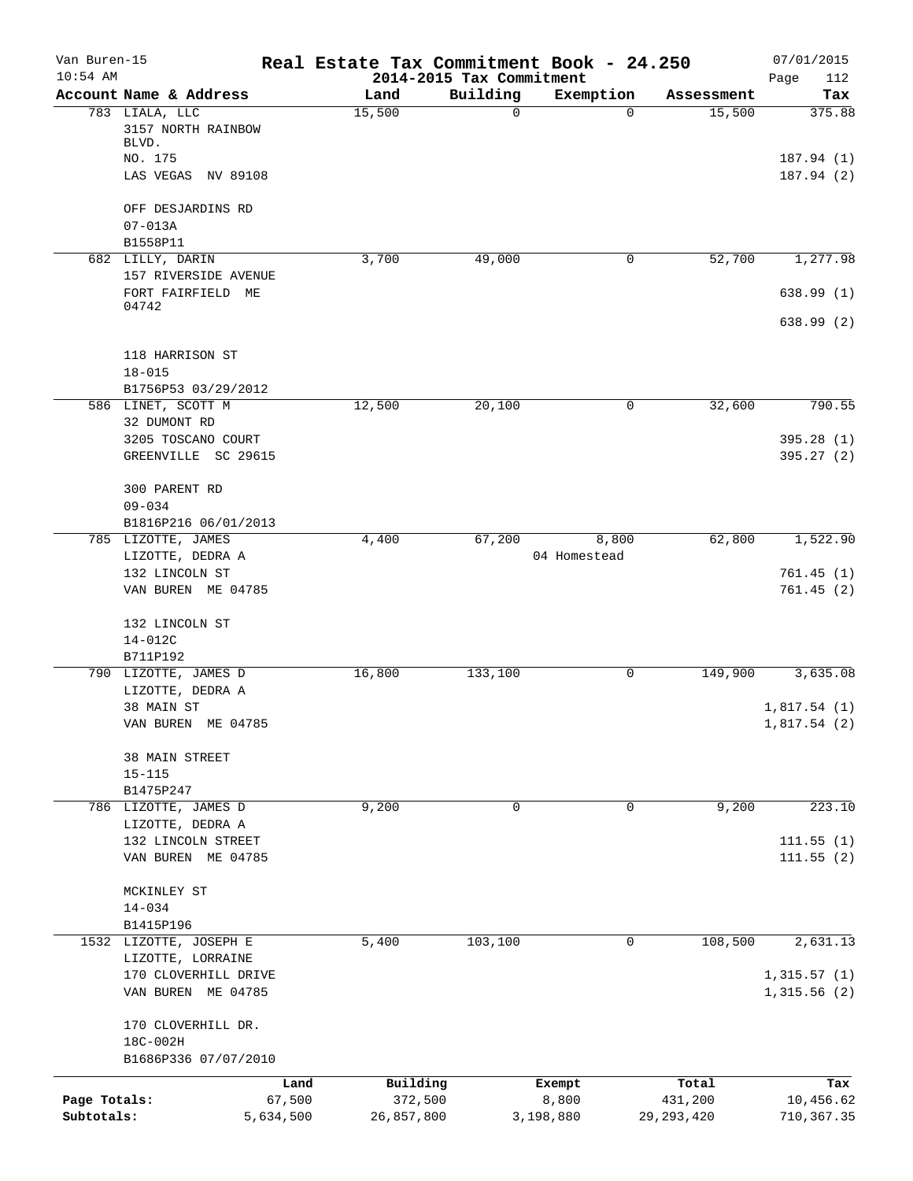| Van Buren-15<br>$10:54$ AM |                            |           | Real Estate Tax Commitment Book - 24.250 | 2014-2015 Tax Commitment |              |              | 07/01/2015<br>112<br>Page |
|----------------------------|----------------------------|-----------|------------------------------------------|--------------------------|--------------|--------------|---------------------------|
|                            | Account Name & Address     |           | Land                                     | Building                 | Exemption    | Assessment   | Tax                       |
|                            | 783 LIALA, LLC             |           | 15,500                                   | $\Omega$                 | $\Omega$     | 15,500       | 375.88                    |
|                            | 3157 NORTH RAINBOW         |           |                                          |                          |              |              |                           |
|                            | BLVD.                      |           |                                          |                          |              |              |                           |
|                            | NO. 175                    |           |                                          |                          |              |              | 187.94(1)                 |
|                            | LAS VEGAS NV 89108         |           |                                          |                          |              |              | 187.94 (2)                |
|                            | OFF DESJARDINS RD          |           |                                          |                          |              |              |                           |
|                            | $07 - 013A$                |           |                                          |                          |              |              |                           |
|                            | B1558P11                   |           |                                          |                          |              |              |                           |
|                            | 682 LILLY, DARIN           |           | 3,700                                    | 49,000                   | 0            | 52,700       | 1,277.98                  |
|                            | 157 RIVERSIDE AVENUE       |           |                                          |                          |              |              |                           |
|                            | FORT FAIRFIELD ME<br>04742 |           |                                          |                          |              |              | 638.99(1)                 |
|                            |                            |           |                                          |                          |              |              | 638.99(2)                 |
|                            | 118 HARRISON ST            |           |                                          |                          |              |              |                           |
|                            | $18 - 015$                 |           |                                          |                          |              |              |                           |
|                            | B1756P53 03/29/2012        |           |                                          |                          |              |              |                           |
|                            | 586 LINET, SCOTT M         |           | 12,500                                   | 20,100                   | 0            | 32,600       | 790.55                    |
|                            | 32 DUMONT RD               |           |                                          |                          |              |              |                           |
|                            | 3205 TOSCANO COURT         |           |                                          |                          |              |              | 395.28(1)                 |
|                            | GREENVILLE SC 29615        |           |                                          |                          |              |              | 395.27(2)                 |
|                            |                            |           |                                          |                          |              |              |                           |
|                            | 300 PARENT RD              |           |                                          |                          |              |              |                           |
|                            | $09 - 034$                 |           |                                          |                          |              |              |                           |
|                            | B1816P216 06/01/2013       |           |                                          |                          |              |              |                           |
|                            | 785 LIZOTTE, JAMES         |           | 4,400                                    | 67,200                   | 8,800        | 62,800       | 1,522.90                  |
|                            | LIZOTTE, DEDRA A           |           |                                          |                          | 04 Homestead |              |                           |
|                            | 132 LINCOLN ST             |           |                                          |                          |              |              | 761.45(1)                 |
|                            | VAN BUREN ME 04785         |           |                                          |                          |              |              | 761.45(2)                 |
|                            |                            |           |                                          |                          |              |              |                           |
|                            | 132 LINCOLN ST             |           |                                          |                          |              |              |                           |
|                            | $14 - 012C$                |           |                                          |                          |              |              |                           |
|                            | B711P192                   |           | 16,800                                   |                          |              | 149,900      |                           |
|                            | 790 LIZOTTE, JAMES D       |           |                                          | 133,100                  | 0            |              | 3,635.08                  |
|                            | LIZOTTE, DEDRA A           |           |                                          |                          |              |              |                           |
|                            | 38 MAIN ST                 |           |                                          |                          |              |              | 1,817.54(1)               |
|                            | VAN BUREN ME 04785         |           |                                          |                          |              |              | 1,817.54(2)               |
|                            | 38 MAIN STREET             |           |                                          |                          |              |              |                           |
|                            | $15 - 115$                 |           |                                          |                          |              |              |                           |
|                            | B1475P247                  |           |                                          |                          |              |              |                           |
|                            | 786 LIZOTTE, JAMES D       |           | 9,200                                    | $\mathbf 0$              | 0            | 9,200        | 223.10                    |
|                            | LIZOTTE, DEDRA A           |           |                                          |                          |              |              |                           |
|                            | 132 LINCOLN STREET         |           |                                          |                          |              |              | 111.55(1)                 |
|                            | VAN BUREN ME 04785         |           |                                          |                          |              |              | 111.55(2)                 |
|                            | MCKINLEY ST                |           |                                          |                          |              |              |                           |
|                            | $14 - 034$                 |           |                                          |                          |              |              |                           |
|                            | B1415P196                  |           |                                          |                          |              |              |                           |
|                            | 1532 LIZOTTE, JOSEPH E     |           | 5,400                                    | 103,100                  | 0            | 108,500      | 2,631.13                  |
|                            | LIZOTTE, LORRAINE          |           |                                          |                          |              |              |                           |
|                            | 170 CLOVERHILL DRIVE       |           |                                          |                          |              |              | 1,315.57(1)               |
|                            | VAN BUREN ME 04785         |           |                                          |                          |              |              | 1,315.56(2)               |
|                            | 170 CLOVERHILL DR.         |           |                                          |                          |              |              |                           |
|                            | 18C-002H                   |           |                                          |                          |              |              |                           |
|                            | B1686P336 07/07/2010       |           |                                          |                          |              |              |                           |
|                            |                            | Land      | Building                                 |                          | Exempt       | Total        | Tax                       |
| Page Totals:               |                            | 67,500    | 372,500                                  |                          | 8,800        | 431,200      | 10,456.62                 |
| Subtotals:                 |                            | 5,634,500 | 26,857,800                               |                          | 3,198,880    | 29, 293, 420 | 710, 367.35               |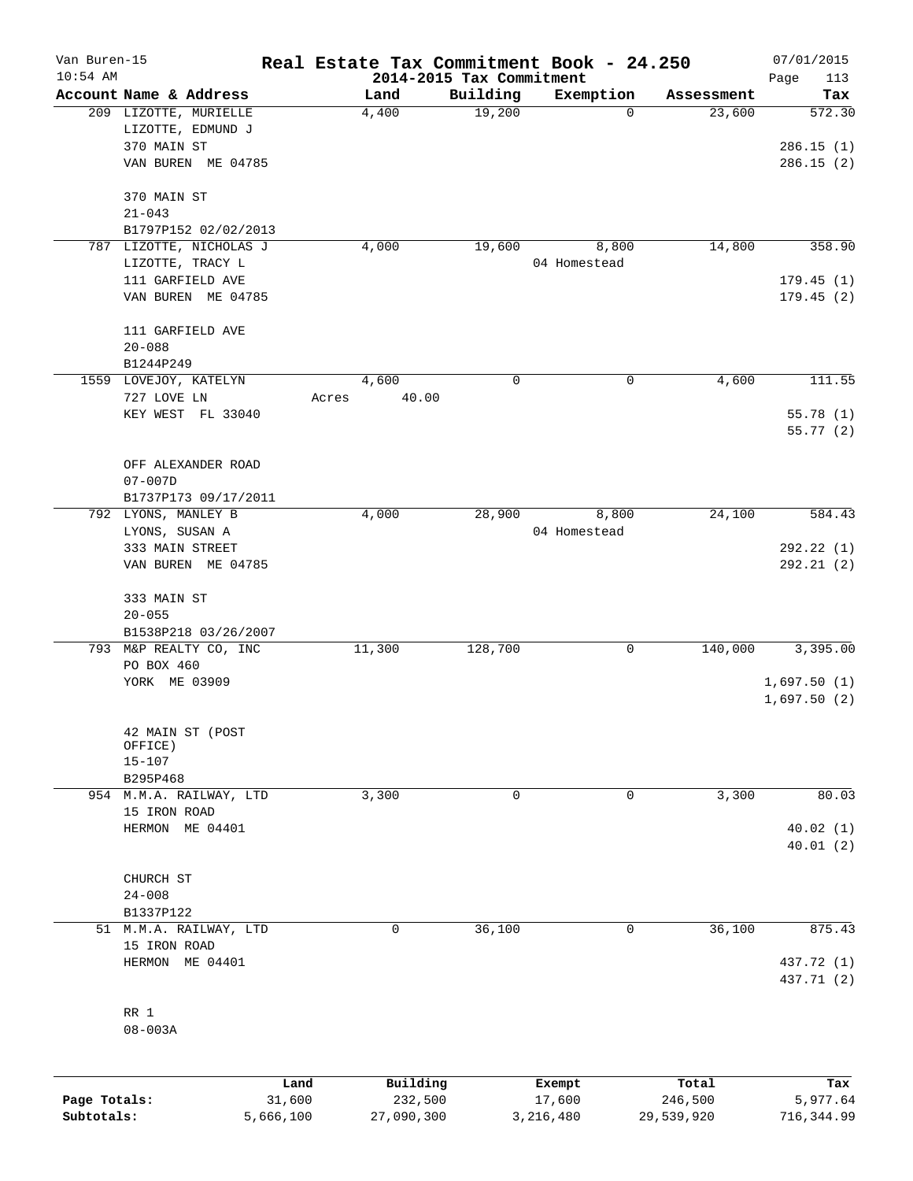| Van Buren-15<br>$10:54$ AM |                                            |       |                                  |             | Real Estate Tax Commitment Book - 24.250 |            | 07/01/2015                 |
|----------------------------|--------------------------------------------|-------|----------------------------------|-------------|------------------------------------------|------------|----------------------------|
|                            | Account Name & Address                     |       | 2014-2015 Tax Commitment<br>Land | Building    | Exemption                                | Assessment | Page<br>113<br>Tax         |
|                            | 209 LIZOTTE, MURIELLE<br>LIZOTTE, EDMUND J |       | 4,400                            | 19,200      | $\mathbf 0$                              | 23,600     | 572.30                     |
|                            | 370 MAIN ST                                |       |                                  |             |                                          |            | 286.15(1)                  |
|                            | VAN BUREN ME 04785                         |       |                                  |             |                                          |            | 286.15(2)                  |
|                            | 370 MAIN ST<br>$21 - 043$                  |       |                                  |             |                                          |            |                            |
|                            | B1797P152 02/02/2013                       |       |                                  |             |                                          |            |                            |
|                            | 787 LIZOTTE, NICHOLAS J                    |       | 4,000                            | 19,600      | 8,800                                    | 14,800     | 358.90                     |
|                            | LIZOTTE, TRACY L                           |       |                                  |             | 04 Homestead                             |            |                            |
|                            | 111 GARFIELD AVE                           |       |                                  |             |                                          |            | 179.45(1)                  |
|                            | VAN BUREN ME 04785                         |       |                                  |             |                                          |            | 179.45(2)                  |
|                            | 111 GARFIELD AVE                           |       |                                  |             |                                          |            |                            |
|                            | $20 - 088$                                 |       |                                  |             |                                          |            |                            |
|                            | B1244P249                                  |       | 4,600                            | 0           | 0                                        |            | 111.55                     |
|                            | 1559 LOVEJOY, KATELYN<br>727 LOVE LN       | Acres | 40.00                            |             |                                          | 4,600      |                            |
|                            | KEY WEST FL 33040                          |       |                                  |             |                                          |            | 55.78 (1)                  |
|                            |                                            |       |                                  |             |                                          |            | 55.77(2)                   |
|                            | OFF ALEXANDER ROAD                         |       |                                  |             |                                          |            |                            |
|                            | $07 - 007D$                                |       |                                  |             |                                          |            |                            |
|                            | B1737P173 09/17/2011                       |       |                                  |             |                                          |            |                            |
|                            | 792 LYONS, MANLEY B                        |       | 4,000                            | 28,900      | 8,800                                    | 24,100     | 584.43                     |
|                            | LYONS, SUSAN A                             |       |                                  |             | 04 Homestead                             |            |                            |
|                            | 333 MAIN STREET<br>VAN BUREN ME 04785      |       |                                  |             |                                          |            | 292.22(1)<br>292.21(2)     |
|                            | 333 MAIN ST                                |       |                                  |             |                                          |            |                            |
|                            | $20 - 055$                                 |       |                                  |             |                                          |            |                            |
|                            | B1538P218 03/26/2007                       |       |                                  |             |                                          |            |                            |
|                            | 793 M&P REALTY CO, INC                     |       | 11,300                           | 128,700     | 0                                        | 140,000    | 3,395.00                   |
|                            | PO BOX 460                                 |       |                                  |             |                                          |            |                            |
|                            | YORK ME 03909                              |       |                                  |             |                                          |            | 1,697.50(1)<br>1,697.50(2) |
|                            | 42 MAIN ST (POST                           |       |                                  |             |                                          |            |                            |
|                            | OFFICE)                                    |       |                                  |             |                                          |            |                            |
|                            | $15 - 107$                                 |       |                                  |             |                                          |            |                            |
|                            | B295P468<br>954 M.M.A. RAILWAY, LTD        |       | 3,300                            | $\mathbf 0$ | 0                                        | 3,300      | 80.03                      |
|                            | 15 IRON ROAD                               |       |                                  |             |                                          |            |                            |
|                            | HERMON ME 04401                            |       |                                  |             |                                          |            | 40.02(1)                   |
|                            |                                            |       |                                  |             |                                          |            | 40.01(2)                   |
|                            | CHURCH ST                                  |       |                                  |             |                                          |            |                            |
|                            | $24 - 008$                                 |       |                                  |             |                                          |            |                            |
|                            | B1337P122                                  |       |                                  |             |                                          |            |                            |
|                            | 51 M.M.A. RAILWAY, LTD<br>15 IRON ROAD     |       | 0                                | 36,100      | 0                                        | 36,100     | 875.43                     |
|                            | HERMON ME 04401                            |       |                                  |             |                                          |            | 437.72 (1)                 |
|                            |                                            |       |                                  |             |                                          |            | 437.71 (2)                 |
|                            | RR 1                                       |       |                                  |             |                                          |            |                            |
|                            | $08 - 003A$                                |       |                                  |             |                                          |            |                            |
|                            |                                            |       |                                  |             |                                          |            |                            |
|                            |                                            | Land  | Building                         |             | Exempt                                   | Total      | Tax                        |

|              | nand      | Building   | Exempt    | Total      | тах        |
|--------------|-----------|------------|-----------|------------|------------|
| Page Totals: | 31,600    | 232,500    | 17,600    | 246,500    | 5,977.64   |
| Subtotals:   | 5,666,100 | 27,090,300 | 3,216,480 | 29,539,920 | 716,344.99 |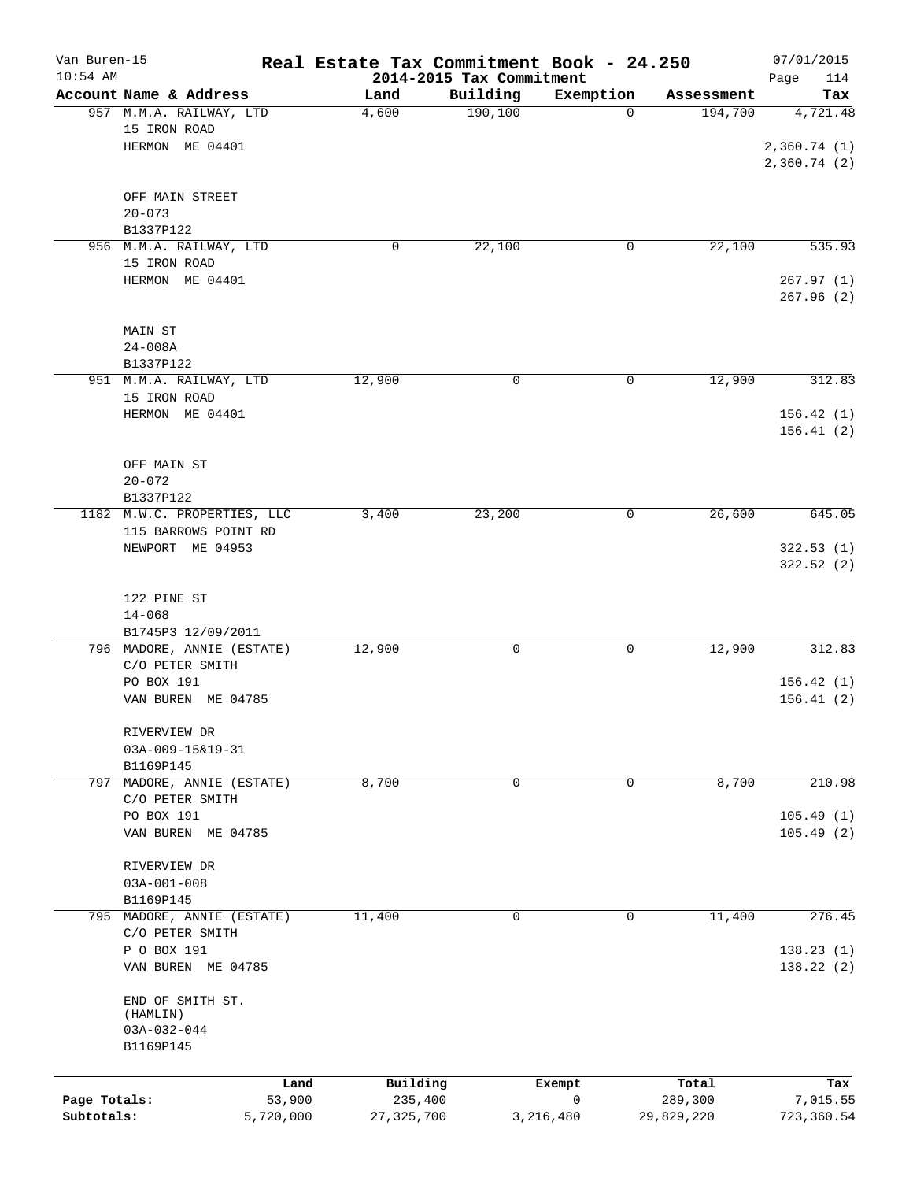| Van Buren-15<br>$10:54$ AM |                             | Real Estate Tax Commitment Book - 24.250 | 2014-2015 Tax Commitment |           |                  | 07/01/2015<br>Page<br>114 |
|----------------------------|-----------------------------|------------------------------------------|--------------------------|-----------|------------------|---------------------------|
|                            | Account Name & Address      | Land                                     | Building                 | Exemption | Assessment       | Tax                       |
|                            | 957 M.M.A. RAILWAY, LTD     | 4,600                                    | 190, 100                 | $\Omega$  | 194,700          | 4,721.48                  |
|                            | 15 IRON ROAD                |                                          |                          |           |                  |                           |
|                            | HERMON ME 04401             |                                          |                          |           |                  | 2,360.74(1)               |
|                            |                             |                                          |                          |           |                  | 2,360.74(2)               |
|                            |                             |                                          |                          |           |                  |                           |
|                            | OFF MAIN STREET             |                                          |                          |           |                  |                           |
|                            | $20 - 073$                  |                                          |                          |           |                  |                           |
|                            | B1337P122                   |                                          |                          |           |                  |                           |
|                            | 956 M.M.A. RAILWAY, LTD     | 0                                        | 22,100                   | 0         | 22,100           | 535.93                    |
|                            | 15 IRON ROAD                |                                          |                          |           |                  |                           |
|                            | HERMON ME 04401             |                                          |                          |           |                  | 267.97(1)<br>267.96(2)    |
|                            |                             |                                          |                          |           |                  |                           |
|                            | MAIN ST                     |                                          |                          |           |                  |                           |
|                            | $24 - 008A$                 |                                          |                          |           |                  |                           |
|                            | B1337P122                   |                                          |                          |           |                  |                           |
|                            | 951 M.M.A. RAILWAY, LTD     | 12,900                                   | 0                        | 0         | 12,900           | 312.83                    |
|                            | 15 IRON ROAD                |                                          |                          |           |                  |                           |
|                            | HERMON ME 04401             |                                          |                          |           |                  | 156.42(1)                 |
|                            |                             |                                          |                          |           |                  | 156.41(2)                 |
|                            |                             |                                          |                          |           |                  |                           |
|                            | OFF MAIN ST                 |                                          |                          |           |                  |                           |
|                            | $20 - 072$                  |                                          |                          |           |                  |                           |
|                            | B1337P122                   |                                          |                          |           |                  |                           |
|                            | 1182 M.W.C. PROPERTIES, LLC | 3,400                                    | 23,200                   | 0         | 26,600           | 645.05                    |
|                            | 115 BARROWS POINT RD        |                                          |                          |           |                  |                           |
|                            | NEWPORT ME 04953            |                                          |                          |           |                  | 322.53(1)                 |
|                            |                             |                                          |                          |           |                  | 322.52 (2)                |
|                            | 122 PINE ST                 |                                          |                          |           |                  |                           |
|                            | $14 - 068$                  |                                          |                          |           |                  |                           |
|                            | B1745P3 12/09/2011          |                                          |                          |           |                  |                           |
|                            | 796 MADORE, ANNIE (ESTATE)  | 12,900                                   | 0                        | 0         | 12,900           | 312.83                    |
|                            | C/O PETER SMITH             |                                          |                          |           |                  |                           |
|                            | PO BOX 191                  |                                          |                          |           |                  | 156.42(1)                 |
|                            | VAN BUREN ME 04785          |                                          |                          |           |                  | 156.41(2)                 |
|                            |                             |                                          |                          |           |                  |                           |
|                            | RIVERVIEW DR                |                                          |                          |           |                  |                           |
|                            | 03A-009-15&19-31            |                                          |                          |           |                  |                           |
|                            | B1169P145                   |                                          |                          |           |                  |                           |
| 797                        | MADORE, ANNIE (ESTATE)      | 8,700                                    | 0                        | 0         | 8,700            | 210.98                    |
|                            | C/O PETER SMITH             |                                          |                          |           |                  |                           |
|                            | PO BOX 191                  |                                          |                          |           |                  | 105.49(1)                 |
|                            | VAN BUREN ME 04785          |                                          |                          |           |                  | 105.49(2)                 |
|                            | RIVERVIEW DR                |                                          |                          |           |                  |                           |
|                            | $03A - 001 - 008$           |                                          |                          |           |                  |                           |
|                            | B1169P145                   |                                          |                          |           |                  |                           |
|                            | 795 MADORE, ANNIE (ESTATE)  | 11,400                                   | 0                        | 0         | 11,400           | 276.45                    |
|                            | C/O PETER SMITH             |                                          |                          |           |                  |                           |
|                            | P O BOX 191                 |                                          |                          |           |                  | 138.23 (1)                |
|                            | VAN BUREN ME 04785          |                                          |                          |           |                  | 138.22 (2)                |
|                            |                             |                                          |                          |           |                  |                           |
|                            | END OF SMITH ST.            |                                          |                          |           |                  |                           |
|                            | (HAMLIN)                    |                                          |                          |           |                  |                           |
|                            | $03A-032-044$               |                                          |                          |           |                  |                           |
|                            | B1169P145                   |                                          |                          |           |                  |                           |
|                            |                             |                                          |                          |           |                  |                           |
| Page Totals:               | Land<br>53,900              | Building<br>235,400                      | Exempt                   | 0         | Total<br>289,300 | Tax<br>7,015.55           |
| Subtotals:                 | 5,720,000                   | 27, 325, 700                             | 3,216,480                |           | 29,829,220       | 723,360.54                |
|                            |                             |                                          |                          |           |                  |                           |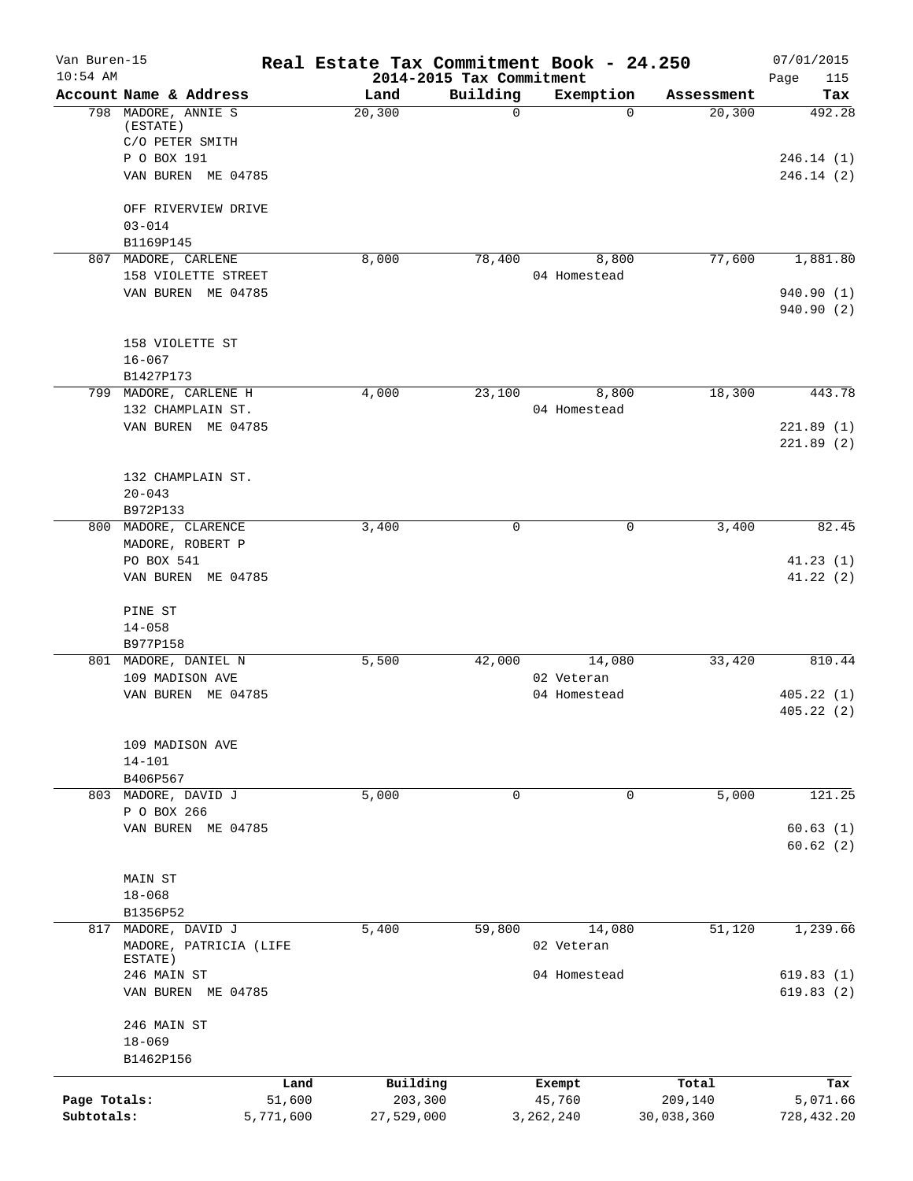| $10:54$ AM<br>2014-2015 Tax Commitment<br>Page<br>Building<br>Account Name & Address<br>Land<br>Exemption<br>Assessment<br>798 MADORE, ANNIE S<br>0<br>20,300<br>$\Omega$<br>20,300<br>(ESTATE)<br>C/O PETER SMITH<br>P O BOX 191<br>VAN BUREN ME 04785<br>OFF RIVERVIEW DRIVE<br>$03 - 014$<br>B1169P145<br>8,000<br>78,400<br>77,600<br>807 MADORE, CARLENE<br>8,800<br>158 VIOLETTE STREET<br>04 Homestead<br>VAN BUREN ME 04785<br>158 VIOLETTE ST<br>$16 - 067$<br>B1427P173<br>18,300<br>4,000<br>23,100<br>8,800<br>799 MADORE, CARLENE H<br>132 CHAMPLAIN ST.<br>04 Homestead<br>VAN BUREN ME 04785<br>221.89(1)<br>132 CHAMPLAIN ST.<br>$20 - 043$<br>B972P133<br>3,400<br>$\mathbf 0$<br>3,400<br>800 MADORE, CLARENCE<br>0<br>MADORE, ROBERT P<br>PO BOX 541<br>VAN BUREN ME 04785<br>PINE ST<br>$14 - 058$<br>B977P158<br>801 MADORE, DANIEL N<br>5,500<br>42,000<br>14,080<br>33,420<br>109 MADISON AVE<br>02 Veteran<br>VAN BUREN ME 04785<br>04 Homestead<br>405.22(1)<br>109 MADISON AVE<br>$14 - 101$<br>B406P567<br>803 MADORE, DAVID J<br>0<br>5,000<br>0<br>5,000<br>P O BOX 266<br>VAN BUREN ME 04785<br>60.63(1)<br>MAIN ST<br>$18 - 068$<br>B1356P52<br>817 MADORE, DAVID J<br>5,400<br>59,800<br>14,080<br>51,120<br>1,239.66<br>MADORE, PATRICIA (LIFE<br>02 Veteran<br>ESTATE)<br>04 Homestead<br>246 MAIN ST<br>VAN BUREN ME 04785<br>619.83(2)<br>246 MAIN ST<br>$18 - 069$<br>B1462P156<br>Land<br>Building<br>Total<br>Exempt<br>51,600<br>Page Totals:<br>203,300<br>45,760<br>209,140<br>Subtotals:<br>5,771,600<br>27,529,000<br>3, 262, 240<br>30,038,360 | Van Buren-15 | Real Estate Tax Commitment Book - 24.250 |  | 07/01/2015               |
|---------------------------------------------------------------------------------------------------------------------------------------------------------------------------------------------------------------------------------------------------------------------------------------------------------------------------------------------------------------------------------------------------------------------------------------------------------------------------------------------------------------------------------------------------------------------------------------------------------------------------------------------------------------------------------------------------------------------------------------------------------------------------------------------------------------------------------------------------------------------------------------------------------------------------------------------------------------------------------------------------------------------------------------------------------------------------------------------------------------------------------------------------------------------------------------------------------------------------------------------------------------------------------------------------------------------------------------------------------------------------------------------------------------------------------------------------------------------------------------------------------------------------------------------------------------------------------------------|--------------|------------------------------------------|--|--------------------------|
|                                                                                                                                                                                                                                                                                                                                                                                                                                                                                                                                                                                                                                                                                                                                                                                                                                                                                                                                                                                                                                                                                                                                                                                                                                                                                                                                                                                                                                                                                                                                                                                             |              |                                          |  | 115<br>Tax               |
|                                                                                                                                                                                                                                                                                                                                                                                                                                                                                                                                                                                                                                                                                                                                                                                                                                                                                                                                                                                                                                                                                                                                                                                                                                                                                                                                                                                                                                                                                                                                                                                             |              |                                          |  | 492.28                   |
|                                                                                                                                                                                                                                                                                                                                                                                                                                                                                                                                                                                                                                                                                                                                                                                                                                                                                                                                                                                                                                                                                                                                                                                                                                                                                                                                                                                                                                                                                                                                                                                             |              |                                          |  | 246.14(1)<br>246.14(2)   |
|                                                                                                                                                                                                                                                                                                                                                                                                                                                                                                                                                                                                                                                                                                                                                                                                                                                                                                                                                                                                                                                                                                                                                                                                                                                                                                                                                                                                                                                                                                                                                                                             |              |                                          |  |                          |
|                                                                                                                                                                                                                                                                                                                                                                                                                                                                                                                                                                                                                                                                                                                                                                                                                                                                                                                                                                                                                                                                                                                                                                                                                                                                                                                                                                                                                                                                                                                                                                                             |              |                                          |  |                          |
|                                                                                                                                                                                                                                                                                                                                                                                                                                                                                                                                                                                                                                                                                                                                                                                                                                                                                                                                                                                                                                                                                                                                                                                                                                                                                                                                                                                                                                                                                                                                                                                             |              |                                          |  | 1,881.80                 |
|                                                                                                                                                                                                                                                                                                                                                                                                                                                                                                                                                                                                                                                                                                                                                                                                                                                                                                                                                                                                                                                                                                                                                                                                                                                                                                                                                                                                                                                                                                                                                                                             |              |                                          |  | 940.90 (1)<br>940.90 (2) |
|                                                                                                                                                                                                                                                                                                                                                                                                                                                                                                                                                                                                                                                                                                                                                                                                                                                                                                                                                                                                                                                                                                                                                                                                                                                                                                                                                                                                                                                                                                                                                                                             |              |                                          |  |                          |
|                                                                                                                                                                                                                                                                                                                                                                                                                                                                                                                                                                                                                                                                                                                                                                                                                                                                                                                                                                                                                                                                                                                                                                                                                                                                                                                                                                                                                                                                                                                                                                                             |              |                                          |  | 443.78                   |
|                                                                                                                                                                                                                                                                                                                                                                                                                                                                                                                                                                                                                                                                                                                                                                                                                                                                                                                                                                                                                                                                                                                                                                                                                                                                                                                                                                                                                                                                                                                                                                                             |              |                                          |  |                          |
|                                                                                                                                                                                                                                                                                                                                                                                                                                                                                                                                                                                                                                                                                                                                                                                                                                                                                                                                                                                                                                                                                                                                                                                                                                                                                                                                                                                                                                                                                                                                                                                             |              |                                          |  | 221.89(2)                |
|                                                                                                                                                                                                                                                                                                                                                                                                                                                                                                                                                                                                                                                                                                                                                                                                                                                                                                                                                                                                                                                                                                                                                                                                                                                                                                                                                                                                                                                                                                                                                                                             |              |                                          |  |                          |
|                                                                                                                                                                                                                                                                                                                                                                                                                                                                                                                                                                                                                                                                                                                                                                                                                                                                                                                                                                                                                                                                                                                                                                                                                                                                                                                                                                                                                                                                                                                                                                                             |              |                                          |  |                          |
|                                                                                                                                                                                                                                                                                                                                                                                                                                                                                                                                                                                                                                                                                                                                                                                                                                                                                                                                                                                                                                                                                                                                                                                                                                                                                                                                                                                                                                                                                                                                                                                             |              |                                          |  | 82.45                    |
|                                                                                                                                                                                                                                                                                                                                                                                                                                                                                                                                                                                                                                                                                                                                                                                                                                                                                                                                                                                                                                                                                                                                                                                                                                                                                                                                                                                                                                                                                                                                                                                             |              |                                          |  | 41.23(1)                 |
|                                                                                                                                                                                                                                                                                                                                                                                                                                                                                                                                                                                                                                                                                                                                                                                                                                                                                                                                                                                                                                                                                                                                                                                                                                                                                                                                                                                                                                                                                                                                                                                             |              |                                          |  | 41.22(2)                 |
|                                                                                                                                                                                                                                                                                                                                                                                                                                                                                                                                                                                                                                                                                                                                                                                                                                                                                                                                                                                                                                                                                                                                                                                                                                                                                                                                                                                                                                                                                                                                                                                             |              |                                          |  |                          |
|                                                                                                                                                                                                                                                                                                                                                                                                                                                                                                                                                                                                                                                                                                                                                                                                                                                                                                                                                                                                                                                                                                                                                                                                                                                                                                                                                                                                                                                                                                                                                                                             |              |                                          |  |                          |
|                                                                                                                                                                                                                                                                                                                                                                                                                                                                                                                                                                                                                                                                                                                                                                                                                                                                                                                                                                                                                                                                                                                                                                                                                                                                                                                                                                                                                                                                                                                                                                                             |              |                                          |  | 810.44                   |
|                                                                                                                                                                                                                                                                                                                                                                                                                                                                                                                                                                                                                                                                                                                                                                                                                                                                                                                                                                                                                                                                                                                                                                                                                                                                                                                                                                                                                                                                                                                                                                                             |              |                                          |  |                          |
|                                                                                                                                                                                                                                                                                                                                                                                                                                                                                                                                                                                                                                                                                                                                                                                                                                                                                                                                                                                                                                                                                                                                                                                                                                                                                                                                                                                                                                                                                                                                                                                             |              |                                          |  | 405.22 (2)               |
|                                                                                                                                                                                                                                                                                                                                                                                                                                                                                                                                                                                                                                                                                                                                                                                                                                                                                                                                                                                                                                                                                                                                                                                                                                                                                                                                                                                                                                                                                                                                                                                             |              |                                          |  |                          |
|                                                                                                                                                                                                                                                                                                                                                                                                                                                                                                                                                                                                                                                                                                                                                                                                                                                                                                                                                                                                                                                                                                                                                                                                                                                                                                                                                                                                                                                                                                                                                                                             |              |                                          |  | 121.25                   |
|                                                                                                                                                                                                                                                                                                                                                                                                                                                                                                                                                                                                                                                                                                                                                                                                                                                                                                                                                                                                                                                                                                                                                                                                                                                                                                                                                                                                                                                                                                                                                                                             |              |                                          |  |                          |
|                                                                                                                                                                                                                                                                                                                                                                                                                                                                                                                                                                                                                                                                                                                                                                                                                                                                                                                                                                                                                                                                                                                                                                                                                                                                                                                                                                                                                                                                                                                                                                                             |              |                                          |  | 60.62(2)                 |
|                                                                                                                                                                                                                                                                                                                                                                                                                                                                                                                                                                                                                                                                                                                                                                                                                                                                                                                                                                                                                                                                                                                                                                                                                                                                                                                                                                                                                                                                                                                                                                                             |              |                                          |  |                          |
|                                                                                                                                                                                                                                                                                                                                                                                                                                                                                                                                                                                                                                                                                                                                                                                                                                                                                                                                                                                                                                                                                                                                                                                                                                                                                                                                                                                                                                                                                                                                                                                             |              |                                          |  |                          |
|                                                                                                                                                                                                                                                                                                                                                                                                                                                                                                                                                                                                                                                                                                                                                                                                                                                                                                                                                                                                                                                                                                                                                                                                                                                                                                                                                                                                                                                                                                                                                                                             |              |                                          |  |                          |
|                                                                                                                                                                                                                                                                                                                                                                                                                                                                                                                                                                                                                                                                                                                                                                                                                                                                                                                                                                                                                                                                                                                                                                                                                                                                                                                                                                                                                                                                                                                                                                                             |              |                                          |  |                          |
|                                                                                                                                                                                                                                                                                                                                                                                                                                                                                                                                                                                                                                                                                                                                                                                                                                                                                                                                                                                                                                                                                                                                                                                                                                                                                                                                                                                                                                                                                                                                                                                             |              |                                          |  | 619.83(1)                |
|                                                                                                                                                                                                                                                                                                                                                                                                                                                                                                                                                                                                                                                                                                                                                                                                                                                                                                                                                                                                                                                                                                                                                                                                                                                                                                                                                                                                                                                                                                                                                                                             |              |                                          |  |                          |
|                                                                                                                                                                                                                                                                                                                                                                                                                                                                                                                                                                                                                                                                                                                                                                                                                                                                                                                                                                                                                                                                                                                                                                                                                                                                                                                                                                                                                                                                                                                                                                                             |              |                                          |  |                          |
|                                                                                                                                                                                                                                                                                                                                                                                                                                                                                                                                                                                                                                                                                                                                                                                                                                                                                                                                                                                                                                                                                                                                                                                                                                                                                                                                                                                                                                                                                                                                                                                             |              |                                          |  |                          |
|                                                                                                                                                                                                                                                                                                                                                                                                                                                                                                                                                                                                                                                                                                                                                                                                                                                                                                                                                                                                                                                                                                                                                                                                                                                                                                                                                                                                                                                                                                                                                                                             |              |                                          |  | Tax                      |
|                                                                                                                                                                                                                                                                                                                                                                                                                                                                                                                                                                                                                                                                                                                                                                                                                                                                                                                                                                                                                                                                                                                                                                                                                                                                                                                                                                                                                                                                                                                                                                                             |              |                                          |  | 5,071.66                 |
|                                                                                                                                                                                                                                                                                                                                                                                                                                                                                                                                                                                                                                                                                                                                                                                                                                                                                                                                                                                                                                                                                                                                                                                                                                                                                                                                                                                                                                                                                                                                                                                             |              |                                          |  | 728,432.20               |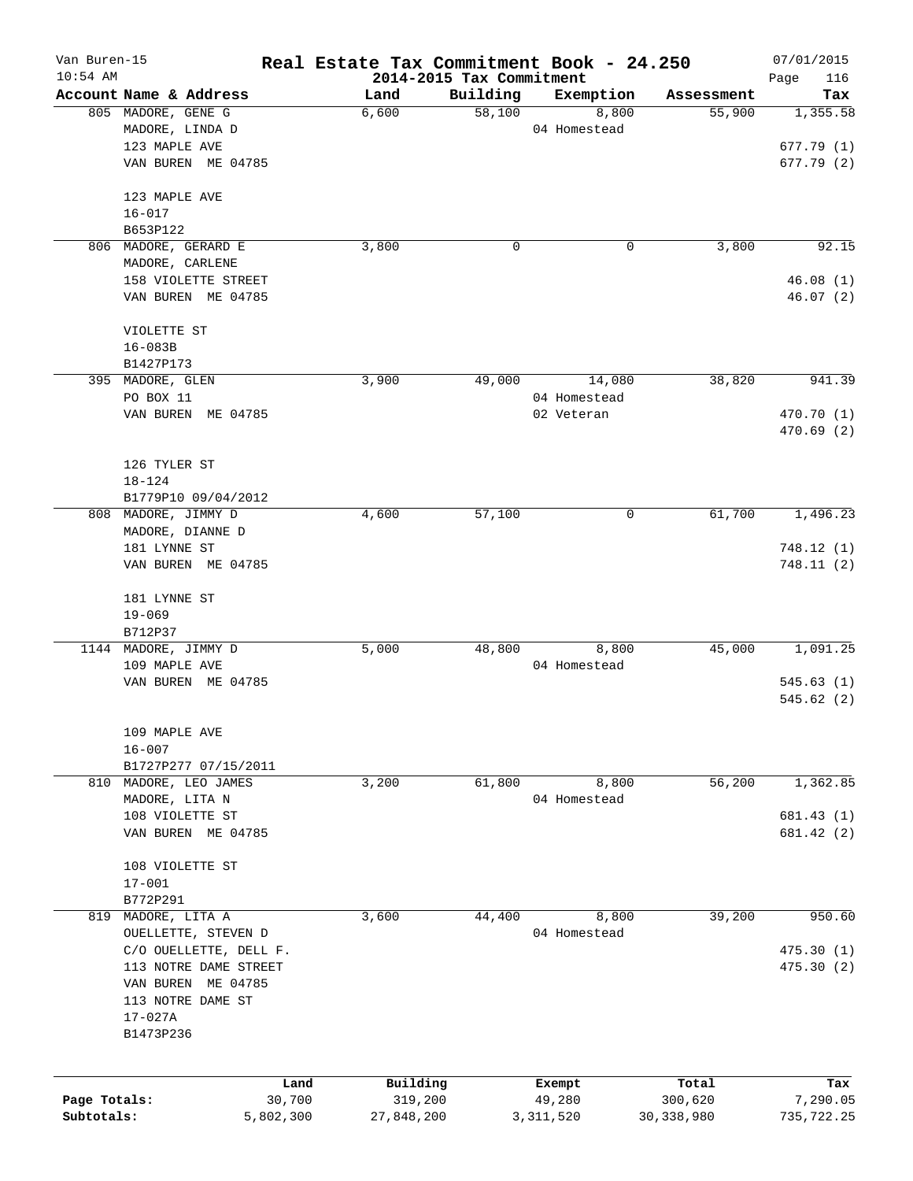| Van Buren-15<br>$10:54$ AM |                        | Real Estate Tax Commitment Book - 24.250 | 2014-2015 Tax Commitment |              |              | 07/01/2015<br>Page<br>116 |
|----------------------------|------------------------|------------------------------------------|--------------------------|--------------|--------------|---------------------------|
|                            | Account Name & Address | Land                                     | Building                 | Exemption    | Assessment   | Tax                       |
|                            | 805 MADORE, GENE G     | 6,600                                    | 58,100                   | 8,800        | 55,900       | 1,355.58                  |
|                            | MADORE, LINDA D        |                                          |                          | 04 Homestead |              |                           |
|                            | 123 MAPLE AVE          |                                          |                          |              |              | 677.79(1)                 |
|                            | VAN BUREN ME 04785     |                                          |                          |              |              | 677.79 (2)                |
|                            |                        |                                          |                          |              |              |                           |
|                            | 123 MAPLE AVE          |                                          |                          |              |              |                           |
|                            | $16 - 017$             |                                          |                          |              |              |                           |
|                            | B653P122               |                                          |                          |              |              |                           |
|                            | 806 MADORE, GERARD E   | 3,800                                    | 0                        | 0            | 3,800        | 92.15                     |
|                            | MADORE, CARLENE        |                                          |                          |              |              |                           |
|                            | 158 VIOLETTE STREET    |                                          |                          |              |              | 46.08(1)                  |
|                            | VAN BUREN ME 04785     |                                          |                          |              |              | 46.07 (2)                 |
|                            | VIOLETTE ST            |                                          |                          |              |              |                           |
|                            | $16 - 083B$            |                                          |                          |              |              |                           |
|                            | B1427P173              |                                          |                          |              |              |                           |
|                            | 395 MADORE, GLEN       | 3,900                                    | 49,000                   | 14,080       | 38,820       | 941.39                    |
|                            | PO BOX 11              |                                          |                          | 04 Homestead |              |                           |
|                            | VAN BUREN ME 04785     |                                          |                          | 02 Veteran   |              | 470.70 (1)                |
|                            |                        |                                          |                          |              |              | 470.69(2)                 |
|                            | 126 TYLER ST           |                                          |                          |              |              |                           |
|                            |                        |                                          |                          |              |              |                           |
|                            | 18-124                 |                                          |                          |              |              |                           |
|                            | B1779P10 09/04/2012    |                                          |                          |              |              |                           |
|                            | 808 MADORE, JIMMY D    | 4,600                                    | 57,100                   | 0            | 61,700       | 1,496.23                  |
|                            | MADORE, DIANNE D       |                                          |                          |              |              |                           |
|                            | 181 LYNNE ST           |                                          |                          |              |              | 748.12(1)                 |
|                            | VAN BUREN ME 04785     |                                          |                          |              |              | 748.11(2)                 |
|                            | 181 LYNNE ST           |                                          |                          |              |              |                           |
|                            | $19 - 069$             |                                          |                          |              |              |                           |
|                            | B712P37                |                                          |                          |              |              |                           |
|                            | 1144 MADORE, JIMMY D   | 5,000                                    | 48,800                   | 8,800        | 45,000       | 1,091.25                  |
|                            | 109 MAPLE AVE          |                                          |                          | 04 Homestead |              |                           |
|                            | VAN BUREN ME 04785     |                                          |                          |              |              | 545.63(1)                 |
|                            |                        |                                          |                          |              |              | 545.62(2)                 |
|                            | 109 MAPLE AVE          |                                          |                          |              |              |                           |
|                            | $16 - 007$             |                                          |                          |              |              |                           |
|                            | B1727P277 07/15/2011   |                                          |                          |              |              |                           |
| 810                        | MADORE, LEO JAMES      | 3,200                                    | 61,800                   | 8,800        | 56,200       | 1,362.85                  |
|                            | MADORE, LITA N         |                                          |                          | 04 Homestead |              |                           |
|                            | 108 VIOLETTE ST        |                                          |                          |              |              | 681.43 (1)                |
|                            | VAN BUREN ME 04785     |                                          |                          |              |              | 681.42 (2)                |
|                            |                        |                                          |                          |              |              |                           |
|                            | 108 VIOLETTE ST        |                                          |                          |              |              |                           |
|                            | $17 - 001$             |                                          |                          |              |              |                           |
|                            | B772P291               |                                          |                          |              |              |                           |
| 819                        | MADORE, LITA A         | 3,600                                    | 44,400                   | 8,800        | 39,200       | 950.60                    |
|                            | OUELLETTE, STEVEN D    |                                          |                          | 04 Homestead |              |                           |
|                            | C/O OUELLETTE, DELL F. |                                          |                          |              |              | 475.30(1)                 |
|                            | 113 NOTRE DAME STREET  |                                          |                          |              |              | 475.30(2)                 |
|                            | VAN BUREN<br>ME 04785  |                                          |                          |              |              |                           |
|                            | 113 NOTRE DAME ST      |                                          |                          |              |              |                           |
|                            | $17 - 027A$            |                                          |                          |              |              |                           |
|                            | B1473P236              |                                          |                          |              |              |                           |
|                            |                        |                                          |                          |              |              |                           |
|                            |                        | Building<br>Land                         |                          | Exempt       | Total        | Tax                       |
| Page Totals:               | 30,700                 | 319,200                                  |                          | 49,280       | 300,620      | 7,290.05                  |
| Subtotals:                 | 5,802,300              | 27,848,200                               |                          | 3, 311, 520  | 30, 338, 980 | 735,722.25                |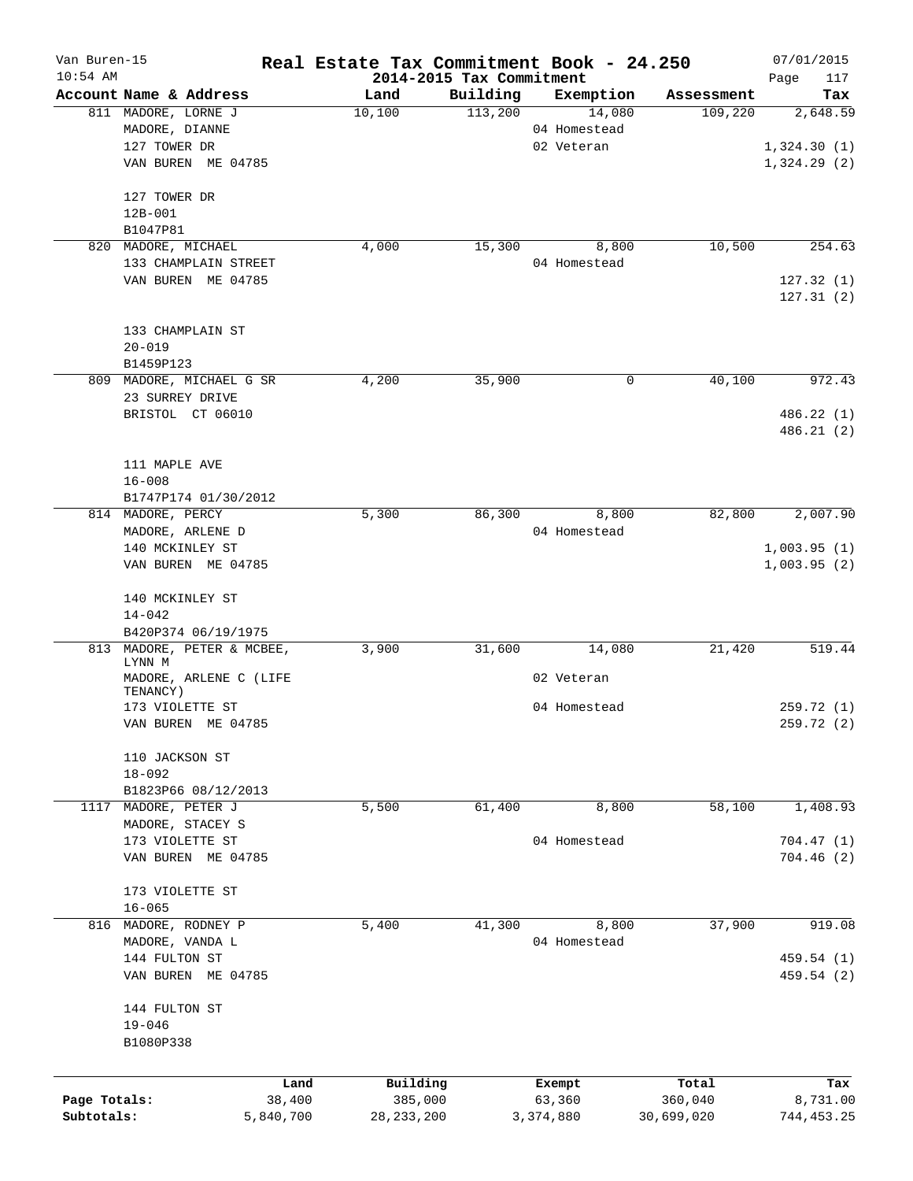| Van Buren-15 |                          |           | Real Estate Tax Commitment Book - 24.250 |                          |                        |            | 07/01/2015  |
|--------------|--------------------------|-----------|------------------------------------------|--------------------------|------------------------|------------|-------------|
| $10:54$ AM   |                          |           |                                          | 2014-2015 Tax Commitment |                        |            | Page<br>117 |
|              | Account Name & Address   |           | Land                                     | Building<br>113,200      | Exemption              | Assessment | Tax         |
|              | 811 MADORE, LORNE J      |           | 10,100                                   |                          | 14,080<br>04 Homestead | 109,220    | 2,648.59    |
|              | MADORE, DIANNE           |           |                                          |                          |                        |            |             |
|              | 127 TOWER DR             |           |                                          |                          | 02 Veteran             |            | 1,324.30(1) |
|              | VAN BUREN ME 04785       |           |                                          |                          |                        |            | 1,324.29(2) |
|              | 127 TOWER DR             |           |                                          |                          |                        |            |             |
|              | $12B - 001$              |           |                                          |                          |                        |            |             |
|              | B1047P81                 |           |                                          |                          |                        |            |             |
| 820          | MADORE, MICHAEL          |           | 4,000                                    | 15,300                   | 8,800                  | 10,500     | 254.63      |
|              | 133 CHAMPLAIN STREET     |           |                                          |                          | 04 Homestead           |            |             |
|              | VAN BUREN ME 04785       |           |                                          |                          |                        |            | 127.32(1)   |
|              |                          |           |                                          |                          |                        |            | 127.31(2)   |
|              |                          |           |                                          |                          |                        |            |             |
|              | 133 CHAMPLAIN ST         |           |                                          |                          |                        |            |             |
|              | $20 - 019$               |           |                                          |                          |                        |            |             |
|              | B1459P123                |           |                                          |                          |                        |            |             |
|              | 809 MADORE, MICHAEL G SR |           | 4,200                                    | 35,900                   | 0                      | 40,100     | 972.43      |
|              | 23 SURREY DRIVE          |           |                                          |                          |                        |            |             |
|              |                          |           |                                          |                          |                        |            | 486.22 (1)  |
|              | BRISTOL CT 06010         |           |                                          |                          |                        |            | 486.21(2)   |
|              |                          |           |                                          |                          |                        |            |             |
|              | 111 MAPLE AVE            |           |                                          |                          |                        |            |             |
|              |                          |           |                                          |                          |                        |            |             |
|              | $16 - 008$               |           |                                          |                          |                        |            |             |
|              | B1747P174 01/30/2012     |           |                                          |                          |                        |            |             |
|              | 814 MADORE, PERCY        |           | 5,300                                    | 86,300                   | 8,800                  | 82,800     | 2,007.90    |
|              | MADORE, ARLENE D         |           |                                          |                          | 04 Homestead           |            |             |
|              | 140 MCKINLEY ST          |           |                                          |                          |                        |            | 1,003.95(1) |
|              | VAN BUREN ME 04785       |           |                                          |                          |                        |            | 1,003.95(2) |
|              | 140 MCKINLEY ST          |           |                                          |                          |                        |            |             |
|              | $14 - 042$               |           |                                          |                          |                        |            |             |
|              | B420P374 06/19/1975      |           |                                          |                          |                        |            |             |
| 813          | MADORE, PETER & MCBEE,   |           | 3,900                                    | 31,600                   | 14,080                 | 21,420     | 519.44      |
|              | LYNN M                   |           |                                          |                          |                        |            |             |
|              | MADORE, ARLENE C (LIFE   |           |                                          |                          | 02 Veteran             |            |             |
|              | TENANCY)                 |           |                                          |                          |                        |            |             |
|              | 173 VIOLETTE ST          |           |                                          |                          | 04 Homestead           |            | 259.72(1)   |
|              | VAN BUREN ME 04785       |           |                                          |                          |                        |            | 259.72 (2)  |
|              |                          |           |                                          |                          |                        |            |             |
|              | 110 JACKSON ST           |           |                                          |                          |                        |            |             |
|              | $18 - 092$               |           |                                          |                          |                        |            |             |
|              | B1823P66 08/12/2013      |           |                                          |                          |                        |            |             |
| 1117         | MADORE, PETER J          |           | 5,500                                    | 61,400                   | 8,800                  | 58,100     | 1,408.93    |
|              | MADORE, STACEY S         |           |                                          |                          |                        |            |             |
|              | 173 VIOLETTE ST          |           |                                          |                          | 04 Homestead           |            | 704.47(1)   |
|              | VAN BUREN ME 04785       |           |                                          |                          |                        |            | 704.46(2)   |
|              |                          |           |                                          |                          |                        |            |             |
|              | 173 VIOLETTE ST          |           |                                          |                          |                        |            |             |
|              | $16 - 065$               |           |                                          |                          |                        |            |             |
| 816          | MADORE, RODNEY P         |           | 5,400                                    | 41,300                   | 8,800                  | 37,900     | 919.08      |
|              | MADORE, VANDA L          |           |                                          |                          | 04 Homestead           |            |             |
|              | 144 FULTON ST            |           |                                          |                          |                        |            | 459.54 (1)  |
|              | VAN BUREN ME 04785       |           |                                          |                          |                        |            | 459.54 (2)  |
|              |                          |           |                                          |                          |                        |            |             |
|              | 144 FULTON ST            |           |                                          |                          |                        |            |             |
|              | $19 - 046$               |           |                                          |                          |                        |            |             |
|              | B1080P338                |           |                                          |                          |                        |            |             |
|              |                          |           |                                          |                          |                        |            |             |
|              |                          | Land      | Building                                 |                          | Exempt                 | Total      | Tax         |
| Page Totals: |                          | 38,400    | 385,000                                  |                          | 63,360                 | 360,040    | 8,731.00    |
| Subtotals:   |                          | 5,840,700 | 28, 233, 200                             |                          | 3,374,880              | 30,699,020 | 744, 453.25 |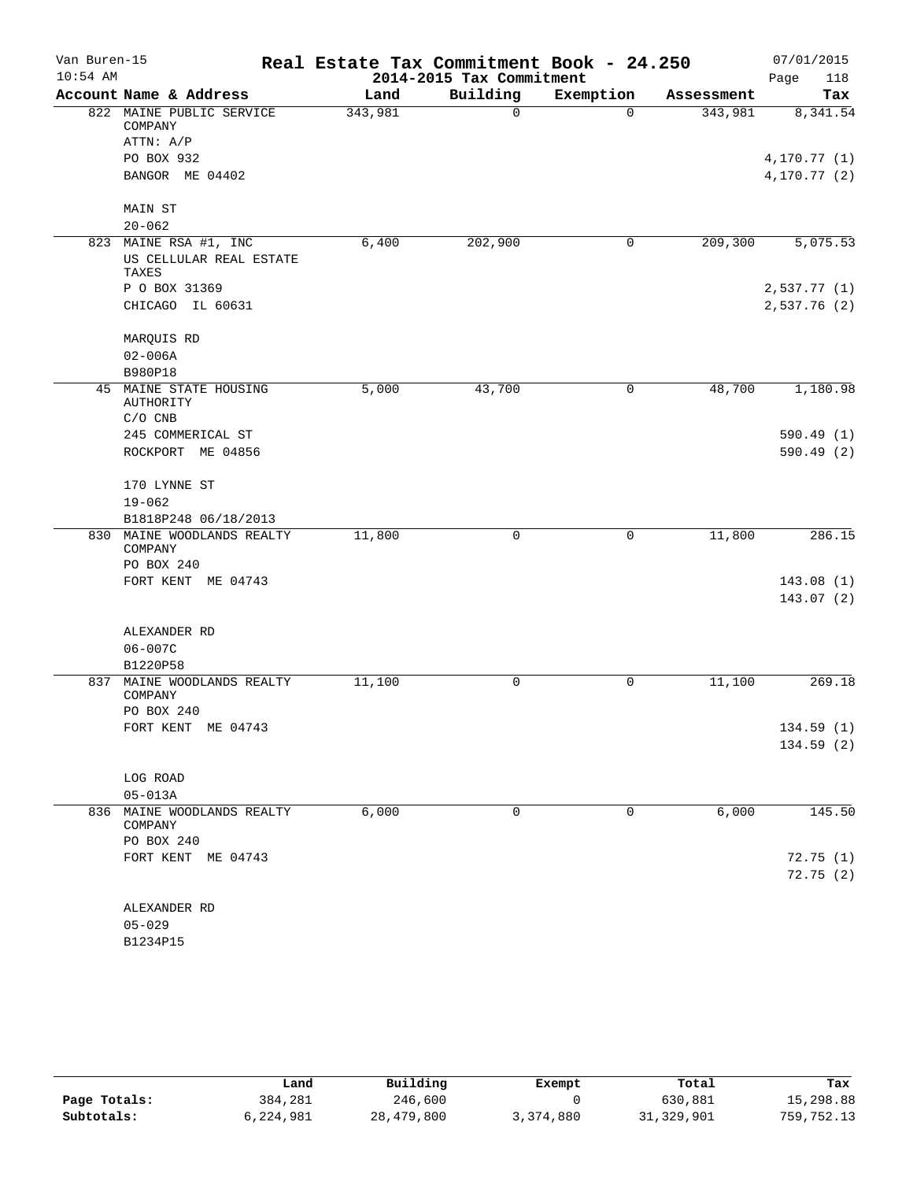| Van Buren-15<br>$10:54$ AM |                                                 | Real Estate Tax Commitment Book - 24.250 | 2014-2015 Tax Commitment |           |            | 07/01/2015<br>Page<br>118 |
|----------------------------|-------------------------------------------------|------------------------------------------|--------------------------|-----------|------------|---------------------------|
|                            | Account Name & Address                          | Land                                     | Building                 | Exemption | Assessment | Tax                       |
|                            | 822 MAINE PUBLIC SERVICE<br>COMPANY             | 343,981                                  | $\Omega$                 | $\Omega$  | 343,981    | 8,341.54                  |
|                            | ATTN: A/P                                       |                                          |                          |           |            |                           |
|                            | PO BOX 932                                      |                                          |                          |           |            | 4, 170.77(1)              |
|                            | BANGOR ME 04402                                 |                                          |                          |           |            | 4,170.77 (2)              |
|                            | <b>MAIN ST</b><br>$20 - 062$                    |                                          |                          |           |            |                           |
|                            | 823 MAINE RSA #1, INC                           | 6,400                                    | 202,900                  | 0         | 209,300    | 5,075.53                  |
|                            | US CELLULAR REAL ESTATE<br>TAXES                |                                          |                          |           |            |                           |
|                            | P O BOX 31369                                   |                                          |                          |           |            | 2,537.77(1)               |
|                            | CHICAGO IL 60631                                |                                          |                          |           |            | 2,537.76(2)               |
|                            | MARQUIS RD                                      |                                          |                          |           |            |                           |
|                            | $02 - 006A$                                     |                                          |                          |           |            |                           |
|                            | B980P18                                         |                                          |                          |           |            |                           |
|                            | 45 MAINE STATE HOUSING<br>AUTHORITY             | 5,000                                    | 43,700                   | 0         | 48,700     | 1,180.98                  |
|                            | $C/O$ CNB                                       |                                          |                          |           |            |                           |
|                            | 245 COMMERICAL ST                               |                                          |                          |           |            | 590.49(1)                 |
|                            | ROCKPORT ME 04856                               |                                          |                          |           |            | 590.49(2)                 |
|                            | 170 LYNNE ST                                    |                                          |                          |           |            |                           |
|                            | $19 - 062$                                      |                                          |                          |           |            |                           |
|                            | B1818P248 06/18/2013                            |                                          |                          |           |            |                           |
|                            | 830 MAINE WOODLANDS REALTY<br>COMPANY           | 11,800                                   | 0                        | 0         | 11,800     | 286.15                    |
|                            | PO BOX 240                                      |                                          |                          |           |            |                           |
|                            | FORT KENT ME 04743                              |                                          |                          |           |            | 143.08(1)                 |
|                            |                                                 |                                          |                          |           |            | 143.07 (2)                |
|                            | ALEXANDER RD                                    |                                          |                          |           |            |                           |
|                            | $06 - 007C$                                     |                                          |                          |           |            |                           |
|                            | B1220P58                                        |                                          |                          |           |            |                           |
| 837                        | MAINE WOODLANDS REALTY<br>COMPANY<br>PO BOX 240 | 11,100                                   | 0                        | 0         | 11,100     | 269.18                    |
|                            | FORT KENT ME 04743                              |                                          |                          |           |            | 134.59(1)                 |
|                            |                                                 |                                          |                          |           |            | 134.59(2)                 |
|                            |                                                 |                                          |                          |           |            |                           |
|                            | LOG ROAD                                        |                                          |                          |           |            |                           |
|                            | $05 - 013A$                                     |                                          |                          |           |            |                           |
|                            | 836 MAINE WOODLANDS REALTY<br>COMPANY           | 6,000                                    | 0                        | 0         | 6,000      | 145.50                    |
|                            | PO BOX 240                                      |                                          |                          |           |            |                           |
|                            | FORT KENT ME 04743                              |                                          |                          |           |            | 72.75(1)                  |
|                            |                                                 |                                          |                          |           |            | 72.75(2)                  |
|                            | ALEXANDER RD                                    |                                          |                          |           |            |                           |
|                            | $05 - 029$                                      |                                          |                          |           |            |                           |
|                            | B1234P15                                        |                                          |                          |           |            |                           |
|                            |                                                 |                                          |                          |           |            |                           |

|              | Land      | Building   | Exempt    | Total      | Tax        |
|--------------|-----------|------------|-----------|------------|------------|
| Page Totals: | 384,281   | 246,600    |           | 630,881    | 15,298.88  |
| Subtotals:   | 6,224,981 | 28,479,800 | 3,374,880 | 31,329,901 | 759,752.13 |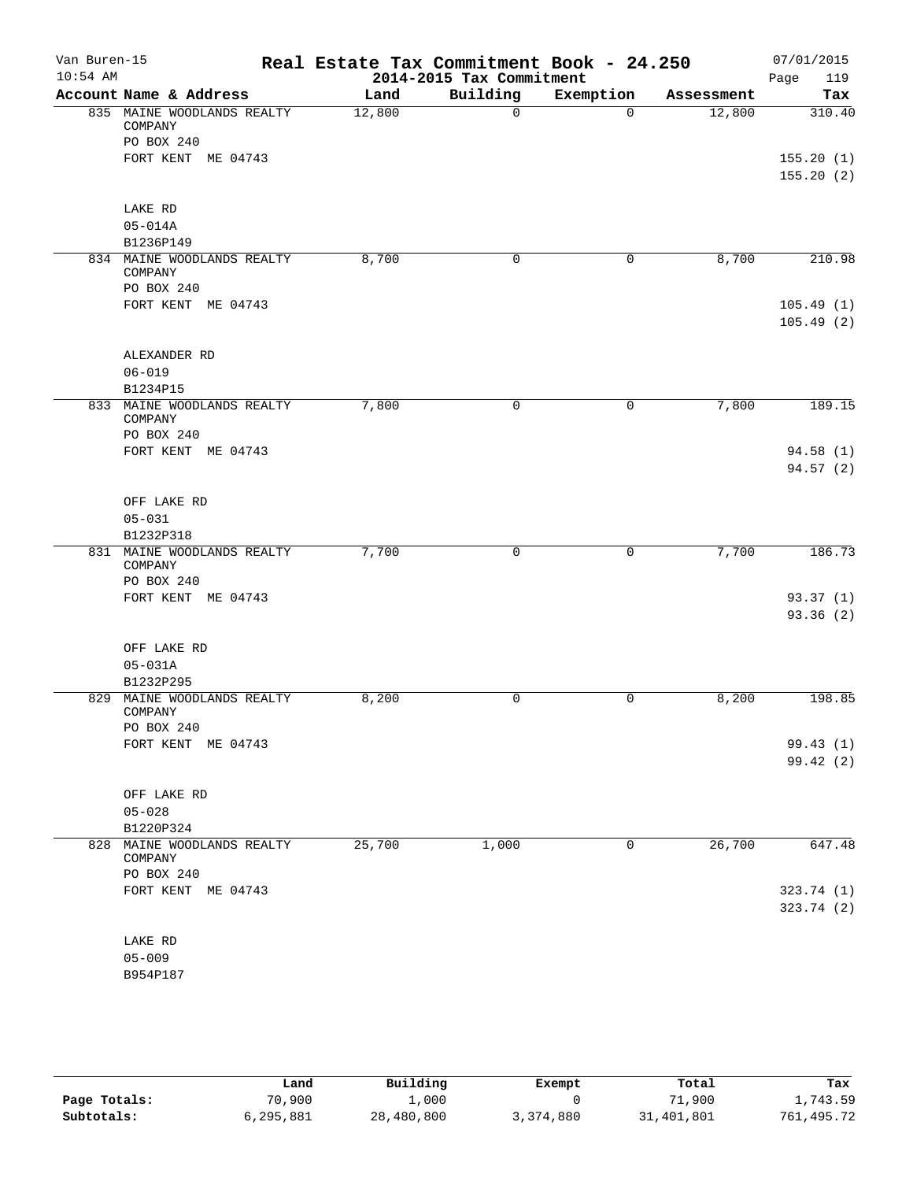| Van Buren-15<br>$10:54$ AM |                                       | Real Estate Tax Commitment Book - 24.250 | 2014-2015 Tax Commitment |           |            | 07/01/2015<br>119<br>Page |
|----------------------------|---------------------------------------|------------------------------------------|--------------------------|-----------|------------|---------------------------|
|                            | Account Name & Address                | Land                                     | Building                 | Exemption | Assessment | Tax                       |
|                            | 835 MAINE WOODLANDS REALTY<br>COMPANY | 12,800                                   | $\mathbf 0$              | $\Omega$  | 12,800     | 310.40                    |
|                            | PO BOX 240                            |                                          |                          |           |            |                           |
|                            | FORT KENT ME 04743                    |                                          |                          |           |            | 155.20(1)                 |
|                            |                                       |                                          |                          |           |            | 155.20(2)                 |
|                            | LAKE RD                               |                                          |                          |           |            |                           |
|                            | $05 - 014A$                           |                                          |                          |           |            |                           |
|                            | B1236P149                             |                                          |                          |           |            |                           |
|                            | 834 MAINE WOODLANDS REALTY<br>COMPANY | 8,700                                    | 0                        | 0         | 8,700      | 210.98                    |
|                            | PO BOX 240                            |                                          |                          |           |            |                           |
|                            | FORT KENT ME 04743                    |                                          |                          |           |            | 105.49(1)<br>105.49(2)    |
|                            | ALEXANDER RD                          |                                          |                          |           |            |                           |
|                            | $06 - 019$                            |                                          |                          |           |            |                           |
|                            | B1234P15                              |                                          |                          |           |            |                           |
|                            | 833 MAINE WOODLANDS REALTY<br>COMPANY | 7,800                                    | $\mathbf 0$              | 0         | 7,800      | 189.15                    |
|                            | PO BOX 240                            |                                          |                          |           |            |                           |
|                            | FORT KENT ME 04743                    |                                          |                          |           |            | 94.58(1)                  |
|                            |                                       |                                          |                          |           |            | 94.57(2)                  |
|                            | OFF LAKE RD                           |                                          |                          |           |            |                           |
|                            | $05 - 031$                            |                                          |                          |           |            |                           |
|                            | B1232P318                             |                                          |                          |           |            |                           |
|                            | 831 MAINE WOODLANDS REALTY<br>COMPANY | 7,700                                    | 0                        | 0         | 7,700      | 186.73                    |
|                            | PO BOX 240                            |                                          |                          |           |            |                           |
|                            | FORT KENT ME 04743                    |                                          |                          |           |            | 93.37(1)                  |
|                            |                                       |                                          |                          |           |            | 93.36 (2)                 |
|                            | OFF LAKE RD                           |                                          |                          |           |            |                           |
|                            | $05 - 031A$                           |                                          |                          |           |            |                           |
|                            | B1232P295                             |                                          |                          |           |            |                           |
|                            | 829 MAINE WOODLANDS REALTY<br>COMPANY | 8,200                                    | 0                        | 0         | 8,200      | 198.85                    |
|                            | PO BOX 240                            |                                          |                          |           |            |                           |
|                            | FORT KENT ME 04743                    |                                          |                          |           |            | 99.43(1)<br>99.42(2)      |
|                            |                                       |                                          |                          |           |            |                           |
|                            | OFF LAKE RD<br>$05 - 028$             |                                          |                          |           |            |                           |
|                            | B1220P324                             |                                          |                          |           |            |                           |
| 828                        | MAINE WOODLANDS REALTY                | 25,700                                   | 1,000                    | 0         | 26,700     | 647.48                    |
|                            | COMPANY<br>PO BOX 240                 |                                          |                          |           |            |                           |
|                            | FORT KENT ME 04743                    |                                          |                          |           |            | 323.74 (1)                |
|                            |                                       |                                          |                          |           |            | 323.74(2)                 |
|                            | LAKE RD                               |                                          |                          |           |            |                           |
|                            | $05 - 009$                            |                                          |                          |           |            |                           |
|                            | B954P187                              |                                          |                          |           |            |                           |
|                            |                                       |                                          |                          |           |            |                           |

|              | ⊥and      | Building   | Exempt    | Total      | Tax        |
|--------------|-----------|------------|-----------|------------|------------|
| Page Totals: | 70,900    | 1,000      |           | 71,900     | 1,743.59   |
| Subtotals:   | 6,295,881 | 28,480,800 | 3,374,880 | 31,401,801 | 761,495.72 |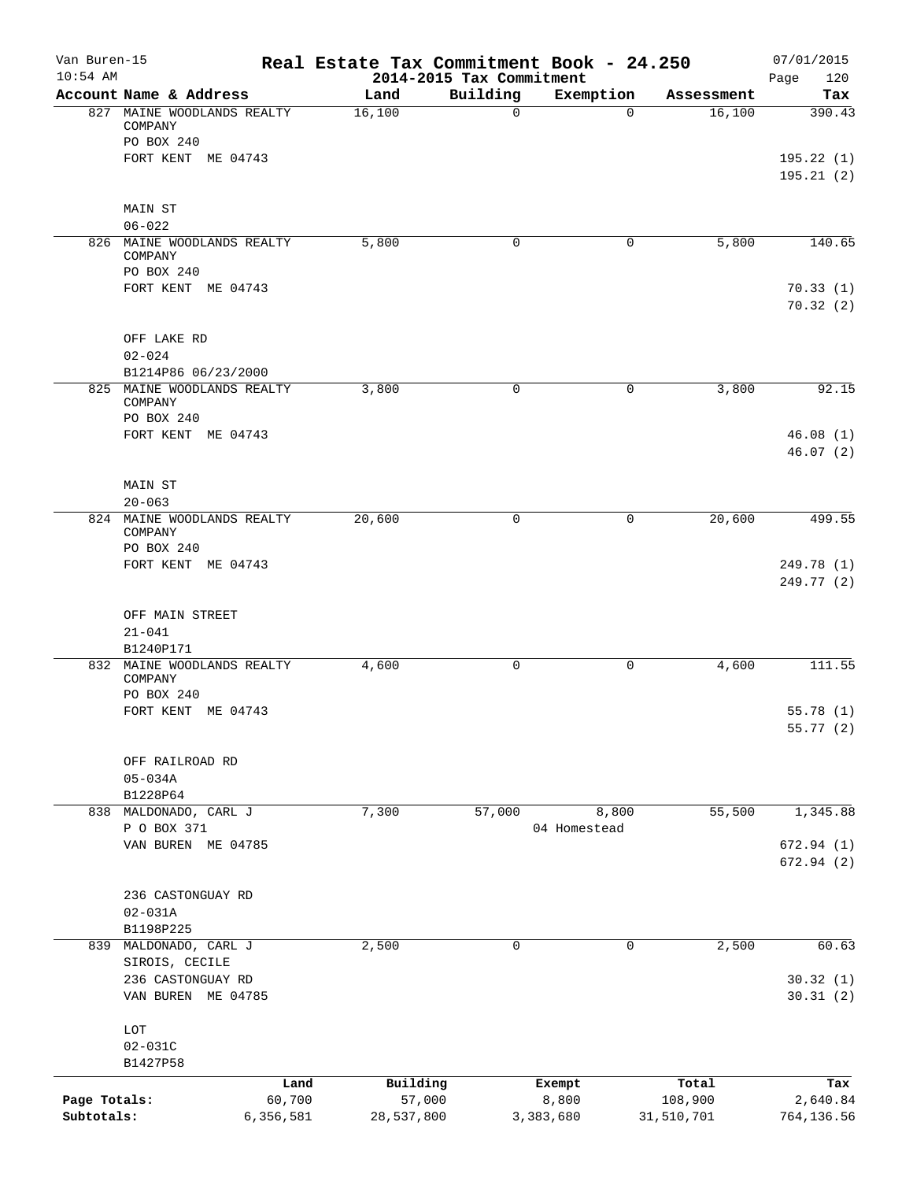| Van Buren-15<br>$10:54$ AM |                                                              |           | Real Estate Tax Commitment Book - 24.250 |                                      |              |            | 07/01/2015             |
|----------------------------|--------------------------------------------------------------|-----------|------------------------------------------|--------------------------------------|--------------|------------|------------------------|
|                            | Account Name & Address                                       |           | Land                                     | 2014-2015 Tax Commitment<br>Building | Exemption    | Assessment | 120<br>Page<br>Tax     |
|                            | 827 MAINE WOODLANDS REALTY                                   |           | 16,100                                   | $\mathbf 0$                          | $\Omega$     | 16,100     | 390.43                 |
|                            | COMPANY<br>PO BOX 240                                        |           |                                          |                                      |              |            |                        |
|                            | FORT KENT ME 04743                                           |           |                                          |                                      |              |            | 195.22(1)              |
|                            |                                                              |           |                                          |                                      |              |            | 195.21(2)              |
|                            | MAIN ST                                                      |           |                                          |                                      |              |            |                        |
|                            | $06 - 022$                                                   |           |                                          |                                      |              |            |                        |
|                            | 826 MAINE WOODLANDS REALTY<br>COMPANY                        |           | 5,800                                    | 0                                    | 0            | 5,800      | 140.65                 |
|                            | PO BOX 240                                                   |           |                                          |                                      |              |            |                        |
|                            | FORT KENT ME 04743                                           |           |                                          |                                      |              |            | 70.33(1)<br>70.32(2)   |
|                            | OFF LAKE RD                                                  |           |                                          |                                      |              |            |                        |
|                            | $02 - 024$                                                   |           |                                          |                                      |              |            |                        |
|                            | B1214P86 06/23/2000<br>825 MAINE WOODLANDS REALTY<br>COMPANY |           | 3,800                                    | $\mathbf 0$                          | 0            | 3,800      | 92.15                  |
|                            | PO BOX 240                                                   |           |                                          |                                      |              |            |                        |
|                            | FORT KENT ME 04743                                           |           |                                          |                                      |              |            | 46.08(1)<br>46.07(2)   |
|                            | <b>MAIN ST</b>                                               |           |                                          |                                      |              |            |                        |
|                            | $20 - 063$                                                   |           |                                          |                                      |              |            |                        |
|                            | 824 MAINE WOODLANDS REALTY<br>COMPANY<br>PO BOX 240          |           | 20,600                                   | 0                                    | 0            | 20,600     | 499.55                 |
|                            | FORT KENT ME 04743                                           |           |                                          |                                      |              |            | 249.78 (1)             |
|                            |                                                              |           |                                          |                                      |              |            | 249.77 (2)             |
|                            | OFF MAIN STREET                                              |           |                                          |                                      |              |            |                        |
|                            | $21 - 041$                                                   |           |                                          |                                      |              |            |                        |
|                            | B1240P171<br>832 MAINE WOODLANDS REALTY<br>COMPANY           |           | 4,600                                    | 0                                    | 0            | 4,600      | 111.55                 |
|                            | PO BOX 240                                                   |           |                                          |                                      |              |            |                        |
|                            | FORT KENT ME 04743                                           |           |                                          |                                      |              |            | 55.78(1)<br>55.77 (2)  |
|                            | OFF RAILROAD RD                                              |           |                                          |                                      |              |            |                        |
|                            | $05 - 034A$                                                  |           |                                          |                                      |              |            |                        |
|                            | B1228P64                                                     |           |                                          |                                      |              |            |                        |
|                            | 838 MALDONADO, CARL J                                        |           | 7,300                                    | 57,000                               | 8,800        | 55,500     | 1,345.88               |
|                            | P O BOX 371                                                  |           |                                          |                                      | 04 Homestead |            |                        |
|                            | VAN BUREN ME 04785                                           |           |                                          |                                      |              |            | 672.94(1)<br>672.94(2) |
|                            | 236 CASTONGUAY RD                                            |           |                                          |                                      |              |            |                        |
|                            | $02 - 031A$                                                  |           |                                          |                                      |              |            |                        |
|                            | B1198P225                                                    |           |                                          |                                      |              |            |                        |
|                            | 839 MALDONADO, CARL J<br>SIROIS, CECILE                      |           | 2,500                                    | $\mathbf 0$                          | 0            | 2,500      | 60.63                  |
|                            | 236 CASTONGUAY RD                                            |           |                                          |                                      |              |            | 30.32(1)               |
|                            | VAN BUREN ME 04785                                           |           |                                          |                                      |              |            | 30.31(2)               |
|                            | LOT                                                          |           |                                          |                                      |              |            |                        |
|                            | $02 - 031C$<br>B1427P58                                      |           |                                          |                                      |              |            |                        |
|                            |                                                              | Land      | Building                                 |                                      | Exempt       | Total      | Tax                    |
| Page Totals:               |                                                              | 60,700    | 57,000                                   |                                      | 8,800        | 108,900    | 2,640.84               |
| Subtotals:                 |                                                              | 6,356,581 | 28,537,800                               |                                      | 3,383,680    | 31,510,701 | 764,136.56             |
|                            |                                                              |           |                                          |                                      |              |            |                        |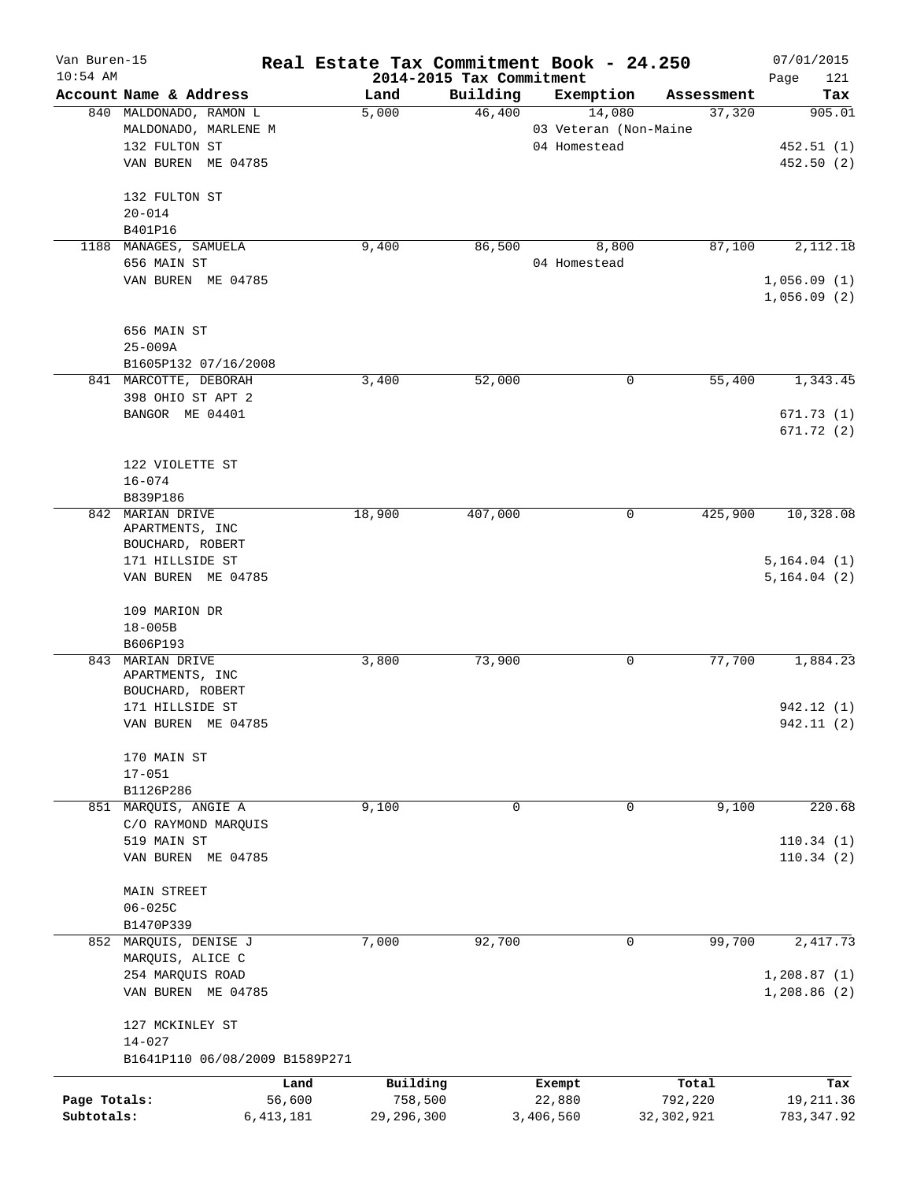| Van Buren-15 |                                | Real Estate Tax Commitment Book - 24.250 |                                      |                       |                      | 07/01/2015         |
|--------------|--------------------------------|------------------------------------------|--------------------------------------|-----------------------|----------------------|--------------------|
| $10:54$ AM   | Account Name & Address         | Land                                     | 2014-2015 Tax Commitment<br>Building | Exemption             |                      | 121<br>Page<br>Tax |
|              | 840 MALDONADO, RAMON L         | 5,000                                    | 46,400                               | 14,080                | Assessment<br>37,320 | 905.01             |
|              | MALDONADO, MARLENE M           |                                          |                                      | 03 Veteran (Non-Maine |                      |                    |
|              | 132 FULTON ST                  |                                          |                                      | 04 Homestead          |                      | 452.51(1)          |
|              |                                |                                          |                                      |                       |                      |                    |
|              | VAN BUREN ME 04785             |                                          |                                      |                       |                      | 452.50 (2)         |
|              | 132 FULTON ST                  |                                          |                                      |                       |                      |                    |
|              | $20 - 014$                     |                                          |                                      |                       |                      |                    |
|              | B401P16                        |                                          |                                      |                       |                      |                    |
|              | 1188 MANAGES, SAMUELA          | 9,400                                    | 86,500                               | 8,800                 | 87,100               | 2,112.18           |
|              | 656 MAIN ST                    |                                          |                                      | 04 Homestead          |                      |                    |
|              | VAN BUREN ME 04785             |                                          |                                      |                       |                      | 1,056.09(1)        |
|              |                                |                                          |                                      |                       |                      | 1,056.09(2)        |
|              | 656 MAIN ST                    |                                          |                                      |                       |                      |                    |
|              | $25 - 009A$                    |                                          |                                      |                       |                      |                    |
|              |                                |                                          |                                      |                       |                      |                    |
|              | B1605P132 07/16/2008           | 3,400                                    |                                      | 0                     | 55,400               |                    |
|              | 841 MARCOTTE, DEBORAH          |                                          | 52,000                               |                       |                      | 1,343.45           |
|              | 398 OHIO ST APT 2              |                                          |                                      |                       |                      |                    |
|              | BANGOR ME 04401                |                                          |                                      |                       |                      | 671.73(1)          |
|              |                                |                                          |                                      |                       |                      | 671.72(2)          |
|              | 122 VIOLETTE ST                |                                          |                                      |                       |                      |                    |
|              | $16 - 074$                     |                                          |                                      |                       |                      |                    |
|              | B839P186                       |                                          |                                      |                       |                      |                    |
|              | 842 MARIAN DRIVE               | 18,900                                   | 407,000                              | 0                     | 425,900              | 10,328.08          |
|              | APARTMENTS, INC                |                                          |                                      |                       |                      |                    |
|              | BOUCHARD, ROBERT               |                                          |                                      |                       |                      |                    |
|              | 171 HILLSIDE ST                |                                          |                                      |                       |                      | 5,164.04(1)        |
|              | VAN BUREN ME 04785             |                                          |                                      |                       |                      | 5, 164.04 (2)      |
|              |                                |                                          |                                      |                       |                      |                    |
|              | 109 MARION DR                  |                                          |                                      |                       |                      |                    |
|              | $18 - 005B$                    |                                          |                                      |                       |                      |                    |
|              | B606P193                       |                                          |                                      |                       |                      |                    |
|              | 843 MARIAN DRIVE               | 3,800                                    | 73,900                               | 0                     | 77,700               | 1,884.23           |
|              | APARTMENTS, INC                |                                          |                                      |                       |                      |                    |
|              | BOUCHARD, ROBERT               |                                          |                                      |                       |                      |                    |
|              | 171 HILLSIDE ST                |                                          |                                      |                       |                      | 942.12 (1)         |
|              | VAN BUREN ME 04785             |                                          |                                      |                       |                      | 942.11 (2)         |
|              | 170 MAIN ST                    |                                          |                                      |                       |                      |                    |
|              | $17 - 051$                     |                                          |                                      |                       |                      |                    |
|              | B1126P286                      |                                          |                                      |                       |                      |                    |
|              | 851 MARQUIS, ANGIE A           | 9,100                                    | 0                                    | 0                     | 9,100                | 220.68             |
|              | C/O RAYMOND MARQUIS            |                                          |                                      |                       |                      |                    |
|              | 519 MAIN ST                    |                                          |                                      |                       |                      | 110.34(1)          |
|              | VAN BUREN ME 04785             |                                          |                                      |                       |                      | 110.34(2)          |
|              |                                |                                          |                                      |                       |                      |                    |
|              | <b>MAIN STREET</b>             |                                          |                                      |                       |                      |                    |
|              | $06 - 025C$                    |                                          |                                      |                       |                      |                    |
|              | B1470P339                      |                                          |                                      |                       |                      |                    |
|              | 852 MARQUIS, DENISE J          | 7,000                                    | 92,700                               | 0                     | 99,700               | 2,417.73           |
|              | MARQUIS, ALICE C               |                                          |                                      |                       |                      |                    |
|              | 254 MARQUIS ROAD               |                                          |                                      |                       |                      | 1,208.87(1)        |
|              | VAN BUREN ME 04785             |                                          |                                      |                       |                      | 1,208.86(2)        |
|              |                                |                                          |                                      |                       |                      |                    |
|              | 127 MCKINLEY ST<br>$14 - 027$  |                                          |                                      |                       |                      |                    |
|              | B1641P110 06/08/2009 B1589P271 |                                          |                                      |                       |                      |                    |
|              |                                | Land                                     | Building                             | Exempt                | Total                | Tax                |
| Page Totals: |                                | 56,600                                   | 758,500                              | 22,880                | 792,220              | 19, 211.36         |
| Subtotals:   | 6, 413, 181                    | 29, 296, 300                             |                                      | 3,406,560             | 32, 302, 921         | 783, 347.92        |
|              |                                |                                          |                                      |                       |                      |                    |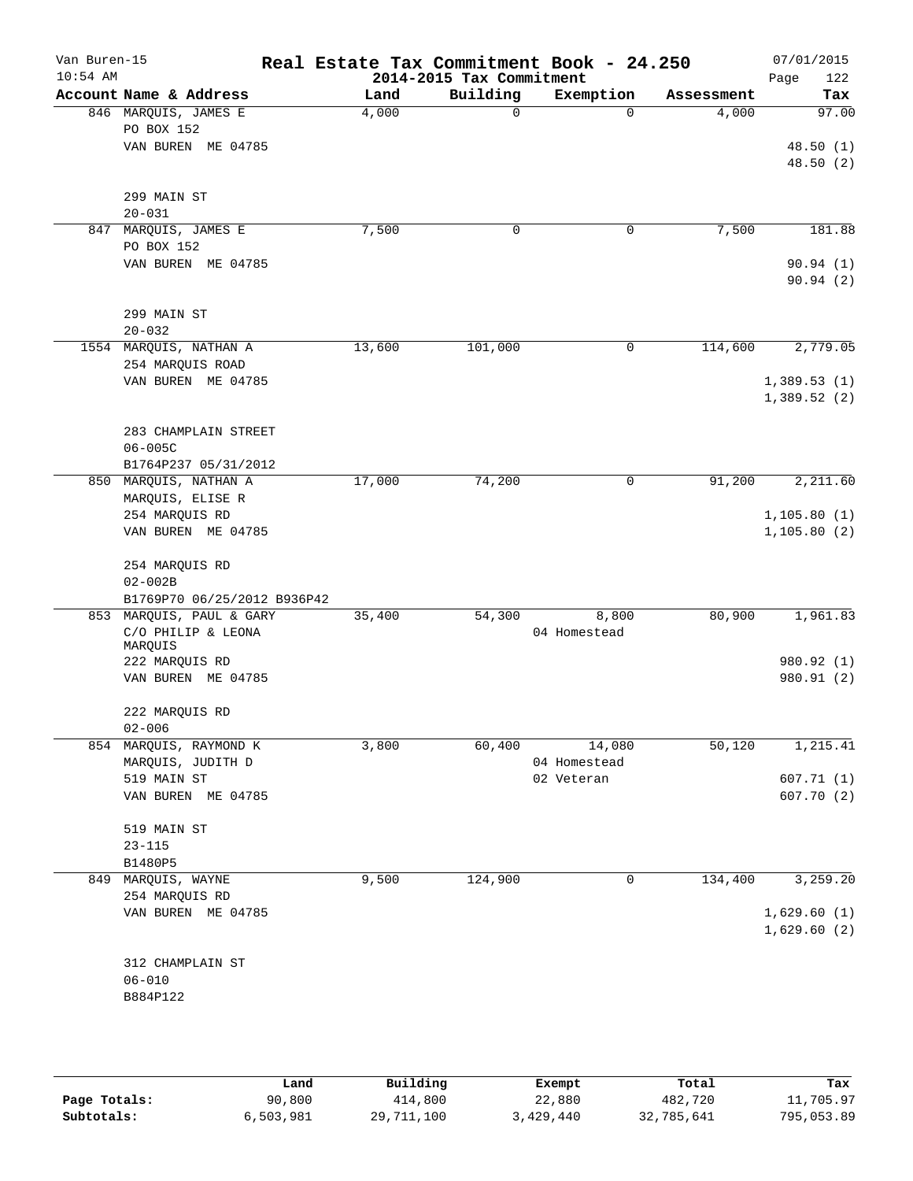| Van Buren-15<br>$10:54$ AM |                               |        | 2014-2015 Tax Commitment | Real Estate Tax Commitment Book - 24.250 |            | 07/01/2015<br>122<br>Page |
|----------------------------|-------------------------------|--------|--------------------------|------------------------------------------|------------|---------------------------|
|                            | Account Name & Address        | Land   | Building                 | Exemption                                | Assessment | Tax                       |
|                            | 846 MARQUIS, JAMES E          | 4,000  | $\mathbf 0$              | $\Omega$                                 | 4,000      | 97.00                     |
|                            | PO BOX 152                    |        |                          |                                          |            |                           |
|                            | VAN BUREN ME 04785            |        |                          |                                          |            | 48.50(1)                  |
|                            |                               |        |                          |                                          |            | 48.50(2)                  |
|                            |                               |        |                          |                                          |            |                           |
|                            | 299 MAIN ST                   |        |                          |                                          |            |                           |
|                            | $20 - 031$                    |        |                          |                                          |            |                           |
|                            | 847 MARQUIS, JAMES E          | 7,500  | 0                        | 0                                        | 7,500      | 181.88                    |
|                            | PO BOX 152                    |        |                          |                                          |            |                           |
|                            | VAN BUREN ME 04785            |        |                          |                                          |            | 90.94(1)                  |
|                            |                               |        |                          |                                          |            | 90.94(2)                  |
|                            |                               |        |                          |                                          |            |                           |
|                            | 299 MAIN ST                   |        |                          |                                          |            |                           |
|                            | $20 - 032$                    |        |                          |                                          |            |                           |
|                            | 1554 MARQUIS, NATHAN A        | 13,600 | 101,000                  | 0                                        | 114,600    | 2,779.05                  |
|                            | 254 MARQUIS ROAD              |        |                          |                                          |            |                           |
|                            | VAN BUREN ME 04785            |        |                          |                                          |            | 1,389.53(1)               |
|                            |                               |        |                          |                                          |            | 1,389.52(2)               |
|                            |                               |        |                          |                                          |            |                           |
|                            | 283 CHAMPLAIN STREET          |        |                          |                                          |            |                           |
|                            | $06 - 005C$                   |        |                          |                                          |            |                           |
|                            | B1764P237 05/31/2012          |        |                          |                                          |            |                           |
|                            | 850 MARQUIS, NATHAN A         | 17,000 | 74,200                   | 0                                        | 91,200     | 2,211.60                  |
|                            | MARQUIS, ELISE R              |        |                          |                                          |            |                           |
|                            | 254 MARQUIS RD                |        |                          |                                          |            | 1, 105.80(1)              |
|                            | VAN BUREN ME 04785            |        |                          |                                          |            | 1,105.80(2)               |
|                            |                               |        |                          |                                          |            |                           |
|                            | 254 MARQUIS RD<br>$02 - 002B$ |        |                          |                                          |            |                           |
|                            | B1769P70 06/25/2012 B936P42   |        |                          |                                          |            |                           |
|                            | 853 MARQUIS, PAUL & GARY      | 35,400 | 54,300                   | 8,800                                    | 80,900     | 1,961.83                  |
|                            | C/O PHILIP & LEONA            |        |                          | 04 Homestead                             |            |                           |
|                            | MARQUIS                       |        |                          |                                          |            |                           |
|                            | 222 MARQUIS RD                |        |                          |                                          |            | 980.92 (1)                |
|                            | VAN BUREN ME 04785            |        |                          |                                          |            | 980.91 (2)                |
|                            |                               |        |                          |                                          |            |                           |
|                            | 222 MARQUIS RD                |        |                          |                                          |            |                           |
|                            | $02 - 006$                    |        |                          |                                          |            |                           |
|                            | 854 MARQUIS, RAYMOND K        | 3,800  | 60,400                   | 14,080                                   | 50,120     | 1,215.41                  |
|                            | MARQUIS, JUDITH D             |        |                          | 04 Homestead                             |            |                           |
|                            | 519 MAIN ST                   |        |                          | 02 Veteran                               |            | 607.71(1)                 |
|                            | VAN BUREN ME 04785            |        |                          |                                          |            | 607.70(2)                 |
|                            |                               |        |                          |                                          |            |                           |
|                            | 519 MAIN ST                   |        |                          |                                          |            |                           |
|                            | $23 - 115$                    |        |                          |                                          |            |                           |
|                            | B1480P5                       |        |                          |                                          |            |                           |
| 849                        | MARQUIS, WAYNE                | 9,500  | 124,900                  | 0                                        | 134,400    | 3,259.20                  |
|                            | 254 MARQUIS RD                |        |                          |                                          |            |                           |
|                            | VAN BUREN ME 04785            |        |                          |                                          |            | 1,629.60(1)               |
|                            |                               |        |                          |                                          |            | 1,629.60(2)               |
|                            |                               |        |                          |                                          |            |                           |
|                            | 312 CHAMPLAIN ST              |        |                          |                                          |            |                           |
|                            | $06 - 010$                    |        |                          |                                          |            |                           |
|                            | B884P122                      |        |                          |                                          |            |                           |
|                            |                               |        |                          |                                          |            |                           |
|                            |                               |        |                          |                                          |            |                           |

|              | Land      | Building   | Exempt    | Total      | Tax        |
|--------------|-----------|------------|-----------|------------|------------|
| Page Totals: | 90,800    | 414,800    | 22,880    | 482,720    | 11,705.97  |
| Subtotals:   | 6,503,981 | 29,711,100 | 3,429,440 | 32,785,641 | 795,053.89 |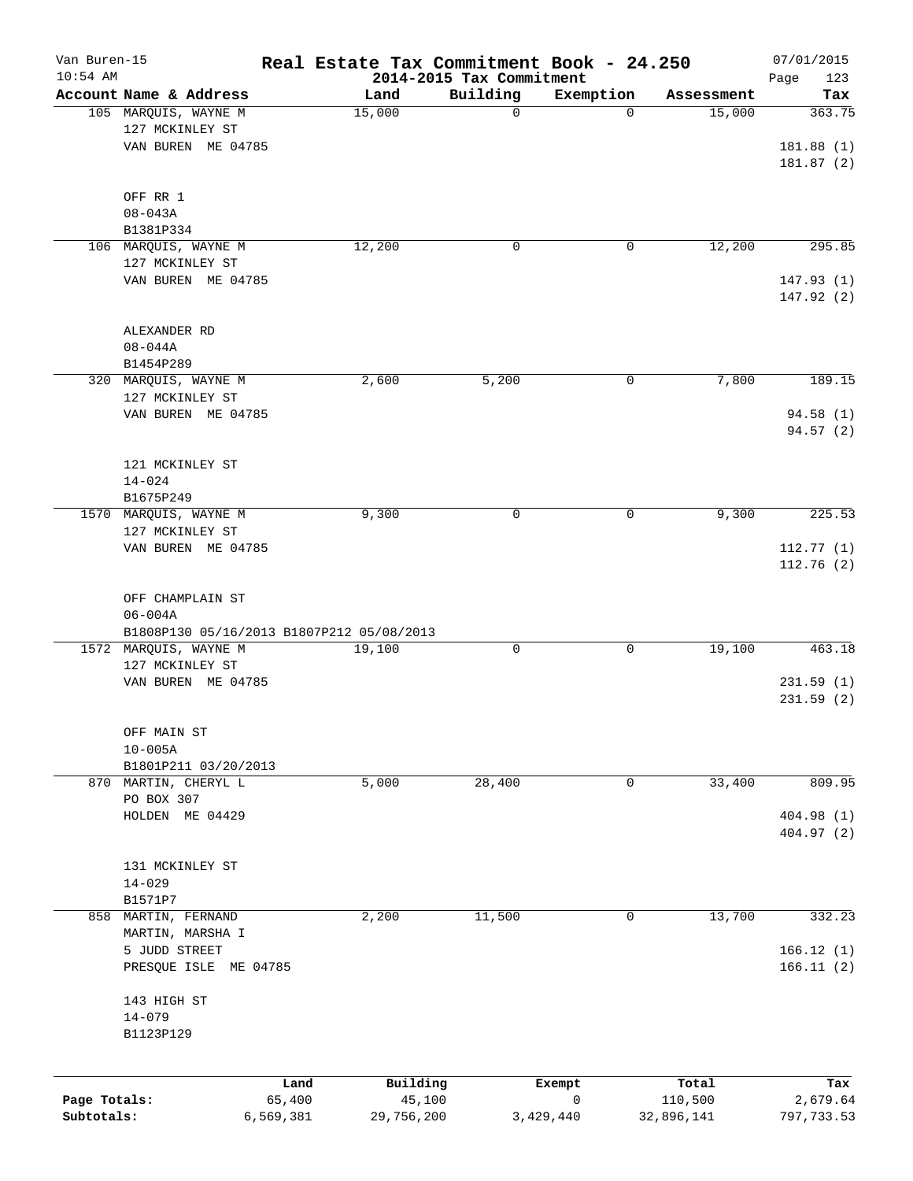| Van Buren-15<br>$10:54$ AM |                                           |                      | Real Estate Tax Commitment Book - 24.250<br>2014-2015 Tax Commitment |           |                       | 07/01/2015             |
|----------------------------|-------------------------------------------|----------------------|----------------------------------------------------------------------|-----------|-----------------------|------------------------|
|                            | Account Name & Address                    | Land                 | Building                                                             | Exemption | Assessment            | Page<br>123<br>Tax     |
|                            | 105 MARQUIS, WAYNE M                      | 15,000               | $\mathbf 0$                                                          | $\Omega$  | 15,000                | 363.75                 |
|                            | 127 MCKINLEY ST                           |                      |                                                                      |           |                       |                        |
|                            | VAN BUREN ME 04785                        |                      |                                                                      |           |                       | 181.88(1)              |
|                            |                                           |                      |                                                                      |           |                       | 181.87 (2)             |
|                            |                                           |                      |                                                                      |           |                       |                        |
|                            | OFF RR 1                                  |                      |                                                                      |           |                       |                        |
|                            | $08 - 043A$                               |                      |                                                                      |           |                       |                        |
|                            | B1381P334                                 |                      |                                                                      |           |                       |                        |
|                            | 106 MARQUIS, WAYNE M                      | 12,200               | $\mathbf 0$                                                          | 0         | 12,200                | 295.85                 |
|                            | 127 MCKINLEY ST                           |                      |                                                                      |           |                       |                        |
|                            | VAN BUREN ME 04785                        |                      |                                                                      |           |                       | 147.93(1)              |
|                            |                                           |                      |                                                                      |           |                       | 147.92 (2)             |
|                            |                                           |                      |                                                                      |           |                       |                        |
|                            | ALEXANDER RD                              |                      |                                                                      |           |                       |                        |
|                            | $08 - 044A$                               |                      |                                                                      |           |                       |                        |
|                            | B1454P289                                 |                      |                                                                      |           |                       |                        |
|                            | 320 MARQUIS, WAYNE M<br>127 MCKINLEY ST   | 2,600                | 5,200                                                                | 0         | 7,800                 | 189.15                 |
|                            | VAN BUREN ME 04785                        |                      |                                                                      |           |                       | 94.58 (1)              |
|                            |                                           |                      |                                                                      |           |                       | 94.57 (2)              |
|                            |                                           |                      |                                                                      |           |                       |                        |
|                            | 121 MCKINLEY ST                           |                      |                                                                      |           |                       |                        |
|                            | $14 - 024$                                |                      |                                                                      |           |                       |                        |
|                            | B1675P249                                 |                      |                                                                      |           |                       |                        |
|                            | 1570 MARQUIS, WAYNE M                     | 9,300                | $\mathbf 0$                                                          | 0         | 9,300                 | 225.53                 |
|                            | 127 MCKINLEY ST                           |                      |                                                                      |           |                       |                        |
|                            | VAN BUREN ME 04785                        |                      |                                                                      |           |                       | 112.77(1)              |
|                            |                                           |                      |                                                                      |           |                       | 112.76 (2)             |
|                            |                                           |                      |                                                                      |           |                       |                        |
|                            | OFF CHAMPLAIN ST                          |                      |                                                                      |           |                       |                        |
|                            | $06 - 004A$                               |                      |                                                                      |           |                       |                        |
|                            | B1808P130 05/16/2013 B1807P212 05/08/2013 |                      |                                                                      |           |                       |                        |
|                            | 1572 MARQUIS, WAYNE M                     | 19,100               | $\mathbf 0$                                                          | 0         | 19,100                | 463.18                 |
|                            | 127 MCKINLEY ST                           |                      |                                                                      |           |                       |                        |
|                            | VAN BUREN ME 04785                        |                      |                                                                      |           |                       | 231.59(1)<br>231.59(2) |
|                            |                                           |                      |                                                                      |           |                       |                        |
|                            | OFF MAIN ST                               |                      |                                                                      |           |                       |                        |
|                            | $10 - 005A$                               |                      |                                                                      |           |                       |                        |
|                            | B1801P211 03/20/2013                      |                      |                                                                      |           |                       |                        |
| 870                        | MARTIN, CHERYL L                          | 5,000                | 28,400                                                               | 0         | 33,400                | 809.95                 |
|                            | PO BOX 307                                |                      |                                                                      |           |                       |                        |
|                            | HOLDEN ME 04429                           |                      |                                                                      |           |                       | 404.98 (1)             |
|                            |                                           |                      |                                                                      |           |                       | 404.97 (2)             |
|                            |                                           |                      |                                                                      |           |                       |                        |
|                            | 131 MCKINLEY ST                           |                      |                                                                      |           |                       |                        |
|                            | $14 - 029$                                |                      |                                                                      |           |                       |                        |
|                            | B1571P7                                   |                      |                                                                      |           |                       |                        |
| 858                        | MARTIN, FERNAND                           | 2,200                | 11,500                                                               | 0         | 13,700                | 332.23                 |
|                            | MARTIN, MARSHA I                          |                      |                                                                      |           |                       |                        |
|                            | 5 JUDD STREET                             |                      |                                                                      |           |                       | 166.12(1)              |
|                            | PRESQUE ISLE ME 04785                     |                      |                                                                      |           |                       | 166.11(2)              |
|                            | 143 HIGH ST                               |                      |                                                                      |           |                       |                        |
|                            | $14 - 079$                                |                      |                                                                      |           |                       |                        |
|                            | B1123P129                                 |                      |                                                                      |           |                       |                        |
|                            |                                           |                      |                                                                      |           |                       |                        |
|                            |                                           |                      |                                                                      |           |                       |                        |
|                            |                                           | Building<br>Land     | Exempt<br>0                                                          |           | Total                 | Tax                    |
| Page Totals:<br>Subtotals: | 65,400<br>6,569,381                       | 45,100<br>29,756,200 | 3,429,440                                                            |           | 110,500<br>32,896,141 | 2,679.64<br>797,733.53 |
|                            |                                           |                      |                                                                      |           |                       |                        |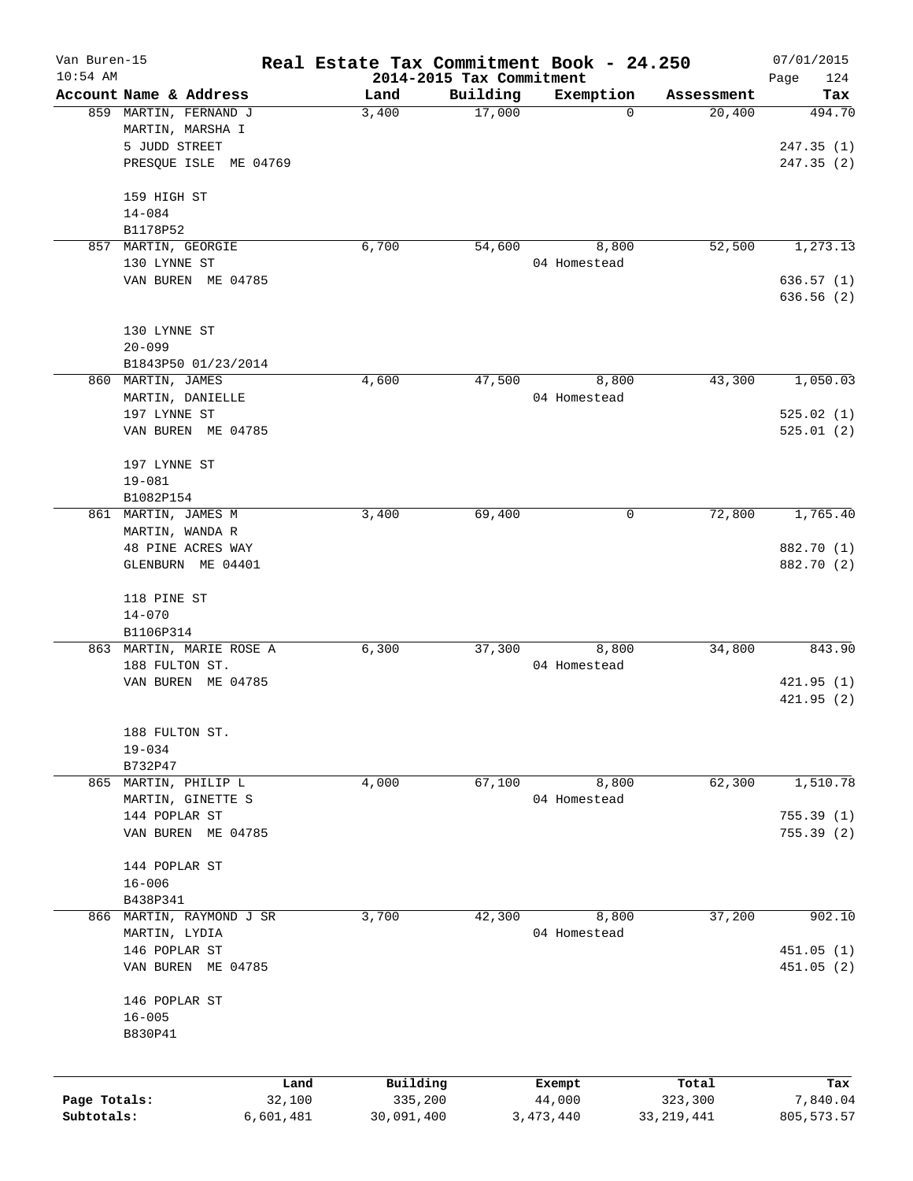| Van Buren-15 |                                           | Real Estate Tax Commitment Book - 24.250 |                                      |                       |              | 07/01/2015              |
|--------------|-------------------------------------------|------------------------------------------|--------------------------------------|-----------------------|--------------|-------------------------|
| $10:54$ AM   | Account Name & Address                    | Land                                     | 2014-2015 Tax Commitment<br>Building | Exemption             | Assessment   | Page<br>124<br>Tax      |
|              | 859 MARTIN, FERNAND J<br>MARTIN, MARSHA I | 3,400                                    | 17,000                               | 0                     | 20,400       | 494.70                  |
|              | 5 JUDD STREET<br>PRESQUE ISLE ME 04769    |                                          |                                      |                       |              | 247.35(1)<br>247.35 (2) |
|              | 159 HIGH ST<br>$14 - 084$                 |                                          |                                      |                       |              |                         |
|              | B1178P52                                  |                                          |                                      |                       |              |                         |
| 857          | MARTIN, GEORGIE<br>130 LYNNE ST           | 6,700                                    | 54,600                               | 8,800<br>04 Homestead | 52,500       | 1,273.13                |
|              | VAN BUREN ME 04785                        |                                          |                                      |                       |              | 636.57 (1)              |
|              |                                           |                                          |                                      |                       |              | 636.56(2)               |
|              | 130 LYNNE ST                              |                                          |                                      |                       |              |                         |
|              | $20 - 099$<br>B1843P50 01/23/2014         |                                          |                                      |                       |              |                         |
|              | 860 MARTIN, JAMES                         | 4,600                                    | 47,500                               | 8,800                 | 43,300       | 1,050.03                |
|              | MARTIN, DANIELLE                          |                                          |                                      | 04 Homestead          |              |                         |
|              | 197 LYNNE ST                              |                                          |                                      |                       |              | 525.02(1)               |
|              | VAN BUREN ME 04785                        |                                          |                                      |                       |              | 525.01(2)               |
|              | 197 LYNNE ST                              |                                          |                                      |                       |              |                         |
|              | $19 - 081$<br>B1082P154                   |                                          |                                      |                       |              |                         |
|              | 861 MARTIN, JAMES M                       | 3,400                                    | 69,400                               | 0                     | 72,800       | 1,765.40                |
|              | MARTIN, WANDA R                           |                                          |                                      |                       |              |                         |
|              | 48 PINE ACRES WAY                         |                                          |                                      |                       |              | 882.70 (1)              |
|              | GLENBURN ME 04401                         |                                          |                                      |                       |              | 882.70 (2)              |
|              | 118 PINE ST                               |                                          |                                      |                       |              |                         |
|              | $14 - 070$                                |                                          |                                      |                       |              |                         |
|              | B1106P314<br>863 MARTIN, MARIE ROSE A     | 6,300                                    | 37,300                               | 8,800                 | 34,800       | 843.90                  |
|              | 188 FULTON ST.                            |                                          |                                      | 04 Homestead          |              |                         |
|              | VAN BUREN ME 04785                        |                                          |                                      |                       |              | 421.95(1)               |
|              |                                           |                                          |                                      |                       |              | 421.95(2)               |
|              | 188 FULTON ST.                            |                                          |                                      |                       |              |                         |
|              | $19 - 034$                                |                                          |                                      |                       |              |                         |
|              | B732P47                                   |                                          |                                      |                       |              |                         |
|              | 865 MARTIN, PHILIP L<br>MARTIN, GINETTE S | 4,000                                    | 67,100                               | 8,800<br>04 Homestead | 62,300       | 1,510.78                |
|              | 144 POPLAR ST                             |                                          |                                      |                       |              | 755.39(1)               |
|              | VAN BUREN ME 04785                        |                                          |                                      |                       |              | 755.39(2)               |
|              | 144 POPLAR ST                             |                                          |                                      |                       |              |                         |
|              | $16 - 006$                                |                                          |                                      |                       |              |                         |
|              | B438P341                                  |                                          |                                      |                       |              |                         |
|              | 866 MARTIN, RAYMOND J SR                  | 3,700                                    | 42,300                               | 8,800                 | 37,200       | 902.10                  |
|              | MARTIN, LYDIA                             |                                          |                                      | 04 Homestead          |              |                         |
|              | 146 POPLAR ST<br>VAN BUREN ME 04785       |                                          |                                      |                       |              | 451.05(1)<br>451.05 (2) |
|              |                                           |                                          |                                      |                       |              |                         |
|              | 146 POPLAR ST                             |                                          |                                      |                       |              |                         |
|              | $16 - 005$<br>B830P41                     |                                          |                                      |                       |              |                         |
|              |                                           |                                          |                                      |                       |              |                         |
|              | Land                                      | Building                                 |                                      | Exempt                | Total        | Tax                     |
| Page Totals: | 32,100                                    | 335,200                                  |                                      | 44,000                | 323,300      | 7,840.04                |
| Subtotals:   | 6,601,481                                 | 30,091,400                               |                                      | 3,473,440             | 33, 219, 441 | 805, 573.57             |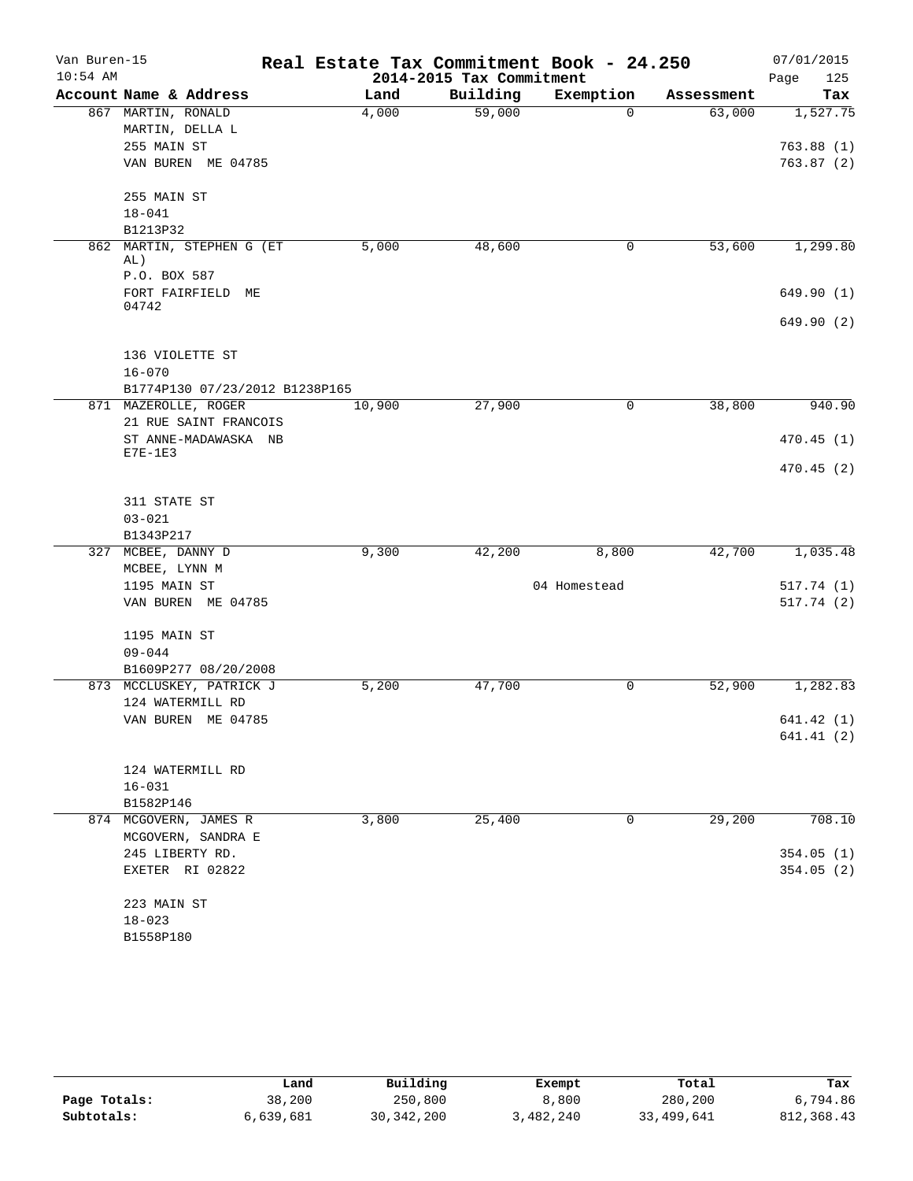| Van Buren-15<br>$10:54$ AM |                                               | Real Estate Tax Commitment Book - 24.250 | 2014-2015 Tax Commitment |              |            | 07/01/2015<br>125<br>Page |
|----------------------------|-----------------------------------------------|------------------------------------------|--------------------------|--------------|------------|---------------------------|
|                            | Account Name & Address                        | Land                                     | Building                 | Exemption    | Assessment | Tax                       |
|                            | 867 MARTIN, RONALD                            | 4,000                                    | 59,000                   | $\Omega$     | 63,000     | 1,527.75                  |
|                            | MARTIN, DELLA L                               |                                          |                          |              |            |                           |
|                            | 255 MAIN ST                                   |                                          |                          |              |            | 763.88(1)                 |
|                            | VAN BUREN ME 04785                            |                                          |                          |              |            | 763.87(2)                 |
|                            | 255 MAIN ST                                   |                                          |                          |              |            |                           |
|                            | $18 - 041$                                    |                                          |                          |              |            |                           |
|                            | B1213P32                                      |                                          |                          |              |            |                           |
|                            | 862 MARTIN, STEPHEN G (ET<br>AL)              | 5,000                                    | 48,600                   | 0            | 53,600     | 1,299.80                  |
|                            | P.O. BOX 587                                  |                                          |                          |              |            |                           |
|                            | FORT FAIRFIELD ME<br>04742                    |                                          |                          |              |            | 649.90 (1)                |
|                            |                                               |                                          |                          |              |            | 649.90 (2)                |
|                            | 136 VIOLETTE ST                               |                                          |                          |              |            |                           |
|                            | $16 - 070$                                    |                                          |                          |              |            |                           |
|                            | B1774P130 07/23/2012 B1238P165                |                                          |                          |              |            |                           |
|                            | 871 MAZEROLLE, ROGER                          | 10,900                                   | 27,900                   | $\mathsf{O}$ | 38,800     | 940.90                    |
|                            | 21 RUE SAINT FRANCOIS<br>ST ANNE-MADAWASKA NB |                                          |                          |              |            | 470.45(1)                 |
|                            | $E7E-1E3$                                     |                                          |                          |              |            |                           |
|                            |                                               |                                          |                          |              |            | 470.45(2)                 |
|                            | 311 STATE ST                                  |                                          |                          |              |            |                           |
|                            | $03 - 021$                                    |                                          |                          |              |            |                           |
|                            | B1343P217                                     |                                          |                          |              |            |                           |
|                            | 327 MCBEE, DANNY D                            | 9,300                                    | 42,200                   | 8,800        | 42,700     | 1,035.48                  |
|                            | MCBEE, LYNN M                                 |                                          |                          |              |            |                           |
|                            | 1195 MAIN ST                                  |                                          |                          | 04 Homestead |            | 517.74(1)                 |
|                            | VAN BUREN ME 04785                            |                                          |                          |              |            | 517.74(2)                 |
|                            | 1195 MAIN ST                                  |                                          |                          |              |            |                           |
|                            | $09 - 044$                                    |                                          |                          |              |            |                           |
|                            | B1609P277 08/20/2008                          |                                          |                          |              |            |                           |
|                            | 873 MCCLUSKEY, PATRICK J                      | 5,200                                    | 47,700                   | 0            | 52,900     | 1,282.83                  |
|                            | 124 WATERMILL RD                              |                                          |                          |              |            |                           |
|                            | VAN BUREN ME 04785                            |                                          |                          |              |            | 641.42 (1)                |
|                            |                                               |                                          |                          |              |            | 641.41(2)                 |
|                            |                                               |                                          |                          |              |            |                           |
|                            | 124 WATERMILL RD<br>$16 - 031$                |                                          |                          |              |            |                           |
|                            | B1582P146                                     |                                          |                          |              |            |                           |
|                            | 874 MCGOVERN, JAMES R                         | 3,800                                    | 25,400                   | 0            | 29,200     | 708.10                    |
|                            | MCGOVERN, SANDRA E                            |                                          |                          |              |            |                           |
|                            | 245 LIBERTY RD.                               |                                          |                          |              |            | 354.05(1)                 |
|                            | EXETER RI 02822                               |                                          |                          |              |            | 354.05 (2)                |
|                            | 223 MAIN ST                                   |                                          |                          |              |            |                           |
|                            | $18 - 023$                                    |                                          |                          |              |            |                           |
|                            | B1558P180                                     |                                          |                          |              |            |                           |

|              | Land      | Building     | Exempt    | Total      | Tax         |
|--------------|-----------|--------------|-----------|------------|-------------|
| Page Totals: | 38,200    | 250,800      | 8,800     | 280,200    | 6,794.86    |
| Subtotals:   | 6,639,681 | 30, 342, 200 | 3,482,240 | 33,499,641 | 812, 368.43 |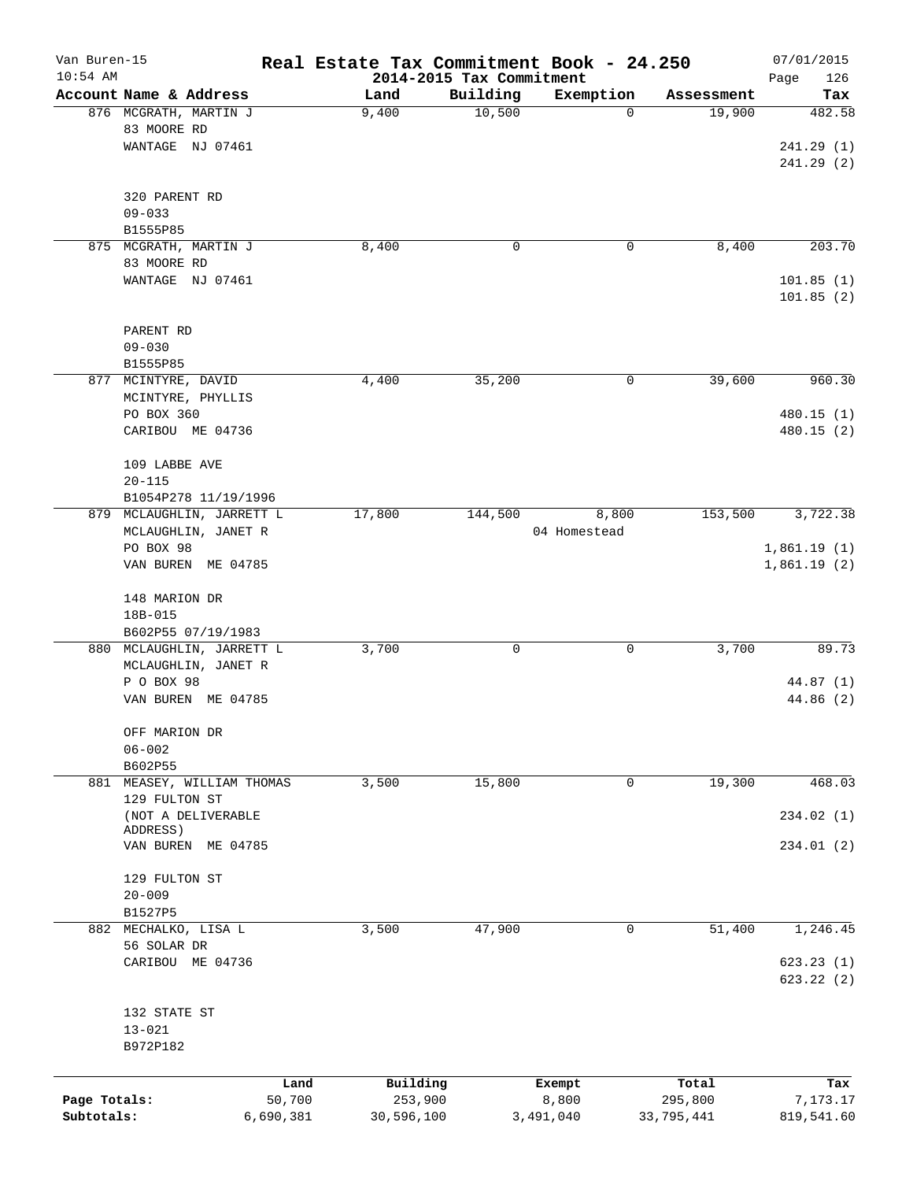| Van Buren-15<br>$10:54$ AM |                           | Real Estate Tax Commitment Book - 24.250 | 2014-2015 Tax Commitment |              |            | 07/01/2015         |
|----------------------------|---------------------------|------------------------------------------|--------------------------|--------------|------------|--------------------|
|                            | Account Name & Address    | Land                                     | Building                 | Exemption    | Assessment | 126<br>Page<br>Tax |
|                            | 876 MCGRATH, MARTIN J     | 9,400                                    | 10,500                   | 0            | 19,900     | 482.58             |
|                            | 83 MOORE RD               |                                          |                          |              |            |                    |
|                            | WANTAGE NJ 07461          |                                          |                          |              |            | 241.29(1)          |
|                            |                           |                                          |                          |              |            | 241.29(2)          |
|                            | 320 PARENT RD             |                                          |                          |              |            |                    |
|                            | $09 - 033$                |                                          |                          |              |            |                    |
|                            | B1555P85                  |                                          |                          |              |            |                    |
|                            | 875 MCGRATH, MARTIN J     | 8,400                                    | 0                        | 0            | 8,400      | 203.70             |
|                            | 83 MOORE RD               |                                          |                          |              |            |                    |
|                            | WANTAGE NJ 07461          |                                          |                          |              |            | 101.85(1)          |
|                            |                           |                                          |                          |              |            | 101.85(2)          |
|                            | PARENT RD                 |                                          |                          |              |            |                    |
|                            | $09 - 030$                |                                          |                          |              |            |                    |
|                            | B1555P85                  |                                          |                          |              |            |                    |
|                            | 877 MCINTYRE, DAVID       | 4,400                                    | 35,200                   | 0            | 39,600     | 960.30             |
|                            | MCINTYRE, PHYLLIS         |                                          |                          |              |            |                    |
|                            | PO BOX 360                |                                          |                          |              |            | 480.15(1)          |
|                            | CARIBOU ME 04736          |                                          |                          |              |            | 480.15 (2)         |
|                            | 109 LABBE AVE             |                                          |                          |              |            |                    |
|                            | $20 - 115$                |                                          |                          |              |            |                    |
|                            | B1054P278 11/19/1996      |                                          |                          |              |            |                    |
|                            | 879 MCLAUGHLIN, JARRETT L | 17,800                                   | 144,500                  | 8,800        | 153,500    | 3,722.38           |
|                            | MCLAUGHLIN, JANET R       |                                          |                          | 04 Homestead |            |                    |
|                            | PO BOX 98                 |                                          |                          |              |            | 1,861.19(1)        |
|                            | VAN BUREN ME 04785        |                                          |                          |              |            | 1,861.19(2)        |
|                            | 148 MARION DR             |                                          |                          |              |            |                    |
|                            | 18B-015                   |                                          |                          |              |            |                    |
|                            | B602P55 07/19/1983        |                                          |                          |              |            |                    |
|                            | 880 MCLAUGHLIN, JARRETT L | 3,700                                    | 0                        | 0            | 3,700      | 89.73              |
|                            | MCLAUGHLIN, JANET R       |                                          |                          |              |            |                    |
|                            | P O BOX 98                |                                          |                          |              |            | 44.87 (1)          |
|                            | VAN BUREN<br>ME 04785     |                                          |                          |              |            | 44.86 (2)          |
|                            | OFF MARION DR             |                                          |                          |              |            |                    |
|                            | $06 - 002$                |                                          |                          |              |            |                    |
|                            | B602P55                   |                                          |                          |              |            |                    |
| 881                        | MEASEY, WILLIAM THOMAS    | 3,500                                    | 15,800                   | 0            | 19,300     | 468.03             |
|                            | 129 FULTON ST             |                                          |                          |              |            |                    |
|                            | (NOT A DELIVERABLE        |                                          |                          |              |            | 234.02 (1)         |
|                            | ADDRESS)                  |                                          |                          |              |            |                    |
|                            | VAN BUREN ME 04785        |                                          |                          |              |            | 234.01(2)          |
|                            | 129 FULTON ST             |                                          |                          |              |            |                    |
|                            | $20 - 009$                |                                          |                          |              |            |                    |
|                            | B1527P5                   |                                          |                          |              |            |                    |
|                            | 882 MECHALKO, LISA L      | 3,500                                    | 47,900                   | 0            | 51,400     | 1,246.45           |
|                            | 56 SOLAR DR               |                                          |                          |              |            |                    |
|                            | CARIBOU ME 04736          |                                          |                          |              |            | 623.23(1)          |
|                            |                           |                                          |                          |              |            | 623.22(2)          |
|                            | 132 STATE ST              |                                          |                          |              |            |                    |
|                            | $13 - 021$                |                                          |                          |              |            |                    |
|                            | B972P182                  |                                          |                          |              |            |                    |
|                            |                           |                                          |                          |              |            |                    |
|                            |                           | Building<br>Land                         |                          | Exempt       | Total      | Tax                |
| Page Totals:               | 50,700                    |                                          | 253,900                  | 8,800        | 295,800    | 7,173.17           |
| Subtotals:                 | 6,690,381                 | 30,596,100                               |                          | 3,491,040    | 33,795,441 | 819,541.60         |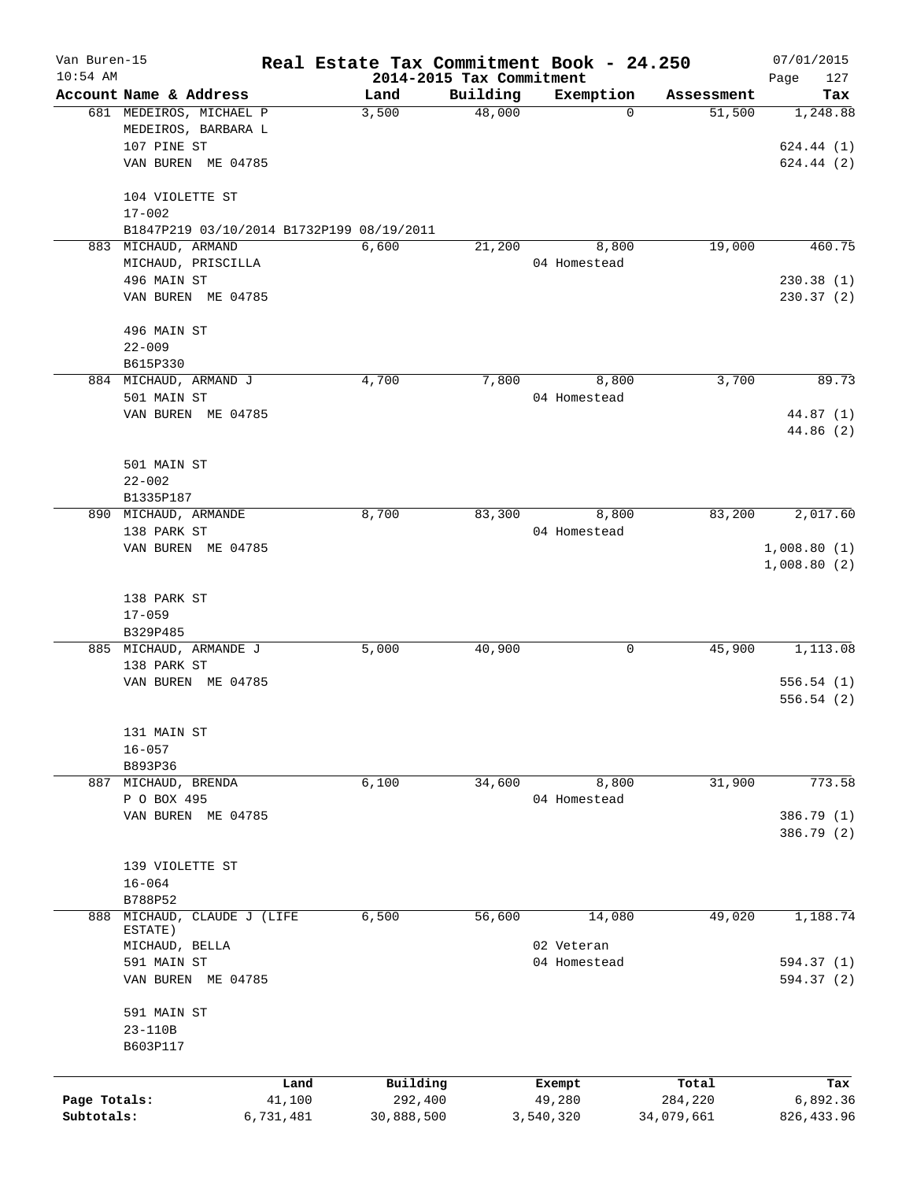| Van Buren-15 |                                           |           | Real Estate Tax Commitment Book - 24.250 |                    |                |                      | 07/01/2015  |
|--------------|-------------------------------------------|-----------|------------------------------------------|--------------------|----------------|----------------------|-------------|
| $10:54$ AM   | Account Name & Address                    |           | 2014-2015 Tax Commitment                 |                    |                |                      | 127<br>Page |
|              | 681 MEDEIROS, MICHAEL P                   |           | Land<br>3,500                            | Building<br>48,000 | Exemption<br>0 | Assessment<br>51,500 | Tax         |
|              | MEDEIROS, BARBARA L                       |           |                                          |                    |                |                      | 1,248.88    |
|              | 107 PINE ST                               |           |                                          |                    |                |                      |             |
|              |                                           |           |                                          |                    |                |                      | 624.44(1)   |
|              | VAN BUREN ME 04785                        |           |                                          |                    |                |                      | 624.44 (2)  |
|              | 104 VIOLETTE ST                           |           |                                          |                    |                |                      |             |
|              | $17 - 002$                                |           |                                          |                    |                |                      |             |
|              | B1847P219 03/10/2014 B1732P199 08/19/2011 |           |                                          |                    |                |                      |             |
|              | 883 MICHAUD, ARMAND                       |           | 6,600                                    | 21,200             | 8,800          | 19,000               | 460.75      |
|              | MICHAUD, PRISCILLA                        |           |                                          |                    | 04 Homestead   |                      |             |
|              | 496 MAIN ST                               |           |                                          |                    |                |                      | 230.38(1)   |
|              | VAN BUREN ME 04785                        |           |                                          |                    |                |                      | 230.37(2)   |
|              |                                           |           |                                          |                    |                |                      |             |
|              | 496 MAIN ST                               |           |                                          |                    |                |                      |             |
|              | $22 - 009$                                |           |                                          |                    |                |                      |             |
|              | B615P330                                  |           |                                          |                    |                |                      |             |
|              | 884 MICHAUD, ARMAND J                     |           | 4,700                                    | 7,800              | 8,800          | 3,700                | 89.73       |
|              | 501 MAIN ST                               |           |                                          |                    | 04 Homestead   |                      |             |
|              | VAN BUREN ME 04785                        |           |                                          |                    |                |                      | 44.87 (1)   |
|              |                                           |           |                                          |                    |                |                      | 44.86(2)    |
|              |                                           |           |                                          |                    |                |                      |             |
|              | 501 MAIN ST                               |           |                                          |                    |                |                      |             |
|              | $22 - 002$                                |           |                                          |                    |                |                      |             |
|              | B1335P187                                 |           |                                          |                    |                |                      |             |
|              | 890 MICHAUD, ARMANDE                      |           | 8,700                                    | 83,300             | 8,800          | 83,200               | 2,017.60    |
|              | 138 PARK ST                               |           |                                          |                    | 04 Homestead   |                      |             |
|              | VAN BUREN ME 04785                        |           |                                          |                    |                |                      | 1,008.80(1) |
|              |                                           |           |                                          |                    |                |                      | 1,008.80(2) |
|              |                                           |           |                                          |                    |                |                      |             |
|              | 138 PARK ST                               |           |                                          |                    |                |                      |             |
|              | $17 - 059$                                |           |                                          |                    |                |                      |             |
|              | B329P485                                  |           |                                          |                    |                |                      |             |
|              | 885 MICHAUD, ARMANDE J                    |           | 5,000                                    | 40,900             | 0              | 45,900               | 1,113.08    |
|              | 138 PARK ST                               |           |                                          |                    |                |                      |             |
|              | VAN BUREN ME 04785                        |           |                                          |                    |                |                      | 556.54(1)   |
|              |                                           |           |                                          |                    |                |                      | 556.54(2)   |
|              |                                           |           |                                          |                    |                |                      |             |
|              | 131 MAIN ST                               |           |                                          |                    |                |                      |             |
|              | $16 - 057$                                |           |                                          |                    |                |                      |             |
|              | B893P36                                   |           |                                          |                    |                |                      |             |
|              | 887 MICHAUD, BRENDA                       |           | 6,100                                    | 34,600             | 8,800          | 31,900               | 773.58      |
|              |                                           |           |                                          |                    |                |                      |             |
|              | P O BOX 495                               |           |                                          |                    | 04 Homestead   |                      |             |
|              | VAN BUREN ME 04785                        |           |                                          |                    |                |                      | 386.79 (1)  |
|              |                                           |           |                                          |                    |                |                      | 386.79 (2)  |
|              |                                           |           |                                          |                    |                |                      |             |
|              | 139 VIOLETTE ST                           |           |                                          |                    |                |                      |             |
|              | $16 - 064$                                |           |                                          |                    |                |                      |             |
|              | B788P52                                   |           |                                          |                    |                |                      |             |
| 888          | MICHAUD, CLAUDE J (LIFE<br>ESTATE)        |           | 6,500                                    | 56,600             | 14,080         | 49,020               | 1,188.74    |
|              | MICHAUD, BELLA                            |           |                                          |                    | 02 Veteran     |                      |             |
|              | 591 MAIN ST                               |           |                                          |                    | 04 Homestead   |                      | 594.37 (1)  |
|              | VAN BUREN ME 04785                        |           |                                          |                    |                |                      | 594.37 (2)  |
|              |                                           |           |                                          |                    |                |                      |             |
|              | 591 MAIN ST                               |           |                                          |                    |                |                      |             |
|              | 23-110B                                   |           |                                          |                    |                |                      |             |
|              | B603P117                                  |           |                                          |                    |                |                      |             |
|              |                                           |           |                                          |                    |                |                      |             |
|              |                                           | Land      | Building                                 |                    | Exempt         | Total                | Tax         |
| Page Totals: |                                           | 41,100    | 292,400                                  |                    | 49,280         | 284,220              | 6,892.36    |
| Subtotals:   |                                           | 6,731,481 | 30,888,500                               |                    | 3,540,320      | 34,079,661           | 826, 433.96 |
|              |                                           |           |                                          |                    |                |                      |             |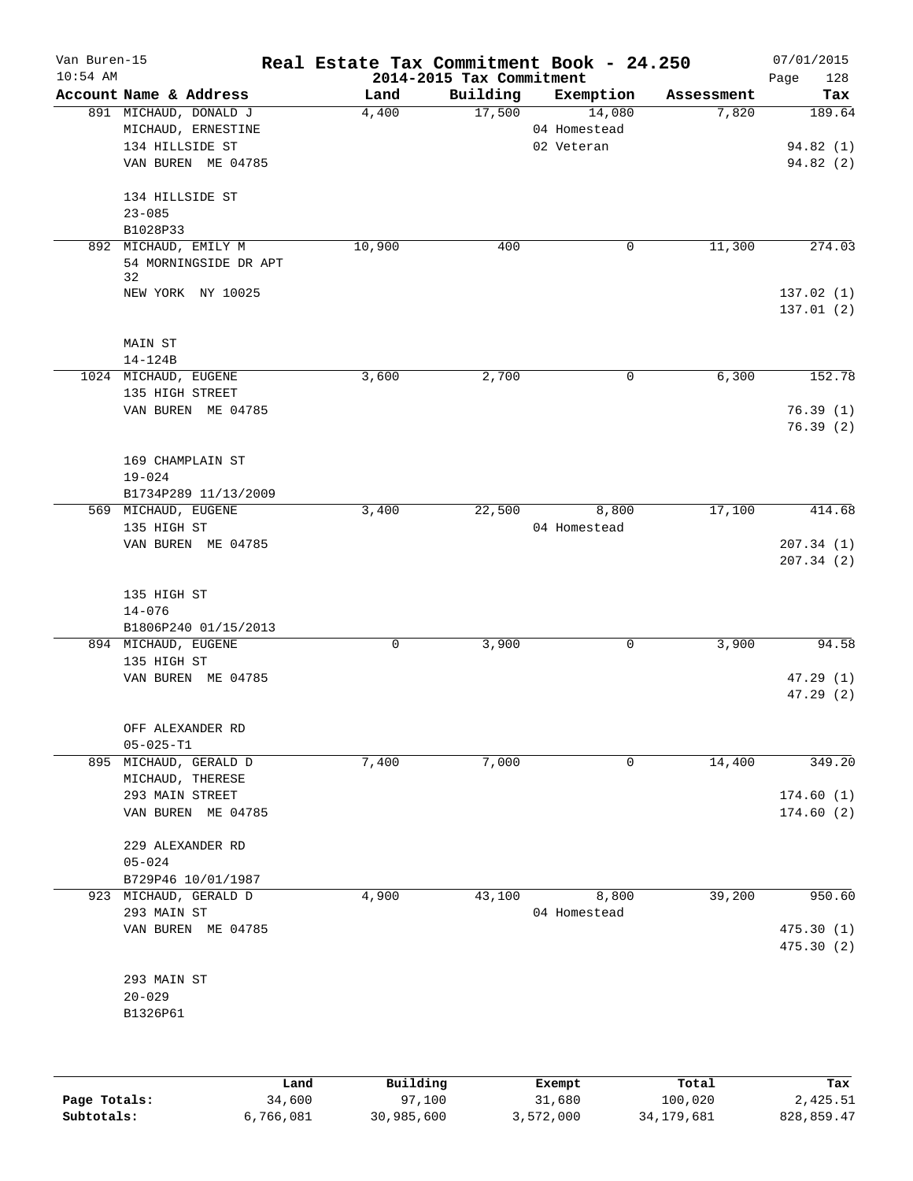| Van Buren-15<br>$10:54$ AM |                                                                                      | Real Estate Tax Commitment Book - 24.250 | 2014-2015 Tax Commitment |                                      |            | 07/01/2015<br>Page<br>128 |
|----------------------------|--------------------------------------------------------------------------------------|------------------------------------------|--------------------------|--------------------------------------|------------|---------------------------|
|                            | Account Name & Address                                                               | Land                                     | Building                 | Exemption                            | Assessment | Tax                       |
|                            | 891 MICHAUD, DONALD J<br>MICHAUD, ERNESTINE<br>134 HILLSIDE ST<br>VAN BUREN ME 04785 | 4,400                                    | 17,500                   | 14,080<br>04 Homestead<br>02 Veteran | 7,820      | 189.64<br>94.82 (1)       |
|                            | 134 HILLSIDE ST<br>$23 - 085$                                                        |                                          |                          |                                      |            | 94.82(2)                  |
|                            | B1028P33                                                                             |                                          |                          |                                      |            |                           |
|                            | 892 MICHAUD, EMILY M<br>54 MORNINGSIDE DR APT<br>32                                  | 10,900                                   | 400                      | 0                                    | 11,300     | 274.03                    |
|                            | NEW YORK NY 10025                                                                    |                                          |                          |                                      |            | 137.02(1)<br>137.01(2)    |
|                            | MAIN ST<br>14-124B                                                                   |                                          |                          |                                      |            |                           |
|                            | 1024 MICHAUD, EUGENE                                                                 | 3,600                                    | 2,700                    | 0                                    | 6,300      | 152.78                    |
|                            | 135 HIGH STREET<br>VAN BUREN ME 04785                                                |                                          |                          |                                      |            | 76.39(1)<br>76.39(2)      |
|                            | 169 CHAMPLAIN ST<br>$19 - 024$                                                       |                                          |                          |                                      |            |                           |
|                            | B1734P289 11/13/2009                                                                 |                                          |                          |                                      |            |                           |
|                            | 569 MICHAUD, EUGENE                                                                  | 3,400                                    | 22,500                   | 8,800                                | 17,100     | 414.68                    |
|                            | 135 HIGH ST<br>VAN BUREN ME 04785                                                    |                                          |                          | 04 Homestead                         |            | 207.34(1)<br>207.34(2)    |
|                            | 135 HIGH ST<br>$14 - 076$                                                            |                                          |                          |                                      |            |                           |
|                            | B1806P240 01/15/2013<br>894 MICHAUD, EUGENE                                          | 0                                        | 3,900                    | 0                                    | 3,900      | 94.58                     |
|                            | 135 HIGH ST                                                                          |                                          |                          |                                      |            |                           |
|                            | VAN BUREN ME 04785                                                                   |                                          |                          |                                      |            | 47.29(1)<br>47.29(2)      |
|                            | OFF ALEXANDER RD                                                                     |                                          |                          |                                      |            |                           |
|                            | $05 - 025 - T1$                                                                      |                                          |                          |                                      |            |                           |
|                            | 895 MICHAUD, GERALD D<br>MICHAUD, THERESE                                            | 7,400                                    | 7,000                    | 0                                    | 14,400     | 349.20                    |
|                            | 293 MAIN STREET                                                                      |                                          |                          |                                      |            | 174.60(1)                 |
|                            | VAN BUREN ME 04785                                                                   |                                          |                          |                                      |            | 174.60(2)                 |
|                            | 229 ALEXANDER RD                                                                     |                                          |                          |                                      |            |                           |
|                            | $05 - 024$                                                                           |                                          |                          |                                      |            |                           |
|                            | B729P46 10/01/1987<br>923 MICHAUD, GERALD D                                          | 4,900                                    | 43,100                   | 8,800                                | 39,200     | 950.60                    |
|                            | 293 MAIN ST                                                                          |                                          |                          | 04 Homestead                         |            |                           |
|                            | VAN BUREN ME 04785                                                                   |                                          |                          |                                      |            | 475.30(1)<br>475.30(2)    |
|                            | 293 MAIN ST                                                                          |                                          |                          |                                      |            |                           |
|                            | $20 - 029$                                                                           |                                          |                          |                                      |            |                           |
|                            | B1326P61                                                                             |                                          |                          |                                      |            |                           |
|                            | Land                                                                                 | Building                                 |                          | Exempt                               | Total      | Tax                       |
|                            |                                                                                      |                                          |                          |                                      |            |                           |

|              | ⊥and      | Building   | Exempt    | Total      | тах        |
|--------------|-----------|------------|-----------|------------|------------|
| Page Totals: | 34,600    | 97,100     | 31,680    | 100,020    | 2,425.51   |
| Subtotals:   | 6,766,081 | 30,985,600 | 3,572,000 | 34,179,681 | 828,859.47 |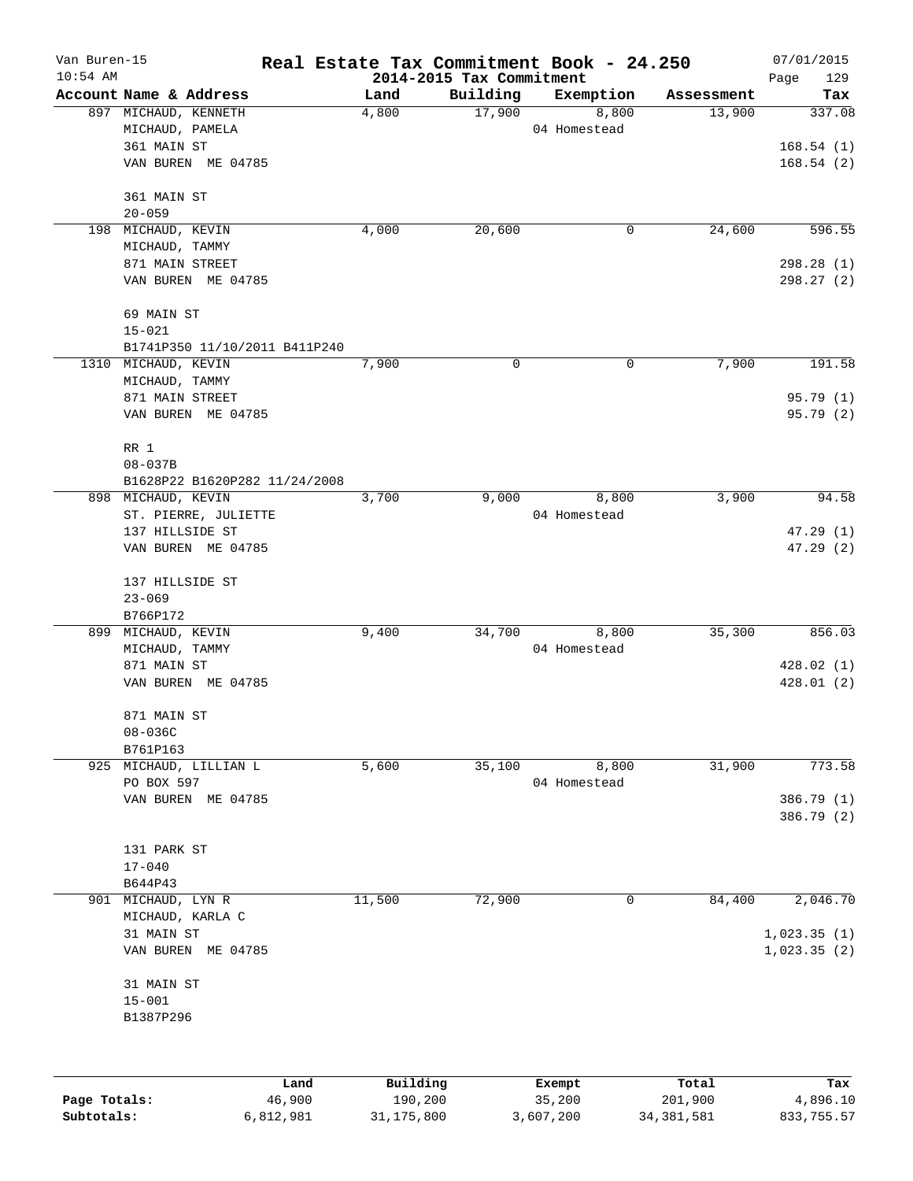| Van Buren-15 |                               | Real Estate Tax Commitment Book - 24.250 |                          |                    |                      | 07/01/2015      |
|--------------|-------------------------------|------------------------------------------|--------------------------|--------------------|----------------------|-----------------|
| $10:54$ AM   | Account Name & Address        |                                          | 2014-2015 Tax Commitment |                    |                      | 129<br>Page     |
|              | 897 MICHAUD, KENNETH          | Land<br>4,800                            | Building<br>17,900       | Exemption<br>8,800 | Assessment<br>13,900 | Tax<br>337.08   |
|              | MICHAUD, PAMELA               |                                          |                          | 04 Homestead       |                      |                 |
|              | 361 MAIN ST                   |                                          |                          |                    |                      | 168.54(1)       |
|              | VAN BUREN ME 04785            |                                          |                          |                    |                      | 168.54(2)       |
|              |                               |                                          |                          |                    |                      |                 |
|              | 361 MAIN ST                   |                                          |                          |                    |                      |                 |
|              | $20 - 059$                    |                                          |                          |                    |                      |                 |
|              | 198 MICHAUD, KEVIN            | 4,000                                    | 20,600                   | 0                  | 24,600               | 596.55          |
|              | MICHAUD, TAMMY                |                                          |                          |                    |                      |                 |
|              | 871 MAIN STREET               |                                          |                          |                    |                      | 298.28(1)       |
|              | VAN BUREN ME 04785            |                                          |                          |                    |                      | 298.27 (2)      |
|              | 69 MAIN ST                    |                                          |                          |                    |                      |                 |
|              | $15 - 021$                    |                                          |                          |                    |                      |                 |
|              | B1741P350 11/10/2011 B411P240 |                                          |                          |                    |                      |                 |
|              | 1310 MICHAUD, KEVIN           | 7,900                                    | $\mathbf 0$              | $\mathbf 0$        | 7,900                | 191.58          |
|              | MICHAUD, TAMMY                |                                          |                          |                    |                      |                 |
|              | 871 MAIN STREET               |                                          |                          |                    |                      | 95.79(1)        |
|              | VAN BUREN ME 04785            |                                          |                          |                    |                      | 95.79 (2)       |
|              |                               |                                          |                          |                    |                      |                 |
|              | RR 1                          |                                          |                          |                    |                      |                 |
|              | $08 - 037B$                   |                                          |                          |                    |                      |                 |
|              | B1628P22 B1620P282 11/24/2008 |                                          |                          |                    |                      |                 |
|              | 898 MICHAUD, KEVIN            | 3,700                                    | 9,000                    | 8,800              | 3,900                | 94.58           |
|              | ST. PIERRE, JULIETTE          |                                          |                          | 04 Homestead       |                      |                 |
|              | 137 HILLSIDE ST               |                                          |                          |                    |                      | 47.29(1)        |
|              | VAN BUREN ME 04785            |                                          |                          |                    |                      | 47.29(2)        |
|              | 137 HILLSIDE ST               |                                          |                          |                    |                      |                 |
|              | $23 - 069$                    |                                          |                          |                    |                      |                 |
|              | B766P172                      |                                          |                          |                    |                      |                 |
|              | 899 MICHAUD, KEVIN            | 9,400                                    | 34,700                   | 8,800              | 35,300               | 856.03          |
|              | MICHAUD, TAMMY                |                                          |                          | 04 Homestead       |                      |                 |
|              | 871 MAIN ST                   |                                          |                          |                    |                      | 428.02(1)       |
|              | VAN BUREN ME 04785            |                                          |                          |                    |                      | 428.01 (2)      |
|              |                               |                                          |                          |                    |                      |                 |
|              | 871 MAIN ST                   |                                          |                          |                    |                      |                 |
|              | $08 - 036C$                   |                                          |                          |                    |                      |                 |
|              | B761P163                      |                                          |                          |                    |                      |                 |
|              | 925 MICHAUD, LILLIAN L        | 5,600                                    | 35,100                   | 8,800              | 31,900               | 773.58          |
|              | PO BOX 597                    |                                          |                          | 04 Homestead       |                      |                 |
|              | VAN BUREN ME 04785            |                                          |                          |                    |                      | 386.79 (1)      |
|              |                               |                                          |                          |                    |                      | 386.79 (2)      |
|              | 131 PARK ST                   |                                          |                          |                    |                      |                 |
|              | $17 - 040$                    |                                          |                          |                    |                      |                 |
|              | B644P43                       |                                          |                          |                    |                      |                 |
| 901          | MICHAUD, LYN R                | 11,500                                   | 72,900                   | 0                  | 84,400               | 2,046.70        |
|              | MICHAUD, KARLA C              |                                          |                          |                    |                      |                 |
|              | 31 MAIN ST                    |                                          |                          |                    |                      | 1,023.35(1)     |
|              | VAN BUREN ME 04785            |                                          |                          |                    |                      | 1,023.35(2)     |
|              |                               |                                          |                          |                    |                      |                 |
|              | 31 MAIN ST                    |                                          |                          |                    |                      |                 |
|              | $15 - 001$                    |                                          |                          |                    |                      |                 |
|              | B1387P296                     |                                          |                          |                    |                      |                 |
|              |                               |                                          |                          |                    |                      |                 |
|              |                               |                                          |                          |                    |                      |                 |
| Page Totals: | Land<br>46,900                | Building<br>190,200                      |                          | Exempt<br>35,200   | Total<br>201,900     | Tax<br>4,896.10 |
|              |                               |                                          |                          |                    |                      |                 |

**Subtotals:** 6,812,981 31,175,800 3,607,200 34,381,581 833,755.57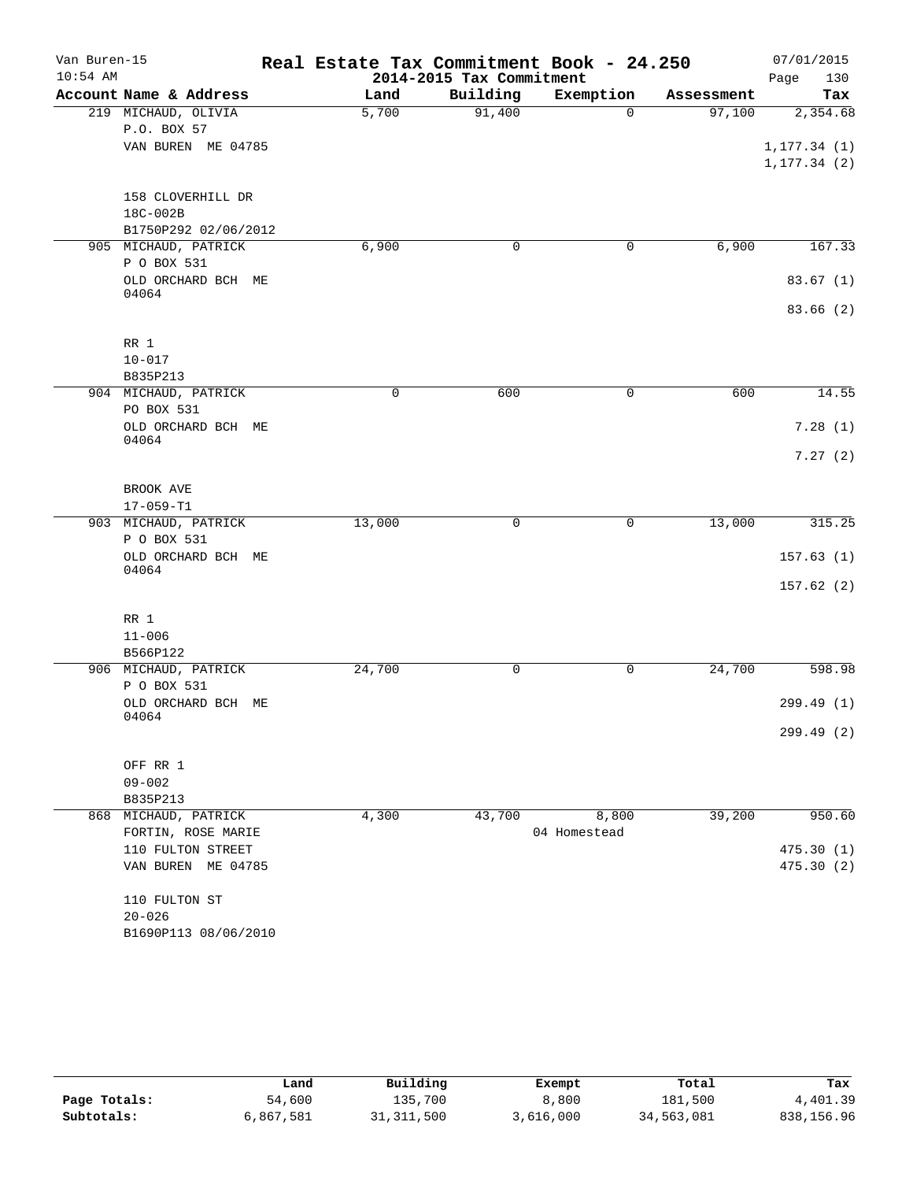| Van Buren-15 |                                   | Real Estate Tax Commitment Book - 24.250 |                          |              |            | 07/01/2015   |
|--------------|-----------------------------------|------------------------------------------|--------------------------|--------------|------------|--------------|
| $10:54$ AM   |                                   |                                          | 2014-2015 Tax Commitment |              |            | Page<br>130  |
|              | Account Name & Address            | Land                                     | Building                 | Exemption    | Assessment | Tax          |
|              | 219 MICHAUD, OLIVIA               | 5,700                                    | 91,400                   | $\Omega$     | 97,100     | 2,354.68     |
|              | P.O. BOX 57<br>VAN BUREN ME 04785 |                                          |                          |              |            | 1, 177.34(1) |
|              |                                   |                                          |                          |              |            | 1, 177.34(2) |
|              | 158 CLOVERHILL DR                 |                                          |                          |              |            |              |
|              | 18C-002B                          |                                          |                          |              |            |              |
|              | B1750P292 02/06/2012              |                                          |                          |              |            |              |
|              | 905 MICHAUD, PATRICK              | 6,900                                    | 0                        | 0            | 6,900      | 167.33       |
|              | P O BOX 531                       |                                          |                          |              |            |              |
|              | OLD ORCHARD BCH ME<br>04064       |                                          |                          |              |            | 83.67(1)     |
|              |                                   |                                          |                          |              |            | 83.66(2)     |
|              | RR 1                              |                                          |                          |              |            |              |
|              | $10 - 017$                        |                                          |                          |              |            |              |
|              | B835P213                          |                                          |                          |              |            |              |
|              | 904 MICHAUD, PATRICK              | 0                                        | 600                      | 0            | 600        | 14.55        |
|              | PO BOX 531                        |                                          |                          |              |            |              |
|              | OLD ORCHARD BCH ME<br>04064       |                                          |                          |              |            | 7.28(1)      |
|              |                                   |                                          |                          |              |            | 7.27(2)      |
|              | BROOK AVE                         |                                          |                          |              |            |              |
|              | $17 - 059 - T1$                   |                                          |                          |              |            |              |
|              | 903 MICHAUD, PATRICK              | 13,000                                   | $\mathsf{O}$             | 0            | 13,000     | 315.25       |
|              | P O BOX 531                       |                                          |                          |              |            |              |
|              | OLD ORCHARD BCH ME<br>04064       |                                          |                          |              |            | 157.63(1)    |
|              |                                   |                                          |                          |              |            | 157.62(2)    |
|              | RR 1                              |                                          |                          |              |            |              |
|              | $11 - 006$                        |                                          |                          |              |            |              |
|              | B566P122                          |                                          |                          |              |            |              |
|              | 906 MICHAUD, PATRICK              | 24,700                                   | 0                        | $\mathbf 0$  | 24,700     | 598.98       |
|              | P O BOX 531<br>OLD ORCHARD BCH ME |                                          |                          |              |            | 299.49(1)    |
|              | 04064                             |                                          |                          |              |            | 299.49 (2)   |
|              | OFF RR 1                          |                                          |                          |              |            |              |
|              | $09 - 002$                        |                                          |                          |              |            |              |
|              | B835P213                          |                                          |                          |              |            |              |
|              | 868 MICHAUD, PATRICK              | 4,300                                    | 43,700                   | 8,800        | 39,200     | 950.60       |
|              | FORTIN, ROSE MARIE                |                                          |                          | 04 Homestead |            |              |
|              | 110 FULTON STREET                 |                                          |                          |              |            | 475.30(1)    |
|              | VAN BUREN ME 04785                |                                          |                          |              |            | 475.30(2)    |
|              | 110 FULTON ST                     |                                          |                          |              |            |              |
|              | $20 - 026$                        |                                          |                          |              |            |              |
|              | B1690P113 08/06/2010              |                                          |                          |              |            |              |

|              | Land      | Building     | Exempt    | Total      | Tax        |
|--------------|-----------|--------------|-----------|------------|------------|
| Page Totals: | 54,600    | 135,700      | 8,800     | 181,500    | 4,401.39   |
| Subtotals:   | 6,867,581 | 31, 311, 500 | 3,616,000 | 34,563,081 | 838,156.96 |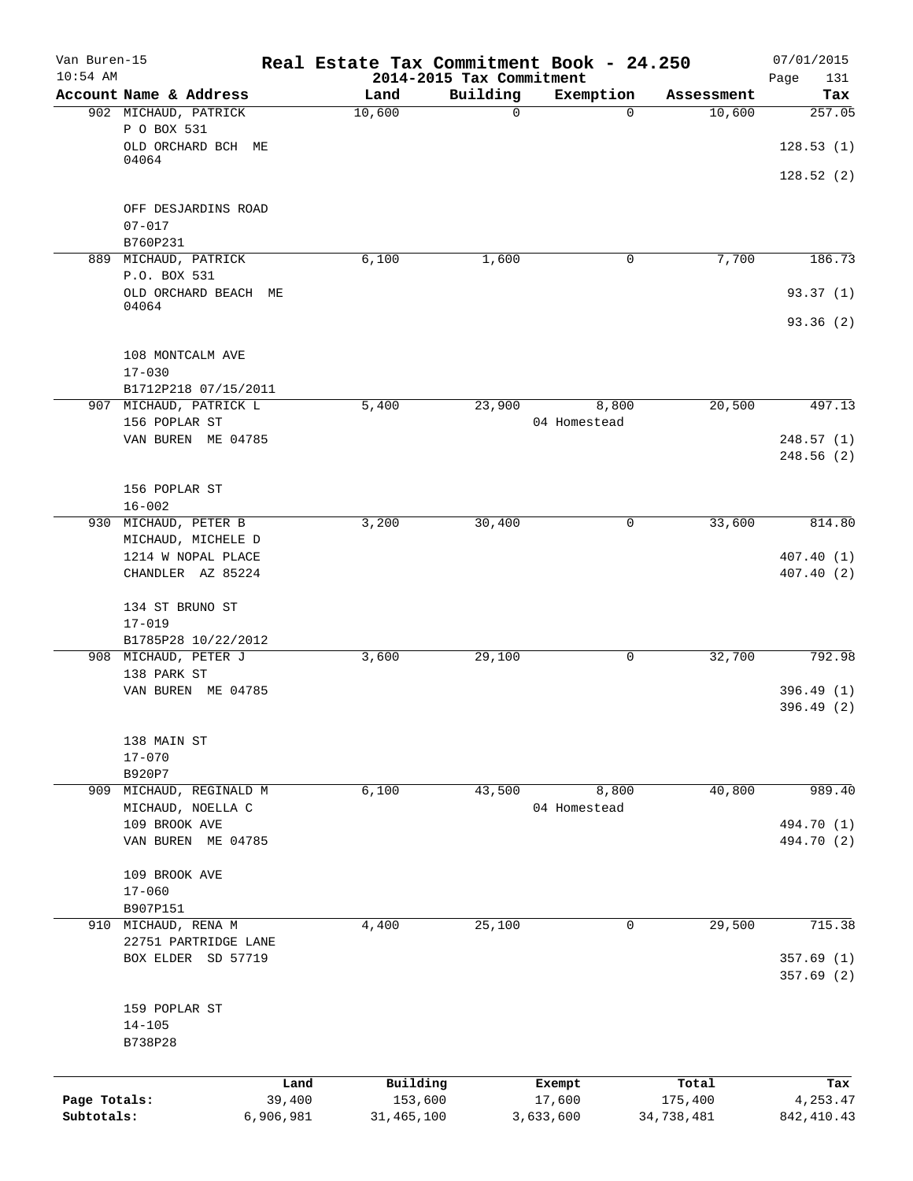| Van Buren-15<br>$10:54$ AM |                                      |        | Real Estate Tax Commitment Book - 24.250<br>2014-2015 Tax Commitment |             |              |            | 07/01/2015<br>Page<br>131 |
|----------------------------|--------------------------------------|--------|----------------------------------------------------------------------|-------------|--------------|------------|---------------------------|
|                            | Account Name & Address               |        | Land                                                                 | Building    | Exemption    | Assessment | Tax                       |
|                            | 902 MICHAUD, PATRICK                 |        | 10,600                                                               | $\mathbf 0$ | $\Omega$     | 10,600     | 257.05                    |
|                            | P O BOX 531                          |        |                                                                      |             |              |            |                           |
|                            | OLD ORCHARD BCH ME                   |        |                                                                      |             |              |            | 128.53(1)                 |
|                            | 04064                                |        |                                                                      |             |              |            |                           |
|                            |                                      |        |                                                                      |             |              |            | 128.52(2)                 |
|                            |                                      |        |                                                                      |             |              |            |                           |
|                            | OFF DESJARDINS ROAD                  |        |                                                                      |             |              |            |                           |
|                            | $07 - 017$                           |        |                                                                      |             |              |            |                           |
|                            | B760P231                             |        |                                                                      |             |              |            |                           |
|                            | 889 MICHAUD, PATRICK<br>P.O. BOX 531 |        | 6,100                                                                | 1,600       | 0            | 7,700      | 186.73                    |
|                            | OLD ORCHARD BEACH ME                 |        |                                                                      |             |              |            | 93.37(1)                  |
|                            | 04064                                |        |                                                                      |             |              |            |                           |
|                            |                                      |        |                                                                      |             |              |            | 93.36(2)                  |
|                            |                                      |        |                                                                      |             |              |            |                           |
|                            | 108 MONTCALM AVE                     |        |                                                                      |             |              |            |                           |
|                            | $17 - 030$                           |        |                                                                      |             |              |            |                           |
|                            | B1712P218 07/15/2011                 |        |                                                                      |             |              |            |                           |
|                            | 907 MICHAUD, PATRICK L               |        | 5,400                                                                | 23,900      | 8,800        | 20,500     | 497.13                    |
|                            | 156 POPLAR ST                        |        |                                                                      |             | 04 Homestead |            |                           |
|                            | VAN BUREN ME 04785                   |        |                                                                      |             |              |            | 248.57(1)                 |
|                            |                                      |        |                                                                      |             |              |            | 248.56 (2)                |
|                            |                                      |        |                                                                      |             |              |            |                           |
|                            | 156 POPLAR ST                        |        |                                                                      |             |              |            |                           |
|                            | $16 - 002$                           |        |                                                                      |             |              |            |                           |
| 930                        | MICHAUD, PETER B                     |        | 3,200                                                                | 30,400      | 0            | 33,600     | 814.80                    |
|                            | MICHAUD, MICHELE D                   |        |                                                                      |             |              |            |                           |
|                            | 1214 W NOPAL PLACE                   |        |                                                                      |             |              |            | 407.40(1)                 |
|                            | CHANDLER AZ 85224                    |        |                                                                      |             |              |            | 407.40(2)                 |
|                            |                                      |        |                                                                      |             |              |            |                           |
|                            | 134 ST BRUNO ST                      |        |                                                                      |             |              |            |                           |
|                            | $17 - 019$                           |        |                                                                      |             |              |            |                           |
|                            | B1785P28 10/22/2012                  |        |                                                                      |             |              |            |                           |
|                            | 908 MICHAUD, PETER J                 |        | 3,600                                                                | 29,100      | 0            | 32,700     | 792.98                    |
|                            | 138 PARK ST<br>VAN BUREN ME 04785    |        |                                                                      |             |              |            |                           |
|                            |                                      |        |                                                                      |             |              |            | 396.49(1)<br>396.49 (2)   |
|                            |                                      |        |                                                                      |             |              |            |                           |
|                            | 138 MAIN ST                          |        |                                                                      |             |              |            |                           |
|                            | $17 - 070$                           |        |                                                                      |             |              |            |                           |
|                            | B920P7                               |        |                                                                      |             |              |            |                           |
| 909                        | MICHAUD, REGINALD M                  |        | 6,100                                                                | 43,500      | 8,800        | 40,800     | 989.40                    |
|                            | MICHAUD, NOELLA C                    |        |                                                                      |             | 04 Homestead |            |                           |
|                            | 109 BROOK AVE                        |        |                                                                      |             |              |            | 494.70 (1)                |
|                            | VAN BUREN ME 04785                   |        |                                                                      |             |              |            | 494.70 (2)                |
|                            |                                      |        |                                                                      |             |              |            |                           |
|                            | 109 BROOK AVE                        |        |                                                                      |             |              |            |                           |
|                            | $17 - 060$                           |        |                                                                      |             |              |            |                           |
|                            | B907P151                             |        |                                                                      |             |              |            |                           |
|                            | 910 MICHAUD, RENA M                  |        | 4,400                                                                | 25,100      | 0            | 29,500     | 715.38                    |
|                            | 22751 PARTRIDGE LANE                 |        |                                                                      |             |              |            |                           |
|                            | BOX ELDER SD 57719                   |        |                                                                      |             |              |            | 357.69(1)                 |
|                            |                                      |        |                                                                      |             |              |            | 357.69(2)                 |
|                            |                                      |        |                                                                      |             |              |            |                           |
|                            | 159 POPLAR ST                        |        |                                                                      |             |              |            |                           |
|                            | $14 - 105$                           |        |                                                                      |             |              |            |                           |
|                            | B738P28                              |        |                                                                      |             |              |            |                           |
|                            |                                      |        |                                                                      |             |              |            |                           |
|                            |                                      | Land   | Building                                                             |             | Exempt       | Total      | Tax                       |
| Page Totals:               |                                      | 39,400 | 153,600                                                              |             | 17,600       | 175,400    | 4,253.47                  |
| Subtotals:                 | 6,906,981                            |        | 31,465,100                                                           |             | 3,633,600    | 34,738,481 | 842, 410.43               |
|                            |                                      |        |                                                                      |             |              |            |                           |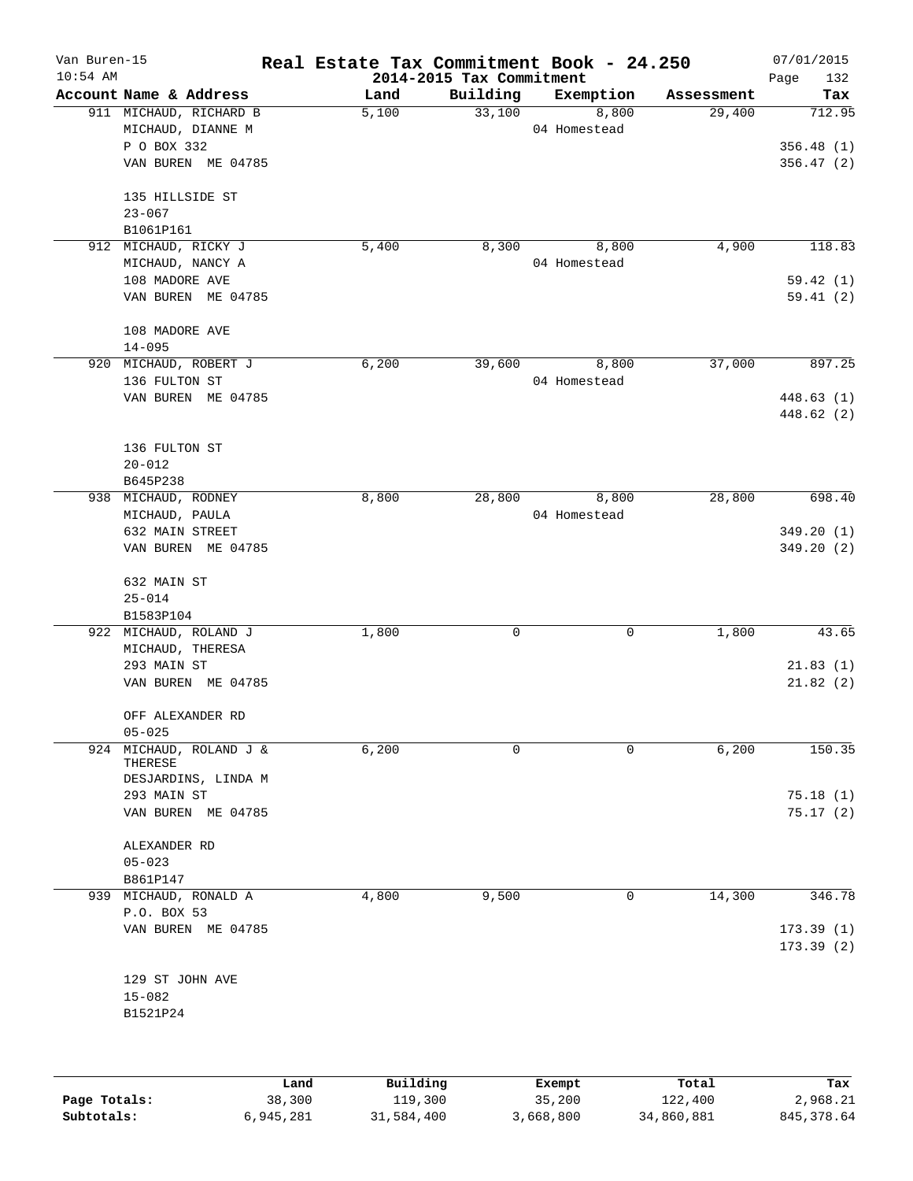| Van Buren-15<br>$10:54$ AM |                                             |      |          | 2014-2015 Tax Commitment | Real Estate Tax Commitment Book - 24.250 |            | 07/01/2015<br>Page<br>132 |
|----------------------------|---------------------------------------------|------|----------|--------------------------|------------------------------------------|------------|---------------------------|
|                            | Account Name & Address                      |      | Land     | Building                 | Exemption                                | Assessment | Tax                       |
|                            | 911 MICHAUD, RICHARD B<br>MICHAUD, DIANNE M |      | 5,100    | 33,100                   | 8,800<br>04 Homestead                    | 29,400     | 712.95                    |
|                            | P O BOX 332<br>VAN BUREN ME 04785           |      |          |                          |                                          |            | 356.48(1)<br>356.47(2)    |
|                            | 135 HILLSIDE ST                             |      |          |                          |                                          |            |                           |
|                            | $23 - 067$<br>B1061P161                     |      |          |                          |                                          |            |                           |
|                            | 912 MICHAUD, RICKY J                        |      | 5,400    | 8,300                    | 8,800                                    | 4,900      | 118.83                    |
|                            | MICHAUD, NANCY A                            |      |          |                          | 04 Homestead                             |            |                           |
|                            | 108 MADORE AVE                              |      |          |                          |                                          |            | 59.42(1)                  |
|                            | VAN BUREN ME 04785                          |      |          |                          |                                          |            | 59.41(2)                  |
|                            | 108 MADORE AVE                              |      |          |                          |                                          |            |                           |
|                            | $14 - 095$                                  |      |          |                          |                                          |            |                           |
|                            | 920 MICHAUD, ROBERT J                       |      | 6,200    | 39,600                   | 8,800                                    | 37,000     | 897.25                    |
|                            | 136 FULTON ST<br>VAN BUREN ME 04785         |      |          |                          | 04 Homestead                             |            | 448.63(1)                 |
|                            |                                             |      |          |                          |                                          |            | 448.62 (2)                |
|                            | 136 FULTON ST                               |      |          |                          |                                          |            |                           |
|                            | $20 - 012$                                  |      |          |                          |                                          |            |                           |
|                            | B645P238                                    |      |          |                          |                                          |            |                           |
|                            | 938 MICHAUD, RODNEY                         |      | 8,800    | 28,800                   | 8,800                                    | 28,800     | 698.40                    |
|                            | MICHAUD, PAULA                              |      |          |                          | 04 Homestead                             |            |                           |
|                            | 632 MAIN STREET                             |      |          |                          |                                          |            | 349.20(1)                 |
|                            | VAN BUREN ME 04785                          |      |          |                          |                                          |            | 349.20(2)                 |
|                            | 632 MAIN ST                                 |      |          |                          |                                          |            |                           |
|                            | $25 - 014$<br>B1583P104                     |      |          |                          |                                          |            |                           |
|                            | 922 MICHAUD, ROLAND J                       |      | 1,800    | 0                        | 0                                        | 1,800      | 43.65                     |
|                            | MICHAUD, THERESA                            |      |          |                          |                                          |            |                           |
|                            | 293 MAIN ST                                 |      |          |                          |                                          |            | 21.83(1)                  |
|                            | VAN BUREN ME 04785                          |      |          |                          |                                          |            | 21.82(2)                  |
|                            | OFF ALEXANDER RD                            |      |          |                          |                                          |            |                           |
|                            | $05 - 025$                                  |      |          |                          |                                          |            |                           |
| 924                        | MICHAUD, ROLAND J &<br>THERESE              |      | 6,200    | 0                        | $\Omega$                                 | 6,200      | 150.35                    |
|                            | DESJARDINS, LINDA M                         |      |          |                          |                                          |            |                           |
|                            | 293 MAIN ST<br>VAN BUREN ME 04785           |      |          |                          |                                          |            | 75.18(1)<br>75.17(2)      |
|                            |                                             |      |          |                          |                                          |            |                           |
|                            | ALEXANDER RD<br>$05 - 023$                  |      |          |                          |                                          |            |                           |
|                            | B861P147                                    |      |          |                          |                                          |            |                           |
|                            | 939 MICHAUD, RONALD A                       |      | 4,800    | 9,500                    | 0                                        | 14,300     | 346.78                    |
|                            | P.O. BOX 53                                 |      |          |                          |                                          |            |                           |
|                            | VAN BUREN ME 04785                          |      |          |                          |                                          |            | 173.39(1)<br>173.39(2)    |
|                            | 129 ST JOHN AVE                             |      |          |                          |                                          |            |                           |
|                            | $15 - 082$                                  |      |          |                          |                                          |            |                           |
|                            | B1521P24                                    |      |          |                          |                                          |            |                           |
|                            |                                             |      |          |                          |                                          |            |                           |
|                            |                                             | Land | Building |                          | Exempt                                   | Total      | Tax                       |

**Page Totals:** 38,300 119,300 35,200 122,400 2,968.21 **Subtotals:** 6,945,281 31,584,400 3,668,800 34,860,881 845,378.64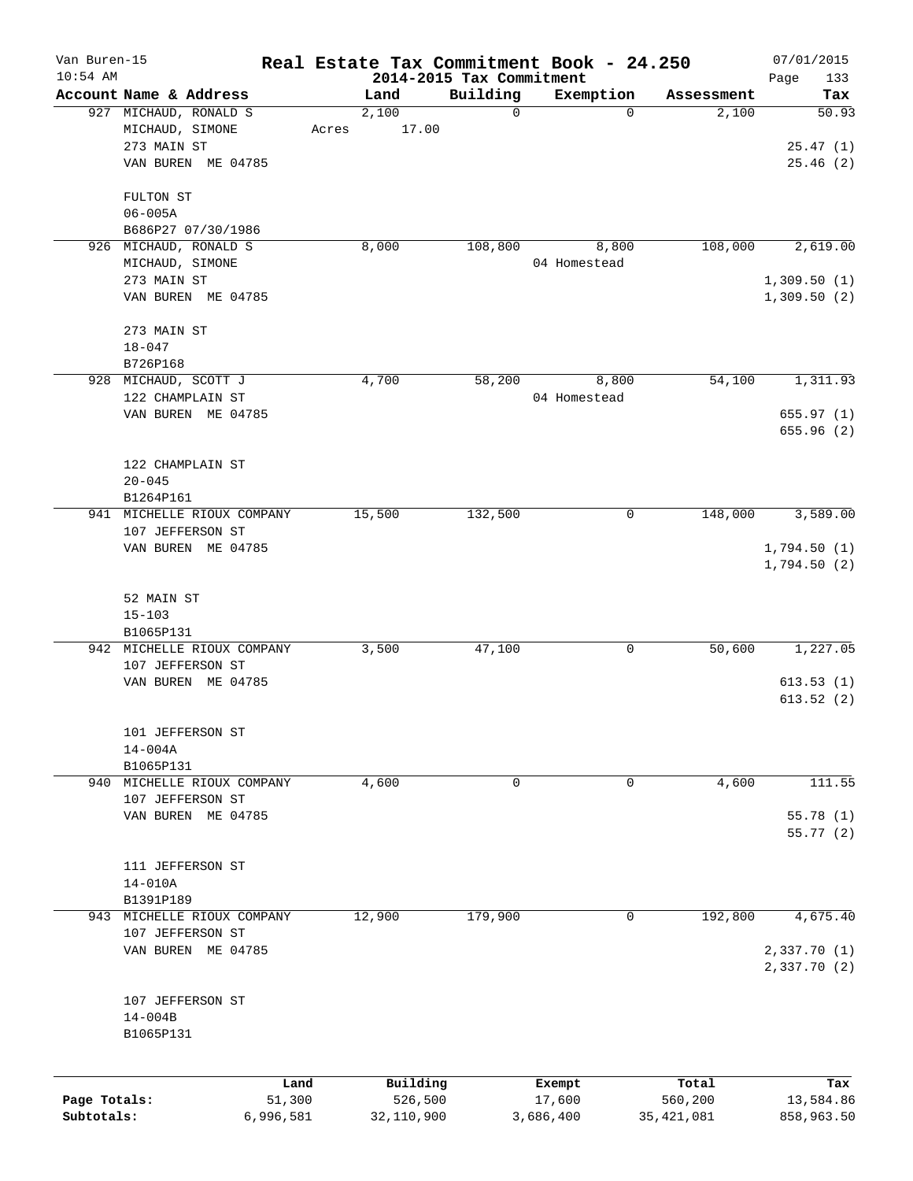| Van Buren-15<br>$10:54$ AM |                            |       |            |                                      | Real Estate Tax Commitment Book - 24.250 |              | 07/01/2015         |
|----------------------------|----------------------------|-------|------------|--------------------------------------|------------------------------------------|--------------|--------------------|
|                            | Account Name & Address     |       | Land       | 2014-2015 Tax Commitment<br>Building | Exemption                                | Assessment   | Page<br>133<br>Tax |
|                            | 927 MICHAUD, RONALD S      |       | 2,100      | $\mathbf 0$                          | $\mathbf 0$                              | 2,100        | 50.93              |
|                            | MICHAUD, SIMONE            | Acres | 17.00      |                                      |                                          |              |                    |
|                            | 273 MAIN ST                |       |            |                                      |                                          |              | 25.47(1)           |
|                            | VAN BUREN ME 04785         |       |            |                                      |                                          |              | 25.46(2)           |
|                            |                            |       |            |                                      |                                          |              |                    |
|                            | FULTON ST                  |       |            |                                      |                                          |              |                    |
|                            | $06 - 005A$                |       |            |                                      |                                          |              |                    |
|                            | B686P27 07/30/1986         |       |            |                                      |                                          |              |                    |
|                            | 926 MICHAUD, RONALD S      |       | 8,000      | 108,800                              | 8,800                                    | 108,000      | 2,619.00           |
|                            | MICHAUD, SIMONE            |       |            |                                      | 04 Homestead                             |              |                    |
|                            | 273 MAIN ST                |       |            |                                      |                                          |              | 1,309.50(1)        |
|                            | VAN BUREN ME 04785         |       |            |                                      |                                          |              | 1,309.50(2)        |
|                            |                            |       |            |                                      |                                          |              |                    |
|                            | 273 MAIN ST                |       |            |                                      |                                          |              |                    |
|                            | $18 - 047$                 |       |            |                                      |                                          |              |                    |
|                            | B726P168                   |       |            |                                      |                                          |              |                    |
|                            | 928 MICHAUD, SCOTT J       |       | 4,700      | 58,200                               | 8,800                                    | 54,100       | 1,311.93           |
|                            | 122 CHAMPLAIN ST           |       |            |                                      | 04 Homestead                             |              |                    |
|                            | VAN BUREN ME 04785         |       |            |                                      |                                          |              | 655.97(1)          |
|                            |                            |       |            |                                      |                                          |              | 655.96(2)          |
|                            | 122 CHAMPLAIN ST           |       |            |                                      |                                          |              |                    |
|                            | $20 - 045$                 |       |            |                                      |                                          |              |                    |
|                            | B1264P161                  |       |            |                                      |                                          |              |                    |
| 941                        | MICHELLE RIOUX COMPANY     |       | 15,500     | 132,500                              | 0                                        | 148,000      | 3,589.00           |
|                            | 107 JEFFERSON ST           |       |            |                                      |                                          |              |                    |
|                            | VAN BUREN ME 04785         |       |            |                                      |                                          |              | 1,794.50(1)        |
|                            |                            |       |            |                                      |                                          |              | 1,794.50(2)        |
|                            |                            |       |            |                                      |                                          |              |                    |
|                            | 52 MAIN ST                 |       |            |                                      |                                          |              |                    |
|                            | $15 - 103$                 |       |            |                                      |                                          |              |                    |
|                            | B1065P131                  |       |            |                                      |                                          |              |                    |
|                            | 942 MICHELLE RIOUX COMPANY |       | 3,500      | 47,100                               | 0                                        | 50,600       | 1,227.05           |
|                            | 107 JEFFERSON ST           |       |            |                                      |                                          |              |                    |
|                            | VAN BUREN ME 04785         |       |            |                                      |                                          |              | 613.53(1)          |
|                            |                            |       |            |                                      |                                          |              | 613.52(2)          |
|                            | 101 JEFFERSON ST           |       |            |                                      |                                          |              |                    |
|                            | $14 - 004A$                |       |            |                                      |                                          |              |                    |
|                            | B1065P131                  |       |            |                                      |                                          |              |                    |
|                            | 940 MICHELLE RIOUX COMPANY |       | 4,600      | 0                                    | 0                                        | 4,600        | 111.55             |
|                            | 107 JEFFERSON ST           |       |            |                                      |                                          |              |                    |
|                            | VAN BUREN ME 04785         |       |            |                                      |                                          |              | 55.78(1)           |
|                            |                            |       |            |                                      |                                          |              | 55.77(2)           |
|                            |                            |       |            |                                      |                                          |              |                    |
|                            | 111 JEFFERSON ST           |       |            |                                      |                                          |              |                    |
|                            | $14 - 010A$                |       |            |                                      |                                          |              |                    |
|                            | B1391P189                  |       |            |                                      |                                          |              |                    |
|                            | 943 MICHELLE RIOUX COMPANY |       | 12,900     | 179,900                              | 0                                        | 192,800      | 4,675.40           |
|                            | 107 JEFFERSON ST           |       |            |                                      |                                          |              |                    |
|                            | VAN BUREN ME 04785         |       |            |                                      |                                          |              | 2,337.70 (1)       |
|                            |                            |       |            |                                      |                                          |              | 2,337.70(2)        |
|                            |                            |       |            |                                      |                                          |              |                    |
|                            | 107 JEFFERSON ST           |       |            |                                      |                                          |              |                    |
|                            | $14 - 004B$                |       |            |                                      |                                          |              |                    |
|                            | B1065P131                  |       |            |                                      |                                          |              |                    |
|                            |                            |       |            |                                      |                                          |              |                    |
|                            |                            | Land  | Building   |                                      | Exempt                                   | Total        | Tax                |
| Page Totals:               | 51,300                     |       | 526,500    |                                      | 17,600                                   | 560,200      | 13,584.86          |
| Subtotals:                 | 6,996,581                  |       | 32,110,900 |                                      | 3,686,400                                | 35, 421, 081 | 858,963.50         |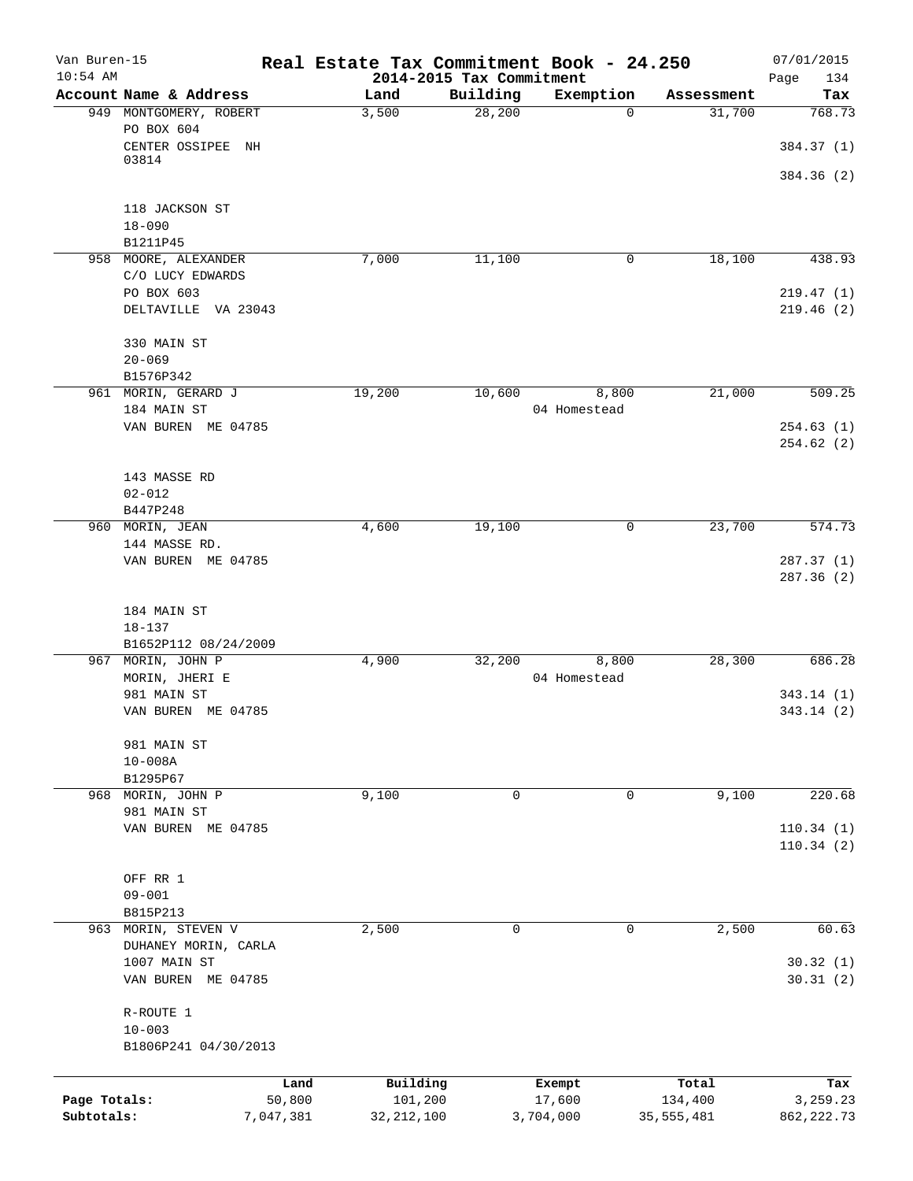| Van Buren-15<br>$10:54$ AM |                                             | Real Estate Tax Commitment Book - 24.250 | 2014-2015 Tax Commitment |                       |              | 07/01/2015<br>Page<br>134 |
|----------------------------|---------------------------------------------|------------------------------------------|--------------------------|-----------------------|--------------|---------------------------|
|                            | Account Name & Address                      | Land                                     | Building                 | Exemption             | Assessment   | Tax                       |
|                            | 949 MONTGOMERY, ROBERT<br>PO BOX 604        | 3,500                                    | 28,200                   | $\Omega$              | 31,700       | 768.73                    |
|                            | CENTER OSSIPEE NH<br>03814                  |                                          |                          |                       |              | 384.37 (1)<br>384.36 (2)  |
|                            | 118 JACKSON ST                              |                                          |                          |                       |              |                           |
|                            | $18 - 090$<br>B1211P45                      |                                          |                          |                       |              |                           |
|                            | 958 MOORE, ALEXANDER                        | 7,000                                    | 11,100                   | 0                     | 18,100       | 438.93                    |
|                            | C/O LUCY EDWARDS                            |                                          |                          |                       |              |                           |
|                            | PO BOX 603<br>DELTAVILLE VA 23043           |                                          |                          |                       |              | 219.47(1)<br>219.46 (2)   |
|                            | 330 MAIN ST                                 |                                          |                          |                       |              |                           |
|                            | $20 - 069$                                  |                                          |                          |                       |              |                           |
|                            | B1576P342                                   |                                          |                          |                       |              |                           |
|                            | 961 MORIN, GERARD J<br>184 MAIN ST          | 19,200                                   | 10,600                   | 8,800<br>04 Homestead | 21,000       | 509.25                    |
|                            | VAN BUREN ME 04785                          |                                          |                          |                       |              | 254.63(1)<br>254.62 (2)   |
|                            | 143 MASSE RD                                |                                          |                          |                       |              |                           |
|                            | $02 - 012$                                  |                                          |                          |                       |              |                           |
|                            | B447P248                                    |                                          |                          |                       |              |                           |
|                            | 960 MORIN, JEAN                             | 4,600                                    | 19,100                   | 0                     | 23,700       | 574.73                    |
|                            | 144 MASSE RD.                               |                                          |                          |                       |              |                           |
|                            | VAN BUREN ME 04785                          |                                          |                          |                       |              | 287.37(1)<br>287.36(2)    |
|                            | 184 MAIN ST                                 |                                          |                          |                       |              |                           |
|                            | $18 - 137$<br>B1652P112 08/24/2009          |                                          |                          |                       |              |                           |
|                            | 967 MORIN, JOHN P                           | 4,900                                    | 32,200                   | 8,800                 | 28,300       | 686.28                    |
|                            | MORIN, JHERI E                              |                                          |                          | 04 Homestead          |              |                           |
|                            | 981 MAIN ST                                 |                                          |                          |                       |              | 343.14 (1)                |
|                            | VAN BUREN ME 04785                          |                                          |                          |                       |              | 343.14 (2)                |
|                            | 981 MAIN ST                                 |                                          |                          |                       |              |                           |
|                            | $10 - 008A$                                 |                                          |                          |                       |              |                           |
|                            | B1295P67                                    |                                          |                          |                       |              |                           |
|                            | 968 MORIN, JOHN P<br>981 MAIN ST            | 9,100                                    | 0                        | 0                     | 9,100        | 220.68                    |
|                            | VAN BUREN ME 04785                          |                                          |                          |                       |              | 110.34(1)                 |
|                            |                                             |                                          |                          |                       |              | 110.34(2)                 |
|                            | OFF RR 1                                    |                                          |                          |                       |              |                           |
|                            | $09 - 001$                                  |                                          |                          |                       |              |                           |
|                            | B815P213                                    |                                          |                          |                       |              |                           |
|                            | 963 MORIN, STEVEN V<br>DUHANEY MORIN, CARLA | 2,500                                    | $\mathbf 0$              | $\mathbf 0$           | 2,500        | 60.63                     |
|                            | 1007 MAIN ST                                |                                          |                          |                       |              | 30.32(1)                  |
|                            | VAN BUREN ME 04785                          |                                          |                          |                       |              | 30.31(2)                  |
|                            | R-ROUTE 1                                   |                                          |                          |                       |              |                           |
|                            | $10 - 003$                                  |                                          |                          |                       |              |                           |
|                            | B1806P241 04/30/2013                        |                                          |                          |                       |              |                           |
|                            |                                             | Building<br>Land                         | Exempt                   |                       | Total        | Tax                       |
| Page Totals:               | 50,800                                      | 101,200                                  | 17,600                   |                       | 134,400      | 3,259.23                  |
| Subtotals:                 | 7,047,381                                   | 32, 212, 100                             | 3,704,000                |                       | 35, 555, 481 | 862, 222.73               |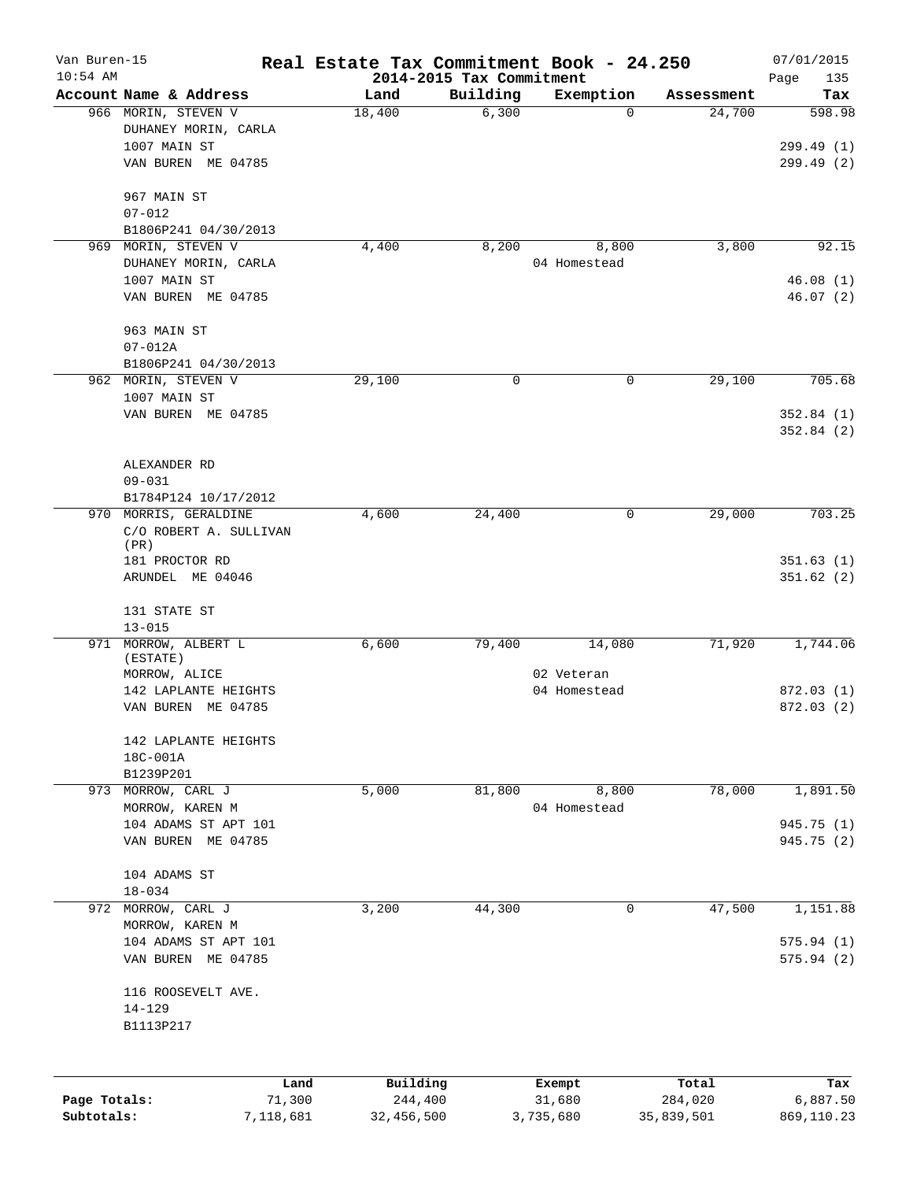| Van Buren-15 |                                     | Real Estate Tax Commitment Book - 24.250 |                          |                          |                      | 07/01/2015      |
|--------------|-------------------------------------|------------------------------------------|--------------------------|--------------------------|----------------------|-----------------|
| $10:54$ AM   | Account Name & Address              |                                          | 2014-2015 Tax Commitment |                          |                      | Page<br>135     |
|              | 966 MORIN, STEVEN V                 | Land<br>18,400                           | Building<br>6,300        | Exemption<br>$\mathbf 0$ | Assessment<br>24,700 | Tax<br>598.98   |
|              | DUHANEY MORIN, CARLA                |                                          |                          |                          |                      |                 |
|              | 1007 MAIN ST                        |                                          |                          |                          |                      | 299.49(1)       |
|              | VAN BUREN ME 04785                  |                                          |                          |                          |                      | 299.49(2)       |
|              |                                     |                                          |                          |                          |                      |                 |
|              | 967 MAIN ST                         |                                          |                          |                          |                      |                 |
|              | $07 - 012$                          |                                          |                          |                          |                      |                 |
|              | B1806P241 04/30/2013                |                                          |                          |                          |                      |                 |
| 969          | MORIN, STEVEN V                     | 4,400                                    | 8,200                    | 8,800                    | 3,800                | 92.15           |
|              | DUHANEY MORIN, CARLA                |                                          |                          | 04 Homestead             |                      |                 |
|              | 1007 MAIN ST                        |                                          |                          |                          |                      | 46.08(1)        |
|              | VAN BUREN ME 04785                  |                                          |                          |                          |                      | 46.07 (2)       |
|              |                                     |                                          |                          |                          |                      |                 |
|              | 963 MAIN ST                         |                                          |                          |                          |                      |                 |
|              | $07 - 012A$<br>B1806P241 04/30/2013 |                                          |                          |                          |                      |                 |
|              | 962 MORIN, STEVEN V                 | 29,100                                   | 0                        | $\mathbf 0$              | 29,100               | 705.68          |
|              | 1007 MAIN ST                        |                                          |                          |                          |                      |                 |
|              | VAN BUREN ME 04785                  |                                          |                          |                          |                      | 352.84(1)       |
|              |                                     |                                          |                          |                          |                      | 352.84(2)       |
|              |                                     |                                          |                          |                          |                      |                 |
|              | ALEXANDER RD                        |                                          |                          |                          |                      |                 |
|              | $09 - 031$                          |                                          |                          |                          |                      |                 |
|              | B1784P124 10/17/2012                |                                          |                          |                          |                      |                 |
| 970          | MORRIS, GERALDINE                   | 4,600                                    | 24,400                   | 0                        | 29,000               | 703.25          |
|              | C/O ROBERT A. SULLIVAN              |                                          |                          |                          |                      |                 |
|              | (PR)                                |                                          |                          |                          |                      |                 |
|              | 181 PROCTOR RD                      |                                          |                          |                          |                      | 351.63(1)       |
|              | ARUNDEL ME 04046                    |                                          |                          |                          |                      | 351.62(2)       |
|              | 131 STATE ST                        |                                          |                          |                          |                      |                 |
|              | $13 - 015$                          |                                          |                          |                          |                      |                 |
|              | 971 MORROW, ALBERT L                | 6,600                                    | 79,400                   | 14,080                   | 71,920               | 1,744.06        |
|              | (ESTATE)                            |                                          |                          |                          |                      |                 |
|              | MORROW, ALICE                       |                                          |                          | 02 Veteran               |                      |                 |
|              | 142 LAPLANTE HEIGHTS                |                                          |                          | 04 Homestead             |                      | 872.03 (1)      |
|              | VAN BUREN ME 04785                  |                                          |                          |                          |                      | 872.03 (2)      |
|              | 142 LAPLANTE HEIGHTS                |                                          |                          |                          |                      |                 |
|              | 18C-001A                            |                                          |                          |                          |                      |                 |
|              | B1239P201                           |                                          |                          |                          |                      |                 |
|              | 973 MORROW, CARL J                  | 5,000                                    | 81,800                   | 8,800                    | 78,000               | 1,891.50        |
|              | MORROW, KAREN M                     |                                          |                          | 04 Homestead             |                      |                 |
|              | 104 ADAMS ST APT 101                |                                          |                          |                          |                      | 945.75 (1)      |
|              | VAN BUREN ME 04785                  |                                          |                          |                          |                      | 945.75 (2)      |
|              |                                     |                                          |                          |                          |                      |                 |
|              | 104 ADAMS ST                        |                                          |                          |                          |                      |                 |
|              | $18 - 034$                          |                                          |                          |                          |                      |                 |
| 972          | MORROW, CARL J                      | 3,200                                    | 44,300                   | 0                        | 47,500               | 1,151.88        |
|              | MORROW, KAREN M                     |                                          |                          |                          |                      |                 |
|              | 104 ADAMS ST APT 101                |                                          |                          |                          |                      | 575.94(1)       |
|              | VAN BUREN ME 04785                  |                                          |                          |                          |                      | 575.94(2)       |
|              | 116 ROOSEVELT AVE.                  |                                          |                          |                          |                      |                 |
|              | $14 - 129$                          |                                          |                          |                          |                      |                 |
|              | B1113P217                           |                                          |                          |                          |                      |                 |
|              |                                     |                                          |                          |                          |                      |                 |
|              |                                     |                                          |                          |                          |                      |                 |
| Page Totals: | Land<br>71,300                      | Building<br>244,400                      |                          | Exempt<br>31,680         | Total<br>284,020     | Tax<br>6,887.50 |
| Subtotals:   | 7,118,681                           | 32,456,500                               |                          | 3,735,680                | 35,839,501           | 869,110.23      |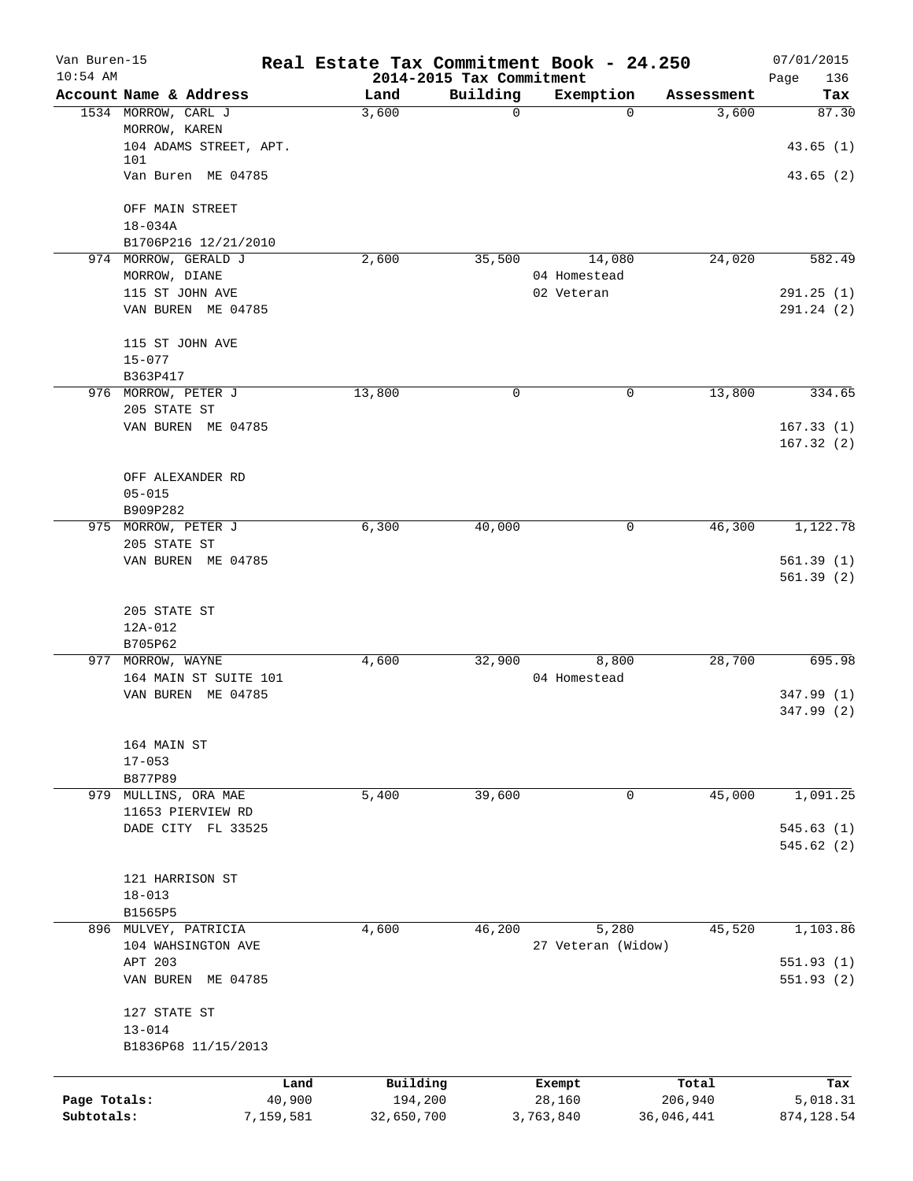| Van Buren-15<br>$10:54$ AM |                                     | Real Estate Tax Commitment Book - 24.250 | 2014-2015 Tax Commitment |                    |            | 07/01/2015<br>Page<br>136 |
|----------------------------|-------------------------------------|------------------------------------------|--------------------------|--------------------|------------|---------------------------|
|                            | Account Name & Address              | Land                                     | Building                 | Exemption          | Assessment | Tax                       |
|                            | 1534 MORROW, CARL J                 | 3,600                                    | $\mathbf 0$              | $\Omega$           | 3,600      | 87.30                     |
|                            | MORROW, KAREN                       |                                          |                          |                    |            |                           |
|                            | 104 ADAMS STREET, APT.              |                                          |                          |                    |            | 43.65(1)                  |
|                            | 101                                 |                                          |                          |                    |            |                           |
|                            | Van Buren ME 04785                  |                                          |                          |                    |            | 43.65(2)                  |
|                            | OFF MAIN STREET                     |                                          |                          |                    |            |                           |
|                            | $18 - 034A$                         |                                          |                          |                    |            |                           |
|                            | B1706P216 12/21/2010                |                                          |                          |                    |            |                           |
|                            | 974 MORROW, GERALD J                | 2,600                                    | 35,500                   | 14,080             | 24,020     | 582.49                    |
|                            | MORROW, DIANE                       |                                          |                          | 04 Homestead       |            |                           |
|                            | 115 ST JOHN AVE                     |                                          |                          | 02 Veteran         |            | 291.25(1)                 |
|                            | VAN BUREN ME 04785                  |                                          |                          |                    |            | 291.24(2)                 |
|                            |                                     |                                          |                          |                    |            |                           |
|                            | 115 ST JOHN AVE                     |                                          |                          |                    |            |                           |
|                            | $15 - 077$                          |                                          |                          |                    |            |                           |
|                            | B363P417                            |                                          |                          |                    |            |                           |
|                            | 976 MORROW, PETER J                 | 13,800                                   | 0                        | 0                  | 13,800     | 334.65                    |
|                            | 205 STATE ST                        |                                          |                          |                    |            |                           |
|                            | VAN BUREN ME 04785                  |                                          |                          |                    |            | 167.33(1)                 |
|                            |                                     |                                          |                          |                    |            | 167.32(2)                 |
|                            |                                     |                                          |                          |                    |            |                           |
|                            | OFF ALEXANDER RD                    |                                          |                          |                    |            |                           |
|                            | $05 - 015$                          |                                          |                          |                    |            |                           |
|                            | B909P282                            | 6,300                                    |                          | 0                  | 46,300     | 1,122.78                  |
|                            | 975 MORROW, PETER J<br>205 STATE ST |                                          | 40,000                   |                    |            |                           |
|                            | VAN BUREN ME 04785                  |                                          |                          |                    |            | 561.39(1)                 |
|                            |                                     |                                          |                          |                    |            | 561.39(2)                 |
|                            |                                     |                                          |                          |                    |            |                           |
|                            | 205 STATE ST                        |                                          |                          |                    |            |                           |
|                            | 12A-012                             |                                          |                          |                    |            |                           |
|                            | B705P62                             |                                          |                          |                    |            |                           |
|                            | 977 MORROW, WAYNE                   | 4,600                                    | 32,900                   | 8,800              | 28,700     | 695.98                    |
|                            | 164 MAIN ST SUITE 101               |                                          |                          | 04 Homestead       |            |                           |
|                            | VAN BUREN ME 04785                  |                                          |                          |                    |            | 347.99 (1)                |
|                            |                                     |                                          |                          |                    |            | 347.99 (2)                |
|                            |                                     |                                          |                          |                    |            |                           |
|                            | 164 MAIN ST                         |                                          |                          |                    |            |                           |
|                            | $17 - 053$                          |                                          |                          |                    |            |                           |
|                            | B877P89                             |                                          |                          |                    |            |                           |
|                            | 979 MULLINS, ORA MAE                | 5,400                                    | 39,600                   | 0                  | 45,000     | 1,091.25                  |
|                            | 11653 PIERVIEW RD                   |                                          |                          |                    |            |                           |
|                            | DADE CITY FL 33525                  |                                          |                          |                    |            | 545.63(1)                 |
|                            |                                     |                                          |                          |                    |            | 545.62(2)                 |
|                            |                                     |                                          |                          |                    |            |                           |
|                            | 121 HARRISON ST                     |                                          |                          |                    |            |                           |
|                            | $18 - 013$                          |                                          |                          |                    |            |                           |
|                            | B1565P5                             |                                          |                          |                    |            |                           |
|                            | 896 MULVEY, PATRICIA                | 4,600                                    | 46,200                   | 5,280              | 45,520     | 1,103.86                  |
|                            | 104 WAHSINGTON AVE                  |                                          |                          | 27 Veteran (Widow) |            |                           |
|                            | APT 203                             |                                          |                          |                    |            | 551.93(1)                 |
|                            | VAN BUREN ME 04785                  |                                          |                          |                    |            | 551.93(2)                 |
|                            |                                     |                                          |                          |                    |            |                           |
|                            | 127 STATE ST                        |                                          |                          |                    |            |                           |
|                            | $13 - 014$                          |                                          |                          |                    |            |                           |
|                            | B1836P68 11/15/2013                 |                                          |                          |                    |            |                           |
|                            |                                     |                                          |                          |                    |            |                           |
|                            |                                     | Building<br>Land                         |                          | Exempt             | Total      | Tax                       |
| Page Totals:               | 40,900                              | 194,200                                  |                          | 28,160             | 206,940    | 5,018.31                  |
| Subtotals:                 | 7,159,581                           | 32,650,700                               |                          | 3,763,840          | 36,046,441 | 874, 128.54               |
|                            |                                     |                                          |                          |                    |            |                           |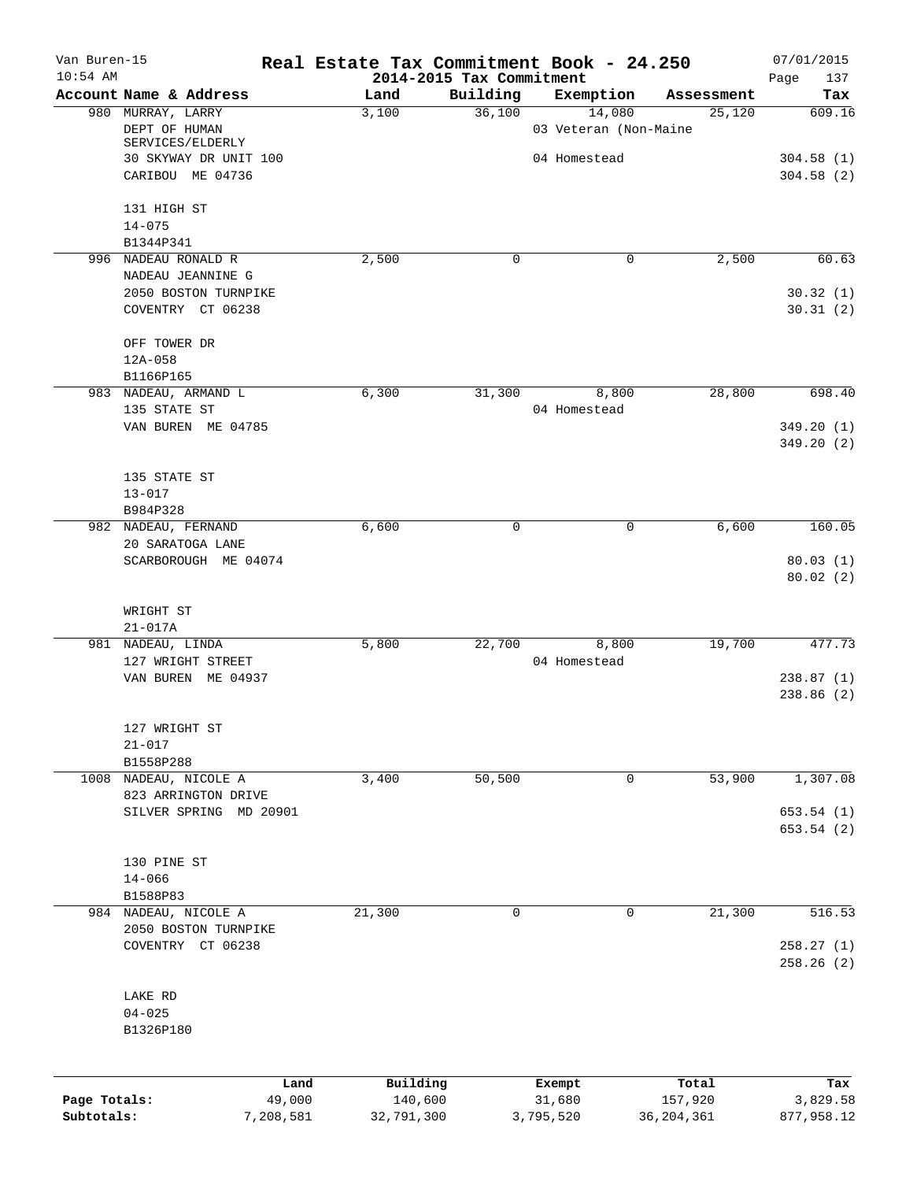| Van Buren-15<br>$10:54$ AM |                                              | Real Estate Tax Commitment Book - 24.250 | 2014-2015 Tax Commitment |                       |                         | 07/01/2015             |
|----------------------------|----------------------------------------------|------------------------------------------|--------------------------|-----------------------|-------------------------|------------------------|
|                            | Account Name & Address                       | Land                                     | Building                 | Exemption             | Assessment              | Page<br>137<br>Tax     |
|                            | 980 MURRAY, LARRY                            | 3,100                                    | 36,100                   | 14,080                | 25,120                  | 609.16                 |
|                            | DEPT OF HUMAN                                |                                          |                          | 03 Veteran (Non-Maine |                         |                        |
|                            | SERVICES/ELDERLY<br>30 SKYWAY DR UNIT 100    |                                          |                          | 04 Homestead          |                         | 304.58(1)              |
|                            | CARIBOU ME 04736                             |                                          |                          |                       |                         | 304.58(2)              |
|                            |                                              |                                          |                          |                       |                         |                        |
|                            | 131 HIGH ST                                  |                                          |                          |                       |                         |                        |
|                            | $14 - 075$                                   |                                          |                          |                       |                         |                        |
|                            | B1344P341<br>996 NADEAU RONALD R             | 2,500                                    | $\Omega$                 | 0                     | 2,500                   | 60.63                  |
|                            | NADEAU JEANNINE G                            |                                          |                          |                       |                         |                        |
|                            | 2050 BOSTON TURNPIKE                         |                                          |                          |                       |                         | 30.32(1)               |
|                            | COVENTRY CT 06238                            |                                          |                          |                       |                         | 30.31(2)               |
|                            | OFF TOWER DR                                 |                                          |                          |                       |                         |                        |
|                            | 12A-058                                      |                                          |                          |                       |                         |                        |
|                            | B1166P165                                    |                                          |                          |                       |                         |                        |
|                            | 983 NADEAU, ARMAND L<br>135 STATE ST         | 6,300                                    | 31,300                   | 8,800                 | 28,800                  | 698.40                 |
|                            | VAN BUREN ME 04785                           |                                          |                          | 04 Homestead          |                         | 349.20(1)              |
|                            |                                              |                                          |                          |                       |                         | 349.20(2)              |
|                            | 135 STATE ST                                 |                                          |                          |                       |                         |                        |
|                            | $13 - 017$                                   |                                          |                          |                       |                         |                        |
|                            | B984P328                                     |                                          |                          |                       |                         |                        |
|                            | 982 NADEAU, FERNAND                          | 6,600                                    | 0                        | 0                     | 6,600                   | 160.05                 |
|                            | 20 SARATOGA LANE                             |                                          |                          |                       |                         |                        |
|                            | SCARBOROUGH ME 04074                         |                                          |                          |                       |                         | 80.03(1)<br>80.02(2)   |
|                            | WRIGHT ST                                    |                                          |                          |                       |                         |                        |
|                            | $21 - 017A$                                  |                                          |                          |                       |                         |                        |
|                            | 981 NADEAU, LINDA                            | 5,800                                    | 22,700                   | 8,800                 | 19,700                  | 477.73                 |
|                            | 127 WRIGHT STREET                            |                                          |                          | 04 Homestead          |                         |                        |
|                            | VAN BUREN ME 04937                           |                                          |                          |                       |                         | 238.87(1)              |
|                            |                                              |                                          |                          |                       |                         | 238.86(2)              |
|                            | 127 WRIGHT ST                                |                                          |                          |                       |                         |                        |
|                            | $21 - 017$                                   |                                          |                          |                       |                         |                        |
|                            | B1558P288                                    |                                          |                          |                       |                         |                        |
|                            | 1008 NADEAU, NICOLE A                        | 3,400                                    | 50,500                   | 0                     | 53,900                  | 1,307.08               |
|                            | 823 ARRINGTON DRIVE                          |                                          |                          |                       |                         |                        |
|                            | SILVER SPRING MD 20901                       |                                          |                          |                       |                         | 653.54(1)<br>653.54(2) |
|                            |                                              |                                          |                          |                       |                         |                        |
|                            | 130 PINE ST                                  |                                          |                          |                       |                         |                        |
|                            | $14 - 066$                                   |                                          |                          |                       |                         |                        |
|                            | B1588P83                                     |                                          |                          |                       |                         |                        |
|                            | 984 NADEAU, NICOLE A<br>2050 BOSTON TURNPIKE | 21,300                                   | $\mathbf 0$              | $\mathbf 0$           | 21,300                  | 516.53                 |
|                            | COVENTRY CT 06238                            |                                          |                          |                       |                         | 258.27(1)              |
|                            |                                              |                                          |                          |                       |                         | 258.26(2)              |
|                            | LAKE RD                                      |                                          |                          |                       |                         |                        |
|                            | $04 - 025$                                   |                                          |                          |                       |                         |                        |
|                            | B1326P180                                    |                                          |                          |                       |                         |                        |
|                            |                                              |                                          |                          |                       |                         |                        |
|                            | Land                                         | Building                                 |                          | Exempt                | Total                   | Tax                    |
| Page Totals:<br>Subtotals: | 49,000<br>7,208,581                          | 140,600<br>32,791,300                    |                          | 31,680<br>3,795,520   | 157,920<br>36, 204, 361 | 3,829.58<br>877,958.12 |
|                            |                                              |                                          |                          |                       |                         |                        |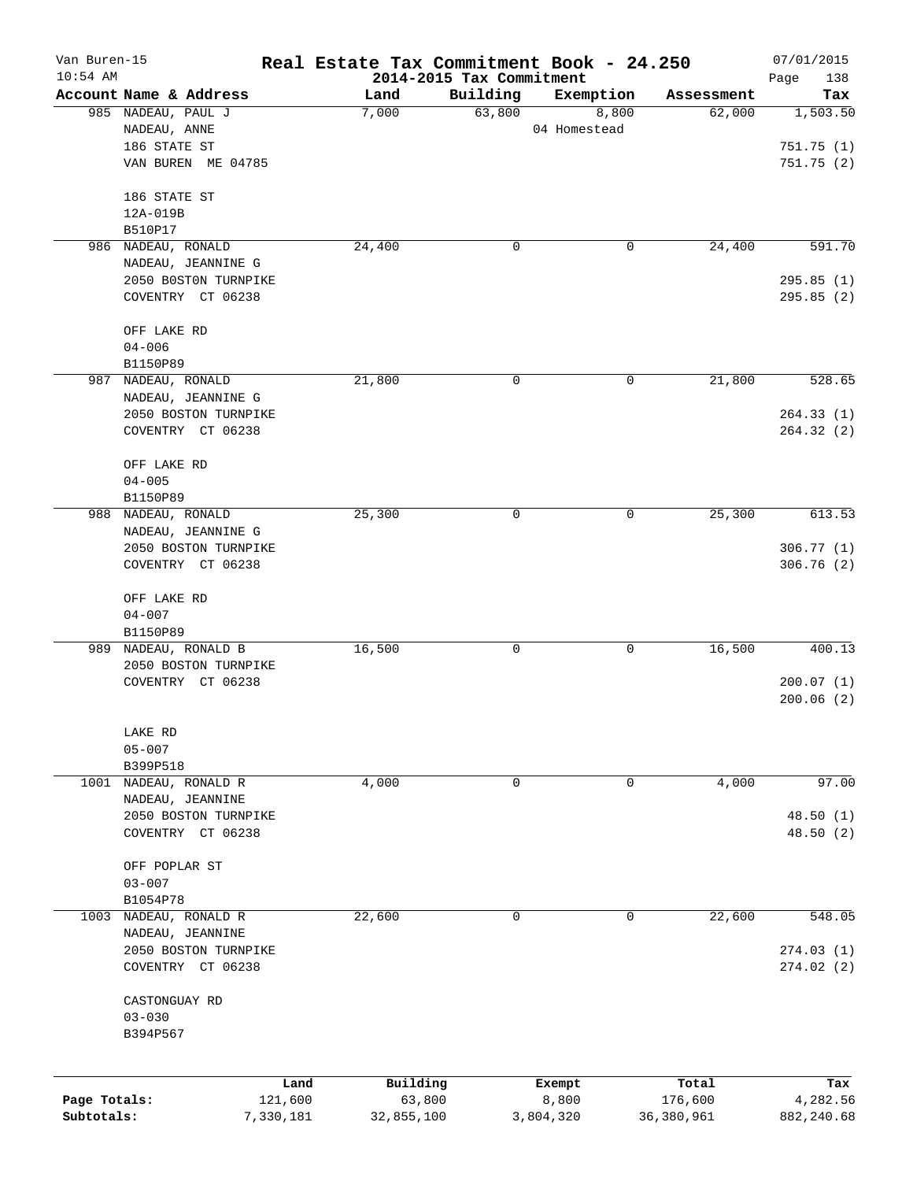| Van Buren-15<br>$10:54$ AM |                                           | Real Estate Tax Commitment Book - 24.250 | 2014-2015 Tax Commitment |              |              | 07/01/2015<br>138<br>Page |
|----------------------------|-------------------------------------------|------------------------------------------|--------------------------|--------------|--------------|---------------------------|
|                            | Account Name & Address                    | Land                                     | Building                 | Exemption    | Assessment   | Tax                       |
|                            | 985 NADEAU, PAUL J                        | 7,000                                    | 63,800                   | 8,800        | 62,000       | 1,503.50                  |
|                            | NADEAU, ANNE                              |                                          |                          | 04 Homestead |              |                           |
|                            | 186 STATE ST                              |                                          |                          |              |              | 751.75(1)                 |
|                            | VAN BUREN ME 04785                        |                                          |                          |              |              | 751.75 (2)                |
|                            | 186 STATE ST                              |                                          |                          |              |              |                           |
|                            | 12A-019B                                  |                                          |                          |              |              |                           |
|                            | B510P17                                   |                                          |                          |              |              |                           |
|                            | 986 NADEAU, RONALD                        | 24,400                                   | 0                        | 0            | 24,400       | 591.70                    |
|                            | NADEAU, JEANNINE G                        |                                          |                          |              |              |                           |
|                            | 2050 BOSTON TURNPIKE<br>COVENTRY CT 06238 |                                          |                          |              |              | 295.85(1)<br>295.85(2)    |
|                            |                                           |                                          |                          |              |              |                           |
|                            | OFF LAKE RD                               |                                          |                          |              |              |                           |
|                            | $04 - 006$                                |                                          |                          |              |              |                           |
|                            | B1150P89                                  |                                          |                          |              |              |                           |
|                            | 987 NADEAU, RONALD                        | 21,800                                   | 0                        | 0            | 21,800       | 528.65                    |
|                            | NADEAU, JEANNINE G                        |                                          |                          |              |              |                           |
|                            | 2050 BOSTON TURNPIKE                      |                                          |                          |              |              | 264.33(1)                 |
|                            | COVENTRY CT 06238                         |                                          |                          |              |              | 264.32(2)                 |
|                            | OFF LAKE RD                               |                                          |                          |              |              |                           |
|                            | $04 - 005$                                |                                          |                          |              |              |                           |
|                            | B1150P89                                  |                                          |                          |              |              |                           |
|                            | 988 NADEAU, RONALD                        | 25,300                                   | $\mathbf 0$              | 0            | 25,300       | 613.53                    |
|                            | NADEAU, JEANNINE G                        |                                          |                          |              |              |                           |
|                            | 2050 BOSTON TURNPIKE                      |                                          |                          |              |              | 306.77(1)                 |
|                            | COVENTRY CT 06238                         |                                          |                          |              |              | 306.76 (2)                |
|                            | OFF LAKE RD                               |                                          |                          |              |              |                           |
|                            | $04 - 007$                                |                                          |                          |              |              |                           |
|                            | B1150P89                                  |                                          |                          |              |              |                           |
|                            | 989 NADEAU, RONALD B                      | 16,500                                   | 0                        | 0            | 16,500       | 400.13                    |
|                            | 2050 BOSTON TURNPIKE                      |                                          |                          |              |              |                           |
|                            | COVENTRY CT 06238                         |                                          |                          |              |              | 200.07(1)<br>200.06(2)    |
|                            |                                           |                                          |                          |              |              |                           |
|                            | LAKE RD                                   |                                          |                          |              |              |                           |
|                            | $05 - 007$                                |                                          |                          |              |              |                           |
| 1001                       | B399P518<br>NADEAU, RONALD R              | 4,000                                    | 0                        | 0            | 4,000        | 97.00                     |
|                            | NADEAU, JEANNINE                          |                                          |                          |              |              |                           |
|                            | 2050 BOSTON TURNPIKE                      |                                          |                          |              |              | 48.50(1)                  |
|                            | COVENTRY CT 06238                         |                                          |                          |              |              | 48.50(2)                  |
|                            |                                           |                                          |                          |              |              |                           |
|                            | OFF POPLAR ST                             |                                          |                          |              |              |                           |
|                            | $03 - 007$                                |                                          |                          |              |              |                           |
|                            | B1054P78                                  |                                          |                          |              |              |                           |
| 1003                       | NADEAU, RONALD R                          | 22,600                                   | 0                        | 0            | 22,600       | 548.05                    |
|                            | NADEAU, JEANNINE                          |                                          |                          |              |              |                           |
|                            | 2050 BOSTON TURNPIKE                      |                                          |                          |              |              | 274.03(1)                 |
|                            | COVENTRY CT 06238                         |                                          |                          |              |              | 274.02(2)                 |
|                            | CASTONGUAY RD                             |                                          |                          |              |              |                           |
|                            | $03 - 030$                                |                                          |                          |              |              |                           |
|                            | B394P567                                  |                                          |                          |              |              |                           |
|                            |                                           |                                          |                          |              |              |                           |
|                            |                                           | Building<br>Land                         |                          | Exempt       | Total        | Tax                       |
| Page Totals:               | 121,600                                   | 63,800                                   |                          | 8,800        | 176,600      | 4,282.56                  |
| Subtotals:                 | 7,330,181                                 | 32,855,100                               |                          | 3,804,320    | 36, 380, 961 | 882, 240.68               |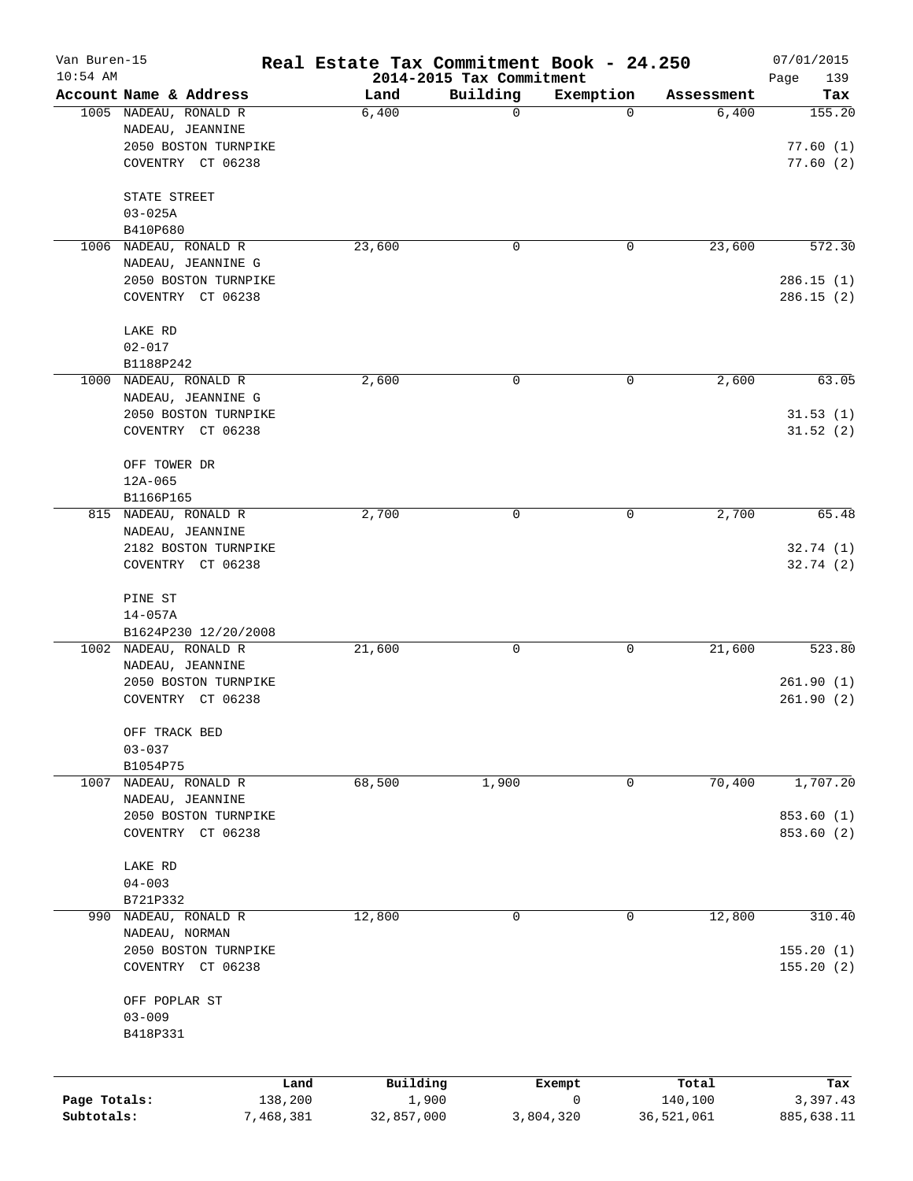| Van Buren-15<br>$10:54$ AM |                                           |           | Real Estate Tax Commitment Book - 24.250 |                                      |           |            | 07/01/2015             |
|----------------------------|-------------------------------------------|-----------|------------------------------------------|--------------------------------------|-----------|------------|------------------------|
|                            | Account Name & Address                    |           | Land                                     | 2014-2015 Tax Commitment<br>Building | Exemption | Assessment | Page<br>139<br>Tax     |
|                            | 1005 NADEAU, RONALD R                     |           | 6,400                                    | $\mathbf 0$                          | 0         | 6,400      | 155.20                 |
|                            | NADEAU, JEANNINE                          |           |                                          |                                      |           |            |                        |
|                            | 2050 BOSTON TURNPIKE                      |           |                                          |                                      |           |            | 77.60(1)               |
|                            | COVENTRY CT 06238                         |           |                                          |                                      |           |            | 77.60(2)               |
|                            | STATE STREET                              |           |                                          |                                      |           |            |                        |
|                            | $03 - 025A$                               |           |                                          |                                      |           |            |                        |
|                            | B410P680                                  |           |                                          |                                      |           |            |                        |
|                            | 1006 NADEAU, RONALD R                     |           | 23,600                                   | 0                                    | 0         | 23,600     | 572.30                 |
|                            | NADEAU, JEANNINE G                        |           |                                          |                                      |           |            |                        |
|                            | 2050 BOSTON TURNPIKE                      |           |                                          |                                      |           |            | 286.15(1)              |
|                            | COVENTRY CT 06238                         |           |                                          |                                      |           |            | 286.15(2)              |
|                            | LAKE RD                                   |           |                                          |                                      |           |            |                        |
|                            | $02 - 017$                                |           |                                          |                                      |           |            |                        |
|                            | B1188P242                                 |           |                                          |                                      |           |            |                        |
|                            | 1000 NADEAU, RONALD R                     |           | 2,600                                    | 0                                    | 0         | 2,600      | 63.05                  |
|                            | NADEAU, JEANNINE G                        |           |                                          |                                      |           |            |                        |
|                            | 2050 BOSTON TURNPIKE                      |           |                                          |                                      |           |            | 31.53(1)               |
|                            | COVENTRY CT 06238                         |           |                                          |                                      |           |            | 31.52(2)               |
|                            | OFF TOWER DR                              |           |                                          |                                      |           |            |                        |
|                            | $12A - 065$                               |           |                                          |                                      |           |            |                        |
|                            | B1166P165                                 |           |                                          |                                      |           |            |                        |
|                            | 815 NADEAU, RONALD R                      |           | 2,700                                    | 0                                    | 0         | 2,700      | 65.48                  |
|                            | NADEAU, JEANNINE                          |           |                                          |                                      |           |            |                        |
|                            | 2182 BOSTON TURNPIKE                      |           |                                          |                                      |           |            | 32.74(1)               |
|                            | COVENTRY CT 06238                         |           |                                          |                                      |           |            | 32.74(2)               |
|                            | PINE ST                                   |           |                                          |                                      |           |            |                        |
|                            | $14 - 057A$                               |           |                                          |                                      |           |            |                        |
|                            | B1624P230 12/20/2008                      |           |                                          |                                      |           |            |                        |
|                            | 1002 NADEAU, RONALD R                     |           | 21,600                                   | 0                                    | 0         | 21,600     | 523.80                 |
|                            | NADEAU, JEANNINE                          |           |                                          |                                      |           |            |                        |
|                            | 2050 BOSTON TURNPIKE<br>COVENTRY CT 06238 |           |                                          |                                      |           |            | 261.90(1)<br>261.90(2) |
|                            |                                           |           |                                          |                                      |           |            |                        |
|                            | OFF TRACK BED                             |           |                                          |                                      |           |            |                        |
|                            | $03 - 037$                                |           |                                          |                                      |           |            |                        |
|                            | B1054P75                                  |           |                                          |                                      |           |            |                        |
| 1007                       | NADEAU, RONALD R                          |           | 68,500                                   | 1,900                                | 0         | 70,400     | 1,707.20               |
|                            | NADEAU, JEANNINE<br>2050 BOSTON TURNPIKE  |           |                                          |                                      |           |            | 853.60 (1)             |
|                            | COVENTRY CT 06238                         |           |                                          |                                      |           |            | 853.60 (2)             |
|                            |                                           |           |                                          |                                      |           |            |                        |
|                            | LAKE RD                                   |           |                                          |                                      |           |            |                        |
|                            | $04 - 003$                                |           |                                          |                                      |           |            |                        |
|                            | B721P332                                  |           |                                          |                                      |           |            |                        |
|                            | 990 NADEAU, RONALD R                      |           | 12,800                                   | 0                                    | 0         | 12,800     | 310.40                 |
|                            | NADEAU, NORMAN                            |           |                                          |                                      |           |            |                        |
|                            | 2050 BOSTON TURNPIKE                      |           |                                          |                                      |           |            | 155.20(1)              |
|                            | COVENTRY CT 06238                         |           |                                          |                                      |           |            | 155.20(2)              |
|                            | OFF POPLAR ST                             |           |                                          |                                      |           |            |                        |
|                            | $03 - 009$                                |           |                                          |                                      |           |            |                        |
|                            | B418P331                                  |           |                                          |                                      |           |            |                        |
|                            |                                           |           |                                          |                                      |           |            |                        |
|                            |                                           | Land      | Building                                 | Exempt                               |           | Total      | Tax                    |
| Page Totals:               |                                           | 138,200   | 1,900                                    |                                      | 0         | 140,100    | 3,397.43               |
| Subtotals:                 |                                           | 7,468,381 | 32,857,000                               | 3,804,320                            |           | 36,521,061 | 885,638.11             |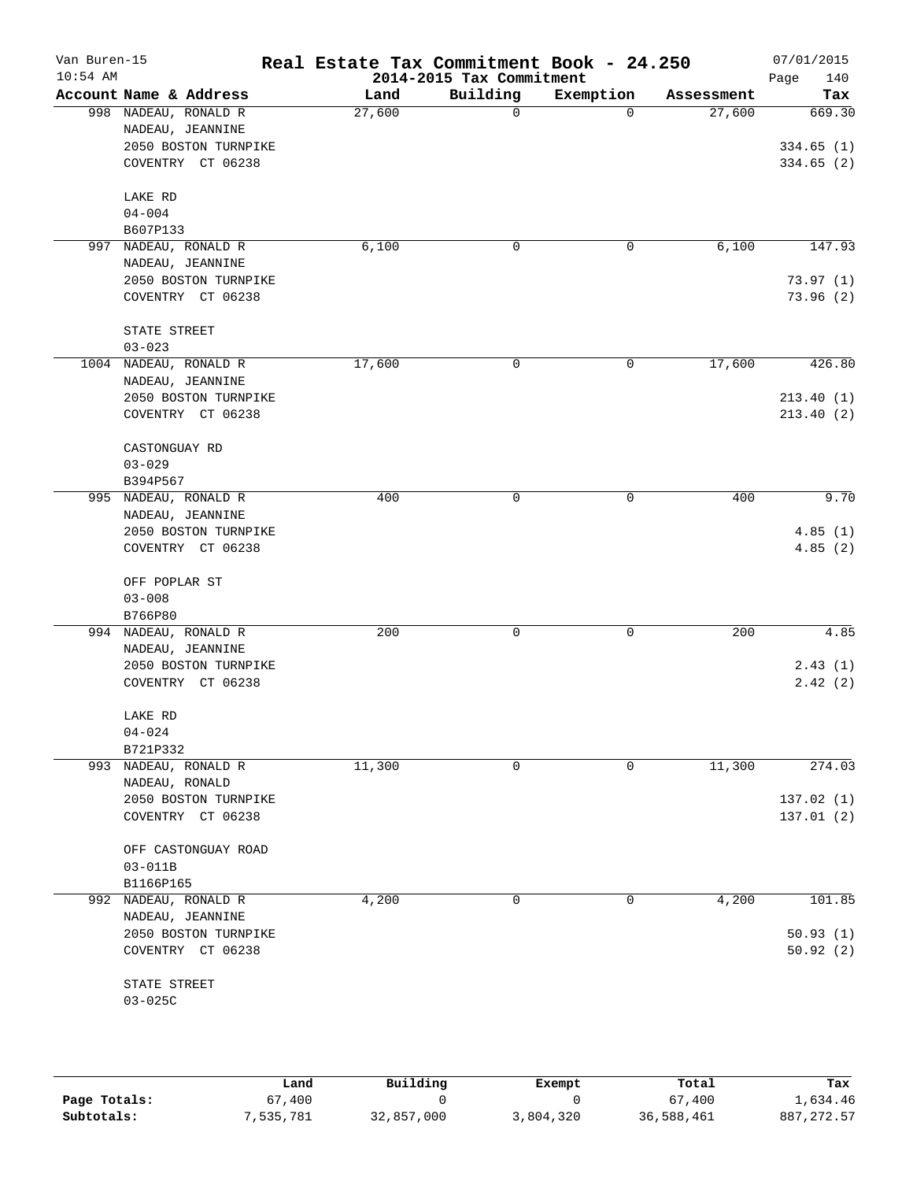| Van Buren-15<br>$10:54$ AM |                                           | Real Estate Tax Commitment Book - 24.250 | 2014-2015 Tax Commitment |           |            | 07/01/2015<br>140<br>Page |
|----------------------------|-------------------------------------------|------------------------------------------|--------------------------|-----------|------------|---------------------------|
|                            | Account Name & Address                    | Land                                     | Building                 | Exemption | Assessment | Tax                       |
|                            | 998 NADEAU, RONALD R<br>NADEAU, JEANNINE  | 27,600                                   | 0                        | $\Omega$  | 27,600     | 669.30                    |
|                            | 2050 BOSTON TURNPIKE<br>COVENTRY CT 06238 |                                          |                          |           |            | 334.65(1)<br>334.65(2)    |
|                            | LAKE RD<br>$04 - 004$                     |                                          |                          |           |            |                           |
|                            | B607P133<br>997 NADEAU, RONALD R          | 6,100                                    | 0                        | 0         | 6,100      | 147.93                    |
|                            | NADEAU, JEANNINE                          |                                          |                          |           |            |                           |
|                            | 2050 BOSTON TURNPIKE<br>COVENTRY CT 06238 |                                          |                          |           |            | 73.97(1)<br>73.96(2)      |
|                            | STATE STREET<br>$03 - 023$                |                                          |                          |           |            |                           |
|                            | 1004 NADEAU, RONALD R<br>NADEAU, JEANNINE | 17,600                                   | 0                        | 0         | 17,600     | 426.80                    |
|                            | 2050 BOSTON TURNPIKE<br>COVENTRY CT 06238 |                                          |                          |           |            | 213.40(1)<br>213.40(2)    |
|                            | CASTONGUAY RD<br>$03 - 029$               |                                          |                          |           |            |                           |
|                            | B394P567                                  |                                          |                          |           |            |                           |
|                            | 995 NADEAU, RONALD R<br>NADEAU, JEANNINE  | 400                                      | 0                        | 0         | 400        | 9.70                      |
|                            | 2050 BOSTON TURNPIKE<br>COVENTRY CT 06238 |                                          |                          |           |            | 4.85(1)<br>4.85(2)        |
|                            | OFF POPLAR ST<br>$03 - 008$               |                                          |                          |           |            |                           |
|                            | B766P80                                   |                                          |                          |           |            |                           |
|                            | 994 NADEAU, RONALD R                      | 200                                      | 0                        | 0         | 200        | 4.85                      |
|                            | NADEAU, JEANNINE<br>2050 BOSTON TURNPIKE  |                                          |                          |           |            | 2.43(1)                   |
|                            | COVENTRY CT 06238                         |                                          |                          |           |            | 2.42(2)                   |
|                            | LAKE RD                                   |                                          |                          |           |            |                           |
|                            | $04 - 024$<br>B721P332                    |                                          |                          |           |            |                           |
|                            | 993 NADEAU, RONALD R                      | 11,300                                   | 0                        | $\Omega$  | 11,300     | 274.03                    |
|                            | NADEAU, RONALD                            |                                          |                          |           |            |                           |
|                            | 2050 BOSTON TURNPIKE<br>COVENTRY CT 06238 |                                          |                          |           |            | 137.02(1)<br>137.01(2)    |
|                            | OFF CASTONGUAY ROAD<br>$03 - 011B$        |                                          |                          |           |            |                           |
|                            | B1166P165                                 |                                          |                          |           |            |                           |
|                            | 992 NADEAU, RONALD R<br>NADEAU, JEANNINE  | 4,200                                    | 0                        | 0         | 4,200      | 101.85                    |
|                            | 2050 BOSTON TURNPIKE                      |                                          |                          |           |            | 50.93(1)                  |
|                            | COVENTRY CT 06238                         |                                          |                          |           |            | 50.92(2)                  |
|                            | STATE STREET<br>$03 - 025C$               |                                          |                          |           |            |                           |
|                            |                                           |                                          |                          |           |            |                           |

|              | Land      | Building   | Exempt    | Total      | Tax          |
|--------------|-----------|------------|-----------|------------|--------------|
| Page Totals: | 67,400    |            |           | 67,400     | 1,634.46     |
| Subtotals:   | 7,535,781 | 32,857,000 | 3,804,320 | 36,588,461 | 887, 272, 57 |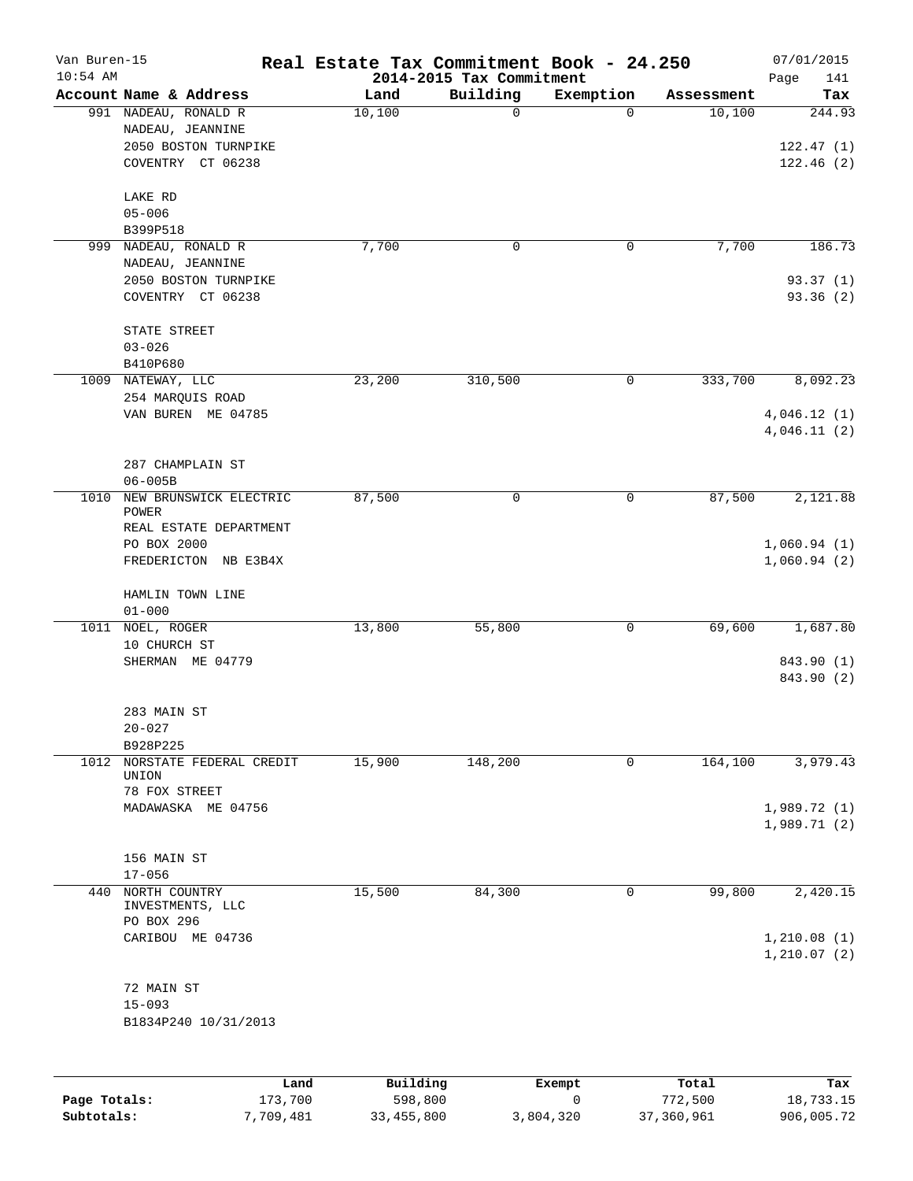| Van Buren-15<br>$10:54$ AM |                                                                                       | Real Estate Tax Commitment Book - 24.250 | 2014-2015 Tax Commitment |           |            | 07/01/2015                       |
|----------------------------|---------------------------------------------------------------------------------------|------------------------------------------|--------------------------|-----------|------------|----------------------------------|
|                            | Account Name & Address                                                                | Land                                     | Building                 | Exemption | Assessment | 141<br>Page<br>Tax               |
|                            | 991 NADEAU, RONALD R<br>NADEAU, JEANNINE<br>2050 BOSTON TURNPIKE<br>COVENTRY CT 06238 | 10,100                                   | $\mathbf 0$              | $\Omega$  | 10,100     | 244.93<br>122.47(1)<br>122.46(2) |
|                            | LAKE RD<br>$05 - 006$<br>B399P518                                                     |                                          |                          |           |            |                                  |
|                            | 999 NADEAU, RONALD R                                                                  | 7,700                                    | 0                        | 0         | 7,700      | 186.73                           |
|                            | NADEAU, JEANNINE<br>2050 BOSTON TURNPIKE<br>COVENTRY CT 06238                         |                                          |                          |           |            | 93.37(1)<br>93.36 (2)            |
|                            | STATE STREET<br>$03 - 026$<br>B410P680                                                |                                          |                          |           |            |                                  |
|                            | 1009 NATEWAY, LLC                                                                     | 23,200                                   | 310,500                  | 0         | 333,700    | 8,092.23                         |
|                            | 254 MARQUIS ROAD<br>VAN BUREN ME 04785                                                |                                          |                          |           |            | 4,046.12(1)<br>4,046.11(2)       |
|                            | 287 CHAMPLAIN ST<br>$06 - 005B$                                                       |                                          |                          |           |            |                                  |
| 1010                       | NEW BRUNSWICK ELECTRIC<br>POWER<br>REAL ESTATE DEPARTMENT                             | 87,500                                   | 0                        | 0         | 87,500     | 2,121.88                         |
|                            | PO BOX 2000<br>FREDERICTON NB E3B4X                                                   |                                          |                          |           |            | 1,060.94(1)<br>1,060.94(2)       |
|                            | HAMLIN TOWN LINE<br>$01 - 000$                                                        |                                          |                          |           |            |                                  |
| 1011                       | NOEL, ROGER                                                                           | 13,800                                   | 55,800                   | 0         | 69,600     | 1,687.80                         |
|                            | 10 CHURCH ST<br>SHERMAN ME 04779                                                      |                                          |                          |           |            | 843.90 (1)<br>843.90 (2)         |
|                            | 283 MAIN ST<br>$20 - 027$                                                             |                                          |                          |           |            |                                  |
|                            | B928P225<br>1012 NORSTATE FEDERAL CREDIT<br>UNION                                     | 15,900                                   | 148,200                  | 0         | 164,100    | 3,979.43                         |
|                            | 78 FOX STREET<br>MADAWASKA ME 04756                                                   |                                          |                          |           |            | 1,989.72(1)<br>1,989.71(2)       |
|                            | 156 MAIN ST<br>$17 - 056$                                                             |                                          |                          |           |            |                                  |
| 440                        | NORTH COUNTRY                                                                         | 15,500                                   | 84,300                   | 0         | 99,800     | 2,420.15                         |
|                            | INVESTMENTS, LLC<br>PO BOX 296                                                        |                                          |                          |           |            |                                  |
|                            | CARIBOU ME 04736                                                                      |                                          |                          |           |            | 1,210.08(1)<br>1, 210.07(2)      |
|                            | 72 MAIN ST                                                                            |                                          |                          |           |            |                                  |
|                            | $15 - 093$<br>B1834P240 10/31/2013                                                    |                                          |                          |           |            |                                  |
|                            |                                                                                       |                                          |                          |           |            |                                  |
|                            | Land                                                                                  | Building                                 |                          | Exempt    | Total      | Tax                              |

|              | nana      | <u>DULLULUM</u> | <b>BACINDO</b> | ----       | $-0.0$     |
|--------------|-----------|-----------------|----------------|------------|------------|
| Page Totals: | 173,700   | 598,800         |                | 772,500    | 18,733.15  |
| Subtotals:   | 7,709,481 | 33,455,800      | 3,804,320      | 37,360,961 | 906,005.72 |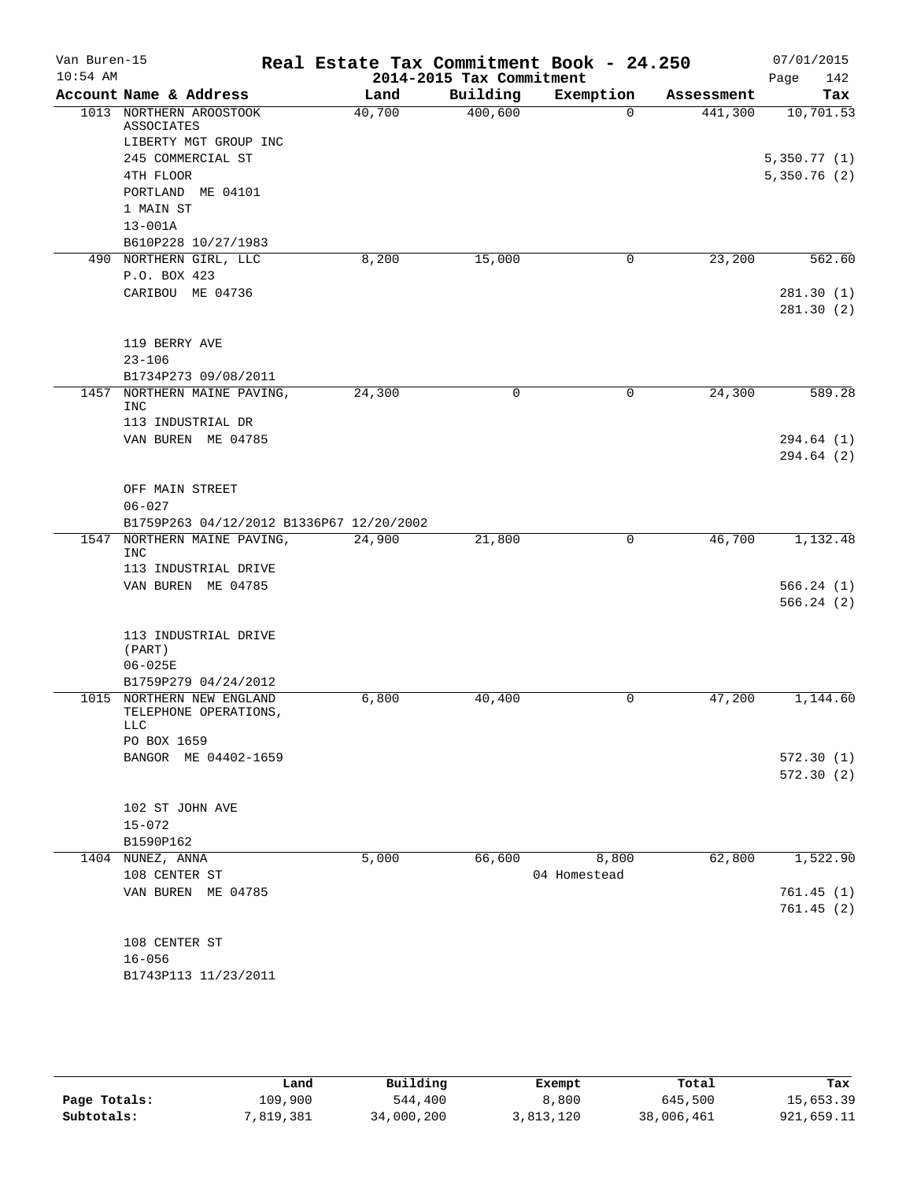| Van Buren-15 |                                                   | Real Estate Tax Commitment Book - 24.250 |                          |              |            | 07/01/2015  |
|--------------|---------------------------------------------------|------------------------------------------|--------------------------|--------------|------------|-------------|
| $10:54$ AM   |                                                   |                                          | 2014-2015 Tax Commitment |              |            | 142<br>Page |
|              | Account Name & Address                            | Land                                     | Building                 | Exemption    | Assessment | Tax         |
|              | 1013 NORTHERN AROOSTOOK<br><b>ASSOCIATES</b>      | 40,700                                   | 400,600                  | $\Omega$     | 441,300    | 10, 701.53  |
|              | LIBERTY MGT GROUP INC                             |                                          |                          |              |            |             |
|              | 245 COMMERCIAL ST                                 |                                          |                          |              |            | 5,350.77(1) |
|              | 4TH FLOOR                                         |                                          |                          |              |            | 5,350.76(2) |
|              | PORTLAND ME 04101                                 |                                          |                          |              |            |             |
|              | 1 MAIN ST                                         |                                          |                          |              |            |             |
|              | $13 - 001A$                                       |                                          |                          |              |            |             |
|              | B610P228 10/27/1983                               |                                          |                          |              |            |             |
|              | 490 NORTHERN GIRL, LLC                            | 8,200                                    | 15,000                   | 0            | 23,200     | 562.60      |
|              | P.O. BOX 423                                      |                                          |                          |              |            |             |
|              | CARIBOU ME 04736                                  |                                          |                          |              |            | 281.30(1)   |
|              |                                                   |                                          |                          |              |            | 281.30(2)   |
|              |                                                   |                                          |                          |              |            |             |
|              | 119 BERRY AVE                                     |                                          |                          |              |            |             |
|              | $23 - 106$                                        |                                          |                          |              |            |             |
|              | B1734P273 09/08/2011                              |                                          |                          |              |            |             |
| 1457         | NORTHERN MAINE PAVING,                            | 24,300                                   | 0                        | 0            | 24,300     | 589.28      |
|              | <b>INC</b>                                        |                                          |                          |              |            |             |
|              | 113 INDUSTRIAL DR                                 |                                          |                          |              |            |             |
|              | VAN BUREN ME 04785                                |                                          |                          |              |            | 294.64 (1)  |
|              |                                                   |                                          |                          |              |            | 294.64(2)   |
|              | OFF MAIN STREET                                   |                                          |                          |              |            |             |
|              | $06 - 027$                                        |                                          |                          |              |            |             |
|              | B1759P263 04/12/2012 B1336P67 12/20/2002          |                                          |                          |              |            |             |
| 1547         | NORTHERN MAINE PAVING,                            | 24,900                                   | 21,800                   | 0            | 46,700     | 1,132.48    |
|              | <b>INC</b>                                        |                                          |                          |              |            |             |
|              | 113 INDUSTRIAL DRIVE                              |                                          |                          |              |            |             |
|              | VAN BUREN ME 04785                                |                                          |                          |              |            | 566.24(1)   |
|              |                                                   |                                          |                          |              |            | 566.24(2)   |
|              |                                                   |                                          |                          |              |            |             |
|              | 113 INDUSTRIAL DRIVE                              |                                          |                          |              |            |             |
|              | (PART)                                            |                                          |                          |              |            |             |
|              | $06 - 025E$                                       |                                          |                          |              |            |             |
|              | B1759P279 04/24/2012<br>1015 NORTHERN NEW ENGLAND |                                          |                          |              |            | 1,144.60    |
|              | TELEPHONE OPERATIONS,                             | 6,800                                    | 40,400                   | 0            | 47,200     |             |
|              | <b>LLC</b>                                        |                                          |                          |              |            |             |
|              | PO BOX 1659                                       |                                          |                          |              |            |             |
|              | BANGOR ME 04402-1659                              |                                          |                          |              |            | 572.30(1)   |
|              |                                                   |                                          |                          |              |            | 572.30(2)   |
|              |                                                   |                                          |                          |              |            |             |
|              | 102 ST JOHN AVE                                   |                                          |                          |              |            |             |
|              | $15 - 072$                                        |                                          |                          |              |            |             |
|              | B1590P162                                         |                                          |                          |              |            |             |
|              | 1404 NUNEZ, ANNA                                  | 5,000                                    | 66,600                   | 8,800        | 62,800     | 1,522.90    |
|              | 108 CENTER ST                                     |                                          |                          | 04 Homestead |            |             |
|              | VAN BUREN ME 04785                                |                                          |                          |              |            | 761.45(1)   |
|              |                                                   |                                          |                          |              |            | 761.45(2)   |
|              | 108 CENTER ST                                     |                                          |                          |              |            |             |
|              | $16 - 056$                                        |                                          |                          |              |            |             |
|              | B1743P113 11/23/2011                              |                                          |                          |              |            |             |
|              |                                                   |                                          |                          |              |            |             |
|              |                                                   |                                          |                          |              |            |             |
|              |                                                   |                                          |                          |              |            |             |

|              | Land      | Building   | Exempt    | Total      | Tax        |
|--------------|-----------|------------|-----------|------------|------------|
| Page Totals: | 109,900   | 544,400    | 8,800     | 645,500    | 15,653.39  |
| Subtotals:   | 7,819,381 | 34,000,200 | 3,813,120 | 38,006,461 | 921,659.11 |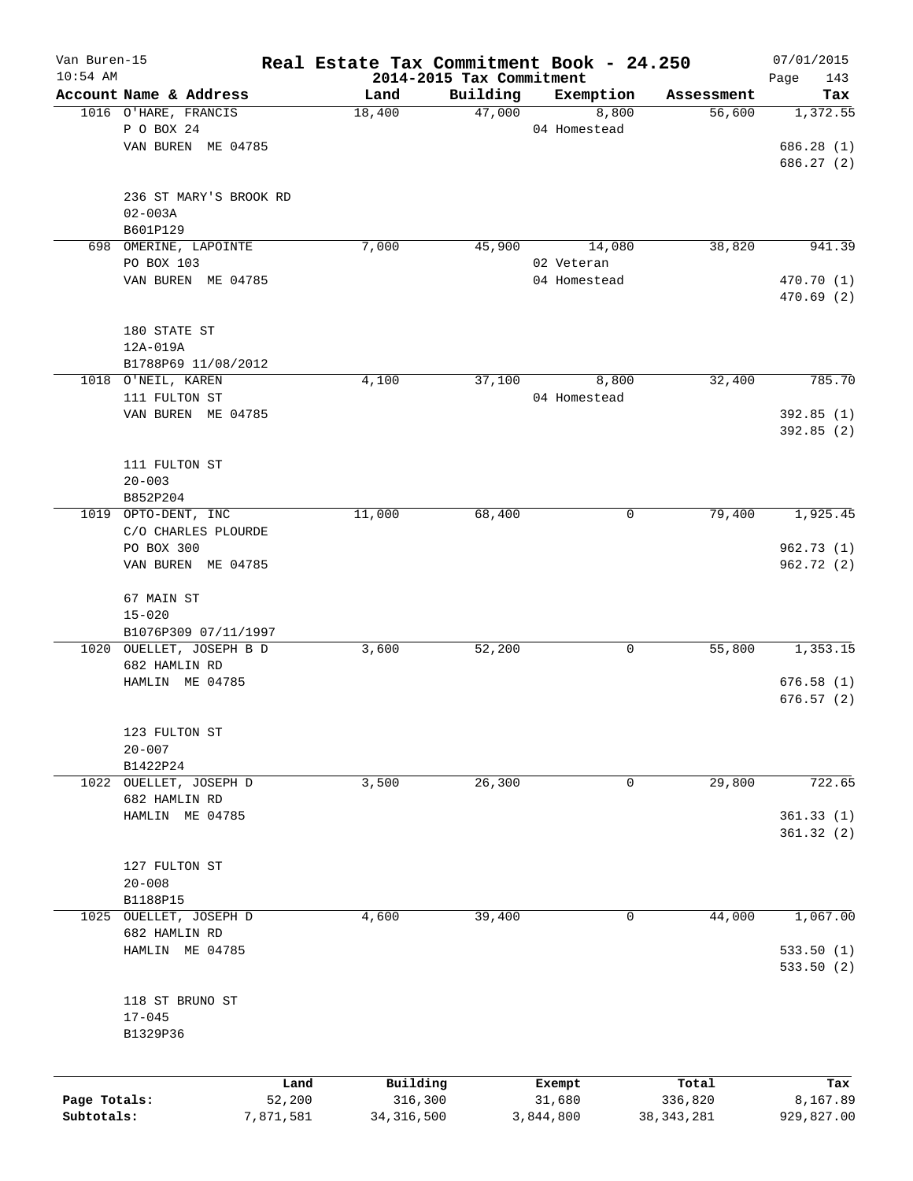| Van Buren-15 |                                    | Real Estate Tax Commitment Book - 24.250 |                                      |              |              | 07/01/2015         |
|--------------|------------------------------------|------------------------------------------|--------------------------------------|--------------|--------------|--------------------|
| $10:54$ AM   | Account Name & Address             | Land                                     | 2014-2015 Tax Commitment<br>Building | Exemption    | Assessment   | Page<br>143<br>Tax |
|              | 1016 O'HARE, FRANCIS               | 18,400                                   | 47,000                               | 8,800        | 56,600       | 1,372.55           |
|              | P O BOX 24                         |                                          |                                      | 04 Homestead |              |                    |
|              | VAN BUREN ME 04785                 |                                          |                                      |              |              | 686.28(1)          |
|              |                                    |                                          |                                      |              |              | 686.27(2)          |
|              |                                    |                                          |                                      |              |              |                    |
|              | 236 ST MARY'S BROOK RD             |                                          |                                      |              |              |                    |
|              | $02 - 003A$                        |                                          |                                      |              |              |                    |
|              | B601P129                           |                                          |                                      |              |              |                    |
|              | 698 OMERINE, LAPOINTE              | 7,000                                    | 45,900                               | 14,080       | 38,820       | 941.39             |
|              | PO BOX 103                         |                                          |                                      | 02 Veteran   |              |                    |
|              | VAN BUREN ME 04785                 |                                          |                                      | 04 Homestead |              | 470.70 (1)         |
|              |                                    |                                          |                                      |              |              | 470.69(2)          |
|              | 180 STATE ST                       |                                          |                                      |              |              |                    |
|              | 12A-019A                           |                                          |                                      |              |              |                    |
|              | B1788P69 11/08/2012                |                                          |                                      |              |              |                    |
|              | 1018 O'NEIL, KAREN                 | 4,100                                    | 37,100                               | 8,800        | 32,400       | 785.70             |
|              | 111 FULTON ST                      |                                          |                                      | 04 Homestead |              |                    |
|              | VAN BUREN ME 04785                 |                                          |                                      |              |              | 392.85 (1)         |
|              |                                    |                                          |                                      |              |              | 392.85(2)          |
|              |                                    |                                          |                                      |              |              |                    |
|              | 111 FULTON ST                      |                                          |                                      |              |              |                    |
|              | $20 - 003$                         |                                          |                                      |              |              |                    |
|              | B852P204                           |                                          |                                      |              |              |                    |
| 1019         | OPTO-DENT, INC                     | 11,000                                   | 68,400                               | 0            | 79,400       | 1,925.45           |
|              | C/O CHARLES PLOURDE                |                                          |                                      |              |              |                    |
|              | PO BOX 300                         |                                          |                                      |              |              | 962.73(1)          |
|              | VAN BUREN ME 04785                 |                                          |                                      |              |              | 962.72 (2)         |
|              | 67 MAIN ST                         |                                          |                                      |              |              |                    |
|              | $15 - 020$                         |                                          |                                      |              |              |                    |
|              | B1076P309 07/11/1997               |                                          |                                      |              |              |                    |
|              | 1020 OUELLET, JOSEPH B D           | 3,600                                    | 52,200                               | 0            | 55,800       | 1,353.15           |
|              | 682 HAMLIN RD                      |                                          |                                      |              |              |                    |
|              | HAMLIN ME 04785                    |                                          |                                      |              |              | 676.58(1)          |
|              |                                    |                                          |                                      |              |              | 676.57(2)          |
|              |                                    |                                          |                                      |              |              |                    |
|              | 123 FULTON ST                      |                                          |                                      |              |              |                    |
|              | $20 - 007$                         |                                          |                                      |              |              |                    |
|              | B1422P24                           |                                          |                                      |              |              |                    |
| 1022         | OUELLET, JOSEPH D<br>682 HAMLIN RD | 3,500                                    | 26,300                               | 0            | 29,800       | 722.65             |
|              | HAMLIN ME 04785                    |                                          |                                      |              |              | 361.33(1)          |
|              |                                    |                                          |                                      |              |              | 361.32(2)          |
|              |                                    |                                          |                                      |              |              |                    |
|              | 127 FULTON ST                      |                                          |                                      |              |              |                    |
|              | $20 - 008$                         |                                          |                                      |              |              |                    |
|              | B1188P15                           |                                          |                                      |              |              |                    |
| 1025         | OUELLET, JOSEPH D                  | 4,600                                    | 39,400                               | 0            | 44,000       | 1,067.00           |
|              | 682 HAMLIN RD                      |                                          |                                      |              |              |                    |
|              | HAMLIN ME 04785                    |                                          |                                      |              |              | 533.50 (1)         |
|              |                                    |                                          |                                      |              |              | 533.50 (2)         |
|              |                                    |                                          |                                      |              |              |                    |
|              | 118 ST BRUNO ST                    |                                          |                                      |              |              |                    |
|              | $17 - 045$                         |                                          |                                      |              |              |                    |
|              | B1329P36                           |                                          |                                      |              |              |                    |
|              |                                    |                                          |                                      |              |              |                    |
|              |                                    | Building<br>Land                         |                                      | Exempt       | Total        | Tax                |
| Page Totals: | 52,200                             | 316,300                                  |                                      | 31,680       | 336,820      | 8,167.89           |
| Subtotals:   | 7,871,581                          | 34, 316, 500                             |                                      | 3,844,800    | 38, 343, 281 | 929,827.00         |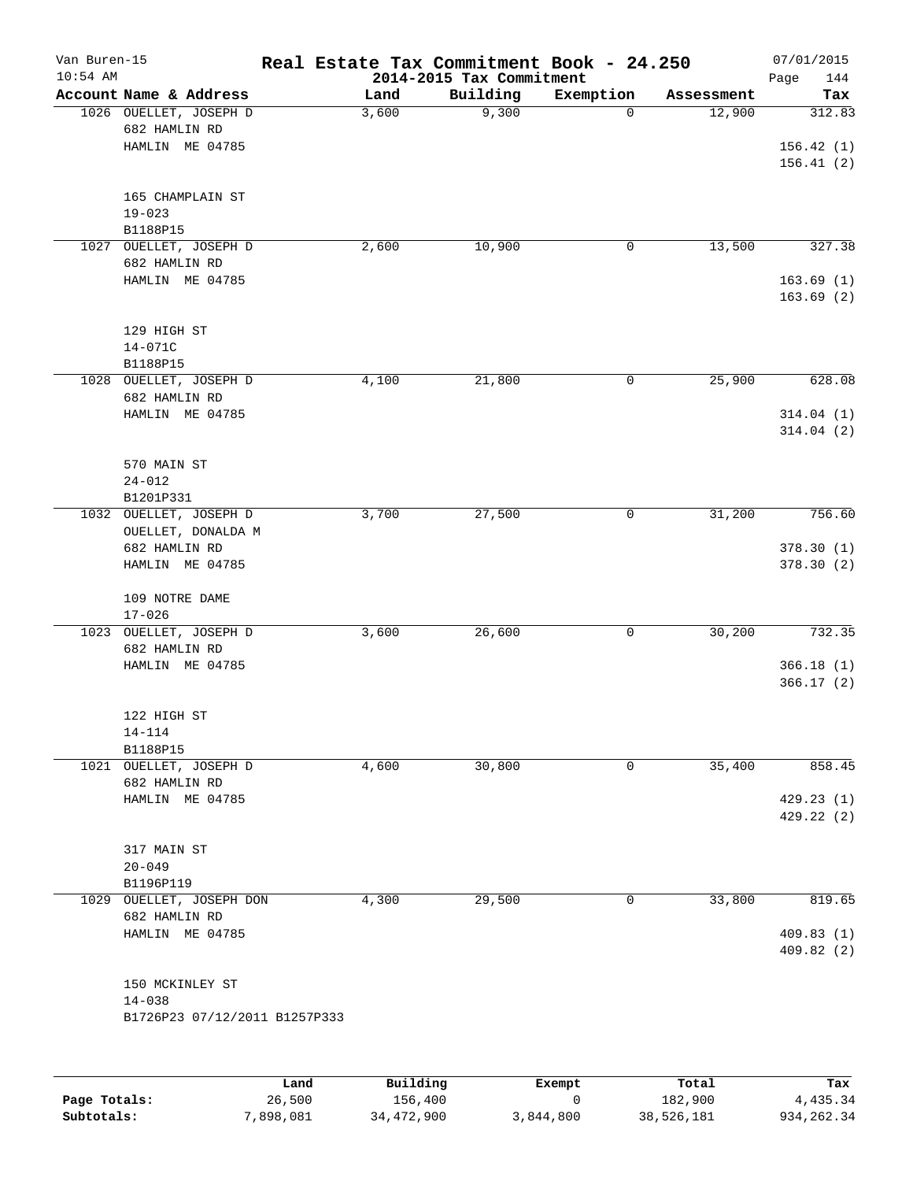| Van Buren-15<br>$10:54$ AM |                                                            |      |                 | Real Estate Tax Commitment Book - 24.250 |           |            | 07/01/2015             |
|----------------------------|------------------------------------------------------------|------|-----------------|------------------------------------------|-----------|------------|------------------------|
|                            | Account Name & Address                                     |      | Land            | 2014-2015 Tax Commitment<br>Building     | Exemption | Assessment | Page<br>144<br>Tax     |
|                            | 1026 OUELLET, JOSEPH D<br>682 HAMLIN RD<br>HAMLIN ME 04785 |      | 3,600           | 9,300                                    | 0         | 12,900     | 312.83<br>156.42(1)    |
|                            |                                                            |      |                 |                                          |           |            | 156.41(2)              |
|                            | 165 CHAMPLAIN ST<br>$19 - 023$<br>B1188P15                 |      |                 |                                          |           |            |                        |
| 1027                       | OUELLET, JOSEPH D<br>682 HAMLIN RD                         |      | 2,600           | 10,900                                   | 0         | 13,500     | 327.38                 |
|                            | HAMLIN ME 04785                                            |      |                 |                                          |           |            | 163.69(1)<br>163.69(2) |
|                            | 129 HIGH ST<br>14-071C                                     |      |                 |                                          |           |            |                        |
|                            | B1188P15                                                   |      |                 |                                          |           |            |                        |
|                            | 1028 OUELLET, JOSEPH D<br>682 HAMLIN RD                    |      | 4,100           | 21,800                                   | 0         | 25,900     | 628.08                 |
|                            | HAMLIN ME 04785                                            |      |                 |                                          |           |            | 314.04(1)<br>314.04(2) |
|                            | 570 MAIN ST<br>$24 - 012$                                  |      |                 |                                          |           |            |                        |
|                            | B1201P331                                                  |      |                 |                                          |           |            |                        |
| 1032                       | OUELLET, JOSEPH D                                          |      | 3,700           | 27,500                                   | 0         | 31,200     | 756.60                 |
|                            | OUELLET, DONALDA M<br>682 HAMLIN RD                        |      |                 |                                          |           |            | 378.30(1)              |
|                            | HAMLIN ME 04785                                            |      |                 |                                          |           |            | 378.30 (2)             |
|                            | 109 NOTRE DAME<br>$17 - 026$                               |      |                 |                                          |           |            |                        |
|                            | 1023 OUELLET, JOSEPH D                                     |      | 3,600           | 26,600                                   | 0         | 30,200     | 732.35                 |
|                            | 682 HAMLIN RD                                              |      |                 |                                          |           |            |                        |
|                            | HAMLIN ME 04785                                            |      |                 |                                          |           |            | 366.18(1)<br>366.17(2) |
|                            | 122 HIGH ST                                                |      |                 |                                          |           |            |                        |
|                            | $14 - 114$                                                 |      |                 |                                          |           |            |                        |
|                            | B1188P15                                                   |      |                 |                                          |           |            |                        |
|                            | 1021 OUELLET, JOSEPH D<br>682 HAMLIN RD                    |      | 4,600           | 30,800                                   | 0         | 35,400     | 858.45                 |
|                            | HAMLIN ME 04785                                            |      |                 |                                          |           |            | 429.23(1)              |
|                            |                                                            |      |                 |                                          |           |            | 429.22(2)              |
|                            | 317 MAIN ST                                                |      |                 |                                          |           |            |                        |
|                            | $20 - 049$                                                 |      |                 |                                          |           |            |                        |
|                            | B1196P119                                                  |      |                 |                                          |           |            |                        |
|                            | 1029 OUELLET, JOSEPH DON                                   |      | 4,300           | 29,500                                   | 0         | 33,800     | 819.65                 |
|                            | 682 HAMLIN RD<br>HAMLIN ME 04785                           |      |                 |                                          |           |            | 409.83(1)<br>409.82(2) |
|                            | 150 MCKINLEY ST<br>$14 - 038$                              |      |                 |                                          |           |            |                        |
|                            | B1726P23 07/12/2011 B1257P333                              |      |                 |                                          |           |            |                        |
|                            |                                                            |      |                 |                                          |           |            |                        |
|                            |                                                            | Land | <b>Building</b> |                                          | Exempt.   | Total      | Tax                    |

|              | Land      | Building   | Exempt    | Total      | Tax        |
|--------------|-----------|------------|-----------|------------|------------|
| Page Totals: | 26,500    | 156,400    |           | 182,900    | 4,435.34   |
| Subtotals:   | 7,898,081 | 34,472,900 | 3,844,800 | 38,526,181 | 934,262.34 |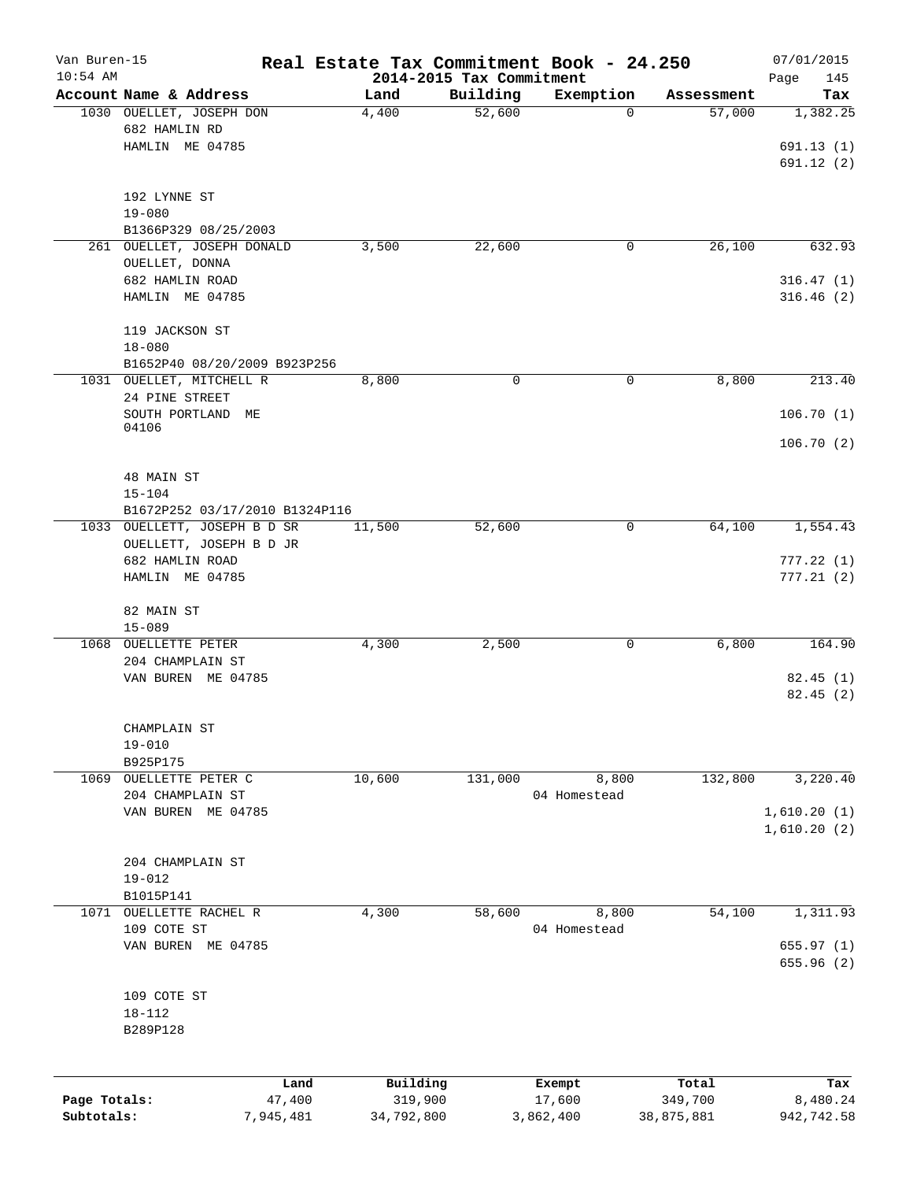| Van Buren-15 |                                        | Real Estate Tax Commitment Book - 24.250 |                                      |                          |                      | 07/01/2015      |
|--------------|----------------------------------------|------------------------------------------|--------------------------------------|--------------------------|----------------------|-----------------|
| $10:54$ AM   | Account Name & Address                 | Land                                     | 2014-2015 Tax Commitment<br>Building |                          |                      | Page<br>145     |
|              | 1030 OUELLET, JOSEPH DON               | 4,400                                    | 52,600                               | Exemption<br>$\mathbf 0$ | Assessment<br>57,000 | Tax<br>1,382.25 |
|              | 682 HAMLIN RD                          |                                          |                                      |                          |                      |                 |
|              | HAMLIN ME 04785                        |                                          |                                      |                          |                      | 691.13(1)       |
|              |                                        |                                          |                                      |                          |                      | 691.12(2)       |
|              |                                        |                                          |                                      |                          |                      |                 |
|              | 192 LYNNE ST                           |                                          |                                      |                          |                      |                 |
|              | $19 - 080$                             |                                          |                                      |                          |                      |                 |
|              | B1366P329 08/25/2003                   |                                          |                                      |                          |                      |                 |
|              | 261 OUELLET, JOSEPH DONALD             | 3,500                                    | 22,600                               | 0                        | 26,100               | 632.93          |
|              | OUELLET, DONNA                         |                                          |                                      |                          |                      |                 |
|              | 682 HAMLIN ROAD                        |                                          |                                      |                          |                      | 316.47(1)       |
|              | HAMLIN ME 04785                        |                                          |                                      |                          |                      | 316.46(2)       |
|              |                                        |                                          |                                      |                          |                      |                 |
|              | 119 JACKSON ST                         |                                          |                                      |                          |                      |                 |
|              | $18 - 080$                             |                                          |                                      |                          |                      |                 |
|              | B1652P40 08/20/2009 B923P256           |                                          |                                      |                          |                      |                 |
|              | 1031 OUELLET, MITCHELL R               | 8,800                                    | $\mathbf 0$                          | 0                        | 8,800                | 213.40          |
|              | 24 PINE STREET                         |                                          |                                      |                          |                      |                 |
|              | SOUTH PORTLAND ME                      |                                          |                                      |                          |                      | 106.70(1)       |
|              | 04106                                  |                                          |                                      |                          |                      | 106.70(2)       |
|              |                                        |                                          |                                      |                          |                      |                 |
|              | 48 MAIN ST                             |                                          |                                      |                          |                      |                 |
|              | $15 - 104$                             |                                          |                                      |                          |                      |                 |
|              | B1672P252 03/17/2010 B1324P116         |                                          |                                      |                          |                      |                 |
|              | 1033 OUELLETT, JOSEPH B D SR           | 11,500                                   | 52,600                               | $\mathbf 0$              | 64,100               | 1,554.43        |
|              | OUELLETT, JOSEPH B D JR                |                                          |                                      |                          |                      |                 |
|              | 682 HAMLIN ROAD                        |                                          |                                      |                          |                      | 777.22(1)       |
|              | HAMLIN ME 04785                        |                                          |                                      |                          |                      | 777.21(2)       |
|              |                                        |                                          |                                      |                          |                      |                 |
|              | 82 MAIN ST                             |                                          |                                      |                          |                      |                 |
|              | $15 - 089$                             |                                          |                                      |                          |                      |                 |
|              | 1068 OUELLETTE PETER                   | 4,300                                    | 2,500                                | 0                        | 6,800                | 164.90          |
|              | 204 CHAMPLAIN ST                       |                                          |                                      |                          |                      |                 |
|              | VAN BUREN ME 04785                     |                                          |                                      |                          |                      | 82.45(1)        |
|              |                                        |                                          |                                      |                          |                      | 82.45(2)        |
|              |                                        |                                          |                                      |                          |                      |                 |
|              | CHAMPLAIN ST                           |                                          |                                      |                          |                      |                 |
|              | $19 - 010$                             |                                          |                                      |                          |                      |                 |
|              | B925P175                               |                                          |                                      |                          |                      |                 |
| 1069         | OUELLETTE PETER C                      | 10,600                                   | 131,000                              | 8,800                    | 132,800              | 3,220.40        |
|              | 204 CHAMPLAIN ST<br>VAN BUREN ME 04785 |                                          |                                      | 04 Homestead             |                      | 1,610.20(1)     |
|              |                                        |                                          |                                      |                          |                      | 1,610.20(2)     |
|              |                                        |                                          |                                      |                          |                      |                 |
|              | 204 CHAMPLAIN ST                       |                                          |                                      |                          |                      |                 |
|              | $19 - 012$                             |                                          |                                      |                          |                      |                 |
|              | B1015P141                              |                                          |                                      |                          |                      |                 |
|              | 1071 OUELLETTE RACHEL R                | 4,300                                    | 58,600                               | 8,800                    | 54,100               | 1,311.93        |
|              | 109 COTE ST                            |                                          |                                      | 04 Homestead             |                      |                 |
|              | VAN BUREN ME 04785                     |                                          |                                      |                          |                      | 655.97(1)       |
|              |                                        |                                          |                                      |                          |                      | 655.96 (2)      |
|              |                                        |                                          |                                      |                          |                      |                 |
|              | 109 COTE ST                            |                                          |                                      |                          |                      |                 |
|              | $18 - 112$                             |                                          |                                      |                          |                      |                 |
|              | B289P128                               |                                          |                                      |                          |                      |                 |
|              |                                        |                                          |                                      |                          |                      |                 |
|              |                                        |                                          |                                      |                          |                      |                 |
| Page Totals: | Land<br>47,400                         | Building<br>319,900                      |                                      | Exempt<br>17,600         | Total<br>349,700     | Tax<br>8,480.24 |
| Subtotals:   | 7,945,481                              | 34,792,800                               |                                      | 3,862,400                | 38,875,881           | 942,742.58      |
|              |                                        |                                          |                                      |                          |                      |                 |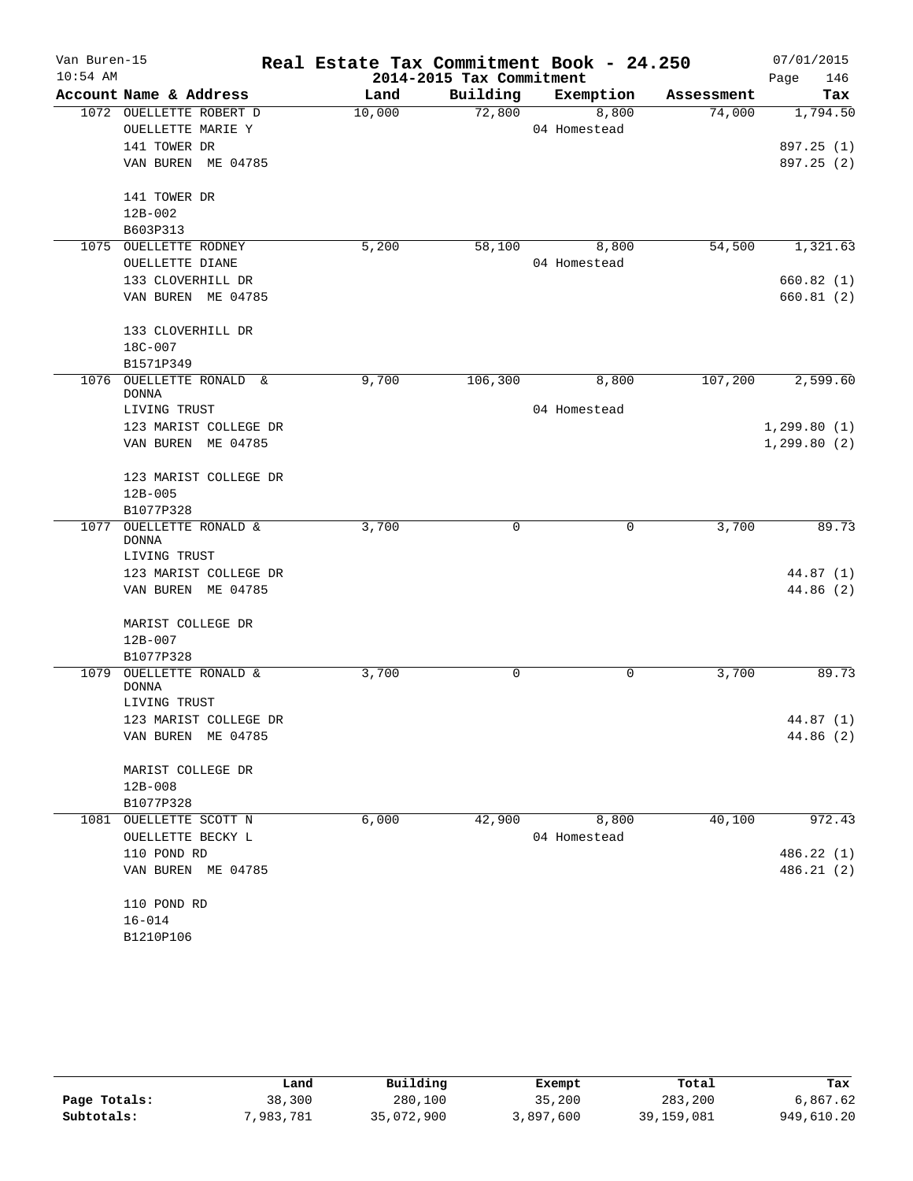| Van Buren-15<br>$10:54$ AM |                                    |        | 2014-2015 Tax Commitment | Real Estate Tax Commitment Book - 24.250 |            | 07/01/2015<br>146<br>Page |
|----------------------------|------------------------------------|--------|--------------------------|------------------------------------------|------------|---------------------------|
|                            | Account Name & Address             | Land   | Building                 | Exemption                                | Assessment | Tax                       |
|                            | 1072 OUELLETTE ROBERT D            | 10,000 | 72,800                   | 8,800                                    | 74,000     | 1,794.50                  |
|                            | OUELLETTE MARIE Y                  |        |                          | 04 Homestead                             |            |                           |
|                            | 141 TOWER DR                       |        |                          |                                          |            | 897.25 (1)                |
|                            | VAN BUREN ME 04785                 |        |                          |                                          |            | 897.25 (2)                |
|                            | 141 TOWER DR                       |        |                          |                                          |            |                           |
|                            | $12B - 002$                        |        |                          |                                          |            |                           |
|                            | B603P313                           |        |                          |                                          |            |                           |
|                            | 1075 OUELLETTE RODNEY              | 5,200  | 58,100                   | 8,800                                    | 54,500     | 1,321.63                  |
|                            | OUELLETTE DIANE                    |        |                          | 04 Homestead                             |            |                           |
|                            | 133 CLOVERHILL DR                  |        |                          |                                          |            | 660.82(1)                 |
|                            | VAN BUREN ME 04785                 |        |                          |                                          |            | 660.81(2)                 |
|                            | 133 CLOVERHILL DR                  |        |                          |                                          |            |                           |
|                            | 18C-007                            |        |                          |                                          |            |                           |
|                            | B1571P349                          |        |                          |                                          |            |                           |
| 1076                       | OUELLETTE RONALD &<br>DONNA        | 9,700  | 106,300                  | 8,800                                    | 107,200    | 2,599.60                  |
|                            | LIVING TRUST                       |        |                          | 04 Homestead                             |            |                           |
|                            | 123 MARIST COLLEGE DR              |        |                          |                                          |            | 1, 299.80(1)              |
|                            | VAN BUREN ME 04785                 |        |                          |                                          |            | 1, 299.80(2)              |
|                            | 123 MARIST COLLEGE DR              |        |                          |                                          |            |                           |
|                            | $12B - 005$                        |        |                          |                                          |            |                           |
|                            | B1077P328                          |        |                          |                                          |            |                           |
| 1077                       | OUELLETTE RONALD &<br><b>DONNA</b> | 3,700  | 0                        | 0                                        | 3,700      | 89.73                     |
|                            | LIVING TRUST                       |        |                          |                                          |            |                           |
|                            | 123 MARIST COLLEGE DR              |        |                          |                                          |            | 44.87 (1)                 |
|                            | VAN BUREN ME 04785                 |        |                          |                                          |            | 44.86 (2)                 |
|                            | MARIST COLLEGE DR                  |        |                          |                                          |            |                           |
|                            | 12B-007                            |        |                          |                                          |            |                           |
|                            | B1077P328                          |        |                          |                                          |            |                           |
| 1079                       | OUELLETTE RONALD &                 | 3,700  | 0                        | 0                                        | 3,700      | 89.73                     |
|                            | <b>DONNA</b>                       |        |                          |                                          |            |                           |
|                            | LIVING TRUST                       |        |                          |                                          |            |                           |
|                            | 123 MARIST COLLEGE DR              |        |                          |                                          |            | 44.87 (1)                 |
|                            | VAN BUREN ME 04785                 |        |                          |                                          |            | 44.86 (2)                 |
|                            | MARIST COLLEGE DR                  |        |                          |                                          |            |                           |
|                            | $12B - 008$                        |        |                          |                                          |            |                           |
|                            | B1077P328                          |        |                          |                                          |            |                           |
|                            | 1081 OUELLETTE SCOTT N             | 6,000  | 42,900                   | 8,800                                    | 40,100     | 972.43                    |
|                            | OUELLETTE BECKY L                  |        |                          | 04 Homestead                             |            |                           |
|                            | 110 POND RD                        |        |                          |                                          |            | 486.22 (1)                |
|                            | VAN BUREN ME 04785                 |        |                          |                                          |            | 486.21 (2)                |
|                            | 110 POND RD                        |        |                          |                                          |            |                           |
|                            | $16 - 014$                         |        |                          |                                          |            |                           |
|                            | B1210P106                          |        |                          |                                          |            |                           |

|              | Land      | Building   | Exempt    | Total        | Tax        |
|--------------|-----------|------------|-----------|--------------|------------|
| Page Totals: | 38,300    | 280,100    | 35,200    | 283,200      | 6,867.62   |
| Subtotals:   | 7,983,781 | 35,072,900 | 3,897,600 | 39, 159, 081 | 949,610.20 |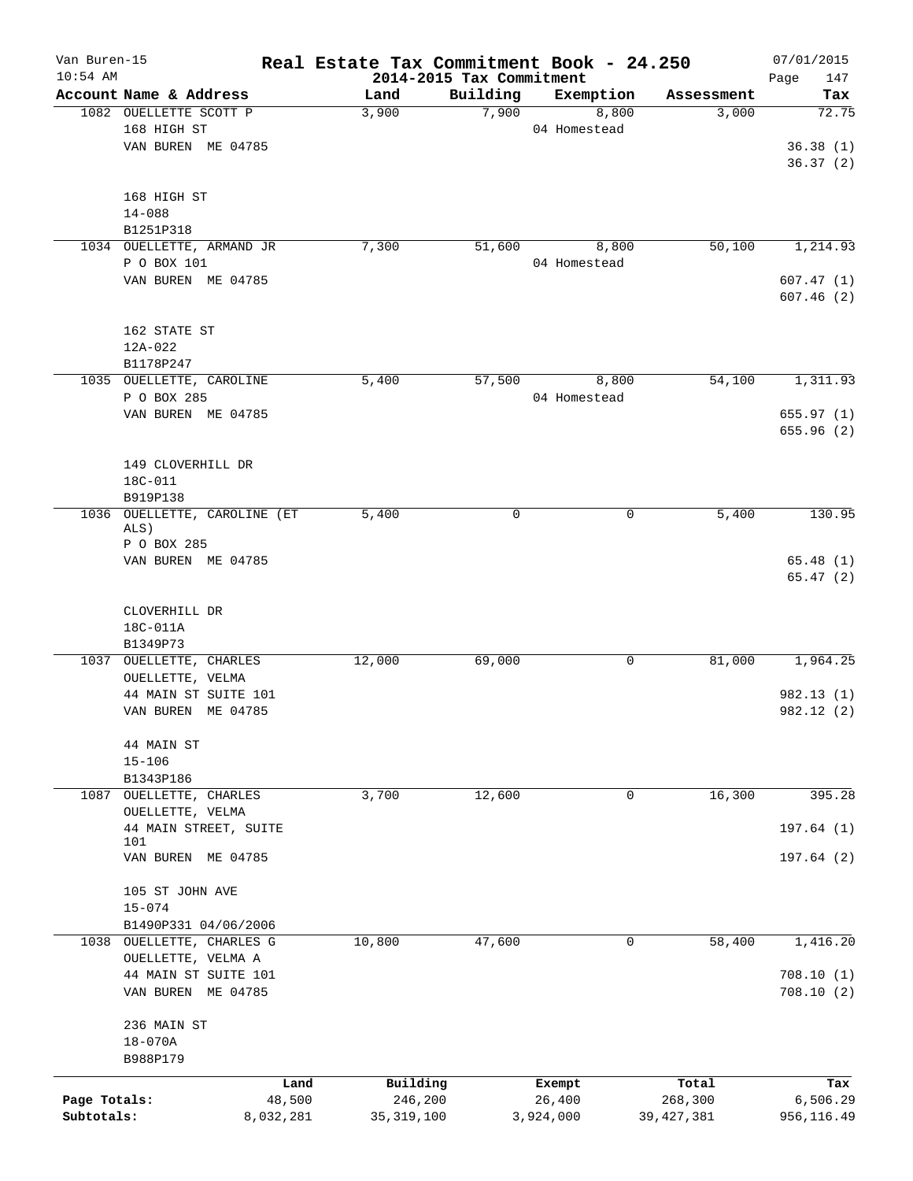| Van Buren-15 |                                              | Real Estate Tax Commitment Book - 24.250 |                                      |                    |                     | 07/01/2015   |
|--------------|----------------------------------------------|------------------------------------------|--------------------------------------|--------------------|---------------------|--------------|
| $10:54$ AM   | Account Name & Address                       |                                          | 2014-2015 Tax Commitment<br>Building |                    |                     | 147<br>Page  |
|              | 1082 OUELLETTE SCOTT P                       | Land<br>3,900                            | 7,900                                | Exemption<br>8,800 | Assessment<br>3,000 | Tax<br>72.75 |
|              | 168 HIGH ST                                  |                                          |                                      | 04 Homestead       |                     |              |
|              | VAN BUREN ME 04785                           |                                          |                                      |                    |                     | 36.38(1)     |
|              |                                              |                                          |                                      |                    |                     | 36.37(2)     |
|              |                                              |                                          |                                      |                    |                     |              |
|              | 168 HIGH ST                                  |                                          |                                      |                    |                     |              |
|              | $14 - 088$                                   |                                          |                                      |                    |                     |              |
|              | B1251P318                                    |                                          |                                      |                    |                     |              |
|              | 1034 OUELLETTE, ARMAND JR                    | 7,300                                    | 51,600                               | 8,800              | 50,100              | 1,214.93     |
|              | P O BOX 101                                  |                                          |                                      | 04 Homestead       |                     |              |
|              | VAN BUREN ME 04785                           |                                          |                                      |                    |                     | 607.47(1)    |
|              |                                              |                                          |                                      |                    |                     | 607.46(2)    |
|              | 162 STATE ST                                 |                                          |                                      |                    |                     |              |
|              | 12A-022                                      |                                          |                                      |                    |                     |              |
|              | B1178P247                                    |                                          |                                      |                    |                     |              |
|              | 1035 OUELLETTE, CAROLINE                     | 5,400                                    | 57,500                               | 8,800              | 54,100              | 1,311.93     |
|              | P O BOX 285                                  |                                          |                                      | 04 Homestead       |                     |              |
|              | VAN BUREN ME 04785                           |                                          |                                      |                    |                     | 655.97(1)    |
|              |                                              |                                          |                                      |                    |                     | 655.96(2)    |
|              |                                              |                                          |                                      |                    |                     |              |
|              | 149 CLOVERHILL DR                            |                                          |                                      |                    |                     |              |
|              | 18C-011                                      |                                          |                                      |                    |                     |              |
|              | B919P138                                     |                                          |                                      |                    |                     |              |
| 1036         | OUELLETTE, CAROLINE (ET                      | 5,400                                    | 0                                    | 0                  | 5,400               | 130.95       |
|              | ALS)                                         |                                          |                                      |                    |                     |              |
|              | P O BOX 285                                  |                                          |                                      |                    |                     |              |
|              | VAN BUREN ME 04785                           |                                          |                                      |                    |                     | 65.48(1)     |
|              |                                              |                                          |                                      |                    |                     | 65.47(2)     |
|              |                                              |                                          |                                      |                    |                     |              |
|              | CLOVERHILL DR                                |                                          |                                      |                    |                     |              |
|              | 18C-011A                                     |                                          |                                      |                    |                     |              |
|              | B1349P73                                     |                                          |                                      |                    |                     |              |
|              | 1037 OUELLETTE, CHARLES                      | 12,000                                   | 69,000                               | 0                  | 81,000              | 1,964.25     |
|              | OUELLETTE, VELMA                             |                                          |                                      |                    |                     |              |
|              | 44 MAIN ST SUITE 101                         |                                          |                                      |                    |                     | 982.13(1)    |
|              | VAN BUREN ME 04785                           |                                          |                                      |                    |                     | 982.12 (2)   |
|              |                                              |                                          |                                      |                    |                     |              |
|              | 44 MAIN ST                                   |                                          |                                      |                    |                     |              |
|              | $15 - 106$                                   |                                          |                                      |                    |                     |              |
| 1087         | B1343P186<br>OUELLETTE, CHARLES              | 3,700                                    | 12,600                               | 0                  | 16,300              | 395.28       |
|              | OUELLETTE, VELMA                             |                                          |                                      |                    |                     |              |
|              | 44 MAIN STREET, SUITE                        |                                          |                                      |                    |                     | 197.64(1)    |
|              | 101                                          |                                          |                                      |                    |                     |              |
|              | VAN BUREN ME 04785                           |                                          |                                      |                    |                     | 197.64(2)    |
|              |                                              |                                          |                                      |                    |                     |              |
|              | 105 ST JOHN AVE                              |                                          |                                      |                    |                     |              |
|              | $15 - 074$                                   |                                          |                                      |                    |                     |              |
| 1038         | B1490P331 04/06/2006<br>OUELLETTE, CHARLES G | 10,800                                   | 47,600                               | 0                  | 58,400              | 1,416.20     |
|              |                                              |                                          |                                      |                    |                     |              |
|              | OUELLETTE, VELMA A<br>44 MAIN ST SUITE 101   |                                          |                                      |                    |                     | 708.10(1)    |
|              |                                              |                                          |                                      |                    |                     |              |
|              | VAN BUREN ME 04785                           |                                          |                                      |                    |                     | 708.10(2)    |
|              | 236 MAIN ST                                  |                                          |                                      |                    |                     |              |
|              | $18 - 070A$                                  |                                          |                                      |                    |                     |              |
|              | B988P179                                     |                                          |                                      |                    |                     |              |
|              |                                              |                                          |                                      |                    |                     |              |
|              |                                              | Building<br>Land                         |                                      | Exempt             | Total               | Tax          |
| Page Totals: |                                              | 48,500<br>246,200                        |                                      | 26,400             | 268,300             | 6,506.29     |
| Subtotals:   | 8,032,281                                    | 35, 319, 100                             |                                      | 3,924,000          | 39, 427, 381        | 956,116.49   |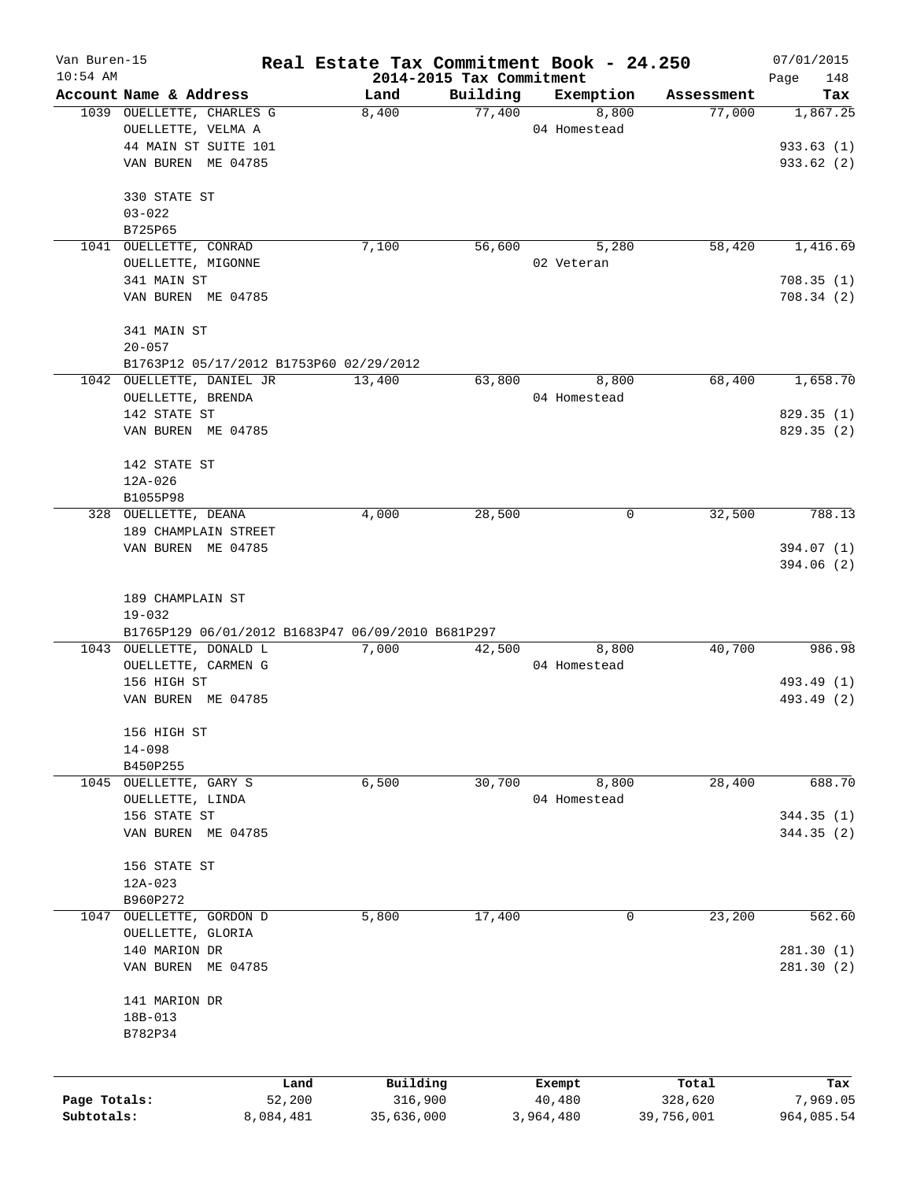| Van Buren-15 |                                                     | Real Estate Tax Commitment Book - 24.250 |                          |                    |                      | 07/01/2015      |
|--------------|-----------------------------------------------------|------------------------------------------|--------------------------|--------------------|----------------------|-----------------|
| $10:54$ AM   |                                                     |                                          | 2014-2015 Tax Commitment |                    |                      | Page<br>148     |
|              | Account Name & Address<br>1039 OUELLETTE, CHARLES G | Land<br>8,400                            | Building<br>77,400       | Exemption<br>8,800 | Assessment<br>77,000 | Tax<br>1,867.25 |
|              | OUELLETTE, VELMA A                                  |                                          |                          | 04 Homestead       |                      |                 |
|              | 44 MAIN ST SUITE 101                                |                                          |                          |                    |                      | 933.63(1)       |
|              | VAN BUREN ME 04785                                  |                                          |                          |                    |                      | 933.62(2)       |
|              |                                                     |                                          |                          |                    |                      |                 |
|              | 330 STATE ST                                        |                                          |                          |                    |                      |                 |
|              | $03 - 022$                                          |                                          |                          |                    |                      |                 |
|              | B725P65                                             |                                          |                          |                    |                      |                 |
| 1041         | OUELLETTE, CONRAD                                   | 7,100                                    | 56,600                   | 5,280              | 58,420               | 1,416.69        |
|              | OUELLETTE, MIGONNE                                  |                                          |                          | 02 Veteran         |                      |                 |
|              | 341 MAIN ST                                         |                                          |                          |                    |                      | 708.35(1)       |
|              | VAN BUREN ME 04785                                  |                                          |                          |                    |                      | 708.34(2)       |
|              | 341 MAIN ST                                         |                                          |                          |                    |                      |                 |
|              | $20 - 057$                                          |                                          |                          |                    |                      |                 |
|              | B1763P12 05/17/2012 B1753P60 02/29/2012             |                                          |                          |                    |                      |                 |
|              | 1042 OUELLETTE, DANIEL JR                           | 13,400                                   | 63,800                   | 8,800              | 68,400               | 1,658.70        |
|              | OUELLETTE, BRENDA                                   |                                          |                          | 04 Homestead       |                      |                 |
|              | 142 STATE ST                                        |                                          |                          |                    |                      | 829.35 (1)      |
|              | VAN BUREN ME 04785                                  |                                          |                          |                    |                      | 829.35(2)       |
|              |                                                     |                                          |                          |                    |                      |                 |
|              | 142 STATE ST                                        |                                          |                          |                    |                      |                 |
|              | $12A - 026$                                         |                                          |                          |                    |                      |                 |
|              | B1055P98                                            |                                          |                          |                    |                      |                 |
|              | 328 OUELLETTE, DEANA                                | 4,000                                    | 28,500                   | 0                  | 32,500               | 788.13          |
|              | 189 CHAMPLAIN STREET                                |                                          |                          |                    |                      |                 |
|              | VAN BUREN ME 04785                                  |                                          |                          |                    |                      | 394.07 (1)      |
|              |                                                     |                                          |                          |                    |                      | 394.06 (2)      |
|              | 189 CHAMPLAIN ST                                    |                                          |                          |                    |                      |                 |
|              | $19 - 032$                                          |                                          |                          |                    |                      |                 |
|              | B1765P129 06/01/2012 B1683P47 06/09/2010 B681P297   |                                          |                          |                    |                      |                 |
|              | 1043 OUELLETTE, DONALD L                            | 7,000                                    | 42,500                   | 8,800              | 40,700               | 986.98          |
|              | OUELLETTE, CARMEN G                                 |                                          |                          | 04 Homestead       |                      |                 |
|              | 156 HIGH ST                                         |                                          |                          |                    |                      | 493.49 (1)      |
|              | VAN BUREN ME 04785                                  |                                          |                          |                    |                      | 493.49 (2)      |
|              | 156 HIGH ST                                         |                                          |                          |                    |                      |                 |
|              | $14 - 098$                                          |                                          |                          |                    |                      |                 |
|              | B450P255                                            |                                          |                          |                    |                      |                 |
| 1045         | OUELLETTE, GARY S                                   | 6,500                                    | 30,700                   | 8,800              | 28,400               | 688.70          |
|              | OUELLETTE, LINDA                                    |                                          |                          | 04 Homestead       |                      |                 |
|              | 156 STATE ST                                        |                                          |                          |                    |                      | 344.35 (1)      |
|              | VAN BUREN ME 04785                                  |                                          |                          |                    |                      | 344.35(2)       |
|              | 156 STATE ST                                        |                                          |                          |                    |                      |                 |
|              | 12A-023                                             |                                          |                          |                    |                      |                 |
|              | B960P272                                            |                                          |                          |                    |                      |                 |
| 1047         | OUELLETTE, GORDON D                                 | 5,800                                    | 17,400                   | 0                  | 23,200               | 562.60          |
|              | OUELLETTE, GLORIA                                   |                                          |                          |                    |                      |                 |
|              | 140 MARION DR                                       |                                          |                          |                    |                      | 281.30 (1)      |
|              | VAN BUREN ME 04785                                  |                                          |                          |                    |                      | 281.30 (2)      |
|              |                                                     |                                          |                          |                    |                      |                 |
|              | 141 MARION DR                                       |                                          |                          |                    |                      |                 |
|              | 18B-013                                             |                                          |                          |                    |                      |                 |
|              | B782P34                                             |                                          |                          |                    |                      |                 |
|              |                                                     |                                          |                          |                    |                      |                 |
|              |                                                     | Building<br>Land                         |                          | Exempt             | Total                | Tax             |
| Page Totals: | 52,200                                              | 316,900                                  |                          | 40,480             | 328,620              | 7,969.05        |
| Subtotals:   | 8,084,481                                           | 35,636,000                               |                          | 3,964,480          | 39,756,001           | 964,085.54      |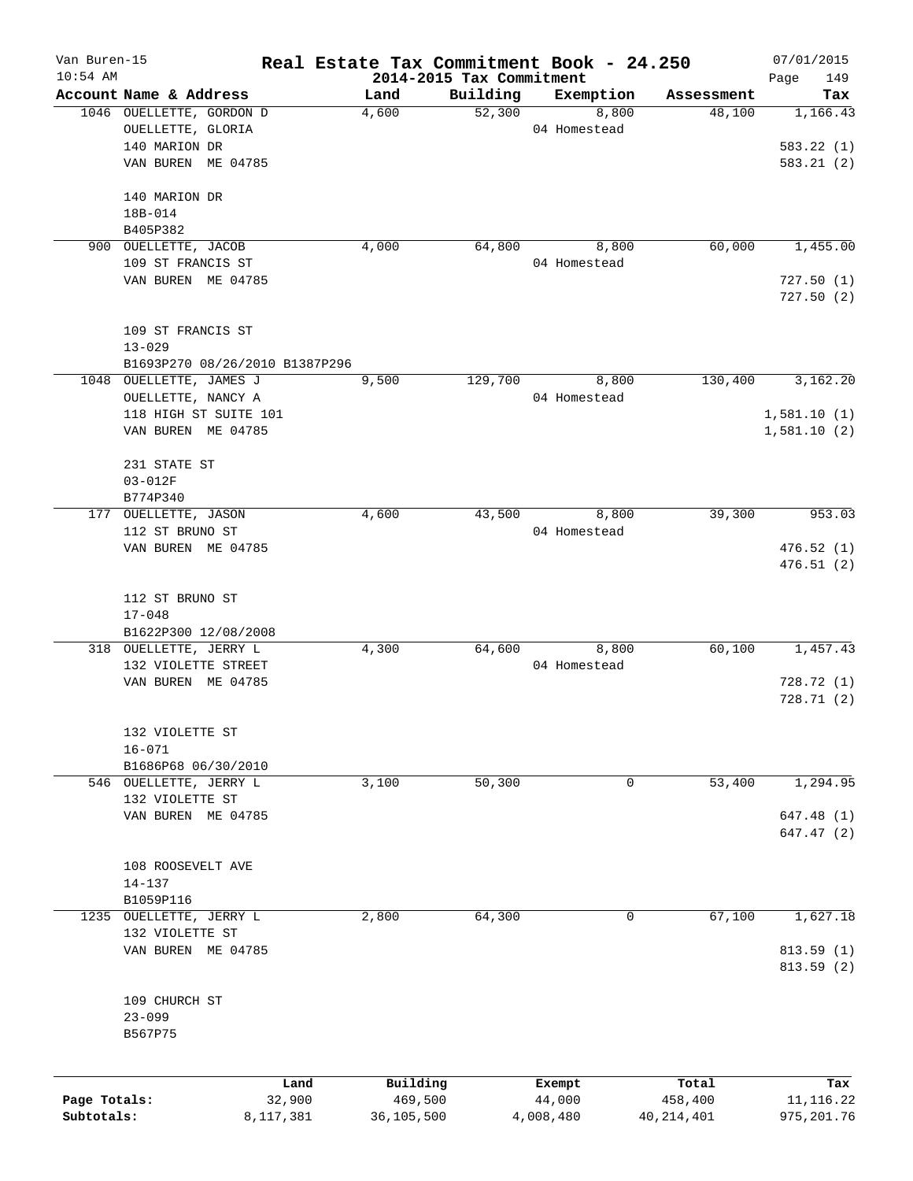| Van Buren-15 |                                | Real Estate Tax Commitment Book - 24.250 |                    |                    |                      | 07/01/2015      |
|--------------|--------------------------------|------------------------------------------|--------------------|--------------------|----------------------|-----------------|
| $10:54$ AM   | Account Name & Address         | 2014-2015 Tax Commitment                 |                    |                    |                      | 149<br>Page     |
|              | 1046 OUELLETTE, GORDON D       | Land<br>4,600                            | Building<br>52,300 | Exemption<br>8,800 | Assessment<br>48,100 | Tax<br>1,166.43 |
|              | OUELLETTE, GLORIA              |                                          |                    | 04 Homestead       |                      |                 |
|              | 140 MARION DR                  |                                          |                    |                    |                      | 583.22(1)       |
|              | VAN BUREN ME 04785             |                                          |                    |                    |                      | 583.21(2)       |
|              |                                |                                          |                    |                    |                      |                 |
|              | 140 MARION DR                  |                                          |                    |                    |                      |                 |
|              | 18B-014                        |                                          |                    |                    |                      |                 |
|              | B405P382                       |                                          |                    |                    |                      |                 |
| 900          | OUELLETTE, JACOB               | 4,000                                    | 64,800             | 8,800              | 60,000               | 1,455.00        |
|              | 109 ST FRANCIS ST              |                                          |                    | 04 Homestead       |                      |                 |
|              | VAN BUREN ME 04785             |                                          |                    |                    |                      | 727.50(1)       |
|              |                                |                                          |                    |                    |                      | 727.50(2)       |
|              |                                |                                          |                    |                    |                      |                 |
|              | 109 ST FRANCIS ST              |                                          |                    |                    |                      |                 |
|              | $13 - 029$                     |                                          |                    |                    |                      |                 |
|              | B1693P270 08/26/2010 B1387P296 |                                          |                    |                    |                      |                 |
|              | 1048 OUELLETTE, JAMES J        | 9,500                                    | 129,700            | 8,800              | 130,400              | 3,162.20        |
|              | OUELLETTE, NANCY A             |                                          |                    | 04 Homestead       |                      |                 |
|              | 118 HIGH ST SUITE 101          |                                          |                    |                    |                      | 1,581.10(1)     |
|              | VAN BUREN ME 04785             |                                          |                    |                    |                      | 1,581.10(2)     |
|              | 231 STATE ST                   |                                          |                    |                    |                      |                 |
|              | $03 - 012F$                    |                                          |                    |                    |                      |                 |
|              | B774P340                       |                                          |                    |                    |                      |                 |
| 177          | OUELLETTE, JASON               | 4,600                                    | 43,500             | 8,800              | 39,300               | 953.03          |
|              | 112 ST BRUNO ST                |                                          |                    | 04 Homestead       |                      |                 |
|              | VAN BUREN ME 04785             |                                          |                    |                    |                      | 476.52(1)       |
|              |                                |                                          |                    |                    |                      | 476.51(2)       |
|              |                                |                                          |                    |                    |                      |                 |
|              | 112 ST BRUNO ST                |                                          |                    |                    |                      |                 |
|              | $17 - 048$                     |                                          |                    |                    |                      |                 |
|              | B1622P300 12/08/2008           |                                          |                    |                    |                      |                 |
|              | 318 OUELLETTE, JERRY L         | 4,300                                    | 64,600             | 8,800              | 60,100               | 1,457.43        |
|              | 132 VIOLETTE STREET            |                                          |                    | 04 Homestead       |                      |                 |
|              | VAN BUREN ME 04785             |                                          |                    |                    |                      | 728.72(1)       |
|              |                                |                                          |                    |                    |                      | 728.71(2)       |
|              |                                |                                          |                    |                    |                      |                 |
|              | 132 VIOLETTE ST                |                                          |                    |                    |                      |                 |
|              | $16 - 071$                     |                                          |                    |                    |                      |                 |
|              | B1686P68 06/30/2010            |                                          |                    |                    |                      |                 |
|              | 546 OUELLETTE, JERRY L         | 3,100                                    | 50,300             | 0                  | 53,400               | 1,294.95        |
|              | 132 VIOLETTE ST                |                                          |                    |                    |                      |                 |
|              | VAN BUREN ME 04785             |                                          |                    |                    |                      | 647.48 (1)      |
|              |                                |                                          |                    |                    |                      | 647.47 (2)      |
|              |                                |                                          |                    |                    |                      |                 |
|              | 108 ROOSEVELT AVE              |                                          |                    |                    |                      |                 |
|              | 14-137                         |                                          |                    |                    |                      |                 |
|              | B1059P116                      |                                          |                    |                    |                      |                 |
| 1235         | OUELLETTE, JERRY L             | 2,800                                    | 64,300             | 0                  | 67,100               | 1,627.18        |
|              | 132 VIOLETTE ST                |                                          |                    |                    |                      |                 |
|              | VAN BUREN ME 04785             |                                          |                    |                    |                      | 813.59(1)       |
|              |                                |                                          |                    |                    |                      | 813.59 (2)      |
|              | 109 CHURCH ST                  |                                          |                    |                    |                      |                 |
|              | $23 - 099$                     |                                          |                    |                    |                      |                 |
|              | B567P75                        |                                          |                    |                    |                      |                 |
|              |                                |                                          |                    |                    |                      |                 |
|              |                                |                                          |                    |                    |                      |                 |
|              | Land                           | Building                                 |                    | Exempt             | Total                | Tax             |
| Page Totals: | 32,900                         | 469,500                                  |                    | 44,000             | 458,400              | 11, 116.22      |
| Subtotals:   | 8,117,381                      | 36,105,500                               |                    | 4,008,480          | 40, 214, 401         | 975, 201.76     |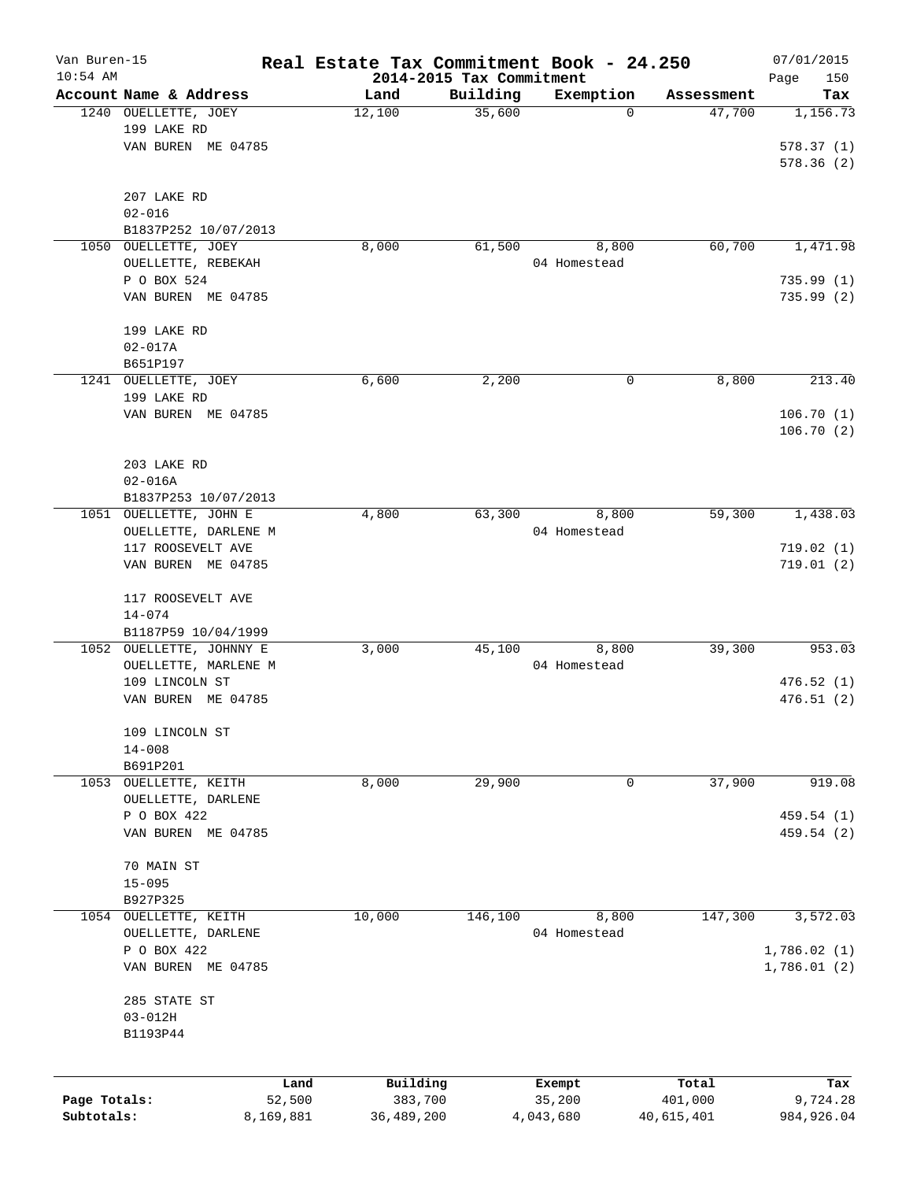| Van Buren-15 |                          |           | Real Estate Tax Commitment Book - 24.250 |                                      |                          |                      | 07/01/2015      |
|--------------|--------------------------|-----------|------------------------------------------|--------------------------------------|--------------------------|----------------------|-----------------|
| $10:54$ AM   | Account Name & Address   |           |                                          | 2014-2015 Tax Commitment<br>Building |                          |                      | Page<br>150     |
|              | 1240 OUELLETTE, JOEY     |           | Land<br>12,100                           | 35,600                               | Exemption<br>$\mathbf 0$ | Assessment<br>47,700 | Tax<br>1,156.73 |
|              | 199 LAKE RD              |           |                                          |                                      |                          |                      |                 |
|              | VAN BUREN ME 04785       |           |                                          |                                      |                          |                      | 578.37(1)       |
|              |                          |           |                                          |                                      |                          |                      | 578.36(2)       |
|              |                          |           |                                          |                                      |                          |                      |                 |
|              | 207 LAKE RD              |           |                                          |                                      |                          |                      |                 |
|              | $02 - 016$               |           |                                          |                                      |                          |                      |                 |
|              | B1837P252 10/07/2013     |           |                                          |                                      |                          |                      |                 |
| 1050         | OUELLETTE, JOEY          |           | 8,000                                    | 61,500                               | 8,800                    | 60,700               | 1,471.98        |
|              | OUELLETTE, REBEKAH       |           |                                          |                                      | 04 Homestead             |                      |                 |
|              | P O BOX 524              |           |                                          |                                      |                          |                      | 735.99(1)       |
|              | VAN BUREN ME 04785       |           |                                          |                                      |                          |                      | 735.99(2)       |
|              |                          |           |                                          |                                      |                          |                      |                 |
|              | 199 LAKE RD              |           |                                          |                                      |                          |                      |                 |
|              | $02 - 017A$              |           |                                          |                                      |                          |                      |                 |
|              | B651P197                 |           |                                          |                                      |                          |                      |                 |
|              | 1241 OUELLETTE, JOEY     |           | 6,600                                    | 2,200                                | 0                        | 8,800                | 213.40          |
|              | 199 LAKE RD              |           |                                          |                                      |                          |                      |                 |
|              | VAN BUREN ME 04785       |           |                                          |                                      |                          |                      | 106.70(1)       |
|              |                          |           |                                          |                                      |                          |                      | 106.70(2)       |
|              |                          |           |                                          |                                      |                          |                      |                 |
|              | 203 LAKE RD              |           |                                          |                                      |                          |                      |                 |
|              | $02 - 016A$              |           |                                          |                                      |                          |                      |                 |
|              | B1837P253 10/07/2013     |           |                                          |                                      |                          |                      |                 |
| 1051         | OUELLETTE, JOHN E        |           | 4,800                                    | 63,300                               | 8,800                    | 59,300               | 1,438.03        |
|              | OUELLETTE, DARLENE M     |           |                                          |                                      | 04 Homestead             |                      |                 |
|              | 117 ROOSEVELT AVE        |           |                                          |                                      |                          |                      | 719.02(1)       |
|              | VAN BUREN ME 04785       |           |                                          |                                      |                          |                      | 719.01(2)       |
|              | 117 ROOSEVELT AVE        |           |                                          |                                      |                          |                      |                 |
|              | $14 - 074$               |           |                                          |                                      |                          |                      |                 |
|              | B1187P59 10/04/1999      |           |                                          |                                      |                          |                      |                 |
|              | 1052 OUELLETTE, JOHNNY E |           | 3,000                                    | 45,100                               | 8,800                    | 39,300               | 953.03          |
|              | OUELLETTE, MARLENE M     |           |                                          |                                      | 04 Homestead             |                      |                 |
|              | 109 LINCOLN ST           |           |                                          |                                      |                          |                      | 476.52(1)       |
|              | VAN BUREN ME 04785       |           |                                          |                                      |                          |                      | 476.51(2)       |
|              |                          |           |                                          |                                      |                          |                      |                 |
|              | 109 LINCOLN ST           |           |                                          |                                      |                          |                      |                 |
|              | $14 - 008$               |           |                                          |                                      |                          |                      |                 |
|              | B691P201                 |           |                                          |                                      |                          |                      |                 |
| 1053         | OUELLETTE, KEITH         |           | 8,000                                    | 29,900                               | 0                        | 37,900               | 919.08          |
|              | OUELLETTE, DARLENE       |           |                                          |                                      |                          |                      |                 |
|              | P O BOX 422              |           |                                          |                                      |                          |                      | 459.54 (1)      |
|              | VAN BUREN ME 04785       |           |                                          |                                      |                          |                      | 459.54 (2)      |
|              |                          |           |                                          |                                      |                          |                      |                 |
|              | 70 MAIN ST               |           |                                          |                                      |                          |                      |                 |
|              | $15 - 095$               |           |                                          |                                      |                          |                      |                 |
|              | B927P325                 |           |                                          |                                      |                          |                      |                 |
|              | 1054 OUELLETTE, KEITH    |           | 10,000                                   | 146,100                              | 8,800                    | 147,300              | 3,572.03        |
|              | OUELLETTE, DARLENE       |           |                                          |                                      | 04 Homestead             |                      |                 |
|              | P O BOX 422              |           |                                          |                                      |                          |                      | 1,786.02(1)     |
|              | VAN BUREN ME 04785       |           |                                          |                                      |                          |                      | 1,786.01(2)     |
|              |                          |           |                                          |                                      |                          |                      |                 |
|              | 285 STATE ST             |           |                                          |                                      |                          |                      |                 |
|              | $03 - 012H$<br>B1193P44  |           |                                          |                                      |                          |                      |                 |
|              |                          |           |                                          |                                      |                          |                      |                 |
|              |                          |           |                                          |                                      |                          |                      |                 |
|              |                          | Land      | Building                                 |                                      | Exempt                   | Total                | Tax             |
| Page Totals: |                          | 52,500    | 383,700                                  |                                      | 35,200                   | 401,000              | 9,724.28        |
| Subtotals:   |                          | 8,169,881 | 36,489,200                               |                                      | 4,043,680                | 40,615,401           | 984, 926.04     |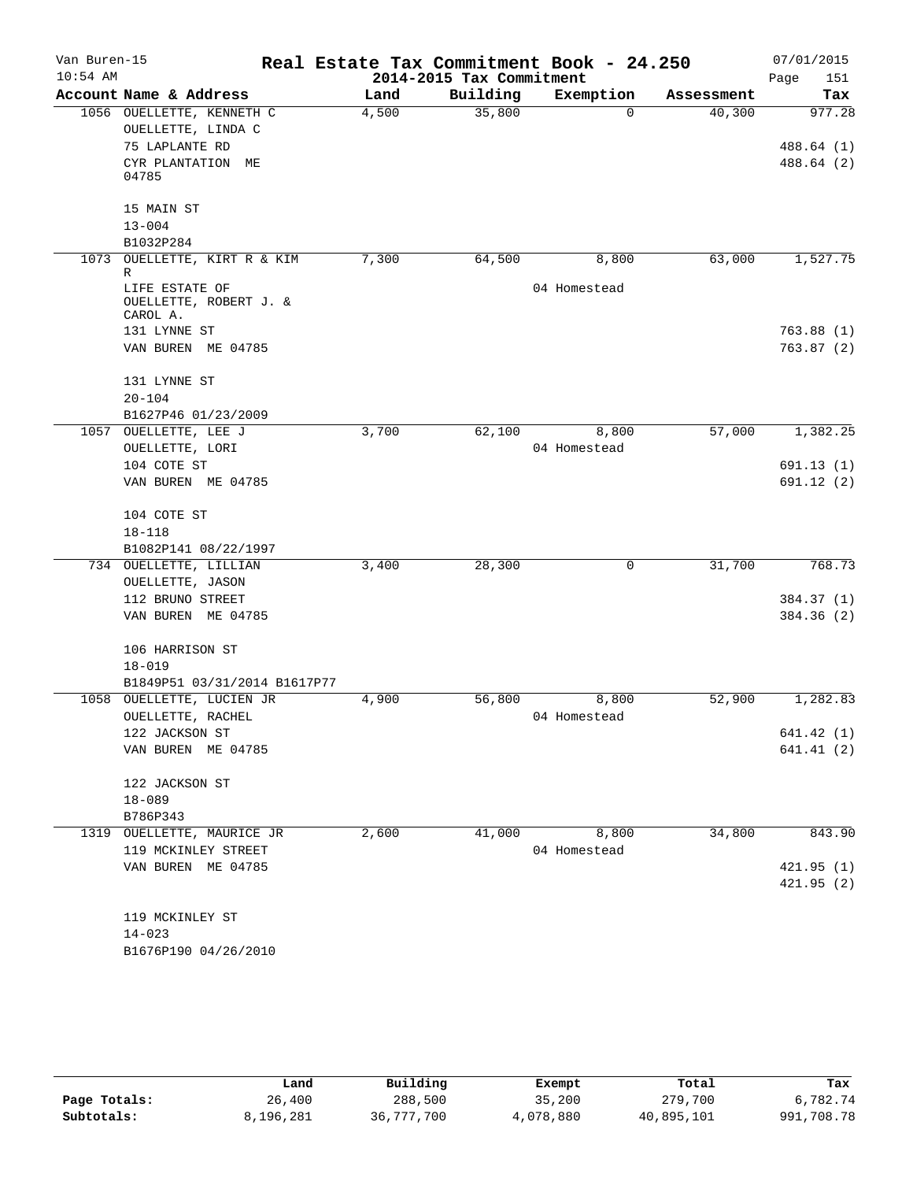| Van Buren-15<br>$10:54$ AM |                                                                                         |       | 2014-2015 Tax Commitment | Real Estate Tax Commitment Book - 24.250 |            | 07/01/2015<br>Page<br>151 |
|----------------------------|-----------------------------------------------------------------------------------------|-------|--------------------------|------------------------------------------|------------|---------------------------|
|                            | Account Name & Address                                                                  | Land  | Building                 | Exemption                                | Assessment | Tax                       |
|                            | 1056 OUELLETTE, KENNETH C<br>OUELLETTE, LINDA C<br>75 LAPLANTE RD                       | 4,500 | 35,800                   | $\Omega$                                 | 40,300     | 977.28<br>488.64 (1)      |
|                            | CYR PLANTATION ME<br>04785<br>15 MAIN ST<br>$13 - 004$<br>B1032P284                     |       |                          |                                          |            | 488.64 (2)                |
| 1073                       | OUELLETTE, KIRT R & KIM<br>R<br>LIFE ESTATE OF<br>OUELLETTE, ROBERT J. &<br>CAROL A.    | 7,300 | 64,500                   | 8,800<br>04 Homestead                    | 63,000     | 1,527.75                  |
|                            | 131 LYNNE ST<br>VAN BUREN ME 04785<br>131 LYNNE ST<br>$20 - 104$<br>B1627P46 01/23/2009 |       |                          |                                          |            | 763.88(1)<br>763.87(2)    |
|                            | 1057 OUELLETTE, LEE J                                                                   | 3,700 | 62,100                   | 8,800                                    | 57,000     | 1,382.25                  |
|                            | OUELLETTE, LORI                                                                         |       |                          | 04 Homestead                             |            |                           |
|                            | 104 COTE ST<br>VAN BUREN ME 04785                                                       |       |                          |                                          |            | 691.13(1)<br>691.12 (2)   |
|                            | 104 COTE ST<br>$18 - 118$<br>B1082P141 08/22/1997                                       |       |                          |                                          |            |                           |
|                            | 734 OUELLETTE, LILLIAN                                                                  | 3,400 | 28,300                   | 0                                        | 31,700     | 768.73                    |
|                            | OUELLETTE, JASON                                                                        |       |                          |                                          |            |                           |
|                            | 112 BRUNO STREET                                                                        |       |                          |                                          |            | 384.37 (1)                |
|                            | VAN BUREN ME 04785                                                                      |       |                          |                                          |            | 384.36 (2)                |
|                            | 106 HARRISON ST<br>$18 - 019$                                                           |       |                          |                                          |            |                           |
|                            | B1849P51 03/31/2014 B1617P77                                                            |       |                          |                                          |            |                           |
| 1058                       | OUELLETTE, LUCIEN JR<br>OUELLETTE, RACHEL                                               | 4,900 | 56,800                   | 8,800<br>04 Homestead                    | 52,900     | 1,282.83                  |
|                            | 122 JACKSON ST                                                                          |       |                          |                                          |            | 641.42(1)                 |
|                            | VAN BUREN ME 04785                                                                      |       |                          |                                          |            | 641.41(2)                 |
|                            | 122 JACKSON ST<br>$18 - 089$                                                            |       |                          |                                          |            |                           |
|                            | B786P343                                                                                |       |                          |                                          |            |                           |
|                            | 1319 OUELLETTE, MAURICE JR                                                              | 2,600 | 41,000                   | 8,800                                    | 34,800     | 843.90                    |
|                            | 119 MCKINLEY STREET                                                                     |       |                          | 04 Homestead                             |            |                           |
|                            | VAN BUREN ME 04785                                                                      |       |                          |                                          |            | 421.95(1)                 |
|                            |                                                                                         |       |                          |                                          |            | 421.95(2)                 |
|                            | 119 MCKINLEY ST                                                                         |       |                          |                                          |            |                           |
|                            | $14 - 023$                                                                              |       |                          |                                          |            |                           |
|                            | B1676P190 04/26/2010                                                                    |       |                          |                                          |            |                           |

|              | Land      | Building   | Exempt    | Total      | Tax        |
|--------------|-----------|------------|-----------|------------|------------|
| Page Totals: | 26,400    | 288,500    | 35,200    | 279,700    | 6,782.74   |
| Subtotals:   | 8,196,281 | 36,777,700 | 4,078,880 | 40,895,101 | 991,708.78 |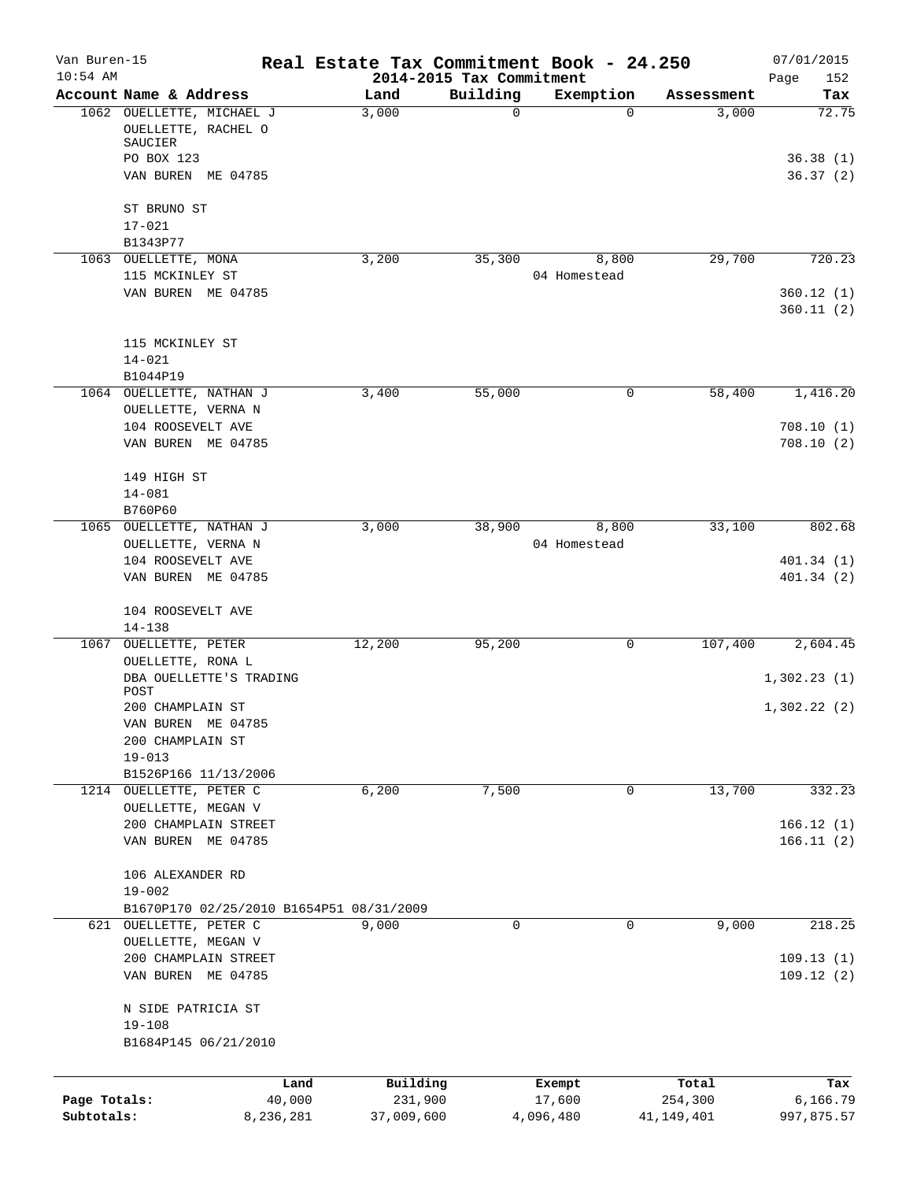| Van Buren-15<br>$10:54$ AM |                                                                                                 |      |                       | 2014-2015 Tax Commitment | Real Estate Tax Commitment Book - 24.250 |                       | 07/01/2015<br>Page<br>152     |
|----------------------------|-------------------------------------------------------------------------------------------------|------|-----------------------|--------------------------|------------------------------------------|-----------------------|-------------------------------|
|                            | Account Name & Address                                                                          |      | Land                  | Building                 | Exemption                                | Assessment            | Tax                           |
|                            | 1062 OUELLETTE, MICHAEL J<br>OUELLETTE, RACHEL O<br>SAUCIER<br>PO BOX 123<br>VAN BUREN ME 04785 |      | 3,000                 | $\mathbf 0$              | $\Omega$                                 | 3,000                 | 72.75<br>36.38(1)<br>36.37(2) |
|                            |                                                                                                 |      |                       |                          |                                          |                       |                               |
|                            | ST BRUNO ST                                                                                     |      |                       |                          |                                          |                       |                               |
|                            | $17 - 021$<br>B1343P77                                                                          |      |                       |                          |                                          |                       |                               |
|                            | 1063 OUELLETTE, MONA                                                                            |      | 3,200                 | 35,300                   | 8,800                                    | 29,700                | 720.23                        |
|                            | 115 MCKINLEY ST                                                                                 |      |                       |                          | 04 Homestead                             |                       |                               |
|                            | VAN BUREN ME 04785                                                                              |      |                       |                          |                                          |                       | 360.12(1)<br>360.11(2)        |
|                            | 115 MCKINLEY ST                                                                                 |      |                       |                          |                                          |                       |                               |
|                            | $14 - 021$                                                                                      |      |                       |                          |                                          |                       |                               |
|                            | B1044P19<br>1064 OUELLETTE, NATHAN J                                                            |      | 3,400                 | 55,000                   | $\mathbf 0$                              | 58,400                | 1,416.20                      |
|                            | OUELLETTE, VERNA N                                                                              |      |                       |                          |                                          |                       |                               |
|                            | 104 ROOSEVELT AVE<br>VAN BUREN ME 04785                                                         |      |                       |                          |                                          |                       | 708.10(1)<br>708.10(2)        |
|                            | 149 HIGH ST                                                                                     |      |                       |                          |                                          |                       |                               |
|                            | $14 - 081$                                                                                      |      |                       |                          |                                          |                       |                               |
|                            | B760P60<br>1065 OUELLETTE, NATHAN J                                                             |      | 3,000                 | 38,900                   | 8,800                                    | 33,100                | 802.68                        |
|                            | OUELLETTE, VERNA N                                                                              |      |                       |                          | 04 Homestead                             |                       |                               |
|                            | 104 ROOSEVELT AVE                                                                               |      |                       |                          |                                          |                       | 401.34(1)                     |
|                            | VAN BUREN ME 04785                                                                              |      |                       |                          |                                          |                       | 401.34(2)                     |
|                            | 104 ROOSEVELT AVE                                                                               |      |                       |                          |                                          |                       |                               |
|                            | $14 - 138$                                                                                      |      |                       |                          |                                          |                       |                               |
| 1067                       | OUELLETTE, PETER<br>OUELLETTE, RONA L                                                           |      | 12,200                | 95,200                   | 0                                        | 107,400               | 2,604.45                      |
|                            | DBA OUELLETTE'S TRADING<br>POST                                                                 |      |                       |                          |                                          |                       | 1,302.23(1)                   |
|                            | 200 CHAMPLAIN ST                                                                                |      |                       |                          |                                          |                       | 1,302.22(2)                   |
|                            | VAN BUREN ME 04785                                                                              |      |                       |                          |                                          |                       |                               |
|                            | 200 CHAMPLAIN ST                                                                                |      |                       |                          |                                          |                       |                               |
|                            | $19 - 013$<br>B1526P166 11/13/2006                                                              |      |                       |                          |                                          |                       |                               |
| 1214                       | OUELLETTE, PETER C                                                                              |      | 6,200                 | 7,500                    | $\mathsf{O}$                             | 13,700                | 332.23                        |
|                            | OUELLETTE, MEGAN V                                                                              |      |                       |                          |                                          |                       |                               |
|                            | 200 CHAMPLAIN STREET<br>VAN BUREN ME 04785                                                      |      |                       |                          |                                          |                       | 166.12(1)<br>166.11(2)        |
|                            | 106 ALEXANDER RD                                                                                |      |                       |                          |                                          |                       |                               |
|                            | $19 - 002$                                                                                      |      |                       |                          |                                          |                       |                               |
| 621                        | B1670P170 02/25/2010 B1654P51 08/31/2009<br>OUELLETTE, PETER C                                  |      | 9,000                 | $\mathbf 0$              | $\mathbf 0$                              | 9,000                 | 218.25                        |
|                            | OUELLETTE, MEGAN V                                                                              |      |                       |                          |                                          |                       |                               |
|                            | 200 CHAMPLAIN STREET                                                                            |      |                       |                          |                                          |                       | 109.13(1)                     |
|                            | VAN BUREN ME 04785                                                                              |      |                       |                          |                                          |                       | 109.12(2)                     |
|                            | N SIDE PATRICIA ST                                                                              |      |                       |                          |                                          |                       |                               |
|                            | $19 - 108$<br>B1684P145 06/21/2010                                                              |      |                       |                          |                                          |                       |                               |
|                            |                                                                                                 |      |                       |                          |                                          |                       |                               |
|                            |                                                                                                 | Land | Building              |                          | Exempt                                   | Total                 | Tax                           |
| Page Totals:<br>Subtotals: | 40,000<br>8,236,281                                                                             |      | 231,900<br>37,009,600 |                          | 17,600<br>4,096,480                      | 254,300<br>41,149,401 | 6,166.79<br>997,875.57        |
|                            |                                                                                                 |      |                       |                          |                                          |                       |                               |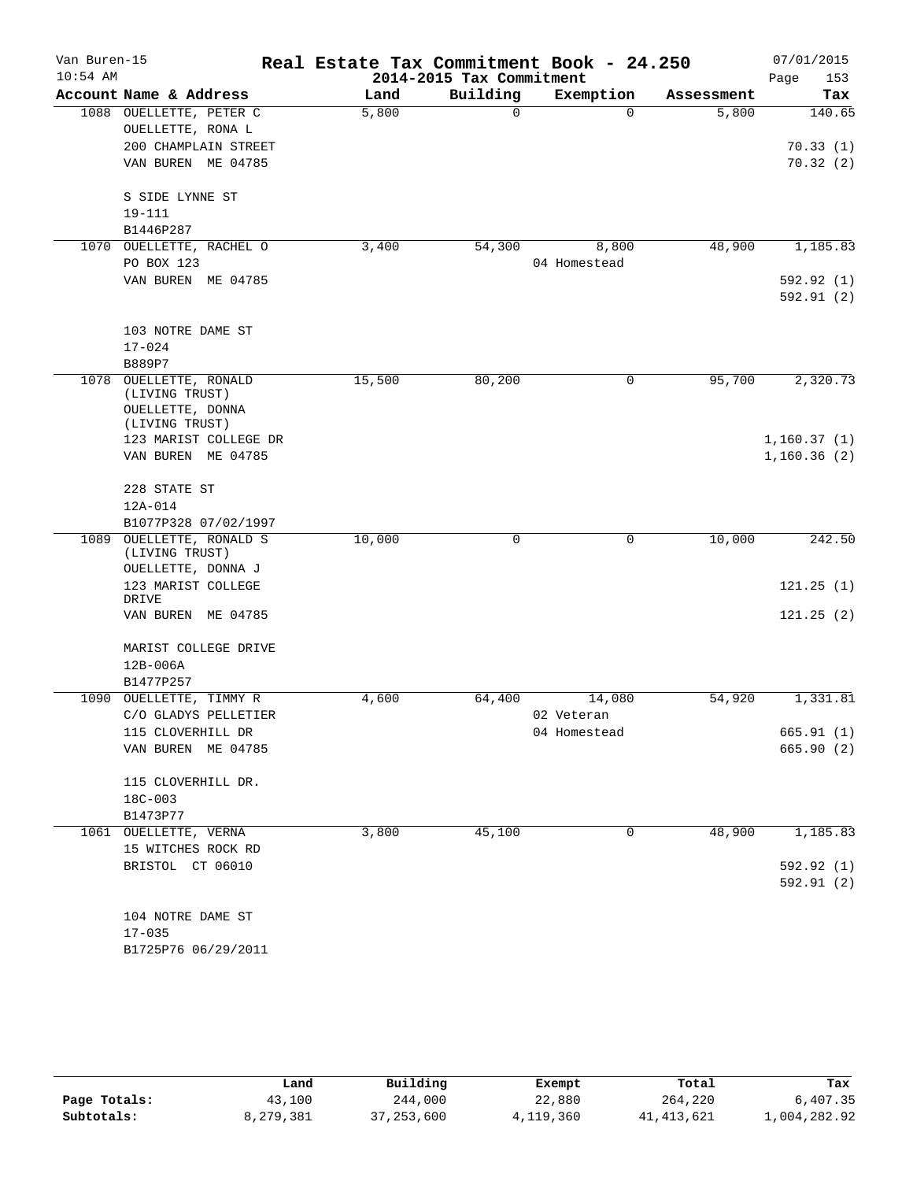| Van Buren-15<br>$10:54$ AM |                             | Real Estate Tax Commitment Book - 24.250 | 2014-2015 Tax Commitment |              |            | 07/01/2015         |
|----------------------------|-----------------------------|------------------------------------------|--------------------------|--------------|------------|--------------------|
|                            | Account Name & Address      | Land                                     | Building                 | Exemption    | Assessment | Page<br>153<br>Tax |
|                            | 1088 OUELLETTE, PETER C     | 5,800                                    | $\Omega$                 | $\Omega$     | 5,800      | 140.65             |
|                            | OUELLETTE, RONA L           |                                          |                          |              |            |                    |
|                            | 200 CHAMPLAIN STREET        |                                          |                          |              |            | 70.33(1)           |
|                            | VAN BUREN ME 04785          |                                          |                          |              |            | 70.32(2)           |
|                            |                             |                                          |                          |              |            |                    |
|                            | S SIDE LYNNE ST             |                                          |                          |              |            |                    |
|                            | $19 - 111$                  |                                          |                          |              |            |                    |
|                            | B1446P287                   |                                          |                          |              |            |                    |
|                            | 1070 OUELLETTE, RACHEL O    | 3,400                                    | 54,300                   | 8,800        | 48,900     | 1,185.83           |
|                            | PO BOX 123                  |                                          |                          | 04 Homestead |            |                    |
|                            | VAN BUREN ME 04785          |                                          |                          |              |            | 592.92 (1)         |
|                            |                             |                                          |                          |              |            | 592.91(2)          |
|                            |                             |                                          |                          |              |            |                    |
|                            | 103 NOTRE DAME ST           |                                          |                          |              |            |                    |
|                            | $17 - 024$                  |                                          |                          |              |            |                    |
| 1078                       | B889P7<br>OUELLETTE, RONALD | 15,500                                   | 80,200                   | 0            | 95,700     | 2,320.73           |
|                            | (LIVING TRUST)              |                                          |                          |              |            |                    |
|                            | OUELLETTE, DONNA            |                                          |                          |              |            |                    |
|                            | (LIVING TRUST)              |                                          |                          |              |            |                    |
|                            | 123 MARIST COLLEGE DR       |                                          |                          |              |            | 1,160.37(1)        |
|                            | VAN BUREN ME 04785          |                                          |                          |              |            | 1,160.36(2)        |
|                            | 228 STATE ST                |                                          |                          |              |            |                    |
|                            | $12A-014$                   |                                          |                          |              |            |                    |
|                            | B1077P328 07/02/1997        |                                          |                          |              |            |                    |
|                            | 1089 OUELLETTE, RONALD S    | 10,000                                   | 0                        | $\mathbf 0$  | 10,000     | 242.50             |
|                            | $(\verb LIVING TRUST )$     |                                          |                          |              |            |                    |
|                            | OUELLETTE, DONNA J          |                                          |                          |              |            |                    |
|                            | 123 MARIST COLLEGE          |                                          |                          |              |            | 121.25(1)          |
|                            | DRIVE<br>VAN BUREN ME 04785 |                                          |                          |              |            | 121.25(2)          |
|                            |                             |                                          |                          |              |            |                    |
|                            | MARIST COLLEGE DRIVE        |                                          |                          |              |            |                    |
|                            | $12B-006A$                  |                                          |                          |              |            |                    |
|                            | B1477P257                   |                                          |                          |              |            |                    |
| 1090                       | OUELLETTE, TIMMY R          | 4,600                                    | 64,400                   | 14,080       | 54,920     | 1,331.81           |
|                            | C/O GLADYS PELLETIER        |                                          |                          | 02 Veteran   |            |                    |
|                            | 115 CLOVERHILL DR           |                                          |                          | 04 Homestead |            | 665.91(1)          |
|                            | VAN BUREN ME 04785          |                                          |                          |              |            | 665.90(2)          |
|                            | 115 CLOVERHILL DR.          |                                          |                          |              |            |                    |
|                            | $18C - 003$                 |                                          |                          |              |            |                    |
|                            | B1473P77                    |                                          |                          |              |            |                    |
|                            | 1061 OUELLETTE, VERNA       | 3,800                                    | 45,100                   | 0            | 48,900     | 1,185.83           |
|                            | 15 WITCHES ROCK RD          |                                          |                          |              |            |                    |
|                            | BRISTOL CT 06010            |                                          |                          |              |            | 592.92 (1)         |
|                            |                             |                                          |                          |              |            | 592.91(2)          |
|                            |                             |                                          |                          |              |            |                    |
|                            | 104 NOTRE DAME ST           |                                          |                          |              |            |                    |
|                            | $17 - 035$                  |                                          |                          |              |            |                    |
|                            | B1725P76 06/29/2011         |                                          |                          |              |            |                    |

|              | Land      | Building     | Exempt    | Total      | Tax          |
|--------------|-----------|--------------|-----------|------------|--------------|
| Page Totals: | 43,100    | 244,000      | 22,880    | 264,220    | 6,407.35     |
| Subtotals:   | 8,279,381 | 37, 253, 600 | 4,119,360 | 41,413,621 | 1,004,282.92 |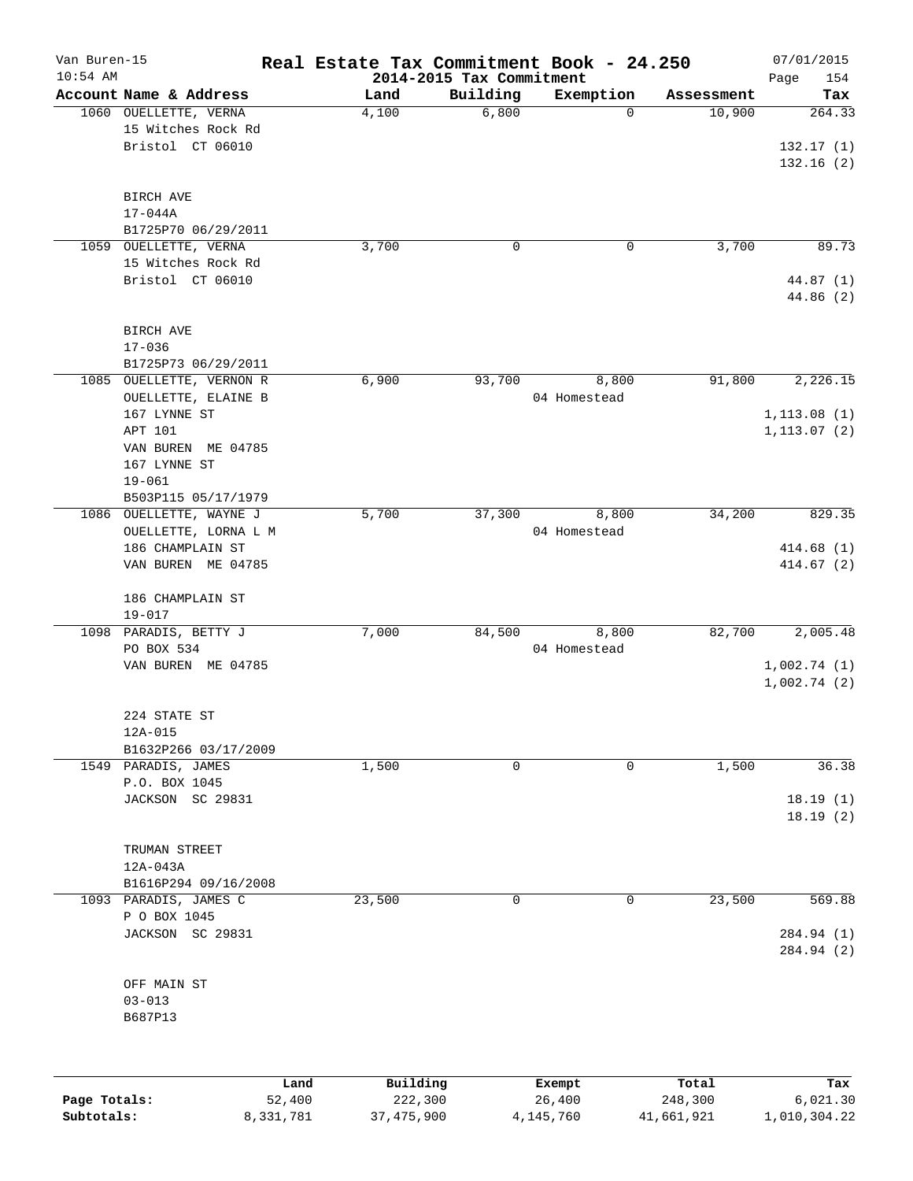| Van Buren-15 |                                       |           | Real Estate Tax Commitment Book - 24.250 |                                      |                       |                      | 07/01/2015    |
|--------------|---------------------------------------|-----------|------------------------------------------|--------------------------------------|-----------------------|----------------------|---------------|
| $10:54$ AM   | Account Name & Address                |           |                                          | 2014-2015 Tax Commitment<br>Building |                       |                      | Page<br>154   |
|              | 1060 OUELLETTE, VERNA                 |           | Land<br>4,100                            | 6,800                                | Exemption<br>$\Omega$ | Assessment<br>10,900 | Tax<br>264.33 |
|              | 15 Witches Rock Rd                    |           |                                          |                                      |                       |                      |               |
|              | Bristol CT 06010                      |           |                                          |                                      |                       |                      | 132.17(1)     |
|              |                                       |           |                                          |                                      |                       |                      | 132.16(2)     |
|              |                                       |           |                                          |                                      |                       |                      |               |
|              | BIRCH AVE                             |           |                                          |                                      |                       |                      |               |
|              | $17 - 044A$                           |           |                                          |                                      |                       |                      |               |
|              | B1725P70 06/29/2011                   |           |                                          |                                      |                       |                      |               |
| 1059         | OUELLETTE, VERNA                      |           | 3,700                                    | 0                                    | 0                     | 3,700                | 89.73         |
|              | 15 Witches Rock Rd                    |           |                                          |                                      |                       |                      |               |
|              | Bristol CT 06010                      |           |                                          |                                      |                       |                      | 44.87 (1)     |
|              |                                       |           |                                          |                                      |                       |                      | 44.86 (2)     |
|              | BIRCH AVE                             |           |                                          |                                      |                       |                      |               |
|              | $17 - 036$                            |           |                                          |                                      |                       |                      |               |
|              | B1725P73 06/29/2011                   |           |                                          |                                      |                       |                      |               |
|              | 1085 OUELLETTE, VERNON R              |           | 6,900                                    | 93,700                               | 8,800                 | 91,800               | 2,226.15      |
|              | OUELLETTE, ELAINE B                   |           |                                          |                                      | 04 Homestead          |                      |               |
|              | 167 LYNNE ST                          |           |                                          |                                      |                       |                      | 1, 113.08(1)  |
|              | APT 101                               |           |                                          |                                      |                       |                      | 1, 113.07(2)  |
|              | VAN BUREN ME 04785                    |           |                                          |                                      |                       |                      |               |
|              | 167 LYNNE ST                          |           |                                          |                                      |                       |                      |               |
|              | $19 - 061$                            |           |                                          |                                      |                       |                      |               |
|              | B503P115 05/17/1979                   |           |                                          |                                      |                       |                      |               |
|              | 1086 OUELLETTE, WAYNE J               |           | 5,700                                    | 37,300                               | 8,800                 | 34,200               | 829.35        |
|              | OUELLETTE, LORNA L M                  |           |                                          |                                      | 04 Homestead          |                      |               |
|              | 186 CHAMPLAIN ST                      |           |                                          |                                      |                       |                      | 414.68(1)     |
|              | VAN BUREN ME 04785                    |           |                                          |                                      |                       |                      | 414.67(2)     |
|              | 186 CHAMPLAIN ST                      |           |                                          |                                      |                       |                      |               |
|              | $19 - 017$                            |           |                                          |                                      |                       |                      |               |
|              | 1098 PARADIS, BETTY J                 |           | 7,000                                    | 84,500                               | 8,800                 | 82,700               | 2,005.48      |
|              | PO BOX 534                            |           |                                          |                                      | 04 Homestead          |                      |               |
|              | VAN BUREN ME 04785                    |           |                                          |                                      |                       |                      | 1,002.74(1)   |
|              |                                       |           |                                          |                                      |                       |                      | 1,002.74(2)   |
|              | 224 STATE ST                          |           |                                          |                                      |                       |                      |               |
|              | $12A-015$                             |           |                                          |                                      |                       |                      |               |
|              | B1632P266 03/17/2009                  |           |                                          |                                      |                       |                      |               |
|              | 1549 PARADIS, JAMES                   |           | 1,500                                    | 0                                    | $\mathbf 0$           | 1,500                | 36.38         |
|              | P.O. BOX 1045                         |           |                                          |                                      |                       |                      |               |
|              | JACKSON SC 29831                      |           |                                          |                                      |                       |                      | 18.19(1)      |
|              |                                       |           |                                          |                                      |                       |                      | 18.19(2)      |
|              |                                       |           |                                          |                                      |                       |                      |               |
|              | TRUMAN STREET                         |           |                                          |                                      |                       |                      |               |
|              | 12A-043A                              |           |                                          |                                      |                       |                      |               |
|              | B1616P294 09/16/2008                  |           |                                          |                                      |                       |                      | 569.88        |
|              | 1093 PARADIS, JAMES C<br>P O BOX 1045 |           | 23,500                                   | 0                                    | 0                     | 23,500               |               |
|              | JACKSON SC 29831                      |           |                                          |                                      |                       |                      | 284.94 (1)    |
|              |                                       |           |                                          |                                      |                       |                      | 284.94 (2)    |
|              |                                       |           |                                          |                                      |                       |                      |               |
|              | OFF MAIN ST                           |           |                                          |                                      |                       |                      |               |
|              | $03 - 013$                            |           |                                          |                                      |                       |                      |               |
|              | B687P13                               |           |                                          |                                      |                       |                      |               |
|              |                                       |           |                                          |                                      |                       |                      |               |
|              |                                       | Land      | Building                                 |                                      | Exempt                | Total                | Tax           |
| Page Totals: |                                       | 52,400    | 222,300                                  |                                      | 26,400                | 248,300              | 6,021.30      |
| Subtotals:   |                                       | 8,331,781 | 37, 475, 900                             |                                      | 4,145,760             | 41,661,921           | 1,010,304.22  |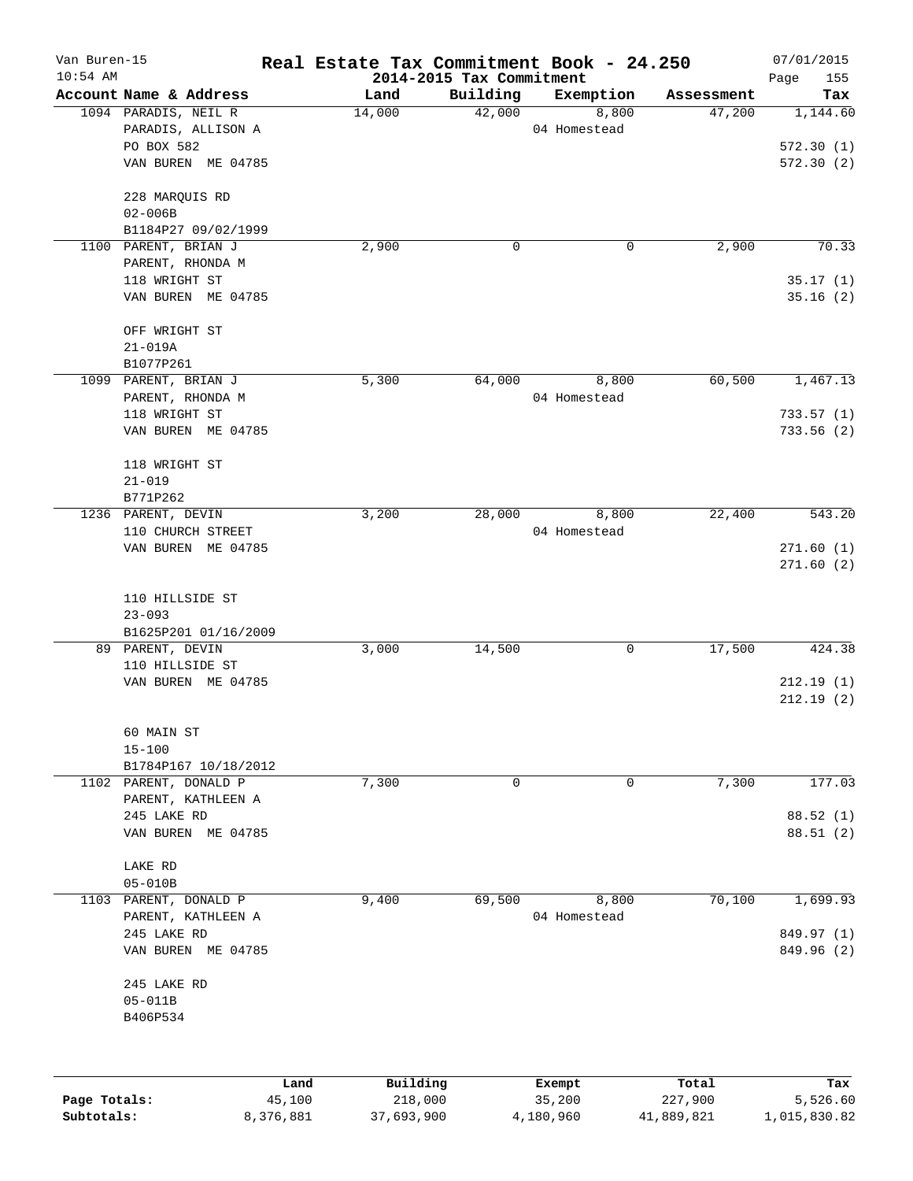| Van Buren-15<br>$10:54$ AM |                        | Real Estate Tax Commitment Book - 24.250 |                                      |              |            | 07/01/2015         |
|----------------------------|------------------------|------------------------------------------|--------------------------------------|--------------|------------|--------------------|
|                            | Account Name & Address | Land                                     | 2014-2015 Tax Commitment<br>Building | Exemption    | Assessment | Page<br>155<br>Tax |
|                            | 1094 PARADIS, NEIL R   | 14,000                                   | 42,000                               | 8,800        | 47,200     | 1,144.60           |
|                            | PARADIS, ALLISON A     |                                          |                                      | 04 Homestead |            |                    |
|                            | PO BOX 582             |                                          |                                      |              |            | 572.30(1)          |
|                            | VAN BUREN ME 04785     |                                          |                                      |              |            | 572.30 (2)         |
|                            | 228 MARQUIS RD         |                                          |                                      |              |            |                    |
|                            | $02 - 006B$            |                                          |                                      |              |            |                    |
|                            | B1184P27 09/02/1999    |                                          |                                      |              |            |                    |
|                            | 1100 PARENT, BRIAN J   | 2,900                                    | 0                                    | 0            | 2,900      | 70.33              |
|                            | PARENT, RHONDA M       |                                          |                                      |              |            |                    |
|                            | 118 WRIGHT ST          |                                          |                                      |              |            | 35.17(1)           |
|                            | VAN BUREN ME 04785     |                                          |                                      |              |            | 35.16(2)           |
|                            | OFF WRIGHT ST          |                                          |                                      |              |            |                    |
|                            | $21 - 019A$            |                                          |                                      |              |            |                    |
|                            | B1077P261              |                                          |                                      |              |            |                    |
|                            | 1099 PARENT, BRIAN J   | 5,300                                    | 64,000                               | 8,800        | 60,500     | 1,467.13           |
|                            | PARENT, RHONDA M       |                                          |                                      | 04 Homestead |            |                    |
|                            | 118 WRIGHT ST          |                                          |                                      |              |            | 733.57(1)          |
|                            | VAN BUREN ME 04785     |                                          |                                      |              |            | 733.56(2)          |
|                            | 118 WRIGHT ST          |                                          |                                      |              |            |                    |
|                            | $21 - 019$             |                                          |                                      |              |            |                    |
|                            | B771P262               |                                          |                                      |              |            |                    |
|                            | 1236 PARENT, DEVIN     | 3,200                                    | 28,000                               | 8,800        | 22,400     | 543.20             |
|                            | 110 CHURCH STREET      |                                          |                                      | 04 Homestead |            |                    |
|                            | VAN BUREN ME 04785     |                                          |                                      |              |            | 271.60(1)          |
|                            |                        |                                          |                                      |              |            | 271.60(2)          |
|                            | 110 HILLSIDE ST        |                                          |                                      |              |            |                    |
|                            | $23 - 093$             |                                          |                                      |              |            |                    |
|                            | B1625P201 01/16/2009   |                                          |                                      |              |            |                    |
|                            | 89 PARENT, DEVIN       | 3,000                                    | 14,500                               | 0            | 17,500     | 424.38             |
|                            | 110 HILLSIDE ST        |                                          |                                      |              |            |                    |
|                            | VAN BUREN ME 04785     |                                          |                                      |              |            | 212.19(1)          |
|                            |                        |                                          |                                      |              |            | 212.19(2)          |
|                            | 60 MAIN ST             |                                          |                                      |              |            |                    |
|                            | $15 - 100$             |                                          |                                      |              |            |                    |
|                            | B1784P167 10/18/2012   |                                          |                                      |              |            |                    |
|                            | 1102 PARENT, DONALD P  | 7,300                                    | 0                                    | 0            | 7,300      | 177.03             |
|                            | PARENT, KATHLEEN A     |                                          |                                      |              |            |                    |
|                            | 245 LAKE RD            |                                          |                                      |              |            | 88.52 (1)          |
|                            | VAN BUREN ME 04785     |                                          |                                      |              |            | 88.51(2)           |
|                            | LAKE RD                |                                          |                                      |              |            |                    |
|                            | $05 - 010B$            |                                          |                                      |              |            |                    |
| 1103                       | PARENT, DONALD P       | 9,400                                    | 69,500                               | 8,800        | 70,100     | 1,699.93           |
|                            | PARENT, KATHLEEN A     |                                          |                                      | 04 Homestead |            |                    |
|                            | 245 LAKE RD            |                                          |                                      |              |            | 849.97 (1)         |
|                            | VAN BUREN ME 04785     |                                          |                                      |              |            | 849.96 (2)         |
|                            | 245 LAKE RD            |                                          |                                      |              |            |                    |
|                            | $05 - 011B$            |                                          |                                      |              |            |                    |
|                            | B406P534               |                                          |                                      |              |            |                    |
|                            |                        |                                          |                                      |              |            |                    |
|                            | Land                   | Building                                 |                                      | Exempt       | Total      | Tax                |
| Page Totals:               | 45,100                 | 218,000                                  |                                      | 35,200       | 227,900    | 5,526.60           |

**Subtotals:** 8,376,881 37,693,900 4,180,960 41,889,821 1,015,830.82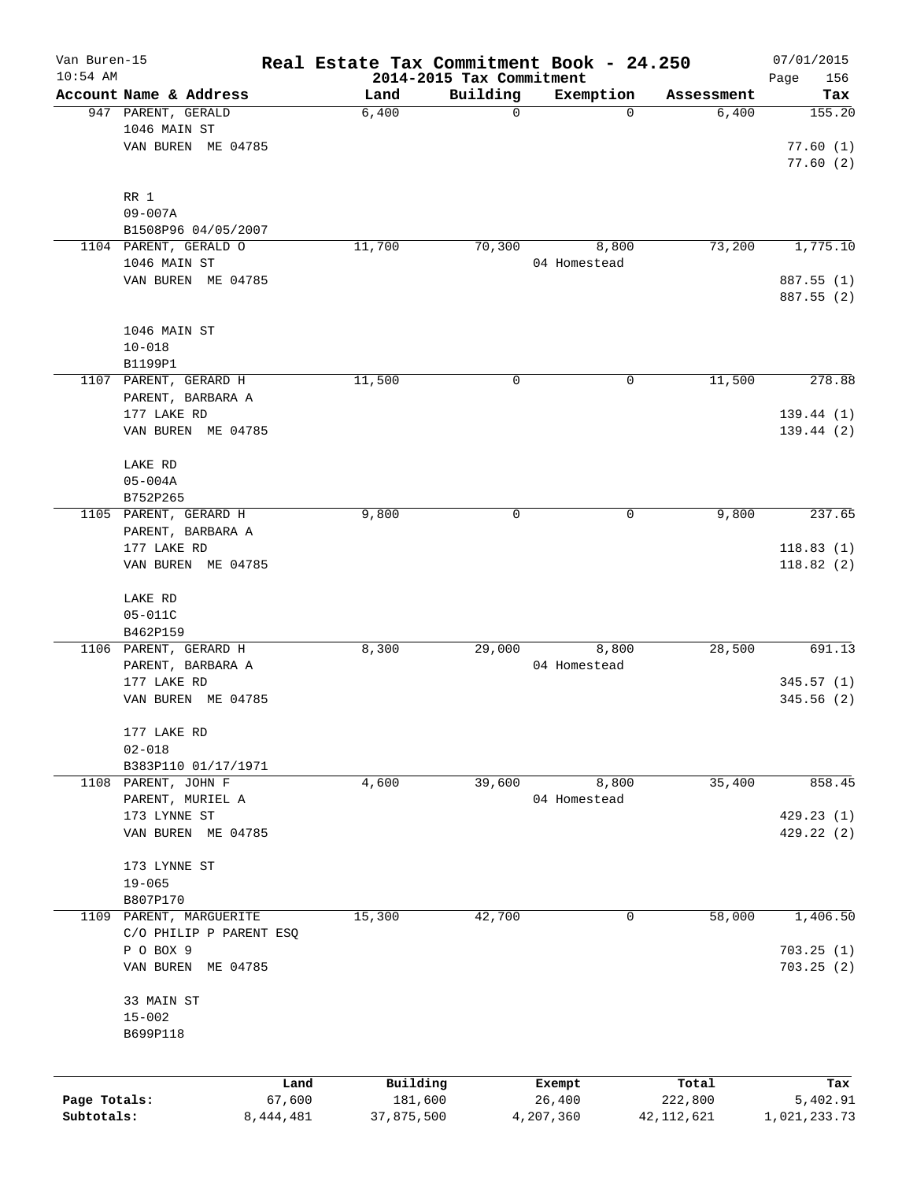| Van Buren-15<br>$10:54$ AM |                                  |           | Real Estate Tax Commitment Book - 24.250 | 2014-2015 Tax Commitment |              |              | 07/01/2015<br>156<br>Page |
|----------------------------|----------------------------------|-----------|------------------------------------------|--------------------------|--------------|--------------|---------------------------|
|                            | Account Name & Address           |           | Land                                     | Building                 | Exemption    | Assessment   | Tax                       |
|                            | 947 PARENT, GERALD               |           | 6,400                                    | 0                        | 0            | 6,400        | 155.20                    |
|                            | 1046 MAIN ST                     |           |                                          |                          |              |              |                           |
|                            | VAN BUREN ME 04785               |           |                                          |                          |              |              | 77.60(1)                  |
|                            |                                  |           |                                          |                          |              |              | 77.60(2)                  |
|                            |                                  |           |                                          |                          |              |              |                           |
|                            | RR 1                             |           |                                          |                          |              |              |                           |
|                            | $09 - 007A$                      |           |                                          |                          |              |              |                           |
|                            | B1508P96 04/05/2007              |           |                                          |                          |              |              |                           |
|                            | 1104 PARENT, GERALD O            |           | 11,700                                   | 70,300                   | 8,800        | 73,200       | 1,775.10                  |
|                            | 1046 MAIN ST                     |           |                                          |                          | 04 Homestead |              |                           |
|                            | VAN BUREN ME 04785               |           |                                          |                          |              |              | 887.55 (1)                |
|                            |                                  |           |                                          |                          |              |              | 887.55 (2)                |
|                            |                                  |           |                                          |                          |              |              |                           |
|                            | 1046 MAIN ST                     |           |                                          |                          |              |              |                           |
|                            | $10 - 018$                       |           |                                          |                          |              |              |                           |
|                            | B1199P1<br>1107 PARENT, GERARD H |           |                                          |                          | 0            | 11,500       | 278.88                    |
|                            | PARENT, BARBARA A                |           | 11,500                                   | 0                        |              |              |                           |
|                            | 177 LAKE RD                      |           |                                          |                          |              |              | 139.44(1)                 |
|                            | VAN BUREN ME 04785               |           |                                          |                          |              |              | 139.44(2)                 |
|                            |                                  |           |                                          |                          |              |              |                           |
|                            | LAKE RD                          |           |                                          |                          |              |              |                           |
|                            | $05 - 004A$                      |           |                                          |                          |              |              |                           |
|                            | B752P265                         |           |                                          |                          |              |              |                           |
|                            | 1105 PARENT, GERARD H            |           | 9,800                                    | 0                        | 0            | 9,800        | 237.65                    |
|                            | PARENT, BARBARA A                |           |                                          |                          |              |              |                           |
|                            | 177 LAKE RD                      |           |                                          |                          |              |              | 118.83(1)                 |
|                            | VAN BUREN ME 04785               |           |                                          |                          |              |              | 118.82(2)                 |
|                            |                                  |           |                                          |                          |              |              |                           |
|                            | LAKE RD                          |           |                                          |                          |              |              |                           |
|                            | $05 - 011C$                      |           |                                          |                          |              |              |                           |
|                            | B462P159                         |           |                                          |                          |              |              |                           |
|                            | 1106 PARENT, GERARD H            |           | 8,300                                    | 29,000                   | 8,800        | 28,500       | 691.13                    |
|                            | PARENT, BARBARA A                |           |                                          |                          | 04 Homestead |              |                           |
|                            | 177 LAKE RD                      |           |                                          |                          |              |              | 345.57(1)                 |
|                            | VAN BUREN ME 04785               |           |                                          |                          |              |              | 345.56(2)                 |
|                            | 177 LAKE RD                      |           |                                          |                          |              |              |                           |
|                            | $02 - 018$                       |           |                                          |                          |              |              |                           |
|                            | B383P110 01/17/1971              |           |                                          |                          |              |              |                           |
| 1108                       | PARENT, JOHN F                   |           | 4,600                                    | 39,600                   | 8,800        | 35,400       | 858.45                    |
|                            | PARENT, MURIEL A                 |           |                                          |                          | 04 Homestead |              |                           |
|                            | 173 LYNNE ST                     |           |                                          |                          |              |              | 429.23(1)                 |
|                            | VAN BUREN ME 04785               |           |                                          |                          |              |              | 429.22(2)                 |
|                            |                                  |           |                                          |                          |              |              |                           |
|                            | 173 LYNNE ST                     |           |                                          |                          |              |              |                           |
|                            | $19 - 065$                       |           |                                          |                          |              |              |                           |
|                            | B807P170                         |           |                                          |                          |              |              |                           |
| 1109                       | PARENT, MARGUERITE               |           | 15,300                                   | 42,700                   | 0            | 58,000       | 1,406.50                  |
|                            | C/O PHILIP P PARENT ESQ          |           |                                          |                          |              |              |                           |
|                            | P O BOX 9                        |           |                                          |                          |              |              | 703.25(1)                 |
|                            | VAN BUREN ME 04785               |           |                                          |                          |              |              | 703.25(2)                 |
|                            |                                  |           |                                          |                          |              |              |                           |
|                            | 33 MAIN ST                       |           |                                          |                          |              |              |                           |
|                            | $15 - 002$                       |           |                                          |                          |              |              |                           |
|                            | B699P118                         |           |                                          |                          |              |              |                           |
|                            |                                  |           |                                          |                          |              |              |                           |
|                            |                                  | Land      | Building                                 |                          | Exempt       | Total        | Tax                       |
| Page Totals:               |                                  | 67,600    | 181,600                                  |                          | 26,400       | 222,800      | 5,402.91                  |
| Subtotals:                 |                                  | 8,444,481 | 37,875,500                               |                          | 4,207,360    | 42, 112, 621 | 1,021,233.73              |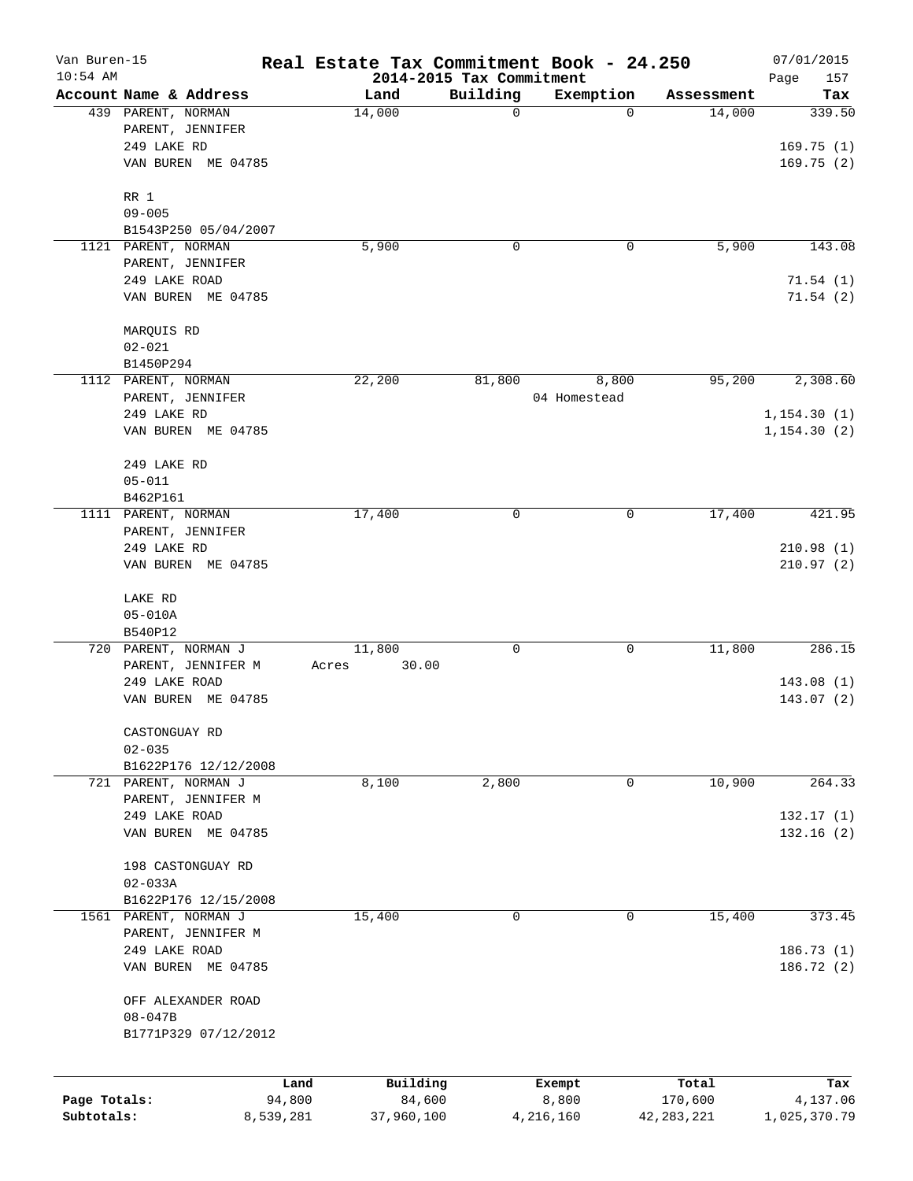| Van Buren-15 |                        |           | Real Estate Tax Commitment Book - 24.250 |                                      |                          |                      | 07/01/2015    |
|--------------|------------------------|-----------|------------------------------------------|--------------------------------------|--------------------------|----------------------|---------------|
| $10:54$ AM   | Account Name & Address |           |                                          | 2014-2015 Tax Commitment<br>Building |                          |                      | Page<br>157   |
|              | 439 PARENT, NORMAN     |           | Land<br>14,000                           | 0                                    | Exemption<br>$\mathbf 0$ | Assessment<br>14,000 | Tax<br>339.50 |
|              | PARENT, JENNIFER       |           |                                          |                                      |                          |                      |               |
|              | 249 LAKE RD            |           |                                          |                                      |                          |                      | 169.75(1)     |
|              | VAN BUREN ME 04785     |           |                                          |                                      |                          |                      | 169.75(2)     |
|              |                        |           |                                          |                                      |                          |                      |               |
|              | RR 1                   |           |                                          |                                      |                          |                      |               |
|              | $09 - 005$             |           |                                          |                                      |                          |                      |               |
|              | B1543P250 05/04/2007   |           |                                          |                                      |                          |                      |               |
|              | 1121 PARENT, NORMAN    |           | 5,900                                    | 0                                    | 0                        | 5,900                | 143.08        |
|              | PARENT, JENNIFER       |           |                                          |                                      |                          |                      |               |
|              | 249 LAKE ROAD          |           |                                          |                                      |                          |                      | 71.54(1)      |
|              | VAN BUREN ME 04785     |           |                                          |                                      |                          |                      | 71.54(2)      |
|              | MARQUIS RD             |           |                                          |                                      |                          |                      |               |
|              | $02 - 021$             |           |                                          |                                      |                          |                      |               |
|              | B1450P294              |           |                                          |                                      |                          |                      |               |
|              | 1112 PARENT, NORMAN    |           | 22,200                                   | 81,800                               | 8,800                    | 95,200               | 2,308.60      |
|              | PARENT, JENNIFER       |           |                                          |                                      | 04 Homestead             |                      |               |
|              | 249 LAKE RD            |           |                                          |                                      |                          |                      | 1, 154.30(1)  |
|              | VAN BUREN ME 04785     |           |                                          |                                      |                          |                      | 1, 154.30(2)  |
|              |                        |           |                                          |                                      |                          |                      |               |
|              | 249 LAKE RD            |           |                                          |                                      |                          |                      |               |
|              | $05 - 011$             |           |                                          |                                      |                          |                      |               |
|              | B462P161               |           |                                          |                                      |                          |                      |               |
|              | 1111 PARENT, NORMAN    |           | 17,400                                   | 0                                    | 0                        | 17,400               | 421.95        |
|              | PARENT, JENNIFER       |           |                                          |                                      |                          |                      |               |
|              | 249 LAKE RD            |           |                                          |                                      |                          |                      | 210.98(1)     |
|              | VAN BUREN ME 04785     |           |                                          |                                      |                          |                      | 210.97(2)     |
|              | LAKE RD                |           |                                          |                                      |                          |                      |               |
|              | $05 - 010A$            |           |                                          |                                      |                          |                      |               |
|              | B540P12                |           |                                          |                                      |                          |                      |               |
|              | 720 PARENT, NORMAN J   |           | 11,800                                   | 0                                    | 0                        | 11,800               | 286.15        |
|              | PARENT, JENNIFER M     |           | 30.00<br>Acres                           |                                      |                          |                      |               |
|              | 249 LAKE ROAD          |           |                                          |                                      |                          |                      | 143.08(1)     |
|              | VAN BUREN ME 04785     |           |                                          |                                      |                          |                      | 143.07(2)     |
|              | CASTONGUAY RD          |           |                                          |                                      |                          |                      |               |
|              | $02 - 035$             |           |                                          |                                      |                          |                      |               |
|              | B1622P176 12/12/2008   |           |                                          |                                      |                          |                      |               |
|              | 721 PARENT, NORMAN J   |           | 8,100                                    | 2,800                                | 0                        | 10,900               | 264.33        |
|              | PARENT, JENNIFER M     |           |                                          |                                      |                          |                      |               |
|              | 249 LAKE ROAD          |           |                                          |                                      |                          |                      | 132.17(1)     |
|              | VAN BUREN ME 04785     |           |                                          |                                      |                          |                      | 132.16(2)     |
|              |                        |           |                                          |                                      |                          |                      |               |
|              | 198 CASTONGUAY RD      |           |                                          |                                      |                          |                      |               |
|              | $02 - 033A$            |           |                                          |                                      |                          |                      |               |
|              | B1622P176 12/15/2008   |           |                                          |                                      |                          |                      |               |
| 1561         | PARENT, NORMAN J       |           | 15,400                                   | 0                                    | 0                        | 15,400               | 373.45        |
|              | PARENT, JENNIFER M     |           |                                          |                                      |                          |                      |               |
|              | 249 LAKE ROAD          |           |                                          |                                      |                          |                      | 186.73 (1)    |
|              | VAN BUREN ME 04785     |           |                                          |                                      |                          |                      | 186.72 (2)    |
|              | OFF ALEXANDER ROAD     |           |                                          |                                      |                          |                      |               |
|              | $08 - 047B$            |           |                                          |                                      |                          |                      |               |
|              | B1771P329 07/12/2012   |           |                                          |                                      |                          |                      |               |
|              |                        |           |                                          |                                      |                          |                      |               |
|              |                        | Land      | Building                                 |                                      | Exempt                   | Total                | Tax           |
| Page Totals: |                        | 94,800    | 84,600                                   |                                      | 8,800                    | 170,600              | 4,137.06      |
| Subtotals:   |                        | 8,539,281 | 37,960,100                               | 4,216,160                            |                          | 42, 283, 221         | 1,025,370.79  |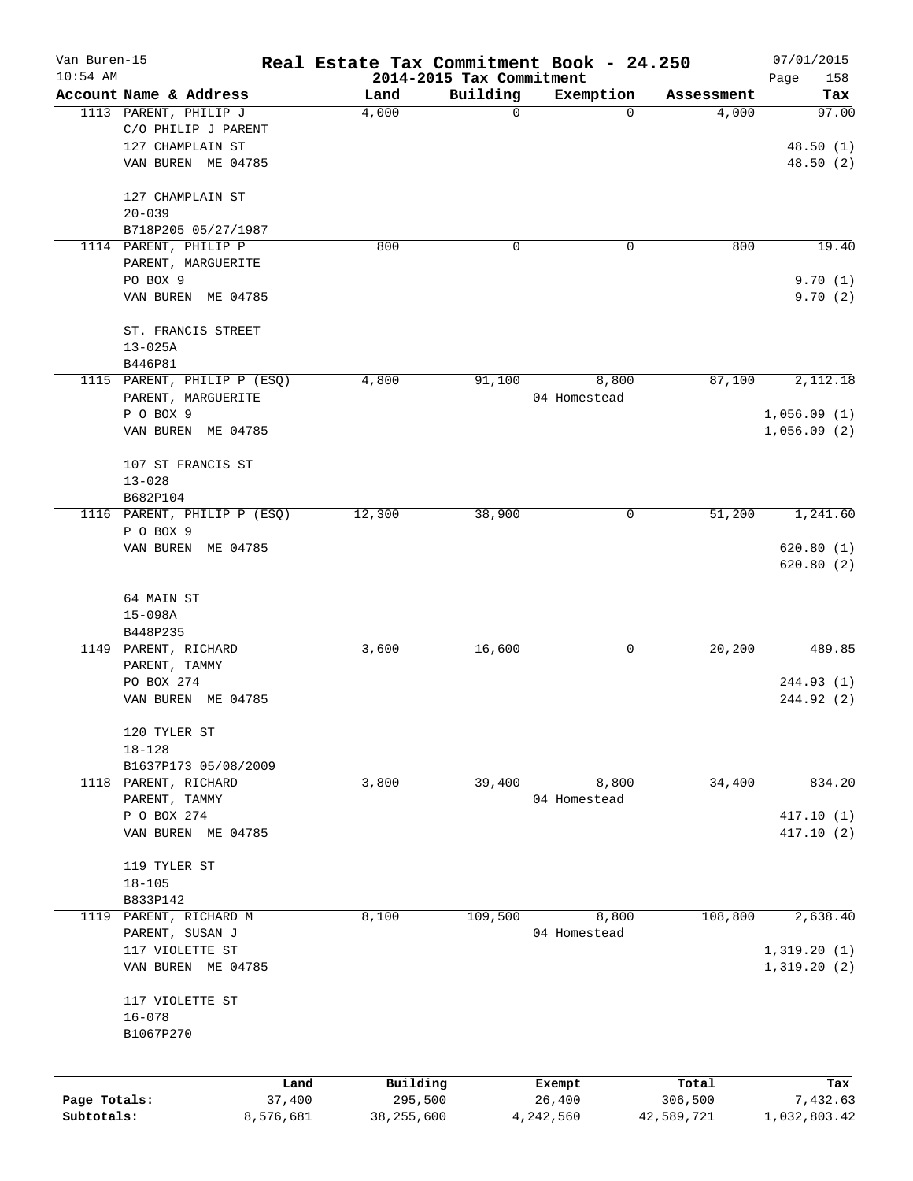| Van Buren-15<br>$10:54$ AM |                             | Real Estate Tax Commitment Book - 24.250 | 2014-2015 Tax Commitment |              |            | 07/01/2015         |
|----------------------------|-----------------------------|------------------------------------------|--------------------------|--------------|------------|--------------------|
|                            | Account Name & Address      | Land                                     | Building                 | Exemption    | Assessment | Page<br>158<br>Tax |
|                            | 1113 PARENT, PHILIP J       | 4,000                                    | 0                        | 0            | 4,000      | 97.00              |
|                            | C/O PHILIP J PARENT         |                                          |                          |              |            |                    |
|                            | 127 CHAMPLAIN ST            |                                          |                          |              |            | 48.50(1)           |
|                            | VAN BUREN ME 04785          |                                          |                          |              |            | 48.50(2)           |
|                            | 127 CHAMPLAIN ST            |                                          |                          |              |            |                    |
|                            | $20 - 039$                  |                                          |                          |              |            |                    |
|                            | B718P205 05/27/1987         |                                          |                          |              |            |                    |
|                            | 1114 PARENT, PHILIP P       | 800                                      | 0                        | 0            | 800        | 19.40              |
|                            | PARENT, MARGUERITE          |                                          |                          |              |            |                    |
|                            | PO BOX 9                    |                                          |                          |              |            | 9.70(1)            |
|                            | VAN BUREN ME 04785          |                                          |                          |              |            | 9.70(2)            |
|                            | ST. FRANCIS STREET          |                                          |                          |              |            |                    |
|                            | $13 - 025A$                 |                                          |                          |              |            |                    |
|                            | B446P81                     |                                          |                          |              |            |                    |
|                            | 1115 PARENT, PHILIP P (ESQ) | 4,800                                    | 91,100                   | 8,800        | 87,100     | 2,112.18           |
|                            | PARENT, MARGUERITE          |                                          |                          | 04 Homestead |            |                    |
|                            | P O BOX 9                   |                                          |                          |              |            | 1,056.09(1)        |
|                            | VAN BUREN ME 04785          |                                          |                          |              |            | 1,056.09(2)        |
|                            | 107 ST FRANCIS ST           |                                          |                          |              |            |                    |
|                            | $13 - 028$                  |                                          |                          |              |            |                    |
|                            | B682P104                    |                                          |                          |              |            |                    |
|                            | 1116 PARENT, PHILIP P (ESQ) | 12,300                                   | 38,900                   | 0            | 51,200     | 1,241.60           |
|                            | P O BOX 9                   |                                          |                          |              |            |                    |
|                            | VAN BUREN ME 04785          |                                          |                          |              |            | 620.80(1)          |
|                            |                             |                                          |                          |              |            | 620.80(2)          |
|                            |                             |                                          |                          |              |            |                    |
|                            | 64 MAIN ST                  |                                          |                          |              |            |                    |
|                            | $15 - 098A$                 |                                          |                          |              |            |                    |
|                            | B448P235                    |                                          |                          |              |            |                    |
|                            | 1149 PARENT, RICHARD        | 3,600                                    | 16,600                   | 0            | 20,200     | 489.85             |
|                            | PARENT, TAMMY               |                                          |                          |              |            |                    |
|                            | PO BOX 274                  |                                          |                          |              |            | 244.93(1)          |
|                            | VAN BUREN ME 04785          |                                          |                          |              |            | 244.92 (2)         |
|                            | 120 TYLER ST                |                                          |                          |              |            |                    |
|                            | $18 - 128$                  |                                          |                          |              |            |                    |
|                            | B1637P173 05/08/2009        |                                          |                          |              |            |                    |
|                            | 1118 PARENT, RICHARD        | 3,800                                    | 39,400                   | 8,800        | 34,400     | 834.20             |
|                            | PARENT, TAMMY               |                                          |                          | 04 Homestead |            |                    |
|                            | P O BOX 274                 |                                          |                          |              |            | 417.10(1)          |
|                            | VAN BUREN ME 04785          |                                          |                          |              |            | 417.10(2)          |
|                            | 119 TYLER ST                |                                          |                          |              |            |                    |
|                            | $18 - 105$                  |                                          |                          |              |            |                    |
|                            | B833P142                    |                                          |                          |              |            |                    |
| 1119                       | PARENT, RICHARD M           | 8,100                                    | 109,500                  | 8,800        | 108,800    | 2,638.40           |
|                            | PARENT, SUSAN J             |                                          |                          | 04 Homestead |            |                    |
|                            | 117 VIOLETTE ST             |                                          |                          |              |            | 1,319.20(1)        |
|                            | VAN BUREN ME 04785          |                                          |                          |              |            | 1,319.20(2)        |
|                            | 117 VIOLETTE ST             |                                          |                          |              |            |                    |
|                            | $16 - 078$                  |                                          |                          |              |            |                    |
|                            | B1067P270                   |                                          |                          |              |            |                    |
|                            |                             |                                          |                          |              |            |                    |
|                            |                             | Building<br>Land                         |                          | Exempt       | Total      | Tax                |
| Page Totals:               | 37,400                      | 295,500                                  |                          | 26,400       | 306,500    | 7,432.63           |
| Subtotals:                 | 8,576,681                   | 38,255,600                               |                          | 4,242,560    | 42,589,721 | 1,032,803.42       |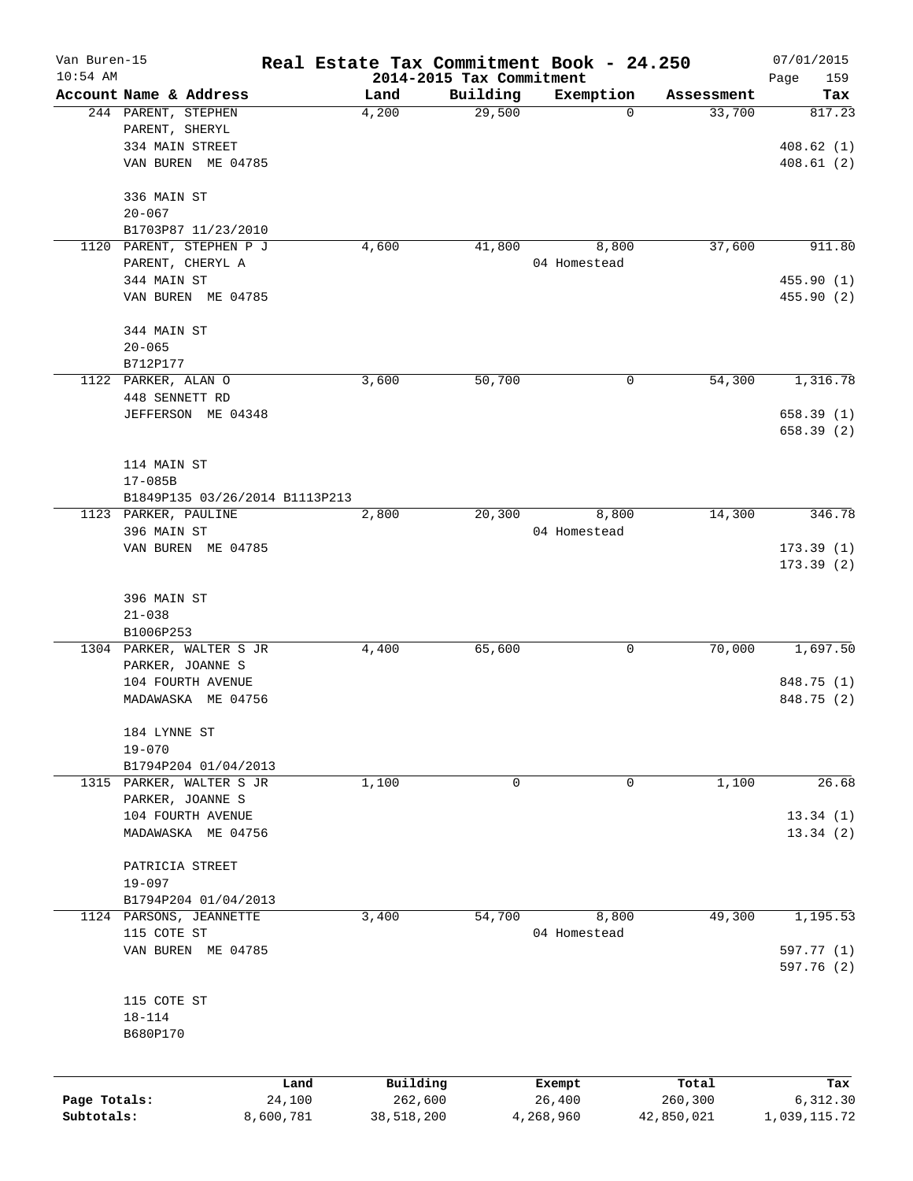| Van Buren-15 |                                |           |                                  |          | Real Estate Tax Commitment Book - 24.250 |            | 07/01/2015         |
|--------------|--------------------------------|-----------|----------------------------------|----------|------------------------------------------|------------|--------------------|
| $10:54$ AM   | Account Name & Address         |           | 2014-2015 Tax Commitment<br>Land | Building | Exemption                                | Assessment | Page<br>159<br>Tax |
|              | 244 PARENT, STEPHEN            |           | 4,200                            | 29,500   | $\mathbf 0$                              | 33,700     | 817.23             |
|              | PARENT, SHERYL                 |           |                                  |          |                                          |            |                    |
|              | 334 MAIN STREET                |           |                                  |          |                                          |            | 408.62(1)          |
|              | VAN BUREN ME 04785             |           |                                  |          |                                          |            | 408.61(2)          |
|              | 336 MAIN ST                    |           |                                  |          |                                          |            |                    |
|              | $20 - 067$                     |           |                                  |          |                                          |            |                    |
|              | B1703P87 11/23/2010            |           |                                  |          |                                          |            |                    |
|              | 1120 PARENT, STEPHEN P J       |           | 4,600                            | 41,800   | 8,800                                    | 37,600     | 911.80             |
|              | PARENT, CHERYL A               |           |                                  |          | 04 Homestead                             |            |                    |
|              | 344 MAIN ST                    |           |                                  |          |                                          |            | 455.90 (1)         |
|              | VAN BUREN ME 04785             |           |                                  |          |                                          |            | 455.90 (2)         |
|              | 344 MAIN ST                    |           |                                  |          |                                          |            |                    |
|              | $20 - 065$                     |           |                                  |          |                                          |            |                    |
|              | B712P177                       |           |                                  |          |                                          |            |                    |
|              | 1122 PARKER, ALAN O            |           | 3,600                            | 50,700   | 0                                        | 54,300     | 1,316.78           |
|              | 448 SENNETT RD                 |           |                                  |          |                                          |            |                    |
|              | JEFFERSON ME 04348             |           |                                  |          |                                          |            | 658.39(1)          |
|              |                                |           |                                  |          |                                          |            | 658.39(2)          |
|              | 114 MAIN ST                    |           |                                  |          |                                          |            |                    |
|              | $17 - 085B$                    |           |                                  |          |                                          |            |                    |
|              | B1849P135 03/26/2014 B1113P213 |           |                                  |          |                                          |            |                    |
|              | 1123 PARKER, PAULINE           |           | 2,800                            | 20,300   | 8,800                                    | 14,300     | 346.78             |
|              | 396 MAIN ST                    |           |                                  |          | 04 Homestead                             |            |                    |
|              | VAN BUREN ME 04785             |           |                                  |          |                                          |            | 173.39(1)          |
|              |                                |           |                                  |          |                                          |            | 173.39(2)          |
|              | 396 MAIN ST                    |           |                                  |          |                                          |            |                    |
|              | $21 - 038$                     |           |                                  |          |                                          |            |                    |
|              | B1006P253                      |           |                                  |          |                                          |            |                    |
|              | 1304 PARKER, WALTER S JR       |           | 4,400                            | 65,600   | 0                                        | 70,000     | 1,697.50           |
|              | PARKER, JOANNE S               |           |                                  |          |                                          |            |                    |
|              | 104 FOURTH AVENUE              |           |                                  |          |                                          |            | 848.75 (1)         |
|              | MADAWASKA ME 04756             |           |                                  |          |                                          |            | 848.75 (2)         |
|              | 184 LYNNE ST                   |           |                                  |          |                                          |            |                    |
|              | $19 - 070$                     |           |                                  |          |                                          |            |                    |
|              | B1794P204 01/04/2013           |           |                                  |          |                                          |            |                    |
|              | 1315 PARKER, WALTER S JR       |           | 1,100                            | 0        | 0                                        | 1,100      | 26.68              |
|              | PARKER, JOANNE S               |           |                                  |          |                                          |            |                    |
|              | 104 FOURTH AVENUE              |           |                                  |          |                                          |            | 13.34(1)           |
|              | MADAWASKA ME 04756             |           |                                  |          |                                          |            | 13.34(2)           |
|              | PATRICIA STREET                |           |                                  |          |                                          |            |                    |
|              | $19 - 097$                     |           |                                  |          |                                          |            |                    |
|              | B1794P204 01/04/2013           |           |                                  |          |                                          |            |                    |
| 1124         | PARSONS, JEANNETTE             |           | 3,400                            | 54,700   | 8,800                                    | 49,300     | 1,195.53           |
|              | 115 COTE ST                    |           |                                  |          | 04 Homestead                             |            |                    |
|              | VAN BUREN ME 04785             |           |                                  |          |                                          |            | 597.77 (1)         |
|              |                                |           |                                  |          |                                          |            | 597.76 (2)         |
|              | 115 COTE ST                    |           |                                  |          |                                          |            |                    |
|              | $18 - 114$                     |           |                                  |          |                                          |            |                    |
|              | B680P170                       |           |                                  |          |                                          |            |                    |
|              |                                |           |                                  |          |                                          |            |                    |
|              |                                | Land      | Building                         |          | Exempt                                   | Total      | Tax                |
| Page Totals: |                                | 24,100    | 262,600                          |          | 26,400                                   | 260,300    | 6,312.30           |
| Subtotals:   |                                | 8,600,781 | 38,518,200                       |          | 4,268,960                                | 42,850,021 | 1,039,115.72       |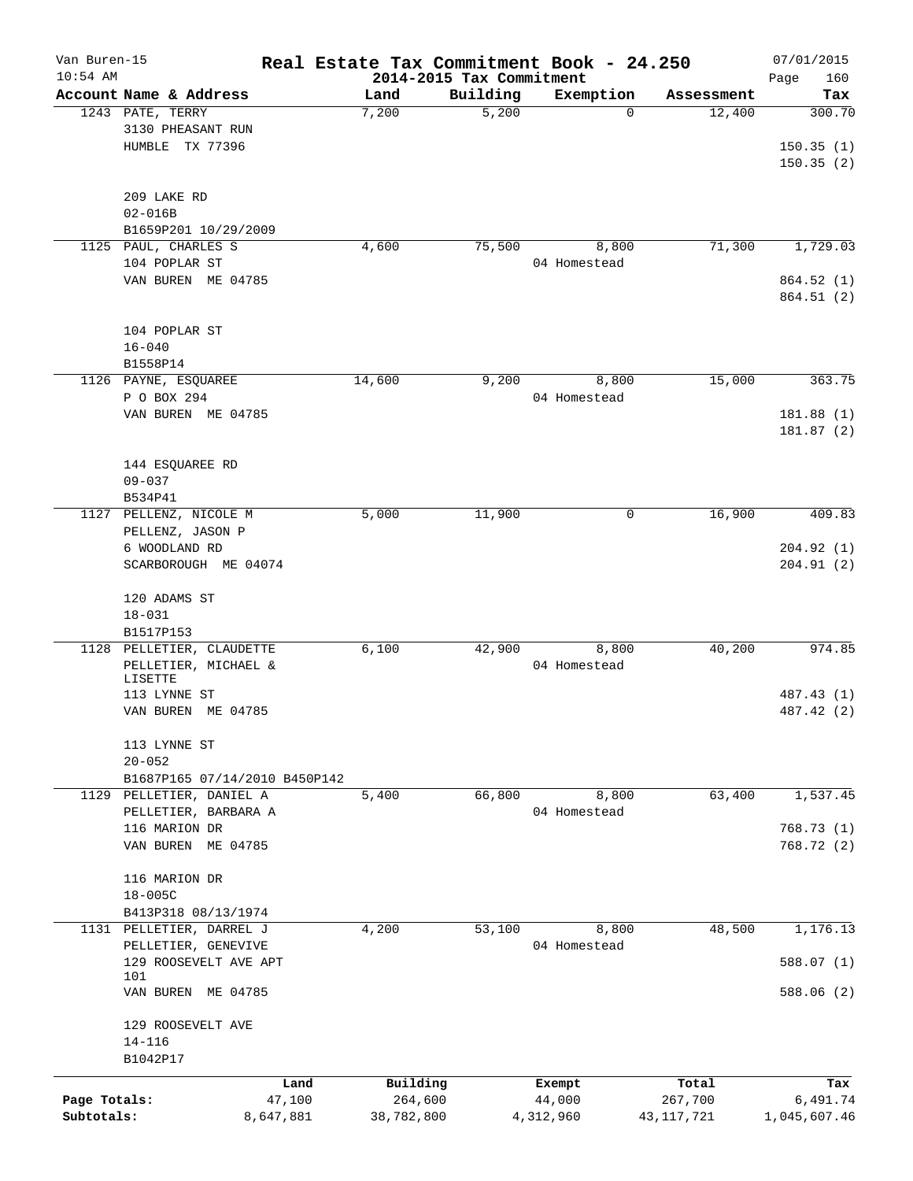| Van Buren-15 |                               |           | Real Estate Tax Commitment Book - 24.250 |                   |                |                      | 07/01/2015    |
|--------------|-------------------------------|-----------|------------------------------------------|-------------------|----------------|----------------------|---------------|
| $10:54$ AM   |                               |           | 2014-2015 Tax Commitment                 |                   |                |                      | Page<br>160   |
|              | Account Name & Address        |           | Land<br>7,200                            | Building<br>5,200 | Exemption<br>0 | Assessment<br>12,400 | Tax<br>300.70 |
|              | 1243 PATE, TERRY              |           |                                          |                   |                |                      |               |
|              | 3130 PHEASANT RUN             |           |                                          |                   |                |                      |               |
|              | HUMBLE TX 77396               |           |                                          |                   |                |                      | 150.35(1)     |
|              |                               |           |                                          |                   |                |                      | 150.35(2)     |
|              |                               |           |                                          |                   |                |                      |               |
|              | 209 LAKE RD                   |           |                                          |                   |                |                      |               |
|              | $02 - 016B$                   |           |                                          |                   |                |                      |               |
|              | B1659P201 10/29/2009          |           |                                          |                   |                |                      |               |
|              | 1125 PAUL, CHARLES S          |           | 4,600                                    | 75,500            | 8,800          | 71,300               | 1,729.03      |
|              | 104 POPLAR ST                 |           |                                          |                   | 04 Homestead   |                      |               |
|              | VAN BUREN ME 04785            |           |                                          |                   |                |                      | 864.52 (1)    |
|              |                               |           |                                          |                   |                |                      | 864.51 (2)    |
|              |                               |           |                                          |                   |                |                      |               |
|              | 104 POPLAR ST                 |           |                                          |                   |                |                      |               |
|              | $16 - 040$                    |           |                                          |                   |                |                      |               |
|              | B1558P14                      |           |                                          |                   |                |                      |               |
|              | 1126 PAYNE, ESQUAREE          |           | 14,600                                   | 9,200             | 8,800          | 15,000               | 363.75        |
|              | P O BOX 294                   |           |                                          |                   | 04 Homestead   |                      |               |
|              | VAN BUREN ME 04785            |           |                                          |                   |                |                      | 181.88(1)     |
|              |                               |           |                                          |                   |                |                      | 181.87(2)     |
|              |                               |           |                                          |                   |                |                      |               |
|              | 144 ESQUAREE RD               |           |                                          |                   |                |                      |               |
|              | $09 - 037$                    |           |                                          |                   |                |                      |               |
|              | B534P41                       |           |                                          |                   |                |                      |               |
|              | 1127 PELLENZ, NICOLE M        |           | 5,000                                    | 11,900            | 0              | 16,900               | 409.83        |
|              | PELLENZ, JASON P              |           |                                          |                   |                |                      |               |
|              | 6 WOODLAND RD                 |           |                                          |                   |                |                      | 204.92(1)     |
|              | SCARBOROUGH ME 04074          |           |                                          |                   |                |                      | 204.91(2)     |
|              |                               |           |                                          |                   |                |                      |               |
|              |                               |           |                                          |                   |                |                      |               |
|              | 120 ADAMS ST                  |           |                                          |                   |                |                      |               |
|              | $18 - 031$                    |           |                                          |                   |                |                      |               |
|              | B1517P153                     |           |                                          |                   |                |                      |               |
| 1128         | PELLETIER, CLAUDETTE          |           | 6,100                                    | 42,900            | 8,800          | 40,200               | 974.85        |
|              | PELLETIER, MICHAEL &          |           |                                          |                   | 04 Homestead   |                      |               |
|              | LISETTE<br>113 LYNNE ST       |           |                                          |                   |                |                      | 487.43 (1)    |
|              |                               |           |                                          |                   |                |                      | 487.42 (2)    |
|              | VAN BUREN ME 04785            |           |                                          |                   |                |                      |               |
|              |                               |           |                                          |                   |                |                      |               |
|              | 113 LYNNE ST                  |           |                                          |                   |                |                      |               |
|              | $20 - 052$                    |           |                                          |                   |                |                      |               |
|              | B1687P165 07/14/2010 B450P142 |           |                                          |                   |                |                      |               |
|              | 1129 PELLETIER, DANIEL A      |           | 5,400                                    | 66,800            | 8,800          | 63,400               | 1,537.45      |
|              | PELLETIER, BARBARA A          |           |                                          |                   | 04 Homestead   |                      |               |
|              | 116 MARION DR                 |           |                                          |                   |                |                      | 768.73(1)     |
|              | VAN BUREN ME 04785            |           |                                          |                   |                |                      | 768.72 (2)    |
|              |                               |           |                                          |                   |                |                      |               |
|              | 116 MARION DR                 |           |                                          |                   |                |                      |               |
|              | $18 - 005C$                   |           |                                          |                   |                |                      |               |
|              | B413P318 08/13/1974           |           |                                          |                   |                |                      |               |
|              | 1131 PELLETIER, DARREL J      |           | 4,200                                    | 53,100            | 8,800          | 48,500               | 1,176.13      |
|              | PELLETIER, GENEVIVE           |           |                                          |                   | 04 Homestead   |                      |               |
|              | 129 ROOSEVELT AVE APT         |           |                                          |                   |                |                      | 588.07(1)     |
|              | 101                           |           |                                          |                   |                |                      |               |
|              | VAN BUREN ME 04785            |           |                                          |                   |                |                      | 588.06 (2)    |
|              |                               |           |                                          |                   |                |                      |               |
|              | 129 ROOSEVELT AVE             |           |                                          |                   |                |                      |               |
|              | $14 - 116$                    |           |                                          |                   |                |                      |               |
|              | B1042P17                      |           |                                          |                   |                |                      |               |
|              |                               | Land      | Building                                 |                   | Exempt         | Total                | Tax           |
| Page Totals: |                               | 47,100    | 264,600                                  |                   | 44,000         | 267,700              | 6,491.74      |
| Subtotals:   |                               | 8,647,881 | 38,782,800                               |                   | 4,312,960      | 43, 117, 721         | 1,045,607.46  |
|              |                               |           |                                          |                   |                |                      |               |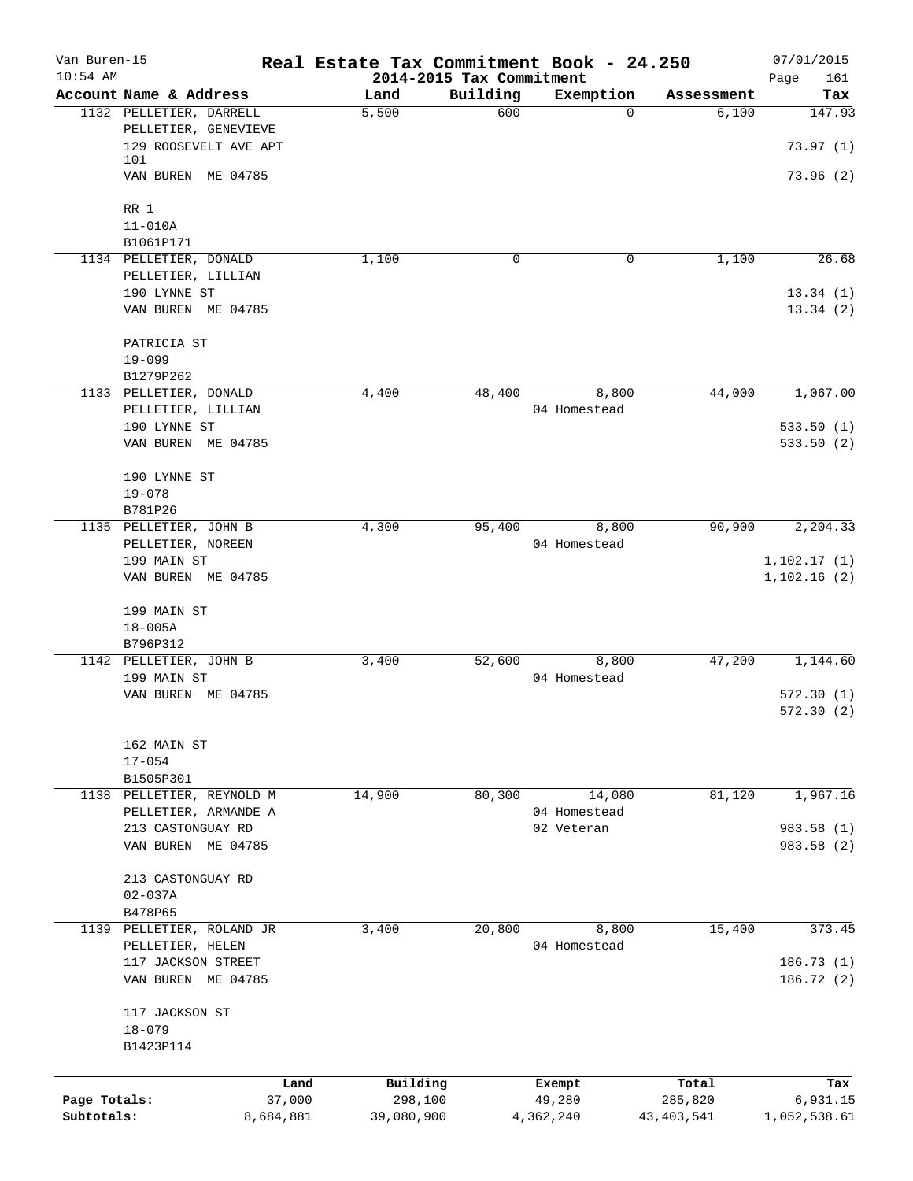| Van Buren-15 |                           |                | Real Estate Tax Commitment Book - 24.250 |                                      |                  |            | 07/01/2015         |
|--------------|---------------------------|----------------|------------------------------------------|--------------------------------------|------------------|------------|--------------------|
| $10:54$ AM   | Account Name & Address    |                | Land                                     | 2014-2015 Tax Commitment<br>Building | Exemption        | Assessment | 161<br>Page<br>Tax |
|              | 1132 PELLETIER, DARRELL   |                | 5,500                                    | 600                                  | $\Omega$         | 6,100      | 147.93             |
|              | PELLETIER, GENEVIEVE      |                |                                          |                                      |                  |            |                    |
|              | 129 ROOSEVELT AVE APT     |                |                                          |                                      |                  |            | 73.97(1)           |
|              | 101                       |                |                                          |                                      |                  |            |                    |
|              | VAN BUREN ME 04785        |                |                                          |                                      |                  |            | 73.96(2)           |
|              | RR 1                      |                |                                          |                                      |                  |            |                    |
|              | $11 - 010A$               |                |                                          |                                      |                  |            |                    |
|              | B1061P171                 |                |                                          |                                      |                  |            |                    |
|              | 1134 PELLETIER, DONALD    |                | 1,100                                    | 0                                    | 0                | 1,100      | 26.68              |
|              | PELLETIER, LILLIAN        |                |                                          |                                      |                  |            |                    |
|              | 190 LYNNE ST              |                |                                          |                                      |                  |            | 13.34(1)           |
|              | VAN BUREN ME 04785        |                |                                          |                                      |                  |            | 13.34(2)           |
|              | PATRICIA ST               |                |                                          |                                      |                  |            |                    |
|              | $19 - 099$                |                |                                          |                                      |                  |            |                    |
|              | B1279P262                 |                |                                          |                                      |                  |            |                    |
|              | 1133 PELLETIER, DONALD    |                | 4,400                                    | 48,400                               | 8,800            | 44,000     | 1,067.00           |
|              | PELLETIER, LILLIAN        |                |                                          |                                      | 04 Homestead     |            |                    |
|              | 190 LYNNE ST              |                |                                          |                                      |                  |            | 533.50(1)          |
|              | VAN BUREN ME 04785        |                |                                          |                                      |                  |            | 533.50(2)          |
|              | 190 LYNNE ST              |                |                                          |                                      |                  |            |                    |
|              | $19 - 078$                |                |                                          |                                      |                  |            |                    |
|              | B781P26                   |                |                                          |                                      |                  |            |                    |
|              | 1135 PELLETIER, JOHN B    |                | 4,300                                    | 95,400                               | 8,800            | 90,900     | 2,204.33           |
|              | PELLETIER, NOREEN         |                |                                          |                                      | 04 Homestead     |            |                    |
|              | 199 MAIN ST               |                |                                          |                                      |                  |            | 1,102.17(1)        |
|              | VAN BUREN ME 04785        |                |                                          |                                      |                  |            | 1,102.16(2)        |
|              | 199 MAIN ST               |                |                                          |                                      |                  |            |                    |
|              | $18 - 005A$               |                |                                          |                                      |                  |            |                    |
|              | B796P312                  |                |                                          |                                      |                  |            |                    |
|              | 1142 PELLETIER, JOHN B    |                | 3,400                                    | 52,600                               | 8,800            | 47,200     | 1,144.60           |
|              | 199 MAIN ST               |                |                                          |                                      | 04 Homestead     |            |                    |
|              | VAN BUREN ME 04785        |                |                                          |                                      |                  |            | 572.30(1)          |
|              |                           |                |                                          |                                      |                  |            | 572.30(2)          |
|              | 162 MAIN ST               |                |                                          |                                      |                  |            |                    |
|              | $17 - 054$                |                |                                          |                                      |                  |            |                    |
|              | B1505P301                 |                |                                          |                                      |                  |            |                    |
|              | 1138 PELLETIER, REYNOLD M |                | 14,900                                   | 80,300                               | 14,080           | 81,120     | 1,967.16           |
|              | PELLETIER, ARMANDE A      |                |                                          |                                      | 04 Homestead     |            |                    |
|              | 213 CASTONGUAY RD         |                |                                          |                                      | 02 Veteran       |            | 983.58 (1)         |
|              | VAN BUREN ME 04785        |                |                                          |                                      |                  |            | 983.58 (2)         |
|              | 213 CASTONGUAY RD         |                |                                          |                                      |                  |            |                    |
|              | $02 - 037A$               |                |                                          |                                      |                  |            |                    |
|              | B478P65                   |                |                                          |                                      |                  |            |                    |
|              | 1139 PELLETIER, ROLAND JR |                | 3,400                                    | 20,800                               | 8,800            | 15,400     | 373.45             |
|              | PELLETIER, HELEN          |                |                                          |                                      | 04 Homestead     |            |                    |
|              | 117 JACKSON STREET        |                |                                          |                                      |                  |            | 186.73(1)          |
|              | VAN BUREN ME 04785        |                |                                          |                                      |                  |            | 186.72 (2)         |
|              | 117 JACKSON ST            |                |                                          |                                      |                  |            |                    |
|              | $18 - 079$                |                |                                          |                                      |                  |            |                    |
|              | B1423P114                 |                |                                          |                                      |                  |            |                    |
|              |                           |                | Building                                 |                                      |                  | Total      |                    |
| Page Totals: |                           | Land<br>37,000 | 298,100                                  |                                      | Exempt<br>49,280 | 285,820    | Tax<br>6,931.15    |
| Subtotals:   |                           | 8,684,881      | 39,080,900                               |                                      | 4,362,240        | 43,403,541 | 1,052,538.61       |
|              |                           |                |                                          |                                      |                  |            |                    |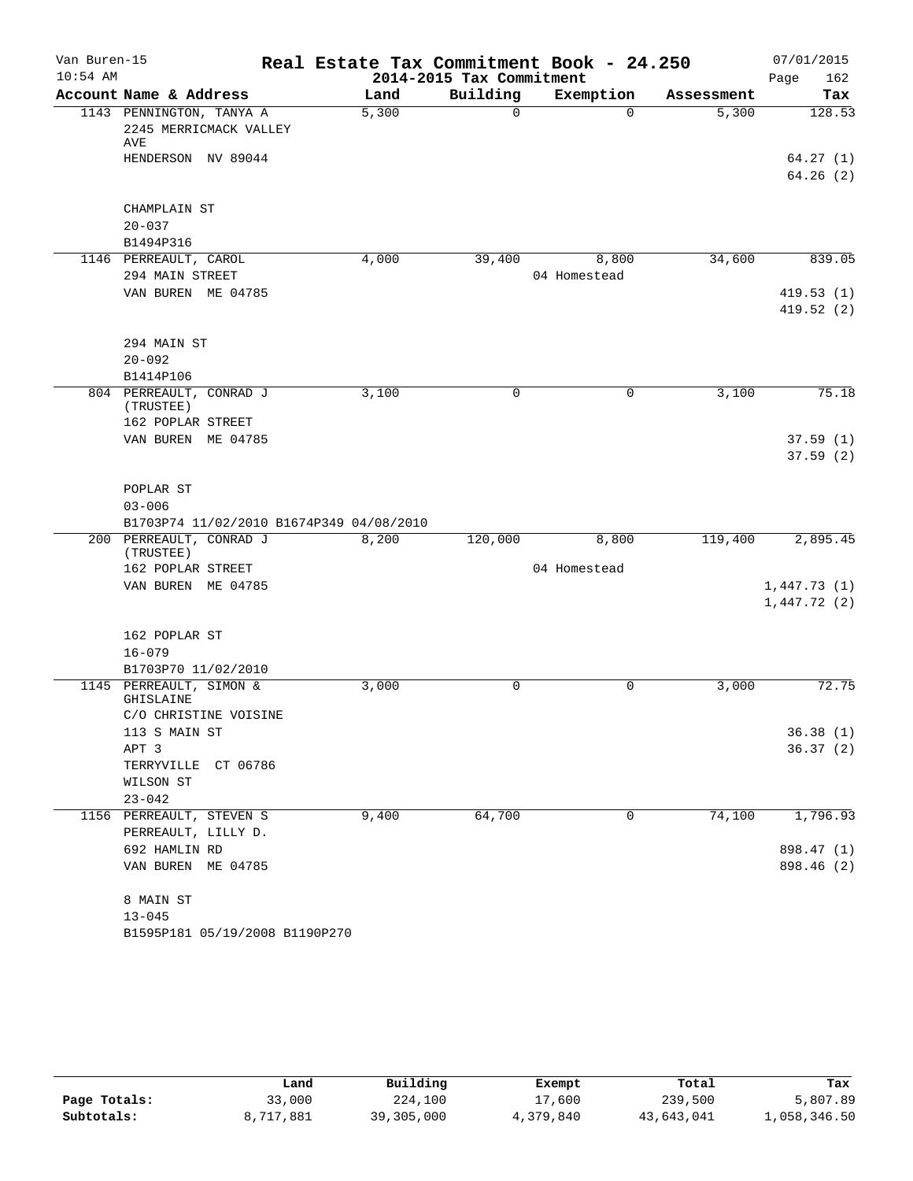| Van Buren-15<br>$10:54$ AM |                                                           | Real Estate Tax Commitment Book - 24.250 | 2014-2015 Tax Commitment |              |            | 07/01/2015<br>Page<br>162 |
|----------------------------|-----------------------------------------------------------|------------------------------------------|--------------------------|--------------|------------|---------------------------|
|                            | Account Name & Address                                    | Land                                     | Building                 | Exemption    | Assessment | Tax                       |
|                            | 1143 PENNINGTON, TANYA A<br>2245 MERRICMACK VALLEY<br>AVE | 5,300                                    | $\Omega$                 | $\Omega$     | 5,300      | 128.53                    |
|                            | HENDERSON NV 89044                                        |                                          |                          |              |            | 64.27(1)<br>64.26(2)      |
|                            |                                                           |                                          |                          |              |            |                           |
|                            | CHAMPLAIN ST                                              |                                          |                          |              |            |                           |
|                            | $20 - 037$<br>B1494P316                                   |                                          |                          |              |            |                           |
|                            | 1146 PERREAULT, CAROL                                     | 4,000                                    | 39,400                   | 8,800        | 34,600     | 839.05                    |
|                            | 294 MAIN STREET                                           |                                          |                          | 04 Homestead |            |                           |
|                            | VAN BUREN ME 04785                                        |                                          |                          |              |            | 419.53(1)                 |
|                            |                                                           |                                          |                          |              |            | 419.52(2)                 |
|                            | 294 MAIN ST                                               |                                          |                          |              |            |                           |
|                            | $20 - 092$                                                |                                          |                          |              |            |                           |
|                            | B1414P106                                                 |                                          |                          |              |            |                           |
|                            | 804 PERREAULT, CONRAD J<br>(TRUSTEE)                      | 3,100                                    | 0                        | 0            | 3,100      | 75.18                     |
|                            | 162 POPLAR STREET                                         |                                          |                          |              |            |                           |
|                            | VAN BUREN ME 04785                                        |                                          |                          |              |            | 37.59(1)                  |
|                            |                                                           |                                          |                          |              |            | 37.59(2)                  |
|                            | POPLAR ST                                                 |                                          |                          |              |            |                           |
|                            | $03 - 006$                                                |                                          |                          |              |            |                           |
|                            | B1703P74 11/02/2010 B1674P349 04/08/2010                  |                                          |                          |              |            |                           |
|                            | 200 PERREAULT, CONRAD J                                   | 8,200                                    | 120,000                  | 8,800        | 119,400    | 2,895.45                  |
|                            | (TRUSTEE)<br>162 POPLAR STREET                            |                                          |                          | 04 Homestead |            |                           |
|                            | VAN BUREN ME 04785                                        |                                          |                          |              |            | 1,447.73(1)               |
|                            |                                                           |                                          |                          |              |            | 1,447.72(2)               |
|                            | 162 POPLAR ST                                             |                                          |                          |              |            |                           |
|                            | $16 - 079$                                                |                                          |                          |              |            |                           |
|                            | B1703P70 11/02/2010                                       |                                          |                          |              |            |                           |
|                            | 1145 PERREAULT, SIMON &<br>GHISLAINE                      | 3,000                                    | $\mathbf 0$              | 0            | 3,000      | 72.75                     |
|                            | C/O CHRISTINE VOISINE                                     |                                          |                          |              |            |                           |
|                            | 113 S MAIN ST                                             |                                          |                          |              |            | 36.38(1)                  |
|                            | APT 3                                                     |                                          |                          |              |            | 36.37(2)                  |
|                            | TERRYVILLE CT 06786                                       |                                          |                          |              |            |                           |
|                            | WILSON ST                                                 |                                          |                          |              |            |                           |
|                            | $23 - 042$                                                |                                          |                          |              |            |                           |
|                            | 1156 PERREAULT, STEVEN S                                  | 9,400                                    | 64,700                   | 0            | 74,100     | 1,796.93                  |
|                            | PERREAULT, LILLY D.                                       |                                          |                          |              |            |                           |
|                            | 692 HAMLIN RD<br>VAN BUREN ME 04785                       |                                          |                          |              |            | 898.47 (1)<br>898.46 (2)  |
|                            |                                                           |                                          |                          |              |            |                           |
|                            | 8 MAIN ST                                                 |                                          |                          |              |            |                           |
|                            | $13 - 045$                                                |                                          |                          |              |            |                           |
|                            | B1595P181 05/19/2008 B1190P270                            |                                          |                          |              |            |                           |

|              | Land      | Building   | Exempt    | Total      | Tax          |
|--------------|-----------|------------|-----------|------------|--------------|
| Page Totals: | 33,000    | 224,100    | 17,600    | 239,500    | 5,807.89     |
| Subtotals:   | 8,717,881 | 39,305,000 | 4,379,840 | 43,643,041 | 1,058,346.50 |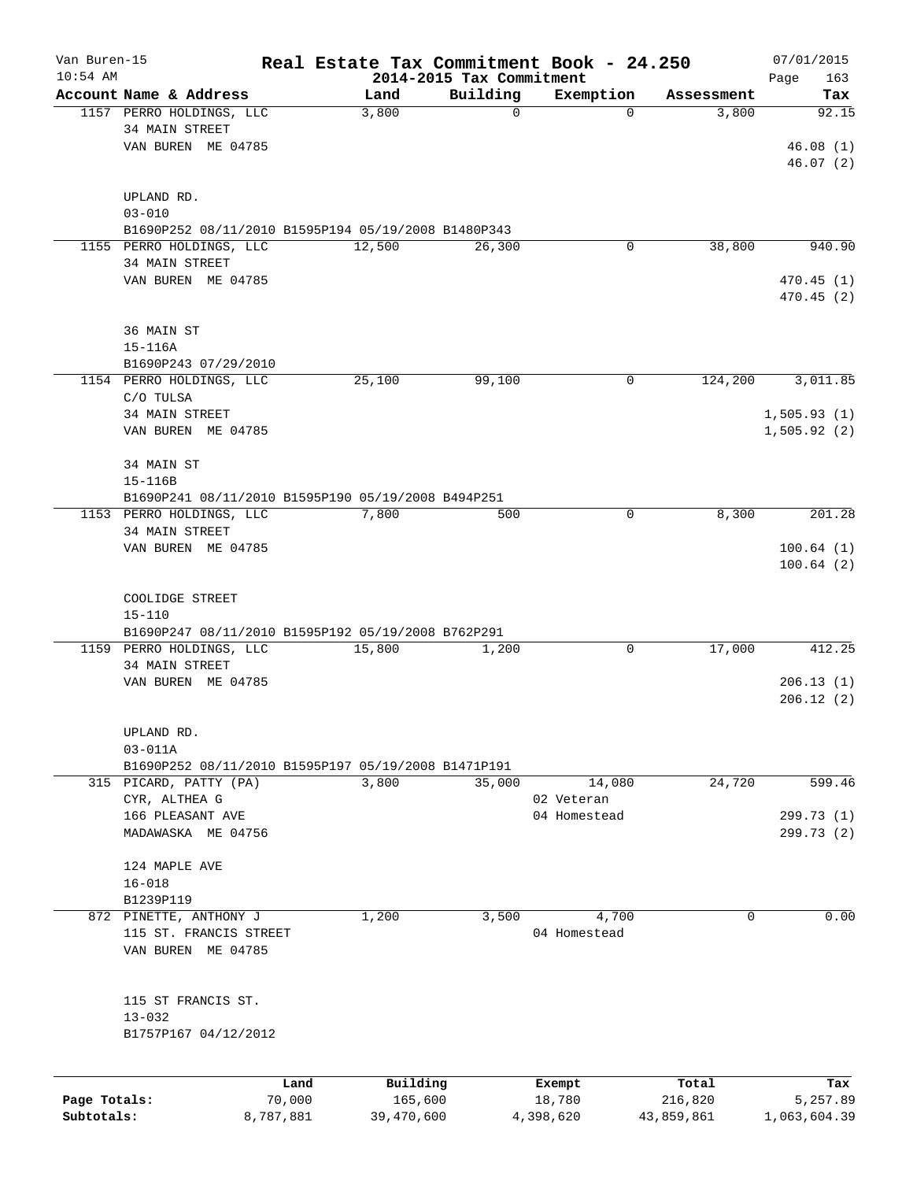| Van Buren-15 |                                                     |           |            |                                      | Real Estate Tax Commitment Book - 24.250 |            | 07/01/2015         |
|--------------|-----------------------------------------------------|-----------|------------|--------------------------------------|------------------------------------------|------------|--------------------|
| $10:54$ AM   | Account Name & Address                              |           | Land       | 2014-2015 Tax Commitment<br>Building | Exemption                                | Assessment | 163<br>Page<br>Tax |
|              | 1157 PERRO HOLDINGS, LLC                            |           | 3,800      | $\Omega$                             | $\Omega$                                 | 3,800      | 92.15              |
|              | 34 MAIN STREET                                      |           |            |                                      |                                          |            |                    |
|              | VAN BUREN ME 04785                                  |           |            |                                      |                                          |            | 46.08(1)           |
|              |                                                     |           |            |                                      |                                          |            | 46.07(2)           |
|              |                                                     |           |            |                                      |                                          |            |                    |
|              | UPLAND RD.                                          |           |            |                                      |                                          |            |                    |
|              | $03 - 010$                                          |           |            |                                      |                                          |            |                    |
|              | B1690P252 08/11/2010 B1595P194 05/19/2008 B1480P343 |           |            |                                      |                                          |            |                    |
|              | 1155 PERRO HOLDINGS, LLC                            |           | 12,500     | 26,300                               | 0                                        | 38,800     | 940.90             |
|              | 34 MAIN STREET                                      |           |            |                                      |                                          |            |                    |
|              | VAN BUREN ME 04785                                  |           |            |                                      |                                          |            | 470.45(1)          |
|              |                                                     |           |            |                                      |                                          |            | 470.45(2)          |
|              |                                                     |           |            |                                      |                                          |            |                    |
|              | 36 MAIN ST                                          |           |            |                                      |                                          |            |                    |
|              | $15 - 116A$                                         |           |            |                                      |                                          |            |                    |
|              | B1690P243 07/29/2010                                |           |            |                                      |                                          |            |                    |
|              | 1154 PERRO HOLDINGS, LLC                            |           | 25,100     | 99,100                               | 0                                        | 124,200    | 3,011.85           |
|              | C/O TULSA                                           |           |            |                                      |                                          |            |                    |
|              | <b>34 MAIN STREET</b>                               |           |            |                                      |                                          |            | 1,505.93(1)        |
|              | VAN BUREN ME 04785                                  |           |            |                                      |                                          |            | 1,505.92(2)        |
|              | 34 MAIN ST                                          |           |            |                                      |                                          |            |                    |
|              | 15-116B                                             |           |            |                                      |                                          |            |                    |
|              | B1690P241 08/11/2010 B1595P190 05/19/2008 B494P251  |           |            |                                      |                                          |            |                    |
|              | 1153 PERRO HOLDINGS, LLC                            |           | 7,800      | 500                                  | 0                                        | 8,300      | 201.28             |
|              | 34 MAIN STREET                                      |           |            |                                      |                                          |            |                    |
|              | VAN BUREN ME 04785                                  |           |            |                                      |                                          |            | 100.64(1)          |
|              |                                                     |           |            |                                      |                                          |            | 100.64(2)          |
|              |                                                     |           |            |                                      |                                          |            |                    |
|              | COOLIDGE STREET                                     |           |            |                                      |                                          |            |                    |
|              | $15 - 110$                                          |           |            |                                      |                                          |            |                    |
|              | B1690P247 08/11/2010 B1595P192 05/19/2008 B762P291  |           |            |                                      |                                          |            |                    |
|              | 1159 PERRO HOLDINGS, LLC                            |           | 15,800     | 1,200                                | 0                                        | 17,000     | 412.25             |
|              | 34 MAIN STREET                                      |           |            |                                      |                                          |            |                    |
|              | VAN BUREN ME 04785                                  |           |            |                                      |                                          |            | 206.13(1)          |
|              |                                                     |           |            |                                      |                                          |            | 206.12(2)          |
|              |                                                     |           |            |                                      |                                          |            |                    |
|              | UPLAND RD.                                          |           |            |                                      |                                          |            |                    |
|              | $03 - 011A$                                         |           |            |                                      |                                          |            |                    |
|              | B1690P252 08/11/2010 B1595P197 05/19/2008 B1471P191 |           |            |                                      |                                          |            |                    |
|              | 315 PICARD, PATTY (PA)                              |           | 3,800      | 35,000                               | 14,080                                   | 24,720     | 599.46             |
|              | CYR, ALTHEA G                                       |           |            |                                      | 02 Veteran                               |            |                    |
|              | 166 PLEASANT AVE                                    |           |            |                                      | 04 Homestead                             |            | 299.73 (1)         |
|              | MADAWASKA ME 04756                                  |           |            |                                      |                                          |            | 299.73(2)          |
|              |                                                     |           |            |                                      |                                          |            |                    |
|              | 124 MAPLE AVE                                       |           |            |                                      |                                          |            |                    |
|              | $16 - 018$                                          |           |            |                                      |                                          |            |                    |
|              | B1239P119                                           |           |            |                                      |                                          |            |                    |
|              | 872 PINETTE, ANTHONY J                              |           | 1,200      | 3,500                                | 4,700                                    | 0          | 0.00               |
|              | 115 ST. FRANCIS STREET                              |           |            |                                      | 04 Homestead                             |            |                    |
|              | VAN BUREN ME 04785                                  |           |            |                                      |                                          |            |                    |
|              |                                                     |           |            |                                      |                                          |            |                    |
|              |                                                     |           |            |                                      |                                          |            |                    |
|              | 115 ST FRANCIS ST.                                  |           |            |                                      |                                          |            |                    |
|              | $13 - 032$                                          |           |            |                                      |                                          |            |                    |
|              | B1757P167 04/12/2012                                |           |            |                                      |                                          |            |                    |
|              |                                                     |           |            |                                      |                                          |            |                    |
|              |                                                     | Land      | Building   |                                      | Exempt                                   | Total      | Tax                |
| Page Totals: |                                                     | 70,000    | 165,600    |                                      | 18,780                                   | 216,820    | 5,257.89           |
| Subtotals:   |                                                     | 8,787,881 | 39,470,600 |                                      | 4,398,620                                | 43,859,861 | 1,063,604.39       |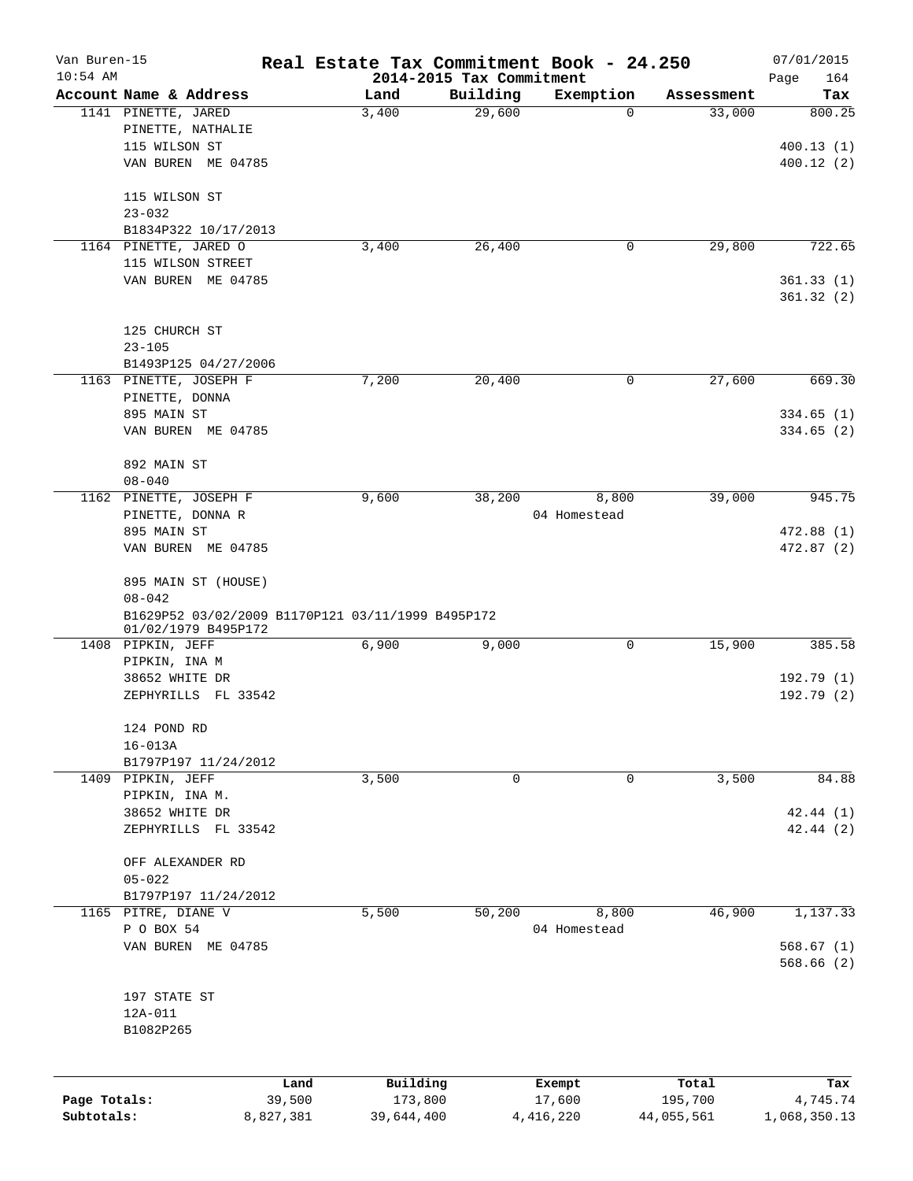| Van Buren-15               |                                                                          |                     | Real Estate Tax Commitment Book - 24.250 |          |                       |                       | 07/01/2015               |
|----------------------------|--------------------------------------------------------------------------|---------------------|------------------------------------------|----------|-----------------------|-----------------------|--------------------------|
| $10:54$ AM                 | Account Name & Address                                                   |                     | 2014-2015 Tax Commitment<br>Land         | Building | Exemption             | Assessment            | Page<br>164<br>Tax       |
|                            | 1141 PINETTE, JARED                                                      |                     | 3,400                                    | 29,600   | 0                     | 33,000                | 800.25                   |
|                            | PINETTE, NATHALIE                                                        |                     |                                          |          |                       |                       |                          |
|                            | 115 WILSON ST                                                            |                     |                                          |          |                       |                       | 400.13(1)                |
|                            | VAN BUREN ME 04785                                                       |                     |                                          |          |                       |                       | 400.12(2)                |
|                            |                                                                          |                     |                                          |          |                       |                       |                          |
|                            | 115 WILSON ST                                                            |                     |                                          |          |                       |                       |                          |
|                            | $23 - 032$                                                               |                     |                                          |          |                       |                       |                          |
|                            | B1834P322 10/17/2013                                                     |                     |                                          |          |                       |                       |                          |
|                            | 1164 PINETTE, JARED O                                                    |                     | 3,400                                    | 26,400   | 0                     | 29,800                | 722.65                   |
|                            | 115 WILSON STREET                                                        |                     |                                          |          |                       |                       |                          |
|                            | VAN BUREN ME 04785                                                       |                     |                                          |          |                       |                       | 361.33(1)                |
|                            |                                                                          |                     |                                          |          |                       |                       | 361.32(2)                |
|                            | 125 CHURCH ST                                                            |                     |                                          |          |                       |                       |                          |
|                            | $23 - 105$                                                               |                     |                                          |          |                       |                       |                          |
|                            | B1493P125 04/27/2006                                                     |                     |                                          |          |                       |                       |                          |
|                            | 1163 PINETTE, JOSEPH F                                                   |                     | 7,200                                    | 20,400   | 0                     | 27,600                | 669.30                   |
|                            | PINETTE, DONNA                                                           |                     |                                          |          |                       |                       |                          |
|                            | 895 MAIN ST                                                              |                     |                                          |          |                       |                       | 334.65(1)                |
|                            | VAN BUREN ME 04785                                                       |                     |                                          |          |                       |                       | 334.65(2)                |
|                            | 892 MAIN ST                                                              |                     |                                          |          |                       |                       |                          |
|                            | $08 - 040$                                                               |                     |                                          |          |                       |                       |                          |
|                            | 1162 PINETTE, JOSEPH F                                                   |                     | 9,600                                    | 38,200   | 8,800                 | 39,000                | 945.75                   |
|                            | PINETTE, DONNA R                                                         |                     |                                          |          | 04 Homestead          |                       |                          |
|                            | 895 MAIN ST                                                              |                     |                                          |          |                       |                       | 472.88 (1)               |
|                            | VAN BUREN ME 04785                                                       |                     |                                          |          |                       |                       | 472.87 (2)               |
|                            |                                                                          |                     |                                          |          |                       |                       |                          |
|                            | 895 MAIN ST (HOUSE)                                                      |                     |                                          |          |                       |                       |                          |
|                            | $08 - 042$                                                               |                     |                                          |          |                       |                       |                          |
|                            | B1629P52 03/02/2009 B1170P121 03/11/1999 B495P172<br>01/02/1979 B495P172 |                     |                                          |          |                       |                       |                          |
|                            | 1408 PIPKIN, JEFF                                                        |                     | 6,900                                    | 9,000    | 0                     | 15,900                | 385.58                   |
|                            | PIPKIN, INA M                                                            |                     |                                          |          |                       |                       |                          |
|                            | 38652 WHITE DR                                                           |                     |                                          |          |                       |                       | 192.79 (1)               |
|                            | ZEPHYRILLS FL 33542                                                      |                     |                                          |          |                       |                       | 192.79(2)                |
|                            | 124 POND RD                                                              |                     |                                          |          |                       |                       |                          |
|                            | $16 - 013A$                                                              |                     |                                          |          |                       |                       |                          |
|                            | B1797P197 11/24/2012                                                     |                     |                                          |          |                       |                       |                          |
|                            | 1409 PIPKIN, JEFF                                                        |                     | 3,500                                    | 0        | 0                     | 3,500                 | 84.88                    |
|                            | PIPKIN, INA M.                                                           |                     |                                          |          |                       |                       |                          |
|                            | 38652 WHITE DR                                                           |                     |                                          |          |                       |                       | 42.44 (1)                |
|                            | ZEPHYRILLS FL 33542                                                      |                     |                                          |          |                       |                       | 42.44(2)                 |
|                            |                                                                          |                     |                                          |          |                       |                       |                          |
|                            | OFF ALEXANDER RD                                                         |                     |                                          |          |                       |                       |                          |
|                            | $05 - 022$                                                               |                     |                                          |          |                       |                       |                          |
|                            | B1797P197 11/24/2012                                                     |                     |                                          |          |                       |                       |                          |
|                            | 1165 PITRE, DIANE V                                                      |                     | 5,500                                    | 50,200   | 8,800                 | 46,900                | 1,137.33                 |
|                            | P O BOX 54                                                               |                     |                                          |          | 04 Homestead          |                       |                          |
|                            | VAN BUREN ME 04785                                                       |                     |                                          |          |                       |                       | 568.67(1)                |
|                            |                                                                          |                     |                                          |          |                       |                       | 568.66(2)                |
|                            |                                                                          |                     |                                          |          |                       |                       |                          |
|                            | 197 STATE ST<br>12A-011                                                  |                     |                                          |          |                       |                       |                          |
|                            | B1082P265                                                                |                     |                                          |          |                       |                       |                          |
|                            |                                                                          |                     |                                          |          |                       |                       |                          |
|                            |                                                                          |                     |                                          |          |                       |                       |                          |
|                            |                                                                          | Land                | Building                                 |          | Exempt                | Total                 | Tax                      |
| Page Totals:<br>Subtotals: |                                                                          | 39,500<br>8,827,381 | 173,800<br>39,644,400                    |          | 17,600<br>4, 416, 220 | 195,700<br>44,055,561 | 4,745.74<br>1,068,350.13 |
|                            |                                                                          |                     |                                          |          |                       |                       |                          |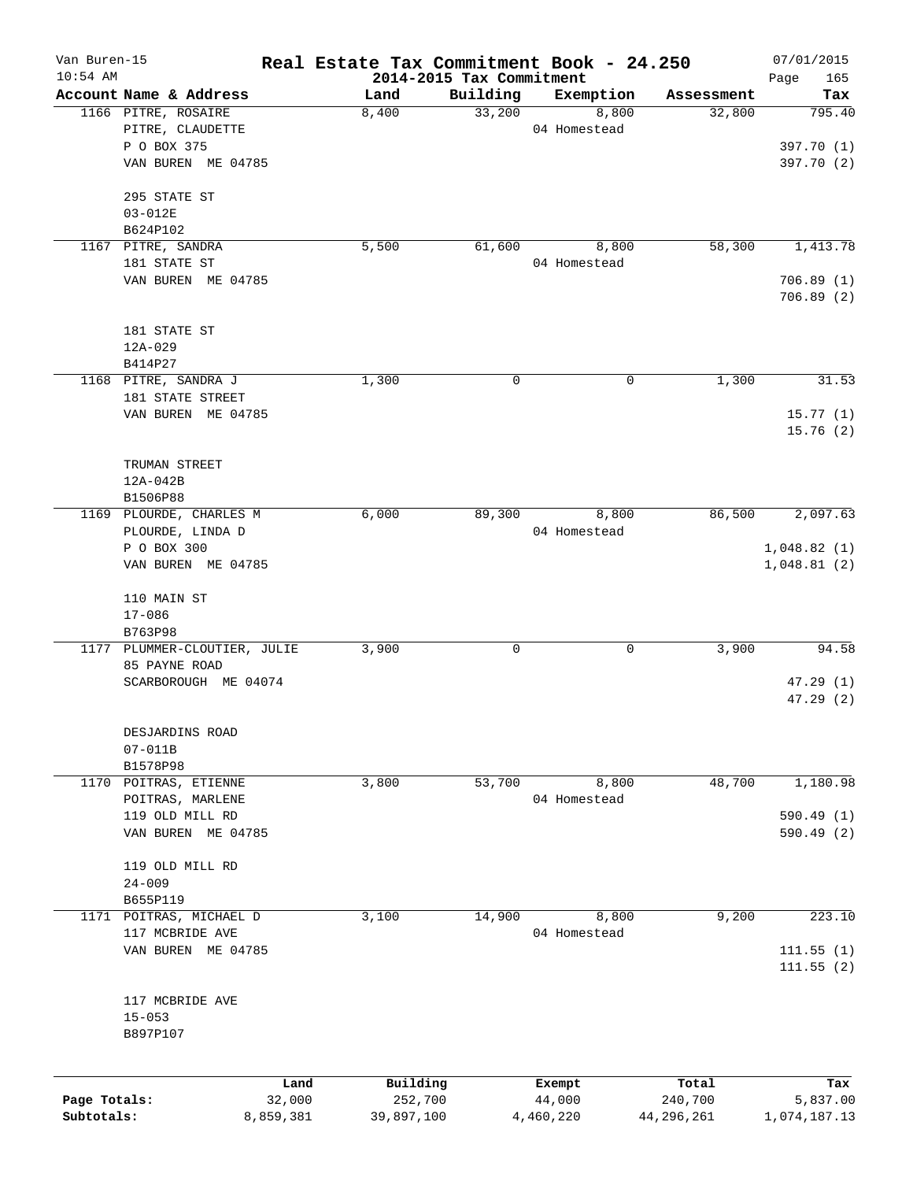| Van Buren-15 |                                               |        |            |                                      | Real Estate Tax Commitment Book - 24.250 |            | 07/01/2015         |
|--------------|-----------------------------------------------|--------|------------|--------------------------------------|------------------------------------------|------------|--------------------|
| $10:54$ AM   | Account Name & Address                        |        | Land       | 2014-2015 Tax Commitment<br>Building | Exemption                                | Assessment | Page<br>165<br>Tax |
|              | 1166 PITRE, ROSAIRE                           |        | 8,400      | 33,200                               | 8,800                                    | 32,800     | 795.40             |
|              | PITRE, CLAUDETTE                              |        |            |                                      | 04 Homestead                             |            |                    |
|              | P O BOX 375                                   |        |            |                                      |                                          |            | 397.70 (1)         |
|              | VAN BUREN ME 04785                            |        |            |                                      |                                          |            | 397.70 (2)         |
|              | 295 STATE ST                                  |        |            |                                      |                                          |            |                    |
|              | 03-012E                                       |        |            |                                      |                                          |            |                    |
|              | B624P102                                      |        |            |                                      |                                          |            |                    |
|              | 1167 PITRE, SANDRA                            |        | 5,500      | 61,600                               | 8,800                                    | 58,300     | 1,413.78           |
|              | 181 STATE ST                                  |        |            |                                      | 04 Homestead                             |            |                    |
|              | VAN BUREN ME 04785                            |        |            |                                      |                                          |            | 706.89(1)          |
|              |                                               |        |            |                                      |                                          |            | 706.89(2)          |
|              |                                               |        |            |                                      |                                          |            |                    |
|              | 181 STATE ST                                  |        |            |                                      |                                          |            |                    |
|              | $12A - 029$<br>B414P27                        |        |            |                                      |                                          |            |                    |
|              | 1168 PITRE, SANDRA J                          |        | 1,300      | 0                                    | 0                                        | 1,300      | 31.53              |
|              | 181 STATE STREET                              |        |            |                                      |                                          |            |                    |
|              | VAN BUREN ME 04785                            |        |            |                                      |                                          |            | 15.77(1)           |
|              |                                               |        |            |                                      |                                          |            | 15.76(2)           |
|              |                                               |        |            |                                      |                                          |            |                    |
|              | TRUMAN STREET                                 |        |            |                                      |                                          |            |                    |
|              | 12A-042B                                      |        |            |                                      |                                          |            |                    |
|              | B1506P88                                      |        |            |                                      |                                          |            |                    |
|              | 1169 PLOURDE, CHARLES M                       |        | 6,000      | 89,300                               | 8,800                                    | 86,500     | 2,097.63           |
|              | PLOURDE, LINDA D                              |        |            |                                      | 04 Homestead                             |            |                    |
|              | P O BOX 300                                   |        |            |                                      |                                          |            | 1,048.82(1)        |
|              | VAN BUREN ME 04785                            |        |            |                                      |                                          |            | 1,048.81(2)        |
|              |                                               |        |            |                                      |                                          |            |                    |
|              | 110 MAIN ST                                   |        |            |                                      |                                          |            |                    |
|              | $17 - 086$                                    |        |            |                                      |                                          |            |                    |
|              | B763P98                                       |        |            |                                      |                                          |            |                    |
|              | 1177 PLUMMER-CLOUTIER, JULIE<br>85 PAYNE ROAD |        | 3,900      | 0                                    | 0                                        | 3,900      | 94.58              |
|              | SCARBOROUGH ME 04074                          |        |            |                                      |                                          |            | 47.29(1)           |
|              |                                               |        |            |                                      |                                          |            | 47.29(2)           |
|              |                                               |        |            |                                      |                                          |            |                    |
|              | DESJARDINS ROAD                               |        |            |                                      |                                          |            |                    |
|              | $07 - 011B$                                   |        |            |                                      |                                          |            |                    |
|              | B1578P98                                      |        |            |                                      |                                          |            |                    |
| 1170         | POITRAS, ETIENNE                              |        | 3,800      | 53,700                               | 8,800                                    | 48,700     | 1,180.98           |
|              | POITRAS, MARLENE                              |        |            |                                      | 04 Homestead                             |            |                    |
|              | 119 OLD MILL RD                               |        |            |                                      |                                          |            | 590.49 (1)         |
|              | VAN BUREN ME 04785                            |        |            |                                      |                                          |            | 590.49(2)          |
|              |                                               |        |            |                                      |                                          |            |                    |
|              | 119 OLD MILL RD<br>$24 - 009$                 |        |            |                                      |                                          |            |                    |
|              | B655P119                                      |        |            |                                      |                                          |            |                    |
|              | 1171 POITRAS, MICHAEL D                       |        | 3,100      | 14,900                               | 8,800                                    | 9,200      | 223.10             |
|              | 117 MCBRIDE AVE                               |        |            |                                      | 04 Homestead                             |            |                    |
|              | VAN BUREN ME 04785                            |        |            |                                      |                                          |            | 111.55(1)          |
|              |                                               |        |            |                                      |                                          |            | 111.55(2)          |
|              |                                               |        |            |                                      |                                          |            |                    |
|              | 117 MCBRIDE AVE                               |        |            |                                      |                                          |            |                    |
|              | $15 - 053$                                    |        |            |                                      |                                          |            |                    |
|              | B897P107                                      |        |            |                                      |                                          |            |                    |
|              |                                               |        |            |                                      |                                          |            |                    |
|              |                                               | Land   | Building   |                                      | Exempt                                   | Total      | Tax                |
| Page Totals: |                                               | 32,000 | 252,700    |                                      | 44,000                                   | 240,700    | 5,837.00           |
| Subtotals:   | 8,859,381                                     |        | 39,897,100 |                                      | 4,460,220                                | 44,296,261 | 1,074,187.13       |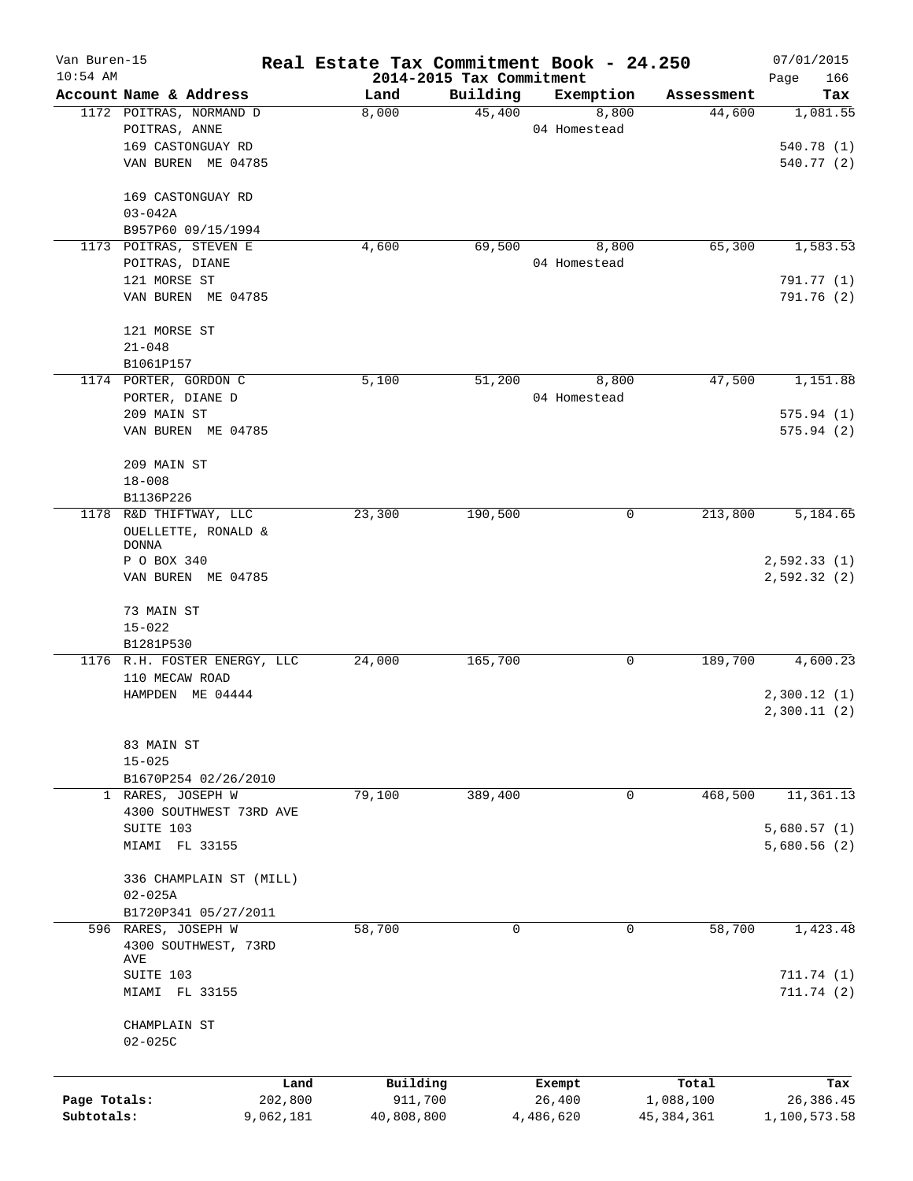| Van Buren-15 |                              |                 | Real Estate Tax Commitment Book - 24.250 |                          |                  |                    | 07/01/2015       |
|--------------|------------------------------|-----------------|------------------------------------------|--------------------------|------------------|--------------------|------------------|
| $10:54$ AM   |                              |                 |                                          | 2014-2015 Tax Commitment |                  |                    | Page<br>166      |
|              | Account Name & Address       |                 | Land                                     | Building                 | Exemption        | Assessment         | Tax              |
|              | 1172 POITRAS, NORMAND D      |                 | 8,000                                    | 45,400                   | 8,800            | 44,600             | 1,081.55         |
|              | POITRAS, ANNE                |                 |                                          |                          | 04 Homestead     |                    |                  |
|              | 169 CASTONGUAY RD            |                 |                                          |                          |                  |                    | 540.78 (1)       |
|              | VAN BUREN ME 04785           |                 |                                          |                          |                  |                    | 540.77 (2)       |
|              | 169 CASTONGUAY RD            |                 |                                          |                          |                  |                    |                  |
|              | $03 - 042A$                  |                 |                                          |                          |                  |                    |                  |
|              | B957P60 09/15/1994           |                 |                                          |                          |                  |                    |                  |
|              | 1173 POITRAS, STEVEN E       |                 | 4,600                                    | 69,500                   | 8,800            | 65,300             | 1,583.53         |
|              | POITRAS, DIANE               |                 |                                          |                          | 04 Homestead     |                    |                  |
|              | 121 MORSE ST                 |                 |                                          |                          |                  |                    | 791.77 (1)       |
|              | VAN BUREN ME 04785           |                 |                                          |                          |                  |                    | 791.76 (2)       |
|              | 121 MORSE ST                 |                 |                                          |                          |                  |                    |                  |
|              | $21 - 048$                   |                 |                                          |                          |                  |                    |                  |
|              | B1061P157                    |                 |                                          |                          |                  |                    |                  |
|              | 1174 PORTER, GORDON C        |                 | 5,100                                    | 51,200                   | 8,800            | 47,500             | 1,151.88         |
|              | PORTER, DIANE D              |                 |                                          |                          | 04 Homestead     |                    |                  |
|              | 209 MAIN ST                  |                 |                                          |                          |                  |                    | 575.94(1)        |
|              | VAN BUREN ME 04785           |                 |                                          |                          |                  |                    | 575.94(2)        |
|              | 209 MAIN ST                  |                 |                                          |                          |                  |                    |                  |
|              | $18 - 008$                   |                 |                                          |                          |                  |                    |                  |
|              | B1136P226                    |                 |                                          |                          |                  |                    |                  |
|              | 1178 R&D THIFTWAY, LLC       |                 | 23,300                                   | 190,500                  | 0                | 213,800            | 5,184.65         |
|              | OUELLETTE, RONALD $\&$       |                 |                                          |                          |                  |                    |                  |
|              | <b>DONNA</b>                 |                 |                                          |                          |                  |                    |                  |
|              | P O BOX 340                  |                 |                                          |                          |                  |                    | 2,592.33(1)      |
|              | VAN BUREN ME 04785           |                 |                                          |                          |                  |                    | 2,592.32(2)      |
|              | 73 MAIN ST                   |                 |                                          |                          |                  |                    |                  |
|              | $15 - 022$                   |                 |                                          |                          |                  |                    |                  |
|              | B1281P530                    |                 |                                          |                          |                  |                    |                  |
|              | 1176 R.H. FOSTER ENERGY, LLC |                 | 24,000                                   | 165,700                  | 0                | 189,700            | 4,600.23         |
|              | 110 MECAW ROAD               |                 |                                          |                          |                  |                    |                  |
|              | HAMPDEN ME 04444             |                 |                                          |                          |                  |                    | 2,300.12(1)      |
|              |                              |                 |                                          |                          |                  |                    | 2,300.11(2)      |
|              | 83 MAIN ST                   |                 |                                          |                          |                  |                    |                  |
|              | $15 - 025$                   |                 |                                          |                          |                  |                    |                  |
|              | B1670P254 02/26/2010         |                 |                                          |                          |                  |                    |                  |
|              | 1 RARES, JOSEPH W            |                 | 79,100                                   | 389,400                  | 0                | 468,500            | 11,361.13        |
|              | 4300 SOUTHWEST 73RD AVE      |                 |                                          |                          |                  |                    |                  |
|              | SUITE 103                    |                 |                                          |                          |                  |                    | 5,680.57(1)      |
|              | MIAMI FL 33155               |                 |                                          |                          |                  |                    | 5,680.56(2)      |
|              | 336 CHAMPLAIN ST (MILL)      |                 |                                          |                          |                  |                    |                  |
|              | $02 - 025A$                  |                 |                                          |                          |                  |                    |                  |
|              | B1720P341 05/27/2011         |                 |                                          |                          |                  |                    |                  |
|              | 596 RARES, JOSEPH W          |                 | 58,700                                   | $\mathbf 0$              | 0                | 58,700             | 1,423.48         |
|              | 4300 SOUTHWEST, 73RD         |                 |                                          |                          |                  |                    |                  |
|              | AVE                          |                 |                                          |                          |                  |                    |                  |
|              | SUITE 103                    |                 |                                          |                          |                  |                    | 711.74(1)        |
|              | MIAMI FL 33155               |                 |                                          |                          |                  |                    | 711.74(2)        |
|              | CHAMPLAIN ST                 |                 |                                          |                          |                  |                    |                  |
|              | $02 - 025C$                  |                 |                                          |                          |                  |                    |                  |
|              |                              |                 |                                          |                          |                  |                    |                  |
| Page Totals: |                              | Land<br>202,800 | Building<br>911,700                      |                          | Exempt<br>26,400 | Total<br>1,088,100 | Tax<br>26,386.45 |
| Subtotals:   |                              | 9,062,181       | 40,808,800                               |                          | 4,486,620        | 45, 384, 361       | 1,100,573.58     |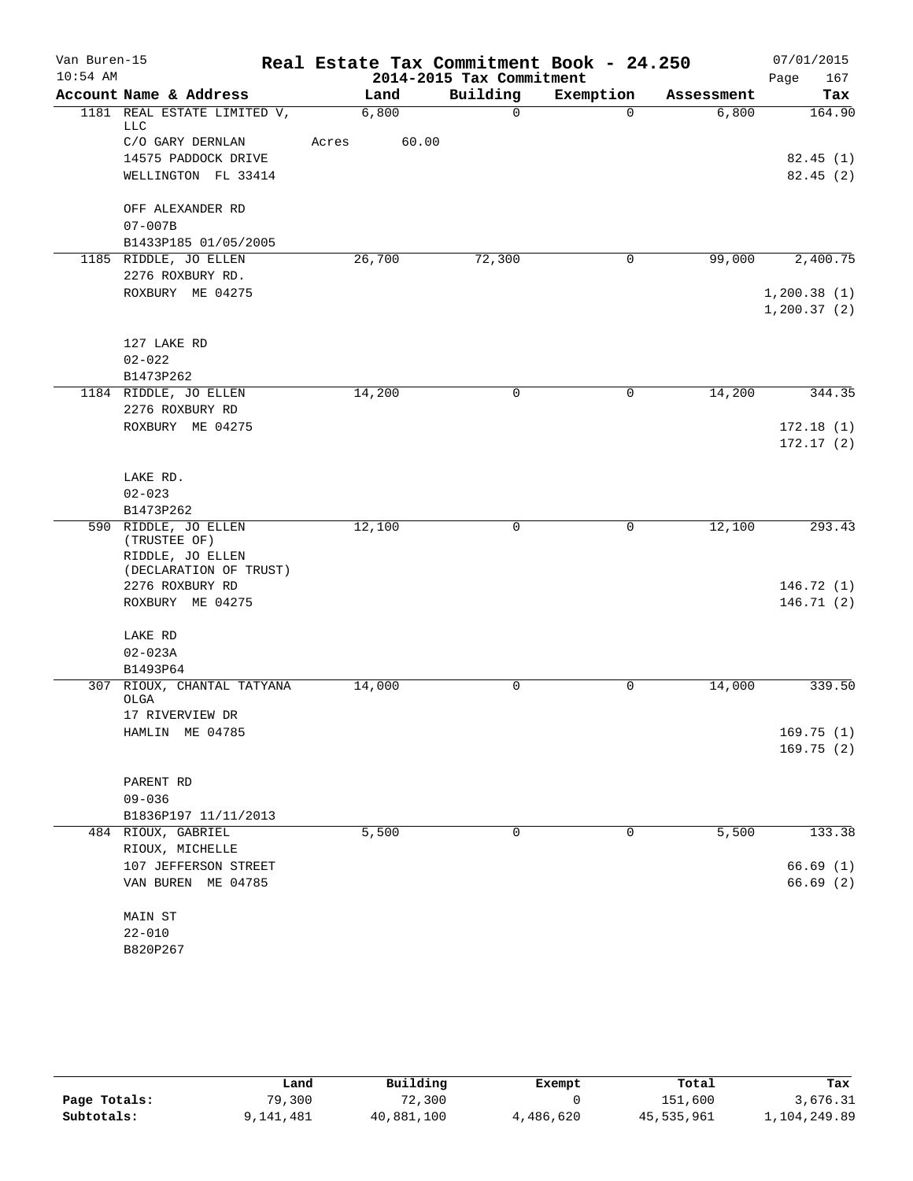| Van Buren-15<br>$10:54$ AM |                                           | Real Estate Tax Commitment Book - 24.250 | 2014-2015 Tax Commitment |             |            | 07/01/2015<br>167<br>Page   |
|----------------------------|-------------------------------------------|------------------------------------------|--------------------------|-------------|------------|-----------------------------|
|                            | Account Name & Address                    | Land                                     | Building                 | Exemption   | Assessment | Tax                         |
|                            | 1181 REAL ESTATE LIMITED V,<br><b>LLC</b> | 6,800                                    | $\Omega$                 | $\Omega$    | 6,800      | 164.90                      |
|                            | C/O GARY DERNLAN                          | 60.00<br>Acres                           |                          |             |            |                             |
|                            | 14575 PADDOCK DRIVE                       |                                          |                          |             |            | 82.45(1)                    |
|                            | WELLINGTON FL 33414                       |                                          |                          |             |            | 82.45(2)                    |
|                            | OFF ALEXANDER RD                          |                                          |                          |             |            |                             |
|                            | $07 - 007B$                               |                                          |                          |             |            |                             |
|                            | B1433P185 01/05/2005                      |                                          |                          |             |            |                             |
|                            | 1185 RIDDLE, JO ELLEN                     | 26,700                                   | 72,300                   | $\mathbf 0$ | 99,000     | 2,400.75                    |
|                            | 2276 ROXBURY RD.                          |                                          |                          |             |            |                             |
|                            | ROXBURY ME 04275                          |                                          |                          |             |            | 1,200.38(1)<br>1, 200.37(2) |
|                            | 127 LAKE RD                               |                                          |                          |             |            |                             |
|                            | $02 - 022$                                |                                          |                          |             |            |                             |
|                            | B1473P262                                 |                                          |                          |             |            |                             |
|                            | 1184 RIDDLE, JO ELLEN<br>2276 ROXBURY RD  | 14,200                                   | $\mathbf 0$              | 0           | 14,200     | 344.35                      |
|                            | ROXBURY ME 04275                          |                                          |                          |             |            | 172.18(1)                   |
|                            |                                           |                                          |                          |             |            | 172.17(2)                   |
|                            | LAKE RD.                                  |                                          |                          |             |            |                             |
|                            | $02 - 023$                                |                                          |                          |             |            |                             |
|                            | B1473P262                                 |                                          |                          |             |            |                             |
|                            | 590 RIDDLE, JO ELLEN<br>(TRUSTEE OF)      | 12,100                                   | 0                        | 0           | 12,100     | 293.43                      |
|                            | RIDDLE, JO ELLEN                          |                                          |                          |             |            |                             |
|                            | (DECLARATION OF TRUST)<br>2276 ROXBURY RD |                                          |                          |             |            | 146.72(1)                   |
|                            | ROXBURY ME 04275                          |                                          |                          |             |            | 146.71 (2)                  |
|                            |                                           |                                          |                          |             |            |                             |
|                            | LAKE RD                                   |                                          |                          |             |            |                             |
|                            | $02 - 023A$                               |                                          |                          |             |            |                             |
|                            | B1493P64                                  |                                          |                          |             |            |                             |
|                            | 307 RIOUX, CHANTAL TATYANA<br>OLGA        | 14,000                                   | 0                        | 0           | 14,000     | 339.50                      |
|                            | 17 RIVERVIEW DR                           |                                          |                          |             |            |                             |
|                            | HAMLIN ME 04785                           |                                          |                          |             |            | 169.75(1)                   |
|                            |                                           |                                          |                          |             |            | 169.75(2)                   |
|                            | PARENT RD                                 |                                          |                          |             |            |                             |
|                            | $09 - 036$                                |                                          |                          |             |            |                             |
|                            | B1836P197 11/11/2013                      |                                          |                          |             |            |                             |
|                            | 484 RIOUX, GABRIEL                        | 5,500                                    | 0                        | 0           | 5,500      | 133.38                      |
|                            | RIOUX, MICHELLE                           |                                          |                          |             |            |                             |
|                            | 107 JEFFERSON STREET                      |                                          |                          |             |            | 66.69(1)                    |
|                            | VAN BUREN ME 04785                        |                                          |                          |             |            | 66.69(2)                    |
|                            | MAIN ST                                   |                                          |                          |             |            |                             |
|                            | $22 - 010$                                |                                          |                          |             |            |                             |
|                            | B820P267                                  |                                          |                          |             |            |                             |
|                            |                                           |                                          |                          |             |            |                             |

|              | Land     | Building   | Exempt    | Total      | Tax          |  |
|--------------|----------|------------|-----------|------------|--------------|--|
| Page Totals: | 79,300   | 72,300     |           | 151,600    | 3,676.31     |  |
| Subtotals:   | ,141,481 | 40,881,100 | 4,486,620 | 45,535,961 | 1,104,249.89 |  |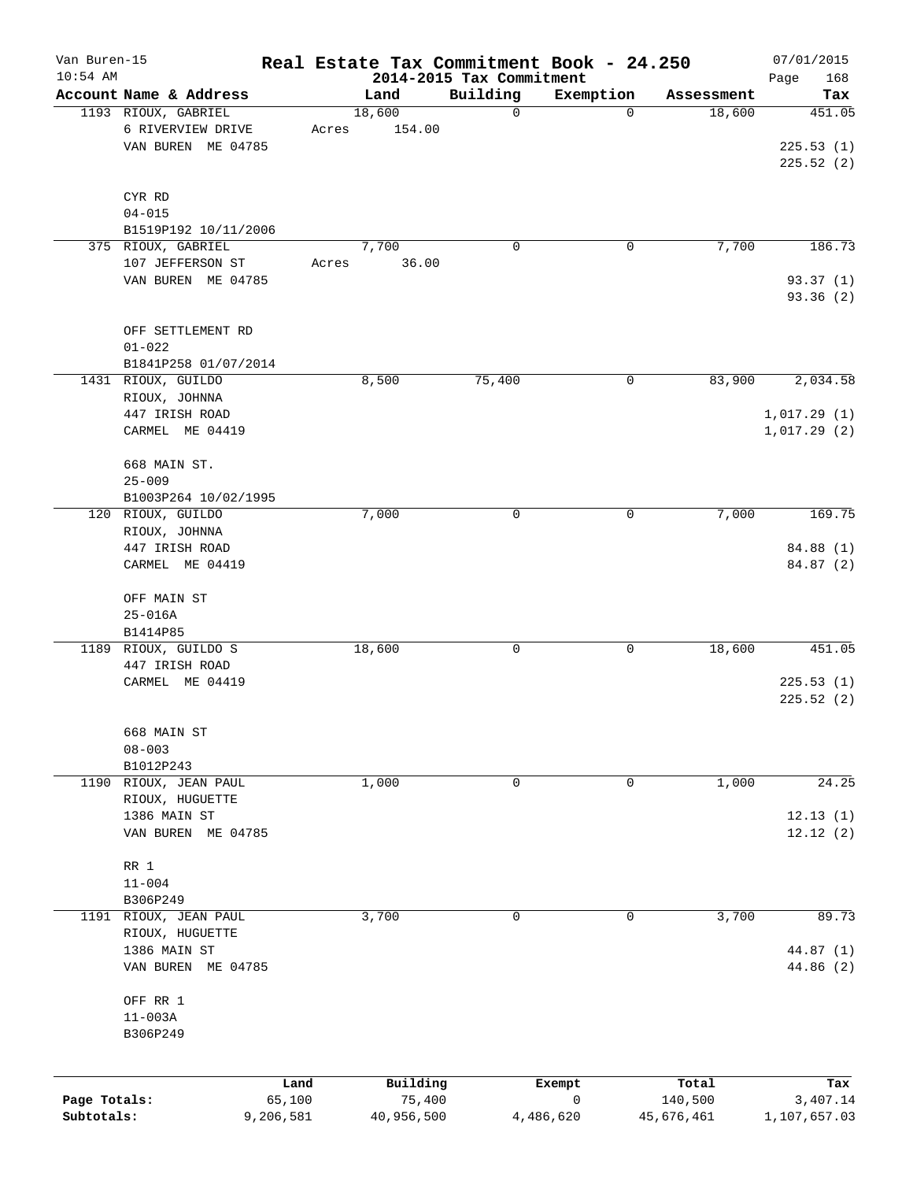| Van Buren-15 |                        |                |                    |                                      | Real Estate Tax Commitment Book - 24.250 |                      | 07/01/2015      |
|--------------|------------------------|----------------|--------------------|--------------------------------------|------------------------------------------|----------------------|-----------------|
| $10:54$ AM   | Account Name & Address |                |                    | 2014-2015 Tax Commitment<br>Building |                                          |                      | 168<br>Page     |
|              | 1193 RIOUX, GABRIEL    |                | Land<br>18,600     | $\mathbf 0$                          | Exemption<br>$\mathbf 0$                 | Assessment<br>18,600 | Tax<br>451.05   |
|              | 6 RIVERVIEW DRIVE      | Acres          | 154.00             |                                      |                                          |                      |                 |
|              | VAN BUREN ME 04785     |                |                    |                                      |                                          |                      | 225.53(1)       |
|              |                        |                |                    |                                      |                                          |                      | 225.52(2)       |
|              |                        |                |                    |                                      |                                          |                      |                 |
|              | CYR RD                 |                |                    |                                      |                                          |                      |                 |
|              | $04 - 015$             |                |                    |                                      |                                          |                      |                 |
|              | B1519P192 10/11/2006   |                |                    |                                      |                                          |                      |                 |
|              | 375 RIOUX, GABRIEL     |                | 7,700              | $\mathbf 0$                          | 0                                        | 7,700                | 186.73          |
|              | 107 JEFFERSON ST       | Acres          | 36.00              |                                      |                                          |                      |                 |
|              | VAN BUREN ME 04785     |                |                    |                                      |                                          |                      | 93.37(1)        |
|              |                        |                |                    |                                      |                                          |                      | 93.36 (2)       |
|              |                        |                |                    |                                      |                                          |                      |                 |
|              | OFF SETTLEMENT RD      |                |                    |                                      |                                          |                      |                 |
|              | $01 - 022$             |                |                    |                                      |                                          |                      |                 |
|              | B1841P258 01/07/2014   |                |                    |                                      |                                          |                      |                 |
|              | 1431 RIOUX, GUILDO     |                | 8,500              | 75,400                               | 0                                        | 83,900               | 2,034.58        |
|              | RIOUX, JOHNNA          |                |                    |                                      |                                          |                      |                 |
|              | 447 IRISH ROAD         |                |                    |                                      |                                          |                      | 1,017.29(1)     |
|              | CARMEL ME 04419        |                |                    |                                      |                                          |                      | 1,017.29(2)     |
|              |                        |                |                    |                                      |                                          |                      |                 |
|              | 668 MAIN ST.           |                |                    |                                      |                                          |                      |                 |
|              | $25 - 009$             |                |                    |                                      |                                          |                      |                 |
|              | B1003P264 10/02/1995   |                |                    |                                      |                                          |                      |                 |
|              | 120 RIOUX, GUILDO      |                | 7,000              | $\mathbf 0$                          | 0                                        | 7,000                | 169.75          |
|              | RIOUX, JOHNNA          |                |                    |                                      |                                          |                      |                 |
|              | 447 IRISH ROAD         |                |                    |                                      |                                          |                      | 84.88 (1)       |
|              | CARMEL ME 04419        |                |                    |                                      |                                          |                      | 84.87 (2)       |
|              | OFF MAIN ST            |                |                    |                                      |                                          |                      |                 |
|              | $25 - 016A$            |                |                    |                                      |                                          |                      |                 |
|              | B1414P85               |                |                    |                                      |                                          |                      |                 |
| 1189         | RIOUX, GUILDO S        |                | 18,600             | 0                                    | 0                                        | 18,600               | 451.05          |
|              | 447 IRISH ROAD         |                |                    |                                      |                                          |                      |                 |
|              | CARMEL ME 04419        |                |                    |                                      |                                          |                      | 225.53(1)       |
|              |                        |                |                    |                                      |                                          |                      | 225.52(2)       |
|              |                        |                |                    |                                      |                                          |                      |                 |
|              | 668 MAIN ST            |                |                    |                                      |                                          |                      |                 |
|              | $08 - 003$             |                |                    |                                      |                                          |                      |                 |
|              | B1012P243              |                |                    |                                      |                                          |                      |                 |
| 1190         | RIOUX, JEAN PAUL       |                | 1,000              | 0                                    | 0                                        | 1,000                | 24.25           |
|              | RIOUX, HUGUETTE        |                |                    |                                      |                                          |                      |                 |
|              | 1386 MAIN ST           |                |                    |                                      |                                          |                      | 12.13(1)        |
|              | VAN BUREN ME 04785     |                |                    |                                      |                                          |                      | 12.12(2)        |
|              | RR 1                   |                |                    |                                      |                                          |                      |                 |
|              | $11 - 004$             |                |                    |                                      |                                          |                      |                 |
|              | B306P249               |                |                    |                                      |                                          |                      |                 |
|              | 1191 RIOUX, JEAN PAUL  |                | 3,700              | 0                                    | 0                                        | 3,700                | 89.73           |
|              | RIOUX, HUGUETTE        |                |                    |                                      |                                          |                      |                 |
|              | 1386 MAIN ST           |                |                    |                                      |                                          |                      | 44.87 (1)       |
|              | VAN BUREN ME 04785     |                |                    |                                      |                                          |                      | 44.86 (2)       |
|              |                        |                |                    |                                      |                                          |                      |                 |
|              | OFF RR 1               |                |                    |                                      |                                          |                      |                 |
|              | $11 - 003A$            |                |                    |                                      |                                          |                      |                 |
|              | B306P249               |                |                    |                                      |                                          |                      |                 |
|              |                        |                |                    |                                      |                                          |                      |                 |
|              |                        |                |                    |                                      |                                          |                      |                 |
| Page Totals: |                        | Land<br>65,100 | Building<br>75,400 |                                      | Exempt<br>0                              | Total<br>140,500     | Tax<br>3,407.14 |
| Subtotals:   | 9,206,581              |                | 40,956,500         |                                      | 4,486,620                                | 45,676,461           | 1,107,657.03    |
|              |                        |                |                    |                                      |                                          |                      |                 |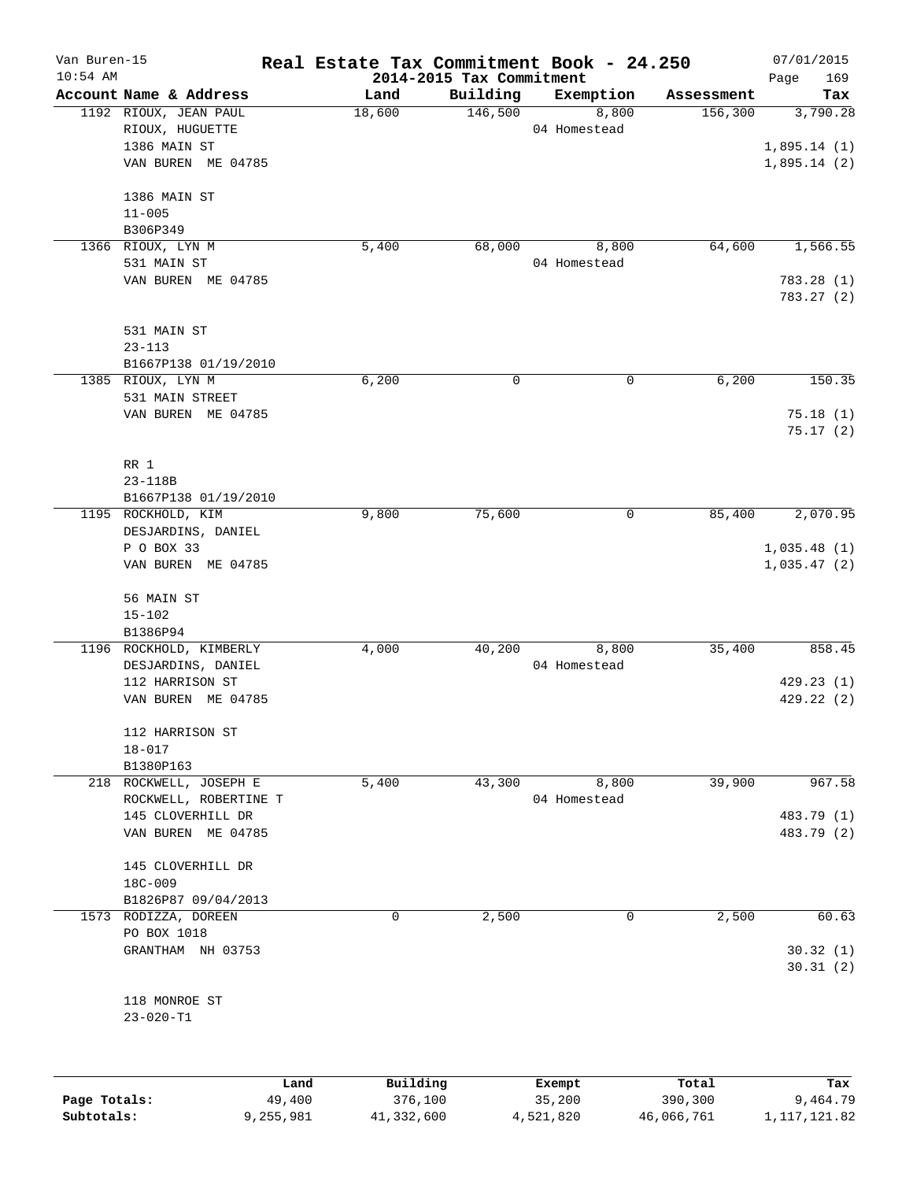| Van Buren-15 |                                          | Real Estate Tax Commitment Book - 24.250 |                          |                       |            | 07/01/2015  |
|--------------|------------------------------------------|------------------------------------------|--------------------------|-----------------------|------------|-------------|
| $10:54$ AM   |                                          |                                          | 2014-2015 Tax Commitment |                       |            | 169<br>Page |
|              | Account Name & Address                   | Land                                     | Building<br>146,500      | Exemption             | Assessment | Tax         |
|              | 1192 RIOUX, JEAN PAUL<br>RIOUX, HUGUETTE | 18,600                                   |                          | 8,800<br>04 Homestead | 156,300    | 3,790.28    |
|              | 1386 MAIN ST                             |                                          |                          |                       |            | 1,895.14(1) |
|              |                                          |                                          |                          |                       |            |             |
|              | VAN BUREN ME 04785                       |                                          |                          |                       |            | 1,895.14(2) |
|              | 1386 MAIN ST                             |                                          |                          |                       |            |             |
|              | $11 - 005$                               |                                          |                          |                       |            |             |
|              | B306P349                                 |                                          |                          |                       |            |             |
|              | 1366 RIOUX, LYN M                        | 5,400                                    | 68,000                   | 8,800                 | 64,600     | 1,566.55    |
|              | 531 MAIN ST                              |                                          |                          | 04 Homestead          |            |             |
|              | VAN BUREN ME 04785                       |                                          |                          |                       |            | 783.28(1)   |
|              |                                          |                                          |                          |                       |            | 783.27(2)   |
|              | 531 MAIN ST                              |                                          |                          |                       |            |             |
|              | $23 - 113$                               |                                          |                          |                       |            |             |
|              | B1667P138 01/19/2010                     |                                          |                          |                       |            |             |
|              | 1385 RIOUX, LYN M                        | 6,200                                    | 0                        | 0                     | 6,200      | 150.35      |
|              | 531 MAIN STREET                          |                                          |                          |                       |            |             |
|              | VAN BUREN ME 04785                       |                                          |                          |                       |            | 75.18(1)    |
|              |                                          |                                          |                          |                       |            | 75.17(2)    |
|              | RR 1                                     |                                          |                          |                       |            |             |
|              | $23 - 118B$                              |                                          |                          |                       |            |             |
|              | B1667P138 01/19/2010                     |                                          |                          |                       |            |             |
|              | 1195 ROCKHOLD, KIM                       | 9,800                                    | 75,600                   | 0                     | 85,400     | 2,070.95    |
|              | DESJARDINS, DANIEL                       |                                          |                          |                       |            |             |
|              | P O BOX 33                               |                                          |                          |                       |            | 1,035.48(1) |
|              | VAN BUREN ME 04785                       |                                          |                          |                       |            | 1,035.47(2) |
|              | 56 MAIN ST                               |                                          |                          |                       |            |             |
|              | $15 - 102$                               |                                          |                          |                       |            |             |
|              | B1386P94                                 |                                          |                          |                       |            |             |
|              | 1196 ROCKHOLD, KIMBERLY                  | 4,000                                    | 40,200                   | 8,800                 | 35,400     | 858.45      |
|              | DESJARDINS, DANIEL                       |                                          |                          | 04 Homestead          |            |             |
|              | 112 HARRISON ST                          |                                          |                          |                       |            | 429.23(1)   |
|              | VAN BUREN ME 04785                       |                                          |                          |                       |            | 429.22(2)   |
|              |                                          |                                          |                          |                       |            |             |
|              | 112 HARRISON ST                          |                                          |                          |                       |            |             |
|              | $18 - 017$                               |                                          |                          |                       |            |             |
|              | B1380P163                                |                                          |                          |                       |            |             |
|              | 218 ROCKWELL, JOSEPH E                   | 5,400                                    | 43,300                   | 8,800                 | 39,900     | 967.58      |
|              | ROCKWELL, ROBERTINE T                    |                                          |                          | 04 Homestead          |            |             |
|              | 145 CLOVERHILL DR                        |                                          |                          |                       |            | 483.79 (1)  |
|              | VAN BUREN ME 04785                       |                                          |                          |                       |            | 483.79 (2)  |
|              | 145 CLOVERHILL DR                        |                                          |                          |                       |            |             |
|              | 18C-009                                  |                                          |                          |                       |            |             |
|              | B1826P87 09/04/2013                      |                                          |                          |                       |            |             |
|              | 1573 RODIZZA, DOREEN                     | 0                                        | 2,500                    | 0                     | 2,500      | 60.63       |
|              | PO BOX 1018                              |                                          |                          |                       |            |             |
|              | GRANTHAM NH 03753                        |                                          |                          |                       |            | 30.32(1)    |
|              |                                          |                                          |                          |                       |            | 30.31(2)    |
|              | 118 MONROE ST                            |                                          |                          |                       |            |             |
|              | $23 - 020 - T1$                          |                                          |                          |                       |            |             |
|              |                                          |                                          |                          |                       |            |             |
|              | Land                                     | Building                                 |                          | Exempt                | Total      | Tax         |

|              | Land      | Building   | Exempt    | Total      | Tax          |
|--------------|-----------|------------|-----------|------------|--------------|
| Page Totals: | 49,400    | 376,100    | 35,200    | 390,300    | 9,464.79     |
| Subtotals:   | 9,255,981 | 41,332,600 | 4,521,820 | 46,066,761 | 1,117,121.82 |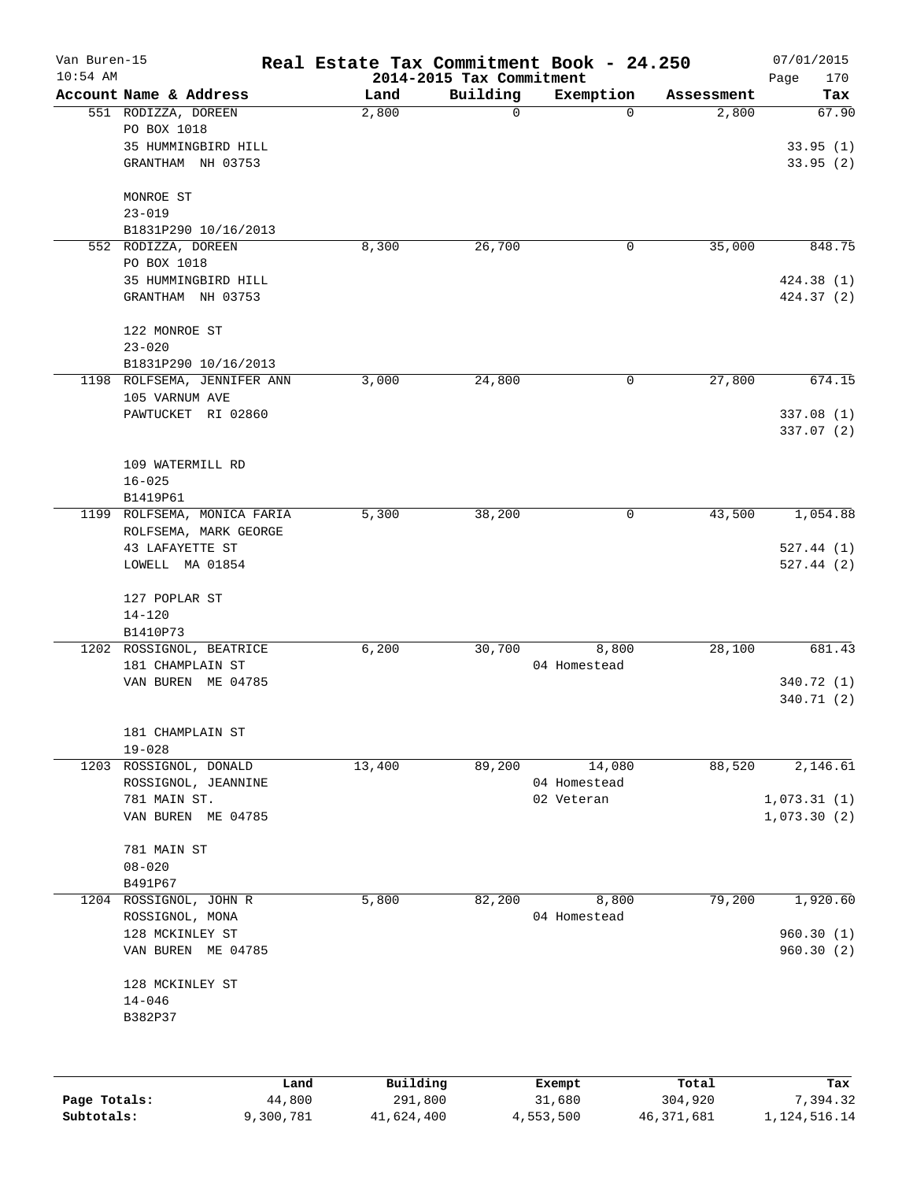| Van Buren-15<br>$10:54$ AM |                             | Real Estate Tax Commitment Book - 24.250 |                                      |                  |                  | 07/01/2015         |
|----------------------------|-----------------------------|------------------------------------------|--------------------------------------|------------------|------------------|--------------------|
|                            | Account Name & Address      | Land                                     | 2014-2015 Tax Commitment<br>Building | Exemption        | Assessment       | 170<br>Page<br>Tax |
|                            | 551 RODIZZA, DOREEN         | 2,800                                    | $\mathbf 0$                          | $\Omega$         | 2,800            | 67.90              |
|                            | PO BOX 1018                 |                                          |                                      |                  |                  |                    |
|                            | 35 HUMMINGBIRD HILL         |                                          |                                      |                  |                  | 33.95(1)           |
|                            | GRANTHAM NH 03753           |                                          |                                      |                  |                  | 33.95(2)           |
|                            |                             |                                          |                                      |                  |                  |                    |
|                            | MONROE ST                   |                                          |                                      |                  |                  |                    |
|                            | $23 - 019$                  |                                          |                                      |                  |                  |                    |
|                            | B1831P290 10/16/2013        |                                          |                                      |                  |                  |                    |
|                            | 552 RODIZZA, DOREEN         | 8,300                                    | 26,700                               | 0                | 35,000           | 848.75             |
|                            | PO BOX 1018                 |                                          |                                      |                  |                  |                    |
|                            | 35 HUMMINGBIRD HILL         |                                          |                                      |                  |                  | 424.38(1)          |
|                            | GRANTHAM NH 03753           |                                          |                                      |                  |                  | 424.37 (2)         |
|                            | 122 MONROE ST               |                                          |                                      |                  |                  |                    |
|                            | $23 - 020$                  |                                          |                                      |                  |                  |                    |
|                            | B1831P290 10/16/2013        |                                          |                                      |                  |                  |                    |
|                            | 1198 ROLFSEMA, JENNIFER ANN | 3,000                                    | 24,800                               | 0                | 27,800           | 674.15             |
|                            | 105 VARNUM AVE              |                                          |                                      |                  |                  |                    |
|                            | PAWTUCKET RI 02860          |                                          |                                      |                  |                  | 337.08(1)          |
|                            |                             |                                          |                                      |                  |                  | 337.07 (2)         |
|                            |                             |                                          |                                      |                  |                  |                    |
|                            | 109 WATERMILL RD            |                                          |                                      |                  |                  |                    |
|                            | $16 - 025$                  |                                          |                                      |                  |                  |                    |
|                            | B1419P61                    |                                          |                                      |                  |                  |                    |
|                            | 1199 ROLFSEMA, MONICA FARIA | 5,300                                    | 38,200                               | 0                | 43,500           | 1,054.88           |
|                            | ROLFSEMA, MARK GEORGE       |                                          |                                      |                  |                  |                    |
|                            | 43 LAFAYETTE ST             |                                          |                                      |                  |                  | 527.44(1)          |
|                            | LOWELL MA 01854             |                                          |                                      |                  |                  | 527.44(2)          |
|                            | 127 POPLAR ST               |                                          |                                      |                  |                  |                    |
|                            | $14 - 120$                  |                                          |                                      |                  |                  |                    |
|                            | B1410P73                    |                                          |                                      |                  |                  |                    |
|                            | 1202 ROSSIGNOL, BEATRICE    | 6,200                                    | 30,700                               | 8,800            | 28,100           | 681.43             |
|                            | 181 CHAMPLAIN ST            |                                          |                                      | 04 Homestead     |                  |                    |
|                            | VAN BUREN ME 04785          |                                          |                                      |                  |                  | 340.72 (1)         |
|                            |                             |                                          |                                      |                  |                  | 340.71(2)          |
|                            | 181 CHAMPLAIN ST            |                                          |                                      |                  |                  |                    |
|                            | $19 - 028$                  |                                          |                                      |                  |                  |                    |
| 1203                       | ROSSIGNOL, DONALD           | 13,400                                   | 89,200                               | 14,080           | 88,520           | 2,146.61           |
|                            | ROSSIGNOL, JEANNINE         |                                          |                                      | 04 Homestead     |                  |                    |
|                            | 781 MAIN ST.                |                                          |                                      | 02 Veteran       |                  | 1,073.31(1)        |
|                            | VAN BUREN ME 04785          |                                          |                                      |                  |                  | 1,073.30(2)        |
|                            |                             |                                          |                                      |                  |                  |                    |
|                            | 781 MAIN ST                 |                                          |                                      |                  |                  |                    |
|                            | $08 - 020$                  |                                          |                                      |                  |                  |                    |
|                            | B491P67                     |                                          |                                      |                  |                  |                    |
| 1204                       | ROSSIGNOL, JOHN R           | 5,800                                    | 82,200                               | 8,800            | 79,200           | 1,920.60           |
|                            | ROSSIGNOL, MONA             |                                          |                                      | 04 Homestead     |                  |                    |
|                            | 128 MCKINLEY ST             |                                          |                                      |                  |                  | 960.30(1)          |
|                            | VAN BUREN ME 04785          |                                          |                                      |                  |                  | 960.30(2)          |
|                            | 128 MCKINLEY ST             |                                          |                                      |                  |                  |                    |
|                            | $14 - 046$                  |                                          |                                      |                  |                  |                    |
|                            | B382P37                     |                                          |                                      |                  |                  |                    |
|                            |                             |                                          |                                      |                  |                  |                    |
|                            |                             |                                          |                                      |                  |                  |                    |
| Page Totals:               | 44,800                      | Building<br>Land<br>291,800              |                                      | Exempt<br>31,680 | Total<br>304,920 | Tax<br>7,394.32    |
|                            |                             |                                          |                                      |                  |                  |                    |

**Subtotals:** 9,300,781 41,624,400 4,553,500 46,371,681 1,124,516.14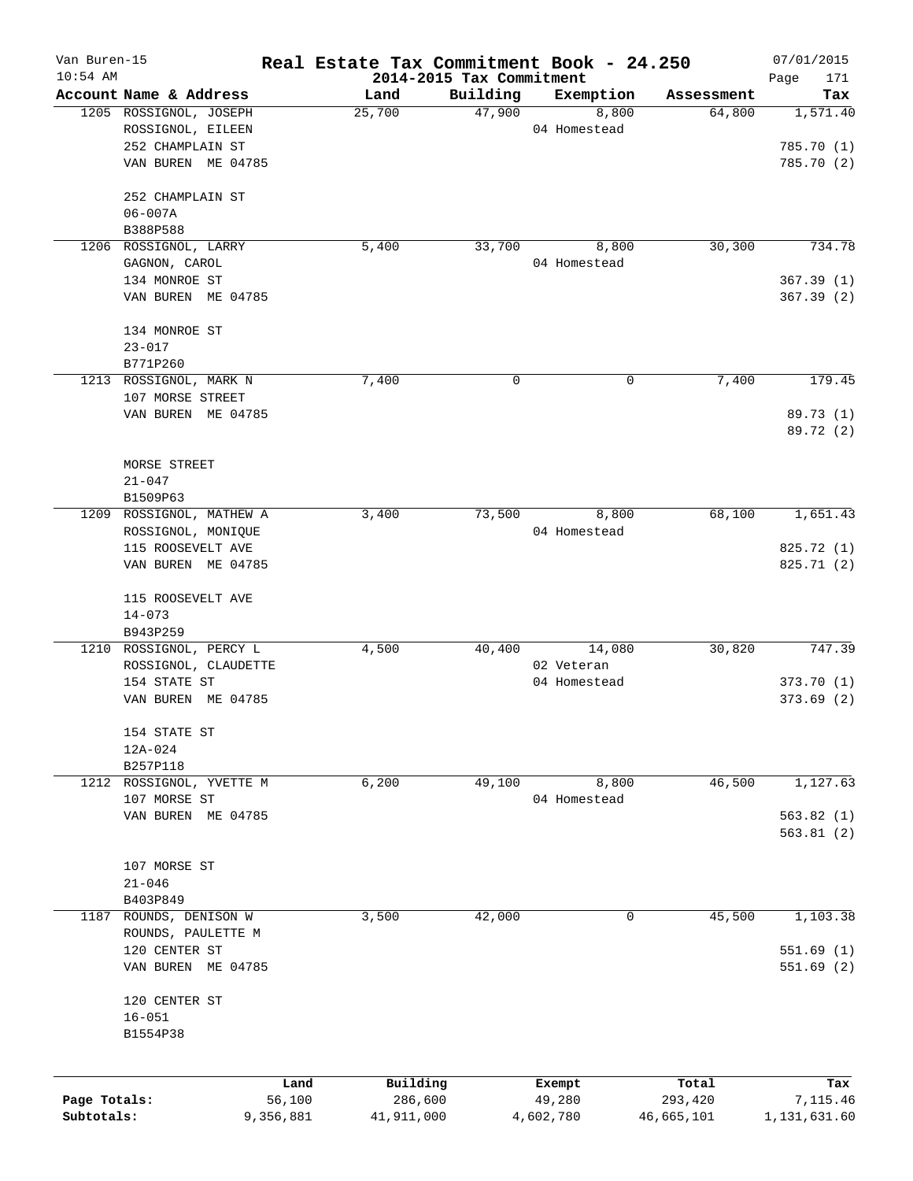| Van Buren-15 |                          |           | Real Estate Tax Commitment Book - 24.250 |                    |                       |                      | 07/01/2015             |
|--------------|--------------------------|-----------|------------------------------------------|--------------------|-----------------------|----------------------|------------------------|
| $10:54$ AM   | Account Name & Address   |           | 2014-2015 Tax Commitment                 |                    |                       |                      | Page<br>171            |
|              | 1205 ROSSIGNOL, JOSEPH   |           | Land<br>25,700                           | Building<br>47,900 | Exemption             | Assessment<br>64,800 | Tax<br>1,571.40        |
|              | ROSSIGNOL, EILEEN        |           |                                          |                    | 8,800<br>04 Homestead |                      |                        |
|              | 252 CHAMPLAIN ST         |           |                                          |                    |                       |                      | 785.70 (1)             |
|              |                          |           |                                          |                    |                       |                      |                        |
|              | VAN BUREN ME 04785       |           |                                          |                    |                       |                      | 785.70(2)              |
|              | 252 CHAMPLAIN ST         |           |                                          |                    |                       |                      |                        |
|              | $06 - 007A$              |           |                                          |                    |                       |                      |                        |
|              | B388P588                 |           |                                          |                    |                       |                      |                        |
|              | 1206 ROSSIGNOL, LARRY    |           | 5,400                                    | 33,700             | 8,800                 | 30,300               | 734.78                 |
|              | GAGNON, CAROL            |           |                                          |                    | 04 Homestead          |                      |                        |
|              | 134 MONROE ST            |           |                                          |                    |                       |                      | 367.39(1)              |
|              | VAN BUREN ME 04785       |           |                                          |                    |                       |                      | 367.39(2)              |
|              | 134 MONROE ST            |           |                                          |                    |                       |                      |                        |
|              | $23 - 017$               |           |                                          |                    |                       |                      |                        |
|              | B771P260                 |           |                                          |                    |                       |                      |                        |
|              | 1213 ROSSIGNOL, MARK N   |           | 7,400                                    | 0                  | 0                     | 7,400                | 179.45                 |
|              | 107 MORSE STREET         |           |                                          |                    |                       |                      |                        |
|              |                          |           |                                          |                    |                       |                      |                        |
|              | VAN BUREN ME 04785       |           |                                          |                    |                       |                      | 89.73 (1)<br>89.72 (2) |
|              |                          |           |                                          |                    |                       |                      |                        |
|              | MORSE STREET             |           |                                          |                    |                       |                      |                        |
|              | $21 - 047$               |           |                                          |                    |                       |                      |                        |
|              | B1509P63                 |           |                                          |                    |                       |                      |                        |
|              | 1209 ROSSIGNOL, MATHEW A |           | 3,400                                    | 73,500             | 8,800                 | 68,100               | 1,651.43               |
|              | ROSSIGNOL, MONIQUE       |           |                                          |                    | 04 Homestead          |                      |                        |
|              | 115 ROOSEVELT AVE        |           |                                          |                    |                       |                      | 825.72 (1)             |
|              | VAN BUREN ME 04785       |           |                                          |                    |                       |                      | 825.71 (2)             |
|              |                          |           |                                          |                    |                       |                      |                        |
|              | 115 ROOSEVELT AVE        |           |                                          |                    |                       |                      |                        |
|              | $14 - 073$               |           |                                          |                    |                       |                      |                        |
|              | B943P259                 |           |                                          |                    |                       |                      |                        |
|              | 1210 ROSSIGNOL, PERCY L  |           | 4,500                                    | 40,400             | 14,080                | 30,820               | 747.39                 |
|              | ROSSIGNOL, CLAUDETTE     |           |                                          |                    | 02 Veteran            |                      |                        |
|              | 154 STATE ST             |           |                                          |                    | 04 Homestead          |                      | 373.70(1)              |
|              | VAN BUREN ME 04785       |           |                                          |                    |                       |                      | 373.69(2)              |
|              | 154 STATE ST             |           |                                          |                    |                       |                      |                        |
|              | 12A-024                  |           |                                          |                    |                       |                      |                        |
|              | B257P118                 |           |                                          |                    |                       |                      |                        |
|              | 1212 ROSSIGNOL, YVETTE M |           | 6,200                                    | 49,100             | 8,800                 | 46,500               | 1,127.63               |
|              | 107 MORSE ST             |           |                                          |                    | 04 Homestead          |                      |                        |
|              | VAN BUREN ME 04785       |           |                                          |                    |                       |                      | 563.82(1)              |
|              |                          |           |                                          |                    |                       |                      | 563.81(2)              |
|              | 107 MORSE ST             |           |                                          |                    |                       |                      |                        |
|              |                          |           |                                          |                    |                       |                      |                        |
|              | $21 - 046$               |           |                                          |                    |                       |                      |                        |
|              | B403P849                 |           |                                          | 42,000             |                       |                      |                        |
| 1187         | ROUNDS, DENISON W        |           | 3,500                                    |                    | 0                     | 45,500               | 1,103.38               |
|              | ROUNDS, PAULETTE M       |           |                                          |                    |                       |                      |                        |
|              | 120 CENTER ST            |           |                                          |                    |                       |                      | 551.69(1)              |
|              | VAN BUREN ME 04785       |           |                                          |                    |                       |                      | 551.69(2)              |
|              | 120 CENTER ST            |           |                                          |                    |                       |                      |                        |
|              | $16 - 051$               |           |                                          |                    |                       |                      |                        |
|              | B1554P38                 |           |                                          |                    |                       |                      |                        |
|              |                          |           |                                          |                    |                       |                      |                        |
|              |                          | Land      | Building                                 |                    | Exempt                | Total                | Tax                    |
| Page Totals: |                          | 56,100    | 286,600                                  |                    | 49,280                | 293,420              | 7,115.46               |
| Subtotals:   |                          | 9,356,881 | 41,911,000                               |                    | 4,602,780             | 46,665,101           | 1,131,631.60           |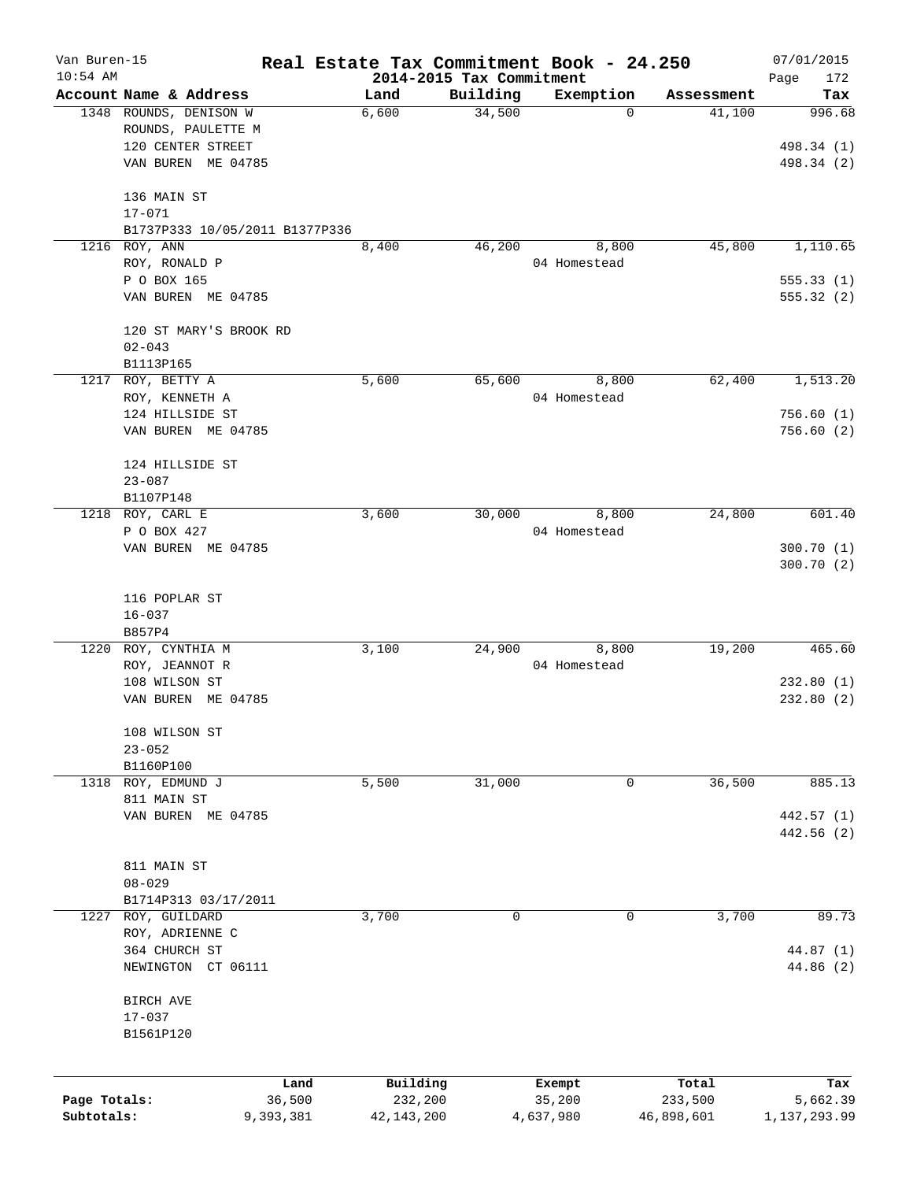| Van Buren-15<br>$10:54$ AM |                                | Real Estate Tax Commitment Book - 24.250 |                                      |                  |                  | 07/01/2015               |
|----------------------------|--------------------------------|------------------------------------------|--------------------------------------|------------------|------------------|--------------------------|
|                            | Account Name & Address         | Land                                     | 2014-2015 Tax Commitment<br>Building | Exemption        | Assessment       | Page<br>172<br>Tax       |
|                            | 1348 ROUNDS, DENISON W         | 6,600                                    | 34,500                               | $\mathbf 0$      | 41,100           | 996.68                   |
|                            | ROUNDS, PAULETTE M             |                                          |                                      |                  |                  |                          |
|                            | 120 CENTER STREET              |                                          |                                      |                  |                  | 498.34 (1)               |
|                            | VAN BUREN ME 04785             |                                          |                                      |                  |                  | 498.34 (2)               |
|                            | 136 MAIN ST                    |                                          |                                      |                  |                  |                          |
|                            | $17 - 071$                     |                                          |                                      |                  |                  |                          |
|                            | B1737P333 10/05/2011 B1377P336 |                                          |                                      |                  |                  |                          |
|                            | 1216 ROY, ANN                  | 8,400                                    | 46,200                               | 8,800            | 45,800           | 1,110.65                 |
|                            | ROY, RONALD P                  |                                          |                                      | 04 Homestead     |                  |                          |
|                            | P O BOX 165                    |                                          |                                      |                  |                  | 555.33(1)                |
|                            | VAN BUREN ME 04785             |                                          |                                      |                  |                  | 555.32(2)                |
|                            | 120 ST MARY'S BROOK RD         |                                          |                                      |                  |                  |                          |
|                            | $02 - 043$                     |                                          |                                      |                  |                  |                          |
|                            | B1113P165                      |                                          |                                      |                  |                  |                          |
| 1217                       | ROY, BETTY A                   | 5,600                                    | 65,600                               | 8,800            | 62,400           | 1,513.20                 |
|                            | ROY, KENNETH A                 |                                          |                                      | 04 Homestead     |                  |                          |
|                            | 124 HILLSIDE ST                |                                          |                                      |                  |                  | 756.60(1)                |
|                            | VAN BUREN ME 04785             |                                          |                                      |                  |                  | 756.60(2)                |
|                            | 124 HILLSIDE ST                |                                          |                                      |                  |                  |                          |
|                            | $23 - 087$                     |                                          |                                      |                  |                  |                          |
|                            | B1107P148                      |                                          |                                      |                  |                  |                          |
| 1218                       | ROY, CARL E                    | 3,600                                    | 30,000                               | 8,800            | 24,800           | 601.40                   |
|                            | P O BOX 427                    |                                          |                                      | 04 Homestead     |                  |                          |
|                            | VAN BUREN ME 04785             |                                          |                                      |                  |                  | 300.70(1)<br>300.70 (2)  |
|                            |                                |                                          |                                      |                  |                  |                          |
|                            | 116 POPLAR ST                  |                                          |                                      |                  |                  |                          |
|                            | $16 - 037$                     |                                          |                                      |                  |                  |                          |
|                            | B857P4                         |                                          |                                      |                  |                  |                          |
| 1220                       | ROY, CYNTHIA M                 | 3,100                                    | 24,900                               | 8,800            | 19,200           | 465.60                   |
|                            | ROY, JEANNOT R                 |                                          |                                      | 04 Homestead     |                  |                          |
|                            | 108 WILSON ST                  |                                          |                                      |                  |                  | 232.80(1)                |
|                            | VAN BUREN ME 04785             |                                          |                                      |                  |                  | 232.80 (2)               |
|                            | 108 WILSON ST                  |                                          |                                      |                  |                  |                          |
|                            | $23 - 052$                     |                                          |                                      |                  |                  |                          |
|                            | B1160P100                      |                                          |                                      |                  |                  |                          |
| 1318                       | ROY, EDMUND J                  | 5,500                                    | 31,000                               | 0                | 36,500           | 885.13                   |
|                            | 811 MAIN ST                    |                                          |                                      |                  |                  |                          |
|                            | VAN BUREN ME 04785             |                                          |                                      |                  |                  | 442.57 (1)<br>442.56 (2) |
|                            |                                |                                          |                                      |                  |                  |                          |
|                            | 811 MAIN ST                    |                                          |                                      |                  |                  |                          |
|                            | $08 - 029$                     |                                          |                                      |                  |                  |                          |
|                            | B1714P313 03/17/2011           |                                          |                                      |                  |                  |                          |
| 1227                       | ROY, GUILDARD                  | 3,700                                    | 0                                    | 0                | 3,700            | 89.73                    |
|                            | ROY, ADRIENNE C                |                                          |                                      |                  |                  |                          |
|                            | 364 CHURCH ST                  |                                          |                                      |                  |                  | 44.87 (1)                |
|                            | NEWINGTON CT 06111             |                                          |                                      |                  |                  | 44.86 (2)                |
|                            | BIRCH AVE                      |                                          |                                      |                  |                  |                          |
|                            | $17 - 037$                     |                                          |                                      |                  |                  |                          |
|                            | B1561P120                      |                                          |                                      |                  |                  |                          |
|                            |                                |                                          |                                      |                  |                  |                          |
| Page Totals:               |                                | Building<br>Land<br>36,500<br>232,200    |                                      | Exempt<br>35,200 | Total<br>233,500 | Tax<br>5,662.39          |
| Subtotals:                 | 9,393,381                      | 42, 143, 200                             |                                      | 4,637,980        | 46,898,601       | 1,137,293.99             |
|                            |                                |                                          |                                      |                  |                  |                          |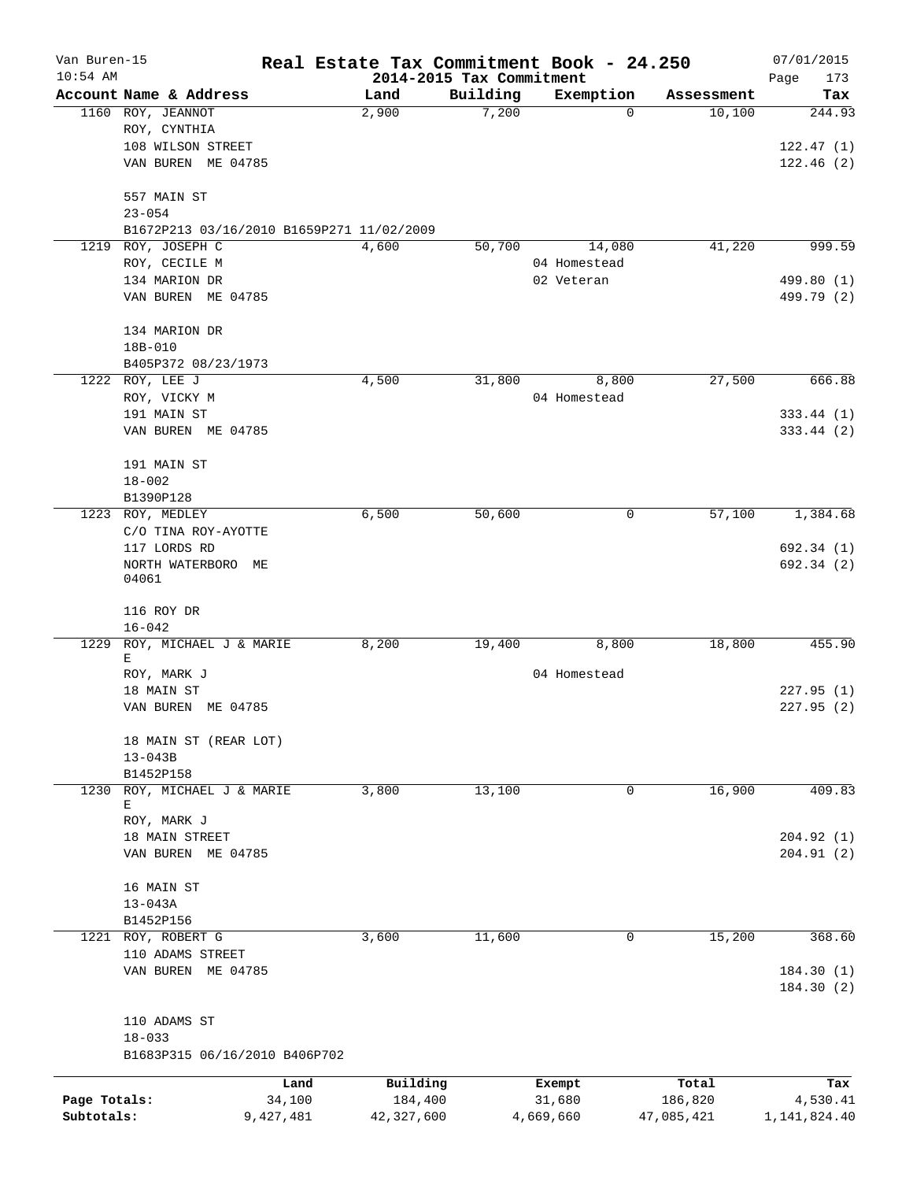| Van Buren-15 |                                             |           |               |                                      | Real Estate Tax Commitment Book - 24.250 |                      | 07/01/2015             |
|--------------|---------------------------------------------|-----------|---------------|--------------------------------------|------------------------------------------|----------------------|------------------------|
| $10:54$ AM   | Account Name & Address                      |           |               | 2014-2015 Tax Commitment<br>Building |                                          |                      | Page<br>173            |
|              | 1160 ROY, JEANNOT                           |           | Land<br>2,900 | 7,200                                | Exemption<br>$\mathbf 0$                 | Assessment<br>10,100 | Tax<br>244.93          |
|              | ROY, CYNTHIA                                |           |               |                                      |                                          |                      |                        |
|              | 108 WILSON STREET                           |           |               |                                      |                                          |                      | 122.47(1)              |
|              | VAN BUREN ME 04785                          |           |               |                                      |                                          |                      | 122.46(2)              |
|              | 557 MAIN ST                                 |           |               |                                      |                                          |                      |                        |
|              | $23 - 054$                                  |           |               |                                      |                                          |                      |                        |
|              | B1672P213 03/16/2010 B1659P271 11/02/2009   |           |               |                                      |                                          |                      |                        |
| 1219         | ROY, JOSEPH C                               |           | 4,600         | 50,700                               | 14,080                                   | 41,220               | 999.59                 |
|              | ROY, CECILE M                               |           |               |                                      | 04 Homestead                             |                      |                        |
|              | 134 MARION DR                               |           |               |                                      | 02 Veteran                               |                      | 499.80 (1)             |
|              | VAN BUREN ME 04785                          |           |               |                                      |                                          |                      | 499.79 (2)             |
|              | 134 MARION DR                               |           |               |                                      |                                          |                      |                        |
|              | 18B-010                                     |           |               |                                      |                                          |                      |                        |
|              | B405P372 08/23/1973                         |           |               |                                      |                                          |                      |                        |
|              | 1222 ROY, LEE J                             |           | 4,500         | 31,800                               | 8,800                                    | 27,500               | 666.88                 |
|              | ROY, VICKY M                                |           |               |                                      | 04 Homestead                             |                      |                        |
|              | 191 MAIN ST                                 |           |               |                                      |                                          |                      | 333.44(1)              |
|              | VAN BUREN ME 04785                          |           |               |                                      |                                          |                      | 333.44 (2)             |
|              | 191 MAIN ST                                 |           |               |                                      |                                          |                      |                        |
|              | $18 - 002$                                  |           |               |                                      |                                          |                      |                        |
|              | B1390P128                                   |           |               |                                      |                                          |                      |                        |
| 1223         | ROY, MEDLEY                                 |           | 6,500         | 50,600                               | 0                                        | 57,100               | 1,384.68               |
|              | C/O TINA ROY-AYOTTE                         |           |               |                                      |                                          |                      |                        |
|              | 117 LORDS RD                                |           |               |                                      |                                          |                      | 692.34 (1)             |
|              | NORTH WATERBORO ME                          |           |               |                                      |                                          |                      | 692.34 (2)             |
|              | 04061                                       |           |               |                                      |                                          |                      |                        |
|              | 116 ROY DR                                  |           |               |                                      |                                          |                      |                        |
|              | $16 - 042$                                  |           |               |                                      |                                          |                      |                        |
| 1229         | ROY, MICHAEL J & MARIE                      |           | 8,200         | 19,400                               | 8,800                                    | 18,800               | 455.90                 |
|              | Ε<br>ROY, MARK J                            |           |               |                                      | 04 Homestead                             |                      |                        |
|              | 18 MAIN ST                                  |           |               |                                      |                                          |                      | 227.95(1)              |
|              | VAN BUREN ME 04785                          |           |               |                                      |                                          |                      | 227.95(2)              |
|              |                                             |           |               |                                      |                                          |                      |                        |
|              | 18 MAIN ST (REAR LOT)                       |           |               |                                      |                                          |                      |                        |
|              | $13 - 043B$                                 |           |               |                                      |                                          |                      |                        |
|              | B1452P158                                   |           |               |                                      |                                          |                      |                        |
| 1230         | ROY, MICHAEL J & MARIE                      |           | 3,800         | 13,100                               | 0                                        | 16,900               | 409.83                 |
|              | Е                                           |           |               |                                      |                                          |                      |                        |
|              | ROY, MARK J                                 |           |               |                                      |                                          |                      | 204.92(1)              |
|              | 18 MAIN STREET                              |           |               |                                      |                                          |                      |                        |
|              | VAN BUREN ME 04785                          |           |               |                                      |                                          |                      | 204.91(2)              |
|              | 16 MAIN ST                                  |           |               |                                      |                                          |                      |                        |
|              | $13 - 043A$                                 |           |               |                                      |                                          |                      |                        |
|              | B1452P156                                   |           |               |                                      |                                          |                      |                        |
| 1221         | ROY, ROBERT G                               |           | 3,600         | 11,600                               | 0                                        | 15,200               | 368.60                 |
|              | 110 ADAMS STREET                            |           |               |                                      |                                          |                      |                        |
|              | VAN BUREN ME 04785                          |           |               |                                      |                                          |                      | 184.30(1)<br>184.30(2) |
|              |                                             |           |               |                                      |                                          |                      |                        |
|              | 110 ADAMS ST                                |           |               |                                      |                                          |                      |                        |
|              | $18 - 033$<br>B1683P315 06/16/2010 B406P702 |           |               |                                      |                                          |                      |                        |
|              |                                             |           |               |                                      |                                          |                      |                        |
|              |                                             | Land      | Building      |                                      | Exempt                                   | Total                | Tax                    |
| Page Totals: |                                             | 34,100    | 184,400       |                                      | 31,680                                   | 186,820              | 4,530.41               |
| Subtotals:   |                                             | 9,427,481 | 42,327,600    |                                      | 4,669,660                                | 47,085,421           | 1, 141, 824.40         |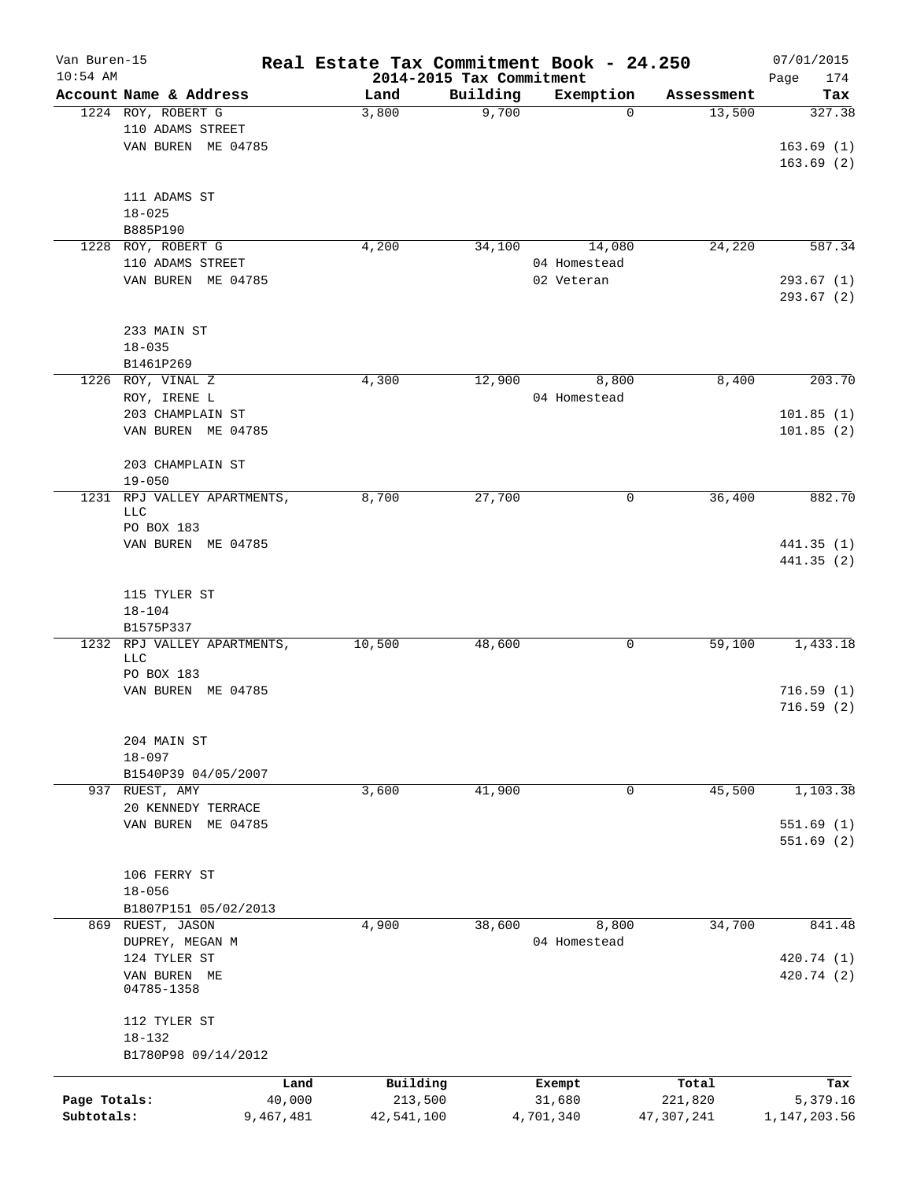| Van Buren-15<br>$10:54$ AM |                             |           | Real Estate Tax Commitment Book - 24.250 | 2014-2015 Tax Commitment |              |            | 07/01/2015<br>Page<br>174 |
|----------------------------|-----------------------------|-----------|------------------------------------------|--------------------------|--------------|------------|---------------------------|
|                            | Account Name & Address      |           | Land                                     | Building                 | Exemption    | Assessment | Tax                       |
|                            | 1224 ROY, ROBERT G          |           | 3,800                                    | 9,700                    | 0            | 13,500     | 327.38                    |
|                            | 110 ADAMS STREET            |           |                                          |                          |              |            |                           |
|                            | VAN BUREN ME 04785          |           |                                          |                          |              |            | 163.69(1)                 |
|                            |                             |           |                                          |                          |              |            | 163.69(2)                 |
|                            |                             |           |                                          |                          |              |            |                           |
|                            | 111 ADAMS ST                |           |                                          |                          |              |            |                           |
|                            | $18 - 025$                  |           |                                          |                          |              |            |                           |
|                            | B885P190                    |           |                                          |                          |              |            |                           |
| 1228                       | ROY, ROBERT G               |           | 4,200                                    | 34,100                   | 14,080       | 24,220     | 587.34                    |
|                            | 110 ADAMS STREET            |           |                                          |                          | 04 Homestead |            |                           |
|                            | VAN BUREN ME 04785          |           |                                          |                          | 02 Veteran   |            | 293.67(1)                 |
|                            |                             |           |                                          |                          |              |            | 293.67 (2)                |
|                            |                             |           |                                          |                          |              |            |                           |
|                            | 233 MAIN ST                 |           |                                          |                          |              |            |                           |
|                            | $18 - 035$                  |           |                                          |                          |              |            |                           |
|                            | B1461P269                   |           |                                          |                          |              |            |                           |
|                            | 1226 ROY, VINAL Z           |           | 4,300                                    | 12,900                   | 8,800        | 8,400      | 203.70                    |
|                            | ROY, IRENE L                |           |                                          |                          | 04 Homestead |            |                           |
|                            | 203 CHAMPLAIN ST            |           |                                          |                          |              |            | 101.85(1)                 |
|                            | VAN BUREN ME 04785          |           |                                          |                          |              |            | 101.85(2)                 |
|                            |                             |           |                                          |                          |              |            |                           |
|                            | 203 CHAMPLAIN ST            |           |                                          |                          |              |            |                           |
|                            | $19 - 050$                  |           |                                          |                          |              |            |                           |
| 1231                       | RPJ VALLEY APARTMENTS,      |           | 8,700                                    | 27,700                   | 0            | 36,400     | 882.70                    |
|                            | LLC                         |           |                                          |                          |              |            |                           |
|                            | PO BOX 183                  |           |                                          |                          |              |            |                           |
|                            | VAN BUREN ME 04785          |           |                                          |                          |              |            | 441.35(1)                 |
|                            |                             |           |                                          |                          |              |            | 441.35(2)                 |
|                            |                             |           |                                          |                          |              |            |                           |
|                            | 115 TYLER ST                |           |                                          |                          |              |            |                           |
|                            | $18 - 104$                  |           |                                          |                          |              |            |                           |
|                            | B1575P337                   |           |                                          |                          |              |            |                           |
|                            | 1232 RPJ VALLEY APARTMENTS, |           | 10,500                                   | 48,600                   | 0            | 59,100     | 1,433.18                  |
|                            | LLC                         |           |                                          |                          |              |            |                           |
|                            | PO BOX 183                  |           |                                          |                          |              |            |                           |
|                            | VAN BUREN ME 04785          |           |                                          |                          |              |            | 716.59(1)                 |
|                            |                             |           |                                          |                          |              |            | 716.59(2)                 |
|                            |                             |           |                                          |                          |              |            |                           |
|                            | 204 MAIN ST                 |           |                                          |                          |              |            |                           |
|                            | $18 - 097$                  |           |                                          |                          |              |            |                           |
|                            | B1540P39 04/05/2007         |           |                                          |                          |              |            |                           |
| 937                        | RUEST, AMY                  |           | 3,600                                    | 41,900                   | 0            | 45,500     | 1,103.38                  |
|                            | 20 KENNEDY TERRACE          |           |                                          |                          |              |            |                           |
|                            | VAN BUREN ME 04785          |           |                                          |                          |              |            | 551.69 (1)                |
|                            |                             |           |                                          |                          |              |            | 551.69(2)                 |
|                            |                             |           |                                          |                          |              |            |                           |
|                            | 106 FERRY ST<br>$18 - 056$  |           |                                          |                          |              |            |                           |
|                            |                             |           |                                          |                          |              |            |                           |
|                            | B1807P151 05/02/2013        |           |                                          |                          |              |            |                           |
|                            | 869 RUEST, JASON            |           | 4,900                                    | 38,600                   | 8,800        | 34,700     | 841.48                    |
|                            | DUPREY, MEGAN M             |           |                                          |                          | 04 Homestead |            |                           |
|                            | 124 TYLER ST                |           |                                          |                          |              |            | 420.74 (1)                |
|                            | VAN BUREN ME<br>04785-1358  |           |                                          |                          |              |            | 420.74 (2)                |
|                            |                             |           |                                          |                          |              |            |                           |
|                            | 112 TYLER ST                |           |                                          |                          |              |            |                           |
|                            | $18 - 132$                  |           |                                          |                          |              |            |                           |
|                            | B1780P98 09/14/2012         |           |                                          |                          |              |            |                           |
|                            |                             |           |                                          |                          |              |            |                           |
|                            |                             | Land      | Building                                 |                          | Exempt       | Total      | Tax                       |
| Page Totals:               |                             | 40,000    | 213,500                                  |                          | 31,680       | 221,820    | 5,379.16                  |
| Subtotals:                 |                             | 9,467,481 | 42,541,100                               |                          | 4,701,340    | 47,307,241 | 1, 147, 203.56            |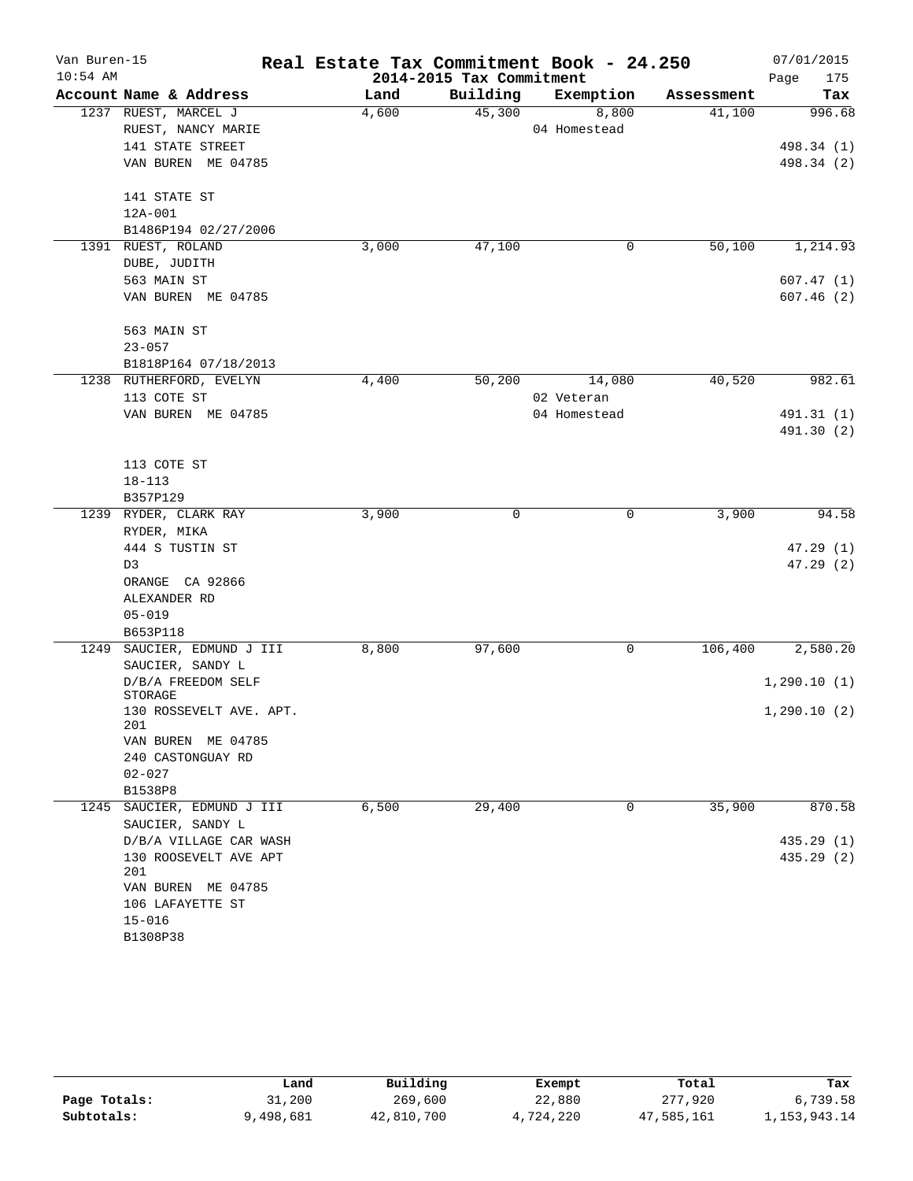| Van Buren-15 |                               | Real Estate Tax Commitment Book - 24.250 |                          |              |            | 07/01/2015  |
|--------------|-------------------------------|------------------------------------------|--------------------------|--------------|------------|-------------|
| $10:54$ AM   |                               |                                          | 2014-2015 Tax Commitment |              |            | Page<br>175 |
|              | Account Name & Address        | Land                                     | Building                 | Exemption    | Assessment | Tax         |
|              | 1237 RUEST, MARCEL J          | 4,600                                    | 45,300                   | 8,800        | 41,100     | 996.68      |
|              | RUEST, NANCY MARIE            |                                          |                          | 04 Homestead |            |             |
|              | 141 STATE STREET              |                                          |                          |              |            | 498.34 (1)  |
|              | VAN BUREN ME 04785            |                                          |                          |              |            | 498.34 (2)  |
|              | 141 STATE ST                  |                                          |                          |              |            |             |
|              | 12A-001                       |                                          |                          |              |            |             |
|              | B1486P194 02/27/2006          |                                          |                          |              |            |             |
| 1391         | RUEST, ROLAND                 | 3,000                                    | 47,100                   | 0            | 50,100     | 1,214.93    |
|              | DUBE, JUDITH                  |                                          |                          |              |            |             |
|              | 563 MAIN ST                   |                                          |                          |              |            | 607.47 (1)  |
|              | VAN BUREN ME 04785            |                                          |                          |              |            | 607.46(2)   |
|              | 563 MAIN ST                   |                                          |                          |              |            |             |
|              | $23 - 057$                    |                                          |                          |              |            |             |
|              | B1818P164 07/18/2013          |                                          |                          |              |            |             |
|              | 1238 RUTHERFORD, EVELYN       | 4,400                                    | 50,200                   | 14,080       | 40,520     | 982.61      |
|              | 113 COTE ST                   |                                          |                          | 02 Veteran   |            |             |
|              | VAN BUREN ME 04785            |                                          |                          | 04 Homestead |            | 491.31 (1)  |
|              |                               |                                          |                          |              |            | 491.30 (2)  |
|              | 113 COTE ST                   |                                          |                          |              |            |             |
|              | $18 - 113$                    |                                          |                          |              |            |             |
|              | B357P129                      |                                          |                          |              |            |             |
| 1239         | RYDER, CLARK RAY              | 3,900                                    | 0                        | 0            | 3,900      | 94.58       |
|              | RYDER, MIKA                   |                                          |                          |              |            |             |
|              | 444 S TUSTIN ST               |                                          |                          |              |            | 47.29(1)    |
|              | D3                            |                                          |                          |              |            | 47.29(2)    |
|              | ORANGE CA 92866               |                                          |                          |              |            |             |
|              | ALEXANDER RD                  |                                          |                          |              |            |             |
|              | $05 - 019$                    |                                          |                          |              |            |             |
|              | B653P118                      |                                          |                          |              |            |             |
| 1249         | SAUCIER, EDMUND J III         | 8,800                                    | 97,600                   | 0            | 106,400    | 2,580.20    |
|              | SAUCIER, SANDY L              |                                          |                          |              |            |             |
|              | D/B/A FREEDOM SELF<br>STORAGE |                                          |                          |              |            | 1,290.10(1) |
|              | 130 ROSSEVELT AVE. APT.       |                                          |                          |              |            | 1,290.10(2) |
|              | 201<br>VAN BUREN ME 04785     |                                          |                          |              |            |             |
|              | 240 CASTONGUAY RD             |                                          |                          |              |            |             |
|              | $02 - 027$                    |                                          |                          |              |            |             |
|              | B1538P8                       |                                          |                          |              |            |             |
| 1245         | SAUCIER, EDMUND J III         | 6,500                                    | 29,400                   | 0            | 35,900     | 870.58      |
|              | SAUCIER, SANDY L              |                                          |                          |              |            |             |
|              | D/B/A VILLAGE CAR WASH        |                                          |                          |              |            | 435.29(1)   |
|              | 130 ROOSEVELT AVE APT         |                                          |                          |              |            | 435.29 (2)  |
|              | 201                           |                                          |                          |              |            |             |
|              | VAN BUREN ME 04785            |                                          |                          |              |            |             |
|              | 106 LAFAYETTE ST              |                                          |                          |              |            |             |
|              | $15 - 016$                    |                                          |                          |              |            |             |
|              | B1308P38                      |                                          |                          |              |            |             |

|              | Land      | Building   | Exempt    | Total      | Tax             |
|--------------|-----------|------------|-----------|------------|-----------------|
| Page Totals: | 31,200    | 269,600    | 22,880    | 277,920    | 6,739.58        |
| Subtotals:   | 9,498,681 | 42,810,700 | 4,724,220 | 47,585,161 | 1, 153, 943. 14 |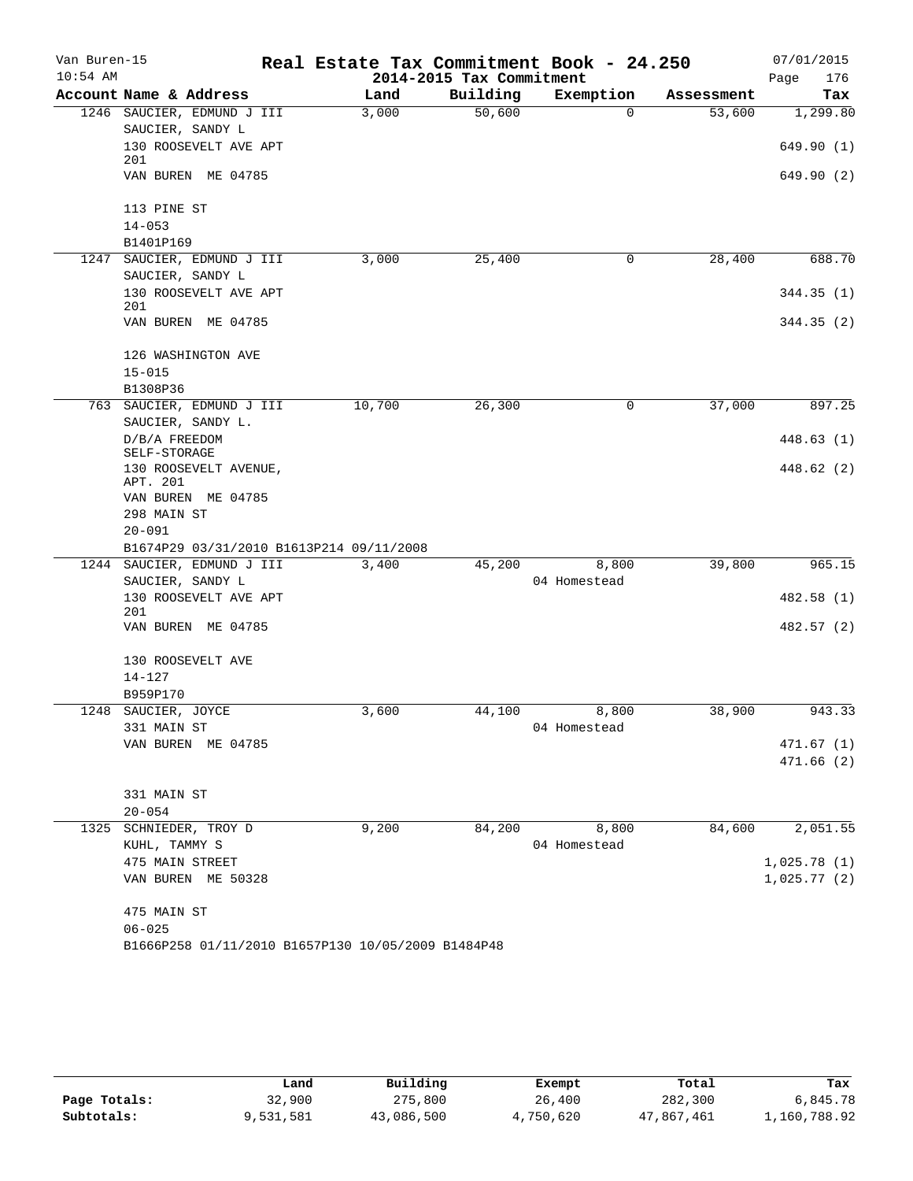| Van Buren-15<br>$10:54$ AM |                                                    |        | 2014-2015 Tax Commitment | Real Estate Tax Commitment Book - 24.250 |            | 07/01/2015<br>Page<br>176 |
|----------------------------|----------------------------------------------------|--------|--------------------------|------------------------------------------|------------|---------------------------|
|                            | Account Name & Address                             | Land   | Building                 | Exemption                                | Assessment | Tax                       |
|                            | 1246 SAUCIER, EDMUND J III                         | 3,000  | 50,600                   | $\Omega$                                 | 53,600     | 1,299.80                  |
|                            | SAUCIER, SANDY L                                   |        |                          |                                          |            |                           |
|                            | 130 ROOSEVELT AVE APT<br>201                       |        |                          |                                          |            | 649.90 (1)                |
|                            | VAN BUREN ME 04785                                 |        |                          |                                          |            | 649.90 (2)                |
|                            | 113 PINE ST                                        |        |                          |                                          |            |                           |
|                            | $14 - 053$                                         |        |                          |                                          |            |                           |
|                            | B1401P169                                          |        |                          |                                          |            |                           |
| 1247                       | SAUCIER, EDMUND J III<br>SAUCIER, SANDY L          | 3,000  | 25,400                   | 0                                        | 28,400     | 688.70                    |
|                            | 130 ROOSEVELT AVE APT                              |        |                          |                                          |            | 344.35(1)                 |
|                            | 201                                                |        |                          |                                          |            |                           |
|                            | VAN BUREN ME 04785                                 |        |                          |                                          |            | 344.35(2)                 |
|                            | 126 WASHINGTON AVE                                 |        |                          |                                          |            |                           |
|                            | $15 - 015$                                         |        |                          |                                          |            |                           |
|                            | B1308P36                                           |        |                          |                                          |            |                           |
| 763                        | SAUCIER, EDMUND J III<br>SAUCIER, SANDY L.         | 10,700 | 26,300                   | 0                                        | 37,000     | 897.25                    |
|                            | D/B/A FREEDOM<br>SELF-STORAGE                      |        |                          |                                          |            | 448.63 (1)                |
|                            | 130 ROOSEVELT AVENUE,                              |        |                          |                                          |            | 448.62 (2)                |
|                            | APT. 201                                           |        |                          |                                          |            |                           |
|                            | VAN BUREN ME 04785                                 |        |                          |                                          |            |                           |
|                            | 298 MAIN ST                                        |        |                          |                                          |            |                           |
|                            | $20 - 091$                                         |        |                          |                                          |            |                           |
|                            | B1674P29 03/31/2010 B1613P214 09/11/2008           |        |                          |                                          |            |                           |
| 1244                       | SAUCIER, EDMUND J III                              | 3,400  | 45,200                   | 8,800                                    | 39,800     | 965.15                    |
|                            | SAUCIER, SANDY L<br>130 ROOSEVELT AVE APT          |        |                          | 04 Homestead                             |            | 482.58 (1)                |
|                            | 201                                                |        |                          |                                          |            |                           |
|                            | VAN BUREN ME 04785                                 |        |                          |                                          |            | 482.57 (2)                |
|                            | 130 ROOSEVELT AVE                                  |        |                          |                                          |            |                           |
|                            | $14 - 127$                                         |        |                          |                                          |            |                           |
|                            | B959P170                                           |        |                          |                                          |            |                           |
|                            | 1248 SAUCIER, JOYCE                                | 3,600  | 44,100                   | 8,800                                    | 38,900     | 943.33                    |
|                            | 331 MAIN ST                                        |        |                          | 04 Homestead                             |            |                           |
|                            | VAN BUREN ME 04785                                 |        |                          |                                          |            | 471.67 (1)                |
|                            |                                                    |        |                          |                                          |            | 471.66(2)                 |
|                            | 331 MAIN ST                                        |        |                          |                                          |            |                           |
|                            | $20 - 054$                                         |        |                          |                                          |            |                           |
|                            | 1325 SCHNIEDER, TROY D                             | 9,200  | 84,200                   | 8,800                                    | 84,600     | 2,051.55                  |
|                            | KUHL, TAMMY S                                      |        |                          | 04 Homestead                             |            |                           |
|                            | 475 MAIN STREET                                    |        |                          |                                          |            | 1,025.78(1)               |
|                            | VAN BUREN ME 50328                                 |        |                          |                                          |            | 1,025.77(2)               |
|                            | 475 MAIN ST                                        |        |                          |                                          |            |                           |
|                            | $06 - 025$                                         |        |                          |                                          |            |                           |
|                            | B1666P258 01/11/2010 B1657P130 10/05/2009 B1484P48 |        |                          |                                          |            |                           |

|              | Land      | Building   | Exempt    | Total      | Tax          |
|--------------|-----------|------------|-----------|------------|--------------|
| Page Totals: | 32,900    | 275,800    | 26,400    | 282,300    | 6,845.78     |
| Subtotals:   | 9,531,581 | 43,086,500 | 4,750,620 | 47,867,461 | 1,160,788.92 |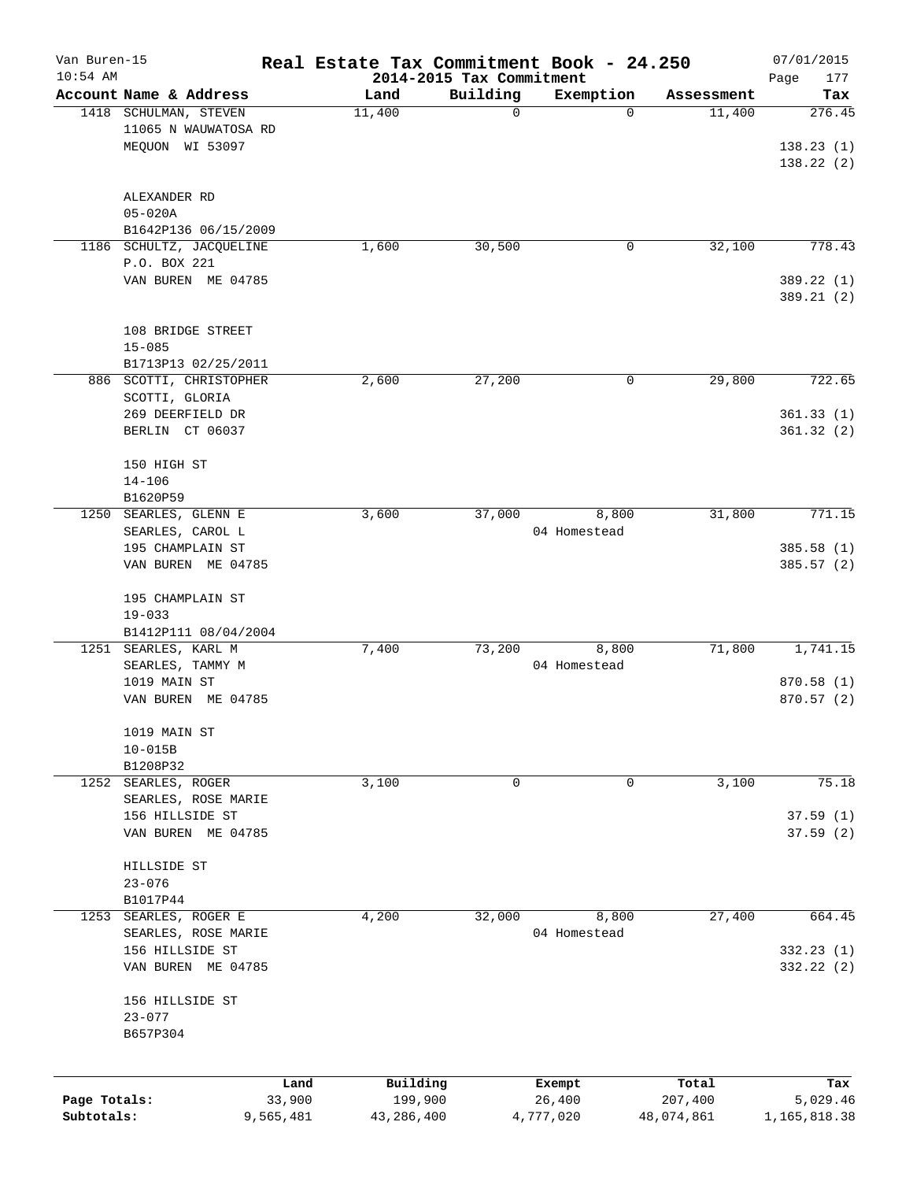| Van Buren-15<br>$10:54$ AM |                                               |        | Real Estate Tax Commitment Book - 24.250<br>2014-2015 Tax Commitment |             |                       |            | 07/01/2015<br>Page<br>177 |
|----------------------------|-----------------------------------------------|--------|----------------------------------------------------------------------|-------------|-----------------------|------------|---------------------------|
|                            | Account Name & Address                        |        | Land                                                                 | Building    | Exemption             | Assessment | Tax                       |
|                            | 1418 SCHULMAN, STEVEN<br>11065 N WAUWATOSA RD |        | 11,400                                                               | $\mathbf 0$ | 0                     | 11,400     | 276.45                    |
|                            | MEQUON WI 53097                               |        |                                                                      |             |                       |            | 138.23(1)<br>138.22(2)    |
|                            | ALEXANDER RD<br>$05 - 020A$                   |        |                                                                      |             |                       |            |                           |
|                            | B1642P136 06/15/2009                          |        |                                                                      |             |                       |            |                           |
| 1186                       | SCHULTZ, JACQUELINE<br>P.O. BOX 221           |        | 1,600                                                                | 30,500      | 0                     | 32,100     | 778.43                    |
|                            | VAN BUREN ME 04785                            |        |                                                                      |             |                       |            | 389.22 (1)<br>389.21 (2)  |
|                            | 108 BRIDGE STREET<br>$15 - 085$               |        |                                                                      |             |                       |            |                           |
|                            | B1713P13 02/25/2011                           |        |                                                                      |             |                       |            |                           |
|                            | 886 SCOTTI, CHRISTOPHER                       |        | 2,600                                                                | 27,200      | 0                     | 29,800     | 722.65                    |
|                            | SCOTTI, GLORIA                                |        |                                                                      |             |                       |            |                           |
|                            | 269 DEERFIELD DR<br>BERLIN CT 06037           |        |                                                                      |             |                       |            | 361.33(1)<br>361.32(2)    |
|                            | 150 HIGH ST                                   |        |                                                                      |             |                       |            |                           |
|                            | $14 - 106$                                    |        |                                                                      |             |                       |            |                           |
|                            | B1620P59                                      |        |                                                                      |             |                       |            |                           |
| 1250                       | SEARLES, GLENN E                              |        | 3,600                                                                | 37,000      | 8,800                 | 31,800     | 771.15                    |
|                            | SEARLES, CAROL L                              |        |                                                                      |             | 04 Homestead          |            |                           |
|                            | 195 CHAMPLAIN ST<br>VAN BUREN ME 04785        |        |                                                                      |             |                       |            | 385.58 (1)<br>385.57 (2)  |
|                            |                                               |        |                                                                      |             |                       |            |                           |
|                            | 195 CHAMPLAIN ST<br>$19 - 033$                |        |                                                                      |             |                       |            |                           |
|                            | B1412P111 08/04/2004                          |        |                                                                      |             |                       |            |                           |
|                            | 1251 SEARLES, KARL M                          |        | 7,400                                                                | 73,200      | 8,800                 | 71,800     | 1,741.15                  |
|                            | SEARLES, TAMMY M                              |        |                                                                      |             | 04 Homestead          |            |                           |
|                            | 1019 MAIN ST                                  |        |                                                                      |             |                       |            | 870.58 (1)                |
|                            | VAN BUREN ME 04785                            |        |                                                                      |             |                       |            | 870.57 (2)                |
|                            | 1019 MAIN ST                                  |        |                                                                      |             |                       |            |                           |
|                            | $10 - 015B$                                   |        |                                                                      |             |                       |            |                           |
| 1252                       | B1208P32<br>SEARLES, ROGER                    |        | 3,100                                                                | 0           | 0                     | 3,100      | 75.18                     |
|                            | SEARLES, ROSE MARIE                           |        |                                                                      |             |                       |            |                           |
|                            | 156 HILLSIDE ST                               |        |                                                                      |             |                       |            | 37.59(1)                  |
|                            | VAN BUREN ME 04785                            |        |                                                                      |             |                       |            | 37.59(2)                  |
|                            | HILLSIDE ST                                   |        |                                                                      |             |                       |            |                           |
|                            | $23 - 076$                                    |        |                                                                      |             |                       |            |                           |
|                            | B1017P44                                      |        |                                                                      |             |                       |            |                           |
| 1253                       | SEARLES, ROGER E<br>SEARLES, ROSE MARIE       |        | 4,200                                                                | 32,000      | 8,800<br>04 Homestead | 27,400     | 664.45                    |
|                            | 156 HILLSIDE ST                               |        |                                                                      |             |                       |            | 332.23 (1)                |
|                            | VAN BUREN ME 04785                            |        |                                                                      |             |                       |            | 332.22 (2)                |
|                            | 156 HILLSIDE ST                               |        |                                                                      |             |                       |            |                           |
|                            | $23 - 077$<br>B657P304                        |        |                                                                      |             |                       |            |                           |
|                            |                                               |        |                                                                      |             |                       |            |                           |
|                            |                                               | Land   | Building                                                             |             | Exempt                | Total      | Tax                       |
| Page Totals:               |                                               | 33,900 | 199,900                                                              |             | 26,400                | 207,400    | 5,029.46                  |
| Subtotals:                 | 9,565,481                                     |        | 43,286,400                                                           |             | 4,777,020             | 48,074,861 | 1,165,818.38              |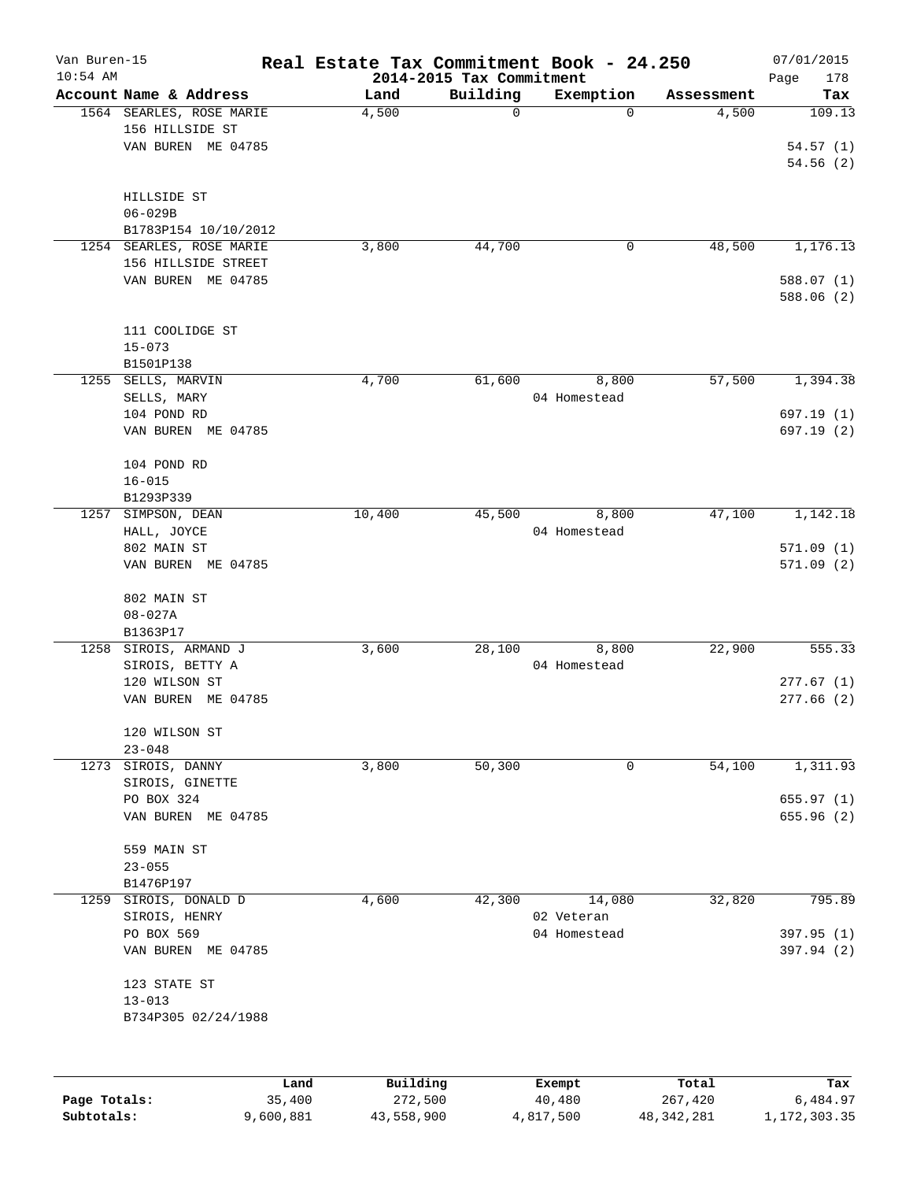| Van Buren-15<br>$10:54$ AM |                                  |        | Real Estate Tax Commitment Book - 24.250 |             |                       |                     | 07/01/2015             |
|----------------------------|----------------------------------|--------|------------------------------------------|-------------|-----------------------|---------------------|------------------------|
|                            | Account Name & Address           |        | 2014-2015 Tax Commitment                 | Building    |                       |                     | 178<br>Page<br>Tax     |
|                            | 1564 SEARLES, ROSE MARIE         |        | Land<br>4,500                            | $\mathbf 0$ | Exemption<br>$\Omega$ | Assessment<br>4,500 | 109.13                 |
|                            | 156 HILLSIDE ST                  |        |                                          |             |                       |                     |                        |
|                            | VAN BUREN ME 04785               |        |                                          |             |                       |                     | 54.57(1)               |
|                            |                                  |        |                                          |             |                       |                     | 54.56(2)               |
|                            |                                  |        |                                          |             |                       |                     |                        |
|                            | HILLSIDE ST                      |        |                                          |             |                       |                     |                        |
|                            | $06 - 029B$                      |        |                                          |             |                       |                     |                        |
|                            | B1783P154 10/10/2012             |        |                                          |             |                       |                     |                        |
|                            | 1254 SEARLES, ROSE MARIE         |        | 3,800                                    | 44,700      | 0                     | 48,500              | 1,176.13               |
|                            | 156 HILLSIDE STREET              |        |                                          |             |                       |                     |                        |
|                            | VAN BUREN ME 04785               |        |                                          |             |                       |                     | 588.07(1)              |
|                            |                                  |        |                                          |             |                       |                     | 588.06 (2)             |
|                            |                                  |        |                                          |             |                       |                     |                        |
|                            | 111 COOLIDGE ST                  |        |                                          |             |                       |                     |                        |
|                            | $15 - 073$                       |        |                                          |             |                       |                     |                        |
|                            | B1501P138                        |        |                                          |             |                       |                     |                        |
| 1255                       | SELLS, MARVIN                    |        | 4,700                                    | 61,600      | 8,800                 | 57,500              | 1,394.38               |
|                            | SELLS, MARY                      |        |                                          |             | 04 Homestead          |                     |                        |
|                            | 104 POND RD                      |        |                                          |             |                       |                     | 697.19(1)              |
|                            | VAN BUREN ME 04785               |        |                                          |             |                       |                     | 697.19(2)              |
|                            |                                  |        |                                          |             |                       |                     |                        |
|                            | 104 POND RD                      |        |                                          |             |                       |                     |                        |
|                            | $16 - 015$                       |        |                                          |             |                       |                     |                        |
|                            | B1293P339                        |        |                                          |             |                       |                     |                        |
| 1257                       | SIMPSON, DEAN                    |        | 10,400                                   | 45,500      | 8,800                 | 47,100              | 1,142.18               |
|                            | HALL, JOYCE                      |        |                                          |             | 04 Homestead          |                     |                        |
|                            | 802 MAIN ST                      |        |                                          |             |                       |                     | 571.09(1)              |
|                            | VAN BUREN ME 04785               |        |                                          |             |                       |                     | 571.09(2)              |
|                            |                                  |        |                                          |             |                       |                     |                        |
|                            | 802 MAIN ST                      |        |                                          |             |                       |                     |                        |
|                            | $08 - 027A$                      |        |                                          |             |                       |                     |                        |
|                            | B1363P17                         |        |                                          |             |                       |                     |                        |
| 1258                       | SIROIS, ARMAND J                 |        | 3,600                                    | 28,100      | 8,800                 | 22,900              | 555.33                 |
|                            | SIROIS, BETTY A<br>120 WILSON ST |        |                                          |             | 04 Homestead          |                     |                        |
|                            | VAN BUREN<br>ME 04785            |        |                                          |             |                       |                     | 277.67(1)<br>277.66(2) |
|                            |                                  |        |                                          |             |                       |                     |                        |
|                            | 120 WILSON ST                    |        |                                          |             |                       |                     |                        |
|                            | $23 - 048$                       |        |                                          |             |                       |                     |                        |
|                            | 1273 SIROIS, DANNY               |        | 3,800                                    | 50,300      | 0                     | 54,100              | 1,311.93               |
|                            | SIROIS, GINETTE                  |        |                                          |             |                       |                     |                        |
|                            | PO BOX 324                       |        |                                          |             |                       |                     | 655.97(1)              |
|                            | VAN BUREN ME 04785               |        |                                          |             |                       |                     | 655.96(2)              |
|                            |                                  |        |                                          |             |                       |                     |                        |
|                            | 559 MAIN ST                      |        |                                          |             |                       |                     |                        |
|                            | $23 - 055$                       |        |                                          |             |                       |                     |                        |
|                            | B1476P197                        |        |                                          |             |                       |                     |                        |
| 1259                       | SIROIS, DONALD D                 |        | 4,600                                    | 42,300      | 14,080                | 32,820              | 795.89                 |
|                            | SIROIS, HENRY                    |        |                                          |             | 02 Veteran            |                     |                        |
|                            | PO BOX 569                       |        |                                          |             | 04 Homestead          |                     | 397.95 (1)             |
|                            | VAN BUREN ME 04785               |        |                                          |             |                       |                     | 397.94 (2)             |
|                            |                                  |        |                                          |             |                       |                     |                        |
|                            | 123 STATE ST                     |        |                                          |             |                       |                     |                        |
|                            | $13 - 013$                       |        |                                          |             |                       |                     |                        |
|                            | B734P305 02/24/1988              |        |                                          |             |                       |                     |                        |
|                            |                                  |        |                                          |             |                       |                     |                        |
|                            |                                  |        |                                          |             |                       |                     |                        |
|                            |                                  | Land   | Building                                 |             | Exempt                | Total               | Tax                    |
| Page Totals:               |                                  | 35,400 | 272,500                                  |             | 40,480                | 267,420             | 6,484.97               |

**Subtotals:** 9,600,881 43,558,900 4,817,500 48,342,281 1,172,303.35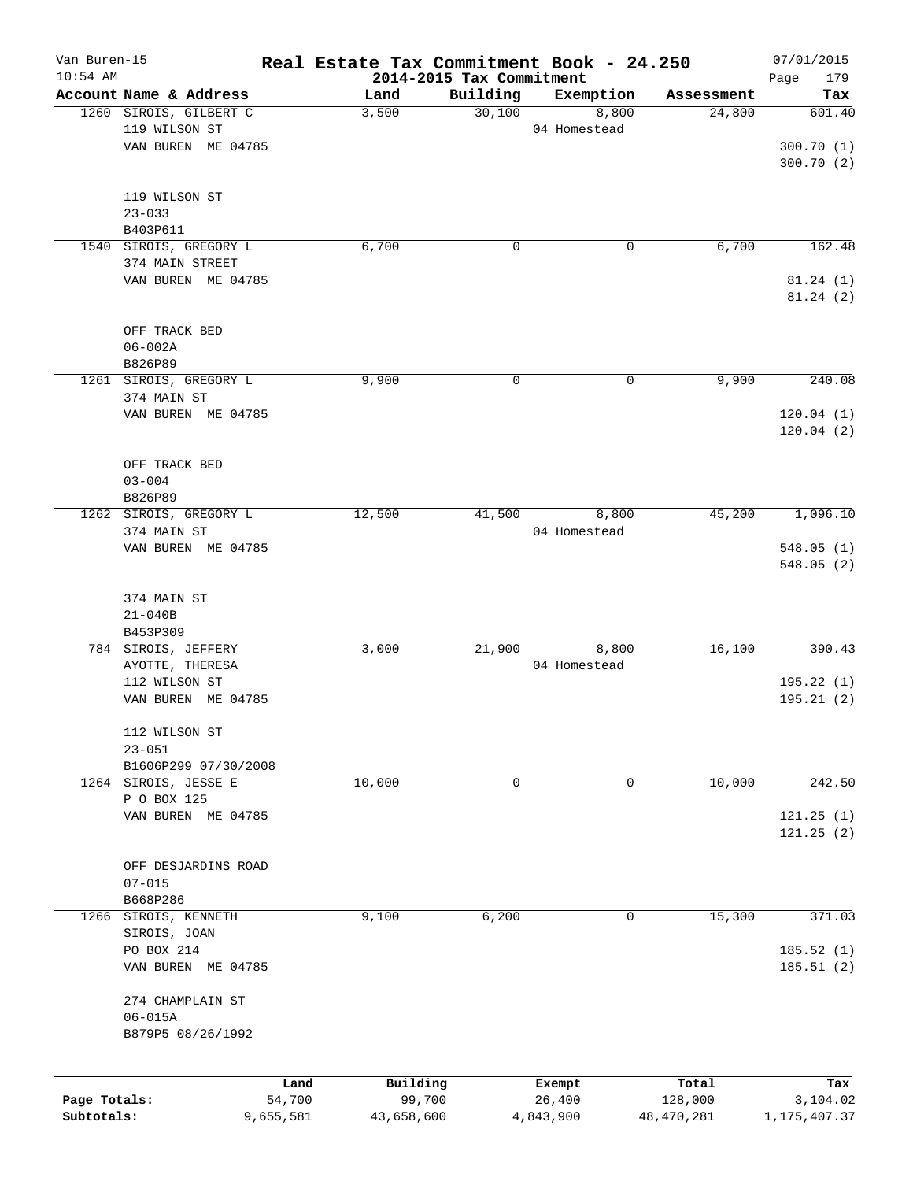| Van Buren-15 |                                       |        |               |                                      | Real Estate Tax Commitment Book - 24.250 |                      | 07/01/2015    |
|--------------|---------------------------------------|--------|---------------|--------------------------------------|------------------------------------------|----------------------|---------------|
| $10:54$ AM   | Account Name & Address                |        |               | 2014-2015 Tax Commitment<br>Building |                                          |                      | 179<br>Page   |
|              | 1260 SIROIS, GILBERT C                |        | Land<br>3,500 | 30,100                               | Exemption<br>8,800                       | Assessment<br>24,800 | Tax<br>601.40 |
|              | 119 WILSON ST                         |        |               |                                      | 04 Homestead                             |                      |               |
|              | VAN BUREN ME 04785                    |        |               |                                      |                                          |                      | 300.70(1)     |
|              |                                       |        |               |                                      |                                          |                      | 300.70(2)     |
|              |                                       |        |               |                                      |                                          |                      |               |
|              | 119 WILSON ST                         |        |               |                                      |                                          |                      |               |
|              | $23 - 033$                            |        |               |                                      |                                          |                      |               |
|              | B403P611                              |        |               |                                      |                                          |                      |               |
|              | 1540 SIROIS, GREGORY L                |        | 6,700         | 0                                    | 0                                        | 6,700                | 162.48        |
|              | 374 MAIN STREET                       |        |               |                                      |                                          |                      |               |
|              | VAN BUREN ME 04785                    |        |               |                                      |                                          |                      | 81.24(1)      |
|              |                                       |        |               |                                      |                                          |                      | 81.24(2)      |
|              | OFF TRACK BED                         |        |               |                                      |                                          |                      |               |
|              | $06 - 002A$                           |        |               |                                      |                                          |                      |               |
|              | B826P89                               |        |               |                                      |                                          |                      |               |
|              | 1261 SIROIS, GREGORY L                |        | 9,900         | $\mathbf 0$                          | 0                                        | 9,900                | 240.08        |
|              | 374 MAIN ST                           |        |               |                                      |                                          |                      |               |
|              | VAN BUREN ME 04785                    |        |               |                                      |                                          |                      | 120.04(1)     |
|              |                                       |        |               |                                      |                                          |                      | 120.04(2)     |
|              |                                       |        |               |                                      |                                          |                      |               |
|              | OFF TRACK BED                         |        |               |                                      |                                          |                      |               |
|              | $03 - 004$                            |        |               |                                      |                                          |                      |               |
|              | B826P89                               |        |               |                                      |                                          |                      |               |
|              | 1262 SIROIS, GREGORY L<br>374 MAIN ST |        | 12,500        | 41,500                               | 8,800<br>04 Homestead                    | 45,200               | 1,096.10      |
|              | VAN BUREN ME 04785                    |        |               |                                      |                                          |                      | 548.05(1)     |
|              |                                       |        |               |                                      |                                          |                      | 548.05(2)     |
|              |                                       |        |               |                                      |                                          |                      |               |
|              | 374 MAIN ST                           |        |               |                                      |                                          |                      |               |
|              | $21 - 040B$                           |        |               |                                      |                                          |                      |               |
|              | B453P309                              |        |               |                                      |                                          |                      |               |
|              | 784 SIROIS, JEFFERY                   |        | 3,000         | 21,900                               | 8,800                                    | 16,100               | 390.43        |
|              | AYOTTE, THERESA                       |        |               |                                      | 04 Homestead                             |                      |               |
|              | 112 WILSON ST                         |        |               |                                      |                                          |                      | 195.22(1)     |
|              | VAN BUREN ME 04785                    |        |               |                                      |                                          |                      | 195.21(2)     |
|              | 112 WILSON ST                         |        |               |                                      |                                          |                      |               |
|              | $23 - 051$                            |        |               |                                      |                                          |                      |               |
|              | B1606P299 07/30/2008                  |        |               |                                      |                                          |                      |               |
|              | 1264 SIROIS, JESSE E                  |        | 10,000        | 0                                    | 0                                        | 10,000               | 242.50        |
|              | P O BOX 125                           |        |               |                                      |                                          |                      |               |
|              | VAN BUREN ME 04785                    |        |               |                                      |                                          |                      | 121.25(1)     |
|              |                                       |        |               |                                      |                                          |                      | 121.25(2)     |
|              |                                       |        |               |                                      |                                          |                      |               |
|              | OFF DESJARDINS ROAD                   |        |               |                                      |                                          |                      |               |
|              | $07 - 015$<br>B668P286                |        |               |                                      |                                          |                      |               |
| 1266         | SIROIS, KENNETH                       |        | 9,100         | 6,200                                | 0                                        | 15,300               | 371.03        |
|              | SIROIS, JOAN                          |        |               |                                      |                                          |                      |               |
|              | PO BOX 214                            |        |               |                                      |                                          |                      | 185.52 (1)    |
|              | VAN BUREN ME 04785                    |        |               |                                      |                                          |                      | 185.51(2)     |
|              |                                       |        |               |                                      |                                          |                      |               |
|              | 274 CHAMPLAIN ST                      |        |               |                                      |                                          |                      |               |
|              | $06 - 015A$                           |        |               |                                      |                                          |                      |               |
|              | B879P5 08/26/1992                     |        |               |                                      |                                          |                      |               |
|              |                                       |        |               |                                      |                                          |                      |               |
|              |                                       | Land   | Building      |                                      | Exempt                                   | Total                | Tax           |
| Page Totals: |                                       | 54,700 | 99,700        |                                      | 26,400                                   | 128,000              | 3,104.02      |
| Subtotals:   | 9,655,581                             |        | 43,658,600    |                                      | 4,843,900                                | 48, 470, 281         | 1,175,407.37  |
|              |                                       |        |               |                                      |                                          |                      |               |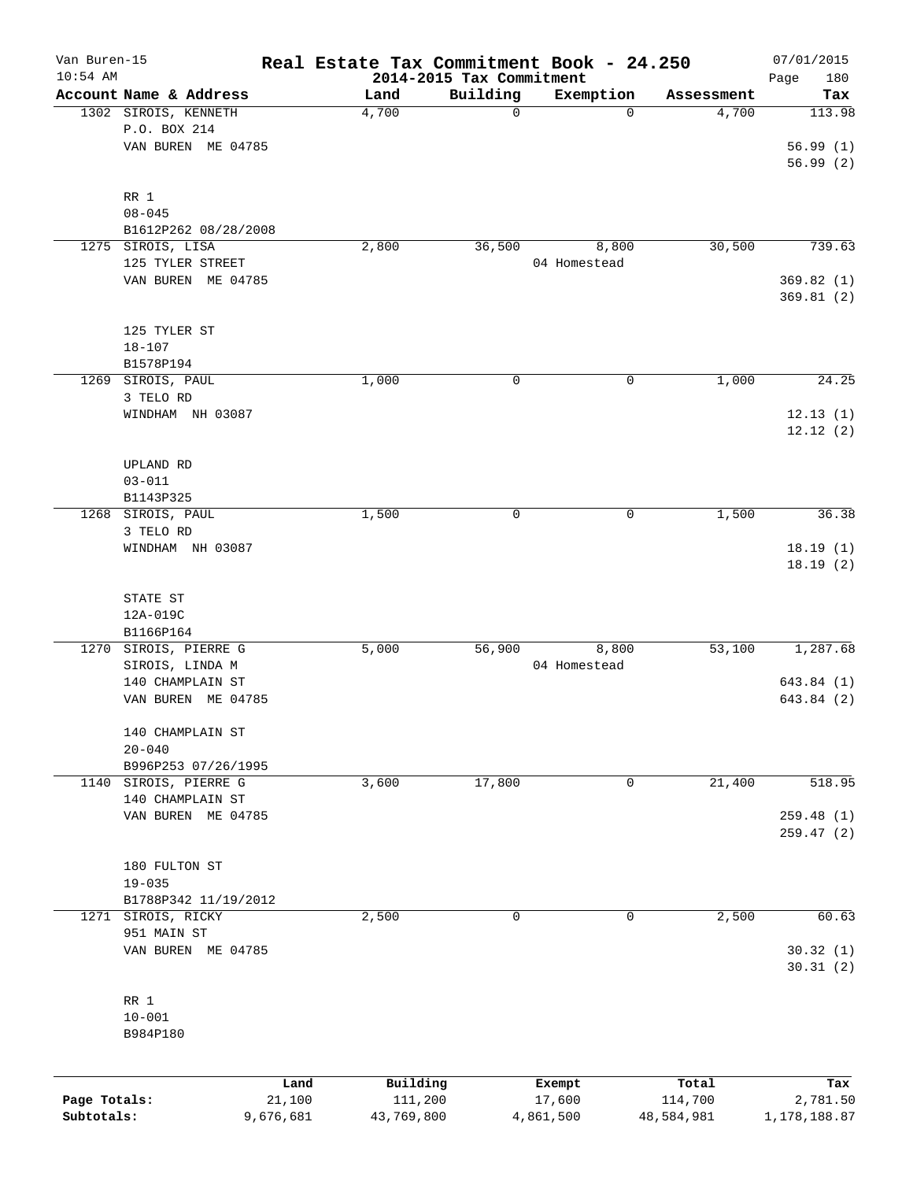| Van Buren-15<br>$10:54$ AM |                                      |               | Real Estate Tax Commitment Book - 24.250 |                          |                     | 07/01/2015    |
|----------------------------|--------------------------------------|---------------|------------------------------------------|--------------------------|---------------------|---------------|
|                            | Account Name & Address               |               | 2014-2015 Tax Commitment<br>Building     |                          |                     | Page<br>180   |
|                            | 1302 SIROIS, KENNETH                 | Land<br>4,700 | $\mathsf{O}$                             | Exemption<br>$\mathbf 0$ | Assessment<br>4,700 | Tax<br>113.98 |
|                            | P.O. BOX 214                         |               |                                          |                          |                     |               |
|                            |                                      |               |                                          |                          |                     |               |
|                            | VAN BUREN ME 04785                   |               |                                          |                          |                     | 56.99(1)      |
|                            |                                      |               |                                          |                          |                     | 56.99(2)      |
|                            | RR 1                                 |               |                                          |                          |                     |               |
|                            | $08 - 045$                           |               |                                          |                          |                     |               |
|                            |                                      |               |                                          |                          |                     |               |
| 1275                       | B1612P262 08/28/2008<br>SIROIS, LISA | 2,800         | 36,500                                   | 8,800                    | 30,500              | 739.63        |
|                            | 125 TYLER STREET                     |               |                                          |                          |                     |               |
|                            |                                      |               |                                          | 04 Homestead             |                     |               |
|                            | VAN BUREN ME 04785                   |               |                                          |                          |                     | 369.82(1)     |
|                            |                                      |               |                                          |                          |                     | 369.81(2)     |
|                            |                                      |               |                                          |                          |                     |               |
|                            | 125 TYLER ST                         |               |                                          |                          |                     |               |
|                            | $18 - 107$                           |               |                                          |                          |                     |               |
|                            | B1578P194                            |               |                                          |                          |                     |               |
|                            | 1269 SIROIS, PAUL                    | 1,000         | 0                                        | $\mathbf 0$              | 1,000               | 24.25         |
|                            | 3 TELO RD                            |               |                                          |                          |                     |               |
|                            | WINDHAM NH 03087                     |               |                                          |                          |                     | 12.13(1)      |
|                            |                                      |               |                                          |                          |                     | 12.12(2)      |
|                            |                                      |               |                                          |                          |                     |               |
|                            | UPLAND RD                            |               |                                          |                          |                     |               |
|                            | $03 - 011$                           |               |                                          |                          |                     |               |
|                            | B1143P325                            |               |                                          |                          |                     |               |
|                            | 1268 SIROIS, PAUL                    | 1,500         | 0                                        | 0                        | 1,500               | 36.38         |
|                            | 3 TELO RD                            |               |                                          |                          |                     |               |
|                            | WINDHAM NH 03087                     |               |                                          |                          |                     | 18.19(1)      |
|                            |                                      |               |                                          |                          |                     | 18.19(2)      |
|                            |                                      |               |                                          |                          |                     |               |
|                            | STATE ST                             |               |                                          |                          |                     |               |
|                            | 12A-019C                             |               |                                          |                          |                     |               |
|                            | B1166P164                            |               |                                          |                          |                     |               |
| 1270                       | SIROIS, PIERRE G                     | 5,000         | 56,900                                   | 8,800                    | 53,100              | 1,287.68      |
|                            | SIROIS, LINDA M                      |               |                                          | 04 Homestead             |                     |               |
|                            | 140 CHAMPLAIN ST                     |               |                                          |                          |                     | 643.84 (1)    |
|                            | VAN BUREN ME 04785                   |               |                                          |                          |                     | 643.84 (2)    |
|                            |                                      |               |                                          |                          |                     |               |
|                            | 140 CHAMPLAIN ST                     |               |                                          |                          |                     |               |
|                            | $20 - 040$                           |               |                                          |                          |                     |               |
|                            | B996P253 07/26/1995                  |               |                                          |                          |                     |               |
| 1140                       | SIROIS, PIERRE G                     | 3,600         | 17,800                                   | 0                        | 21,400              | 518.95        |
|                            | 140 CHAMPLAIN ST                     |               |                                          |                          |                     |               |
|                            | VAN BUREN ME 04785                   |               |                                          |                          |                     | 259.48(1)     |
|                            |                                      |               |                                          |                          |                     | 259.47(2)     |
|                            |                                      |               |                                          |                          |                     |               |
|                            | 180 FULTON ST                        |               |                                          |                          |                     |               |
|                            | $19 - 035$                           |               |                                          |                          |                     |               |
|                            | B1788P342 11/19/2012                 |               |                                          |                          |                     |               |
|                            | 1271 SIROIS, RICKY                   | 2,500         | $\mathbf 0$                              | 0                        | 2,500               | 60.63         |
|                            | 951 MAIN ST                          |               |                                          |                          |                     |               |
|                            | VAN BUREN ME 04785                   |               |                                          |                          |                     | 30.32(1)      |
|                            |                                      |               |                                          |                          |                     | 30.31(2)      |
|                            |                                      |               |                                          |                          |                     |               |
|                            | RR 1                                 |               |                                          |                          |                     |               |
|                            | $10 - 001$                           |               |                                          |                          |                     |               |
|                            | B984P180                             |               |                                          |                          |                     |               |
|                            |                                      |               |                                          |                          |                     |               |
|                            |                                      |               |                                          |                          |                     |               |
|                            |                                      | Land          | Building                                 | Exempt                   | Total               | Tax           |
| Page Totals:               | 21,100                               |               | 111,200                                  | 17,600                   | 114,700             | 2,781.50      |
| Subtotals:                 | 9,676,681                            |               | 43,769,800                               | 4,861,500                | 48,584,981          | 1,178,188.87  |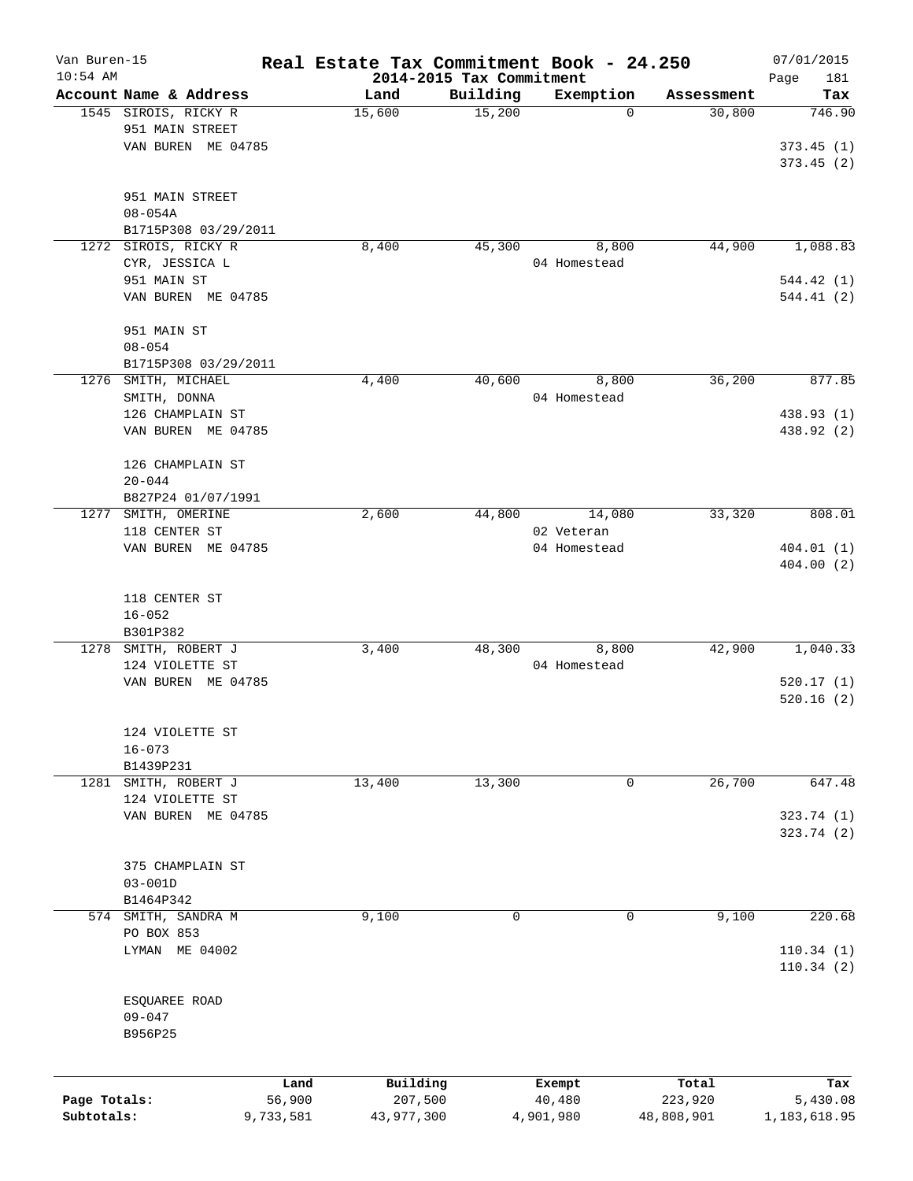| Van Buren-15 |                        |           | Real Estate Tax Commitment Book - 24.250 |                    |                          |                      | 07/01/2015             |
|--------------|------------------------|-----------|------------------------------------------|--------------------|--------------------------|----------------------|------------------------|
| $10:54$ AM   | Account Name & Address |           | 2014-2015 Tax Commitment                 |                    |                          |                      | Page<br>181            |
|              | 1545 SIROIS, RICKY R   |           | Land<br>15,600                           | Building<br>15,200 | Exemption<br>$\mathbf 0$ | Assessment<br>30,800 | Tax<br>746.90          |
|              | 951 MAIN STREET        |           |                                          |                    |                          |                      |                        |
|              | VAN BUREN ME 04785     |           |                                          |                    |                          |                      | 373.45(1)              |
|              |                        |           |                                          |                    |                          |                      | 373.45(2)              |
|              |                        |           |                                          |                    |                          |                      |                        |
|              | 951 MAIN STREET        |           |                                          |                    |                          |                      |                        |
|              | $08 - 054A$            |           |                                          |                    |                          |                      |                        |
|              | B1715P308 03/29/2011   |           |                                          |                    |                          |                      |                        |
| 1272         | SIROIS, RICKY R        |           | 8,400                                    | 45,300             | 8,800                    | 44,900               | 1,088.83               |
|              | CYR, JESSICA L         |           |                                          |                    | 04 Homestead             |                      |                        |
|              | 951 MAIN ST            |           |                                          |                    |                          |                      | 544.42(1)              |
|              | VAN BUREN ME 04785     |           |                                          |                    |                          |                      | 544.41(2)              |
|              |                        |           |                                          |                    |                          |                      |                        |
|              | 951 MAIN ST            |           |                                          |                    |                          |                      |                        |
|              | $08 - 054$             |           |                                          |                    |                          |                      |                        |
|              | B1715P308 03/29/2011   |           |                                          |                    |                          |                      |                        |
| 1276         | SMITH, MICHAEL         |           | 4,400                                    | 40,600             | 8,800                    | 36,200               | 877.85                 |
|              | SMITH, DONNA           |           |                                          |                    | 04 Homestead             |                      |                        |
|              | 126 CHAMPLAIN ST       |           |                                          |                    |                          |                      | 438.93 (1)             |
|              | VAN BUREN ME 04785     |           |                                          |                    |                          |                      | 438.92 (2)             |
|              |                        |           |                                          |                    |                          |                      |                        |
|              | 126 CHAMPLAIN ST       |           |                                          |                    |                          |                      |                        |
|              | $20 - 044$             |           |                                          |                    |                          |                      |                        |
|              | B827P24 01/07/1991     |           |                                          |                    |                          |                      |                        |
| 1277         | SMITH, OMERINE         |           | 2,600                                    | 44,800             | 14,080                   | 33,320               | 808.01                 |
|              | 118 CENTER ST          |           |                                          |                    | 02 Veteran               |                      |                        |
|              | VAN BUREN ME 04785     |           |                                          |                    | 04 Homestead             |                      | 404.01(1)              |
|              |                        |           |                                          |                    |                          |                      | 404.00(2)              |
|              |                        |           |                                          |                    |                          |                      |                        |
|              | 118 CENTER ST          |           |                                          |                    |                          |                      |                        |
|              | $16 - 052$             |           |                                          |                    |                          |                      |                        |
|              | B301P382               |           |                                          |                    |                          |                      |                        |
|              | 1278 SMITH, ROBERT J   |           | 3,400                                    | 48,300             | 8,800                    | 42,900               | 1,040.33               |
|              | 124 VIOLETTE ST        |           |                                          |                    | 04 Homestead             |                      |                        |
|              | VAN BUREN ME 04785     |           |                                          |                    |                          |                      | 520.17(1)<br>520.16(2) |
|              |                        |           |                                          |                    |                          |                      |                        |
|              | 124 VIOLETTE ST        |           |                                          |                    |                          |                      |                        |
|              | $16 - 073$             |           |                                          |                    |                          |                      |                        |
|              | B1439P231              |           |                                          |                    |                          |                      |                        |
| 1281         | SMITH, ROBERT J        |           | 13,400                                   | 13,300             | 0                        | 26,700               | 647.48                 |
|              | 124 VIOLETTE ST        |           |                                          |                    |                          |                      |                        |
|              | VAN BUREN ME 04785     |           |                                          |                    |                          |                      | 323.74 (1)             |
|              |                        |           |                                          |                    |                          |                      | 323.74 (2)             |
|              |                        |           |                                          |                    |                          |                      |                        |
|              | 375 CHAMPLAIN ST       |           |                                          |                    |                          |                      |                        |
|              | $03 - 001D$            |           |                                          |                    |                          |                      |                        |
|              | B1464P342              |           |                                          |                    |                          |                      |                        |
|              | 574 SMITH, SANDRA M    |           | 9,100                                    | 0                  | 0                        | 9,100                | 220.68                 |
|              | PO BOX 853             |           |                                          |                    |                          |                      |                        |
|              | LYMAN ME 04002         |           |                                          |                    |                          |                      | 110.34(1)              |
|              |                        |           |                                          |                    |                          |                      | 110.34(2)              |
|              |                        |           |                                          |                    |                          |                      |                        |
|              | ESQUAREE ROAD          |           |                                          |                    |                          |                      |                        |
|              | $09 - 047$             |           |                                          |                    |                          |                      |                        |
|              | B956P25                |           |                                          |                    |                          |                      |                        |
|              |                        |           |                                          |                    |                          |                      |                        |
|              |                        |           |                                          |                    |                          |                      |                        |
|              |                        | Land      | Building                                 |                    | Exempt                   | Total                | Tax                    |
| Page Totals: |                        | 56,900    | 207,500                                  |                    | 40,480                   | 223,920              | 5,430.08               |
| Subtotals:   |                        | 9,733,581 | 43,977,300                               |                    | 4,901,980                | 48,808,901           | 1, 183, 618.95         |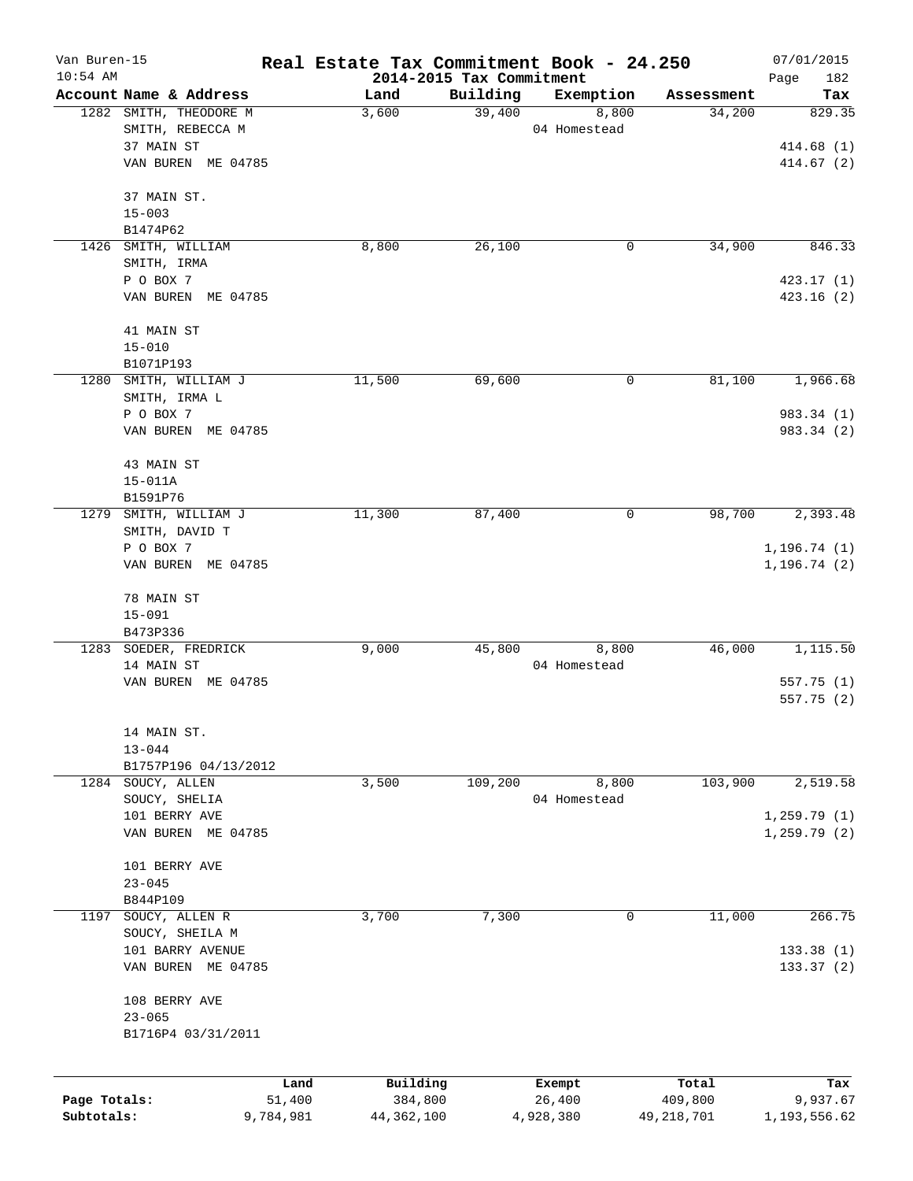| Van Buren-15 |                        | Real Estate Tax Commitment Book - 24.250 |                                      |              |              | 07/01/2015         |
|--------------|------------------------|------------------------------------------|--------------------------------------|--------------|--------------|--------------------|
| $10:54$ AM   | Account Name & Address | Land                                     | 2014-2015 Tax Commitment<br>Building | Exemption    | Assessment   | Page<br>182<br>Tax |
|              | 1282 SMITH, THEODORE M | 3,600                                    | 39,400                               | 8,800        | 34,200       | 829.35             |
|              | SMITH, REBECCA M       |                                          |                                      | 04 Homestead |              |                    |
|              | 37 MAIN ST             |                                          |                                      |              |              | 414.68(1)          |
|              | VAN BUREN ME 04785     |                                          |                                      |              |              | 414.67(2)          |
|              | 37 MAIN ST.            |                                          |                                      |              |              |                    |
|              | $15 - 003$             |                                          |                                      |              |              |                    |
|              | B1474P62               |                                          |                                      |              |              |                    |
| 1426         | SMITH, WILLIAM         | 8,800                                    | 26,100                               | 0            | 34,900       | 846.33             |
|              | SMITH, IRMA            |                                          |                                      |              |              |                    |
|              | P O BOX 7              |                                          |                                      |              |              | 423.17 (1)         |
|              | VAN BUREN ME 04785     |                                          |                                      |              |              | 423.16 (2)         |
|              | 41 MAIN ST             |                                          |                                      |              |              |                    |
|              | $15 - 010$             |                                          |                                      |              |              |                    |
|              | B1071P193              |                                          |                                      |              |              |                    |
|              | 1280 SMITH, WILLIAM J  | 11,500                                   | 69,600                               | 0            | 81,100       | 1,966.68           |
|              | SMITH, IRMA L          |                                          |                                      |              |              |                    |
|              | P O BOX 7              |                                          |                                      |              |              | 983.34 (1)         |
|              | VAN BUREN ME 04785     |                                          |                                      |              |              | 983.34 (2)         |
|              | 43 MAIN ST             |                                          |                                      |              |              |                    |
|              | $15 - 011A$            |                                          |                                      |              |              |                    |
|              | B1591P76               |                                          |                                      |              |              |                    |
| 1279         | SMITH, WILLIAM J       | 11,300                                   | 87,400                               | 0            | 98,700       | 2,393.48           |
|              | SMITH, DAVID T         |                                          |                                      |              |              |                    |
|              | P O BOX 7              |                                          |                                      |              |              | 1, 196.74(1)       |
|              | VAN BUREN ME 04785     |                                          |                                      |              |              | 1, 196.74(2)       |
|              | 78 MAIN ST             |                                          |                                      |              |              |                    |
|              | $15 - 091$             |                                          |                                      |              |              |                    |
|              | B473P336               |                                          |                                      |              |              |                    |
|              | 1283 SOEDER, FREDRICK  | 9,000                                    | 45,800                               | 8,800        | 46,000       | 1,115.50           |
|              | 14 MAIN ST             |                                          |                                      | 04 Homestead |              |                    |
|              | VAN BUREN ME 04785     |                                          |                                      |              |              | 557.75 (1)         |
|              |                        |                                          |                                      |              |              | 557.75(2)          |
|              | 14 MAIN ST.            |                                          |                                      |              |              |                    |
|              | $13 - 044$             |                                          |                                      |              |              |                    |
|              | B1757P196 04/13/2012   |                                          |                                      |              |              |                    |
|              | 1284 SOUCY, ALLEN      | 3,500                                    | 109,200                              | 8,800        | 103,900      | 2,519.58           |
|              | SOUCY, SHELIA          |                                          |                                      | 04 Homestead |              |                    |
|              | 101 BERRY AVE          |                                          |                                      |              |              | 1, 259.79(1)       |
|              | VAN BUREN ME 04785     |                                          |                                      |              |              | 1, 259.79(2)       |
|              | 101 BERRY AVE          |                                          |                                      |              |              |                    |
|              | $23 - 045$             |                                          |                                      |              |              |                    |
|              | B844P109               |                                          |                                      |              |              |                    |
| 1197         | SOUCY, ALLEN R         | 3,700                                    | 7,300                                | 0            | 11,000       | 266.75             |
|              | SOUCY, SHEILA M        |                                          |                                      |              |              |                    |
|              | 101 BARRY AVENUE       |                                          |                                      |              |              | 133.38 (1)         |
|              | VAN BUREN ME 04785     |                                          |                                      |              |              | 133.37 (2)         |
|              | 108 BERRY AVE          |                                          |                                      |              |              |                    |
|              | $23 - 065$             |                                          |                                      |              |              |                    |
|              | B1716P4 03/31/2011     |                                          |                                      |              |              |                    |
|              |                        |                                          |                                      |              |              |                    |
|              |                        | Building<br>Land                         |                                      | Exempt       | Total        | Tax                |
| Page Totals: | 51,400                 | 384,800                                  |                                      | 26,400       | 409,800      | 9,937.67           |
| Subtotals:   | 9,784,981              | 44, 362, 100                             |                                      | 4,928,380    | 49, 218, 701 | 1,193,556.62       |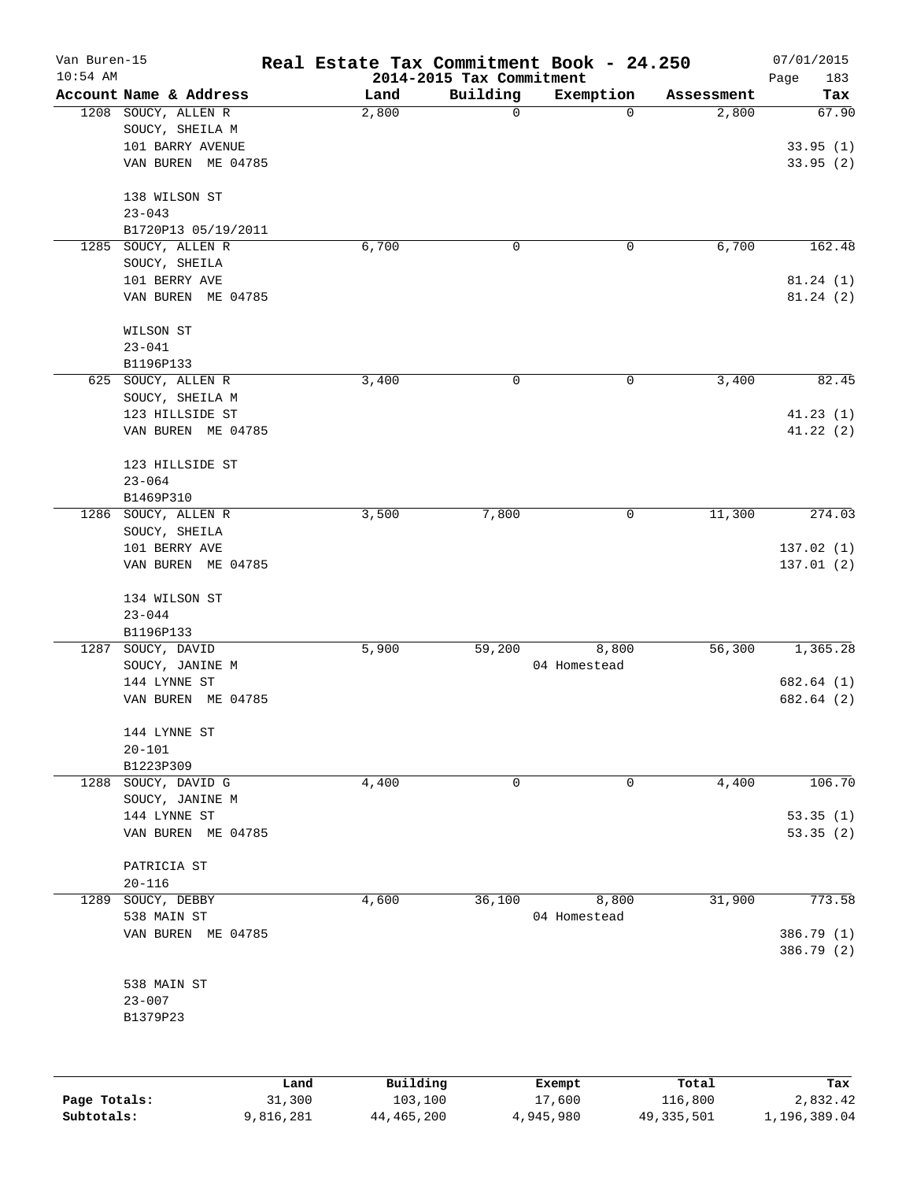| Van Buren-15<br>$10:54$ AM |                                 | Real Estate Tax Commitment Book - 24.250 |                                      |              |            | 07/01/2015         |
|----------------------------|---------------------------------|------------------------------------------|--------------------------------------|--------------|------------|--------------------|
|                            | Account Name & Address          | Land                                     | 2014-2015 Tax Commitment<br>Building | Exemption    | Assessment | Page<br>183<br>Tax |
|                            | 1208 SOUCY, ALLEN R             | 2,800                                    | 0                                    | 0            | 2,800      | 67.90              |
|                            | SOUCY, SHEILA M                 |                                          |                                      |              |            |                    |
|                            | 101 BARRY AVENUE                |                                          |                                      |              |            | 33.95(1)           |
|                            | VAN BUREN ME 04785              |                                          |                                      |              |            | 33.95(2)           |
|                            |                                 |                                          |                                      |              |            |                    |
|                            | 138 WILSON ST                   |                                          |                                      |              |            |                    |
|                            | $23 - 043$                      |                                          |                                      |              |            |                    |
|                            | B1720P13 05/19/2011             |                                          |                                      |              |            |                    |
| 1285                       | SOUCY, ALLEN R                  | 6,700                                    | 0                                    | 0            | 6,700      | 162.48             |
|                            | SOUCY, SHEILA                   |                                          |                                      |              |            |                    |
|                            | 101 BERRY AVE                   |                                          |                                      |              |            | 81.24(1)           |
|                            | VAN BUREN ME 04785              |                                          |                                      |              |            | 81.24(2)           |
|                            | WILSON ST                       |                                          |                                      |              |            |                    |
|                            | $23 - 041$                      |                                          |                                      |              |            |                    |
|                            | B1196P133                       |                                          |                                      |              |            |                    |
|                            | 625 SOUCY, ALLEN R              | 3,400                                    | 0                                    | 0            | 3,400      | 82.45              |
|                            | SOUCY, SHEILA M                 |                                          |                                      |              |            |                    |
|                            | 123 HILLSIDE ST                 |                                          |                                      |              |            | 41.23(1)           |
|                            | VAN BUREN ME 04785              |                                          |                                      |              |            | 41.22(2)           |
|                            |                                 |                                          |                                      |              |            |                    |
|                            | 123 HILLSIDE ST                 |                                          |                                      |              |            |                    |
|                            | $23 - 064$                      |                                          |                                      |              |            |                    |
|                            | B1469P310                       |                                          |                                      |              |            |                    |
| 1286                       | SOUCY, ALLEN R                  | 3,500                                    | 7,800                                | 0            | 11,300     | 274.03             |
|                            | SOUCY, SHEILA                   |                                          |                                      |              |            |                    |
|                            | 101 BERRY AVE                   |                                          |                                      |              |            | 137.02 (1)         |
|                            | VAN BUREN ME 04785              |                                          |                                      |              |            | 137.01 (2)         |
|                            | 134 WILSON ST                   |                                          |                                      |              |            |                    |
|                            | $23 - 044$                      |                                          |                                      |              |            |                    |
|                            | B1196P133                       |                                          |                                      |              |            |                    |
| 1287                       | SOUCY, DAVID                    | 5,900                                    | 59,200                               | 8,800        | 56,300     | 1,365.28           |
|                            | SOUCY, JANINE M                 |                                          |                                      | 04 Homestead |            |                    |
|                            | 144 LYNNE ST                    |                                          |                                      |              |            | 682.64 (1)         |
|                            | VAN BUREN ME 04785              |                                          |                                      |              |            | 682.64 (2)         |
|                            |                                 |                                          |                                      |              |            |                    |
|                            | 144 LYNNE ST                    |                                          |                                      |              |            |                    |
|                            | $20 - 101$                      |                                          |                                      |              |            |                    |
|                            | B1223P309                       |                                          |                                      |              |            | 106.70             |
| 1288                       | SOUCY, DAVID G                  | 4,400                                    | 0                                    | 0            | 4,400      |                    |
|                            | SOUCY, JANINE M<br>144 LYNNE ST |                                          |                                      |              |            | 53.35(1)           |
|                            | VAN BUREN ME 04785              |                                          |                                      |              |            | 53.35(2)           |
|                            |                                 |                                          |                                      |              |            |                    |
|                            | PATRICIA ST                     |                                          |                                      |              |            |                    |
|                            | $20 - 116$                      |                                          |                                      |              |            |                    |
| 1289                       | SOUCY, DEBBY                    | 4,600                                    | 36,100                               | 8,800        | 31,900     | 773.58             |
|                            | 538 MAIN ST                     |                                          |                                      | 04 Homestead |            |                    |
|                            | VAN BUREN ME 04785              |                                          |                                      |              |            | 386.79 (1)         |
|                            |                                 |                                          |                                      |              |            | 386.79 (2)         |
|                            | 538 MAIN ST                     |                                          |                                      |              |            |                    |
|                            | $23 - 007$                      |                                          |                                      |              |            |                    |
|                            | B1379P23                        |                                          |                                      |              |            |                    |
|                            |                                 |                                          |                                      |              |            |                    |
|                            |                                 |                                          |                                      |              |            |                    |
|                            |                                 | Building<br>Land                         |                                      | Exempt       | Total      | Tax                |
| Page Totals:               | 31,300                          | 103,100                                  |                                      | 17,600       | 116,800    | 2,832.42           |

**Subtotals:** 9,816,281 44,465,200 4,945,980 49,335,501 1,196,389.04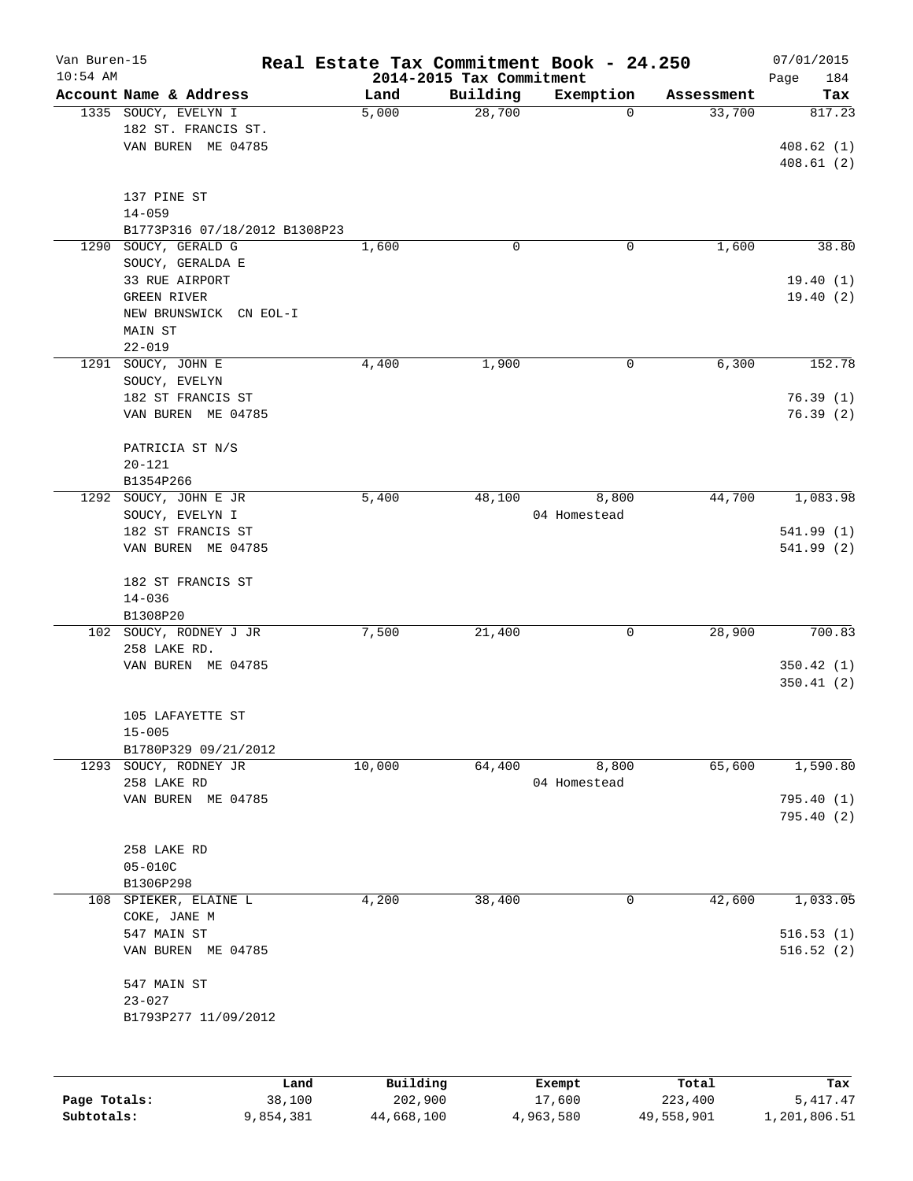| Van Buren-15 |                               | Real Estate Tax Commitment Book - 24.250 |                          |              |            | 07/01/2015  |
|--------------|-------------------------------|------------------------------------------|--------------------------|--------------|------------|-------------|
| $10:54$ AM   |                               |                                          | 2014-2015 Tax Commitment |              |            | 184<br>Page |
|              | Account Name & Address        | Land                                     | Building                 | Exemption    | Assessment | Tax         |
|              | 1335 SOUCY, EVELYN I          | 5,000                                    | 28,700                   | $\Omega$     | 33,700     | 817.23      |
|              | 182 ST. FRANCIS ST.           |                                          |                          |              |            |             |
|              | VAN BUREN ME 04785            |                                          |                          |              |            | 408.62(1)   |
|              |                               |                                          |                          |              |            | 408.61(2)   |
|              | 137 PINE ST                   |                                          |                          |              |            |             |
|              | $14 - 059$                    |                                          |                          |              |            |             |
|              | B1773P316 07/18/2012 B1308P23 |                                          |                          |              |            |             |
| 1290         | SOUCY, GERALD G               | 1,600                                    | 0                        | 0            | 1,600      | 38.80       |
|              | SOUCY, GERALDA E              |                                          |                          |              |            |             |
|              | 33 RUE AIRPORT                |                                          |                          |              |            | 19.40(1)    |
|              | GREEN RIVER                   |                                          |                          |              |            | 19.40(2)    |
|              | NEW BRUNSWICK CN EOL-I        |                                          |                          |              |            |             |
|              | MAIN ST                       |                                          |                          |              |            |             |
|              | $22 - 019$                    |                                          |                          |              |            |             |
|              | 1291 SOUCY, JOHN E            | 4,400                                    | 1,900                    | 0            | 6,300      | 152.78      |
|              | SOUCY, EVELYN                 |                                          |                          |              |            |             |
|              | 182 ST FRANCIS ST             |                                          |                          |              |            | 76.39(1)    |
|              | VAN BUREN ME 04785            |                                          |                          |              |            | 76.39(2)    |
|              |                               |                                          |                          |              |            |             |
|              | PATRICIA ST N/S               |                                          |                          |              |            |             |
|              | $20 - 121$                    |                                          |                          |              |            |             |
|              | B1354P266                     |                                          |                          |              |            |             |
|              | 1292 SOUCY, JOHN E JR         | 5,400                                    | 48,100                   | 8,800        | 44,700     | 1,083.98    |
|              | SOUCY, EVELYN I               |                                          |                          | 04 Homestead |            |             |
|              | 182 ST FRANCIS ST             |                                          |                          |              |            | 541.99 (1)  |
|              | VAN BUREN ME 04785            |                                          |                          |              |            | 541.99(2)   |
|              |                               |                                          |                          |              |            |             |
|              | 182 ST FRANCIS ST             |                                          |                          |              |            |             |
|              | $14 - 036$                    |                                          |                          |              |            |             |
|              | B1308P20                      |                                          |                          |              |            |             |
|              | 102 SOUCY, RODNEY J JR        | 7,500                                    | 21,400                   | 0            | 28,900     | 700.83      |
|              | 258 LAKE RD.                  |                                          |                          |              |            |             |
|              | VAN BUREN ME 04785            |                                          |                          |              |            | 350.42(1)   |
|              |                               |                                          |                          |              |            | 350.41(2)   |
|              |                               |                                          |                          |              |            |             |
|              | 105 LAFAYETTE ST              |                                          |                          |              |            |             |
|              | $15 - 005$                    |                                          |                          |              |            |             |
|              | B1780P329 09/21/2012          |                                          |                          |              |            |             |
|              | 1293 SOUCY, RODNEY JR         | 10,000                                   | 64,400                   | 8,800        | 65,600     | 1,590.80    |
|              | 258 LAKE RD                   |                                          |                          | 04 Homestead |            |             |
|              | VAN BUREN ME 04785            |                                          |                          |              |            | 795.40 (1)  |
|              |                               |                                          |                          |              |            | 795.40(2)   |
|              |                               |                                          |                          |              |            |             |
|              | 258 LAKE RD                   |                                          |                          |              |            |             |
|              | $05 - 010C$                   |                                          |                          |              |            |             |
|              | B1306P298                     |                                          |                          |              |            |             |
| 108          | SPIEKER, ELAINE L             | 4,200                                    | 38,400                   | 0            | 42,600     | 1,033.05    |
|              | COKE, JANE M                  |                                          |                          |              |            |             |
|              | 547 MAIN ST                   |                                          |                          |              |            | 516.53(1)   |
|              | VAN BUREN ME 04785            |                                          |                          |              |            | 516.52(2)   |
|              |                               |                                          |                          |              |            |             |
|              | 547 MAIN ST                   |                                          |                          |              |            |             |
|              | $23 - 027$                    |                                          |                          |              |            |             |
|              | B1793P277 11/09/2012          |                                          |                          |              |            |             |
|              |                               |                                          |                          |              |            |             |
|              |                               |                                          |                          |              |            |             |
|              |                               | Building<br>Land                         |                          | Exempt       | Total      | Tax         |
| Page Totals: |                               | 38,100<br>202,900                        |                          | 17,600       | 223,400    | 5, 417.47   |

**Subtotals:** 9,854,381 44,668,100 4,963,580 49,558,901 1,201,806.51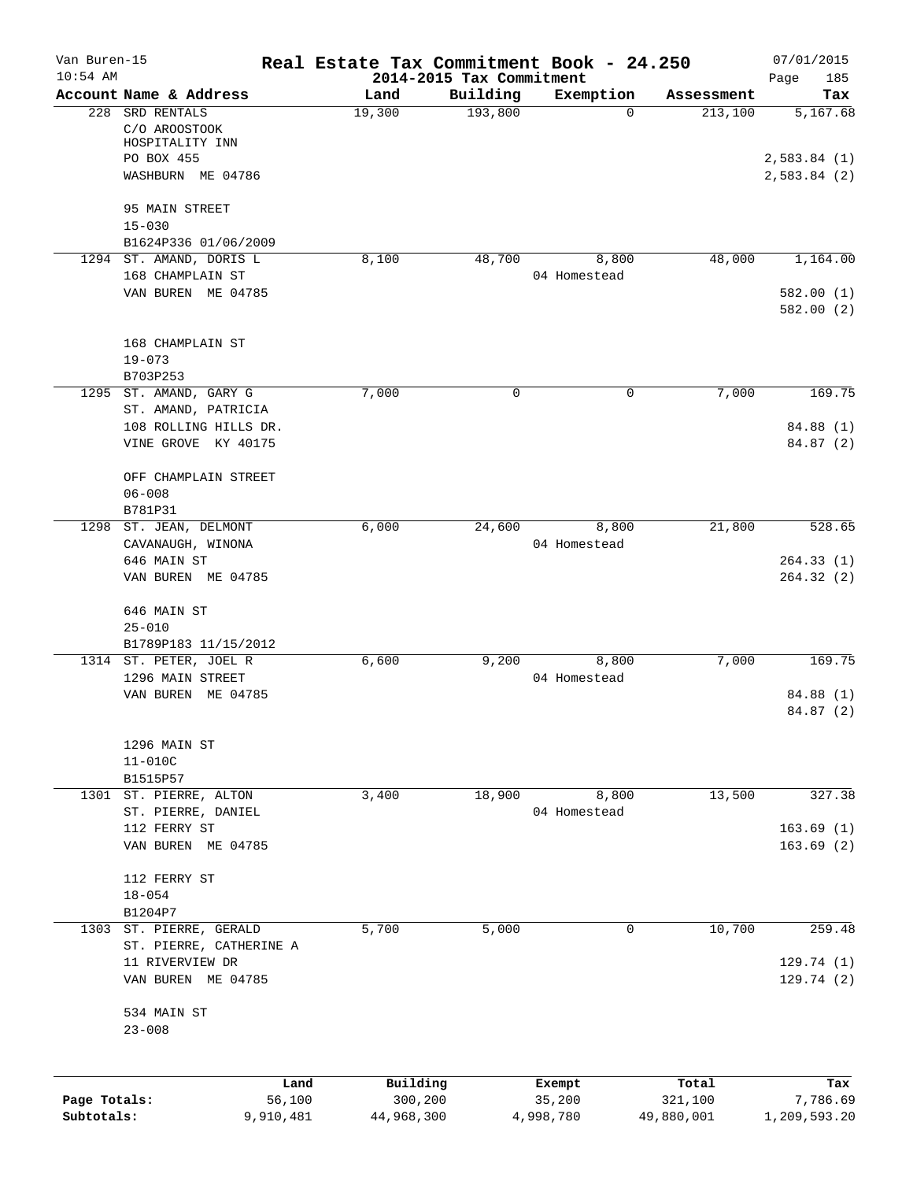| Van Buren-15 |                                                                     | Real Estate Tax Commitment Book - 24.250 |                                      |                       |                  | 07/01/2015                 |
|--------------|---------------------------------------------------------------------|------------------------------------------|--------------------------------------|-----------------------|------------------|----------------------------|
| $10:54$ AM   | Account Name & Address                                              | Land                                     | 2014-2015 Tax Commitment<br>Building | Exemption             | Assessment       | Page<br>185<br>Tax         |
|              | 228 SRD RENTALS<br>C/O AROOSTOOK<br>HOSPITALITY INN                 | 19,300                                   | 193,800                              | $\Omega$              | 213,100          | 5,167.68                   |
|              | PO BOX 455<br>WASHBURN ME 04786                                     |                                          |                                      |                       |                  | 2,583.84(1)<br>2,583.84(2) |
|              | 95 MAIN STREET<br>$15 - 030$<br>B1624P336 01/06/2009                |                                          |                                      |                       |                  |                            |
|              | 1294 ST. AMAND, DORIS L                                             | 8,100                                    | 48,700                               | 8,800                 | 48,000           | 1,164.00                   |
|              | 168 CHAMPLAIN ST<br>VAN BUREN ME 04785                              |                                          |                                      | 04 Homestead          |                  | 582.00(1)<br>582.00(2)     |
|              | 168 CHAMPLAIN ST<br>$19 - 073$<br>B703P253                          |                                          |                                      |                       |                  |                            |
|              | 1295 ST. AMAND, GARY G                                              | 7,000                                    | $\mathbf 0$                          | 0                     | 7,000            | 169.75                     |
|              | ST. AMAND, PATRICIA<br>108 ROLLING HILLS DR.<br>VINE GROVE KY 40175 |                                          |                                      |                       |                  | 84.88 (1)<br>84.87 (2)     |
|              | OFF CHAMPLAIN STREET<br>$06 - 008$<br>B781P31                       |                                          |                                      |                       |                  |                            |
|              | 1298 ST. JEAN, DELMONT<br>CAVANAUGH, WINONA                         | 6,000                                    | 24,600                               | 8,800<br>04 Homestead | 21,800           | 528.65                     |
|              | 646 MAIN ST<br>VAN BUREN ME 04785                                   |                                          |                                      |                       |                  | 264.33(1)<br>264.32(2)     |
|              | 646 MAIN ST<br>$25 - 010$                                           |                                          |                                      |                       |                  |                            |
|              | B1789P183 11/15/2012<br>1314 ST. PETER, JOEL R                      | 6,600                                    | 9,200                                | 8,800                 | 7,000            | 169.75                     |
|              | 1296 MAIN STREET<br>VAN BUREN ME 04785                              |                                          |                                      | 04 Homestead          |                  | 84.88 (1)<br>84.87 (2)     |
|              | 1296 MAIN ST<br>$11 - 010C$<br>B1515P57                             |                                          |                                      |                       |                  |                            |
|              | 1301 ST. PIERRE, ALTON                                              | 3,400                                    | 18,900                               | 8,800                 | 13,500           | 327.38                     |
|              | ST. PIERRE, DANIEL<br>112 FERRY ST<br>VAN BUREN ME 04785            |                                          |                                      | 04 Homestead          |                  | 163.69(1)<br>163.69(2)     |
|              | 112 FERRY ST<br>$18 - 054$<br>B1204P7                               |                                          |                                      |                       |                  |                            |
|              | 1303 ST. PIERRE, GERALD                                             | 5,700                                    | 5,000                                | 0                     | 10,700           | 259.48                     |
|              | ST. PIERRE, CATHERINE A<br>11 RIVERVIEW DR<br>VAN BUREN ME 04785    |                                          |                                      |                       |                  | 129.74 (1)<br>129.74(2)    |
|              | 534 MAIN ST<br>$23 - 008$                                           |                                          |                                      |                       |                  |                            |
| Page Totals: | Land<br>56,100                                                      | Building<br>300,200                      |                                      | Exempt<br>35,200      | Total<br>321,100 | Tax<br>7,786.69            |
| Subtotals:   | 9,910,481                                                           | 44,968,300                               |                                      | 4,998,780             | 49,880,001       | 1,209,593.20               |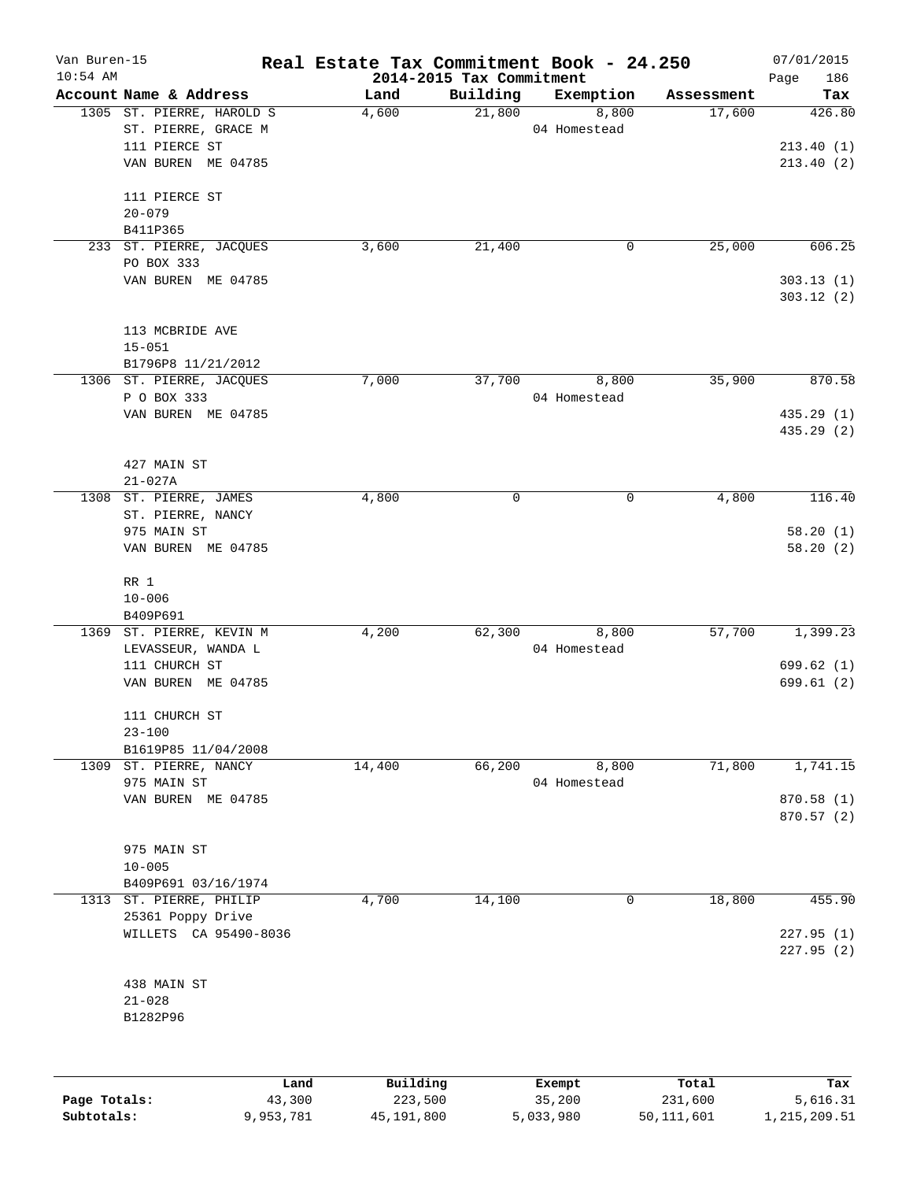| Van Buren-15<br>$10:54$ AM |                           | Real Estate Tax Commitment Book - 24.250 | 2014-2015 Tax Commitment |              |            | 07/01/2015<br>Page<br>186 |
|----------------------------|---------------------------|------------------------------------------|--------------------------|--------------|------------|---------------------------|
|                            | Account Name & Address    | Land                                     | Building                 | Exemption    | Assessment | Tax                       |
|                            | 1305 ST. PIERRE, HAROLD S | 4,600                                    | 21,800                   | 8,800        | 17,600     | 426.80                    |
|                            | ST. PIERRE, GRACE M       |                                          |                          | 04 Homestead |            |                           |
|                            | 111 PIERCE ST             |                                          |                          |              |            | 213.40(1)                 |
|                            | VAN BUREN ME 04785        |                                          |                          |              |            | 213.40(2)                 |
|                            | 111 PIERCE ST             |                                          |                          |              |            |                           |
|                            | $20 - 079$                |                                          |                          |              |            |                           |
|                            | B411P365                  |                                          |                          |              |            |                           |
| 233                        | ST. PIERRE, JACQUES       | 3,600                                    | 21,400                   | 0            | 25,000     | 606.25                    |
|                            | PO BOX 333                |                                          |                          |              |            |                           |
|                            | VAN BUREN ME 04785        |                                          |                          |              |            | 303.13(1)<br>303.12(2)    |
|                            |                           |                                          |                          |              |            |                           |
|                            | 113 MCBRIDE AVE           |                                          |                          |              |            |                           |
|                            | $15 - 051$                |                                          |                          |              |            |                           |
|                            | B1796P8 11/21/2012        |                                          |                          |              |            |                           |
|                            | 1306 ST. PIERRE, JACQUES  | 7,000                                    | 37,700                   | 8,800        | 35,900     | 870.58                    |
|                            | P O BOX 333               |                                          |                          | 04 Homestead |            |                           |
|                            | VAN BUREN ME 04785        |                                          |                          |              |            | 435.29(1)                 |
|                            |                           |                                          |                          |              |            | 435.29 (2)                |
|                            | 427 MAIN ST               |                                          |                          |              |            |                           |
|                            | $21 - 027A$               |                                          |                          |              |            |                           |
| 1308                       | ST. PIERRE, JAMES         | 4,800                                    | 0                        | 0            | 4,800      | 116.40                    |
|                            | ST. PIERRE, NANCY         |                                          |                          |              |            |                           |
|                            | 975 MAIN ST               |                                          |                          |              |            | 58.20(1)                  |
|                            | VAN BUREN ME 04785        |                                          |                          |              |            | 58.20(2)                  |
|                            | RR 1                      |                                          |                          |              |            |                           |
|                            | $10 - 006$                |                                          |                          |              |            |                           |
|                            | B409P691                  |                                          |                          |              |            |                           |
|                            | 1369 ST. PIERRE, KEVIN M  | 4,200                                    | 62,300                   | 8,800        | 57,700     | 1,399.23                  |
|                            | LEVASSEUR, WANDA L        |                                          |                          | 04 Homestead |            |                           |
|                            | 111 CHURCH ST             |                                          |                          |              |            | 699.62(1)                 |
|                            | VAN BUREN ME 04785        |                                          |                          |              |            | 699.61 (2)                |
|                            | 111 CHURCH ST             |                                          |                          |              |            |                           |
|                            | $23 - 100$                |                                          |                          |              |            |                           |
|                            | B1619P85 11/04/2008       |                                          |                          |              |            |                           |
|                            | 1309 ST. PIERRE, NANCY    | 14,400                                   | 66,200                   | 8,800        | 71,800     | 1,741.15                  |
|                            | 975 MAIN ST               |                                          |                          | 04 Homestead |            |                           |
|                            | VAN BUREN ME 04785        |                                          |                          |              |            | 870.58 (1)                |
|                            |                           |                                          |                          |              |            | 870.57 (2)                |
|                            | 975 MAIN ST               |                                          |                          |              |            |                           |
|                            | $10 - 005$                |                                          |                          |              |            |                           |
|                            | B409P691 03/16/1974       |                                          |                          |              |            |                           |
| 1313                       | ST. PIERRE, PHILIP        | 4,700                                    | 14,100                   | 0            | 18,800     | 455.90                    |
|                            | 25361 Poppy Drive         |                                          |                          |              |            |                           |
|                            | WILLETS CA 95490-8036     |                                          |                          |              |            | 227.95(1)                 |
|                            |                           |                                          |                          |              |            | 227.95(2)                 |
|                            | 438 MAIN ST               |                                          |                          |              |            |                           |
|                            | $21 - 028$                |                                          |                          |              |            |                           |
|                            | B1282P96                  |                                          |                          |              |            |                           |
|                            |                           |                                          |                          |              |            |                           |
|                            |                           |                                          |                          |              |            |                           |
|                            | Land                      | Building                                 |                          | Exempt       | Total      | Tax                       |
| Page Totals:               | 43,300                    | 223,500                                  |                          | 35,200       | 231,600    | 5,616.31                  |

**Subtotals:** 9,953,781 45,191,800 5,033,980 50,111,601 1,215,209.51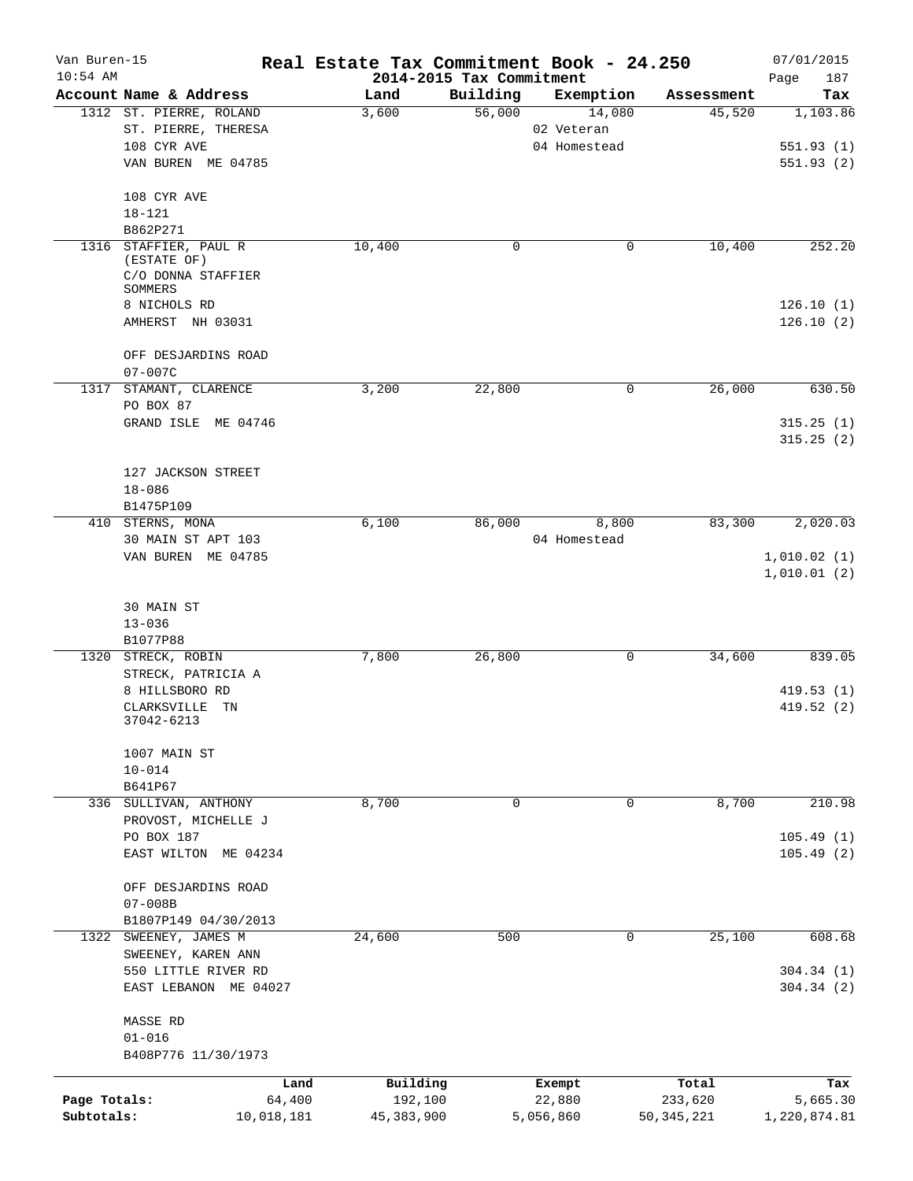| Van Buren-15<br>$10:54$ AM |                                              | Real Estate Tax Commitment Book - 24.250<br>2014-2015 Tax Commitment |             |              |              | 07/01/2015<br>187      |
|----------------------------|----------------------------------------------|----------------------------------------------------------------------|-------------|--------------|--------------|------------------------|
|                            | Account Name & Address                       | Land                                                                 | Building    | Exemption    | Assessment   | Page<br>Tax            |
|                            | 1312 ST. PIERRE, ROLAND                      | 3,600                                                                | 56,000      | 14,080       | 45,520       | 1,103.86               |
|                            | ST. PIERRE, THERESA                          |                                                                      |             | 02 Veteran   |              |                        |
|                            | 108 CYR AVE                                  |                                                                      |             | 04 Homestead |              | 551.93(1)              |
|                            | VAN BUREN ME 04785                           |                                                                      |             |              |              | 551.93(2)              |
|                            | 108 CYR AVE                                  |                                                                      |             |              |              |                        |
|                            | $18 - 121$                                   |                                                                      |             |              |              |                        |
|                            | B862P271                                     |                                                                      |             |              |              |                        |
| 1316                       | STAFFIER, PAUL R<br>(ESTATE OF)              | 10,400                                                               | $\mathbf 0$ | 0            | 10,400       | 252.20                 |
|                            | C/O DONNA STAFFIER<br>SOMMERS                |                                                                      |             |              |              |                        |
|                            | 8 NICHOLS RD                                 |                                                                      |             |              |              | 126.10(1)              |
|                            | AMHERST NH 03031                             |                                                                      |             |              |              | 126.10(2)              |
|                            | OFF DESJARDINS ROAD                          |                                                                      |             |              |              |                        |
|                            | $07 - 007C$                                  |                                                                      |             |              |              |                        |
| 1317                       | STAMANT, CLARENCE                            | 3,200                                                                | 22,800      | 0            | 26,000       | 630.50                 |
|                            | PO BOX 87                                    |                                                                      |             |              |              |                        |
|                            | GRAND ISLE ME 04746                          |                                                                      |             |              |              | 315.25(1)              |
|                            |                                              |                                                                      |             |              |              | 315.25(2)              |
|                            | 127 JACKSON STREET                           |                                                                      |             |              |              |                        |
|                            | $18 - 086$                                   |                                                                      |             |              |              |                        |
|                            | B1475P109                                    |                                                                      |             |              |              |                        |
|                            | 410 STERNS, MONA                             | 6,100                                                                | 86,000      | 8,800        | 83,300       | 2,020.03               |
|                            | 30 MAIN ST APT 103                           |                                                                      |             | 04 Homestead |              |                        |
|                            | VAN BUREN ME 04785                           |                                                                      |             |              |              | 1,010.02(1)            |
|                            |                                              |                                                                      |             |              |              | 1,010.01(2)            |
|                            | 30 MAIN ST                                   |                                                                      |             |              |              |                        |
|                            | $13 - 036$                                   |                                                                      |             |              |              |                        |
|                            | B1077P88                                     |                                                                      |             |              |              |                        |
|                            | 1320 STRECK, ROBIN                           | 7,800                                                                | 26,800      | 0            | 34,600       | 839.05                 |
|                            | STRECK, PATRICIA A                           |                                                                      |             |              |              |                        |
|                            | 8 HILLSBORO RD                               |                                                                      |             |              |              | 419.53(1)              |
|                            | CLARKSVILLE TN<br>37042-6213                 |                                                                      |             |              |              | 419.52 (2)             |
|                            | 1007 MAIN ST                                 |                                                                      |             |              |              |                        |
|                            | $10 - 014$                                   |                                                                      |             |              |              |                        |
|                            | B641P67                                      |                                                                      |             |              |              |                        |
|                            | 336 SULLIVAN, ANTHONY                        | 8,700                                                                | $\mathbf 0$ | $\Omega$     | 8,700        | 210.98                 |
|                            | PROVOST, MICHELLE J                          |                                                                      |             |              |              |                        |
|                            | PO BOX 187                                   |                                                                      |             |              |              | 105.49(1)              |
|                            | EAST WILTON ME 04234                         |                                                                      |             |              |              | 105.49(2)              |
|                            | OFF DESJARDINS ROAD                          |                                                                      |             |              |              |                        |
|                            | $07 - 008B$                                  |                                                                      |             |              |              |                        |
|                            | B1807P149 04/30/2013                         |                                                                      |             |              |              |                        |
|                            | 1322 SWEENEY, JAMES M                        | 24,600                                                               | 500         | 0            | 25,100       | 608.68                 |
|                            | SWEENEY, KAREN ANN                           |                                                                      |             |              |              |                        |
|                            | 550 LITTLE RIVER RD<br>EAST LEBANON ME 04027 |                                                                      |             |              |              | 304.34(1)<br>304.34(2) |
|                            | MASSE RD                                     |                                                                      |             |              |              |                        |
|                            | $01 - 016$                                   |                                                                      |             |              |              |                        |
|                            | B408P776 11/30/1973                          |                                                                      |             |              |              |                        |
|                            | Land                                         | Building                                                             |             | Exempt       | Total        | Tax                    |
| Page Totals:               | 64,400                                       | 192,100                                                              |             | 22,880       | 233,620      | 5,665.30               |
| Subtotals:                 | 10,018,181                                   | 45, 383, 900                                                         |             | 5,056,860    | 50, 345, 221 | 1,220,874.81           |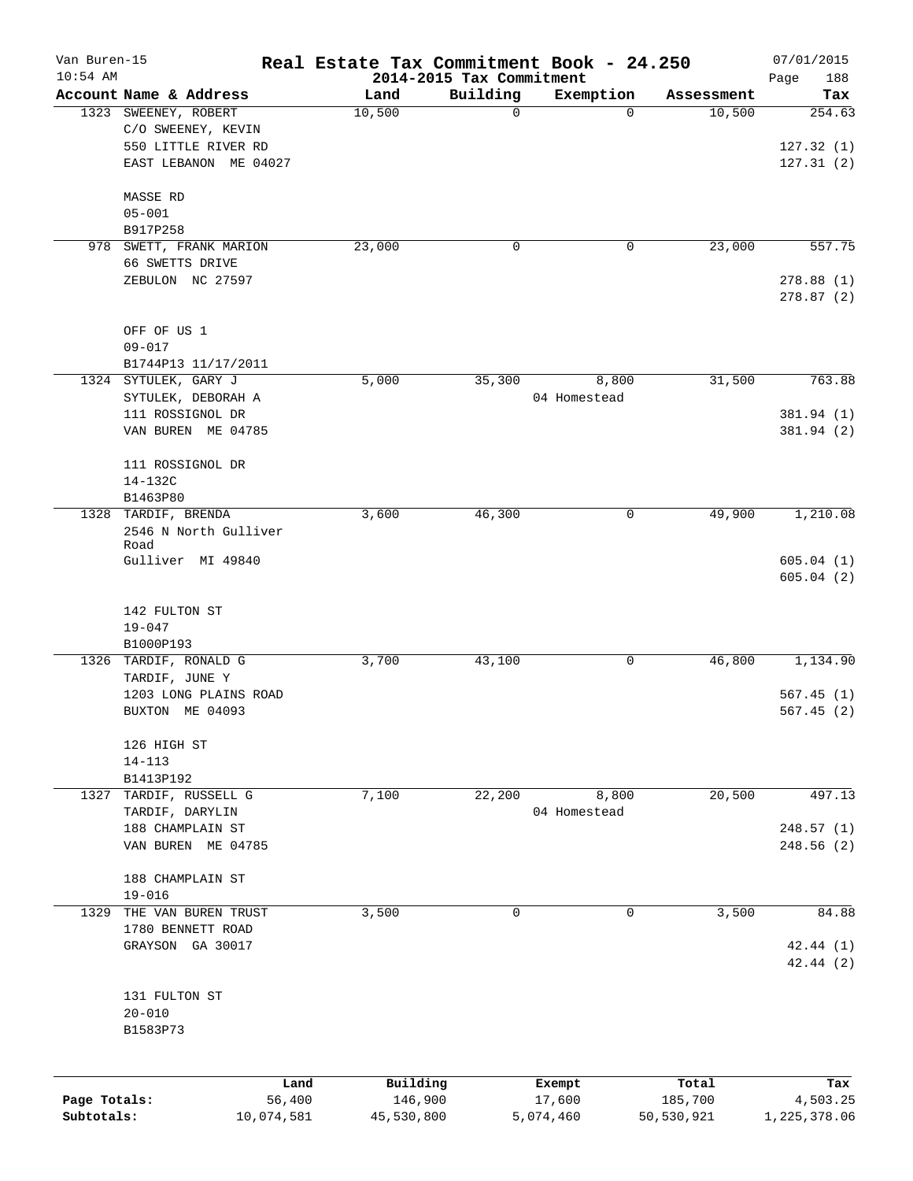| Van Buren-15<br>$10:54$ AM |                        | Real Estate Tax Commitment Book - 24.250 | 2014-2015 Tax Commitment |                  |                  | 07/01/2015<br>188<br>Page |
|----------------------------|------------------------|------------------------------------------|--------------------------|------------------|------------------|---------------------------|
|                            | Account Name & Address | Land                                     | Building                 | Exemption        | Assessment       | Tax                       |
|                            | 1323 SWEENEY, ROBERT   | 10,500                                   | $\mathbf 0$              | 0                | 10,500           | 254.63                    |
|                            | C/O SWEENEY, KEVIN     |                                          |                          |                  |                  |                           |
|                            | 550 LITTLE RIVER RD    |                                          |                          |                  |                  | 127.32(1)                 |
|                            | EAST LEBANON ME 04027  |                                          |                          |                  |                  | 127.31(2)                 |
|                            | MASSE RD               |                                          |                          |                  |                  |                           |
|                            | $05 - 001$             |                                          |                          |                  |                  |                           |
|                            | B917P258               |                                          |                          |                  |                  |                           |
| 978                        | SWETT, FRANK MARION    | 23,000                                   | 0                        | 0                | 23,000           | 557.75                    |
|                            | 66 SWETTS DRIVE        |                                          |                          |                  |                  |                           |
|                            | ZEBULON NC 27597       |                                          |                          |                  |                  | 278.88(1)<br>278.87(2)    |
|                            |                        |                                          |                          |                  |                  |                           |
|                            | OFF OF US 1            |                                          |                          |                  |                  |                           |
|                            | $09 - 017$             |                                          |                          |                  |                  |                           |
|                            | B1744P13 11/17/2011    |                                          |                          |                  |                  |                           |
|                            | 1324 SYTULEK, GARY J   | 5,000                                    | 35,300                   | 8,800            | 31,500           | 763.88                    |
|                            | SYTULEK, DEBORAH A     |                                          |                          | 04 Homestead     |                  |                           |
|                            | 111 ROSSIGNOL DR       |                                          |                          |                  |                  | 381.94 (1)                |
|                            | VAN BUREN ME 04785     |                                          |                          |                  |                  | 381.94 (2)                |
|                            | 111 ROSSIGNOL DR       |                                          |                          |                  |                  |                           |
|                            | 14-132C                |                                          |                          |                  |                  |                           |
|                            | B1463P80               |                                          |                          |                  |                  |                           |
| 1328                       | TARDIF, BRENDA         | 3,600                                    | 46,300                   | 0                | 49,900           | 1,210.08                  |
|                            | 2546 N North Gulliver  |                                          |                          |                  |                  |                           |
|                            | Road                   |                                          |                          |                  |                  |                           |
|                            | Gulliver MI 49840      |                                          |                          |                  |                  | 605.04(1)                 |
|                            |                        |                                          |                          |                  |                  | 605.04(2)                 |
|                            | 142 FULTON ST          |                                          |                          |                  |                  |                           |
|                            | $19 - 047$             |                                          |                          |                  |                  |                           |
|                            | B1000P193              |                                          |                          |                  |                  |                           |
|                            | 1326 TARDIF, RONALD G  | 3,700                                    | 43,100                   | 0                | 46,800           | 1,134.90                  |
|                            | TARDIF, JUNE Y         |                                          |                          |                  |                  |                           |
|                            | 1203 LONG PLAINS ROAD  |                                          |                          |                  |                  | 567.45(1)                 |
|                            | BUXTON ME 04093        |                                          |                          |                  |                  | 567.45(2)                 |
|                            | 126 HIGH ST            |                                          |                          |                  |                  |                           |
|                            | $14 - 113$             |                                          |                          |                  |                  |                           |
|                            | B1413P192              |                                          |                          |                  |                  |                           |
| 1327                       | TARDIF, RUSSELL G      | 7,100                                    | 22,200                   | 8,800            | 20,500           | 497.13                    |
|                            | TARDIF, DARYLIN        |                                          |                          | 04 Homestead     |                  |                           |
|                            | 188 CHAMPLAIN ST       |                                          |                          |                  |                  | 248.57(1)                 |
|                            | VAN BUREN ME 04785     |                                          |                          |                  |                  | 248.56 (2)                |
|                            | 188 CHAMPLAIN ST       |                                          |                          |                  |                  |                           |
|                            | $19 - 016$             |                                          |                          |                  |                  |                           |
| 1329                       | THE VAN BUREN TRUST    | 3,500                                    | $\mathbf 0$              | $\mathbf 0$      | 3,500            | 84.88                     |
|                            | 1780 BENNETT ROAD      |                                          |                          |                  |                  |                           |
|                            | GRAYSON GA 30017       |                                          |                          |                  |                  | 42.44(1)                  |
|                            |                        |                                          |                          |                  |                  | 42.44(2)                  |
|                            |                        |                                          |                          |                  |                  |                           |
|                            | 131 FULTON ST          |                                          |                          |                  |                  |                           |
|                            | $20 - 010$             |                                          |                          |                  |                  |                           |
|                            | B1583P73               |                                          |                          |                  |                  |                           |
|                            |                        |                                          |                          |                  |                  |                           |
| Page Totals:               | Land<br>56,400         | Building<br>146,900                      |                          | Exempt<br>17,600 | Total<br>185,700 | Tax<br>4,503.25           |
| Subtotals:                 | 10,074,581             | 45,530,800                               | 5,074,460                |                  | 50,530,921       | 1,225,378.06              |
|                            |                        |                                          |                          |                  |                  |                           |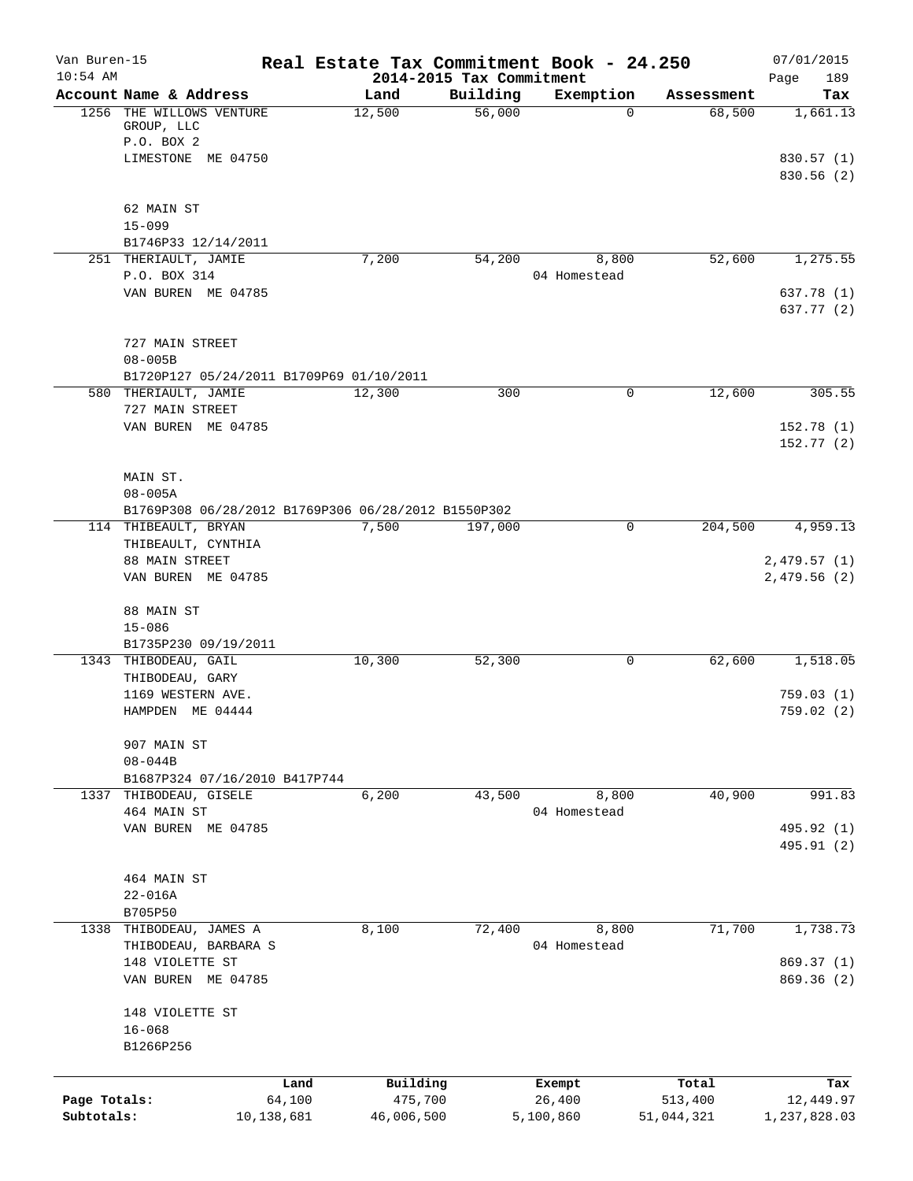| Van Buren-15<br>$10:54$ AM |                                                     |                      |                       |                                      | Real Estate Tax Commitment Book - 24.250 |                       | 07/01/2015                |
|----------------------------|-----------------------------------------------------|----------------------|-----------------------|--------------------------------------|------------------------------------------|-----------------------|---------------------------|
|                            | Account Name & Address                              |                      | Land                  | 2014-2015 Tax Commitment<br>Building | Exemption                                | Assessment            | Page<br>189<br>Tax        |
| 1256                       | THE WILLOWS VENTURE<br>GROUP, LLC<br>P.O. BOX 2     |                      | 12,500                | 56,000                               | 0                                        | 68,500                | 1,661.13                  |
|                            | LIMESTONE ME 04750                                  |                      |                       |                                      |                                          |                       | 830.57 (1)<br>830.56 (2)  |
|                            | 62 MAIN ST                                          |                      |                       |                                      |                                          |                       |                           |
|                            | $15 - 099$                                          |                      |                       |                                      |                                          |                       |                           |
|                            | B1746P33 12/14/2011<br>251 THERIAULT, JAMIE         |                      | 7,200                 | 54,200                               | 8,800                                    | 52,600                | 1,275.55                  |
|                            | P.O. BOX 314                                        |                      |                       |                                      | 04 Homestead                             |                       |                           |
|                            | VAN BUREN ME 04785                                  |                      |                       |                                      |                                          |                       | 637.78 (1)<br>637.77 (2)  |
|                            | 727 MAIN STREET<br>$08 - 005B$                      |                      |                       |                                      |                                          |                       |                           |
|                            | B1720P127 05/24/2011 B1709P69 01/10/2011            |                      |                       |                                      |                                          |                       |                           |
|                            | 580 THERIAULT, JAMIE                                |                      | 12,300                | 300                                  | 0                                        | 12,600                | 305.55                    |
|                            | 727 MAIN STREET                                     |                      |                       |                                      |                                          |                       |                           |
|                            | VAN BUREN ME 04785                                  |                      |                       |                                      |                                          |                       | 152.78(1)<br>152.77(2)    |
|                            | MAIN ST.                                            |                      |                       |                                      |                                          |                       |                           |
|                            | $08 - 005A$                                         |                      |                       |                                      |                                          |                       |                           |
|                            | B1769P308 06/28/2012 B1769P306 06/28/2012 B1550P302 |                      |                       |                                      | 0                                        | 204,500               | 4,959.13                  |
|                            | 114 THIBEAULT, BRYAN<br>THIBEAULT, CYNTHIA          |                      | 7,500                 | 197,000                              |                                          |                       |                           |
|                            | 88 MAIN STREET                                      |                      |                       |                                      |                                          |                       | 2,479.57(1)               |
|                            | VAN BUREN ME 04785                                  |                      |                       |                                      |                                          |                       | 2,479.56(2)               |
|                            | 88 MAIN ST                                          |                      |                       |                                      |                                          |                       |                           |
|                            | $15 - 086$<br>B1735P230 09/19/2011                  |                      |                       |                                      |                                          |                       |                           |
|                            | 1343 THIBODEAU, GAIL                                |                      | 10,300                | 52,300                               | 0                                        | 62,600                | 1,518.05                  |
|                            | THIBODEAU, GARY                                     |                      |                       |                                      |                                          |                       |                           |
|                            | 1169 WESTERN AVE.<br>HAMPDEN ME 04444               |                      |                       |                                      |                                          |                       | 759.03(1)<br>759.02(2)    |
|                            |                                                     |                      |                       |                                      |                                          |                       |                           |
|                            | 907 MAIN ST                                         |                      |                       |                                      |                                          |                       |                           |
|                            | $08 - 044B$<br>B1687P324 07/16/2010 B417P744        |                      |                       |                                      |                                          |                       |                           |
|                            | 1337 THIBODEAU, GISELE                              |                      | 6,200                 | 43,500                               | 8,800                                    | 40,900                | 991.83                    |
|                            | 464 MAIN ST                                         |                      |                       |                                      | 04 Homestead                             |                       |                           |
|                            | VAN BUREN ME 04785                                  |                      |                       |                                      |                                          |                       | 495.92 (1)<br>495.91 (2)  |
|                            |                                                     |                      |                       |                                      |                                          |                       |                           |
|                            | 464 MAIN ST                                         |                      |                       |                                      |                                          |                       |                           |
|                            | $22 - 016A$<br>B705P50                              |                      |                       |                                      |                                          |                       |                           |
|                            | 1338 THIBODEAU, JAMES A                             |                      | 8,100                 | 72,400                               | 8,800                                    | 71,700                | 1,738.73                  |
|                            | THIBODEAU, BARBARA S                                |                      |                       |                                      | 04 Homestead                             |                       |                           |
|                            | 148 VIOLETTE ST                                     |                      |                       |                                      |                                          |                       | 869.37 (1)                |
|                            | VAN BUREN ME 04785                                  |                      |                       |                                      |                                          |                       | 869.36 (2)                |
|                            | 148 VIOLETTE ST                                     |                      |                       |                                      |                                          |                       |                           |
|                            | $16 - 068$<br>B1266P256                             |                      |                       |                                      |                                          |                       |                           |
|                            |                                                     |                      |                       |                                      |                                          |                       |                           |
|                            |                                                     | Land                 | Building              |                                      | Exempt                                   | Total                 | Tax                       |
| Page Totals:<br>Subtotals: |                                                     | 64,100<br>10,138,681 | 475,700<br>46,006,500 |                                      | 26,400<br>5,100,860                      | 513,400<br>51,044,321 | 12,449.97<br>1,237,828.03 |
|                            |                                                     |                      |                       |                                      |                                          |                       |                           |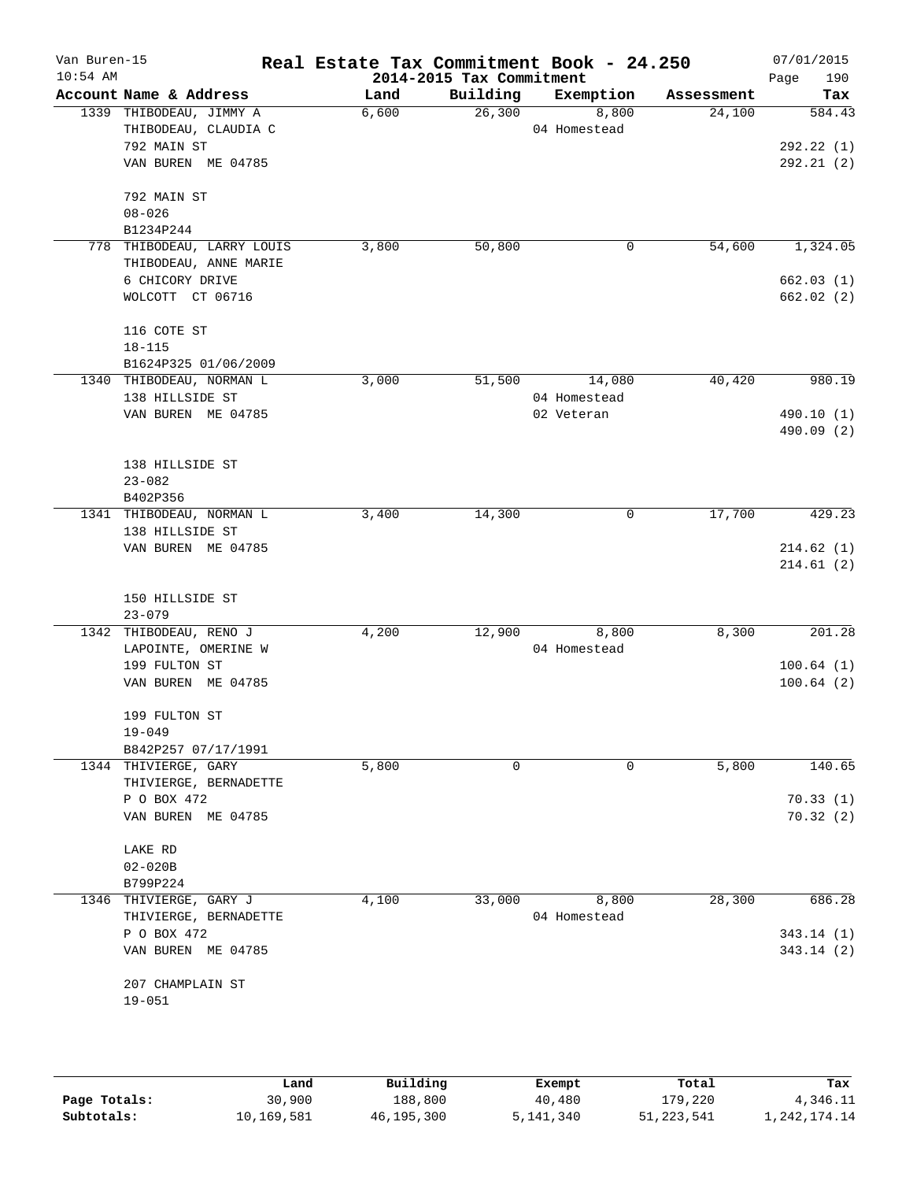| Van Buren-15<br>$10:54$ AM |                                                 | Real Estate Tax Commitment Book - 24.250 | 2014-2015 Tax Commitment |                       |            | 07/01/2015<br>Page<br>190 |
|----------------------------|-------------------------------------------------|------------------------------------------|--------------------------|-----------------------|------------|---------------------------|
|                            | Account Name & Address                          | Land                                     | Building                 | Exemption             | Assessment | Tax                       |
|                            | 1339 THIBODEAU, JIMMY A<br>THIBODEAU, CLAUDIA C | 6,600                                    | 26,300                   | 8,800<br>04 Homestead | 24,100     | 584.43                    |
|                            | 792 MAIN ST                                     |                                          |                          |                       |            | 292.22(1)                 |
|                            | VAN BUREN ME 04785                              |                                          |                          |                       |            | 292.21(2)                 |
|                            | 792 MAIN ST                                     |                                          |                          |                       |            |                           |
|                            | $08 - 026$                                      |                                          |                          |                       |            |                           |
|                            | B1234P244<br>778 THIBODEAU, LARRY LOUIS         | 3,800                                    | 50,800                   | 0                     | 54,600     | 1,324.05                  |
|                            | THIBODEAU, ANNE MARIE                           |                                          |                          |                       |            |                           |
|                            | 6 CHICORY DRIVE                                 |                                          |                          |                       |            | 662.03(1)                 |
|                            | WOLCOTT CT 06716                                |                                          |                          |                       |            | 662.02(2)                 |
|                            | 116 COTE ST                                     |                                          |                          |                       |            |                           |
|                            | $18 - 115$                                      |                                          |                          |                       |            |                           |
|                            | B1624P325 01/06/2009                            |                                          |                          |                       |            |                           |
|                            | 1340 THIBODEAU, NORMAN L                        | 3,000                                    | 51,500                   | 14,080                | 40,420     | 980.19                    |
|                            | 138 HILLSIDE ST                                 |                                          |                          | 04 Homestead          |            |                           |
|                            | VAN BUREN ME 04785                              |                                          |                          | 02 Veteran            |            | 490.10 (1)<br>490.09 (2)  |
|                            | 138 HILLSIDE ST                                 |                                          |                          |                       |            |                           |
|                            | $23 - 082$                                      |                                          |                          |                       |            |                           |
|                            | B402P356                                        |                                          |                          |                       |            |                           |
|                            | 1341 THIBODEAU, NORMAN L                        | 3,400                                    | 14,300                   | 0                     | 17,700     | 429.23                    |
|                            | 138 HILLSIDE ST                                 |                                          |                          |                       |            |                           |
|                            | VAN BUREN ME 04785                              |                                          |                          |                       |            | 214.62(1)                 |
|                            |                                                 |                                          |                          |                       |            | 214.61(2)                 |
|                            | 150 HILLSIDE ST                                 |                                          |                          |                       |            |                           |
|                            | $23 - 079$                                      |                                          |                          |                       |            |                           |
|                            | 1342 THIBODEAU, RENO J                          | 4,200                                    | 12,900                   | 8,800                 | 8,300      | 201.28                    |
|                            | LAPOINTE, OMERINE W                             |                                          |                          | 04 Homestead          |            |                           |
|                            | 199 FULTON ST                                   |                                          |                          |                       |            | 100.64(1)                 |
|                            | VAN BUREN ME 04785                              |                                          |                          |                       |            | 100.64(2)                 |
|                            | 199 FULTON ST                                   |                                          |                          |                       |            |                           |
|                            | $19 - 049$                                      |                                          |                          |                       |            |                           |
|                            | B842P257 07/17/1991                             |                                          |                          |                       |            |                           |
|                            | 1344 THIVIERGE, GARY<br>THIVIERGE, BERNADETTE   | 5,800                                    | 0                        | 0                     | 5,800      | 140.65                    |
|                            | P O BOX 472                                     |                                          |                          |                       |            | 70.33(1)                  |
|                            | VAN BUREN ME 04785                              |                                          |                          |                       |            | 70.32(2)                  |
|                            | LAKE RD                                         |                                          |                          |                       |            |                           |
|                            | $02 - 020B$                                     |                                          |                          |                       |            |                           |
|                            | B799P224                                        |                                          |                          |                       |            |                           |
|                            | 1346 THIVIERGE, GARY J                          | 4,100                                    | 33,000                   | 8,800                 | 28,300     | 686.28                    |
|                            | THIVIERGE, BERNADETTE                           |                                          |                          | 04 Homestead          |            |                           |
|                            | P O BOX 472                                     |                                          |                          |                       |            | 343.14(1)                 |
|                            | VAN BUREN ME 04785                              |                                          |                          |                       |            | 343.14(2)                 |
|                            | 207 CHAMPLAIN ST                                |                                          |                          |                       |            |                           |
|                            | $19 - 051$                                      |                                          |                          |                       |            |                           |
|                            |                                                 |                                          |                          |                       |            |                           |
|                            |                                                 |                                          |                          |                       |            |                           |

|              | Land       | Building   | Exempt    | Total        | Tax          |
|--------------|------------|------------|-----------|--------------|--------------|
| Page Totals: | 30,900     | 188,800    | 40,480    | 179,220      | 4,346.11     |
| Subtotals:   | 10,169,581 | 46,195,300 | 5,141,340 | 51, 223, 541 | 1,242,174.14 |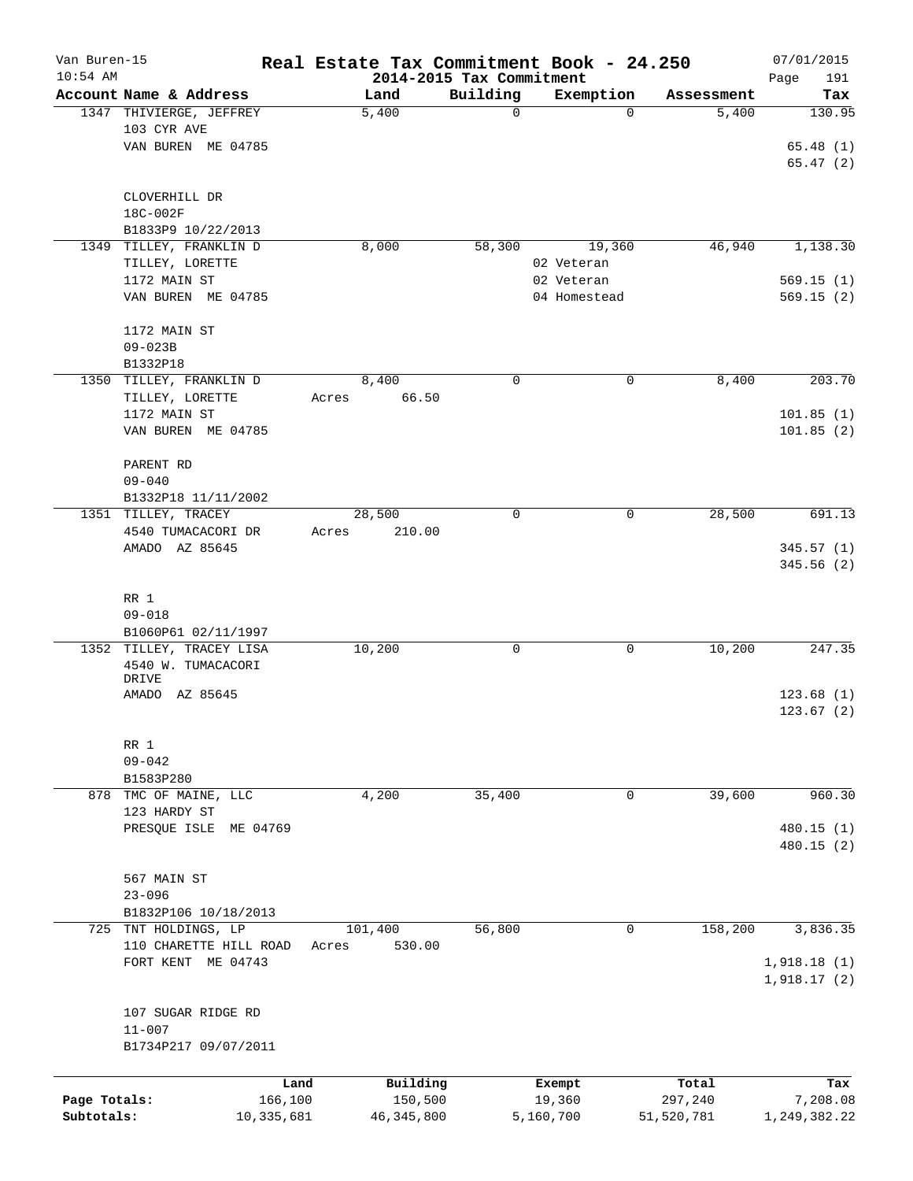| Van Buren-15<br>$10:54$ AM |                                                              | Real Estate Tax Commitment Book - 24.250<br>2014-2015 Tax Commitment |             |                  |                  | 07/01/2015<br>191<br>Page      |
|----------------------------|--------------------------------------------------------------|----------------------------------------------------------------------|-------------|------------------|------------------|--------------------------------|
|                            | Account Name & Address                                       | Land                                                                 | Building    | Exemption        | Assessment       | Tax                            |
|                            | 1347 THIVIERGE, JEFFREY<br>103 CYR AVE<br>VAN BUREN ME 04785 | 5,400                                                                | $\mathbf 0$ | $\Omega$         | 5,400            | 130.95<br>65.48(1)<br>65.47(2) |
|                            | CLOVERHILL DR<br>18C-002F<br>B1833P9 10/22/2013              |                                                                      |             |                  |                  |                                |
|                            | 1349 TILLEY, FRANKLIN D                                      | 8,000                                                                | 58,300      | 19,360           | 46,940           | 1,138.30                       |
|                            | TILLEY, LORETTE                                              |                                                                      |             | 02 Veteran       |                  |                                |
|                            | 1172 MAIN ST                                                 |                                                                      |             | 02 Veteran       |                  | 569.15(1)                      |
|                            | VAN BUREN ME 04785                                           |                                                                      |             | 04 Homestead     |                  | 569.15(2)                      |
|                            | 1172 MAIN ST<br>$09 - 023B$                                  |                                                                      |             |                  |                  |                                |
|                            | B1332P18                                                     |                                                                      |             |                  |                  |                                |
|                            | 1350 TILLEY, FRANKLIN D<br>TILLEY, LORETTE                   | 8,400<br>66.50<br>Acres                                              | 0           | 0                | 8,400            | 203.70                         |
|                            | 1172 MAIN ST<br>VAN BUREN ME 04785                           |                                                                      |             |                  |                  | 101.85(1)<br>101.85(2)         |
|                            |                                                              |                                                                      |             |                  |                  |                                |
|                            | PARENT RD                                                    |                                                                      |             |                  |                  |                                |
|                            | $09 - 040$                                                   |                                                                      |             |                  |                  |                                |
|                            | B1332P18 11/11/2002                                          |                                                                      |             |                  |                  |                                |
|                            | 1351 TILLEY, TRACEY                                          | 28,500                                                               | 0           | 0                | 28,500           | 691.13                         |
|                            | 4540 TUMACACORI DR<br>AMADO AZ 85645                         | Acres<br>210.00                                                      |             |                  |                  | 345.57(1)<br>345.56 (2)        |
|                            | RR 1<br>$09 - 018$<br>B1060P61 02/11/1997                    |                                                                      |             |                  |                  |                                |
|                            | 1352 TILLEY, TRACEY LISA                                     | 10,200                                                               | 0           | 0                | 10,200           | 247.35                         |
|                            | 4540 W. TUMACACORI<br>DRIVE                                  |                                                                      |             |                  |                  |                                |
|                            | AMADO AZ 85645                                               |                                                                      |             |                  |                  | 123.68(1)                      |
|                            |                                                              |                                                                      |             |                  |                  | 123.67(2)                      |
|                            | RR 1                                                         |                                                                      |             |                  |                  |                                |
|                            | $09 - 042$                                                   |                                                                      |             |                  |                  |                                |
| 878                        | B1583P280<br>TMC OF MAINE, LLC                               | 4,200                                                                | 35,400      | 0                | 39,600           | 960.30                         |
|                            | 123 HARDY ST                                                 |                                                                      |             |                  |                  |                                |
|                            | PRESQUE ISLE<br>ME 04769                                     |                                                                      |             |                  |                  | 480.15(1)                      |
|                            |                                                              |                                                                      |             |                  |                  | 480.15(2)                      |
|                            |                                                              |                                                                      |             |                  |                  |                                |
|                            | 567 MAIN ST                                                  |                                                                      |             |                  |                  |                                |
|                            | $23 - 096$<br>B1832P106 10/18/2013                           |                                                                      |             |                  |                  |                                |
|                            | 725 TNT HOLDINGS, LP                                         | 101,400                                                              | 56,800      | 0                | 158,200          | 3,836.35                       |
|                            | 110 CHARETTE HILL ROAD                                       | 530.00<br>Acres                                                      |             |                  |                  |                                |
|                            | FORT KENT ME 04743                                           |                                                                      |             |                  |                  | 1,918.18(1)<br>1,918.17(2)     |
|                            |                                                              |                                                                      |             |                  |                  |                                |
|                            | 107 SUGAR RIDGE RD                                           |                                                                      |             |                  |                  |                                |
|                            | $11 - 007$                                                   |                                                                      |             |                  |                  |                                |
|                            | B1734P217 09/07/2011                                         |                                                                      |             |                  |                  |                                |
|                            |                                                              |                                                                      |             |                  |                  |                                |
| Page Totals:               | 166,100                                                      | Building<br>Land<br>150,500                                          |             | Exempt<br>19,360 | Total<br>297,240 | Tax<br>7,208.08                |
| Subtotals:                 | 10,335,681                                                   | 46, 345, 800                                                         |             | 5,160,700        | 51,520,781       | 1,249,382.22                   |
|                            |                                                              |                                                                      |             |                  |                  |                                |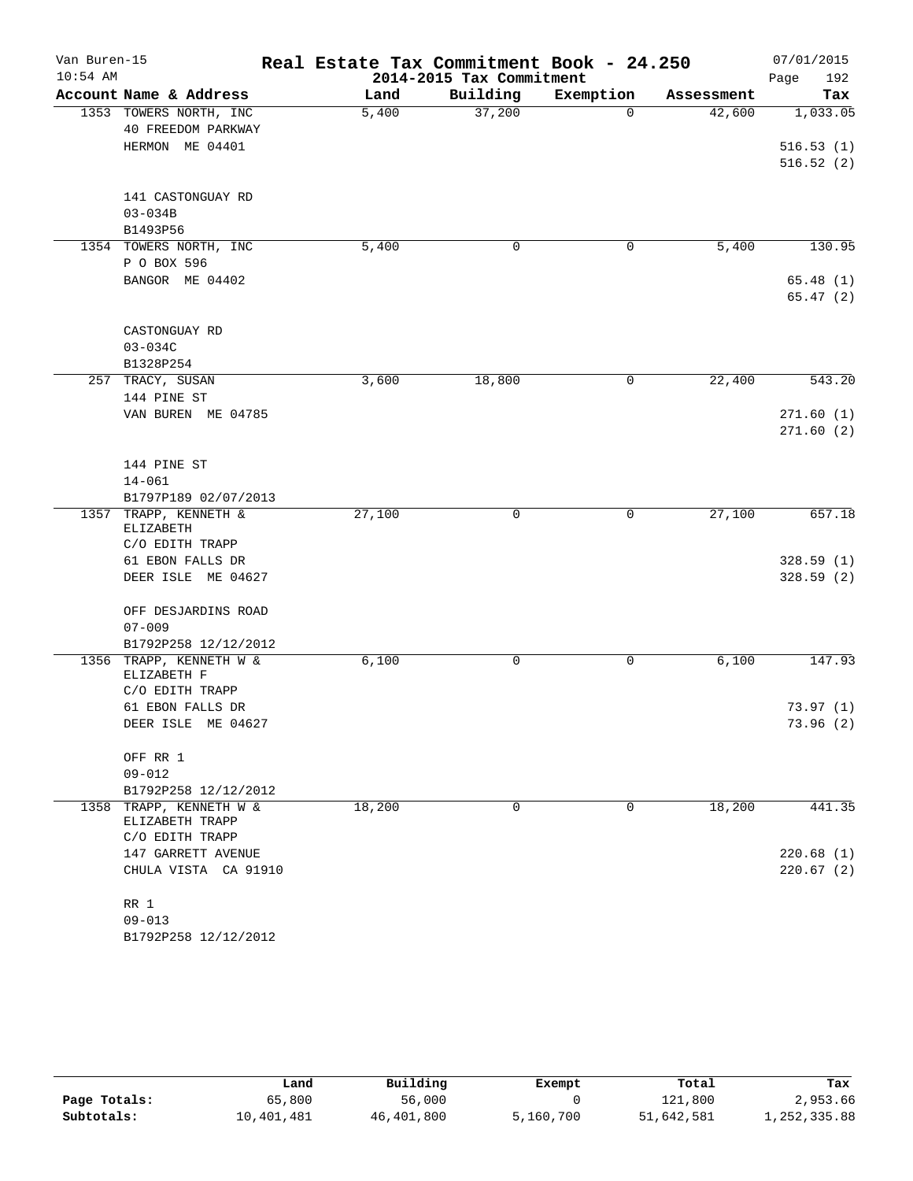| Van Buren-15<br>$10:54$ AM |                                                 | Real Estate Tax Commitment Book - 24.250 | 2014-2015 Tax Commitment |                       |            | 07/01/2015  |
|----------------------------|-------------------------------------------------|------------------------------------------|--------------------------|-----------------------|------------|-------------|
|                            | Account Name & Address                          |                                          |                          |                       |            | 192<br>Page |
|                            |                                                 | Land                                     | Building<br>37,200       | Exemption<br>$\Omega$ | Assessment | Tax         |
|                            | 1353 TOWERS NORTH, INC<br>40 FREEDOM PARKWAY    | 5,400                                    |                          |                       | 42,600     | 1,033.05    |
|                            | HERMON ME 04401                                 |                                          |                          |                       |            | 516.53(1)   |
|                            |                                                 |                                          |                          |                       |            | 516.52(2)   |
|                            |                                                 |                                          |                          |                       |            |             |
|                            | 141 CASTONGUAY RD                               |                                          |                          |                       |            |             |
|                            | $03 - 034B$                                     |                                          |                          |                       |            |             |
|                            | B1493P56                                        |                                          |                          |                       |            |             |
|                            | 1354 TOWERS NORTH, INC                          | 5,400                                    | $\mathbf 0$              | 0                     | 5,400      | 130.95      |
|                            | P O BOX 596                                     |                                          |                          |                       |            |             |
|                            | BANGOR ME 04402                                 |                                          |                          |                       |            | 65.48(1)    |
|                            |                                                 |                                          |                          |                       |            | 65.47(2)    |
|                            |                                                 |                                          |                          |                       |            |             |
|                            | CASTONGUAY RD                                   |                                          |                          |                       |            |             |
|                            | $03 - 034C$                                     |                                          |                          |                       |            |             |
|                            | B1328P254                                       |                                          |                          |                       | 22,400     |             |
|                            | 257 TRACY, SUSAN<br>144 PINE ST                 | 3,600                                    | 18,800                   | 0                     |            | 543.20      |
|                            | VAN BUREN ME 04785                              |                                          |                          |                       |            | 271.60(1)   |
|                            |                                                 |                                          |                          |                       |            | 271.60(2)   |
|                            |                                                 |                                          |                          |                       |            |             |
|                            | 144 PINE ST                                     |                                          |                          |                       |            |             |
|                            | $14 - 061$                                      |                                          |                          |                       |            |             |
|                            | B1797P189 02/07/2013                            |                                          |                          |                       |            |             |
| 1357                       | TRAPP, KENNETH &<br>ELIZABETH                   | 27,100                                   | $\mathbf 0$              | 0                     | 27,100     | 657.18      |
|                            | C/O EDITH TRAPP                                 |                                          |                          |                       |            |             |
|                            | 61 EBON FALLS DR                                |                                          |                          |                       |            | 328.59(1)   |
|                            | DEER ISLE ME 04627                              |                                          |                          |                       |            | 328.59(2)   |
|                            |                                                 |                                          |                          |                       |            |             |
|                            | OFF DESJARDINS ROAD                             |                                          |                          |                       |            |             |
|                            | $07 - 009$                                      |                                          |                          |                       |            |             |
|                            | B1792P258 12/12/2012<br>1356 TRAPP, KENNETH W & | 6,100                                    | $\mathbf 0$              | 0                     | 6,100      | 147.93      |
|                            | ELIZABETH F                                     |                                          |                          |                       |            |             |
|                            | C/O EDITH TRAPP                                 |                                          |                          |                       |            |             |
|                            | 61 EBON FALLS DR                                |                                          |                          |                       |            | 73.97(1)    |
|                            | DEER ISLE ME 04627                              |                                          |                          |                       |            | 73.96 (2)   |
|                            |                                                 |                                          |                          |                       |            |             |
|                            | OFF RR 1                                        |                                          |                          |                       |            |             |
|                            | $09 - 012$                                      |                                          |                          |                       |            |             |
|                            | B1792P258 12/12/2012                            |                                          |                          |                       |            |             |
| 1358                       | TRAPP, KENNETH W &<br>ELIZABETH TRAPP           | 18,200                                   | $\mathbf 0$              | 0                     | 18,200     | 441.35      |
|                            | C/O EDITH TRAPP                                 |                                          |                          |                       |            |             |
|                            | 147 GARRETT AVENUE                              |                                          |                          |                       |            | 220.68(1)   |
|                            | CHULA VISTA CA 91910                            |                                          |                          |                       |            | 220.67(2)   |
|                            |                                                 |                                          |                          |                       |            |             |
|                            | RR 1                                            |                                          |                          |                       |            |             |
|                            | $09 - 013$                                      |                                          |                          |                       |            |             |
|                            | B1792P258 12/12/2012                            |                                          |                          |                       |            |             |

|              | Land       | Building   | Exempt    | Total      | Tax          |
|--------------|------------|------------|-----------|------------|--------------|
| Page Totals: | 65,800     | 56,000     |           | 121,800    | 2,953.66     |
| Subtotals:   | 10,401,481 | 46,401,800 | 5,160,700 | 51,642,581 | 1,252,335.88 |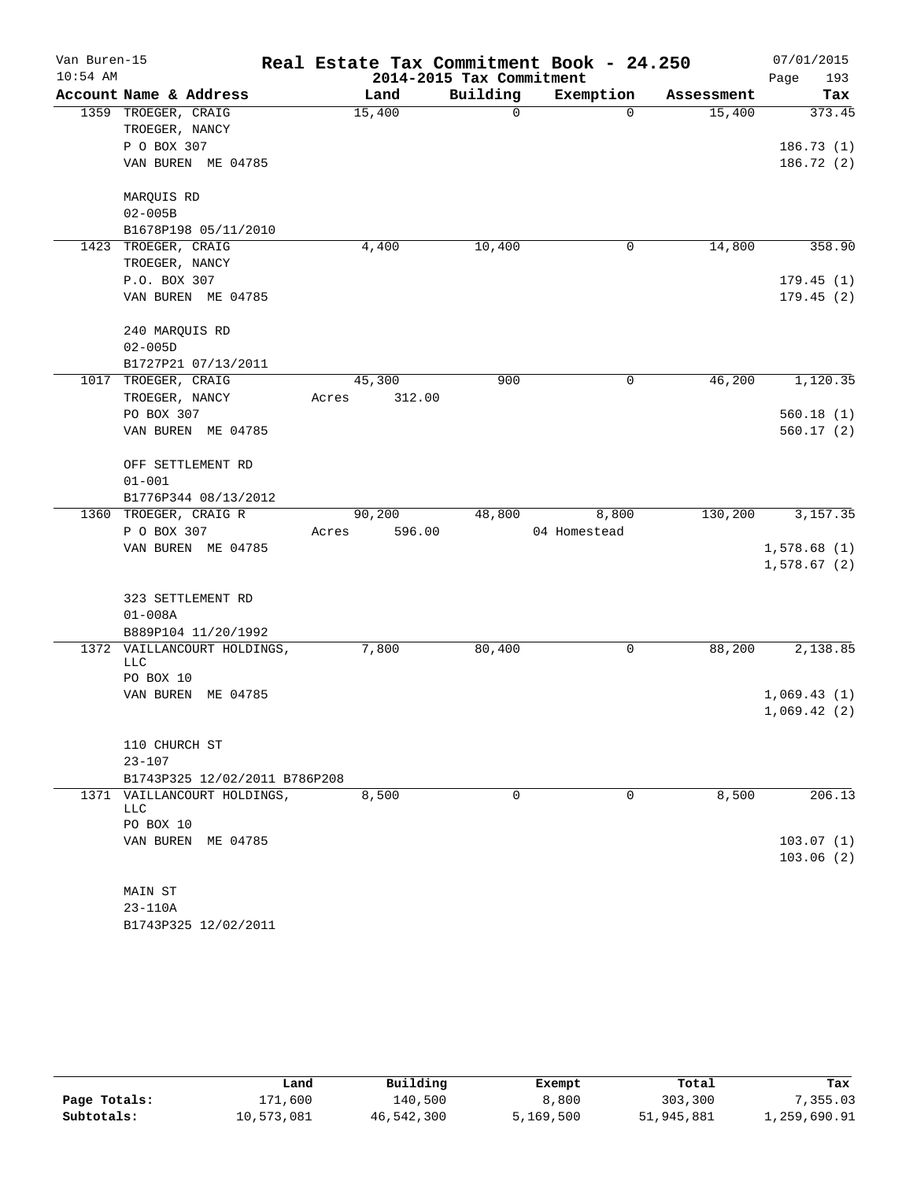| Van Buren-15<br>$10:54$ AM |                               | Real Estate Tax Commitment Book - 24.250 | 2014-2015 Tax Commitment |              |            | 07/01/2015<br>193 |
|----------------------------|-------------------------------|------------------------------------------|--------------------------|--------------|------------|-------------------|
|                            | Account Name & Address        | Land                                     | Building                 | Exemption    | Assessment | Page<br>Tax       |
|                            | 1359 TROEGER, CRAIG           | 15,400                                   | 0                        | $\Omega$     | 15,400     | 373.45            |
|                            | TROEGER, NANCY                |                                          |                          |              |            |                   |
|                            | P O BOX 307                   |                                          |                          |              |            | 186.73(1)         |
|                            | VAN BUREN ME 04785            |                                          |                          |              |            | 186.72 (2)        |
|                            |                               |                                          |                          |              |            |                   |
|                            | MARQUIS RD                    |                                          |                          |              |            |                   |
|                            | $02 - 005B$                   |                                          |                          |              |            |                   |
|                            | B1678P198 05/11/2010          |                                          |                          |              |            |                   |
| 1423                       | TROEGER, CRAIG                | 4,400                                    | 10,400                   | 0            | 14,800     | 358.90            |
|                            | TROEGER, NANCY                |                                          |                          |              |            |                   |
|                            | P.O. BOX 307                  |                                          |                          |              |            | 179.45(1)         |
|                            | VAN BUREN ME 04785            |                                          |                          |              |            | 179.45(2)         |
|                            |                               |                                          |                          |              |            |                   |
|                            | 240 MARQUIS RD                |                                          |                          |              |            |                   |
|                            | $02 - 005D$                   |                                          |                          |              |            |                   |
|                            | B1727P21 07/13/2011           |                                          |                          |              |            |                   |
|                            | 1017 TROEGER, CRAIG           | 45,300                                   | 900                      | $\mathbf 0$  | 46,200     | 1,120.35          |
|                            | TROEGER, NANCY                | 312.00<br>Acres                          |                          |              |            |                   |
|                            | PO BOX 307                    |                                          |                          |              |            | 560.18(1)         |
|                            | VAN BUREN ME 04785            |                                          |                          |              |            | 560.17(2)         |
|                            | OFF SETTLEMENT RD             |                                          |                          |              |            |                   |
|                            | $01 - 001$                    |                                          |                          |              |            |                   |
|                            | B1776P344 08/13/2012          |                                          |                          |              |            |                   |
| 1360                       | TROEGER, CRAIG R              | 90,200                                   | 48,800                   | 8,800        | 130,200    | 3,157.35          |
|                            | P O BOX 307                   | 596.00<br>Acres                          |                          | 04 Homestead |            |                   |
|                            | VAN BUREN ME 04785            |                                          |                          |              |            | 1,578.68(1)       |
|                            |                               |                                          |                          |              |            | 1,578.67(2)       |
|                            | 323 SETTLEMENT RD             |                                          |                          |              |            |                   |
|                            | $01 - 008A$                   |                                          |                          |              |            |                   |
|                            | B889P104 11/20/1992           |                                          |                          |              |            |                   |
| 1372                       | VAILLANCOURT HOLDINGS,        | 7,800                                    | 80,400                   | 0            | 88,200     | 2,138.85          |
|                            | <b>LLC</b>                    |                                          |                          |              |            |                   |
|                            | PO BOX 10                     |                                          |                          |              |            |                   |
|                            | VAN BUREN<br>ME 04785         |                                          |                          |              |            | 1,069.43(1)       |
|                            |                               |                                          |                          |              |            | 1,069.42(2)       |
|                            | 110 CHURCH ST                 |                                          |                          |              |            |                   |
|                            | $23 - 107$                    |                                          |                          |              |            |                   |
|                            | B1743P325 12/02/2011 B786P208 |                                          |                          |              |            |                   |
|                            | 1371 VAILLANCOURT HOLDINGS,   | 8,500                                    | 0                        | 0            | 8,500      | 206.13            |
|                            | LLC                           |                                          |                          |              |            |                   |
|                            | PO BOX 10                     |                                          |                          |              |            |                   |
|                            | VAN BUREN ME 04785            |                                          |                          |              |            | 103.07(1)         |
|                            |                               |                                          |                          |              |            | 103.06(2)         |
|                            |                               |                                          |                          |              |            |                   |
|                            | MAIN ST                       |                                          |                          |              |            |                   |
|                            | $23 - 110A$                   |                                          |                          |              |            |                   |

|              | Land       | Building   | Exempt    | Total      | Tax          |
|--------------|------------|------------|-----------|------------|--------------|
| Page Totals: | 171,600    | 140,500    | 8,800     | 303,300    | 7,355.03     |
| Subtotals:   | 10,573,081 | 46,542,300 | 5,169,500 | 51,945,881 | 1,259,690.91 |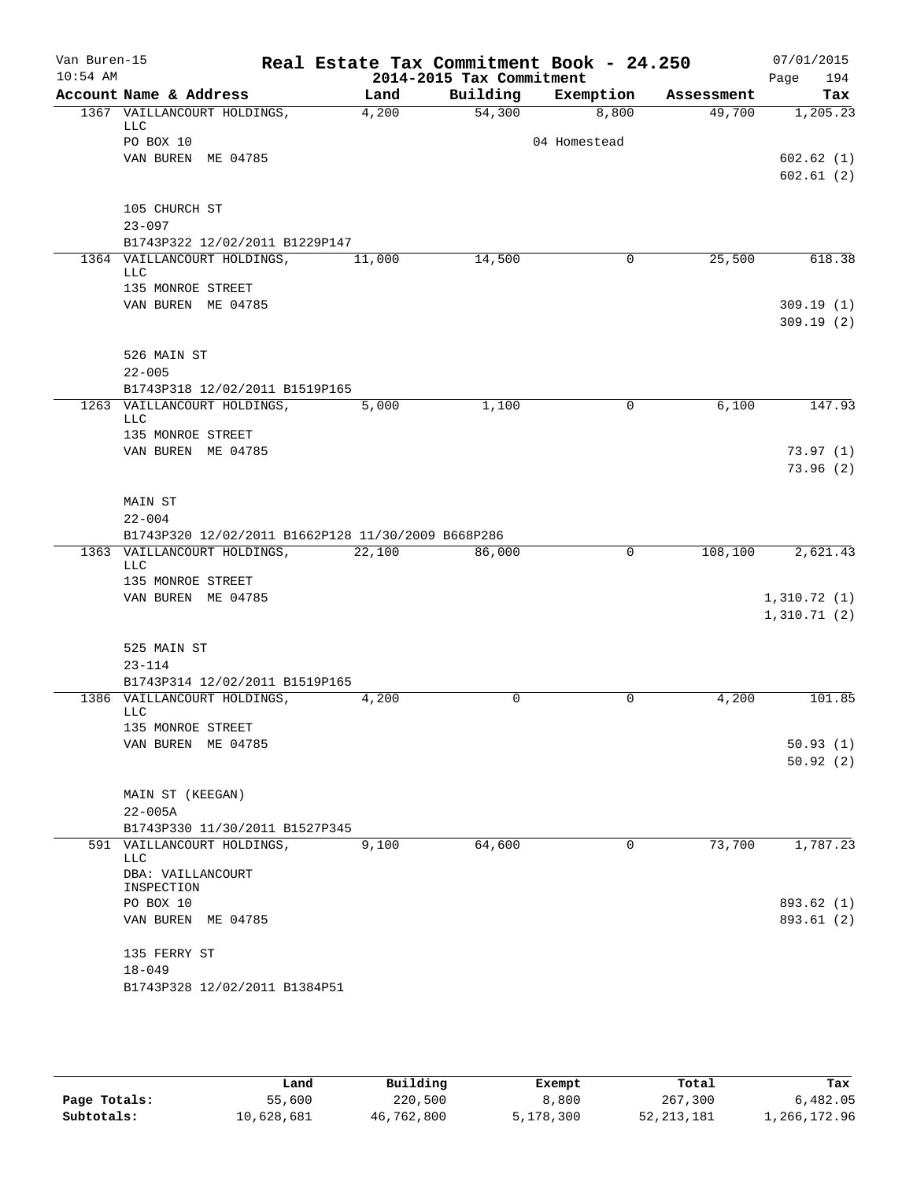| Building<br>Account Name & Address<br>Exemption<br>Land<br>Assessment<br>1367 VAILLANCOURT HOLDINGS,<br>54,300<br>8,800<br>4,200<br>49,700<br>LLC<br>PO BOX 10<br>04 Homestead<br>VAN BUREN ME 04785<br>602.62(1)<br>105 CHURCH ST<br>$23 - 097$<br>B1743P322 12/02/2011 B1229P147<br>1364 VAILLANCOURT HOLDINGS,<br>25,500<br>11,000<br>14,500<br>$\mathbf{0}$<br>LLC<br>135 MONROE STREET<br>VAN BUREN ME 04785<br>309.19(1)<br>526 MAIN ST<br>$22 - 005$<br>B1743P318 12/02/2011 B1519P165<br>1,100<br>6,100<br>1263 VAILLANCOURT HOLDINGS,<br>5,000<br>0<br><b>LLC</b><br>135 MONROE STREET<br>VAN BUREN ME 04785<br>73.97(1)<br>MAIN ST<br>$22 - 004$<br>B1743P320 12/02/2011 B1662P128 11/30/2009 B668P286<br>1363 VAILLANCOURT HOLDINGS,<br>0<br>22,100<br>86,000<br>108,100<br>2,621.43<br>LLC<br>135 MONROE STREET<br>VAN BUREN ME 04785<br>1,310.72(1)<br>1,310.71(2)<br>525 MAIN ST<br>$23 - 114$<br>B1743P314 12/02/2011 B1519P165<br>1386 VAILLANCOURT HOLDINGS,<br>0<br>0<br>4,200<br>4,200<br><b>LLC</b><br>135 MONROE STREET<br>VAN BUREN ME 04785<br>50.93(1)<br>50.92(2)<br>MAIN ST (KEEGAN)<br>$22 - 005A$<br>B1743P330 11/30/2011 B1527P345<br>73,700<br>64,600<br>591 VAILLANCOURT HOLDINGS,<br>9,100<br>0<br>LLC | Van Buren-15<br>$10:54$ AM |                   | Real Estate Tax Commitment Book - 24.250 | 2014-2015 Tax Commitment |  | 07/01/2015<br>Page<br>194 |
|----------------------------------------------------------------------------------------------------------------------------------------------------------------------------------------------------------------------------------------------------------------------------------------------------------------------------------------------------------------------------------------------------------------------------------------------------------------------------------------------------------------------------------------------------------------------------------------------------------------------------------------------------------------------------------------------------------------------------------------------------------------------------------------------------------------------------------------------------------------------------------------------------------------------------------------------------------------------------------------------------------------------------------------------------------------------------------------------------------------------------------------------------------------------------------------------------------------------------------------|----------------------------|-------------------|------------------------------------------|--------------------------|--|---------------------------|
|                                                                                                                                                                                                                                                                                                                                                                                                                                                                                                                                                                                                                                                                                                                                                                                                                                                                                                                                                                                                                                                                                                                                                                                                                                        |                            |                   |                                          |                          |  | Tax                       |
|                                                                                                                                                                                                                                                                                                                                                                                                                                                                                                                                                                                                                                                                                                                                                                                                                                                                                                                                                                                                                                                                                                                                                                                                                                        |                            |                   |                                          |                          |  | 1,205.23                  |
|                                                                                                                                                                                                                                                                                                                                                                                                                                                                                                                                                                                                                                                                                                                                                                                                                                                                                                                                                                                                                                                                                                                                                                                                                                        |                            |                   |                                          |                          |  |                           |
|                                                                                                                                                                                                                                                                                                                                                                                                                                                                                                                                                                                                                                                                                                                                                                                                                                                                                                                                                                                                                                                                                                                                                                                                                                        |                            |                   |                                          |                          |  |                           |
|                                                                                                                                                                                                                                                                                                                                                                                                                                                                                                                                                                                                                                                                                                                                                                                                                                                                                                                                                                                                                                                                                                                                                                                                                                        |                            |                   |                                          |                          |  | 602.61(2)                 |
|                                                                                                                                                                                                                                                                                                                                                                                                                                                                                                                                                                                                                                                                                                                                                                                                                                                                                                                                                                                                                                                                                                                                                                                                                                        |                            |                   |                                          |                          |  |                           |
|                                                                                                                                                                                                                                                                                                                                                                                                                                                                                                                                                                                                                                                                                                                                                                                                                                                                                                                                                                                                                                                                                                                                                                                                                                        |                            |                   |                                          |                          |  |                           |
|                                                                                                                                                                                                                                                                                                                                                                                                                                                                                                                                                                                                                                                                                                                                                                                                                                                                                                                                                                                                                                                                                                                                                                                                                                        |                            |                   |                                          |                          |  |                           |
|                                                                                                                                                                                                                                                                                                                                                                                                                                                                                                                                                                                                                                                                                                                                                                                                                                                                                                                                                                                                                                                                                                                                                                                                                                        |                            |                   |                                          |                          |  | 618.38                    |
|                                                                                                                                                                                                                                                                                                                                                                                                                                                                                                                                                                                                                                                                                                                                                                                                                                                                                                                                                                                                                                                                                                                                                                                                                                        |                            |                   |                                          |                          |  |                           |
|                                                                                                                                                                                                                                                                                                                                                                                                                                                                                                                                                                                                                                                                                                                                                                                                                                                                                                                                                                                                                                                                                                                                                                                                                                        |                            |                   |                                          |                          |  |                           |
|                                                                                                                                                                                                                                                                                                                                                                                                                                                                                                                                                                                                                                                                                                                                                                                                                                                                                                                                                                                                                                                                                                                                                                                                                                        |                            |                   |                                          |                          |  | 309.19(2)                 |
|                                                                                                                                                                                                                                                                                                                                                                                                                                                                                                                                                                                                                                                                                                                                                                                                                                                                                                                                                                                                                                                                                                                                                                                                                                        |                            |                   |                                          |                          |  |                           |
|                                                                                                                                                                                                                                                                                                                                                                                                                                                                                                                                                                                                                                                                                                                                                                                                                                                                                                                                                                                                                                                                                                                                                                                                                                        |                            |                   |                                          |                          |  |                           |
|                                                                                                                                                                                                                                                                                                                                                                                                                                                                                                                                                                                                                                                                                                                                                                                                                                                                                                                                                                                                                                                                                                                                                                                                                                        |                            |                   |                                          |                          |  |                           |
|                                                                                                                                                                                                                                                                                                                                                                                                                                                                                                                                                                                                                                                                                                                                                                                                                                                                                                                                                                                                                                                                                                                                                                                                                                        |                            |                   |                                          |                          |  | 147.93                    |
|                                                                                                                                                                                                                                                                                                                                                                                                                                                                                                                                                                                                                                                                                                                                                                                                                                                                                                                                                                                                                                                                                                                                                                                                                                        |                            |                   |                                          |                          |  |                           |
|                                                                                                                                                                                                                                                                                                                                                                                                                                                                                                                                                                                                                                                                                                                                                                                                                                                                                                                                                                                                                                                                                                                                                                                                                                        |                            |                   |                                          |                          |  |                           |
|                                                                                                                                                                                                                                                                                                                                                                                                                                                                                                                                                                                                                                                                                                                                                                                                                                                                                                                                                                                                                                                                                                                                                                                                                                        |                            |                   |                                          |                          |  | 73.96(2)                  |
|                                                                                                                                                                                                                                                                                                                                                                                                                                                                                                                                                                                                                                                                                                                                                                                                                                                                                                                                                                                                                                                                                                                                                                                                                                        |                            |                   |                                          |                          |  |                           |
|                                                                                                                                                                                                                                                                                                                                                                                                                                                                                                                                                                                                                                                                                                                                                                                                                                                                                                                                                                                                                                                                                                                                                                                                                                        |                            |                   |                                          |                          |  |                           |
|                                                                                                                                                                                                                                                                                                                                                                                                                                                                                                                                                                                                                                                                                                                                                                                                                                                                                                                                                                                                                                                                                                                                                                                                                                        |                            |                   |                                          |                          |  |                           |
|                                                                                                                                                                                                                                                                                                                                                                                                                                                                                                                                                                                                                                                                                                                                                                                                                                                                                                                                                                                                                                                                                                                                                                                                                                        |                            |                   |                                          |                          |  |                           |
|                                                                                                                                                                                                                                                                                                                                                                                                                                                                                                                                                                                                                                                                                                                                                                                                                                                                                                                                                                                                                                                                                                                                                                                                                                        |                            |                   |                                          |                          |  |                           |
|                                                                                                                                                                                                                                                                                                                                                                                                                                                                                                                                                                                                                                                                                                                                                                                                                                                                                                                                                                                                                                                                                                                                                                                                                                        |                            |                   |                                          |                          |  |                           |
|                                                                                                                                                                                                                                                                                                                                                                                                                                                                                                                                                                                                                                                                                                                                                                                                                                                                                                                                                                                                                                                                                                                                                                                                                                        |                            |                   |                                          |                          |  |                           |
|                                                                                                                                                                                                                                                                                                                                                                                                                                                                                                                                                                                                                                                                                                                                                                                                                                                                                                                                                                                                                                                                                                                                                                                                                                        |                            |                   |                                          |                          |  |                           |
|                                                                                                                                                                                                                                                                                                                                                                                                                                                                                                                                                                                                                                                                                                                                                                                                                                                                                                                                                                                                                                                                                                                                                                                                                                        |                            |                   |                                          |                          |  |                           |
|                                                                                                                                                                                                                                                                                                                                                                                                                                                                                                                                                                                                                                                                                                                                                                                                                                                                                                                                                                                                                                                                                                                                                                                                                                        |                            |                   |                                          |                          |  |                           |
|                                                                                                                                                                                                                                                                                                                                                                                                                                                                                                                                                                                                                                                                                                                                                                                                                                                                                                                                                                                                                                                                                                                                                                                                                                        |                            |                   |                                          |                          |  | 101.85                    |
|                                                                                                                                                                                                                                                                                                                                                                                                                                                                                                                                                                                                                                                                                                                                                                                                                                                                                                                                                                                                                                                                                                                                                                                                                                        |                            |                   |                                          |                          |  |                           |
|                                                                                                                                                                                                                                                                                                                                                                                                                                                                                                                                                                                                                                                                                                                                                                                                                                                                                                                                                                                                                                                                                                                                                                                                                                        |                            |                   |                                          |                          |  |                           |
|                                                                                                                                                                                                                                                                                                                                                                                                                                                                                                                                                                                                                                                                                                                                                                                                                                                                                                                                                                                                                                                                                                                                                                                                                                        |                            |                   |                                          |                          |  |                           |
|                                                                                                                                                                                                                                                                                                                                                                                                                                                                                                                                                                                                                                                                                                                                                                                                                                                                                                                                                                                                                                                                                                                                                                                                                                        |                            |                   |                                          |                          |  |                           |
|                                                                                                                                                                                                                                                                                                                                                                                                                                                                                                                                                                                                                                                                                                                                                                                                                                                                                                                                                                                                                                                                                                                                                                                                                                        |                            |                   |                                          |                          |  |                           |
|                                                                                                                                                                                                                                                                                                                                                                                                                                                                                                                                                                                                                                                                                                                                                                                                                                                                                                                                                                                                                                                                                                                                                                                                                                        |                            |                   |                                          |                          |  |                           |
|                                                                                                                                                                                                                                                                                                                                                                                                                                                                                                                                                                                                                                                                                                                                                                                                                                                                                                                                                                                                                                                                                                                                                                                                                                        |                            |                   |                                          |                          |  |                           |
|                                                                                                                                                                                                                                                                                                                                                                                                                                                                                                                                                                                                                                                                                                                                                                                                                                                                                                                                                                                                                                                                                                                                                                                                                                        |                            |                   |                                          |                          |  | 1,787.23                  |
|                                                                                                                                                                                                                                                                                                                                                                                                                                                                                                                                                                                                                                                                                                                                                                                                                                                                                                                                                                                                                                                                                                                                                                                                                                        |                            | DBA: VAILLANCOURT |                                          |                          |  |                           |
| INSPECTION                                                                                                                                                                                                                                                                                                                                                                                                                                                                                                                                                                                                                                                                                                                                                                                                                                                                                                                                                                                                                                                                                                                                                                                                                             |                            |                   |                                          |                          |  |                           |
| PO BOX 10                                                                                                                                                                                                                                                                                                                                                                                                                                                                                                                                                                                                                                                                                                                                                                                                                                                                                                                                                                                                                                                                                                                                                                                                                              |                            |                   |                                          |                          |  | 893.62 (1)                |
| VAN BUREN ME 04785                                                                                                                                                                                                                                                                                                                                                                                                                                                                                                                                                                                                                                                                                                                                                                                                                                                                                                                                                                                                                                                                                                                                                                                                                     |                            |                   |                                          |                          |  | 893.61 (2)                |
| 135 FERRY ST                                                                                                                                                                                                                                                                                                                                                                                                                                                                                                                                                                                                                                                                                                                                                                                                                                                                                                                                                                                                                                                                                                                                                                                                                           |                            |                   |                                          |                          |  |                           |
| $18 - 049$                                                                                                                                                                                                                                                                                                                                                                                                                                                                                                                                                                                                                                                                                                                                                                                                                                                                                                                                                                                                                                                                                                                                                                                                                             |                            |                   |                                          |                          |  |                           |
| B1743P328 12/02/2011 B1384P51                                                                                                                                                                                                                                                                                                                                                                                                                                                                                                                                                                                                                                                                                                                                                                                                                                                                                                                                                                                                                                                                                                                                                                                                          |                            |                   |                                          |                          |  |                           |

|              | Land       | Building   | Exempt    | Total        | Tax          |
|--------------|------------|------------|-----------|--------------|--------------|
| Page Totals: | 55,600     | 220,500    | 8,800     | 267,300      | 6,482.05     |
| Subtotals:   | 10,628,681 | 46,762,800 | 5,178,300 | 52, 213, 181 | 1,266,172.96 |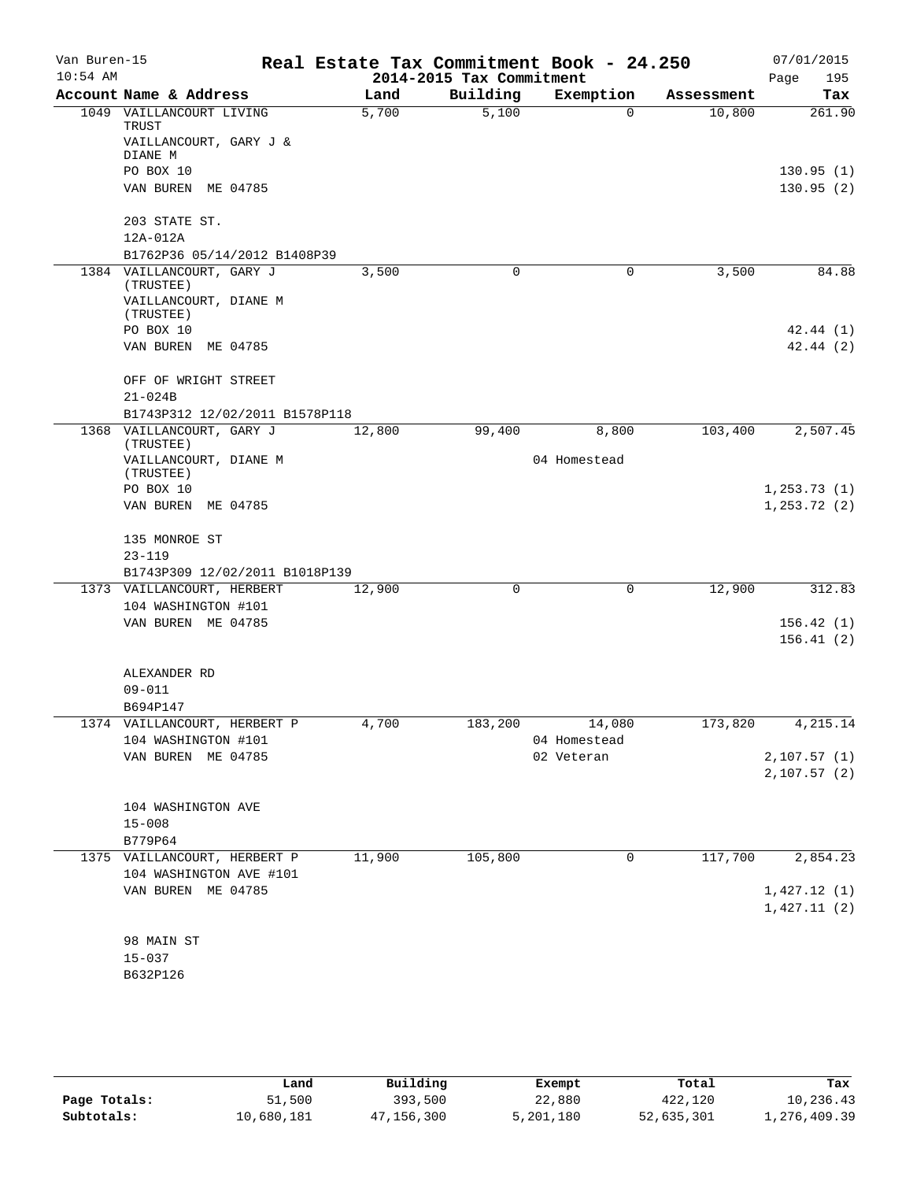| Van Buren-15<br>$10:54$ AM |                                                         |        | 2014-2015 Tax Commitment | Real Estate Tax Commitment Book - 24.250 |            | 07/01/2015<br>195<br>Page    |
|----------------------------|---------------------------------------------------------|--------|--------------------------|------------------------------------------|------------|------------------------------|
|                            | Account Name & Address                                  | Land   | Building                 | Exemption                                | Assessment | Tax                          |
|                            | 1049 VAILLANCOURT LIVING<br>TRUST                       | 5,700  | 5,100                    | $\Omega$                                 | 10,800     | 261.90                       |
|                            | VAILLANCOURT, GARY J &<br>DIANE M                       |        |                          |                                          |            |                              |
|                            | PO BOX 10                                               |        |                          |                                          |            | 130.95(1)                    |
|                            | VAN BUREN<br>ME 04785                                   |        |                          |                                          |            | 130.95(2)                    |
|                            | 203 STATE ST.                                           |        |                          |                                          |            |                              |
|                            | 12A-012A                                                |        |                          |                                          |            |                              |
|                            | B1762P36 05/14/2012 B1408P39                            |        |                          |                                          |            |                              |
|                            | 1384 VAILLANCOURT, GARY J<br>(TRUSTEE)                  | 3,500  | 0                        | $\mathbf 0$                              | 3,500      | 84.88                        |
|                            | VAILLANCOURT, DIANE M<br>(TRUSTEE)                      |        |                          |                                          |            |                              |
|                            | PO BOX 10                                               |        |                          |                                          |            | 42.44(1)                     |
|                            | VAN BUREN ME 04785                                      |        |                          |                                          |            | 42.44(2)                     |
|                            | OFF OF WRIGHT STREET                                    |        |                          |                                          |            |                              |
|                            | $21 - 024B$<br>B1743P312 12/02/2011 B1578P118           |        |                          |                                          |            |                              |
|                            | 1368 VAILLANCOURT, GARY J                               | 12,800 | 99,400                   | 8,800                                    | 103,400    | 2,507.45                     |
|                            | (TRUSTEE)<br>VAILLANCOURT, DIANE M                      |        |                          | 04 Homestead                             |            |                              |
|                            | (TRUSTEE)                                               |        |                          |                                          |            |                              |
|                            | PO BOX 10<br>VAN BUREN<br>ME 04785                      |        |                          |                                          |            | 1, 253.73(1)<br>1, 253.72(2) |
|                            |                                                         |        |                          |                                          |            |                              |
|                            | 135 MONROE ST                                           |        |                          |                                          |            |                              |
|                            | $23 - 119$                                              |        |                          |                                          |            |                              |
|                            | B1743P309 12/02/2011 B1018P139                          |        |                          |                                          |            |                              |
|                            | 1373 VAILLANCOURT, HERBERT                              | 12,900 | 0                        | $\mathbf 0$                              | 12,900     | 312.83                       |
|                            | 104 WASHINGTON #101                                     |        |                          |                                          |            |                              |
|                            | VAN BUREN ME 04785                                      |        |                          |                                          |            | 156.42(1)<br>156.41(2)       |
|                            | ALEXANDER RD                                            |        |                          |                                          |            |                              |
|                            | $09 - 011$                                              |        |                          |                                          |            |                              |
|                            | B694P147                                                |        |                          |                                          |            |                              |
|                            | 1374 VAILLANCOURT, HERBERT P                            | 4,700  |                          | 183,200 14,080                           | 173,820    | 4, 215.14                    |
|                            | 104 WASHINGTON #101<br>VAN BUREN ME 04785               |        |                          | 04 Homestead<br>02 Veteran               |            | 2,107.57(1)                  |
|                            |                                                         |        |                          |                                          |            | 2,107.57(2)                  |
|                            |                                                         |        |                          |                                          |            |                              |
|                            | 104 WASHINGTON AVE                                      |        |                          |                                          |            |                              |
|                            | $15 - 008$                                              |        |                          |                                          |            |                              |
|                            | B779P64                                                 |        |                          |                                          |            |                              |
|                            | 1375 VAILLANCOURT, HERBERT P<br>104 WASHINGTON AVE #101 | 11,900 | 105,800                  | $\mathbf 0$                              | 117,700    | 2,854.23                     |
|                            | VAN BUREN ME 04785                                      |        |                          |                                          |            | 1,427.12(1)                  |
|                            |                                                         |        |                          |                                          |            | 1,427.11(2)                  |
|                            | 98 MAIN ST                                              |        |                          |                                          |            |                              |
|                            | $15 - 037$                                              |        |                          |                                          |            |                              |
|                            | B632P126                                                |        |                          |                                          |            |                              |
|                            |                                                         |        |                          |                                          |            |                              |

|              | Land       | Building   | Exempt    | Total      | Tax          |
|--------------|------------|------------|-----------|------------|--------------|
| Page Totals: | 51,500     | 393,500    | 22,880    | 422,120    | 10,236.43    |
| Subtotals:   | 10,680,181 | 47,156,300 | 5,201,180 | 52,635,301 | 1,276,409.39 |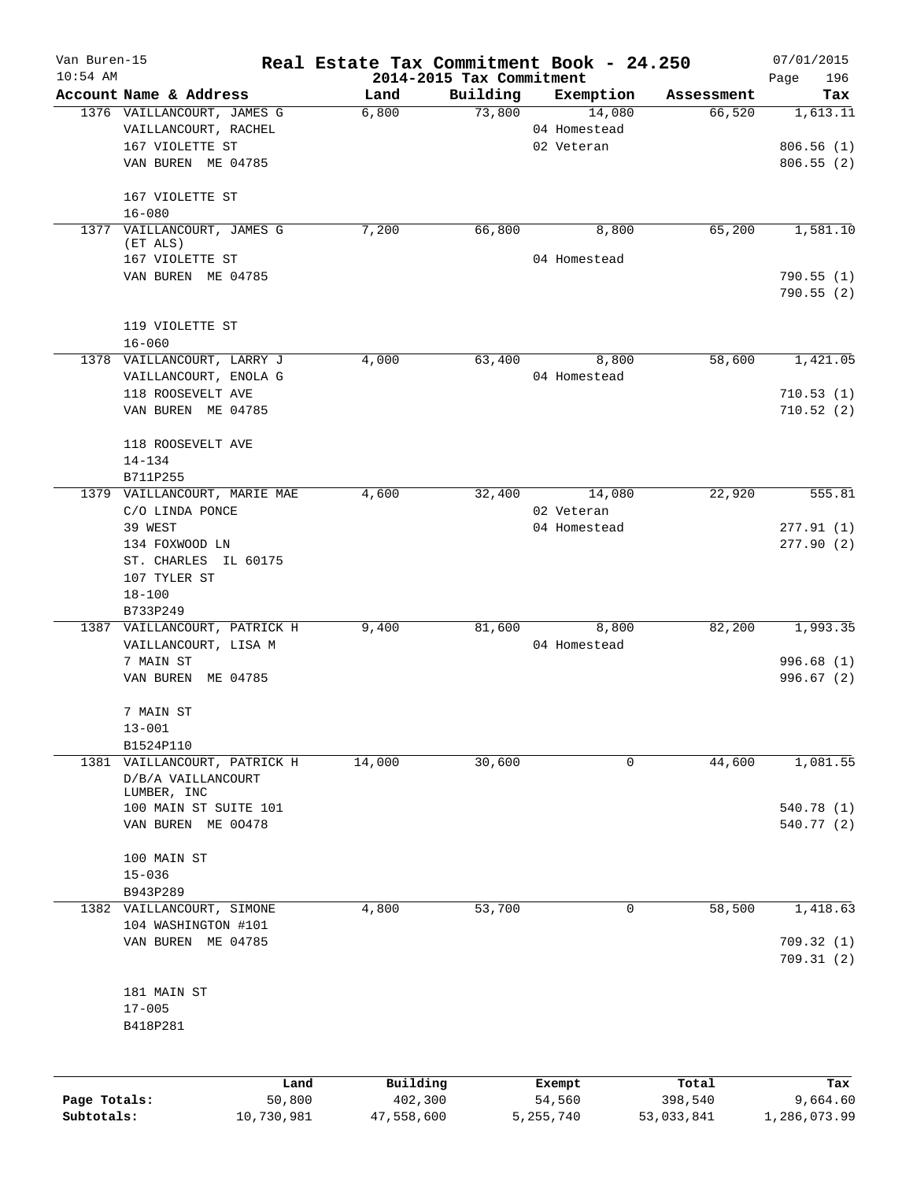| Van Buren-15<br>$10:54$ AM |                                          | Real Estate Tax Commitment Book - 24.250 | 2014-2015 Tax Commitment |              |            | 07/01/2015<br>Page<br>196 |
|----------------------------|------------------------------------------|------------------------------------------|--------------------------|--------------|------------|---------------------------|
|                            | Account Name & Address                   | Land                                     | Building                 | Exemption    | Assessment | Tax                       |
|                            | 1376 VAILLANCOURT, JAMES G               | 6,800                                    | 73,800                   | 14,080       | 66,520     | 1,613.11                  |
|                            | VAILLANCOURT, RACHEL                     |                                          |                          | 04 Homestead |            |                           |
|                            | 167 VIOLETTE ST                          |                                          |                          | 02 Veteran   |            | 806.56(1)                 |
|                            | VAN BUREN ME 04785                       |                                          |                          |              |            | 806.55(2)                 |
|                            | 167 VIOLETTE ST<br>$16 - 080$            |                                          |                          |              |            |                           |
|                            | 1377 VAILLANCOURT, JAMES G<br>(ET ALS)   | 7,200                                    | 66,800                   | 8,800        | 65,200     | 1,581.10                  |
|                            | 167 VIOLETTE ST                          |                                          |                          | 04 Homestead |            |                           |
|                            | VAN BUREN ME 04785                       |                                          |                          |              |            | 790.55(1)                 |
|                            |                                          |                                          |                          |              |            | 790.55(2)                 |
|                            | 119 VIOLETTE ST                          |                                          |                          |              |            |                           |
|                            | $16 - 060$                               |                                          |                          |              |            |                           |
|                            | 1378 VAILLANCOURT, LARRY J               | 4,000                                    | 63,400                   | 8,800        | 58,600     | 1,421.05                  |
|                            | VAILLANCOURT, ENOLA G                    |                                          |                          | 04 Homestead |            |                           |
|                            | 118 ROOSEVELT AVE                        |                                          |                          |              |            | 710.53(1)                 |
|                            | VAN BUREN ME 04785                       |                                          |                          |              |            | 710.52(2)                 |
|                            | 118 ROOSEVELT AVE                        |                                          |                          |              |            |                           |
|                            | $14 - 134$                               |                                          |                          |              |            |                           |
|                            | B711P255<br>1379 VAILLANCOURT, MARIE MAE | 4,600                                    | 32,400                   | 14,080       | 22,920     | 555.81                    |
|                            | C/O LINDA PONCE                          |                                          |                          | 02 Veteran   |            |                           |
|                            | 39 WEST                                  |                                          |                          | 04 Homestead |            | 277.91(1)                 |
|                            | 134 FOXWOOD LN                           |                                          |                          |              |            | 277.90(2)                 |
|                            | ST. CHARLES IL 60175                     |                                          |                          |              |            |                           |
|                            | 107 TYLER ST                             |                                          |                          |              |            |                           |
|                            | $18 - 100$                               |                                          |                          |              |            |                           |
|                            | B733P249                                 |                                          |                          |              |            |                           |
|                            | 1387 VAILLANCOURT, PATRICK H             | 9,400                                    | 81,600                   | 8,800        | 82,200     | 1,993.35                  |
|                            | VAILLANCOURT, LISA M                     |                                          |                          | 04 Homestead |            |                           |
|                            | 7 MAIN ST                                |                                          |                          |              |            | 996.68(1)                 |
|                            | VAN BUREN ME 04785                       |                                          |                          |              |            | 996.67(2)                 |
|                            | 7 MAIN ST                                |                                          |                          |              |            |                           |
|                            | $13 - 001$                               |                                          |                          |              |            |                           |
|                            | B1524P110                                |                                          |                          |              |            |                           |
| 1381                       | VAILLANCOURT, PATRICK H                  | 14,000                                   | 30,600                   | 0            | 44,600     | 1,081.55                  |
|                            | D/B/A VAILLANCOURT                       |                                          |                          |              |            |                           |
|                            | LUMBER, INC<br>100 MAIN ST SUITE 101     |                                          |                          |              |            | 540.78 (1)                |
|                            | VAN BUREN ME 00478                       |                                          |                          |              |            | 540.77 (2)                |
|                            |                                          |                                          |                          |              |            |                           |
|                            | 100 MAIN ST                              |                                          |                          |              |            |                           |
|                            | $15 - 036$                               |                                          |                          |              |            |                           |
|                            | B943P289                                 |                                          |                          |              |            |                           |
|                            | 1382 VAILLANCOURT, SIMONE                | 4,800                                    | 53,700                   | 0            | 58,500     | 1,418.63                  |
|                            | 104 WASHINGTON #101                      |                                          |                          |              |            |                           |
|                            | VAN BUREN ME 04785                       |                                          |                          |              |            | 709.32(1)                 |
|                            |                                          |                                          |                          |              |            | 709.31(2)                 |
|                            | 181 MAIN ST                              |                                          |                          |              |            |                           |
|                            | $17 - 005$                               |                                          |                          |              |            |                           |
|                            | B418P281                                 |                                          |                          |              |            |                           |
|                            |                                          |                                          |                          |              |            |                           |
|                            | Land                                     | Building                                 |                          | Exempt       | Total      | Tax                       |
| Page Totals:               | 50,800                                   | 402,300                                  |                          | 54,560       | 398,540    | 9,664.60                  |

**Subtotals:** 10,730,981 47,558,600 5,255,740 53,033,841 1,286,073.99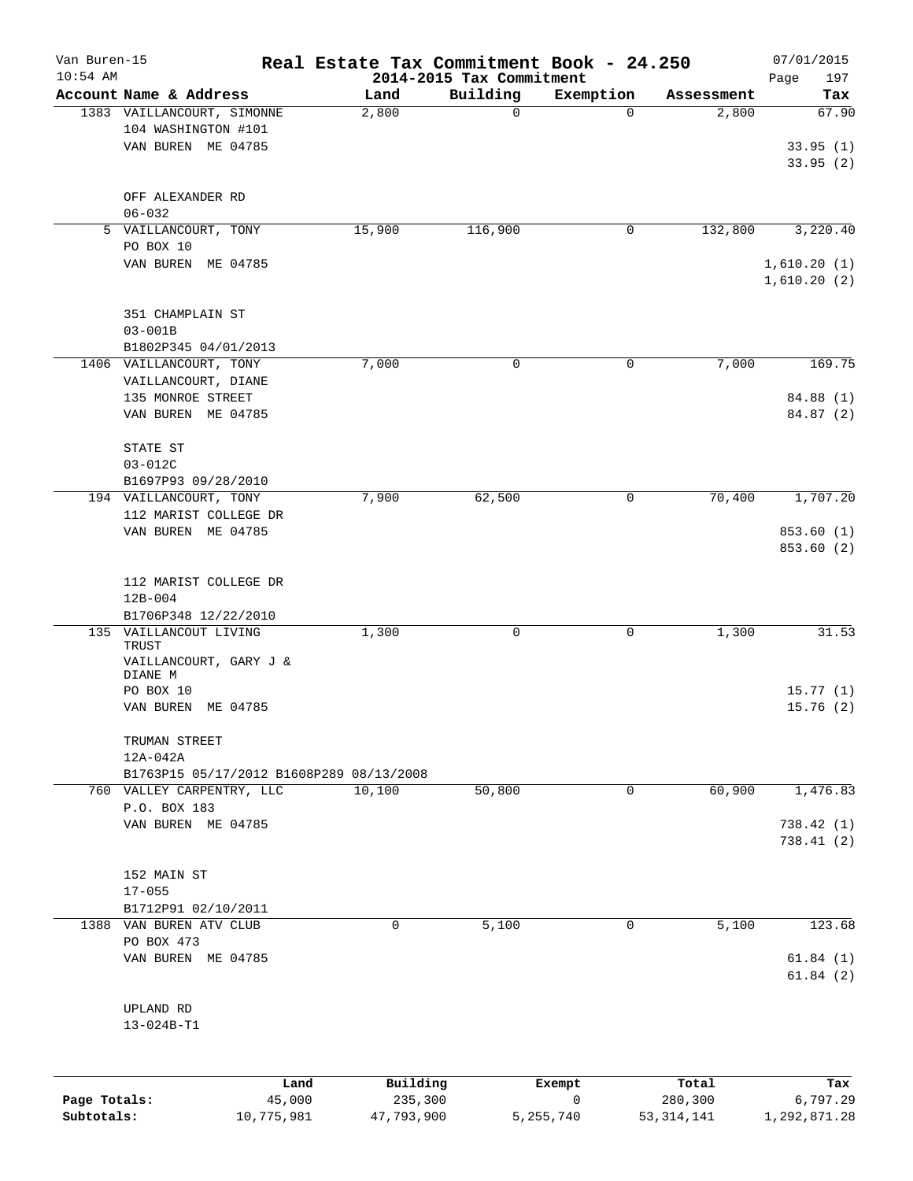| Van Buren-15<br>$10:54$ AM |                                                |            |            | 2014-2015 Tax Commitment | Real Estate Tax Commitment Book - 24.250 |              | 07/01/2015<br>Page<br>197 |
|----------------------------|------------------------------------------------|------------|------------|--------------------------|------------------------------------------|--------------|---------------------------|
|                            | Account Name & Address                         |            | Land       | Building                 | Exemption                                | Assessment   | Tax                       |
|                            | 1383 VAILLANCOURT, SIMONNE                     |            | 2,800      | 0                        | $\Omega$                                 | 2,800        | 67.90                     |
|                            | 104 WASHINGTON #101                            |            |            |                          |                                          |              |                           |
|                            | VAN BUREN ME 04785                             |            |            |                          |                                          |              | 33.95(1)                  |
|                            |                                                |            |            |                          |                                          |              | 33.95(2)                  |
|                            |                                                |            |            |                          |                                          |              |                           |
|                            | OFF ALEXANDER RD                               |            |            |                          |                                          |              |                           |
|                            | $06 - 032$                                     |            |            |                          |                                          |              |                           |
|                            | 5 VAILLANCOURT, TONY                           |            | 15,900     | 116,900                  | 0                                        | 132,800      | 3,220.40                  |
|                            | PO BOX 10<br>VAN BUREN ME 04785                |            |            |                          |                                          |              | 1,610.20(1)               |
|                            |                                                |            |            |                          |                                          |              | 1,610.20(2)               |
|                            |                                                |            |            |                          |                                          |              |                           |
|                            | 351 CHAMPLAIN ST                               |            |            |                          |                                          |              |                           |
|                            | $03 - 001B$                                    |            |            |                          |                                          |              |                           |
|                            | B1802P345 04/01/2013                           |            |            |                          |                                          |              |                           |
|                            | 1406 VAILLANCOURT, TONY                        |            | 7,000      | 0                        | 0                                        | 7,000        | 169.75                    |
|                            | VAILLANCOURT, DIANE                            |            |            |                          |                                          |              |                           |
|                            | 135 MONROE STREET                              |            |            |                          |                                          |              | 84.88 (1)                 |
|                            | VAN BUREN ME 04785                             |            |            |                          |                                          |              | 84.87 (2)                 |
|                            |                                                |            |            |                          |                                          |              |                           |
|                            | STATE ST                                       |            |            |                          |                                          |              |                           |
|                            | 03-012C                                        |            |            |                          |                                          |              |                           |
|                            | B1697P93 09/28/2010                            |            |            |                          |                                          |              |                           |
|                            | 194 VAILLANCOURT, TONY                         |            | 7,900      | 62,500                   | $\mathsf{O}$                             | 70,400       | 1,707.20                  |
|                            | 112 MARIST COLLEGE DR                          |            |            |                          |                                          |              |                           |
|                            | VAN BUREN ME 04785                             |            |            |                          |                                          |              | 853.60 (1)                |
|                            |                                                |            |            |                          |                                          |              | 853.60 (2)                |
|                            |                                                |            |            |                          |                                          |              |                           |
|                            | 112 MARIST COLLEGE DR                          |            |            |                          |                                          |              |                           |
|                            | $12B - 004$                                    |            |            |                          |                                          |              |                           |
|                            | B1706P348 12/22/2010<br>135 VAILLANCOUT LIVING |            | 1,300      | 0                        | 0                                        | 1,300        | 31.53                     |
|                            | TRUST                                          |            |            |                          |                                          |              |                           |
|                            | VAILLANCOURT, GARY J &                         |            |            |                          |                                          |              |                           |
|                            | DIANE M                                        |            |            |                          |                                          |              |                           |
|                            | PO BOX 10                                      |            |            |                          |                                          |              | 15.77(1)                  |
|                            | VAN BUREN ME 04785                             |            |            |                          |                                          |              | 15.76(2)                  |
|                            |                                                |            |            |                          |                                          |              |                           |
|                            | TRUMAN STREET<br>12A-042A                      |            |            |                          |                                          |              |                           |
|                            | B1763P15 05/17/2012 B1608P289 08/13/2008       |            |            |                          |                                          |              |                           |
|                            | 760 VALLEY CARPENTRY, LLC                      |            | 10,100     | 50,800                   | 0                                        | 60,900       | 1,476.83                  |
|                            | P.O. BOX 183                                   |            |            |                          |                                          |              |                           |
|                            | VAN BUREN ME 04785                             |            |            |                          |                                          |              | 738.42(1)                 |
|                            |                                                |            |            |                          |                                          |              | 738.41 (2)                |
|                            |                                                |            |            |                          |                                          |              |                           |
|                            | 152 MAIN ST                                    |            |            |                          |                                          |              |                           |
|                            | $17 - 055$                                     |            |            |                          |                                          |              |                           |
|                            | B1712P91 02/10/2011                            |            |            |                          |                                          |              |                           |
|                            | 1388 VAN BUREN ATV CLUB                        |            | 0          | 5,100                    | $\mathsf{O}$                             | 5,100        | 123.68                    |
|                            | PO BOX 473                                     |            |            |                          |                                          |              |                           |
|                            | VAN BUREN ME 04785                             |            |            |                          |                                          |              | 61.84(1)                  |
|                            |                                                |            |            |                          |                                          |              | 61.84(2)                  |
|                            |                                                |            |            |                          |                                          |              |                           |
|                            | UPLAND RD                                      |            |            |                          |                                          |              |                           |
|                            | 13-024B-T1                                     |            |            |                          |                                          |              |                           |
|                            |                                                |            |            |                          |                                          |              |                           |
|                            |                                                | Land       | Building   |                          |                                          | Total        |                           |
| Page Totals:               |                                                | 45,000     | 235,300    |                          | Exempt<br>0                              | 280,300      | Tax<br>6,797.29           |
| Subtotals:                 |                                                | 10,775,981 | 47,793,900 |                          | 5,255,740                                | 53, 314, 141 | 1,292,871.28              |
|                            |                                                |            |            |                          |                                          |              |                           |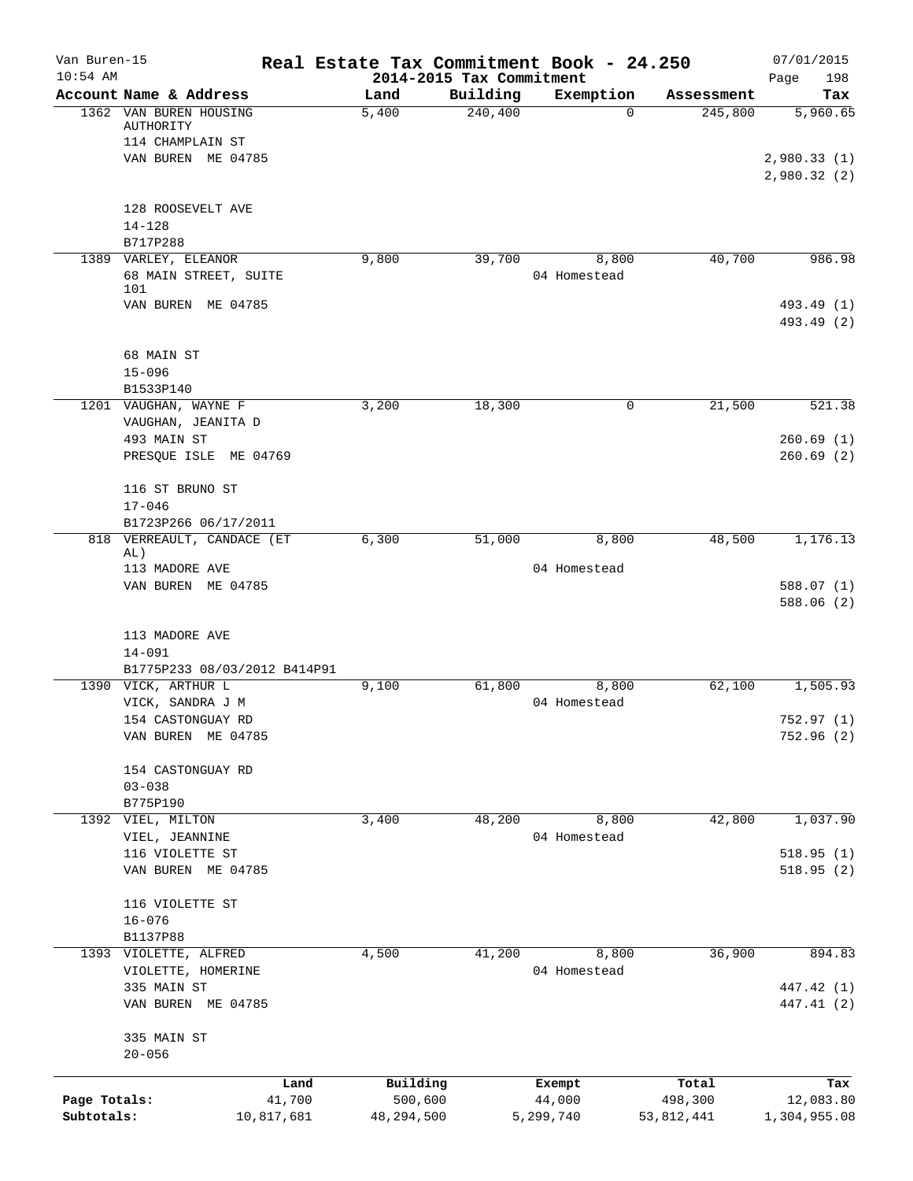| Van Buren-15 |                                             |            |                                  |          | Real Estate Tax Commitment Book - 24.250 |            | 07/01/2015                 |
|--------------|---------------------------------------------|------------|----------------------------------|----------|------------------------------------------|------------|----------------------------|
| $10:54$ AM   | Account Name & Address                      |            | 2014-2015 Tax Commitment<br>Land | Building | Exemption                                | Assessment | 198<br>Page<br>Tax         |
|              | 1362 VAN BUREN HOUSING                      |            | 5,400                            | 240,400  | $\Omega$                                 | 245,800    | 5,960.65                   |
|              | AUTHORITY                                   |            |                                  |          |                                          |            |                            |
|              | 114 CHAMPLAIN ST                            |            |                                  |          |                                          |            |                            |
|              | VAN BUREN ME 04785                          |            |                                  |          |                                          |            | 2,980.33(1)<br>2,980.32(2) |
|              | 128 ROOSEVELT AVE                           |            |                                  |          |                                          |            |                            |
|              | $14 - 128$<br>B717P288                      |            |                                  |          |                                          |            |                            |
|              | 1389 VARLEY, ELEANOR                        |            | 9,800                            | 39,700   | 8,800                                    | 40,700     | 986.98                     |
|              | 68 MAIN STREET, SUITE<br>101                |            |                                  |          | 04 Homestead                             |            |                            |
|              | VAN BUREN ME 04785                          |            |                                  |          |                                          |            | 493.49 (1)<br>493.49 (2)   |
|              | 68 MAIN ST                                  |            |                                  |          |                                          |            |                            |
|              | $15 - 096$                                  |            |                                  |          |                                          |            |                            |
|              | B1533P140                                   |            |                                  |          |                                          |            |                            |
|              | 1201 VAUGHAN, WAYNE F<br>VAUGHAN, JEANITA D |            | 3,200                            | 18,300   | 0                                        | 21,500     | 521.38                     |
|              | 493 MAIN ST                                 |            |                                  |          |                                          |            | 260.69(1)                  |
|              | PRESQUE ISLE ME 04769                       |            |                                  |          |                                          |            | 260.69(2)                  |
|              | 116 ST BRUNO ST                             |            |                                  |          |                                          |            |                            |
|              | $17 - 046$                                  |            |                                  |          |                                          |            |                            |
|              | B1723P266 06/17/2011                        |            |                                  |          |                                          |            |                            |
|              | 818 VERREAULT, CANDACE (ET<br>AL)           |            | 6,300                            | 51,000   | 8,800                                    | 48,500     | 1,176.13                   |
|              | 113 MADORE AVE                              |            |                                  |          | 04 Homestead                             |            |                            |
|              | VAN BUREN ME 04785                          |            |                                  |          |                                          |            | 588.07 (1)                 |
|              |                                             |            |                                  |          |                                          |            | 588.06 (2)                 |
|              | 113 MADORE AVE                              |            |                                  |          |                                          |            |                            |
|              | $14 - 091$                                  |            |                                  |          |                                          |            |                            |
|              | B1775P233 08/03/2012 B414P91                |            |                                  |          |                                          |            |                            |
|              | 1390 VICK, ARTHUR L                         |            | 9,100                            | 61,800   | 8,800                                    | 62,100     | 1,505.93                   |
|              | VICK, SANDRA J M                            |            |                                  |          | 04 Homestead                             |            |                            |
|              | 154 CASTONGUAY RD                           |            |                                  |          |                                          |            | 752.97 (1)                 |
|              | VAN BUREN ME 04785                          |            |                                  |          |                                          |            | 752.96(2)                  |
|              | 154 CASTONGUAY RD                           |            |                                  |          |                                          |            |                            |
|              | $03 - 038$<br>B775P190                      |            |                                  |          |                                          |            |                            |
|              | 1392 VIEL, MILTON                           |            | 3,400                            | 48,200   | 8,800                                    | 42,800     | 1,037.90                   |
|              | VIEL, JEANNINE                              |            |                                  |          | 04 Homestead                             |            |                            |
|              | 116 VIOLETTE ST<br>VAN BUREN ME 04785       |            |                                  |          |                                          |            | 518.95(1)<br>518.95(2)     |
|              | 116 VIOLETTE ST                             |            |                                  |          |                                          |            |                            |
|              | $16 - 076$                                  |            |                                  |          |                                          |            |                            |
|              | B1137P88                                    |            |                                  |          |                                          |            |                            |
|              | 1393 VIOLETTE, ALFRED                       |            | 4,500                            | 41,200   | 8,800<br>04 Homestead                    | 36,900     | 894.83                     |
|              | VIOLETTE, HOMERINE<br>335 MAIN ST           |            |                                  |          |                                          |            | 447.42 (1)                 |
|              | VAN BUREN ME 04785                          |            |                                  |          |                                          |            | 447.41 (2)                 |
|              | 335 MAIN ST                                 |            |                                  |          |                                          |            |                            |
|              | $20 - 056$                                  |            |                                  |          |                                          |            |                            |
|              |                                             | Land       | Building                         |          | Exempt                                   | Total      | Tax                        |
| Page Totals: |                                             | 41,700     | 500,600                          |          | 44,000                                   | 498,300    | 12,083.80                  |
| Subtotals:   |                                             | 10,817,681 | 48,294,500                       |          | 5,299,740                                | 53,812,441 | 1,304,955.08               |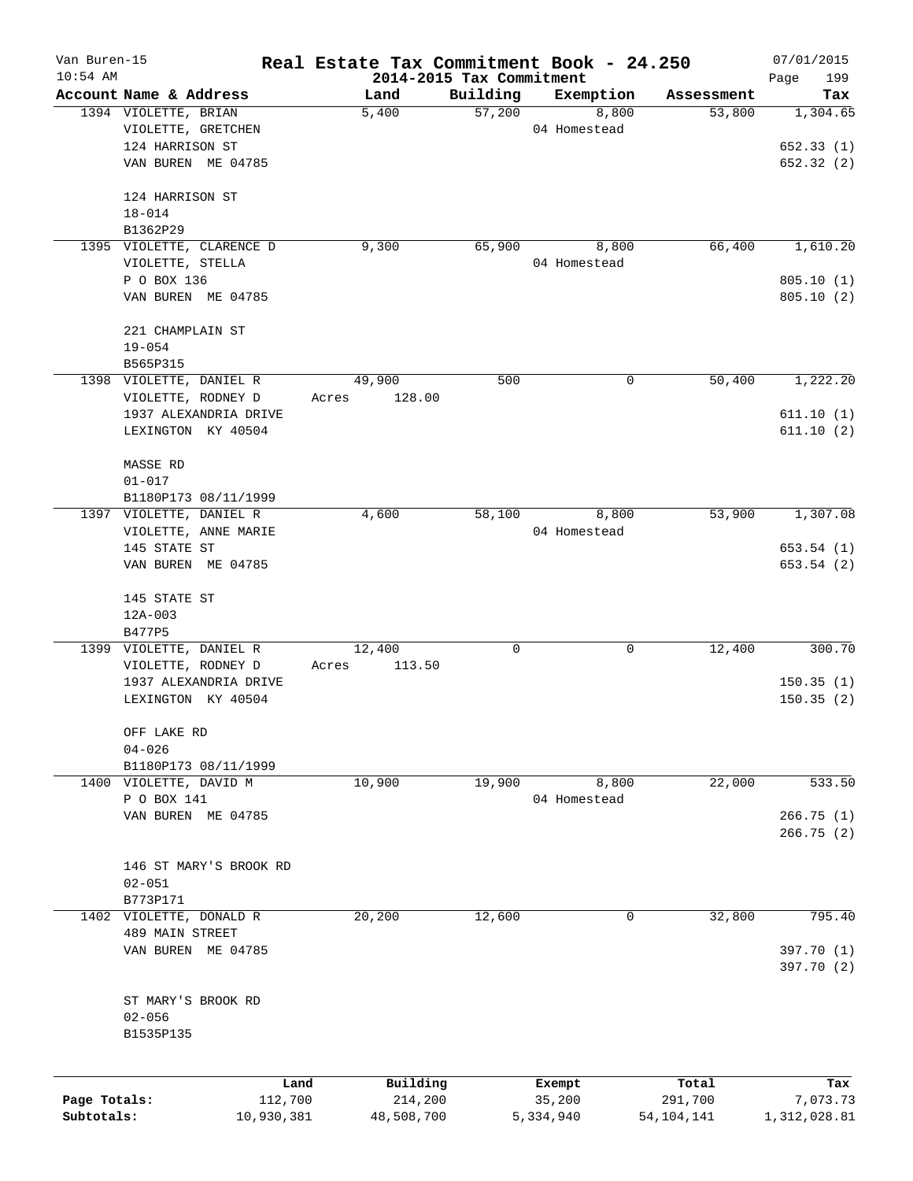| Van Buren-15 |                                                | Real Estate Tax Commitment Book - 24.250 |                          |                    |                      | 07/01/2015      |
|--------------|------------------------------------------------|------------------------------------------|--------------------------|--------------------|----------------------|-----------------|
| $10:54$ AM   |                                                |                                          | 2014-2015 Tax Commitment |                    |                      | 199<br>Page     |
|              | Account Name & Address<br>1394 VIOLETTE, BRIAN | Land<br>5,400                            | Building<br>57,200       | Exemption<br>8,800 | Assessment<br>53,800 | Tax<br>1,304.65 |
|              | VIOLETTE, GRETCHEN                             |                                          |                          | 04 Homestead       |                      |                 |
|              | 124 HARRISON ST                                |                                          |                          |                    |                      | 652.33(1)       |
|              | VAN BUREN ME 04785                             |                                          |                          |                    |                      | 652.32(2)       |
|              |                                                |                                          |                          |                    |                      |                 |
|              | 124 HARRISON ST                                |                                          |                          |                    |                      |                 |
|              | $18 - 014$                                     |                                          |                          |                    |                      |                 |
|              | B1362P29                                       |                                          |                          |                    |                      |                 |
|              | 1395 VIOLETTE, CLARENCE D                      | 9,300                                    | 65,900                   | 8,800              | 66,400               | 1,610.20        |
|              | VIOLETTE, STELLA                               |                                          |                          | 04 Homestead       |                      |                 |
|              | P O BOX 136                                    |                                          |                          |                    |                      | 805.10(1)       |
|              | VAN BUREN ME 04785                             |                                          |                          |                    |                      | 805.10(2)       |
|              | 221 CHAMPLAIN ST                               |                                          |                          |                    |                      |                 |
|              | $19 - 054$                                     |                                          |                          |                    |                      |                 |
|              | B565P315                                       |                                          |                          |                    |                      |                 |
|              | 1398 VIOLETTE, DANIEL R                        | 49,900                                   | 500                      | 0                  | 50,400               | 1,222.20        |
|              | VIOLETTE, RODNEY D                             | 128.00<br>Acres                          |                          |                    |                      |                 |
|              | 1937 ALEXANDRIA DRIVE                          |                                          |                          |                    |                      | 611.10(1)       |
|              | LEXINGTON KY 40504                             |                                          |                          |                    |                      | 611.10(2)       |
|              | MASSE RD                                       |                                          |                          |                    |                      |                 |
|              | $01 - 017$                                     |                                          |                          |                    |                      |                 |
|              | B1180P173 08/11/1999                           |                                          |                          |                    |                      |                 |
|              | 1397 VIOLETTE, DANIEL R                        | 4,600                                    | 58,100                   | 8,800              | 53,900               | 1,307.08        |
|              | VIOLETTE, ANNE MARIE                           |                                          |                          | 04 Homestead       |                      |                 |
|              | 145 STATE ST                                   |                                          |                          |                    |                      | 653.54(1)       |
|              | VAN BUREN ME 04785                             |                                          |                          |                    |                      | 653.54(2)       |
|              |                                                |                                          |                          |                    |                      |                 |
|              | 145 STATE ST                                   |                                          |                          |                    |                      |                 |
|              | $12A - 003$                                    |                                          |                          |                    |                      |                 |
|              | B477P5                                         |                                          |                          |                    |                      |                 |
|              | 1399 VIOLETTE, DANIEL R                        | 12,400                                   | 0                        | 0                  | 12,400               | 300.70          |
|              | VIOLETTE, RODNEY D                             | 113.50<br>Acres                          |                          |                    |                      |                 |
|              | 1937 ALEXANDRIA DRIVE                          |                                          |                          |                    |                      | 150.35(1)       |
|              | LEXINGTON KY 40504                             |                                          |                          |                    |                      | 150.35(2)       |
|              | OFF LAKE RD                                    |                                          |                          |                    |                      |                 |
|              | $04 - 026$                                     |                                          |                          |                    |                      |                 |
|              | B1180P173 08/11/1999                           |                                          |                          |                    |                      |                 |
|              | 1400 VIOLETTE, DAVID M                         | 10,900                                   | 19,900                   | 8,800              | 22,000               | 533.50          |
|              | P O BOX 141                                    |                                          |                          | 04 Homestead       |                      |                 |
|              | VAN BUREN ME 04785                             |                                          |                          |                    |                      | 266.75(1)       |
|              |                                                |                                          |                          |                    |                      | 266.75 (2)      |
|              | 146 ST MARY'S BROOK RD                         |                                          |                          |                    |                      |                 |
|              | $02 - 051$                                     |                                          |                          |                    |                      |                 |
|              | B773P171                                       |                                          |                          |                    |                      |                 |
|              | 1402 VIOLETTE, DONALD R                        | 20,200                                   | 12,600                   | 0                  | 32,800               | 795.40          |
|              | 489 MAIN STREET                                |                                          |                          |                    |                      |                 |
|              | VAN BUREN ME 04785                             |                                          |                          |                    |                      | 397.70 (1)      |
|              |                                                |                                          |                          |                    |                      | 397.70 (2)      |
|              | ST MARY'S BROOK RD                             |                                          |                          |                    |                      |                 |
|              | $02 - 056$                                     |                                          |                          |                    |                      |                 |
|              | B1535P135                                      |                                          |                          |                    |                      |                 |
|              |                                                |                                          |                          |                    |                      |                 |
|              | Land                                           | Building                                 |                          | Exempt             | Total                | Tax             |
| Page Totals: | 112,700                                        | 214,200                                  |                          | 35,200             | 291,700              | 7,073.73        |
| Subtotals:   | 10,930,381                                     | 48,508,700                               |                          | 5,334,940          | 54, 104, 141         | 1,312,028.81    |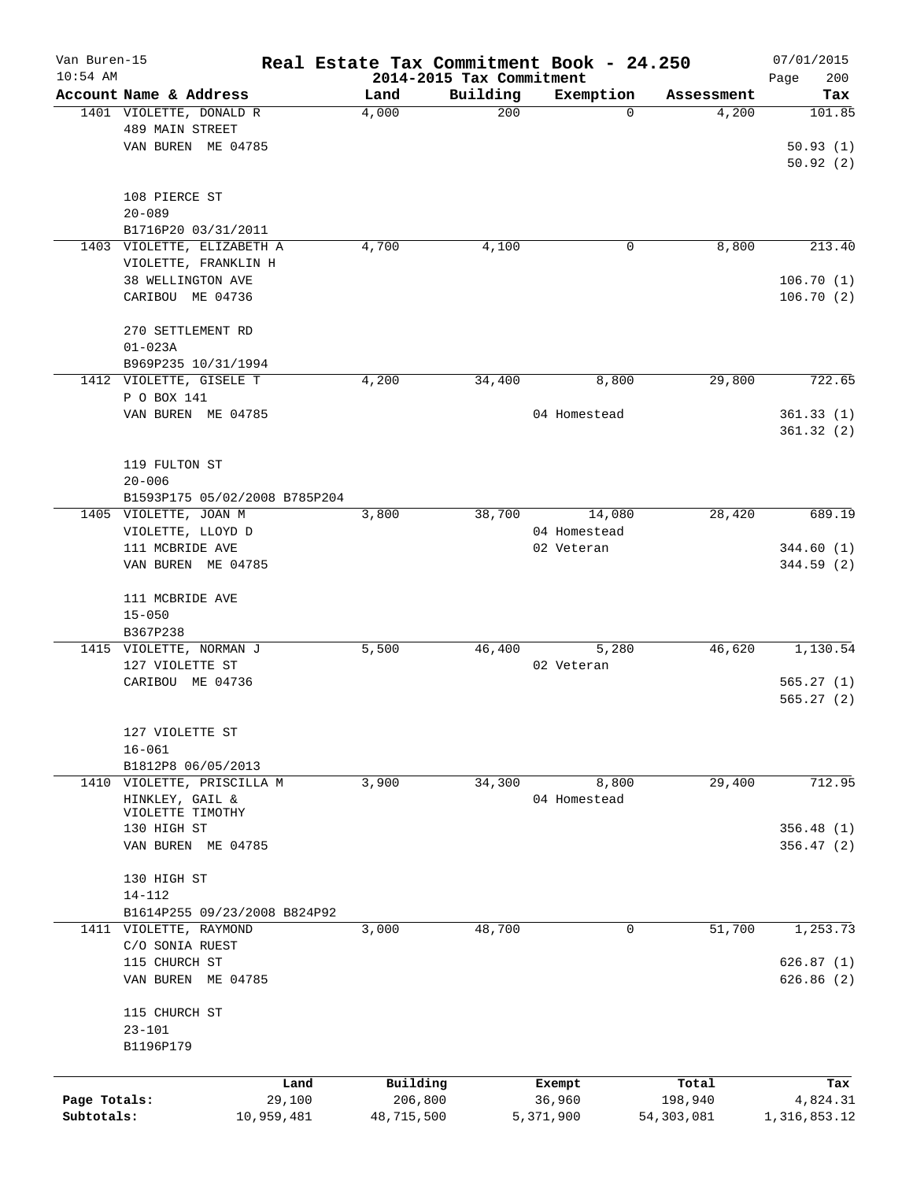| Van Buren-15<br>$10:54$ AM |                               | Real Estate Tax Commitment Book - 24.250<br>2014-2015 Tax Commitment |          |              |            | 07/01/2015         |
|----------------------------|-------------------------------|----------------------------------------------------------------------|----------|--------------|------------|--------------------|
|                            | Account Name & Address        | Land                                                                 | Building | Exemption    | Assessment | 200<br>Page<br>Tax |
|                            | 1401 VIOLETTE, DONALD R       | 4,000                                                                | 200      | 0            | 4,200      | 101.85             |
|                            | 489 MAIN STREET               |                                                                      |          |              |            |                    |
|                            | VAN BUREN ME 04785            |                                                                      |          |              |            | 50.93(1)           |
|                            |                               |                                                                      |          |              |            | 50.92(2)           |
|                            |                               |                                                                      |          |              |            |                    |
|                            | 108 PIERCE ST                 |                                                                      |          |              |            |                    |
|                            | $20 - 089$                    |                                                                      |          |              |            |                    |
|                            | B1716P20 03/31/2011           |                                                                      |          |              |            |                    |
|                            | 1403 VIOLETTE, ELIZABETH A    | 4,700                                                                | 4,100    | 0            | 8,800      | 213.40             |
|                            |                               |                                                                      |          |              |            |                    |
|                            | VIOLETTE, FRANKLIN H          |                                                                      |          |              |            |                    |
|                            | 38 WELLINGTON AVE             |                                                                      |          |              |            | 106.70(1)          |
|                            | CARIBOU ME 04736              |                                                                      |          |              |            | 106.70(2)          |
|                            |                               |                                                                      |          |              |            |                    |
|                            | 270 SETTLEMENT RD             |                                                                      |          |              |            |                    |
|                            | $01 - 023A$                   |                                                                      |          |              |            |                    |
|                            | B969P235 10/31/1994           |                                                                      |          |              |            |                    |
|                            | 1412 VIOLETTE, GISELE T       | 4,200                                                                | 34,400   | 8,800        | 29,800     | 722.65             |
|                            | P O BOX 141                   |                                                                      |          |              |            |                    |
|                            | VAN BUREN ME 04785            |                                                                      |          | 04 Homestead |            | 361.33(1)          |
|                            |                               |                                                                      |          |              |            | 361.32(2)          |
|                            |                               |                                                                      |          |              |            |                    |
|                            | 119 FULTON ST                 |                                                                      |          |              |            |                    |
|                            | $20 - 006$                    |                                                                      |          |              |            |                    |
|                            | B1593P175 05/02/2008 B785P204 |                                                                      |          |              |            |                    |
|                            | 1405 VIOLETTE, JOAN M         | 3,800                                                                | 38,700   | 14,080       | 28,420     | 689.19             |
|                            | VIOLETTE, LLOYD D             |                                                                      |          | 04 Homestead |            |                    |
|                            | 111 MCBRIDE AVE               |                                                                      |          | 02 Veteran   |            | 344.60(1)          |
|                            | VAN BUREN ME 04785            |                                                                      |          |              |            | 344.59 (2)         |
|                            |                               |                                                                      |          |              |            |                    |
|                            | 111 MCBRIDE AVE               |                                                                      |          |              |            |                    |
|                            | $15 - 050$                    |                                                                      |          |              |            |                    |
|                            | B367P238                      |                                                                      |          |              |            |                    |
|                            | 1415 VIOLETTE, NORMAN J       | 5,500                                                                | 46,400   | 5,280        | 46,620     | 1,130.54           |
|                            | 127 VIOLETTE ST               |                                                                      |          | 02 Veteran   |            |                    |
|                            | CARIBOU ME 04736              |                                                                      |          |              |            | 565.27(1)          |
|                            |                               |                                                                      |          |              |            | 565.27(2)          |
|                            |                               |                                                                      |          |              |            |                    |
|                            | 127 VIOLETTE ST               |                                                                      |          |              |            |                    |
|                            | $16 - 061$                    |                                                                      |          |              |            |                    |
|                            | B1812P8 06/05/2013            |                                                                      |          |              |            |                    |
|                            | 1410 VIOLETTE, PRISCILLA M    | 3,900                                                                | 34,300   | 8,800        | 29,400     | 712.95             |
|                            | HINKLEY, GAIL &               |                                                                      |          | 04 Homestead |            |                    |
|                            | VIOLETTE TIMOTHY              |                                                                      |          |              |            |                    |
|                            | 130 HIGH ST                   |                                                                      |          |              |            | 356.48(1)          |
|                            | VAN BUREN ME 04785            |                                                                      |          |              |            | 356.47(2)          |
|                            |                               |                                                                      |          |              |            |                    |
|                            | 130 HIGH ST                   |                                                                      |          |              |            |                    |
|                            | $14 - 112$                    |                                                                      |          |              |            |                    |
|                            | B1614P255 09/23/2008 B824P92  |                                                                      |          |              |            |                    |
|                            | 1411 VIOLETTE, RAYMOND        | 3,000                                                                | 48,700   | 0            | 51,700     | 1,253.73           |
|                            | C/O SONIA RUEST               |                                                                      |          |              |            |                    |
|                            | 115 CHURCH ST                 |                                                                      |          |              |            | 626.87(1)          |
|                            | VAN BUREN ME 04785            |                                                                      |          |              |            | 626.86(2)          |
|                            |                               |                                                                      |          |              |            |                    |
|                            | 115 CHURCH ST                 |                                                                      |          |              |            |                    |
|                            | $23 - 101$                    |                                                                      |          |              |            |                    |
|                            | B1196P179                     |                                                                      |          |              |            |                    |
|                            |                               |                                                                      |          |              |            |                    |
|                            | Land                          | Building                                                             |          | Exempt       | Total      | Tax                |
| Page Totals:               | 29,100                        | 206,800                                                              |          | 36,960       | 198,940    | 4,824.31           |
| Subtotals:                 | 10,959,481                    | 48,715,500                                                           |          | 5,371,900    | 54,303,081 | 1,316,853.12       |
|                            |                               |                                                                      |          |              |            |                    |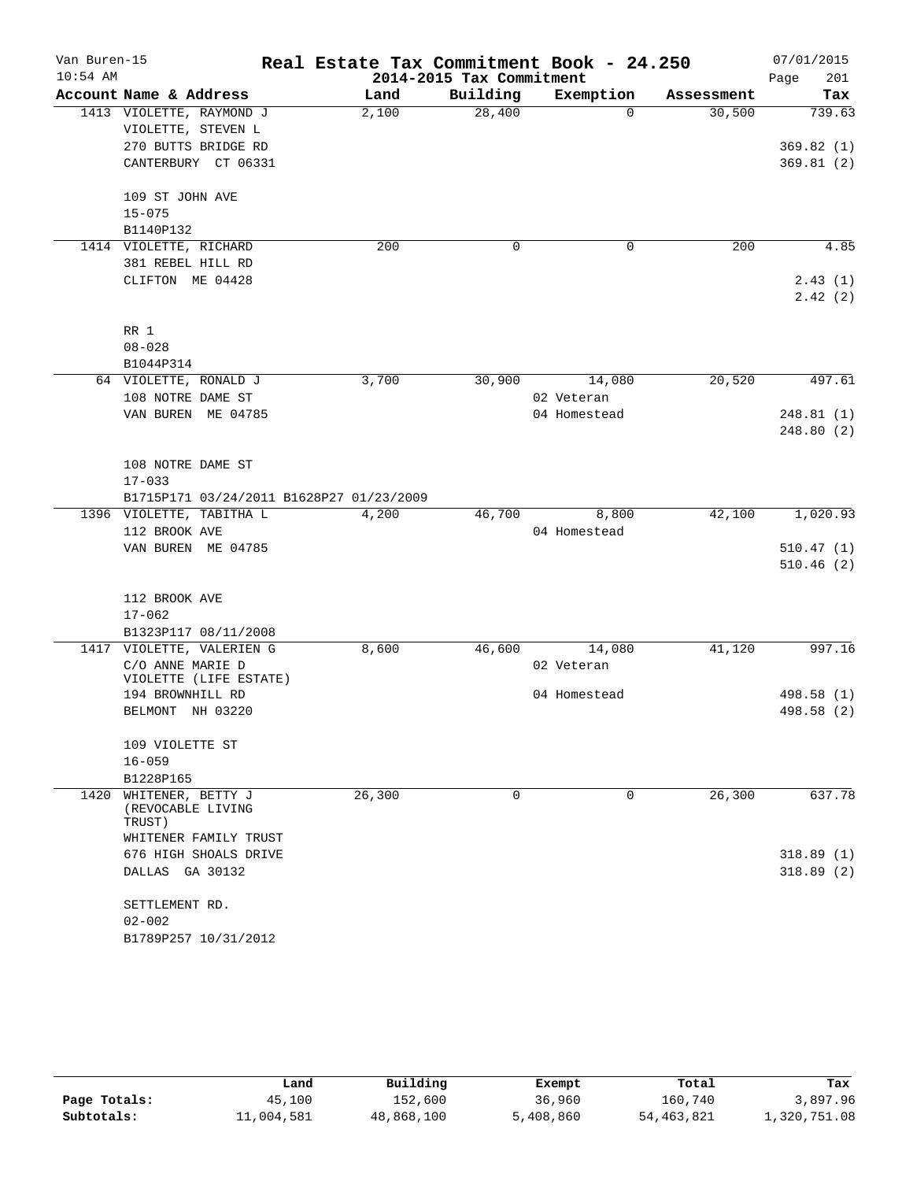| Van Buren-15<br>$10:54$ AM |                                                  | Real Estate Tax Commitment Book - 24.250 | 2014-2015 Tax Commitment |              |            | 07/01/2015<br>Page<br>201 |
|----------------------------|--------------------------------------------------|------------------------------------------|--------------------------|--------------|------------|---------------------------|
|                            | Account Name & Address                           | Land                                     | Building                 | Exemption    | Assessment | Tax                       |
|                            | 1413 VIOLETTE, RAYMOND J                         | 2,100                                    | 28,400                   | $\Omega$     | 30,500     | 739.63                    |
|                            | VIOLETTE, STEVEN L                               |                                          |                          |              |            |                           |
|                            | 270 BUTTS BRIDGE RD                              |                                          |                          |              |            | 369.82(1)                 |
|                            | CANTERBURY CT 06331                              |                                          |                          |              |            | 369.81(2)                 |
|                            | 109 ST JOHN AVE                                  |                                          |                          |              |            |                           |
|                            | $15 - 075$                                       |                                          |                          |              |            |                           |
|                            | B1140P132                                        |                                          |                          |              |            |                           |
|                            | 1414 VIOLETTE, RICHARD                           | 200                                      | 0                        | 0            | 200        | 4.85                      |
|                            | 381 REBEL HILL RD                                |                                          |                          |              |            |                           |
|                            | CLIFTON ME 04428                                 |                                          |                          |              |            | 2.43(1)                   |
|                            |                                                  |                                          |                          |              |            | 2.42(2)                   |
|                            | RR 1                                             |                                          |                          |              |            |                           |
|                            | $08 - 028$                                       |                                          |                          |              |            |                           |
|                            | B1044P314                                        |                                          |                          |              |            |                           |
|                            | 64 VIOLETTE, RONALD J                            | 3,700                                    | 30,900                   | 14,080       | 20,520     | 497.61                    |
|                            | 108 NOTRE DAME ST                                |                                          |                          | 02 Veteran   |            |                           |
|                            | VAN BUREN ME 04785                               |                                          |                          | 04 Homestead |            | 248.81 (1)                |
|                            |                                                  |                                          |                          |              |            | 248.80 (2)                |
|                            | 108 NOTRE DAME ST                                |                                          |                          |              |            |                           |
|                            | $17 - 033$                                       |                                          |                          |              |            |                           |
|                            | B1715P171 03/24/2011 B1628P27 01/23/2009         |                                          |                          |              |            |                           |
|                            | 1396 VIOLETTE, TABITHA L                         | 4,200                                    | 46,700                   | 8,800        | 42,100     | 1,020.93                  |
|                            | 112 BROOK AVE                                    |                                          |                          | 04 Homestead |            |                           |
|                            | VAN BUREN ME 04785                               |                                          |                          |              |            | 510.47(1)                 |
|                            |                                                  |                                          |                          |              |            | 510.46(2)                 |
|                            | 112 BROOK AVE                                    |                                          |                          |              |            |                           |
|                            | $17 - 062$                                       |                                          |                          |              |            |                           |
|                            | B1323P117 08/11/2008                             |                                          |                          |              |            |                           |
|                            | 1417 VIOLETTE, VALERIEN G                        | 8,600                                    | 46,600                   | 14,080       | 41,120     | 997.16                    |
|                            | C/O ANNE MARIE D                                 |                                          |                          | 02 Veteran   |            |                           |
|                            | VIOLETTE (LIFE ESTATE)                           |                                          |                          |              |            |                           |
|                            | 194 BROWNHILL RD                                 |                                          |                          | 04 Homestead |            | 498.58 (1)                |
|                            | BELMONT NH 03220                                 |                                          |                          |              |            | 498.58 (2)                |
|                            | 109 VIOLETTE ST                                  |                                          |                          |              |            |                           |
|                            | $16 - 059$                                       |                                          |                          |              |            |                           |
|                            | B1228P165                                        |                                          |                          |              |            |                           |
| 1420                       | WHITENER, BETTY J<br>(REVOCABLE LIVING<br>TRUST) | 26,300                                   | 0                        | 0            | 26,300     | 637.78                    |
|                            | WHITENER FAMILY TRUST                            |                                          |                          |              |            |                           |
|                            | 676 HIGH SHOALS DRIVE                            |                                          |                          |              |            | 318.89(1)                 |
|                            | DALLAS GA 30132                                  |                                          |                          |              |            | 318.89(2)                 |
|                            | SETTLEMENT RD.                                   |                                          |                          |              |            |                           |
|                            | $02 - 002$                                       |                                          |                          |              |            |                           |
|                            | B1789P257 10/31/2012                             |                                          |                          |              |            |                           |

|              | Land       | Building   | Exempt    | Total      | Tax          |
|--------------|------------|------------|-----------|------------|--------------|
| Page Totals: | 45,100     | 152,600    | 36,960    | 160,740    | 3,897.96     |
| Subtotals:   | 11,004,581 | 48,868,100 | 5,408,860 | 54,463,821 | 1,320,751.08 |